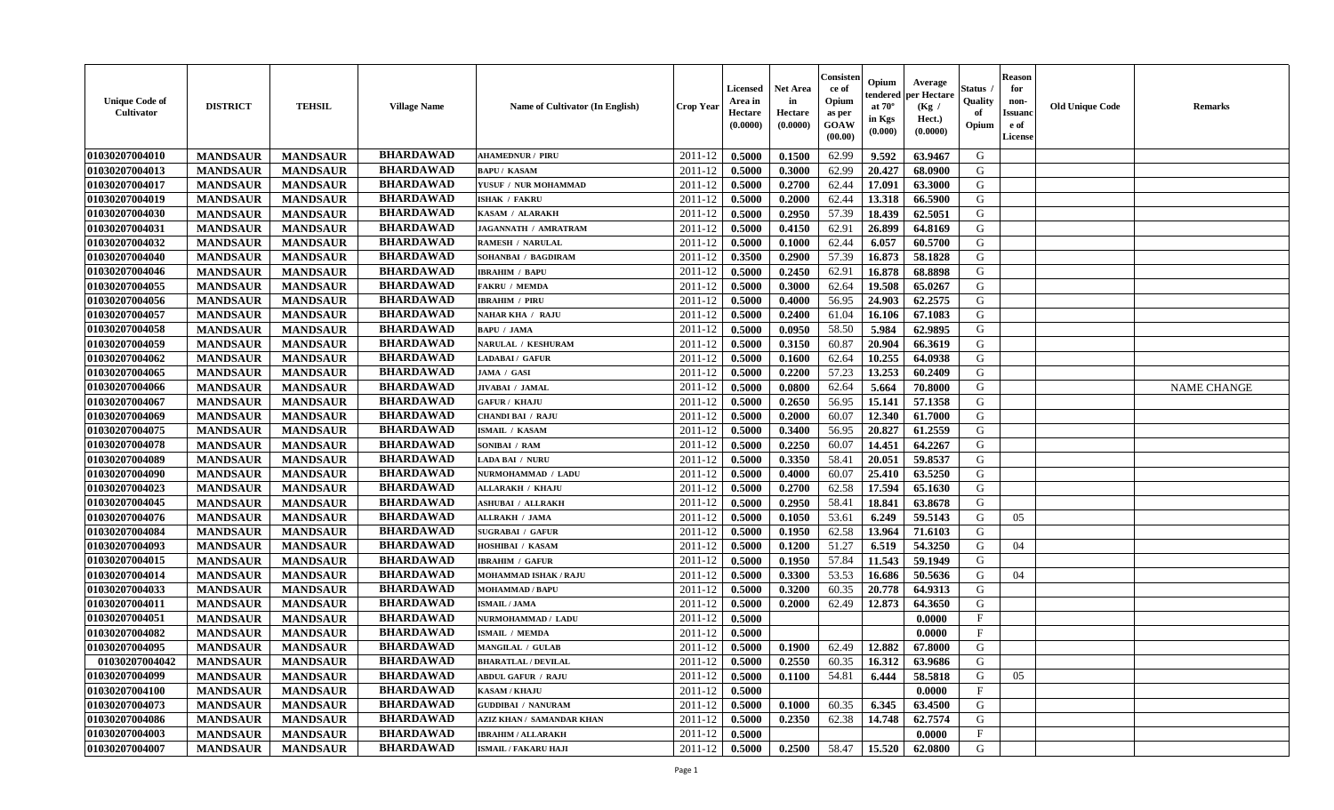| <b>Unique Code of</b><br><b>Cultivator</b> | <b>DISTRICT</b> | <b>TEHSIL</b>   | <b>Village Name</b> | <b>Name of Cultivator (In English)</b> | <b>Crop Year</b> | <b>Licensed</b><br>Area in<br>Hectare<br>(0.0000) | <b>Net Area</b><br>in<br>Hectare<br>(0.0000) | Consister<br>ce of<br>Opium<br>as per<br><b>GOAW</b><br>(00.00) | Opium<br>endered<br>at $70^\circ$<br>in Kgs<br>$(\mathbf{0.000})$ | Average<br>per Hectare<br>(Kg /<br>Hect.)<br>(0.0000) | Status<br>Quality<br>of<br>Opium | Reason<br>for<br>non-<br>Issuan<br>e of<br>License | <b>Old Unique Code</b> | <b>Remarks</b>     |
|--------------------------------------------|-----------------|-----------------|---------------------|----------------------------------------|------------------|---------------------------------------------------|----------------------------------------------|-----------------------------------------------------------------|-------------------------------------------------------------------|-------------------------------------------------------|----------------------------------|----------------------------------------------------|------------------------|--------------------|
| 01030207004010                             | <b>MANDSAUR</b> | <b>MANDSAUR</b> | <b>BHARDAWAD</b>    | <b>AHAMEDNUR / PIRU</b>                | 2011-12          | 0.5000                                            | 0.1500                                       | 62.99                                                           | 9.592                                                             | 63.9467                                               | G                                |                                                    |                        |                    |
| 01030207004013                             | <b>MANDSAUR</b> | <b>MANDSAUR</b> | <b>BHARDAWAD</b>    | <b>BAPU/KASAM</b>                      | 2011-12          | 0.5000                                            | 0.3000                                       | 62.99                                                           | 20.427                                                            | 68.0900                                               | G                                |                                                    |                        |                    |
| 01030207004017                             | <b>MANDSAUR</b> | <b>MANDSAUR</b> | <b>BHARDAWAD</b>    | YUSUF / NUR MOHAMMAD                   | 2011-12          | 0.5000                                            | 0.2700                                       | 62.44                                                           | 17.091                                                            | 63.3000                                               | G                                |                                                    |                        |                    |
| 01030207004019                             | <b>MANDSAUR</b> | <b>MANDSAUR</b> | <b>BHARDAWAD</b>    | <b>ISHAK / FAKRU</b>                   | 2011-12          | 0.5000                                            | 0.2000                                       | 62.44                                                           | 13.318                                                            | 66.5900                                               | G                                |                                                    |                        |                    |
| 01030207004030                             | <b>MANDSAUR</b> | <b>MANDSAUR</b> | <b>BHARDAWAD</b>    | KASAM / ALARAKH                        | 2011-12          | 0.5000                                            | 0.2950                                       | 57.39                                                           | 18.439                                                            | 62.5051                                               | G                                |                                                    |                        |                    |
| 01030207004031                             | <b>MANDSAUR</b> | <b>MANDSAUR</b> | <b>BHARDAWAD</b>    | JAGANNATH / AMRATRAM                   | 2011-12          | 0.5000                                            | 0.4150                                       | 62.91                                                           | 26.899                                                            | 64.8169                                               | G                                |                                                    |                        |                    |
| 01030207004032                             | <b>MANDSAUR</b> | <b>MANDSAUR</b> | <b>BHARDAWAD</b>    | <b>RAMESH / NARULAL</b>                | 2011-12          | 0.5000                                            | 0.1000                                       | 62.44                                                           | 6.057                                                             | 60.5700                                               | G                                |                                                    |                        |                    |
| 01030207004040                             | <b>MANDSAUR</b> | <b>MANDSAUR</b> | <b>BHARDAWAD</b>    | SOHANBAI / BAGDIRAM                    | 2011-12          | 0.3500                                            | 0.2900                                       | 57.39                                                           | 16.873                                                            | 58.1828                                               | G                                |                                                    |                        |                    |
| 01030207004046                             | <b>MANDSAUR</b> | <b>MANDSAUR</b> | <b>BHARDAWAD</b>    | <b>IBRAHIM / BAPU</b>                  | 2011-12          | 0.5000                                            | 0.2450                                       | 62.91                                                           | 16.878                                                            | 68.8898                                               | G                                |                                                    |                        |                    |
| 01030207004055                             | <b>MANDSAUR</b> | <b>MANDSAUR</b> | <b>BHARDAWAD</b>    | <b>FAKRU / MEMDA</b>                   | 2011-12          | 0.5000                                            | 0.3000                                       | 62.64                                                           | 19.508                                                            | 65.0267                                               | G                                |                                                    |                        |                    |
| 01030207004056                             | <b>MANDSAUR</b> | <b>MANDSAUR</b> | <b>BHARDAWAD</b>    | <b>IBRAHIM / PIRU</b>                  | 2011-12          | 0.5000                                            | 0.4000                                       | 56.95                                                           | 24.903                                                            | 62,2575                                               | G                                |                                                    |                        |                    |
| 01030207004057                             | <b>MANDSAUR</b> | <b>MANDSAUR</b> | <b>BHARDAWAD</b>    | <b>NAHAR KHA / RAJU</b>                | 2011-12          | 0.5000                                            | 0.2400                                       | 61.04                                                           | 16.106                                                            | 67.1083                                               | G                                |                                                    |                        |                    |
| 01030207004058                             | <b>MANDSAUR</b> | <b>MANDSAUR</b> | <b>BHARDAWAD</b>    | <b>BAPU / JAMA</b>                     | 2011-12          | 0.5000                                            | 0.0950                                       | 58.50                                                           | 5.984                                                             | 62.9895                                               | G                                |                                                    |                        |                    |
| 01030207004059                             | <b>MANDSAUR</b> | <b>MANDSAUR</b> | <b>BHARDAWAD</b>    | NARULAL / KESHURAM                     | 2011-12          | 0.5000                                            | 0.3150                                       | 60.87                                                           | 20.904                                                            | 66.3619                                               | G                                |                                                    |                        |                    |
| 01030207004062                             | <b>MANDSAUR</b> | <b>MANDSAUR</b> | <b>BHARDAWAD</b>    | LADABAI / GAFUR                        | 2011-12          | 0.5000                                            | 0.1600                                       | 62.64                                                           | 10.255                                                            | 64.0938                                               | G                                |                                                    |                        |                    |
| 01030207004065                             | <b>MANDSAUR</b> | <b>MANDSAUR</b> | <b>BHARDAWAD</b>    | JAMA / GASI                            | 2011-12          | 0.5000                                            | 0.2200                                       | 57.23                                                           | 13.253                                                            | 60.2409                                               | G                                |                                                    |                        |                    |
| 01030207004066                             | <b>MANDSAUR</b> | <b>MANDSAUR</b> | <b>BHARDAWAD</b>    | JIVABAI / JAMAL                        | 2011-12          | 0.5000                                            | 0.0800                                       | 62.64                                                           | 5.664                                                             | 70.8000                                               | G                                |                                                    |                        | <b>NAME CHANGE</b> |
| 01030207004067                             | <b>MANDSAUR</b> | <b>MANDSAUR</b> | <b>BHARDAWAD</b>    | <b>GAFUR / KHAJU</b>                   | 2011-12          | 0.5000                                            | 0.2650                                       | 56.95                                                           | 15.141                                                            | 57.1358                                               | G                                |                                                    |                        |                    |
| 01030207004069                             | <b>MANDSAUR</b> | <b>MANDSAUR</b> | <b>BHARDAWAD</b>    | <b>CHANDI BAI / RAJU</b>               | 2011-12          | 0.5000                                            | 0.2000                                       | 60.07                                                           | 12.340                                                            | 61.7000                                               | G                                |                                                    |                        |                    |
| 01030207004075                             | <b>MANDSAUR</b> | <b>MANDSAUR</b> | <b>BHARDAWAD</b>    | ISMAIL / KASAM                         | 2011-12          | 0.5000                                            | 0.3400                                       | 56.95                                                           | 20.827                                                            | 61.2559                                               | G                                |                                                    |                        |                    |
| 01030207004078                             | <b>MANDSAUR</b> | <b>MANDSAUR</b> | <b>BHARDAWAD</b>    | SONIBAI / RAM                          | 2011-12          | 0.5000                                            | 0.2250                                       | 60.07                                                           | 14.451                                                            | 64,2267                                               | G                                |                                                    |                        |                    |
| 01030207004089                             | <b>MANDSAUR</b> | <b>MANDSAUR</b> | <b>BHARDAWAD</b>    | LADA BAI / NURU                        | 2011-12          | 0.5000                                            | 0.3350                                       | 58.41                                                           | 20.051                                                            | 59.8537                                               | G                                |                                                    |                        |                    |
| 01030207004090                             | <b>MANDSAUR</b> | <b>MANDSAUR</b> | <b>BHARDAWAD</b>    | NURMOHAMMAD / LADU                     | 2011-12          | 0.5000                                            | 0.4000                                       | 60.07                                                           | 25.410                                                            | 63.5250                                               | G                                |                                                    |                        |                    |
| 01030207004023                             | <b>MANDSAUR</b> | <b>MANDSAUR</b> | <b>BHARDAWAD</b>    | <b>ALLARAKH / KHAJU</b>                | 2011-12          | 0.5000                                            | 0.2700                                       | 62.58                                                           | 17.594                                                            | 65.1630                                               | G                                |                                                    |                        |                    |
| 01030207004045                             | <b>MANDSAUR</b> | <b>MANDSAUR</b> | <b>BHARDAWAD</b>    | <b>ASHUBAI / ALLRAKH</b>               | 2011-12          | 0.5000                                            | 0.2950                                       | 58.41                                                           | 18.841                                                            | 63.8678                                               | G                                |                                                    |                        |                    |
| 01030207004076                             | <b>MANDSAUR</b> | <b>MANDSAUR</b> | <b>BHARDAWAD</b>    | ALLRAKH / JAMA                         | 2011-12          | 0.5000                                            | 0.1050                                       | 53.61                                                           | 6.249                                                             | 59.5143                                               | G                                | 05                                                 |                        |                    |
| 01030207004084                             | <b>MANDSAUR</b> | <b>MANDSAUR</b> | <b>BHARDAWAD</b>    | <b>SUGRABAI / GAFUR</b>                | 2011-12          | 0.5000                                            | 0.1950                                       | 62.58                                                           | 13.964                                                            | 71.6103                                               | G                                |                                                    |                        |                    |
| 01030207004093                             | <b>MANDSAUR</b> | <b>MANDSAUR</b> | <b>BHARDAWAD</b>    | HOSHIBAI / KASAM                       | 2011-12          | 0.5000                                            | 0.1200                                       | 51.27                                                           | 6.519                                                             | 54.3250                                               | G                                | 04                                                 |                        |                    |
| 01030207004015                             | <b>MANDSAUR</b> | <b>MANDSAUR</b> | <b>BHARDAWAD</b>    | <b>IBRAHIM / GAFUR</b>                 | 2011-12          | 0.5000                                            | 0.1950                                       | 57.84                                                           | 11.543                                                            | 59.1949                                               | G                                |                                                    |                        |                    |
| 01030207004014                             | <b>MANDSAUR</b> | <b>MANDSAUR</b> | <b>BHARDAWAD</b>    | <b>MOHAMMAD ISHAK / RAJU</b>           | 2011-12          | 0.5000                                            | 0.3300                                       | 53.53                                                           | 16.686                                                            | 50.5636                                               | G                                | 04                                                 |                        |                    |
| 01030207004033                             | <b>MANDSAUR</b> | <b>MANDSAUR</b> | <b>BHARDAWAD</b>    | <b>MOHAMMAD / BAPU</b>                 | 2011-12          | 0.5000                                            | 0.3200                                       | 60.35                                                           | 20.778                                                            | 64.9313                                               | G                                |                                                    |                        |                    |
| 01030207004011                             | <b>MANDSAUR</b> | <b>MANDSAUR</b> | <b>BHARDAWAD</b>    | <b>ISMAIL / JAMA</b>                   | 2011-12          | 0.5000                                            | 0.2000                                       | 62.49                                                           | 12.873                                                            | 64.3650                                               | G                                |                                                    |                        |                    |
| 01030207004051                             | <b>MANDSAUR</b> | <b>MANDSAUR</b> | <b>BHARDAWAD</b>    | NURMOHAMMAD / LADU                     | 2011-12          | 0.5000                                            |                                              |                                                                 |                                                                   | 0.0000                                                | $\mathbf{F}$                     |                                                    |                        |                    |
| 01030207004082                             | <b>MANDSAUR</b> | <b>MANDSAUR</b> | <b>BHARDAWAD</b>    | <b>ISMAIL / MEMDA</b>                  | 2011-12          | 0.5000                                            |                                              |                                                                 |                                                                   | 0.0000                                                | $\mathbf{F}$                     |                                                    |                        |                    |
| 01030207004095                             | <b>MANDSAUR</b> | <b>MANDSAUR</b> | <b>BHARDAWAD</b>    | MANGILAL / GULAB                       | 2011-12          | 0.5000                                            | 0.1900                                       | 62.49                                                           | 12.882                                                            | 67.8000                                               | G                                |                                                    |                        |                    |
| 01030207004042                             | MANDSAUR        | <b>MANDSAUR</b> | <b>BHARDAWAD</b>    | <b>BHARATLAL / DEVILAL</b>             | $2011-12$ 0.5000 |                                                   | 0.2550                                       | 60.35                                                           | 16.312                                                            | 63.9686                                               | G                                |                                                    |                        |                    |
| 01030207004099                             | <b>MANDSAUR</b> | <b>MANDSAUR</b> | <b>BHARDAWAD</b>    | <b>ABDUL GAFUR / RAJU</b>              | 2011-12          | 0.5000                                            | 0.1100                                       | 54.81                                                           | 6.444                                                             | 58.5818                                               | G                                | 05                                                 |                        |                    |
| 01030207004100                             | <b>MANDSAUR</b> | <b>MANDSAUR</b> | <b>BHARDAWAD</b>    | <b>KASAM / KHAJU</b>                   | 2011-12          | 0.5000                                            |                                              |                                                                 |                                                                   | 0.0000                                                | $_{\rm F}$                       |                                                    |                        |                    |
| 01030207004073                             | <b>MANDSAUR</b> | <b>MANDSAUR</b> | <b>BHARDAWAD</b>    | <b>GUDDIBAI / NANURAM</b>              | 2011-12          | 0.5000                                            | 0.1000                                       | 60.35                                                           | 6.345                                                             | 63.4500                                               | G                                |                                                    |                        |                    |
| 01030207004086                             | <b>MANDSAUR</b> | <b>MANDSAUR</b> | <b>BHARDAWAD</b>    | <b>AZIZ KHAN / SAMANDAR KHAN</b>       | 2011-12          | 0.5000                                            | 0.2350                                       | 62.38                                                           | 14.748                                                            | 62.7574                                               | G                                |                                                    |                        |                    |
| 01030207004003                             | <b>MANDSAUR</b> | <b>MANDSAUR</b> | <b>BHARDAWAD</b>    | <b>IBRAHIM / ALLARAKH</b>              | 2011-12          | 0.5000                                            |                                              |                                                                 |                                                                   | 0.0000                                                | $\mathbf{F}$                     |                                                    |                        |                    |
| 01030207004007                             | <b>MANDSAUR</b> | <b>MANDSAUR</b> | <b>BHARDAWAD</b>    | <b>ISMAIL / FAKARU HAJI</b>            | 2011-12          | 0.5000                                            | 0.2500                                       | 58.47                                                           | 15.520                                                            | 62.0800                                               | G                                |                                                    |                        |                    |
|                                            |                 |                 |                     |                                        |                  |                                                   |                                              |                                                                 |                                                                   |                                                       |                                  |                                                    |                        |                    |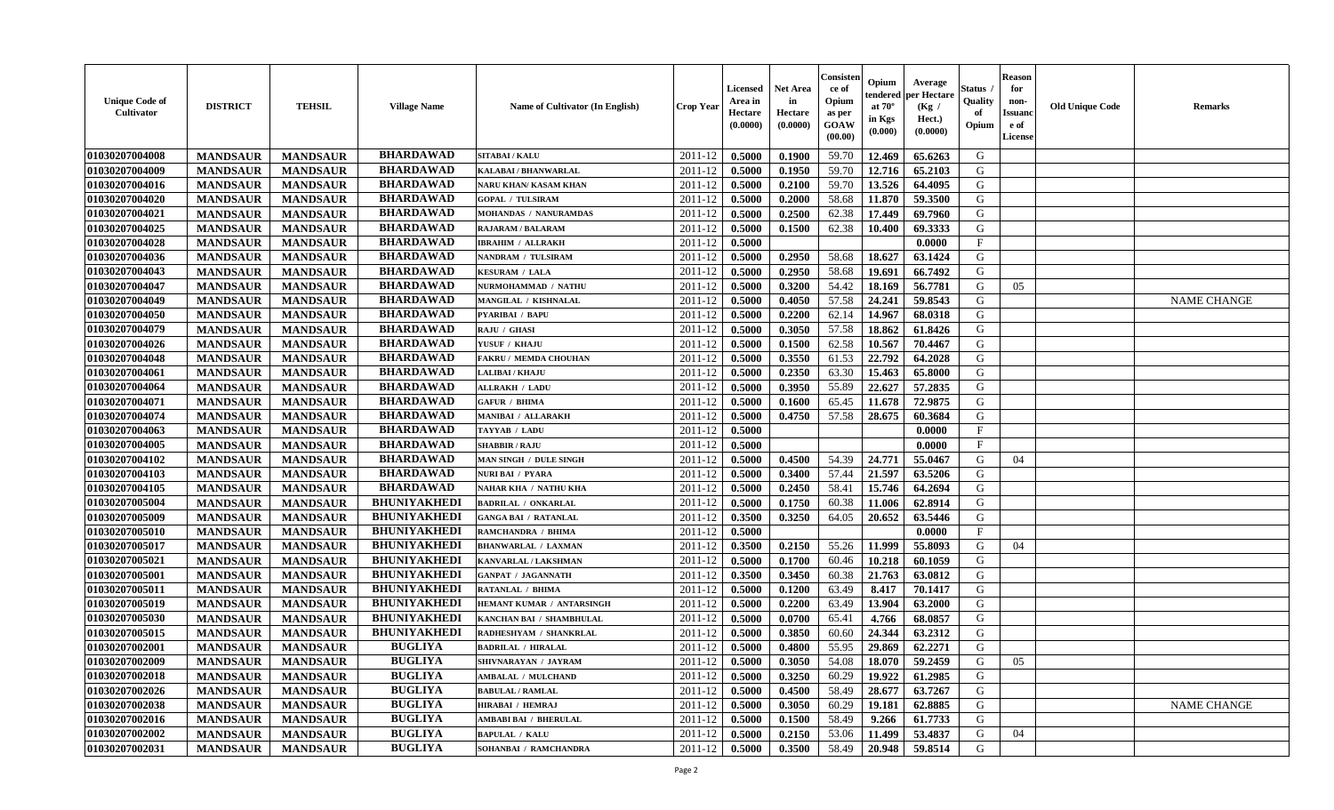| <b>Unique Code of</b><br><b>Cultivator</b> | <b>DISTRICT</b> | <b>TEHSIL</b>   | <b>Village Name</b> | Name of Cultivator (In English) | <b>Crop Year</b> | <b>Licensed</b><br>Area in<br>Hectare<br>(0.0000) | <b>Net Area</b><br>in<br>Hectare<br>(0.0000) | Consister<br>ce of<br>Opium<br>as per<br>GOAW<br>(00.00) | Opium<br>endered<br>at $70^\circ$<br>in Kgs<br>(0.000) | Average<br>per Hectare<br>(Kg /<br>Hect.)<br>(0.0000) | Status<br>Quality<br>of<br>Opium | <b>Reason</b><br>for<br>non-<br><b>Issuand</b><br>e of<br>License | <b>Old Unique Code</b> | <b>Remarks</b>     |
|--------------------------------------------|-----------------|-----------------|---------------------|---------------------------------|------------------|---------------------------------------------------|----------------------------------------------|----------------------------------------------------------|--------------------------------------------------------|-------------------------------------------------------|----------------------------------|-------------------------------------------------------------------|------------------------|--------------------|
| 01030207004008                             | <b>MANDSAUR</b> | <b>MANDSAUR</b> | <b>BHARDAWAD</b>    | <b>SITABAI/KALU</b>             | 2011-12          | 0.5000                                            | 0.1900                                       | 59.70                                                    | 12.469                                                 | 65.6263                                               | G                                |                                                                   |                        |                    |
| 01030207004009                             | <b>MANDSAUR</b> | <b>MANDSAUR</b> | <b>BHARDAWAD</b>    | KALABAI / BHANWARLAL            | 2011-12          | 0.5000                                            | 0.1950                                       | 59.70                                                    | 12.716                                                 | 65.2103                                               | G                                |                                                                   |                        |                    |
| 01030207004016                             | <b>MANDSAUR</b> | <b>MANDSAUR</b> | <b>BHARDAWAD</b>    | <b>NARU KHAN/ KASAM KHAN</b>    | 2011-12          | 0.5000                                            | 0.2100                                       | 59.70                                                    | 13.526                                                 | 64.4095                                               | G                                |                                                                   |                        |                    |
| 01030207004020                             | <b>MANDSAUR</b> | <b>MANDSAUR</b> | <b>BHARDAWAD</b>    | <b>GOPAL / TULSIRAM</b>         | 2011-12          | 0.5000                                            | 0.2000                                       | 58.68                                                    | 11.870                                                 | 59.3500                                               | G                                |                                                                   |                        |                    |
| 01030207004021                             | <b>MANDSAUR</b> | <b>MANDSAUR</b> | <b>BHARDAWAD</b>    | MOHANDAS / NANURAMDAS           | 2011-12          | 0.5000                                            | 0.2500                                       | 62.38                                                    | 17.449                                                 | 69.7960                                               | G                                |                                                                   |                        |                    |
| 01030207004025                             | <b>MANDSAUR</b> | <b>MANDSAUR</b> | <b>BHARDAWAD</b>    | <b>RAJARAM / BALARAM</b>        | 2011-12          | 0.5000                                            | 0.1500                                       | 62.38                                                    | 10.400                                                 | 69.3333                                               | G                                |                                                                   |                        |                    |
| 01030207004028                             | <b>MANDSAUR</b> | <b>MANDSAUR</b> | <b>BHARDAWAD</b>    | <b>IBRAHIM / ALLRAKH</b>        | 2011-12          | 0.5000                                            |                                              |                                                          |                                                        | 0.0000                                                | $\rm F$                          |                                                                   |                        |                    |
| 01030207004036                             | <b>MANDSAUR</b> | <b>MANDSAUR</b> | <b>BHARDAWAD</b>    | NANDRAM / TULSIRAM              | 2011-12          | 0.5000                                            | 0.2950                                       | 58.68                                                    | 18.627                                                 | 63.1424                                               | G                                |                                                                   |                        |                    |
| 01030207004043                             | <b>MANDSAUR</b> | <b>MANDSAUR</b> | <b>BHARDAWAD</b>    | <b>KESURAM / LALA</b>           | 2011-12          | 0.5000                                            | 0.2950                                       | 58.68                                                    | 19.691                                                 | 66.7492                                               | G                                |                                                                   |                        |                    |
| 01030207004047                             | <b>MANDSAUR</b> | <b>MANDSAUR</b> | <b>BHARDAWAD</b>    | NURMOHAMMAD / NATHU             | 2011-12          | 0.5000                                            | 0.3200                                       | 54.42                                                    | 18.169                                                 | 56.7781                                               | G                                | 05                                                                |                        |                    |
| 01030207004049                             | <b>MANDSAUR</b> | <b>MANDSAUR</b> | <b>BHARDAWAD</b>    | <b>MANGILAL / KISHNALAL</b>     | 2011-12          | 0.5000                                            | 0.4050                                       | 57.58                                                    | 24.241                                                 | 59.8543                                               | $\mathbf G$                      |                                                                   |                        | <b>NAME CHANGE</b> |
| 01030207004050                             | <b>MANDSAUR</b> | <b>MANDSAUR</b> | <b>BHARDAWAD</b>    | <b>PYARIBAI / BAPU</b>          | 2011-12          | 0.5000                                            | 0.2200                                       | 62.14                                                    | 14.967                                                 | 68.0318                                               | G                                |                                                                   |                        |                    |
| 01030207004079                             | <b>MANDSAUR</b> | <b>MANDSAUR</b> | <b>BHARDAWAD</b>    | RAJU / GHASI                    | 2011-12          | 0.5000                                            | 0.3050                                       | 57.58                                                    | 18.862                                                 | 61.8426                                               | G                                |                                                                   |                        |                    |
| 01030207004026                             | <b>MANDSAUR</b> | <b>MANDSAUR</b> | <b>BHARDAWAD</b>    | YUSUF / KHAJU                   | 2011-12          | 0.5000                                            | 0.1500                                       | 62.58                                                    | 10.567                                                 | 70.4467                                               | G                                |                                                                   |                        |                    |
| 01030207004048                             | <b>MANDSAUR</b> | <b>MANDSAUR</b> | <b>BHARDAWAD</b>    | FAKRU / MEMDA CHOUHAN           | 2011-12          | 0.5000                                            | 0.3550                                       | 61.53                                                    | 22.792                                                 | 64.2028                                               | G                                |                                                                   |                        |                    |
| 01030207004061                             | <b>MANDSAUR</b> | <b>MANDSAUR</b> | <b>BHARDAWAD</b>    | <b>LALIBAI/KHAJU</b>            | 2011-12          | 0.5000                                            | 0.2350                                       | 63.30                                                    | 15.463                                                 | 65.8000                                               | G                                |                                                                   |                        |                    |
| 01030207004064                             | <b>MANDSAUR</b> | <b>MANDSAUR</b> | <b>BHARDAWAD</b>    | <b>ALLRAKH / LADU</b>           | 2011-12          | 0.5000                                            | 0.3950                                       | 55.89                                                    | 22.627                                                 | 57.2835                                               | G                                |                                                                   |                        |                    |
| 01030207004071                             | <b>MANDSAUR</b> | <b>MANDSAUR</b> | <b>BHARDAWAD</b>    | <b>GAFUR / BHIMA</b>            | 2011-12          | 0.5000                                            | 0.1600                                       | 65.45                                                    | 11.678                                                 | 72.9875                                               | G                                |                                                                   |                        |                    |
| 01030207004074                             | <b>MANDSAUR</b> | <b>MANDSAUR</b> | <b>BHARDAWAD</b>    | <b>MANIBAI / ALLARAKH</b>       | 2011-12          | 0.5000                                            | 0.4750                                       | 57.58                                                    | 28.675                                                 | 60.3684                                               | G                                |                                                                   |                        |                    |
| 01030207004063                             | <b>MANDSAUR</b> | <b>MANDSAUR</b> | <b>BHARDAWAD</b>    | TAYYAB / LADU                   | 2011-12          | 0.5000                                            |                                              |                                                          |                                                        | 0.0000                                                | $\mathbf{F}$                     |                                                                   |                        |                    |
| 01030207004005                             | <b>MANDSAUR</b> | <b>MANDSAUR</b> | <b>BHARDAWAD</b>    | <b>SHABBIR / RAJU</b>           | 2011-12          | 0.5000                                            |                                              |                                                          |                                                        | 0.0000                                                | $_{\rm F}$                       |                                                                   |                        |                    |
| 01030207004102                             | <b>MANDSAUR</b> | <b>MANDSAUR</b> | <b>BHARDAWAD</b>    | MAN SINGH / DULE SINGH          | 2011-12          | 0.5000                                            | 0.4500                                       | 54.39                                                    | 24.771                                                 | 55.0467                                               | G                                | 04                                                                |                        |                    |
| 01030207004103                             | <b>MANDSAUR</b> | <b>MANDSAUR</b> | <b>BHARDAWAD</b>    | NURI BAI / PYARA                | 2011-12          | 0.5000                                            | 0.3400                                       | 57.44                                                    | 21.597                                                 | 63.5206                                               | G                                |                                                                   |                        |                    |
| 01030207004105                             | <b>MANDSAUR</b> | <b>MANDSAUR</b> | <b>BHARDAWAD</b>    | NAHAR KHA / NATHU KHA           | 2011-12          | 0.5000                                            | 0.2450                                       | 58.41                                                    | 15.746                                                 | 64.2694                                               | G                                |                                                                   |                        |                    |
| 01030207005004                             | <b>MANDSAUR</b> | <b>MANDSAUR</b> | <b>BHUNIYAKHEDI</b> | <b>BADRILAL / ONKARLAL</b>      | 2011-12          | 0.5000                                            | 0.1750                                       | 60.38                                                    | 11.006                                                 | 62.8914                                               | G                                |                                                                   |                        |                    |
| 01030207005009                             | <b>MANDSAUR</b> | <b>MANDSAUR</b> | <b>BHUNIYAKHEDI</b> | <b>GANGA BAI / RATANLAL</b>     | 2011-12          | 0.3500                                            | 0.3250                                       | 64.05                                                    | 20.652                                                 | 63.5446                                               | G                                |                                                                   |                        |                    |
| 01030207005010                             | <b>MANDSAUR</b> | <b>MANDSAUR</b> | <b>BHUNIYAKHEDI</b> | RAMCHANDRA / BHIMA              | 2011-12          | 0.5000                                            |                                              |                                                          |                                                        | 0.0000                                                | $\mathbf{F}$                     |                                                                   |                        |                    |
| 01030207005017                             | <b>MANDSAUR</b> | <b>MANDSAUR</b> | <b>BHUNIYAKHEDI</b> | <b>BHANWARLAL / LAXMAN</b>      | 2011-12          | 0.3500                                            | 0.2150                                       | 55.26                                                    | 11.999                                                 | 55.8093                                               | G                                | 04                                                                |                        |                    |
| 01030207005021                             | <b>MANDSAUR</b> | <b>MANDSAUR</b> | <b>BHUNIYAKHEDI</b> | KANVARLAL / LAKSHMAN            | 2011-12          | 0.5000                                            | 0.1700                                       | 60.46                                                    | 10.218                                                 | 60.1059                                               | G                                |                                                                   |                        |                    |
| 01030207005001                             | <b>MANDSAUR</b> | <b>MANDSAUR</b> | <b>BHUNIYAKHEDI</b> | <b>GANPAT / JAGANNATH</b>       | 2011-12          | 0.3500                                            | 0.3450                                       | 60.38                                                    | 21.763                                                 | 63.0812                                               | G                                |                                                                   |                        |                    |
| 01030207005011                             | <b>MANDSAUR</b> | <b>MANDSAUR</b> | <b>BHUNIYAKHEDI</b> | RATANLAL / BHIMA                | 2011-12          | 0.5000                                            | 0.1200                                       | 63.49                                                    | 8.417                                                  | 70.1417                                               | ${\bf G}$                        |                                                                   |                        |                    |
| 01030207005019                             | <b>MANDSAUR</b> | <b>MANDSAUR</b> | <b>BHUNIYAKHEDI</b> | HEMANT KUMAR / ANTARSINGH       | 2011-12          | 0.5000                                            | 0.2200                                       | 63.49                                                    | 13.904                                                 | 63.2000                                               | G                                |                                                                   |                        |                    |
| 01030207005030                             | <b>MANDSAUR</b> | <b>MANDSAUR</b> | <b>BHUNIYAKHEDI</b> | KANCHAN BAI / SHAMBHULAL        | 2011-12          | 0.5000                                            | 0.0700                                       | 65.41                                                    | 4.766                                                  | 68.0857                                               | G                                |                                                                   |                        |                    |
| 01030207005015                             | <b>MANDSAUR</b> | <b>MANDSAUR</b> | <b>BHUNIYAKHEDI</b> | RADHESHYAM / SHANKRLAL          | 2011-12          | 0.5000                                            | 0.3850                                       | 60.60                                                    | 24.344                                                 | 63.2312                                               | G                                |                                                                   |                        |                    |
| 01030207002001                             | <b>MANDSAUR</b> | <b>MANDSAUR</b> | <b>BUGLIYA</b>      | <b>BADRILAL / HIRALAL</b>       | 2011-12          | 0.5000                                            | 0.4800                                       | 55.95                                                    | 29.869                                                 | 62.2271                                               | G                                |                                                                   |                        |                    |
| 01030207002009                             | <b>MANDSAUR</b> | <b>MANDSAUR</b> | <b>BUGLIYA</b>      | SHIVNARAYAN / JAYRAM            | 2011-12          | 0.5000                                            | 0.3050                                       | 54.08                                                    | 18.070                                                 | 59.2459                                               | G                                | 05                                                                |                        |                    |
| 01030207002018                             | <b>MANDSAUR</b> | <b>MANDSAUR</b> | <b>BUGLIYA</b>      | <b>AMBALAL / MULCHAND</b>       | 2011-12          | 0.5000                                            | 0.3250                                       | 60.29                                                    | 19.922                                                 | 61.2985                                               | G                                |                                                                   |                        |                    |
| 01030207002026                             | <b>MANDSAUR</b> | <b>MANDSAUR</b> | <b>BUGLIYA</b>      | <b>BABULAL / RAMLAL</b>         | 2011-12          | 0.5000                                            | 0.4500                                       | 58.49                                                    | 28.677                                                 | 63.7267                                               | G                                |                                                                   |                        |                    |
| 01030207002038                             | <b>MANDSAUR</b> | <b>MANDSAUR</b> | <b>BUGLIYA</b>      | <b>HIRABAI / HEMRAJ</b>         | 2011-12          | 0.5000                                            | 0.3050                                       | 60.29                                                    | 19.181                                                 | 62.8885                                               | G                                |                                                                   |                        | <b>NAME CHANGE</b> |
| 01030207002016                             | <b>MANDSAUR</b> | <b>MANDSAUR</b> | <b>BUGLIYA</b>      | <b>AMBABI BAI / BHERULAL</b>    | 2011-12          | 0.5000                                            | 0.1500                                       | 58.49                                                    | 9.266                                                  | 61.7733                                               | G                                |                                                                   |                        |                    |
| 01030207002002                             | <b>MANDSAUR</b> | <b>MANDSAUR</b> | <b>BUGLIYA</b>      | <b>BAPULAL / KALU</b>           | 2011-12          | 0.5000                                            | 0.2150                                       | 53.06                                                    | 11.499                                                 | 53.4837                                               | G                                | 04                                                                |                        |                    |
| 01030207002031                             | <b>MANDSAUR</b> | <b>MANDSAUR</b> | <b>BUGLIYA</b>      | SOHANBAI / RAMCHANDRA           | 2011-12          | 0.5000                                            | 0.3500                                       | 58.49                                                    | 20.948                                                 | 59.8514                                               | G                                |                                                                   |                        |                    |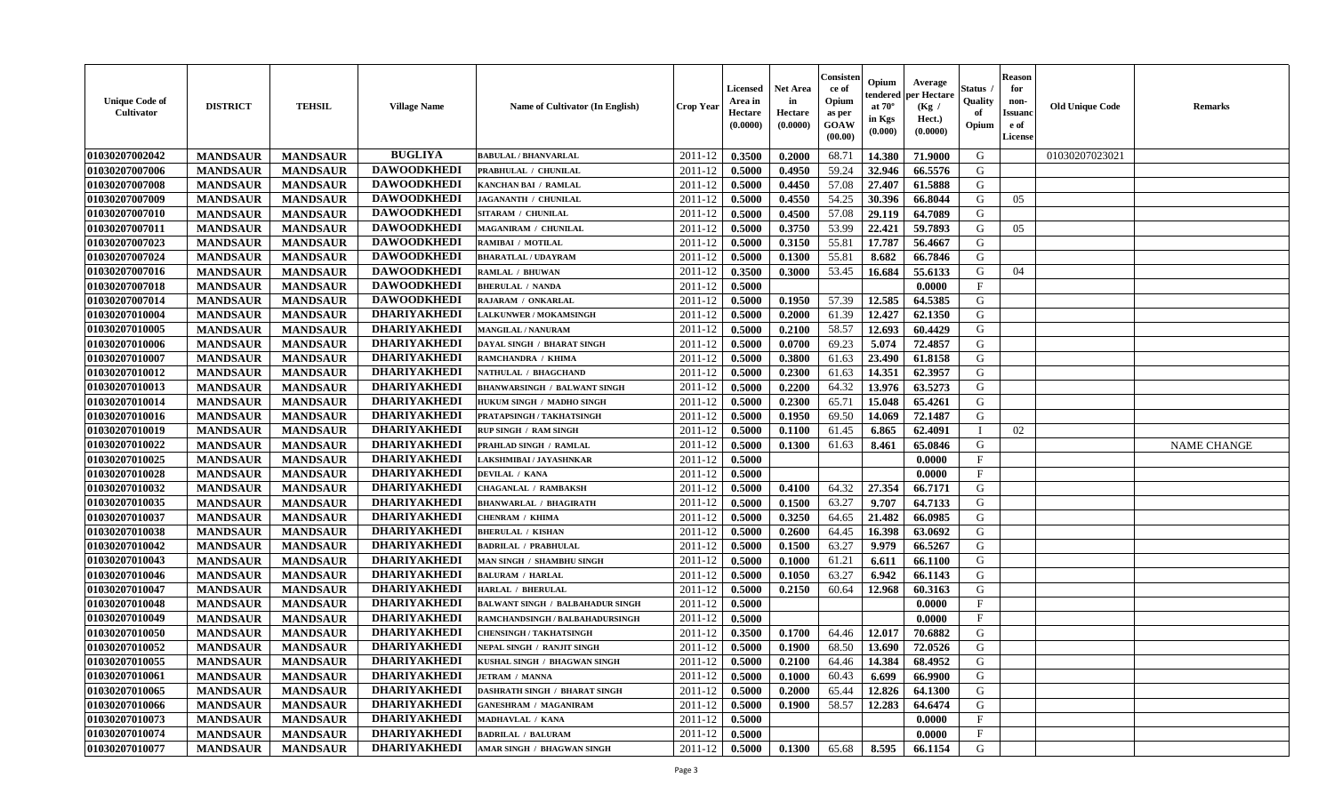| <b>Unique Code of</b><br><b>Cultivator</b> | <b>DISTRICT</b> | <b>TEHSIL</b>   | <b>Village Name</b> | Name of Cultivator (In English)         | <b>Crop Year</b>   | <b>Licensed</b><br>Area in<br>Hectare<br>(0.0000) | <b>Net Area</b><br>in<br>Hectare<br>(0.0000) | Consisteı<br>ce of<br>Opium<br>as per<br><b>GOAW</b><br>(00.00) | Opium<br>endered<br>at $70^\circ$<br>in Kgs<br>$(\mathbf{0.000})$ | Average<br>per Hectare<br>(Kg /<br>Hect.)<br>(0.0000) | Status<br>Quality<br>of<br>Opium | Reason<br>for<br>non-<br>Issuan<br>e of<br><b>License</b> | <b>Old Unique Code</b> | <b>Remarks</b>     |
|--------------------------------------------|-----------------|-----------------|---------------------|-----------------------------------------|--------------------|---------------------------------------------------|----------------------------------------------|-----------------------------------------------------------------|-------------------------------------------------------------------|-------------------------------------------------------|----------------------------------|-----------------------------------------------------------|------------------------|--------------------|
| 01030207002042                             | <b>MANDSAUR</b> | <b>MANDSAUR</b> | <b>BUGLIYA</b>      | <b>BABULAL / BHANVARLAL</b>             | 2011-12            | 0.3500                                            | 0.2000                                       | 68.71                                                           | 14.380                                                            | 71.9000                                               | G                                |                                                           | 01030207023021         |                    |
| 01030207007006                             | <b>MANDSAUR</b> | <b>MANDSAUR</b> | <b>DAWOODKHEDI</b>  | PRABHULAL / CHUNILAL                    | 2011-12            | 0.5000                                            | 0.4950                                       | 59.24                                                           | 32.946                                                            | 66.5576                                               | G                                |                                                           |                        |                    |
| 01030207007008                             | <b>MANDSAUR</b> | <b>MANDSAUR</b> | <b>DAWOODKHEDI</b>  | KANCHAN BAI / RAMLAL                    | 2011-12            | 0.5000                                            | 0.4450                                       | 57.08                                                           | 27.407                                                            | 61.5888                                               | G                                |                                                           |                        |                    |
| 01030207007009                             | <b>MANDSAUR</b> | <b>MANDSAUR</b> | <b>DAWOODKHEDI</b>  | JAGANANTH / CHUNILAL                    | 2011-12            | 0.5000                                            | 0.4550                                       | 54.25                                                           | 30.396                                                            | 66.8044                                               | G                                | 05                                                        |                        |                    |
| 01030207007010                             | <b>MANDSAUR</b> | <b>MANDSAUR</b> | <b>DAWOODKHEDI</b>  | SITARAM / CHUNILAL                      | 2011-12            | 0.5000                                            | 0.4500                                       | 57.08                                                           | 29.119                                                            | 64.7089                                               | G                                |                                                           |                        |                    |
| 01030207007011                             | <b>MANDSAUR</b> | <b>MANDSAUR</b> | <b>DAWOODKHEDI</b>  | <b>MAGANIRAM / CHUNILAL</b>             | 2011-12            | 0.5000                                            | 0.3750                                       | 53.99                                                           | 22,421                                                            | 59.7893                                               | G                                | 05                                                        |                        |                    |
| 01030207007023                             | <b>MANDSAUR</b> | <b>MANDSAUR</b> | <b>DAWOODKHEDI</b>  | RAMIBAI / MOTILAL                       | 2011-12            | 0.5000                                            | 0.3150                                       | 55.81                                                           | 17.787                                                            | 56.4667                                               | G                                |                                                           |                        |                    |
| 01030207007024                             | <b>MANDSAUR</b> | <b>MANDSAUR</b> | <b>DAWOODKHEDI</b>  | <b>BHARATLAL / UDAYRAM</b>              | 2011-12            | 0.5000                                            | 0.1300                                       | 55.81                                                           | 8.682                                                             | 66.7846                                               | G                                |                                                           |                        |                    |
| 01030207007016                             | <b>MANDSAUR</b> | <b>MANDSAUR</b> | <b>DAWOODKHEDI</b>  | <b>RAMLAL / BHUWAN</b>                  | 2011-12            | 0.3500                                            | 0.3000                                       | 53.45                                                           | 16.684                                                            | 55.6133                                               | G                                | 04                                                        |                        |                    |
| 01030207007018                             | <b>MANDSAUR</b> | <b>MANDSAUR</b> | <b>DAWOODKHEDI</b>  | <b>BHERULAL / NANDA</b>                 | 2011-12            | 0.5000                                            |                                              |                                                                 |                                                                   | 0.0000                                                | $\mathbf{F}$                     |                                                           |                        |                    |
| 01030207007014                             | <b>MANDSAUR</b> | <b>MANDSAUR</b> | <b>DAWOODKHEDI</b>  | RAJARAM / ONKARLAL                      | 2011-12            | 0.5000                                            | 0.1950                                       | 57.39                                                           | 12.585                                                            | 64.5385                                               | G                                |                                                           |                        |                    |
| 01030207010004                             | <b>MANDSAUR</b> | <b>MANDSAUR</b> | <b>DHARIYAKHEDI</b> | LALKUNWER / MOKAMSINGH                  | 2011-12            | 0.5000                                            | 0.2000                                       | 61.39                                                           | 12.427                                                            | 62.1350                                               | G                                |                                                           |                        |                    |
| 01030207010005                             | <b>MANDSAUR</b> | <b>MANDSAUR</b> | <b>DHARIYAKHEDI</b> | <b>MANGILAL / NANURAM</b>               | 2011-12            | 0.5000                                            | 0.2100                                       | 58.57                                                           | 12.693                                                            | 60.4429                                               | G                                |                                                           |                        |                    |
| 01030207010006                             | <b>MANDSAUR</b> | <b>MANDSAUR</b> | <b>DHARIYAKHEDI</b> | DAYAL SINGH / BHARAT SINGH              | 2011-12            | 0.5000                                            | 0.0700                                       | 69.23                                                           | 5.074                                                             | 72.4857                                               | G                                |                                                           |                        |                    |
| 01030207010007                             | <b>MANDSAUR</b> | <b>MANDSAUR</b> | <b>DHARIYAKHEDI</b> | RAMCHANDRA / KHIMA                      | 2011-12            | 0.5000                                            | 0.3800                                       | 61.63                                                           | 23.490                                                            | 61.8158                                               | G                                |                                                           |                        |                    |
| 01030207010012                             | <b>MANDSAUR</b> | <b>MANDSAUR</b> | <b>DHARIYAKHEDI</b> | NATHULAL / BHAGCHAND                    | 2011-12            | 0.5000                                            | 0.2300                                       | 61.63                                                           | 14.351                                                            | 62.3957                                               | G                                |                                                           |                        |                    |
| 01030207010013                             | <b>MANDSAUR</b> | <b>MANDSAUR</b> | <b>DHARIYAKHEDI</b> | <b>BHANWARSINGH / BALWANT SINGH</b>     | 2011-12            | 0.5000                                            | 0.2200                                       | 64.32                                                           | 13.976                                                            | 63.5273                                               | G                                |                                                           |                        |                    |
| 01030207010014                             | <b>MANDSAUR</b> | <b>MANDSAUR</b> | <b>DHARIYAKHEDI</b> | HUKUM SINGH / MADHO SINGH               | 2011-12            | 0.5000                                            | 0.2300                                       | 65.71                                                           | 15.048                                                            | 65.4261                                               | G                                |                                                           |                        |                    |
| 01030207010016                             | <b>MANDSAUR</b> | <b>MANDSAUR</b> | <b>DHARIYAKHEDI</b> | PRATAPSINGH / TAKHATSINGH               | 2011-12            | 0.5000                                            | 0.1950                                       | 69.50                                                           | 14.069                                                            | 72.1487                                               | G                                |                                                           |                        |                    |
| 01030207010019                             | <b>MANDSAUR</b> | <b>MANDSAUR</b> | <b>DHARIYAKHEDI</b> | <b>RUP SINGH / RAM SINGH</b>            | 2011-12            | 0.5000                                            | 0.1100                                       | 61.45                                                           | 6.865                                                             | 62.4091                                               |                                  | 02                                                        |                        |                    |
| 01030207010022                             | <b>MANDSAUR</b> | <b>MANDSAUR</b> | <b>DHARIYAKHEDI</b> | PRAHLAD SINGH / RAMLAL                  | 2011-12            | 0.5000                                            | 0.1300                                       | 61.63                                                           | 8.461                                                             | 65.0846                                               | G                                |                                                           |                        | <b>NAME CHANGE</b> |
| 01030207010025                             | <b>MANDSAUR</b> | <b>MANDSAUR</b> | <b>DHARIYAKHEDI</b> | LAKSHMIBAI / JAYASHNKAR                 | 2011-12            | 0.5000                                            |                                              |                                                                 |                                                                   | 0.0000                                                | $\mathbf{F}$                     |                                                           |                        |                    |
| 01030207010028                             | <b>MANDSAUR</b> | <b>MANDSAUR</b> | <b>DHARIYAKHEDI</b> | DEVILAL / KANA                          | 2011-12            | 0.5000                                            |                                              |                                                                 |                                                                   | 0.0000                                                | $\mathbf{F}$                     |                                                           |                        |                    |
| 01030207010032                             | <b>MANDSAUR</b> | <b>MANDSAUR</b> | <b>DHARIYAKHEDI</b> | <b>CHAGANLAL / RAMBAKSH</b>             | 2011-12            | 0.5000                                            | 0.4100                                       | 64.32                                                           | 27.354                                                            | 66.7171                                               | G                                |                                                           |                        |                    |
| 01030207010035                             | <b>MANDSAUR</b> | <b>MANDSAUR</b> | <b>DHARIYAKHEDI</b> | <b>BHANWARLAL / BHAGIRATH</b>           | 2011-12            | 0.5000                                            | 0.1500                                       | 63.27                                                           | 9.707                                                             | 64.7133                                               | G                                |                                                           |                        |                    |
| 01030207010037                             | <b>MANDSAUR</b> | <b>MANDSAUR</b> | <b>DHARIYAKHEDI</b> | CHENRAM / KHIMA                         | 2011-12            | 0.5000                                            | 0.3250                                       | 64.65                                                           | 21.482                                                            | 66.0985                                               | G                                |                                                           |                        |                    |
| 01030207010038                             | <b>MANDSAUR</b> | <b>MANDSAUR</b> | <b>DHARIYAKHEDI</b> | <b>BHERULAL / KISHAN</b>                | 2011-12            | 0.5000                                            | 0.2600                                       | 64.45                                                           | 16.398                                                            | 63.0692                                               | G                                |                                                           |                        |                    |
| 01030207010042                             | <b>MANDSAUR</b> | <b>MANDSAUR</b> | <b>DHARIYAKHEDI</b> | <b>BADRILAL / PRABHULAL</b>             | 2011-12            | 0.5000                                            | 0.1500                                       | 63.27                                                           | 9.979                                                             | 66.5267                                               | G                                |                                                           |                        |                    |
| 01030207010043                             | <b>MANDSAUR</b> | <b>MANDSAUR</b> | <b>DHARIYAKHEDI</b> | MAN SINGH / SHAMBHU SINGH               | 2011-12            | 0.5000                                            | 0.1000                                       | 61.21                                                           | 6.611                                                             | 66.1100                                               | G                                |                                                           |                        |                    |
| 01030207010046                             | <b>MANDSAUR</b> | <b>MANDSAUR</b> | <b>DHARIYAKHEDI</b> | <b>BALURAM / HARLAL</b>                 | 2011-12            | 0.5000                                            | 0.1050                                       | 63.27                                                           | 6.942                                                             | 66.1143                                               | G                                |                                                           |                        |                    |
| 01030207010047                             | <b>MANDSAUR</b> | <b>MANDSAUR</b> | <b>DHARIYAKHEDI</b> | <b>HARLAL / BHERULAL</b>                | 2011-12            | 0.5000                                            | 0.2150                                       | 60.64                                                           | 12.968                                                            | 60.3163                                               | G                                |                                                           |                        |                    |
| 01030207010048                             | <b>MANDSAUR</b> | <b>MANDSAUR</b> | <b>DHARIYAKHEDI</b> | <b>BALWANT SINGH / BALBAHADUR SINGH</b> | 2011-12            | 0.5000                                            |                                              |                                                                 |                                                                   | 0.0000                                                | $\mathbf{F}$                     |                                                           |                        |                    |
| 01030207010049                             | <b>MANDSAUR</b> | <b>MANDSAUR</b> | <b>DHARIYAKHEDI</b> | RAMCHANDSINGH / BALBAHADURSINGH         | 2011-12            | 0.5000                                            |                                              |                                                                 |                                                                   | 0.0000                                                | $\mathbf{F}$                     |                                                           |                        |                    |
| 01030207010050                             | <b>MANDSAUR</b> | <b>MANDSAUR</b> | <b>DHARIYAKHEDI</b> | <b>CHENSINGH / TAKHATSINGH</b>          | 2011-12            | 0.3500                                            | 0.1700                                       | 64.46                                                           | 12.017                                                            | 70.6882                                               | G                                |                                                           |                        |                    |
| 01030207010052                             | <b>MANDSAUR</b> | <b>MANDSAUR</b> | <b>DHARIYAKHEDI</b> | NEPAL SINGH / RANJIT SINGH              | 2011-12            | 0.5000                                            | 0.1900                                       | 68.50                                                           | 13.690                                                            | 72.0526                                               | G                                |                                                           |                        |                    |
| <b>01030207010055</b>                      | <b>MANDSAUR</b> | <b>MANDSAUR</b> | <b>DHARIYAKHEDI</b> | KUSHAL SINGH / BHAGWAN SINGH            | $2011 - 12$ 0.5000 |                                                   | 0.2100                                       | 64.46                                                           | 14.384                                                            | 68.4952                                               | G                                |                                                           |                        |                    |
| <b>01030207010061</b>                      | <b>MANDSAUR</b> | <b>MANDSAUR</b> | <b>DHARIYAKHEDI</b> | <b>JETRAM / MANNA</b>                   | 2011-12            | 0.5000                                            | 0.1000                                       | 60.43                                                           | 6.699                                                             | 66.9900                                               | G                                |                                                           |                        |                    |
| 01030207010065                             | <b>MANDSAUR</b> | <b>MANDSAUR</b> | <b>DHARIYAKHEDI</b> | <b>DASHRATH SINGH / BHARAT SINGH</b>    | 2011-12            | 0.5000                                            | 0.2000                                       | 65.44                                                           | 12.826                                                            | 64.1300                                               | G                                |                                                           |                        |                    |
| 01030207010066                             | <b>MANDSAUR</b> | <b>MANDSAUR</b> | <b>DHARIYAKHEDI</b> | <b>GANESHRAM / MAGANIRAM</b>            | 2011-12            | 0.5000                                            | 0.1900                                       | 58.57                                                           | 12.283                                                            | 64.6474                                               | G                                |                                                           |                        |                    |
| 01030207010073                             | <b>MANDSAUR</b> | <b>MANDSAUR</b> | <b>DHARIYAKHEDI</b> | MADHAVLAL / KANA                        | 2011-12            | 0.5000                                            |                                              |                                                                 |                                                                   | 0.0000                                                | $\mathbf{F}$                     |                                                           |                        |                    |
| 01030207010074                             | <b>MANDSAUR</b> | <b>MANDSAUR</b> | <b>DHARIYAKHEDI</b> | <b>BADRILAL / BALURAM</b>               | 2011-12            | 0.5000                                            |                                              |                                                                 |                                                                   | 0.0000                                                | $\mathbf{F}$                     |                                                           |                        |                    |
| 01030207010077                             | <b>MANDSAUR</b> | <b>MANDSAUR</b> | <b>DHARIYAKHEDI</b> | <b>AMAR SINGH / BHAGWAN SINGH</b>       | 2011-12            | $\boldsymbol{0.5000}$                             | 0.1300                                       | 65.68                                                           | 8.595                                                             | 66.1154                                               | G                                |                                                           |                        |                    |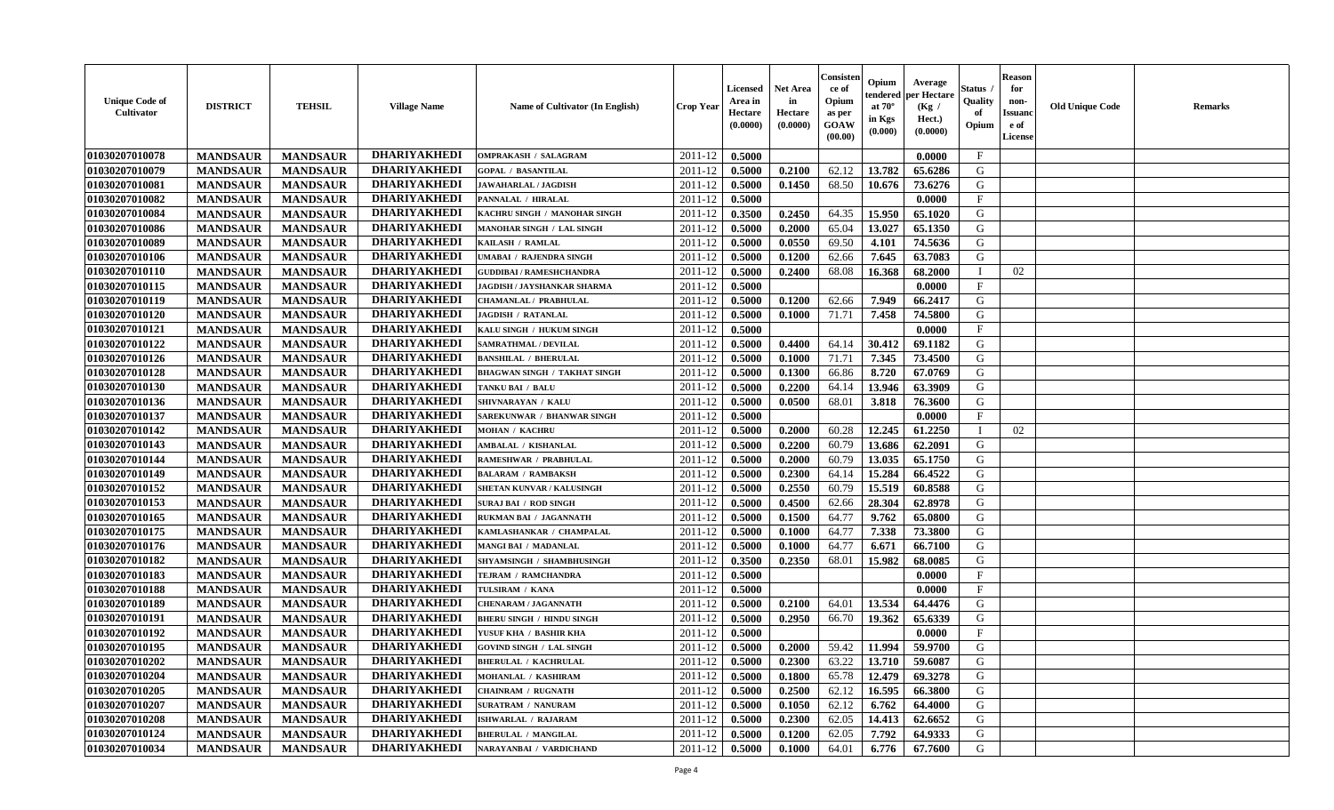| <b>DHARIYAKHEDI</b><br>$\mathbf{F}$<br>01030207010078<br><b>MANDSAUR</b><br>2011-12<br>0.5000<br><b>MANDSAUR</b><br><b>OMPRAKASH / SALAGRAM</b><br>0.0000<br><b>DHARIYAKHEDI</b><br>13.782<br>01030207010079<br><b>MANDSAUR</b><br>2011-12<br>0.5000<br>62.12<br>G<br><b>MANDSAUR</b><br>0.2100<br>65.6286<br><b>GOPAL / BASANTILAL</b><br><b>DHARIYAKHEDI</b><br>01030207010081<br><b>MANDSAUR</b><br><b>MANDSAUR</b><br>0.5000<br>68.50<br>10.676<br>73.6276<br>G<br><b>JAWAHARLAL / JAGDISH</b><br>2011-12<br>0.1450<br><b>DHARIYAKHEDI</b><br>0.5000<br>0.0000<br>$\mathbf{F}$<br>01030207010082<br><b>MANDSAUR</b><br><b>MANDSAUR</b><br>2011-12<br>PANNALAL / HIRALAL<br><b>DHARIYAKHEDI</b><br>0.2450<br>64.35<br>15.950<br>G<br>01030207010084<br><b>MANDSAUR</b><br><b>MANDSAUR</b><br>2011-12<br>0.3500<br>65.1020<br>KACHRU SINGH / MANOHAR SINGH<br><b>DHARIYAKHEDI</b><br><b>MANDSAUR</b><br><b>MANDSAUR</b><br>0.5000<br>0.2000<br>65.04<br>13.027<br>65.1350<br>G<br>01030207010086<br><b>MANOHAR SINGH / LAL SINGH</b><br>2011-12<br><b>DHARIYAKHEDI</b><br>01030207010089<br><b>MANDSAUR</b><br><b>MANDSAUR</b><br>0.5000<br>0.0550<br>69.50<br>74.5636<br>G<br>2011-12<br>4.101<br>KAILASH / RAMLAL<br><b>DHARIYAKHEDI</b><br>01030207010106<br>G<br><b>MANDSAUR</b><br><b>MANDSAUR</b><br>2011-12<br>0.5000<br>62.66<br>7.645<br>63.7083<br>UMABAI / RAJENDRA SINGH<br>0.1200<br><b>DHARIYAKHEDI</b><br>01030207010110<br><b>MANDSAUR</b><br><b>MANDSAUR</b><br>2011-12<br>0.5000<br>0.2400<br>68.08<br>68.2000<br>02<br>16.368<br><b>GUDDIBAI / RAMESHCHANDRA</b><br><b>DHARIYAKHEDI</b><br>$\mathbf{F}$<br>01030207010115<br>2011-12<br>0.5000<br><b>MANDSAUR</b><br><b>MANDSAUR</b><br>0.0000<br>JAGDISH / JAYSHANKAR SHARMA<br><b>DHARIYAKHEDI</b><br>G<br><b>MANDSAUR</b><br><b>MANDSAUR</b><br>0.5000<br>0.1200<br>7.949<br>01030207010119<br>CHAMANLAL / PRABHULAL<br>2011-12<br>62.66<br>66.2417<br><b>DHARIYAKHEDI</b><br>01030207010120<br><b>MANDSAUR</b><br>0.5000<br>7.458<br>74.5800<br>G<br><b>MANDSAUR</b><br><b>JAGDISH / RATANLAL</b><br>2011-12<br>0.1000<br>71.71<br><b>DHARIYAKHEDI</b><br>01030207010121<br><b>MANDSAUR</b><br>2011-12<br>0.5000<br>0.0000<br>$\mathbf{F}$<br><b>MANDSAUR</b><br>KALU SINGH / HUKUM SINGH<br><b>DHARIYAKHEDI</b><br>01030207010122<br><b>MANDSAUR</b><br><b>MANDSAUR</b><br>0.4400<br>64.14<br>30.412<br>G<br>SAMRATHMAL / DEVILAL<br>2011-12<br>0.5000<br>69.1182<br><b>DHARIYAKHEDI</b><br>01030207010126<br>0.5000<br>71.71<br>7.345<br>73.4500<br>G<br><b>MANDSAUR</b><br><b>MANDSAUR</b><br>2011-12<br>0.1000<br><b>BANSHILAL / BHERULAL</b><br><b>DHARIYAKHEDI</b><br>G<br>01030207010128<br><b>MANDSAUR</b><br><b>MANDSAUR</b><br>2011-12<br>0.5000<br>0.1300<br>66.86<br>8.720<br>67.0769<br><b>BHAGWAN SINGH / TAKHAT SINGH</b><br><b>DHARIYAKHEDI</b><br>13.946<br>G<br>01030207010130<br><b>MANDSAUR</b><br><b>MANDSAUR</b><br>2011-12<br>0.5000<br>0.2200<br>64.14<br>63.3909<br>TANKU BAI / BALU |
|----------------------------------------------------------------------------------------------------------------------------------------------------------------------------------------------------------------------------------------------------------------------------------------------------------------------------------------------------------------------------------------------------------------------------------------------------------------------------------------------------------------------------------------------------------------------------------------------------------------------------------------------------------------------------------------------------------------------------------------------------------------------------------------------------------------------------------------------------------------------------------------------------------------------------------------------------------------------------------------------------------------------------------------------------------------------------------------------------------------------------------------------------------------------------------------------------------------------------------------------------------------------------------------------------------------------------------------------------------------------------------------------------------------------------------------------------------------------------------------------------------------------------------------------------------------------------------------------------------------------------------------------------------------------------------------------------------------------------------------------------------------------------------------------------------------------------------------------------------------------------------------------------------------------------------------------------------------------------------------------------------------------------------------------------------------------------------------------------------------------------------------------------------------------------------------------------------------------------------------------------------------------------------------------------------------------------------------------------------------------------------------------------------------------------------------------------------------------------------------------------------------------------------------------------------------------------------------------------------------------------------------------------------------------------------------------------------------------------------------------------------------------------------------------------------------------------------------------------------------------------------------------------------------------------------------------------------------------------------------|
|                                                                                                                                                                                                                                                                                                                                                                                                                                                                                                                                                                                                                                                                                                                                                                                                                                                                                                                                                                                                                                                                                                                                                                                                                                                                                                                                                                                                                                                                                                                                                                                                                                                                                                                                                                                                                                                                                                                                                                                                                                                                                                                                                                                                                                                                                                                                                                                                                                                                                                                                                                                                                                                                                                                                                                                                                                                                                                                                                                                        |
|                                                                                                                                                                                                                                                                                                                                                                                                                                                                                                                                                                                                                                                                                                                                                                                                                                                                                                                                                                                                                                                                                                                                                                                                                                                                                                                                                                                                                                                                                                                                                                                                                                                                                                                                                                                                                                                                                                                                                                                                                                                                                                                                                                                                                                                                                                                                                                                                                                                                                                                                                                                                                                                                                                                                                                                                                                                                                                                                                                                        |
|                                                                                                                                                                                                                                                                                                                                                                                                                                                                                                                                                                                                                                                                                                                                                                                                                                                                                                                                                                                                                                                                                                                                                                                                                                                                                                                                                                                                                                                                                                                                                                                                                                                                                                                                                                                                                                                                                                                                                                                                                                                                                                                                                                                                                                                                                                                                                                                                                                                                                                                                                                                                                                                                                                                                                                                                                                                                                                                                                                                        |
|                                                                                                                                                                                                                                                                                                                                                                                                                                                                                                                                                                                                                                                                                                                                                                                                                                                                                                                                                                                                                                                                                                                                                                                                                                                                                                                                                                                                                                                                                                                                                                                                                                                                                                                                                                                                                                                                                                                                                                                                                                                                                                                                                                                                                                                                                                                                                                                                                                                                                                                                                                                                                                                                                                                                                                                                                                                                                                                                                                                        |
|                                                                                                                                                                                                                                                                                                                                                                                                                                                                                                                                                                                                                                                                                                                                                                                                                                                                                                                                                                                                                                                                                                                                                                                                                                                                                                                                                                                                                                                                                                                                                                                                                                                                                                                                                                                                                                                                                                                                                                                                                                                                                                                                                                                                                                                                                                                                                                                                                                                                                                                                                                                                                                                                                                                                                                                                                                                                                                                                                                                        |
|                                                                                                                                                                                                                                                                                                                                                                                                                                                                                                                                                                                                                                                                                                                                                                                                                                                                                                                                                                                                                                                                                                                                                                                                                                                                                                                                                                                                                                                                                                                                                                                                                                                                                                                                                                                                                                                                                                                                                                                                                                                                                                                                                                                                                                                                                                                                                                                                                                                                                                                                                                                                                                                                                                                                                                                                                                                                                                                                                                                        |
|                                                                                                                                                                                                                                                                                                                                                                                                                                                                                                                                                                                                                                                                                                                                                                                                                                                                                                                                                                                                                                                                                                                                                                                                                                                                                                                                                                                                                                                                                                                                                                                                                                                                                                                                                                                                                                                                                                                                                                                                                                                                                                                                                                                                                                                                                                                                                                                                                                                                                                                                                                                                                                                                                                                                                                                                                                                                                                                                                                                        |
|                                                                                                                                                                                                                                                                                                                                                                                                                                                                                                                                                                                                                                                                                                                                                                                                                                                                                                                                                                                                                                                                                                                                                                                                                                                                                                                                                                                                                                                                                                                                                                                                                                                                                                                                                                                                                                                                                                                                                                                                                                                                                                                                                                                                                                                                                                                                                                                                                                                                                                                                                                                                                                                                                                                                                                                                                                                                                                                                                                                        |
|                                                                                                                                                                                                                                                                                                                                                                                                                                                                                                                                                                                                                                                                                                                                                                                                                                                                                                                                                                                                                                                                                                                                                                                                                                                                                                                                                                                                                                                                                                                                                                                                                                                                                                                                                                                                                                                                                                                                                                                                                                                                                                                                                                                                                                                                                                                                                                                                                                                                                                                                                                                                                                                                                                                                                                                                                                                                                                                                                                                        |
|                                                                                                                                                                                                                                                                                                                                                                                                                                                                                                                                                                                                                                                                                                                                                                                                                                                                                                                                                                                                                                                                                                                                                                                                                                                                                                                                                                                                                                                                                                                                                                                                                                                                                                                                                                                                                                                                                                                                                                                                                                                                                                                                                                                                                                                                                                                                                                                                                                                                                                                                                                                                                                                                                                                                                                                                                                                                                                                                                                                        |
|                                                                                                                                                                                                                                                                                                                                                                                                                                                                                                                                                                                                                                                                                                                                                                                                                                                                                                                                                                                                                                                                                                                                                                                                                                                                                                                                                                                                                                                                                                                                                                                                                                                                                                                                                                                                                                                                                                                                                                                                                                                                                                                                                                                                                                                                                                                                                                                                                                                                                                                                                                                                                                                                                                                                                                                                                                                                                                                                                                                        |
|                                                                                                                                                                                                                                                                                                                                                                                                                                                                                                                                                                                                                                                                                                                                                                                                                                                                                                                                                                                                                                                                                                                                                                                                                                                                                                                                                                                                                                                                                                                                                                                                                                                                                                                                                                                                                                                                                                                                                                                                                                                                                                                                                                                                                                                                                                                                                                                                                                                                                                                                                                                                                                                                                                                                                                                                                                                                                                                                                                                        |
|                                                                                                                                                                                                                                                                                                                                                                                                                                                                                                                                                                                                                                                                                                                                                                                                                                                                                                                                                                                                                                                                                                                                                                                                                                                                                                                                                                                                                                                                                                                                                                                                                                                                                                                                                                                                                                                                                                                                                                                                                                                                                                                                                                                                                                                                                                                                                                                                                                                                                                                                                                                                                                                                                                                                                                                                                                                                                                                                                                                        |
|                                                                                                                                                                                                                                                                                                                                                                                                                                                                                                                                                                                                                                                                                                                                                                                                                                                                                                                                                                                                                                                                                                                                                                                                                                                                                                                                                                                                                                                                                                                                                                                                                                                                                                                                                                                                                                                                                                                                                                                                                                                                                                                                                                                                                                                                                                                                                                                                                                                                                                                                                                                                                                                                                                                                                                                                                                                                                                                                                                                        |
|                                                                                                                                                                                                                                                                                                                                                                                                                                                                                                                                                                                                                                                                                                                                                                                                                                                                                                                                                                                                                                                                                                                                                                                                                                                                                                                                                                                                                                                                                                                                                                                                                                                                                                                                                                                                                                                                                                                                                                                                                                                                                                                                                                                                                                                                                                                                                                                                                                                                                                                                                                                                                                                                                                                                                                                                                                                                                                                                                                                        |
|                                                                                                                                                                                                                                                                                                                                                                                                                                                                                                                                                                                                                                                                                                                                                                                                                                                                                                                                                                                                                                                                                                                                                                                                                                                                                                                                                                                                                                                                                                                                                                                                                                                                                                                                                                                                                                                                                                                                                                                                                                                                                                                                                                                                                                                                                                                                                                                                                                                                                                                                                                                                                                                                                                                                                                                                                                                                                                                                                                                        |
|                                                                                                                                                                                                                                                                                                                                                                                                                                                                                                                                                                                                                                                                                                                                                                                                                                                                                                                                                                                                                                                                                                                                                                                                                                                                                                                                                                                                                                                                                                                                                                                                                                                                                                                                                                                                                                                                                                                                                                                                                                                                                                                                                                                                                                                                                                                                                                                                                                                                                                                                                                                                                                                                                                                                                                                                                                                                                                                                                                                        |
| <b>DHARIYAKHEDI</b><br>01030207010136<br>G<br><b>MANDSAUR</b><br><b>MANDSAUR</b><br>2011-12<br>68.01<br>0.5000<br>0.0500<br>3.818<br>76.3600<br>SHIVNARAYAN / KALU                                                                                                                                                                                                                                                                                                                                                                                                                                                                                                                                                                                                                                                                                                                                                                                                                                                                                                                                                                                                                                                                                                                                                                                                                                                                                                                                                                                                                                                                                                                                                                                                                                                                                                                                                                                                                                                                                                                                                                                                                                                                                                                                                                                                                                                                                                                                                                                                                                                                                                                                                                                                                                                                                                                                                                                                                     |
| <b>DHARIYAKHEDI</b><br>01030207010137<br><b>MANDSAUR</b><br>0.5000<br>F<br><b>MANDSAUR</b><br>2011-12<br>0.0000<br><b>SAREKUNWAR / BHANWAR SINGH</b>                                                                                                                                                                                                                                                                                                                                                                                                                                                                                                                                                                                                                                                                                                                                                                                                                                                                                                                                                                                                                                                                                                                                                                                                                                                                                                                                                                                                                                                                                                                                                                                                                                                                                                                                                                                                                                                                                                                                                                                                                                                                                                                                                                                                                                                                                                                                                                                                                                                                                                                                                                                                                                                                                                                                                                                                                                   |
| <b>DHARIYAKHEDI</b><br>01030207010142<br><b>MANDSAUR</b><br><b>MANDSAUR</b><br>0.2000<br>60.28<br>12.245<br>61.2250<br><b>MOHAN / KACHRU</b><br>2011-12<br>0.5000<br>02                                                                                                                                                                                                                                                                                                                                                                                                                                                                                                                                                                                                                                                                                                                                                                                                                                                                                                                                                                                                                                                                                                                                                                                                                                                                                                                                                                                                                                                                                                                                                                                                                                                                                                                                                                                                                                                                                                                                                                                                                                                                                                                                                                                                                                                                                                                                                                                                                                                                                                                                                                                                                                                                                                                                                                                                                |
| <b>DHARIYAKHEDI</b><br>0.5000<br>0.2200<br>13.686<br>62.2091<br>G<br>01030207010143<br><b>MANDSAUR</b><br><b>MANDSAUR</b><br>2011-12<br>60.79<br>AMBALAL / KISHANLAL                                                                                                                                                                                                                                                                                                                                                                                                                                                                                                                                                                                                                                                                                                                                                                                                                                                                                                                                                                                                                                                                                                                                                                                                                                                                                                                                                                                                                                                                                                                                                                                                                                                                                                                                                                                                                                                                                                                                                                                                                                                                                                                                                                                                                                                                                                                                                                                                                                                                                                                                                                                                                                                                                                                                                                                                                   |
| <b>DHARIYAKHEDI</b><br>G<br><b>MANDSAUR</b><br>0.5000<br>13.035<br>01030207010144<br><b>MANDSAUR</b><br>2011-12<br>0.2000<br>60.79<br>65.1750<br>RAMESHWAR / PRABHULAL                                                                                                                                                                                                                                                                                                                                                                                                                                                                                                                                                                                                                                                                                                                                                                                                                                                                                                                                                                                                                                                                                                                                                                                                                                                                                                                                                                                                                                                                                                                                                                                                                                                                                                                                                                                                                                                                                                                                                                                                                                                                                                                                                                                                                                                                                                                                                                                                                                                                                                                                                                                                                                                                                                                                                                                                                 |
| <b>DHARIYAKHEDI</b><br>01030207010149<br>15.284<br>G<br><b>MANDSAUR</b><br><b>MANDSAUR</b><br>2011-12<br>0.5000<br>0.2300<br>64.14<br>66.4522<br><b>BALARAM / RAMBAKSH</b>                                                                                                                                                                                                                                                                                                                                                                                                                                                                                                                                                                                                                                                                                                                                                                                                                                                                                                                                                                                                                                                                                                                                                                                                                                                                                                                                                                                                                                                                                                                                                                                                                                                                                                                                                                                                                                                                                                                                                                                                                                                                                                                                                                                                                                                                                                                                                                                                                                                                                                                                                                                                                                                                                                                                                                                                             |
| <b>DHARIYAKHEDI</b><br>01030207010152<br>2011-12<br>60.79<br>15.519<br>G<br><b>MANDSAUR</b><br>0.5000<br>0.2550<br>60.8588<br><b>MANDSAUR</b><br>SHETAN KUNVAR / KALUSINGH                                                                                                                                                                                                                                                                                                                                                                                                                                                                                                                                                                                                                                                                                                                                                                                                                                                                                                                                                                                                                                                                                                                                                                                                                                                                                                                                                                                                                                                                                                                                                                                                                                                                                                                                                                                                                                                                                                                                                                                                                                                                                                                                                                                                                                                                                                                                                                                                                                                                                                                                                                                                                                                                                                                                                                                                             |
| <b>DHARIYAKHEDI</b><br>01030207010153<br>G<br><b>MANDSAUR</b><br><b>MANDSAUR</b><br>2011-12<br>0.5000<br>0.4500<br>62.66<br>28.304<br>62.8978<br><b>SURAJ BAI / ROD SINGH</b>                                                                                                                                                                                                                                                                                                                                                                                                                                                                                                                                                                                                                                                                                                                                                                                                                                                                                                                                                                                                                                                                                                                                                                                                                                                                                                                                                                                                                                                                                                                                                                                                                                                                                                                                                                                                                                                                                                                                                                                                                                                                                                                                                                                                                                                                                                                                                                                                                                                                                                                                                                                                                                                                                                                                                                                                          |
| <b>DHARIYAKHEDI</b><br>G<br>01030207010165<br><b>MANDSAUR</b><br>2011-12<br>0.5000<br>64.77<br>9.762<br><b>MANDSAUR</b><br>RUKMAN BAI / JAGANNATH<br>0.1500<br>65.0800                                                                                                                                                                                                                                                                                                                                                                                                                                                                                                                                                                                                                                                                                                                                                                                                                                                                                                                                                                                                                                                                                                                                                                                                                                                                                                                                                                                                                                                                                                                                                                                                                                                                                                                                                                                                                                                                                                                                                                                                                                                                                                                                                                                                                                                                                                                                                                                                                                                                                                                                                                                                                                                                                                                                                                                                                 |
| <b>DHARIYAKHEDI</b><br>7.338<br>01030207010175<br><b>MANDSAUR</b><br><b>MANDSAUR</b><br>2011-12<br>0.5000<br>0.1000<br>64.77<br>73.3800<br>G<br>KAMLASHANKAR / CHAMPALAL                                                                                                                                                                                                                                                                                                                                                                                                                                                                                                                                                                                                                                                                                                                                                                                                                                                                                                                                                                                                                                                                                                                                                                                                                                                                                                                                                                                                                                                                                                                                                                                                                                                                                                                                                                                                                                                                                                                                                                                                                                                                                                                                                                                                                                                                                                                                                                                                                                                                                                                                                                                                                                                                                                                                                                                                               |
| <b>DHARIYAKHEDI</b><br>01030207010176<br><b>MANDSAUR</b><br><b>MANDSAUR</b><br>0.5000<br>6.671<br>66.7100<br>G<br><b>MANGI BAI / MADANLAL</b><br>2011-12<br>0.1000<br>64.77                                                                                                                                                                                                                                                                                                                                                                                                                                                                                                                                                                                                                                                                                                                                                                                                                                                                                                                                                                                                                                                                                                                                                                                                                                                                                                                                                                                                                                                                                                                                                                                                                                                                                                                                                                                                                                                                                                                                                                                                                                                                                                                                                                                                                                                                                                                                                                                                                                                                                                                                                                                                                                                                                                                                                                                                            |
| <b>DHARIYAKHEDI</b><br>01030207010182<br><b>MANDSAUR</b><br><b>MANDSAUR</b><br>68.01<br>15.982<br>68.0085<br>G<br>SHYAMSINGH / SHAMBHUSINGH<br>2011-12<br>0.3500<br>0.2350                                                                                                                                                                                                                                                                                                                                                                                                                                                                                                                                                                                                                                                                                                                                                                                                                                                                                                                                                                                                                                                                                                                                                                                                                                                                                                                                                                                                                                                                                                                                                                                                                                                                                                                                                                                                                                                                                                                                                                                                                                                                                                                                                                                                                                                                                                                                                                                                                                                                                                                                                                                                                                                                                                                                                                                                             |
| <b>DHARIYAKHEDI</b><br>01030207010183<br><b>MANDSAUR</b><br>0.5000<br>$\mathbf{F}$<br><b>MANDSAUR</b><br>2011-12<br>0.0000<br>TEJRAM / RAMCHANDRA                                                                                                                                                                                                                                                                                                                                                                                                                                                                                                                                                                                                                                                                                                                                                                                                                                                                                                                                                                                                                                                                                                                                                                                                                                                                                                                                                                                                                                                                                                                                                                                                                                                                                                                                                                                                                                                                                                                                                                                                                                                                                                                                                                                                                                                                                                                                                                                                                                                                                                                                                                                                                                                                                                                                                                                                                                      |
| <b>DHARIYAKHEDI</b><br>01030207010188<br><b>MANDSAUR</b><br><b>MANDSAUR</b><br>TULSIRAM / KANA<br>2011-12<br>0.5000<br>0.0000<br>$\mathbf F$                                                                                                                                                                                                                                                                                                                                                                                                                                                                                                                                                                                                                                                                                                                                                                                                                                                                                                                                                                                                                                                                                                                                                                                                                                                                                                                                                                                                                                                                                                                                                                                                                                                                                                                                                                                                                                                                                                                                                                                                                                                                                                                                                                                                                                                                                                                                                                                                                                                                                                                                                                                                                                                                                                                                                                                                                                           |
| <b>DHARIYAKHEDI</b><br>G<br>01030207010189<br>2011-12<br>64.01<br>13.534<br>64.4476<br><b>MANDSAUR</b><br><b>MANDSAUR</b><br>0.5000<br>0.2100<br><b>CHENARAM / JAGANNATH</b>                                                                                                                                                                                                                                                                                                                                                                                                                                                                                                                                                                                                                                                                                                                                                                                                                                                                                                                                                                                                                                                                                                                                                                                                                                                                                                                                                                                                                                                                                                                                                                                                                                                                                                                                                                                                                                                                                                                                                                                                                                                                                                                                                                                                                                                                                                                                                                                                                                                                                                                                                                                                                                                                                                                                                                                                           |
| <b>DHARIYAKHEDI</b><br>G<br>01030207010191<br>66.70<br>19.362<br><b>MANDSAUR</b><br><b>MANDSAUR</b><br>2011-12<br>0.5000<br>0.2950<br>65.6339<br><b>BHERU SINGH / HINDU SINGH</b>                                                                                                                                                                                                                                                                                                                                                                                                                                                                                                                                                                                                                                                                                                                                                                                                                                                                                                                                                                                                                                                                                                                                                                                                                                                                                                                                                                                                                                                                                                                                                                                                                                                                                                                                                                                                                                                                                                                                                                                                                                                                                                                                                                                                                                                                                                                                                                                                                                                                                                                                                                                                                                                                                                                                                                                                      |
| <b>DHARIYAKHEDI</b><br>$\mathbf{F}$<br>01030207010192<br><b>MANDSAUR</b><br>2011-12<br>0.5000<br><b>MANDSAUR</b><br>0.0000<br>YUSUF KHA / BASHIR KHA                                                                                                                                                                                                                                                                                                                                                                                                                                                                                                                                                                                                                                                                                                                                                                                                                                                                                                                                                                                                                                                                                                                                                                                                                                                                                                                                                                                                                                                                                                                                                                                                                                                                                                                                                                                                                                                                                                                                                                                                                                                                                                                                                                                                                                                                                                                                                                                                                                                                                                                                                                                                                                                                                                                                                                                                                                   |
| <b>DHARIYAKHEDI</b><br>01030207010195<br>0.5000<br>0.2000<br>59.42<br>11.994<br>59.9700<br>G<br><b>MANDSAUR</b><br><b>MANDSAUR</b><br>2011-12<br><b>GOVIND SINGH / LAL SINGH</b>                                                                                                                                                                                                                                                                                                                                                                                                                                                                                                                                                                                                                                                                                                                                                                                                                                                                                                                                                                                                                                                                                                                                                                                                                                                                                                                                                                                                                                                                                                                                                                                                                                                                                                                                                                                                                                                                                                                                                                                                                                                                                                                                                                                                                                                                                                                                                                                                                                                                                                                                                                                                                                                                                                                                                                                                       |
| 01030207010202<br><b>DHARIYAKHEDI</b><br>0.2300<br>$63.22$   13.710   59.6087<br>G<br><b>MANDSAUR</b><br><b>MANDSAUR</b><br><b>BHERULAL / KACHRULAL</b><br>$2011-12$ 0.5000                                                                                                                                                                                                                                                                                                                                                                                                                                                                                                                                                                                                                                                                                                                                                                                                                                                                                                                                                                                                                                                                                                                                                                                                                                                                                                                                                                                                                                                                                                                                                                                                                                                                                                                                                                                                                                                                                                                                                                                                                                                                                                                                                                                                                                                                                                                                                                                                                                                                                                                                                                                                                                                                                                                                                                                                            |
| <b>DHARIYAKHEDI</b><br>01030207010204<br><b>MANDSAUR</b><br><b>MANDSAUR</b><br>2011-12<br>0.5000<br>0.1800<br>65.78<br>12.479<br>69.3278<br>G<br>MOHANLAL / KASHIRAM                                                                                                                                                                                                                                                                                                                                                                                                                                                                                                                                                                                                                                                                                                                                                                                                                                                                                                                                                                                                                                                                                                                                                                                                                                                                                                                                                                                                                                                                                                                                                                                                                                                                                                                                                                                                                                                                                                                                                                                                                                                                                                                                                                                                                                                                                                                                                                                                                                                                                                                                                                                                                                                                                                                                                                                                                   |
| <b>DHARIYAKHEDI</b><br>16.595<br>01030207010205<br><b>MANDSAUR</b><br><b>MANDSAUR</b><br>2011-12<br>0.5000<br>0.2500<br>62.12<br>66.3800<br>G<br><b>CHAINRAM / RUGNATH</b>                                                                                                                                                                                                                                                                                                                                                                                                                                                                                                                                                                                                                                                                                                                                                                                                                                                                                                                                                                                                                                                                                                                                                                                                                                                                                                                                                                                                                                                                                                                                                                                                                                                                                                                                                                                                                                                                                                                                                                                                                                                                                                                                                                                                                                                                                                                                                                                                                                                                                                                                                                                                                                                                                                                                                                                                             |
| DHARIYAKHEDI<br><b>MANDSAUR</b><br><b>MANDSAUR</b><br>G<br>01030207010207<br><b>SURATRAM / NANURAM</b><br>2011-12<br>0.5000<br>0.1050<br>62.12<br>6.762<br>64.4000                                                                                                                                                                                                                                                                                                                                                                                                                                                                                                                                                                                                                                                                                                                                                                                                                                                                                                                                                                                                                                                                                                                                                                                                                                                                                                                                                                                                                                                                                                                                                                                                                                                                                                                                                                                                                                                                                                                                                                                                                                                                                                                                                                                                                                                                                                                                                                                                                                                                                                                                                                                                                                                                                                                                                                                                                     |
| 01030207010208<br><b>DHARIYAKHEDI</b><br>62.05<br>G<br><b>MANDSAUR</b><br><b>MANDSAUR</b><br>2011-12<br>0.5000<br>0.2300<br>14.413<br>62.6652<br><b>ISHWARLAL / RAJARAM</b>                                                                                                                                                                                                                                                                                                                                                                                                                                                                                                                                                                                                                                                                                                                                                                                                                                                                                                                                                                                                                                                                                                                                                                                                                                                                                                                                                                                                                                                                                                                                                                                                                                                                                                                                                                                                                                                                                                                                                                                                                                                                                                                                                                                                                                                                                                                                                                                                                                                                                                                                                                                                                                                                                                                                                                                                            |
| 01030207010124<br><b>DHARIYAKHEDI</b><br><b>MANDSAUR</b><br>2011-12<br>62.05<br>G<br><b>MANDSAUR</b><br><b>BHERULAL / MANGILAL</b><br>0.5000<br>0.1200<br>7.792<br>64.9333                                                                                                                                                                                                                                                                                                                                                                                                                                                                                                                                                                                                                                                                                                                                                                                                                                                                                                                                                                                                                                                                                                                                                                                                                                                                                                                                                                                                                                                                                                                                                                                                                                                                                                                                                                                                                                                                                                                                                                                                                                                                                                                                                                                                                                                                                                                                                                                                                                                                                                                                                                                                                                                                                                                                                                                                             |
| 01030207010034<br><b>DHARIYAKHEDI</b><br>G<br><b>MANDSAUR</b><br>2011-12<br>0.5000<br>64.01<br>6.776<br>67.7600<br><b>MANDSAUR</b><br>NARAYANBAI / VARDICHAND<br>0.1000                                                                                                                                                                                                                                                                                                                                                                                                                                                                                                                                                                                                                                                                                                                                                                                                                                                                                                                                                                                                                                                                                                                                                                                                                                                                                                                                                                                                                                                                                                                                                                                                                                                                                                                                                                                                                                                                                                                                                                                                                                                                                                                                                                                                                                                                                                                                                                                                                                                                                                                                                                                                                                                                                                                                                                                                                |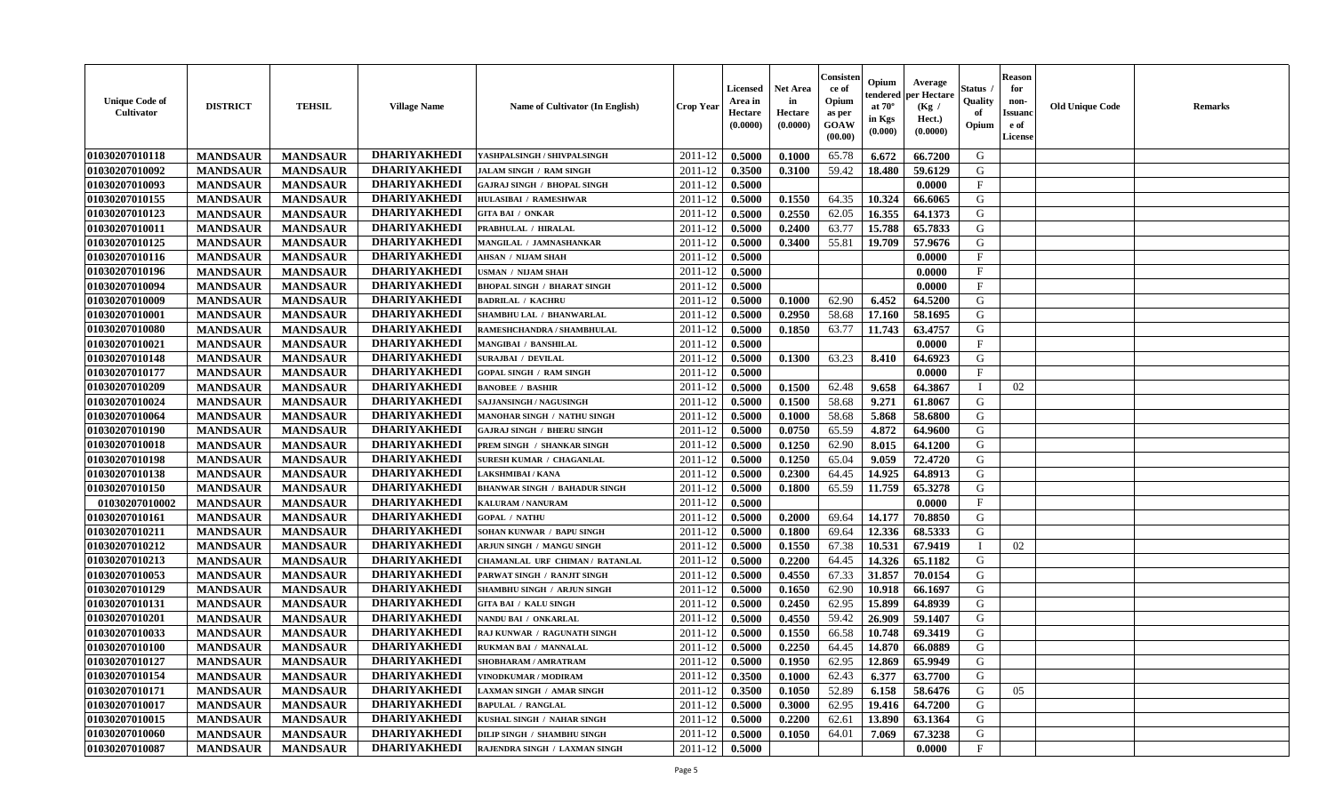| <b>Unique Code of</b><br><b>Cultivator</b> | <b>DISTRICT</b> | <b>TEHSIL</b>                      | <b>Village Name</b> | <b>Name of Cultivator (In English)</b>                     | <b>Crop Year</b> | Licensed<br>Area in<br>Hectare<br>(0.0000) | <b>Net Area</b><br>in<br>Hectare<br>(0.0000) | Consister<br>ce of<br>Opium<br>as per<br>GOAW<br>(00.00) | Opium<br>endered<br>at $70^{\circ}$<br>in Kgs<br>$(\mathbf{0.000})$ | Average<br>per Hectare<br>(Kg /<br>Hect.)<br>(0.0000) | Status<br>Quality<br>of<br>Opium | <b>Reason</b><br>for<br>non-<br><b>Issuano</b><br>e of<br>License | <b>Old Unique Code</b> | <b>Remarks</b> |
|--------------------------------------------|-----------------|------------------------------------|---------------------|------------------------------------------------------------|------------------|--------------------------------------------|----------------------------------------------|----------------------------------------------------------|---------------------------------------------------------------------|-------------------------------------------------------|----------------------------------|-------------------------------------------------------------------|------------------------|----------------|
| 01030207010118                             | <b>MANDSAUR</b> | <b>MANDSAUR</b>                    | <b>DHARIYAKHEDI</b> | YASHPALSINGH / SHIVPALSINGH                                | 2011-12          | 0.5000                                     | 0.1000                                       | 65.78                                                    | 6.672                                                               | 66.7200                                               | G                                |                                                                   |                        |                |
| 01030207010092                             | <b>MANDSAUR</b> | <b>MANDSAUR</b>                    | <b>DHARIYAKHEDI</b> | <b>JALAM SINGH / RAM SINGH</b>                             | 2011-12          | 0.3500                                     | 0.3100                                       | 59.42                                                    | 18.480                                                              | 59.6129                                               | G                                |                                                                   |                        |                |
| 01030207010093                             | <b>MANDSAUR</b> | <b>MANDSAUR</b>                    | <b>DHARIYAKHEDI</b> | <b>GAJRAJ SINGH / BHOPAL SINGH</b>                         | 2011-12          | 0.5000                                     |                                              |                                                          |                                                                     | 0.0000                                                | $\mathbf{F}$                     |                                                                   |                        |                |
| 01030207010155                             | <b>MANDSAUR</b> | <b>MANDSAUR</b>                    | <b>DHARIYAKHEDI</b> | HULASIBAI / RAMESHWAR                                      | 2011-12          | 0.5000                                     | 0.1550                                       | 64.35                                                    | 10.324                                                              | 66.6065                                               | G                                |                                                                   |                        |                |
| 01030207010123                             | <b>MANDSAUR</b> | <b>MANDSAUR</b>                    | <b>DHARIYAKHEDI</b> | <b>GITA BAI / ONKAR</b>                                    | 2011-12          | 0.5000                                     | 0.2550                                       | 62.05                                                    | 16.355                                                              | 64.1373                                               | G                                |                                                                   |                        |                |
| 01030207010011                             | <b>MANDSAUR</b> | <b>MANDSAUR</b>                    | <b>DHARIYAKHEDI</b> | PRABHULAL / HIRALAL                                        | 2011-12          | 0.5000                                     | 0.2400                                       | 63.77                                                    | 15.788                                                              | 65.7833                                               | G                                |                                                                   |                        |                |
| 01030207010125                             | <b>MANDSAUR</b> | <b>MANDSAUR</b>                    | <b>DHARIYAKHEDI</b> | MANGILAL / JAMNASHANKAR                                    | 2011-12          | 0.5000                                     | 0.3400                                       | 55.81                                                    | 19.709                                                              | 57.9676                                               | G                                |                                                                   |                        |                |
| 01030207010116                             | <b>MANDSAUR</b> | <b>MANDSAUR</b>                    | <b>DHARIYAKHEDI</b> | <b>AHSAN / NIJAM SHAH</b>                                  | 2011-12          | 0.5000                                     |                                              |                                                          |                                                                     | 0.0000                                                | $\mathbf{F}$                     |                                                                   |                        |                |
| 01030207010196                             | <b>MANDSAUR</b> | <b>MANDSAUR</b>                    | <b>DHARIYAKHEDI</b> | USMAN / NIJAM SHAH                                         | 2011-12          | 0.5000                                     |                                              |                                                          |                                                                     | 0.0000                                                | $_{\rm F}$                       |                                                                   |                        |                |
| 01030207010094                             | <b>MANDSAUR</b> | <b>MANDSAUR</b>                    | <b>DHARIYAKHEDI</b> | <b>BHOPAL SINGH / BHARAT SINGH</b>                         | 2011-12          | 0.5000                                     |                                              |                                                          |                                                                     | 0.0000                                                | $\mathbf{F}$                     |                                                                   |                        |                |
| 01030207010009                             | <b>MANDSAUR</b> | <b>MANDSAUR</b>                    | <b>DHARIYAKHEDI</b> | <b>BADRILAL / KACHRU</b>                                   | 2011-12          | 0.5000                                     | 0.1000                                       | 62.90                                                    | 6.452                                                               | 64.5200                                               | G                                |                                                                   |                        |                |
| 01030207010001                             | <b>MANDSAUR</b> | <b>MANDSAUR</b>                    | <b>DHARIYAKHEDI</b> | SHAMBHU LAL / BHANWARLAL                                   | 2011-12          | 0.5000                                     | 0.2950                                       | 58.68                                                    | 17.160                                                              | 58.1695                                               | G                                |                                                                   |                        |                |
| 01030207010080                             | <b>MANDSAUR</b> | <b>MANDSAUR</b>                    | <b>DHARIYAKHEDI</b> | RAMESHCHANDRA / SHAMBHULAL                                 | 2011-12          | 0.5000                                     | 0.1850                                       | 63.77                                                    | 11.743                                                              | 63.4757                                               | G                                |                                                                   |                        |                |
| 01030207010021                             | <b>MANDSAUR</b> | <b>MANDSAUR</b>                    | <b>DHARIYAKHEDI</b> | MANGIBAI / BANSHILAL                                       | 2011-12          | 0.5000                                     |                                              |                                                          |                                                                     | 0.0000                                                | $\mathbf{F}$                     |                                                                   |                        |                |
| 01030207010148                             | <b>MANDSAUR</b> | <b>MANDSAUR</b>                    | <b>DHARIYAKHEDI</b> | <b>SURAJBAI / DEVILAL</b>                                  | 2011-12          | 0.5000                                     | 0.1300                                       | 63.23                                                    | 8.410                                                               | 64.6923                                               | G                                |                                                                   |                        |                |
| 01030207010177                             | <b>MANDSAUR</b> | <b>MANDSAUR</b>                    | <b>DHARIYAKHEDI</b> | <b>GOPAL SINGH / RAM SINGH</b>                             | 2011-12          | 0.5000                                     |                                              |                                                          |                                                                     | 0.0000                                                | F                                |                                                                   |                        |                |
| 01030207010209                             | <b>MANDSAUR</b> | <b>MANDSAUR</b>                    | <b>DHARIYAKHEDI</b> | <b>BANOBEE / BASHIR</b>                                    | 2011-12          | 0.5000                                     | 0.1500                                       | 62.48                                                    | 9.658                                                               | 64.3867                                               | $\blacksquare$                   | 02                                                                |                        |                |
| 01030207010024                             | <b>MANDSAUR</b> | <b>MANDSAUR</b>                    | <b>DHARIYAKHEDI</b> | SAJJANSINGH / NAGUSINGH                                    | 2011-12          | 0.5000                                     | 0.1500                                       | 58.68                                                    | 9.271                                                               | 61.8067                                               | G                                |                                                                   |                        |                |
| 01030207010064                             | <b>MANDSAUR</b> | <b>MANDSAUR</b>                    | <b>DHARIYAKHEDI</b> | MANOHAR SINGH / NATHU SINGH                                | 2011-12          | 0.5000                                     | 0.1000                                       | 58.68                                                    | 5.868                                                               | 58.6800                                               | G                                |                                                                   |                        |                |
| 01030207010190                             | <b>MANDSAUR</b> | <b>MANDSAUR</b>                    | <b>DHARIYAKHEDI</b> | <b>GAJRAJ SINGH / BHERU SINGH</b>                          | 2011-12          | 0.5000                                     | 0.0750                                       | 65.59                                                    | 4.872                                                               | 64.9600                                               | G                                |                                                                   |                        |                |
| 01030207010018                             | <b>MANDSAUR</b> | <b>MANDSAUR</b>                    | <b>DHARIYAKHEDI</b> | PREM SINGH / SHANKAR SINGH                                 | 2011-12          | 0.5000                                     | 0.1250                                       | 62.90                                                    | 8.015                                                               | 64.1200                                               | G                                |                                                                   |                        |                |
| 01030207010198                             | <b>MANDSAUR</b> | <b>MANDSAUR</b>                    | <b>DHARIYAKHEDI</b> | <b>SURESH KUMAR / CHAGANLAL</b>                            | 2011-12          | 0.5000                                     | 0.1250                                       | 65.04                                                    | 9.059                                                               | 72,4720                                               | G                                |                                                                   |                        |                |
| 01030207010138                             | <b>MANDSAUR</b> | <b>MANDSAUR</b>                    | <b>DHARIYAKHEDI</b> | LAKSHMIBAI / KANA                                          | 2011-12          | 0.5000                                     | 0.2300                                       | 64.45                                                    | 14.925                                                              | 64.8913                                               | G                                |                                                                   |                        |                |
| 01030207010150                             | <b>MANDSAUR</b> | <b>MANDSAUR</b>                    | <b>DHARIYAKHEDI</b> | <b>BHANWAR SINGH / BAHADUR SINGH</b>                       | 2011-12          | 0.5000                                     | 0.1800                                       | 65.59                                                    | 11.759                                                              | 65.3278                                               | G                                |                                                                   |                        |                |
| 01030207010002                             | <b>MANDSAUR</b> | <b>MANDSAUR</b>                    | <b>DHARIYAKHEDI</b> | KALURAM / NANURAM                                          | 2011-12          | 0.5000                                     |                                              |                                                          |                                                                     | 0.0000                                                | $\mathbf{F}$                     |                                                                   |                        |                |
| 01030207010161                             | <b>MANDSAUR</b> | <b>MANDSAUR</b>                    | <b>DHARIYAKHEDI</b> | <b>GOPAL / NATHU</b>                                       | 2011-12          | 0.5000                                     | 0.2000                                       | 69.64                                                    | 14.177                                                              | 70.8850                                               | G                                |                                                                   |                        |                |
| 01030207010211                             | <b>MANDSAUR</b> | <b>MANDSAUR</b>                    | <b>DHARIYAKHEDI</b> | SOHAN KUNWAR / BAPU SINGH                                  | 2011-12          | 0.5000                                     | 0.1800                                       | 69.64                                                    | 12.336                                                              | 68.5333                                               | G                                |                                                                   |                        |                |
| 01030207010212                             | <b>MANDSAUR</b> | <b>MANDSAUR</b>                    | <b>DHARIYAKHEDI</b> | ARJUN SINGH / MANGU SINGH                                  | 2011-12          | 0.5000                                     | 0.1550                                       | 67.38                                                    | 10.531                                                              | 67.9419                                               |                                  | 02                                                                |                        |                |
| 01030207010213                             | <b>MANDSAUR</b> | <b>MANDSAUR</b>                    | <b>DHARIYAKHEDI</b> | CHAMANLAL URF CHIMAN / RATANLAL                            | 2011-12          | 0.5000                                     | 0.2200                                       | 64.45                                                    | 14.326                                                              | 65.1182                                               | G                                |                                                                   |                        |                |
| 01030207010053                             | <b>MANDSAUR</b> | <b>MANDSAUR</b>                    | <b>DHARIYAKHEDI</b> | PARWAT SINGH / RANJIT SINGH                                | 2011-12          | 0.5000                                     | 0.4550                                       | 67.33                                                    | 31.857                                                              | 70.0154                                               | G                                |                                                                   |                        |                |
| 01030207010129                             | <b>MANDSAUR</b> | <b>MANDSAUR</b>                    | <b>DHARIYAKHEDI</b> | SHAMBHU SINGH / ARJUN SINGH                                | 2011-12          | 0.5000                                     | 0.1650                                       | 62.90                                                    | 10.918                                                              | 66.1697                                               | G                                |                                                                   |                        |                |
| 01030207010131                             | <b>MANDSAUR</b> | <b>MANDSAUR</b>                    | <b>DHARIYAKHEDI</b> | <b>GITA BAI / KALU SINGH</b>                               | 2011-12          | 0.5000                                     | 0.2450                                       | 62.95                                                    | 15.899                                                              | 64.8939                                               | G                                |                                                                   |                        |                |
| 01030207010201                             |                 |                                    | <b>DHARIYAKHEDI</b> |                                                            | 2011-12          |                                            |                                              | 59.42                                                    | 26.909                                                              |                                                       | G                                |                                                                   |                        |                |
| 01030207010033                             | <b>MANDSAUR</b> | <b>MANDSAUR</b><br><b>MANDSAUR</b> | <b>DHARIYAKHEDI</b> | NANDU BAI / ONKARLAL<br><b>RAJ KUNWAR / RAGUNATH SINGH</b> | 2011-12          | 0.5000<br>0.5000                           | 0.4550                                       | 66.58                                                    | 10.748                                                              | 59.1407<br>69.3419                                    | G                                |                                                                   |                        |                |
|                                            | <b>MANDSAUR</b> |                                    | <b>DHARIYAKHEDI</b> | <b>RUKMAN BAI / MANNALAL</b>                               |                  | 0.5000                                     | 0.1550<br>0.2250                             | 64.45                                                    |                                                                     |                                                       |                                  |                                                                   |                        |                |
| 01030207010100                             | <b>MANDSAUR</b> | <b>MANDSAUR</b>                    | <b>DHARIYAKHEDI</b> |                                                            | 2011-12          |                                            |                                              |                                                          | 14.870                                                              | 66.0889                                               | G                                |                                                                   |                        |                |
| 01030207010127                             | <b>MANDSAUR</b> | <b>MANDSAUR</b>                    | <b>DHARIYAKHEDI</b> | <b>SHOBHARAM / AMRATRAM</b>                                | $2011-12$ 0.5000 |                                            | 0.1950                                       | 62.95                                                    | 12.869                                                              | 65.9949                                               | G                                |                                                                   |                        |                |
| 01030207010154                             | <b>MANDSAUR</b> | <b>MANDSAUR</b>                    | <b>DHARIYAKHEDI</b> | VINODKUMAR / MODIRAM                                       | 2011-12          | 0.3500                                     | 0.1000                                       | 62.43                                                    | 6.377                                                               | 63.7700                                               | G                                |                                                                   |                        |                |
| 01030207010171                             | <b>MANDSAUR</b> | <b>MANDSAUR</b>                    |                     | <b>LAXMAN SINGH / AMAR SINGH</b>                           | 2011-12          | 0.3500                                     | 0.1050                                       | 52.89                                                    | 6.158                                                               | 58.6476                                               | G                                | 05                                                                |                        |                |
| 01030207010017                             | <b>MANDSAUR</b> | <b>MANDSAUR</b>                    | <b>DHARIYAKHEDI</b> | <b>BAPULAL / RANGLAL</b>                                   | 2011-12          | 0.5000                                     | 0.3000                                       | 62.95                                                    | 19.416                                                              | 64.7200                                               | G                                |                                                                   |                        |                |
| 01030207010015                             | <b>MANDSAUR</b> | <b>MANDSAUR</b>                    | <b>DHARIYAKHEDI</b> | KUSHAL SINGH / NAHAR SINGH                                 | 2011-12          | 0.5000                                     | 0.2200                                       | 62.61                                                    | 13.890                                                              | 63.1364                                               | G                                |                                                                   |                        |                |
| 01030207010060                             | <b>MANDSAUR</b> | <b>MANDSAUR</b>                    | <b>DHARIYAKHEDI</b> | DILIP SINGH / SHAMBHU SINGH                                | 2011-12          | 0.5000                                     | 0.1050                                       | 64.01                                                    | 7.069                                                               | 67.3238                                               | G                                |                                                                   |                        |                |
| 01030207010087                             | <b>MANDSAUR</b> | <b>MANDSAUR</b>                    | <b>DHARIYAKHEDI</b> | RAJENDRA SINGH / LAXMAN SINGH                              | 2011-12          | 0.5000                                     |                                              |                                                          |                                                                     | 0.0000                                                | $\mathbf{F}$                     |                                                                   |                        |                |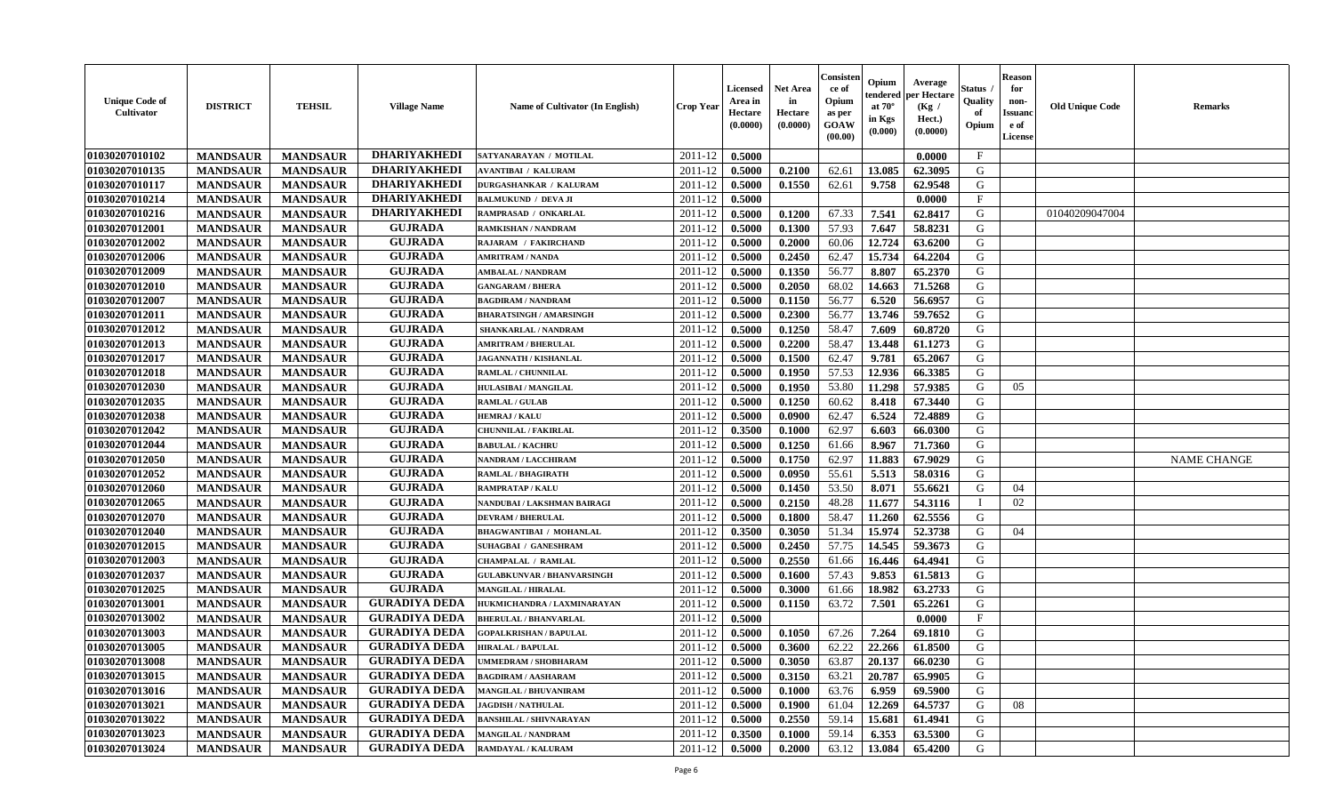| <b>DHARIYAKHEDI</b><br>$\mathbf{F}$<br>2011-12<br>0.5000<br><b>MANDSAUR</b><br><b>MANDSAUR</b><br>SATYANARAYAN / MOTILAL<br>0.0000<br><b>DHARIYAKHEDI</b><br><b>MANDSAUR</b><br>2011-12<br>0.2100<br>62.61<br>13.085<br>G<br><b>MANDSAUR</b><br>0.5000<br>62.3095<br><b>AVANTIBAI / KALURAM</b><br><b>DHARIYAKHEDI</b><br><b>MANDSAUR</b><br><b>MANDSAUR</b><br>0.1550<br>9.758<br>62.9548<br>G<br><b>DURGASHANKAR / KALURAM</b><br>2011-12<br>0.5000<br>62.61<br><b>DHARIYAKHEDI</b><br>$_{\rm F}$<br><b>MANDSAUR</b><br><b>MANDSAUR</b><br>2011-12<br>0.5000<br>0.0000<br><b>BALMUKUND / DEVA JI</b><br><b>DHARIYAKHEDI</b><br>67.33<br>7.541<br><b>MANDSAUR</b><br><b>MANDSAUR</b><br>2011-12<br>0.5000<br>0.1200<br>62.8417<br>G<br>RAMPRASAD / ONKARLAL<br>01040209047004<br><b>GUJRADA</b><br><b>MANDSAUR</b><br><b>MANDSAUR</b><br>0.1300<br>57.93<br>7.647<br>58.8231<br>G<br><b>RAMKISHAN / NANDRAM</b><br>2011-12<br>0.5000<br><b>GUJRADA</b><br>01030207012002<br><b>MANDSAUR</b><br><b>MANDSAUR</b><br>0.2000<br>12.724<br>63.6200<br>G<br>2011-12<br>0.5000<br>60.06<br>RAJARAM / FAKIRCHAND<br><b>GUJRADA</b><br>01030207012006<br>15.734<br>G<br><b>MANDSAUR</b><br><b>MANDSAUR</b><br>2011-12<br>0.5000<br>0.2450<br>62.47<br>64.2204<br><b>AMRITRAM / NANDA</b><br>01030207012009<br><b>GUJRADA</b><br><b>MANDSAUR</b><br><b>MANDSAUR</b><br>2011-12<br>0.1350<br>56.77<br>8.807<br>65.2370<br>G<br><b>AMBALAL / NANDRAM</b><br>0.5000<br><b>GUJRADA</b><br>G<br>01030207012010<br>2011-12<br>0.2050<br>68.02<br>14.663<br>71.5268<br><b>MANDSAUR</b><br>0.5000<br><b>MANDSAUR</b><br><b>GANGARAM / BHERA</b><br><b>GUJRADA</b><br>6.520<br>G<br>01030207012007<br><b>MANDSAUR</b><br><b>MANDSAUR</b><br>0.1150<br>56.77<br>56.6957<br>2011-12<br>0.5000<br><b>BAGDIRAM / NANDRAM</b><br><b>GUJRADA</b><br>01030207012011<br><b>MANDSAUR</b><br><b>MANDSAUR</b><br>0.2300<br>13.746<br>59.7652<br>G<br><b>BHARATSINGH / AMARSINGH</b><br>2011-12<br>0.5000<br>56.77<br><b>GUJRADA</b><br>01030207012012<br><b>MANDSAUR</b><br>0.1250<br>58.47<br>7.609<br>60.8720<br>G<br><b>MANDSAUR</b><br>2011-12<br>0.5000<br>SHANKARLAL / NANDRAM<br><b>GUJRADA</b><br><b>MANDSAUR</b><br><b>MANDSAUR</b><br>0.2200<br>13.448<br>61.1273<br>G<br><b>AMRITRAM / BHERULAL</b><br>2011-12<br>0.5000<br>58.47<br><b>GUJRADA</b><br>01030207012017<br><b>MANDSAUR</b><br>0.1500<br>9.781<br>65.2067<br>G<br><b>MANDSAUR</b><br>2011-12<br>0.5000<br>62.47<br>JAGANNATH / KISHANLAL<br><b>GUJRADA</b><br>57.53<br>12.936<br>G<br>01030207012018<br><b>MANDSAUR</b><br><b>MANDSAUR</b><br>2011-12<br>0.5000<br>0.1950<br>66.3385<br>RAMLAL / CHUNNILAL<br><b>GUJRADA</b><br>01030207012030<br>53.80<br><b>MANDSAUR</b><br><b>MANDSAUR</b><br>2011-12<br>0.5000<br>0.1950<br>11.298<br>57.9385<br>G<br><b>HULASIBAI / MANGILAL</b><br>05<br><b>GUJRADA</b><br>01030207012035<br>G<br><b>MANDSAUR</b><br><b>MANDSAUR</b><br>2011-12<br>60.62<br>67.3440<br><b>RAMLAL / GULAB</b><br>0.5000<br>0.1250<br>8.418<br><b>GUJRADA</b><br>01030207012038<br><b>MANDSAUR</b><br>62.47<br>6.524<br>72.4889<br>G<br><b>MANDSAUR</b><br><b>HEMRAJ / KALU</b><br>2011-12<br>0.5000<br>0.0900<br><b>GUJRADA</b><br>01030207012042<br><b>MANDSAUR</b><br><b>MANDSAUR</b><br>62.97<br><b>CHUNNILAL / FAKIRLAL</b><br>2011-12<br>0.3500<br>0.1000<br>6.603<br>66.0300<br>G<br><b>GUJRADA</b><br>0.1250<br>71.7360<br>G<br>01030207012044<br><b>MANDSAUR</b><br><b>MANDSAUR</b><br>2011-12<br>0.5000<br>61.66<br>8.967<br><b>BABULAL / KACHRU</b><br><b>GUJRADA</b><br>G<br><b>MANDSAUR</b><br>0.1750<br>62.97<br>11.883<br>67.9029<br>01030207012050<br><b>MANDSAUR</b><br>2011-12<br>0.5000<br><b>NAME CHANGE</b><br><b>NANDRAM / LACCHIRAM</b><br><b>GUJRADA</b><br>01030207012052<br><b>MANDSAUR</b><br>0.0950<br>5.513<br>58.0316<br><b>MANDSAUR</b><br>2011-12<br>0.5000<br>55.61<br>G<br><b>RAMLAL / BHAGIRATH</b><br><b>GUJRADA</b><br>01030207012060<br>53.50<br><b>MANDSAUR</b><br>2011-12<br>0.1450<br>8.071<br>55.6621<br>G<br>04<br><b>MANDSAUR</b><br>0.5000<br><b>RAMPRATAP / KALU</b><br><b>GUJRADA</b><br>01030207012065<br><b>MANDSAUR</b><br><b>MANDSAUR</b><br>2011-12<br>48.28<br>11.677<br>54.3116<br>02<br>NANDUBAI / LAKSHMAN BAIRAGI<br>0.5000<br>0.2150<br><b>GUJRADA</b><br>01030207012070<br><b>MANDSAUR</b><br>2011-12<br>0.5000<br>58.47<br>62.5556<br>G<br><b>MANDSAUR</b><br><b>DEVRAM / BHERULAL</b><br>0.1800<br>11.260<br><b>GUJRADA</b><br>15.974<br>52.3738<br>01030207012040<br><b>MANDSAUR</b><br><b>MANDSAUR</b><br>2011-12<br>0.3500<br>0.3050<br>51.34<br>G<br><b>BHAGWANTIBAI / MOHANLAL</b><br>04<br><b>GUJRADA</b><br>14.545<br>01030207012015<br><b>MANDSAUR</b><br><b>MANDSAUR</b><br>0.2450<br>57.75<br>59.3673<br>G<br>2011-12<br>0.5000<br><b>SUHAGBAI / GANESHRAM</b><br><b>GUJRADA</b><br>01030207012003<br><b>MANDSAUR</b><br><b>MANDSAUR</b><br>0.2550<br>64.4941<br>G<br><b>CHAMPALAL / RAMLAL</b><br>2011-12<br>0.5000<br>61.66<br>16.446<br><b>GUJRADA</b><br>01030207012037<br>57.43<br>9.853<br>61.5813<br>G<br><b>MANDSAUR</b><br><b>MANDSAUR</b><br>2011-12<br>0.5000<br>0.1600<br><b>GULABKUNVAR / BHANVARSINGH</b><br><b>GUJRADA</b><br>01030207012025<br><b>MANDSAUR</b><br><b>MANDSAUR</b><br>63.2733<br><b>MANGILAL / HIRALAL</b><br>2011-12<br>0.5000<br>0.3000<br>61.66<br>18.982<br>G<br><b>GURADIYA DEDA</b><br>G<br>01030207013001<br>2011-12<br>63.72<br><b>MANDSAUR</b><br><b>MANDSAUR</b><br>0.5000<br>0.1150<br>7.501<br>65.2261<br>HUKMICHANDRA / LAXMINARAYAN<br><b>GURADIYA DEDA</b><br>$\mathbf{F}$<br>01030207013002<br>2011-12<br><b>MANDSAUR</b><br><b>MANDSAUR</b><br>0.5000<br>0.0000<br><b>BHERULAL / BHANVARLAL</b><br><b>GURADIYA DEDA</b><br>01030207013003<br>0.1050<br>67.26<br>7.264<br>G<br><b>MANDSAUR</b><br><b>MANDSAUR</b><br><b>GOPALKRISHAN / BAPULAL</b><br>2011-12<br>0.5000<br>69.1810<br><b>GURADIYA DEDA</b><br>22.266<br>01030207013005<br>62.22<br>G<br><b>MANDSAUR</b><br><b>MANDSAUR</b><br>2011-12<br>0.5000<br>0.3600<br>61.8500<br><b>HIRALAL / BAPULAL</b><br> 01030207013008<br><b>GURADIYA DEDA</b><br>0.3050<br>$\mid$ 20.137   66.0230<br>G<br><b>MANDSAUR</b><br><b>MANDSAUR</b><br><b>UMMEDRAM / SHOBHARAM</b><br>$2011 - 12$ 0.5000<br>63.87<br><b>GURADIYA DEDA</b><br>01030207013015<br><b>MANDSAUR</b><br><b>MANDSAUR</b><br>2011-12<br>0.5000<br>0.3150<br>63.21<br>20.787<br>65.9905<br>G<br><b>BAGDIRAM / AASHARAM</b><br><b>GURADIYA DEDA</b><br>01030207013016<br><b>MANDSAUR</b><br><b>MANDSAUR</b><br><b>MANGILAL / BHUVANIRAM</b><br>2011-12<br>0.5000<br>0.1000<br>63.76<br>6.959<br>69.5900<br>G<br>01030207013021<br><b>GURADIYA DEDA</b><br><b>MANDSAUR</b><br><b>MANDSAUR</b><br>12.269<br>64.5737<br>G<br><b>JAGDISH / NATHULAL</b><br>2011-12<br>0.1900<br>61.04<br>0.5000<br>08<br>01030207013022<br><b>GURADIYA DEDA</b><br>G<br><b>MANDSAUR</b><br><b>MANDSAUR</b><br>2011-12<br>0.5000<br>0.2550<br>59.14<br>15.681<br><b>BANSHILAL / SHIVNARAYAN</b><br>61.4941<br>01030207013023<br><b>GURADIYA DEDA</b><br>2011-12<br>59.14<br>G<br><b>MANDSAUR</b><br><b>MANDSAUR</b><br><b>MANGILAL / NANDRAM</b><br>0.3500<br>6.353<br>63.5300<br>0.1000 | <b>Unique Code of</b><br><b>Cultivator</b> | <b>DISTRICT</b> | <b>TEHSIL</b>   | <b>Village Name</b>  | Name of Cultivator (In English) | <b>Crop Year</b> | <b>Licensed</b><br>Area in<br>Hectare<br>(0.0000) | <b>Net Area</b><br>in<br>Hectare<br>(0.0000) | Consisteı<br>ce of<br>Opium<br>as per<br><b>GOAW</b><br>(00.00) | Opium<br>endered<br>at $70^\circ$<br>in Kgs<br>$(\mathbf{0.000})$ | Average<br>per Hectare<br>(Kg /<br>Hect.)<br>(0.0000) | Status<br>Quality<br>of<br>Opium | <b>Reason</b><br>for<br>non-<br>Issuan<br>e of<br>License | <b>Old Unique Code</b> | <b>Remarks</b> |
|------------------------------------------------------------------------------------------------------------------------------------------------------------------------------------------------------------------------------------------------------------------------------------------------------------------------------------------------------------------------------------------------------------------------------------------------------------------------------------------------------------------------------------------------------------------------------------------------------------------------------------------------------------------------------------------------------------------------------------------------------------------------------------------------------------------------------------------------------------------------------------------------------------------------------------------------------------------------------------------------------------------------------------------------------------------------------------------------------------------------------------------------------------------------------------------------------------------------------------------------------------------------------------------------------------------------------------------------------------------------------------------------------------------------------------------------------------------------------------------------------------------------------------------------------------------------------------------------------------------------------------------------------------------------------------------------------------------------------------------------------------------------------------------------------------------------------------------------------------------------------------------------------------------------------------------------------------------------------------------------------------------------------------------------------------------------------------------------------------------------------------------------------------------------------------------------------------------------------------------------------------------------------------------------------------------------------------------------------------------------------------------------------------------------------------------------------------------------------------------------------------------------------------------------------------------------------------------------------------------------------------------------------------------------------------------------------------------------------------------------------------------------------------------------------------------------------------------------------------------------------------------------------------------------------------------------------------------------------------------------------------------------------------------------------------------------------------------------------------------------------------------------------------------------------------------------------------------------------------------------------------------------------------------------------------------------------------------------------------------------------------------------------------------------------------------------------------------------------------------------------------------------------------------------------------------------------------------------------------------------------------------------------------------------------------------------------------------------------------------------------------------------------------------------------------------------------------------------------------------------------------------------------------------------------------------------------------------------------------------------------------------------------------------------------------------------------------------------------------------------------------------------------------------------------------------------------------------------------------------------------------------------------------------------------------------------------------------------------------------------------------------------------------------------------------------------------------------------------------------------------------------------------------------------------------------------------------------------------------------------------------------------------------------------------------------------------------------------------------------------------------------------------------------------------------------------------------------------------------------------------------------------------------------------------------------------------------------------------------------------------------------------------------------------------------------------------------------------------------------------------------------------------------------------------------------------------------------------------------------------------------------------------------------------------------------------------------------------------------------------------------------------------------------------------------------------------------------------------------------------------------------------------------------------------------------------------------------------------------------------------------------------------------------------------------------------------------------------------------------------------------------------------------------------------------------------------------------------------------------------------------------------------------------------------------------------------------------------------------------------------------------------------------------------------------------------------------------------------------------------------------------------------------------------------------------------------------------------------------------------------------------------------------------------------------------------------------------------------------------------------------------------------------------------------------------------------------------------------------------------------------------------------------------------------------------------------------------------------------------------------------------------------------------------------------------------------------------------------------------------------------------------------------------------------------------------------------------------------------------------------------------------------------------------------------------------------------------------------------------------------------------------------------------------------------------------------------------------------------------------------------------------------------------------|--------------------------------------------|-----------------|-----------------|----------------------|---------------------------------|------------------|---------------------------------------------------|----------------------------------------------|-----------------------------------------------------------------|-------------------------------------------------------------------|-------------------------------------------------------|----------------------------------|-----------------------------------------------------------|------------------------|----------------|
|                                                                                                                                                                                                                                                                                                                                                                                                                                                                                                                                                                                                                                                                                                                                                                                                                                                                                                                                                                                                                                                                                                                                                                                                                                                                                                                                                                                                                                                                                                                                                                                                                                                                                                                                                                                                                                                                                                                                                                                                                                                                                                                                                                                                                                                                                                                                                                                                                                                                                                                                                                                                                                                                                                                                                                                                                                                                                                                                                                                                                                                                                                                                                                                                                                                                                                                                                                                                                                                                                                                                                                                                                                                                                                                                                                                                                                                                                                                                                                                                                                                                                                                                                                                                                                                                                                                                                                                                                                                                                                                                                                                                                                                                                                                                                                                                                                                                                                                                                                                                                                                                                                                                                                                                                                                                                                                                                                                                                                                                                                                                                                                                                                                                                                                                                                                                                                                                                                                                                                                                                                                                                                                                                                                                                                                                                                                                                                                                                                                                                                                                                                                                                                                                                                                                                                                                                                                                                                                                                                                                                                                                                                                                                                        | 01030207010102                             |                 |                 |                      |                                 |                  |                                                   |                                              |                                                                 |                                                                   |                                                       |                                  |                                                           |                        |                |
|                                                                                                                                                                                                                                                                                                                                                                                                                                                                                                                                                                                                                                                                                                                                                                                                                                                                                                                                                                                                                                                                                                                                                                                                                                                                                                                                                                                                                                                                                                                                                                                                                                                                                                                                                                                                                                                                                                                                                                                                                                                                                                                                                                                                                                                                                                                                                                                                                                                                                                                                                                                                                                                                                                                                                                                                                                                                                                                                                                                                                                                                                                                                                                                                                                                                                                                                                                                                                                                                                                                                                                                                                                                                                                                                                                                                                                                                                                                                                                                                                                                                                                                                                                                                                                                                                                                                                                                                                                                                                                                                                                                                                                                                                                                                                                                                                                                                                                                                                                                                                                                                                                                                                                                                                                                                                                                                                                                                                                                                                                                                                                                                                                                                                                                                                                                                                                                                                                                                                                                                                                                                                                                                                                                                                                                                                                                                                                                                                                                                                                                                                                                                                                                                                                                                                                                                                                                                                                                                                                                                                                                                                                                                                                        | 01030207010135                             |                 |                 |                      |                                 |                  |                                                   |                                              |                                                                 |                                                                   |                                                       |                                  |                                                           |                        |                |
|                                                                                                                                                                                                                                                                                                                                                                                                                                                                                                                                                                                                                                                                                                                                                                                                                                                                                                                                                                                                                                                                                                                                                                                                                                                                                                                                                                                                                                                                                                                                                                                                                                                                                                                                                                                                                                                                                                                                                                                                                                                                                                                                                                                                                                                                                                                                                                                                                                                                                                                                                                                                                                                                                                                                                                                                                                                                                                                                                                                                                                                                                                                                                                                                                                                                                                                                                                                                                                                                                                                                                                                                                                                                                                                                                                                                                                                                                                                                                                                                                                                                                                                                                                                                                                                                                                                                                                                                                                                                                                                                                                                                                                                                                                                                                                                                                                                                                                                                                                                                                                                                                                                                                                                                                                                                                                                                                                                                                                                                                                                                                                                                                                                                                                                                                                                                                                                                                                                                                                                                                                                                                                                                                                                                                                                                                                                                                                                                                                                                                                                                                                                                                                                                                                                                                                                                                                                                                                                                                                                                                                                                                                                                                                        | 01030207010117                             |                 |                 |                      |                                 |                  |                                                   |                                              |                                                                 |                                                                   |                                                       |                                  |                                                           |                        |                |
|                                                                                                                                                                                                                                                                                                                                                                                                                                                                                                                                                                                                                                                                                                                                                                                                                                                                                                                                                                                                                                                                                                                                                                                                                                                                                                                                                                                                                                                                                                                                                                                                                                                                                                                                                                                                                                                                                                                                                                                                                                                                                                                                                                                                                                                                                                                                                                                                                                                                                                                                                                                                                                                                                                                                                                                                                                                                                                                                                                                                                                                                                                                                                                                                                                                                                                                                                                                                                                                                                                                                                                                                                                                                                                                                                                                                                                                                                                                                                                                                                                                                                                                                                                                                                                                                                                                                                                                                                                                                                                                                                                                                                                                                                                                                                                                                                                                                                                                                                                                                                                                                                                                                                                                                                                                                                                                                                                                                                                                                                                                                                                                                                                                                                                                                                                                                                                                                                                                                                                                                                                                                                                                                                                                                                                                                                                                                                                                                                                                                                                                                                                                                                                                                                                                                                                                                                                                                                                                                                                                                                                                                                                                                                                        | 01030207010214                             |                 |                 |                      |                                 |                  |                                                   |                                              |                                                                 |                                                                   |                                                       |                                  |                                                           |                        |                |
|                                                                                                                                                                                                                                                                                                                                                                                                                                                                                                                                                                                                                                                                                                                                                                                                                                                                                                                                                                                                                                                                                                                                                                                                                                                                                                                                                                                                                                                                                                                                                                                                                                                                                                                                                                                                                                                                                                                                                                                                                                                                                                                                                                                                                                                                                                                                                                                                                                                                                                                                                                                                                                                                                                                                                                                                                                                                                                                                                                                                                                                                                                                                                                                                                                                                                                                                                                                                                                                                                                                                                                                                                                                                                                                                                                                                                                                                                                                                                                                                                                                                                                                                                                                                                                                                                                                                                                                                                                                                                                                                                                                                                                                                                                                                                                                                                                                                                                                                                                                                                                                                                                                                                                                                                                                                                                                                                                                                                                                                                                                                                                                                                                                                                                                                                                                                                                                                                                                                                                                                                                                                                                                                                                                                                                                                                                                                                                                                                                                                                                                                                                                                                                                                                                                                                                                                                                                                                                                                                                                                                                                                                                                                                                        | 01030207010216                             |                 |                 |                      |                                 |                  |                                                   |                                              |                                                                 |                                                                   |                                                       |                                  |                                                           |                        |                |
|                                                                                                                                                                                                                                                                                                                                                                                                                                                                                                                                                                                                                                                                                                                                                                                                                                                                                                                                                                                                                                                                                                                                                                                                                                                                                                                                                                                                                                                                                                                                                                                                                                                                                                                                                                                                                                                                                                                                                                                                                                                                                                                                                                                                                                                                                                                                                                                                                                                                                                                                                                                                                                                                                                                                                                                                                                                                                                                                                                                                                                                                                                                                                                                                                                                                                                                                                                                                                                                                                                                                                                                                                                                                                                                                                                                                                                                                                                                                                                                                                                                                                                                                                                                                                                                                                                                                                                                                                                                                                                                                                                                                                                                                                                                                                                                                                                                                                                                                                                                                                                                                                                                                                                                                                                                                                                                                                                                                                                                                                                                                                                                                                                                                                                                                                                                                                                                                                                                                                                                                                                                                                                                                                                                                                                                                                                                                                                                                                                                                                                                                                                                                                                                                                                                                                                                                                                                                                                                                                                                                                                                                                                                                                                        | 01030207012001                             |                 |                 |                      |                                 |                  |                                                   |                                              |                                                                 |                                                                   |                                                       |                                  |                                                           |                        |                |
|                                                                                                                                                                                                                                                                                                                                                                                                                                                                                                                                                                                                                                                                                                                                                                                                                                                                                                                                                                                                                                                                                                                                                                                                                                                                                                                                                                                                                                                                                                                                                                                                                                                                                                                                                                                                                                                                                                                                                                                                                                                                                                                                                                                                                                                                                                                                                                                                                                                                                                                                                                                                                                                                                                                                                                                                                                                                                                                                                                                                                                                                                                                                                                                                                                                                                                                                                                                                                                                                                                                                                                                                                                                                                                                                                                                                                                                                                                                                                                                                                                                                                                                                                                                                                                                                                                                                                                                                                                                                                                                                                                                                                                                                                                                                                                                                                                                                                                                                                                                                                                                                                                                                                                                                                                                                                                                                                                                                                                                                                                                                                                                                                                                                                                                                                                                                                                                                                                                                                                                                                                                                                                                                                                                                                                                                                                                                                                                                                                                                                                                                                                                                                                                                                                                                                                                                                                                                                                                                                                                                                                                                                                                                                                        |                                            |                 |                 |                      |                                 |                  |                                                   |                                              |                                                                 |                                                                   |                                                       |                                  |                                                           |                        |                |
|                                                                                                                                                                                                                                                                                                                                                                                                                                                                                                                                                                                                                                                                                                                                                                                                                                                                                                                                                                                                                                                                                                                                                                                                                                                                                                                                                                                                                                                                                                                                                                                                                                                                                                                                                                                                                                                                                                                                                                                                                                                                                                                                                                                                                                                                                                                                                                                                                                                                                                                                                                                                                                                                                                                                                                                                                                                                                                                                                                                                                                                                                                                                                                                                                                                                                                                                                                                                                                                                                                                                                                                                                                                                                                                                                                                                                                                                                                                                                                                                                                                                                                                                                                                                                                                                                                                                                                                                                                                                                                                                                                                                                                                                                                                                                                                                                                                                                                                                                                                                                                                                                                                                                                                                                                                                                                                                                                                                                                                                                                                                                                                                                                                                                                                                                                                                                                                                                                                                                                                                                                                                                                                                                                                                                                                                                                                                                                                                                                                                                                                                                                                                                                                                                                                                                                                                                                                                                                                                                                                                                                                                                                                                                                        |                                            |                 |                 |                      |                                 |                  |                                                   |                                              |                                                                 |                                                                   |                                                       |                                  |                                                           |                        |                |
|                                                                                                                                                                                                                                                                                                                                                                                                                                                                                                                                                                                                                                                                                                                                                                                                                                                                                                                                                                                                                                                                                                                                                                                                                                                                                                                                                                                                                                                                                                                                                                                                                                                                                                                                                                                                                                                                                                                                                                                                                                                                                                                                                                                                                                                                                                                                                                                                                                                                                                                                                                                                                                                                                                                                                                                                                                                                                                                                                                                                                                                                                                                                                                                                                                                                                                                                                                                                                                                                                                                                                                                                                                                                                                                                                                                                                                                                                                                                                                                                                                                                                                                                                                                                                                                                                                                                                                                                                                                                                                                                                                                                                                                                                                                                                                                                                                                                                                                                                                                                                                                                                                                                                                                                                                                                                                                                                                                                                                                                                                                                                                                                                                                                                                                                                                                                                                                                                                                                                                                                                                                                                                                                                                                                                                                                                                                                                                                                                                                                                                                                                                                                                                                                                                                                                                                                                                                                                                                                                                                                                                                                                                                                                                        |                                            |                 |                 |                      |                                 |                  |                                                   |                                              |                                                                 |                                                                   |                                                       |                                  |                                                           |                        |                |
|                                                                                                                                                                                                                                                                                                                                                                                                                                                                                                                                                                                                                                                                                                                                                                                                                                                                                                                                                                                                                                                                                                                                                                                                                                                                                                                                                                                                                                                                                                                                                                                                                                                                                                                                                                                                                                                                                                                                                                                                                                                                                                                                                                                                                                                                                                                                                                                                                                                                                                                                                                                                                                                                                                                                                                                                                                                                                                                                                                                                                                                                                                                                                                                                                                                                                                                                                                                                                                                                                                                                                                                                                                                                                                                                                                                                                                                                                                                                                                                                                                                                                                                                                                                                                                                                                                                                                                                                                                                                                                                                                                                                                                                                                                                                                                                                                                                                                                                                                                                                                                                                                                                                                                                                                                                                                                                                                                                                                                                                                                                                                                                                                                                                                                                                                                                                                                                                                                                                                                                                                                                                                                                                                                                                                                                                                                                                                                                                                                                                                                                                                                                                                                                                                                                                                                                                                                                                                                                                                                                                                                                                                                                                                                        |                                            |                 |                 |                      |                                 |                  |                                                   |                                              |                                                                 |                                                                   |                                                       |                                  |                                                           |                        |                |
|                                                                                                                                                                                                                                                                                                                                                                                                                                                                                                                                                                                                                                                                                                                                                                                                                                                                                                                                                                                                                                                                                                                                                                                                                                                                                                                                                                                                                                                                                                                                                                                                                                                                                                                                                                                                                                                                                                                                                                                                                                                                                                                                                                                                                                                                                                                                                                                                                                                                                                                                                                                                                                                                                                                                                                                                                                                                                                                                                                                                                                                                                                                                                                                                                                                                                                                                                                                                                                                                                                                                                                                                                                                                                                                                                                                                                                                                                                                                                                                                                                                                                                                                                                                                                                                                                                                                                                                                                                                                                                                                                                                                                                                                                                                                                                                                                                                                                                                                                                                                                                                                                                                                                                                                                                                                                                                                                                                                                                                                                                                                                                                                                                                                                                                                                                                                                                                                                                                                                                                                                                                                                                                                                                                                                                                                                                                                                                                                                                                                                                                                                                                                                                                                                                                                                                                                                                                                                                                                                                                                                                                                                                                                                                        |                                            |                 |                 |                      |                                 |                  |                                                   |                                              |                                                                 |                                                                   |                                                       |                                  |                                                           |                        |                |
|                                                                                                                                                                                                                                                                                                                                                                                                                                                                                                                                                                                                                                                                                                                                                                                                                                                                                                                                                                                                                                                                                                                                                                                                                                                                                                                                                                                                                                                                                                                                                                                                                                                                                                                                                                                                                                                                                                                                                                                                                                                                                                                                                                                                                                                                                                                                                                                                                                                                                                                                                                                                                                                                                                                                                                                                                                                                                                                                                                                                                                                                                                                                                                                                                                                                                                                                                                                                                                                                                                                                                                                                                                                                                                                                                                                                                                                                                                                                                                                                                                                                                                                                                                                                                                                                                                                                                                                                                                                                                                                                                                                                                                                                                                                                                                                                                                                                                                                                                                                                                                                                                                                                                                                                                                                                                                                                                                                                                                                                                                                                                                                                                                                                                                                                                                                                                                                                                                                                                                                                                                                                                                                                                                                                                                                                                                                                                                                                                                                                                                                                                                                                                                                                                                                                                                                                                                                                                                                                                                                                                                                                                                                                                                        |                                            |                 |                 |                      |                                 |                  |                                                   |                                              |                                                                 |                                                                   |                                                       |                                  |                                                           |                        |                |
|                                                                                                                                                                                                                                                                                                                                                                                                                                                                                                                                                                                                                                                                                                                                                                                                                                                                                                                                                                                                                                                                                                                                                                                                                                                                                                                                                                                                                                                                                                                                                                                                                                                                                                                                                                                                                                                                                                                                                                                                                                                                                                                                                                                                                                                                                                                                                                                                                                                                                                                                                                                                                                                                                                                                                                                                                                                                                                                                                                                                                                                                                                                                                                                                                                                                                                                                                                                                                                                                                                                                                                                                                                                                                                                                                                                                                                                                                                                                                                                                                                                                                                                                                                                                                                                                                                                                                                                                                                                                                                                                                                                                                                                                                                                                                                                                                                                                                                                                                                                                                                                                                                                                                                                                                                                                                                                                                                                                                                                                                                                                                                                                                                                                                                                                                                                                                                                                                                                                                                                                                                                                                                                                                                                                                                                                                                                                                                                                                                                                                                                                                                                                                                                                                                                                                                                                                                                                                                                                                                                                                                                                                                                                                                        |                                            |                 |                 |                      |                                 |                  |                                                   |                                              |                                                                 |                                                                   |                                                       |                                  |                                                           |                        |                |
|                                                                                                                                                                                                                                                                                                                                                                                                                                                                                                                                                                                                                                                                                                                                                                                                                                                                                                                                                                                                                                                                                                                                                                                                                                                                                                                                                                                                                                                                                                                                                                                                                                                                                                                                                                                                                                                                                                                                                                                                                                                                                                                                                                                                                                                                                                                                                                                                                                                                                                                                                                                                                                                                                                                                                                                                                                                                                                                                                                                                                                                                                                                                                                                                                                                                                                                                                                                                                                                                                                                                                                                                                                                                                                                                                                                                                                                                                                                                                                                                                                                                                                                                                                                                                                                                                                                                                                                                                                                                                                                                                                                                                                                                                                                                                                                                                                                                                                                                                                                                                                                                                                                                                                                                                                                                                                                                                                                                                                                                                                                                                                                                                                                                                                                                                                                                                                                                                                                                                                                                                                                                                                                                                                                                                                                                                                                                                                                                                                                                                                                                                                                                                                                                                                                                                                                                                                                                                                                                                                                                                                                                                                                                                                        | 01030207012013                             |                 |                 |                      |                                 |                  |                                                   |                                              |                                                                 |                                                                   |                                                       |                                  |                                                           |                        |                |
|                                                                                                                                                                                                                                                                                                                                                                                                                                                                                                                                                                                                                                                                                                                                                                                                                                                                                                                                                                                                                                                                                                                                                                                                                                                                                                                                                                                                                                                                                                                                                                                                                                                                                                                                                                                                                                                                                                                                                                                                                                                                                                                                                                                                                                                                                                                                                                                                                                                                                                                                                                                                                                                                                                                                                                                                                                                                                                                                                                                                                                                                                                                                                                                                                                                                                                                                                                                                                                                                                                                                                                                                                                                                                                                                                                                                                                                                                                                                                                                                                                                                                                                                                                                                                                                                                                                                                                                                                                                                                                                                                                                                                                                                                                                                                                                                                                                                                                                                                                                                                                                                                                                                                                                                                                                                                                                                                                                                                                                                                                                                                                                                                                                                                                                                                                                                                                                                                                                                                                                                                                                                                                                                                                                                                                                                                                                                                                                                                                                                                                                                                                                                                                                                                                                                                                                                                                                                                                                                                                                                                                                                                                                                                                        |                                            |                 |                 |                      |                                 |                  |                                                   |                                              |                                                                 |                                                                   |                                                       |                                  |                                                           |                        |                |
|                                                                                                                                                                                                                                                                                                                                                                                                                                                                                                                                                                                                                                                                                                                                                                                                                                                                                                                                                                                                                                                                                                                                                                                                                                                                                                                                                                                                                                                                                                                                                                                                                                                                                                                                                                                                                                                                                                                                                                                                                                                                                                                                                                                                                                                                                                                                                                                                                                                                                                                                                                                                                                                                                                                                                                                                                                                                                                                                                                                                                                                                                                                                                                                                                                                                                                                                                                                                                                                                                                                                                                                                                                                                                                                                                                                                                                                                                                                                                                                                                                                                                                                                                                                                                                                                                                                                                                                                                                                                                                                                                                                                                                                                                                                                                                                                                                                                                                                                                                                                                                                                                                                                                                                                                                                                                                                                                                                                                                                                                                                                                                                                                                                                                                                                                                                                                                                                                                                                                                                                                                                                                                                                                                                                                                                                                                                                                                                                                                                                                                                                                                                                                                                                                                                                                                                                                                                                                                                                                                                                                                                                                                                                                                        |                                            |                 |                 |                      |                                 |                  |                                                   |                                              |                                                                 |                                                                   |                                                       |                                  |                                                           |                        |                |
|                                                                                                                                                                                                                                                                                                                                                                                                                                                                                                                                                                                                                                                                                                                                                                                                                                                                                                                                                                                                                                                                                                                                                                                                                                                                                                                                                                                                                                                                                                                                                                                                                                                                                                                                                                                                                                                                                                                                                                                                                                                                                                                                                                                                                                                                                                                                                                                                                                                                                                                                                                                                                                                                                                                                                                                                                                                                                                                                                                                                                                                                                                                                                                                                                                                                                                                                                                                                                                                                                                                                                                                                                                                                                                                                                                                                                                                                                                                                                                                                                                                                                                                                                                                                                                                                                                                                                                                                                                                                                                                                                                                                                                                                                                                                                                                                                                                                                                                                                                                                                                                                                                                                                                                                                                                                                                                                                                                                                                                                                                                                                                                                                                                                                                                                                                                                                                                                                                                                                                                                                                                                                                                                                                                                                                                                                                                                                                                                                                                                                                                                                                                                                                                                                                                                                                                                                                                                                                                                                                                                                                                                                                                                                                        |                                            |                 |                 |                      |                                 |                  |                                                   |                                              |                                                                 |                                                                   |                                                       |                                  |                                                           |                        |                |
|                                                                                                                                                                                                                                                                                                                                                                                                                                                                                                                                                                                                                                                                                                                                                                                                                                                                                                                                                                                                                                                                                                                                                                                                                                                                                                                                                                                                                                                                                                                                                                                                                                                                                                                                                                                                                                                                                                                                                                                                                                                                                                                                                                                                                                                                                                                                                                                                                                                                                                                                                                                                                                                                                                                                                                                                                                                                                                                                                                                                                                                                                                                                                                                                                                                                                                                                                                                                                                                                                                                                                                                                                                                                                                                                                                                                                                                                                                                                                                                                                                                                                                                                                                                                                                                                                                                                                                                                                                                                                                                                                                                                                                                                                                                                                                                                                                                                                                                                                                                                                                                                                                                                                                                                                                                                                                                                                                                                                                                                                                                                                                                                                                                                                                                                                                                                                                                                                                                                                                                                                                                                                                                                                                                                                                                                                                                                                                                                                                                                                                                                                                                                                                                                                                                                                                                                                                                                                                                                                                                                                                                                                                                                                                        |                                            |                 |                 |                      |                                 |                  |                                                   |                                              |                                                                 |                                                                   |                                                       |                                  |                                                           |                        |                |
|                                                                                                                                                                                                                                                                                                                                                                                                                                                                                                                                                                                                                                                                                                                                                                                                                                                                                                                                                                                                                                                                                                                                                                                                                                                                                                                                                                                                                                                                                                                                                                                                                                                                                                                                                                                                                                                                                                                                                                                                                                                                                                                                                                                                                                                                                                                                                                                                                                                                                                                                                                                                                                                                                                                                                                                                                                                                                                                                                                                                                                                                                                                                                                                                                                                                                                                                                                                                                                                                                                                                                                                                                                                                                                                                                                                                                                                                                                                                                                                                                                                                                                                                                                                                                                                                                                                                                                                                                                                                                                                                                                                                                                                                                                                                                                                                                                                                                                                                                                                                                                                                                                                                                                                                                                                                                                                                                                                                                                                                                                                                                                                                                                                                                                                                                                                                                                                                                                                                                                                                                                                                                                                                                                                                                                                                                                                                                                                                                                                                                                                                                                                                                                                                                                                                                                                                                                                                                                                                                                                                                                                                                                                                                                        |                                            |                 |                 |                      |                                 |                  |                                                   |                                              |                                                                 |                                                                   |                                                       |                                  |                                                           |                        |                |
|                                                                                                                                                                                                                                                                                                                                                                                                                                                                                                                                                                                                                                                                                                                                                                                                                                                                                                                                                                                                                                                                                                                                                                                                                                                                                                                                                                                                                                                                                                                                                                                                                                                                                                                                                                                                                                                                                                                                                                                                                                                                                                                                                                                                                                                                                                                                                                                                                                                                                                                                                                                                                                                                                                                                                                                                                                                                                                                                                                                                                                                                                                                                                                                                                                                                                                                                                                                                                                                                                                                                                                                                                                                                                                                                                                                                                                                                                                                                                                                                                                                                                                                                                                                                                                                                                                                                                                                                                                                                                                                                                                                                                                                                                                                                                                                                                                                                                                                                                                                                                                                                                                                                                                                                                                                                                                                                                                                                                                                                                                                                                                                                                                                                                                                                                                                                                                                                                                                                                                                                                                                                                                                                                                                                                                                                                                                                                                                                                                                                                                                                                                                                                                                                                                                                                                                                                                                                                                                                                                                                                                                                                                                                                                        |                                            |                 |                 |                      |                                 |                  |                                                   |                                              |                                                                 |                                                                   |                                                       |                                  |                                                           |                        |                |
|                                                                                                                                                                                                                                                                                                                                                                                                                                                                                                                                                                                                                                                                                                                                                                                                                                                                                                                                                                                                                                                                                                                                                                                                                                                                                                                                                                                                                                                                                                                                                                                                                                                                                                                                                                                                                                                                                                                                                                                                                                                                                                                                                                                                                                                                                                                                                                                                                                                                                                                                                                                                                                                                                                                                                                                                                                                                                                                                                                                                                                                                                                                                                                                                                                                                                                                                                                                                                                                                                                                                                                                                                                                                                                                                                                                                                                                                                                                                                                                                                                                                                                                                                                                                                                                                                                                                                                                                                                                                                                                                                                                                                                                                                                                                                                                                                                                                                                                                                                                                                                                                                                                                                                                                                                                                                                                                                                                                                                                                                                                                                                                                                                                                                                                                                                                                                                                                                                                                                                                                                                                                                                                                                                                                                                                                                                                                                                                                                                                                                                                                                                                                                                                                                                                                                                                                                                                                                                                                                                                                                                                                                                                                                                        |                                            |                 |                 |                      |                                 |                  |                                                   |                                              |                                                                 |                                                                   |                                                       |                                  |                                                           |                        |                |
|                                                                                                                                                                                                                                                                                                                                                                                                                                                                                                                                                                                                                                                                                                                                                                                                                                                                                                                                                                                                                                                                                                                                                                                                                                                                                                                                                                                                                                                                                                                                                                                                                                                                                                                                                                                                                                                                                                                                                                                                                                                                                                                                                                                                                                                                                                                                                                                                                                                                                                                                                                                                                                                                                                                                                                                                                                                                                                                                                                                                                                                                                                                                                                                                                                                                                                                                                                                                                                                                                                                                                                                                                                                                                                                                                                                                                                                                                                                                                                                                                                                                                                                                                                                                                                                                                                                                                                                                                                                                                                                                                                                                                                                                                                                                                                                                                                                                                                                                                                                                                                                                                                                                                                                                                                                                                                                                                                                                                                                                                                                                                                                                                                                                                                                                                                                                                                                                                                                                                                                                                                                                                                                                                                                                                                                                                                                                                                                                                                                                                                                                                                                                                                                                                                                                                                                                                                                                                                                                                                                                                                                                                                                                                                        |                                            |                 |                 |                      |                                 |                  |                                                   |                                              |                                                                 |                                                                   |                                                       |                                  |                                                           |                        |                |
|                                                                                                                                                                                                                                                                                                                                                                                                                                                                                                                                                                                                                                                                                                                                                                                                                                                                                                                                                                                                                                                                                                                                                                                                                                                                                                                                                                                                                                                                                                                                                                                                                                                                                                                                                                                                                                                                                                                                                                                                                                                                                                                                                                                                                                                                                                                                                                                                                                                                                                                                                                                                                                                                                                                                                                                                                                                                                                                                                                                                                                                                                                                                                                                                                                                                                                                                                                                                                                                                                                                                                                                                                                                                                                                                                                                                                                                                                                                                                                                                                                                                                                                                                                                                                                                                                                                                                                                                                                                                                                                                                                                                                                                                                                                                                                                                                                                                                                                                                                                                                                                                                                                                                                                                                                                                                                                                                                                                                                                                                                                                                                                                                                                                                                                                                                                                                                                                                                                                                                                                                                                                                                                                                                                                                                                                                                                                                                                                                                                                                                                                                                                                                                                                                                                                                                                                                                                                                                                                                                                                                                                                                                                                                                        |                                            |                 |                 |                      |                                 |                  |                                                   |                                              |                                                                 |                                                                   |                                                       |                                  |                                                           |                        |                |
|                                                                                                                                                                                                                                                                                                                                                                                                                                                                                                                                                                                                                                                                                                                                                                                                                                                                                                                                                                                                                                                                                                                                                                                                                                                                                                                                                                                                                                                                                                                                                                                                                                                                                                                                                                                                                                                                                                                                                                                                                                                                                                                                                                                                                                                                                                                                                                                                                                                                                                                                                                                                                                                                                                                                                                                                                                                                                                                                                                                                                                                                                                                                                                                                                                                                                                                                                                                                                                                                                                                                                                                                                                                                                                                                                                                                                                                                                                                                                                                                                                                                                                                                                                                                                                                                                                                                                                                                                                                                                                                                                                                                                                                                                                                                                                                                                                                                                                                                                                                                                                                                                                                                                                                                                                                                                                                                                                                                                                                                                                                                                                                                                                                                                                                                                                                                                                                                                                                                                                                                                                                                                                                                                                                                                                                                                                                                                                                                                                                                                                                                                                                                                                                                                                                                                                                                                                                                                                                                                                                                                                                                                                                                                                        |                                            |                 |                 |                      |                                 |                  |                                                   |                                              |                                                                 |                                                                   |                                                       |                                  |                                                           |                        |                |
|                                                                                                                                                                                                                                                                                                                                                                                                                                                                                                                                                                                                                                                                                                                                                                                                                                                                                                                                                                                                                                                                                                                                                                                                                                                                                                                                                                                                                                                                                                                                                                                                                                                                                                                                                                                                                                                                                                                                                                                                                                                                                                                                                                                                                                                                                                                                                                                                                                                                                                                                                                                                                                                                                                                                                                                                                                                                                                                                                                                                                                                                                                                                                                                                                                                                                                                                                                                                                                                                                                                                                                                                                                                                                                                                                                                                                                                                                                                                                                                                                                                                                                                                                                                                                                                                                                                                                                                                                                                                                                                                                                                                                                                                                                                                                                                                                                                                                                                                                                                                                                                                                                                                                                                                                                                                                                                                                                                                                                                                                                                                                                                                                                                                                                                                                                                                                                                                                                                                                                                                                                                                                                                                                                                                                                                                                                                                                                                                                                                                                                                                                                                                                                                                                                                                                                                                                                                                                                                                                                                                                                                                                                                                                                        |                                            |                 |                 |                      |                                 |                  |                                                   |                                              |                                                                 |                                                                   |                                                       |                                  |                                                           |                        |                |
|                                                                                                                                                                                                                                                                                                                                                                                                                                                                                                                                                                                                                                                                                                                                                                                                                                                                                                                                                                                                                                                                                                                                                                                                                                                                                                                                                                                                                                                                                                                                                                                                                                                                                                                                                                                                                                                                                                                                                                                                                                                                                                                                                                                                                                                                                                                                                                                                                                                                                                                                                                                                                                                                                                                                                                                                                                                                                                                                                                                                                                                                                                                                                                                                                                                                                                                                                                                                                                                                                                                                                                                                                                                                                                                                                                                                                                                                                                                                                                                                                                                                                                                                                                                                                                                                                                                                                                                                                                                                                                                                                                                                                                                                                                                                                                                                                                                                                                                                                                                                                                                                                                                                                                                                                                                                                                                                                                                                                                                                                                                                                                                                                                                                                                                                                                                                                                                                                                                                                                                                                                                                                                                                                                                                                                                                                                                                                                                                                                                                                                                                                                                                                                                                                                                                                                                                                                                                                                                                                                                                                                                                                                                                                                        |                                            |                 |                 |                      |                                 |                  |                                                   |                                              |                                                                 |                                                                   |                                                       |                                  |                                                           |                        |                |
|                                                                                                                                                                                                                                                                                                                                                                                                                                                                                                                                                                                                                                                                                                                                                                                                                                                                                                                                                                                                                                                                                                                                                                                                                                                                                                                                                                                                                                                                                                                                                                                                                                                                                                                                                                                                                                                                                                                                                                                                                                                                                                                                                                                                                                                                                                                                                                                                                                                                                                                                                                                                                                                                                                                                                                                                                                                                                                                                                                                                                                                                                                                                                                                                                                                                                                                                                                                                                                                                                                                                                                                                                                                                                                                                                                                                                                                                                                                                                                                                                                                                                                                                                                                                                                                                                                                                                                                                                                                                                                                                                                                                                                                                                                                                                                                                                                                                                                                                                                                                                                                                                                                                                                                                                                                                                                                                                                                                                                                                                                                                                                                                                                                                                                                                                                                                                                                                                                                                                                                                                                                                                                                                                                                                                                                                                                                                                                                                                                                                                                                                                                                                                                                                                                                                                                                                                                                                                                                                                                                                                                                                                                                                                                        |                                            |                 |                 |                      |                                 |                  |                                                   |                                              |                                                                 |                                                                   |                                                       |                                  |                                                           |                        |                |
|                                                                                                                                                                                                                                                                                                                                                                                                                                                                                                                                                                                                                                                                                                                                                                                                                                                                                                                                                                                                                                                                                                                                                                                                                                                                                                                                                                                                                                                                                                                                                                                                                                                                                                                                                                                                                                                                                                                                                                                                                                                                                                                                                                                                                                                                                                                                                                                                                                                                                                                                                                                                                                                                                                                                                                                                                                                                                                                                                                                                                                                                                                                                                                                                                                                                                                                                                                                                                                                                                                                                                                                                                                                                                                                                                                                                                                                                                                                                                                                                                                                                                                                                                                                                                                                                                                                                                                                                                                                                                                                                                                                                                                                                                                                                                                                                                                                                                                                                                                                                                                                                                                                                                                                                                                                                                                                                                                                                                                                                                                                                                                                                                                                                                                                                                                                                                                                                                                                                                                                                                                                                                                                                                                                                                                                                                                                                                                                                                                                                                                                                                                                                                                                                                                                                                                                                                                                                                                                                                                                                                                                                                                                                                                        |                                            |                 |                 |                      |                                 |                  |                                                   |                                              |                                                                 |                                                                   |                                                       |                                  |                                                           |                        |                |
|                                                                                                                                                                                                                                                                                                                                                                                                                                                                                                                                                                                                                                                                                                                                                                                                                                                                                                                                                                                                                                                                                                                                                                                                                                                                                                                                                                                                                                                                                                                                                                                                                                                                                                                                                                                                                                                                                                                                                                                                                                                                                                                                                                                                                                                                                                                                                                                                                                                                                                                                                                                                                                                                                                                                                                                                                                                                                                                                                                                                                                                                                                                                                                                                                                                                                                                                                                                                                                                                                                                                                                                                                                                                                                                                                                                                                                                                                                                                                                                                                                                                                                                                                                                                                                                                                                                                                                                                                                                                                                                                                                                                                                                                                                                                                                                                                                                                                                                                                                                                                                                                                                                                                                                                                                                                                                                                                                                                                                                                                                                                                                                                                                                                                                                                                                                                                                                                                                                                                                                                                                                                                                                                                                                                                                                                                                                                                                                                                                                                                                                                                                                                                                                                                                                                                                                                                                                                                                                                                                                                                                                                                                                                                                        |                                            |                 |                 |                      |                                 |                  |                                                   |                                              |                                                                 |                                                                   |                                                       |                                  |                                                           |                        |                |
|                                                                                                                                                                                                                                                                                                                                                                                                                                                                                                                                                                                                                                                                                                                                                                                                                                                                                                                                                                                                                                                                                                                                                                                                                                                                                                                                                                                                                                                                                                                                                                                                                                                                                                                                                                                                                                                                                                                                                                                                                                                                                                                                                                                                                                                                                                                                                                                                                                                                                                                                                                                                                                                                                                                                                                                                                                                                                                                                                                                                                                                                                                                                                                                                                                                                                                                                                                                                                                                                                                                                                                                                                                                                                                                                                                                                                                                                                                                                                                                                                                                                                                                                                                                                                                                                                                                                                                                                                                                                                                                                                                                                                                                                                                                                                                                                                                                                                                                                                                                                                                                                                                                                                                                                                                                                                                                                                                                                                                                                                                                                                                                                                                                                                                                                                                                                                                                                                                                                                                                                                                                                                                                                                                                                                                                                                                                                                                                                                                                                                                                                                                                                                                                                                                                                                                                                                                                                                                                                                                                                                                                                                                                                                                        |                                            |                 |                 |                      |                                 |                  |                                                   |                                              |                                                                 |                                                                   |                                                       |                                  |                                                           |                        |                |
|                                                                                                                                                                                                                                                                                                                                                                                                                                                                                                                                                                                                                                                                                                                                                                                                                                                                                                                                                                                                                                                                                                                                                                                                                                                                                                                                                                                                                                                                                                                                                                                                                                                                                                                                                                                                                                                                                                                                                                                                                                                                                                                                                                                                                                                                                                                                                                                                                                                                                                                                                                                                                                                                                                                                                                                                                                                                                                                                                                                                                                                                                                                                                                                                                                                                                                                                                                                                                                                                                                                                                                                                                                                                                                                                                                                                                                                                                                                                                                                                                                                                                                                                                                                                                                                                                                                                                                                                                                                                                                                                                                                                                                                                                                                                                                                                                                                                                                                                                                                                                                                                                                                                                                                                                                                                                                                                                                                                                                                                                                                                                                                                                                                                                                                                                                                                                                                                                                                                                                                                                                                                                                                                                                                                                                                                                                                                                                                                                                                                                                                                                                                                                                                                                                                                                                                                                                                                                                                                                                                                                                                                                                                                                                        |                                            |                 |                 |                      |                                 |                  |                                                   |                                              |                                                                 |                                                                   |                                                       |                                  |                                                           |                        |                |
|                                                                                                                                                                                                                                                                                                                                                                                                                                                                                                                                                                                                                                                                                                                                                                                                                                                                                                                                                                                                                                                                                                                                                                                                                                                                                                                                                                                                                                                                                                                                                                                                                                                                                                                                                                                                                                                                                                                                                                                                                                                                                                                                                                                                                                                                                                                                                                                                                                                                                                                                                                                                                                                                                                                                                                                                                                                                                                                                                                                                                                                                                                                                                                                                                                                                                                                                                                                                                                                                                                                                                                                                                                                                                                                                                                                                                                                                                                                                                                                                                                                                                                                                                                                                                                                                                                                                                                                                                                                                                                                                                                                                                                                                                                                                                                                                                                                                                                                                                                                                                                                                                                                                                                                                                                                                                                                                                                                                                                                                                                                                                                                                                                                                                                                                                                                                                                                                                                                                                                                                                                                                                                                                                                                                                                                                                                                                                                                                                                                                                                                                                                                                                                                                                                                                                                                                                                                                                                                                                                                                                                                                                                                                                                        |                                            |                 |                 |                      |                                 |                  |                                                   |                                              |                                                                 |                                                                   |                                                       |                                  |                                                           |                        |                |
|                                                                                                                                                                                                                                                                                                                                                                                                                                                                                                                                                                                                                                                                                                                                                                                                                                                                                                                                                                                                                                                                                                                                                                                                                                                                                                                                                                                                                                                                                                                                                                                                                                                                                                                                                                                                                                                                                                                                                                                                                                                                                                                                                                                                                                                                                                                                                                                                                                                                                                                                                                                                                                                                                                                                                                                                                                                                                                                                                                                                                                                                                                                                                                                                                                                                                                                                                                                                                                                                                                                                                                                                                                                                                                                                                                                                                                                                                                                                                                                                                                                                                                                                                                                                                                                                                                                                                                                                                                                                                                                                                                                                                                                                                                                                                                                                                                                                                                                                                                                                                                                                                                                                                                                                                                                                                                                                                                                                                                                                                                                                                                                                                                                                                                                                                                                                                                                                                                                                                                                                                                                                                                                                                                                                                                                                                                                                                                                                                                                                                                                                                                                                                                                                                                                                                                                                                                                                                                                                                                                                                                                                                                                                                                        |                                            |                 |                 |                      |                                 |                  |                                                   |                                              |                                                                 |                                                                   |                                                       |                                  |                                                           |                        |                |
|                                                                                                                                                                                                                                                                                                                                                                                                                                                                                                                                                                                                                                                                                                                                                                                                                                                                                                                                                                                                                                                                                                                                                                                                                                                                                                                                                                                                                                                                                                                                                                                                                                                                                                                                                                                                                                                                                                                                                                                                                                                                                                                                                                                                                                                                                                                                                                                                                                                                                                                                                                                                                                                                                                                                                                                                                                                                                                                                                                                                                                                                                                                                                                                                                                                                                                                                                                                                                                                                                                                                                                                                                                                                                                                                                                                                                                                                                                                                                                                                                                                                                                                                                                                                                                                                                                                                                                                                                                                                                                                                                                                                                                                                                                                                                                                                                                                                                                                                                                                                                                                                                                                                                                                                                                                                                                                                                                                                                                                                                                                                                                                                                                                                                                                                                                                                                                                                                                                                                                                                                                                                                                                                                                                                                                                                                                                                                                                                                                                                                                                                                                                                                                                                                                                                                                                                                                                                                                                                                                                                                                                                                                                                                                        |                                            |                 |                 |                      |                                 |                  |                                                   |                                              |                                                                 |                                                                   |                                                       |                                  |                                                           |                        |                |
|                                                                                                                                                                                                                                                                                                                                                                                                                                                                                                                                                                                                                                                                                                                                                                                                                                                                                                                                                                                                                                                                                                                                                                                                                                                                                                                                                                                                                                                                                                                                                                                                                                                                                                                                                                                                                                                                                                                                                                                                                                                                                                                                                                                                                                                                                                                                                                                                                                                                                                                                                                                                                                                                                                                                                                                                                                                                                                                                                                                                                                                                                                                                                                                                                                                                                                                                                                                                                                                                                                                                                                                                                                                                                                                                                                                                                                                                                                                                                                                                                                                                                                                                                                                                                                                                                                                                                                                                                                                                                                                                                                                                                                                                                                                                                                                                                                                                                                                                                                                                                                                                                                                                                                                                                                                                                                                                                                                                                                                                                                                                                                                                                                                                                                                                                                                                                                                                                                                                                                                                                                                                                                                                                                                                                                                                                                                                                                                                                                                                                                                                                                                                                                                                                                                                                                                                                                                                                                                                                                                                                                                                                                                                                                        |                                            |                 |                 |                      |                                 |                  |                                                   |                                              |                                                                 |                                                                   |                                                       |                                  |                                                           |                        |                |
|                                                                                                                                                                                                                                                                                                                                                                                                                                                                                                                                                                                                                                                                                                                                                                                                                                                                                                                                                                                                                                                                                                                                                                                                                                                                                                                                                                                                                                                                                                                                                                                                                                                                                                                                                                                                                                                                                                                                                                                                                                                                                                                                                                                                                                                                                                                                                                                                                                                                                                                                                                                                                                                                                                                                                                                                                                                                                                                                                                                                                                                                                                                                                                                                                                                                                                                                                                                                                                                                                                                                                                                                                                                                                                                                                                                                                                                                                                                                                                                                                                                                                                                                                                                                                                                                                                                                                                                                                                                                                                                                                                                                                                                                                                                                                                                                                                                                                                                                                                                                                                                                                                                                                                                                                                                                                                                                                                                                                                                                                                                                                                                                                                                                                                                                                                                                                                                                                                                                                                                                                                                                                                                                                                                                                                                                                                                                                                                                                                                                                                                                                                                                                                                                                                                                                                                                                                                                                                                                                                                                                                                                                                                                                                        |                                            |                 |                 |                      |                                 |                  |                                                   |                                              |                                                                 |                                                                   |                                                       |                                  |                                                           |                        |                |
|                                                                                                                                                                                                                                                                                                                                                                                                                                                                                                                                                                                                                                                                                                                                                                                                                                                                                                                                                                                                                                                                                                                                                                                                                                                                                                                                                                                                                                                                                                                                                                                                                                                                                                                                                                                                                                                                                                                                                                                                                                                                                                                                                                                                                                                                                                                                                                                                                                                                                                                                                                                                                                                                                                                                                                                                                                                                                                                                                                                                                                                                                                                                                                                                                                                                                                                                                                                                                                                                                                                                                                                                                                                                                                                                                                                                                                                                                                                                                                                                                                                                                                                                                                                                                                                                                                                                                                                                                                                                                                                                                                                                                                                                                                                                                                                                                                                                                                                                                                                                                                                                                                                                                                                                                                                                                                                                                                                                                                                                                                                                                                                                                                                                                                                                                                                                                                                                                                                                                                                                                                                                                                                                                                                                                                                                                                                                                                                                                                                                                                                                                                                                                                                                                                                                                                                                                                                                                                                                                                                                                                                                                                                                                                        |                                            |                 |                 |                      |                                 |                  |                                                   |                                              |                                                                 |                                                                   |                                                       |                                  |                                                           |                        |                |
|                                                                                                                                                                                                                                                                                                                                                                                                                                                                                                                                                                                                                                                                                                                                                                                                                                                                                                                                                                                                                                                                                                                                                                                                                                                                                                                                                                                                                                                                                                                                                                                                                                                                                                                                                                                                                                                                                                                                                                                                                                                                                                                                                                                                                                                                                                                                                                                                                                                                                                                                                                                                                                                                                                                                                                                                                                                                                                                                                                                                                                                                                                                                                                                                                                                                                                                                                                                                                                                                                                                                                                                                                                                                                                                                                                                                                                                                                                                                                                                                                                                                                                                                                                                                                                                                                                                                                                                                                                                                                                                                                                                                                                                                                                                                                                                                                                                                                                                                                                                                                                                                                                                                                                                                                                                                                                                                                                                                                                                                                                                                                                                                                                                                                                                                                                                                                                                                                                                                                                                                                                                                                                                                                                                                                                                                                                                                                                                                                                                                                                                                                                                                                                                                                                                                                                                                                                                                                                                                                                                                                                                                                                                                                                        |                                            |                 |                 |                      |                                 |                  |                                                   |                                              |                                                                 |                                                                   |                                                       |                                  |                                                           |                        |                |
|                                                                                                                                                                                                                                                                                                                                                                                                                                                                                                                                                                                                                                                                                                                                                                                                                                                                                                                                                                                                                                                                                                                                                                                                                                                                                                                                                                                                                                                                                                                                                                                                                                                                                                                                                                                                                                                                                                                                                                                                                                                                                                                                                                                                                                                                                                                                                                                                                                                                                                                                                                                                                                                                                                                                                                                                                                                                                                                                                                                                                                                                                                                                                                                                                                                                                                                                                                                                                                                                                                                                                                                                                                                                                                                                                                                                                                                                                                                                                                                                                                                                                                                                                                                                                                                                                                                                                                                                                                                                                                                                                                                                                                                                                                                                                                                                                                                                                                                                                                                                                                                                                                                                                                                                                                                                                                                                                                                                                                                                                                                                                                                                                                                                                                                                                                                                                                                                                                                                                                                                                                                                                                                                                                                                                                                                                                                                                                                                                                                                                                                                                                                                                                                                                                                                                                                                                                                                                                                                                                                                                                                                                                                                                                        |                                            |                 |                 |                      |                                 |                  |                                                   |                                              |                                                                 |                                                                   |                                                       |                                  |                                                           |                        |                |
|                                                                                                                                                                                                                                                                                                                                                                                                                                                                                                                                                                                                                                                                                                                                                                                                                                                                                                                                                                                                                                                                                                                                                                                                                                                                                                                                                                                                                                                                                                                                                                                                                                                                                                                                                                                                                                                                                                                                                                                                                                                                                                                                                                                                                                                                                                                                                                                                                                                                                                                                                                                                                                                                                                                                                                                                                                                                                                                                                                                                                                                                                                                                                                                                                                                                                                                                                                                                                                                                                                                                                                                                                                                                                                                                                                                                                                                                                                                                                                                                                                                                                                                                                                                                                                                                                                                                                                                                                                                                                                                                                                                                                                                                                                                                                                                                                                                                                                                                                                                                                                                                                                                                                                                                                                                                                                                                                                                                                                                                                                                                                                                                                                                                                                                                                                                                                                                                                                                                                                                                                                                                                                                                                                                                                                                                                                                                                                                                                                                                                                                                                                                                                                                                                                                                                                                                                                                                                                                                                                                                                                                                                                                                                                        |                                            |                 |                 |                      |                                 |                  |                                                   |                                              |                                                                 |                                                                   |                                                       |                                  |                                                           |                        |                |
|                                                                                                                                                                                                                                                                                                                                                                                                                                                                                                                                                                                                                                                                                                                                                                                                                                                                                                                                                                                                                                                                                                                                                                                                                                                                                                                                                                                                                                                                                                                                                                                                                                                                                                                                                                                                                                                                                                                                                                                                                                                                                                                                                                                                                                                                                                                                                                                                                                                                                                                                                                                                                                                                                                                                                                                                                                                                                                                                                                                                                                                                                                                                                                                                                                                                                                                                                                                                                                                                                                                                                                                                                                                                                                                                                                                                                                                                                                                                                                                                                                                                                                                                                                                                                                                                                                                                                                                                                                                                                                                                                                                                                                                                                                                                                                                                                                                                                                                                                                                                                                                                                                                                                                                                                                                                                                                                                                                                                                                                                                                                                                                                                                                                                                                                                                                                                                                                                                                                                                                                                                                                                                                                                                                                                                                                                                                                                                                                                                                                                                                                                                                                                                                                                                                                                                                                                                                                                                                                                                                                                                                                                                                                                                        |                                            |                 |                 |                      |                                 |                  |                                                   |                                              |                                                                 |                                                                   |                                                       |                                  |                                                           |                        |                |
|                                                                                                                                                                                                                                                                                                                                                                                                                                                                                                                                                                                                                                                                                                                                                                                                                                                                                                                                                                                                                                                                                                                                                                                                                                                                                                                                                                                                                                                                                                                                                                                                                                                                                                                                                                                                                                                                                                                                                                                                                                                                                                                                                                                                                                                                                                                                                                                                                                                                                                                                                                                                                                                                                                                                                                                                                                                                                                                                                                                                                                                                                                                                                                                                                                                                                                                                                                                                                                                                                                                                                                                                                                                                                                                                                                                                                                                                                                                                                                                                                                                                                                                                                                                                                                                                                                                                                                                                                                                                                                                                                                                                                                                                                                                                                                                                                                                                                                                                                                                                                                                                                                                                                                                                                                                                                                                                                                                                                                                                                                                                                                                                                                                                                                                                                                                                                                                                                                                                                                                                                                                                                                                                                                                                                                                                                                                                                                                                                                                                                                                                                                                                                                                                                                                                                                                                                                                                                                                                                                                                                                                                                                                                                                        | 01030207013024                             | <b>MANDSAUR</b> | <b>MANDSAUR</b> | <b>GURADIYA DEDA</b> | RAMDAYAL / KALURAM              | 2011-12          | 0.5000                                            | 0.2000                                       | 63.12                                                           | 13.084                                                            | 65.4200                                               | G                                |                                                           |                        |                |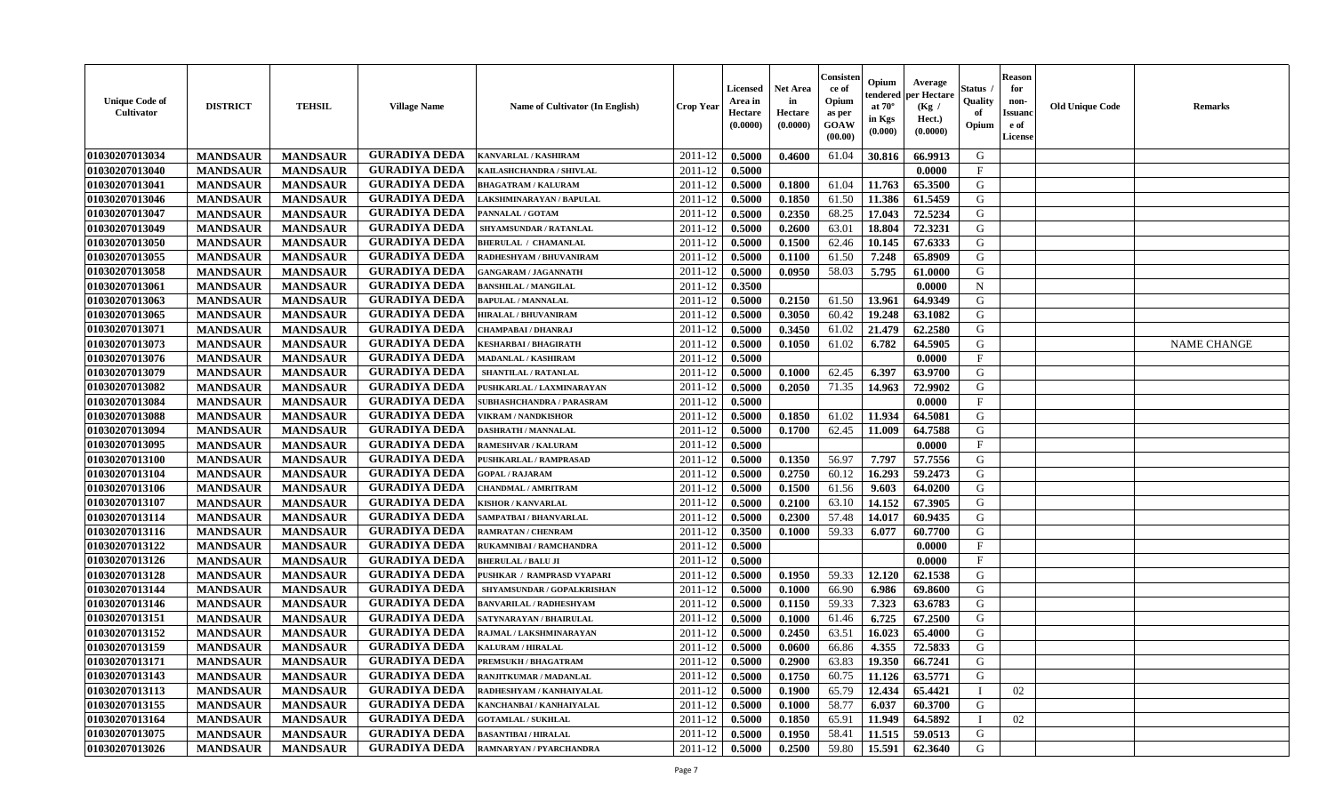| <b>Unique Code of</b><br>Cultivator | <b>DISTRICT</b> | <b>TEHSIL</b>   | <b>Village Name</b>  | Name of Cultivator (In English) | Crop Year        | Licensed<br>Area in<br>Hectare<br>(0.0000) | <b>Net Area</b><br>in<br>Hectare<br>(0.0000) | Consisten<br>ce of<br>Opium<br>as per<br><b>GOAW</b><br>(00.00) | Opium<br>tendered<br>at $70^{\circ}$<br>in Kgs<br>(0.000) | Average<br>per Hectare<br>(Kg /<br>Hect.)<br>(0.0000) | Status<br>Quality<br>of<br>Opium | <b>Reason</b><br>for<br>non-<br><b>Issuand</b><br>e of<br>License | <b>Old Unique Code</b> | <b>Remarks</b>     |
|-------------------------------------|-----------------|-----------------|----------------------|---------------------------------|------------------|--------------------------------------------|----------------------------------------------|-----------------------------------------------------------------|-----------------------------------------------------------|-------------------------------------------------------|----------------------------------|-------------------------------------------------------------------|------------------------|--------------------|
| 01030207013034                      | <b>MANDSAUR</b> | <b>MANDSAUR</b> | <b>GURADIYA DEDA</b> | KANVARLAL / KASHIRAM            | 2011-12          | 0.5000                                     | 0.4600                                       | 61.04                                                           | 30.816                                                    | 66.9913                                               | G                                |                                                                   |                        |                    |
| 01030207013040                      | <b>MANDSAUR</b> | <b>MANDSAUR</b> | <b>GURADIYA DEDA</b> | KAILASHCHANDRA / SHIVLAL        | 2011-12          | 0.5000                                     |                                              |                                                                 |                                                           | 0.0000                                                | $\mathbf{F}$                     |                                                                   |                        |                    |
| 01030207013041                      | <b>MANDSAUR</b> | <b>MANDSAUR</b> | <b>GURADIYA DEDA</b> | <b>BHAGATRAM / KALURAM</b>      | 2011-12          | 0.5000                                     | 0.1800                                       | 61.04                                                           | 11.763                                                    | 65.3500                                               | G                                |                                                                   |                        |                    |
| 01030207013046                      | <b>MANDSAUR</b> | <b>MANDSAUR</b> | <b>GURADIYA DEDA</b> | LAKSHMINARAYAN / BAPULAL        | 2011-12          | 0.5000                                     | 0.1850                                       | 61.50                                                           | 11.386                                                    | 61.5459                                               | G                                |                                                                   |                        |                    |
| 01030207013047                      | <b>MANDSAUR</b> | <b>MANDSAUR</b> | <b>GURADIYA DEDA</b> | PANNALAL / GOTAM                | 2011-12          | 0.5000                                     | 0.2350                                       | 68.25                                                           | 17.043                                                    | 72.5234                                               | G                                |                                                                   |                        |                    |
| 01030207013049                      | <b>MANDSAUR</b> | <b>MANDSAUR</b> | <b>GURADIYA DEDA</b> | SHYAMSUNDAR / RATANLAL          | 2011-12          | 0.5000                                     | 0.2600                                       | 63.01                                                           | 18.804                                                    | 72.3231                                               | G                                |                                                                   |                        |                    |
| 01030207013050                      | <b>MANDSAUR</b> | <b>MANDSAUR</b> | <b>GURADIYA DEDA</b> | <b>BHERULAL / CHAMANLAL</b>     | 2011-12          | 0.5000                                     | 0.1500                                       | 62.46                                                           | 10.145                                                    | 67.6333                                               | G                                |                                                                   |                        |                    |
| 01030207013055                      | <b>MANDSAUR</b> | <b>MANDSAUR</b> | <b>GURADIYA DEDA</b> | RADHESHYAM / BHUVANIRAM         | 2011-12          | 0.5000                                     | 0.1100                                       | 61.50                                                           | 7.248                                                     | 65.8909                                               | G                                |                                                                   |                        |                    |
| 01030207013058                      | <b>MANDSAUR</b> | <b>MANDSAUR</b> | <b>GURADIYA DEDA</b> | <b>GANGARAM / JAGANNATH</b>     | 2011-12          | 0.5000                                     | 0.0950                                       | 58.03                                                           | 5.795                                                     | 61.0000                                               | G                                |                                                                   |                        |                    |
| 01030207013061                      | <b>MANDSAUR</b> | <b>MANDSAUR</b> | <b>GURADIYA DEDA</b> | <b>BANSHILAL / MANGILAL</b>     | 2011-12          | 0.3500                                     |                                              |                                                                 |                                                           | 0.0000                                                | $\mathbf N$                      |                                                                   |                        |                    |
| 01030207013063                      | <b>MANDSAUR</b> | <b>MANDSAUR</b> | <b>GURADIYA DEDA</b> | <b>BAPULAL / MANNALAL</b>       | 2011-12          | 0.5000                                     | 0.2150                                       | 61.50                                                           | 13.961                                                    | 64.9349                                               | G                                |                                                                   |                        |                    |
| 01030207013065                      | <b>MANDSAUR</b> | <b>MANDSAUR</b> | <b>GURADIYA DEDA</b> | <b>HIRALAL / BHUVANIRAM</b>     | 2011-12          | 0.5000                                     | 0.3050                                       | 60.42                                                           | 19.248                                                    | 63.1082                                               | G                                |                                                                   |                        |                    |
| 01030207013071                      | <b>MANDSAUR</b> | <b>MANDSAUR</b> | <b>GURADIYA DEDA</b> | CHAMPABAI / DHANRAJ             | 2011-12          | 0.5000                                     | 0.3450                                       | 61.02                                                           | 21.479                                                    | 62.2580                                               | G                                |                                                                   |                        |                    |
| 01030207013073                      | <b>MANDSAUR</b> | <b>MANDSAUR</b> | <b>GURADIYA DEDA</b> | KESHARBAI / BHAGIRATH           | 2011-12          | 0.5000                                     | 0.1050                                       | 61.02                                                           | 6.782                                                     | 64.5905                                               | G                                |                                                                   |                        | <b>NAME CHANGE</b> |
| 01030207013076                      | <b>MANDSAUR</b> | <b>MANDSAUR</b> | <b>GURADIYA DEDA</b> | <b>MADANLAL / KASHIRAM</b>      | 2011-12          | 0.5000                                     |                                              |                                                                 |                                                           | 0.0000                                                | F                                |                                                                   |                        |                    |
| 01030207013079                      | <b>MANDSAUR</b> | <b>MANDSAUR</b> | <b>GURADIYA DEDA</b> | SHANTILAL / RATANLAL            | 2011-12          | 0.5000                                     | 0.1000                                       | 62.45                                                           | 6.397                                                     | 63.9700                                               | G                                |                                                                   |                        |                    |
| 01030207013082                      | <b>MANDSAUR</b> | <b>MANDSAUR</b> | <b>GURADIYA DEDA</b> | PUSHKARLAL / LAXMINARAYAN       | 2011-12          | 0.5000                                     | 0.2050                                       | 71.35                                                           | 14.963                                                    | 72.9902                                               | G                                |                                                                   |                        |                    |
| 01030207013084                      | <b>MANDSAUR</b> | <b>MANDSAUR</b> | <b>GURADIYA DEDA</b> | SUBHASHCHANDRA / PARASRAM       | 2011-12          | 0.5000                                     |                                              |                                                                 |                                                           | 0.0000                                                | $\mathbf{F}$                     |                                                                   |                        |                    |
| 01030207013088                      | <b>MANDSAUR</b> | <b>MANDSAUR</b> | <b>GURADIYA DEDA</b> | <b>VIKRAM / NANDKISHOR</b>      | 2011-12          | 0.5000                                     | 0.1850                                       | 61.02                                                           | 11.934                                                    | 64.5081                                               | G                                |                                                                   |                        |                    |
| 01030207013094                      | <b>MANDSAUR</b> | <b>MANDSAUR</b> | <b>GURADIYA DEDA</b> | DASHRATH / MANNALAL             | 2011-12          | 0.5000                                     | 0.1700                                       | 62.45                                                           | 11.009                                                    | 64.7588                                               | G                                |                                                                   |                        |                    |
| 01030207013095                      | <b>MANDSAUR</b> | <b>MANDSAUR</b> | <b>GURADIYA DEDA</b> | <b>RAMESHVAR / KALURAM</b>      | 2011-12          | 0.5000                                     |                                              |                                                                 |                                                           | 0.0000                                                | $\mathbf{F}$                     |                                                                   |                        |                    |
| 01030207013100                      | <b>MANDSAUR</b> | <b>MANDSAUR</b> | <b>GURADIYA DEDA</b> | PUSHKARLAL / RAMPRASAD          | 2011-12          | 0.5000                                     | 0.1350                                       | 56.97                                                           | 7.797                                                     | 57.7556                                               | G                                |                                                                   |                        |                    |
| 01030207013104                      | <b>MANDSAUR</b> | <b>MANDSAUR</b> | <b>GURADIYA DEDA</b> | <b>GOPAL / RAJARAM</b>          | 2011-12          | 0.5000                                     | 0.2750                                       | 60.12                                                           | 16.293                                                    | 59.2473                                               | G                                |                                                                   |                        |                    |
| 01030207013106                      | <b>MANDSAUR</b> | <b>MANDSAUR</b> | <b>GURADIYA DEDA</b> | CHANDMAL / AMRITRAM             | 2011-12          | 0.5000                                     | 0.1500                                       | 61.56                                                           | 9.603                                                     | 64.0200                                               | G                                |                                                                   |                        |                    |
| 01030207013107                      | <b>MANDSAUR</b> | <b>MANDSAUR</b> | <b>GURADIYA DEDA</b> | <b>KISHOR / KANVARLAL</b>       | 2011-12          | 0.5000                                     | 0.2100                                       | 63.10                                                           | 14.152                                                    | 67.3905                                               | G                                |                                                                   |                        |                    |
| 01030207013114                      | <b>MANDSAUR</b> | <b>MANDSAUR</b> | <b>GURADIYA DEDA</b> | SAMPATBAI / BHANVARLAL          | 2011-12          | 0.5000                                     | 0.2300                                       | 57.48                                                           | 14.017                                                    | 60.9435                                               | G                                |                                                                   |                        |                    |
| 01030207013116                      | <b>MANDSAUR</b> | <b>MANDSAUR</b> | <b>GURADIYA DEDA</b> | RAMRATAN / CHENRAM              | 2011-12          | 0.3500                                     | 0.1000                                       | 59.33                                                           | 6.077                                                     | 60.7700                                               | G                                |                                                                   |                        |                    |
| 01030207013122                      | <b>MANDSAUR</b> | <b>MANDSAUR</b> | <b>GURADIYA DEDA</b> | RUKAMNIBAI / RAMCHANDRA         | 2011-12          | 0.5000                                     |                                              |                                                                 |                                                           | 0.0000                                                | $\mathbf{F}$                     |                                                                   |                        |                    |
| 01030207013126                      | <b>MANDSAUR</b> | <b>MANDSAUR</b> | <b>GURADIYA DEDA</b> | <b>BHERULAL / BALU JI</b>       | 2011-12          | 0.5000                                     |                                              |                                                                 |                                                           | 0.0000                                                | $\mathbf{F}$                     |                                                                   |                        |                    |
| 01030207013128                      | <b>MANDSAUR</b> | <b>MANDSAUR</b> | <b>GURADIYA DEDA</b> | PUSHKAR / RAMPRASD VYAPARI      | 2011-12          | 0.5000                                     | 0.1950                                       | 59.33                                                           | 12.120                                                    | 62.1538                                               | G                                |                                                                   |                        |                    |
| 01030207013144                      | <b>MANDSAUR</b> | <b>MANDSAUR</b> | <b>GURADIYA DEDA</b> | SHYAMSUNDAR / GOPALKRISHAN      | 2011-12          | 0.5000                                     | 0.1000                                       | 66.90                                                           | 6.986                                                     | 69.8600                                               | G                                |                                                                   |                        |                    |
| 01030207013146                      | <b>MANDSAUR</b> | <b>MANDSAUR</b> | <b>GURADIYA DEDA</b> | <b>BANVARILAL / RADHESHYAM</b>  | 2011-12          | 0.5000                                     | 0.1150                                       | 59.33                                                           | 7.323                                                     | 63.6783                                               | G                                |                                                                   |                        |                    |
| 01030207013151                      | <b>MANDSAUR</b> | <b>MANDSAUR</b> | <b>GURADIYA DEDA</b> | SATYNARAYAN / BHAIRULAL         | 2011-12          | 0.5000                                     | 0.1000                                       | 61.46                                                           | 6.725                                                     | 67.2500                                               | G                                |                                                                   |                        |                    |
| 01030207013152                      | <b>MANDSAUR</b> | <b>MANDSAUR</b> | <b>GURADIYA DEDA</b> | RAJMAL / LAKSHMINARAYAN         | 2011-12          | 0.5000                                     | 0.2450                                       | 63.51                                                           | 16.023                                                    | 65.4000                                               | G                                |                                                                   |                        |                    |
| 01030207013159                      | <b>MANDSAUR</b> | <b>MANDSAUR</b> | <b>GURADIYA DEDA</b> | KALURAM / HIRALAL               | 2011-12          | 0.5000                                     | 0.0600                                       | 66.86                                                           | 4.355                                                     | 72.5833                                               | G                                |                                                                   |                        |                    |
| 01030207013171                      | <b>MANDSAUR</b> | <b>MANDSAUR</b> | <b>GURADIYA DEDA</b> | PREMSUKH / BHAGATRAM            | $2011-12$ 0.5000 |                                            | 0.2900                                       | 63.83                                                           | 19.350                                                    | 66.7241                                               | G                                |                                                                   |                        |                    |
| 01030207013143                      | <b>MANDSAUR</b> | <b>MANDSAUR</b> | <b>GURADIYA DEDA</b> | RANJITKUMAR / MADANLAL          | 2011-12          | 0.5000                                     | 0.1750                                       | 60.75                                                           | 11.126                                                    | 63.5771                                               | G                                |                                                                   |                        |                    |
| 01030207013113                      | <b>MANDSAUR</b> | <b>MANDSAUR</b> | <b>GURADIYA DEDA</b> | RADHESHYAM / KANHAIYALAL        | 2011-12          | 0.5000                                     | 0.1900                                       | 65.79                                                           | 12.434                                                    | 65.4421                                               |                                  | 02                                                                |                        |                    |
| 01030207013155                      | <b>MANDSAUR</b> | <b>MANDSAUR</b> | <b>GURADIYA DEDA</b> | KANCHANBAI / KANHAIYALAL        | 2011-12          | 0.5000                                     | 0.1000                                       | 58.77                                                           | 6.037                                                     | 60.3700                                               | G                                |                                                                   |                        |                    |
| 01030207013164                      | <b>MANDSAUR</b> | <b>MANDSAUR</b> | <b>GURADIYA DEDA</b> | <b>GOTAMLAL / SUKHLAL</b>       | 2011-12          | 0.5000                                     | 0.1850                                       | 65.91                                                           | 11.949                                                    | 64.5892                                               |                                  | 02                                                                |                        |                    |
| 01030207013075                      | <b>MANDSAUR</b> | <b>MANDSAUR</b> | <b>GURADIYA DEDA</b> | <b>BASANTIBAI / HIRALAL</b>     | 2011-12          | 0.5000                                     | 0.1950                                       | 58.41                                                           | 11.515                                                    | 59.0513                                               | G                                |                                                                   |                        |                    |
| 01030207013026                      | <b>MANDSAUR</b> | <b>MANDSAUR</b> | <b>GURADIYA DEDA</b> | RAMNARYAN / PYARCHANDRA         | 2011-12          | 0.5000                                     | 0.2500                                       | 59.80                                                           | 15.591                                                    | 62.3640                                               | G                                |                                                                   |                        |                    |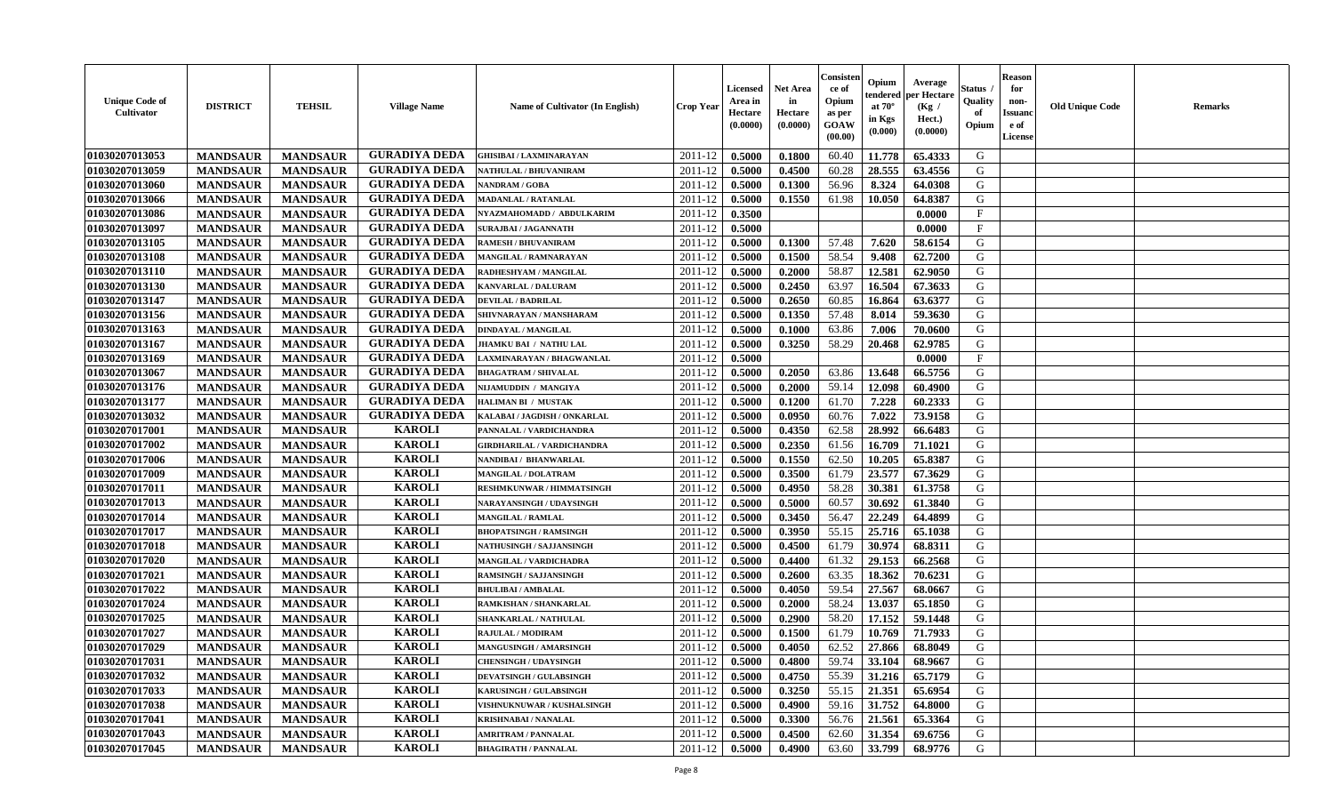| <b>Unique Code of</b><br><b>Cultivator</b> | <b>DISTRICT</b> | <b>TEHSIL</b>   | <b>Village Name</b>  | <b>Name of Cultivator (In English)</b> | <b>Crop Year</b> | <b>Licensed</b><br>Area in<br>Hectare<br>(0.0000) | <b>Net Area</b><br>in<br>Hectare<br>(0.0000) | Consister<br>ce of<br>Opium<br>as per<br><b>GOAW</b><br>(00.00) | Opium<br>endered<br>at $70^\circ$<br>in Kgs<br>(0.000) | Average<br>per Hectare<br>(Kg /<br>Hect.)<br>(0.0000) | Status<br>Quality<br>of<br>Opium | <b>Reason</b><br>for<br>non-<br><b>Issuand</b><br>e of<br><b>License</b> | <b>Old Unique Code</b> | <b>Remarks</b> |
|--------------------------------------------|-----------------|-----------------|----------------------|----------------------------------------|------------------|---------------------------------------------------|----------------------------------------------|-----------------------------------------------------------------|--------------------------------------------------------|-------------------------------------------------------|----------------------------------|--------------------------------------------------------------------------|------------------------|----------------|
| 01030207013053                             | <b>MANDSAUR</b> | <b>MANDSAUR</b> | <b>GURADIYA DEDA</b> | <b>GHISIBAI/LAXMINARAYAN</b>           | 2011-12          | 0.5000                                            | 0.1800                                       | 60.40                                                           | 11.778                                                 | 65.4333                                               | G                                |                                                                          |                        |                |
| 01030207013059                             | <b>MANDSAUR</b> | <b>MANDSAUR</b> | <b>GURADIYA DEDA</b> | NATHULAL / BHUVANIRAM                  | 2011-12          | 0.5000                                            | 0.4500                                       | 60.28                                                           | 28.555                                                 | 63.4556                                               | G                                |                                                                          |                        |                |
| 01030207013060                             | <b>MANDSAUR</b> | <b>MANDSAUR</b> | <b>GURADIYA DEDA</b> | <b>NANDRAM / GOBA</b>                  | 2011-12          | 0.5000                                            | 0.1300                                       | 56.96                                                           | 8.324                                                  | 64.0308                                               | G                                |                                                                          |                        |                |
| 01030207013066                             | <b>MANDSAUR</b> | <b>MANDSAUR</b> | <b>GURADIYA DEDA</b> | <b>MADANLAL / RATANLAL</b>             | 2011-12          | 0.5000                                            | 0.1550                                       | 61.98                                                           | 10.050                                                 | 64.8387                                               | G                                |                                                                          |                        |                |
| 01030207013086                             | <b>MANDSAUR</b> | <b>MANDSAUR</b> | <b>GURADIYA DEDA</b> | NYAZMAHOMADD / ABDULKARIM              | 2011-12          | 0.3500                                            |                                              |                                                                 |                                                        | 0.0000                                                | $\mathbf{F}$                     |                                                                          |                        |                |
| 01030207013097                             | <b>MANDSAUR</b> | <b>MANDSAUR</b> | <b>GURADIYA DEDA</b> | <b>SURAJBAI / JAGANNATH</b>            | 2011-12          | 0.5000                                            |                                              |                                                                 |                                                        | 0.0000                                                | $_{\rm F}$                       |                                                                          |                        |                |
| 01030207013105                             | <b>MANDSAUR</b> | <b>MANDSAUR</b> | <b>GURADIYA DEDA</b> | <b>RAMESH / BHUVANIRAM</b>             | 2011-12          | 0.5000                                            | 0.1300                                       | 57.48                                                           | 7.620                                                  | 58.6154                                               | G                                |                                                                          |                        |                |
| 01030207013108                             | <b>MANDSAUR</b> | <b>MANDSAUR</b> | <b>GURADIYA DEDA</b> | MANGILAL / RAMNARAYAN                  | 2011-12          | 0.5000                                            | 0.1500                                       | 58.54                                                           | 9.408                                                  | 62.7200                                               | G                                |                                                                          |                        |                |
| 01030207013110                             | <b>MANDSAUR</b> | <b>MANDSAUR</b> | <b>GURADIYA DEDA</b> | RADHESHYAM / MANGILAL                  | 2011-12          | 0.5000                                            | 0.2000                                       | 58.87                                                           | 12.581                                                 | 62.9050                                               | G                                |                                                                          |                        |                |
| 01030207013130                             | <b>MANDSAUR</b> | <b>MANDSAUR</b> | <b>GURADIYA DEDA</b> | KANVARLAL / DALURAM                    | 2011-12          | 0.5000                                            | 0.2450                                       | 63.97                                                           | 16.504                                                 | 67.3633                                               | G                                |                                                                          |                        |                |
| 01030207013147                             | <b>MANDSAUR</b> | <b>MANDSAUR</b> | <b>GURADIYA DEDA</b> | <b>DEVILAL / BADRILAL</b>              | 2011-12          | 0.5000                                            | 0.2650                                       | 60.85                                                           | 16.864                                                 | 63.6377                                               | G                                |                                                                          |                        |                |
| 01030207013156                             | <b>MANDSAUR</b> | <b>MANDSAUR</b> | <b>GURADIYA DEDA</b> | SHIVNARAYAN / MANSHARAM                | 2011-12          | 0.5000                                            | 0.1350                                       | 57.48                                                           | 8.014                                                  | 59.3630                                               | G                                |                                                                          |                        |                |
| 01030207013163                             | <b>MANDSAUR</b> | <b>MANDSAUR</b> | <b>GURADIYA DEDA</b> | <b>DINDAYAL / MANGILAL</b>             | 2011-12          | 0.5000                                            | 0.1000                                       | 63.86                                                           | 7.006                                                  | 70.0600                                               | G                                |                                                                          |                        |                |
| 01030207013167                             | <b>MANDSAUR</b> | <b>MANDSAUR</b> | <b>GURADIYA DEDA</b> | <b>JHAMKU BAI / NATHU LAL</b>          | 2011-12          | 0.5000                                            | 0.3250                                       | 58.29                                                           | 20.468                                                 | 62.9785                                               | G                                |                                                                          |                        |                |
| 01030207013169                             | <b>MANDSAUR</b> | <b>MANDSAUR</b> | <b>GURADIYA DEDA</b> | AXMINARAYAN / BHAGWANLAL               | 2011-12          | 0.5000                                            |                                              |                                                                 |                                                        | 0.0000                                                | $\mathbf{F}$                     |                                                                          |                        |                |
| 01030207013067                             | <b>MANDSAUR</b> | <b>MANDSAUR</b> | <b>GURADIYA DEDA</b> | <b>BHAGATRAM / SHIVALAL</b>            | 2011-12          | 0.5000                                            | 0.2050                                       | 63.86                                                           | 13.648                                                 | 66.5756                                               | G                                |                                                                          |                        |                |
| 01030207013176                             | <b>MANDSAUR</b> | <b>MANDSAUR</b> | <b>GURADIYA DEDA</b> | NIJAMUDDIN / MANGIYA                   | 2011-12          | 0.5000                                            | 0.2000                                       | 59.14                                                           | 12.098                                                 | 60.4900                                               | G                                |                                                                          |                        |                |
| 01030207013177                             | <b>MANDSAUR</b> | <b>MANDSAUR</b> | <b>GURADIYA DEDA</b> | HALIMAN BI / MUSTAK                    | 2011-12          | 0.5000                                            | 0.1200                                       | 61.70                                                           | 7.228                                                  | 60.2333                                               | G                                |                                                                          |                        |                |
| 01030207013032                             | <b>MANDSAUR</b> | <b>MANDSAUR</b> | <b>GURADIYA DEDA</b> | KALABAI / JAGDISH / ONKARLAL           | 2011-12          | 0.5000                                            | 0.0950                                       | 60.76                                                           | 7.022                                                  | 73.9158                                               | G                                |                                                                          |                        |                |
| 01030207017001                             | <b>MANDSAUR</b> | <b>MANDSAUR</b> | <b>KAROLI</b>        | PANNALAL / VARDICHANDRA                | 2011-12          | 0.5000                                            | 0.4350                                       | 62.58                                                           | 28.992                                                 | 66.6483                                               | G                                |                                                                          |                        |                |
| 01030207017002                             | <b>MANDSAUR</b> | <b>MANDSAUR</b> | <b>KAROLI</b>        | <b>GIRDHARILAL / VARDICHANDRA</b>      | 2011-12          | 0.5000                                            | 0.2350                                       | 61.56                                                           | 16.709                                                 | 71.1021                                               | G                                |                                                                          |                        |                |
| 01030207017006                             | <b>MANDSAUR</b> | <b>MANDSAUR</b> | <b>KAROLI</b>        | NANDIBAI / BHANWARLAL                  | 2011-12          | 0.5000                                            | 0.1550                                       | 62.50                                                           | 10.205                                                 | 65.8387                                               | G                                |                                                                          |                        |                |
| 01030207017009                             | <b>MANDSAUR</b> | <b>MANDSAUR</b> | <b>KAROLI</b>        | <b>MANGILAL / DOLATRAM</b>             | 2011-12          | 0.5000                                            | 0.3500                                       | 61.79                                                           | 23.577                                                 | 67.3629                                               | G                                |                                                                          |                        |                |
| 01030207017011                             | <b>MANDSAUR</b> | <b>MANDSAUR</b> | <b>KAROLI</b>        | RESHMKUNWAR / HIMMATSINGH              | 2011-12          | 0.5000                                            | 0.4950                                       | 58.28                                                           | 30.381                                                 | 61.3758                                               | G                                |                                                                          |                        |                |
| 01030207017013                             | <b>MANDSAUR</b> | <b>MANDSAUR</b> | <b>KAROLI</b>        | NARAYANSINGH / UDAYSINGH               | 2011-12          | 0.5000                                            | 0.5000                                       | 60.57                                                           | 30.692                                                 | 61.3840                                               | G                                |                                                                          |                        |                |
| 01030207017014                             | <b>MANDSAUR</b> | <b>MANDSAUR</b> | <b>KAROLI</b>        | <b>MANGILAL / RAMLAL</b>               | 2011-12          | 0.5000                                            | 0.3450                                       | 56.47                                                           | 22.249                                                 | 64.4899                                               | G                                |                                                                          |                        |                |
| 01030207017017                             | <b>MANDSAUR</b> | <b>MANDSAUR</b> | <b>KAROLI</b>        | <b>BHOPATSINGH / RAMSINGH</b>          | 2011-12          | 0.5000                                            | 0.3950                                       | 55.15                                                           | 25.716                                                 | 65.1038                                               | G                                |                                                                          |                        |                |
| 01030207017018                             | <b>MANDSAUR</b> | <b>MANDSAUR</b> | <b>KAROLI</b>        | NATHUSINGH / SAJJANSINGH               | 2011-12          | 0.5000                                            | 0.4500                                       | 61.79                                                           | 30.974                                                 | 68.8311                                               | G                                |                                                                          |                        |                |
| 01030207017020                             | <b>MANDSAUR</b> | <b>MANDSAUR</b> | <b>KAROLI</b>        | <b>MANGILAL / VARDICHADRA</b>          | 2011-12          | 0.5000                                            | 0.4400                                       | 61.32                                                           | 29.153                                                 | 66.2568                                               | G                                |                                                                          |                        |                |
| 01030207017021                             | <b>MANDSAUR</b> | <b>MANDSAUR</b> | <b>KAROLI</b>        | <b>RAMSINGH / SAJJANSINGH</b>          | 2011-12          | 0.5000                                            | 0.2600                                       | 63.35                                                           | 18.362                                                 | 70.6231                                               | G                                |                                                                          |                        |                |
| 01030207017022                             | <b>MANDSAUR</b> | <b>MANDSAUR</b> | <b>KAROLI</b>        | <b>BHULIBAI / AMBALAL</b>              | 2011-12          | 0.5000                                            | 0.4050                                       | 59.54                                                           | 27.567                                                 | 68.0667                                               | G                                |                                                                          |                        |                |
| 01030207017024                             | <b>MANDSAUR</b> | <b>MANDSAUR</b> | <b>KAROLI</b>        | RAMKISHAN / SHANKARLAL                 | 2011-12          | 0.5000                                            | 0.2000                                       | 58.24                                                           | 13.037                                                 | 65.1850                                               | ${\bf G}$                        |                                                                          |                        |                |
| 01030207017025                             | <b>MANDSAUR</b> | <b>MANDSAUR</b> | <b>KAROLI</b>        | SHANKARLAL / NATHULAL                  | 2011-12          | 0.5000                                            | 0.2900                                       | 58.20                                                           | 17.152                                                 | 59.1448                                               | G                                |                                                                          |                        |                |
| 01030207017027                             | <b>MANDSAUR</b> | <b>MANDSAUR</b> | <b>KAROLI</b>        | RAJULAL / MODIRAM                      | 2011-12          | 0.5000                                            | 0.1500                                       | 61.79                                                           | 10.769                                                 | 71.7933                                               | G                                |                                                                          |                        |                |
| 01030207017029                             | <b>MANDSAUR</b> | <b>MANDSAUR</b> | <b>KAROLI</b>        | <b>MANGUSINGH / AMARSINGH</b>          | 2011-12          | 0.5000                                            | 0.4050                                       | 62.52                                                           | 27.866                                                 | 68.8049                                               | G                                |                                                                          |                        |                |
| 01030207017031                             | <b>MANDSAUR</b> | <b>MANDSAUR</b> | <b>KAROLI</b>        | <b>CHENSINGH / UDAYSINGH</b>           | 2011-12          | 0.5000                                            | 0.4800                                       | 59.74                                                           | 33.104                                                 | 68.9667                                               | G                                |                                                                          |                        |                |
| 01030207017032                             | <b>MANDSAUR</b> | <b>MANDSAUR</b> | <b>KAROLI</b>        | <b>DEVATSINGH / GULABSINGH</b>         | 2011-12          | 0.5000                                            | 0.4750                                       | 55.39                                                           | 31.216                                                 | 65.7179                                               | G                                |                                                                          |                        |                |
| 01030207017033                             | <b>MANDSAUR</b> | <b>MANDSAUR</b> | <b>KAROLI</b>        | KARUSINGH / GULABSINGH                 | 2011-12          | 0.5000                                            | 0.3250                                       | 55.15                                                           | 21.351                                                 | 65.6954                                               | G                                |                                                                          |                        |                |
| 01030207017038                             | <b>MANDSAUR</b> | <b>MANDSAUR</b> | <b>KAROLI</b>        | VISHNUKNUWAR / KUSHALSINGH             | 2011-12          | 0.5000                                            | 0.4900                                       | 59.16                                                           | 31.752                                                 | 64.8000                                               | G                                |                                                                          |                        |                |
| 01030207017041                             | <b>MANDSAUR</b> | <b>MANDSAUR</b> | <b>KAROLI</b>        | <b>KRISHNABAI / NANALAL</b>            | 2011-12          | 0.5000                                            | 0.3300                                       | 56.76                                                           | 21.561                                                 | 65.3364                                               | G                                |                                                                          |                        |                |
| 01030207017043                             |                 |                 | <b>KAROLI</b>        | <b>AMRITRAM / PANNALAL</b>             | 2011-12          | 0.5000                                            | 0.4500                                       | 62.60                                                           |                                                        |                                                       | G                                |                                                                          |                        |                |
| 01030207017045                             | <b>MANDSAUR</b> | <b>MANDSAUR</b> | <b>KAROLI</b>        | <b>BHAGIRATH / PANNALAL</b>            | 2011-12          | 0.5000                                            | 0.4900                                       | 63.60                                                           | 31.354<br>33.799                                       | 69.6756                                               | G                                |                                                                          |                        |                |
|                                            | <b>MANDSAUR</b> | <b>MANDSAUR</b> |                      |                                        |                  |                                                   |                                              |                                                                 |                                                        | 68.9776                                               |                                  |                                                                          |                        |                |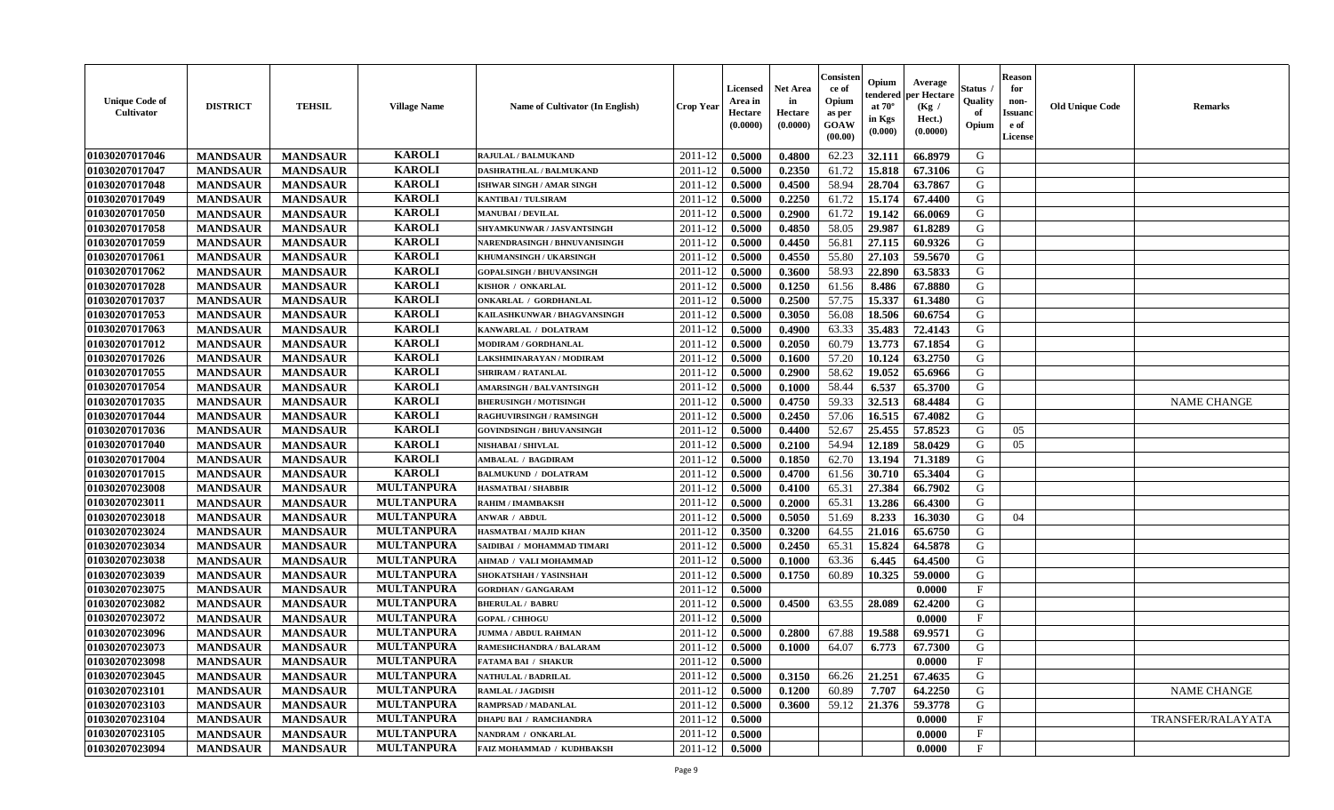| <b>Unique Code of</b><br>Cultivator | <b>DISTRICT</b> | <b>TEHSIL</b>   | <b>Village Name</b> | <b>Name of Cultivator (In English)</b> | <b>Crop Year</b> | <b>Licensed</b><br>Area in<br>Hectare<br>(0.0000) | <b>Net Area</b><br>in<br>Hectare<br>(0.0000) | Consister<br>ce of<br>Opium<br>as per<br><b>GOAW</b><br>(00.00) | Opium<br>endered<br>at $70^\circ$<br>in Kgs<br>$(\mathbf{0.000})$ | Average<br>per Hectare<br>(Kg /<br>Hect.)<br>(0.0000) | Status<br>Quality<br>of<br>Opium | <b>Reason</b><br>for<br>non-<br>Issuan<br>e of<br>License | <b>Old Unique Code</b> | Remarks            |
|-------------------------------------|-----------------|-----------------|---------------------|----------------------------------------|------------------|---------------------------------------------------|----------------------------------------------|-----------------------------------------------------------------|-------------------------------------------------------------------|-------------------------------------------------------|----------------------------------|-----------------------------------------------------------|------------------------|--------------------|
| 01030207017046                      | <b>MANDSAUR</b> | <b>MANDSAUR</b> | <b>KAROLI</b>       | <b>RAJULAL / BALMUKAND</b>             | 2011-12          | 0.5000                                            | 0.4800                                       | 62.23                                                           | 32.111                                                            | 66.8979                                               | G                                |                                                           |                        |                    |
| 01030207017047                      | <b>MANDSAUR</b> | <b>MANDSAUR</b> | <b>KAROLI</b>       | DASHRATHLAL / BALMUKAND                | 2011-12          | 0.5000                                            | 0.2350                                       | 61.72                                                           | 15.818                                                            | 67.3106                                               | G                                |                                                           |                        |                    |
| 01030207017048                      | <b>MANDSAUR</b> | <b>MANDSAUR</b> | <b>KAROLI</b>       | ISHWAR SINGH / AMAR SINGH              | 2011-12          | 0.5000                                            | 0.4500                                       | 58.94                                                           | 28.704                                                            | 63.7867                                               | G                                |                                                           |                        |                    |
| 01030207017049                      | <b>MANDSAUR</b> | <b>MANDSAUR</b> | <b>KAROLI</b>       | <b>KANTIBAI / TULSIRAM</b>             | 2011-12          | 0.5000                                            | 0.2250                                       | 61.72                                                           | 15.174                                                            | 67.4400                                               | G                                |                                                           |                        |                    |
| 01030207017050                      | <b>MANDSAUR</b> | <b>MANDSAUR</b> | <b>KAROLI</b>       | <b>MANUBAI/DEVILAL</b>                 | 2011-12          | 0.5000                                            | 0.2900                                       | 61.72                                                           | 19.142                                                            | 66.0069                                               | G                                |                                                           |                        |                    |
| 01030207017058                      | <b>MANDSAUR</b> | <b>MANDSAUR</b> | <b>KAROLI</b>       | SHYAMKUNWAR / JASVANTSINGH             | 2011-12          | 0.5000                                            | 0.4850                                       | 58.05                                                           | 29.987                                                            | 61.8289                                               | G                                |                                                           |                        |                    |
| 01030207017059                      | <b>MANDSAUR</b> | <b>MANDSAUR</b> | <b>KAROLI</b>       | NARENDRASINGH / BHNUVANISINGH          | 2011-12          | 0.5000                                            | 0.4450                                       | 56.81                                                           | 27.115                                                            | 60.9326                                               | G                                |                                                           |                        |                    |
| 01030207017061                      | <b>MANDSAUR</b> | <b>MANDSAUR</b> | <b>KAROLI</b>       | KHUMANSINGH / UKARSINGH                | 2011-12          | 0.5000                                            | 0.4550                                       | 55.80                                                           | 27.103                                                            | 59.5670                                               | G                                |                                                           |                        |                    |
| 01030207017062                      | <b>MANDSAUR</b> | <b>MANDSAUR</b> | <b>KAROLI</b>       | <b>GOPALSINGH / BHUVANSINGH</b>        | 2011-12          | 0.5000                                            | 0.3600                                       | 58.93                                                           | 22.890                                                            | 63.5833                                               | G                                |                                                           |                        |                    |
| 01030207017028                      | <b>MANDSAUR</b> | <b>MANDSAUR</b> | <b>KAROLI</b>       | KISHOR / ONKARLAL                      | 2011-12          | 0.5000                                            | 0.1250                                       | 61.56                                                           | 8.486                                                             | 67.8880                                               | G                                |                                                           |                        |                    |
| 01030207017037                      | <b>MANDSAUR</b> | <b>MANDSAUR</b> | <b>KAROLI</b>       | ONKARLAL / GORDHANLAL                  | 2011-12          | 0.5000                                            | 0.2500                                       | 57.75                                                           | 15.337                                                            | 61.3480                                               | G                                |                                                           |                        |                    |
| 01030207017053                      | <b>MANDSAUR</b> | <b>MANDSAUR</b> | <b>KAROLI</b>       | KAILASHKUNWAR / BHAGVANSINGH           | 2011-12          | 0.5000                                            | 0.3050                                       | 56.08                                                           | 18.506                                                            | 60.6754                                               | G                                |                                                           |                        |                    |
| 01030207017063                      | <b>MANDSAUR</b> | <b>MANDSAUR</b> | <b>KAROLI</b>       | KANWARLAL / DOLATRAM                   | 2011-12          | 0.5000                                            | 0.4900                                       | 63.33                                                           | 35.483                                                            | 72.4143                                               | G                                |                                                           |                        |                    |
| 01030207017012                      | <b>MANDSAUR</b> | <b>MANDSAUR</b> | <b>KAROLI</b>       | MODIRAM / GORDHANLAL                   | 2011-12          | 0.5000                                            | 0.2050                                       | 60.79                                                           | 13.773                                                            | 67.1854                                               | G                                |                                                           |                        |                    |
| 01030207017026                      | <b>MANDSAUR</b> | <b>MANDSAUR</b> | <b>KAROLI</b>       | LAKSHMINARAYAN / MODIRAM               | 2011-12          | 0.5000                                            | 0.1600                                       | 57.20                                                           | 10.124                                                            | 63.2750                                               | G                                |                                                           |                        |                    |
| 01030207017055                      | <b>MANDSAUR</b> | <b>MANDSAUR</b> | <b>KAROLI</b>       | <b>SHRIRAM / RATANLAL</b>              | 2011-12          | 0.5000                                            | 0.2900                                       | 58.62                                                           | 19.052                                                            | 65.6966                                               | G                                |                                                           |                        |                    |
| 01030207017054                      | <b>MANDSAUR</b> | <b>MANDSAUR</b> | <b>KAROLI</b>       | <b>AMARSINGH / BALVANTSINGH</b>        | 2011-12          | 0.5000                                            | 0.1000                                       | 58.44                                                           | 6.537                                                             | 65.3700                                               | G                                |                                                           |                        |                    |
| 01030207017035                      | <b>MANDSAUR</b> | <b>MANDSAUR</b> | <b>KAROLI</b>       | <b>BHERUSINGH / MOTISINGH</b>          | 2011-12          | 0.5000                                            | 0.4750                                       | 59.33                                                           | 32.513                                                            | 68.4484                                               | G                                |                                                           |                        | <b>NAME CHANGE</b> |
| 01030207017044                      | <b>MANDSAUR</b> | <b>MANDSAUR</b> | <b>KAROLI</b>       | RAGHUVIRSINGH / RAMSINGH               | 2011-12          | 0.5000                                            | 0.2450                                       | 57.06                                                           | 16.515                                                            | 67.4082                                               | G                                |                                                           |                        |                    |
| 01030207017036                      | <b>MANDSAUR</b> | <b>MANDSAUR</b> | <b>KAROLI</b>       | <b>GOVINDSINGH / BHUVANSINGH</b>       | 2011-12          | 0.5000                                            | 0.4400                                       | 52.67                                                           | 25.455                                                            | 57.8523                                               | G                                | 05                                                        |                        |                    |
| 01030207017040                      | <b>MANDSAUR</b> | <b>MANDSAUR</b> | <b>KAROLI</b>       | NISHABAI / SHIVLAL                     | 2011-12          | 0.5000                                            | 0.2100                                       | 54.94                                                           | 12.189                                                            | 58.0429                                               | G                                | 05                                                        |                        |                    |
| 01030207017004                      | <b>MANDSAUR</b> | <b>MANDSAUR</b> | <b>KAROLI</b>       | <b>AMBALAL / BAGDIRAM</b>              | 2011-12          | 0.5000                                            | 0.1850                                       | 62.70                                                           | 13.194                                                            | 71.3189                                               | G                                |                                                           |                        |                    |
| 01030207017015                      | <b>MANDSAUR</b> | <b>MANDSAUR</b> | <b>KAROLI</b>       | <b>BALMUKUND / DOLATRAM</b>            | 2011-12          | 0.5000                                            | 0.4700                                       | 61.56                                                           | 30.710                                                            | 65.3404                                               | G                                |                                                           |                        |                    |
| 01030207023008                      | <b>MANDSAUR</b> | <b>MANDSAUR</b> | <b>MULTANPURA</b>   | <b>HASMATBAI/SHABBIR</b>               | 2011-12          | 0.5000                                            | 0.4100                                       | 65.31                                                           | 27.384                                                            | 66.7902                                               | G                                |                                                           |                        |                    |
| 01030207023011                      | <b>MANDSAUR</b> | <b>MANDSAUR</b> | <b>MULTANPURA</b>   | RAHIM / IMAMBAKSH                      | 2011-12          | 0.5000                                            | 0.2000                                       | 65.31                                                           | 13.286                                                            | 66.4300                                               | G                                |                                                           |                        |                    |
| 01030207023018                      | <b>MANDSAUR</b> | <b>MANDSAUR</b> | <b>MULTANPURA</b>   | ANWAR / ABDUL                          | 2011-12          | 0.5000                                            | 0.5050                                       | 51.69                                                           | 8.233                                                             | 16.3030                                               | G                                | 04                                                        |                        |                    |
| 01030207023024                      | <b>MANDSAUR</b> | <b>MANDSAUR</b> | <b>MULTANPURA</b>   | HASMATBAI / MAJID KHAN                 | 2011-12          | 0.3500                                            | 0.3200                                       | 64.55                                                           | 21.016                                                            | 65.6750                                               | G                                |                                                           |                        |                    |
| 01030207023034                      | <b>MANDSAUR</b> | <b>MANDSAUR</b> | <b>MULTANPURA</b>   | SAIDIBAI / MOHAMMAD TIMARI             | 2011-12          | 0.5000                                            | 0.2450                                       | 65.31                                                           | 15.824                                                            | 64.5878                                               | G                                |                                                           |                        |                    |
| 01030207023038                      | <b>MANDSAUR</b> | <b>MANDSAUR</b> | <b>MULTANPURA</b>   | AHMAD / VALI MOHAMMAD                  | 2011-12          | 0.5000                                            | 0.1000                                       | 63.36                                                           | 6.445                                                             | 64.4500                                               | G                                |                                                           |                        |                    |
| 01030207023039                      | <b>MANDSAUR</b> | <b>MANDSAUR</b> | <b>MULTANPURA</b>   | SHOKATSHAH / YASINSHAH                 | 2011-12          | 0.5000                                            | 0.1750                                       | 60.89                                                           | 10.325                                                            | 59.0000                                               | G                                |                                                           |                        |                    |
| 01030207023075                      | <b>MANDSAUR</b> | <b>MANDSAUR</b> | <b>MULTANPURA</b>   | <b>GORDHAN / GANGARAM</b>              | 2011-12          | 0.5000                                            |                                              |                                                                 |                                                                   | 0.0000                                                | F                                |                                                           |                        |                    |
| 01030207023082                      | <b>MANDSAUR</b> | <b>MANDSAUR</b> | <b>MULTANPURA</b>   | <b>BHERULAL/BABRU</b>                  | 2011-12          | 0.5000                                            | 0.4500                                       | 63.55                                                           | 28.089                                                            | 62.4200                                               | G                                |                                                           |                        |                    |
| 01030207023072                      | <b>MANDSAUR</b> | <b>MANDSAUR</b> | <b>MULTANPURA</b>   | <b>GOPAL / CHHOGU</b>                  | 2011-12          | 0.5000                                            |                                              |                                                                 |                                                                   | 0.0000                                                | $\mathbf{F}$                     |                                                           |                        |                    |
| 01030207023096                      | <b>MANDSAUR</b> | <b>MANDSAUR</b> | <b>MULTANPURA</b>   | <b>JUMMA / ABDUL RAHMAN</b>            | 2011-12          | 0.5000                                            | 0.2800                                       | 67.88                                                           | 19.588                                                            | 69.9571                                               | G                                |                                                           |                        |                    |
| 01030207023073                      | <b>MANDSAUR</b> | <b>MANDSAUR</b> | <b>MULTANPURA</b>   | RAMESHCHANDRA / BALARAM                | 2011-12          | 0.5000                                            | 0.1000                                       | 64.07                                                           | 6.773                                                             | 67.7300                                               | G                                |                                                           |                        |                    |
| 01030207023098                      | <b>MANDSAUR</b> | MANDSAUR        | <b>MULTANPURA</b>   | <b>FATAMA BAI / SHAKUR</b>             | $2011-12$ 0.5000 |                                                   |                                              |                                                                 |                                                                   | 0.0000                                                | $_{\rm F}$                       |                                                           |                        |                    |
| 01030207023045                      | <b>MANDSAUR</b> | <b>MANDSAUR</b> | <b>MULTANPURA</b>   | <b>NATHULAL / BADRILAL</b>             | 2011-12          | 0.5000                                            | 0.3150                                       | 66.26                                                           | 21.251                                                            | 67.4635                                               | G                                |                                                           |                        |                    |
| 01030207023101                      | <b>MANDSAUR</b> | <b>MANDSAUR</b> | <b>MULTANPURA</b>   | <b>RAMLAL / JAGDISH</b>                | 2011-12          | 0.5000                                            | 0.1200                                       | 60.89                                                           | 7.707                                                             | 64.2250                                               | G                                |                                                           |                        | <b>NAME CHANGE</b> |
| 01030207023103                      | <b>MANDSAUR</b> | <b>MANDSAUR</b> | <b>MULTANPURA</b>   | RAMPRSAD / MADANLAL                    | 2011-12          | 0.5000                                            | 0.3600                                       | 59.12                                                           | 21.376                                                            | 59.3778                                               | G                                |                                                           |                        |                    |
| 01030207023104                      | <b>MANDSAUR</b> | <b>MANDSAUR</b> | <b>MULTANPURA</b>   | <b>DHAPU BAI / RAMCHANDRA</b>          | 2011-12          | 0.5000                                            |                                              |                                                                 |                                                                   | 0.0000                                                | $\mathbf{F}$                     |                                                           |                        | TRANSFER/RALAYATA  |
| 01030207023105                      | <b>MANDSAUR</b> | <b>MANDSAUR</b> | <b>MULTANPURA</b>   | NANDRAM / ONKARLAL                     | 2011-12          | 0.5000                                            |                                              |                                                                 |                                                                   | 0.0000                                                | $\mathbf{F}$                     |                                                           |                        |                    |
| 01030207023094                      | <b>MANDSAUR</b> | <b>MANDSAUR</b> | <b>MULTANPURA</b>   | FAIZ MOHAMMAD / KUDHBAKSH              | 2011-12          | 0.5000                                            |                                              |                                                                 |                                                                   | 0.0000                                                | $\mathbf{F}$                     |                                                           |                        |                    |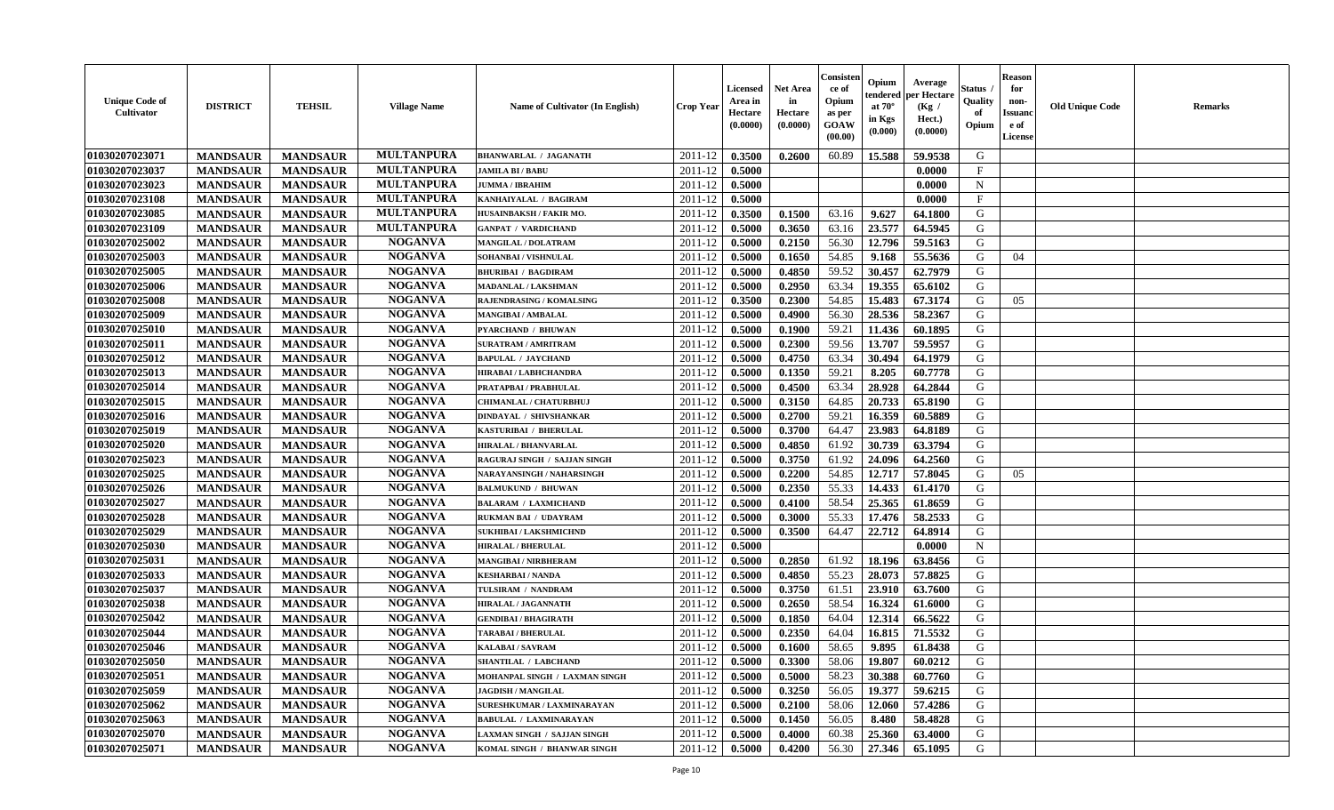| <b>Unique Code of</b><br><b>Cultivator</b> | <b>DISTRICT</b> | <b>TEHSIL</b>   | <b>Village Name</b> | <b>Name of Cultivator (In English)</b> | <b>Crop Year</b> | Licensed<br>Area in<br>Hectare<br>(0.0000) | Net Area<br>in<br>Hectare<br>(0.0000) | Consisteı<br>ce of<br>Opium<br>as per<br>GOAW<br>(00.00) | Opium<br>endered<br>at $70^\circ$<br>in Kgs<br>(0.000) | Average<br>per Hectare<br>(Kg /<br>Hect.)<br>(0.0000) | Status<br>Quality<br>of<br>Opium | <b>Reason</b><br>for<br>non-<br><b>Issuand</b><br>e of<br>License | <b>Old Unique Code</b> | Remarks |
|--------------------------------------------|-----------------|-----------------|---------------------|----------------------------------------|------------------|--------------------------------------------|---------------------------------------|----------------------------------------------------------|--------------------------------------------------------|-------------------------------------------------------|----------------------------------|-------------------------------------------------------------------|------------------------|---------|
| 01030207023071                             | <b>MANDSAUR</b> | <b>MANDSAUR</b> | <b>MULTANPURA</b>   | <b>BHANWARLAL / JAGANATH</b>           | 2011-12          | 0.3500                                     | 0.2600                                | 60.89                                                    | 15.588                                                 | 59.9538                                               | G                                |                                                                   |                        |         |
| 01030207023037                             | <b>MANDSAUR</b> | <b>MANDSAUR</b> | <b>MULTANPURA</b>   | <b>JAMILA BI / BABU</b>                | 2011-12          | 0.5000                                     |                                       |                                                          |                                                        | 0.0000                                                | $\mathbf{F}$                     |                                                                   |                        |         |
| 01030207023023                             | <b>MANDSAUR</b> | <b>MANDSAUR</b> | <b>MULTANPURA</b>   | <b>JUMMA / IBRAHIM</b>                 | 2011-12          | 0.5000                                     |                                       |                                                          |                                                        | 0.0000                                                | $\mathbf N$                      |                                                                   |                        |         |
| 01030207023108                             | <b>MANDSAUR</b> | <b>MANDSAUR</b> | <b>MULTANPURA</b>   | KANHAIYALAL / BAGIRAM                  | 2011-12          | 0.5000                                     |                                       |                                                          |                                                        | 0.0000                                                | $\mathbf{F}$                     |                                                                   |                        |         |
| 01030207023085                             | <b>MANDSAUR</b> | <b>MANDSAUR</b> | <b>MULTANPURA</b>   | HUSAINBAKSH / FAKIR MO.                | 2011-12          | 0.3500                                     | 0.1500                                | 63.16                                                    | 9.627                                                  | 64.1800                                               | G                                |                                                                   |                        |         |
| 01030207023109                             | <b>MANDSAUR</b> | <b>MANDSAUR</b> | <b>MULTANPURA</b>   | <b>GANPAT / VARDICHAND</b>             | 2011-12          | 0.5000                                     | 0.3650                                | 63.16                                                    | 23.577                                                 | 64.5945                                               | G                                |                                                                   |                        |         |
| 01030207025002                             | <b>MANDSAUR</b> | <b>MANDSAUR</b> | <b>NOGANVA</b>      | <b>MANGILAL / DOLATRAM</b>             | 2011-12          | 0.5000                                     | 0.2150                                | 56.30                                                    | 12.796                                                 | 59.5163                                               | G                                |                                                                   |                        |         |
| 01030207025003                             | <b>MANDSAUR</b> | <b>MANDSAUR</b> | <b>NOGANVA</b>      | SOHANBAI / VISHNULAL                   | 2011-12          | 0.5000                                     | 0.1650                                | 54.85                                                    | 9.168                                                  | 55.5636                                               | G                                | 04                                                                |                        |         |
| 01030207025005                             | <b>MANDSAUR</b> | <b>MANDSAUR</b> | <b>NOGANVA</b>      | <b>BHURIBAI / BAGDIRAM</b>             | 2011-12          | 0.5000                                     | 0.4850                                | 59.52                                                    | 30.457                                                 | 62.7979                                               | G                                |                                                                   |                        |         |
| 01030207025006                             | <b>MANDSAUR</b> | <b>MANDSAUR</b> | <b>NOGANVA</b>      | MADANLAL / LAKSHMAN                    | 2011-12          | 0.5000                                     | 0.2950                                | 63.34                                                    | 19.355                                                 | 65.6102                                               | G                                |                                                                   |                        |         |
| 01030207025008                             | <b>MANDSAUR</b> | <b>MANDSAUR</b> | <b>NOGANVA</b>      | RAJENDRASING / KOMALSING               | 2011-12          | 0.3500                                     | 0.2300                                | 54.85                                                    | 15.483                                                 | 67.3174                                               | G                                | 05                                                                |                        |         |
| 01030207025009                             | <b>MANDSAUR</b> | <b>MANDSAUR</b> | <b>NOGANVA</b>      | <b>MANGIBAI/AMBALAL</b>                | 2011-12          | 0.5000                                     | 0.4900                                | 56.30                                                    | 28.536                                                 | 58.2367                                               | G                                |                                                                   |                        |         |
| 01030207025010                             | <b>MANDSAUR</b> | <b>MANDSAUR</b> | <b>NOGANVA</b>      | <b>PYARCHAND / BHUWAN</b>              | 2011-12          | 0.5000                                     | 0.1900                                | 59.21                                                    | 11.436                                                 | 60.1895                                               | G                                |                                                                   |                        |         |
| 01030207025011                             | <b>MANDSAUR</b> | <b>MANDSAUR</b> | <b>NOGANVA</b>      | <b>SURATRAM / AMRITRAM</b>             | 2011-12          | 0.5000                                     | 0.2300                                | 59.56                                                    | 13.707                                                 | 59.5957                                               | G                                |                                                                   |                        |         |
| 01030207025012                             | <b>MANDSAUR</b> | <b>MANDSAUR</b> | <b>NOGANVA</b>      | <b>BAPULAL / JAYCHAND</b>              | 2011-12          | 0.5000                                     | 0.4750                                | 63.34                                                    | 30.494                                                 | 64.1979                                               | $\mathbf G$                      |                                                                   |                        |         |
| 01030207025013                             | <b>MANDSAUR</b> | <b>MANDSAUR</b> | <b>NOGANVA</b>      | HIRABAI / LABHCHANDRA                  | 2011-12          | 0.5000                                     | 0.1350                                | 59.21                                                    | 8.205                                                  | 60.7778                                               | G                                |                                                                   |                        |         |
| 01030207025014                             | <b>MANDSAUR</b> | <b>MANDSAUR</b> | <b>NOGANVA</b>      | PRATAPBAI / PRABHULAL                  | 2011-12          | 0.5000                                     | 0.4500                                | 63.34                                                    | 28.928                                                 | 64.2844                                               | G                                |                                                                   |                        |         |
| 01030207025015                             | <b>MANDSAUR</b> | <b>MANDSAUR</b> | <b>NOGANVA</b>      | CHIMANLAL / CHATURBHUJ                 | 2011-12          | 0.5000                                     | 0.3150                                | 64.85                                                    | 20.733                                                 | 65.8190                                               | G                                |                                                                   |                        |         |
| 01030207025016                             | <b>MANDSAUR</b> | <b>MANDSAUR</b> | <b>NOGANVA</b>      | DINDAYAL / SHIVSHANKAR                 | 2011-12          | 0.5000                                     | 0.2700                                | 59.21                                                    | 16.359                                                 | 60.5889                                               | G                                |                                                                   |                        |         |
| 01030207025019                             | <b>MANDSAUR</b> | <b>MANDSAUR</b> | <b>NOGANVA</b>      | KASTURIBAI / BHERULAL                  | 2011-12          | 0.5000                                     | 0.3700                                | 64.47                                                    | 23.983                                                 | 64.8189                                               | G                                |                                                                   |                        |         |
| 01030207025020                             | <b>MANDSAUR</b> | <b>MANDSAUR</b> | <b>NOGANVA</b>      | <b>HIRALAL / BHANVARLAL</b>            | 2011-12          | 0.5000                                     | 0.4850                                | 61.92                                                    | 30.739                                                 | 63.3794                                               | G                                |                                                                   |                        |         |
| 01030207025023                             | <b>MANDSAUR</b> | <b>MANDSAUR</b> | <b>NOGANVA</b>      | RAGURAJ SINGH / SAJJAN SINGH           | 2011-12          | 0.5000                                     | 0.3750                                | 61.92                                                    | 24.096                                                 | 64.2560                                               | G                                |                                                                   |                        |         |
| 01030207025025                             | <b>MANDSAUR</b> | <b>MANDSAUR</b> | <b>NOGANVA</b>      | NARAYANSINGH / NAHARSINGH              | 2011-12          | 0.5000                                     | 0.2200                                | 54.85                                                    | 12.717                                                 | 57.8045                                               | G                                | 05                                                                |                        |         |
| 01030207025026                             | <b>MANDSAUR</b> | <b>MANDSAUR</b> | <b>NOGANVA</b>      | <b>BALMUKUND / BHUWAN</b>              | 2011-12          | 0.5000                                     | 0.2350                                | 55.33                                                    | 14.433                                                 | 61.4170                                               | G                                |                                                                   |                        |         |
| 01030207025027                             | <b>MANDSAUR</b> | <b>MANDSAUR</b> | <b>NOGANVA</b>      | <b>BALARAM / LAXMICHAND</b>            | 2011-12          | 0.5000                                     | 0.4100                                | 58.54                                                    | 25.365                                                 | 61.8659                                               | G                                |                                                                   |                        |         |
| 01030207025028                             | <b>MANDSAUR</b> | <b>MANDSAUR</b> | <b>NOGANVA</b>      | RUKMAN BAI / UDAYRAM                   | 2011-12          | 0.5000                                     | 0.3000                                | 55.33                                                    | 17.476                                                 | 58.2533                                               | G                                |                                                                   |                        |         |
| 01030207025029                             | <b>MANDSAUR</b> | <b>MANDSAUR</b> | <b>NOGANVA</b>      | <b>SUKHIBAI / LAKSHMICHND</b>          | 2011-12          | 0.5000                                     | 0.3500                                | 64.47                                                    | 22.712                                                 | 64.8914                                               | G                                |                                                                   |                        |         |
| 01030207025030                             | <b>MANDSAUR</b> | <b>MANDSAUR</b> | <b>NOGANVA</b>      | <b>HIRALAL / BHERULAL</b>              | 2011-12          | 0.5000                                     |                                       |                                                          |                                                        | 0.0000                                                | $\mathbf N$                      |                                                                   |                        |         |
| 01030207025031                             | <b>MANDSAUR</b> | <b>MANDSAUR</b> | <b>NOGANVA</b>      | <b>MANGIBAI/NIRBHERAM</b>              | 2011-12          | 0.5000                                     | 0.2850                                | 61.92                                                    | 18.196                                                 | 63.8456                                               | G                                |                                                                   |                        |         |
| 01030207025033                             | <b>MANDSAUR</b> | <b>MANDSAUR</b> | <b>NOGANVA</b>      | <b>KESHARBAI/NANDA</b>                 | 2011-12          | 0.5000                                     | 0.4850                                | 55.23                                                    | 28.073                                                 | 57.8825                                               | G                                |                                                                   |                        |         |
| 01030207025037                             | <b>MANDSAUR</b> | <b>MANDSAUR</b> | <b>NOGANVA</b>      | TULSIRAM / NANDRAM                     | 2011-12          | 0.5000                                     | 0.3750                                | 61.51                                                    | 23.910                                                 | 63.7600                                               | G                                |                                                                   |                        |         |
| 01030207025038                             | <b>MANDSAUR</b> | <b>MANDSAUR</b> | <b>NOGANVA</b>      | <b>HIRALAL / JAGANNATH</b>             | 2011-12          | 0.5000                                     | 0.2650                                | 58.54                                                    | 16.324                                                 | 61.6000                                               | G                                |                                                                   |                        |         |
| 01030207025042                             | <b>MANDSAUR</b> | <b>MANDSAUR</b> | <b>NOGANVA</b>      | <b>GENDIBAI / BHAGIRATH</b>            | 2011-12          | 0.5000                                     | 0.1850                                | 64.04                                                    | 12.314                                                 | 66.5622                                               | G                                |                                                                   |                        |         |
| 01030207025044                             | <b>MANDSAUR</b> | <b>MANDSAUR</b> | <b>NOGANVA</b>      | <b>TARABAI / BHERULAL</b>              | 2011-12          | 0.5000                                     | 0.2350                                | 64.04                                                    | 16.815                                                 | 71.5532                                               | G                                |                                                                   |                        |         |
| 01030207025046                             | <b>MANDSAUR</b> | <b>MANDSAUR</b> | <b>NOGANVA</b>      | KALABAI/SAVRAM                         | 2011-12          | 0.5000                                     | 0.1600                                | 58.65                                                    | 9.895                                                  | 61.8438                                               | G                                |                                                                   |                        |         |
| 01030207025050                             | <b>MANDSAUR</b> | <b>MANDSAUR</b> | <b>NOGANVA</b>      | <b>SHANTILAL / LABCHAND</b>            | 2011-12          | 0.5000                                     | 0.3300                                | 58.06                                                    | 19.807                                                 | 60.0212                                               | G                                |                                                                   |                        |         |
| 01030207025051                             | <b>MANDSAUR</b> | <b>MANDSAUR</b> | <b>NOGANVA</b>      | MOHANPAL SINGH / LAXMAN SINGH          | 2011-12          | 0.5000                                     | 0.5000                                | 58.23                                                    | 30.388                                                 | 60.7760                                               | G                                |                                                                   |                        |         |
| 01030207025059                             | <b>MANDSAUR</b> | <b>MANDSAUR</b> | <b>NOGANVA</b>      | <b>JAGDISH / MANGILAL</b>              | 2011-12          | 0.5000                                     | 0.3250                                | 56.05                                                    | 19.377                                                 | 59.6215                                               | G                                |                                                                   |                        |         |
| 01030207025062                             | <b>MANDSAUR</b> | <b>MANDSAUR</b> | <b>NOGANVA</b>      | SURESHKUMAR / LAXMINARAYAN             | 2011-12          | 0.5000                                     | 0.2100                                | 58.06                                                    | 12.060                                                 | 57.4286                                               | G                                |                                                                   |                        |         |
| 01030207025063                             | <b>MANDSAUR</b> | <b>MANDSAUR</b> | <b>NOGANVA</b>      | <b>BABULAL / LAXMINARAYAN</b>          | 2011-12          | 0.5000                                     | 0.1450                                | 56.05                                                    | 8.480                                                  | 58.4828                                               | ${\bf G}$                        |                                                                   |                        |         |
| 01030207025070                             | <b>MANDSAUR</b> | <b>MANDSAUR</b> | <b>NOGANVA</b>      | LAXMAN SINGH / SAJJAN SINGH            | 2011-12          | 0.5000                                     | 0.4000                                | 60.38                                                    | 25.360                                                 | 63.4000                                               | G                                |                                                                   |                        |         |
| 01030207025071                             | <b>MANDSAUR</b> | <b>MANDSAUR</b> | <b>NOGANVA</b>      | KOMAL SINGH / BHANWAR SINGH            | 2011-12          | 0.5000                                     | 0.4200                                | 56.30                                                    | 27.346                                                 | 65.1095                                               | G                                |                                                                   |                        |         |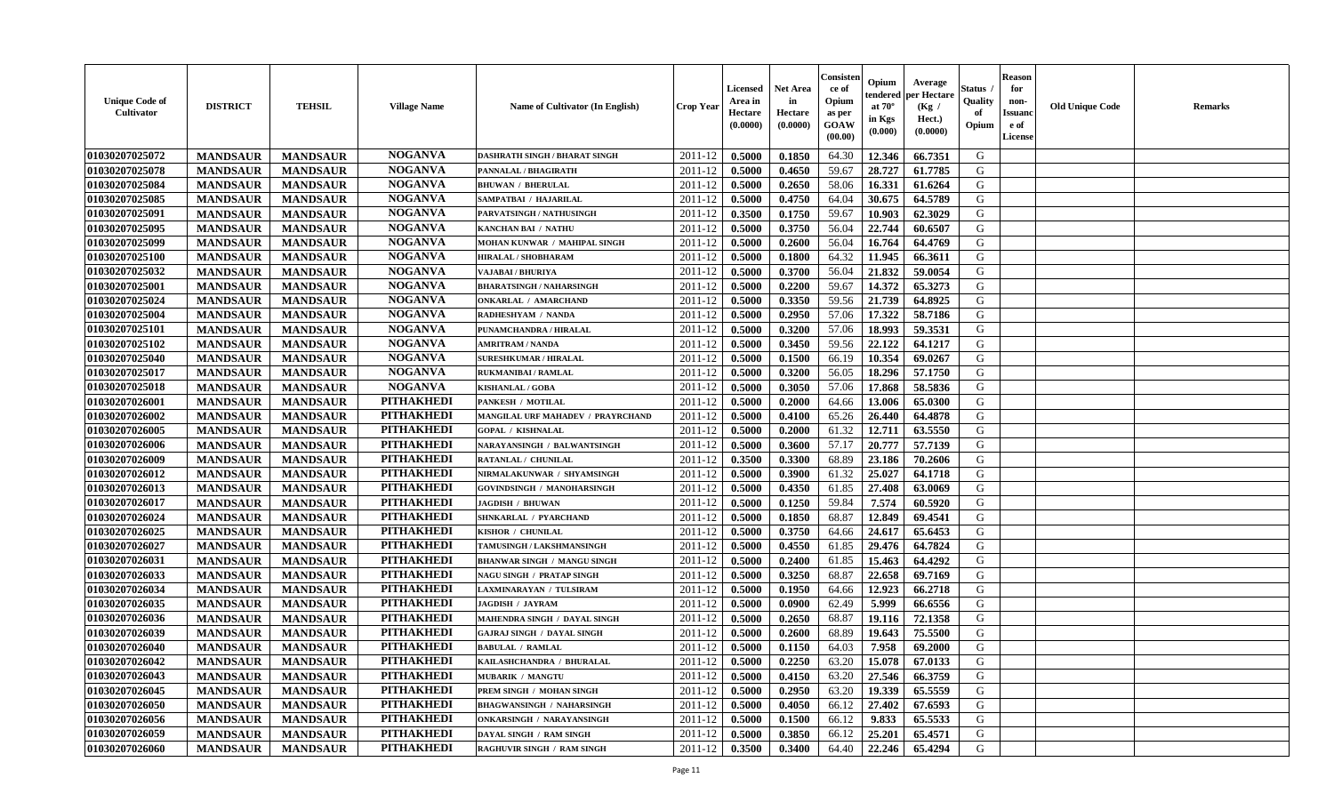| <b>Unique Code of</b><br><b>Cultivator</b> | <b>DISTRICT</b> | <b>TEHSIL</b>   | <b>Village Name</b> | Name of Cultivator (In English)      | <b>Crop Year</b> | <b>Licensed</b><br>Area in<br>Hectare<br>(0.0000) | <b>Net Area</b><br>in<br>Hectare<br>(0.0000) | Consister<br>ce of<br>Opium<br>as per<br><b>GOAW</b><br>(00.00) | Opium<br>endered<br>at $70^{\circ}$<br>in Kgs<br>$(\mathbf{0.000})$ | Average<br>per Hectare<br>(Kg)<br>Hect.)<br>(0.0000) | Status<br>Quality<br>of<br>Opium | <b>Reason</b><br>for<br>non-<br><b>Issuano</b><br>e of<br>License | <b>Old Unique Code</b> | <b>Remarks</b> |
|--------------------------------------------|-----------------|-----------------|---------------------|--------------------------------------|------------------|---------------------------------------------------|----------------------------------------------|-----------------------------------------------------------------|---------------------------------------------------------------------|------------------------------------------------------|----------------------------------|-------------------------------------------------------------------|------------------------|----------------|
| 01030207025072                             | <b>MANDSAUR</b> | <b>MANDSAUR</b> | <b>NOGANVA</b>      | <b>DASHRATH SINGH / BHARAT SINGH</b> | 2011-12          | 0.5000                                            | 0.1850                                       | 64.30                                                           | 12.346                                                              | 66.7351                                              | G                                |                                                                   |                        |                |
| 01030207025078                             | <b>MANDSAUR</b> | <b>MANDSAUR</b> | <b>NOGANVA</b>      | PANNALAL / BHAGIRATH                 | 2011-12          | 0.5000                                            | 0.4650                                       | 59.67                                                           | 28.727                                                              | 61.7785                                              | G                                |                                                                   |                        |                |
| 01030207025084                             | <b>MANDSAUR</b> | <b>MANDSAUR</b> | <b>NOGANVA</b>      | <b>BHUWAN / BHERULAL</b>             | 2011-12          | 0.5000                                            | 0.2650                                       | 58.06                                                           | 16.331                                                              | 61.6264                                              | G                                |                                                                   |                        |                |
| 01030207025085                             | <b>MANDSAUR</b> | <b>MANDSAUR</b> | <b>NOGANVA</b>      | SAMPATBAI / HAJARILAL                | 2011-12          | 0.5000                                            | 0.4750                                       | 64.04                                                           | 30.675                                                              | 64.5789                                              | G                                |                                                                   |                        |                |
| 01030207025091                             | <b>MANDSAUR</b> | <b>MANDSAUR</b> | <b>NOGANVA</b>      | PARVATSINGH / NATHUSINGH             | 2011-12          | 0.3500                                            | 0.1750                                       | 59.67                                                           | 10.903                                                              | 62.3029                                              | G                                |                                                                   |                        |                |
| 01030207025095                             | <b>MANDSAUR</b> | <b>MANDSAUR</b> | <b>NOGANVA</b>      | <b>KANCHAN BAI / NATHU</b>           | 2011-12          | 0.5000                                            | 0.3750                                       | 56.04                                                           | 22.744                                                              | 60.6507                                              | G                                |                                                                   |                        |                |
| 01030207025099                             | <b>MANDSAUR</b> | <b>MANDSAUR</b> | <b>NOGANVA</b>      | MOHAN KUNWAR / MAHIPAL SINGH         | 2011-12          | 0.5000                                            | 0.2600                                       | 56.04                                                           | 16.764                                                              | 64.4769                                              | G                                |                                                                   |                        |                |
| 01030207025100                             | <b>MANDSAUR</b> | <b>MANDSAUR</b> | <b>NOGANVA</b>      | HIRALAL / SHOBHARAM                  | 2011-12          | 0.5000                                            | 0.1800                                       | 64.32                                                           | 11.945                                                              | 66.3611                                              | G                                |                                                                   |                        |                |
| 01030207025032                             | <b>MANDSAUR</b> | <b>MANDSAUR</b> | <b>NOGANVA</b>      | VAJABAI / BHURIYA                    | 2011-12          | 0.5000                                            | 0.3700                                       | 56.04                                                           | 21.832                                                              | 59.0054                                              | G                                |                                                                   |                        |                |
| 01030207025001                             | <b>MANDSAUR</b> | <b>MANDSAUR</b> | <b>NOGANVA</b>      | <b>BHARATSINGH / NAHARSINGH</b>      | 2011-12          | 0.5000                                            | 0.2200                                       | 59.67                                                           | 14.372                                                              | 65.3273                                              | G                                |                                                                   |                        |                |
| 01030207025024                             | <b>MANDSAUR</b> | <b>MANDSAUR</b> | <b>NOGANVA</b>      | <b>ONKARLAL / AMARCHAND</b>          | 2011-12          | 0.5000                                            | 0.3350                                       | 59.56                                                           | 21.739                                                              | 64.8925                                              | G                                |                                                                   |                        |                |
| 01030207025004                             | <b>MANDSAUR</b> | <b>MANDSAUR</b> | <b>NOGANVA</b>      | RADHESHYAM / NANDA                   | 2011-12          | 0.5000                                            | 0.2950                                       | 57.06                                                           | 17.322                                                              | 58.7186                                              | G                                |                                                                   |                        |                |
| 01030207025101                             | <b>MANDSAUR</b> | <b>MANDSAUR</b> | <b>NOGANVA</b>      | PUNAMCHANDRA / HIRALAL               | 2011-12          | 0.5000                                            | 0.3200                                       | 57.06                                                           | 18.993                                                              | 59.3531                                              | G                                |                                                                   |                        |                |
| 01030207025102                             | <b>MANDSAUR</b> | <b>MANDSAUR</b> | <b>NOGANVA</b>      | <b>AMRITRAM / NANDA</b>              | 2011-12          | 0.5000                                            | 0.3450                                       | 59.56                                                           | 22,122                                                              | 64.1217                                              | G                                |                                                                   |                        |                |
| 01030207025040                             | <b>MANDSAUR</b> | <b>MANDSAUR</b> | <b>NOGANVA</b>      | <b>SURESHKUMAR / HIRALAL</b>         | 2011-12          | 0.5000                                            | 0.1500                                       | 66.19                                                           | 10.354                                                              | 69.0267                                              | G                                |                                                                   |                        |                |
| 01030207025017                             | <b>MANDSAUR</b> | <b>MANDSAUR</b> | <b>NOGANVA</b>      | <b>RUKMANIBAI / RAMLAL</b>           | 2011-12          | 0.5000                                            | 0.3200                                       | 56.05                                                           | 18.296                                                              | 57.1750                                              | G                                |                                                                   |                        |                |
| 01030207025018                             | <b>MANDSAUR</b> | <b>MANDSAUR</b> | <b>NOGANVA</b>      | <b>KISHANLAL / GOBA</b>              | 2011-12          | 0.5000                                            | 0.3050                                       | 57.06                                                           | 17.868                                                              | 58.5836                                              | G                                |                                                                   |                        |                |
| 01030207026001                             | <b>MANDSAUR</b> | <b>MANDSAUR</b> | <b>PITHAKHEDI</b>   | <b>PANKESH / MOTILAL</b>             | 2011-12          | 0.5000                                            | 0.2000                                       | 64.66                                                           | 13.006                                                              | 65.0300                                              | G                                |                                                                   |                        |                |
| 01030207026002                             | <b>MANDSAUR</b> | <b>MANDSAUR</b> | <b>PITHAKHEDI</b>   | MANGILAL URF MAHADEV / PRAYRCHAND    | 2011-12          | 0.5000                                            | 0.4100                                       | 65.26                                                           | 26.440                                                              | 64.4878                                              | G                                |                                                                   |                        |                |
| 01030207026005                             | <b>MANDSAUR</b> | <b>MANDSAUR</b> | <b>PITHAKHEDI</b>   | <b>GOPAL / KISHNALAL</b>             | 2011-12          | 0.5000                                            | 0.2000                                       | 61.32                                                           | 12.711                                                              | 63.5550                                              | G                                |                                                                   |                        |                |
| 01030207026006                             | <b>MANDSAUR</b> | <b>MANDSAUR</b> | <b>PITHAKHEDI</b>   | NARAYANSINGH / BALWANTSINGH          | 2011-12          | 0.5000                                            | 0.3600                                       | 57.17                                                           | 20.777                                                              | 57.7139                                              | G                                |                                                                   |                        |                |
| 01030207026009                             | <b>MANDSAUR</b> | <b>MANDSAUR</b> | <b>PITHAKHEDI</b>   | RATANLAL / CHUNILAL                  | 2011-12          | 0.3500                                            | 0.3300                                       | 68.89                                                           | 23.186                                                              | 70.2606                                              | G                                |                                                                   |                        |                |
| 01030207026012                             | <b>MANDSAUR</b> | <b>MANDSAUR</b> | <b>PITHAKHEDI</b>   | NIRMALAKUNWAR / SHYAMSINGH           | 2011-12          | 0.5000                                            | 0.3900                                       | 61.32                                                           | 25.027                                                              | 64.1718                                              | G                                |                                                                   |                        |                |
| 01030207026013                             | <b>MANDSAUR</b> | <b>MANDSAUR</b> | <b>PITHAKHEDI</b>   | <b>GOVINDSINGH / MANOHARSINGH</b>    | 2011-12          | 0.5000                                            | 0.4350                                       | 61.85                                                           | 27.408                                                              | 63.0069                                              | G                                |                                                                   |                        |                |
| 01030207026017                             | <b>MANDSAUR</b> | <b>MANDSAUR</b> | <b>PITHAKHEDI</b>   | <b>JAGDISH / BHUWAN</b>              | 2011-12          | 0.5000                                            | 0.1250                                       | 59.84                                                           | 7.574                                                               | 60.5920                                              | G                                |                                                                   |                        |                |
| 01030207026024                             | <b>MANDSAUR</b> | <b>MANDSAUR</b> | <b>PITHAKHEDI</b>   | SHNKARLAL / PYARCHAND                | 2011-12          | 0.5000                                            | 0.1850                                       | 68.87                                                           | 12.849                                                              | 69.4541                                              | G                                |                                                                   |                        |                |
| 01030207026025                             | <b>MANDSAUR</b> | <b>MANDSAUR</b> | <b>PITHAKHEDI</b>   | KISHOR / CHUNILAL                    | 2011-12          | 0.5000                                            | 0.3750                                       | 64.66                                                           | 24.617                                                              | 65.6453                                              | G                                |                                                                   |                        |                |
| 01030207026027                             | <b>MANDSAUR</b> | <b>MANDSAUR</b> | <b>PITHAKHEDI</b>   | TAMUSINGH / LAKSHMANSINGH            | 2011-12          | 0.5000                                            | 0.4550                                       | 61.85                                                           | 29.476                                                              | 64.7824                                              | G                                |                                                                   |                        |                |
| 01030207026031                             | <b>MANDSAUR</b> | <b>MANDSAUR</b> | <b>PITHAKHEDI</b>   | <b>BHANWAR SINGH / MANGU SINGH</b>   | 2011-12          | 0.5000                                            | 0.2400                                       | 61.85                                                           | 15.463                                                              | 64.4292                                              | G                                |                                                                   |                        |                |
| 01030207026033                             | <b>MANDSAUR</b> | <b>MANDSAUR</b> | <b>PITHAKHEDI</b>   | <b>NAGU SINGH / PRATAP SINGH</b>     | 2011-12          | 0.5000                                            | 0.3250                                       | 68.87                                                           | 22.658                                                              | 69.7169                                              | G                                |                                                                   |                        |                |
| 01030207026034                             | <b>MANDSAUR</b> | <b>MANDSAUR</b> | <b>PITHAKHEDI</b>   | LAXMINARAYAN / TULSIRAM              | 2011-12          | 0.5000                                            | 0.1950                                       | 64.66                                                           | 12.923                                                              | 66.2718                                              | G                                |                                                                   |                        |                |
| 01030207026035                             | <b>MANDSAUR</b> | <b>MANDSAUR</b> | <b>PITHAKHEDI</b>   | <b>JAGDISH / JAYRAM</b>              | 2011-12          | 0.5000                                            | 0.0900                                       | 62.49                                                           | 5.999                                                               | 66.6556                                              | G                                |                                                                   |                        |                |
| 01030207026036                             | <b>MANDSAUR</b> | <b>MANDSAUR</b> | <b>PITHAKHEDI</b>   | MAHENDRA SINGH / DAYAL SINGH         | 2011-12          | 0.5000                                            | 0.2650                                       | 68.87                                                           | 19.116                                                              | 72.1358                                              | G                                |                                                                   |                        |                |
| 01030207026039                             | <b>MANDSAUR</b> | <b>MANDSAUR</b> | <b>PITHAKHEDI</b>   | <b>GAJRAJ SINGH / DAYAL SINGH</b>    | 2011-12          | 0.5000                                            | 0.2600                                       | 68.89                                                           | 19.643                                                              | 75.5500                                              | G                                |                                                                   |                        |                |
| 01030207026040                             | <b>MANDSAUR</b> | <b>MANDSAUR</b> | <b>PITHAKHEDI</b>   | <b>BABULAL / RAMLAL</b>              | 2011-12          | 0.5000                                            | 0.1150                                       | 64.03                                                           | 7.958                                                               | 69.2000                                              | G                                |                                                                   |                        |                |
| 01030207026042                             | <b>MANDSAUR</b> | <b>MANDSAUR</b> | PITHAKHEDI          | KAILASHCHANDRA / BHURALAL            | $2011-12$ 0.5000 |                                                   | 0.2250                                       | 63.20                                                           | $15.078$ 67.0133                                                    |                                                      | G                                |                                                                   |                        |                |
| 01030207026043                             | <b>MANDSAUR</b> | <b>MANDSAUR</b> | <b>PITHAKHEDI</b>   | <b>MUBARIK / MANGTU</b>              | 2011-12          | 0.5000                                            | 0.4150                                       | 63.20                                                           | 27.546                                                              | 66.3759                                              | G                                |                                                                   |                        |                |
| 01030207026045                             | <b>MANDSAUR</b> | <b>MANDSAUR</b> | <b>PITHAKHEDI</b>   | PREM SINGH / MOHAN SINGH             | 2011-12          | 0.5000                                            | 0.2950                                       | 63.20                                                           | 19.339                                                              | 65.5559                                              | G                                |                                                                   |                        |                |
| 01030207026050                             | <b>MANDSAUR</b> | <b>MANDSAUR</b> | <b>PITHAKHEDI</b>   | <b>BHAGWANSINGH / NAHARSINGH</b>     | 2011-12          | 0.5000                                            | 0.4050                                       | 66.12                                                           | 27.402                                                              | 67.6593                                              | G                                |                                                                   |                        |                |
| 01030207026056                             | <b>MANDSAUR</b> | <b>MANDSAUR</b> | <b>PITHAKHEDI</b>   | ONKARSINGH / NARAYANSINGH            | 2011-12          | 0.5000                                            | 0.1500                                       | 66.12                                                           | 9.833                                                               | 65.5533                                              | G                                |                                                                   |                        |                |
| 01030207026059                             | <b>MANDSAUR</b> | <b>MANDSAUR</b> | <b>PITHAKHEDI</b>   | DAYAL SINGH / RAM SINGH              | 2011-12          | 0.5000                                            | 0.3850                                       | 66.12                                                           | 25.201                                                              | 65.4571                                              | G                                |                                                                   |                        |                |
| 01030207026060                             | <b>MANDSAUR</b> | <b>MANDSAUR</b> | <b>PITHAKHEDI</b>   | RAGHUVIR SINGH / RAM SINGH           | $2011 - 12$      | 0.3500                                            | 0.3400                                       | 64.40                                                           | 22.246                                                              | 65.4294                                              | G                                |                                                                   |                        |                |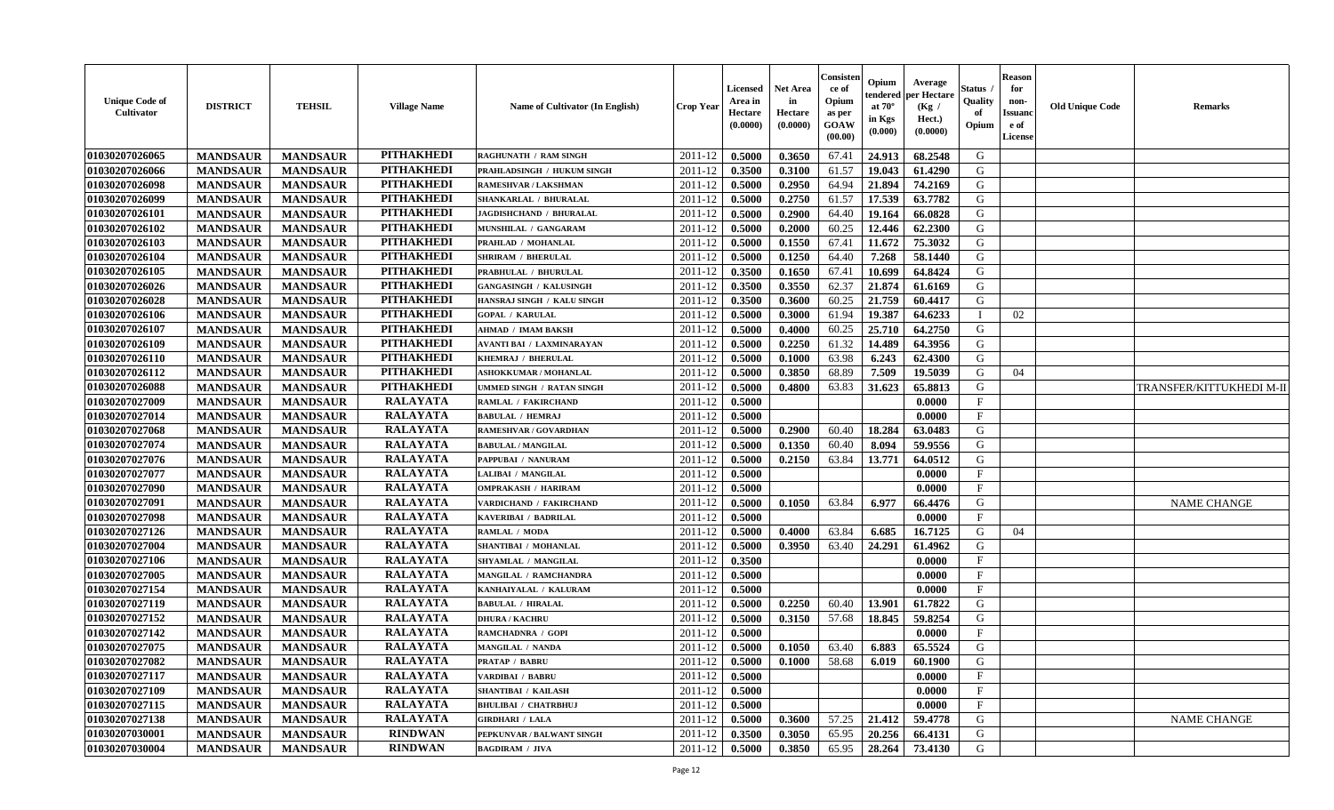| <b>Unique Code of</b><br><b>Cultivator</b> | <b>DISTRICT</b> | <b>TEHSIL</b>   | <b>Village Name</b> | Name of Cultivator (In English)  | <b>Crop Year</b> | <b>Licensed</b><br>Area in<br>Hectare<br>(0.0000) | <b>Net Area</b><br>in<br>Hectare<br>(0.0000) | Consisteı<br>ce of<br>Opium<br>as per<br>GOAW<br>(00.00) | Opium<br>endered<br>at $70^\circ$<br>in Kgs<br>(0.000) | Average<br>oer Hectare<br>(Kg /<br>Hect.)<br>(0.0000) | Status<br>Quality<br>of<br>Opium | Reason<br>for<br>non-<br>Issuan<br>e of<br>License | <b>Old Unique Code</b> | <b>Remarks</b>           |
|--------------------------------------------|-----------------|-----------------|---------------------|----------------------------------|------------------|---------------------------------------------------|----------------------------------------------|----------------------------------------------------------|--------------------------------------------------------|-------------------------------------------------------|----------------------------------|----------------------------------------------------|------------------------|--------------------------|
| 01030207026065                             | <b>MANDSAUR</b> | <b>MANDSAUR</b> | <b>PITHAKHEDI</b>   | <b>RAGHUNATH / RAM SINGH</b>     | 2011-12          | 0.5000                                            | 0.3650                                       | 67.41                                                    | 24.913                                                 | 68.2548                                               | G                                |                                                    |                        |                          |
| 01030207026066                             | <b>MANDSAUR</b> | <b>MANDSAUR</b> | <b>PITHAKHEDI</b>   | PRAHLADSINGH / HUKUM SINGH       | 2011-12          | 0.3500                                            | 0.3100                                       | 61.57                                                    | 19.043                                                 | 61.4290                                               | G                                |                                                    |                        |                          |
| 01030207026098                             | <b>MANDSAUR</b> | <b>MANDSAUR</b> | <b>PITHAKHEDI</b>   | RAMESHVAR / LAKSHMAN             | 2011-12          | 0.5000                                            | 0.2950                                       | 64.94                                                    | 21.894                                                 | 74.2169                                               | G                                |                                                    |                        |                          |
| 01030207026099                             | <b>MANDSAUR</b> | <b>MANDSAUR</b> | <b>PITHAKHEDI</b>   | SHANKARLAL / BHURALAL            | 2011-12          | 0.5000                                            | 0.2750                                       | 61.57                                                    | 17.539                                                 | 63.7782                                               | G                                |                                                    |                        |                          |
| 01030207026101                             | <b>MANDSAUR</b> | <b>MANDSAUR</b> | <b>PITHAKHEDI</b>   | <b>JAGDISHCHAND / BHURALAL</b>   | 2011-12          | 0.5000                                            | 0.2900                                       | 64.40                                                    | 19.164                                                 | 66.0828                                               | G                                |                                                    |                        |                          |
| 01030207026102                             | <b>MANDSAUR</b> | <b>MANDSAUR</b> | <b>PITHAKHEDI</b>   | MUNSHILAL / GANGARAM             | 2011-12          | 0.5000                                            | 0.2000                                       | 60.25                                                    | 12.446                                                 | 62.2300                                               | G                                |                                                    |                        |                          |
| 01030207026103                             | <b>MANDSAUR</b> | <b>MANDSAUR</b> | <b>PITHAKHEDI</b>   | PRAHLAD / MOHANLAL               | 2011-12          | 0.5000                                            | 0.1550                                       | 67.41                                                    | 11.672                                                 | 75.3032                                               | G                                |                                                    |                        |                          |
| 01030207026104                             | <b>MANDSAUR</b> | <b>MANDSAUR</b> | <b>PITHAKHEDI</b>   | <b>SHRIRAM / BHERULAL</b>        | 2011-12          | 0.5000                                            | 0.1250                                       | 64.40                                                    | 7.268                                                  | 58.1440                                               | G                                |                                                    |                        |                          |
| 01030207026105                             | <b>MANDSAUR</b> | <b>MANDSAUR</b> | <b>PITHAKHEDI</b>   | PRABHULAL / BHURULAL             | 2011-12          | 0.3500                                            | 0.1650                                       | 67.41                                                    | 10.699                                                 | 64.8424                                               | G                                |                                                    |                        |                          |
| 01030207026026                             | <b>MANDSAUR</b> | <b>MANDSAUR</b> | <b>PITHAKHEDI</b>   | <b>GANGASINGH / KALUSINGH</b>    | 2011-12          | 0.3500                                            | 0.3550                                       | 62.37                                                    | 21.874                                                 | 61.6169                                               | G                                |                                                    |                        |                          |
| 01030207026028                             | <b>MANDSAUR</b> | <b>MANDSAUR</b> | <b>PITHAKHEDI</b>   | HANSRAJ SINGH / KALU SINGH       | 2011-12          | 0.3500                                            | 0.3600                                       | 60.25                                                    | 21.759                                                 | 60.4417                                               | G                                |                                                    |                        |                          |
| 01030207026106                             | <b>MANDSAUR</b> | <b>MANDSAUR</b> | <b>PITHAKHEDI</b>   | <b>GOPAL / KARULAL</b>           | 2011-12          | 0.5000                                            | 0.3000                                       | 61.94                                                    | 19.387                                                 | 64.6233                                               |                                  | 02                                                 |                        |                          |
| 01030207026107                             | <b>MANDSAUR</b> | <b>MANDSAUR</b> | <b>PITHAKHEDI</b>   | <b>AHMAD / IMAM BAKSH</b>        | 2011-12          | 0.5000                                            | 0.4000                                       | 60.25                                                    | 25.710                                                 | 64.2750                                               | G                                |                                                    |                        |                          |
| 01030207026109                             | <b>MANDSAUR</b> | <b>MANDSAUR</b> | <b>PITHAKHEDI</b>   | <b>AVANTI BAI / LAXMINARAYAN</b> | 2011-12          | 0.5000                                            | 0.2250                                       | 61.32                                                    | 14.489                                                 | 64.3956                                               | G                                |                                                    |                        |                          |
| 01030207026110                             | <b>MANDSAUR</b> | <b>MANDSAUR</b> | <b>PITHAKHEDI</b>   | KHEMRAJ / BHERULAL               | 2011-12          | 0.5000                                            | 0.1000                                       | 63.98                                                    | 6.243                                                  | 62.4300                                               | G                                |                                                    |                        |                          |
| 01030207026112                             | <b>MANDSAUR</b> | <b>MANDSAUR</b> | <b>PITHAKHEDI</b>   | <b>ASHOKKUMAR / MOHANLAL</b>     | 2011-12          | 0.5000                                            | 0.3850                                       | 68.89                                                    | 7.509                                                  | 19.5039                                               | G                                | 04                                                 |                        |                          |
| 01030207026088                             | <b>MANDSAUR</b> | <b>MANDSAUR</b> | <b>PITHAKHEDI</b>   | UMMED SINGH / RATAN SINGH        | 2011-12          | 0.5000                                            | 0.4800                                       | 63.83                                                    | 31.623                                                 | 65.8813                                               | G                                |                                                    |                        | TRANSFER/KITTUKHEDI M-II |
| 01030207027009                             | <b>MANDSAUR</b> | <b>MANDSAUR</b> | <b>RALAYATA</b>     | RAMLAL / FAKIRCHAND              | 2011-12          | 0.5000                                            |                                              |                                                          |                                                        | 0.0000                                                | $\mathbf F$                      |                                                    |                        |                          |
| 01030207027014                             | <b>MANDSAUR</b> | <b>MANDSAUR</b> | <b>RALAYATA</b>     | <b>BABULAL / HEMRAJ</b>          | 2011-12          | 0.5000                                            |                                              |                                                          |                                                        | 0.0000                                                | F                                |                                                    |                        |                          |
| 01030207027068                             | <b>MANDSAUR</b> | <b>MANDSAUR</b> | <b>RALAYATA</b>     | RAMESHVAR / GOVARDHAN            | 2011-12          | 0.5000                                            | 0.2900                                       | 60.40                                                    | 18.284                                                 | 63.0483                                               | G                                |                                                    |                        |                          |
| 01030207027074                             | <b>MANDSAUR</b> | <b>MANDSAUR</b> | <b>RALAYATA</b>     | <b>BABULAL / MANGILAL</b>        | 2011-12          | 0.5000                                            | 0.1350                                       | 60.40                                                    | 8.094                                                  | 59.9556                                               | G                                |                                                    |                        |                          |
| 01030207027076                             | <b>MANDSAUR</b> | <b>MANDSAUR</b> | <b>RALAYATA</b>     | PAPPUBAI / NANURAM               | 2011-12          | 0.5000                                            | 0.2150                                       | 63.84                                                    | 13.771                                                 | 64.0512                                               | G                                |                                                    |                        |                          |
| 01030207027077                             | <b>MANDSAUR</b> | <b>MANDSAUR</b> | <b>RALAYATA</b>     | LALIBAI / MANGILAL               | 2011-12          | 0.5000                                            |                                              |                                                          |                                                        | 0.0000                                                | F                                |                                                    |                        |                          |
| 01030207027090                             | <b>MANDSAUR</b> | <b>MANDSAUR</b> | <b>RALAYATA</b>     | <b>OMPRAKASH / HARIRAM</b>       | 2011-12          | 0.5000                                            |                                              |                                                          |                                                        | 0.0000                                                | $\mathbf F$                      |                                                    |                        |                          |
| 01030207027091                             | <b>MANDSAUR</b> | <b>MANDSAUR</b> | <b>RALAYATA</b>     | VARDICHAND / FAKIRCHAND          | 2011-12          | 0.5000                                            | 0.1050                                       | 63.84                                                    | 6.977                                                  | 66.4476                                               | G                                |                                                    |                        | <b>NAME CHANGE</b>       |
| 01030207027098                             | <b>MANDSAUR</b> | <b>MANDSAUR</b> | <b>RALAYATA</b>     | KAVERIBAI / BADRILAL             | 2011-12          | 0.5000                                            |                                              |                                                          |                                                        | 0.0000                                                | $_{\rm F}$                       |                                                    |                        |                          |
| 01030207027126                             | <b>MANDSAUR</b> | <b>MANDSAUR</b> | <b>RALAYATA</b>     | RAMLAL / MODA                    | 2011-12          | 0.5000                                            | 0.4000                                       | 63.84                                                    | 6.685                                                  | 16.7125                                               | G                                | 04                                                 |                        |                          |
| 01030207027004                             | <b>MANDSAUR</b> | <b>MANDSAUR</b> | <b>RALAYATA</b>     | SHANTIBAI / MOHANLAL             | 2011-12          | 0.5000                                            | 0.3950                                       | 63.40                                                    | 24.291                                                 | 61.4962                                               | G                                |                                                    |                        |                          |
| 01030207027106                             | <b>MANDSAUR</b> | <b>MANDSAUR</b> | <b>RALAYATA</b>     | SHYAMLAL / MANGILAL              | 2011-12          | 0.3500                                            |                                              |                                                          |                                                        | 0.0000                                                | $\mathbf{F}$                     |                                                    |                        |                          |
| 01030207027005                             | <b>MANDSAUR</b> | <b>MANDSAUR</b> | <b>RALAYATA</b>     | MANGILAL / RAMCHANDRA            | 2011-12          | 0.5000                                            |                                              |                                                          |                                                        | 0.0000                                                | $\mathbf{F}$                     |                                                    |                        |                          |
| 01030207027154                             | <b>MANDSAUR</b> | <b>MANDSAUR</b> | <b>RALAYATA</b>     | KANHAIYALAL / KALURAM            | 2011-12          | 0.5000                                            |                                              |                                                          |                                                        | 0.0000                                                | $\mathbf{F}$                     |                                                    |                        |                          |
| 01030207027119                             | <b>MANDSAUR</b> | <b>MANDSAUR</b> | <b>RALAYATA</b>     | <b>BABULAL / HIRALAL</b>         | 2011-12          | 0.5000                                            | 0.2250                                       | 60.40                                                    | 13.901                                                 | 61.7822                                               | G                                |                                                    |                        |                          |
| 01030207027152                             | <b>MANDSAUR</b> | <b>MANDSAUR</b> | <b>RALAYATA</b>     | <b>DHURA / KACHRU</b>            | 2011-12          | 0.5000                                            | 0.3150                                       | 57.68                                                    | 18.845                                                 | 59.8254                                               | G                                |                                                    |                        |                          |
| 01030207027142                             | <b>MANDSAUR</b> | <b>MANDSAUR</b> | <b>RALAYATA</b>     | RAMCHADNRA / GOPI                | 2011-12          | 0.5000                                            |                                              |                                                          |                                                        | 0.0000                                                | $_{\rm F}$                       |                                                    |                        |                          |
| 01030207027075                             | <b>MANDSAUR</b> | <b>MANDSAUR</b> | <b>RALAYATA</b>     | MANGILAL / NANDA                 | 2011-12          | 0.5000                                            | 0.1050                                       | 63.40                                                    | 6.883                                                  | 65.5524                                               | G                                |                                                    |                        |                          |
| 01030207027082                             | <b>MANDSAUR</b> | MANDSAUR        | RALAYATA            | <b>PRATAP / BABRU</b>            |                  | $2011-12$ 0.5000                                  | $\boldsymbol{0.1000}$                        | 58.68                                                    | 6.019                                                  | 60.1900                                               | G                                |                                                    |                        |                          |
| 01030207027117                             | <b>MANDSAUR</b> | <b>MANDSAUR</b> | <b>RALAYATA</b>     | VARDIBAI / BABRU                 | 2011-12          | 0.5000                                            |                                              |                                                          |                                                        | 0.0000                                                | $\mathbf{F}$                     |                                                    |                        |                          |
| 01030207027109                             | <b>MANDSAUR</b> | <b>MANDSAUR</b> | <b>RALAYATA</b>     | <b>SHANTIBAI / KAILASH</b>       | 2011-12          | 0.5000                                            |                                              |                                                          |                                                        | 0.0000                                                | $\mathbf{F}$                     |                                                    |                        |                          |
| 01030207027115                             | <b>MANDSAUR</b> | <b>MANDSAUR</b> | <b>RALAYATA</b>     | <b>BHULIBAI / CHATRBHUJ</b>      | 2011-12          | 0.5000                                            |                                              |                                                          |                                                        | 0.0000                                                | $\mathbf F$                      |                                                    |                        |                          |
| 01030207027138                             | <b>MANDSAUR</b> | <b>MANDSAUR</b> | <b>RALAYATA</b>     | <b>GIRDHARI / LALA</b>           | 2011-12          | 0.5000                                            | 0.3600                                       | 57.25                                                    | 21.412                                                 | 59.4778                                               | G                                |                                                    |                        | <b>NAME CHANGE</b>       |
| 01030207030001                             | <b>MANDSAUR</b> | <b>MANDSAUR</b> | <b>RINDWAN</b>      | PEPKUNVAR / BALWANT SINGH        | 2011-12          | 0.3500                                            | 0.3050                                       | 65.95                                                    | 20.256                                                 | 66.4131                                               | G                                |                                                    |                        |                          |
| 01030207030004                             | <b>MANDSAUR</b> | <b>MANDSAUR</b> | <b>RINDWAN</b>      | <b>BAGDIRAM / JIVA</b>           | 2011-12          | 0.5000                                            | 0.3850                                       | 65.95                                                    | 28.264                                                 | 73.4130                                               | G                                |                                                    |                        |                          |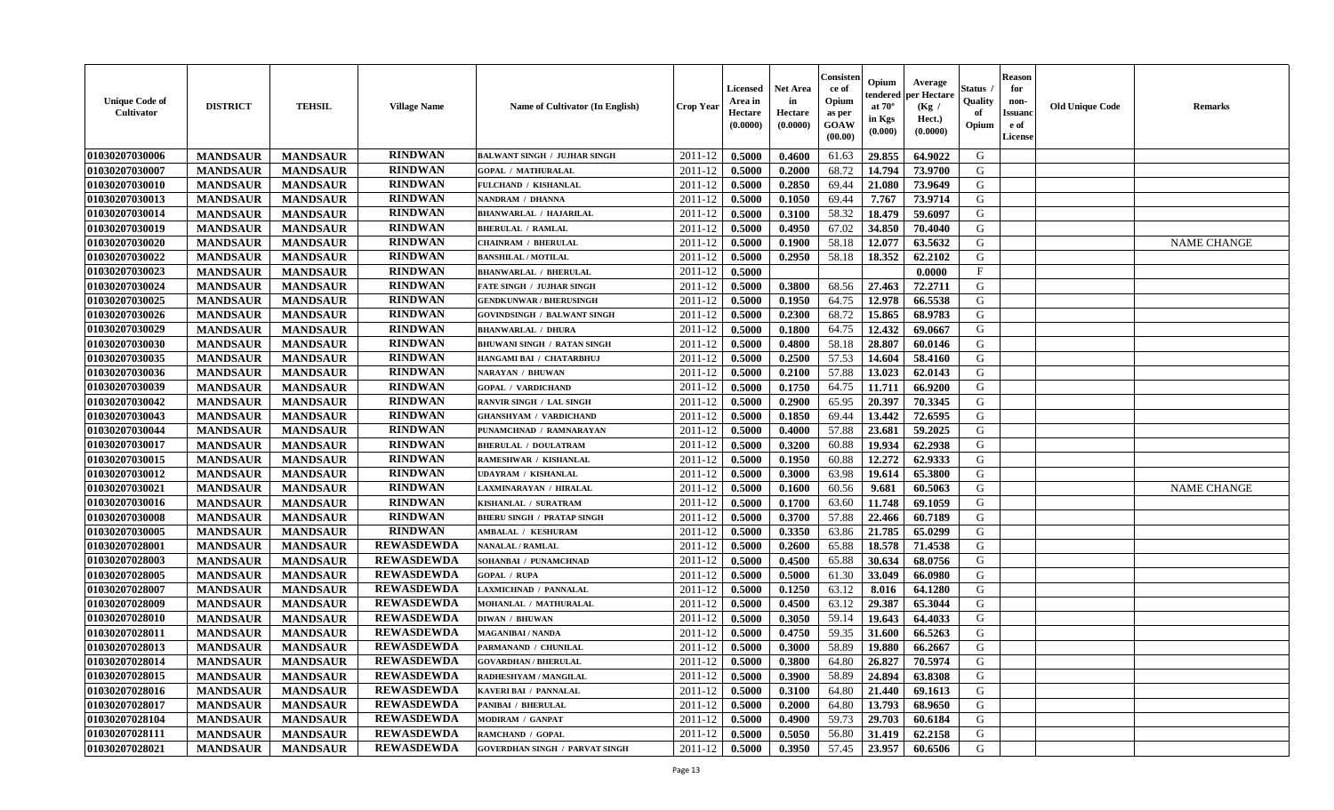| <b>Unique Code of</b><br><b>Cultivator</b> | <b>DISTRICT</b> | <b>TEHSIL</b>   | <b>Village Name</b> | Name of Cultivator (In English)       | <b>Crop Year</b> | <b>Licensed</b><br>Area in<br>Hectare<br>(0.0000) | <b>Net Area</b><br>in<br>Hectare<br>(0.0000) | Consister<br>ce of<br>Opium<br>as per<br>GOAW<br>(00.00) | Opium<br>endered<br>at $70^\circ$<br>in Kgs<br>$(\mathbf{0.000})$ | Average<br><b>per Hectare</b><br>(Kg /<br>Hect.)<br>(0.0000) | Status<br>Quality<br>of<br>Opium | Reason<br>for<br>non-<br>Issuan<br>e of<br>License | <b>Old Unique Code</b> | <b>Remarks</b>     |
|--------------------------------------------|-----------------|-----------------|---------------------|---------------------------------------|------------------|---------------------------------------------------|----------------------------------------------|----------------------------------------------------------|-------------------------------------------------------------------|--------------------------------------------------------------|----------------------------------|----------------------------------------------------|------------------------|--------------------|
| 01030207030006                             | <b>MANDSAUR</b> | <b>MANDSAUR</b> | <b>RINDWAN</b>      | <b>BALWANT SINGH / JUJHAR SINGH</b>   | 2011-12          | 0.5000                                            | 0.4600                                       | 61.63                                                    | 29.855                                                            | 64.9022                                                      | G                                |                                                    |                        |                    |
| 01030207030007                             | <b>MANDSAUR</b> | <b>MANDSAUR</b> | <b>RINDWAN</b>      | <b>GOPAL / MATHURALAL</b>             | 2011-12          | 0.5000                                            | 0.2000                                       | 68.72                                                    | 14.794                                                            | 73,9700                                                      | G                                |                                                    |                        |                    |
| 01030207030010                             | <b>MANDSAUR</b> | <b>MANDSAUR</b> | <b>RINDWAN</b>      | FULCHAND / KISHANLAL                  | 2011-12          | 0.5000                                            | 0.2850                                       | 69.44                                                    | 21.080                                                            | 73.9649                                                      | G                                |                                                    |                        |                    |
| 01030207030013                             | <b>MANDSAUR</b> | <b>MANDSAUR</b> | <b>RINDWAN</b>      | NANDRAM / DHANNA                      | 2011-12          | 0.5000                                            | 0.1050                                       | 69.44                                                    | 7.767                                                             | 73.9714                                                      | G                                |                                                    |                        |                    |
| 01030207030014                             | <b>MANDSAUR</b> | <b>MANDSAUR</b> | <b>RINDWAN</b>      | <b>BHANWARLAL / HAJARILAL</b>         | 2011-12          | 0.5000                                            | 0.3100                                       | 58.32                                                    | 18.479                                                            | 59.6097                                                      | G                                |                                                    |                        |                    |
| 01030207030019                             | <b>MANDSAUR</b> | <b>MANDSAUR</b> | <b>RINDWAN</b>      | <b>BHERULAL / RAMLAL</b>              | 2011-12          | 0.5000                                            | 0.4950                                       | 67.02                                                    | 34.850                                                            | 70.4040                                                      | G                                |                                                    |                        |                    |
| 01030207030020                             | <b>MANDSAUR</b> | <b>MANDSAUR</b> | <b>RINDWAN</b>      | <b>CHAINRAM / BHERULAL</b>            | 2011-12          | 0.5000                                            | 0.1900                                       | 58.18                                                    | 12.077                                                            | 63.5632                                                      | G                                |                                                    |                        | <b>NAME CHANGE</b> |
| 01030207030022                             | <b>MANDSAUR</b> | <b>MANDSAUR</b> | <b>RINDWAN</b>      | <b>BANSHILAL / MOTILAL</b>            | 2011-12          | 0.5000                                            | 0.2950                                       | 58.18                                                    | 18.352                                                            | 62.2102                                                      | G                                |                                                    |                        |                    |
| 01030207030023                             | <b>MANDSAUR</b> | <b>MANDSAUR</b> | <b>RINDWAN</b>      | <b>BHANWARLAL / BHERULAL</b>          | 2011-12          | 0.5000                                            |                                              |                                                          |                                                                   | 0.0000                                                       | F                                |                                                    |                        |                    |
| 01030207030024                             | <b>MANDSAUR</b> | <b>MANDSAUR</b> | <b>RINDWAN</b>      | FATE SINGH / JUJHAR SINGH             | 2011-12          | 0.5000                                            | 0.3800                                       | 68.56                                                    | 27.463                                                            | 72.2711                                                      | G                                |                                                    |                        |                    |
| 01030207030025                             | <b>MANDSAUR</b> | <b>MANDSAUR</b> | <b>RINDWAN</b>      | <b>GENDKUNWAR / BHERUSINGH</b>        | 2011-12          | 0.5000                                            | 0.1950                                       | 64.75                                                    | 12.978                                                            | 66.5538                                                      | G                                |                                                    |                        |                    |
| 01030207030026                             | <b>MANDSAUR</b> | <b>MANDSAUR</b> | <b>RINDWAN</b>      | <b>GOVINDSINGH / BALWANT SINGH</b>    | 2011-12          | 0.5000                                            | 0.2300                                       | 68.72                                                    | 15.865                                                            | 68.9783                                                      | G                                |                                                    |                        |                    |
| 01030207030029                             | <b>MANDSAUR</b> | <b>MANDSAUR</b> | <b>RINDWAN</b>      | <b>BHANWARLAL / DHURA</b>             | 2011-12          | 0.5000                                            | 0.1800                                       | 64.75                                                    | 12.432                                                            | 69.0667                                                      | G                                |                                                    |                        |                    |
| 01030207030030                             | <b>MANDSAUR</b> | <b>MANDSAUR</b> | <b>RINDWAN</b>      | <b>BHUWANI SINGH / RATAN SINGH</b>    | 2011-12          | 0.5000                                            | 0.4800                                       | 58.18                                                    | 28.807                                                            | 60.0146                                                      | G                                |                                                    |                        |                    |
| 01030207030035                             | <b>MANDSAUR</b> | <b>MANDSAUR</b> | <b>RINDWAN</b>      | HANGAMI BAI / CHATARBHUJ              | 2011-12          | 0.5000                                            | 0.2500                                       | 57.53                                                    | 14.604                                                            | 58.4160                                                      | G                                |                                                    |                        |                    |
| 01030207030036                             | <b>MANDSAUR</b> | <b>MANDSAUR</b> | <b>RINDWAN</b>      | NARAYAN / BHUWAN                      | 2011-12          | 0.5000                                            | 0.2100                                       | 57.88                                                    | 13.023                                                            | 62.0143                                                      | G                                |                                                    |                        |                    |
| 01030207030039                             | <b>MANDSAUR</b> | <b>MANDSAUR</b> | <b>RINDWAN</b>      | <b>GOPAL / VARDICHAND</b>             | 2011-12          | 0.5000                                            | 0.1750                                       | 64.75                                                    | 11.711                                                            | 66.9200                                                      | G                                |                                                    |                        |                    |
| 01030207030042                             | <b>MANDSAUR</b> | <b>MANDSAUR</b> | <b>RINDWAN</b>      | RANVIR SINGH / LAL SINGH              | 2011-12          | 0.5000                                            | 0.2900                                       | 65.95                                                    | 20.397                                                            | 70.3345                                                      | G                                |                                                    |                        |                    |
| 01030207030043                             | <b>MANDSAUR</b> | <b>MANDSAUR</b> | <b>RINDWAN</b>      | <b>GHANSHYAM / VARDICHAND</b>         | 2011-12          | 0.5000                                            | 0.1850                                       | 69.44                                                    | 13.442                                                            | 72.6595                                                      | G                                |                                                    |                        |                    |
| 01030207030044                             | <b>MANDSAUR</b> | <b>MANDSAUR</b> | <b>RINDWAN</b>      | PUNAMCHNAD / RAMNARAYAN               | 2011-12          | 0.5000                                            | 0.4000                                       | 57.88                                                    | 23.681                                                            | 59.2025                                                      | G                                |                                                    |                        |                    |
| 01030207030017                             | <b>MANDSAUR</b> | <b>MANDSAUR</b> | <b>RINDWAN</b>      | <b>BHERULAL / DOULATRAM</b>           | 2011-12          | 0.5000                                            | 0.3200                                       | 60.88                                                    | 19.934                                                            | 62.2938                                                      | G                                |                                                    |                        |                    |
| 01030207030015                             | <b>MANDSAUR</b> | <b>MANDSAUR</b> | <b>RINDWAN</b>      | RAMESHWAR / KISHANLAL                 | 2011-12          | 0.5000                                            | 0.1950                                       | 60.88                                                    | 12,272                                                            | 62.9333                                                      | G                                |                                                    |                        |                    |
| 01030207030012                             | <b>MANDSAUR</b> | <b>MANDSAUR</b> | <b>RINDWAN</b>      | <b>UDAYRAM / KISHANLAL</b>            | 2011-12          | 0.5000                                            | 0.3000                                       | 63.98                                                    | 19.614                                                            | 65.3800                                                      | G                                |                                                    |                        |                    |
| 01030207030021                             | <b>MANDSAUR</b> | <b>MANDSAUR</b> | <b>RINDWAN</b>      | LAXMINARAYAN / HIRALAL                | 2011-12          | 0.5000                                            | 0.1600                                       | 60.56                                                    | 9.681                                                             | 60.5063                                                      | G                                |                                                    |                        | <b>NAME CHANGE</b> |
| 01030207030016                             | <b>MANDSAUR</b> | <b>MANDSAUR</b> | <b>RINDWAN</b>      | KISHANLAL / SURATRAM                  | 2011-12          | 0.5000                                            | 0.1700                                       | 63.60                                                    | 11.748                                                            | 69.1059                                                      | G                                |                                                    |                        |                    |
| 01030207030008                             | <b>MANDSAUR</b> | <b>MANDSAUR</b> | <b>RINDWAN</b>      | <b>BHERU SINGH / PRATAP SINGH</b>     | 2011-12          | 0.5000                                            | 0.3700                                       | 57.88                                                    | 22.466                                                            | 60.7189                                                      | G                                |                                                    |                        |                    |
| 01030207030005                             | <b>MANDSAUR</b> | <b>MANDSAUR</b> | <b>RINDWAN</b>      | <b>AMBALAL / KESHURAM</b>             | 2011-12          | 0.5000                                            | 0.3350                                       | 63.86                                                    | 21.785                                                            | 65.0299                                                      | G                                |                                                    |                        |                    |
| 01030207028001                             | <b>MANDSAUR</b> | <b>MANDSAUR</b> | <b>REWASDEWDA</b>   | NANALAL / RAMLAL                      | 2011-12          | 0.5000                                            | 0.2600                                       | 65.88                                                    | 18.578                                                            | 71.4538                                                      | G                                |                                                    |                        |                    |
| 01030207028003                             | <b>MANDSAUR</b> | <b>MANDSAUR</b> | <b>REWASDEWDA</b>   | SOHANBAI / PUNAMCHNAD                 | 2011-12          | 0.5000                                            | 0.4500                                       | 65.88                                                    | 30.634                                                            | 68.0756                                                      | G                                |                                                    |                        |                    |
| 01030207028005                             | <b>MANDSAUR</b> | <b>MANDSAUR</b> | <b>REWASDEWDA</b>   | <b>GOPAL / RUPA</b>                   | 2011-12          | 0.5000                                            | 0.5000                                       | 61.30                                                    | 33.049                                                            | 66.0980                                                      | G                                |                                                    |                        |                    |
| 01030207028007                             | <b>MANDSAUR</b> | <b>MANDSAUR</b> | <b>REWASDEWDA</b>   | LAXMICHNAD / PANNALAL                 | 2011-12          | 0.5000                                            | 0.1250                                       | 63.12                                                    | 8.016                                                             | 64.1280                                                      | G                                |                                                    |                        |                    |
| 01030207028009                             | <b>MANDSAUR</b> | <b>MANDSAUR</b> | <b>REWASDEWDA</b>   | MOHANLAL / MATHURALAL                 | 2011-12          | 0.5000                                            | 0.4500                                       | 63.12                                                    | 29.387                                                            | 65.3044                                                      | G                                |                                                    |                        |                    |
| 01030207028010                             | <b>MANDSAUR</b> | <b>MANDSAUR</b> | <b>REWASDEWDA</b>   | DIWAN / BHUWAN                        | 2011-12          | 0.5000                                            | 0.3050                                       | 59.14                                                    | 19.643                                                            | 64.4033                                                      | G                                |                                                    |                        |                    |
| 01030207028011                             | <b>MANDSAUR</b> | <b>MANDSAUR</b> | <b>REWASDEWDA</b>   | MAGANIBAI / NANDA                     | 2011-12          | 0.5000                                            | 0.4750                                       | 59.35                                                    | 31.600                                                            | 66.5263                                                      | G                                |                                                    |                        |                    |
| 01030207028013                             | <b>MANDSAUR</b> | <b>MANDSAUR</b> | <b>REWASDEWDA</b>   | PARMANAND / CHUNILAL                  | 2011-12          | 0.5000                                            | 0.3000                                       | 58.89                                                    | 19.880                                                            | 66.2667                                                      | G                                |                                                    |                        |                    |
| 01030207028014                             | <b>MANDSAUR</b> | MANDSAUR        | <b>REWASDEWDA</b>   | <b>GOVARDHAN / BHERULAL</b>           | $2011-12$ 0.5000 |                                                   | 0.3800                                       | 64.80                                                    | 26.827                                                            | 70.5974                                                      | G                                |                                                    |                        |                    |
| 01030207028015                             | <b>MANDSAUR</b> | <b>MANDSAUR</b> | <b>REWASDEWDA</b>   | RADHESHYAM / MANGILAL                 | 2011-12          | 0.5000                                            | 0.3900                                       | 58.89                                                    | 24.894                                                            | 63.8308                                                      | G                                |                                                    |                        |                    |
| 01030207028016                             | <b>MANDSAUR</b> | <b>MANDSAUR</b> | <b>REWASDEWDA</b>   | <b>KAVERI BAI / PANNALAL</b>          | 2011-12          | 0.5000                                            | 0.3100                                       | 64.80                                                    | 21.440                                                            | 69.1613                                                      | G                                |                                                    |                        |                    |
| 01030207028017                             | <b>MANDSAUR</b> | <b>MANDSAUR</b> | <b>REWASDEWDA</b>   | PANIBAI / BHERULAL                    | 2011-12          | 0.5000                                            | 0.2000                                       | 64.80                                                    | 13.793                                                            | 68.9650                                                      | G                                |                                                    |                        |                    |
| 01030207028104                             | <b>MANDSAUR</b> | <b>MANDSAUR</b> | <b>REWASDEWDA</b>   | MODIRAM / GANPAT                      | 2011-12          | 0.5000                                            | 0.4900                                       | 59.73                                                    | 29.703                                                            | 60.6184                                                      | G                                |                                                    |                        |                    |
| 01030207028111                             | <b>MANDSAUR</b> | <b>MANDSAUR</b> | <b>REWASDEWDA</b>   | RAMCHAND / GOPAL                      | 2011-12          | 0.5000                                            | 0.5050                                       | 56.80                                                    | 31.419                                                            | 62.2158                                                      | G                                |                                                    |                        |                    |
| 01030207028021                             | <b>MANDSAUR</b> | <b>MANDSAUR</b> | <b>REWASDEWDA</b>   | <b>GOVERDHAN SINGH / PARVAT SINGH</b> | 2011-12          | 0.5000                                            | 0.3950                                       | 57.45                                                    | 23.957                                                            | 60.6506                                                      | G                                |                                                    |                        |                    |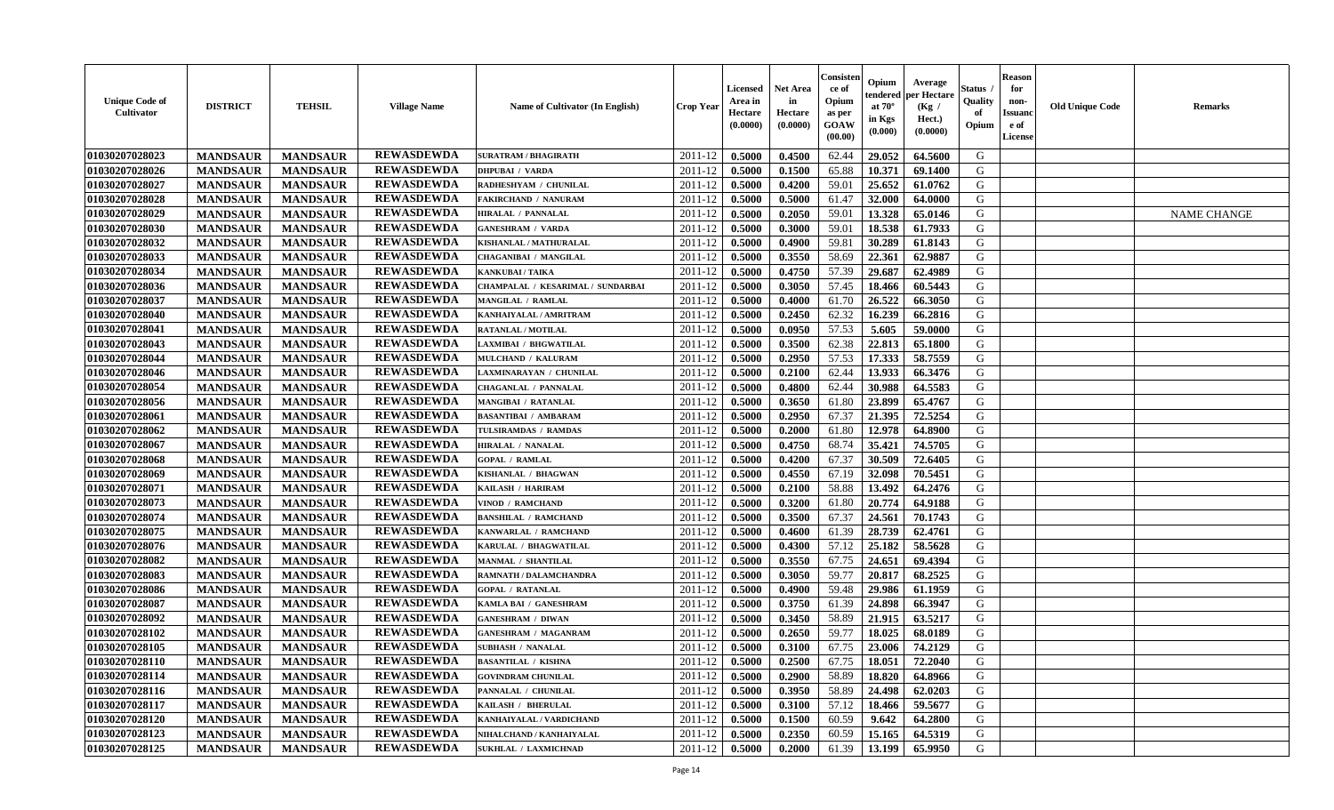| <b>Unique Code of</b><br><b>Cultivator</b> | <b>DISTRICT</b> | <b>TEHSIL</b>   | <b>Village Name</b> | Name of Cultivator (In English)   | <b>Crop Year</b> | <b>Licensed</b><br>Area in<br>Hectare<br>(0.0000) | <b>Net Area</b><br>in<br>Hectare<br>(0.0000) | Consister<br>ce of<br>Opium<br>as per<br><b>GOAW</b><br>(00.00) | Opium<br>endered<br>at $70^\circ$<br>in Kgs<br>$(\mathbf{0.000})$ | Average<br>per Hectare<br>(Kg)<br>Hect.)<br>(0.0000) | Status<br>Quality<br>of<br>Opium | <b>Reason</b><br>for<br>non-<br><b>Issuano</b><br>e of<br>License | <b>Old Unique Code</b> | <b>Remarks</b>     |
|--------------------------------------------|-----------------|-----------------|---------------------|-----------------------------------|------------------|---------------------------------------------------|----------------------------------------------|-----------------------------------------------------------------|-------------------------------------------------------------------|------------------------------------------------------|----------------------------------|-------------------------------------------------------------------|------------------------|--------------------|
| 01030207028023                             | <b>MANDSAUR</b> | <b>MANDSAUR</b> | <b>REWASDEWDA</b>   | <b>SURATRAM / BHAGIRATH</b>       | 2011-12          | 0.5000                                            | 0.4500                                       | 62.44                                                           | 29.052                                                            | 64.5600                                              | G                                |                                                                   |                        |                    |
| 01030207028026                             | <b>MANDSAUR</b> | <b>MANDSAUR</b> | <b>REWASDEWDA</b>   | <b>DHPUBAI / VARDA</b>            | 2011-12          | 0.5000                                            | 0.1500                                       | 65.88                                                           | 10.371                                                            | 69.1400                                              | G                                |                                                                   |                        |                    |
| 01030207028027                             | <b>MANDSAUR</b> | <b>MANDSAUR</b> | <b>REWASDEWDA</b>   | RADHESHYAM / CHUNILAL             | 2011-12          | 0.5000                                            | 0.4200                                       | 59.01                                                           | 25.652                                                            | 61.0762                                              | G                                |                                                                   |                        |                    |
| 01030207028028                             | <b>MANDSAUR</b> | <b>MANDSAUR</b> | <b>REWASDEWDA</b>   | <b>FAKIRCHAND / NANURAM</b>       | 2011-12          | 0.5000                                            | 0.5000                                       | 61.47                                                           | 32.000                                                            | 64.0000                                              | G                                |                                                                   |                        |                    |
| 01030207028029                             | <b>MANDSAUR</b> | <b>MANDSAUR</b> | <b>REWASDEWDA</b>   | HIRALAL / PANNALAL                | 2011-12          | 0.5000                                            | 0.2050                                       | 59.01                                                           | 13.328                                                            | 65.0146                                              | G                                |                                                                   |                        | <b>NAME CHANGE</b> |
| 01030207028030                             | <b>MANDSAUR</b> | <b>MANDSAUR</b> | <b>REWASDEWDA</b>   | <b>GANESHRAM / VARDA</b>          | 2011-12          | 0.5000                                            | 0.3000                                       | 59.01                                                           | 18.538                                                            | 61.7933                                              | G                                |                                                                   |                        |                    |
| 01030207028032                             | <b>MANDSAUR</b> | <b>MANDSAUR</b> | <b>REWASDEWDA</b>   | KISHANLAL / MATHURALAL            | 2011-12          | 0.5000                                            | 0.4900                                       | 59.81                                                           | 30.289                                                            | 61.8143                                              | G                                |                                                                   |                        |                    |
| 01030207028033                             | <b>MANDSAUR</b> | <b>MANDSAUR</b> | <b>REWASDEWDA</b>   | <b>CHAGANIBAI / MANGILAL</b>      | 2011-12          | 0.5000                                            | 0.3550                                       | 58.69                                                           | 22.361                                                            | 62.9887                                              | G                                |                                                                   |                        |                    |
| 01030207028034                             | <b>MANDSAUR</b> | <b>MANDSAUR</b> | <b>REWASDEWDA</b>   | <b>KANKUBAI/TAIKA</b>             | 2011-12          | 0.5000                                            | 0.4750                                       | 57.39                                                           | 29.687                                                            | 62.4989                                              | G                                |                                                                   |                        |                    |
| 01030207028036                             | <b>MANDSAUR</b> | <b>MANDSAUR</b> | <b>REWASDEWDA</b>   | CHAMPALAL / KESARIMAL / SUNDARBAI | 2011-12          | 0.5000                                            | 0.3050                                       | 57.45                                                           | 18.466                                                            | 60.5443                                              | G                                |                                                                   |                        |                    |
| 01030207028037                             | <b>MANDSAUR</b> | <b>MANDSAUR</b> | <b>REWASDEWDA</b>   | MANGILAL / RAMLAL                 | 2011-12          | 0.5000                                            | 0.4000                                       | 61.70                                                           | 26.522                                                            | 66.3050                                              | G                                |                                                                   |                        |                    |
| 01030207028040                             | <b>MANDSAUR</b> | <b>MANDSAUR</b> | <b>REWASDEWDA</b>   | KANHAIYALAL / AMRITRAM            | 2011-12          | 0.5000                                            | 0.2450                                       | 62.32                                                           | 16.239                                                            | 66.2816                                              | G                                |                                                                   |                        |                    |
| 01030207028041                             | <b>MANDSAUR</b> | <b>MANDSAUR</b> | <b>REWASDEWDA</b>   | <b>RATANLAL / MOTILAL</b>         | 2011-12          | 0.5000                                            | 0.0950                                       | 57.53                                                           | 5.605                                                             | 59.0000                                              | G                                |                                                                   |                        |                    |
| 01030207028043                             | <b>MANDSAUR</b> | <b>MANDSAUR</b> | <b>REWASDEWDA</b>   | LAXMIBAI / BHGWATILAL             | 2011-12          | 0.5000                                            | 0.3500                                       | 62.38                                                           | 22.813                                                            | 65.1800                                              | G                                |                                                                   |                        |                    |
| 01030207028044                             | <b>MANDSAUR</b> | <b>MANDSAUR</b> | <b>REWASDEWDA</b>   | MULCHAND / KALURAM                | 2011-12          | 0.5000                                            | 0.2950                                       | 57.53                                                           | 17.333                                                            | 58.7559                                              | G                                |                                                                   |                        |                    |
| 01030207028046                             | <b>MANDSAUR</b> | <b>MANDSAUR</b> | <b>REWASDEWDA</b>   | LAXMINARAYAN / CHUNILAL           | 2011-12          | 0.5000                                            | 0.2100                                       | 62.44                                                           | 13.933                                                            | 66.3476                                              | G                                |                                                                   |                        |                    |
| 01030207028054                             | <b>MANDSAUR</b> | <b>MANDSAUR</b> | <b>REWASDEWDA</b>   | CHAGANLAL / PANNALAL              | 2011-12          | 0.5000                                            | 0.4800                                       | 62.44                                                           | 30.988                                                            | 64.5583                                              | G                                |                                                                   |                        |                    |
| 01030207028056                             | <b>MANDSAUR</b> | <b>MANDSAUR</b> | <b>REWASDEWDA</b>   | <b>MANGIBAI / RATANLAL</b>        | 2011-12          | 0.5000                                            | 0.3650                                       | 61.80                                                           | 23.899                                                            | 65.4767                                              | G                                |                                                                   |                        |                    |
| 01030207028061                             | <b>MANDSAUR</b> | <b>MANDSAUR</b> | <b>REWASDEWDA</b>   | <b>BASANTIBAI / AMBARAM</b>       | 2011-12          | 0.5000                                            | 0.2950                                       | 67.37                                                           | 21.395                                                            | 72.5254                                              | G                                |                                                                   |                        |                    |
| 01030207028062                             | <b>MANDSAUR</b> | <b>MANDSAUR</b> | <b>REWASDEWDA</b>   | TULSIRAMDAS / RAMDAS              | 2011-12          | 0.5000                                            | 0.2000                                       | 61.80                                                           | 12.978                                                            | 64.8900                                              | G                                |                                                                   |                        |                    |
| 01030207028067                             | <b>MANDSAUR</b> | <b>MANDSAUR</b> | <b>REWASDEWDA</b>   | HIRALAL / NANALAL                 | 2011-12          | 0.5000                                            | 0.4750                                       | 68.74                                                           | 35.421                                                            | 74.5705                                              | G                                |                                                                   |                        |                    |
| 01030207028068                             | <b>MANDSAUR</b> | <b>MANDSAUR</b> | <b>REWASDEWDA</b>   | <b>GOPAL / RAMLAL</b>             | 2011-12          | 0.5000                                            | 0.4200                                       | 67.37                                                           | 30.509                                                            | 72.6405                                              | G                                |                                                                   |                        |                    |
| 01030207028069                             | <b>MANDSAUR</b> | <b>MANDSAUR</b> | <b>REWASDEWDA</b>   | KISHANLAL / BHAGWAN               | 2011-12          | 0.5000                                            | 0.4550                                       | 67.19                                                           | 32.098                                                            | 70.5451                                              | G                                |                                                                   |                        |                    |
| 01030207028071                             | <b>MANDSAUR</b> | <b>MANDSAUR</b> | <b>REWASDEWDA</b>   | KAILASH / HARIRAM                 | 2011-12          | 0.5000                                            | 0.2100                                       | 58.88                                                           | 13.492                                                            | 64.2476                                              | G                                |                                                                   |                        |                    |
| 01030207028073                             | <b>MANDSAUR</b> | <b>MANDSAUR</b> | <b>REWASDEWDA</b>   | VINOD / RAMCHAND                  | 2011-12          | 0.5000                                            | 0.3200                                       | 61.80                                                           | 20.774                                                            | 64.9188                                              | G                                |                                                                   |                        |                    |
| 01030207028074                             | <b>MANDSAUR</b> | <b>MANDSAUR</b> | <b>REWASDEWDA</b>   | <b>BANSHILAL / RAMCHAND</b>       | 2011-12          | 0.5000                                            | 0.3500                                       | 67.37                                                           | 24.561                                                            | 70.1743                                              | G                                |                                                                   |                        |                    |
| 01030207028075                             | <b>MANDSAUR</b> | <b>MANDSAUR</b> | <b>REWASDEWDA</b>   | KANWARLAL / RAMCHAND              | 2011-12          | 0.5000                                            | 0.4600                                       | 61.39                                                           | 28.739                                                            | 62.4761                                              | G                                |                                                                   |                        |                    |
| 01030207028076                             | <b>MANDSAUR</b> | <b>MANDSAUR</b> | <b>REWASDEWDA</b>   | KARULAL / BHAGWATILAL             | 2011-12          | 0.5000                                            | 0.4300                                       | 57.12                                                           | 25.182                                                            | 58.5628                                              | G                                |                                                                   |                        |                    |
| 01030207028082                             | <b>MANDSAUR</b> | <b>MANDSAUR</b> | <b>REWASDEWDA</b>   | <b>MANMAL / SHANTILAL</b>         | 2011-12          | 0.5000                                            | 0.3550                                       | 67.75                                                           | 24.651                                                            | 69.4394                                              | G                                |                                                                   |                        |                    |
| 01030207028083                             | <b>MANDSAUR</b> | <b>MANDSAUR</b> | <b>REWASDEWDA</b>   | RAMNATH / DALAMCHANDRA            | 2011-12          | 0.5000                                            | 0.3050                                       | 59.77                                                           | 20.817                                                            | 68.2525                                              | G                                |                                                                   |                        |                    |
| 01030207028086                             | <b>MANDSAUR</b> | <b>MANDSAUR</b> | <b>REWASDEWDA</b>   | <b>GOPAL / RATANLAL</b>           | 2011-12          | 0.5000                                            | 0.4900                                       | 59.48                                                           | 29.986                                                            | 61.1959                                              | G                                |                                                                   |                        |                    |
| 01030207028087                             | <b>MANDSAUR</b> | <b>MANDSAUR</b> | <b>REWASDEWDA</b>   | KAMLA BAI / GANESHRAM             | 2011-12          | 0.5000                                            | 0.3750                                       | 61.39                                                           | 24.898                                                            | 66.3947                                              | G                                |                                                                   |                        |                    |
| 01030207028092                             | <b>MANDSAUR</b> | <b>MANDSAUR</b> | <b>REWASDEWDA</b>   | <b>GANESHRAM / DIWAN</b>          | 2011-12          | 0.5000                                            | 0.3450                                       | 58.89                                                           | 21.915                                                            | 63.5217                                              | G                                |                                                                   |                        |                    |
| 01030207028102                             | <b>MANDSAUR</b> | <b>MANDSAUR</b> | <b>REWASDEWDA</b>   | <b>GANESHRAM / MAGANRAM</b>       | 2011-12          | 0.5000                                            | 0.2650                                       | 59.77                                                           | 18.025                                                            | 68.0189                                              | G                                |                                                                   |                        |                    |
| 01030207028105                             | <b>MANDSAUR</b> | <b>MANDSAUR</b> | <b>REWASDEWDA</b>   | <b>SUBHASH / NANALAL</b>          | 2011-12          | 0.5000                                            | 0.3100                                       | 67.75                                                           | 23.006                                                            | 74.2129                                              | G                                |                                                                   |                        |                    |
| 01030207028110                             | <b>MANDSAUR</b> | <b>MANDSAUR</b> | <b>REWASDEWDA</b>   | <b>BASANTILAL / KISHNA</b>        | $2011-12$ 0.5000 |                                                   | 0.2500                                       | 67.75                                                           |                                                                   | 18.051 72.2040                                       | G                                |                                                                   |                        |                    |
| 01030207028114                             | <b>MANDSAUR</b> | <b>MANDSAUR</b> | <b>REWASDEWDA</b>   | <b>GOVINDRAM CHUNILAL</b>         | 2011-12          | 0.5000                                            | 0.2900                                       | 58.89                                                           | 18.820                                                            | 64.8966                                              | G                                |                                                                   |                        |                    |
| 01030207028116                             | <b>MANDSAUR</b> | <b>MANDSAUR</b> | <b>REWASDEWDA</b>   | PANNALAL / CHUNILAL               | 2011-12          | 0.5000                                            | 0.3950                                       | 58.89                                                           | 24.498                                                            | 62.0203                                              | G                                |                                                                   |                        |                    |
| 01030207028117                             | <b>MANDSAUR</b> | <b>MANDSAUR</b> | <b>REWASDEWDA</b>   | KAILASH / BHERULAL                | 2011-12          | 0.5000                                            | 0.3100                                       | 57.12                                                           | 18.466                                                            | 59.5677                                              | G                                |                                                                   |                        |                    |
| 01030207028120                             | <b>MANDSAUR</b> | <b>MANDSAUR</b> | <b>REWASDEWDA</b>   | KANHAIYALAL / VARDICHAND          | 2011-12          | 0.5000                                            | 0.1500                                       | 60.59                                                           | 9.642                                                             | 64.2800                                              | G                                |                                                                   |                        |                    |
| 01030207028123                             | <b>MANDSAUR</b> | <b>MANDSAUR</b> | <b>REWASDEWDA</b>   | NIHALCHAND / KANHAIYALAL          | 2011-12          | 0.5000                                            | 0.2350                                       | 60.59                                                           | 15.165                                                            | 64.5319                                              | G                                |                                                                   |                        |                    |
| 01030207028125                             | <b>MANDSAUR</b> | <b>MANDSAUR</b> | <b>REWASDEWDA</b>   | <b>SUKHLAL / LAXMICHNAD</b>       | $2011-12$        | 0.5000                                            | 0.2000                                       | 61.39                                                           | 13.199                                                            | 65.9950                                              | G                                |                                                                   |                        |                    |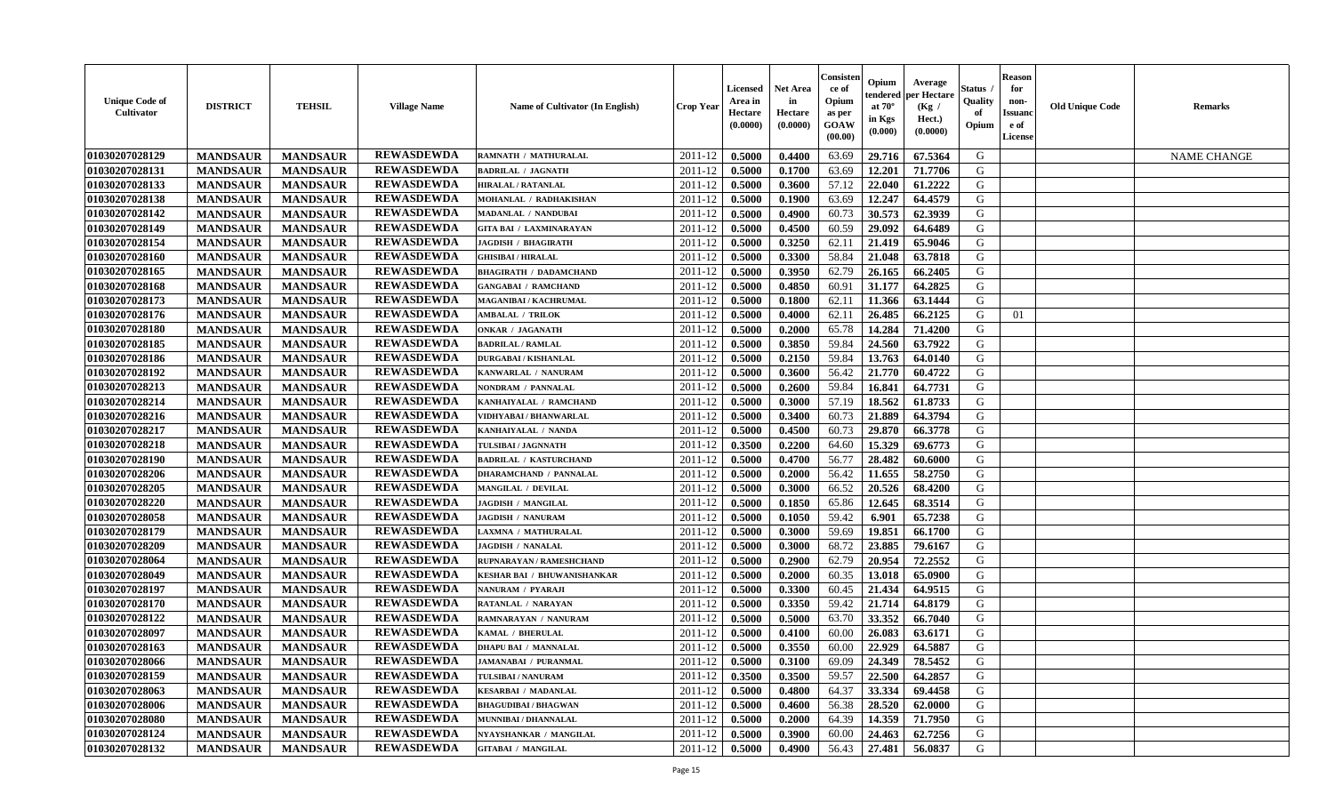| <b>Unique Code of</b><br><b>Cultivator</b> | <b>DISTRICT</b> | <b>TEHSIL</b>   | <b>Village Name</b> | Name of Cultivator (In English)    | <b>Crop Year</b> | Licensed<br>Area in<br>Hectare<br>(0.0000) | <b>Net Area</b><br>in<br>Hectare<br>(0.0000) | Consisten<br>ce of<br>Opium<br>as per<br>GOAW<br>(00.00) | Opium<br>tendered<br>at $70^\circ$<br>in Kgs<br>(0.000) | Average<br>per Hectare<br>(Kg /<br>Hect.)<br>(0.0000) | Status<br><b>Quality</b><br>of<br>Opium | <b>Reason</b><br>for<br>non-<br>Issuanc<br>e of<br>License | <b>Old Unique Code</b> | <b>Remarks</b>     |
|--------------------------------------------|-----------------|-----------------|---------------------|------------------------------------|------------------|--------------------------------------------|----------------------------------------------|----------------------------------------------------------|---------------------------------------------------------|-------------------------------------------------------|-----------------------------------------|------------------------------------------------------------|------------------------|--------------------|
| 01030207028129                             | <b>MANDSAUR</b> | <b>MANDSAUR</b> | <b>REWASDEWDA</b>   | RAMNATH / MATHURALAL               | 2011-12          | 0.5000                                     | 0.4400                                       | 63.69                                                    | 29.716                                                  | 67.5364                                               | G                                       |                                                            |                        | <b>NAME CHANGE</b> |
| 01030207028131                             | <b>MANDSAUR</b> | <b>MANDSAUR</b> | <b>REWASDEWDA</b>   | <b>BADRILAL / JAGNATH</b>          | 2011-12          | 0.5000                                     | 0.1700                                       | 63.69                                                    | 12.201                                                  | 71.7706                                               | G                                       |                                                            |                        |                    |
| 01030207028133                             | <b>MANDSAUR</b> | <b>MANDSAUR</b> | <b>REWASDEWDA</b>   | <b>HIRALAL / RATANLAL</b>          | 2011-12          | 0.5000                                     | 0.3600                                       | 57.12                                                    | 22.040                                                  | 61.2222                                               | G                                       |                                                            |                        |                    |
| 01030207028138                             | <b>MANDSAUR</b> | <b>MANDSAUR</b> | <b>REWASDEWDA</b>   | MOHANLAL / RADHAKISHAN             | 2011-12          | 0.5000                                     | 0.1900                                       | 63.69                                                    | 12.247                                                  | 64.4579                                               | G                                       |                                                            |                        |                    |
| 01030207028142                             | <b>MANDSAUR</b> | <b>MANDSAUR</b> | <b>REWASDEWDA</b>   | <b>MADANLAL / NANDUBAl</b>         | 2011-12          | 0.5000                                     | 0.4900                                       | 60.73                                                    | 30.573                                                  | 62.3939                                               | G                                       |                                                            |                        |                    |
| 01030207028149                             | <b>MANDSAUR</b> | <b>MANDSAUR</b> | <b>REWASDEWDA</b>   | <b>GITA BAI / LAXMINARAYAN</b>     | 2011-12          | 0.5000                                     | 0.4500                                       | 60.59                                                    | 29.092                                                  | 64.6489                                               | G                                       |                                                            |                        |                    |
| 01030207028154                             | <b>MANDSAUR</b> | <b>MANDSAUR</b> | <b>REWASDEWDA</b>   | <b>JAGDISH / BHAGIRATH</b>         | 2011-12          | 0.5000                                     | 0.3250                                       | 62.11                                                    | 21.419                                                  | 65.9046                                               | G                                       |                                                            |                        |                    |
| 01030207028160                             | <b>MANDSAUR</b> | <b>MANDSAUR</b> | <b>REWASDEWDA</b>   | <b>GHISIBAI/HIRALAL</b>            | 2011-12          | 0.5000                                     | 0.3300                                       | 58.84                                                    | 21.048                                                  | 63.7818                                               | G                                       |                                                            |                        |                    |
| 01030207028165                             | <b>MANDSAUR</b> | <b>MANDSAUR</b> | <b>REWASDEWDA</b>   | <b>BHAGIRATH / DADAMCHAND</b>      | 2011-12          | 0.5000                                     | 0.3950                                       | 62.79                                                    | 26.165                                                  | 66.2405                                               | G                                       |                                                            |                        |                    |
| 01030207028168                             | <b>MANDSAUR</b> | <b>MANDSAUR</b> | <b>REWASDEWDA</b>   | <b>GANGABAI / RAMCHAND</b>         | 2011-12          | 0.5000                                     | 0.4850                                       | 60.91                                                    | 31.177                                                  | 64.2825                                               | G                                       |                                                            |                        |                    |
| 01030207028173                             | <b>MANDSAUR</b> | <b>MANDSAUR</b> | <b>REWASDEWDA</b>   | <b>MAGANIBAI / KACHRUMAL</b>       | 2011-12          | 0.5000                                     | 0.1800                                       | 62.11                                                    | 11.366                                                  | 63.1444                                               | G                                       |                                                            |                        |                    |
| 01030207028176                             | <b>MANDSAUR</b> | <b>MANDSAUR</b> | <b>REWASDEWDA</b>   | <b>AMBALAL / TRILOK</b>            | 2011-12          | 0.5000                                     | 0.4000                                       | 62.11                                                    | 26.485                                                  | 66.2125                                               | G                                       | 01                                                         |                        |                    |
| 01030207028180                             | <b>MANDSAUR</b> | <b>MANDSAUR</b> | <b>REWASDEWDA</b>   | <b>ONKAR / JAGANATH</b>            | 2011-12          | 0.5000                                     | 0.2000                                       | 65.78                                                    | 14.284                                                  | 71.4200                                               | G                                       |                                                            |                        |                    |
| 01030207028185                             | <b>MANDSAUR</b> | <b>MANDSAUR</b> | <b>REWASDEWDA</b>   | <b>BADRILAL / RAMLAL</b>           | 2011-12          | 0.5000                                     | 0.3850                                       | 59.84                                                    | 24.560                                                  | 63.7922                                               | G                                       |                                                            |                        |                    |
| 01030207028186                             | <b>MANDSAUR</b> | <b>MANDSAUR</b> | <b>REWASDEWDA</b>   | <b>DURGABAI/KISHANLAL</b>          | 2011-12          | 0.5000                                     | 0.2150                                       | 59.84                                                    | 13.763                                                  | 64.0140                                               | G                                       |                                                            |                        |                    |
| 01030207028192                             | <b>MANDSAUR</b> | <b>MANDSAUR</b> | <b>REWASDEWDA</b>   | KANWARLAL / NANURAM                | 2011-12          | 0.5000                                     | 0.3600                                       | 56.42                                                    | 21.770                                                  | 60.4722                                               | G                                       |                                                            |                        |                    |
| 01030207028213                             | <b>MANDSAUR</b> | <b>MANDSAUR</b> | <b>REWASDEWDA</b>   | NONDRAM / PANNALAL                 | 2011-12          | 0.5000                                     | 0.2600                                       | 59.84                                                    | 16.841                                                  | 64.7731                                               | G                                       |                                                            |                        |                    |
| 01030207028214                             | <b>MANDSAUR</b> | <b>MANDSAUR</b> | <b>REWASDEWDA</b>   | KANHAIYALAL / RAMCHAND             | 2011-12          | 0.5000                                     | 0.3000                                       | 57.19                                                    | 18.562                                                  | 61.8733                                               | G                                       |                                                            |                        |                    |
| 01030207028216                             | <b>MANDSAUR</b> | <b>MANDSAUR</b> | <b>REWASDEWDA</b>   | VIDHYABAI / BHANWARLAL             | 2011-12          | 0.5000                                     | 0.3400                                       | 60.73                                                    | 21.889                                                  | 64.3794                                               | G                                       |                                                            |                        |                    |
| 01030207028217                             | <b>MANDSAUR</b> | <b>MANDSAUR</b> | <b>REWASDEWDA</b>   | KANHAIYALAL / NANDA                | 2011-12          | 0.5000                                     | 0.4500                                       | 60.73                                                    | 29.870                                                  | 66.3778                                               | G                                       |                                                            |                        |                    |
| 01030207028218                             | <b>MANDSAUR</b> | <b>MANDSAUR</b> | <b>REWASDEWDA</b>   | TULSIBAI / JAGNNATH                | 2011-12          | 0.3500                                     | 0.2200                                       | 64.60                                                    | 15.329                                                  | 69.6773                                               | G                                       |                                                            |                        |                    |
| 01030207028190                             | <b>MANDSAUR</b> | <b>MANDSAUR</b> | <b>REWASDEWDA</b>   | <b>BADRILAL / KASTURCHAND</b>      | 2011-12          | 0.5000                                     | 0.4700                                       | 56.77                                                    | 28.482                                                  | 60.6000                                               | G                                       |                                                            |                        |                    |
| 01030207028206                             | <b>MANDSAUR</b> | <b>MANDSAUR</b> | <b>REWASDEWDA</b>   | <b>DHARAMCHAND / PANNALAL</b>      | 2011-12          | 0.5000                                     | 0.2000                                       | 56.42                                                    | 11.655                                                  | 58.2750                                               | G                                       |                                                            |                        |                    |
| 01030207028205                             | <b>MANDSAUR</b> | <b>MANDSAUR</b> | <b>REWASDEWDA</b>   | <b>MANGILAL / DEVILAL</b>          | 2011-12          | 0.5000                                     | 0.3000                                       | 66.52                                                    | 20.526                                                  | 68.4200                                               | G                                       |                                                            |                        |                    |
| 01030207028220                             | <b>MANDSAUR</b> | <b>MANDSAUR</b> | <b>REWASDEWDA</b>   | <b>JAGDISH / MANGILAL</b>          | 2011-12          | 0.5000                                     | 0.1850                                       | 65.86                                                    | 12.645                                                  | 68.3514                                               | G                                       |                                                            |                        |                    |
| 01030207028058                             | <b>MANDSAUR</b> | <b>MANDSAUR</b> | <b>REWASDEWDA</b>   | <b>JAGDISH / NANURAM</b>           | 2011-12          | 0.5000                                     | 0.1050                                       | 59.42                                                    | 6.901                                                   | 65.7238                                               | G                                       |                                                            |                        |                    |
| 01030207028179                             | <b>MANDSAUR</b> | <b>MANDSAUR</b> | <b>REWASDEWDA</b>   | <b>LAXMNA / MATHURALAL</b>         | 2011-12          | 0.5000                                     | 0.3000                                       | 59.69                                                    | 19.851                                                  | 66.1700                                               | G                                       |                                                            |                        |                    |
| 01030207028209                             | <b>MANDSAUR</b> | <b>MANDSAUR</b> | <b>REWASDEWDA</b>   | <b>JAGDISH / NANALAL</b>           | 2011-12          | 0.5000                                     | 0.3000                                       | 68.72                                                    | 23.885                                                  | 79.6167                                               | G                                       |                                                            |                        |                    |
| 01030207028064                             | <b>MANDSAUR</b> | <b>MANDSAUR</b> | <b>REWASDEWDA</b>   | RUPNARAYAN / RAMESHCHAND           | 2011-12          | 0.5000                                     | 0.2900                                       | 62.79                                                    | 20.954                                                  | 72.2552                                               | G                                       |                                                            |                        |                    |
| 01030207028049                             | <b>MANDSAUR</b> | <b>MANDSAUR</b> | <b>REWASDEWDA</b>   | <b>KESHAR BAI / BHUWANISHANKAR</b> | 2011-12          | 0.5000                                     | 0.2000                                       | 60.35                                                    | 13.018                                                  | 65.0900                                               | G                                       |                                                            |                        |                    |
| 01030207028197                             | <b>MANDSAUR</b> | <b>MANDSAUR</b> | <b>REWASDEWDA</b>   | NANURAM / PYARAJI                  | 2011-12          | 0.5000                                     | 0.3300                                       | 60.45                                                    | 21.434                                                  | 64.9515                                               | G                                       |                                                            |                        |                    |
| 01030207028170                             | <b>MANDSAUR</b> | <b>MANDSAUR</b> | <b>REWASDEWDA</b>   | RATANLAL / NARAYAN                 | 2011-12          | 0.5000                                     | 0.3350                                       | 59.42                                                    | 21.714                                                  | 64.8179                                               | G                                       |                                                            |                        |                    |
| 01030207028122                             | <b>MANDSAUR</b> | <b>MANDSAUR</b> | <b>REWASDEWDA</b>   | RAMNARAYAN / NANURAM               | 2011-12          | 0.5000                                     | 0.5000                                       | 63.70                                                    | 33.352                                                  | 66.7040                                               | G                                       |                                                            |                        |                    |
| 01030207028097                             | <b>MANDSAUR</b> | <b>MANDSAUR</b> | <b>REWASDEWDA</b>   | KAMAL / BHERULAL                   | 2011-12          | 0.5000                                     | 0.4100                                       | 60.00                                                    | 26.083                                                  | 63.6171                                               | G                                       |                                                            |                        |                    |
| 01030207028163                             | <b>MANDSAUR</b> | <b>MANDSAUR</b> | <b>REWASDEWDA</b>   | <b>DHAPU BAI / MANNALAL</b>        | 2011-12          | 0.5000                                     | 0.3550                                       | 60.00                                                    | 22.929                                                  | 64.5887                                               | G                                       |                                                            |                        |                    |
| 01030207028066                             | <b>MANDSAUR</b> | <b>MANDSAUR</b> | <b>REWASDEWDA</b>   | <b>JAMANABAI / PURANMAL</b>        | 2011-12          | 0.5000                                     | 0.3100                                       | 69.09                                                    | 24.349                                                  | 78.5452                                               | G                                       |                                                            |                        |                    |
| 01030207028159                             | <b>MANDSAUR</b> | <b>MANDSAUR</b> | <b>REWASDEWDA</b>   | TULSIBAI / NANURAM                 | 2011-12          | 0.3500                                     | 0.3500                                       | 59.57                                                    | 22.500                                                  | 64.2857                                               | G                                       |                                                            |                        |                    |
| 01030207028063                             | <b>MANDSAUR</b> | <b>MANDSAUR</b> | <b>REWASDEWDA</b>   | <b>KESARBAI / MADANLAL</b>         | 2011-12          | 0.5000                                     | 0.4800                                       | 64.37                                                    | 33.334                                                  | 69.4458                                               | G                                       |                                                            |                        |                    |
| 01030207028006                             | <b>MANDSAUR</b> | <b>MANDSAUR</b> | <b>REWASDEWDA</b>   | <b>BHAGUDIBAI / BHAGWAN</b>        | $2011 - 12$      | 0.5000                                     | 0.4600                                       | 56.38                                                    | 28.520                                                  | 62.0000                                               | G                                       |                                                            |                        |                    |
| 01030207028080                             | <b>MANDSAUR</b> | <b>MANDSAUR</b> | <b>REWASDEWDA</b>   | MUNNIBAI / DHANNALAL               | 2011-12          | 0.5000                                     | 0.2000                                       | 64.39                                                    | 14.359                                                  | 71.7950                                               | G                                       |                                                            |                        |                    |
| 01030207028124                             | <b>MANDSAUR</b> | <b>MANDSAUR</b> | <b>REWASDEWDA</b>   | NYAYSHANKAR / MANGILAL             | 2011-12          | 0.5000                                     | 0.3900                                       | 60.00                                                    | 24.463                                                  | 62.7256                                               | G                                       |                                                            |                        |                    |
| 01030207028132                             | <b>MANDSAUR</b> | <b>MANDSAUR</b> | <b>REWASDEWDA</b>   | <b>GITABAI / MANGILAL</b>          | 2011-12          | 0.5000                                     | 0.4900                                       | 56.43                                                    | 27,481                                                  | 56.0837                                               | G                                       |                                                            |                        |                    |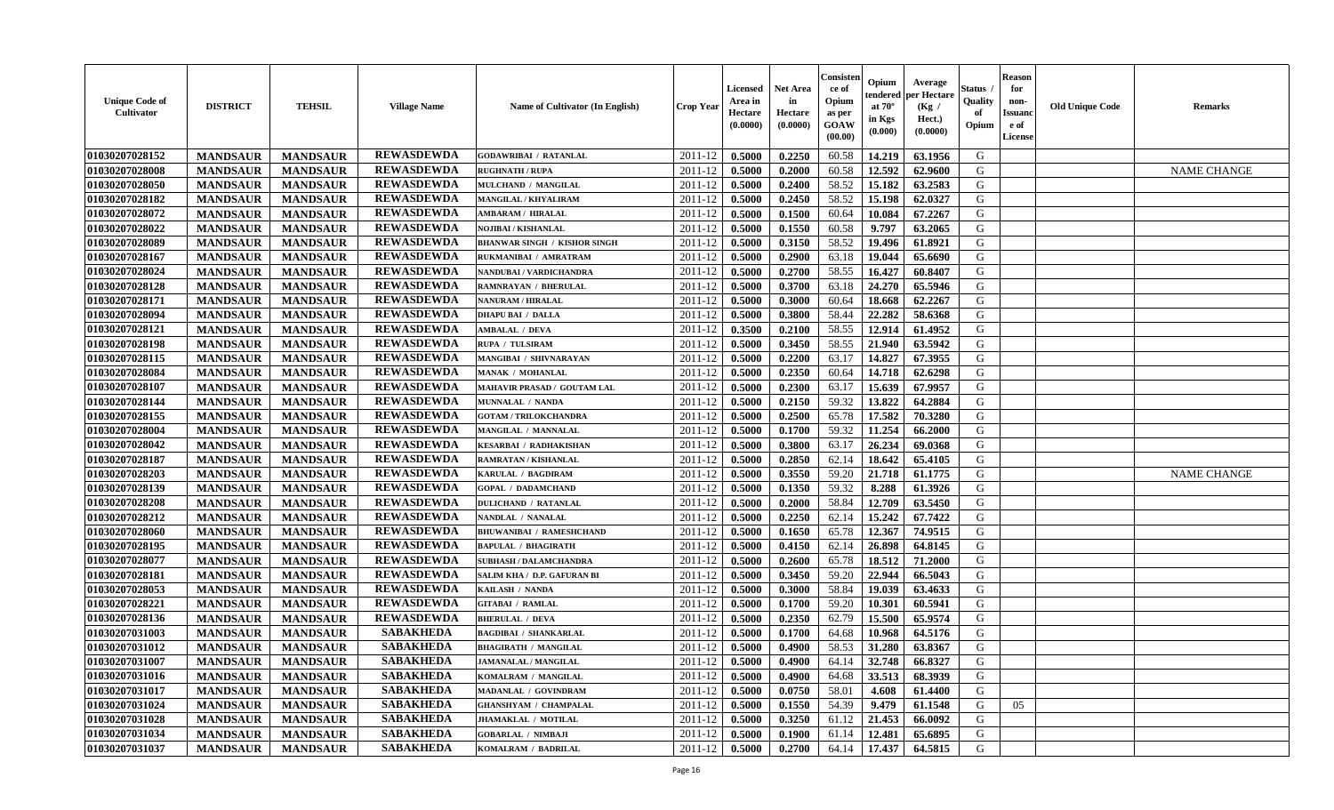| <b>Unique Code of</b><br>Cultivator | <b>DISTRICT</b> | <b>TEHSIL</b>   | <b>Village Name</b> | Name of Cultivator (In English)     | <b>Crop Year</b> | <b>Licensed</b><br>Area in<br>Hectare<br>(0.0000) | <b>Net Area</b><br>in<br>Hectare<br>(0.0000) | Consisteı<br>ce of<br>Opium<br>as per<br>GOAW<br>(00.00) | Opium<br>endered<br>at 70°<br>in Kgs<br>(0.000) | Average<br>er Hectare<br>(Kg /<br>Hect.)<br>(0.0000) | Status<br>Quality<br>of<br>Opium | <b>Reason</b><br>for<br>non-<br><b>Issuand</b><br>e of<br>License | <b>Old Unique Code</b> | Remarks            |
|-------------------------------------|-----------------|-----------------|---------------------|-------------------------------------|------------------|---------------------------------------------------|----------------------------------------------|----------------------------------------------------------|-------------------------------------------------|------------------------------------------------------|----------------------------------|-------------------------------------------------------------------|------------------------|--------------------|
| 01030207028152                      | <b>MANDSAUR</b> | <b>MANDSAUR</b> | <b>REWASDEWDA</b>   | <b>GODAWRIBAI / RATANLAL</b>        | 2011-12          | 0.5000                                            | 0.2250                                       | 60.58                                                    | 14.219                                          | 63.1956                                              | G                                |                                                                   |                        |                    |
| 01030207028008                      | <b>MANDSAUR</b> | <b>MANDSAUR</b> | <b>REWASDEWDA</b>   | <b>RUGHNATH / RUPA</b>              | 2011-12          | 0.5000                                            | 0.2000                                       | 60.58                                                    | 12.592                                          | 62.9600                                              | G                                |                                                                   |                        | <b>NAME CHANGE</b> |
| 01030207028050                      | <b>MANDSAUR</b> | <b>MANDSAUR</b> | <b>REWASDEWDA</b>   | MULCHAND / MANGILAL                 | 2011-12          | 0.5000                                            | 0.2400                                       | 58.52                                                    | 15.182                                          | 63.2583                                              | G                                |                                                                   |                        |                    |
| 01030207028182                      | <b>MANDSAUR</b> | <b>MANDSAUR</b> | <b>REWASDEWDA</b>   | MANGILAL / KHYALIRAM                | 2011-12          | 0.5000                                            | 0.2450                                       | 58.52                                                    | 15.198                                          | 62.0327                                              | G                                |                                                                   |                        |                    |
| 01030207028072                      | <b>MANDSAUR</b> | <b>MANDSAUR</b> | <b>REWASDEWDA</b>   | <b>AMBARAM / HIRALAL</b>            | 2011-12          | 0.5000                                            | 0.1500                                       | 60.64                                                    | 10.084                                          | 67.2267                                              | G                                |                                                                   |                        |                    |
| 01030207028022                      | <b>MANDSAUR</b> | <b>MANDSAUR</b> | <b>REWASDEWDA</b>   | NOJIBAI / KISHANLAL                 | 2011-12          | 0.5000                                            | 0.1550                                       | 60.58                                                    | 9.797                                           | 63.2065                                              | G                                |                                                                   |                        |                    |
| 01030207028089                      | <b>MANDSAUR</b> | <b>MANDSAUR</b> | <b>REWASDEWDA</b>   | <b>BHANWAR SINGH / KISHOR SINGH</b> | 2011-12          | 0.5000                                            | 0.3150                                       | 58.52                                                    | 19.496                                          | 61.8921                                              | G                                |                                                                   |                        |                    |
| 01030207028167                      | <b>MANDSAUR</b> | <b>MANDSAUR</b> | <b>REWASDEWDA</b>   | RUKMANIBAI / AMRATRAM               | 2011-12          | 0.5000                                            | 0.2900                                       | 63.18                                                    | 19.044                                          | 65.6690                                              | G                                |                                                                   |                        |                    |
| 01030207028024                      | <b>MANDSAUR</b> | <b>MANDSAUR</b> | <b>REWASDEWDA</b>   | NANDUBAI / VARDICHANDRA             | 2011-12          | 0.5000                                            | 0.2700                                       | 58.55                                                    | 16.427                                          | 60.8407                                              | G                                |                                                                   |                        |                    |
| 01030207028128                      | <b>MANDSAUR</b> | <b>MANDSAUR</b> | <b>REWASDEWDA</b>   | RAMNRAYAN / BHERULAL                | 2011-12          | 0.5000                                            | 0.3700                                       | 63.18                                                    | 24.270                                          | 65.5946                                              | G                                |                                                                   |                        |                    |
| 01030207028171                      | <b>MANDSAUR</b> | <b>MANDSAUR</b> | <b>REWASDEWDA</b>   | NANURAM / HIRALAL                   | 2011-12          | 0.5000                                            | 0.3000                                       | 60.64                                                    | 18.668                                          | 62.2267                                              | G                                |                                                                   |                        |                    |
| 01030207028094                      | <b>MANDSAUR</b> | <b>MANDSAUR</b> | <b>REWASDEWDA</b>   | <b>DHAPU BAI / DALLA</b>            | 2011-12          | 0.5000                                            | 0.3800                                       | 58.44                                                    | 22.282                                          | 58.6368                                              | G                                |                                                                   |                        |                    |
| 01030207028121                      | <b>MANDSAUR</b> | <b>MANDSAUR</b> | <b>REWASDEWDA</b>   | <b>AMBALAL / DEVA</b>               | 2011-12          | 0.3500                                            | 0.2100                                       | 58.55                                                    | 12.914                                          | 61.4952                                              | G                                |                                                                   |                        |                    |
| 01030207028198                      | <b>MANDSAUR</b> | <b>MANDSAUR</b> | <b>REWASDEWDA</b>   | RUPA / TULSIRAM                     | 2011-12          | 0.5000                                            | 0.3450                                       | 58.55                                                    | 21.940                                          | 63.5942                                              | G                                |                                                                   |                        |                    |
| 01030207028115                      | <b>MANDSAUR</b> | <b>MANDSAUR</b> | <b>REWASDEWDA</b>   | MANGIBAI / SHIVNARAYAN              | 2011-12          | 0.5000                                            | 0.2200                                       | 63.17                                                    | 14.827                                          | 67.3955                                              | $\mathbf G$                      |                                                                   |                        |                    |
| 01030207028084                      | <b>MANDSAUR</b> | <b>MANDSAUR</b> | <b>REWASDEWDA</b>   | <b>MANAK / MOHANLAL</b>             | 2011-12          | 0.5000                                            | 0.2350                                       | 60.64                                                    | 14.718                                          | 62.6298                                              | G                                |                                                                   |                        |                    |
| 01030207028107                      | <b>MANDSAUR</b> | <b>MANDSAUR</b> | <b>REWASDEWDA</b>   | <b>MAHAVIR PRASAD / GOUTAM LAL</b>  | 2011-12          | 0.5000                                            | 0.2300                                       | 63.17                                                    | 15.639                                          | 67.9957                                              | G                                |                                                                   |                        |                    |
| 01030207028144                      | <b>MANDSAUR</b> | <b>MANDSAUR</b> | <b>REWASDEWDA</b>   | MUNNALAL / NANDA                    | 2011-12          | 0.5000                                            | 0.2150                                       | 59.32                                                    | 13.822                                          | 64.2884                                              | G                                |                                                                   |                        |                    |
| 01030207028155                      | <b>MANDSAUR</b> | <b>MANDSAUR</b> | <b>REWASDEWDA</b>   | <b>GOTAM / TRILOKCHANDRA</b>        | 2011-12          | 0.5000                                            | 0.2500                                       | 65.78                                                    | 17.582                                          | 70.3280                                              | G                                |                                                                   |                        |                    |
| 01030207028004                      |                 |                 | <b>REWASDEWDA</b>   | MANGILAL / MANNALAL                 |                  |                                                   | 0.1700                                       | 59.32                                                    | 11.254                                          | 66.2000                                              |                                  |                                                                   |                        |                    |
|                                     | <b>MANDSAUR</b> | <b>MANDSAUR</b> | <b>REWASDEWDA</b>   |                                     | 2011-12          | 0.5000                                            |                                              |                                                          |                                                 |                                                      | G                                |                                                                   |                        |                    |
| 01030207028042                      | <b>MANDSAUR</b> | <b>MANDSAUR</b> |                     | <b>KESARBAI / RADHAKISHAN</b>       | 2011-12          | 0.5000                                            | 0.3800                                       | 63.17                                                    | 26.234                                          | 69.0368                                              | G                                |                                                                   |                        |                    |
| 01030207028187                      | <b>MANDSAUR</b> | <b>MANDSAUR</b> | <b>REWASDEWDA</b>   | RAMRATAN / KISHANLAL                | 2011-12          | 0.5000                                            | 0.2850                                       | 62.14                                                    | 18.642                                          | 65.4105                                              | G                                |                                                                   |                        |                    |
| 01030207028203                      | <b>MANDSAUR</b> | <b>MANDSAUR</b> | <b>REWASDEWDA</b>   | <b>KARULAL / BAGDIRAM</b>           | 2011-12          | 0.5000                                            | 0.3550                                       | 59.20                                                    | 21.718                                          | 61.1775                                              | G                                |                                                                   |                        | <b>NAME CHANGE</b> |
| 01030207028139                      | <b>MANDSAUR</b> | <b>MANDSAUR</b> | <b>REWASDEWDA</b>   | <b>GOPAL / DADAMCHAND</b>           | 2011-12          | 0.5000                                            | 0.1350                                       | 59.32                                                    | 8.288                                           | 61.3926                                              | G                                |                                                                   |                        |                    |
| 01030207028208                      | <b>MANDSAUR</b> | <b>MANDSAUR</b> | <b>REWASDEWDA</b>   | <b>DULICHAND / RATANLAL</b>         | 2011-12          | 0.5000                                            | 0.2000                                       | 58.84                                                    | 12.709                                          | 63.5450                                              | G                                |                                                                   |                        |                    |
| 01030207028212                      | <b>MANDSAUR</b> | <b>MANDSAUR</b> | <b>REWASDEWDA</b>   | NANDLAL / NANALAL                   | 2011-12          | 0.5000                                            | 0.2250                                       | 62.14                                                    | 15.242                                          | 67.7422                                              | G                                |                                                                   |                        |                    |
| 01030207028060                      | <b>MANDSAUR</b> | <b>MANDSAUR</b> | <b>REWASDEWDA</b>   | <b>BHUWANIBAI / RAMESHCHAND</b>     | 2011-12          | 0.5000                                            | 0.1650                                       | 65.78                                                    | 12.367                                          | 74.9515                                              | $\mathbf G$                      |                                                                   |                        |                    |
| 01030207028195                      | <b>MANDSAUR</b> | <b>MANDSAUR</b> | <b>REWASDEWDA</b>   | <b>BAPULAL / BHAGIRATH</b>          | 2011-12          | 0.5000                                            | 0.4150                                       | 62.14                                                    | 26.898                                          | 64.8145                                              | G                                |                                                                   |                        |                    |
| 01030207028077                      | <b>MANDSAUR</b> | <b>MANDSAUR</b> | <b>REWASDEWDA</b>   | <b>SUBHASH / DALAMCHANDRA</b>       | 2011-12          | 0.5000                                            | 0.2600                                       | 65.78                                                    | 18.512                                          | 71.2000                                              | G                                |                                                                   |                        |                    |
| 01030207028181                      | <b>MANDSAUR</b> | <b>MANDSAUR</b> | <b>REWASDEWDA</b>   | SALIM KHA / D.P. GAFURAN BI         | 2011-12          | 0.5000                                            | 0.3450                                       | 59.20                                                    | 22.944                                          | 66.5043                                              | G                                |                                                                   |                        |                    |
| 01030207028053                      | <b>MANDSAUR</b> | <b>MANDSAUR</b> | <b>REWASDEWDA</b>   | KAILASH / NANDA                     | 2011-12          | 0.5000                                            | 0.3000                                       | 58.84                                                    | 19.039                                          | 63.4633                                              | G                                |                                                                   |                        |                    |
| 01030207028221                      | <b>MANDSAUR</b> | <b>MANDSAUR</b> | <b>REWASDEWDA</b>   | <b>GITABAI / RAMLAL</b>             | 2011-12          | 0.5000                                            | 0.1700                                       | 59.20                                                    | 10.301                                          | 60.5941                                              | G                                |                                                                   |                        |                    |
| 01030207028136                      | <b>MANDSAUR</b> | <b>MANDSAUR</b> | <b>REWASDEWDA</b>   | <b>BHERULAL / DEVA</b>              | 2011-12          | 0.5000                                            | 0.2350                                       | 62.79                                                    | 15.500                                          | 65.9574                                              | G                                |                                                                   |                        |                    |
| 01030207031003                      | <b>MANDSAUR</b> | <b>MANDSAUR</b> | <b>SABAKHEDA</b>    | <b>BAGDIBAI / SHANKARLAL</b>        | 2011-12          | 0.5000                                            | 0.1700                                       | 64.68                                                    | 10.968                                          | 64.5176                                              | G                                |                                                                   |                        |                    |
| 01030207031012                      | <b>MANDSAUR</b> | <b>MANDSAUR</b> | <b>SABAKHEDA</b>    | <b>BHAGIRATH / MANGILAL</b>         | 2011-12          | 0.5000                                            | 0.4900                                       | 58.53                                                    | 31.280                                          | 63.8367                                              | G                                |                                                                   |                        |                    |
| 01030207031007                      | <b>MANDSAUR</b> | <b>MANDSAUR</b> | <b>SABAKHEDA</b>    | <b>JAMANALAL / MANGILAL</b>         | 2011-12          | 0.5000                                            | 0.4900                                       | 64.14                                                    | 32.748                                          | 66.8327                                              | G                                |                                                                   |                        |                    |
| 01030207031016                      | <b>MANDSAUR</b> | <b>MANDSAUR</b> | <b>SABAKHEDA</b>    | KOMALRAM / MANGILAL                 | 2011-12          | 0.5000                                            | 0.4900                                       | 64.68                                                    | 33.513                                          | 68.3939                                              | G                                |                                                                   |                        |                    |
| 01030207031017                      | <b>MANDSAUR</b> | <b>MANDSAUR</b> | <b>SABAKHEDA</b>    | MADANLAL / GOVINDRAM                | 2011-12          | 0.5000                                            | 0.0750                                       | 58.01                                                    | 4.608                                           | 61.4400                                              | G                                |                                                                   |                        |                    |
| 01030207031024                      | <b>MANDSAUR</b> | <b>MANDSAUR</b> | <b>SABAKHEDA</b>    | <b>GHANSHYAM / CHAMPALAL</b>        | 2011-12          | 0.5000                                            | 0.1550                                       | 54.39                                                    | 9.479                                           | 61.1548                                              | G                                | 05                                                                |                        |                    |
| 01030207031028                      | <b>MANDSAUR</b> | <b>MANDSAUR</b> | <b>SABAKHEDA</b>    | JHAMAKLAL / MOTILAL                 | 2011-12          | 0.5000                                            | 0.3250                                       | 61.12                                                    | 21.453                                          | 66.0092                                              | G                                |                                                                   |                        |                    |
| 01030207031034                      | <b>MANDSAUR</b> | <b>MANDSAUR</b> | <b>SABAKHEDA</b>    | <b>GOBARLAL / NIMBAJI</b>           | 2011-12          | 0.5000                                            | 0.1900                                       | 61.14                                                    | 12.481                                          | 65.6895                                              | G                                |                                                                   |                        |                    |
| 01030207031037                      | <b>MANDSAUR</b> | <b>MANDSAUR</b> | <b>SABAKHEDA</b>    | KOMALRAM / BADRILAL                 | 2011-12          | 0.5000                                            | 0.2700                                       | 64.14                                                    | 17.437                                          | 64.5815                                              | G                                |                                                                   |                        |                    |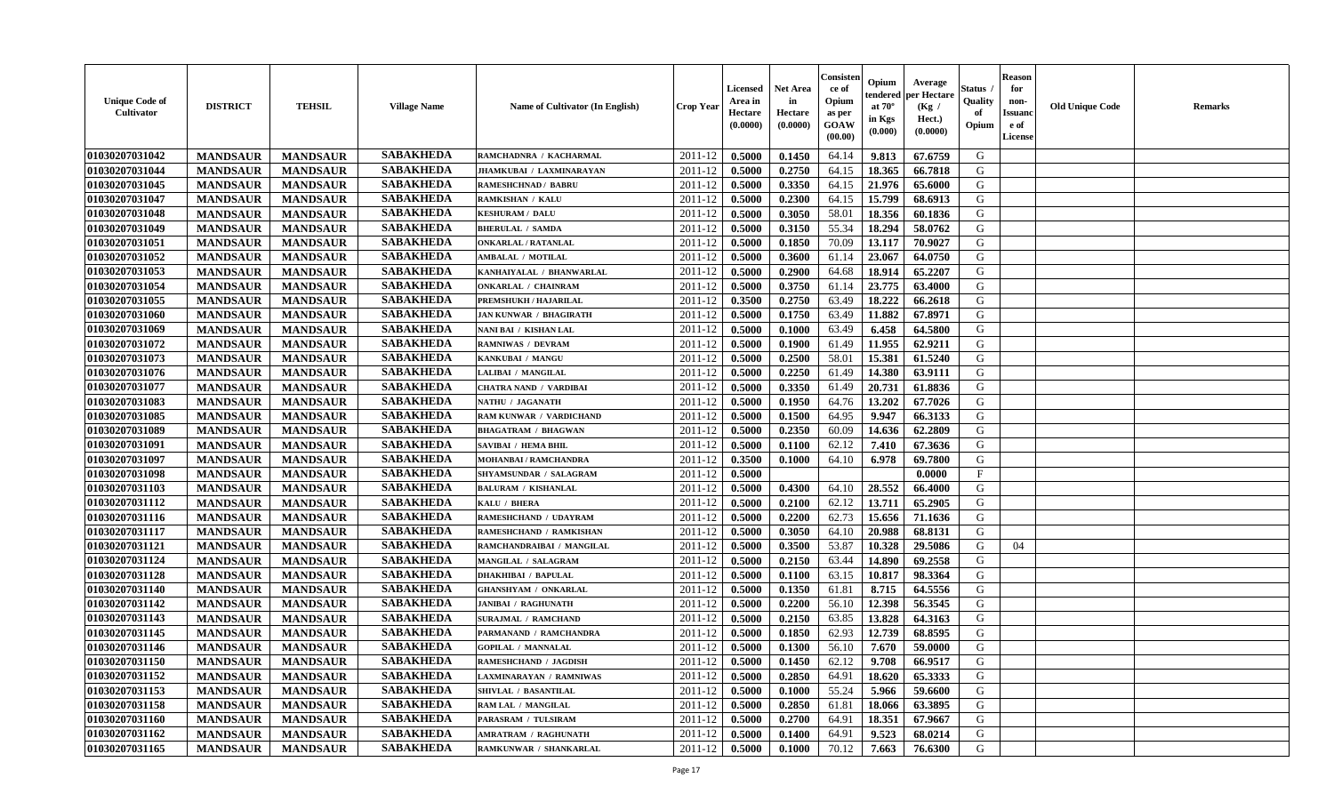| <b>Unique Code of</b><br><b>Cultivator</b> | <b>DISTRICT</b> | <b>TEHSIL</b>   | <b>Village Name</b> | Name of Cultivator (In English) | <b>Crop Year</b> | <b>Licensed</b><br>Area in<br>Hectare<br>(0.0000) | <b>Net Area</b><br>in<br>Hectare<br>(0.0000) | Consister<br>ce of<br>Opium<br>as per<br>GOAW<br>(00.00) | Opium<br>endered<br>at $70^\circ$<br>in Kgs<br>(0.000) | Average<br>per Hectare<br>(Kg /<br>Hect.)<br>(0.0000) | Status<br>Quality<br>of<br>Opium | <b>Reason</b><br>for<br>non-<br><b>Issuand</b><br>e of<br>License | <b>Old Unique Code</b> | Remarks |
|--------------------------------------------|-----------------|-----------------|---------------------|---------------------------------|------------------|---------------------------------------------------|----------------------------------------------|----------------------------------------------------------|--------------------------------------------------------|-------------------------------------------------------|----------------------------------|-------------------------------------------------------------------|------------------------|---------|
| 01030207031042                             | <b>MANDSAUR</b> | <b>MANDSAUR</b> | <b>SABAKHEDA</b>    | RAMCHADNRA / KACHARMAL          | 2011-12          | 0.5000                                            | 0.1450                                       | 64.14                                                    | 9.813                                                  | 67.6759                                               | G                                |                                                                   |                        |         |
| 01030207031044                             | <b>MANDSAUR</b> | <b>MANDSAUR</b> | <b>SABAKHEDA</b>    | JHAMKUBAI / LAXMINARAYAN        | 2011-12          | 0.5000                                            | 0.2750                                       | 64.15                                                    | 18.365                                                 | 66.7818                                               | G                                |                                                                   |                        |         |
| 01030207031045                             | <b>MANDSAUR</b> | <b>MANDSAUR</b> | <b>SABAKHEDA</b>    | <b>RAMESHCHNAD / BABRU</b>      | 2011-12          | 0.5000                                            | 0.3350                                       | 64.15                                                    | 21.976                                                 | 65.6000                                               | G                                |                                                                   |                        |         |
| 01030207031047                             | <b>MANDSAUR</b> | <b>MANDSAUR</b> | <b>SABAKHEDA</b>    | <b>RAMKISHAN / KALU</b>         | 2011-12          | 0.5000                                            | 0.2300                                       | 64.15                                                    | 15.799                                                 | 68.6913                                               | G                                |                                                                   |                        |         |
| 01030207031048                             | <b>MANDSAUR</b> | <b>MANDSAUR</b> | <b>SABAKHEDA</b>    | <b>KESHURAM / DALU</b>          | 2011-12          | 0.5000                                            | 0.3050                                       | 58.01                                                    | 18.356                                                 | 60.1836                                               | G                                |                                                                   |                        |         |
| 01030207031049                             | <b>MANDSAUR</b> | <b>MANDSAUR</b> | <b>SABAKHEDA</b>    | <b>BHERULAL / SAMDA</b>         | 2011-12          | 0.5000                                            | 0.3150                                       | 55.34                                                    | 18.294                                                 | 58.0762                                               | G                                |                                                                   |                        |         |
| 01030207031051                             | <b>MANDSAUR</b> | <b>MANDSAUR</b> | <b>SABAKHEDA</b>    | <b>ONKARLAL / RATANLAL</b>      | 2011-12          | 0.5000                                            | 0.1850                                       | 70.09                                                    | 13.117                                                 | 70.9027                                               | G                                |                                                                   |                        |         |
| 01030207031052                             | <b>MANDSAUR</b> | <b>MANDSAUR</b> | <b>SABAKHEDA</b>    | <b>AMBALAL / MOTILAL</b>        | 2011-12          | 0.5000                                            | 0.3600                                       | 61.14                                                    | 23.067                                                 | 64.0750                                               | G                                |                                                                   |                        |         |
| 01030207031053                             | <b>MANDSAUR</b> | <b>MANDSAUR</b> | <b>SABAKHEDA</b>    | KANHAIYALAL / BHANWARLAL        | 2011-12          | 0.5000                                            | 0.2900                                       | 64.68                                                    | 18.914                                                 | 65.2207                                               | G                                |                                                                   |                        |         |
| 01030207031054                             | <b>MANDSAUR</b> | <b>MANDSAUR</b> | <b>SABAKHEDA</b>    | <b>ONKARLAL / CHAINRAM</b>      | 2011-12          | 0.5000                                            | 0.3750                                       | 61.14                                                    | 23.775                                                 | 63.4000                                               | G                                |                                                                   |                        |         |
| 01030207031055                             | <b>MANDSAUR</b> | <b>MANDSAUR</b> | <b>SABAKHEDA</b>    | PREMSHUKH / HAJARILAL           | 2011-12          | 0.3500                                            | 0.2750                                       | 63.49                                                    | 18.222                                                 | 66.2618                                               | G                                |                                                                   |                        |         |
| 01030207031060                             | <b>MANDSAUR</b> | <b>MANDSAUR</b> | <b>SABAKHEDA</b>    | <b>JAN KUNWAR / BHAGIRATH</b>   | 2011-12          | 0.5000                                            | 0.1750                                       | 63.49                                                    | 11.882                                                 | 67.8971                                               | G                                |                                                                   |                        |         |
| 01030207031069                             | <b>MANDSAUR</b> | <b>MANDSAUR</b> | <b>SABAKHEDA</b>    | NANI BAI / KISHAN LAL           | 2011-12          | 0.5000                                            | 0.1000                                       | 63.49                                                    | 6.458                                                  | 64.5800                                               | G                                |                                                                   |                        |         |
| 01030207031072                             | <b>MANDSAUR</b> | <b>MANDSAUR</b> | <b>SABAKHEDA</b>    | <b>RAMNIWAS / DEVRAM</b>        | 2011-12          | 0.5000                                            | 0.1900                                       | 61.49                                                    | 11.955                                                 | 62.9211                                               | G                                |                                                                   |                        |         |
| 01030207031073                             | <b>MANDSAUR</b> | <b>MANDSAUR</b> | <b>SABAKHEDA</b>    | KANKUBAI / MANGU                | 2011-12          | 0.5000                                            | 0.2500                                       | 58.01                                                    | 15.381                                                 | 61.5240                                               | $\mathbf G$                      |                                                                   |                        |         |
| 01030207031076                             | <b>MANDSAUR</b> | <b>MANDSAUR</b> | <b>SABAKHEDA</b>    | LALIBAI / MANGILAL              | 2011-12          | 0.5000                                            | 0.2250                                       | 61.49                                                    | 14.380                                                 | 63.9111                                               | G                                |                                                                   |                        |         |
| 01030207031077                             | <b>MANDSAUR</b> | <b>MANDSAUR</b> | <b>SABAKHEDA</b>    | <b>CHATRA NAND / VARDIBAI</b>   | 2011-12          | 0.5000                                            | 0.3350                                       | 61.49                                                    | 20.731                                                 | 61.8836                                               | G                                |                                                                   |                        |         |
| 01030207031083                             | <b>MANDSAUR</b> | <b>MANDSAUR</b> | <b>SABAKHEDA</b>    | NATHU / JAGANATH                | 2011-12          | 0.5000                                            | 0.1950                                       | 64.76                                                    | 13.202                                                 | 67.7026                                               | G                                |                                                                   |                        |         |
| 01030207031085                             | <b>MANDSAUR</b> | <b>MANDSAUR</b> | <b>SABAKHEDA</b>    | RAM KUNWAR / VARDICHAND         | 2011-12          | 0.5000                                            | 0.1500                                       | 64.95                                                    | 9.947                                                  | 66.3133                                               | G                                |                                                                   |                        |         |
| 01030207031089                             | <b>MANDSAUR</b> | <b>MANDSAUR</b> | <b>SABAKHEDA</b>    | <b>BHAGATRAM / BHAGWAN</b>      | 2011-12          | 0.5000                                            | 0.2350                                       | 60.09                                                    | 14.636                                                 | 62.2809                                               | G                                |                                                                   |                        |         |
| 01030207031091                             | <b>MANDSAUR</b> | <b>MANDSAUR</b> | <b>SABAKHEDA</b>    | <b>SAVIBAI / HEMA BHIL</b>      | 2011-12          | 0.5000                                            | 0.1100                                       | 62.12                                                    | 7.410                                                  | 67.3636                                               | G                                |                                                                   |                        |         |
| 01030207031097                             | <b>MANDSAUR</b> | <b>MANDSAUR</b> | <b>SABAKHEDA</b>    | <b>MOHANBAI/RAMCHANDRA</b>      | 2011-12          | 0.3500                                            | 0.1000                                       | 64.10                                                    | 6.978                                                  | 69.7800                                               | G                                |                                                                   |                        |         |
| 01030207031098                             | <b>MANDSAUR</b> | <b>MANDSAUR</b> | <b>SABAKHEDA</b>    | SHYAMSUNDAR / SALAGRAM          | 2011-12          | 0.5000                                            |                                              |                                                          |                                                        | 0.0000                                                | F                                |                                                                   |                        |         |
| 01030207031103                             | <b>MANDSAUR</b> | <b>MANDSAUR</b> | <b>SABAKHEDA</b>    | <b>BALURAM / KISHANLAL</b>      | 2011-12          | 0.5000                                            | 0.4300                                       | 64.10                                                    | 28.552                                                 | 66.4000                                               | G                                |                                                                   |                        |         |
| 01030207031112                             | <b>MANDSAUR</b> | <b>MANDSAUR</b> | <b>SABAKHEDA</b>    | KALU / BHERA                    | 2011-12          | 0.5000                                            | 0.2100                                       | 62.12                                                    | 13.711                                                 | 65.2905                                               | G                                |                                                                   |                        |         |
| 01030207031116                             | <b>MANDSAUR</b> | <b>MANDSAUR</b> | <b>SABAKHEDA</b>    | RAMESHCHAND / UDAYRAM           | 2011-12          | 0.5000                                            | 0.2200                                       | 62.73                                                    | 15.656                                                 | 71.1636                                               | G                                |                                                                   |                        |         |
| 01030207031117                             | <b>MANDSAUR</b> | <b>MANDSAUR</b> | <b>SABAKHEDA</b>    | RAMESHCHAND / RAMKISHAN         | 2011-12          | 0.5000                                            | 0.3050                                       | 64.10                                                    | 20.988                                                 | 68.8131                                               | G                                |                                                                   |                        |         |
| 01030207031121                             | <b>MANDSAUR</b> | <b>MANDSAUR</b> | <b>SABAKHEDA</b>    | RAMCHANDRAIBAI / MANGILAL       | 2011-12          | 0.5000                                            | 0.3500                                       | 53.87                                                    | 10.328                                                 | 29.5086                                               | G                                | 04                                                                |                        |         |
| 01030207031124                             | <b>MANDSAUR</b> | <b>MANDSAUR</b> | <b>SABAKHEDA</b>    | <b>MANGILAL / SALAGRAM</b>      | 2011-12          | 0.5000                                            | 0.2150                                       | 63.44                                                    | 14.890                                                 | 69.2558                                               | G                                |                                                                   |                        |         |
| 01030207031128                             | <b>MANDSAUR</b> | <b>MANDSAUR</b> | <b>SABAKHEDA</b>    | <b>DHAKHIBAI / BAPULAL</b>      | 2011-12          | 0.5000                                            | 0.1100                                       | 63.15                                                    | 10.817                                                 | 98.3364                                               | G                                |                                                                   |                        |         |
| 01030207031140                             | <b>MANDSAUR</b> | <b>MANDSAUR</b> | <b>SABAKHEDA</b>    | <b>GHANSHYAM / ONKARLAL</b>     | 2011-12          | 0.5000                                            | 0.1350                                       | 61.81                                                    | 8.715                                                  | 64.5556                                               | G                                |                                                                   |                        |         |
| 01030207031142                             | <b>MANDSAUR</b> | <b>MANDSAUR</b> | <b>SABAKHEDA</b>    | <b>JANIBAI / RAGHUNATH</b>      | 2011-12          | 0.5000                                            | 0.2200                                       | 56.10                                                    | 12.398                                                 | 56.3545                                               | G                                |                                                                   |                        |         |
| 01030207031143                             | <b>MANDSAUR</b> | <b>MANDSAUR</b> | <b>SABAKHEDA</b>    | <b>SURAJMAL / RAMCHAND</b>      | 2011-12          | 0.5000                                            | 0.2150                                       | 63.85                                                    | 13.828                                                 | 64.3163                                               | G                                |                                                                   |                        |         |
| 01030207031145                             | <b>MANDSAUR</b> | <b>MANDSAUR</b> | <b>SABAKHEDA</b>    | PARMANAND / RAMCHANDRA          | 2011-12          | 0.5000                                            | 0.1850                                       | 62.93                                                    | 12.739                                                 | 68.8595                                               | G                                |                                                                   |                        |         |
| 01030207031146                             | <b>MANDSAUR</b> | <b>MANDSAUR</b> | <b>SABAKHEDA</b>    | <b>GOPILAL / MANNALAL</b>       | 2011-12          | 0.5000                                            | 0.1300                                       | 56.10                                                    | 7.670                                                  | 59.0000                                               | G                                |                                                                   |                        |         |
| 01030207031150                             | <b>MANDSAUR</b> | <b>MANDSAUR</b> | <b>SABAKHEDA</b>    | <b>RAMESHCHAND / JAGDISH</b>    | 2011-12          | 0.5000                                            | 0.1450                                       | 62.12                                                    | 9.708                                                  | 66.9517                                               | G                                |                                                                   |                        |         |
| 01030207031152                             | <b>MANDSAUR</b> | <b>MANDSAUR</b> | <b>SABAKHEDA</b>    | <b>LAXMINARAYAN / RAMNIWAS</b>  | $2011 - 12$      | 0.5000                                            | 0.2850                                       | 64.91                                                    | 18.620                                                 | 65.3333                                               | G                                |                                                                   |                        |         |
| 01030207031153                             | <b>MANDSAUR</b> | <b>MANDSAUR</b> | <b>SABAKHEDA</b>    | SHIVLAL / BASANTILAL            | 2011-12          | 0.5000                                            | 0.1000                                       | 55.24                                                    | 5.966                                                  | 59.6600                                               | G                                |                                                                   |                        |         |
| 01030207031158                             | <b>MANDSAUR</b> | <b>MANDSAUR</b> | <b>SABAKHEDA</b>    | RAM LAL / MANGILAL              | 2011-12          | 0.5000                                            | 0.2850                                       | 61.81                                                    | 18.066                                                 | 63.3895                                               | G                                |                                                                   |                        |         |
| 01030207031160                             | <b>MANDSAUR</b> | <b>MANDSAUR</b> | <b>SABAKHEDA</b>    | PARASRAM / TULSIRAM             | 2011-12          | 0.5000                                            | 0.2700                                       | 64.91                                                    | 18.351                                                 | 67.9667                                               | ${\bf G}$                        |                                                                   |                        |         |
| 01030207031162                             | <b>MANDSAUR</b> | <b>MANDSAUR</b> | <b>SABAKHEDA</b>    | <b>AMRATRAM / RAGHUNATH</b>     | 2011-12          | 0.5000                                            | 0.1400                                       | 64.91                                                    | 9.523                                                  | 68.0214                                               | G                                |                                                                   |                        |         |
| 01030207031165                             | <b>MANDSAUR</b> | <b>MANDSAUR</b> | <b>SABAKHEDA</b>    | RAMKUNWAR / SHANKARLAL          | 2011-12          | 0.5000                                            | 0.1000                                       | 70.12                                                    | 7.663                                                  | 76.6300                                               | G                                |                                                                   |                        |         |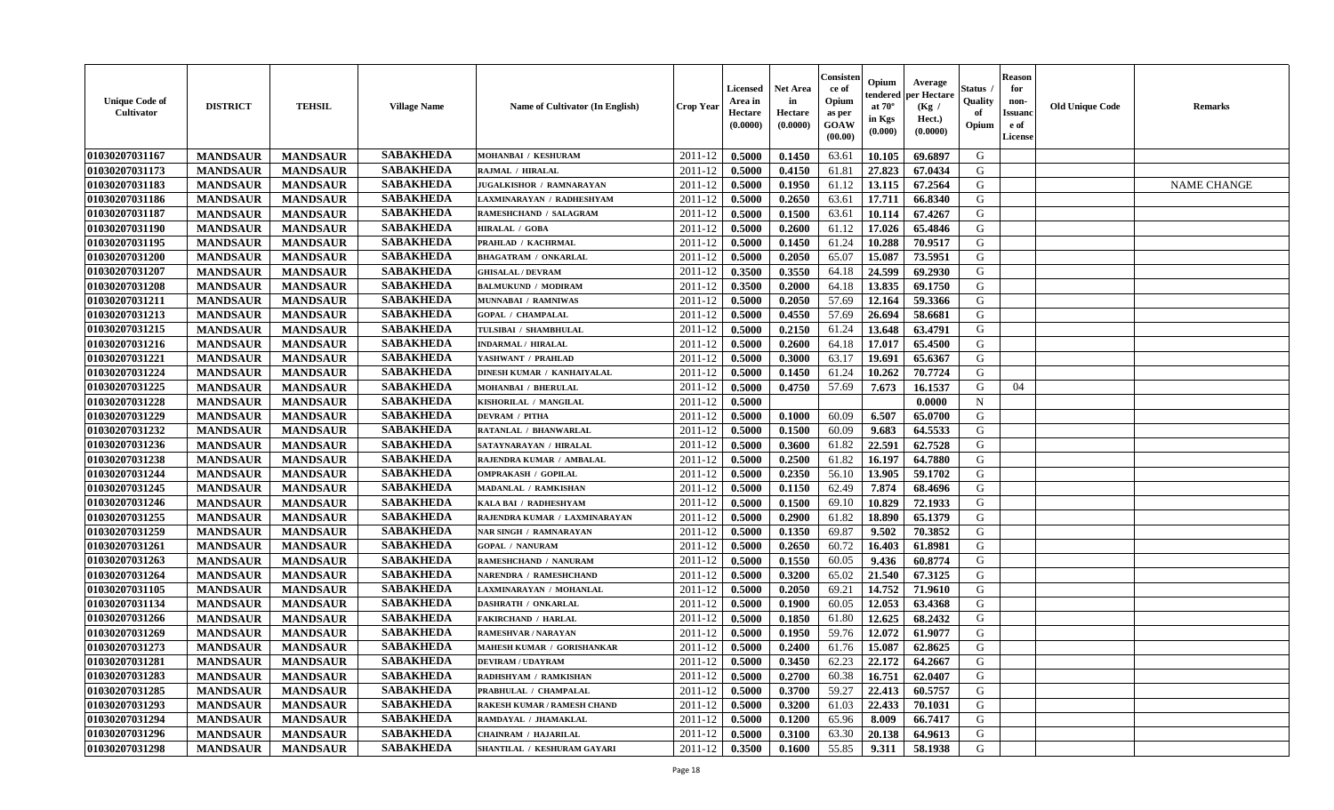| <b>Unique Code of</b><br><b>Cultivator</b> | <b>DISTRICT</b> | <b>TEHSIL</b>   | <b>Village Name</b> | Name of Cultivator (In English)    | <b>Crop Year</b> | <b>Licensed</b><br>Area in<br>Hectare<br>(0.0000) | <b>Net Area</b><br>in<br>Hectare<br>(0.0000) | Consister<br>ce of<br>Opium<br>as per<br><b>GOAW</b><br>(00.00) | Opium<br>endered<br>at $70^\circ$<br>in Kgs<br>$(\mathbf{0.000})$ | Average<br>per Hectare<br>(Kg /<br>Hect.)<br>(0.0000) | Status<br>Quality<br>of<br>Opium | <b>Reason</b><br>for<br>non-<br><b>Issuano</b><br>e of<br>License | <b>Old Unique Code</b> | <b>Remarks</b>     |
|--------------------------------------------|-----------------|-----------------|---------------------|------------------------------------|------------------|---------------------------------------------------|----------------------------------------------|-----------------------------------------------------------------|-------------------------------------------------------------------|-------------------------------------------------------|----------------------------------|-------------------------------------------------------------------|------------------------|--------------------|
| 01030207031167                             | <b>MANDSAUR</b> | <b>MANDSAUR</b> | <b>SABAKHEDA</b>    | MOHANBAI / KESHURAM                | 2011-12          | 0.5000                                            | 0.1450                                       | 63.61                                                           | 10.105                                                            | 69.6897                                               | G                                |                                                                   |                        |                    |
| 01030207031173                             | <b>MANDSAUR</b> | <b>MANDSAUR</b> | <b>SABAKHEDA</b>    | RAJMAL / HIRALAL                   | 2011-12          | 0.5000                                            | 0.4150                                       | 61.81                                                           | 27.823                                                            | 67.0434                                               | G                                |                                                                   |                        |                    |
| 01030207031183                             | <b>MANDSAUR</b> | <b>MANDSAUR</b> | <b>SABAKHEDA</b>    | JUGALKISHOR / RAMNARAYAN           | 2011-12          | 0.5000                                            | 0.1950                                       | 61.12                                                           | 13.115                                                            | 67.2564                                               | G                                |                                                                   |                        | <b>NAME CHANGE</b> |
| 01030207031186                             | <b>MANDSAUR</b> | <b>MANDSAUR</b> | <b>SABAKHEDA</b>    | LAXMINARAYAN / RADHESHYAM          | 2011-12          | 0.5000                                            | 0.2650                                       | 63.61                                                           | 17.711                                                            | 66.8340                                               | G                                |                                                                   |                        |                    |
| 01030207031187                             | <b>MANDSAUR</b> | <b>MANDSAUR</b> | <b>SABAKHEDA</b>    | RAMESHCHAND / SALAGRAM             | 2011-12          | 0.5000                                            | 0.1500                                       | 63.61                                                           | 10.114                                                            | 67.4267                                               | G                                |                                                                   |                        |                    |
| 01030207031190                             | <b>MANDSAUR</b> | <b>MANDSAUR</b> | <b>SABAKHEDA</b>    | HIRALAL / GOBA                     | 2011-12          | 0.5000                                            | 0.2600                                       | 61.12                                                           | 17.026                                                            | 65.4846                                               | G                                |                                                                   |                        |                    |
| 01030207031195                             | <b>MANDSAUR</b> | <b>MANDSAUR</b> | <b>SABAKHEDA</b>    | PRAHLAD / KACHRMAL                 | 2011-12          | 0.5000                                            | 0.1450                                       | 61.24                                                           | 10.288                                                            | 70.9517                                               | G                                |                                                                   |                        |                    |
| 01030207031200                             | <b>MANDSAUR</b> | <b>MANDSAUR</b> | <b>SABAKHEDA</b>    | <b>BHAGATRAM / ONKARLAL</b>        | 2011-12          | 0.5000                                            | 0.2050                                       | 65.07                                                           | 15.087                                                            | 73.5951                                               | G                                |                                                                   |                        |                    |
| 01030207031207                             | <b>MANDSAUR</b> | <b>MANDSAUR</b> | <b>SABAKHEDA</b>    | <b>GHISALAL / DEVRAM</b>           | 2011-12          | 0.3500                                            | 0.3550                                       | 64.18                                                           | 24.599                                                            | 69.2930                                               | G                                |                                                                   |                        |                    |
| 01030207031208                             | <b>MANDSAUR</b> | <b>MANDSAUR</b> | <b>SABAKHEDA</b>    | <b>BALMUKUND / MODIRAM</b>         | 2011-12          | 0.3500                                            | 0.2000                                       | 64.18                                                           | 13.835                                                            | 69.1750                                               | G                                |                                                                   |                        |                    |
| 01030207031211                             | <b>MANDSAUR</b> | <b>MANDSAUR</b> | <b>SABAKHEDA</b>    | MUNNABAI / RAMNIWAS                | 2011-12          | 0.5000                                            | 0.2050                                       | 57.69                                                           | 12.164                                                            | 59.3366                                               | G                                |                                                                   |                        |                    |
| 01030207031213                             | <b>MANDSAUR</b> | <b>MANDSAUR</b> | <b>SABAKHEDA</b>    | <b>GOPAL / CHAMPALAL</b>           | 2011-12          | 0.5000                                            | 0.4550                                       | 57.69                                                           | 26.694                                                            | 58.6681                                               | G                                |                                                                   |                        |                    |
| 01030207031215                             | <b>MANDSAUR</b> | <b>MANDSAUR</b> | <b>SABAKHEDA</b>    | TULSIBAI / SHAMBHULAL              | 2011-12          | 0.5000                                            | 0.2150                                       | 61.24                                                           | 13.648                                                            | 63.4791                                               | G                                |                                                                   |                        |                    |
| 01030207031216                             | <b>MANDSAUR</b> | <b>MANDSAUR</b> | <b>SABAKHEDA</b>    | <b>INDARMAL / HIRALAL</b>          | 2011-12          | 0.5000                                            | 0.2600                                       | 64.18                                                           | 17.017                                                            | 65.4500                                               | G                                |                                                                   |                        |                    |
| 01030207031221                             | <b>MANDSAUR</b> | <b>MANDSAUR</b> | <b>SABAKHEDA</b>    | YASHWANT / PRAHLAD                 | 2011-12          | 0.5000                                            | 0.3000                                       | 63.17                                                           | 19.691                                                            | 65.6367                                               | G                                |                                                                   |                        |                    |
| 01030207031224                             | <b>MANDSAUR</b> | <b>MANDSAUR</b> | <b>SABAKHEDA</b>    | DINESH KUMAR / KANHAIYALAL         | 2011-12          | 0.5000                                            | 0.1450                                       | 61.24                                                           | 10.262                                                            | 70.7724                                               | G                                |                                                                   |                        |                    |
| 01030207031225                             | <b>MANDSAUR</b> | <b>MANDSAUR</b> | <b>SABAKHEDA</b>    | <b>MOHANBAI / BHERULAL</b>         | 2011-12          | 0.5000                                            | 0.4750                                       | 57.69                                                           | 7.673                                                             | 16.1537                                               | G                                | 04                                                                |                        |                    |
| 01030207031228                             | <b>MANDSAUR</b> | <b>MANDSAUR</b> | <b>SABAKHEDA</b>    | KISHORILAL / MANGILAL              | 2011-12          | 0.5000                                            |                                              |                                                                 |                                                                   | 0.0000                                                | $\mathbf N$                      |                                                                   |                        |                    |
| 01030207031229                             | <b>MANDSAUR</b> | <b>MANDSAUR</b> | <b>SABAKHEDA</b>    | <b>DEVRAM / PITHA</b>              | 2011-12          | 0.5000                                            | 0.1000                                       | 60.09                                                           | 6.507                                                             | 65.0700                                               | G                                |                                                                   |                        |                    |
| 01030207031232                             | <b>MANDSAUR</b> | <b>MANDSAUR</b> | <b>SABAKHEDA</b>    | RATANLAL / BHANWARLAL              | 2011-12          | 0.5000                                            | 0.1500                                       | 60.09                                                           | 9.683                                                             | 64.5533                                               | G                                |                                                                   |                        |                    |
| 01030207031236                             | <b>MANDSAUR</b> | <b>MANDSAUR</b> | <b>SABAKHEDA</b>    | SATAYNARAYAN / HIRALAL             | 2011-12          | 0.5000                                            | 0.3600                                       | 61.82                                                           | 22.591                                                            | 62.7528                                               | G                                |                                                                   |                        |                    |
| 01030207031238                             | <b>MANDSAUR</b> | <b>MANDSAUR</b> | <b>SABAKHEDA</b>    | RAJENDRA KUMAR / AMBALAL           | 2011-12          | 0.5000                                            | 0.2500                                       | 61.82                                                           | 16.197                                                            | 64.7880                                               | G                                |                                                                   |                        |                    |
| 01030207031244                             | <b>MANDSAUR</b> | <b>MANDSAUR</b> | <b>SABAKHEDA</b>    | <b>OMPRAKASH / GOPILAL</b>         | 2011-12          | 0.5000                                            | 0.2350                                       | 56.10                                                           | 13.905                                                            | 59.1702                                               | G                                |                                                                   |                        |                    |
| 01030207031245                             | <b>MANDSAUR</b> | <b>MANDSAUR</b> | <b>SABAKHEDA</b>    | MADANLAL / RAMKISHAN               | 2011-12          | 0.5000                                            | 0.1150                                       | 62.49                                                           | 7.874                                                             | 68.4696                                               | G                                |                                                                   |                        |                    |
| 01030207031246                             | <b>MANDSAUR</b> | <b>MANDSAUR</b> | <b>SABAKHEDA</b>    | KALA BAI / RADHESHYAM              | 2011-12          | 0.5000                                            | 0.1500                                       | 69.10                                                           | 10.829                                                            | 72.1933                                               | G                                |                                                                   |                        |                    |
| 01030207031255                             | <b>MANDSAUR</b> | <b>MANDSAUR</b> | <b>SABAKHEDA</b>    | RAJENDRA KUMAR / LAXMINARAYAN      | 2011-12          | 0.5000                                            | 0.2900                                       | 61.82                                                           | 18.890                                                            | 65.1379                                               | G                                |                                                                   |                        |                    |
| 01030207031259                             | <b>MANDSAUR</b> | <b>MANDSAUR</b> | <b>SABAKHEDA</b>    | NAR SINGH / RAMNARAYAN             | 2011-12          | 0.5000                                            | 0.1350                                       | 69.87                                                           | 9.502                                                             | 70.3852                                               | G                                |                                                                   |                        |                    |
| 01030207031261                             | <b>MANDSAUR</b> | <b>MANDSAUR</b> | <b>SABAKHEDA</b>    | <b>GOPAL / NANURAM</b>             | 2011-12          | 0.5000                                            | 0.2650                                       | 60.72                                                           | 16.403                                                            | 61.8981                                               | G                                |                                                                   |                        |                    |
| 01030207031263                             | <b>MANDSAUR</b> | <b>MANDSAUR</b> | <b>SABAKHEDA</b>    | RAMESHCHAND / NANURAM              | 2011-12          | 0.5000                                            | 0.1550                                       | 60.05                                                           | 9.436                                                             | 60.8774                                               | G                                |                                                                   |                        |                    |
| 01030207031264                             | <b>MANDSAUR</b> | <b>MANDSAUR</b> | <b>SABAKHEDA</b>    | <b>NARENDRA / RAMESHCHAND</b>      | 2011-12          | 0.5000                                            | 0.3200                                       | 65.02                                                           | 21.540                                                            | 67.3125                                               | G                                |                                                                   |                        |                    |
| 01030207031105                             | <b>MANDSAUR</b> | <b>MANDSAUR</b> | <b>SABAKHEDA</b>    | LAXMINARAYAN / MOHANLAL            | 2011-12          | 0.5000                                            | 0.2050                                       | 69.21                                                           | 14.752                                                            | 71.9610                                               | G                                |                                                                   |                        |                    |
| 01030207031134                             | <b>MANDSAUR</b> | <b>MANDSAUR</b> | <b>SABAKHEDA</b>    | <b>DASHRATH / ONKARLAL</b>         | 2011-12          | 0.5000                                            | 0.1900                                       | 60.05                                                           | 12.053                                                            | 63.4368                                               | G                                |                                                                   |                        |                    |
| 01030207031266                             | <b>MANDSAUR</b> | <b>MANDSAUR</b> | <b>SABAKHEDA</b>    | <b>FAKIRCHAND / HARLAL</b>         | 2011-12          | 0.5000                                            | 0.1850                                       | 61.80                                                           | 12.625                                                            | 68.2432                                               | G                                |                                                                   |                        |                    |
| 01030207031269                             | <b>MANDSAUR</b> | <b>MANDSAUR</b> | <b>SABAKHEDA</b>    | RAMESHVAR / NARAYAN                | 2011-12          | 0.5000                                            | 0.1950                                       | 59.76                                                           | 12.072                                                            | 61.9077                                               | G                                |                                                                   |                        |                    |
| 01030207031273                             | <b>MANDSAUR</b> | <b>MANDSAUR</b> | <b>SABAKHEDA</b>    | MAHESH KUMAR / GORISHANKAR         | 2011-12          | 0.5000                                            | 0.2400                                       | 61.76                                                           | 15.087                                                            | 62.8625                                               | G                                |                                                                   |                        |                    |
| 01030207031281                             | <b>MANDSAUR</b> | <b>MANDSAUR</b> | <b>SABAKHEDA</b>    | <b>DEVIRAM / UDAYRAM</b>           | $2011-12$ 0.5000 |                                                   | 0.3450                                       |                                                                 | $62.23$   22.172                                                  | 64.2667                                               | G                                |                                                                   |                        |                    |
| 01030207031283                             | <b>MANDSAUR</b> | <b>MANDSAUR</b> | <b>SABAKHEDA</b>    | RADHSHYAM / RAMKISHAN              | 2011-12          | 0.5000                                            | 0.2700                                       | 60.38                                                           | 16.751                                                            | 62.0407                                               | G                                |                                                                   |                        |                    |
| 01030207031285                             | <b>MANDSAUR</b> | <b>MANDSAUR</b> | <b>SABAKHEDA</b>    | PRABHULAL / CHAMPALAL              | 2011-12          | 0.5000                                            | 0.3700                                       | 59.27                                                           | 22.413                                                            | 60.5757                                               | G                                |                                                                   |                        |                    |
| 01030207031293                             | <b>MANDSAUR</b> | <b>MANDSAUR</b> | <b>SABAKHEDA</b>    | <b>RAKESH KUMAR / RAMESH CHAND</b> | 2011-12          | 0.5000                                            | 0.3200                                       | 61.03                                                           | 22.433                                                            | 70.1031                                               | G                                |                                                                   |                        |                    |
| 01030207031294                             | <b>MANDSAUR</b> | <b>MANDSAUR</b> | <b>SABAKHEDA</b>    | RAMDAYAL / JHAMAKLAL               | 2011-12          | 0.5000                                            | 0.1200                                       | 65.96                                                           | 8.009                                                             | 66.7417                                               | G                                |                                                                   |                        |                    |
| 01030207031296                             | <b>MANDSAUR</b> | <b>MANDSAUR</b> | <b>SABAKHEDA</b>    | <b>CHAINRAM / HAJARILAL</b>        | 2011-12          | 0.5000                                            | 0.3100                                       | 63.30                                                           | 20.138                                                            | 64.9613                                               | G                                |                                                                   |                        |                    |
| 01030207031298                             | <b>MANDSAUR</b> | <b>MANDSAUR</b> | <b>SABAKHEDA</b>    | SHANTILAL / KESHURAM GAYARI        | $2011 - 12$      | 0.3500                                            | 0.1600                                       | 55.85                                                           | 9.311                                                             | 58.1938                                               | G                                |                                                                   |                        |                    |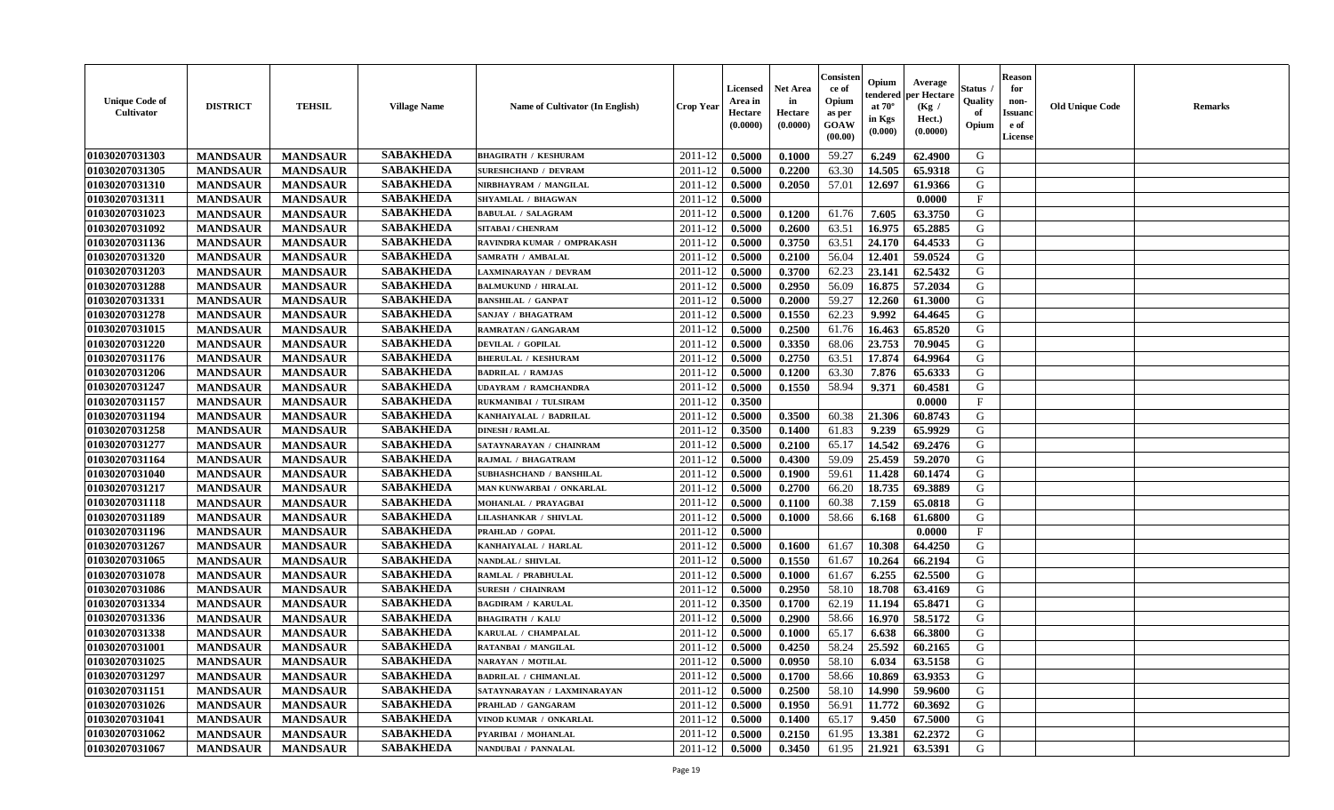| (0.0000)<br>(0.0000)<br>GOAW<br>Opium<br>e of<br>(0.0000)<br>(0.000)<br>(00.00)<br>License                                                                                         |  |
|------------------------------------------------------------------------------------------------------------------------------------------------------------------------------------|--|
| <b>SABAKHEDA</b><br>01030207031303<br>2011-12<br>0.5000<br>0.1000<br>59.27<br>6.249<br>62.4900<br>G<br><b>MANDSAUR</b><br><b>MANDSAUR</b><br><b>BHAGIRATH / KESHURAM</b>           |  |
| <b>SABAKHEDA</b><br>01030207031305<br>2011-12<br>63.30<br>G<br><b>MANDSAUR</b><br><b>MANDSAUR</b><br>0.5000<br>0.2200<br>14.505<br>65.9318<br><b>SURESHCHAND / DEVRAM</b>          |  |
| <b>SABAKHEDA</b><br>01030207031310<br><b>MANDSAUR</b><br>2011-12<br>0.5000<br>0.2050<br>57.01<br>12.697<br><b>MANDSAUR</b><br>NIRBHAYRAM / MANGILAL<br>61.9366<br>G                |  |
| <b>SABAKHEDA</b><br>01030207031311<br><b>MANDSAUR</b><br><b>MANDSAUR</b><br>SHYAMLAL / BHAGWAN<br>2011-12<br>0.5000<br>0.0000<br>$\mathbf{F}$                                      |  |
| <b>SABAKHEDA</b><br>01030207031023<br><b>MANDSAUR</b><br><b>MANDSAUR</b><br><b>BABULAL / SALAGRAM</b><br>2011-12<br>0.5000<br>0.1200<br>61.76<br>7.605<br>63.3750<br>G             |  |
| <b>SABAKHEDA</b><br>01030207031092<br><b>MANDSAUR</b><br><b>MANDSAUR</b><br>0.2600<br>63.51<br>16.975<br>65.2885<br>G<br>2011-12<br>0.5000<br><b>SITABAI/ CHENRAM</b>              |  |
| <b>SABAKHEDA</b><br>01030207031136<br><b>MANDSAUR</b><br><b>MANDSAUR</b><br>0.3750<br>63.51<br>24.170<br>64.4533<br>G<br>2011-12<br>0.5000<br>RAVINDRA KUMAR / OMPRAKASH           |  |
| 01030207031320<br><b>SABAKHEDA</b><br>56.04<br><b>MANDSAUR</b><br><b>MANDSAUR</b><br>2011-12<br>0.5000<br>0.2100<br>12.401<br>59.0524<br>G<br><b>SAMRATH / AMBALAL</b>             |  |
| 01030207031203<br><b>SABAKHEDA</b><br>62.23<br>23.141<br>62.5432<br><b>MANDSAUR</b><br><b>MANDSAUR</b><br>2011-12<br>0.5000<br>0.3700<br>G<br><b>LAXMINARAYAN / DEVRAM</b>         |  |
| <b>SABAKHEDA</b><br>01030207031288<br>56.09<br>16.875<br>57.2034<br>G<br><b>MANDSAUR</b><br><b>MANDSAUR</b><br>2011-12<br>0.5000<br>0.2950<br><b>BALMUKUND / HIRALAL</b>           |  |
| <b>SABAKHEDA</b><br>01030207031331<br>12.260<br>61.3000<br>G<br><b>MANDSAUR</b><br><b>MANDSAUR</b><br><b>BANSHILAL / GANPAT</b><br>2011-12<br>0.5000<br>0.2000<br>59.27            |  |
| <b>SABAKHEDA</b><br>01030207031278<br>9.992<br><b>MANDSAUR</b><br><b>MANDSAUR</b><br>SANJAY / BHAGATRAM<br>2011-12<br>0.5000<br>0.1550<br>62.23<br>64.4645<br>G                    |  |
| <b>SABAKHEDA</b><br>01030207031015<br><b>MANDSAUR</b><br><b>MANDSAUR</b><br>0.2500<br>65.8520<br>G<br><b>RAMRATAN / GANGARAM</b><br>2011-12<br>0.5000<br>61.76<br>16.463           |  |
| <b>SABAKHEDA</b><br>01030207031220<br><b>MANDSAUR</b><br><b>MANDSAUR</b><br>0.3350<br>23.753<br>70.9045<br>G<br><b>DEVILAL / GOPILAL</b><br>2011-12<br>0.5000<br>68.06             |  |
| <b>SABAKHEDA</b><br>0.2750<br>17.874<br>$\mathbf G$<br>01030207031176<br><b>MANDSAUR</b><br><b>MANDSAUR</b><br>63.51<br>64.9964<br><b>BHERULAL / KESHURAM</b><br>2011-12<br>0.5000 |  |
| <b>SABAKHEDA</b><br>01030207031206<br><b>MANDSAUR</b><br>0.1200<br>63.30<br>7.876<br>65.6333<br>G<br><b>MANDSAUR</b><br>2011-12<br>0.5000<br><b>BADRILAL / RAMJAS</b>              |  |
| <b>SABAKHEDA</b><br>01030207031247<br>0.1550<br>58.94<br>G<br><b>MANDSAUR</b><br><b>MANDSAUR</b><br>2011-12<br>0.5000<br>9.371<br>60.4581<br><b>UDAYRAM / RAMCHANDRA</b>           |  |
| 01030207031157<br><b>SABAKHEDA</b><br><b>MANDSAUR</b><br>2011-12<br>0.3500<br>$_{\rm F}$<br><b>MANDSAUR</b><br>0.0000<br>RUKMANIBAI / TULSIRAM                                     |  |
| <b>SABAKHEDA</b><br>01030207031194<br>0.3500<br>60.38<br>G<br><b>MANDSAUR</b><br><b>MANDSAUR</b><br>KANHAIYALAL / BADRILAL<br>2011-12<br>0.5000<br>21.306<br>60.8743               |  |
| <b>SABAKHEDA</b><br>01030207031258<br>9.239<br>65.9929<br><b>MANDSAUR</b><br><b>MANDSAUR</b><br><b>DINESH / RAMLAL</b><br>2011-12<br>0.3500<br>0.1400<br>61.83<br>G                |  |
| <b>SABAKHEDA</b><br>01030207031277<br><b>MANDSAUR</b><br><b>MANDSAUR</b><br>SATAYNARAYAN / CHAINRAM<br>2011-12<br>65.17<br>14.542<br>69.2476<br>G<br>0.5000<br>0.2100              |  |
| 01030207031164<br><b>SABAKHEDA</b><br>25.459<br><b>MANDSAUR</b><br><b>MANDSAUR</b><br>2011-12<br>0.5000<br>0.4300<br>59.09<br>59.2070<br>G<br>RAJMAL / BHAGATRAM                   |  |
| <b>SABAKHEDA</b><br>01030207031040<br><b>MANDSAUR</b><br>G<br><b>MANDSAUR</b><br>2011-12<br>0.5000<br>0.1900<br>59.61<br>11.428<br>60.1474<br>SUBHASHCHAND / BANSHILAL             |  |
| <b>SABAKHEDA</b><br>G<br>01030207031217<br>2011-12<br>66.20<br>18.735<br><b>MANDSAUR</b><br><b>MANDSAUR</b><br>0.5000<br>0.2700<br>69.3889<br>MAN KUNWARBAI / ONKARLAL             |  |
| <b>SABAKHEDA</b><br>01030207031118<br><b>MANDSAUR</b><br><b>MANDSAUR</b><br>2011-12<br>60.38<br>G<br>MOHANLAL / PRAYAGBAI<br>0.5000<br>0.1100<br>7.159<br>65.0818                  |  |
| 01030207031189<br><b>SABAKHEDA</b><br><b>MANDSAUR</b><br>2011-12<br>0.5000<br>0.1000<br>58.66<br>G<br><b>MANDSAUR</b><br><b>LILASHANKAR / SHIVLAL</b><br>6.168<br>61.6800          |  |
| <b>SABAKHEDA</b><br>01030207031196<br>F<br><b>MANDSAUR</b><br>2011-12<br>0.0000<br><b>MANDSAUR</b><br>PRAHLAD / GOPAL<br>0.5000                                                    |  |
| <b>SABAKHEDA</b><br>01030207031267<br><b>MANDSAUR</b><br>0.1600<br>61.67<br>10.308<br>64.4250<br><b>MANDSAUR</b><br>KANHAIYALAL / HARLAL<br>2011-12<br>0.5000<br>G                 |  |
| <b>SABAKHEDA</b><br>01030207031065<br><b>MANDSAUR</b><br><b>MANDSAUR</b><br>NANDLAL / SHIVLAL<br>2011-12<br>0.5000<br>0.1550<br>61.67<br>10.264<br>66.2194<br>G                    |  |
| <b>SABAKHEDA</b><br>01030207031078<br><b>MANDSAUR</b><br>62.5500<br><b>MANDSAUR</b><br>RAMLAL / PRABHULAL<br>2011-12<br>0.5000<br>0.1000<br>61.67<br>6.255<br>G                    |  |
| <b>SABAKHEDA</b><br>01030207031086<br><b>MANDSAUR</b><br><b>MANDSAUR</b><br>0.2950<br>58.10<br>18.708<br>63.4169<br>G<br><b>SURESH / CHAINRAM</b><br>2011-12<br>0.5000             |  |
| <b>SABAKHEDA</b><br>01030207031334<br>62.19<br>G<br><b>MANDSAUR</b><br><b>MANDSAUR</b><br>2011-12<br>11.194<br>65.8471<br><b>BAGDIRAM / KARULAL</b><br>0.3500<br>0.1700            |  |
| <b>SABAKHEDA</b><br>01030207031336<br>58.66<br>G<br><b>MANDSAUR</b><br><b>MANDSAUR</b><br>2011-12<br>0.5000<br>0.2900<br>16.970<br>58.5172<br><b>BHAGIRATH / KALU</b>              |  |
| 01030207031338<br><b>SABAKHEDA</b><br>65.17<br><b>MANDSAUR</b><br><b>MANDSAUR</b><br>2011-12<br>0.5000<br>0.1000<br>6.638<br>66.3800<br>G<br>KARULAL / CHAMPALAL                   |  |
| <b>SABAKHEDA</b><br>25.592<br>01030207031001<br><b>MANDSAUR</b><br><b>MANDSAUR</b><br>0.5000<br>0.4250<br>58.24<br>60.2165<br>G<br><b>RATANBAI / MANGILAL</b><br>2011-12           |  |
| <b>SABAKHEDA</b><br>01030207031025<br>G<br><b>MANDSAUR</b><br>0.0950<br>58.10<br>6.034<br>63.5158<br><b>MANDSAUR</b><br><b>NARAYAN / MOTILAL</b><br>2011-12<br>0.5000              |  |
| <b>SABAKHEDA</b><br>01030207031297<br><b>MANDSAUR</b><br><b>MANDSAUR</b><br><b>BADRILAL / CHIMANLAL</b><br>2011-12<br>0.5000<br>0.1700<br>58.66<br>10.869<br>63.9353<br>G          |  |
| <b>SABAKHEDA</b><br>01030207031151<br><b>MANDSAUR</b><br><b>MANDSAUR</b><br>58.10<br>14.990<br>59.9600<br>G<br>SATAYNARAYAN / LAXMINARAYAN<br>2011-12<br>0.5000<br>0.2500          |  |
| <b>SABAKHEDA</b><br>01030207031026<br><b>MANDSAUR</b><br><b>MANDSAUR</b><br>56.91<br>11.772<br>60.3692<br>G<br>PRAHLAD / GANGARAM<br>2011-12<br>0.5000<br>0.1950                   |  |
| <b>SABAKHEDA</b><br>${\bf G}$<br>01030207031041<br><b>MANDSAUR</b><br><b>MANDSAUR</b><br>65.17<br>9.450<br>67.5000<br>2011-12<br>0.5000<br>0.1400<br>VINOD KUMAR / ONKARLAL        |  |
| <b>SABAKHEDA</b><br>G<br>13.381<br>62.2372<br>01030207031062<br><b>MANDSAUR</b><br>2011-12<br>0.5000<br>0.2150<br>61.95<br><b>MANDSAUR</b><br>PYARIBAI / MOHANLAL                  |  |
| <b>SABAKHEDA</b><br>01030207031067<br>0.5000<br>0.3450<br>61.95<br>21.921<br>63.5391<br>G<br><b>MANDSAUR</b><br>2011-12<br><b>MANDSAUR</b><br>NANDUBAI / PANNALAL                  |  |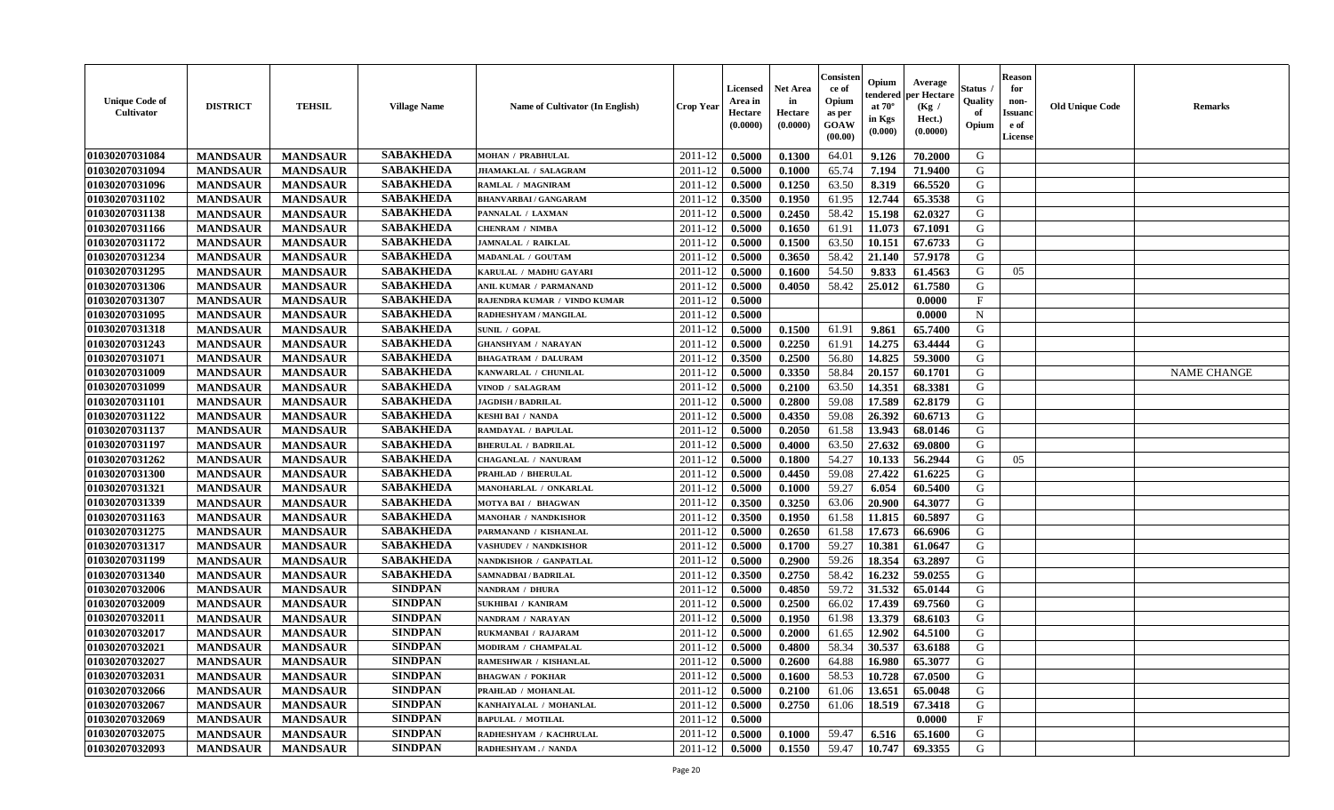| <b>Unique Code of</b><br><b>Cultivator</b> | <b>DISTRICT</b> | <b>TEHSIL</b>   | <b>Village Name</b> | Name of Cultivator (In English) | <b>Crop Year</b> | Licensed<br>Area in<br>Hectare<br>(0.0000) | Net Area<br>in<br>Hectare<br>(0.0000) | Consister<br>ce of<br>Opium<br>as per<br>GOAW<br>(00.00) | Opium<br>endered<br>at $70^\circ$<br>in Kgs<br>(0.000) | Average<br>per Hectare<br>(Kg /<br>Hect.)<br>(0.0000) | Status<br>Quality<br>of<br>Opium | <b>Reason</b><br>for<br>non-<br><b>Issuand</b><br>e of<br>License | <b>Old Unique Code</b> | Remarks            |
|--------------------------------------------|-----------------|-----------------|---------------------|---------------------------------|------------------|--------------------------------------------|---------------------------------------|----------------------------------------------------------|--------------------------------------------------------|-------------------------------------------------------|----------------------------------|-------------------------------------------------------------------|------------------------|--------------------|
| 01030207031084                             | <b>MANDSAUR</b> | <b>MANDSAUR</b> | <b>SABAKHEDA</b>    | MOHAN / PRABHULAL               | 2011-12          | 0.5000                                     | 0.1300                                | 64.01                                                    | 9.126                                                  | 70.2000                                               | G                                |                                                                   |                        |                    |
| 01030207031094                             | <b>MANDSAUR</b> | <b>MANDSAUR</b> | <b>SABAKHEDA</b>    | JHAMAKLAL / SALAGRAM            | 2011-12          | 0.5000                                     | 0.1000                                | 65.74                                                    | 7.194                                                  | 71.9400                                               | G                                |                                                                   |                        |                    |
| 01030207031096                             | <b>MANDSAUR</b> | <b>MANDSAUR</b> | <b>SABAKHEDA</b>    | RAMLAL / MAGNIRAM               | 2011-12          | 0.5000                                     | 0.1250                                | 63.50                                                    | 8.319                                                  | 66.5520                                               | G                                |                                                                   |                        |                    |
| 01030207031102                             | <b>MANDSAUR</b> | <b>MANDSAUR</b> | <b>SABAKHEDA</b>    | <b>BHANVARBAI/GANGARAM</b>      | 2011-12          | 0.3500                                     | 0.1950                                | 61.95                                                    | 12.744                                                 | 65.3538                                               | G                                |                                                                   |                        |                    |
| 01030207031138                             | <b>MANDSAUR</b> | <b>MANDSAUR</b> | <b>SABAKHEDA</b>    | PANNALAL / LAXMAN               | 2011-12          | 0.5000                                     | 0.2450                                | 58.42                                                    | 15.198                                                 | 62.0327                                               | G                                |                                                                   |                        |                    |
| 01030207031166                             | <b>MANDSAUR</b> | <b>MANDSAUR</b> | <b>SABAKHEDA</b>    | <b>CHENRAM / NIMBA</b>          | 2011-12          | 0.5000                                     | 0.1650                                | 61.91                                                    | 11.073                                                 | 67.1091                                               | G                                |                                                                   |                        |                    |
| 01030207031172                             | <b>MANDSAUR</b> | <b>MANDSAUR</b> | <b>SABAKHEDA</b>    | <b>JAMNALAL / RAIKLAL</b>       | 2011-12          | 0.5000                                     | 0.1500                                | 63.50                                                    | 10.151                                                 | 67.6733                                               | G                                |                                                                   |                        |                    |
| 01030207031234                             | <b>MANDSAUR</b> | <b>MANDSAUR</b> | <b>SABAKHEDA</b>    | MADANLAL / GOUTAM               | 2011-12          | 0.5000                                     | 0.3650                                | 58.42                                                    | 21.140                                                 | 57.9178                                               | G                                |                                                                   |                        |                    |
| 01030207031295                             | <b>MANDSAUR</b> | <b>MANDSAUR</b> | <b>SABAKHEDA</b>    | KARULAL / MADHU GAYARI          | 2011-12          | 0.5000                                     | 0.1600                                | 54.50                                                    | 9.833                                                  | 61.4563                                               | G                                | 05                                                                |                        |                    |
| 01030207031306                             | <b>MANDSAUR</b> | <b>MANDSAUR</b> | <b>SABAKHEDA</b>    | ANIL KUMAR / PARMANAND          | 2011-12          | 0.5000                                     | 0.4050                                | 58.42                                                    | 25.012                                                 | 61.7580                                               | G                                |                                                                   |                        |                    |
| 01030207031307                             | <b>MANDSAUR</b> | <b>MANDSAUR</b> | <b>SABAKHEDA</b>    | RAJENDRA KUMAR / VINDO KUMAR    | 2011-12          | 0.5000                                     |                                       |                                                          |                                                        | 0.0000                                                | F                                |                                                                   |                        |                    |
| 01030207031095                             | <b>MANDSAUR</b> | <b>MANDSAUR</b> | <b>SABAKHEDA</b>    | RADHESHYAM / MANGILAL           | 2011-12          | 0.5000                                     |                                       |                                                          |                                                        | 0.0000                                                | $\mathbf N$                      |                                                                   |                        |                    |
| 01030207031318                             | <b>MANDSAUR</b> | <b>MANDSAUR</b> | <b>SABAKHEDA</b>    | <b>SUNIL / GOPAL</b>            | 2011-12          | 0.5000                                     | 0.1500                                | 61.91                                                    | 9.861                                                  | 65.7400                                               | G                                |                                                                   |                        |                    |
| 01030207031243                             | <b>MANDSAUR</b> | <b>MANDSAUR</b> | <b>SABAKHEDA</b>    | <b>GHANSHYAM / NARAYAN</b>      | 2011-12          | 0.5000                                     | 0.2250                                | 61.91                                                    | 14.275                                                 | 63.4444                                               | G                                |                                                                   |                        |                    |
| 01030207031071                             | <b>MANDSAUR</b> | <b>MANDSAUR</b> | <b>SABAKHEDA</b>    | <b>BHAGATRAM / DALURAM</b>      | 2011-12          | 0.3500                                     | 0.2500                                | 56.80                                                    | 14.825                                                 | 59.3000                                               | $\mathbf G$                      |                                                                   |                        |                    |
| 01030207031009                             | <b>MANDSAUR</b> | <b>MANDSAUR</b> | <b>SABAKHEDA</b>    | KANWARLAL / CHUNILAL            | 2011-12          | 0.5000                                     | 0.3350                                | 58.84                                                    | 20.157                                                 | 60.1701                                               | G                                |                                                                   |                        | <b>NAME CHANGE</b> |
| 01030207031099                             | <b>MANDSAUR</b> | <b>MANDSAUR</b> | <b>SABAKHEDA</b>    | VINOD / SALAGRAM                | 2011-12          | 0.5000                                     | 0.2100                                | 63.50                                                    | 14.351                                                 | 68.3381                                               | G                                |                                                                   |                        |                    |
| 01030207031101                             | <b>MANDSAUR</b> | <b>MANDSAUR</b> | <b>SABAKHEDA</b>    | <b>JAGDISH / BADRILAL</b>       | 2011-12          | 0.5000                                     | 0.2800                                | 59.08                                                    | 17.589                                                 | 62.8179                                               | G                                |                                                                   |                        |                    |
| 01030207031122                             | <b>MANDSAUR</b> | <b>MANDSAUR</b> | <b>SABAKHEDA</b>    | <b>KESHI BAI / NANDA</b>        | 2011-12          | 0.5000                                     | 0.4350                                | 59.08                                                    | 26.392                                                 | 60.6713                                               | G                                |                                                                   |                        |                    |
| 01030207031137                             | <b>MANDSAUR</b> | <b>MANDSAUR</b> | <b>SABAKHEDA</b>    | RAMDAYAL / BAPULAL              | 2011-12          | 0.5000                                     | 0.2050                                | 61.58                                                    | 13.943                                                 | 68.0146                                               | G                                |                                                                   |                        |                    |
| 01030207031197                             | <b>MANDSAUR</b> | <b>MANDSAUR</b> | <b>SABAKHEDA</b>    | <b>BHERULAL / BADRILAL</b>      | 2011-12          | 0.5000                                     | 0.4000                                | 63.50                                                    | 27.632                                                 | 69.0800                                               | G                                |                                                                   |                        |                    |
| 01030207031262                             | <b>MANDSAUR</b> | <b>MANDSAUR</b> | <b>SABAKHEDA</b>    | <b>CHAGANLAL / NANURAM</b>      | 2011-12          | 0.5000                                     | 0.1800                                | 54.27                                                    | 10.133                                                 | 56.2944                                               | G                                | 05                                                                |                        |                    |
| 01030207031300                             | <b>MANDSAUR</b> | <b>MANDSAUR</b> | <b>SABAKHEDA</b>    | <b>PRAHLAD / BHERULAL</b>       | 2011-12          | 0.5000                                     | 0.4450                                | 59.08                                                    | 27.422                                                 | 61.6225                                               | G                                |                                                                   |                        |                    |
| 01030207031321                             | <b>MANDSAUR</b> | <b>MANDSAUR</b> | <b>SABAKHEDA</b>    | MANOHARLAL / ONKARLAL           | 2011-12          | 0.5000                                     | 0.1000                                | 59.27                                                    | 6.054                                                  | 60.5400                                               | G                                |                                                                   |                        |                    |
| 01030207031339                             | <b>MANDSAUR</b> | <b>MANDSAUR</b> | <b>SABAKHEDA</b>    | MOTYA BAI / BHAGWAN             | 2011-12          | 0.3500                                     | 0.3250                                | 63.06                                                    | 20.900                                                 | 64.3077                                               | G                                |                                                                   |                        |                    |
| 01030207031163                             | <b>MANDSAUR</b> | <b>MANDSAUR</b> | <b>SABAKHEDA</b>    | <b>MANOHAR / NANDKISHOR</b>     | 2011-12          | 0.3500                                     | 0.1950                                | 61.58                                                    | 11.815                                                 | 60.5897                                               | G                                |                                                                   |                        |                    |
| 01030207031275                             | <b>MANDSAUR</b> | <b>MANDSAUR</b> | <b>SABAKHEDA</b>    | PARMANAND / KISHANLAL           | 2011-12          | 0.5000                                     | 0.2650                                | 61.58                                                    | 17.673                                                 | 66.6906                                               | G                                |                                                                   |                        |                    |
| 01030207031317                             | <b>MANDSAUR</b> | <b>MANDSAUR</b> | <b>SABAKHEDA</b>    | <b>VASHUDEV / NANDKISHOR</b>    | 2011-12          | 0.5000                                     | 0.1700                                | 59.27                                                    | 10.381                                                 | 61.0647                                               | G                                |                                                                   |                        |                    |
| 01030207031199                             | <b>MANDSAUR</b> | <b>MANDSAUR</b> | <b>SABAKHEDA</b>    | NANDKISHOR / GANPATLAL          | 2011-12          | 0.5000                                     | 0.2900                                | 59.26                                                    | 18.354                                                 | 63.2897                                               | G                                |                                                                   |                        |                    |
| 01030207031340                             | <b>MANDSAUR</b> | <b>MANDSAUR</b> | <b>SABAKHEDA</b>    | <b>SAMNADBAI/BADRILAL</b>       | 2011-12          | 0.3500                                     | 0.2750                                | 58.42                                                    | 16.232                                                 | 59.0255                                               | G                                |                                                                   |                        |                    |
| 01030207032006                             | <b>MANDSAUR</b> | <b>MANDSAUR</b> | <b>SINDPAN</b>      | NANDRAM / DHURA                 | 2011-12          | 0.5000                                     | 0.4850                                | 59.72                                                    | 31.532                                                 | 65.0144                                               | G                                |                                                                   |                        |                    |
| 01030207032009                             | <b>MANDSAUR</b> | <b>MANDSAUR</b> | <b>SINDPAN</b>      | <b>SUKHIBAI / KANIRAM</b>       | 2011-12          | 0.5000                                     | 0.2500                                | 66.02                                                    | 17.439                                                 | 69.7560                                               | G                                |                                                                   |                        |                    |
| 01030207032011                             | <b>MANDSAUR</b> | <b>MANDSAUR</b> | <b>SINDPAN</b>      | NANDRAM / NARAYAN               | 2011-12          | 0.5000                                     | 0.1950                                | 61.98                                                    | 13.379                                                 | 68.6103                                               | G                                |                                                                   |                        |                    |
| 01030207032017                             | <b>MANDSAUR</b> | <b>MANDSAUR</b> | <b>SINDPAN</b>      | RUKMANBAI / RAJARAM             | 2011-12          | 0.5000                                     | 0.2000                                | 61.65                                                    | 12.902                                                 | 64.5100                                               | G                                |                                                                   |                        |                    |
| 01030207032021                             | <b>MANDSAUR</b> | <b>MANDSAUR</b> | <b>SINDPAN</b>      | MODIRAM / CHAMPALAL             | 2011-12          | 0.5000                                     | 0.4800                                | 58.34                                                    | 30.537                                                 | 63.6188                                               | G                                |                                                                   |                        |                    |
| 01030207032027                             | <b>MANDSAUR</b> | <b>MANDSAUR</b> | <b>SINDPAN</b>      | <b>RAMESHWAR / KISHANLAL</b>    | 2011-12          | 0.5000                                     | 0.2600                                | 64.88                                                    | 16.980                                                 | 65.3077                                               | G                                |                                                                   |                        |                    |
| 01030207032031                             | <b>MANDSAUR</b> | <b>MANDSAUR</b> | <b>SINDPAN</b>      | <b>BHAGWAN / POKHAR</b>         | 2011-12          | 0.5000                                     | 0.1600                                | 58.53                                                    | 10.728                                                 | 67.0500                                               | G                                |                                                                   |                        |                    |
| 01030207032066                             | <b>MANDSAUR</b> | <b>MANDSAUR</b> | <b>SINDPAN</b>      | PRAHLAD / MOHANLAL              | 2011-12          | 0.5000                                     | 0.2100                                | 61.06                                                    | 13.651                                                 | 65.0048                                               | G                                |                                                                   |                        |                    |
| 01030207032067                             | <b>MANDSAUR</b> | <b>MANDSAUR</b> | <b>SINDPAN</b>      | KANHAIYALAL / MOHANLAL          | 2011-12          | 0.5000                                     | 0.2750                                | 61.06                                                    | 18.519                                                 | 67.3418                                               | G                                |                                                                   |                        |                    |
| 01030207032069                             | <b>MANDSAUR</b> | <b>MANDSAUR</b> | <b>SINDPAN</b>      | <b>BAPULAL / MOTILAL</b>        | 2011-12          | 0.5000                                     |                                       |                                                          |                                                        | 0.0000                                                | F                                |                                                                   |                        |                    |
| 01030207032075                             | <b>MANDSAUR</b> | <b>MANDSAUR</b> | <b>SINDPAN</b>      | RADHESHYAM / KACHRULAL          | 2011-12          | 0.5000                                     | 0.1000                                | 59.47                                                    | 6.516                                                  | 65.1600                                               | G                                |                                                                   |                        |                    |
| 01030207032093                             | <b>MANDSAUR</b> | <b>MANDSAUR</b> | <b>SINDPAN</b>      | RADHESHYAM./ NANDA              | 2011-12          | 0.5000                                     | 0.1550                                | 59.47                                                    | 10.747                                                 | 69.3355                                               | G                                |                                                                   |                        |                    |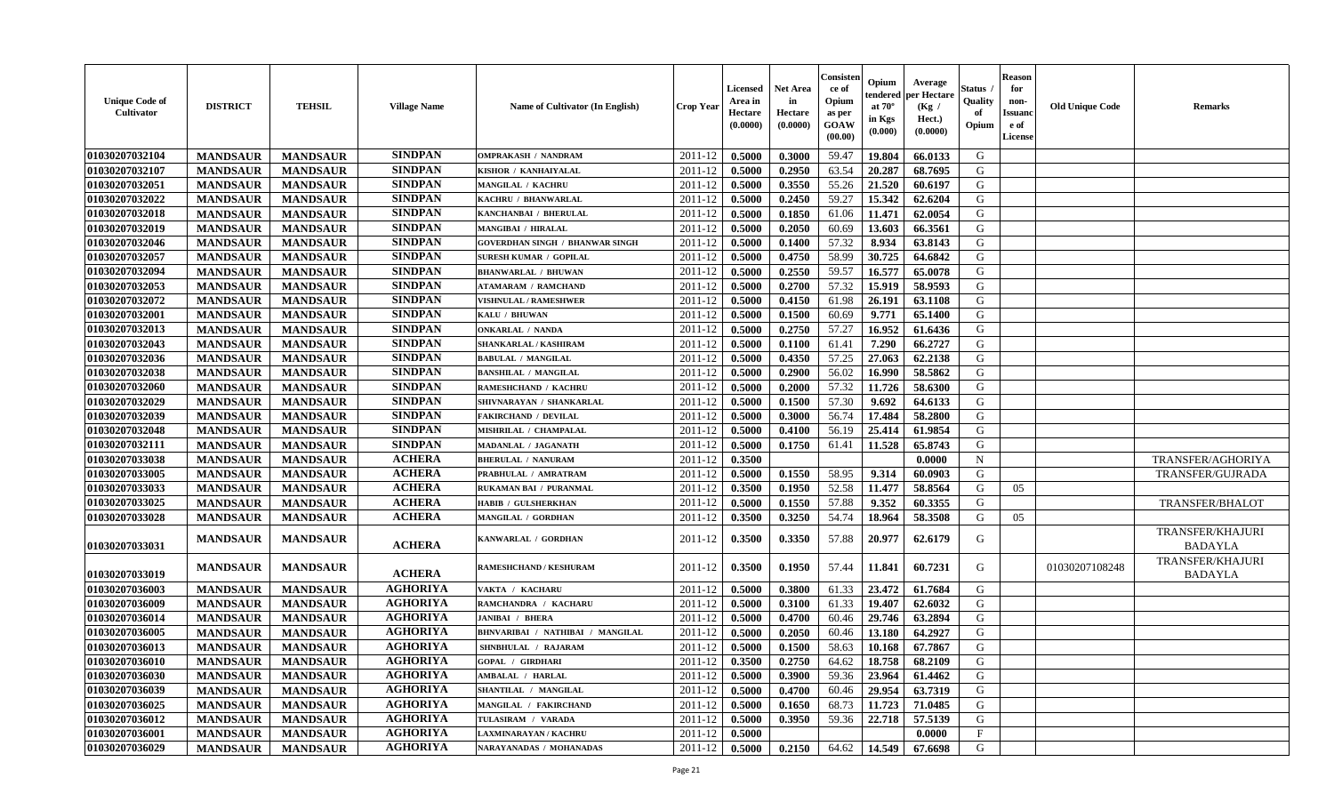| <b>Unique Code of</b><br>Cultivator | <b>DISTRICT</b> | <b>TEHSIL</b>   | <b>Village Name</b> | Name of Cultivator (In English)        | <b>Crop Year</b>   | <b>Licensed</b><br>Area in<br>Hectare<br>(0.0000) | <b>Net Area</b><br>in<br>Hectare<br>(0.0000) | Consister<br>ce of<br>Opium<br>as per<br><b>GOAW</b><br>(00.00) | Opium<br>tendered<br>at $70^{\circ}$<br>in Kgs<br>$(\mathbf{0.000})$ | Average<br>per Hectare<br>(Kg /<br>Hect.)<br>(0.0000) | Status .<br>Quality<br>of<br>Opium | <b>Reason</b><br>for<br>non-<br><b>Issuanc</b><br>e of<br>License | <b>Old Unique Code</b> | <b>Remarks</b>                            |
|-------------------------------------|-----------------|-----------------|---------------------|----------------------------------------|--------------------|---------------------------------------------------|----------------------------------------------|-----------------------------------------------------------------|----------------------------------------------------------------------|-------------------------------------------------------|------------------------------------|-------------------------------------------------------------------|------------------------|-------------------------------------------|
| 01030207032104                      | <b>MANDSAUR</b> | <b>MANDSAUR</b> | <b>SINDPAN</b>      | <b>OMPRAKASH / NANDRAM</b>             | 2011-12            | 0.5000                                            | 0.3000                                       | 59.47                                                           | 19.804                                                               | 66.0133                                               | G                                  |                                                                   |                        |                                           |
| 01030207032107                      | <b>MANDSAUR</b> | <b>MANDSAUR</b> | <b>SINDPAN</b>      | KISHOR / KANHAIYALAL                   | 2011-12            | 0.5000                                            | 0.2950                                       | 63.54                                                           | 20.287                                                               | 68.7695                                               | G                                  |                                                                   |                        |                                           |
| 01030207032051                      | <b>MANDSAUR</b> | <b>MANDSAUR</b> | <b>SINDPAN</b>      | MANGILAL / KACHRU                      | 2011-12            | 0.5000                                            | 0.3550                                       | 55.26                                                           | 21.520                                                               | 60.6197                                               | G                                  |                                                                   |                        |                                           |
| 01030207032022                      | <b>MANDSAUR</b> | <b>MANDSAUR</b> | <b>SINDPAN</b>      | <b>KACHRU / BHANWARLAL</b>             | 2011-12            | 0.5000                                            | 0.2450                                       | 59.27                                                           | 15.342                                                               | 62.6204                                               | G                                  |                                                                   |                        |                                           |
| 01030207032018                      | <b>MANDSAUR</b> | <b>MANDSAUR</b> | <b>SINDPAN</b>      | KANCHANBAI / BHERULAL                  | 2011-12            | 0.5000                                            | 0.1850                                       | 61.06                                                           | 11.471                                                               | 62.0054                                               | G                                  |                                                                   |                        |                                           |
| 01030207032019                      | <b>MANDSAUR</b> | <b>MANDSAUR</b> | <b>SINDPAN</b>      | MANGIBAI / HIRALAL                     | 2011-12            | 0.5000                                            | 0.2050                                       | 60.69                                                           | 13.603                                                               | 66.3561                                               | G                                  |                                                                   |                        |                                           |
| 01030207032046                      | <b>MANDSAUR</b> | <b>MANDSAUR</b> | <b>SINDPAN</b>      | <b>GOVERDHAN SINGH / BHANWAR SINGH</b> | 2011-12            | 0.5000                                            | 0.1400                                       | 57.32                                                           | 8.934                                                                | 63.8143                                               | G                                  |                                                                   |                        |                                           |
| 01030207032057                      | <b>MANDSAUR</b> | <b>MANDSAUR</b> | <b>SINDPAN</b>      | <b>SURESH KUMAR / GOPILAL</b>          | 2011-12            | 0.5000                                            | 0.4750                                       | 58.99                                                           | 30.725                                                               | 64.6842                                               | G                                  |                                                                   |                        |                                           |
| 01030207032094                      | <b>MANDSAUR</b> | <b>MANDSAUR</b> | <b>SINDPAN</b>      | <b>BHANWARLAL / BHUWAN</b>             | 2011-12            | 0.5000                                            | 0.2550                                       | 59.57                                                           | 16.577                                                               | 65.0078                                               | G                                  |                                                                   |                        |                                           |
| 01030207032053                      | <b>MANDSAUR</b> | <b>MANDSAUR</b> | <b>SINDPAN</b>      | <b>ATAMARAM / RAMCHAND</b>             | 2011-12            | 0.5000                                            | 0.2700                                       | 57.32                                                           | 15.919                                                               | 58.9593                                               | G                                  |                                                                   |                        |                                           |
| 01030207032072                      | <b>MANDSAUR</b> | <b>MANDSAUR</b> | <b>SINDPAN</b>      | <b>VISHNULAL / RAMESHWER</b>           | 2011-12            | 0.5000                                            | 0.4150                                       | 61.98                                                           | 26.191                                                               | 63.1108                                               | G                                  |                                                                   |                        |                                           |
| 01030207032001                      | <b>MANDSAUR</b> | <b>MANDSAUR</b> | <b>SINDPAN</b>      | KALU / BHUWAN                          | 2011-12            | 0.5000                                            | 0.1500                                       | 60.69                                                           | 9.771                                                                | 65.1400                                               | G                                  |                                                                   |                        |                                           |
| 01030207032013                      | <b>MANDSAUR</b> | <b>MANDSAUR</b> | <b>SINDPAN</b>      | <b>ONKARLAL / NANDA</b>                | 2011-12            | 0.5000                                            | 0.2750                                       | 57.27                                                           | 16.952                                                               | 61.6436                                               | G                                  |                                                                   |                        |                                           |
| 01030207032043                      | <b>MANDSAUR</b> | <b>MANDSAUR</b> | <b>SINDPAN</b>      | SHANKARLAL / KASHIRAM                  | 2011-12            | 0.5000                                            | 0.1100                                       | 61.41                                                           | 7.290                                                                | 66,2727                                               | G                                  |                                                                   |                        |                                           |
| 01030207032036                      | <b>MANDSAUR</b> | <b>MANDSAUR</b> | <b>SINDPAN</b>      | <b>BABULAL / MANGILAL</b>              | 2011-12            | 0.5000                                            | 0.4350                                       | 57.25                                                           | 27.063                                                               | 62.2138                                               | G                                  |                                                                   |                        |                                           |
| 01030207032038                      | <b>MANDSAUR</b> | <b>MANDSAUR</b> | <b>SINDPAN</b>      | <b>BANSHILAL / MANGILAL</b>            | 2011-12            | 0.5000                                            | 0.2900                                       | 56.02                                                           | 16.990                                                               | 58.5862                                               | G                                  |                                                                   |                        |                                           |
| 01030207032060                      | <b>MANDSAUR</b> | <b>MANDSAUR</b> | <b>SINDPAN</b>      | RAMESHCHAND / KACHRU                   | 2011-12            | 0.5000                                            | 0.2000                                       | 57.32                                                           | 11.726                                                               | 58.6300                                               | G                                  |                                                                   |                        |                                           |
| 01030207032029                      | <b>MANDSAUR</b> | <b>MANDSAUR</b> | <b>SINDPAN</b>      | SHIVNARAYAN / SHANKARLAL               | 2011-12            | 0.5000                                            | 0.1500                                       | 57.30                                                           | 9.692                                                                | 64.6133                                               | G                                  |                                                                   |                        |                                           |
| 01030207032039                      | <b>MANDSAUR</b> | <b>MANDSAUR</b> | <b>SINDPAN</b>      | <b>FAKIRCHAND / DEVILAL</b>            | 2011-12            | 0.5000                                            | 0.3000                                       | 56.74                                                           | 17.484                                                               | 58.2800                                               | G                                  |                                                                   |                        |                                           |
| 01030207032048                      | <b>MANDSAUR</b> | <b>MANDSAUR</b> | <b>SINDPAN</b>      | MISHRILAL / CHAMPALAL                  | 2011-12            | 0.5000                                            | 0.4100                                       | 56.19                                                           | 25.414                                                               | 61.9854                                               | G                                  |                                                                   |                        |                                           |
| 01030207032111                      | <b>MANDSAUR</b> | <b>MANDSAUR</b> | <b>SINDPAN</b>      | MADANLAL / JAGANATH                    | 2011-12            | 0.5000                                            | 0.1750                                       | 61.41                                                           | 11.528                                                               | 65.8743                                               | G                                  |                                                                   |                        |                                           |
| 01030207033038                      | <b>MANDSAUR</b> | <b>MANDSAUR</b> | <b>ACHERA</b>       | <b>BHERULAL / NANURAM</b>              | 2011-12            | 0.3500                                            |                                              |                                                                 |                                                                      | 0.0000                                                | N                                  |                                                                   |                        | TRANSFER/AGHORIYA                         |
| 01030207033005                      | <b>MANDSAUR</b> | <b>MANDSAUR</b> | <b>ACHERA</b>       | PRABHULAL / AMRATRAM                   | 2011-12            | 0.5000                                            | 0.1550                                       | 58.95                                                           | 9.314                                                                | 60.0903                                               | G                                  |                                                                   |                        | TRANSFER/GUJRADA                          |
| 01030207033033                      | <b>MANDSAUR</b> | <b>MANDSAUR</b> | <b>ACHERA</b>       | RUKAMAN BAI / PURANMAL                 | 2011-12            | 0.3500                                            | 0.1950                                       | 52.58                                                           | 11.477                                                               | 58.8564                                               | G                                  | 05                                                                |                        |                                           |
| 01030207033025                      | <b>MANDSAUR</b> | <b>MANDSAUR</b> | <b>ACHERA</b>       | HABIB / GULSHERKHAN                    | 2011-12            | 0.5000                                            | 0.1550                                       | 57.88                                                           | 9.352                                                                | 60.3355                                               | G                                  |                                                                   |                        | <b>TRANSFER/BHALOT</b>                    |
| 01030207033028                      | <b>MANDSAUR</b> | <b>MANDSAUR</b> | <b>ACHERA</b>       | MANGILAL / GORDHAN                     | 2011-12            | 0.3500                                            | 0.3250                                       | 54.74                                                           | 18.964                                                               | 58.3508                                               | G                                  | 05                                                                |                        |                                           |
| 01030207033031                      | <b>MANDSAUR</b> | <b>MANDSAUR</b> | <b>ACHERA</b>       | KANWARLAL / GORDHAN                    | 2011-12            | 0.3500                                            | 0.3350                                       | 57.88                                                           | 20.977                                                               | 62.6179                                               | G                                  |                                                                   |                        | TRANSFER/KHAJURI<br><b>BADAYLA</b>        |
| 01030207033019                      | <b>MANDSAUR</b> | <b>MANDSAUR</b> | <b>ACHERA</b>       | RAMESHCHAND / KESHURAM                 | 2011-12            | 0.3500                                            | 0.1950                                       | 57.44                                                           | 11.841                                                               | 60.7231                                               | G                                  |                                                                   | 01030207108248         | <b>TRANSFER/KHAJURI</b><br><b>BADAYLA</b> |
| 01030207036003                      | <b>MANDSAUR</b> | <b>MANDSAUR</b> | <b>AGHORIYA</b>     | VAKTA / KACHARU                        | 2011-12            | 0.5000                                            | 0.3800                                       | 61.33                                                           | 23.472                                                               | 61.7684                                               | G                                  |                                                                   |                        |                                           |
| 01030207036009                      | <b>MANDSAUR</b> | <b>MANDSAUR</b> | <b>AGHORIYA</b>     | RAMCHANDRA / KACHARU                   | 2011-12            | 0.5000                                            | 0.3100                                       | 61.33                                                           | 19.407                                                               | 62.6032                                               | G                                  |                                                                   |                        |                                           |
| 01030207036014                      | <b>MANDSAUR</b> | <b>MANDSAUR</b> | <b>AGHORIYA</b>     | <b>JANIBAI / BHERA</b>                 | 2011-12            | 0.5000                                            | 0.4700                                       | 60.46                                                           | 29.746                                                               | 63.2894                                               | G                                  |                                                                   |                        |                                           |
| 01030207036005                      | <b>MANDSAUR</b> | <b>MANDSAUR</b> | <b>AGHORIYA</b>     | BHNVARIBAI / NATHIBAI / MANGILAL       | 2011-12            | 0.5000                                            | 0.2050                                       | 60.46                                                           | 13.180                                                               | 64.2927                                               | G                                  |                                                                   |                        |                                           |
| 01030207036013                      | <b>MANDSAUR</b> | <b>MANDSAUR</b> | <b>AGHORIYA</b>     | SHNBHULAL / RAJARAM                    | 2011-12            | 0.5000                                            | 0.1500                                       | 58.63                                                           | 10.168                                                               | 67.7867                                               | G                                  |                                                                   |                        |                                           |
| 01030207036010                      | <b>MANDSAUR</b> | MANDSAUR        | <b>AGHORIYA</b>     | <b>GOPAL / GIRDHARI</b>                | $2011 - 12$ 0.3500 |                                                   | 0.2750                                       | 64.62                                                           |                                                                      | $18.758$ 68.2109                                      | G                                  |                                                                   |                        |                                           |
| 01030207036030                      | <b>MANDSAUR</b> | <b>MANDSAUR</b> | <b>AGHORIYA</b>     | AMBALAL / HARLAL                       | 2011-12            | 0.5000                                            | 0.3900                                       | 59.36                                                           | 23.964                                                               | 61.4462                                               | G                                  |                                                                   |                        |                                           |
| 01030207036039                      | <b>MANDSAUR</b> | <b>MANDSAUR</b> | <b>AGHORIYA</b>     | SHANTILAL / MANGILAL                   | 2011-12            | 0.5000                                            | 0.4700                                       | 60.46                                                           | 29.954                                                               | 63.7319                                               | G                                  |                                                                   |                        |                                           |
| 01030207036025                      | <b>MANDSAUR</b> | <b>MANDSAUR</b> | <b>AGHORIYA</b>     | <b>MANGILAL / FAKIRCHAND</b>           | 2011-12            | 0.5000                                            | 0.1650                                       | 68.73                                                           | 11.723                                                               | 71.0485                                               | G                                  |                                                                   |                        |                                           |
| 01030207036012                      | <b>MANDSAUR</b> | <b>MANDSAUR</b> | <b>AGHORIYA</b>     | TULASIRAM / VARADA                     | 2011-12            | 0.5000                                            | 0.3950                                       | 59.36                                                           | 22.718                                                               | 57.5139                                               | G                                  |                                                                   |                        |                                           |
| 01030207036001                      | <b>MANDSAUR</b> | <b>MANDSAUR</b> | <b>AGHORIYA</b>     | LAXMINARAYAN / KACHRU                  | 2011-12            | 0.5000                                            |                                              |                                                                 |                                                                      | 0.0000                                                | $\mathbf{F}$                       |                                                                   |                        |                                           |
| 01030207036029                      | <b>MANDSAUR</b> | <b>MANDSAUR</b> | <b>AGHORIYA</b>     | NARAYANADAS / MOHANADAS                | $2011 - 12$ 0.5000 |                                                   | 0.2150                                       | 64.62                                                           |                                                                      | 14.549 67.6698                                        | G                                  |                                                                   |                        |                                           |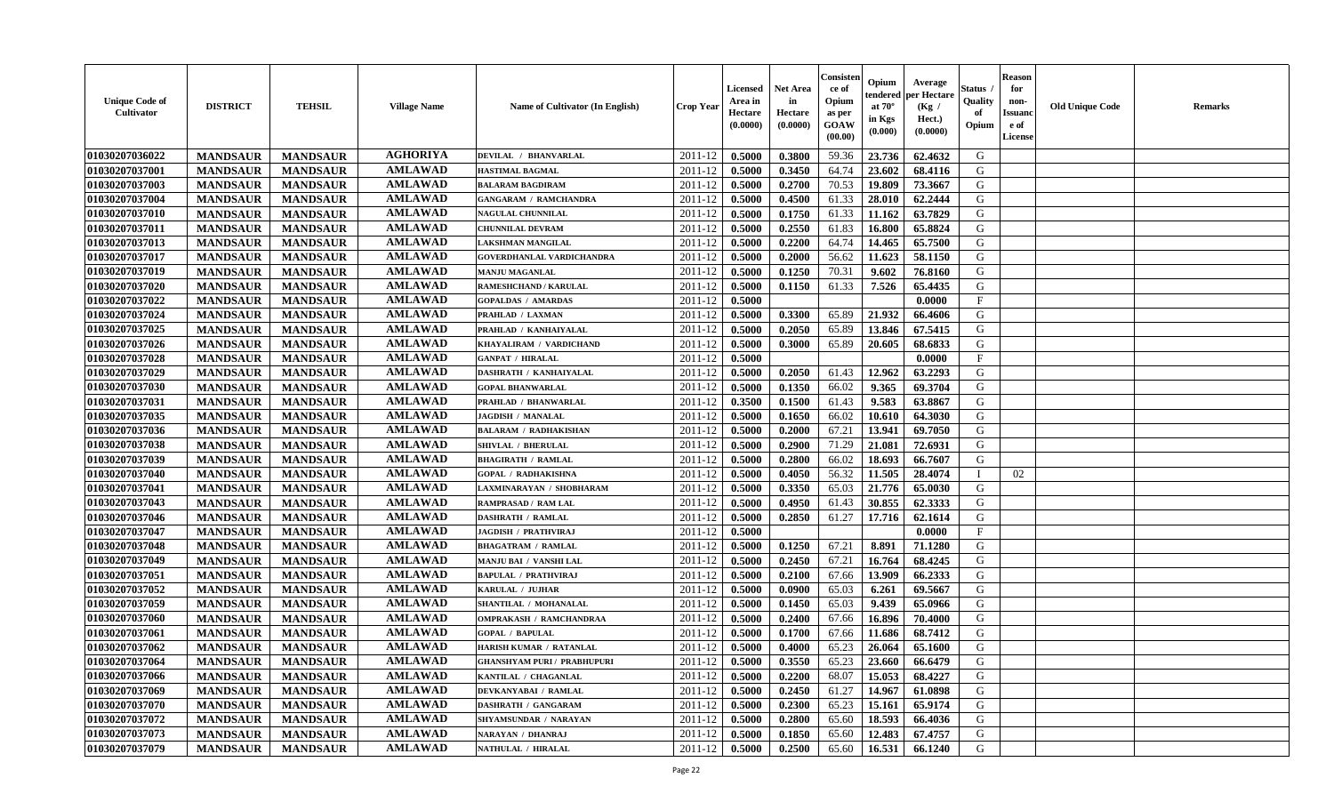| <b>Unique Code of</b><br><b>Cultivator</b> | <b>DISTRICT</b> | <b>TEHSIL</b>   | <b>Village Name</b> | Name of Cultivator (In English)    | <b>Crop Year</b> | <b>Licensed</b><br>Area in<br>Hectare<br>(0.0000) | Net Area<br>in<br>Hectare<br>(0.0000) | Consister<br>ce of<br>Opium<br>as per<br>GOAW<br>(00.00) | Opium<br>endered<br>at $70^\circ$<br>in Kgs<br>(0.000) | Average<br>per Hectare<br>(Kg /<br>Hect.)<br>(0.0000) | Status<br>Quality<br>of<br>Opium | <b>Reason</b><br>for<br>non-<br><b>Issuanc</b><br>e of<br>License | <b>Old Unique Code</b> | Remarks |
|--------------------------------------------|-----------------|-----------------|---------------------|------------------------------------|------------------|---------------------------------------------------|---------------------------------------|----------------------------------------------------------|--------------------------------------------------------|-------------------------------------------------------|----------------------------------|-------------------------------------------------------------------|------------------------|---------|
| 01030207036022                             | <b>MANDSAUR</b> | <b>MANDSAUR</b> | <b>AGHORIYA</b>     | DEVILAL / BHANVARLAL               | 2011-12          | 0.5000                                            | 0.3800                                | 59.36                                                    | 23.736                                                 | 62.4632                                               | G                                |                                                                   |                        |         |
| 01030207037001                             | <b>MANDSAUR</b> | <b>MANDSAUR</b> | <b>AMLAWAD</b>      | <b>HASTIMAL BAGMAL</b>             | 2011-12          | 0.5000                                            | 0.3450                                | 64.74                                                    | 23.602                                                 | 68.4116                                               | G                                |                                                                   |                        |         |
| 01030207037003                             | <b>MANDSAUR</b> | <b>MANDSAUR</b> | <b>AMLAWAD</b>      | <b>BALARAM BAGDIRAM</b>            | 2011-12          | 0.5000                                            | 0.2700                                | 70.53                                                    | 19.809                                                 | 73.3667                                               | G                                |                                                                   |                        |         |
| 01030207037004                             | <b>MANDSAUR</b> | <b>MANDSAUR</b> | <b>AMLAWAD</b>      | <b>GANGARAM / RAMCHANDRA</b>       | 2011-12          | 0.5000                                            | 0.4500                                | 61.33                                                    | 28.010                                                 | 62.2444                                               | G                                |                                                                   |                        |         |
| 01030207037010                             | <b>MANDSAUR</b> | <b>MANDSAUR</b> | <b>AMLAWAD</b>      | <b>NAGULAL CHUNNILAL</b>           | 2011-12          | 0.5000                                            | 0.1750                                | 61.33                                                    | 11.162                                                 | 63.7829                                               | G                                |                                                                   |                        |         |
| 01030207037011                             | <b>MANDSAUR</b> | <b>MANDSAUR</b> | <b>AMLAWAD</b>      | <b>CHUNNILAL DEVRAM</b>            | 2011-12          | 0.5000                                            | 0.2550                                | 61.83                                                    | 16.800                                                 | 65.8824                                               | G                                |                                                                   |                        |         |
| 01030207037013                             | <b>MANDSAUR</b> | <b>MANDSAUR</b> | <b>AMLAWAD</b>      | LAKSHMAN MANGILAL                  | 2011-12          | 0.5000                                            | 0.2200                                | 64.74                                                    | 14.465                                                 | 65.7500                                               | G                                |                                                                   |                        |         |
| 01030207037017                             | <b>MANDSAUR</b> | <b>MANDSAUR</b> | <b>AMLAWAD</b>      | GOVERDHANLAL VARDICHANDRA          | 2011-12          | 0.5000                                            | 0.2000                                | 56.62                                                    | 11.623                                                 | 58.1150                                               | G                                |                                                                   |                        |         |
| 01030207037019                             | <b>MANDSAUR</b> | <b>MANDSAUR</b> | <b>AMLAWAD</b>      | <b>MANJU MAGANLAL</b>              | 2011-12          | 0.5000                                            | 0.1250                                | 70.31                                                    | 9.602                                                  | 76.8160                                               | G                                |                                                                   |                        |         |
| 01030207037020                             | <b>MANDSAUR</b> | <b>MANDSAUR</b> | <b>AMLAWAD</b>      | RAMESHCHAND / KARULAL              | 2011-12          | 0.5000                                            | 0.1150                                | 61.33                                                    | 7.526                                                  | 65.4435                                               | G                                |                                                                   |                        |         |
| 01030207037022                             | <b>MANDSAUR</b> | <b>MANDSAUR</b> | <b>AMLAWAD</b>      | <b>GOPALDAS / AMARDAS</b>          | 2011-12          | 0.5000                                            |                                       |                                                          |                                                        | 0.0000                                                | F                                |                                                                   |                        |         |
| 01030207037024                             | <b>MANDSAUR</b> | <b>MANDSAUR</b> | <b>AMLAWAD</b>      | PRAHLAD / LAXMAN                   | 2011-12          | 0.5000                                            | 0.3300                                | 65.89                                                    | 21.932                                                 | 66.4606                                               | G                                |                                                                   |                        |         |
| 01030207037025                             | <b>MANDSAUR</b> | <b>MANDSAUR</b> | <b>AMLAWAD</b>      | PRAHLAD / KANHAIYALAL              | 2011-12          | 0.5000                                            | 0.2050                                | 65.89                                                    | 13.846                                                 | 67.5415                                               | G                                |                                                                   |                        |         |
| 01030207037026                             | <b>MANDSAUR</b> | <b>MANDSAUR</b> | <b>AMLAWAD</b>      | KHAYALIRAM / VARDICHAND            | 2011-12          | 0.5000                                            | 0.3000                                | 65.89                                                    | 20.605                                                 | 68.6833                                               | G                                |                                                                   |                        |         |
| 01030207037028                             | <b>MANDSAUR</b> | <b>MANDSAUR</b> | <b>AMLAWAD</b>      | <b>GANPAT / HIRALAL</b>            | 2011-12          | 0.5000                                            |                                       |                                                          |                                                        | 0.0000                                                | F                                |                                                                   |                        |         |
| 01030207037029                             | <b>MANDSAUR</b> | <b>MANDSAUR</b> | <b>AMLAWAD</b>      | DASHRATH / KANHAIYALAL             | 2011-12          | 0.5000                                            | 0.2050                                | 61.43                                                    | 12.962                                                 | 63.2293                                               | G                                |                                                                   |                        |         |
| 01030207037030                             | <b>MANDSAUR</b> | <b>MANDSAUR</b> | <b>AMLAWAD</b>      | <b>GOPAL BHANWARLAL</b>            | 2011-12          | 0.5000                                            | 0.1350                                | 66.02                                                    | 9.365                                                  | 69.3704                                               | G                                |                                                                   |                        |         |
| 01030207037031                             | <b>MANDSAUR</b> | <b>MANDSAUR</b> | <b>AMLAWAD</b>      | PRAHLAD / BHANWARLAL               | 2011-12          | 0.3500                                            | 0.1500                                | 61.43                                                    | 9.583                                                  | 63.8867                                               | G                                |                                                                   |                        |         |
| 01030207037035                             | <b>MANDSAUR</b> | <b>MANDSAUR</b> | <b>AMLAWAD</b>      | <b>JAGDISH / MANALAL</b>           | 2011-12          | 0.5000                                            | 0.1650                                | 66.02                                                    | 10.610                                                 | 64.3030                                               | G                                |                                                                   |                        |         |
| 01030207037036                             | <b>MANDSAUR</b> | <b>MANDSAUR</b> | <b>AMLAWAD</b>      | <b>BALARAM / RADHAKISHAN</b>       | 2011-12          | 0.5000                                            | 0.2000                                | 67.21                                                    | 13.941                                                 | 69.7050                                               | G                                |                                                                   |                        |         |
| 01030207037038                             | <b>MANDSAUR</b> | <b>MANDSAUR</b> | <b>AMLAWAD</b>      | SHIVLAL / BHERULAL                 | 2011-12          | 0.5000                                            | 0.2900                                | 71.29                                                    | 21.081                                                 | 72.6931                                               | G                                |                                                                   |                        |         |
| 01030207037039                             | <b>MANDSAUR</b> | <b>MANDSAUR</b> | <b>AMLAWAD</b>      | <b>BHAGIRATH / RAMLAL</b>          | 2011-12          | 0.5000                                            | 0.2800                                | 66.02                                                    | 18.693                                                 | 66.7607                                               | G                                |                                                                   |                        |         |
| 01030207037040                             | <b>MANDSAUR</b> | <b>MANDSAUR</b> | <b>AMLAWAD</b>      | <b>GOPAL / RADHAKISHNA</b>         | 2011-12          | 0.5000                                            | 0.4050                                | 56.32                                                    | 11.505                                                 | 28.4074                                               |                                  | 02                                                                |                        |         |
| 01030207037041                             | <b>MANDSAUR</b> | <b>MANDSAUR</b> | <b>AMLAWAD</b>      | LAXMINARAYAN / SHOBHARAM           | 2011-12          | 0.5000                                            | 0.3350                                | 65.03                                                    | 21.776                                                 | 65.0030                                               | G                                |                                                                   |                        |         |
| 01030207037043                             | <b>MANDSAUR</b> | <b>MANDSAUR</b> | <b>AMLAWAD</b>      | <b>RAMPRASAD / RAM LAL</b>         | 2011-12          | 0.5000                                            | 0.4950                                | 61.43                                                    | 30.855                                                 | 62.3333                                               | G                                |                                                                   |                        |         |
| 01030207037046                             | <b>MANDSAUR</b> | <b>MANDSAUR</b> | <b>AMLAWAD</b>      | DASHRATH / RAMLAL                  | 2011-12          | 0.5000                                            | 0.2850                                | 61.27                                                    | 17.716                                                 | 62.1614                                               | G                                |                                                                   |                        |         |
| 01030207037047                             | <b>MANDSAUR</b> | <b>MANDSAUR</b> | <b>AMLAWAD</b>      | <b>JAGDISH / PRATHVIRAJ</b>        | 2011-12          | 0.5000                                            |                                       |                                                          |                                                        | 0.0000                                                | F                                |                                                                   |                        |         |
| 01030207037048                             | <b>MANDSAUR</b> | <b>MANDSAUR</b> | <b>AMLAWAD</b>      | <b>BHAGATRAM / RAMLAL</b>          | 2011-12          | 0.5000                                            | 0.1250                                | 67.21                                                    | 8.891                                                  | 71.1280                                               | G                                |                                                                   |                        |         |
| 01030207037049                             | <b>MANDSAUR</b> | <b>MANDSAUR</b> | <b>AMLAWAD</b>      | MANJU BAI / VANSHI LAL             | 2011-12          | 0.5000                                            | 0.2450                                | 67.21                                                    | 16.764                                                 | 68.4245                                               | G                                |                                                                   |                        |         |
| 01030207037051                             | <b>MANDSAUR</b> | <b>MANDSAUR</b> | <b>AMLAWAD</b>      | <b>BAPULAL / PRATHVIRAJ</b>        | 2011-12          | 0.5000                                            | 0.2100                                | 67.66                                                    | 13.909                                                 | 66.2333                                               | G                                |                                                                   |                        |         |
| 01030207037052                             | <b>MANDSAUR</b> | <b>MANDSAUR</b> | <b>AMLAWAD</b>      | KARULAL / JUJHAR                   | 2011-12          | 0.5000                                            | 0.0900                                | 65.03                                                    | 6.261                                                  | 69.5667                                               | G                                |                                                                   |                        |         |
| 01030207037059                             | <b>MANDSAUR</b> | <b>MANDSAUR</b> | <b>AMLAWAD</b>      | SHANTILAL / MOHANALAL              | 2011-12          | 0.5000                                            | 0.1450                                | 65.03                                                    | 9.439                                                  | 65.0966                                               | G                                |                                                                   |                        |         |
| 01030207037060                             | <b>MANDSAUR</b> | <b>MANDSAUR</b> | <b>AMLAWAD</b>      | <b>OMPRAKASH / RAMCHANDRAA</b>     | 2011-12          | 0.5000                                            | 0.2400                                | 67.66                                                    | 16.896                                                 | 70.4000                                               | G                                |                                                                   |                        |         |
| 01030207037061                             | <b>MANDSAUR</b> | <b>MANDSAUR</b> | <b>AMLAWAD</b>      | <b>GOPAL / BAPULAL</b>             | 2011-12          | 0.5000                                            | 0.1700                                | 67.66                                                    | 11.686                                                 | 68.7412                                               | G                                |                                                                   |                        |         |
| 01030207037062                             | <b>MANDSAUR</b> | <b>MANDSAUR</b> | <b>AMLAWAD</b>      | HARISH KUMAR / RATANLAL            | 2011-12          | 0.5000                                            | 0.4000                                | 65.23                                                    | 26.064                                                 | 65.1600                                               | G                                |                                                                   |                        |         |
| 01030207037064                             | <b>MANDSAUR</b> | <b>MANDSAUR</b> | <b>AMLAWAD</b>      | <b>GHANSHYAM PURI / PRABHUPURI</b> | 2011-12          | 0.5000                                            | 0.3550                                | 65.23                                                    | 23.660                                                 | 66.6479                                               | G                                |                                                                   |                        |         |
| 01030207037066                             | <b>MANDSAUR</b> | <b>MANDSAUR</b> | <b>AMLAWAD</b>      | KANTILAL / CHAGANLAL               | 2011-12          | 0.5000                                            | 0.2200                                | 68.07                                                    | 15.053                                                 | 68.4227                                               | G                                |                                                                   |                        |         |
| 01030207037069                             | <b>MANDSAUR</b> | <b>MANDSAUR</b> | <b>AMLAWAD</b>      | DEVKANYABAI / RAMLAL               | 2011-12          | 0.5000                                            | 0.2450                                | 61.27                                                    | 14.967                                                 | 61.0898                                               | G                                |                                                                   |                        |         |
| 01030207037070                             | <b>MANDSAUR</b> | <b>MANDSAUR</b> | <b>AMLAWAD</b>      | <b>DASHRATH / GANGARAM</b>         | 2011-12          | 0.5000                                            | 0.2300                                | 65.23                                                    | 15.161                                                 | 65.9174                                               | G                                |                                                                   |                        |         |
| 01030207037072                             | <b>MANDSAUR</b> | <b>MANDSAUR</b> | <b>AMLAWAD</b>      | SHYAMSUNDAR / NARAYAN              | 2011-12          | 0.5000                                            | 0.2800                                | 65.60                                                    | 18.593                                                 | 66.4036                                               | ${\bf G}$                        |                                                                   |                        |         |
| 01030207037073                             | <b>MANDSAUR</b> | <b>MANDSAUR</b> | <b>AMLAWAD</b>      | <b>NARAYAN / DHANRAJ</b>           | 2011-12          | 0.5000                                            | 0.1850                                | 65.60                                                    | 12.483                                                 | 67.4757                                               | G                                |                                                                   |                        |         |
| 01030207037079                             | <b>MANDSAUR</b> | <b>MANDSAUR</b> | <b>AMLAWAD</b>      | NATHULAL / HIRALAL                 | 2011-12          | 0.5000                                            | 0.2500                                | 65.60                                                    | 16.531                                                 | 66.1240                                               | G                                |                                                                   |                        |         |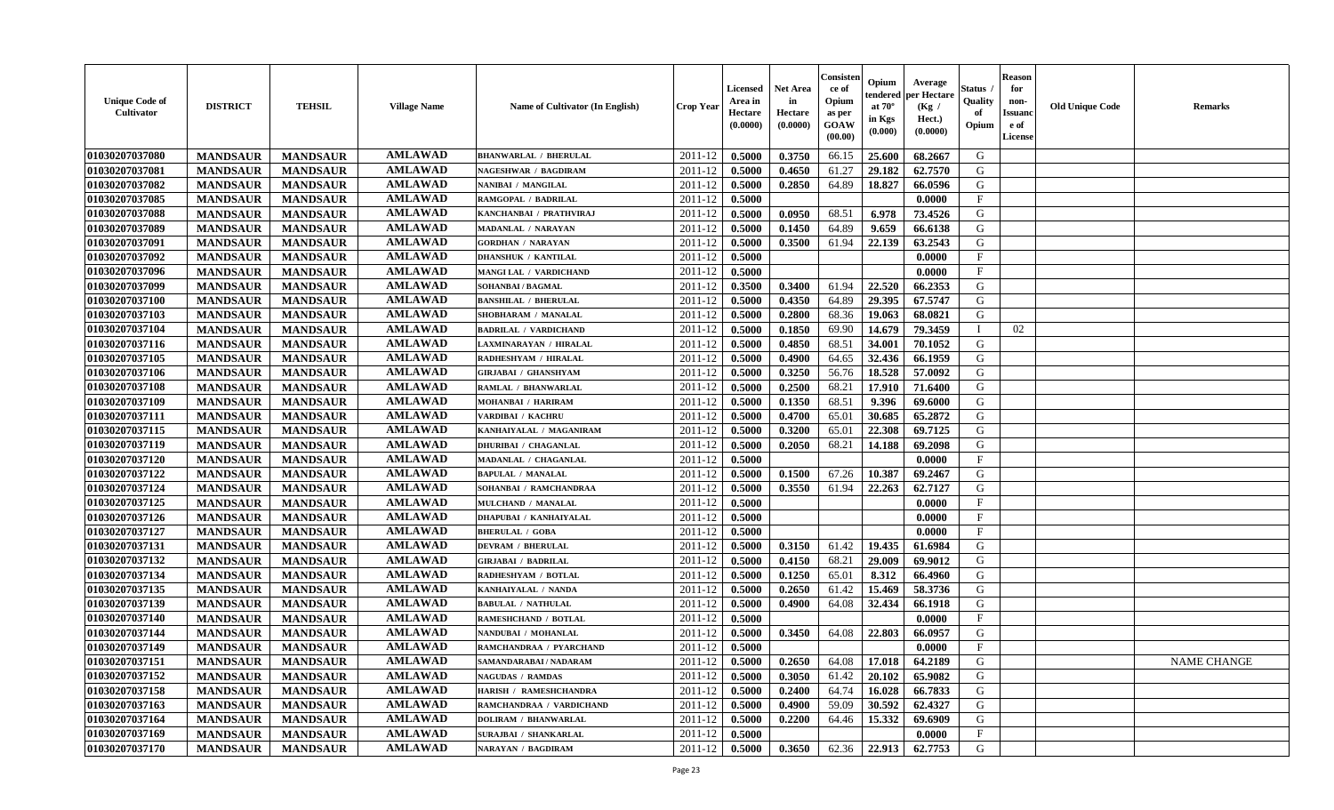| <b>Unique Code of</b><br>Cultivator | <b>DISTRICT</b> | <b>TEHSIL</b>   | <b>Village Name</b> | Name of Cultivator (In English) | <b>Crop Year</b> | <b>Licensed</b><br>Area in<br>Hectare<br>(0.0000) | <b>Net Area</b><br>in<br>Hectare<br>(0.0000) | Consister<br>ce of<br>Opium<br>as per<br>GOAW<br>(00.00) | Opium<br>endered<br>at $70^\circ$<br>in Kgs<br>(0.000) | Average<br>per Hectare<br>(Kg /<br>Hect.)<br>(0.0000) | <b>Status</b> .<br>Quality<br>of<br>Opium | <b>Reason</b><br>for<br>non-<br><b>Issuand</b><br>e of<br>License | <b>Old Unique Code</b> | <b>Remarks</b>     |
|-------------------------------------|-----------------|-----------------|---------------------|---------------------------------|------------------|---------------------------------------------------|----------------------------------------------|----------------------------------------------------------|--------------------------------------------------------|-------------------------------------------------------|-------------------------------------------|-------------------------------------------------------------------|------------------------|--------------------|
| 01030207037080                      | <b>MANDSAUR</b> | <b>MANDSAUR</b> | <b>AMLAWAD</b>      | <b>BHANWARLAL / BHERULAL</b>    | 2011-12          | 0.5000                                            | 0.3750                                       | 66.15                                                    | 25.600                                                 | 68.2667                                               | G                                         |                                                                   |                        |                    |
| 01030207037081                      | <b>MANDSAUR</b> | <b>MANDSAUR</b> | <b>AMLAWAD</b>      | <b>NAGESHWAR / BAGDIRAM</b>     | 2011-12          | 0.5000                                            | 0.4650                                       | 61.27                                                    | 29.182                                                 | 62.7570                                               | G                                         |                                                                   |                        |                    |
| 01030207037082                      | <b>MANDSAUR</b> | <b>MANDSAUR</b> | <b>AMLAWAD</b>      | NANIBAI / MANGILAL              | 2011-12          | 0.5000                                            | 0.2850                                       | 64.89                                                    | 18.827                                                 | 66.0596                                               | G                                         |                                                                   |                        |                    |
| 01030207037085                      | <b>MANDSAUR</b> | <b>MANDSAUR</b> | <b>AMLAWAD</b>      | RAMGOPAL / BADRILAL             | 2011-12          | 0.5000                                            |                                              |                                                          |                                                        | 0.0000                                                | $\mathbf{F}$                              |                                                                   |                        |                    |
| 01030207037088                      | <b>MANDSAUR</b> | <b>MANDSAUR</b> | <b>AMLAWAD</b>      | KANCHANBAI / PRATHVIRAJ         | 2011-12          | 0.5000                                            | 0.0950                                       | 68.51                                                    | 6.978                                                  | 73.4526                                               | G                                         |                                                                   |                        |                    |
| 01030207037089                      | <b>MANDSAUR</b> | <b>MANDSAUR</b> | <b>AMLAWAD</b>      | MADANLAL / NARAYAN              | 2011-12          | 0.5000                                            | 0.1450                                       | 64.89                                                    | 9.659                                                  | 66.6138                                               | G                                         |                                                                   |                        |                    |
| 01030207037091                      | <b>MANDSAUR</b> | <b>MANDSAUR</b> | <b>AMLAWAD</b>      | <b>GORDHAN / NARAYAN</b>        | 2011-12          | 0.5000                                            | 0.3500                                       | 61.94                                                    | 22.139                                                 | 63.2543                                               | G                                         |                                                                   |                        |                    |
| 01030207037092                      | <b>MANDSAUR</b> | <b>MANDSAUR</b> | <b>AMLAWAD</b>      | <b>DHANSHUK / KANTILAL</b>      | 2011-12          | 0.5000                                            |                                              |                                                          |                                                        | 0.0000                                                | $\mathbf F$                               |                                                                   |                        |                    |
| 01030207037096                      | <b>MANDSAUR</b> | <b>MANDSAUR</b> | <b>AMLAWAD</b>      | MANGI LAL / VARDICHAND          | 2011-12          | 0.5000                                            |                                              |                                                          |                                                        | 0.0000                                                | $\mathbf{F}$                              |                                                                   |                        |                    |
| 01030207037099                      | <b>MANDSAUR</b> | <b>MANDSAUR</b> | <b>AMLAWAD</b>      | SOHANBAI / BAGMAL               | 2011-12          | 0.3500                                            | 0.3400                                       | 61.94                                                    | 22.520                                                 | 66.2353                                               | G                                         |                                                                   |                        |                    |
| 01030207037100                      | <b>MANDSAUR</b> | <b>MANDSAUR</b> | <b>AMLAWAD</b>      | <b>BANSHILAL / BHERULAL</b>     | 2011-12          | 0.5000                                            | 0.4350                                       | 64.89                                                    | 29.395                                                 | 67.5747                                               | G                                         |                                                                   |                        |                    |
| 01030207037103                      | <b>MANDSAUR</b> | <b>MANDSAUR</b> | <b>AMLAWAD</b>      | SHOBHARAM / MANALAL             | 2011-12          | 0.5000                                            | 0.2800                                       | 68.36                                                    | 19.063                                                 | 68.0821                                               | G                                         |                                                                   |                        |                    |
| 01030207037104                      | <b>MANDSAUR</b> | <b>MANDSAUR</b> | <b>AMLAWAD</b>      | <b>BADRILAL / VARDICHAND</b>    | 2011-12          | 0.5000                                            | 0.1850                                       | 69.90                                                    | 14.679                                                 | 79.3459                                               | I                                         | 02                                                                |                        |                    |
| 01030207037116                      | <b>MANDSAUR</b> | <b>MANDSAUR</b> | <b>AMLAWAD</b>      | LAXMINARAYAN / HIRALAL          | 2011-12          | 0.5000                                            | 0.4850                                       | 68.51                                                    | 34.001                                                 | 70.1052                                               | G                                         |                                                                   |                        |                    |
| 01030207037105                      | <b>MANDSAUR</b> | <b>MANDSAUR</b> | <b>AMLAWAD</b>      | RADHESHYAM / HIRALAL            | 2011-12          | 0.5000                                            | 0.4900                                       | 64.65                                                    | 32.436                                                 | 66.1959                                               | ${\bf G}$                                 |                                                                   |                        |                    |
| 01030207037106                      | <b>MANDSAUR</b> | <b>MANDSAUR</b> | <b>AMLAWAD</b>      | <b>GIRJABAI / GHANSHYAM</b>     | 2011-12          | 0.5000                                            | 0.3250                                       | 56.76                                                    | 18.528                                                 | 57.0092                                               | G                                         |                                                                   |                        |                    |
| 01030207037108                      | <b>MANDSAUR</b> | <b>MANDSAUR</b> | <b>AMLAWAD</b>      | RAMLAL / BHANWARLAL             | 2011-12          | 0.5000                                            | 0.2500                                       | 68.21                                                    | 17.910                                                 | 71.6400                                               | G                                         |                                                                   |                        |                    |
| 01030207037109                      | <b>MANDSAUR</b> | <b>MANDSAUR</b> | <b>AMLAWAD</b>      | MOHANBAI / HARIRAM              | 2011-12          | 0.5000                                            | 0.1350                                       | 68.51                                                    | 9.396                                                  | 69.6000                                               | G                                         |                                                                   |                        |                    |
| 01030207037111                      | <b>MANDSAUR</b> | <b>MANDSAUR</b> | <b>AMLAWAD</b>      | VARDIBAI / KACHRU               | 2011-12          | 0.5000                                            | 0.4700                                       | 65.01                                                    | 30.685                                                 | 65.2872                                               | G                                         |                                                                   |                        |                    |
| 01030207037115                      | <b>MANDSAUR</b> | <b>MANDSAUR</b> | <b>AMLAWAD</b>      | KANHAIYALAL / MAGANIRAM         | 2011-12          | 0.5000                                            | 0.3200                                       | 65.01                                                    | 22.308                                                 | 69.7125                                               | G                                         |                                                                   |                        |                    |
| 01030207037119                      | <b>MANDSAUR</b> | <b>MANDSAUR</b> | <b>AMLAWAD</b>      | <b>DHURIBAI / CHAGANLAL</b>     | 2011-12          | 0.5000                                            | 0.2050                                       | 68.21                                                    | 14.188                                                 | 69.2098                                               | G                                         |                                                                   |                        |                    |
| 01030207037120                      | <b>MANDSAUR</b> | <b>MANDSAUR</b> | <b>AMLAWAD</b>      | MADANLAL / CHAGANLAL            | 2011-12          | 0.5000                                            |                                              |                                                          |                                                        | 0.0000                                                | F                                         |                                                                   |                        |                    |
| 01030207037122                      | <b>MANDSAUR</b> | <b>MANDSAUR</b> | <b>AMLAWAD</b>      | <b>BAPULAL / MANALAL</b>        | 2011-12          | 0.5000                                            | 0.1500                                       | 67.26                                                    | 10.387                                                 | 69.2467                                               | G                                         |                                                                   |                        |                    |
| 01030207037124                      | <b>MANDSAUR</b> | <b>MANDSAUR</b> | <b>AMLAWAD</b>      | SOHANBAI / RAMCHANDRAA          | 2011-12          | 0.5000                                            | 0.3550                                       | 61.94                                                    | 22.263                                                 | 62.7127                                               | G                                         |                                                                   |                        |                    |
| 01030207037125                      | <b>MANDSAUR</b> | <b>MANDSAUR</b> | <b>AMLAWAD</b>      | MULCHAND / MANALAL              | 2011-12          | 0.5000                                            |                                              |                                                          |                                                        | 0.0000                                                | $\mathbf F$                               |                                                                   |                        |                    |
| 01030207037126                      | <b>MANDSAUR</b> | <b>MANDSAUR</b> | <b>AMLAWAD</b>      | <b>DHAPUBAI / KANHAIYALAL</b>   | 2011-12          | 0.5000                                            |                                              |                                                          |                                                        | 0.0000                                                | $\mathbf{F}$                              |                                                                   |                        |                    |
| 01030207037127                      | <b>MANDSAUR</b> | <b>MANDSAUR</b> | <b>AMLAWAD</b>      | <b>BHERULAL / GOBA</b>          | 2011-12          | 0.5000                                            |                                              |                                                          |                                                        | 0.0000                                                | $\mathbf F$                               |                                                                   |                        |                    |
| 01030207037131                      | <b>MANDSAUR</b> | <b>MANDSAUR</b> | <b>AMLAWAD</b>      | <b>DEVRAM / BHERULAL</b>        | 2011-12          | 0.5000                                            | 0.3150                                       | 61.42                                                    | 19.435                                                 | 61.6984                                               | G                                         |                                                                   |                        |                    |
| 01030207037132                      | <b>MANDSAUR</b> | <b>MANDSAUR</b> | <b>AMLAWAD</b>      | <b>GIRJABAI / BADRILAL</b>      | 2011-12          | 0.5000                                            | 0.4150                                       | 68.21                                                    | 29.009                                                 | 69.9012                                               | G                                         |                                                                   |                        |                    |
| 01030207037134                      | <b>MANDSAUR</b> | <b>MANDSAUR</b> | <b>AMLAWAD</b>      | RADHESHYAM / BOTLAL             | 2011-12          | 0.5000                                            | 0.1250                                       | 65.01                                                    | 8.312                                                  | 66.4960                                               | G                                         |                                                                   |                        |                    |
| 01030207037135                      | <b>MANDSAUR</b> | <b>MANDSAUR</b> | <b>AMLAWAD</b>      | KANHAIYALAL / NANDA             | 2011-12          | 0.5000                                            | 0.2650                                       | 61.42                                                    | 15.469                                                 | 58.3736                                               | G                                         |                                                                   |                        |                    |
| 01030207037139                      | <b>MANDSAUR</b> | <b>MANDSAUR</b> | <b>AMLAWAD</b>      | <b>BABULAL / NATHULAL</b>       | 2011-12          | 0.5000                                            | 0.4900                                       | 64.08                                                    | 32.434                                                 | 66.1918                                               | G                                         |                                                                   |                        |                    |
| 01030207037140                      | <b>MANDSAUR</b> | <b>MANDSAUR</b> | <b>AMLAWAD</b>      | RAMESHCHAND / BOTLAL            | 2011-12          | 0.5000                                            |                                              |                                                          |                                                        | 0.0000                                                | $\rm F$                                   |                                                                   |                        |                    |
| 01030207037144                      | <b>MANDSAUR</b> | <b>MANDSAUR</b> | <b>AMLAWAD</b>      | NANDUBAI / MOHANLAL             | 2011-12          | 0.5000                                            | 0.3450                                       | 64.08                                                    | 22.803                                                 | 66.0957                                               | G                                         |                                                                   |                        |                    |
| 01030207037149                      | <b>MANDSAUR</b> | <b>MANDSAUR</b> | <b>AMLAWAD</b>      | RAMCHANDRAA / PYARCHAND         | 2011-12          | 0.5000                                            |                                              |                                                          |                                                        | 0.0000                                                | $\mathbf F$                               |                                                                   |                        |                    |
| 01030207037151                      | <b>MANDSAUR</b> | <b>MANDSAUR</b> | <b>AMLAWAD</b>      | SAMANDARABAI / NADARAM          | 2011-12          | 0.5000                                            | 0.2650                                       | 64.08                                                    | 17.018                                                 | 64.2189                                               | G                                         |                                                                   |                        | <b>NAME CHANGE</b> |
| 01030207037152                      | <b>MANDSAUR</b> | <b>MANDSAUR</b> | <b>AMLAWAD</b>      | <b>NAGUDAS / RAMDAS</b>         | 2011-12          | 0.5000                                            | 0.3050                                       | 61.42                                                    | 20.102                                                 | 65.9082                                               | G                                         |                                                                   |                        |                    |
| 01030207037158                      | <b>MANDSAUR</b> | <b>MANDSAUR</b> | <b>AMLAWAD</b>      | HARISH / RAMESHCHANDRA          | 2011-12          | 0.5000                                            | 0.2400                                       | 64.74                                                    | 16.028                                                 | 66.7833                                               | G                                         |                                                                   |                        |                    |
| 01030207037163                      | <b>MANDSAUR</b> | <b>MANDSAUR</b> | <b>AMLAWAD</b>      | RAMCHANDRAA / VARDICHAND        | 2011-12          | 0.5000                                            | 0.4900                                       | 59.09                                                    | 30.592                                                 | 62.4327                                               | G                                         |                                                                   |                        |                    |
| 01030207037164                      | <b>MANDSAUR</b> | <b>MANDSAUR</b> | <b>AMLAWAD</b>      | DOLIRAM / BHANWARLAL            | 2011-12          | 0.5000                                            | 0.2200                                       | 64.46                                                    | 15.332                                                 | 69.6909                                               | ${\bf G}$                                 |                                                                   |                        |                    |
| 01030207037169                      | <b>MANDSAUR</b> | <b>MANDSAUR</b> | <b>AMLAWAD</b>      | SURAJBAI / SHANKARLAL           | 2011-12          | 0.5000                                            |                                              |                                                          |                                                        | 0.0000                                                | $\mathbf{F}$                              |                                                                   |                        |                    |
| 01030207037170                      | <b>MANDSAUR</b> | <b>MANDSAUR</b> | <b>AMLAWAD</b>      | NARAYAN / BAGDIRAM              | 2011-12          | 0.5000                                            | 0.3650                                       | 62.36                                                    | 22.913                                                 | 62.7753                                               | G                                         |                                                                   |                        |                    |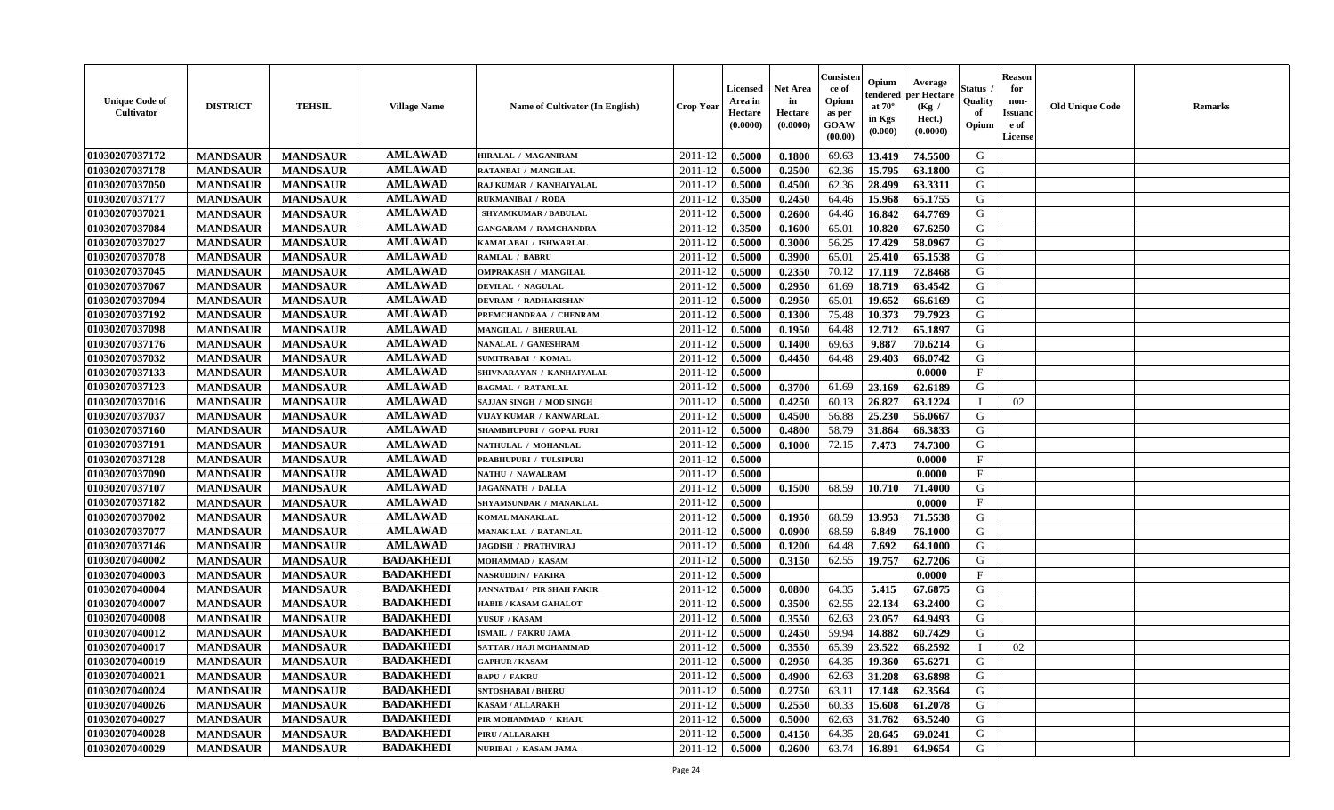| <b>Unique Code of</b><br><b>Cultivator</b> | <b>DISTRICT</b> | <b>TEHSIL</b>   | <b>Village Name</b> | <b>Name of Cultivator (In English)</b> | <b>Crop Year</b> | <b>Licensed</b><br>Area in<br>Hectare<br>(0.0000) | <b>Net Area</b><br>in<br>Hectare<br>(0.0000) | Consister<br>ce of<br>Opium<br>as per<br><b>GOAW</b><br>(00.00) | Opium<br>endered<br>at $70^{\circ}$<br>in Kgs<br>$(\mathbf{0.000})$ | Average<br>per Hectare<br>(Kg /<br>Hect.)<br>(0.0000) | <b>Status</b><br>Quality<br>of<br>Opium | <b>Reason</b><br>for<br>non-<br><b>Issuanc</b><br>e of<br>License | <b>Old Unique Code</b> | <b>Remarks</b> |
|--------------------------------------------|-----------------|-----------------|---------------------|----------------------------------------|------------------|---------------------------------------------------|----------------------------------------------|-----------------------------------------------------------------|---------------------------------------------------------------------|-------------------------------------------------------|-----------------------------------------|-------------------------------------------------------------------|------------------------|----------------|
| 01030207037172                             | <b>MANDSAUR</b> | <b>MANDSAUR</b> | <b>AMLAWAD</b>      | HIRALAL / MAGANIRAM                    | 2011-12          | 0.5000                                            | 0.1800                                       | 69.63                                                           | 13.419                                                              | 74.5500                                               | G                                       |                                                                   |                        |                |
| 01030207037178                             | <b>MANDSAUR</b> | <b>MANDSAUR</b> | <b>AMLAWAD</b>      | RATANBAI / MANGILAL                    | 2011-12          | 0.5000                                            | 0.2500                                       | 62.36                                                           | 15.795                                                              | 63.1800                                               | G                                       |                                                                   |                        |                |
| 01030207037050                             | <b>MANDSAUR</b> | <b>MANDSAUR</b> | <b>AMLAWAD</b>      | RAJ KUMAR / KANHAIYALAL                | 2011-12          | 0.5000                                            | 0.4500                                       | 62.36                                                           | 28.499                                                              | 63.3311                                               | G                                       |                                                                   |                        |                |
| 01030207037177                             | <b>MANDSAUR</b> | <b>MANDSAUR</b> | <b>AMLAWAD</b>      | <b>RUKMANIBAI / RODA</b>               | 2011-12          | 0.3500                                            | 0.2450                                       | 64.46                                                           | 15.968                                                              | 65.1755                                               | G                                       |                                                                   |                        |                |
| 01030207037021                             | <b>MANDSAUR</b> | <b>MANDSAUR</b> | <b>AMLAWAD</b>      | <b>SHYAMKUMAR / BABULAL</b>            | 2011-12          | 0.5000                                            | 0.2600                                       | 64.46                                                           | 16.842                                                              | 64.7769                                               | G                                       |                                                                   |                        |                |
| 01030207037084                             | <b>MANDSAUR</b> | <b>MANDSAUR</b> | <b>AMLAWAD</b>      | <b>GANGARAM / RAMCHANDRA</b>           | 2011-12          | 0.3500                                            | 0.1600                                       | 65.01                                                           | 10.820                                                              | 67.6250                                               | G                                       |                                                                   |                        |                |
| 01030207037027                             | <b>MANDSAUR</b> | <b>MANDSAUR</b> | <b>AMLAWAD</b>      | KAMALABAI / ISHWARLAL                  | 2011-12          | 0.5000                                            | 0.3000                                       | 56.25                                                           | 17.429                                                              | 58.0967                                               | G                                       |                                                                   |                        |                |
| 01030207037078                             | <b>MANDSAUR</b> | <b>MANDSAUR</b> | <b>AMLAWAD</b>      | RAMLAL / BABRU                         | 2011-12          | 0.5000                                            | 0.3900                                       | 65.01                                                           | 25.410                                                              | 65.1538                                               | G                                       |                                                                   |                        |                |
| 01030207037045                             | <b>MANDSAUR</b> | <b>MANDSAUR</b> | <b>AMLAWAD</b>      | <b>OMPRAKASH / MANGILAL</b>            | 2011-12          | 0.5000                                            | 0.2350                                       | 70.12                                                           | 17.119                                                              | 72.8468                                               | G                                       |                                                                   |                        |                |
| 01030207037067                             | <b>MANDSAUR</b> | <b>MANDSAUR</b> | <b>AMLAWAD</b>      | DEVILAL / NAGULAL                      | 2011-12          | 0.5000                                            | 0.2950                                       | 61.69                                                           | 18.719                                                              | 63.4542                                               | G                                       |                                                                   |                        |                |
| 01030207037094                             | <b>MANDSAUR</b> | <b>MANDSAUR</b> | <b>AMLAWAD</b>      | <b>DEVRAM / RADHAKISHAN</b>            | 2011-12          | 0.5000                                            | 0.2950                                       | 65.01                                                           | 19.652                                                              | 66.6169                                               | G                                       |                                                                   |                        |                |
| 01030207037192                             | <b>MANDSAUR</b> | <b>MANDSAUR</b> | <b>AMLAWAD</b>      | PREMCHANDRAA / CHENRAM                 | 2011-12          | 0.5000                                            | 0.1300                                       | 75.48                                                           | 10.373                                                              | 79.7923                                               | G                                       |                                                                   |                        |                |
| 01030207037098                             | <b>MANDSAUR</b> | <b>MANDSAUR</b> | <b>AMLAWAD</b>      | <b>MANGILAL / BHERULAL</b>             | 2011-12          | 0.5000                                            | 0.1950                                       | 64.48                                                           | 12.712                                                              | 65.1897                                               | G                                       |                                                                   |                        |                |
| 01030207037176                             | <b>MANDSAUR</b> | <b>MANDSAUR</b> | <b>AMLAWAD</b>      | <b>NANALAL / GANESHRAM</b>             | 2011-12          | 0.5000                                            | 0.1400                                       | 69.63                                                           | 9.887                                                               | 70.6214                                               | G                                       |                                                                   |                        |                |
| 01030207037032                             | <b>MANDSAUR</b> | <b>MANDSAUR</b> | <b>AMLAWAD</b>      | <b>SUMITRABAI / KOMAL</b>              | 2011-12          | 0.5000                                            | 0.4450                                       | 64.48                                                           | 29.403                                                              | 66.0742                                               | G                                       |                                                                   |                        |                |
| 01030207037133                             | <b>MANDSAUR</b> | <b>MANDSAUR</b> | <b>AMLAWAD</b>      | SHIVNARAYAN / KANHAIYALAL              | 2011-12          | 0.5000                                            |                                              |                                                                 |                                                                     | 0.0000                                                | $_{\rm F}$                              |                                                                   |                        |                |
| 01030207037123                             | <b>MANDSAUR</b> | <b>MANDSAUR</b> | <b>AMLAWAD</b>      | <b>BAGMAL / RATANLAL</b>               | 2011-12          | 0.5000                                            | 0.3700                                       | 61.69                                                           | 23.169                                                              | 62.6189                                               | G                                       |                                                                   |                        |                |
| 01030207037016                             | <b>MANDSAUR</b> | <b>MANDSAUR</b> | <b>AMLAWAD</b>      | <b>SAJJAN SINGH / MOD SINGH</b>        | 2011-12          | 0.5000                                            | 0.4250                                       | 60.13                                                           | 26.827                                                              | 63.1224                                               |                                         | 02                                                                |                        |                |
| 01030207037037                             | <b>MANDSAUR</b> | <b>MANDSAUR</b> | <b>AMLAWAD</b>      | VIJAY KUMAR / KANWARLAL                | 2011-12          | 0.5000                                            | 0.4500                                       | 56.88                                                           | 25.230                                                              | 56.0667                                               | G                                       |                                                                   |                        |                |
| 01030207037160                             | <b>MANDSAUR</b> | <b>MANDSAUR</b> | <b>AMLAWAD</b>      | SHAMBHUPURI / GOPAL PURI               | 2011-12          | 0.5000                                            | 0.4800                                       | 58.79                                                           | 31.864                                                              | 66.3833                                               | G                                       |                                                                   |                        |                |
| 01030207037191                             | <b>MANDSAUR</b> | <b>MANDSAUR</b> | <b>AMLAWAD</b>      | NATHULAL / MOHANLAL                    | 2011-12          | 0.5000                                            | 0.1000                                       | 72.15                                                           | 7.473                                                               | 74.7300                                               | G                                       |                                                                   |                        |                |
| 01030207037128                             | <b>MANDSAUR</b> | <b>MANDSAUR</b> | <b>AMLAWAD</b>      | PRABHUPURI / TULSIPURI                 | 2011-12          | 0.5000                                            |                                              |                                                                 |                                                                     | 0.0000                                                | $\mathbf{F}$                            |                                                                   |                        |                |
| 01030207037090                             | <b>MANDSAUR</b> | <b>MANDSAUR</b> | <b>AMLAWAD</b>      | NATHU / NAWALRAM                       | 2011-12          | 0.5000                                            |                                              |                                                                 |                                                                     | 0.0000                                                | $\mathbf F$                             |                                                                   |                        |                |
| 01030207037107                             | <b>MANDSAUR</b> | <b>MANDSAUR</b> | <b>AMLAWAD</b>      | <b>JAGANNATH / DALLA</b>               | 2011-12          | 0.5000                                            | 0.1500                                       | 68.59                                                           | 10.710                                                              | 71.4000                                               | G                                       |                                                                   |                        |                |
| 01030207037182                             | <b>MANDSAUR</b> | <b>MANDSAUR</b> | <b>AMLAWAD</b>      | SHYAMSUNDAR / MANAKLAL                 | 2011-12          | 0.5000                                            |                                              |                                                                 |                                                                     | 0.0000                                                | $\mathbf F$                             |                                                                   |                        |                |
| 01030207037002                             | <b>MANDSAUR</b> | <b>MANDSAUR</b> | <b>AMLAWAD</b>      | <b>KOMAL MANAKLAL</b>                  | 2011-12          | 0.5000                                            | 0.1950                                       | 68.59                                                           | 13.953                                                              | 71.5538                                               | G                                       |                                                                   |                        |                |
| 01030207037077                             | <b>MANDSAUR</b> | <b>MANDSAUR</b> | <b>AMLAWAD</b>      | MANAK LAL / RATANLAL                   | 2011-12          | 0.5000                                            | 0.0900                                       | 68.59                                                           | 6.849                                                               | 76.1000                                               | G                                       |                                                                   |                        |                |
| 01030207037146                             | <b>MANDSAUR</b> | <b>MANDSAUR</b> | <b>AMLAWAD</b>      | <b>JAGDISH / PRATHVIRAJ</b>            | 2011-12          | 0.5000                                            | 0.1200                                       | 64.48                                                           | 7.692                                                               | 64.1000                                               | G                                       |                                                                   |                        |                |
| 01030207040002                             | <b>MANDSAUR</b> | <b>MANDSAUR</b> | <b>BADAKHEDI</b>    | MOHAMMAD / KASAM                       | 2011-12          | 0.5000                                            | 0.3150                                       | 62.55                                                           | 19.757                                                              | 62.7206                                               | G                                       |                                                                   |                        |                |
| 01030207040003                             | <b>MANDSAUR</b> | <b>MANDSAUR</b> | <b>BADAKHEDI</b>    | NASRUDDIN / FAKIRA                     | 2011-12          | 0.5000                                            |                                              |                                                                 |                                                                     | 0.0000                                                | $\mathbf{F}$                            |                                                                   |                        |                |
| 01030207040004                             | <b>MANDSAUR</b> | <b>MANDSAUR</b> | <b>BADAKHEDI</b>    | <b>JANNATBAI / PIR SHAH FAKIR</b>      | 2011-12          | 0.5000                                            | 0.0800                                       | 64.35                                                           | 5.415                                                               | 67.6875                                               | G                                       |                                                                   |                        |                |
| 01030207040007                             | <b>MANDSAUR</b> | <b>MANDSAUR</b> | <b>BADAKHEDI</b>    | <b>HABIB / KASAM GAHALOT</b>           | 2011-12          | 0.5000                                            | 0.3500                                       | 62.55                                                           | 22.134                                                              | 63.2400                                               | G                                       |                                                                   |                        |                |
| 01030207040008                             | <b>MANDSAUR</b> | <b>MANDSAUR</b> | <b>BADAKHEDI</b>    | YUSUF / KASAM                          | 2011-12          | 0.5000                                            | 0.3550                                       | 62.63                                                           | 23.057                                                              | 64.9493                                               | G                                       |                                                                   |                        |                |
| 01030207040012                             | <b>MANDSAUR</b> | <b>MANDSAUR</b> | <b>BADAKHEDI</b>    | ISMAIL / FAKRU JAMA                    | 2011-12          | 0.5000                                            | 0.2450                                       | 59.94                                                           | 14.882                                                              | 60.7429                                               | G                                       |                                                                   |                        |                |
| 01030207040017                             | <b>MANDSAUR</b> | <b>MANDSAUR</b> | <b>BADAKHEDI</b>    | SATTAR / HAJI MOHAMMAD                 | 2011-12          | 0.5000                                            | 0.3550                                       | 65.39                                                           | 23.522                                                              | 66.2592                                               |                                         | 02                                                                |                        |                |
| 01030207040019                             | <b>MANDSAUR</b> | MANDSAUR        | <b>BADAKHEDI</b>    | <b>GAPHUR / KASAM</b>                  | $2011-12$ 0.5000 |                                                   | 0.2950                                       |                                                                 |                                                                     | 64.35   19.360   65.6271                              | G                                       |                                                                   |                        |                |
| 01030207040021                             | <b>MANDSAUR</b> | <b>MANDSAUR</b> | <b>BADAKHEDI</b>    | <b>BAPU / FAKRU</b>                    | 2011-12          | 0.5000                                            | 0.4900                                       | 62.63                                                           | 31.208                                                              | 63.6898                                               | G                                       |                                                                   |                        |                |
| 01030207040024                             | <b>MANDSAUR</b> | <b>MANDSAUR</b> | <b>BADAKHEDI</b>    | <b>SNTOSHABAI / BHERU</b>              | 2011-12          | 0.5000                                            | 0.2750                                       | 63.11                                                           | 17.148                                                              | 62.3564                                               | G                                       |                                                                   |                        |                |
| 01030207040026                             | <b>MANDSAUR</b> | <b>MANDSAUR</b> | <b>BADAKHEDI</b>    | <b>KASAM / ALLARAKH</b>                | 2011-12          | 0.5000                                            | 0.2550                                       | 60.33                                                           | 15.608                                                              | 61.2078                                               | G                                       |                                                                   |                        |                |
| 01030207040027                             | <b>MANDSAUR</b> | <b>MANDSAUR</b> | <b>BADAKHEDI</b>    | PIR MOHAMMAD / KHAJU                   | 2011-12          | 0.5000                                            | 0.5000                                       | 62.63                                                           | 31.762                                                              | 63.5240                                               | G                                       |                                                                   |                        |                |
| 01030207040028                             | <b>MANDSAUR</b> | <b>MANDSAUR</b> | <b>BADAKHEDI</b>    | PIRU / ALLARAKH                        | 2011-12          | 0.5000                                            | 0.4150                                       | 64.35                                                           | 28.645                                                              | 69.0241                                               | G                                       |                                                                   |                        |                |
| 01030207040029                             | <b>MANDSAUR</b> | <b>MANDSAUR</b> | <b>BADAKHEDI</b>    | NURIBAI / KASAM JAMA                   | 2011-12          | 0.5000                                            | 0.2600                                       | 63.74                                                           | 16.891                                                              | 64.9654                                               | G                                       |                                                                   |                        |                |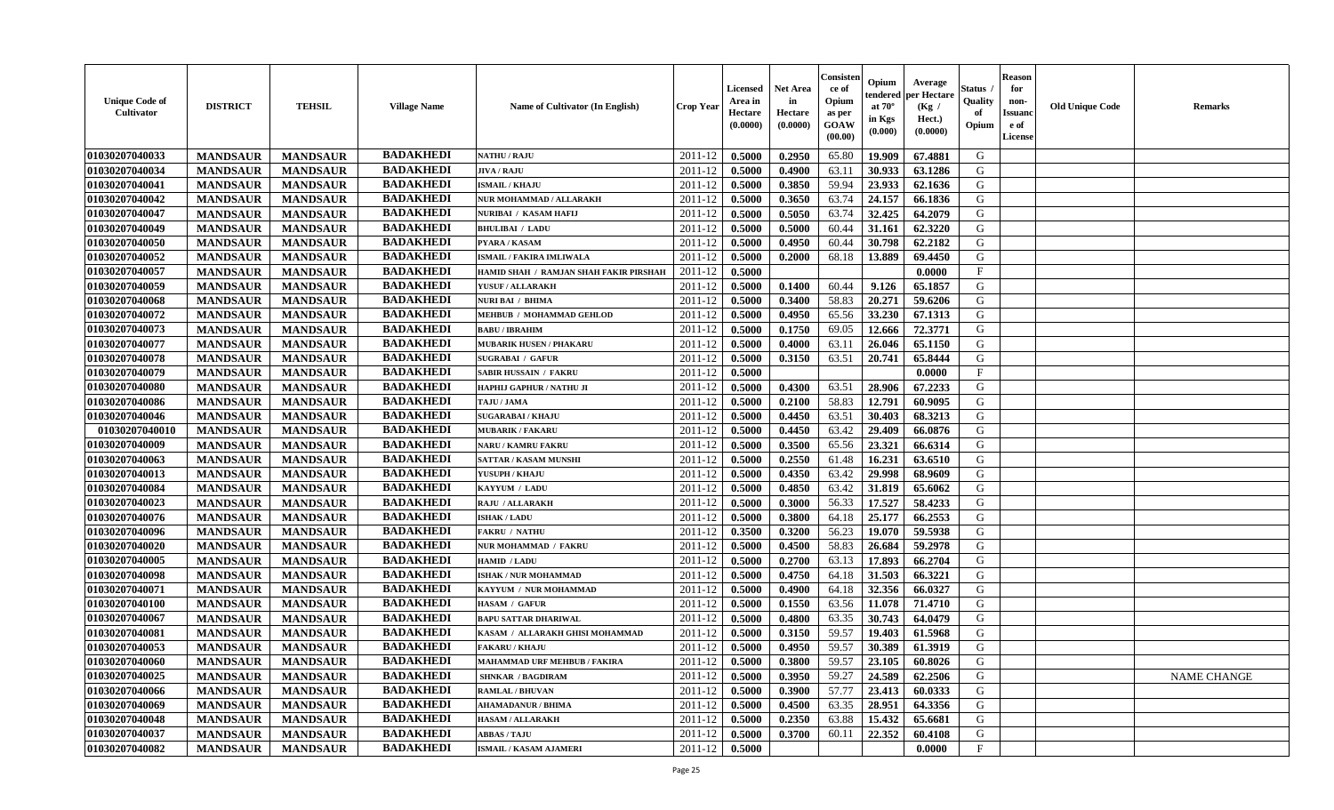| <b>Unique Code of</b><br>Cultivator | <b>DISTRICT</b> | <b>TEHSIL</b>   | <b>Village Name</b> | <b>Name of Cultivator (In English)</b> | <b>Crop Year</b> | <b>Licensed</b><br>Area in<br>Hectare<br>(0.0000) | <b>Net Area</b><br>in<br>Hectare<br>(0.0000) | Consisten<br>ce of<br>Opium<br>as per<br><b>GOAW</b><br>(00.00) | Opium<br>tendered<br>at $70^\circ$<br>in Kgs<br>$(\mathbf{0.000})$ | Average<br>per Hectare<br>(Kg /<br>Hect.)<br>(0.0000) | Status .<br>Quality<br>of<br>Opium | <b>Reason</b><br>for<br>non-<br><b>Issuanc</b><br>e of<br>License | <b>Old Unique Code</b> | <b>Remarks</b> |
|-------------------------------------|-----------------|-----------------|---------------------|----------------------------------------|------------------|---------------------------------------------------|----------------------------------------------|-----------------------------------------------------------------|--------------------------------------------------------------------|-------------------------------------------------------|------------------------------------|-------------------------------------------------------------------|------------------------|----------------|
| 01030207040033                      | <b>MANDSAUR</b> | <b>MANDSAUR</b> | <b>BADAKHEDI</b>    | <b>NATHU / RAJU</b>                    | 2011-12          | 0.5000                                            | 0.2950                                       | 65.80                                                           | 19.909                                                             | 67.4881                                               | G                                  |                                                                   |                        |                |
| 01030207040034                      | <b>MANDSAUR</b> | <b>MANDSAUR</b> | <b>BADAKHEDI</b>    | <b>JIVA / RAJU</b>                     | 2011-12          | 0.5000                                            | 0.4900                                       | 63.11                                                           | 30.933                                                             | 63.1286                                               | G                                  |                                                                   |                        |                |
| 01030207040041                      | <b>MANDSAUR</b> | <b>MANDSAUR</b> | <b>BADAKHEDI</b>    | <b>ISMAIL / KHAJU</b>                  | 2011-12          | 0.5000                                            | 0.3850                                       | 59.94                                                           | 23.933                                                             | 62.1636                                               | G                                  |                                                                   |                        |                |
| 01030207040042                      | <b>MANDSAUR</b> | <b>MANDSAUR</b> | <b>BADAKHEDI</b>    | NUR MOHAMMAD / ALLARAKH                | 2011-12          | 0.5000                                            | 0.3650                                       | 63.74                                                           | 24.157                                                             | 66.1836                                               | G                                  |                                                                   |                        |                |
| 01030207040047                      | <b>MANDSAUR</b> | <b>MANDSAUR</b> | <b>BADAKHEDI</b>    | NURIBAI / KASAM HAFIJ                  | 2011-12          | 0.5000                                            | 0.5050                                       | 63.74                                                           | 32.425                                                             | 64.2079                                               | G                                  |                                                                   |                        |                |
| 01030207040049                      | <b>MANDSAUR</b> | <b>MANDSAUR</b> | <b>BADAKHEDI</b>    | <b>BHULIBAI / LADU</b>                 | 2011-12          | 0.5000                                            | 0.5000                                       | 60.44                                                           | 31.161                                                             | 62.3220                                               | G                                  |                                                                   |                        |                |
| 01030207040050                      | <b>MANDSAUR</b> | <b>MANDSAUR</b> | <b>BADAKHEDI</b>    | PYARA / KASAM                          | 2011-12          | 0.5000                                            | 0.4950                                       | 60.44                                                           | 30.798                                                             | 62.2182                                               | G                                  |                                                                   |                        |                |
| 01030207040052                      | <b>MANDSAUR</b> | <b>MANDSAUR</b> | <b>BADAKHEDI</b>    | <b>ISMAIL / FAKIRA IMLIWALA</b>        | 2011-12          | 0.5000                                            | 0.2000                                       | 68.18                                                           | 13.889                                                             | 69.4450                                               | G                                  |                                                                   |                        |                |
| 01030207040057                      | <b>MANDSAUR</b> | <b>MANDSAUR</b> | <b>BADAKHEDI</b>    | HAMID SHAH / RAMJAN SHAH FAKIR PIRSHAH | 2011-12          | 0.5000                                            |                                              |                                                                 |                                                                    | 0.0000                                                | $_{\rm F}$                         |                                                                   |                        |                |
| 01030207040059                      | <b>MANDSAUR</b> | <b>MANDSAUR</b> | <b>BADAKHEDI</b>    | YUSUF / ALLARAKH                       | 2011-12          | 0.5000                                            | 0.1400                                       | 60.44                                                           | 9.126                                                              | 65.1857                                               | G                                  |                                                                   |                        |                |
| 01030207040068                      | <b>MANDSAUR</b> | <b>MANDSAUR</b> | <b>BADAKHEDI</b>    | NURI BAI / BHIMA                       | 2011-12          | 0.5000                                            | 0.3400                                       | 58.83                                                           | 20.271                                                             | 59.6206                                               | G                                  |                                                                   |                        |                |
| 01030207040072                      | <b>MANDSAUR</b> | <b>MANDSAUR</b> | <b>BADAKHEDI</b>    | MEHBUB / MOHAMMAD GEHLOD               | 2011-12          | 0.5000                                            | 0.4950                                       | 65.56                                                           | 33.230                                                             | 67.1313                                               | G                                  |                                                                   |                        |                |
| 01030207040073                      | <b>MANDSAUR</b> | <b>MANDSAUR</b> | <b>BADAKHEDI</b>    | <b>BABU / IBRAHIM</b>                  | 2011-12          | 0.5000                                            | 0.1750                                       | 69.05                                                           | 12.666                                                             | 72.3771                                               | G                                  |                                                                   |                        |                |
| 01030207040077                      | <b>MANDSAUR</b> | <b>MANDSAUR</b> | <b>BADAKHEDI</b>    | <b>MUBARIK HUSEN / PHAKARU</b>         | 2011-12          | 0.5000                                            | 0.4000                                       | 63.11                                                           | 26.046                                                             | 65.1150                                               | G                                  |                                                                   |                        |                |
| 01030207040078                      | <b>MANDSAUR</b> | <b>MANDSAUR</b> | <b>BADAKHEDI</b>    | <b>SUGRABAI / GAFUR</b>                | 2011-12          | 0.5000                                            | 0.3150                                       | 63.51                                                           | 20.741                                                             | 65.8444                                               | G                                  |                                                                   |                        |                |
| 01030207040079                      | <b>MANDSAUR</b> | <b>MANDSAUR</b> | <b>BADAKHEDI</b>    | SABIR HUSSAIN / FAKRU                  | 2011-12          | 0.5000                                            |                                              |                                                                 |                                                                    | 0.0000                                                | F                                  |                                                                   |                        |                |
| 01030207040080                      | <b>MANDSAUR</b> | <b>MANDSAUR</b> | <b>BADAKHEDI</b>    | HAPHIJ GAPHUR / NATHU JI               | 2011-12          | 0.5000                                            | 0.4300                                       | 63.51                                                           | 28.906                                                             | 67.2233                                               | G                                  |                                                                   |                        |                |
| 01030207040086                      | <b>MANDSAUR</b> | <b>MANDSAUR</b> | <b>BADAKHEDI</b>    | TAJU / JAMA                            | 2011-12          | 0.5000                                            | 0.2100                                       | 58.83                                                           | 12.791                                                             | 60.9095                                               | G                                  |                                                                   |                        |                |
| 01030207040046                      | <b>MANDSAUR</b> | <b>MANDSAUR</b> | <b>BADAKHEDI</b>    | <b>SUGARABAI / KHAJU</b>               | 2011-12          | 0.5000                                            | 0.4450                                       | 63.51                                                           | 30.403                                                             | 68.3213                                               | G                                  |                                                                   |                        |                |
| 01030207040010                      | <b>MANDSAUR</b> | <b>MANDSAUR</b> | <b>BADAKHEDI</b>    | <b>MUBARIK / FAKARU</b>                | 2011-12          | 0.5000                                            | 0.4450                                       | 63.42                                                           | 29.409                                                             | 66.0876                                               | G                                  |                                                                   |                        |                |
| 01030207040009                      | <b>MANDSAUR</b> | <b>MANDSAUR</b> | <b>BADAKHEDI</b>    | <b>NARU / KAMRU FAKRU</b>              | 2011-12          | 0.5000                                            | 0.3500                                       | 65.56                                                           | 23.321                                                             | 66.6314                                               | G                                  |                                                                   |                        |                |
| 01030207040063                      | <b>MANDSAUR</b> | <b>MANDSAUR</b> | <b>BADAKHEDI</b>    | SATTAR / KASAM MUNSHI                  | 2011-12          | 0.5000                                            | 0.2550                                       | 61.48                                                           | 16.231                                                             | 63.6510                                               | G                                  |                                                                   |                        |                |
| 01030207040013                      | <b>MANDSAUR</b> | <b>MANDSAUR</b> | <b>BADAKHEDI</b>    | YUSUPH / KHAJU                         | 2011-12          | 0.5000                                            | 0.4350                                       | 63.42                                                           | 29.998                                                             | 68.9609                                               | G                                  |                                                                   |                        |                |
| 01030207040084                      | <b>MANDSAUR</b> | <b>MANDSAUR</b> | <b>BADAKHEDI</b>    | KAYYUM / LADU                          | 2011-12          | 0.5000                                            | 0.4850                                       | 63.42                                                           | 31.819                                                             | 65.6062                                               | G                                  |                                                                   |                        |                |
| 01030207040023                      | <b>MANDSAUR</b> | <b>MANDSAUR</b> | <b>BADAKHEDI</b>    | <b>RAJU / ALLARAKH</b>                 | 2011-12          | 0.5000                                            | 0.3000                                       | 56.33                                                           | 17.527                                                             | 58.4233                                               | G                                  |                                                                   |                        |                |
| 01030207040076                      | <b>MANDSAUR</b> | <b>MANDSAUR</b> | <b>BADAKHEDI</b>    | <b>ISHAK / LADU</b>                    | 2011-12          | 0.5000                                            | 0.3800                                       | 64.18                                                           | 25.177                                                             | 66.2553                                               | G                                  |                                                                   |                        |                |
| 01030207040096                      | <b>MANDSAUR</b> | <b>MANDSAUR</b> | <b>BADAKHEDI</b>    | <b>FAKRU / NATHU</b>                   | 2011-12          | 0.3500                                            | 0.3200                                       | 56.23                                                           | 19.070                                                             | 59.5938                                               | G                                  |                                                                   |                        |                |
| 01030207040020                      | <b>MANDSAUR</b> | <b>MANDSAUR</b> | <b>BADAKHEDI</b>    | NUR MOHAMMAD / FAKRU                   | 2011-12          | 0.5000                                            | 0.4500                                       | 58.83                                                           | 26.684                                                             | 59.2978                                               | G                                  |                                                                   |                        |                |
| 01030207040005                      | <b>MANDSAUR</b> | <b>MANDSAUR</b> | <b>BADAKHEDI</b>    | HAMID / LADU                           | 2011-12          | 0.5000                                            | 0.2700                                       | 63.13                                                           | 17.893                                                             | 66.2704                                               | G                                  |                                                                   |                        |                |
| 01030207040098                      | <b>MANDSAUR</b> | <b>MANDSAUR</b> | <b>BADAKHEDI</b>    | <b>ISHAK / NUR MOHAMMAD</b>            | 2011-12          | 0.5000                                            | 0.4750                                       | 64.18                                                           | 31.503                                                             | 66.3221                                               | G                                  |                                                                   |                        |                |
| 01030207040071                      | <b>MANDSAUR</b> | <b>MANDSAUR</b> | <b>BADAKHEDI</b>    | KAYYUM / NUR MOHAMMAD                  | 2011-12          | 0.5000                                            | 0.4900                                       | 64.18                                                           | 32.356                                                             | 66.0327                                               | G                                  |                                                                   |                        |                |
| 01030207040100                      | <b>MANDSAUR</b> | <b>MANDSAUR</b> | <b>BADAKHEDI</b>    | HASAM / GAFUR                          | 2011-12          | 0.5000                                            | 0.1550                                       | 63.56                                                           | 11.078                                                             | 71.4710                                               | G                                  |                                                                   |                        |                |
| 01030207040067                      | <b>MANDSAUR</b> | <b>MANDSAUR</b> | <b>BADAKHEDI</b>    | <b>BAPU SATTAR DHARIWAL</b>            | 2011-12          | 0.5000                                            | 0.4800                                       | 63.35                                                           | 30.743                                                             | 64.0479                                               | G                                  |                                                                   |                        |                |
| 01030207040081                      | <b>MANDSAUR</b> | <b>MANDSAUR</b> | <b>BADAKHEDI</b>    | KASAM / ALLARAKH GHISI MOHAMMAD        | 2011-12          | 0.5000                                            | 0.3150                                       | 59.57                                                           | 19.403                                                             | 61.5968                                               | G                                  |                                                                   |                        |                |
| 01030207040053                      | <b>MANDSAUR</b> | <b>MANDSAUR</b> | <b>BADAKHEDI</b>    | <b>FAKARU / KHAJU</b>                  | 2011-12          | 0.5000                                            | 0.4950                                       | 59.57                                                           | 30.389                                                             | 61.3919                                               | G                                  |                                                                   |                        |                |
| 01030207040060                      | <b>MANDSAUR</b> | <b>MANDSAUR</b> | <b>BADAKHEDI</b>    | <b>MAHAMMAD URF MEHBUB / FAKIRA</b>    | $2011-12$ 0.5000 |                                                   | 0.3800                                       | 59.57                                                           | 23.105                                                             | 60.8026                                               | G                                  |                                                                   |                        |                |
| 01030207040025                      | <b>MANDSAUR</b> | <b>MANDSAUR</b> | <b>BADAKHEDI</b>    | <b>SHNKAR / BAGDIRAM</b>               | 2011-12          | 0.5000                                            | 0.3950                                       | 59.27                                                           | 24.589                                                             | 62.2506                                               | G                                  |                                                                   |                        | NAME CHANGE    |
| 01030207040066                      | <b>MANDSAUR</b> | <b>MANDSAUR</b> | <b>BADAKHEDI</b>    | <b>RAMLAL / BHUVAN</b>                 | 2011-12          | 0.5000                                            | 0.3900                                       | 57.77                                                           | 23.413                                                             | 60.0333                                               | G                                  |                                                                   |                        |                |
| 01030207040069                      | <b>MANDSAUR</b> | <b>MANDSAUR</b> | <b>BADAKHEDI</b>    | <b>AHAMADANUR / BHIMA</b>              | 2011-12          | 0.5000                                            | 0.4500                                       | 63.35                                                           | 28.951                                                             | 64.3356                                               | G                                  |                                                                   |                        |                |
| 01030207040048                      | <b>MANDSAUR</b> | <b>MANDSAUR</b> | <b>BADAKHEDI</b>    | <b>HASAM / ALLARAKH</b>                | 2011-12          | 0.5000                                            | 0.2350                                       | 63.88                                                           | 15.432                                                             | 65.6681                                               | G                                  |                                                                   |                        |                |
| 01030207040037                      | <b>MANDSAUR</b> | <b>MANDSAUR</b> | <b>BADAKHEDI</b>    | <b>ABBAS / TAJU</b>                    | 2011-12          | 0.5000                                            | 0.3700                                       | 60.11                                                           | 22.352                                                             | 60.4108                                               | G                                  |                                                                   |                        |                |
| 01030207040082                      | <b>MANDSAUR</b> | <b>MANDSAUR</b> | <b>BADAKHEDI</b>    | ISMAIL / KASAM AJAMERI                 | $2011 - 12$      | 0.5000                                            |                                              |                                                                 |                                                                    | 0.0000                                                | $\mathbf{F}$                       |                                                                   |                        |                |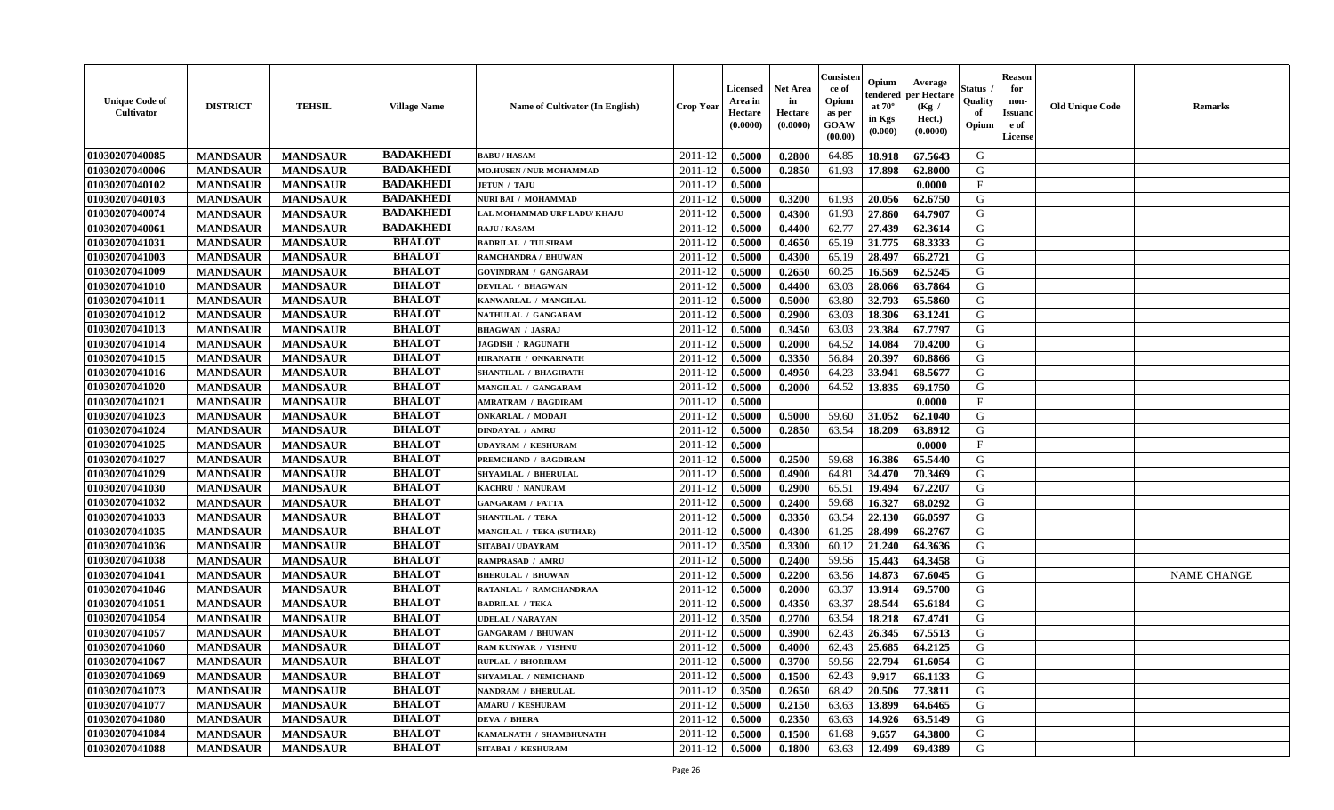| <b>Unique Code of</b><br><b>Cultivator</b> | <b>DISTRICT</b> | <b>TEHSIL</b>   | <b>Village Name</b> | <b>Name of Cultivator (In English)</b> | <b>Crop Year</b> | <b>Licensed</b><br>Area in<br>Hectare<br>(0.0000) | Net Area<br>in<br>Hectare<br>(0.0000) | Consisteı<br>ce of<br>Opium<br>as per<br>GOAW<br>(00.00) | Opium<br>endered<br>at $70^\circ$<br>in Kgs<br>(0.000) | Average<br>per Hectare<br>(Kg /<br>Hect.)<br>(0.0000) | Status<br>Quality<br>of<br>Opium | <b>Reason</b><br>for<br>non-<br><b>Issuand</b><br>e of<br>License | <b>Old Unique Code</b> | Remarks            |
|--------------------------------------------|-----------------|-----------------|---------------------|----------------------------------------|------------------|---------------------------------------------------|---------------------------------------|----------------------------------------------------------|--------------------------------------------------------|-------------------------------------------------------|----------------------------------|-------------------------------------------------------------------|------------------------|--------------------|
| 01030207040085                             | <b>MANDSAUR</b> | <b>MANDSAUR</b> | <b>BADAKHEDI</b>    | <b>BABU/HASAM</b>                      | 2011-12          | 0.5000                                            | 0.2800                                | 64.85                                                    | 18.918                                                 | 67.5643                                               | G                                |                                                                   |                        |                    |
| 01030207040006                             | <b>MANDSAUR</b> | <b>MANDSAUR</b> | <b>BADAKHEDI</b>    | <b>MO.HUSEN / NUR MOHAMMAD</b>         | 2011-12          | 0.5000                                            | 0.2850                                | 61.93                                                    | 17.898                                                 | 62.8000                                               | G                                |                                                                   |                        |                    |
| 01030207040102                             | <b>MANDSAUR</b> | <b>MANDSAUR</b> | <b>BADAKHEDI</b>    | <b>JETUN / TAJU</b>                    | 2011-12          | 0.5000                                            |                                       |                                                          |                                                        | 0.0000                                                | $\mathbf{F}$                     |                                                                   |                        |                    |
| 01030207040103                             | <b>MANDSAUR</b> | <b>MANDSAUR</b> | <b>BADAKHEDI</b>    | NURI BAI / MOHAMMAD                    | 2011-12          | 0.5000                                            | 0.3200                                | 61.93                                                    | 20.056                                                 | 62.6750                                               | G                                |                                                                   |                        |                    |
| 01030207040074                             | <b>MANDSAUR</b> | <b>MANDSAUR</b> | <b>BADAKHEDI</b>    | LAL MOHAMMAD URF LADU/ KHAJU           | 2011-12          | 0.5000                                            | 0.4300                                | 61.93                                                    | 27.860                                                 | 64.7907                                               | G                                |                                                                   |                        |                    |
| 01030207040061                             | <b>MANDSAUR</b> | <b>MANDSAUR</b> | <b>BADAKHEDI</b>    | <b>RAJU / KASAM</b>                    | 2011-12          | 0.5000                                            | 0.4400                                | 62.77                                                    | 27.439                                                 | 62.3614                                               | G                                |                                                                   |                        |                    |
| 01030207041031                             | <b>MANDSAUR</b> | <b>MANDSAUR</b> | <b>BHALOT</b>       | <b>BADRILAL / TULSIRAM</b>             | 2011-12          | 0.5000                                            | 0.4650                                | 65.19                                                    | 31.775                                                 | 68.3333                                               | G                                |                                                                   |                        |                    |
| 01030207041003                             | <b>MANDSAUR</b> | <b>MANDSAUR</b> | <b>BHALOT</b>       | RAMCHANDRA / BHUWAN                    | 2011-12          | 0.5000                                            | 0.4300                                | 65.19                                                    | 28.497                                                 | 66.2721                                               | G                                |                                                                   |                        |                    |
| 01030207041009                             | <b>MANDSAUR</b> | <b>MANDSAUR</b> | <b>BHALOT</b>       | <b>GOVINDRAM / GANGARAM</b>            | 2011-12          | 0.5000                                            | 0.2650                                | 60.25                                                    | 16.569                                                 | 62.5245                                               | G                                |                                                                   |                        |                    |
| 01030207041010                             | <b>MANDSAUR</b> | <b>MANDSAUR</b> | <b>BHALOT</b>       | <b>DEVILAL / BHAGWAN</b>               | 2011-12          | 0.5000                                            | 0.4400                                | 63.03                                                    | 28.066                                                 | 63.7864                                               | G                                |                                                                   |                        |                    |
| 01030207041011                             | <b>MANDSAUR</b> | <b>MANDSAUR</b> | <b>BHALOT</b>       | KANWARLAL / MANGILAL                   | 2011-12          | 0.5000                                            | 0.5000                                | 63.80                                                    | 32.793                                                 | 65.5860                                               | G                                |                                                                   |                        |                    |
| 01030207041012                             | <b>MANDSAUR</b> | <b>MANDSAUR</b> | <b>BHALOT</b>       | NATHULAL / GANGARAM                    | 2011-12          | 0.5000                                            | 0.2900                                | 63.03                                                    | 18.306                                                 | 63.1241                                               | G                                |                                                                   |                        |                    |
| 01030207041013                             | <b>MANDSAUR</b> | <b>MANDSAUR</b> | <b>BHALOT</b>       | <b>BHAGWAN / JASRAJ</b>                | 2011-12          | 0.5000                                            | 0.3450                                | 63.03                                                    | 23.384                                                 | 67.7797                                               | G                                |                                                                   |                        |                    |
| 01030207041014                             | <b>MANDSAUR</b> | <b>MANDSAUR</b> | <b>BHALOT</b>       | <b>JAGDISH / RAGUNATH</b>              | 2011-12          | 0.5000                                            | 0.2000                                | 64.52                                                    | 14.084                                                 | 70.4200                                               | G                                |                                                                   |                        |                    |
| 01030207041015                             | <b>MANDSAUR</b> | <b>MANDSAUR</b> | <b>BHALOT</b>       | HIRANATH / ONKARNATH                   | 2011-12          | 0.5000                                            | 0.3350                                | 56.84                                                    | 20.397                                                 | 60.8866                                               | $\mathbf G$                      |                                                                   |                        |                    |
| 01030207041016                             | <b>MANDSAUR</b> | <b>MANDSAUR</b> | <b>BHALOT</b>       | <b>SHANTILAL / BHAGIRATH</b>           | 2011-12          | 0.5000                                            | 0.4950                                | 64.23                                                    | 33.941                                                 | 68.5677                                               | G                                |                                                                   |                        |                    |
| 01030207041020                             | <b>MANDSAUR</b> | <b>MANDSAUR</b> | <b>BHALOT</b>       | MANGILAL / GANGARAM                    | 2011-12          | 0.5000                                            | 0.2000                                | 64.52                                                    | 13.835                                                 | 69.1750                                               | G                                |                                                                   |                        |                    |
| 01030207041021                             | <b>MANDSAUR</b> | <b>MANDSAUR</b> | <b>BHALOT</b>       | AMRATRAM / BAGDIRAM                    | 2011-12          | 0.5000                                            |                                       |                                                          |                                                        | 0.0000                                                | F                                |                                                                   |                        |                    |
| 01030207041023                             | <b>MANDSAUR</b> | <b>MANDSAUR</b> | <b>BHALOT</b>       | <b>ONKARLAL / MODAJI</b>               | 2011-12          | 0.5000                                            | 0.5000                                | 59.60                                                    | 31.052                                                 | 62.1040                                               | G                                |                                                                   |                        |                    |
| 01030207041024                             | <b>MANDSAUR</b> | <b>MANDSAUR</b> | <b>BHALOT</b>       | <b>DINDAYAL / AMRU</b>                 | 2011-12          | 0.5000                                            | 0.2850                                | 63.54                                                    | 18.209                                                 | 63.8912                                               | G                                |                                                                   |                        |                    |
| 01030207041025                             | <b>MANDSAUR</b> | <b>MANDSAUR</b> | <b>BHALOT</b>       | <b>UDAYRAM / KESHURAM</b>              | 2011-12          | 0.5000                                            |                                       |                                                          |                                                        | 0.0000                                                | $\mathbf{F}$                     |                                                                   |                        |                    |
| 01030207041027                             | <b>MANDSAUR</b> | <b>MANDSAUR</b> | <b>BHALOT</b>       | <b>PREMCHAND / BAGDIRAM</b>            | 2011-12          | 0.5000                                            | 0.2500                                | 59.68                                                    | 16.386                                                 | 65.5440                                               | G                                |                                                                   |                        |                    |
| 01030207041029                             | <b>MANDSAUR</b> | <b>MANDSAUR</b> | <b>BHALOT</b>       | SHYAMLAL / BHERULAL                    | 2011-12          | 0.5000                                            | 0.4900                                | 64.81                                                    | 34.470                                                 | 70.3469                                               | G                                |                                                                   |                        |                    |
| 01030207041030                             | <b>MANDSAUR</b> | <b>MANDSAUR</b> | <b>BHALOT</b>       | KACHRU / NANURAM                       | 2011-12          | 0.5000                                            | 0.2900                                | 65.51                                                    | 19.494                                                 | 67.2207                                               | G                                |                                                                   |                        |                    |
| 01030207041032                             | <b>MANDSAUR</b> | <b>MANDSAUR</b> | <b>BHALOT</b>       | <b>GANGARAM / FATTA</b>                | 2011-12          | 0.5000                                            | 0.2400                                | 59.68                                                    | 16.327                                                 | 68.0292                                               | G                                |                                                                   |                        |                    |
| 01030207041033                             | <b>MANDSAUR</b> | <b>MANDSAUR</b> | <b>BHALOT</b>       | <b>SHANTILAL / TEKA</b>                | 2011-12          | 0.5000                                            | 0.3350                                | 63.54                                                    | 22.130                                                 | 66.0597                                               | G                                |                                                                   |                        |                    |
| 01030207041035                             | <b>MANDSAUR</b> | <b>MANDSAUR</b> | <b>BHALOT</b>       | <b>MANGILAL / TEKA (SUTHAR)</b>        | 2011-12          | 0.5000                                            | 0.4300                                | 61.25                                                    | 28.499                                                 | 66.2767                                               | G                                |                                                                   |                        |                    |
| 01030207041036                             | <b>MANDSAUR</b> | <b>MANDSAUR</b> | <b>BHALOT</b>       | <b>SITABAI/UDAYRAM</b>                 | 2011-12          | 0.3500                                            | 0.3300                                | 60.12                                                    | 21.240                                                 | 64.3636                                               | G                                |                                                                   |                        |                    |
| 01030207041038                             | <b>MANDSAUR</b> | <b>MANDSAUR</b> | <b>BHALOT</b>       | RAMPRASAD / AMRU                       | 2011-12          | 0.5000                                            | 0.2400                                | 59.56                                                    | 15.443                                                 | 64.3458                                               | G                                |                                                                   |                        |                    |
| 01030207041041                             | <b>MANDSAUR</b> | <b>MANDSAUR</b> | <b>BHALOT</b>       | <b>BHERULAL / BHUWAN</b>               | 2011-12          | 0.5000                                            | 0.2200                                | 63.56                                                    | 14.873                                                 | 67.6045                                               | G                                |                                                                   |                        | <b>NAME CHANGE</b> |
| 01030207041046                             | <b>MANDSAUR</b> | <b>MANDSAUR</b> | <b>BHALOT</b>       | RATANLAL / RAMCHANDRAA                 | 2011-12          | 0.5000                                            | 0.2000                                | 63.37                                                    | 13.914                                                 | 69.5700                                               | G                                |                                                                   |                        |                    |
| 01030207041051                             | <b>MANDSAUR</b> | <b>MANDSAUR</b> | <b>BHALOT</b>       | <b>BADRILAL / TEKA</b>                 | 2011-12          | 0.5000                                            | 0.4350                                | 63.37                                                    | 28.544                                                 | 65.6184                                               | G                                |                                                                   |                        |                    |
| 01030207041054                             | <b>MANDSAUR</b> | <b>MANDSAUR</b> | <b>BHALOT</b>       | <b>UDELAL / NARAYAN</b>                | 2011-12          | 0.3500                                            | 0.2700                                | 63.54                                                    | 18.218                                                 | 67.4741                                               | G                                |                                                                   |                        |                    |
| 01030207041057                             | <b>MANDSAUR</b> | <b>MANDSAUR</b> | <b>BHALOT</b>       | <b>GANGARAM / BHUWAN</b>               | 2011-12          | 0.5000                                            | 0.3900                                | 62.43                                                    | 26.345                                                 | 67.5513                                               | G                                |                                                                   |                        |                    |
| 01030207041060                             | <b>MANDSAUR</b> | <b>MANDSAUR</b> | <b>BHALOT</b>       | <b>RAM KUNWAR / VISHNU</b>             | 2011-12          | 0.5000                                            | 0.4000                                | 62.43                                                    | 25.685                                                 | 64.2125                                               | G                                |                                                                   |                        |                    |
| 01030207041067                             | <b>MANDSAUR</b> | <b>MANDSAUR</b> | <b>BHALOT</b>       | RUPLAL / BHORIRAM                      | 2011-12          | 0.5000                                            | 0.3700                                | 59.56                                                    | 22.794                                                 | 61.6054                                               | G                                |                                                                   |                        |                    |
| 01030207041069                             | <b>MANDSAUR</b> | <b>MANDSAUR</b> | <b>BHALOT</b>       | SHYAMLAL / NEMICHAND                   | 2011-12          | 0.5000                                            | 0.1500                                | 62.43                                                    | 9.917                                                  | 66.1133                                               | G                                |                                                                   |                        |                    |
| 01030207041073                             | <b>MANDSAUR</b> | <b>MANDSAUR</b> | <b>BHALOT</b>       | <b>NANDRAM / BHERULAL</b>              | 2011-12          | 0.3500                                            | 0.2650                                | 68.42                                                    | 20.506                                                 | 77.3811                                               | G                                |                                                                   |                        |                    |
| 01030207041077                             | <b>MANDSAUR</b> | <b>MANDSAUR</b> | <b>BHALOT</b>       | <b>AMARU / KESHURAM</b>                | 2011-12          | 0.5000                                            | 0.2150                                | 63.63                                                    | 13.899                                                 | 64.6465                                               | G                                |                                                                   |                        |                    |
| 01030207041080                             | <b>MANDSAUR</b> | <b>MANDSAUR</b> | <b>BHALOT</b>       | <b>DEVA / BHERA</b>                    | 2011-12          | 0.5000                                            | 0.2350                                | 63.63                                                    | 14.926                                                 | 63.5149                                               | ${\bf G}$                        |                                                                   |                        |                    |
| 01030207041084                             | <b>MANDSAUR</b> | <b>MANDSAUR</b> | <b>BHALOT</b>       | KAMALNATH / SHAMBHUNATH                | 2011-12          | 0.5000                                            | 0.1500                                | 61.68                                                    | 9.657                                                  | 64.3800                                               | G                                |                                                                   |                        |                    |
| 01030207041088                             | <b>MANDSAUR</b> | <b>MANDSAUR</b> | <b>BHALOT</b>       | <b>SITABAI / KESHURAM</b>              | 2011-12          | 0.5000                                            | 0.1800                                | 63.63                                                    | 12.499                                                 | 69.4389                                               | G                                |                                                                   |                        |                    |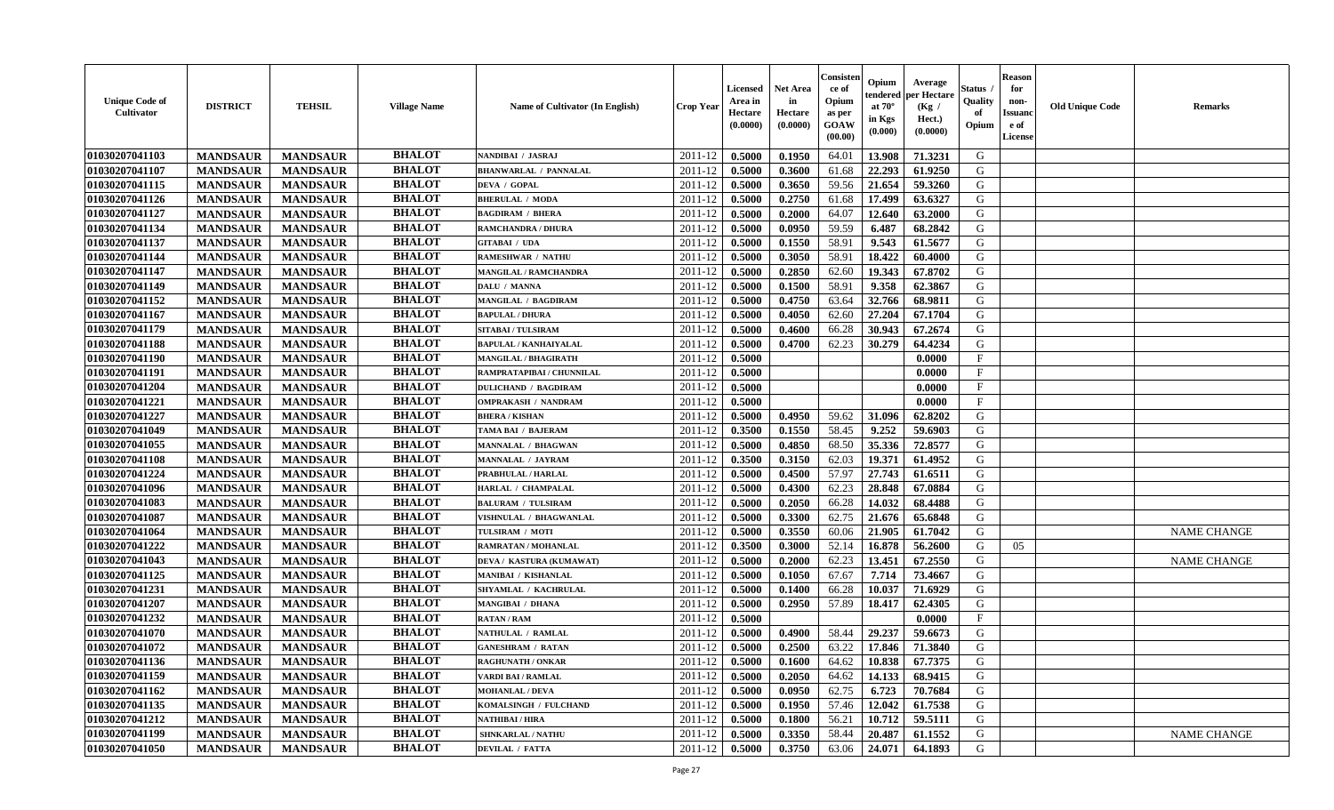| <b>Unique Code of</b><br><b>Cultivator</b> | <b>DISTRICT</b> | <b>TEHSIL</b>   | <b>Village Name</b> | Name of Cultivator (In English) | <b>Crop Year</b> | <b>Licensed</b><br>Area in<br>Hectare<br>(0.0000) | <b>Net Area</b><br>in<br>Hectare<br>(0.0000) | Consister<br>ce of<br>Opium<br>as per<br>GOAW<br>(00.00) | Opium<br>endered<br>at $70^\circ$<br>in Kgs<br>(0.000) | Average<br>per Hectare<br>(Kg /<br>Hect.)<br>(0.0000) | Status<br>Quality<br>of<br>Opium | <b>Reason</b><br>for<br>non-<br><b>Issuand</b><br>e of<br>License | <b>Old Unique Code</b> | <b>Remarks</b>     |
|--------------------------------------------|-----------------|-----------------|---------------------|---------------------------------|------------------|---------------------------------------------------|----------------------------------------------|----------------------------------------------------------|--------------------------------------------------------|-------------------------------------------------------|----------------------------------|-------------------------------------------------------------------|------------------------|--------------------|
| 01030207041103                             | <b>MANDSAUR</b> | <b>MANDSAUR</b> | <b>BHALOT</b>       | NANDIBAI / JASRAJ               | 2011-12          | 0.5000                                            | 0.1950                                       | 64.01                                                    | 13.908                                                 | 71.3231                                               | G                                |                                                                   |                        |                    |
| 01030207041107                             | <b>MANDSAUR</b> | <b>MANDSAUR</b> | <b>BHALOT</b>       | <b>BHANWARLAL / PANNALAL</b>    | 2011-12          | 0.5000                                            | 0.3600                                       | 61.68                                                    | 22.293                                                 | 61.9250                                               | G                                |                                                                   |                        |                    |
| 01030207041115                             | <b>MANDSAUR</b> | <b>MANDSAUR</b> | <b>BHALOT</b>       | DEVA / GOPAL                    | 2011-12          | 0.5000                                            | 0.3650                                       | 59.56                                                    | 21.654                                                 | 59.3260                                               | G                                |                                                                   |                        |                    |
| 01030207041126                             | <b>MANDSAUR</b> | <b>MANDSAUR</b> | <b>BHALOT</b>       | <b>BHERULAL / MODA</b>          | 2011-12          | 0.5000                                            | 0.2750                                       | 61.68                                                    | 17.499                                                 | 63.6327                                               | G                                |                                                                   |                        |                    |
| 01030207041127                             | <b>MANDSAUR</b> | <b>MANDSAUR</b> | <b>BHALOT</b>       | <b>BAGDIRAM / BHERA</b>         | 2011-12          | 0.5000                                            | 0.2000                                       | 64.07                                                    | 12.640                                                 | 63.2000                                               | G                                |                                                                   |                        |                    |
| 01030207041134                             | <b>MANDSAUR</b> | <b>MANDSAUR</b> | <b>BHALOT</b>       | <b>RAMCHANDRA / DHURA</b>       | 2011-12          | 0.5000                                            | 0.0950                                       | 59.59                                                    | 6.487                                                  | 68.2842                                               | G                                |                                                                   |                        |                    |
| 01030207041137                             | <b>MANDSAUR</b> | <b>MANDSAUR</b> | <b>BHALOT</b>       | <b>GITABAI / UDA</b>            | 2011-12          | 0.5000                                            | 0.1550                                       | 58.91                                                    | 9.543                                                  | 61.5677                                               | G                                |                                                                   |                        |                    |
| 01030207041144                             | <b>MANDSAUR</b> | <b>MANDSAUR</b> | <b>BHALOT</b>       | <b>RAMESHWAR / NATHU</b>        | 2011-12          | 0.5000                                            | 0.3050                                       | 58.91                                                    | 18.422                                                 | 60.4000                                               | G                                |                                                                   |                        |                    |
| 01030207041147                             | <b>MANDSAUR</b> | <b>MANDSAUR</b> | <b>BHALOT</b>       | <b>MANGILAL / RAMCHANDRA</b>    | 2011-12          | 0.5000                                            | 0.2850                                       | 62.60                                                    | 19.343                                                 | 67.8702                                               | G                                |                                                                   |                        |                    |
| 01030207041149                             | <b>MANDSAUR</b> | <b>MANDSAUR</b> | <b>BHALOT</b>       | DALU / MANNA                    | 2011-12          | 0.5000                                            | 0.1500                                       | 58.91                                                    | 9.358                                                  | 62.3867                                               | G                                |                                                                   |                        |                    |
| 01030207041152                             | <b>MANDSAUR</b> | <b>MANDSAUR</b> | <b>BHALOT</b>       | MANGILAL / BAGDIRAM             | 2011-12          | 0.5000                                            | 0.4750                                       | 63.64                                                    | 32.766                                                 | 68.9811                                               | $\mathbf G$                      |                                                                   |                        |                    |
| 01030207041167                             | <b>MANDSAUR</b> | <b>MANDSAUR</b> | <b>BHALOT</b>       | <b>BAPULAL / DHURA</b>          | 2011-12          | 0.5000                                            | 0.4050                                       | 62.60                                                    | 27.204                                                 | 67.1704                                               | G                                |                                                                   |                        |                    |
| 01030207041179                             | <b>MANDSAUR</b> | <b>MANDSAUR</b> | <b>BHALOT</b>       | <b>SITABAI/TULSIRAM</b>         | 2011-12          | 0.5000                                            | 0.4600                                       | 66.28                                                    | 30.943                                                 | 67.2674                                               | G                                |                                                                   |                        |                    |
| 01030207041188                             | <b>MANDSAUR</b> | <b>MANDSAUR</b> | <b>BHALOT</b>       | <b>BAPULAL / KANHAIYALAL</b>    | 2011-12          | 0.5000                                            | 0.4700                                       | 62.23                                                    | 30.279                                                 | 64.4234                                               | G                                |                                                                   |                        |                    |
| 01030207041190                             | <b>MANDSAUR</b> | <b>MANDSAUR</b> | <b>BHALOT</b>       | <b>MANGILAL / BHAGIRATH</b>     | 2011-12          | 0.5000                                            |                                              |                                                          |                                                        | 0.0000                                                | $\mathbf{F}$                     |                                                                   |                        |                    |
| 01030207041191                             | <b>MANDSAUR</b> | <b>MANDSAUR</b> | <b>BHALOT</b>       | RAMPRATAPIBAI / CHUNNILAL       | 2011-12          | 0.5000                                            |                                              |                                                          |                                                        | 0.0000                                                | $\rm F$                          |                                                                   |                        |                    |
| 01030207041204                             | <b>MANDSAUR</b> | <b>MANDSAUR</b> | <b>BHALOT</b>       | <b>DULICHAND / BAGDIRAM</b>     | 2011-12          | 0.5000                                            |                                              |                                                          |                                                        | 0.0000                                                | $\mathbf{F}$                     |                                                                   |                        |                    |
| 01030207041221                             | <b>MANDSAUR</b> | <b>MANDSAUR</b> | <b>BHALOT</b>       | <b>OMPRAKASH / NANDRAM</b>      | 2011-12          | 0.5000                                            |                                              |                                                          |                                                        | 0.0000                                                | $\mathbf{F}$                     |                                                                   |                        |                    |
| 01030207041227                             | <b>MANDSAUR</b> | <b>MANDSAUR</b> | <b>BHALOT</b>       | <b>BHERA / KISHAN</b>           | 2011-12          | 0.5000                                            | 0.4950                                       | 59.62                                                    | 31.096                                                 | 62.8202                                               | G                                |                                                                   |                        |                    |
| 01030207041049                             | <b>MANDSAUR</b> | <b>MANDSAUR</b> | <b>BHALOT</b>       | TAMA BAI / BAJERAM              | 2011-12          | 0.3500                                            | 0.1550                                       | 58.45                                                    | 9.252                                                  | 59.6903                                               | G                                |                                                                   |                        |                    |
| 01030207041055                             | <b>MANDSAUR</b> | <b>MANDSAUR</b> | <b>BHALOT</b>       | <b>MANNALAL / BHAGWAN</b>       | 2011-12          | 0.5000                                            | 0.4850                                       | 68.50                                                    | 35.336                                                 | 72.8577                                               | G                                |                                                                   |                        |                    |
| 01030207041108                             | <b>MANDSAUR</b> | <b>MANDSAUR</b> | <b>BHALOT</b>       | <b>MANNALAL / JAYRAM</b>        | 2011-12          | 0.3500                                            | 0.3150                                       | 62.03                                                    | 19.371                                                 | 61.4952                                               | G                                |                                                                   |                        |                    |
| 01030207041224                             | <b>MANDSAUR</b> | <b>MANDSAUR</b> | <b>BHALOT</b>       | PRABHULAL / HARLAL              | 2011-12          | 0.5000                                            | 0.4500                                       | 57.97                                                    | 27.743                                                 | 61.6511                                               | G                                |                                                                   |                        |                    |
| 01030207041096                             | <b>MANDSAUR</b> | <b>MANDSAUR</b> | <b>BHALOT</b>       | HARLAL / CHAMPALAL              | 2011-12          | 0.5000                                            | 0.4300                                       | 62.23                                                    | 28.848                                                 | 67.0884                                               | G                                |                                                                   |                        |                    |
| 01030207041083                             | <b>MANDSAUR</b> | <b>MANDSAUR</b> | <b>BHALOT</b>       | <b>BALURAM / TULSIRAM</b>       | 2011-12          | 0.5000                                            | 0.2050                                       | 66.28                                                    | 14.032                                                 | 68.4488                                               | G                                |                                                                   |                        |                    |
| 01030207041087                             | <b>MANDSAUR</b> | <b>MANDSAUR</b> | <b>BHALOT</b>       | VISHNULAL / BHAGWANLAL          | 2011-12          | 0.5000                                            | 0.3300                                       | 62.75                                                    | 21.676                                                 | 65.6848                                               | G                                |                                                                   |                        |                    |
| 01030207041064                             | <b>MANDSAUR</b> | <b>MANDSAUR</b> | <b>BHALOT</b>       | TULSIRAM / MOTI                 | 2011-12          | 0.5000                                            | 0.3550                                       | 60.06                                                    | 21.905                                                 | 61.7042                                               | G                                |                                                                   |                        | <b>NAME CHANGE</b> |
| 01030207041222                             | <b>MANDSAUR</b> | <b>MANDSAUR</b> | <b>BHALOT</b>       | <b>RAMRATAN / MOHANLAL</b>      | 2011-12          | 0.3500                                            | 0.3000                                       | 52.14                                                    | 16.878                                                 | 56.2600                                               | G                                | 05                                                                |                        |                    |
| 01030207041043                             | <b>MANDSAUR</b> | <b>MANDSAUR</b> | <b>BHALOT</b>       | DEVA / KASTURA (KUMAWAT)        | 2011-12          | 0.5000                                            | 0.2000                                       | 62.23                                                    | 13.451                                                 | 67.2550                                               | G                                |                                                                   |                        | <b>NAME CHANGE</b> |
| 01030207041125                             | <b>MANDSAUR</b> | <b>MANDSAUR</b> | <b>BHALOT</b>       | <b>MANIBAI / KISHANLAL</b>      | 2011-12          | 0.5000                                            | 0.1050                                       | 67.67                                                    | 7.714                                                  | 73.4667                                               | G                                |                                                                   |                        |                    |
| 01030207041231                             | <b>MANDSAUR</b> | <b>MANDSAUR</b> | <b>BHALOT</b>       | SHYAMLAL / KACHRULAL            | 2011-12          | 0.5000                                            | 0.1400                                       | 66.28                                                    | 10.037                                                 | 71.6929                                               | ${\bf G}$                        |                                                                   |                        |                    |
| 01030207041207                             | <b>MANDSAUR</b> | <b>MANDSAUR</b> | <b>BHALOT</b>       | <b>MANGIBAI / DHANA</b>         | 2011-12          | 0.5000                                            | 0.2950                                       | 57.89                                                    | 18.417                                                 | 62.4305                                               | G                                |                                                                   |                        |                    |
| 01030207041232                             | <b>MANDSAUR</b> | <b>MANDSAUR</b> | <b>BHALOT</b>       | <b>RATAN / RAM</b>              | 2011-12          | 0.5000                                            |                                              |                                                          |                                                        | 0.0000                                                | $\mathbf{F}$                     |                                                                   |                        |                    |
| 01030207041070                             | <b>MANDSAUR</b> | <b>MANDSAUR</b> | <b>BHALOT</b>       | NATHULAL / RAMLAL               | 2011-12          | 0.5000                                            | 0.4900                                       | 58.44                                                    | 29.237                                                 | 59.6673                                               | G                                |                                                                   |                        |                    |
| 01030207041072                             | <b>MANDSAUR</b> | <b>MANDSAUR</b> | <b>BHALOT</b>       | <b>GANESHRAM / RATAN</b>        | $2011 - 12$      | 0.5000                                            | 0.2500                                       | 63.22                                                    | 17.846                                                 | 71.3840                                               | G                                |                                                                   |                        |                    |
| 01030207041136                             | <b>MANDSAUR</b> | <b>MANDSAUR</b> | <b>BHALOT</b>       | <b>RAGHUNATH / ONKAR</b>        | 2011-12          | 0.5000                                            | 0.1600                                       | 64.62                                                    | 10.838                                                 | 67.7375                                               | G                                |                                                                   |                        |                    |
| 01030207041159                             | <b>MANDSAUR</b> | <b>MANDSAUR</b> | <b>BHALOT</b>       | <b>VARDI BAI / RAMLAL</b>       | 2011-12          | 0.5000                                            | 0.2050                                       | 64.62                                                    | 14.133                                                 | 68.9415                                               | G                                |                                                                   |                        |                    |
| 01030207041162                             | <b>MANDSAUR</b> | <b>MANDSAUR</b> | <b>BHALOT</b>       | <b>MOHANLAL / DEVA</b>          | 2011-12          | 0.5000                                            | 0.0950                                       | 62.75                                                    | 6.723                                                  | 70.7684                                               | G                                |                                                                   |                        |                    |
| 01030207041135                             | <b>MANDSAUR</b> | <b>MANDSAUR</b> | <b>BHALOT</b>       | KOMALSINGH / FULCHAND           | 2011-12          | 0.5000                                            | 0.1950                                       | 57.46                                                    | 12.042                                                 | 61.7538                                               | G                                |                                                                   |                        |                    |
| 01030207041212                             | <b>MANDSAUR</b> | <b>MANDSAUR</b> | <b>BHALOT</b>       | NATHIBAI / HIRA                 | 2011-12          | 0.5000                                            | 0.1800                                       | 56.21                                                    | 10.712                                                 | 59.5111                                               | G                                |                                                                   |                        |                    |
| 01030207041199                             | <b>MANDSAUR</b> | <b>MANDSAUR</b> | <b>BHALOT</b>       | <b>SHNKARLAL / NATHU</b>        | 2011-12          | 0.5000                                            | 0.3350                                       | 58.44                                                    | 20.487                                                 | 61.1552                                               | G                                |                                                                   |                        | <b>NAME CHANGE</b> |
| 01030207041050                             | <b>MANDSAUR</b> | <b>MANDSAUR</b> | <b>BHALOT</b>       | <b>DEVILAL / FATTA</b>          | 2011-12          | 0.5000                                            | 0.3750                                       | 63.06                                                    | 24.071                                                 | 64.1893                                               | G                                |                                                                   |                        |                    |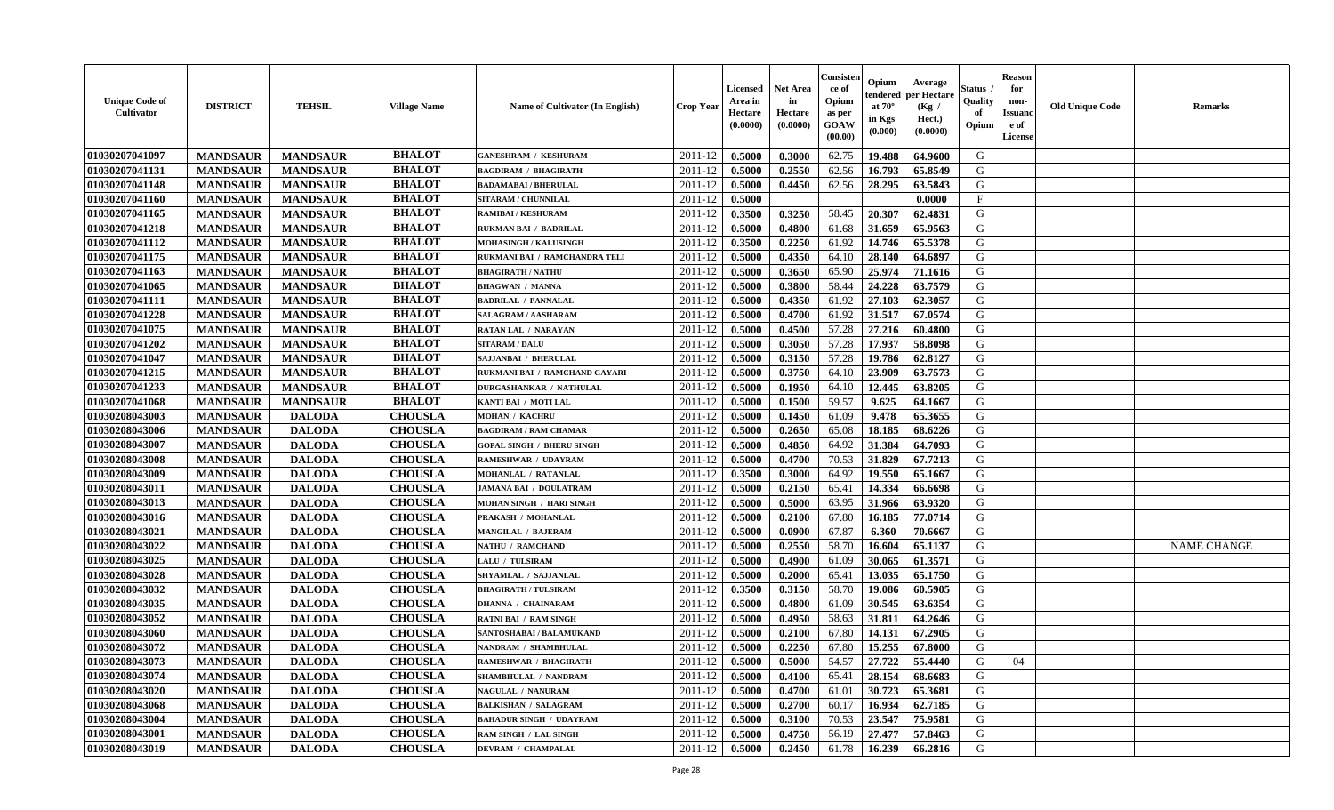| <b>Unique Code of</b><br><b>Cultivator</b> | <b>DISTRICT</b> | <b>TEHSIL</b>   | <b>Village Name</b> | Name of Cultivator (In English)  | <b>Crop Year</b> | <b>Licensed</b><br>Area in<br>Hectare<br>(0.0000) | Net Area<br>in<br>Hectare<br>(0.0000) | Consister<br>ce of<br>Opium<br>as per<br>GOAW<br>(00.00) | Opium<br>endered<br>at $70^\circ$<br>in Kgs<br>(0.000) | Average<br>per Hectare<br>(Kg /<br>Hect.)<br>(0.0000) | Status<br>Quality<br>of<br>Opium | <b>Reason</b><br>for<br>non-<br><b>Issuand</b><br>e of<br>License | <b>Old Unique Code</b> | Remarks            |
|--------------------------------------------|-----------------|-----------------|---------------------|----------------------------------|------------------|---------------------------------------------------|---------------------------------------|----------------------------------------------------------|--------------------------------------------------------|-------------------------------------------------------|----------------------------------|-------------------------------------------------------------------|------------------------|--------------------|
| 01030207041097                             | <b>MANDSAUR</b> | <b>MANDSAUR</b> | <b>BHALOT</b>       | <b>GANESHRAM / KESHURAM</b>      | 2011-12          | 0.5000                                            | 0.3000                                | 62.75                                                    | 19.488                                                 | 64.9600                                               | G                                |                                                                   |                        |                    |
| 01030207041131                             | <b>MANDSAUR</b> | <b>MANDSAUR</b> | <b>BHALOT</b>       | <b>BAGDIRAM / BHAGIRATH</b>      | 2011-12          | 0.5000                                            | 0.2550                                | 62.56                                                    | 16.793                                                 | 65.8549                                               | G                                |                                                                   |                        |                    |
| 01030207041148                             | <b>MANDSAUR</b> | <b>MANDSAUR</b> | <b>BHALOT</b>       | <b>BADAMABAI/BHERULAL</b>        | 2011-12          | 0.5000                                            | 0.4450                                | 62.56                                                    | 28.295                                                 | 63.5843                                               | G                                |                                                                   |                        |                    |
| 01030207041160                             | <b>MANDSAUR</b> | <b>MANDSAUR</b> | <b>BHALOT</b>       | SITARAM / CHUNNILAL              | 2011-12          | 0.5000                                            |                                       |                                                          |                                                        | 0.0000                                                | $\mathbf{F}$                     |                                                                   |                        |                    |
| 01030207041165                             | <b>MANDSAUR</b> | <b>MANDSAUR</b> | <b>BHALOT</b>       | <b>RAMIBAI/KESHURAM</b>          | 2011-12          | 0.3500                                            | 0.3250                                | 58.45                                                    | 20.307                                                 | 62.4831                                               | G                                |                                                                   |                        |                    |
| 01030207041218                             | <b>MANDSAUR</b> | <b>MANDSAUR</b> | <b>BHALOT</b>       | <b>RUKMAN BAI / BADRILAL</b>     | 2011-12          | 0.5000                                            | 0.4800                                | 61.68                                                    | 31.659                                                 | 65.9563                                               | G                                |                                                                   |                        |                    |
| 01030207041112                             | <b>MANDSAUR</b> | <b>MANDSAUR</b> | <b>BHALOT</b>       | MOHASINGH / KALUSINGH            | 2011-12          | 0.3500                                            | 0.2250                                | 61.92                                                    | 14.746                                                 | 65.5378                                               | G                                |                                                                   |                        |                    |
| 01030207041175                             | <b>MANDSAUR</b> | <b>MANDSAUR</b> | <b>BHALOT</b>       | RUKMANI BAI / RAMCHANDRA TELI    | 2011-12          | 0.5000                                            | 0.4350                                | 64.10                                                    | 28.140                                                 | 64.6897                                               | G                                |                                                                   |                        |                    |
| 01030207041163                             | <b>MANDSAUR</b> | <b>MANDSAUR</b> | <b>BHALOT</b>       | <b>BHAGIRATH / NATHU</b>         | 2011-12          | 0.5000                                            | 0.3650                                | 65.90                                                    | 25.974                                                 | 71.1616                                               | G                                |                                                                   |                        |                    |
| 01030207041065                             | <b>MANDSAUR</b> | <b>MANDSAUR</b> | <b>BHALOT</b>       | <b>BHAGWAN / MANNA</b>           | 2011-12          | 0.5000                                            | 0.3800                                | 58.44                                                    | 24.228                                                 | 63.7579                                               | G                                |                                                                   |                        |                    |
| 01030207041111                             | <b>MANDSAUR</b> | <b>MANDSAUR</b> | <b>BHALOT</b>       | <b>BADRILAL / PANNALAL</b>       | 2011-12          | 0.5000                                            | 0.4350                                | 61.92                                                    | 27.103                                                 | 62.3057                                               | G                                |                                                                   |                        |                    |
| 01030207041228                             | <b>MANDSAUR</b> | <b>MANDSAUR</b> | <b>BHALOT</b>       | SALAGRAM / AASHARAM              | 2011-12          | 0.5000                                            | 0.4700                                | 61.92                                                    | 31.517                                                 | 67.0574                                               | G                                |                                                                   |                        |                    |
| 01030207041075                             | <b>MANDSAUR</b> | <b>MANDSAUR</b> | <b>BHALOT</b>       | <b>RATAN LAL / NARAYAN</b>       | 2011-12          | 0.5000                                            | 0.4500                                | 57.28                                                    | 27.216                                                 | 60.4800                                               | G                                |                                                                   |                        |                    |
| 01030207041202                             | <b>MANDSAUR</b> | <b>MANDSAUR</b> | <b>BHALOT</b>       | <b>SITARAM / DALU</b>            | 2011-12          | 0.5000                                            | 0.3050                                | 57.28                                                    | 17.937                                                 | 58.8098                                               | G                                |                                                                   |                        |                    |
| 01030207041047                             | <b>MANDSAUR</b> | <b>MANDSAUR</b> | <b>BHALOT</b>       | SAJJANBAI / BHERULAL             | 2011-12          | 0.5000                                            | 0.3150                                | 57.28                                                    | 19.786                                                 | 62.8127                                               | $\mathbf G$                      |                                                                   |                        |                    |
| 01030207041215                             | <b>MANDSAUR</b> | <b>MANDSAUR</b> | <b>BHALOT</b>       | RUKMANI BAI / RAMCHAND GAYARI    | 2011-12          | 0.5000                                            | 0.3750                                | 64.10                                                    | 23.909                                                 | 63.7573                                               | G                                |                                                                   |                        |                    |
| 01030207041233                             | <b>MANDSAUR</b> | <b>MANDSAUR</b> | <b>BHALOT</b>       | <b>DURGASHANKAR / NATHULAL</b>   | 2011-12          | 0.5000                                            | 0.1950                                | 64.10                                                    | 12.445                                                 | 63.8205                                               | G                                |                                                                   |                        |                    |
| 01030207041068                             | <b>MANDSAUR</b> | <b>MANDSAUR</b> | <b>BHALOT</b>       | KANTI BAI / MOTI LAL             | 2011-12          | 0.5000                                            | 0.1500                                | 59.57                                                    | 9.625                                                  | 64.1667                                               | G                                |                                                                   |                        |                    |
| 01030208043003                             | <b>MANDSAUR</b> | <b>DALODA</b>   | <b>CHOUSLA</b>      | <b>MOHAN / KACHRU</b>            | 2011-12          | 0.5000                                            | 0.1450                                | 61.09                                                    | 9.478                                                  | 65.3655                                               | G                                |                                                                   |                        |                    |
| 01030208043006                             | <b>MANDSAUR</b> | <b>DALODA</b>   | <b>CHOUSLA</b>      | <b>BAGDIRAM / RAM CHAMAR</b>     | 2011-12          | 0.5000                                            | 0.2650                                | 65.08                                                    | 18.185                                                 | 68.6226                                               | G                                |                                                                   |                        |                    |
| 01030208043007                             | <b>MANDSAUR</b> | <b>DALODA</b>   | <b>CHOUSLA</b>      | <b>GOPAL SINGH / BHERU SINGH</b> | 2011-12          | 0.5000                                            | 0.4850                                | 64.92                                                    | 31.384                                                 | 64.7093                                               | G                                |                                                                   |                        |                    |
| 01030208043008                             | <b>MANDSAUR</b> | <b>DALODA</b>   | <b>CHOUSLA</b>      | <b>RAMESHWAR / UDAYRAM</b>       | 2011-12          | 0.5000                                            | 0.4700                                | 70.53                                                    | 31.829                                                 | 67.7213                                               | G                                |                                                                   |                        |                    |
| 01030208043009                             | <b>MANDSAUR</b> | <b>DALODA</b>   | <b>CHOUSLA</b>      | MOHANLAL / RATANLAL              | 2011-12          | 0.3500                                            | 0.3000                                | 64.92                                                    | 19.550                                                 | 65.1667                                               | G                                |                                                                   |                        |                    |
| 01030208043011                             | <b>MANDSAUR</b> | <b>DALODA</b>   | <b>CHOUSLA</b>      | <b>JAMANA BAI / DOULATRAM</b>    | 2011-12          | 0.5000                                            | 0.2150                                | 65.41                                                    | 14.334                                                 | 66.6698                                               | G                                |                                                                   |                        |                    |
| 01030208043013                             | <b>MANDSAUR</b> | <b>DALODA</b>   | <b>CHOUSLA</b>      | <b>MOHAN SINGH / HARI SINGH</b>  | 2011-12          | 0.5000                                            | 0.5000                                | 63.95                                                    | 31.966                                                 | 63.9320                                               | G                                |                                                                   |                        |                    |
| 01030208043016                             | <b>MANDSAUR</b> | <b>DALODA</b>   | <b>CHOUSLA</b>      | PRAKASH / MOHANLAL               | 2011-12          | 0.5000                                            | 0.2100                                | 67.80                                                    | 16.185                                                 | 77.0714                                               | G                                |                                                                   |                        |                    |
| 01030208043021                             | <b>MANDSAUR</b> | <b>DALODA</b>   | <b>CHOUSLA</b>      | <b>MANGILAL / BAJERAM</b>        | 2011-12          | 0.5000                                            | 0.0900                                | 67.87                                                    | 6.360                                                  | 70.6667                                               | G                                |                                                                   |                        |                    |
| 01030208043022                             | <b>MANDSAUR</b> | <b>DALODA</b>   | <b>CHOUSLA</b>      | <b>NATHU / RAMCHAND</b>          | 2011-12          | 0.5000                                            | 0.2550                                | 58.70                                                    | 16.604                                                 | 65.1137                                               | G                                |                                                                   |                        | <b>NAME CHANGE</b> |
| 01030208043025                             | <b>MANDSAUR</b> | <b>DALODA</b>   | <b>CHOUSLA</b>      | LALU / TULSIRAM                  | 2011-12          | 0.5000                                            | 0.4900                                | 61.09                                                    | 30.065                                                 | 61.3571                                               | G                                |                                                                   |                        |                    |
| 01030208043028                             | <b>MANDSAUR</b> | <b>DALODA</b>   | <b>CHOUSLA</b>      | SHYAMLAL / SAJJANLAL             | 2011-12          | 0.5000                                            | 0.2000                                | 65.41                                                    | 13.035                                                 | 65.1750                                               | G                                |                                                                   |                        |                    |
| 01030208043032                             | <b>MANDSAUR</b> | <b>DALODA</b>   | <b>CHOUSLA</b>      | <b>BHAGIRATH / TULSIRAM</b>      | 2011-12          | 0.3500                                            | 0.3150                                | 58.70                                                    | 19.086                                                 | 60.5905                                               | G                                |                                                                   |                        |                    |
| 01030208043035                             | <b>MANDSAUR</b> | <b>DALODA</b>   | <b>CHOUSLA</b>      | <b>DHANNA / CHAINARAM</b>        | 2011-12          | 0.5000                                            | 0.4800                                | 61.09                                                    | 30.545                                                 | 63.6354                                               | G                                |                                                                   |                        |                    |
| 01030208043052                             | <b>MANDSAUR</b> | <b>DALODA</b>   | <b>CHOUSLA</b>      | <b>RATNI BAI / RAM SINGH</b>     | 2011-12          | 0.5000                                            | 0.4950                                | 58.63                                                    | 31.811                                                 | 64.2646                                               | G                                |                                                                   |                        |                    |
| 01030208043060                             | <b>MANDSAUR</b> | <b>DALODA</b>   | <b>CHOUSLA</b>      | SANTOSHABAI / BALAMUKAND         | 2011-12          | 0.5000                                            | 0.2100                                | 67.80                                                    | 14.131                                                 | 67.2905                                               | G                                |                                                                   |                        |                    |
| 01030208043072                             | <b>MANDSAUR</b> | <b>DALODA</b>   | <b>CHOUSLA</b>      | NANDRAM / SHAMBHULAL             | 2011-12          | 0.5000                                            | 0.2250                                | 67.80                                                    | 15.255                                                 | 67.8000                                               | G                                |                                                                   |                        |                    |
| 01030208043073                             | <b>MANDSAUR</b> | <b>DALODA</b>   | <b>CHOUSLA</b>      | RAMESHWAR / BHAGIRATH            | 2011-12          | 0.5000                                            | 0.5000                                | 54.57                                                    | 27.722                                                 | 55.4440                                               | G                                | 04                                                                |                        |                    |
| 01030208043074                             | <b>MANDSAUR</b> | <b>DALODA</b>   | <b>CHOUSLA</b>      | <b>SHAMBHULAL / NANDRAM</b>      | 2011-12          | 0.5000                                            | 0.4100                                | 65.41                                                    | 28.154                                                 | 68.6683                                               | G                                |                                                                   |                        |                    |
| 01030208043020                             | <b>MANDSAUR</b> | <b>DALODA</b>   | <b>CHOUSLA</b>      | NAGULAL / NANURAM                | 2011-12          | 0.5000                                            | 0.4700                                | 61.01                                                    | 30.723                                                 | 65.3681                                               | G                                |                                                                   |                        |                    |
| 01030208043068                             | <b>MANDSAUR</b> | <b>DALODA</b>   | <b>CHOUSLA</b>      | <b>BALKISHAN / SALAGRAM</b>      | 2011-12          | 0.5000                                            | 0.2700                                | 60.17                                                    | 16.934                                                 | 62.7185                                               | G                                |                                                                   |                        |                    |
| 01030208043004                             | <b>MANDSAUR</b> | <b>DALODA</b>   | <b>CHOUSLA</b>      | <b>BAHADUR SINGH / UDAYRAM</b>   | 2011-12          | 0.5000                                            | 0.3100                                | 70.53                                                    | 23.547                                                 | 75.9581                                               | ${\bf G}$                        |                                                                   |                        |                    |
| 01030208043001                             | <b>MANDSAUR</b> | <b>DALODA</b>   | <b>CHOUSLA</b>      | RAM SINGH / LAL SINGH            | 2011-12          | 0.5000                                            | 0.4750                                | 56.19                                                    | 27.477                                                 | 57.8463                                               | G                                |                                                                   |                        |                    |
| 01030208043019                             | <b>MANDSAUR</b> | <b>DALODA</b>   | <b>CHOUSLA</b>      | <b>DEVRAM / CHAMPALAL</b>        | 2011-12          | 0.5000                                            | 0.2450                                | 61.78                                                    | 16.239                                                 | 66.2816                                               | G                                |                                                                   |                        |                    |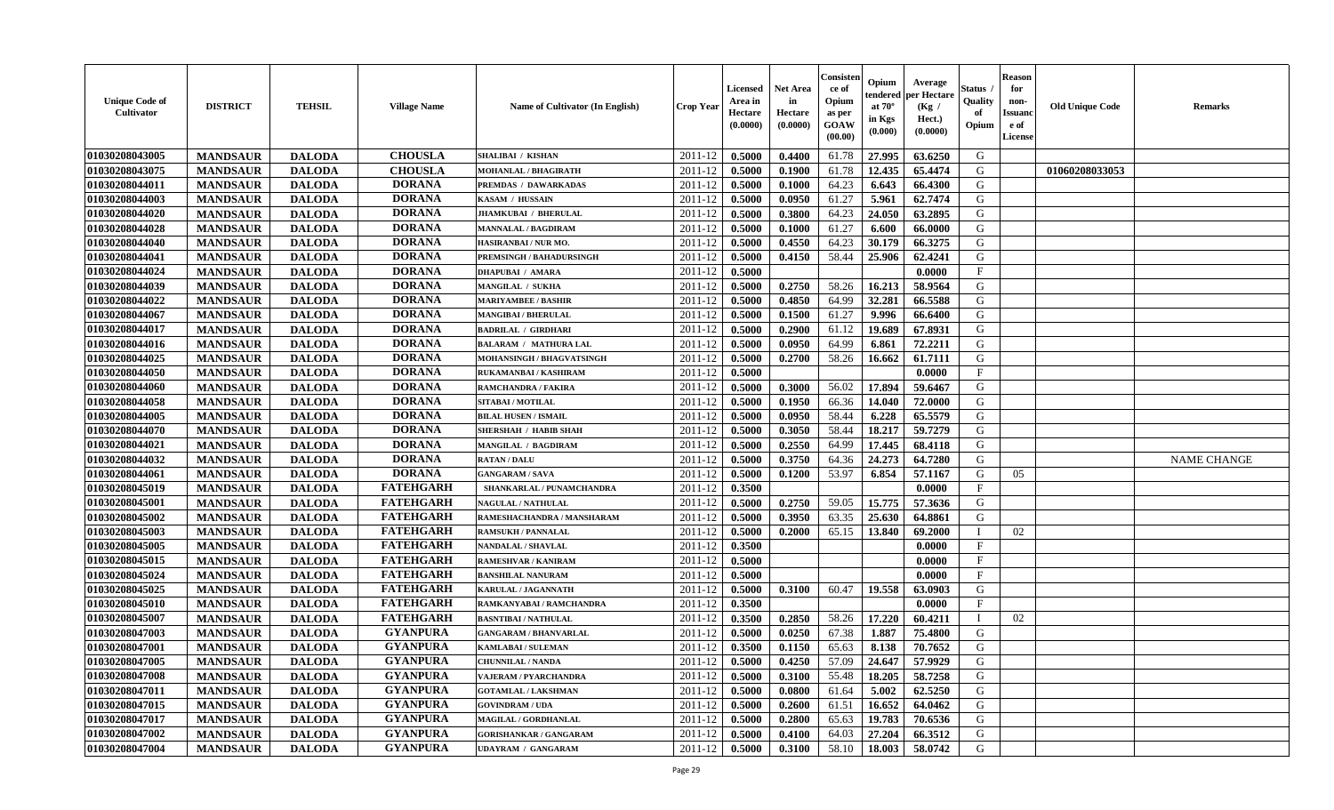| <b>Unique Code of</b><br><b>Cultivator</b> | <b>DISTRICT</b> | <b>TEHSIL</b> | <b>Village Name</b> | Name of Cultivator (In English) | <b>Crop Year</b> | <b>Licensed</b><br>Area in<br>Hectare<br>(0.0000) | <b>Net Area</b><br>in<br>Hectare<br>(0.0000) | Consisteı<br>ce of<br>Opium<br>as per<br>GOAW<br>(00.00) | Opium<br>endered<br>at $70^\circ$<br>in Kgs<br>(0.000) | Average<br>per Hectare<br>(Kg /<br>Hect.)<br>(0.0000) | Status<br>Quality<br>of<br>Opium | <b>Reason</b><br>for<br>non-<br><b>Issuand</b><br>e of<br>License | <b>Old Unique Code</b> | <b>Remarks</b>     |
|--------------------------------------------|-----------------|---------------|---------------------|---------------------------------|------------------|---------------------------------------------------|----------------------------------------------|----------------------------------------------------------|--------------------------------------------------------|-------------------------------------------------------|----------------------------------|-------------------------------------------------------------------|------------------------|--------------------|
| 01030208043005                             | <b>MANDSAUR</b> | <b>DALODA</b> | <b>CHOUSLA</b>      | SHALIBAI / KISHAN               | 2011-12          | 0.5000                                            | 0.4400                                       | 61.78                                                    | 27.995                                                 | 63.6250                                               | G                                |                                                                   |                        |                    |
| 01030208043075                             | <b>MANDSAUR</b> | <b>DALODA</b> | <b>CHOUSLA</b>      | MOHANLAL / BHAGIRATH            | 2011-12          | 0.5000                                            | 0.1900                                       | 61.78                                                    | 12.435                                                 | 65.4474                                               | G                                |                                                                   | 01060208033053         |                    |
| 01030208044011                             | <b>MANDSAUR</b> | <b>DALODA</b> | <b>DORANA</b>       | PREMDAS / DAWARKADAS            | 2011-12          | 0.5000                                            | 0.1000                                       | 64.23                                                    | 6.643                                                  | 66.4300                                               | G                                |                                                                   |                        |                    |
| 01030208044003                             | <b>MANDSAUR</b> | <b>DALODA</b> | <b>DORANA</b>       | KASAM / HUSSAIN                 | 2011-12          | 0.5000                                            | 0.0950                                       | 61.27                                                    | 5.961                                                  | 62.7474                                               | G                                |                                                                   |                        |                    |
| 01030208044020                             | <b>MANDSAUR</b> | <b>DALODA</b> | <b>DORANA</b>       | <b>JHAMKUBAI / BHERULAL</b>     | 2011-12          | 0.5000                                            | 0.3800                                       | 64.23                                                    | 24.050                                                 | 63.2895                                               | G                                |                                                                   |                        |                    |
| 01030208044028                             | <b>MANDSAUR</b> | <b>DALODA</b> | <b>DORANA</b>       | <b>MANNALAL / BAGDIRAM</b>      | 2011-12          | 0.5000                                            | 0.1000                                       | 61.27                                                    | 6.600                                                  | 66.0000                                               | G                                |                                                                   |                        |                    |
| 01030208044040                             | <b>MANDSAUR</b> | <b>DALODA</b> | <b>DORANA</b>       | HASIRANBAI / NUR MO.            | 2011-12          | 0.5000                                            | 0.4550                                       | 64.23                                                    | 30.179                                                 | 66.3275                                               | G                                |                                                                   |                        |                    |
| 01030208044041                             | <b>MANDSAUR</b> | <b>DALODA</b> | <b>DORANA</b>       | <b>PREMSINGH / BAHADURSINGH</b> | 2011-12          | 0.5000                                            | 0.4150                                       | 58.44                                                    | 25.906                                                 | 62.4241                                               | G                                |                                                                   |                        |                    |
| 01030208044024                             | <b>MANDSAUR</b> | <b>DALODA</b> | <b>DORANA</b>       | <b>DHAPUBAI / AMARA</b>         | 2011-12          | 0.5000                                            |                                              |                                                          |                                                        | 0.0000                                                | $\mathbf F$                      |                                                                   |                        |                    |
| 01030208044039                             | <b>MANDSAUR</b> | <b>DALODA</b> | <b>DORANA</b>       | MANGILAL / SUKHA                | 2011-12          | 0.5000                                            | 0.2750                                       | 58.26                                                    | 16.213                                                 | 58.9564                                               | G                                |                                                                   |                        |                    |
| 01030208044022                             | <b>MANDSAUR</b> | <b>DALODA</b> | <b>DORANA</b>       | <b>MARIYAMBEE / BASHIR</b>      | 2011-12          | 0.5000                                            | 0.4850                                       | 64.99                                                    | 32.281                                                 | 66.5588                                               | $\mathbf G$                      |                                                                   |                        |                    |
| 01030208044067                             | <b>MANDSAUR</b> | <b>DALODA</b> | <b>DORANA</b>       | <b>MANGIBAI / BHERULAL</b>      | 2011-12          | 0.5000                                            | 0.1500                                       | 61.27                                                    | 9.996                                                  | 66.6400                                               | G                                |                                                                   |                        |                    |
| 01030208044017                             | <b>MANDSAUR</b> | <b>DALODA</b> | <b>DORANA</b>       | <b>BADRILAL / GIRDHARI</b>      | 2011-12          | 0.5000                                            | 0.2900                                       | 61.12                                                    | 19.689                                                 | 67.8931                                               | G                                |                                                                   |                        |                    |
| 01030208044016                             | <b>MANDSAUR</b> | <b>DALODA</b> | <b>DORANA</b>       | <b>BALARAM / MATHURA LAL</b>    | 2011-12          | 0.5000                                            | 0.0950                                       | 64.99                                                    | 6.861                                                  | 72.2211                                               | G                                |                                                                   |                        |                    |
| 01030208044025                             | <b>MANDSAUR</b> | <b>DALODA</b> | <b>DORANA</b>       | MOHANSINGH / BHAGVATSINGH       | 2011-12          | 0.5000                                            | 0.2700                                       | 58.26                                                    | 16.662                                                 | 61.7111                                               | G                                |                                                                   |                        |                    |
| 01030208044050                             | <b>MANDSAUR</b> | <b>DALODA</b> | <b>DORANA</b>       | RUKAMANBAI / KASHIRAM           | 2011-12          | 0.5000                                            |                                              |                                                          |                                                        | 0.0000                                                | $\rm F$                          |                                                                   |                        |                    |
| 01030208044060                             | <b>MANDSAUR</b> | <b>DALODA</b> | <b>DORANA</b>       | <b>RAMCHANDRA / FAKIRA</b>      | 2011-12          | 0.5000                                            | 0.3000                                       | 56.02                                                    | 17.894                                                 | 59.6467                                               | G                                |                                                                   |                        |                    |
| 01030208044058                             | <b>MANDSAUR</b> | <b>DALODA</b> | <b>DORANA</b>       | SITABAI / MOTILAL               | 2011-12          | 0.5000                                            | 0.1950                                       | 66.36                                                    | 14.040                                                 | 72.0000                                               | G                                |                                                                   |                        |                    |
| 01030208044005                             | <b>MANDSAUR</b> | <b>DALODA</b> | <b>DORANA</b>       | <b>BILAL HUSEN / ISMAIL</b>     | 2011-12          | 0.5000                                            | 0.0950                                       | 58.44                                                    | 6.228                                                  | 65.5579                                               | G                                |                                                                   |                        |                    |
| 01030208044070                             | <b>MANDSAUR</b> | <b>DALODA</b> | <b>DORANA</b>       | <b>SHERSHAH / HABIB SHAH</b>    | 2011-12          | 0.5000                                            | 0.3050                                       | 58.44                                                    | 18.217                                                 | 59.7279                                               | G                                |                                                                   |                        |                    |
| 01030208044021                             | <b>MANDSAUR</b> | <b>DALODA</b> | <b>DORANA</b>       | <b>MANGILAL / BAGDIRAM</b>      | 2011-12          | 0.5000                                            | 0.2550                                       | 64.99                                                    | 17.445                                                 | 68.4118                                               | G                                |                                                                   |                        |                    |
| 01030208044032                             | <b>MANDSAUR</b> | <b>DALODA</b> | <b>DORANA</b>       | <b>RATAN / DALU</b>             | 2011-12          | 0.5000                                            | 0.3750                                       | 64.36                                                    | 24.273                                                 | 64.7280                                               | G                                |                                                                   |                        | <b>NAME CHANGE</b> |
| 01030208044061                             | <b>MANDSAUR</b> | <b>DALODA</b> | <b>DORANA</b>       | <b>GANGARAM / SAVA</b>          | 2011-12          | 0.5000                                            | 0.1200                                       | 53.97                                                    | 6.854                                                  | 57.1167                                               | G                                | 05                                                                |                        |                    |
| 01030208045019                             | <b>MANDSAUR</b> | <b>DALODA</b> | <b>FATEHGARH</b>    | SHANKARLAL / PUNAMCHANDRA       | 2011-12          | 0.3500                                            |                                              |                                                          |                                                        | 0.0000                                                | $\mathbf{F}$                     |                                                                   |                        |                    |
| 01030208045001                             | <b>MANDSAUR</b> | <b>DALODA</b> | <b>FATEHGARH</b>    | <b>NAGULAL / NATHULAL</b>       | 2011-12          | 0.5000                                            | 0.2750                                       | 59.05                                                    | 15.775                                                 | 57.3636                                               | G                                |                                                                   |                        |                    |
| 01030208045002                             | <b>MANDSAUR</b> | <b>DALODA</b> | <b>FATEHGARH</b>    | RAMESHACHANDRA / MANSHARAM      | 2011-12          | 0.5000                                            | 0.3950                                       | 63.35                                                    | 25.630                                                 | 64.8861                                               | G                                |                                                                   |                        |                    |
| 01030208045003                             | <b>MANDSAUR</b> | <b>DALODA</b> | <b>FATEHGARH</b>    | <b>RAMSUKH / PANNALAL</b>       | 2011-12          | 0.5000                                            | 0.2000                                       | 65.15                                                    | 13.840                                                 | 69.2000                                               | $\mathbf I$                      | 02                                                                |                        |                    |
| 01030208045005                             | <b>MANDSAUR</b> | <b>DALODA</b> | <b>FATEHGARH</b>    | <b>NANDALAL / SHAVLAL</b>       | 2011-12          | 0.3500                                            |                                              |                                                          |                                                        | 0.0000                                                | $\mathbf{F}$                     |                                                                   |                        |                    |
| 01030208045015                             | <b>MANDSAUR</b> | <b>DALODA</b> | <b>FATEHGARH</b>    | <b>RAMESHVAR / KANIRAM</b>      | 2011-12          | 0.5000                                            |                                              |                                                          |                                                        | 0.0000                                                | $\mathbf{F}$                     |                                                                   |                        |                    |
| 01030208045024                             | <b>MANDSAUR</b> | <b>DALODA</b> | <b>FATEHGARH</b>    | <b>BANSHILAL NANURAM</b>        | 2011-12          | 0.5000                                            |                                              |                                                          |                                                        | 0.0000                                                | $\mathbf{F}$                     |                                                                   |                        |                    |
| 01030208045025                             | <b>MANDSAUR</b> | <b>DALODA</b> | <b>FATEHGARH</b>    | <b>KARULAL / JAGANNATH</b>      | 2011-12          | 0.5000                                            | 0.3100                                       | 60.47                                                    | 19.558                                                 | 63.0903                                               | G                                |                                                                   |                        |                    |
| 01030208045010                             | <b>MANDSAUR</b> | <b>DALODA</b> | <b>FATEHGARH</b>    | RAMKANYABAI / RAMCHANDRA        | 2011-12          | 0.3500                                            |                                              |                                                          |                                                        | 0.0000                                                | $_{\rm F}$                       |                                                                   |                        |                    |
| 01030208045007                             | <b>MANDSAUR</b> | <b>DALODA</b> | <b>FATEHGARH</b>    | <b>BASNTIBAI / NATHULAL</b>     | 2011-12          | 0.3500                                            | 0.2850                                       | 58.26                                                    | 17.220                                                 | 60.4211                                               | T                                | 02                                                                |                        |                    |
| 01030208047003                             | <b>MANDSAUR</b> | <b>DALODA</b> | <b>GYANPURA</b>     | <b>GANGARAM / BHANVARLAL</b>    | 2011-12          | 0.5000                                            | 0.0250                                       | 67.38                                                    | 1.887                                                  | 75.4800                                               | G                                |                                                                   |                        |                    |
| 01030208047001                             | <b>MANDSAUR</b> | <b>DALODA</b> | <b>GYANPURA</b>     | KAMLABAI / SULEMAN              | 2011-12          | 0.3500                                            | 0.1150                                       | 65.63                                                    | 8.138                                                  | 70.7652                                               | G                                |                                                                   |                        |                    |
| 01030208047005                             | <b>MANDSAUR</b> | <b>DALODA</b> | <b>GYANPURA</b>     | <b>CHUNNILAL / NANDA</b>        | 2011-12          | 0.5000                                            | 0.4250                                       | 57.09                                                    | 24.647                                                 | 57.9929                                               | G                                |                                                                   |                        |                    |
| 01030208047008                             | <b>MANDSAUR</b> | <b>DALODA</b> | <b>GYANPURA</b>     | <b>VAJERAM / PYARCHANDRA</b>    | 2011-12          | 0.5000                                            | 0.3100                                       | 55.48                                                    | 18.205                                                 | 58.7258                                               | G                                |                                                                   |                        |                    |
| 01030208047011                             | <b>MANDSAUR</b> | <b>DALODA</b> | <b>GYANPURA</b>     | <b>GOTAMLAL / LAKSHMAN</b>      | 2011-12          | 0.5000                                            | 0.0800                                       | 61.64                                                    | 5.002                                                  | 62.5250                                               | G                                |                                                                   |                        |                    |
| 01030208047015                             | <b>MANDSAUR</b> | <b>DALODA</b> | <b>GYANPURA</b>     | <b>GOVINDRAM / UDA</b>          | 2011-12          | 0.5000                                            | 0.2600                                       | 61.51                                                    | 16.652                                                 | 64.0462                                               | G                                |                                                                   |                        |                    |
| 01030208047017                             | <b>MANDSAUR</b> | <b>DALODA</b> | <b>GYANPURA</b>     | MAGILAL / GORDHANLAL            | 2011-12          | 0.5000                                            | 0.2800                                       | 65.63                                                    | 19.783                                                 | 70.6536                                               | G                                |                                                                   |                        |                    |
| 01030208047002                             | <b>MANDSAUR</b> | <b>DALODA</b> | <b>GYANPURA</b>     | <b>GORISHANKAR / GANGARAM</b>   | 2011-12          | 0.5000                                            | 0.4100                                       | 64.03                                                    | 27.204                                                 | 66.3512                                               | G                                |                                                                   |                        |                    |
| 01030208047004                             | <b>MANDSAUR</b> | <b>DALODA</b> | <b>GYANPURA</b>     | <b>UDAYRAM / GANGARAM</b>       | 2011-12          | 0.5000                                            | 0.3100                                       | 58.10                                                    | 18.003                                                 | 58.0742                                               | G                                |                                                                   |                        |                    |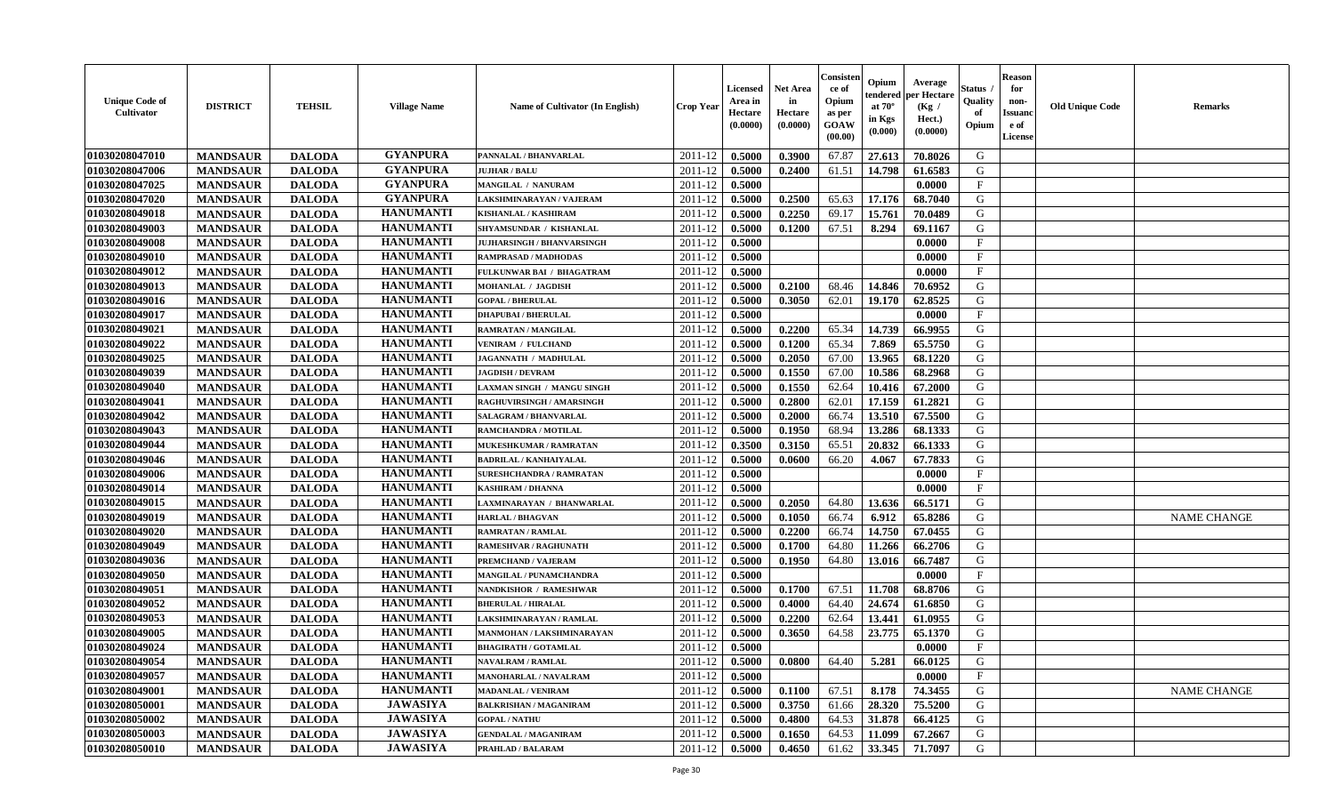| <b>Unique Code of</b><br><b>Cultivator</b> | <b>DISTRICT</b> | <b>TEHSIL</b> | <b>Village Name</b> | Name of Cultivator (In English)   | <b>Crop Year</b>   | <b>Licensed</b><br>Area in<br>Hectare<br>(0.0000) | <b>Net Area</b><br>in<br>Hectare<br>(0.0000) | Consister<br>ce of<br>Opium<br>as per<br><b>GOAW</b><br>(00.00) | Opium<br>endered<br>at $70^{\circ}$<br>in Kgs<br>$(\mathbf{0.000})$ | Average<br>per Hectare<br>(Kg /<br>Hect.)<br>(0.0000) | Status<br>Quality<br>of<br>Opium | <b>Reason</b><br>for<br>non-<br><b>Issuanc</b><br>e of<br>License | <b>Old Unique Code</b> | <b>Remarks</b>     |
|--------------------------------------------|-----------------|---------------|---------------------|-----------------------------------|--------------------|---------------------------------------------------|----------------------------------------------|-----------------------------------------------------------------|---------------------------------------------------------------------|-------------------------------------------------------|----------------------------------|-------------------------------------------------------------------|------------------------|--------------------|
| 01030208047010                             | <b>MANDSAUR</b> | <b>DALODA</b> | <b>GYANPURA</b>     | PANNALAL / BHANVARLAL             | 2011-12            | 0.5000                                            | 0.3900                                       | 67.87                                                           | 27.613                                                              | 70.8026                                               | G                                |                                                                   |                        |                    |
| 01030208047006                             | <b>MANDSAUR</b> | <b>DALODA</b> | <b>GYANPURA</b>     | <b>JUJHAR / BALU</b>              | 2011-12            | 0.5000                                            | 0.2400                                       | 61.51                                                           | 14.798                                                              | 61.6583                                               | G                                |                                                                   |                        |                    |
| 01030208047025                             | <b>MANDSAUR</b> | <b>DALODA</b> | <b>GYANPURA</b>     | MANGILAL / NANURAM                | 2011-12            | 0.5000                                            |                                              |                                                                 |                                                                     | 0.0000                                                | $\mathbf{F}$                     |                                                                   |                        |                    |
| 01030208047020                             | <b>MANDSAUR</b> | <b>DALODA</b> | <b>GYANPURA</b>     | LAKSHMINARAYAN / VAJERAM          | 2011-12            | 0.5000                                            | 0.2500                                       | 65.63                                                           | 17.176                                                              | 68.7040                                               | G                                |                                                                   |                        |                    |
| 01030208049018                             | <b>MANDSAUR</b> | <b>DALODA</b> | <b>HANUMANTI</b>    | KISHANLAL / KASHIRAM              | 2011-12            | 0.5000                                            | 0.2250                                       | 69.17                                                           | 15.761                                                              | 70.0489                                               | G                                |                                                                   |                        |                    |
| 01030208049003                             | <b>MANDSAUR</b> | <b>DALODA</b> | <b>HANUMANTI</b>    | <b>SHYAMSUNDAR / KISHANLAL</b>    | 2011-12            | 0.5000                                            | 0.1200                                       | 67.51                                                           | 8.294                                                               | 69.1167                                               | G                                |                                                                   |                        |                    |
| 01030208049008                             | <b>MANDSAUR</b> | <b>DALODA</b> | <b>HANUMANTI</b>    | <b>JUJHARSINGH / BHANVARSINGH</b> | 2011-12            | 0.5000                                            |                                              |                                                                 |                                                                     | 0.0000                                                | $\mathbf{F}$                     |                                                                   |                        |                    |
| 01030208049010                             | <b>MANDSAUR</b> | <b>DALODA</b> | <b>HANUMANTI</b>    | RAMPRASAD / MADHODAS              | 2011-12            | 0.5000                                            |                                              |                                                                 |                                                                     | 0.0000                                                | $\mathbf{F}$                     |                                                                   |                        |                    |
| 01030208049012                             | <b>MANDSAUR</b> | <b>DALODA</b> | <b>HANUMANTI</b>    | FULKUNWAR BAI / BHAGATRAM         | 2011-12            | 0.5000                                            |                                              |                                                                 |                                                                     | 0.0000                                                | F                                |                                                                   |                        |                    |
| 01030208049013                             | <b>MANDSAUR</b> | <b>DALODA</b> | <b>HANUMANTI</b>    | <b>MOHANLAL / JAGDISH</b>         | 2011-12            | 0.5000                                            | 0.2100                                       | 68.46                                                           | 14.846                                                              | 70.6952                                               | G                                |                                                                   |                        |                    |
| 01030208049016                             | <b>MANDSAUR</b> | <b>DALODA</b> | <b>HANUMANTI</b>    | <b>GOPAL / BHERULAL</b>           | 2011-12            | 0.5000                                            | 0.3050                                       | 62.01                                                           | 19.170                                                              | 62.8525                                               | G                                |                                                                   |                        |                    |
| 01030208049017                             | <b>MANDSAUR</b> | <b>DALODA</b> | <b>HANUMANTI</b>    | <b>DHAPUBAI/BHERULAL</b>          | 2011-12            | 0.5000                                            |                                              |                                                                 |                                                                     | 0.0000                                                | $\mathbf{F}$                     |                                                                   |                        |                    |
| 01030208049021                             | <b>MANDSAUR</b> | <b>DALODA</b> | <b>HANUMANTI</b>    | RAMRATAN / MANGILAL               | 2011-12            | 0.5000                                            | 0.2200                                       | 65.34                                                           | 14.739                                                              | 66.9955                                               | G                                |                                                                   |                        |                    |
| 01030208049022                             | <b>MANDSAUR</b> | <b>DALODA</b> | <b>HANUMANTI</b>    | <b>VENIRAM / FULCHAND</b>         | 2011-12            | 0.5000                                            | 0.1200                                       | 65.34                                                           | 7.869                                                               | 65.5750                                               | G                                |                                                                   |                        |                    |
| 01030208049025                             | <b>MANDSAUR</b> | <b>DALODA</b> | <b>HANUMANTI</b>    | JAGANNATH / MADHULAL              | 2011-12            | 0.5000                                            | 0.2050                                       | 67.00                                                           | 13.965                                                              | 68.1220                                               | G                                |                                                                   |                        |                    |
| 01030208049039                             | <b>MANDSAUR</b> | <b>DALODA</b> | <b>HANUMANTI</b>    | <b>JAGDISH / DEVRAM</b>           | 2011-12            | 0.5000                                            | 0.1550                                       | 67.00                                                           | 10.586                                                              | 68.2968                                               | G                                |                                                                   |                        |                    |
| 01030208049040                             | <b>MANDSAUR</b> | <b>DALODA</b> | <b>HANUMANTI</b>    | LAXMAN SINGH / MANGU SINGH        | 2011-12            | 0.5000                                            | 0.1550                                       | 62.64                                                           | 10.416                                                              | 67.2000                                               | G                                |                                                                   |                        |                    |
| 01030208049041                             | <b>MANDSAUR</b> | <b>DALODA</b> | <b>HANUMANTI</b>    | RAGHUVIRSINGH / AMARSINGH         | 2011-12            | 0.5000                                            | 0.2800                                       | 62.01                                                           | 17.159                                                              | 61.2821                                               | G                                |                                                                   |                        |                    |
| 01030208049042                             | <b>MANDSAUR</b> | <b>DALODA</b> | <b>HANUMANTI</b>    | SALAGRAM / BHANVARLAL             | 2011-12            | 0.5000                                            | 0.2000                                       | 66.74                                                           | 13.510                                                              | 67.5500                                               | G                                |                                                                   |                        |                    |
| 01030208049043                             | <b>MANDSAUR</b> | <b>DALODA</b> | <b>HANUMANTI</b>    | RAMCHANDRA / MOTILAL              | 2011-12            | 0.5000                                            | 0.1950                                       | 68.94                                                           | 13.286                                                              | 68.1333                                               | G                                |                                                                   |                        |                    |
| 01030208049044                             | <b>MANDSAUR</b> | <b>DALODA</b> | <b>HANUMANTI</b>    | MUKESHKUMAR / RAMRATAN            | 2011-12            | 0.3500                                            | 0.3150                                       | 65.51                                                           | 20.832                                                              | 66.1333                                               | G                                |                                                                   |                        |                    |
| 01030208049046                             | <b>MANDSAUR</b> | <b>DALODA</b> | <b>HANUMANTI</b>    | <b>BADRILAL / KANHAIYALAL</b>     | 2011-12            | 0.5000                                            | 0.0600                                       | 66.20                                                           | 4.067                                                               | 67.7833                                               | G                                |                                                                   |                        |                    |
| 01030208049006                             | <b>MANDSAUR</b> | <b>DALODA</b> | <b>HANUMANTI</b>    | <b>SURESHCHANDRA / RAMRATAN</b>   | 2011-12            | 0.5000                                            |                                              |                                                                 |                                                                     | 0.0000                                                | $\mathbf F$                      |                                                                   |                        |                    |
| 01030208049014                             | <b>MANDSAUR</b> | <b>DALODA</b> | <b>HANUMANTI</b>    | <b>KASHIRAM / DHANNA</b>          | 2011-12            | 0.5000                                            |                                              |                                                                 |                                                                     | 0.0000                                                | $\mathbf{F}$                     |                                                                   |                        |                    |
| 01030208049015                             | <b>MANDSAUR</b> | <b>DALODA</b> | <b>HANUMANTI</b>    | LAXMINARAYAN / BHANWARLAL         | 2011-12            | 0.5000                                            | 0.2050                                       | 64.80                                                           | 13.636                                                              | 66.5171                                               | G                                |                                                                   |                        |                    |
| 01030208049019                             | <b>MANDSAUR</b> | <b>DALODA</b> | <b>HANUMANTI</b>    | <b>HARLAL / BHAGVAN</b>           | 2011-12            | 0.5000                                            | 0.1050                                       | 66.74                                                           | 6.912                                                               | 65.8286                                               | G                                |                                                                   |                        | <b>NAME CHANGE</b> |
| 01030208049020                             | <b>MANDSAUR</b> | <b>DALODA</b> | <b>HANUMANTI</b>    | RAMRATAN / RAMLAL                 | 2011-12            | 0.5000                                            | 0.2200                                       | 66.74                                                           | 14.750                                                              | 67.0455                                               | G                                |                                                                   |                        |                    |
| 01030208049049                             | <b>MANDSAUR</b> | <b>DALODA</b> | <b>HANUMANTI</b>    | <b>RAMESHVAR / RAGHUNATH</b>      | 2011-12            | 0.5000                                            | 0.1700                                       | 64.80                                                           | 11.266                                                              | 66.2706                                               | G                                |                                                                   |                        |                    |
| 01030208049036                             | <b>MANDSAUR</b> | <b>DALODA</b> | <b>HANUMANTI</b>    | PREMCHAND / VAJERAM               | 2011-12            | 0.5000                                            | 0.1950                                       | 64.80                                                           | 13.016                                                              | 66.7487                                               | G                                |                                                                   |                        |                    |
| 01030208049050                             | <b>MANDSAUR</b> | <b>DALODA</b> | <b>HANUMANTI</b>    | MANGILAL / PUNAMCHANDRA           | 2011-12            | 0.5000                                            |                                              |                                                                 |                                                                     | 0.0000                                                | $\mathbf{F}$                     |                                                                   |                        |                    |
| 01030208049051                             | <b>MANDSAUR</b> | <b>DALODA</b> | <b>HANUMANTI</b>    | NANDKISHOR / RAMESHWAR            | 2011-12            | 0.5000                                            | 0.1700                                       | 67.51                                                           | 11.708                                                              | 68.8706                                               | G                                |                                                                   |                        |                    |
| 01030208049052                             | <b>MANDSAUR</b> | <b>DALODA</b> | <b>HANUMANTI</b>    | <b>BHERULAL / HIRALAL</b>         | 2011-12            | 0.5000                                            | 0.4000                                       | 64.40                                                           | 24.674                                                              | 61.6850                                               | G                                |                                                                   |                        |                    |
| 01030208049053                             | <b>MANDSAUR</b> | <b>DALODA</b> | <b>HANUMANTI</b>    | AKSHMINARAYAN / RAMLAL            | 2011-12            | 0.5000                                            | 0.2200                                       | 62.64                                                           | 13.441                                                              | 61.0955                                               | G                                |                                                                   |                        |                    |
| 01030208049005                             | <b>MANDSAUR</b> | <b>DALODA</b> | <b>HANUMANTI</b>    | MANMOHAN / LAKSHMINARAYAN         | 2011-12            | 0.5000                                            | 0.3650                                       | 64.58                                                           | 23.775                                                              | 65.1370                                               | G                                |                                                                   |                        |                    |
| 01030208049024                             | <b>MANDSAUR</b> | <b>DALODA</b> | <b>HANUMANTI</b>    | <b>BHAGIRATH / GOTAMLAL</b>       | 2011-12            | 0.5000                                            |                                              |                                                                 |                                                                     | 0.0000                                                | $\mathbf{F}$                     |                                                                   |                        |                    |
| 01030208049054                             | <b>MANDSAUR</b> | <b>DALODA</b> | <b>HANUMANTI</b>    | <b>NAVALRAM / RAMLAL</b>          | $2011 - 12$ 0.5000 |                                                   | 0.0800                                       |                                                                 | $64.40$ 5.281                                                       | 66.0125                                               | G                                |                                                                   |                        |                    |
| 01030208049057                             | <b>MANDSAUR</b> | <b>DALODA</b> | <b>HANUMANTI</b>    | <b>MANOHARLAL / NAVALRAM</b>      | 2011-12            | 0.5000                                            |                                              |                                                                 |                                                                     | 0.0000                                                | $\mathbf{F}$                     |                                                                   |                        |                    |
| 01030208049001                             | <b>MANDSAUR</b> | <b>DALODA</b> | <b>HANUMANTI</b>    | <b>MADANLAL / VENIRAM</b>         | 2011-12            | 0.5000                                            | 0.1100                                       | 67.51                                                           | 8.178                                                               | 74.3455                                               | G                                |                                                                   |                        | <b>NAME CHANGE</b> |
| 01030208050001                             | <b>MANDSAUR</b> | <b>DALODA</b> | <b>JAWASIYA</b>     | <b>BALKRISHAN / MAGANIRAM</b>     | 2011-12            | 0.5000                                            | 0.3750                                       | 61.66                                                           | 28.320                                                              | 75.5200                                               | G                                |                                                                   |                        |                    |
| 01030208050002                             | <b>MANDSAUR</b> | <b>DALODA</b> | <b>JAWASIYA</b>     | <b>GOPAL / NATHU</b>              | 2011-12            | 0.5000                                            | 0.4800                                       | 64.53                                                           | 31.878                                                              | 66.4125                                               | G                                |                                                                   |                        |                    |
| 01030208050003                             | <b>MANDSAUR</b> | <b>DALODA</b> | <b>JAWASIYA</b>     | <b>GENDALAL / MAGANIRAM</b>       | 2011-12            | 0.5000                                            | 0.1650                                       | 64.53                                                           | 11.099                                                              | 67.2667                                               | G                                |                                                                   |                        |                    |
| 01030208050010                             | <b>MANDSAUR</b> | <b>DALODA</b> | <b>JAWASIYA</b>     | PRAHLAD / BALARAM                 | 2011-12            | 0.5000                                            | 0.4650                                       | 61.62                                                           | 33.345                                                              | 71.7097                                               | G                                |                                                                   |                        |                    |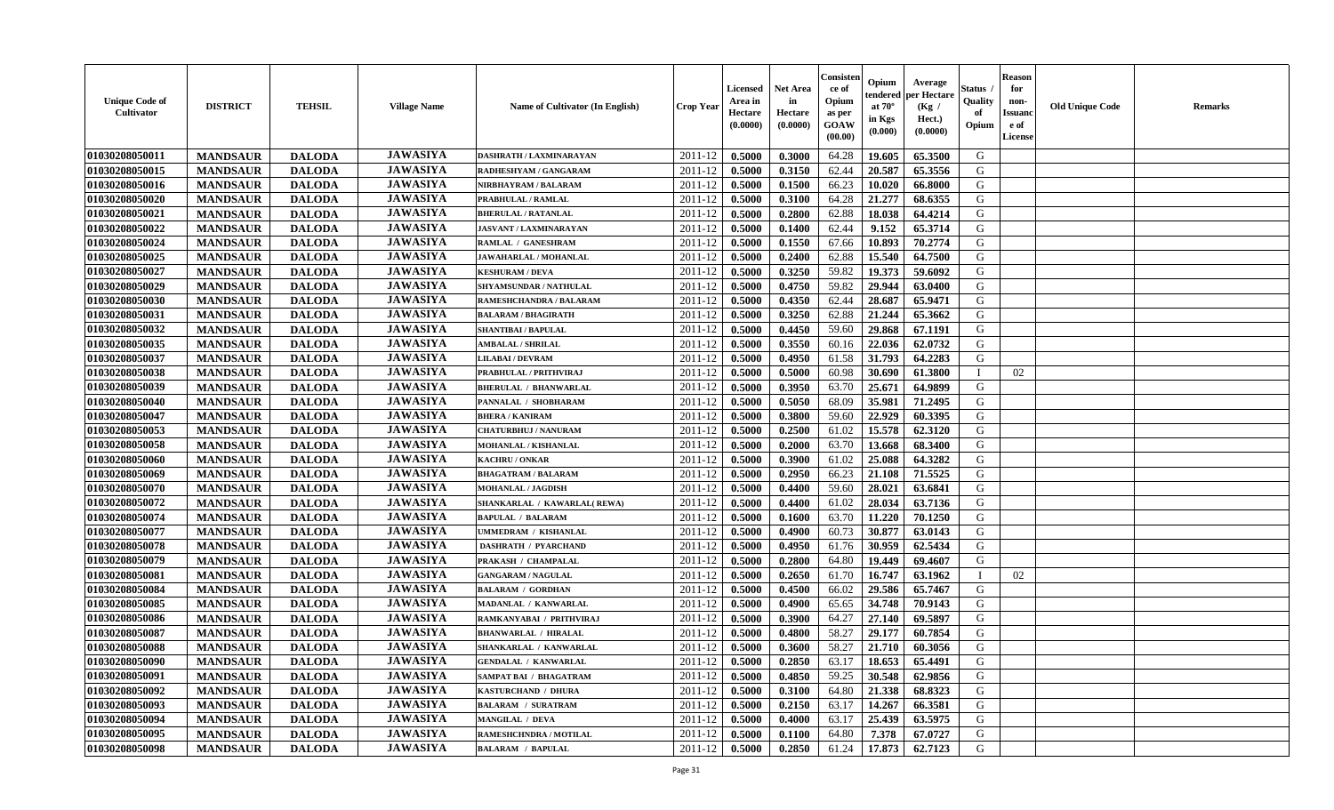| <b>Unique Code of</b><br><b>Cultivator</b> | <b>DISTRICT</b> | <b>TEHSIL</b> | <b>Village Name</b> | Name of Cultivator (In English) | <b>Crop Year</b> | Licensed<br>Area in<br>Hectare<br>(0.0000) | <b>Net Area</b><br>in<br>Hectare<br>(0.0000) | Consisteı<br>ce of<br>Opium<br>as per<br>GOAW<br>(00.00) | Opium<br>endered<br>at $70^\circ$<br>in Kgs<br>(0.000) | Average<br>per Hectare<br>(Kg /<br>Hect.)<br>(0.0000) | Status<br>Quality<br>of<br>Opium | <b>Reason</b><br>for<br>non-<br><b>Issuand</b><br>e of<br>License | <b>Old Unique Code</b> | <b>Remarks</b> |
|--------------------------------------------|-----------------|---------------|---------------------|---------------------------------|------------------|--------------------------------------------|----------------------------------------------|----------------------------------------------------------|--------------------------------------------------------|-------------------------------------------------------|----------------------------------|-------------------------------------------------------------------|------------------------|----------------|
| 01030208050011                             | <b>MANDSAUR</b> | <b>DALODA</b> | <b>JAWASIYA</b>     | DASHRATH / LAXMINARAYAN         | 2011-12          | 0.5000                                     | 0.3000                                       | 64.28                                                    | 19.605                                                 | 65.3500                                               | G                                |                                                                   |                        |                |
| 01030208050015                             | <b>MANDSAUR</b> | <b>DALODA</b> | <b>JAWASIYA</b>     | RADHESHYAM / GANGARAM           | 2011-12          | 0.5000                                     | 0.3150                                       | 62.44                                                    | 20.587                                                 | 65.3556                                               | G                                |                                                                   |                        |                |
| 01030208050016                             | <b>MANDSAUR</b> | <b>DALODA</b> | <b>JAWASIYA</b>     | NIRBHAYRAM / BALARAM            | 2011-12          | 0.5000                                     | 0.1500                                       | 66.23                                                    | 10.020                                                 | 66.8000                                               | G                                |                                                                   |                        |                |
| 01030208050020                             | <b>MANDSAUR</b> | <b>DALODA</b> | <b>JAWASIYA</b>     | PRABHULAL / RAMLAL              | 2011-12          | 0.5000                                     | 0.3100                                       | 64.28                                                    | 21,277                                                 | 68.6355                                               | G                                |                                                                   |                        |                |
| 01030208050021                             | <b>MANDSAUR</b> | <b>DALODA</b> | <b>JAWASIYA</b>     | <b>BHERULAL / RATANLAL</b>      | 2011-12          | 0.5000                                     | 0.2800                                       | 62.88                                                    | 18.038                                                 | 64.4214                                               | G                                |                                                                   |                        |                |
| 01030208050022                             | <b>MANDSAUR</b> | <b>DALODA</b> | <b>JAWASIYA</b>     | <b>JASVANT / LAXMINARAYAN</b>   | 2011-12          | 0.5000                                     | 0.1400                                       | 62.44                                                    | 9.152                                                  | 65.3714                                               | G                                |                                                                   |                        |                |
| 01030208050024                             | <b>MANDSAUR</b> | <b>DALODA</b> | <b>JAWASIYA</b>     | RAMLAL / GANESHRAM              | 2011-12          | 0.5000                                     | 0.1550                                       | 67.66                                                    | 10.893                                                 | 70.2774                                               | G                                |                                                                   |                        |                |
| 01030208050025                             | <b>MANDSAUR</b> | <b>DALODA</b> | <b>JAWASIYA</b>     | JAWAHARLAL / MOHANLAL           | 2011-12          | 0.5000                                     | 0.2400                                       | 62.88                                                    | 15.540                                                 | 64.7500                                               | G                                |                                                                   |                        |                |
| 01030208050027                             | <b>MANDSAUR</b> | <b>DALODA</b> | <b>JAWASIYA</b>     | <b>KESHURAM / DEVA</b>          | 2011-12          | 0.5000                                     | 0.3250                                       | 59.82                                                    | 19.373                                                 | 59.6092                                               | G                                |                                                                   |                        |                |
| 01030208050029                             | <b>MANDSAUR</b> | <b>DALODA</b> | <b>JAWASIYA</b>     | SHYAMSUNDAR / NATHULAL          | 2011-12          | 0.5000                                     | 0.4750                                       | 59.82                                                    | 29.944                                                 | 63.0400                                               | G                                |                                                                   |                        |                |
| 01030208050030                             | <b>MANDSAUR</b> | <b>DALODA</b> | <b>JAWASIYA</b>     | <b>RAMESHCHANDRA / BALARAM</b>  | 2011-12          | 0.5000                                     | 0.4350                                       | 62.44                                                    | 28.687                                                 | 65.9471                                               | $\mathbf G$                      |                                                                   |                        |                |
| 01030208050031                             | <b>MANDSAUR</b> | <b>DALODA</b> | <b>JAWASIYA</b>     | <b>BALARAM / BHAGIRATH</b>      | 2011-12          | 0.5000                                     | 0.3250                                       | 62.88                                                    | 21.244                                                 | 65.3662                                               | G                                |                                                                   |                        |                |
| 01030208050032                             | <b>MANDSAUR</b> | <b>DALODA</b> | <b>JAWASIYA</b>     | <b>SHANTIBAI / BAPULAL</b>      | 2011-12          | 0.5000                                     | 0.4450                                       | 59.60                                                    | 29.868                                                 | 67.1191                                               | G                                |                                                                   |                        |                |
| 01030208050035                             | <b>MANDSAUR</b> | <b>DALODA</b> | <b>JAWASIYA</b>     | <b>AMBALAL / SHRILAL</b>        | 2011-12          | 0.5000                                     | 0.3550                                       | 60.16                                                    | 22.036                                                 | 62.0732                                               | G                                |                                                                   |                        |                |
| 01030208050037                             | <b>MANDSAUR</b> | <b>DALODA</b> | <b>JAWASIYA</b>     | <b>LILABAI/DEVRAM</b>           | 2011-12          | 0.5000                                     | 0.4950                                       | 61.58                                                    | 31.793                                                 | 64.2283                                               | G                                |                                                                   |                        |                |
| 01030208050038                             | <b>MANDSAUR</b> | <b>DALODA</b> | <b>JAWASIYA</b>     | PRABHULAL / PRITHVIRAJ          | 2011-12          | 0.5000                                     | 0.5000                                       | 60.98                                                    | 30.690                                                 | 61.3800                                               | $\mathbf I$                      | 02                                                                |                        |                |
| 01030208050039                             | <b>MANDSAUR</b> | <b>DALODA</b> | <b>JAWASIYA</b>     | <b>BHERULAL / BHANWARLAL</b>    | 2011-12          | 0.5000                                     | 0.3950                                       | 63.70                                                    | 25.671                                                 | 64.9899                                               | G                                |                                                                   |                        |                |
| 01030208050040                             | <b>MANDSAUR</b> | <b>DALODA</b> | <b>JAWASIYA</b>     | PANNALAL / SHOBHARAM            | 2011-12          | 0.5000                                     | 0.5050                                       | 68.09                                                    | 35.981                                                 | 71.2495                                               | G                                |                                                                   |                        |                |
| 01030208050047                             | <b>MANDSAUR</b> | <b>DALODA</b> | <b>JAWASIYA</b>     | <b>BHERA / KANIRAM</b>          | 2011-12          | 0.5000                                     | 0.3800                                       | 59.60                                                    | 22.929                                                 | 60.3395                                               | G                                |                                                                   |                        |                |
| 01030208050053                             | <b>MANDSAUR</b> | <b>DALODA</b> | <b>JAWASIYA</b>     | <b>CHATURBHUJ / NANURAM</b>     | 2011-12          | 0.5000                                     | 0.2500                                       | 61.02                                                    | 15.578                                                 | 62.3120                                               | G                                |                                                                   |                        |                |
| 01030208050058                             | <b>MANDSAUR</b> | <b>DALODA</b> | <b>JAWASIYA</b>     | <b>MOHANLAL / KISHANLAL</b>     | 2011-12          | 0.5000                                     | 0.2000                                       | 63.70                                                    | 13.668                                                 | 68.3400                                               | G                                |                                                                   |                        |                |
| 01030208050060                             | <b>MANDSAUR</b> | <b>DALODA</b> | <b>JAWASIYA</b>     | KACHRU / ONKAR                  | 2011-12          | 0.5000                                     | 0.3900                                       | 61.02                                                    | 25.088                                                 | 64.3282                                               | G                                |                                                                   |                        |                |
| 01030208050069                             | <b>MANDSAUR</b> | <b>DALODA</b> | <b>JAWASIYA</b>     | <b>BHAGATRAM / BALARAM</b>      | 2011-12          | 0.5000                                     | 0.2950                                       | 66.23                                                    | 21.108                                                 | 71.5525                                               | G                                |                                                                   |                        |                |
| 01030208050070                             | <b>MANDSAUR</b> | <b>DALODA</b> | <b>JAWASIYA</b>     | <b>MOHANLAL / JAGDISH</b>       | 2011-12          | 0.5000                                     | 0.4400                                       | 59.60                                                    | 28.021                                                 | 63.6841                                               | G                                |                                                                   |                        |                |
| 01030208050072                             | <b>MANDSAUR</b> | <b>DALODA</b> | <b>JAWASIYA</b>     | SHANKARLAL / KAWARLAL(REWA)     | 2011-12          | 0.5000                                     | 0.4400                                       | 61.02                                                    | 28.034                                                 | 63.7136                                               | G                                |                                                                   |                        |                |
| 01030208050074                             | <b>MANDSAUR</b> | <b>DALODA</b> | <b>JAWASIYA</b>     | <b>BAPULAL / BALARAM</b>        | $2011 - 12$      | 0.5000                                     | 0.1600                                       | 63.70                                                    | 11.220                                                 | 70.1250                                               | G                                |                                                                   |                        |                |
| 01030208050077                             | <b>MANDSAUR</b> | <b>DALODA</b> | <b>JAWASIYA</b>     | UMMEDRAM / KISHANLAL            | 2011-12          | 0.5000                                     | 0.4900                                       | 60.73                                                    | 30.877                                                 | 63.0143                                               | G                                |                                                                   |                        |                |
| 01030208050078                             | <b>MANDSAUR</b> | <b>DALODA</b> | <b>JAWASIYA</b>     | <b>DASHRATH / PYARCHAND</b>     | 2011-12          | 0.5000                                     | 0.4950                                       | 61.76                                                    | 30.959                                                 | 62.5434                                               | G                                |                                                                   |                        |                |
| 01030208050079                             | <b>MANDSAUR</b> | <b>DALODA</b> | <b>JAWASIYA</b>     | PRAKASH / CHAMPALAL             | 2011-12          | 0.5000                                     | 0.2800                                       | 64.80                                                    | 19.449                                                 | 69.4607                                               | G                                |                                                                   |                        |                |
| 01030208050081                             | <b>MANDSAUR</b> | <b>DALODA</b> | <b>JAWASIYA</b>     | <b>GANGARAM / NAGULAL</b>       | 2011-12          | 0.5000                                     | 0.2650                                       | 61.70                                                    | 16.747                                                 | 63.1962                                               | $\mathbf{I}$                     | 02                                                                |                        |                |
| 01030208050084                             | <b>MANDSAUR</b> | <b>DALODA</b> | <b>JAWASIYA</b>     | <b>BALARAM / GORDHAN</b>        | 2011-12          | 0.5000                                     | 0.4500                                       | 66.02                                                    | 29.586                                                 | 65.7467                                               | G                                |                                                                   |                        |                |
| 01030208050085                             | <b>MANDSAUR</b> | <b>DALODA</b> | <b>JAWASIYA</b>     | MADANLAL / KANWARLAL            | 2011-12          | 0.5000                                     | 0.4900                                       | 65.65                                                    | 34.748                                                 | 70.9143                                               | G                                |                                                                   |                        |                |
| 01030208050086                             | <b>MANDSAUR</b> | <b>DALODA</b> | <b>JAWASIYA</b>     | RAMKANYABAI / PRITHVIRAJ        | 2011-12          | 0.5000                                     | 0.3900                                       | 64.27                                                    | 27.140                                                 | 69.5897                                               | G                                |                                                                   |                        |                |
| 01030208050087                             | <b>MANDSAUR</b> | <b>DALODA</b> | <b>JAWASIYA</b>     | <b>BHANWARLAL / HIRALAL</b>     | 2011-12          | 0.5000                                     | 0.4800                                       | 58.27                                                    | 29.177                                                 | 60.7854                                               | G                                |                                                                   |                        |                |
| 01030208050088                             | <b>MANDSAUR</b> | <b>DALODA</b> | <b>JAWASIYA</b>     | SHANKARLAL / KANWARLAL          | 2011-12          | 0.5000                                     | 0.3600                                       | 58.27                                                    | 21.710                                                 | 60.3056                                               | G                                |                                                                   |                        |                |
| 01030208050090                             | <b>MANDSAUR</b> | <b>DALODA</b> | <b>JAWASIYA</b>     | <b>GENDALAL / KANWARLAL</b>     | 2011-12          | 0.5000                                     | 0.2850                                       | 63.17                                                    | 18.653                                                 | 65.4491                                               | G                                |                                                                   |                        |                |
| 01030208050091                             | <b>MANDSAUR</b> | <b>DALODA</b> | <b>JAWASIYA</b>     | <b>SAMPAT BAI / BHAGATRAM</b>   | 2011-12          | 0.5000                                     | 0.4850                                       | 59.25                                                    | 30.548                                                 | 62.9856                                               | G                                |                                                                   |                        |                |
| 01030208050092                             | <b>MANDSAUR</b> | <b>DALODA</b> | <b>JAWASIYA</b>     | <b>KASTURCHAND / DHURA</b>      | 2011-12          | 0.5000                                     | 0.3100                                       | 64.80                                                    | 21.338                                                 | 68.8323                                               | G                                |                                                                   |                        |                |
| 01030208050093                             | <b>MANDSAUR</b> | <b>DALODA</b> | <b>JAWASIYA</b>     | <b>BALARAM / SURATRAM</b>       | 2011-12          | 0.5000                                     | 0.2150                                       | 63.17                                                    | 14.267                                                 | 66.3581                                               | G                                |                                                                   |                        |                |
| 01030208050094                             | <b>MANDSAUR</b> | <b>DALODA</b> | <b>JAWASIYA</b>     | <b>MANGILAL / DEVA</b>          | 2011-12          | 0.5000                                     | 0.4000                                       | 63.17                                                    | 25.439                                                 | 63.5975                                               | G                                |                                                                   |                        |                |
| 01030208050095                             | <b>MANDSAUR</b> | <b>DALODA</b> | <b>JAWASIYA</b>     | <b>RAMESHCHNDRA / MOTILAL</b>   | 2011-12          | 0.5000                                     | 0.1100                                       | 64.80                                                    | 7.378                                                  | 67.0727                                               | G                                |                                                                   |                        |                |
| 01030208050098                             | <b>MANDSAUR</b> | <b>DALODA</b> | <b>JAWASIYA</b>     | <b>BALARAM / BAPULAL</b>        | 2011-12          | 0.5000                                     | 0.2850                                       | 61.24                                                    | 17.873                                                 | 62.7123                                               | G                                |                                                                   |                        |                |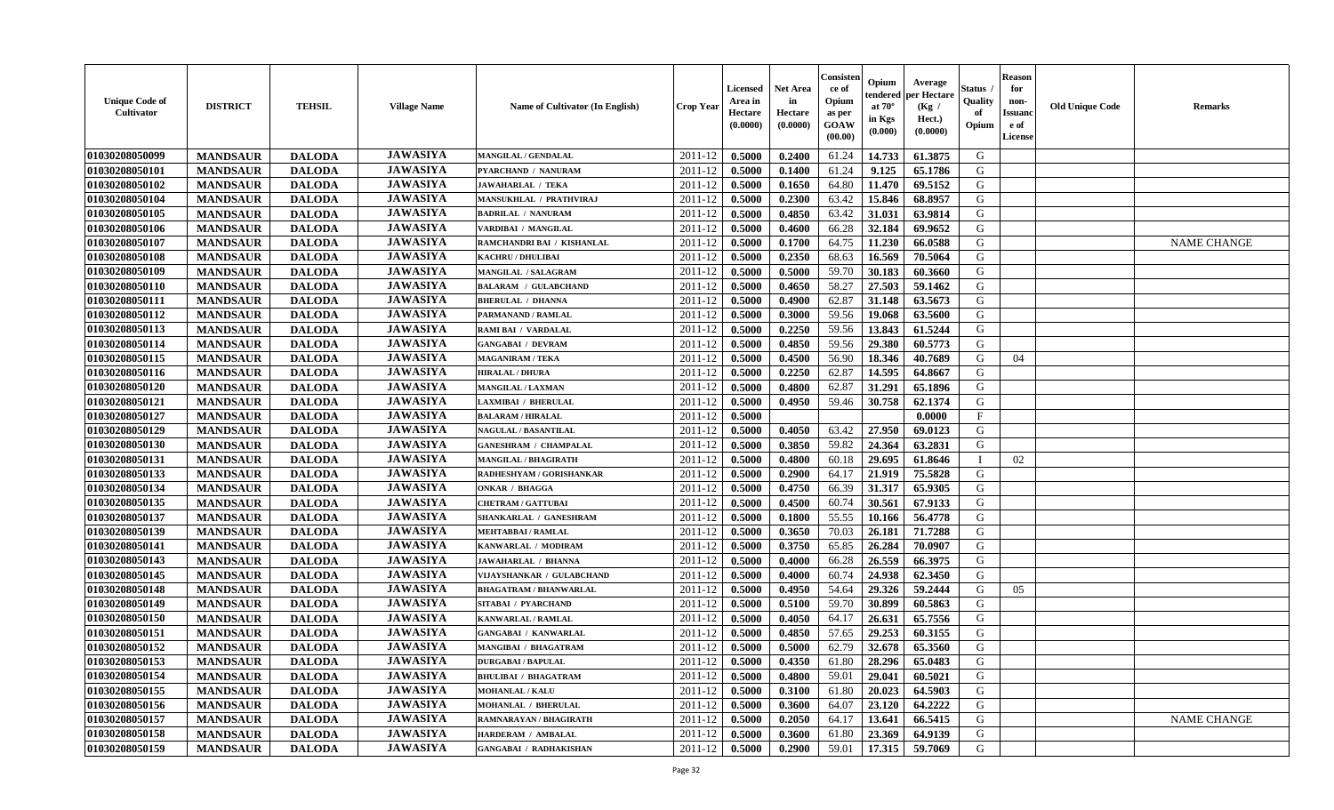| <b>Unique Code of</b><br>Cultivator | <b>DISTRICT</b> | <b>TEHSIL</b> | <b>Village Name</b> | Name of Cultivator (In English) | <b>Crop Year</b> | <b>Licensed</b><br>Area in<br>Hectare<br>(0.0000) | <b>Net Area</b><br>in<br>Hectare<br>(0.0000) | Consisteı<br>ce of<br>Opium<br>as per<br>GOAW<br>(00.00) | Opium<br>endered<br>at 70°<br>in Kgs<br>(0.000) | Average<br>oer Hectare<br>(Kg /<br>Hect.)<br>(0.0000) | Status<br>Quality<br>of<br>Opium | <b>Reason</b><br>for<br>non-<br><b>Issuand</b><br>e of<br>License | <b>Old Unique Code</b> | <b>Remarks</b>     |
|-------------------------------------|-----------------|---------------|---------------------|---------------------------------|------------------|---------------------------------------------------|----------------------------------------------|----------------------------------------------------------|-------------------------------------------------|-------------------------------------------------------|----------------------------------|-------------------------------------------------------------------|------------------------|--------------------|
| 01030208050099                      | <b>MANDSAUR</b> | <b>DALODA</b> | <b>JAWASIYA</b>     | <b>MANGILAL / GENDALAL</b>      | 2011-12          | 0.5000                                            | 0.2400                                       | 61.24                                                    | 14.733                                          | 61.3875                                               | G                                |                                                                   |                        |                    |
| 01030208050101                      | <b>MANDSAUR</b> | <b>DALODA</b> | <b>JAWASIYA</b>     | PYARCHAND / NANURAM             | 2011-12          | 0.5000                                            | 0.1400                                       | 61.24                                                    | 9.125                                           | 65.1786                                               | G                                |                                                                   |                        |                    |
| 01030208050102                      | <b>MANDSAUR</b> | <b>DALODA</b> | <b>JAWASIYA</b>     | <b>JAWAHARLAL / TEKA</b>        | 2011-12          | 0.5000                                            | 0.1650                                       | 64.80                                                    | 11.470                                          | 69.5152                                               | G                                |                                                                   |                        |                    |
| 01030208050104                      | <b>MANDSAUR</b> | <b>DALODA</b> | <b>JAWASIYA</b>     | MANSUKHLAL / PRATHVIRAJ         | 2011-12          | 0.5000                                            | 0.2300                                       | 63.42                                                    | 15.846                                          | 68.8957                                               | G                                |                                                                   |                        |                    |
| 01030208050105                      | <b>MANDSAUR</b> | <b>DALODA</b> | <b>JAWASIYA</b>     | <b>BADRILAL / NANURAM</b>       | 2011-12          | 0.5000                                            | 0.4850                                       | 63.42                                                    | 31.031                                          | 63.9814                                               | G                                |                                                                   |                        |                    |
| 01030208050106                      | <b>MANDSAUR</b> | <b>DALODA</b> | <b>JAWASIYA</b>     | VARDIBAI / MANGILAL             | 2011-12          | 0.5000                                            | 0.4600                                       | 66.28                                                    | 32.184                                          | 69.9652                                               | G                                |                                                                   |                        |                    |
| 01030208050107                      | <b>MANDSAUR</b> | <b>DALODA</b> | <b>JAWASIYA</b>     | RAMCHANDRI BAI / KISHANLAL      | 2011-12          | 0.5000                                            | 0.1700                                       | 64.75                                                    | 11.230                                          | 66.0588                                               | G                                |                                                                   |                        | <b>NAME CHANGE</b> |
| 01030208050108                      | <b>MANDSAUR</b> | <b>DALODA</b> | <b>JAWASIYA</b>     | KACHRU / DHULIBAI               | 2011-12          | 0.5000                                            | 0.2350                                       | 68.63                                                    | 16.569                                          | 70.5064                                               | G                                |                                                                   |                        |                    |
| 01030208050109                      | <b>MANDSAUR</b> | <b>DALODA</b> | <b>JAWASIYA</b>     | <b>MANGILAL / SALAGRAM</b>      | 2011-12          | 0.5000                                            | 0.5000                                       | 59.70                                                    | 30.183                                          | 60.3660                                               | G                                |                                                                   |                        |                    |
| 01030208050110                      | <b>MANDSAUR</b> | <b>DALODA</b> | <b>JAWASIYA</b>     | <b>BALARAM / GULABCHAND</b>     | 2011-12          | 0.5000                                            | 0.4650                                       | 58.27                                                    | 27.503                                          | 59.1462                                               | G                                |                                                                   |                        |                    |
| 01030208050111                      | <b>MANDSAUR</b> | <b>DALODA</b> | <b>JAWASIYA</b>     | <b>BHERULAL / DHANNA</b>        | 2011-12          | 0.5000                                            | 0.4900                                       | 62.87                                                    | 31.148                                          | 63.5673                                               | G                                |                                                                   |                        |                    |
| 01030208050112                      | <b>MANDSAUR</b> | <b>DALODA</b> | <b>JAWASIYA</b>     | PARMANAND / RAMLAL              | 2011-12          | 0.5000                                            | 0.3000                                       | 59.56                                                    | 19.068                                          | 63.5600                                               | G                                |                                                                   |                        |                    |
| 01030208050113                      | <b>MANDSAUR</b> | <b>DALODA</b> | <b>JAWASIYA</b>     | <b>RAMI BAI / VARDALAL</b>      | 2011-12          | 0.5000                                            | 0.2250                                       | 59.56                                                    | 13.843                                          | 61.5244                                               | G                                |                                                                   |                        |                    |
| 01030208050114                      | <b>MANDSAUR</b> | <b>DALODA</b> | <b>JAWASIYA</b>     | <b>GANGABAI / DEVRAM</b>        | 2011-12          | 0.5000                                            | 0.4850                                       | 59.56                                                    | 29.380                                          | 60.5773                                               | G                                |                                                                   |                        |                    |
| 01030208050115                      | <b>MANDSAUR</b> | <b>DALODA</b> | <b>JAWASIYA</b>     | <b>MAGANIRAM / TEKA</b>         | 2011-12          | 0.5000                                            | 0.4500                                       | 56.90                                                    | 18.346                                          | 40.7689                                               | G                                | 04                                                                |                        |                    |
| 01030208050116                      | <b>MANDSAUR</b> | <b>DALODA</b> | <b>JAWASIYA</b>     | <b>HIRALAL / DHURA</b>          | 2011-12          | 0.5000                                            | 0.2250                                       | 62.87                                                    | 14.595                                          | 64.8667                                               | G                                |                                                                   |                        |                    |
| 01030208050120                      | <b>MANDSAUR</b> | <b>DALODA</b> | <b>JAWASIYA</b>     | <b>MANGILAL / LAXMAN</b>        | 2011-12          | 0.5000                                            | 0.4800                                       | 62.87                                                    | 31.291                                          | 65.1896                                               | G                                |                                                                   |                        |                    |
| 01030208050121                      | <b>MANDSAUR</b> | <b>DALODA</b> | <b>JAWASIYA</b>     | LAXMIBAI / BHERULAL             | 2011-12          | 0.5000                                            | 0.4950                                       | 59.46                                                    | 30.758                                          | 62.1374                                               | G                                |                                                                   |                        |                    |
| 01030208050127                      | <b>MANDSAUR</b> | <b>DALODA</b> | <b>JAWASIYA</b>     | <b>BALARAM / HIRALAL</b>        | 2011-12          | 0.5000                                            |                                              |                                                          |                                                 | 0.0000                                                | F                                |                                                                   |                        |                    |
| 01030208050129                      | <b>MANDSAUR</b> | <b>DALODA</b> | <b>JAWASIYA</b>     | <b>NAGULAL / BASANTILAL</b>     | 2011-12          | 0.5000                                            | 0.4050                                       | 63.42                                                    | 27.950                                          | 69.0123                                               | G                                |                                                                   |                        |                    |
| 01030208050130                      | <b>MANDSAUR</b> | <b>DALODA</b> | <b>JAWASIYA</b>     | <b>GANESHRAM / CHAMPALAL</b>    | 2011-12          | 0.5000                                            | 0.3850                                       | 59.82                                                    | 24.364                                          | 63.2831                                               | G                                |                                                                   |                        |                    |
| 01030208050131                      | <b>MANDSAUR</b> | <b>DALODA</b> | <b>JAWASIYA</b>     | MANGILAL / BHAGIRATH            | 2011-12          | 0.5000                                            | 0.4800                                       | 60.18                                                    | 29.695                                          | 61.8646                                               | $\mathbf{I}$                     | 02                                                                |                        |                    |
| 01030208050133                      | <b>MANDSAUR</b> | <b>DALODA</b> | <b>JAWASIYA</b>     | RADHESHYAM / GORISHANKAR        | 2011-12          | 0.5000                                            | 0.2900                                       | 64.17                                                    | 21.919                                          | 75.5828                                               | G                                |                                                                   |                        |                    |
| 01030208050134                      | <b>MANDSAUR</b> | <b>DALODA</b> | <b>JAWASIYA</b>     | <b>ONKAR / BHAGGA</b>           | 2011-12          | 0.5000                                            | 0.4750                                       | 66.39                                                    | 31.317                                          | 65.9305                                               | G                                |                                                                   |                        |                    |
| 01030208050135                      | <b>MANDSAUR</b> | <b>DALODA</b> | <b>JAWASIYA</b>     | <b>CHETRAM / GATTUBAI</b>       | 2011-12          | 0.5000                                            | 0.4500                                       | 60.74                                                    | 30.561                                          | 67.9133                                               | G                                |                                                                   |                        |                    |
| 01030208050137                      | <b>MANDSAUR</b> | <b>DALODA</b> | <b>JAWASIYA</b>     | SHANKARLAL / GANESHRAM          | 2011-12          | 0.5000                                            | 0.1800                                       | 55.55                                                    | 10.166                                          | 56.4778                                               | G                                |                                                                   |                        |                    |
| 01030208050139                      | <b>MANDSAUR</b> | <b>DALODA</b> | <b>JAWASIYA</b>     | <b>MEHTABBAI/RAMLAL</b>         | 2011-12          | 0.5000                                            | 0.3650                                       | 70.03                                                    | 26.181                                          | 71.7288                                               | G                                |                                                                   |                        |                    |
| 01030208050141                      | <b>MANDSAUR</b> | <b>DALODA</b> | <b>JAWASIYA</b>     | KANWARLAL / MODIRAM             | 2011-12          | 0.5000                                            | 0.3750                                       | 65.85                                                    | 26.284                                          | 70.0907                                               | G                                |                                                                   |                        |                    |
| 01030208050143                      | <b>MANDSAUR</b> | <b>DALODA</b> | <b>JAWASIYA</b>     | <b>JAWAHARLAL / BHANNA</b>      | 2011-12          | 0.5000                                            | 0.4000                                       | 66.28                                                    | 26.559                                          | 66.3975                                               | G                                |                                                                   |                        |                    |
| 01030208050145                      | <b>MANDSAUR</b> | <b>DALODA</b> | <b>JAWASIYA</b>     | VIJAYSHANKAR / GULABCHAND       | 2011-12          | 0.5000                                            | 0.4000                                       | 60.74                                                    | 24.938                                          | 62.3450                                               | G                                |                                                                   |                        |                    |
| 01030208050148                      | <b>MANDSAUR</b> | <b>DALODA</b> | <b>JAWASIYA</b>     | <b>BHAGATRAM / BHANWARLAL</b>   | 2011-12          | 0.5000                                            | 0.4950                                       | 54.64                                                    | 29.326                                          | 59.2444                                               | G                                | 05                                                                |                        |                    |
| 01030208050149                      | <b>MANDSAUR</b> | <b>DALODA</b> | <b>JAWASIYA</b>     | SITABAI / PYARCHAND             | 2011-12          | 0.5000                                            | 0.5100                                       | 59.70                                                    | 30.899                                          | 60.5863                                               | G                                |                                                                   |                        |                    |
| 01030208050150                      | <b>MANDSAUR</b> | <b>DALODA</b> | <b>JAWASIYA</b>     | KANWARLAL / RAMLAL              | 2011-12          | 0.5000                                            | 0.4050                                       | 64.17                                                    | 26.631                                          | 65.7556                                               | G                                |                                                                   |                        |                    |
| 01030208050151                      | <b>MANDSAUR</b> | <b>DALODA</b> | <b>JAWASIYA</b>     | <b>GANGABAI / KANWARLAL</b>     | 2011-12          | 0.5000                                            | 0.4850                                       | 57.65                                                    | 29.253                                          | 60.3155                                               | G                                |                                                                   |                        |                    |
| 01030208050152                      | <b>MANDSAUR</b> | <b>DALODA</b> | <b>JAWASIYA</b>     | MANGIBAI / BHAGATRAM            | 2011-12          | 0.5000                                            | 0.5000                                       | 62.79                                                    | 32.678                                          | 65.3560                                               | G                                |                                                                   |                        |                    |
| 01030208050153                      | <b>MANDSAUR</b> | <b>DALODA</b> | <b>JAWASIYA</b>     | <b>DURGABAI/BAPULAL</b>         | 2011-12          | 0.5000                                            | 0.4350                                       | 61.80                                                    | 28.296                                          | 65.0483                                               | G                                |                                                                   |                        |                    |
| 01030208050154                      | <b>MANDSAUR</b> | <b>DALODA</b> | <b>JAWASIYA</b>     | <b>BHULIBAI / BHAGATRAM</b>     | 2011-12          | 0.5000                                            | 0.4800                                       | 59.01                                                    | 29.041                                          | 60.5021                                               | G                                |                                                                   |                        |                    |
| 01030208050155                      | <b>MANDSAUR</b> | <b>DALODA</b> | <b>JAWASIYA</b>     | <b>MOHANLAL / KALU</b>          | 2011-12          | 0.5000                                            | 0.3100                                       | 61.80                                                    | 20.023                                          | 64.5903                                               | G                                |                                                                   |                        |                    |
| 01030208050156                      | <b>MANDSAUR</b> | <b>DALODA</b> | <b>JAWASIYA</b>     | MOHANLAL / BHERULAL             | 2011-12          | 0.5000                                            | 0.3600                                       | 64.07                                                    | 23.120                                          | 64.2222                                               | $\mathbf G$                      |                                                                   |                        |                    |
| 01030208050157                      | <b>MANDSAUR</b> | <b>DALODA</b> | <b>JAWASIYA</b>     | RAMNARAYAN / BHAGIRATH          | 2011-12          | 0.5000                                            | 0.2050                                       | 64.17                                                    | 13.641                                          | 66.5415                                               | G                                |                                                                   |                        | <b>NAME CHANGE</b> |
| 01030208050158                      | <b>MANDSAUR</b> | <b>DALODA</b> | <b>JAWASIYA</b>     | <b>HARDERAM / AMBALAL</b>       | 2011-12          | 0.5000                                            | 0.3600                                       | 61.80                                                    | 23.369                                          | 64.9139                                               | G                                |                                                                   |                        |                    |
| 01030208050159                      | <b>MANDSAUR</b> | <b>DALODA</b> | <b>JAWASIYA</b>     | <b>GANGABAI / RADHAKISHAN</b>   | 2011-12          | 0.5000                                            | 0.2900                                       | 59.01                                                    | 17.315                                          | 59.7069                                               | G                                |                                                                   |                        |                    |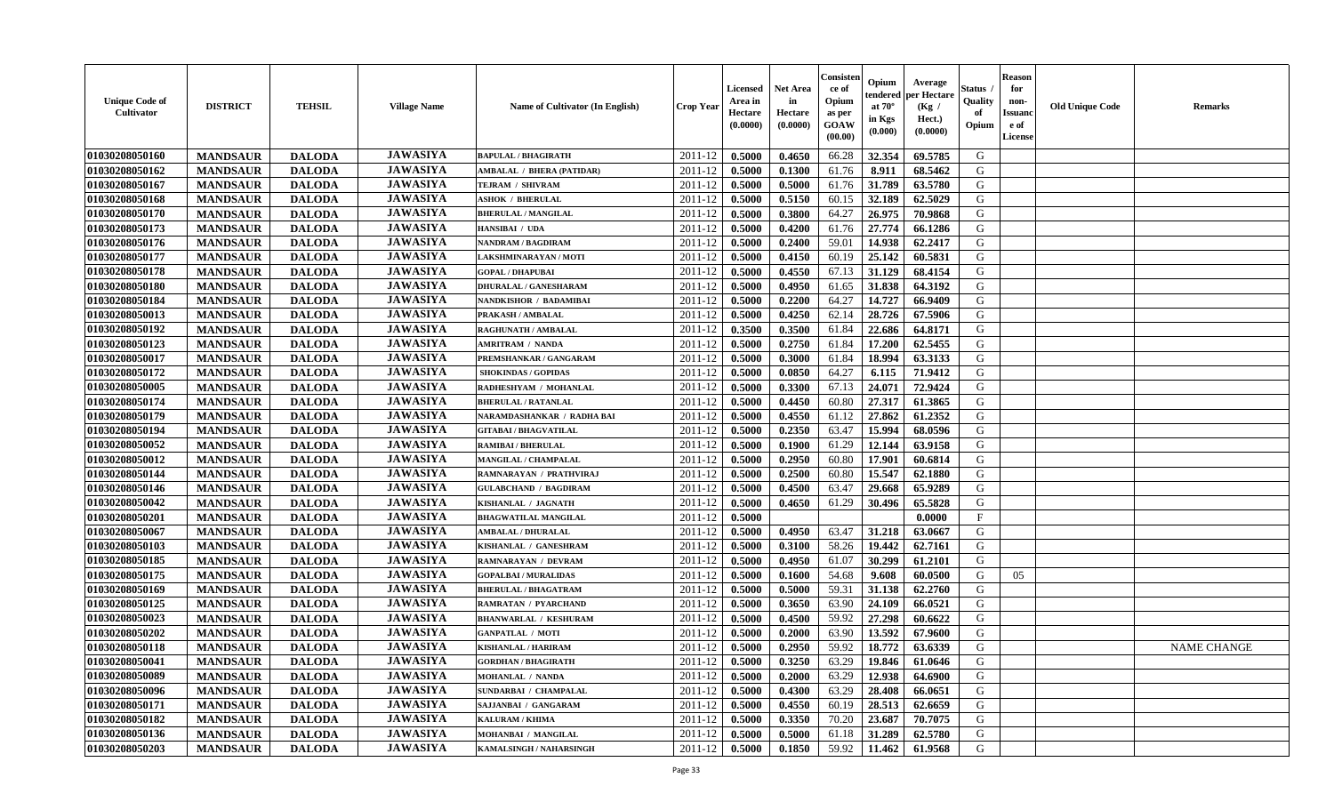| <b>Unique Code of</b><br><b>Cultivator</b> | <b>DISTRICT</b> | <b>TEHSIL</b> | <b>Village Name</b> | Name of Cultivator (In English)  | <b>Crop Year</b> | <b>Licensed</b><br>Area in<br>Hectare<br>(0.0000) | <b>Net Area</b><br>in<br>Hectare<br>(0.0000) | Consister<br>ce of<br>Opium<br>as per<br>GOAW<br>(00.00) | Opium<br>endered<br>at $70^{\circ}$<br>in Kgs<br>(0.000) | Average<br>per Hectare<br>(Kg /<br>Hect.)<br>(0.0000) | <b>Status</b><br>Quality<br>of<br>Opium | <b>Reason</b><br>for<br>non-<br><b>Issuand</b><br>e of<br>License | <b>Old Unique Code</b> | <b>Remarks</b>     |
|--------------------------------------------|-----------------|---------------|---------------------|----------------------------------|------------------|---------------------------------------------------|----------------------------------------------|----------------------------------------------------------|----------------------------------------------------------|-------------------------------------------------------|-----------------------------------------|-------------------------------------------------------------------|------------------------|--------------------|
| 01030208050160                             | <b>MANDSAUR</b> | <b>DALODA</b> | <b>JAWASIYA</b>     | <b>BAPULAL / BHAGIRATH</b>       | 2011-12          | 0.5000                                            | 0.4650                                       | 66.28                                                    | 32.354                                                   | 69.5785                                               | G                                       |                                                                   |                        |                    |
| 01030208050162                             | <b>MANDSAUR</b> | <b>DALODA</b> | <b>JAWASIYA</b>     | <b>AMBALAL / BHERA (PATIDAR)</b> | 2011-12          | 0.5000                                            | 0.1300                                       | 61.76                                                    | 8.911                                                    | 68.5462                                               | G                                       |                                                                   |                        |                    |
| 01030208050167                             | <b>MANDSAUR</b> | <b>DALODA</b> | <b>JAWASIYA</b>     | TEJRAM / SHIVRAM                 | 2011-12          | 0.5000                                            | 0.5000                                       | 61.76                                                    | 31.789                                                   | 63.5780                                               | G                                       |                                                                   |                        |                    |
| 01030208050168                             | <b>MANDSAUR</b> | <b>DALODA</b> | <b>JAWASIYA</b>     | <b>ASHOK / BHERULAL</b>          | 2011-12          | 0.5000                                            | 0.5150                                       | 60.15                                                    | 32.189                                                   | 62.5029                                               | G                                       |                                                                   |                        |                    |
| 01030208050170                             | <b>MANDSAUR</b> | <b>DALODA</b> | <b>JAWASIYA</b>     | <b>BHERULAL / MANGILAL</b>       | 2011-12          | 0.5000                                            | 0.3800                                       | 64.27                                                    | 26.975                                                   | 70.9868                                               | G                                       |                                                                   |                        |                    |
| 01030208050173                             | <b>MANDSAUR</b> | <b>DALODA</b> | <b>JAWASIYA</b>     | HANSIBAI / UDA                   | 2011-12          | 0.5000                                            | 0.4200                                       | 61.76                                                    | 27.774                                                   | 66.1286                                               | G                                       |                                                                   |                        |                    |
| 01030208050176                             | <b>MANDSAUR</b> | <b>DALODA</b> | <b>JAWASIYA</b>     | NANDRAM / BAGDIRAM               | 2011-12          | 0.5000                                            | 0.2400                                       | 59.01                                                    | 14.938                                                   | 62.2417                                               | ${\bf G}$                               |                                                                   |                        |                    |
| 01030208050177                             | <b>MANDSAUR</b> | <b>DALODA</b> | <b>JAWASIYA</b>     | LAKSHMINARAYAN / MOTI            | 2011-12          | 0.5000                                            | 0.4150                                       | 60.19                                                    | 25.142                                                   | 60.5831                                               | G                                       |                                                                   |                        |                    |
| 01030208050178                             | <b>MANDSAUR</b> | <b>DALODA</b> | <b>JAWASIYA</b>     | <b>GOPAL / DHAPUBAI</b>          | 2011-12          | 0.5000                                            | 0.4550                                       | 67.13                                                    | 31.129                                                   | 68.4154                                               | G                                       |                                                                   |                        |                    |
| 01030208050180                             | <b>MANDSAUR</b> | <b>DALODA</b> | <b>JAWASIYA</b>     | <b>DHURALAL / GANESHARAM</b>     | 2011-12          | 0.5000                                            | 0.4950                                       | 61.65                                                    | 31.838                                                   | 64.3192                                               | G                                       |                                                                   |                        |                    |
| 01030208050184                             | <b>MANDSAUR</b> | <b>DALODA</b> | <b>JAWASIYA</b>     | NANDKISHOR / BADAMIBAI           | 2011-12          | 0.5000                                            | 0.2200                                       | 64.27                                                    | 14.727                                                   | 66.9409                                               | G                                       |                                                                   |                        |                    |
| 01030208050013                             | <b>MANDSAUR</b> | <b>DALODA</b> | <b>JAWASIYA</b>     | PRAKASH / AMBALAL                | 2011-12          | 0.5000                                            | 0.4250                                       | 62.14                                                    | 28.726                                                   | 67.5906                                               | G                                       |                                                                   |                        |                    |
| 01030208050192                             | <b>MANDSAUR</b> | <b>DALODA</b> | <b>JAWASIYA</b>     | <b>RAGHUNATH / AMBALAL</b>       | 2011-12          | 0.3500                                            | 0.3500                                       | 61.84                                                    | 22.686                                                   | 64.8171                                               | G                                       |                                                                   |                        |                    |
| 01030208050123                             | <b>MANDSAUR</b> | <b>DALODA</b> | <b>JAWASIYA</b>     | <b>AMRITRAM / NANDA</b>          | 2011-12          | 0.5000                                            | 0.2750                                       | 61.84                                                    | 17.200                                                   | 62.5455                                               | G                                       |                                                                   |                        |                    |
| 01030208050017                             | <b>MANDSAUR</b> | <b>DALODA</b> | <b>JAWASIYA</b>     | PREMSHANKAR / GANGARAM           | 2011-12          | 0.5000                                            | 0.3000                                       | 61.84                                                    | 18.994                                                   | 63.3133                                               | G                                       |                                                                   |                        |                    |
| 01030208050172                             | <b>MANDSAUR</b> | <b>DALODA</b> | <b>JAWASIYA</b>     | <b>SHOKINDAS / GOPIDAS</b>       | 2011-12          | 0.5000                                            | 0.0850                                       | 64.27                                                    | 6.115                                                    | 71.9412                                               | G                                       |                                                                   |                        |                    |
| 01030208050005                             | <b>MANDSAUR</b> | <b>DALODA</b> | <b>JAWASIYA</b>     | RADHESHYAM / MOHANLAL            | 2011-12          | 0.5000                                            | 0.3300                                       | 67.13                                                    | 24.071                                                   | 72.9424                                               | G                                       |                                                                   |                        |                    |
| 01030208050174                             | <b>MANDSAUR</b> | <b>DALODA</b> | <b>JAWASIYA</b>     | <b>BHERULAL / RATANLAL</b>       | 2011-12          | 0.5000                                            | 0.4450                                       | 60.80                                                    | 27.317                                                   | 61.3865                                               | G                                       |                                                                   |                        |                    |
| 01030208050179                             | <b>MANDSAUR</b> | <b>DALODA</b> | <b>JAWASIYA</b>     | NARAMDASHANKAR / RADHA BAI       | 2011-12          | 0.5000                                            | 0.4550                                       | 61.12                                                    | 27.862                                                   | 61.2352                                               | G                                       |                                                                   |                        |                    |
| 01030208050194                             | <b>MANDSAUR</b> | <b>DALODA</b> | <b>JAWASIYA</b>     | <b>GITABAI/BHAGVATILAL</b>       | 2011-12          | 0.5000                                            | 0.2350                                       | 63.47                                                    | 15.994                                                   | 68.0596                                               | G                                       |                                                                   |                        |                    |
| 01030208050052                             | <b>MANDSAUR</b> | <b>DALODA</b> | <b>JAWASIYA</b>     | <b>RAMIBAI / BHERULAL</b>        | 2011-12          | 0.5000                                            | 0.1900                                       | 61.29                                                    | 12.144                                                   | 63.9158                                               | G                                       |                                                                   |                        |                    |
| 01030208050012                             | <b>MANDSAUR</b> | <b>DALODA</b> | <b>JAWASIYA</b>     | MANGILAL / CHAMPALAL             | 2011-12          | 0.5000                                            | 0.2950                                       | 60.80                                                    | 17.901                                                   | 60.6814                                               | G                                       |                                                                   |                        |                    |
| 01030208050144                             | <b>MANDSAUR</b> | <b>DALODA</b> | <b>JAWASIYA</b>     | RAMNARAYAN / PRATHVIRAJ          | 2011-12          | 0.5000                                            | 0.2500                                       | 60.80                                                    | 15.547                                                   | 62.1880                                               | ${\bf G}$                               |                                                                   |                        |                    |
| 01030208050146                             | <b>MANDSAUR</b> | <b>DALODA</b> | <b>JAWASIYA</b>     | <b>GULABCHAND / BAGDIRAM</b>     | 2011-12          | 0.5000                                            | 0.4500                                       | 63.47                                                    | 29.668                                                   | 65.9289                                               | G                                       |                                                                   |                        |                    |
| 01030208050042                             | <b>MANDSAUR</b> | <b>DALODA</b> | <b>JAWASIYA</b>     | KISHANLAL / JAGNATH              | 2011-12          | 0.5000                                            | 0.4650                                       | 61.29                                                    | 30.496                                                   | 65.5828                                               | G                                       |                                                                   |                        |                    |
| 01030208050201                             | <b>MANDSAUR</b> | <b>DALODA</b> | <b>JAWASIYA</b>     | <b>BHAGWATILAL MANGILAL</b>      | 2011-12          | 0.5000                                            |                                              |                                                          |                                                          | 0.0000                                                | $\mathbf{F}$                            |                                                                   |                        |                    |
| 01030208050067                             | <b>MANDSAUR</b> | <b>DALODA</b> | <b>JAWASIYA</b>     | <b>AMBALAL / DHURALAL</b>        | 2011-12          | 0.5000                                            | 0.4950                                       | 63.47                                                    | 31.218                                                   | 63.0667                                               | G                                       |                                                                   |                        |                    |
| 01030208050103                             | <b>MANDSAUR</b> | <b>DALODA</b> | <b>JAWASIYA</b>     | KISHANLAL / GANESHRAM            | 2011-12          | 0.5000                                            | 0.3100                                       | 58.26                                                    | 19.442                                                   | 62.7161                                               | G                                       |                                                                   |                        |                    |
| 01030208050185                             | <b>MANDSAUR</b> | <b>DALODA</b> | <b>JAWASIYA</b>     | RAMNARAYAN / DEVRAM              | 2011-12          | 0.5000                                            | 0.4950                                       | 61.07                                                    | 30.299                                                   | 61.2101                                               | G                                       |                                                                   |                        |                    |
| 01030208050175                             | <b>MANDSAUR</b> | <b>DALODA</b> | <b>JAWASIYA</b>     | <b>GOPALBAI/MURALIDAS</b>        | 2011-12          | 0.5000                                            | 0.1600                                       | 54.68                                                    | 9.608                                                    | 60.0500                                               | G                                       | 05                                                                |                        |                    |
| 01030208050169                             | <b>MANDSAUR</b> | <b>DALODA</b> | <b>JAWASIYA</b>     | <b>BHERULAL / BHAGATRAM</b>      | 2011-12          | 0.5000                                            | 0.5000                                       | 59.31                                                    | 31.138                                                   | 62.2760                                               | G                                       |                                                                   |                        |                    |
| 01030208050125                             | <b>MANDSAUR</b> | <b>DALODA</b> | <b>JAWASIYA</b>     | <b>RAMRATAN / PYARCHAND</b>      | 2011-12          | 0.5000                                            | 0.3650                                       | 63.90                                                    | 24.109                                                   | 66.0521                                               | G                                       |                                                                   |                        |                    |
| 01030208050023                             | <b>MANDSAUR</b> | <b>DALODA</b> | <b>JAWASIYA</b>     | <b>BHANWARLAL / KESHURAM</b>     | 2011-12          | 0.5000                                            | 0.4500                                       | 59.92                                                    | 27.298                                                   | 60.6622                                               | G                                       |                                                                   |                        |                    |
| 01030208050202                             | <b>MANDSAUR</b> | <b>DALODA</b> | <b>JAWASIYA</b>     | <b>GANPATLAL / MOTI</b>          | 2011-12          | 0.5000                                            | 0.2000                                       | 63.90                                                    | 13.592                                                   | 67.9600                                               | G                                       |                                                                   |                        |                    |
| 01030208050118                             | <b>MANDSAUR</b> | <b>DALODA</b> | <b>JAWASIYA</b>     | <b>KISHANLAL / HARIRAM</b>       | 2011-12          | 0.5000                                            | 0.2950                                       | 59.92                                                    | 18.772                                                   | 63.6339                                               | G                                       |                                                                   |                        | <b>NAME CHANGE</b> |
| 01030208050041                             | <b>MANDSAUR</b> | <b>DALODA</b> | <b>JAWASIYA</b>     | <b>GORDHAN / BHAGIRATH</b>       | 2011-12          | 0.5000                                            | 0.3250                                       | 63.29                                                    | 19.846                                                   | 61.0646                                               | G                                       |                                                                   |                        |                    |
| 01030208050089                             | <b>MANDSAUR</b> | <b>DALODA</b> | <b>JAWASIYA</b>     | MOHANLAL / NANDA                 | 2011-12          | 0.5000                                            | 0.2000                                       | 63.29                                                    | 12.938                                                   | 64.6900                                               | G                                       |                                                                   |                        |                    |
| 01030208050096                             | <b>MANDSAUR</b> | <b>DALODA</b> | <b>JAWASIYA</b>     | SUNDARBAI / CHAMPALAL            | 2011-12          | 0.5000                                            | 0.4300                                       | 63.29                                                    | 28.408                                                   | 66.0651                                               | G                                       |                                                                   |                        |                    |
| 01030208050171                             | <b>MANDSAUR</b> | <b>DALODA</b> | <b>JAWASIYA</b>     | SAJJANBAI / GANGARAM             | 2011-12          | 0.5000                                            | 0.4550                                       | 60.19                                                    | 28.513                                                   | 62.6659                                               | ${\bf G}$                               |                                                                   |                        |                    |
| 01030208050182                             | <b>MANDSAUR</b> | <b>DALODA</b> | <b>JAWASIYA</b>     | KALURAM / KHIMA                  | 2011-12          | 0.5000                                            | 0.3350                                       | 70.20                                                    | 23.687                                                   | 70.7075                                               | G                                       |                                                                   |                        |                    |
| 01030208050136                             | <b>MANDSAUR</b> | <b>DALODA</b> | <b>JAWASIYA</b>     | MOHANBAI / MANGILAL              | 2011-12          | 0.5000                                            | 0.5000                                       | 61.18                                                    | 31.289                                                   | 62.5780                                               | G                                       |                                                                   |                        |                    |
| 01030208050203                             | <b>MANDSAUR</b> | <b>DALODA</b> | <b>JAWASIYA</b>     | KAMALSINGH / NAHARSINGH          | 2011-12          | 0.5000                                            | 0.1850                                       | 59.92                                                    | 11.462                                                   | 61.9568                                               | G                                       |                                                                   |                        |                    |
|                                            |                 |               |                     |                                  |                  |                                                   |                                              |                                                          |                                                          |                                                       |                                         |                                                                   |                        |                    |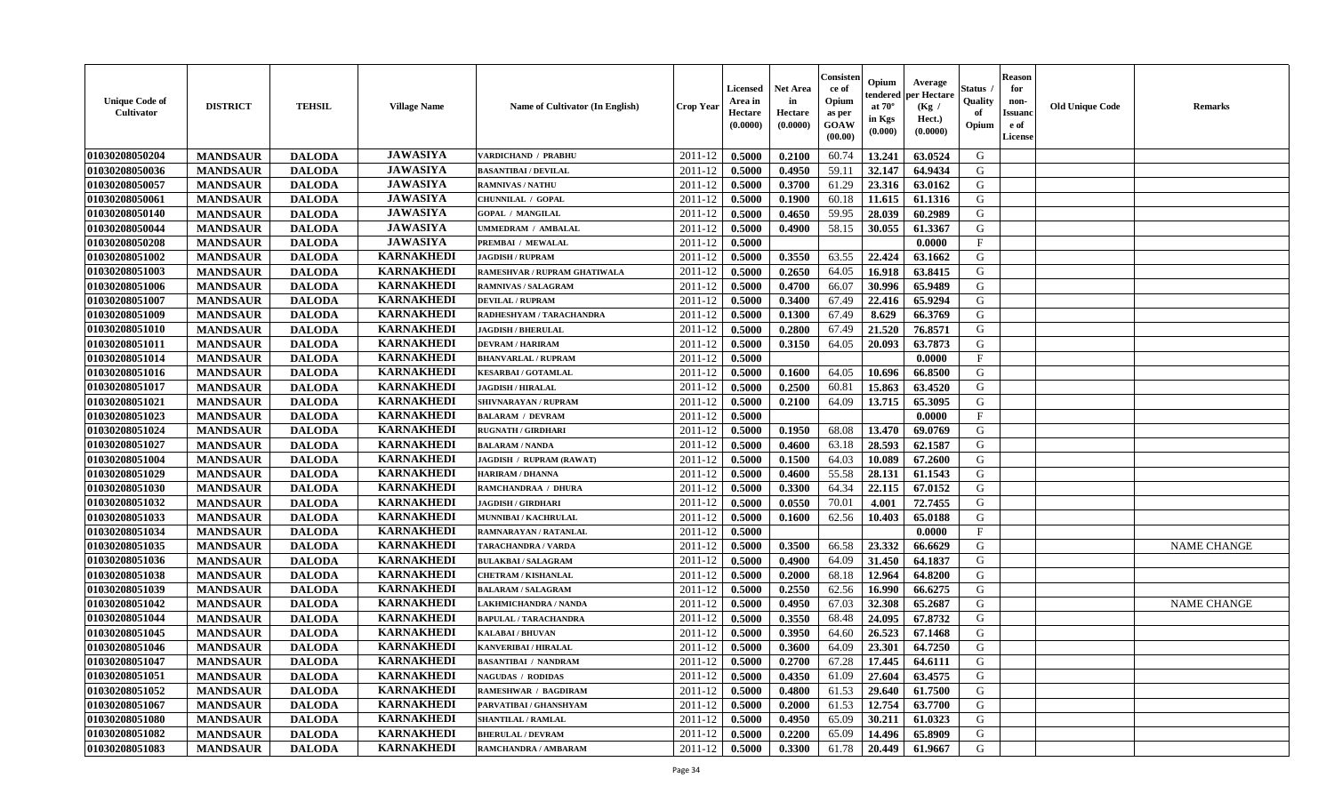| <b>Unique Code of</b><br>Cultivator | <b>DISTRICT</b> | <b>TEHSIL</b> | <b>Village Name</b> | <b>Name of Cultivator (In English)</b> | <b>Crop Year</b> | <b>Licensed</b><br>Area in<br>Hectare<br>(0.0000) | <b>Net Area</b><br>in<br>Hectare<br>(0.0000) | Consister<br>ce of<br>Opium<br>as per<br><b>GOAW</b><br>(00.00) | Opium<br>endered<br>at $70^\circ$<br>in Kgs<br>(0.000) | Average<br>per Hectare<br>(Kg /<br>Hect.)<br>(0.0000) | <b>Status</b><br>Quality<br>of<br>Opium | <b>Reason</b><br>for<br>non-<br><b>Issuand</b><br>e of<br>License | <b>Old Unique Code</b> | <b>Remarks</b>     |
|-------------------------------------|-----------------|---------------|---------------------|----------------------------------------|------------------|---------------------------------------------------|----------------------------------------------|-----------------------------------------------------------------|--------------------------------------------------------|-------------------------------------------------------|-----------------------------------------|-------------------------------------------------------------------|------------------------|--------------------|
| 01030208050204                      | <b>MANDSAUR</b> | <b>DALODA</b> | <b>JAWASIYA</b>     | VARDICHAND / PRABHU                    | 2011-12          | 0.5000                                            | 0.2100                                       | 60.74                                                           | 13.241                                                 | 63.0524                                               | G                                       |                                                                   |                        |                    |
| 01030208050036                      | <b>MANDSAUR</b> | <b>DALODA</b> | <b>JAWASIYA</b>     | <b>BASANTIBAI / DEVILAL</b>            | 2011-12          | 0.5000                                            | 0.4950                                       | 59.11                                                           | 32.147                                                 | 64.9434                                               | G                                       |                                                                   |                        |                    |
| 01030208050057                      | <b>MANDSAUR</b> | <b>DALODA</b> | <b>JAWASIYA</b>     | <b>RAMNIVAS / NATHU</b>                | 2011-12          | 0.5000                                            | 0.3700                                       | 61.29                                                           | 23.316                                                 | 63.0162                                               | G                                       |                                                                   |                        |                    |
| 01030208050061                      | <b>MANDSAUR</b> | <b>DALODA</b> | <b>JAWASIYA</b>     | CHUNNILAL / GOPAL                      | 2011-12          | 0.5000                                            | 0.1900                                       | 60.18                                                           | 11.615                                                 | 61.1316                                               | G                                       |                                                                   |                        |                    |
| 01030208050140                      | <b>MANDSAUR</b> | <b>DALODA</b> | <b>JAWASIYA</b>     | <b>GOPAL / MANGILAL</b>                | 2011-12          | 0.5000                                            | 0.4650                                       | 59.95                                                           | 28.039                                                 | 60.2989                                               | G                                       |                                                                   |                        |                    |
| 01030208050044                      | <b>MANDSAUR</b> | <b>DALODA</b> | <b>JAWASIYA</b>     | UMMEDRAM / AMBALAL                     | 2011-12          | 0.5000                                            | 0.4900                                       | 58.15                                                           | 30.055                                                 | 61.3367                                               | G                                       |                                                                   |                        |                    |
| 01030208050208                      | <b>MANDSAUR</b> | <b>DALODA</b> | <b>JAWASIYA</b>     | PREMBAI / MEWALAL                      | 2011-12          | 0.5000                                            |                                              |                                                                 |                                                        | 0.0000                                                | $\mathbf F$                             |                                                                   |                        |                    |
| 01030208051002                      | <b>MANDSAUR</b> | <b>DALODA</b> | <b>KARNAKHEDI</b>   | <b>JAGDISH / RUPRAM</b>                | 2011-12          | 0.5000                                            | 0.3550                                       | 63.55                                                           | 22.424                                                 | 63.1662                                               | G                                       |                                                                   |                        |                    |
| 01030208051003                      | <b>MANDSAUR</b> | <b>DALODA</b> | <b>KARNAKHEDI</b>   | RAMESHVAR / RUPRAM GHATIWALA           | 2011-12          | 0.5000                                            | 0.2650                                       | 64.05                                                           | 16.918                                                 | 63.8415                                               | G                                       |                                                                   |                        |                    |
| 01030208051006                      | <b>MANDSAUR</b> | <b>DALODA</b> | <b>KARNAKHEDI</b>   | RAMNIVAS / SALAGRAM                    | 2011-12          | 0.5000                                            | 0.4700                                       | 66.07                                                           | 30.996                                                 | 65.9489                                               | G                                       |                                                                   |                        |                    |
| 01030208051007                      | <b>MANDSAUR</b> | <b>DALODA</b> | <b>KARNAKHEDI</b>   | <b>DEVILAL / RUPRAM</b>                | 2011-12          | 0.5000                                            | 0.3400                                       | 67.49                                                           | 22.416                                                 | 65.9294                                               | G                                       |                                                                   |                        |                    |
| 01030208051009                      | <b>MANDSAUR</b> | <b>DALODA</b> | <b>KARNAKHEDI</b>   | RADHESHYAM / TARACHANDRA               | 2011-12          | 0.5000                                            | 0.1300                                       | 67.49                                                           | 8.629                                                  | 66.3769                                               | G                                       |                                                                   |                        |                    |
| 01030208051010                      | <b>MANDSAUR</b> | <b>DALODA</b> | <b>KARNAKHEDI</b>   | <b>JAGDISH / BHERULAL</b>              | 2011-12          | 0.5000                                            | 0.2800                                       | 67.49                                                           | 21.520                                                 | 76.8571                                               | G                                       |                                                                   |                        |                    |
| 01030208051011                      | <b>MANDSAUR</b> | <b>DALODA</b> | <b>KARNAKHEDI</b>   | <b>DEVRAM / HARIRAM</b>                | 2011-12          | 0.5000                                            | 0.3150                                       | 64.05                                                           | 20.093                                                 | 63.7873                                               | G                                       |                                                                   |                        |                    |
| 01030208051014                      | <b>MANDSAUR</b> | <b>DALODA</b> | <b>KARNAKHEDI</b>   | <b>BHANVARLAL / RUPRAM</b>             | 2011-12          | 0.5000                                            |                                              |                                                                 |                                                        | 0.0000                                                | F                                       |                                                                   |                        |                    |
| 01030208051016                      | <b>MANDSAUR</b> | <b>DALODA</b> | <b>KARNAKHEDI</b>   | <b>KESARBAI/GOTAMLAL</b>               | 2011-12          | 0.5000                                            | 0.1600                                       | 64.05                                                           | 10.696                                                 | 66.8500                                               | G                                       |                                                                   |                        |                    |
| 01030208051017                      | <b>MANDSAUR</b> | <b>DALODA</b> | <b>KARNAKHEDI</b>   | <b>JAGDISH / HIRALAL</b>               | 2011-12          | 0.5000                                            | 0.2500                                       | 60.81                                                           | 15.863                                                 | 63.4520                                               | G                                       |                                                                   |                        |                    |
| 01030208051021                      | <b>MANDSAUR</b> | <b>DALODA</b> | <b>KARNAKHEDI</b>   | SHIVNARAYAN / RUPRAM                   | 2011-12          | 0.5000                                            | 0.2100                                       | 64.09                                                           | 13.715                                                 | 65.3095                                               | G                                       |                                                                   |                        |                    |
| 01030208051023                      | <b>MANDSAUR</b> | <b>DALODA</b> | <b>KARNAKHEDI</b>   | <b>BALARAM / DEVRAM</b>                | 2011-12          | 0.5000                                            |                                              |                                                                 |                                                        | 0.0000                                                | $\mathbf{F}$                            |                                                                   |                        |                    |
| 01030208051024                      | <b>MANDSAUR</b> | <b>DALODA</b> | <b>KARNAKHEDI</b>   | <b>RUGNATH / GIRDHARI</b>              | 2011-12          | 0.5000                                            | 0.1950                                       | 68.08                                                           | 13.470                                                 | 69.0769                                               | G                                       |                                                                   |                        |                    |
| 01030208051027                      | <b>MANDSAUR</b> | <b>DALODA</b> | <b>KARNAKHEDI</b>   | <b>BALARAM / NANDA</b>                 | 2011-12          | 0.5000                                            | 0.4600                                       | 63.18                                                           | 28.593                                                 | 62.1587                                               | G                                       |                                                                   |                        |                    |
| 01030208051004                      | <b>MANDSAUR</b> | <b>DALODA</b> | <b>KARNAKHEDI</b>   | JAGDISH / RUPRAM (RAWAT)               | 2011-12          | 0.5000                                            | 0.1500                                       | 64.03                                                           | 10.089                                                 | 67.2600                                               | G                                       |                                                                   |                        |                    |
| 01030208051029                      | <b>MANDSAUR</b> | <b>DALODA</b> | <b>KARNAKHEDI</b>   | <b>HARIRAM / DHANNA</b>                | 2011-12          | 0.5000                                            | 0.4600                                       | 55.58                                                           | 28.131                                                 | 61.1543                                               | G                                       |                                                                   |                        |                    |
| 01030208051030                      | <b>MANDSAUR</b> | <b>DALODA</b> | <b>KARNAKHEDI</b>   | RAMCHANDRAA / DHURA                    | 2011-12          | 0.5000                                            | 0.3300                                       | 64.34                                                           | 22.115                                                 | 67.0152                                               | G                                       |                                                                   |                        |                    |
| 01030208051032                      | <b>MANDSAUR</b> | <b>DALODA</b> | <b>KARNAKHEDI</b>   | <b>JAGDISH / GIRDHARI</b>              | 2011-12          | 0.5000                                            | 0.0550                                       | 70.01                                                           | 4.001                                                  | 72.7455                                               | G                                       |                                                                   |                        |                    |
| 01030208051033                      | <b>MANDSAUR</b> | <b>DALODA</b> | <b>KARNAKHEDI</b>   | MUNNIBAI / KACHRULAL                   | $2011 - 12$      | 0.5000                                            | 0.1600                                       | 62.56                                                           | 10.403                                                 | 65.0188                                               | G                                       |                                                                   |                        |                    |
| 01030208051034                      | <b>MANDSAUR</b> | <b>DALODA</b> | <b>KARNAKHEDI</b>   | RAMNARAYAN / RATANLAL                  | 2011-12          | 0.5000                                            |                                              |                                                                 |                                                        | 0.0000                                                | $\mathbf{F}$                            |                                                                   |                        |                    |
| 01030208051035                      | <b>MANDSAUR</b> | <b>DALODA</b> | <b>KARNAKHEDI</b>   | <b>TARACHANDRA / VARDA</b>             | 2011-12          | 0.5000                                            | 0.3500                                       | 66.58                                                           | 23.332                                                 | 66.6629                                               | G                                       |                                                                   |                        | <b>NAME CHANGE</b> |
| 01030208051036                      | <b>MANDSAUR</b> | <b>DALODA</b> | <b>KARNAKHEDI</b>   | <b>BULAKBAI/SALAGRAM</b>               | 2011-12          | 0.5000                                            | 0.4900                                       | 64.09                                                           | 31.450                                                 | 64.1837                                               | G                                       |                                                                   |                        |                    |
| 01030208051038                      | <b>MANDSAUR</b> | <b>DALODA</b> | <b>KARNAKHEDI</b>   | <b>CHETRAM / KISHANLAL</b>             | 2011-12          | 0.5000                                            | 0.2000                                       | 68.18                                                           | 12.964                                                 | 64.8200                                               | G                                       |                                                                   |                        |                    |
| 01030208051039                      | <b>MANDSAUR</b> | <b>DALODA</b> | <b>KARNAKHEDI</b>   | <b>BALARAM / SALAGRAM</b>              | 2011-12          | 0.5000                                            | 0.2550                                       | 62.56                                                           | 16.990                                                 | 66.6275                                               | ${\bf G}$                               |                                                                   |                        |                    |
| 01030208051042                      |                 |               | <b>KARNAKHEDI</b>   |                                        | 2011-12          |                                                   |                                              | 67.03                                                           |                                                        |                                                       | G                                       |                                                                   |                        |                    |
|                                     | <b>MANDSAUR</b> | <b>DALODA</b> | <b>KARNAKHEDI</b>   | LAKHMICHANDRA / NANDA                  |                  | 0.5000                                            | 0.4950                                       |                                                                 | 32.308                                                 | 65.2687                                               | G                                       |                                                                   |                        | <b>NAME CHANGE</b> |
| 01030208051044                      | <b>MANDSAUR</b> | <b>DALODA</b> | <b>KARNAKHEDI</b>   | <b>BAPULAL / TARACHANDRA</b>           | 2011-12          | 0.5000                                            | 0.3550                                       | 68.48                                                           | 24.095                                                 | 67.8732                                               |                                         |                                                                   |                        |                    |
| 01030208051045                      | <b>MANDSAUR</b> | <b>DALODA</b> |                     | <b>KALABAI/BHUVAN</b>                  | 2011-12          | 0.5000                                            | 0.3950                                       | 64.60                                                           | 26.523                                                 | 67.1468                                               | G                                       |                                                                   |                        |                    |
| 01030208051046                      | <b>MANDSAUR</b> | <b>DALODA</b> | <b>KARNAKHEDI</b>   | <b>KANVERIBAI / HIRALAL</b>            | 2011-12          | 0.5000                                            | 0.3600                                       | 64.09                                                           | 23.301                                                 | 64.7250                                               | G                                       |                                                                   |                        |                    |
| 01030208051047                      | <b>MANDSAUR</b> | <b>DALODA</b> | <b>KARNAKHEDI</b>   | <b>BASANTIBAI / NANDRAM</b>            | 2011-12          | 0.5000                                            | 0.2700                                       | 67.28                                                           | 17.445                                                 | 64.6111                                               | G                                       |                                                                   |                        |                    |
| 01030208051051                      | <b>MANDSAUR</b> | <b>DALODA</b> | <b>KARNAKHEDI</b>   | <b>NAGUDAS / RODIDAS</b>               | 2011-12          | 0.5000                                            | 0.4350                                       | 61.09                                                           | 27.604                                                 | 63.4575                                               | G                                       |                                                                   |                        |                    |
| 01030208051052                      | <b>MANDSAUR</b> | <b>DALODA</b> | <b>KARNAKHEDI</b>   | RAMESHWAR / BAGDIRAM                   | 2011-12          | 0.5000                                            | 0.4800                                       | 61.53                                                           | 29.640                                                 | 61.7500                                               | G                                       |                                                                   |                        |                    |
| 01030208051067                      | <b>MANDSAUR</b> | <b>DALODA</b> | <b>KARNAKHEDI</b>   | PARVATIBAI / GHANSHYAM                 | 2011-12          | 0.5000                                            | 0.2000                                       | 61.53                                                           | 12.754                                                 | 63.7700                                               | G                                       |                                                                   |                        |                    |
| 01030208051080                      | <b>MANDSAUR</b> | <b>DALODA</b> | <b>KARNAKHEDI</b>   | <b>SHANTILAL / RAMLAL</b>              | 2011-12          | 0.5000                                            | 0.4950                                       | 65.09                                                           | 30.211                                                 | 61.0323                                               | G                                       |                                                                   |                        |                    |
| 01030208051082                      | <b>MANDSAUR</b> | <b>DALODA</b> | <b>KARNAKHEDI</b>   | <b>BHERULAL / DEVRAM</b>               | 2011-12          | 0.5000                                            | 0.2200                                       | 65.09                                                           | 14.496                                                 | 65.8909                                               | G                                       |                                                                   |                        |                    |
| 01030208051083                      | <b>MANDSAUR</b> | <b>DALODA</b> | <b>KARNAKHEDI</b>   | RAMCHANDRA / AMBARAM                   | 2011-12          | 0.5000                                            | 0.3300                                       | 61.78                                                           | 20.449                                                 | 61.9667                                               | G                                       |                                                                   |                        |                    |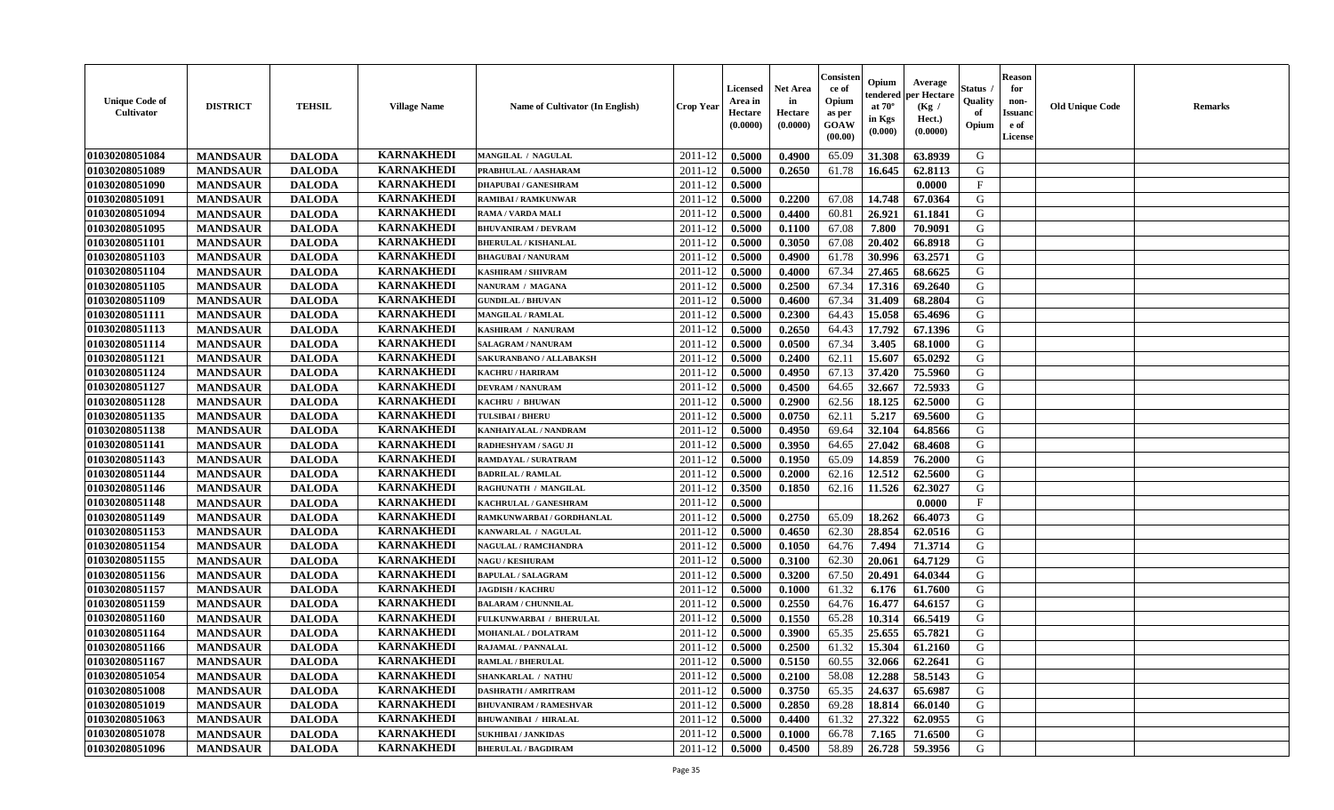| <b>Unique Code of</b><br><b>Cultivator</b> | <b>DISTRICT</b> | <b>TEHSIL</b> | <b>Village Name</b> | <b>Name of Cultivator (In English)</b> | <b>Crop Year</b> | Licensed<br>Area in<br>Hectare<br>(0.0000) | Net Area<br>in<br>Hectare<br>(0.0000) | Consisteı<br>ce of<br>Opium<br>as per<br>GOAW<br>(00.00) | Opium<br>endered<br>at $70^\circ$<br>in Kgs<br>(0.000) | Average<br>per Hectare<br>(Kg /<br>Hect.)<br>(0.0000) | Status<br>Quality<br>of<br>Opium | <b>Reason</b><br>for<br>non-<br><b>Issuand</b><br>e of<br>License | <b>Old Unique Code</b> | Remarks |
|--------------------------------------------|-----------------|---------------|---------------------|----------------------------------------|------------------|--------------------------------------------|---------------------------------------|----------------------------------------------------------|--------------------------------------------------------|-------------------------------------------------------|----------------------------------|-------------------------------------------------------------------|------------------------|---------|
| 01030208051084                             | <b>MANDSAUR</b> | <b>DALODA</b> | <b>KARNAKHEDI</b>   | MANGILAL / NAGULAL                     | 2011-12          | 0.5000                                     | 0.4900                                | 65.09                                                    | 31.308                                                 | 63.8939                                               | G                                |                                                                   |                        |         |
| 01030208051089                             | <b>MANDSAUR</b> | <b>DALODA</b> | <b>KARNAKHEDI</b>   | PRABHULAL / AASHARAM                   | 2011-12          | 0.5000                                     | 0.2650                                | 61.78                                                    | 16.645                                                 | 62.8113                                               | G                                |                                                                   |                        |         |
| 01030208051090                             | <b>MANDSAUR</b> | <b>DALODA</b> | <b>KARNAKHEDI</b>   | <b>DHAPUBAI/GANESHRAM</b>              | 2011-12          | 0.5000                                     |                                       |                                                          |                                                        | 0.0000                                                | $\mathbf{F}$                     |                                                                   |                        |         |
| 01030208051091                             | <b>MANDSAUR</b> | <b>DALODA</b> | <b>KARNAKHEDI</b>   | <b>RAMIBAI / RAMKUNWAR</b>             | 2011-12          | 0.5000                                     | 0.2200                                | 67.08                                                    | 14.748                                                 | 67.0364                                               | G                                |                                                                   |                        |         |
| 01030208051094                             | <b>MANDSAUR</b> | <b>DALODA</b> | <b>KARNAKHEDI</b>   | RAMA / VARDA MALI                      | 2011-12          | 0.5000                                     | 0.4400                                | 60.81                                                    | 26.921                                                 | 61.1841                                               | G                                |                                                                   |                        |         |
| 01030208051095                             | <b>MANDSAUR</b> | <b>DALODA</b> | <b>KARNAKHEDI</b>   | <b>BHUVANIRAM / DEVRAM</b>             | 2011-12          | 0.5000                                     | 0.1100                                | 67.08                                                    | 7.800                                                  | 70.9091                                               | G                                |                                                                   |                        |         |
| 01030208051101                             | <b>MANDSAUR</b> | <b>DALODA</b> | <b>KARNAKHEDI</b>   | <b>BHERULAL / KISHANLAL</b>            | 2011-12          | 0.5000                                     | 0.3050                                | 67.08                                                    | 20.402                                                 | 66.8918                                               | G                                |                                                                   |                        |         |
| 01030208051103                             | <b>MANDSAUR</b> | <b>DALODA</b> | <b>KARNAKHEDI</b>   | <b>BHAGUBAI/NANURAM</b>                | 2011-12          | 0.5000                                     | 0.4900                                | 61.78                                                    | 30.996                                                 | 63.2571                                               | G                                |                                                                   |                        |         |
| 01030208051104                             | <b>MANDSAUR</b> | <b>DALODA</b> | <b>KARNAKHEDI</b>   | <b>KASHIRAM / SHIVRAM</b>              | 2011-12          | 0.5000                                     | 0.4000                                | 67.34                                                    | 27.465                                                 | 68.6625                                               | G                                |                                                                   |                        |         |
| 01030208051105                             | <b>MANDSAUR</b> | <b>DALODA</b> | <b>KARNAKHEDI</b>   | NANURAM / MAGANA                       | 2011-12          | 0.5000                                     | 0.2500                                | 67.34                                                    | 17.316                                                 | 69.2640                                               | G                                |                                                                   |                        |         |
| 01030208051109                             | <b>MANDSAUR</b> | <b>DALODA</b> | <b>KARNAKHEDI</b>   | <b>GUNDILAL / BHUVAN</b>               | 2011-12          | 0.5000                                     | 0.4600                                | 67.34                                                    | 31.409                                                 | 68.2804                                               | G                                |                                                                   |                        |         |
| 01030208051111                             | <b>MANDSAUR</b> | <b>DALODA</b> | <b>KARNAKHEDI</b>   | <b>MANGILAL / RAMLAL</b>               | 2011-12          | 0.5000                                     | 0.2300                                | 64.43                                                    | 15.058                                                 | 65.4696                                               | G                                |                                                                   |                        |         |
| 01030208051113                             | <b>MANDSAUR</b> | <b>DALODA</b> | <b>KARNAKHEDI</b>   | KASHIRAM / NANURAM                     | 2011-12          | 0.5000                                     | 0.2650                                | 64.43                                                    | 17.792                                                 | 67.1396                                               | G                                |                                                                   |                        |         |
| 01030208051114                             | <b>MANDSAUR</b> | <b>DALODA</b> | <b>KARNAKHEDI</b>   | <b>SALAGRAM / NANURAM</b>              | 2011-12          | 0.5000                                     | 0.0500                                | 67.34                                                    | 3.405                                                  | 68.1000                                               | G                                |                                                                   |                        |         |
| 01030208051121                             | <b>MANDSAUR</b> | <b>DALODA</b> | <b>KARNAKHEDI</b>   | SAKURANBANO / ALLABAKSH                | 2011-12          | 0.5000                                     | 0.2400                                | 62.11                                                    | 15.607                                                 | 65.0292                                               | ${\bf G}$                        |                                                                   |                        |         |
| 01030208051124                             | <b>MANDSAUR</b> | <b>DALODA</b> | <b>KARNAKHEDI</b>   | <b>KACHRU / HARIRAM</b>                | 2011-12          | 0.5000                                     | 0.4950                                | 67.13                                                    | 37.420                                                 | 75.5960                                               | G                                |                                                                   |                        |         |
| 01030208051127                             | <b>MANDSAUR</b> | <b>DALODA</b> | <b>KARNAKHEDI</b>   | <b>DEVRAM / NANURAM</b>                | 2011-12          | 0.5000                                     | 0.4500                                | 64.65                                                    | 32.667                                                 | 72.5933                                               | G                                |                                                                   |                        |         |
| 01030208051128                             | <b>MANDSAUR</b> | <b>DALODA</b> | <b>KARNAKHEDI</b>   | KACHRU / BHUWAN                        | 2011-12          | 0.5000                                     | 0.2900                                | 62.56                                                    | 18.125                                                 | 62.5000                                               | G                                |                                                                   |                        |         |
| 01030208051135                             | <b>MANDSAUR</b> | <b>DALODA</b> | <b>KARNAKHEDI</b>   | <b>TULSIBAI/BHERU</b>                  | 2011-12          | 0.5000                                     | 0.0750                                | 62.11                                                    | 5.217                                                  | 69.5600                                               | G                                |                                                                   |                        |         |
| 01030208051138                             | <b>MANDSAUR</b> | <b>DALODA</b> | <b>KARNAKHEDI</b>   | KANHAIYALAL / NANDRAM                  | 2011-12          | 0.5000                                     | 0.4950                                | 69.64                                                    | 32.104                                                 | 64.8566                                               | G                                |                                                                   |                        |         |
| 01030208051141                             | <b>MANDSAUR</b> | <b>DALODA</b> | <b>KARNAKHEDI</b>   | RADHESHYAM / SAGU JI                   | 2011-12          | 0.5000                                     | 0.3950                                | 64.65                                                    | 27.042                                                 | 68.4608                                               | G                                |                                                                   |                        |         |
| 01030208051143                             | <b>MANDSAUR</b> | <b>DALODA</b> | <b>KARNAKHEDI</b>   | <b>RAMDAYAL / SURATRAM</b>             | 2011-12          | 0.5000                                     | 0.1950                                | 65.09                                                    | 14.859                                                 | 76.2000                                               | G                                |                                                                   |                        |         |
| 01030208051144                             | <b>MANDSAUR</b> | <b>DALODA</b> | <b>KARNAKHEDI</b>   | <b>BADRILAL / RAMLAL</b>               | 2011-12          | 0.5000                                     | 0.2000                                | 62.16                                                    | 12.512                                                 | 62.5600                                               | G                                |                                                                   |                        |         |
| 01030208051146                             | <b>MANDSAUR</b> | <b>DALODA</b> | <b>KARNAKHEDI</b>   | RAGHUNATH / MANGILAL                   | 2011-12          | 0.3500                                     | 0.1850                                | 62.16                                                    | 11.526                                                 | 62.3027                                               | G                                |                                                                   |                        |         |
| 01030208051148                             | <b>MANDSAUR</b> | <b>DALODA</b> | <b>KARNAKHEDI</b>   | KACHRULAL / GANESHRAM                  | 2011-12          | 0.5000                                     |                                       |                                                          |                                                        | 0.0000                                                | $_{\rm F}$                       |                                                                   |                        |         |
| 01030208051149                             | <b>MANDSAUR</b> | <b>DALODA</b> | <b>KARNAKHEDI</b>   | RAMKUNWARBAI / GORDHANLAL              | 2011-12          | 0.5000                                     | 0.2750                                | 65.09                                                    | 18.262                                                 | 66.4073                                               | G                                |                                                                   |                        |         |
| 01030208051153                             | <b>MANDSAUR</b> | <b>DALODA</b> | <b>KARNAKHEDI</b>   | KANWARLAL / NAGULAL                    | 2011-12          | 0.5000                                     | 0.4650                                | 62.30                                                    | 28.854                                                 | 62.0516                                               | G                                |                                                                   |                        |         |
| 01030208051154                             | <b>MANDSAUR</b> | <b>DALODA</b> | <b>KARNAKHEDI</b>   | NAGULAL / RAMCHANDRA                   | 2011-12          | 0.5000                                     | 0.1050                                | 64.76                                                    | 7.494                                                  | 71.3714                                               | G                                |                                                                   |                        |         |
| 01030208051155                             | <b>MANDSAUR</b> | <b>DALODA</b> | <b>KARNAKHEDI</b>   | <b>NAGU / KESHURAM</b>                 | 2011-12          | 0.5000                                     | 0.3100                                | 62.30                                                    | 20.061                                                 | 64.7129                                               | G                                |                                                                   |                        |         |
| 01030208051156                             | <b>MANDSAUR</b> | <b>DALODA</b> | <b>KARNAKHEDI</b>   | <b>BAPULAL / SALAGRAM</b>              | 2011-12          | 0.5000                                     | 0.3200                                | 67.50                                                    | 20.491                                                 | 64.0344                                               | G                                |                                                                   |                        |         |
| 01030208051157                             | <b>MANDSAUR</b> | <b>DALODA</b> | <b>KARNAKHEDI</b>   | <b>JAGDISH / KACHRU</b>                | 2011-12          | 0.5000                                     | 0.1000                                | 61.32                                                    | 6.176                                                  | 61.7600                                               | G                                |                                                                   |                        |         |
| 01030208051159                             | <b>MANDSAUR</b> | <b>DALODA</b> | <b>KARNAKHEDI</b>   | <b>BALARAM / CHUNNILAL</b>             | 2011-12          | 0.5000                                     | 0.2550                                | 64.76                                                    | 16.477                                                 | 64.6157                                               | G                                |                                                                   |                        |         |
| 01030208051160                             | <b>MANDSAUR</b> | <b>DALODA</b> | <b>KARNAKHEDI</b>   | FULKUNWARBAI / BHERULAL                | 2011-12          | 0.5000                                     | 0.1550                                | 65.28                                                    | 10.314                                                 | 66.5419                                               | G                                |                                                                   |                        |         |
| 01030208051164                             | <b>MANDSAUR</b> | <b>DALODA</b> | <b>KARNAKHEDI</b>   | <b>MOHANLAL / DOLATRAM</b>             | 2011-12          | 0.5000                                     | 0.3900                                | 65.35                                                    | 25.655                                                 | 65.7821                                               | G                                |                                                                   |                        |         |
| 01030208051166                             | <b>MANDSAUR</b> | <b>DALODA</b> | <b>KARNAKHEDI</b>   | RAJAMAL / PANNALAL                     | 2011-12          | 0.5000                                     | 0.2500                                | 61.32                                                    | 15.304                                                 | 61.2160                                               | G                                |                                                                   |                        |         |
| 01030208051167                             | <b>MANDSAUR</b> | <b>DALODA</b> | <b>KARNAKHEDI</b>   | <b>RAMLAL / BHERULAL</b>               | 2011-12          | 0.5000                                     | 0.5150                                | 60.55                                                    | 32.066                                                 | 62.2641                                               | G                                |                                                                   |                        |         |
| 01030208051054                             | <b>MANDSAUR</b> | <b>DALODA</b> | <b>KARNAKHEDI</b>   | <b>SHANKARLAL / NATHU</b>              | 2011-12          | 0.5000                                     | 0.2100                                | 58.08                                                    | 12.288                                                 | 58.5143                                               | G                                |                                                                   |                        |         |
| 01030208051008                             | <b>MANDSAUR</b> | <b>DALODA</b> | <b>KARNAKHEDI</b>   | <b>DASHRATH / AMRITRAM</b>             | 2011-12          | 0.5000                                     | 0.3750                                | 65.35                                                    | 24.637                                                 | 65.6987                                               | G                                |                                                                   |                        |         |
| 01030208051019                             | <b>MANDSAUR</b> | <b>DALODA</b> | <b>KARNAKHEDI</b>   | <b>BHUVANIRAM / RAMESHVAR</b>          | 2011-12          | 0.5000                                     | 0.2850                                | 69.28                                                    | 18.814                                                 | 66.0140                                               | G                                |                                                                   |                        |         |
| 01030208051063                             | <b>MANDSAUR</b> | <b>DALODA</b> | <b>KARNAKHEDI</b>   | <b>BHUWANIBAI / HIRALAL</b>            | 2011-12          | 0.5000                                     | 0.4400                                | 61.32                                                    | 27.322                                                 | 62.0955                                               | ${\bf G}$                        |                                                                   |                        |         |
| 01030208051078                             | <b>MANDSAUR</b> | <b>DALODA</b> | <b>KARNAKHEDI</b>   | <b>SUKHIBAI / JANKIDAS</b>             | 2011-12          | 0.5000                                     | 0.1000                                | 66.78                                                    | 7.165                                                  | 71.6500                                               | G                                |                                                                   |                        |         |
| 01030208051096                             | <b>MANDSAUR</b> | <b>DALODA</b> | <b>KARNAKHEDI</b>   | <b>BHERULAL / BAGDIRAM</b>             | 2011-12          | 0.5000                                     | 0.4500                                | 58.89                                                    | 26.728                                                 | 59.3956                                               | G                                |                                                                   |                        |         |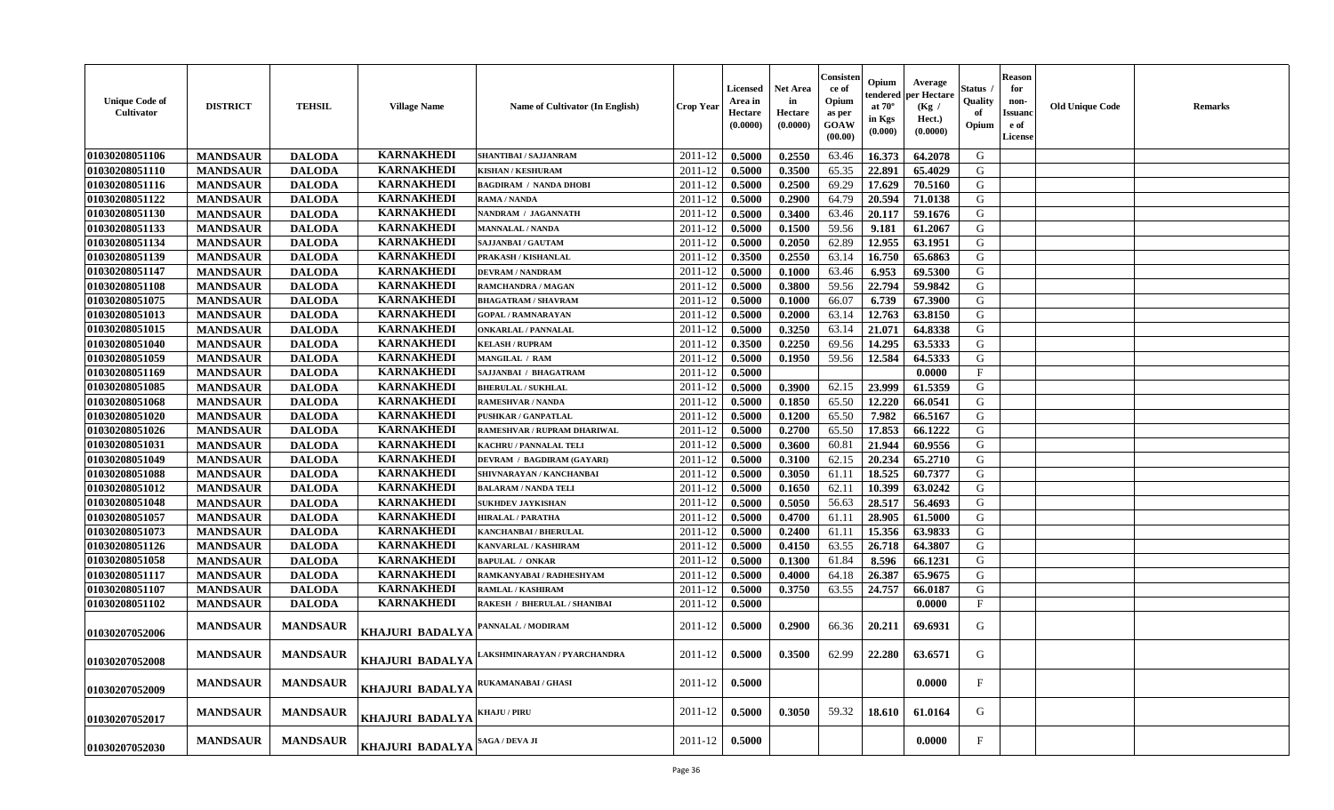| <b>Unique Code of</b><br><b>Cultivator</b> | <b>DISTRICT</b> | <b>TEHSIL</b>   | <b>Village Name</b>    | Name of Cultivator (In English)     | <b>Crop Year</b> | <b>Licensed</b><br>Area in<br>Hectare<br>(0.0000) | <b>Net Area</b><br>in<br>Hectare<br>(0.0000) | Consister<br>ce of<br>Opium<br>as per<br>GOAW<br>(00.00) | Opium<br>endered<br>at $70^\circ$<br>in Kgs<br>(0.000) | Average<br>oer Hectare<br>(Kg /<br>Hect.)<br>(0.0000) | Status<br>Quality<br>of<br>Opium | <b>Reason</b><br>for<br>non-<br><b>Issuanc</b><br>e of<br>License | <b>Old Unique Code</b> | <b>Remarks</b> |
|--------------------------------------------|-----------------|-----------------|------------------------|-------------------------------------|------------------|---------------------------------------------------|----------------------------------------------|----------------------------------------------------------|--------------------------------------------------------|-------------------------------------------------------|----------------------------------|-------------------------------------------------------------------|------------------------|----------------|
| 01030208051106                             | <b>MANDSAUR</b> | <b>DALODA</b>   | <b>KARNAKHEDI</b>      | SHANTIBAI / SAJJANRAM               | 2011-12          | 0.5000                                            | 0.2550                                       | 63.46                                                    | 16.373                                                 | 64.2078                                               | G                                |                                                                   |                        |                |
| 01030208051110                             | <b>MANDSAUR</b> | <b>DALODA</b>   | <b>KARNAKHEDI</b>      | <b>KISHAN / KESHURAM</b>            | 2011-12          | 0.5000                                            | 0.3500                                       | 65.35                                                    | 22.891                                                 | 65.4029                                               | G                                |                                                                   |                        |                |
| 01030208051116                             | <b>MANDSAUR</b> | <b>DALODA</b>   | <b>KARNAKHEDI</b>      | <b>BAGDIRAM / NANDA DHOBI</b>       | 2011-12          | 0.5000                                            | 0.2500                                       | 69.29                                                    | 17.629                                                 | 70.5160                                               | G                                |                                                                   |                        |                |
| 01030208051122                             | <b>MANDSAUR</b> | <b>DALODA</b>   | <b>KARNAKHEDI</b>      | RAMA / NANDA                        | 2011-12          | 0.5000                                            | 0.2900                                       | 64.79                                                    | 20.594                                                 | 71.0138                                               | G                                |                                                                   |                        |                |
| 01030208051130                             | <b>MANDSAUR</b> | <b>DALODA</b>   | <b>KARNAKHEDI</b>      | NANDRAM / JAGANNATH                 | 2011-12          | 0.5000                                            | 0.3400                                       | 63.46                                                    | 20.117                                                 | 59.1676                                               | G                                |                                                                   |                        |                |
| 01030208051133                             | <b>MANDSAUR</b> | <b>DALODA</b>   | <b>KARNAKHEDI</b>      | <b>MANNALAL / NANDA</b>             | 2011-12          | 0.5000                                            | 0.1500                                       | 59.56                                                    | 9.181                                                  | 61.2067                                               | G                                |                                                                   |                        |                |
| 01030208051134                             | <b>MANDSAUR</b> | <b>DALODA</b>   | <b>KARNAKHEDI</b>      | SAJJANBAI / GAUTAM                  | 2011-12          | 0.5000                                            | 0.2050                                       | 62.89                                                    | 12.955                                                 | 63.1951                                               | G                                |                                                                   |                        |                |
| 01030208051139                             | <b>MANDSAUR</b> | <b>DALODA</b>   | <b>KARNAKHEDI</b>      | PRAKASH / KISHANLAL                 | 2011-12          | 0.3500                                            | 0.2550                                       | 63.14                                                    | 16.750                                                 | 65.6863                                               | G                                |                                                                   |                        |                |
| 01030208051147                             | <b>MANDSAUR</b> | <b>DALODA</b>   | <b>KARNAKHEDI</b>      | <b>DEVRAM / NANDRAM</b>             | 2011-12          | 0.5000                                            | 0.1000                                       | 63.46                                                    | 6.953                                                  | 69.5300                                               | G                                |                                                                   |                        |                |
| 01030208051108                             | <b>MANDSAUR</b> | <b>DALODA</b>   | <b>KARNAKHEDI</b>      | RAMCHANDRA / MAGAN                  | 2011-12          | 0.5000                                            | 0.3800                                       | 59.56                                                    | 22.794                                                 | 59.9842                                               | G                                |                                                                   |                        |                |
| 01030208051075                             | <b>MANDSAUR</b> | <b>DALODA</b>   | <b>KARNAKHEDI</b>      | <b>BHAGATRAM / SHAVRAM</b>          | 2011-12          | 0.5000                                            | 0.1000                                       | 66.07                                                    | 6.739                                                  | 67.3900                                               | $\mathbf G$                      |                                                                   |                        |                |
| 01030208051013                             | <b>MANDSAUR</b> | <b>DALODA</b>   | <b>KARNAKHEDI</b>      | <b>GOPAL / RAMNARAYAN</b>           | 2011-12          | 0.5000                                            | 0.2000                                       | 63.14                                                    | 12.763                                                 | 63.8150                                               | G                                |                                                                   |                        |                |
| 01030208051015                             | <b>MANDSAUR</b> | <b>DALODA</b>   | <b>KARNAKHEDI</b>      | <b>ONKARLAL / PANNALAL</b>          | 2011-12          | 0.5000                                            | 0.3250                                       | 63.14                                                    | 21.071                                                 | 64.8338                                               | G                                |                                                                   |                        |                |
| 01030208051040                             | <b>MANDSAUR</b> | <b>DALODA</b>   | <b>KARNAKHEDI</b>      | <b>KELASH / RUPRAM</b>              | 2011-12          | 0.3500                                            | 0.2250                                       | 69.56                                                    | 14.295                                                 | 63.5333                                               | G                                |                                                                   |                        |                |
|                                            |                 |                 | <b>KARNAKHEDI</b>      | MANGILAL / RAM                      |                  |                                                   |                                              |                                                          |                                                        |                                                       | G                                |                                                                   |                        |                |
| 01030208051059                             | <b>MANDSAUR</b> | <b>DALODA</b>   |                        |                                     | 2011-12          | 0.5000                                            | 0.1950                                       | 59.56                                                    | 12.584                                                 | 64.5333                                               |                                  |                                                                   |                        |                |
| 01030208051169                             | <b>MANDSAUR</b> | <b>DALODA</b>   | <b>KARNAKHEDI</b>      | SAJJANBAI / BHAGATRAM               | $2011 - 12$      | 0.5000                                            |                                              |                                                          |                                                        | 0.0000                                                | $\rm F$                          |                                                                   |                        |                |
| 01030208051085                             | <b>MANDSAUR</b> | <b>DALODA</b>   | <b>KARNAKHEDI</b>      | <b>BHERULAL / SUKHLAL</b>           | 2011-12          | 0.5000                                            | 0.3900                                       | 62.15                                                    | 23.999                                                 | 61.5359                                               | G                                |                                                                   |                        |                |
| 01030208051068                             | <b>MANDSAUR</b> | <b>DALODA</b>   | <b>KARNAKHEDI</b>      | <b>RAMESHVAR / NANDA</b>            | 2011-12          | 0.5000                                            | 0.1850                                       | 65.50                                                    | 12.220                                                 | 66.0541                                               | G                                |                                                                   |                        |                |
| 01030208051020                             | <b>MANDSAUR</b> | <b>DALODA</b>   | <b>KARNAKHEDI</b>      | <b>PUSHKAR / GANPATLAL</b>          | 2011-12          | 0.5000                                            | 0.1200                                       | 65.50                                                    | 7.982                                                  | 66.5167                                               | G                                |                                                                   |                        |                |
| 01030208051026                             | <b>MANDSAUR</b> | <b>DALODA</b>   | <b>KARNAKHEDI</b>      | RAMESHVAR / RUPRAM DHARIWAL         | 2011-12          | 0.5000                                            | 0.2700                                       | 65.50                                                    | 17.853                                                 | 66.1222                                               | G                                |                                                                   |                        |                |
| 01030208051031                             | <b>MANDSAUR</b> | <b>DALODA</b>   | <b>KARNAKHEDI</b>      | <b>KACHRU / PANNALAL TELI</b>       | 2011-12          | 0.5000                                            | 0.3600                                       | 60.81                                                    | 21.944                                                 | 60.9556                                               | G                                |                                                                   |                        |                |
| 01030208051049                             | <b>MANDSAUR</b> | <b>DALODA</b>   | <b>KARNAKHEDI</b>      | DEVRAM / BAGDIRAM (GAYARI)          | 2011-12          | 0.5000                                            | 0.3100                                       | 62.15                                                    | 20.234                                                 | 65.2710                                               | G                                |                                                                   |                        |                |
| 01030208051088                             | <b>MANDSAUR</b> | <b>DALODA</b>   | <b>KARNAKHEDI</b>      | SHIVNARAYAN / KANCHANBAI            | 2011-12          | 0.5000                                            | 0.3050                                       | 61.11                                                    | 18.525                                                 | 60.7377                                               | G                                |                                                                   |                        |                |
| 01030208051012                             | <b>MANDSAUR</b> | <b>DALODA</b>   | <b>KARNAKHEDI</b>      | <b>BALARAM / NANDA TELI</b>         | 2011-12          | 0.5000                                            | 0.1650                                       | 62.11                                                    | 10.399                                                 | 63.0242                                               | G                                |                                                                   |                        |                |
| 01030208051048                             | <b>MANDSAUR</b> | <b>DALODA</b>   | <b>KARNAKHEDI</b>      | <b>SUKHDEV JAYKISHAN</b>            | 2011-12          | 0.5000                                            | 0.5050                                       | 56.63                                                    | 28.517                                                 | 56.4693                                               | G                                |                                                                   |                        |                |
| 01030208051057                             | <b>MANDSAUR</b> | <b>DALODA</b>   | <b>KARNAKHEDI</b>      | <b>HIRALAL / PARATHA</b>            | 2011-12          | 0.5000                                            | 0.4700                                       | 61.11                                                    | 28.905                                                 | 61.5000                                               | G                                |                                                                   |                        |                |
| 01030208051073                             | <b>MANDSAUR</b> | <b>DALODA</b>   | <b>KARNAKHEDI</b>      | <b>KANCHANBAI / BHERULAL</b>        | 2011-12          | 0.5000                                            | 0.2400                                       | 61.11                                                    | 15.356                                                 | 63.9833                                               | G                                |                                                                   |                        |                |
| 01030208051126                             | <b>MANDSAUR</b> | <b>DALODA</b>   | <b>KARNAKHEDI</b>      | KANVARLAL / KASHIRAM                | 2011-12          | 0.5000                                            | 0.4150                                       | 63.55                                                    | 26.718                                                 | 64.3807                                               | G                                |                                                                   |                        |                |
| 01030208051058                             | <b>MANDSAUR</b> | <b>DALODA</b>   | <b>KARNAKHEDI</b>      | <b>BAPULAL / ONKAR</b>              | 2011-12          | 0.5000                                            | 0.1300                                       | 61.84                                                    | 8.596                                                  | 66.1231                                               | G                                |                                                                   |                        |                |
| 01030208051117                             | <b>MANDSAUR</b> | <b>DALODA</b>   | <b>KARNAKHEDI</b>      | RAMKANYABAI / RADHESHYAM            | 2011-12          | 0.5000                                            | 0.4000                                       | 64.18                                                    | 26.387                                                 | 65.9675                                               | G                                |                                                                   |                        |                |
| 01030208051107                             | <b>MANDSAUR</b> | <b>DALODA</b>   | <b>KARNAKHEDI</b>      | RAMLAL / KASHIRAM                   | 2011-12          | 0.5000                                            | 0.3750                                       | 63.55                                                    | 24.757                                                 | 66.0187                                               | ${\bf G}$                        |                                                                   |                        |                |
| 01030208051102                             | <b>MANDSAUR</b> | <b>DALODA</b>   | <b>KARNAKHEDI</b>      | <b>RAKESH / BHERULAL / SHANIBAI</b> | 2011-12          | 0.5000                                            |                                              |                                                          |                                                        | 0.0000                                                | $_{\rm F}$                       |                                                                   |                        |                |
| 01030207052006                             | <b>MANDSAUR</b> | <b>MANDSAUR</b> | <b>KHAJURI BADALYA</b> | <b>PANNALAL / MODIRAM</b>           | 2011-12          | 0.5000                                            | 0.2900                                       | 66.36                                                    | 20.211                                                 | 69.6931                                               | G                                |                                                                   |                        |                |
| 01030207052008                             | <b>MANDSAUR</b> | <b>MANDSAUR</b> | KHAJURI BADALYA        | AKSHMINARAYAN / PYARCHANDRA         | 2011-12          | 0.5000                                            | 0.3500                                       | 62.99                                                    | 22.280                                                 | 63.6571                                               | G                                |                                                                   |                        |                |
| 01030207052009                             | <b>MANDSAUR</b> | <b>MANDSAUR</b> | KHAJURI BADALYA        | <b>RUKAMANABAI / GHASI</b>          | 2011-12          | 0.5000                                            |                                              |                                                          |                                                        | 0.0000                                                | $\mathbf{F}$                     |                                                                   |                        |                |
| 01030207052017                             | <b>MANDSAUR</b> | <b>MANDSAUR</b> | KHAJURI BADALYA        | <b>KHAJU / PIRU</b>                 | 2011-12          | 0.5000                                            | 0.3050                                       | 59.32                                                    | 18.610                                                 | 61.0164                                               | G                                |                                                                   |                        |                |
| 01030207052030                             | <b>MANDSAUR</b> | <b>MANDSAUR</b> | KHAJURI BADALYA        | SAGA / DEVA JI                      | 2011-12          | 0.5000                                            |                                              |                                                          |                                                        | 0.0000                                                | F                                |                                                                   |                        |                |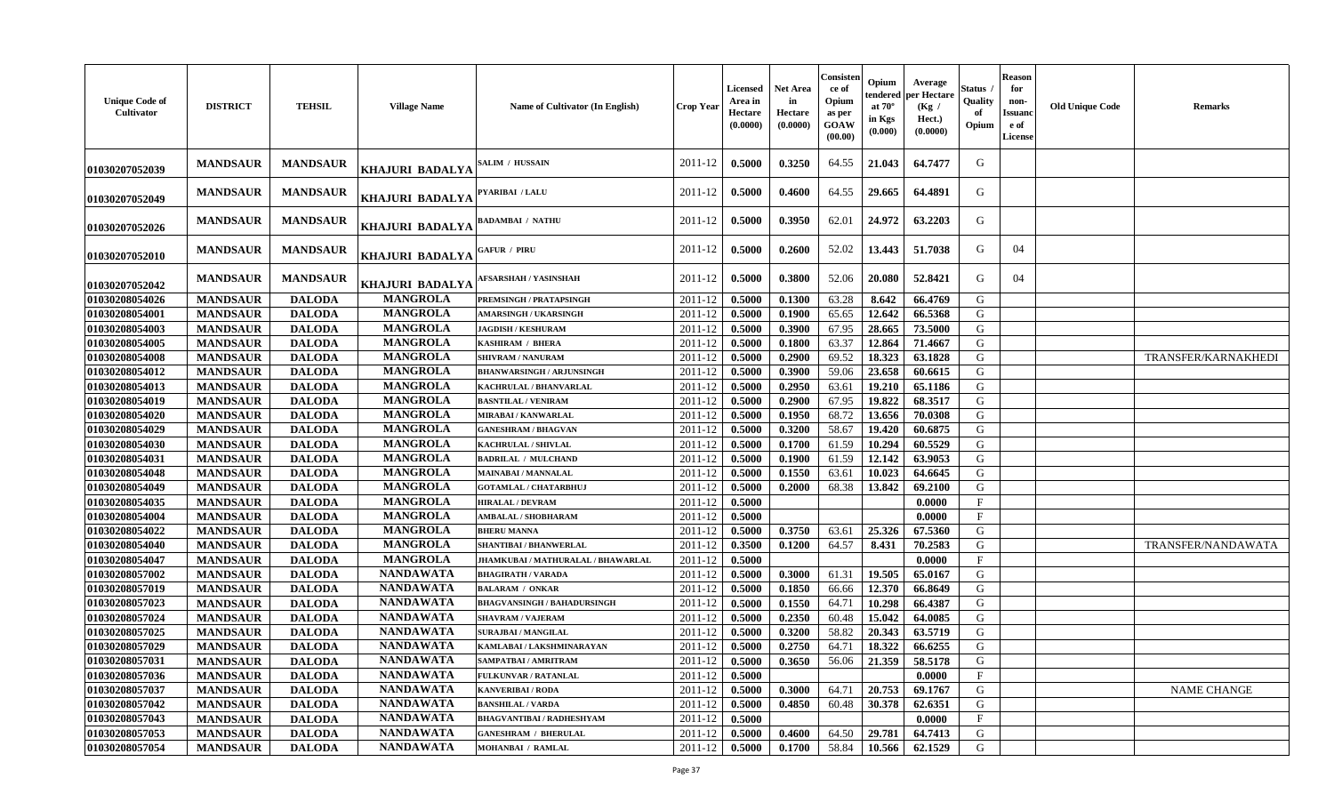| <b>Unique Code of</b><br>Cultivator | <b>DISTRICT</b> | <b>TEHSIL</b>   | <b>Village Name</b>                  | Name of Cultivator (In English)    | <b>Crop Year</b>   | Licensed<br>Area in<br>Hectare<br>(0.0000) | <b>Net Area</b><br>in<br>Hectare<br>(0.0000) | Consisten<br>ce of<br>Opium<br>as per<br>GOAW<br>(00.00) | Opium<br>tendered<br>at $70^\circ$<br>in Kgs<br>(0.000) | Average<br>per Hectare<br>(Kg)<br>Hect.)<br>(0.0000) | Status<br>Quality<br>of<br>Opium | <b>Reason</b><br>for<br>non-<br>Issuanc<br>e of<br><b>License</b> | <b>Old Unique Code</b> | <b>Remarks</b>      |
|-------------------------------------|-----------------|-----------------|--------------------------------------|------------------------------------|--------------------|--------------------------------------------|----------------------------------------------|----------------------------------------------------------|---------------------------------------------------------|------------------------------------------------------|----------------------------------|-------------------------------------------------------------------|------------------------|---------------------|
| 01030207052039                      | <b>MANDSAUR</b> | <b>MANDSAUR</b> | KHAJURI BADALYA                      | SALIM / HUSSAIN                    | 2011-12            | 0.5000                                     | 0.3250                                       | 64.55                                                    | 21.043                                                  | 64.7477                                              | G                                |                                                                   |                        |                     |
| 01030207052049                      | <b>MANDSAUR</b> | <b>MANDSAUR</b> | KHAJURI BADALYA                      | PYARIBAI / LALU                    | 2011-12            | 0.5000                                     | 0.4600                                       | 64.55                                                    | 29.665                                                  | 64.4891                                              | G                                |                                                                   |                        |                     |
| 01030207052026                      | <b>MANDSAUR</b> | <b>MANDSAUR</b> | KHAJURI BADALYA                      | <b>BADAMBAI / NATHU</b>            | 2011-12            | 0.5000                                     | 0.3950                                       | 62.01                                                    | 24.972                                                  | 63.2203                                              | G                                |                                                                   |                        |                     |
| 01030207052010                      | <b>MANDSAUR</b> | <b>MANDSAUR</b> | KHAJURI BADALYA                      | <b>GAFUR / PIRU</b>                | 2011-12            | 0.5000                                     | 0.2600                                       | 52.02                                                    | 13.443                                                  | 51.7038                                              | G                                | 04                                                                |                        |                     |
| 01030207052042                      | <b>MANDSAUR</b> | <b>MANDSAUR</b> | <b>KHAJURI BADALYA</b>               | <b>AFSARSHAH / YASINSHAH</b>       | 2011-12            | 0.5000                                     | 0.3800                                       | 52.06                                                    | 20.080                                                  | 52.8421                                              | G                                | 04                                                                |                        |                     |
| 01030208054026                      | <b>MANDSAUR</b> | <b>DALODA</b>   | <b>MANGROLA</b>                      | PREMSINGH / PRATAPSINGH            | 2011-12            | 0.5000                                     | 0.1300                                       | 63.28                                                    | 8.642                                                   | 66.4769                                              | G                                |                                                                   |                        |                     |
| 01030208054001                      | <b>MANDSAUR</b> | <b>DALODA</b>   | <b>MANGROLA</b>                      | <b>AMARSINGH / UKARSINGH</b>       | 2011-12            | 0.5000                                     | 0.1900                                       | 65.65                                                    | 12.642                                                  | 66.5368                                              | G                                |                                                                   |                        |                     |
| 01030208054003                      | <b>MANDSAUR</b> | <b>DALODA</b>   | <b>MANGROLA</b>                      | <b>JAGDISH / KESHURAM</b>          | 2011-12            | 0.5000                                     | 0.3900                                       | 67.95                                                    | 28.665                                                  | 73.5000                                              | G                                |                                                                   |                        |                     |
| 01030208054005                      | <b>MANDSAUR</b> | <b>DALODA</b>   | <b>MANGROLA</b>                      | <b>KASHIRAM / BHERA</b>            | 2011-12            | 0.5000                                     | 0.1800                                       | 63.37                                                    | 12.864                                                  | 71.4667                                              | G                                |                                                                   |                        |                     |
| 01030208054008                      | <b>MANDSAUR</b> | <b>DALODA</b>   | <b>MANGROLA</b>                      | SHIVRAM / NANURAM                  | 2011-12            | 0.5000                                     | 0.2900                                       | 69.52                                                    | 18.323                                                  | 63.1828                                              | G                                |                                                                   |                        | TRANSFER/KARNAKHEDI |
| 01030208054012                      | <b>MANDSAUR</b> | <b>DALODA</b>   | <b>MANGROLA</b>                      | <b>BHANWARSINGH / ARJUNSINGH</b>   | $2011 - 12$        | 0.5000                                     | 0.3900                                       | 59.06                                                    | 23.658                                                  | 60.6615                                              | G                                |                                                                   |                        |                     |
| 01030208054013                      | <b>MANDSAUR</b> | <b>DALODA</b>   | <b>MANGROLA</b>                      | KACHRULAL / BHANVARLAL             | 2011-12            | 0.5000                                     | 0.2950                                       | 63.61                                                    | 19.210                                                  | 65.1186                                              | G                                |                                                                   |                        |                     |
| 01030208054019                      | <b>MANDSAUR</b> | <b>DALODA</b>   | <b>MANGROLA</b>                      | <b>BASNTILAL / VENIRAM</b>         | 2011-12            | 0.5000                                     | 0.2900                                       | 67.95                                                    | 19.822                                                  | 68.3517                                              | G                                |                                                                   |                        |                     |
| 01030208054020                      | <b>MANDSAUR</b> | <b>DALODA</b>   | <b>MANGROLA</b>                      | MIRABAI / KANWARLAL                | 2011-12            | 0.5000                                     | 0.1950                                       | 68.72                                                    | 13.656                                                  | 70.0308                                              | G                                |                                                                   |                        |                     |
| 01030208054029                      | <b>MANDSAUR</b> | <b>DALODA</b>   | <b>MANGROLA</b>                      | <b>GANESHRAM / BHAGVAN</b>         | 2011-12            | 0.5000                                     | 0.3200                                       | 58.67                                                    | 19.420                                                  | 60.6875                                              | G                                |                                                                   |                        |                     |
| 01030208054030                      | <b>MANDSAUR</b> | <b>DALODA</b>   | <b>MANGROLA</b>                      | <b>KACHRULAL / SHIVLAL</b>         | 2011-12            | 0.5000                                     | 0.1700                                       | 61.59                                                    | 10.294                                                  | 60.5529                                              | G                                |                                                                   |                        |                     |
| 01030208054031                      | <b>MANDSAUR</b> | <b>DALODA</b>   | <b>MANGROLA</b>                      | <b>BADRILAL / MULCHAND</b>         | 2011-12            | 0.5000                                     | 0.1900                                       | 61.59                                                    | 12.142                                                  | 63.9053                                              | G                                |                                                                   |                        |                     |
| 01030208054048                      | <b>MANDSAUR</b> | <b>DALODA</b>   | <b>MANGROLA</b>                      | <b>MAINABAI/MANNALAL</b>           | 2011-12            | 0.5000                                     | 0.1550                                       | 63.61                                                    | 10.023                                                  | 64.6645                                              | G                                |                                                                   |                        |                     |
| 01030208054049                      | <b>MANDSAUR</b> | <b>DALODA</b>   | <b>MANGROLA</b>                      | <b>GOTAMLAL / CHATARBHUJ</b>       | 2011-12            | 0.5000                                     | 0.2000                                       | 68.38                                                    | 13.842                                                  | 69.2100                                              | G                                |                                                                   |                        |                     |
| 01030208054035                      | <b>MANDSAUR</b> | <b>DALODA</b>   | <b>MANGROLA</b>                      | <b>HIRALAL / DEVRAM</b>            | 2011-12            | 0.5000                                     |                                              |                                                          |                                                         | 0.0000                                               | $\mathbf{F}$                     |                                                                   |                        |                     |
| 01030208054004                      | <b>MANDSAUR</b> | <b>DALODA</b>   | <b>MANGROLA</b>                      | <b>AMBALAL / SHOBHARAM</b>         | 2011-12            | 0.5000                                     |                                              |                                                          |                                                         | 0.0000                                               | $\mathbf{F}$                     |                                                                   |                        |                     |
| 01030208054022                      | <b>MANDSAUR</b> | <b>DALODA</b>   | <b>MANGROLA</b>                      | <b>BHERU MANNA</b>                 | 2011-12            | 0.5000                                     | 0.3750                                       | 63.61                                                    | 25.326                                                  | 67.5360                                              | G                                |                                                                   |                        |                     |
| 01030208054040                      | <b>MANDSAUR</b> | <b>DALODA</b>   | <b>MANGROLA</b>                      | SHANTIBAI / BHANWERLAL             |                    | 0.3500                                     | 0.1200                                       | 64.57                                                    | 8.431                                                   | 70.2583                                              | G                                |                                                                   |                        | TRANSFER/NANDAWATA  |
| 01030208054047                      |                 |                 | <b>MANGROLA</b>                      |                                    | 2011-12<br>2011-12 |                                            |                                              |                                                          |                                                         | 0.0000                                               | F                                |                                                                   |                        |                     |
|                                     | <b>MANDSAUR</b> | <b>DALODA</b>   |                                      | JHAMKUBAI / MATHURALAL / BHAWARLAL |                    | 0.5000                                     |                                              |                                                          |                                                         |                                                      |                                  |                                                                   |                        |                     |
| 01030208057002                      | <b>MANDSAUR</b> | <b>DALODA</b>   | <b>NANDAWATA</b><br><b>NANDAWATA</b> | <b>BHAGIRATH / VARADA</b>          | 2011-12            | 0.5000                                     | 0.3000                                       | 61.31                                                    | 19.505                                                  | 65.0167                                              | G<br>G                           |                                                                   |                        |                     |
| 01030208057019                      | <b>MANDSAUR</b> | <b>DALODA</b>   | <b>NANDAWATA</b>                     | <b>BALARAM / ONKAR</b>             | 2011-12            | 0.5000                                     | 0.1850                                       | 66.66                                                    | 12.370                                                  | 66.8649                                              |                                  |                                                                   |                        |                     |
| 01030208057023                      | <b>MANDSAUR</b> | <b>DALODA</b>   |                                      | <b>BHAGVANSINGH / BAHADURSINGH</b> | 2011-12            | 0.5000                                     | 0.1550                                       | 64.71                                                    | 10.298                                                  | 66.4387                                              | G                                |                                                                   |                        |                     |
| 01030208057024                      | <b>MANDSAUR</b> | <b>DALODA</b>   | <b>NANDAWATA</b><br><b>NANDAWATA</b> | <b>SHAVRAM / VAJERAM</b>           | 2011-12            | 0.5000                                     | 0.2350                                       | 60.48                                                    | 15.042                                                  | 64.0085                                              | G                                |                                                                   |                        |                     |
| 01030208057025                      | <b>MANDSAUR</b> | <b>DALODA</b>   |                                      | <b>SURAJBAI / MANGILAL</b>         | 2011-12            | 0.5000                                     | 0.3200                                       | 58.82                                                    | 20.343                                                  | 63.5719                                              | ${\bf G}$                        |                                                                   |                        |                     |
| 01030208057029                      | <b>MANDSAUR</b> | <b>DALODA</b>   | <b>NANDAWATA</b>                     | KAMLABAI / LAKSHMINARAYAN          | 2011-12            | 0.5000                                     | 0.2750                                       | 64.71                                                    | 18.322                                                  | 66.6255                                              | G                                |                                                                   |                        |                     |
| 01030208057031                      | <b>MANDSAUR</b> | <b>DALODA</b>   | <b>NANDAWATA</b>                     | SAMPATBAI / AMRITRAM               | 2011-12            | 0.5000                                     | 0.3650                                       | 56.06                                                    | 21.359                                                  | 58.5178                                              | G                                |                                                                   |                        |                     |
| 01030208057036                      | <b>MANDSAUR</b> | <b>DALODA</b>   | <b>NANDAWATA</b>                     | <b>FULKUNVAR / RATANLAL</b>        | 2011-12            | 0.5000                                     |                                              |                                                          |                                                         | 0.0000                                               | F                                |                                                                   |                        |                     |
| 01030208057037                      | <b>MANDSAUR</b> | <b>DALODA</b>   | <b>NANDAWATA</b>                     | <b>KANVERIBAI / RODA</b>           | 2011-12            | 0.5000                                     | 0.3000                                       | 64.71                                                    | 20.753                                                  | 69.1767                                              | G                                |                                                                   |                        | <b>NAME CHANGE</b>  |
| 01030208057042                      | <b>MANDSAUR</b> | <b>DALODA</b>   | <b>NANDAWATA</b>                     | <b>BANSHILAL / VARDA</b>           | 2011-12            | 0.5000                                     | 0.4850                                       | 60.48                                                    | 30.378                                                  | 62.6351                                              | G                                |                                                                   |                        |                     |
| 01030208057043                      | <b>MANDSAUR</b> | <b>DALODA</b>   | <b>NANDAWATA</b>                     | <b>BHAGVANTIBAI / RADHESHYAM</b>   | 2011-12            | 0.5000                                     |                                              |                                                          |                                                         | 0.0000                                               | $\mathbf{F}$                     |                                                                   |                        |                     |
| 01030208057053                      | <b>MANDSAUR</b> | <b>DALODA</b>   | <b>NANDAWATA</b>                     | <b>GANESHRAM / BHERULAL</b>        | 2011-12            | 0.5000                                     | 0.4600                                       | 64.50                                                    | 29.781                                                  | 64.7413                                              | G                                |                                                                   |                        |                     |
| 01030208057054                      | <b>MANDSAUR</b> | <b>DALODA</b>   | <b>NANDAWATA</b>                     | <b>MOHANBAI / RAMLAL</b>           | 2011-12            | 0.5000                                     | 0.1700                                       | 58.84                                                    | 10.566                                                  | 62.1529                                              | G                                |                                                                   |                        |                     |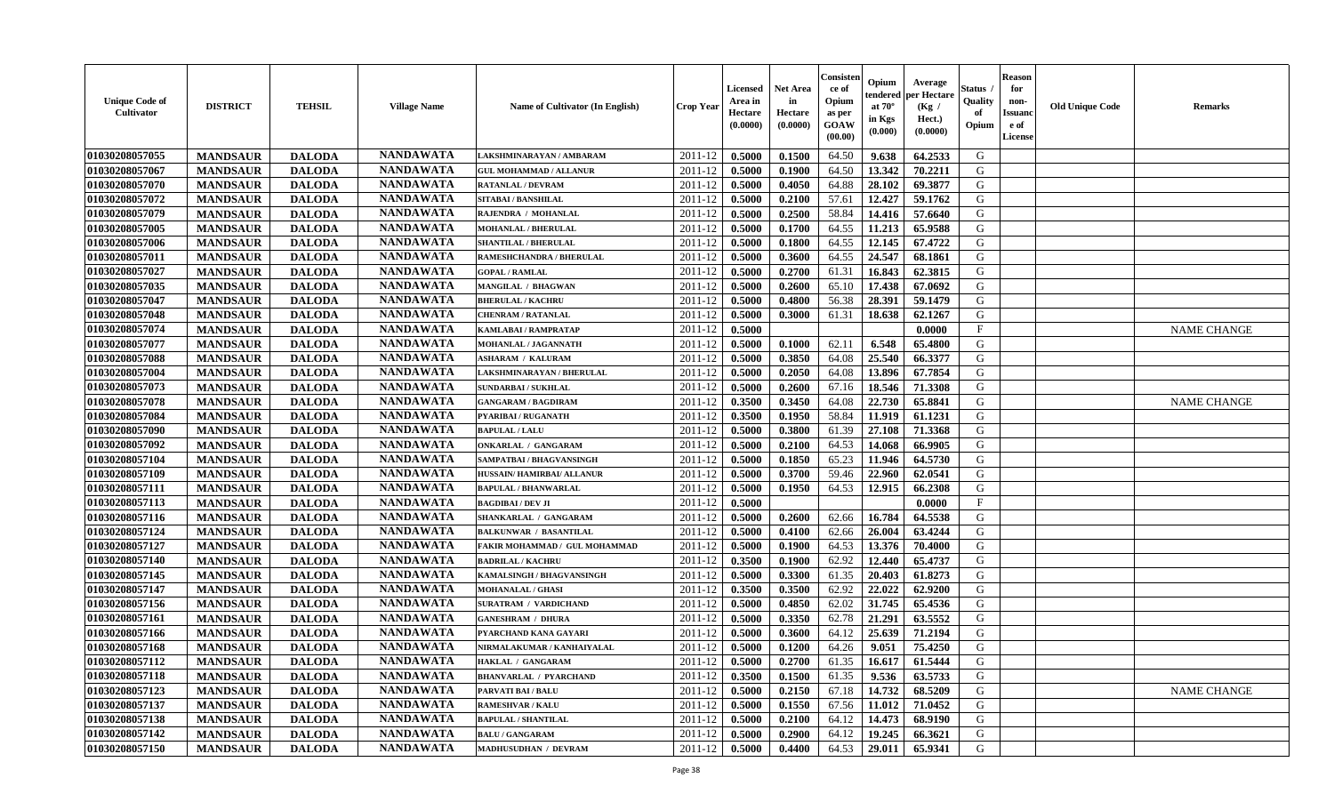| <b>Unique Code of</b><br><b>Cultivator</b> | <b>DISTRICT</b> | <b>TEHSIL</b> | <b>Village Name</b> | Name of Cultivator (In English) | <b>Crop Year</b> | <b>Licensed</b><br>Area in<br>Hectare<br>(0.0000) | Net Area<br>in<br>Hectare<br>(0.0000) | Consisteı<br>ce of<br>Opium<br>as per<br>GOAW<br>(00.00) | Opium<br>endered<br>at $70^\circ$<br>in Kgs<br>(0.000) | Average<br>per Hectare<br>(Kg /<br>Hect.)<br>(0.0000) | Status<br>Quality<br>of<br>Opium | <b>Reason</b><br>for<br>non-<br>Issuano<br>e of<br>License | <b>Old Unique Code</b> | Remarks            |
|--------------------------------------------|-----------------|---------------|---------------------|---------------------------------|------------------|---------------------------------------------------|---------------------------------------|----------------------------------------------------------|--------------------------------------------------------|-------------------------------------------------------|----------------------------------|------------------------------------------------------------|------------------------|--------------------|
| 01030208057055                             | <b>MANDSAUR</b> | <b>DALODA</b> | <b>NANDAWATA</b>    | LAKSHMINARAYAN / AMBARAM        | 2011-12          | 0.5000                                            | 0.1500                                | 64.50                                                    | 9.638                                                  | 64.2533                                               | G                                |                                                            |                        |                    |
| 01030208057067                             | <b>MANDSAUR</b> | <b>DALODA</b> | <b>NANDAWATA</b>    | <b>GUL MOHAMMAD / ALLANUR</b>   | 2011-12          | 0.5000                                            | 0.1900                                | 64.50                                                    | 13.342                                                 | 70.2211                                               | G                                |                                                            |                        |                    |
| 01030208057070                             | <b>MANDSAUR</b> | <b>DALODA</b> | <b>NANDAWATA</b>    | <b>RATANLAL / DEVRAM</b>        | 2011-12          | 0.5000                                            | 0.4050                                | 64.88                                                    | 28.102                                                 | 69.3877                                               | G                                |                                                            |                        |                    |
| 01030208057072                             | <b>MANDSAUR</b> | <b>DALODA</b> | <b>NANDAWATA</b>    | SITABAI / BANSHILAL             | 2011-12          | 0.5000                                            | 0.2100                                | 57.61                                                    | 12.427                                                 | 59.1762                                               | G                                |                                                            |                        |                    |
| 01030208057079                             | <b>MANDSAUR</b> | <b>DALODA</b> | <b>NANDAWATA</b>    | RAJENDRA / MOHANLAL             | 2011-12          | 0.5000                                            | 0.2500                                | 58.84                                                    | 14.416                                                 | 57.6640                                               | G                                |                                                            |                        |                    |
| 01030208057005                             | <b>MANDSAUR</b> | <b>DALODA</b> | <b>NANDAWATA</b>    | <b>MOHANLAL / BHERULAL</b>      | 2011-12          | 0.5000                                            | 0.1700                                | 64.55                                                    | 11.213                                                 | 65.9588                                               | G                                |                                                            |                        |                    |
| 01030208057006                             | <b>MANDSAUR</b> | <b>DALODA</b> | <b>NANDAWATA</b>    | <b>SHANTILAL / BHERULAL</b>     | 2011-12          | 0.5000                                            | 0.1800                                | 64.55                                                    | 12.145                                                 | 67.4722                                               | G                                |                                                            |                        |                    |
| 01030208057011                             | <b>MANDSAUR</b> | <b>DALODA</b> | <b>NANDAWATA</b>    | RAMESHCHANDRA / BHERULAL        | 2011-12          | 0.5000                                            | 0.3600                                | 64.55                                                    | 24.547                                                 | 68.1861                                               | G                                |                                                            |                        |                    |
| 01030208057027                             | <b>MANDSAUR</b> | <b>DALODA</b> | <b>NANDAWATA</b>    | <b>GOPAL / RAMLAL</b>           | 2011-12          | 0.5000                                            | 0.2700                                | 61.31                                                    | 16.843                                                 | 62.3815                                               | G                                |                                                            |                        |                    |
| 01030208057035                             | <b>MANDSAUR</b> | <b>DALODA</b> | <b>NANDAWATA</b>    | <b>MANGILAL / BHAGWAN</b>       | $2011 - 12$      | 0.5000                                            | 0.2600                                | 65.10                                                    | 17.438                                                 | 67.0692                                               | G                                |                                                            |                        |                    |
| 01030208057047                             | <b>MANDSAUR</b> | <b>DALODA</b> | <b>NANDAWATA</b>    | <b>BHERULAL / KACHRU</b>        | 2011-12          | 0.5000                                            | 0.4800                                | 56.38                                                    | 28.391                                                 | 59.1479                                               | G                                |                                                            |                        |                    |
| 01030208057048                             | <b>MANDSAUR</b> | <b>DALODA</b> | <b>NANDAWATA</b>    | <b>CHENRAM / RATANLAL</b>       | 2011-12          | 0.5000                                            | 0.3000                                | 61.31                                                    | 18.638                                                 | 62.1267                                               | G                                |                                                            |                        |                    |
| 01030208057074                             | <b>MANDSAUR</b> | <b>DALODA</b> | <b>NANDAWATA</b>    | <b>KAMLABAI/RAMPRATAP</b>       | 2011-12          | 0.5000                                            |                                       |                                                          |                                                        | 0.0000                                                | $\mathbf{F}$                     |                                                            |                        | <b>NAME CHANGE</b> |
| 01030208057077                             | <b>MANDSAUR</b> | <b>DALODA</b> | <b>NANDAWATA</b>    | MOHANLAL / JAGANNATH            | 2011-12          | 0.5000                                            | 0.1000                                | 62.11                                                    | 6.548                                                  | 65.4800                                               | G                                |                                                            |                        |                    |
| 01030208057088                             | <b>MANDSAUR</b> | <b>DALODA</b> | <b>NANDAWATA</b>    | <b>ASHARAM / KALURAM</b>        | 2011-12          | 0.5000                                            | 0.3850                                | 64.08                                                    | 25.540                                                 | 66.3377                                               | $\mathbf G$                      |                                                            |                        |                    |
| 01030208057004                             | <b>MANDSAUR</b> | <b>DALODA</b> | <b>NANDAWATA</b>    | LAKSHMINARAYAN / BHERULAL       | 2011-12          | 0.5000                                            | 0.2050                                | 64.08                                                    | 13.896                                                 | 67.7854                                               | G                                |                                                            |                        |                    |
| 01030208057073                             | <b>MANDSAUR</b> | <b>DALODA</b> | <b>NANDAWATA</b>    | <b>SUNDARBAI/SUKHLAL</b>        | 2011-12          | 0.5000                                            | 0.2600                                | 67.16                                                    | 18.546                                                 | 71.3308                                               | G                                |                                                            |                        |                    |
| 01030208057078                             | <b>MANDSAUR</b> | <b>DALODA</b> | <b>NANDAWATA</b>    | <b>GANGARAM / BAGDIRAM</b>      | 2011-12          | 0.3500                                            | 0.3450                                | 64.08                                                    | 22.730                                                 | 65.8841                                               | G                                |                                                            |                        | <b>NAME CHANGE</b> |
| 01030208057084                             | <b>MANDSAUR</b> | <b>DALODA</b> | <b>NANDAWATA</b>    | PYARIBAI / RUGANATH             | 2011-12          | 0.3500                                            | 0.1950                                | 58.84                                                    | 11.919                                                 | 61.1231                                               | G                                |                                                            |                        |                    |
| 01030208057090                             | <b>MANDSAUR</b> | <b>DALODA</b> | <b>NANDAWATA</b>    | <b>BAPULAL / LALU</b>           | 2011-12          | 0.5000                                            | 0.3800                                | 61.39                                                    | 27.108                                                 | 71.3368                                               | G                                |                                                            |                        |                    |
| 01030208057092                             | <b>MANDSAUR</b> | <b>DALODA</b> | <b>NANDAWATA</b>    | <b>ONKARLAL / GANGARAM</b>      | 2011-12          | 0.5000                                            | 0.2100                                | 64.53                                                    | 14.068                                                 | 66.9905                                               | G                                |                                                            |                        |                    |
| 01030208057104                             | <b>MANDSAUR</b> | <b>DALODA</b> | <b>NANDAWATA</b>    | SAMPATBAI / BHAGVANSINGH        | 2011-12          | 0.5000                                            | 0.1850                                | 65.23                                                    | 11.946                                                 | 64.5730                                               | G                                |                                                            |                        |                    |
| 01030208057109                             | <b>MANDSAUR</b> | <b>DALODA</b> | <b>NANDAWATA</b>    | HUSSAIN/HAMIRBAI/ ALLANUR       | 2011-12          | 0.5000                                            | 0.3700                                | 59.46                                                    | 22.960                                                 | 62.0541                                               | G                                |                                                            |                        |                    |
| 01030208057111                             | <b>MANDSAUR</b> | <b>DALODA</b> | <b>NANDAWATA</b>    | <b>BAPULAL / BHANWARLAL</b>     | 2011-12          | 0.5000                                            | 0.1950                                | 64.53                                                    | 12.915                                                 | 66.2308                                               | G                                |                                                            |                        |                    |
| 01030208057113                             | <b>MANDSAUR</b> | <b>DALODA</b> | <b>NANDAWATA</b>    | <b>BAGDIBAI / DEV JI</b>        | 2011-12          | 0.5000                                            |                                       |                                                          |                                                        | 0.0000                                                | $\rm F$                          |                                                            |                        |                    |
| 01030208057116                             | <b>MANDSAUR</b> | <b>DALODA</b> | <b>NANDAWATA</b>    | SHANKARLAL / GANGARAM           | 2011-12          | 0.5000                                            | 0.2600                                | 62.66                                                    | 16.784                                                 | 64.5538                                               | G                                |                                                            |                        |                    |
| 01030208057124                             | <b>MANDSAUR</b> | <b>DALODA</b> | <b>NANDAWATA</b>    | <b>BALKUNWAR / BASANTILAL</b>   | 2011-12          | 0.5000                                            | 0.4100                                | 62.66                                                    | 26.004                                                 | 63.4244                                               | $\mathbf G$                      |                                                            |                        |                    |
| 01030208057127                             | <b>MANDSAUR</b> | <b>DALODA</b> | <b>NANDAWATA</b>    | FAKIR MOHAMMAD / GUL MOHAMMAD   | 2011-12          | 0.5000                                            | 0.1900                                | 64.53                                                    | 13.376                                                 | 70.4000                                               | G                                |                                                            |                        |                    |
| 01030208057140                             | <b>MANDSAUR</b> | <b>DALODA</b> | <b>NANDAWATA</b>    | <b>BADRILAL / KACHRU</b>        | 2011-12          | 0.3500                                            | 0.1900                                | 62.92                                                    | 12.440                                                 | 65.4737                                               | G                                |                                                            |                        |                    |
| 01030208057145                             | <b>MANDSAUR</b> | <b>DALODA</b> | <b>NANDAWATA</b>    | KAMALSINGH / BHAGVANSINGH       | 2011-12          | 0.5000                                            | 0.3300                                | 61.35                                                    | 20.403                                                 | 61.8273                                               | G                                |                                                            |                        |                    |
| 01030208057147                             | <b>MANDSAUR</b> | <b>DALODA</b> | <b>NANDAWATA</b>    | <b>MOHANALAL / GHASI</b>        | 2011-12          | 0.3500                                            | 0.3500                                | 62.92                                                    | 22.022                                                 | 62.9200                                               | G                                |                                                            |                        |                    |
| 01030208057156                             | <b>MANDSAUR</b> | <b>DALODA</b> | <b>NANDAWATA</b>    | <b>SURATRAM / VARDICHAND</b>    | 2011-12          | 0.5000                                            | 0.4850                                | 62.02                                                    | 31.745                                                 | 65.4536                                               | G                                |                                                            |                        |                    |
| 01030208057161                             | <b>MANDSAUR</b> | <b>DALODA</b> | <b>NANDAWATA</b>    | <b>GANESHRAM / DHURA</b>        | 2011-12          | 0.5000                                            | 0.3350                                | 62.78                                                    | 21.291                                                 | 63.5552                                               | G                                |                                                            |                        |                    |
| 01030208057166                             | <b>MANDSAUR</b> | <b>DALODA</b> | <b>NANDAWATA</b>    | PYARCHAND KANA GAYARI           | 2011-12          | 0.5000                                            | 0.3600                                | 64.12                                                    | 25.639                                                 | 71.2194                                               | G                                |                                                            |                        |                    |
| 01030208057168                             | <b>MANDSAUR</b> | <b>DALODA</b> | <b>NANDAWATA</b>    | NIRMALAKUMAR / KANHAIYALAL      | 2011-12          | 0.5000                                            | 0.1200                                | 64.26                                                    | 9.051                                                  | 75.4250                                               | G                                |                                                            |                        |                    |
| 01030208057112                             | <b>MANDSAUR</b> | <b>DALODA</b> | <b>NANDAWATA</b>    | <b>HAKLAL / GANGARAM</b>        | 2011-12          | 0.5000                                            | 0.2700                                | 61.35                                                    | 16.617                                                 | 61.5444                                               | G                                |                                                            |                        |                    |
| 01030208057118                             | <b>MANDSAUR</b> | <b>DALODA</b> | <b>NANDAWATA</b>    | <b>BHANVARLAL / PYARCHAND</b>   | 2011-12          | 0.3500                                            | 0.1500                                | 61.35                                                    | 9.536                                                  | 63.5733                                               | G                                |                                                            |                        |                    |
| 01030208057123                             | <b>MANDSAUR</b> | <b>DALODA</b> | <b>NANDAWATA</b>    | <b>PARVATI BAI / BALU</b>       | 2011-12          | 0.5000                                            | 0.2150                                | 67.18                                                    | 14.732                                                 | 68.5209                                               | G                                |                                                            |                        | <b>NAME CHANGE</b> |
| 01030208057137                             | <b>MANDSAUR</b> | <b>DALODA</b> | <b>NANDAWATA</b>    | <b>RAMESHVAR / KALU</b>         | 2011-12          | 0.5000                                            | 0.1550                                | 67.56                                                    | 11.012                                                 | 71.0452                                               | G                                |                                                            |                        |                    |
| 01030208057138                             | <b>MANDSAUR</b> | <b>DALODA</b> | <b>NANDAWATA</b>    | <b>BAPULAL / SHANTILAL</b>      | 2011-12          | 0.5000                                            | 0.2100                                | 64.12                                                    | 14.473                                                 | 68.9190                                               | ${\bf G}$                        |                                                            |                        |                    |
| 01030208057142                             | <b>MANDSAUR</b> | <b>DALODA</b> | <b>NANDAWATA</b>    | <b>BALU / GANGARAM</b>          | 2011-12          | 0.5000                                            | 0.2900                                | 64.12                                                    | 19.245                                                 | 66.3621                                               | G                                |                                                            |                        |                    |
| 01030208057150                             | <b>MANDSAUR</b> | <b>DALODA</b> | <b>NANDAWATA</b>    | <b>MADHUSUDHAN / DEVRAM</b>     | 2011-12          | 0.5000                                            | 0.4400                                | 64.53                                                    | 29.011                                                 | 65.9341                                               | G                                |                                                            |                        |                    |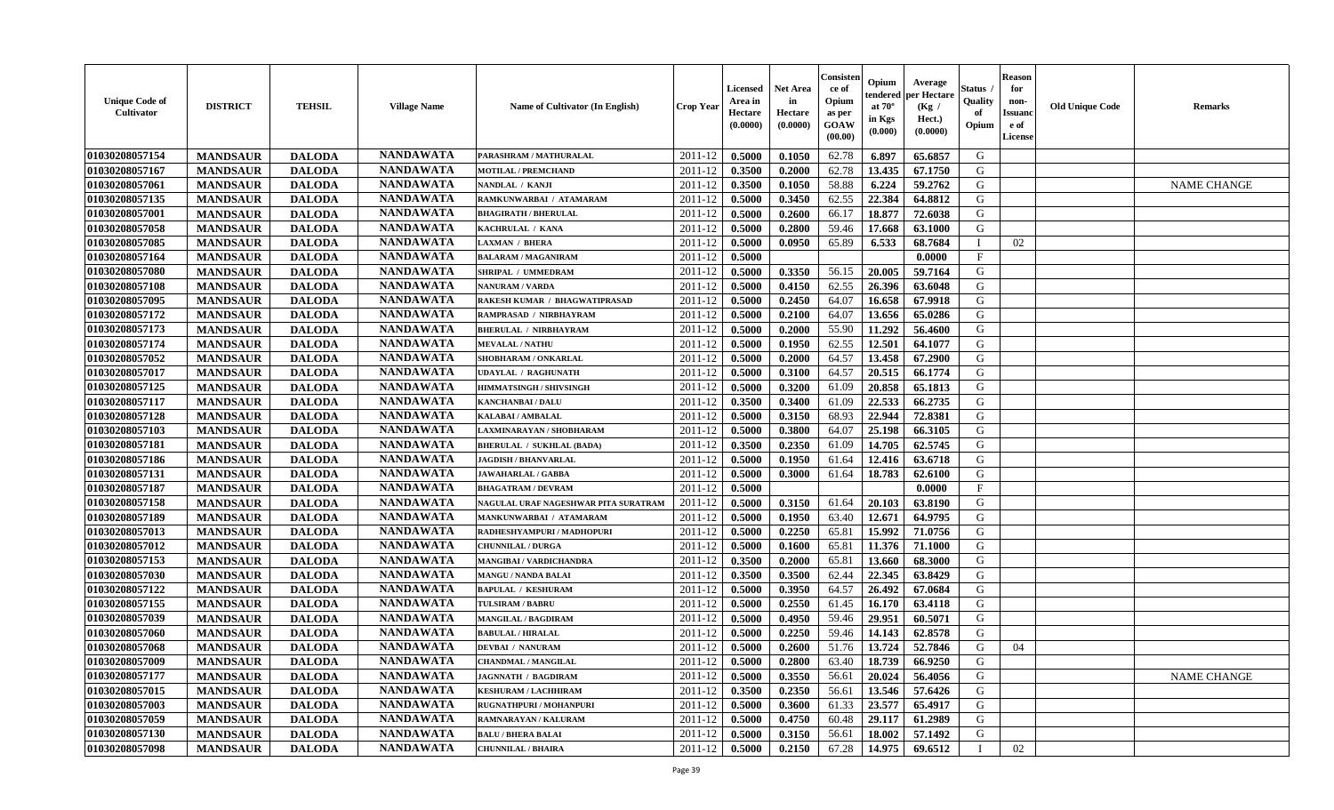| <b>Unique Code of</b><br>Cultivator | <b>DISTRICT</b> | <b>TEHSIL</b> | <b>Village Name</b> | Name of Cultivator (In English)      | <b>Crop Year</b> | <b>Licensed</b><br>Area in<br>Hectare<br>(0.0000) | <b>Net Area</b><br>in<br>Hectare<br>(0.0000) | Consisteı<br>ce of<br>Opium<br>as per<br>GOAW<br>(00.00) | Opium<br>endered<br>at 70°<br>in Kgs<br>(0.000) | Average<br>er Hectare<br>(Kg /<br>Hect.)<br>(0.0000) | Status<br>Quality<br>of<br>Opium | <b>Reason</b><br>for<br>non-<br><b>Issuand</b><br>e of<br>License | <b>Old Unique Code</b> | <b>Remarks</b>     |
|-------------------------------------|-----------------|---------------|---------------------|--------------------------------------|------------------|---------------------------------------------------|----------------------------------------------|----------------------------------------------------------|-------------------------------------------------|------------------------------------------------------|----------------------------------|-------------------------------------------------------------------|------------------------|--------------------|
| 01030208057154                      | <b>MANDSAUR</b> | <b>DALODA</b> | <b>NANDAWATA</b>    | PARASHRAM / MATHURALAL               | 2011-12          | 0.5000                                            | 0.1050                                       | 62.78                                                    | 6.897                                           | 65.6857                                              | G                                |                                                                   |                        |                    |
| 01030208057167                      | <b>MANDSAUR</b> | <b>DALODA</b> | <b>NANDAWATA</b>    | <b>MOTILAL / PREMCHAND</b>           | 2011-12          | 0.3500                                            | 0.2000                                       | 62.78                                                    | 13.435                                          | 67.1750                                              | G                                |                                                                   |                        |                    |
| 01030208057061                      | <b>MANDSAUR</b> | <b>DALODA</b> | <b>NANDAWATA</b>    | NANDLAL / KANJI                      | 2011-12          | 0.3500                                            | 0.1050                                       | 58.88                                                    | 6.224                                           | 59.2762                                              | G                                |                                                                   |                        | <b>NAME CHANGE</b> |
| 01030208057135                      | <b>MANDSAUR</b> | <b>DALODA</b> | <b>NANDAWATA</b>    | RAMKUNWARBAI / ATAMARAM              | 2011-12          | 0.5000                                            | 0.3450                                       | 62.55                                                    | 22.384                                          | 64.8812                                              | G                                |                                                                   |                        |                    |
| 01030208057001                      | <b>MANDSAUR</b> | <b>DALODA</b> | <b>NANDAWATA</b>    | <b>BHAGIRATH / BHERULAL</b>          | 2011-12          | 0.5000                                            | 0.2600                                       | 66.17                                                    | 18.877                                          | 72.6038                                              | G                                |                                                                   |                        |                    |
| 01030208057058                      | <b>MANDSAUR</b> | <b>DALODA</b> | <b>NANDAWATA</b>    | KACHRULAL / KANA                     | 2011-12          | 0.5000                                            | 0.2800                                       | 59.46                                                    | 17.668                                          | 63.1000                                              | G                                |                                                                   |                        |                    |
| 01030208057085                      | <b>MANDSAUR</b> | <b>DALODA</b> | <b>NANDAWATA</b>    | AXMAN / BHERA                        | 2011-12          | 0.5000                                            | 0.0950                                       | 65.89                                                    | 6.533                                           | 68.7684                                              |                                  | 02                                                                |                        |                    |
| 01030208057164                      | <b>MANDSAUR</b> | <b>DALODA</b> | <b>NANDAWATA</b>    | <b>BALARAM / MAGANIRAM</b>           | 2011-12          | 0.5000                                            |                                              |                                                          |                                                 | 0.0000                                               | $\mathbf{F}$                     |                                                                   |                        |                    |
| 01030208057080                      | <b>MANDSAUR</b> | <b>DALODA</b> | <b>NANDAWATA</b>    | SHRIPAL / UMMEDRAM                   | 2011-12          | 0.5000                                            | 0.3350                                       | 56.15                                                    | 20.005                                          | 59.7164                                              | G                                |                                                                   |                        |                    |
| 01030208057108                      | <b>MANDSAUR</b> | <b>DALODA</b> | <b>NANDAWATA</b>    | NANURAM / VARDA                      | 2011-12          | 0.5000                                            | 0.4150                                       | 62.55                                                    | 26.396                                          | 63.6048                                              | G                                |                                                                   |                        |                    |
| 01030208057095                      | <b>MANDSAUR</b> | <b>DALODA</b> | <b>NANDAWATA</b>    | RAKESH KUMAR / BHAGWATIPRASAD        | 2011-12          | 0.5000                                            | 0.2450                                       | 64.07                                                    | 16.658                                          | 67.9918                                              | G                                |                                                                   |                        |                    |
| 01030208057172                      | <b>MANDSAUR</b> | <b>DALODA</b> | <b>NANDAWATA</b>    | RAMPRASAD / NIRBHAYRAM               | 2011-12          | 0.5000                                            | 0.2100                                       | 64.07                                                    | 13.656                                          | 65.0286                                              | G                                |                                                                   |                        |                    |
| 01030208057173                      | <b>MANDSAUR</b> | <b>DALODA</b> | <b>NANDAWATA</b>    | <b>BHERULAL / NIRBHAYRAM</b>         | 2011-12          | 0.5000                                            | 0.2000                                       | 55.90                                                    | 11.292                                          | 56.4600                                              | G                                |                                                                   |                        |                    |
| 01030208057174                      | <b>MANDSAUR</b> | <b>DALODA</b> | <b>NANDAWATA</b>    | <b>MEVALAL / NATHU</b>               | 2011-12          | 0.5000                                            | 0.1950                                       | 62.55                                                    | 12.501                                          | 64.1077                                              | G                                |                                                                   |                        |                    |
| 01030208057052                      | <b>MANDSAUR</b> | <b>DALODA</b> | <b>NANDAWATA</b>    | <b>SHOBHARAM / ONKARLAL</b>          | 2011-12          | 0.5000                                            | 0.2000                                       | 64.57                                                    | 13.458                                          | 67.2900                                              | G                                |                                                                   |                        |                    |
| 01030208057017                      | <b>MANDSAUR</b> | <b>DALODA</b> | <b>NANDAWATA</b>    | UDAYLAL / RAGHUNATH                  | 2011-12          | 0.5000                                            | 0.3100                                       | 64.57                                                    | 20.515                                          | 66.1774                                              | G                                |                                                                   |                        |                    |
| 01030208057125                      | <b>MANDSAUR</b> | <b>DALODA</b> | <b>NANDAWATA</b>    | HIMMATSINGH / SHIVSINGH              | 2011-12          | 0.5000                                            | 0.3200                                       | 61.09                                                    | 20.858                                          | 65.1813                                              | G                                |                                                                   |                        |                    |
| 01030208057117                      | <b>MANDSAUR</b> | <b>DALODA</b> | <b>NANDAWATA</b>    | <b>KANCHANBAI / DALU</b>             | 2011-12          | 0.3500                                            | 0.3400                                       | 61.09                                                    | 22.533                                          | 66.2735                                              | G                                |                                                                   |                        |                    |
| 01030208057128                      | <b>MANDSAUR</b> | <b>DALODA</b> | <b>NANDAWATA</b>    | <b>KALABAI/AMBALAL</b>               | 2011-12          | 0.5000                                            | 0.3150                                       | 68.93                                                    | 22.944                                          | 72.8381                                              | G                                |                                                                   |                        |                    |
| 01030208057103                      | <b>MANDSAUR</b> | <b>DALODA</b> | <b>NANDAWATA</b>    | LAXMINARAYAN / SHOBHARAM             | 2011-12          | 0.5000                                            | 0.3800                                       | 64.07                                                    | 25.198                                          | 66.3105                                              | G                                |                                                                   |                        |                    |
| 01030208057181                      | <b>MANDSAUR</b> | <b>DALODA</b> | <b>NANDAWATA</b>    | <b>BHERULAL / SUKHLAL (BADA)</b>     | 2011-12          | 0.3500                                            | 0.2350                                       | 61.09                                                    | 14.705                                          | 62.5745                                              | G                                |                                                                   |                        |                    |
| 01030208057186                      | <b>MANDSAUR</b> | <b>DALODA</b> | <b>NANDAWATA</b>    | <b>JAGDISH / BHANVARLAL</b>          | 2011-12          | 0.5000                                            | 0.1950                                       | 61.64                                                    | 12.416                                          | 63.6718                                              | G                                |                                                                   |                        |                    |
| 01030208057131                      | <b>MANDSAUR</b> | <b>DALODA</b> | <b>NANDAWATA</b>    | <b>JAWAHARLAL / GABBA</b>            | 2011-12          | 0.5000                                            | 0.3000                                       | 61.64                                                    | 18.783                                          | 62.6100                                              | G                                |                                                                   |                        |                    |
| 01030208057187                      | <b>MANDSAUR</b> | <b>DALODA</b> | <b>NANDAWATA</b>    | <b>BHAGATRAM / DEVRAM</b>            | 2011-12          | 0.5000                                            |                                              |                                                          |                                                 | 0.0000                                               | $\mathbf F$                      |                                                                   |                        |                    |
| 01030208057158                      | <b>MANDSAUR</b> | <b>DALODA</b> | <b>NANDAWATA</b>    | NAGULAL URAF NAGESHWAR PITA SURATRAM | 2011-12          | 0.5000                                            | 0.3150                                       | 61.64                                                    | 20.103                                          | 63.8190                                              | G                                |                                                                   |                        |                    |
| 01030208057189                      | <b>MANDSAUR</b> | <b>DALODA</b> | <b>NANDAWATA</b>    | MANKUNWARBAI / ATAMARAM              | 2011-12          | 0.5000                                            | 0.1950                                       | 63.40                                                    | 12.671                                          | 64.9795                                              | G                                |                                                                   |                        |                    |
| 01030208057013                      | <b>MANDSAUR</b> | <b>DALODA</b> | <b>NANDAWATA</b>    | RADHESHYAMPURI / MADHOPURI           | 2011-12          | 0.5000                                            | 0.2250                                       | 65.81                                                    | 15.992                                          | 71.0756                                              | G                                |                                                                   |                        |                    |
| 01030208057012                      | <b>MANDSAUR</b> | <b>DALODA</b> | <b>NANDAWATA</b>    | <b>CHUNNILAL / DURGA</b>             | 2011-12          | 0.5000                                            | 0.1600                                       | 65.81                                                    | 11.376                                          | 71.1000                                              | G                                |                                                                   |                        |                    |
| 01030208057153                      | <b>MANDSAUR</b> | <b>DALODA</b> | <b>NANDAWATA</b>    | <b>MANGIBAI/VARDICHANDRA</b>         | 2011-12          | 0.3500                                            | 0.2000                                       | 65.81                                                    | 13.660                                          | 68.3000                                              | G                                |                                                                   |                        |                    |
| 01030208057030                      | <b>MANDSAUR</b> | <b>DALODA</b> | <b>NANDAWATA</b>    | <b>MANGU / NANDA BALAI</b>           | 2011-12          | 0.3500                                            | 0.3500                                       | 62.44                                                    | 22.345                                          | 63.8429                                              | G                                |                                                                   |                        |                    |
| 01030208057122                      | <b>MANDSAUR</b> | <b>DALODA</b> | <b>NANDAWATA</b>    | <b>BAPULAL / KESHURAM</b>            | 2011-12          | 0.5000                                            | 0.3950                                       | 64.57                                                    | 26.492                                          | 67.0684                                              | ${\bf G}$                        |                                                                   |                        |                    |
| 01030208057155                      | <b>MANDSAUR</b> | <b>DALODA</b> | <b>NANDAWATA</b>    | <b>TULSIRAM / BABRU</b>              | 2011-12          | 0.5000                                            | 0.2550                                       | 61.45                                                    | 16.170                                          | 63.4118                                              | G                                |                                                                   |                        |                    |
| 01030208057039                      | <b>MANDSAUR</b> | <b>DALODA</b> | <b>NANDAWATA</b>    | <b>MANGILAL / BAGDIRAM</b>           | 2011-12          | 0.5000                                            | 0.4950                                       | 59.46                                                    | 29.951                                          | 60.5071                                              | G                                |                                                                   |                        |                    |
| 01030208057060                      | <b>MANDSAUR</b> | <b>DALODA</b> | <b>NANDAWATA</b>    | <b>BABULAL / HIRALAL</b>             | 2011-12          | 0.5000                                            | 0.2250                                       | 59.46                                                    | 14.143                                          | 62.8578                                              | G                                |                                                                   |                        |                    |
| 01030208057068                      | <b>MANDSAUR</b> | <b>DALODA</b> | <b>NANDAWATA</b>    | <b>DEVBAI / NANURAM</b>              | 2011-12          | 0.5000                                            | 0.2600                                       | 51.76                                                    | 13.724                                          | 52.7846                                              | G                                | 04                                                                |                        |                    |
| 01030208057009                      | <b>MANDSAUR</b> | <b>DALODA</b> | <b>NANDAWATA</b>    | <b>CHANDMAL / MANGILAL</b>           | 2011-12          | 0.5000                                            | 0.2800                                       | 63.40                                                    | 18.739                                          | 66.9250                                              | G                                |                                                                   |                        |                    |
| 01030208057177                      | <b>MANDSAUR</b> | <b>DALODA</b> | <b>NANDAWATA</b>    | <b>JAGNNATH / BAGDIRAM</b>           | 2011-12          | 0.5000                                            | 0.3550                                       | 56.61                                                    | 20.024                                          | 56.4056                                              | G                                |                                                                   |                        | <b>NAME CHANGE</b> |
| 01030208057015                      | <b>MANDSAUR</b> | <b>DALODA</b> | <b>NANDAWATA</b>    | <b>KESHURAM / LACHHIRAM</b>          | 2011-12          | 0.3500                                            | 0.2350                                       | 56.61                                                    | 13.546                                          | 57.6426                                              | G                                |                                                                   |                        |                    |
| 01030208057003                      | <b>MANDSAUR</b> | <b>DALODA</b> | <b>NANDAWATA</b>    | RUGNATHPURI / MOHANPURI              | 2011-12          | 0.5000                                            | 0.3600                                       | 61.33                                                    | 23.577                                          | 65.4917                                              | ${\bf G}$                        |                                                                   |                        |                    |
| 01030208057059                      | <b>MANDSAUR</b> | <b>DALODA</b> | <b>NANDAWATA</b>    | RAMNARAYAN / KALURAM                 | 2011-12          | 0.5000                                            | 0.4750                                       | 60.48                                                    | 29.117                                          | 61.2989                                              | G                                |                                                                   |                        |                    |
| 01030208057130                      | <b>MANDSAUR</b> | <b>DALODA</b> | <b>NANDAWATA</b>    | <b>BALU / BHERA BALAI</b>            | 2011-12          | 0.5000                                            | 0.3150                                       | 56.61                                                    | 18.002                                          | 57.1492                                              | G                                |                                                                   |                        |                    |
| 01030208057098                      | <b>MANDSAUR</b> | <b>DALODA</b> | <b>NANDAWATA</b>    | <b>CHUNNILAL / BHAIRA</b>            | 2011-12          | 0.5000                                            | 0.2150                                       | 67.28                                                    | 14.975                                          | 69.6512                                              | $\mathbf I$                      | 02                                                                |                        |                    |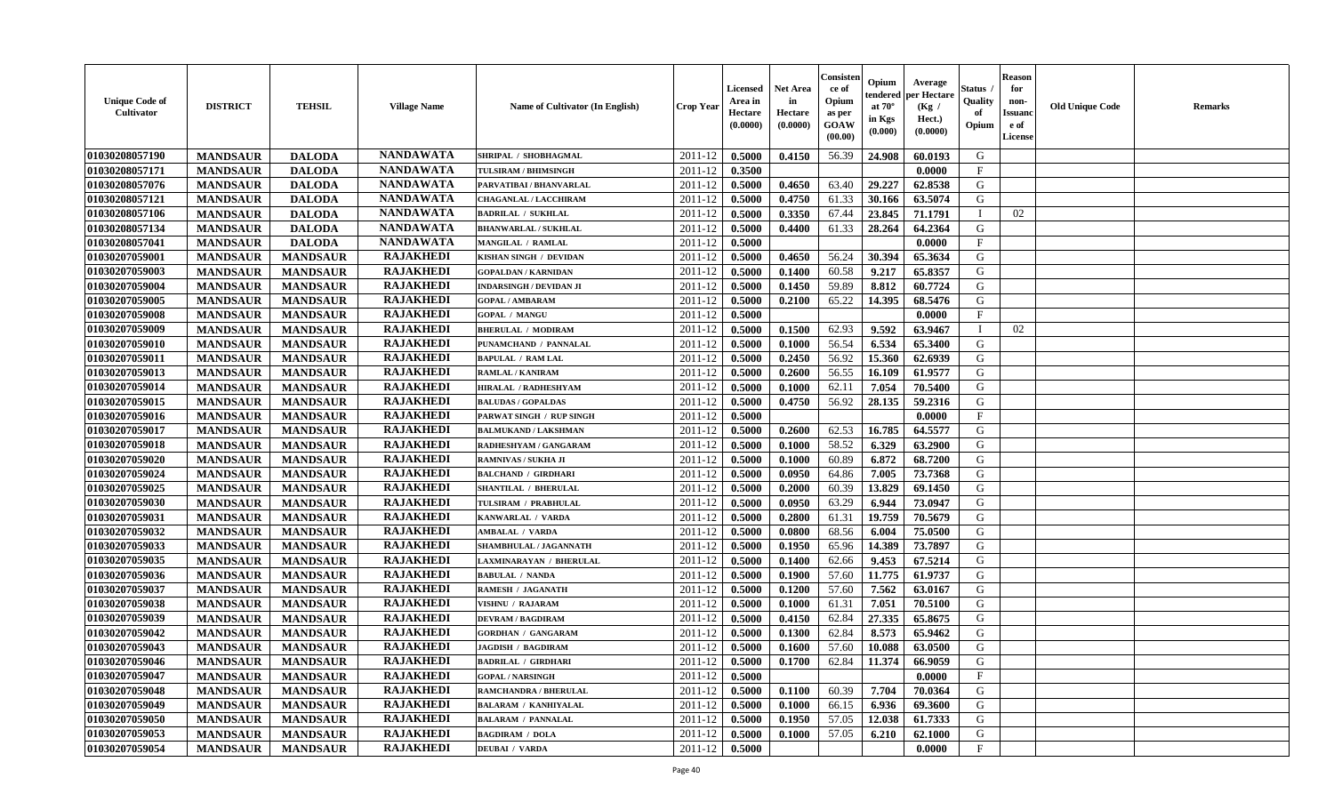| <b>Unique Code of</b><br><b>Cultivator</b> | <b>DISTRICT</b> | <b>TEHSIL</b>   | <b>Village Name</b> | Name of Cultivator (In English) | <b>Crop Year</b> | <b>Licensed</b><br>Area in<br>Hectare<br>(0.0000) | <b>Net Area</b><br>in<br>Hectare<br>(0.0000) | Consisteı<br>ce of<br>Opium<br>as per<br>GOAW<br>(00.00) | Opium<br>endered<br>at $70^\circ$<br>in Kgs<br>(0.000) | Average<br>oer Hectare<br>(Kg /<br>Hect.)<br>(0.0000) | Status<br>Quality<br>of<br>Opium | Reason<br>for<br>non-<br>Issuan<br>e of<br>License | <b>Old Unique Code</b> | <b>Remarks</b> |
|--------------------------------------------|-----------------|-----------------|---------------------|---------------------------------|------------------|---------------------------------------------------|----------------------------------------------|----------------------------------------------------------|--------------------------------------------------------|-------------------------------------------------------|----------------------------------|----------------------------------------------------|------------------------|----------------|
| 01030208057190                             | <b>MANDSAUR</b> | <b>DALODA</b>   | <b>NANDAWATA</b>    | SHRIPAL / SHOBHAGMAL            | 2011-12          | 0.5000                                            | 0.4150                                       | 56.39                                                    | 24.908                                                 | 60.0193                                               | G                                |                                                    |                        |                |
| 01030208057171                             | <b>MANDSAUR</b> | <b>DALODA</b>   | <b>NANDAWATA</b>    | TULSIRAM / BHIMSINGH            | 2011-12          | 0.3500                                            |                                              |                                                          |                                                        | 0.0000                                                | $_{\rm F}$                       |                                                    |                        |                |
| 01030208057076                             | <b>MANDSAUR</b> | <b>DALODA</b>   | <b>NANDAWATA</b>    | PARVATIBAI / BHANVARLAL         | 2011-12          | 0.5000                                            | 0.4650                                       | 63.40                                                    | 29,227                                                 | 62.8538                                               | G                                |                                                    |                        |                |
| 01030208057121                             | <b>MANDSAUR</b> | <b>DALODA</b>   | <b>NANDAWATA</b>    | CHAGANLAL / LACCHIRAM           | 2011-12          | 0.5000                                            | 0.4750                                       | 61.33                                                    | 30.166                                                 | 63.5074                                               | G                                |                                                    |                        |                |
| 01030208057106                             | <b>MANDSAUR</b> | <b>DALODA</b>   | <b>NANDAWATA</b>    | <b>BADRILAL / SUKHLAL</b>       | 2011-12          | 0.5000                                            | 0.3350                                       | 67.44                                                    | 23.845                                                 | 71.1791                                               | - 1                              | 02                                                 |                        |                |
| 01030208057134                             | <b>MANDSAUR</b> | <b>DALODA</b>   | <b>NANDAWATA</b>    | <b>BHANWARLAL / SUKHLAL</b>     | 2011-12          | 0.5000                                            | 0.4400                                       | 61.33                                                    | 28.264                                                 | 64.2364                                               | G                                |                                                    |                        |                |
| 01030208057041                             | <b>MANDSAUR</b> | <b>DALODA</b>   | <b>NANDAWATA</b>    | MANGILAL / RAMLAL               | 2011-12          | 0.5000                                            |                                              |                                                          |                                                        | 0.0000                                                | $\mathbf F$                      |                                                    |                        |                |
| 01030207059001                             | <b>MANDSAUR</b> | <b>MANDSAUR</b> | <b>RAJAKHEDI</b>    | KISHAN SINGH / DEVIDAN          | 2011-12          | 0.5000                                            | 0.4650                                       | 56.24                                                    | 30.394                                                 | 65.3634                                               | G                                |                                                    |                        |                |
| 01030207059003                             | <b>MANDSAUR</b> | <b>MANDSAUR</b> | <b>RAJAKHEDI</b>    | <b>GOPALDAN / KARNIDAN</b>      | 2011-12          | 0.5000                                            | 0.1400                                       | 60.58                                                    | 9.217                                                  | 65.8357                                               | G                                |                                                    |                        |                |
| 01030207059004                             | <b>MANDSAUR</b> | <b>MANDSAUR</b> | <b>RAJAKHEDI</b>    | INDARSINGH / DEVIDAN JI         | 2011-12          | 0.5000                                            | 0.1450                                       | 59.89                                                    | 8.812                                                  | 60.7724                                               | G                                |                                                    |                        |                |
| 01030207059005                             | <b>MANDSAUR</b> | <b>MANDSAUR</b> | <b>RAJAKHEDI</b>    | <b>GOPAL / AMBARAM</b>          | 2011-12          | 0.5000                                            | 0.2100                                       | 65.22                                                    | 14.395                                                 | 68.5476                                               | G                                |                                                    |                        |                |
| 01030207059008                             | <b>MANDSAUR</b> | <b>MANDSAUR</b> | <b>RAJAKHEDI</b>    | <b>GOPAL / MANGU</b>            | 2011-12          | 0.5000                                            |                                              |                                                          |                                                        | 0.0000                                                | F                                |                                                    |                        |                |
| 01030207059009                             | <b>MANDSAUR</b> | <b>MANDSAUR</b> | <b>RAJAKHEDI</b>    | <b>BHERULAL / MODIRAM</b>       | 2011-12          | 0.5000                                            | 0.1500                                       | 62.93                                                    | 9.592                                                  | 63.9467                                               | $\blacksquare$                   | 02                                                 |                        |                |
| 01030207059010                             | <b>MANDSAUR</b> | <b>MANDSAUR</b> | <b>RAJAKHEDI</b>    | PUNAMCHAND / PANNALAL           | 2011-12          | 0.5000                                            | 0.1000                                       | 56.54                                                    | 6.534                                                  | 65.3400                                               | G                                |                                                    |                        |                |
| 01030207059011                             | <b>MANDSAUR</b> | <b>MANDSAUR</b> | <b>RAJAKHEDI</b>    | <b>BAPULAL / RAM LAL</b>        | 2011-12          | 0.5000                                            | 0.2450                                       | 56.92                                                    | 15.360                                                 | 62.6939                                               | G                                |                                                    |                        |                |
| 01030207059013                             | <b>MANDSAUR</b> | <b>MANDSAUR</b> | <b>RAJAKHEDI</b>    | RAMLAL / KANIRAM                | 2011-12          | 0.5000                                            | 0.2600                                       | 56.55                                                    | 16.109                                                 | 61.9577                                               | G                                |                                                    |                        |                |
| 01030207059014                             | <b>MANDSAUR</b> | <b>MANDSAUR</b> | <b>RAJAKHEDI</b>    | HIRALAL / RADHESHYAM            | 2011-12          | 0.5000                                            | 0.1000                                       | 62.11                                                    | 7.054                                                  | 70.5400                                               | G                                |                                                    |                        |                |
| 01030207059015                             | <b>MANDSAUR</b> | <b>MANDSAUR</b> | <b>RAJAKHEDI</b>    | <b>BALUDAS / GOPALDAS</b>       | 2011-12          | 0.5000                                            | 0.4750                                       | 56.92                                                    | 28.135                                                 | 59.2316                                               | G                                |                                                    |                        |                |
| 01030207059016                             | <b>MANDSAUR</b> | <b>MANDSAUR</b> | <b>RAJAKHEDI</b>    | PARWAT SINGH / RUP SINGH        | 2011-12          | 0.5000                                            |                                              |                                                          |                                                        | 0.0000                                                | F                                |                                                    |                        |                |
| 01030207059017                             | <b>MANDSAUR</b> | <b>MANDSAUR</b> | <b>RAJAKHEDI</b>    | <b>BALMUKAND / LAKSHMAN</b>     | 2011-12          | 0.5000                                            | 0.2600                                       | 62.53                                                    | 16.785                                                 | 64.5577                                               | G                                |                                                    |                        |                |
| 01030207059018                             | <b>MANDSAUR</b> | <b>MANDSAUR</b> | <b>RAJAKHEDI</b>    | RADHESHYAM / GANGARAM           | 2011-12          | 0.5000                                            | 0.1000                                       | 58.52                                                    | 6.329                                                  | 63.2900                                               | G                                |                                                    |                        |                |
| 01030207059020                             | <b>MANDSAUR</b> | <b>MANDSAUR</b> | <b>RAJAKHEDI</b>    | RAMNIVAS / SUKHA JI             | 2011-12          | 0.5000                                            | 0.1000                                       | 60.89                                                    | 6.872                                                  | 68.7200                                               | G                                |                                                    |                        |                |
| 01030207059024                             | <b>MANDSAUR</b> | <b>MANDSAUR</b> | <b>RAJAKHEDI</b>    | <b>BALCHAND / GIRDHARI</b>      | 2011-12          | 0.5000                                            | 0.0950                                       | 64.86                                                    | 7.005                                                  | 73.7368                                               | G                                |                                                    |                        |                |
| 01030207059025                             | <b>MANDSAUR</b> | <b>MANDSAUR</b> | <b>RAJAKHEDI</b>    | <b>SHANTILAL / BHERULAL</b>     | 2011-12          | 0.5000                                            | 0.2000                                       | 60.39                                                    | 13.829                                                 | 69.1450                                               | G                                |                                                    |                        |                |
| 01030207059030                             | <b>MANDSAUR</b> | <b>MANDSAUR</b> | <b>RAJAKHEDI</b>    | TULSIRAM / PRABHULAL            | 2011-12          | 0.5000                                            | 0.0950                                       | 63.29                                                    | 6.944                                                  | 73.0947                                               | G                                |                                                    |                        |                |
| 01030207059031                             | <b>MANDSAUR</b> | <b>MANDSAUR</b> | <b>RAJAKHEDI</b>    | KANWARLAL / VARDA               | 2011-12          | 0.5000                                            | 0.2800                                       | 61.31                                                    | 19.759                                                 | 70.5679                                               | G                                |                                                    |                        |                |
| 01030207059032                             | <b>MANDSAUR</b> | <b>MANDSAUR</b> | <b>RAJAKHEDI</b>    | <b>AMBALAL / VARDA</b>          | 2011-12          | 0.5000                                            | 0.0800                                       | 68.56                                                    | 6.004                                                  | 75.0500                                               | G                                |                                                    |                        |                |
| 01030207059033                             | <b>MANDSAUR</b> | <b>MANDSAUR</b> | <b>RAJAKHEDI</b>    | SHAMBHULAL / JAGANNATH          | 2011-12          | 0.5000                                            | 0.1950                                       | 65.96                                                    | 14.389                                                 | 73.7897                                               | G                                |                                                    |                        |                |
| 01030207059035                             | <b>MANDSAUR</b> | <b>MANDSAUR</b> | <b>RAJAKHEDI</b>    | LAXMINARAYAN / BHERULAL         | 2011-12          | 0.5000                                            | 0.1400                                       | 62.66                                                    | 9.453                                                  | 67.5214                                               | G                                |                                                    |                        |                |
| 01030207059036                             | <b>MANDSAUR</b> | <b>MANDSAUR</b> | <b>RAJAKHEDI</b>    | <b>BABULAL / NANDA</b>          | 2011-12          | 0.5000                                            | 0.1900                                       | 57.60                                                    | 11.775                                                 | 61.9737                                               | G                                |                                                    |                        |                |
| 01030207059037                             | <b>MANDSAUR</b> | <b>MANDSAUR</b> | <b>RAJAKHEDI</b>    | RAMESH / JAGANATH               | 2011-12          | 0.5000                                            | 0.1200                                       | 57.60                                                    | 7.562                                                  | 63.0167                                               | G                                |                                                    |                        |                |
| 01030207059038                             | <b>MANDSAUR</b> | <b>MANDSAUR</b> | <b>RAJAKHEDI</b>    | <b>VISHNU / RAJARAM</b>         | 2011-12          | 0.5000                                            | 0.1000                                       | 61.31                                                    | 7.051                                                  | 70.5100                                               | G                                |                                                    |                        |                |
| 01030207059039                             | <b>MANDSAUR</b> | <b>MANDSAUR</b> | <b>RAJAKHEDI</b>    | <b>DEVRAM / BAGDIRAM</b>        | 2011-12          | 0.5000                                            | 0.4150                                       | 62.84                                                    | 27.335                                                 | 65.8675                                               | G                                |                                                    |                        |                |
| 01030207059042                             | <b>MANDSAUR</b> | <b>MANDSAUR</b> | <b>RAJAKHEDI</b>    | <b>GORDHAN / GANGARAM</b>       | 2011-12          | 0.5000                                            | 0.1300                                       | 62.84                                                    | 8.573                                                  | 65.9462                                               | G                                |                                                    |                        |                |
| 01030207059043                             | <b>MANDSAUR</b> | <b>MANDSAUR</b> | <b>RAJAKHEDI</b>    | <b>JAGDISH / BAGDIRAM</b>       | 2011-12          | 0.5000                                            | 0.1600                                       | 57.60                                                    | 10.088                                                 | 63.0500                                               | G                                |                                                    |                        |                |
| 01030207059046                             | <b>MANDSAUR</b> | MANDSAUR        | <b>RAJAKHEDI</b>    | <b>BADRILAL / GIRDHARI</b>      | $2011-12$ 0.5000 |                                                   | 0.1700                                       |                                                          | $62.84$   11.374                                       | 66.9059                                               | G                                |                                                    |                        |                |
| 01030207059047                             | <b>MANDSAUR</b> | <b>MANDSAUR</b> | <b>RAJAKHEDI</b>    | <b>GOPAL / NARSINGH</b>         | 2011-12          | 0.5000                                            |                                              |                                                          |                                                        | 0.0000                                                | $_{\rm F}$                       |                                                    |                        |                |
| 01030207059048                             | <b>MANDSAUR</b> | <b>MANDSAUR</b> | <b>RAJAKHEDI</b>    | RAMCHANDRA / BHERULAL           | 2011-12          | 0.5000                                            | 0.1100                                       | 60.39                                                    | 7.704                                                  | 70.0364                                               | G                                |                                                    |                        |                |
| 01030207059049                             | <b>MANDSAUR</b> | <b>MANDSAUR</b> | <b>RAJAKHEDI</b>    | <b>BALARAM / KANHIYALAL</b>     | 2011-12          | 0.5000                                            | 0.1000                                       | 66.15                                                    | 6.936                                                  | 69.3600                                               | G                                |                                                    |                        |                |
| 01030207059050                             | <b>MANDSAUR</b> | <b>MANDSAUR</b> | <b>RAJAKHEDI</b>    | <b>BALARAM / PANNALAL</b>       | 2011-12          | 0.5000                                            | 0.1950                                       | 57.05                                                    | 12.038                                                 | 61.7333                                               | G                                |                                                    |                        |                |
| 01030207059053                             | <b>MANDSAUR</b> | <b>MANDSAUR</b> | <b>RAJAKHEDI</b>    | <b>BAGDIRAM / DOLA</b>          | 2011-12          | 0.5000                                            | 0.1000                                       | 57.05                                                    | 6.210                                                  | 62.1000                                               | G                                |                                                    |                        |                |
| 01030207059054                             | <b>MANDSAUR</b> | <b>MANDSAUR</b> | <b>RAJAKHEDI</b>    | <b>DEUBAI / VARDA</b>           | 2011-12          | 0.5000                                            |                                              |                                                          |                                                        | 0.0000                                                | $\mathbf F$                      |                                                    |                        |                |
|                                            |                 |                 |                     |                                 |                  |                                                   |                                              |                                                          |                                                        |                                                       |                                  |                                                    |                        |                |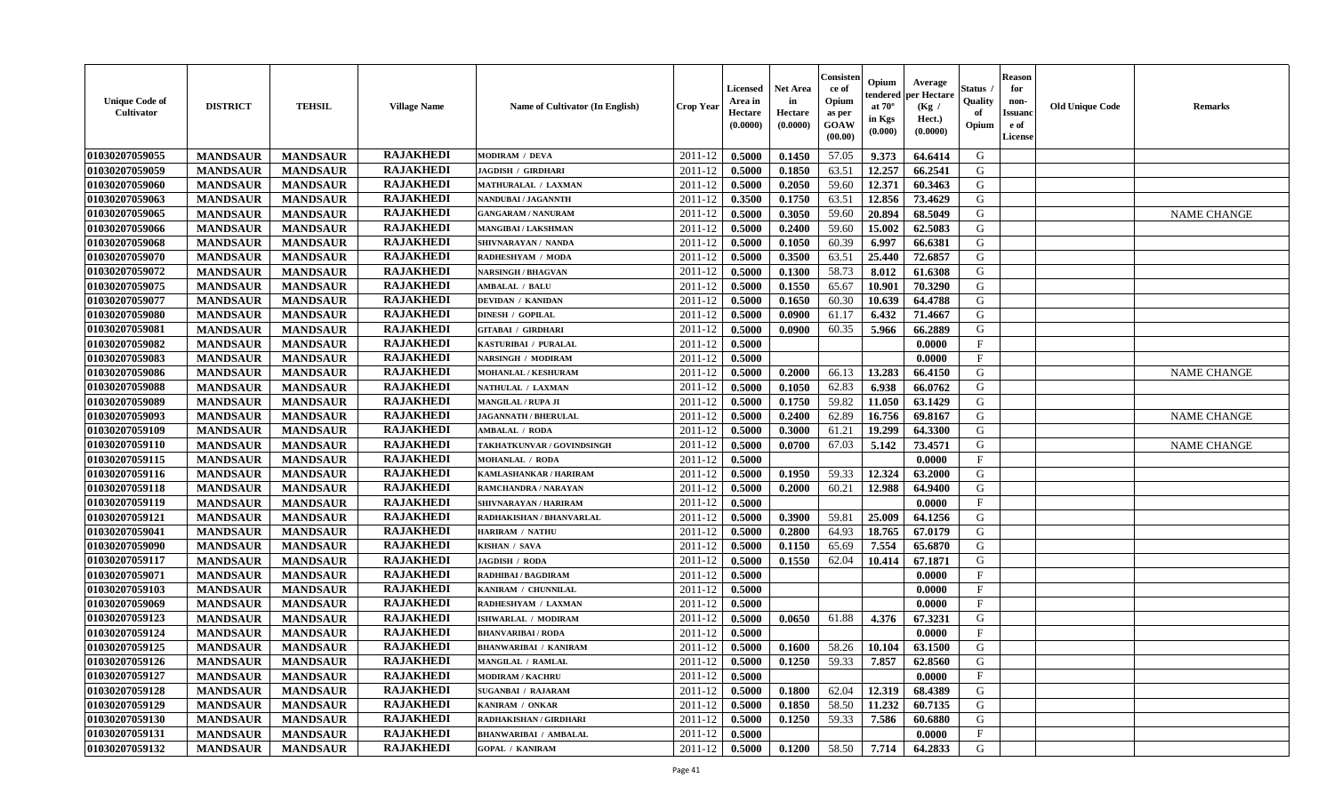| <b>Unique Code of</b><br>Cultivator | <b>DISTRICT</b> | <b>TEHSIL</b>   | <b>Village Name</b> | Name of Cultivator (In English) | <b>Crop Year</b> | <b>Licensed</b><br>Area in<br>Hectare<br>(0.0000) | <b>Net Area</b><br>in<br>Hectare<br>(0.0000) | Consisteı<br>ce of<br>Opium<br>as per<br>GOAW<br>(00.00) | Opium<br>endered<br>at $70^\circ$<br>in Kgs<br>$(\mathbf{0.000})$ | Average<br>oer Hectare<br>(Kg /<br>Hect.)<br>(0.0000) | Status<br>Quality<br>of<br>Opium | Reason<br>for<br>non-<br>Issuan<br>e of<br>License | <b>Old Unique Code</b> | <b>Remarks</b>     |
|-------------------------------------|-----------------|-----------------|---------------------|---------------------------------|------------------|---------------------------------------------------|----------------------------------------------|----------------------------------------------------------|-------------------------------------------------------------------|-------------------------------------------------------|----------------------------------|----------------------------------------------------|------------------------|--------------------|
| 01030207059055                      | <b>MANDSAUR</b> | <b>MANDSAUR</b> | <b>RAJAKHEDI</b>    | <b>MODIRAM / DEVA</b>           | 2011-12          | 0.5000                                            | 0.1450                                       | 57.05                                                    | 9.373                                                             | 64.6414                                               | G                                |                                                    |                        |                    |
| 01030207059059                      | <b>MANDSAUR</b> | <b>MANDSAUR</b> | <b>RAJAKHEDI</b>    | <b>JAGDISH / GIRDHARI</b>       | 2011-12          | 0.5000                                            | 0.1850                                       | 63.51                                                    | 12.257                                                            | 66.2541                                               | G                                |                                                    |                        |                    |
| 01030207059060                      | <b>MANDSAUR</b> | <b>MANDSAUR</b> | <b>RAJAKHEDI</b>    | MATHURALAL / LAXMAN             | 2011-12          | 0.5000                                            | 0.2050                                       | 59.60                                                    | 12.371                                                            | 60.3463                                               | G                                |                                                    |                        |                    |
| 01030207059063                      | <b>MANDSAUR</b> | <b>MANDSAUR</b> | <b>RAJAKHEDI</b>    | NANDUBAI / JAGANNTH             | 2011-12          | 0.3500                                            | 0.1750                                       | 63.51                                                    | 12.856                                                            | 73.4629                                               | G                                |                                                    |                        |                    |
| 01030207059065                      | <b>MANDSAUR</b> | <b>MANDSAUR</b> | <b>RAJAKHEDI</b>    | <b>GANGARAM / NANURAM</b>       | 2011-12          | 0.5000                                            | 0.3050                                       | 59.60                                                    | 20.894                                                            | 68.5049                                               | G                                |                                                    |                        | <b>NAME CHANGE</b> |
| 01030207059066                      | <b>MANDSAUR</b> | <b>MANDSAUR</b> | <b>RAJAKHEDI</b>    | <b>MANGIBAI/LAKSHMAN</b>        | 2011-12          | 0.5000                                            | 0.2400                                       | 59.60                                                    | 15.002                                                            | 62.5083                                               | G                                |                                                    |                        |                    |
| 01030207059068                      | <b>MANDSAUR</b> | <b>MANDSAUR</b> | <b>RAJAKHEDI</b>    | SHIVNARAYAN / NANDA             | 2011-12          | 0.5000                                            | 0.1050                                       | 60.39                                                    | 6.997                                                             | 66.6381                                               | G                                |                                                    |                        |                    |
| 01030207059070                      | <b>MANDSAUR</b> | <b>MANDSAUR</b> | <b>RAJAKHEDI</b>    | RADHESHYAM / MODA               | 2011-12          | 0.5000                                            | 0.3500                                       | 63.51                                                    | 25.440                                                            | 72.6857                                               | G                                |                                                    |                        |                    |
| 01030207059072                      | <b>MANDSAUR</b> | <b>MANDSAUR</b> | <b>RAJAKHEDI</b>    | <b>NARSINGH / BHAGVAN</b>       | 2011-12          | 0.5000                                            | 0.1300                                       | 58.73                                                    | 8.012                                                             | 61.6308                                               | G                                |                                                    |                        |                    |
| 01030207059075                      | <b>MANDSAUR</b> | <b>MANDSAUR</b> | <b>RAJAKHEDI</b>    | <b>AMBALAL / BALU</b>           | 2011-12          | 0.5000                                            | 0.1550                                       | 65.67                                                    | 10.901                                                            | 70.3290                                               | G                                |                                                    |                        |                    |
| 01030207059077                      | <b>MANDSAUR</b> | <b>MANDSAUR</b> | <b>RAJAKHEDI</b>    | <b>DEVIDAN / KANIDAN</b>        | 2011-12          | 0.5000                                            | 0.1650                                       | 60.30                                                    | 10.639                                                            | 64.4788                                               | G                                |                                                    |                        |                    |
| 01030207059080                      | <b>MANDSAUR</b> | <b>MANDSAUR</b> | <b>RAJAKHEDI</b>    | <b>DINESH / GOPILAL</b>         | 2011-12          | 0.5000                                            | 0.0900                                       | 61.17                                                    | 6.432                                                             | 71.4667                                               | G                                |                                                    |                        |                    |
| 01030207059081                      | <b>MANDSAUR</b> | <b>MANDSAUR</b> | <b>RAJAKHEDI</b>    | GITABAI / GIRDHARI              | 2011-12          | 0.5000                                            | 0.0900                                       | 60.35                                                    | 5.966                                                             | 66.2889                                               | G                                |                                                    |                        |                    |
| 01030207059082                      | <b>MANDSAUR</b> | <b>MANDSAUR</b> | <b>RAJAKHEDI</b>    | KASTURIBAI / PURALAL            | 2011-12          | 0.5000                                            |                                              |                                                          |                                                                   | 0.0000                                                | $_{\rm F}$                       |                                                    |                        |                    |
| 01030207059083                      | <b>MANDSAUR</b> | <b>MANDSAUR</b> | <b>RAJAKHEDI</b>    | NARSINGH / MODIRAM              | 2011-12          | 0.5000                                            |                                              |                                                          |                                                                   | 0.0000                                                | $_{\rm F}$                       |                                                    |                        |                    |
| 01030207059086                      | <b>MANDSAUR</b> | <b>MANDSAUR</b> | <b>RAJAKHEDI</b>    | <b>MOHANLAL / KESHURAM</b>      | 2011-12          | 0.5000                                            | 0.2000                                       | 66.13                                                    | 13.283                                                            | 66.4150                                               | G                                |                                                    |                        | <b>NAME CHANGE</b> |
| 01030207059088                      | <b>MANDSAUR</b> | <b>MANDSAUR</b> | <b>RAJAKHEDI</b>    | NATHULAL / LAXMAN               | 2011-12          | 0.5000                                            | 0.1050                                       | 62.83                                                    | 6.938                                                             | 66.0762                                               | G                                |                                                    |                        |                    |
| 01030207059089                      | <b>MANDSAUR</b> | <b>MANDSAUR</b> | <b>RAJAKHEDI</b>    | <b>MANGILAL / RUPA JI</b>       | 2011-12          | 0.5000                                            | 0.1750                                       | 59.82                                                    | 11.050                                                            | 63.1429                                               | G                                |                                                    |                        |                    |
| 01030207059093                      | <b>MANDSAUR</b> | <b>MANDSAUR</b> | <b>RAJAKHEDI</b>    | <b>JAGANNATH / BHERULAL</b>     | 2011-12          | 0.5000                                            | 0.2400                                       | 62.89                                                    | 16.756                                                            | 69.8167                                               | G                                |                                                    |                        | <b>NAME CHANGE</b> |
| 01030207059109                      | <b>MANDSAUR</b> | <b>MANDSAUR</b> | <b>RAJAKHEDI</b>    | <b>AMBALAL / RODA</b>           | 2011-12          | 0.5000                                            | 0.3000                                       | 61.21                                                    | 19.299                                                            | 64.3300                                               | G                                |                                                    |                        |                    |
| 01030207059110                      | <b>MANDSAUR</b> | <b>MANDSAUR</b> | <b>RAJAKHEDI</b>    | TAKHATKUNVAR / GOVINDSINGH      | 2011-12          | 0.5000                                            | 0.0700                                       | 67.03                                                    | 5.142                                                             | 73.4571                                               | G                                |                                                    |                        | <b>NAME CHANGE</b> |
| 01030207059115                      | <b>MANDSAUR</b> | <b>MANDSAUR</b> | <b>RAJAKHEDI</b>    | <b>MOHANLAL / RODA</b>          | 2011-12          | 0.5000                                            |                                              |                                                          |                                                                   | 0.0000                                                | $\mathbf{F}$                     |                                                    |                        |                    |
| 01030207059116                      | <b>MANDSAUR</b> | <b>MANDSAUR</b> | <b>RAJAKHEDI</b>    | KAMLASHANKAR / HARIRAM          | 2011-12          | 0.5000                                            | 0.1950                                       | 59.33                                                    | 12.324                                                            | 63.2000                                               | G                                |                                                    |                        |                    |
| 01030207059118                      | <b>MANDSAUR</b> | <b>MANDSAUR</b> | <b>RAJAKHEDI</b>    | RAMCHANDRA / NARAYAN            | 2011-12          | 0.5000                                            | 0.2000                                       | 60.21                                                    | 12.988                                                            | 64.9400                                               | G                                |                                                    |                        |                    |
| 01030207059119                      | <b>MANDSAUR</b> | <b>MANDSAUR</b> | <b>RAJAKHEDI</b>    | SHIVNARAYAN / HARIRAM           | 2011-12          | 0.5000                                            |                                              |                                                          |                                                                   | 0.0000                                                | $\mathbf{F}$                     |                                                    |                        |                    |
| 01030207059121                      | <b>MANDSAUR</b> | <b>MANDSAUR</b> | <b>RAJAKHEDI</b>    | RADHAKISHAN / BHANVARLAL        | 2011-12          | 0.5000                                            | 0.3900                                       | 59.81                                                    | 25.009                                                            | 64.1256                                               | G                                |                                                    |                        |                    |
| 01030207059041                      | <b>MANDSAUR</b> | <b>MANDSAUR</b> | <b>RAJAKHEDI</b>    | <b>HARIRAM / NATHU</b>          | 2011-12          | 0.5000                                            | 0.2800                                       | 64.93                                                    | 18.765                                                            | 67.0179                                               | G                                |                                                    |                        |                    |
| 01030207059090                      | <b>MANDSAUR</b> | <b>MANDSAUR</b> | <b>RAJAKHEDI</b>    | KISHAN / SAVA                   | 2011-12          | 0.5000                                            | 0.1150                                       | 65.69                                                    | 7.554                                                             | 65.6870                                               | G                                |                                                    |                        |                    |
| 01030207059117                      | <b>MANDSAUR</b> | <b>MANDSAUR</b> | <b>RAJAKHEDI</b>    | <b>JAGDISH / RODA</b>           | 2011-12          | 0.5000                                            | 0.1550                                       | 62.04                                                    | 10.414                                                            | 67.1871                                               | G                                |                                                    |                        |                    |
| 01030207059071                      | <b>MANDSAUR</b> | <b>MANDSAUR</b> | <b>RAJAKHEDI</b>    | RADHIBAI / BAGDIRAM             | 2011-12          | 0.5000                                            |                                              |                                                          |                                                                   | 0.0000                                                | $_{\rm F}$                       |                                                    |                        |                    |
| 01030207059103                      | <b>MANDSAUR</b> | <b>MANDSAUR</b> | <b>RAJAKHEDI</b>    | KANIRAM / CHUNNILAL             | 2011-12          | 0.5000                                            |                                              |                                                          |                                                                   | 0.0000                                                | $\mathbf{F}$                     |                                                    |                        |                    |
| 01030207059069                      | <b>MANDSAUR</b> | <b>MANDSAUR</b> | <b>RAJAKHEDI</b>    | RADHESHYAM / LAXMAN             | 2011-12          | 0.5000                                            |                                              |                                                          |                                                                   | 0.0000                                                | $\mathbf{F}$                     |                                                    |                        |                    |
| 01030207059123                      | <b>MANDSAUR</b> | <b>MANDSAUR</b> | <b>RAJAKHEDI</b>    | ISHWARLAL / MODIRAM             | 2011-12          | 0.5000                                            | 0.0650                                       | 61.88                                                    | 4.376                                                             | 67.3231                                               | G                                |                                                    |                        |                    |
| 01030207059124                      | <b>MANDSAUR</b> | <b>MANDSAUR</b> | <b>RAJAKHEDI</b>    | <b>BHANVARIBAI/RODA</b>         | 2011-12          | 0.5000                                            |                                              |                                                          |                                                                   | 0.0000                                                | $_{\rm F}$                       |                                                    |                        |                    |
| 01030207059125                      | <b>MANDSAUR</b> | <b>MANDSAUR</b> | <b>RAJAKHEDI</b>    | <b>BHANWARIBAI / KANIRAM</b>    | 2011-12          | 0.5000                                            | 0.1600                                       | 58.26                                                    | 10.104                                                            | 63.1500                                               | G                                |                                                    |                        |                    |
| 01030207059126                      | <b>MANDSAUR</b> | MANDSAUR        | <b>RAJAKHEDI</b>    | MANGILAL / RAMLAL               | $2011-12$ 0.5000 |                                                   | 0.1250                                       | 59.33                                                    | 7.857                                                             | 62.8560                                               | G                                |                                                    |                        |                    |
| 01030207059127                      | <b>MANDSAUR</b> | <b>MANDSAUR</b> | <b>RAJAKHEDI</b>    | MODIRAM / KACHRU                | 2011-12          | 0.5000                                            |                                              |                                                          |                                                                   | 0.0000                                                | $\mathbf{F}$                     |                                                    |                        |                    |
| 01030207059128                      | <b>MANDSAUR</b> | <b>MANDSAUR</b> | <b>RAJAKHEDI</b>    | <b>SUGANBAI / RAJARAM</b>       | 2011-12          | 0.5000                                            | 0.1800                                       | 62.04                                                    | 12.319                                                            | 68.4389                                               | G                                |                                                    |                        |                    |
| 01030207059129                      | <b>MANDSAUR</b> | <b>MANDSAUR</b> | <b>RAJAKHEDI</b>    | KANIRAM / ONKAR                 | 2011-12          | 0.5000                                            | 0.1850                                       | 58.50                                                    | 11.232                                                            | 60.7135                                               | G                                |                                                    |                        |                    |
| 01030207059130                      | <b>MANDSAUR</b> | <b>MANDSAUR</b> | <b>RAJAKHEDI</b>    | RADHAKISHAN / GIRDHARI          | 2011-12          | 0.5000                                            | 0.1250                                       | 59.33                                                    | 7.586                                                             | 60.6880                                               | G                                |                                                    |                        |                    |
| 01030207059131                      | <b>MANDSAUR</b> | <b>MANDSAUR</b> | <b>RAJAKHEDI</b>    | <b>BHANWARIBAI / AMBALAL</b>    | 2011-12          | 0.5000                                            |                                              |                                                          |                                                                   | 0.0000                                                | $\mathbf F$                      |                                                    |                        |                    |
| 01030207059132                      | <b>MANDSAUR</b> | <b>MANDSAUR</b> | <b>RAJAKHEDI</b>    | <b>GOPAL / KANIRAM</b>          | 2011-12          | $\boldsymbol{0.5000}$                             | 0.1200                                       | 58.50                                                    | 7.714                                                             | 64.2833                                               | G                                |                                                    |                        |                    |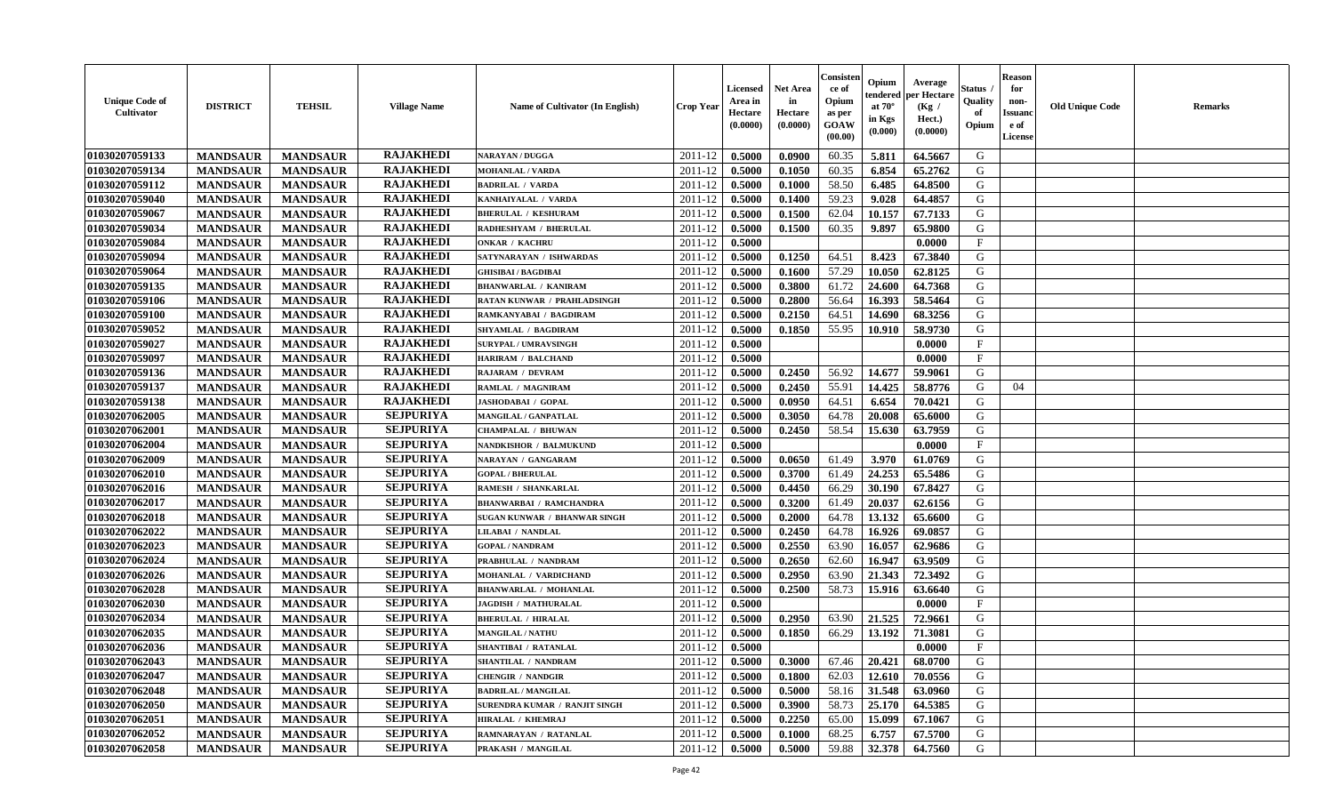| <b>Unique Code of</b><br><b>Cultivator</b> | <b>DISTRICT</b> | <b>TEHSIL</b>   | <b>Village Name</b> | Name of Cultivator (In English)      | <b>Crop Year</b> | <b>Licensed</b><br>Area in<br>Hectare<br>(0.0000) | Net Area<br>in<br>Hectare<br>(0.0000) | Consister<br>ce of<br>Opium<br>as per<br>GOAW<br>(00.00) | Opium<br>endered<br>at $70^\circ$<br>in Kgs<br>(0.000) | Average<br>per Hectare<br>(Kg /<br>Hect.)<br>(0.0000) | Status<br>Quality<br>of<br>Opium | <b>Reason</b><br>for<br>non-<br><b>Issuand</b><br>e of<br>License | <b>Old Unique Code</b> | Remarks |
|--------------------------------------------|-----------------|-----------------|---------------------|--------------------------------------|------------------|---------------------------------------------------|---------------------------------------|----------------------------------------------------------|--------------------------------------------------------|-------------------------------------------------------|----------------------------------|-------------------------------------------------------------------|------------------------|---------|
| 01030207059133                             | <b>MANDSAUR</b> | <b>MANDSAUR</b> | <b>RAJAKHEDI</b>    | <b>NARAYAN / DUGGA</b>               | 2011-12          | 0.5000                                            | 0.0900                                | 60.35                                                    | 5.811                                                  | 64.5667                                               | G                                |                                                                   |                        |         |
| 01030207059134                             | <b>MANDSAUR</b> | <b>MANDSAUR</b> | <b>RAJAKHEDI</b>    | <b>MOHANLAL / VARDA</b>              | 2011-12          | 0.5000                                            | 0.1050                                | 60.35                                                    | 6.854                                                  | 65.2762                                               | G                                |                                                                   |                        |         |
| 01030207059112                             | <b>MANDSAUR</b> | <b>MANDSAUR</b> | <b>RAJAKHEDI</b>    | <b>BADRILAL / VARDA</b>              | 2011-12          | 0.5000                                            | 0.1000                                | 58.50                                                    | 6.485                                                  | 64.8500                                               | G                                |                                                                   |                        |         |
| 01030207059040                             | <b>MANDSAUR</b> | <b>MANDSAUR</b> | <b>RAJAKHEDI</b>    | KANHAIYALAL / VARDA                  | 2011-12          | 0.5000                                            | 0.1400                                | 59.23                                                    | 9.028                                                  | 64.4857                                               | G                                |                                                                   |                        |         |
| 01030207059067                             | <b>MANDSAUR</b> | <b>MANDSAUR</b> | <b>RAJAKHEDI</b>    | <b>BHERULAL / KESHURAM</b>           | 2011-12          | 0.5000                                            | 0.1500                                | 62.04                                                    | 10.157                                                 | 67.7133                                               | G                                |                                                                   |                        |         |
| 01030207059034                             | <b>MANDSAUR</b> | <b>MANDSAUR</b> | <b>RAJAKHEDI</b>    | RADHESHYAM / BHERULAL                | 2011-12          | 0.5000                                            | 0.1500                                | 60.35                                                    | 9.897                                                  | 65.9800                                               | G                                |                                                                   |                        |         |
| 01030207059084                             | <b>MANDSAUR</b> | <b>MANDSAUR</b> | <b>RAJAKHEDI</b>    | <b>ONKAR / KACHRU</b>                | 2011-12          | 0.5000                                            |                                       |                                                          |                                                        | 0.0000                                                | $\mathbf{F}$                     |                                                                   |                        |         |
| 01030207059094                             | <b>MANDSAUR</b> | <b>MANDSAUR</b> | <b>RAJAKHEDI</b>    | SATYNARAYAN / ISHWARDAS              | 2011-12          | 0.5000                                            | 0.1250                                | 64.51                                                    | 8.423                                                  | 67.3840                                               | G                                |                                                                   |                        |         |
| 01030207059064                             | <b>MANDSAUR</b> | <b>MANDSAUR</b> | <b>RAJAKHEDI</b>    | <b>GHISIBAI/BAGDIBAI</b>             | 2011-12          | 0.5000                                            | 0.1600                                | 57.29                                                    | 10.050                                                 | 62.8125                                               | G                                |                                                                   |                        |         |
| 01030207059135                             | <b>MANDSAUR</b> | <b>MANDSAUR</b> | <b>RAJAKHEDI</b>    | <b>BHANWARLAL / KANIRAM</b>          | 2011-12          | 0.5000                                            | 0.3800                                | 61.72                                                    | 24.600                                                 | 64.7368                                               | G                                |                                                                   |                        |         |
| 01030207059106                             | <b>MANDSAUR</b> | <b>MANDSAUR</b> | <b>RAJAKHEDI</b>    | <b>RATAN KUNWAR / PRAHLADSINGH</b>   | 2011-12          | 0.5000                                            | 0.2800                                | 56.64                                                    | 16.393                                                 | 58.5464                                               | G                                |                                                                   |                        |         |
| 01030207059100                             | <b>MANDSAUR</b> | <b>MANDSAUR</b> | <b>RAJAKHEDI</b>    | RAMKANYABAI / BAGDIRAM               | 2011-12          | 0.5000                                            | 0.2150                                | 64.51                                                    | 14.690                                                 | 68.3256                                               | G                                |                                                                   |                        |         |
| 01030207059052                             | <b>MANDSAUR</b> | <b>MANDSAUR</b> | <b>RAJAKHEDI</b>    | <b>SHYAMLAL / BAGDIRAM</b>           | 2011-12          | 0.5000                                            | 0.1850                                | 55.95                                                    | 10.910                                                 | 58.9730                                               | G                                |                                                                   |                        |         |
| 01030207059027                             | <b>MANDSAUR</b> | <b>MANDSAUR</b> | <b>RAJAKHEDI</b>    | <b>SURYPAL / UMRAVSINGH</b>          | 2011-12          | 0.5000                                            |                                       |                                                          |                                                        | 0.0000                                                | $\mathbf{F}$                     |                                                                   |                        |         |
| 01030207059097                             | <b>MANDSAUR</b> | <b>MANDSAUR</b> | <b>RAJAKHEDI</b>    | <b>HARIRAM / BALCHAND</b>            | 2011-12          | 0.5000                                            |                                       |                                                          |                                                        | 0.0000                                                | F                                |                                                                   |                        |         |
| 01030207059136                             | <b>MANDSAUR</b> | <b>MANDSAUR</b> | <b>RAJAKHEDI</b>    | RAJARAM / DEVRAM                     | 2011-12          | 0.5000                                            | 0.2450                                | 56.92                                                    | 14.677                                                 | 59.9061                                               | G                                |                                                                   |                        |         |
| 01030207059137                             | <b>MANDSAUR</b> | <b>MANDSAUR</b> | <b>RAJAKHEDI</b>    | RAMLAL / MAGNIRAM                    | 2011-12          | 0.5000                                            | 0.2450                                | 55.91                                                    | 14.425                                                 | 58.8776                                               | G                                | 04                                                                |                        |         |
| 01030207059138                             | <b>MANDSAUR</b> | <b>MANDSAUR</b> | <b>RAJAKHEDI</b>    | JASHODABAI / GOPAL                   | 2011-12          | 0.5000                                            | 0.0950                                | 64.51                                                    | 6.654                                                  | 70.0421                                               | G                                |                                                                   |                        |         |
| 01030207062005                             | <b>MANDSAUR</b> | <b>MANDSAUR</b> | <b>SEJPURIYA</b>    | MANGILAL / GANPATLAL                 | 2011-12          | 0.5000                                            | 0.3050                                | 64.78                                                    | 20.008                                                 | 65.6000                                               | G                                |                                                                   |                        |         |
| 01030207062001                             | <b>MANDSAUR</b> | <b>MANDSAUR</b> | <b>SEJPURIYA</b>    | <b>CHAMPALAL / BHUWAN</b>            | 2011-12          | 0.5000                                            | 0.2450                                | 58.54                                                    | 15.630                                                 | 63.7959                                               | G                                |                                                                   |                        |         |
| 01030207062004                             | <b>MANDSAUR</b> | <b>MANDSAUR</b> | <b>SEJPURIYA</b>    | NANDKISHOR / BALMUKUND               | 2011-12          | 0.5000                                            |                                       |                                                          |                                                        | 0.0000                                                | $\mathbf{F}$                     |                                                                   |                        |         |
| 01030207062009                             | <b>MANDSAUR</b> | <b>MANDSAUR</b> | <b>SEJPURIYA</b>    | NARAYAN / GANGARAM                   | 2011-12          | 0.5000                                            | 0.0650                                | 61.49                                                    | 3.970                                                  | 61.0769                                               | G                                |                                                                   |                        |         |
| 01030207062010                             | <b>MANDSAUR</b> | <b>MANDSAUR</b> | <b>SEJPURIYA</b>    | <b>GOPAL / BHERULAL</b>              | 2011-12          | 0.5000                                            | 0.3700                                | 61.49                                                    | 24.253                                                 | 65.5486                                               | G                                |                                                                   |                        |         |
| 01030207062016                             | <b>MANDSAUR</b> | <b>MANDSAUR</b> | <b>SEJPURIYA</b>    | RAMESH / SHANKARLAL                  | 2011-12          | 0.5000                                            | 0.4450                                | 66.29                                                    | 30.190                                                 | 67.8427                                               | G                                |                                                                   |                        |         |
| 01030207062017                             | <b>MANDSAUR</b> | <b>MANDSAUR</b> | <b>SEJPURIYA</b>    | <b>BHANWARBAI / RAMCHANDRA</b>       | 2011-12          | 0.5000                                            | 0.3200                                | 61.49                                                    | 20.037                                                 | 62.6156                                               | G                                |                                                                   |                        |         |
| 01030207062018                             | <b>MANDSAUR</b> | <b>MANDSAUR</b> | <b>SEJPURIYA</b>    | SUGAN KUNWAR / BHANWAR SINGH         | 2011-12          | 0.5000                                            | 0.2000                                | 64.78                                                    | 13.132                                                 | 65.6600                                               | G                                |                                                                   |                        |         |
| 01030207062022                             | <b>MANDSAUR</b> | <b>MANDSAUR</b> | <b>SEJPURIYA</b>    | <b>LILABAI / NANDLAL</b>             | 2011-12          | 0.5000                                            | 0.2450                                | 64.78                                                    | 16.926                                                 | 69.0857                                               | G                                |                                                                   |                        |         |
| 01030207062023                             | <b>MANDSAUR</b> | <b>MANDSAUR</b> | <b>SEJPURIYA</b>    | <b>GOPAL / NANDRAM</b>               | 2011-12          | 0.5000                                            | 0.2550                                | 63.90                                                    | 16.057                                                 | 62.9686                                               | G                                |                                                                   |                        |         |
| 01030207062024                             | <b>MANDSAUR</b> | <b>MANDSAUR</b> | <b>SEJPURIYA</b>    | PRABHULAL / NANDRAM                  | 2011-12          | 0.5000                                            | 0.2650                                | 62.60                                                    | 16.947                                                 | 63.9509                                               | G                                |                                                                   |                        |         |
| 01030207062026                             | <b>MANDSAUR</b> | <b>MANDSAUR</b> | <b>SEJPURIYA</b>    | MOHANLAL / VARDICHAND                | 2011-12          | 0.5000                                            | 0.2950                                | 63.90                                                    | 21.343                                                 | 72.3492                                               | G                                |                                                                   |                        |         |
| 01030207062028                             | <b>MANDSAUR</b> | <b>MANDSAUR</b> | <b>SEJPURIYA</b>    | <b>BHANWARLAL / MOHANLAL</b>         | 2011-12          | 0.5000                                            | 0.2500                                | 58.73                                                    | 15.916                                                 | 63.6640                                               | G                                |                                                                   |                        |         |
| 01030207062030                             | <b>MANDSAUR</b> | <b>MANDSAUR</b> | <b>SEJPURIYA</b>    | <b>JAGDISH / MATHURALAL</b>          | 2011-12          | 0.5000                                            |                                       |                                                          |                                                        | 0.0000                                                | $\mathbf{F}$                     |                                                                   |                        |         |
| 01030207062034                             | <b>MANDSAUR</b> | <b>MANDSAUR</b> | <b>SEJPURIYA</b>    | <b>BHERULAL / HIRALAL</b>            | 2011-12          | 0.5000                                            | 0.2950                                | 63.90                                                    | 21.525                                                 | 72.9661                                               | G                                |                                                                   |                        |         |
| 01030207062035                             | <b>MANDSAUR</b> | <b>MANDSAUR</b> | <b>SEJPURIYA</b>    | <b>MANGILAL / NATHU</b>              | 2011-12          | 0.5000                                            | 0.1850                                | 66.29                                                    | 13.192                                                 | 71.3081                                               | G                                |                                                                   |                        |         |
| 01030207062036                             | <b>MANDSAUR</b> | <b>MANDSAUR</b> | <b>SEJPURIYA</b>    | SHANTIBAI / RATANLAL                 | 2011-12          | 0.5000                                            |                                       |                                                          |                                                        | 0.0000                                                | $\mathbf{F}$                     |                                                                   |                        |         |
| 01030207062043                             | <b>MANDSAUR</b> | <b>MANDSAUR</b> | <b>SEJPURIYA</b>    | <b>SHANTILAL / NANDRAM</b>           | 2011-12          | 0.5000                                            | 0.3000                                | 67.46                                                    | 20.421                                                 | 68.0700                                               | G                                |                                                                   |                        |         |
| 01030207062047                             | <b>MANDSAUR</b> | <b>MANDSAUR</b> | <b>SEJPURIYA</b>    | <b>CHENGIR / NANDGIR</b>             | 2011-12          | 0.5000                                            | 0.1800                                | 62.03                                                    | 12.610                                                 | 70.0556                                               | G                                |                                                                   |                        |         |
| 01030207062048                             | <b>MANDSAUR</b> | <b>MANDSAUR</b> | <b>SEJPURIYA</b>    | <b>BADRILAL / MANGILAL</b>           | 2011-12          | 0.5000                                            | 0.5000                                | 58.16                                                    | 31.548                                                 | 63.0960                                               | G                                |                                                                   |                        |         |
| 01030207062050                             | <b>MANDSAUR</b> | <b>MANDSAUR</b> | <b>SEJPURIYA</b>    | <b>SURENDRA KUMAR / RANJIT SINGH</b> | 2011-12          | 0.5000                                            | 0.3900                                | 58.73                                                    | 25.170                                                 | 64.5385                                               | G                                |                                                                   |                        |         |
| 01030207062051                             | <b>MANDSAUR</b> | <b>MANDSAUR</b> | <b>SEJPURIYA</b>    | <b>HIRALAL / KHEMRAJ</b>             | 2011-12          | 0.5000                                            | 0.2250                                | 65.00                                                    | 15.099                                                 | 67.1067                                               | ${\bf G}$                        |                                                                   |                        |         |
| 01030207062052                             | <b>MANDSAUR</b> | <b>MANDSAUR</b> | <b>SEJPURIYA</b>    | RAMNARAYAN / RATANLAL                | 2011-12          | 0.5000                                            | 0.1000                                | 68.25                                                    | 6.757                                                  | 67.5700                                               | G                                |                                                                   |                        |         |
| 01030207062058                             | <b>MANDSAUR</b> | <b>MANDSAUR</b> | <b>SEJPURIYA</b>    | PRAKASH / MANGILAL                   | 2011-12          | 0.5000                                            | 0.5000                                | 59.88                                                    | 32.378                                                 | 64.7560                                               | G                                |                                                                   |                        |         |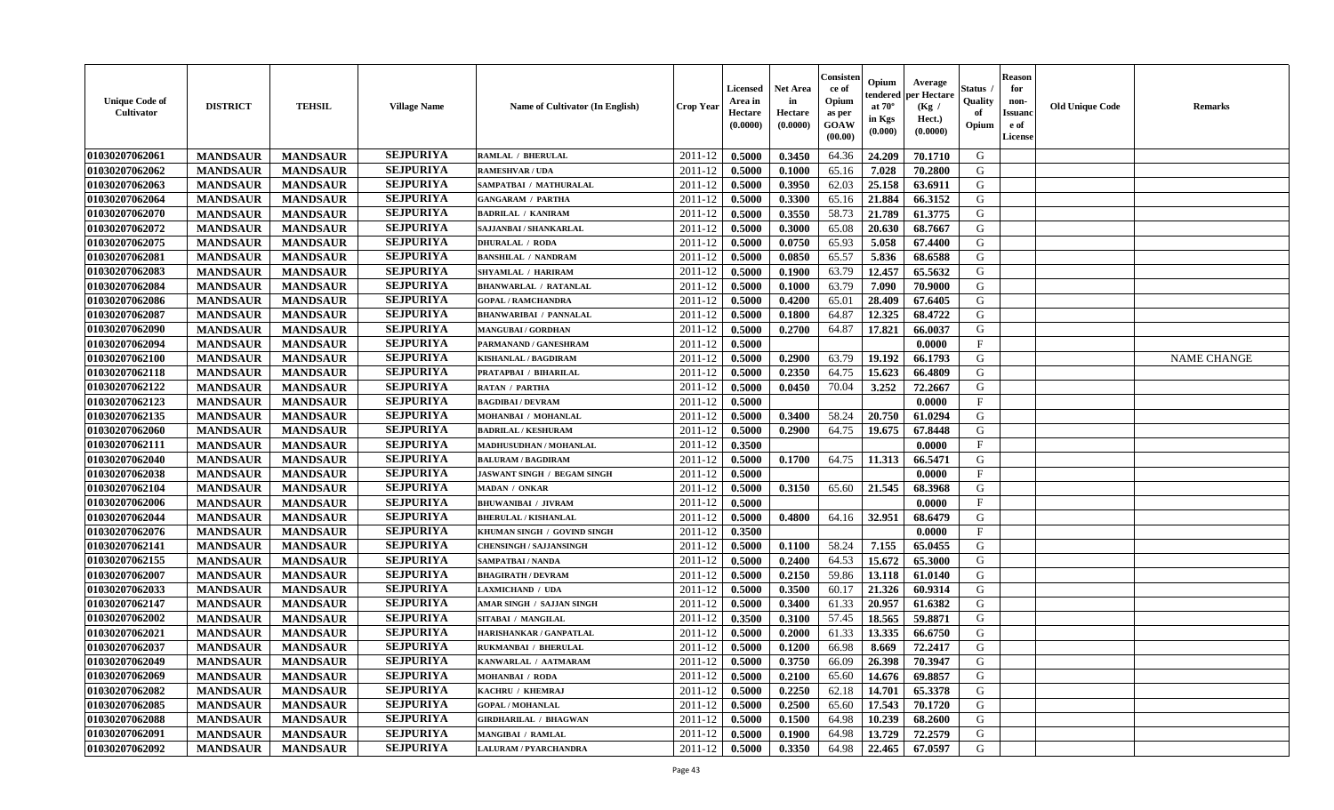| <b>Unique Code of</b><br><b>Cultivator</b> | <b>DISTRICT</b> | <b>TEHSIL</b>   | <b>Village Name</b> | Name of Cultivator (In English) | <b>Crop Year</b> | <b>Licensed</b><br>Area in<br>Hectare<br>(0.0000) | <b>Net Area</b><br>in<br>Hectare<br>(0.0000) | Consister<br>ce of<br>Opium<br>as per<br><b>GOAW</b><br>(00.00) | Opium<br>endered<br>at $70^{\circ}$<br>in Kgs<br>$(\mathbf{0.000})$ | Average<br>per Hectare<br>(Kg)<br>Hect.)<br>(0.0000) | Status<br>Quality<br>of<br>Opium | <b>Reason</b><br>for<br>non-<br><b>Issuano</b><br>e of<br>License | <b>Old Unique Code</b> | <b>Remarks</b>     |
|--------------------------------------------|-----------------|-----------------|---------------------|---------------------------------|------------------|---------------------------------------------------|----------------------------------------------|-----------------------------------------------------------------|---------------------------------------------------------------------|------------------------------------------------------|----------------------------------|-------------------------------------------------------------------|------------------------|--------------------|
| 01030207062061                             | <b>MANDSAUR</b> | <b>MANDSAUR</b> | <b>SEJPURIYA</b>    | <b>RAMLAL / BHERULAL</b>        | 2011-12          | 0.5000                                            | 0.3450                                       | 64.36                                                           | 24.209                                                              | 70.1710                                              | G                                |                                                                   |                        |                    |
| 01030207062062                             | <b>MANDSAUR</b> | <b>MANDSAUR</b> | <b>SEJPURIYA</b>    | <b>RAMESHVAR / UDA</b>          | 2011-12          | 0.5000                                            | 0.1000                                       | 65.16                                                           | 7.028                                                               | 70.2800                                              | G                                |                                                                   |                        |                    |
| 01030207062063                             | <b>MANDSAUR</b> | <b>MANDSAUR</b> | <b>SEJPURIYA</b>    | SAMPATBAI / MATHURALAL          | 2011-12          | 0.5000                                            | 0.3950                                       | 62.03                                                           | 25.158                                                              | 63.6911                                              | G                                |                                                                   |                        |                    |
| 01030207062064                             | <b>MANDSAUR</b> | <b>MANDSAUR</b> | <b>SEJPURIYA</b>    | <b>GANGARAM / PARTHA</b>        | 2011-12          | 0.5000                                            | 0.3300                                       | 65.16                                                           | 21.884                                                              | 66.3152                                              | G                                |                                                                   |                        |                    |
| 01030207062070                             | <b>MANDSAUR</b> | <b>MANDSAUR</b> | <b>SEJPURIYA</b>    | <b>BADRILAL / KANIRAM</b>       | 2011-12          | 0.5000                                            | 0.3550                                       | 58.73                                                           | 21.789                                                              | 61.3775                                              | G                                |                                                                   |                        |                    |
| 01030207062072                             | <b>MANDSAUR</b> | <b>MANDSAUR</b> | <b>SEJPURIYA</b>    | SAJJANBAI / SHANKARLAL          | 2011-12          | 0.5000                                            | 0.3000                                       | 65.08                                                           | 20.630                                                              | 68.7667                                              | G                                |                                                                   |                        |                    |
| 01030207062075                             | <b>MANDSAUR</b> | <b>MANDSAUR</b> | <b>SEJPURIYA</b>    | <b>DHURALAL / RODA</b>          | 2011-12          | 0.5000                                            | 0.0750                                       | 65.93                                                           | 5.058                                                               | 67.4400                                              | G                                |                                                                   |                        |                    |
| 01030207062081                             | <b>MANDSAUR</b> | <b>MANDSAUR</b> | <b>SEJPURIYA</b>    | <b>BANSHILAL / NANDRAM</b>      | 2011-12          | 0.5000                                            | 0.0850                                       | 65.57                                                           | 5.836                                                               | 68.6588                                              | G                                |                                                                   |                        |                    |
| 01030207062083                             | <b>MANDSAUR</b> | <b>MANDSAUR</b> | <b>SEJPURIYA</b>    | SHYAMLAL / HARIRAM              | 2011-12          | 0.5000                                            | 0.1900                                       | 63.79                                                           | 12.457                                                              | 65.5632                                              | G                                |                                                                   |                        |                    |
| 01030207062084                             | <b>MANDSAUR</b> | <b>MANDSAUR</b> | <b>SEJPURIYA</b>    | <b>BHANWARLAL / RATANLAL</b>    | 2011-12          | 0.5000                                            | 0.1000                                       | 63.79                                                           | 7.090                                                               | 70.9000                                              | G                                |                                                                   |                        |                    |
| 01030207062086                             | <b>MANDSAUR</b> | <b>MANDSAUR</b> | <b>SEJPURIYA</b>    | <b>GOPAL / RAMCHANDRA</b>       | 2011-12          | 0.5000                                            | 0.4200                                       | 65.01                                                           | 28.409                                                              | 67.6405                                              | G                                |                                                                   |                        |                    |
| 01030207062087                             | <b>MANDSAUR</b> | <b>MANDSAUR</b> | <b>SEJPURIYA</b>    | <b>BHANWARIBAI / PANNALAL</b>   | 2011-12          | 0.5000                                            | 0.1800                                       | 64.87                                                           | 12.325                                                              | 68.4722                                              | G                                |                                                                   |                        |                    |
| 01030207062090                             | <b>MANDSAUR</b> | <b>MANDSAUR</b> | <b>SEJPURIYA</b>    | <b>MANGUBAI/GORDHAN</b>         | 2011-12          | 0.5000                                            | 0.2700                                       | 64.87                                                           | 17.821                                                              | 66.0037                                              | G                                |                                                                   |                        |                    |
| 01030207062094                             | <b>MANDSAUR</b> | <b>MANDSAUR</b> | <b>SEJPURIYA</b>    | PARMANAND / GANESHRAM           | 2011-12          | 0.5000                                            |                                              |                                                                 |                                                                     | 0.0000                                               | $\mathbf{F}$                     |                                                                   |                        |                    |
| 01030207062100                             | <b>MANDSAUR</b> | <b>MANDSAUR</b> | <b>SEJPURIYA</b>    | <b>KISHANLAL / BAGDIRAM</b>     | 2011-12          | 0.5000                                            | 0.2900                                       | 63.79                                                           | 19.192                                                              | 66.1793                                              | G                                |                                                                   |                        | <b>NAME CHANGE</b> |
| 01030207062118                             | <b>MANDSAUR</b> | <b>MANDSAUR</b> | <b>SEJPURIYA</b>    | PRATAPBAI / BIHARILAL           | 2011-12          | 0.5000                                            | 0.2350                                       | 64.75                                                           | 15.623                                                              | 66.4809                                              | G                                |                                                                   |                        |                    |
| 01030207062122                             | <b>MANDSAUR</b> | <b>MANDSAUR</b> | <b>SEJPURIYA</b>    | <b>RATAN / PARTHA</b>           | 2011-12          | 0.5000                                            | 0.0450                                       | 70.04                                                           | 3.252                                                               | 72.2667                                              | G                                |                                                                   |                        |                    |
| 01030207062123                             | <b>MANDSAUR</b> | <b>MANDSAUR</b> | <b>SEJPURIYA</b>    | <b>BAGDIBAI / DEVRAM</b>        | 2011-12          | 0.5000                                            |                                              |                                                                 |                                                                     | 0.0000                                               | $\mathbf{F}$                     |                                                                   |                        |                    |
| 01030207062135                             | <b>MANDSAUR</b> | <b>MANDSAUR</b> | <b>SEJPURIYA</b>    | MOHANBAI / MOHANLAL             | 2011-12          | 0.5000                                            | 0.3400                                       | 58.24                                                           | 20.750                                                              | 61.0294                                              | G                                |                                                                   |                        |                    |
| 01030207062060                             | <b>MANDSAUR</b> | <b>MANDSAUR</b> | <b>SEJPURIYA</b>    | <b>BADRILAL / KESHURAM</b>      | 2011-12          | 0.5000                                            | 0.2900                                       | 64.75                                                           | 19.675                                                              | 67.8448                                              | G                                |                                                                   |                        |                    |
| 01030207062111                             | <b>MANDSAUR</b> | <b>MANDSAUR</b> | <b>SEJPURIYA</b>    | MADHUSUDHAN / MOHANLAL          | 2011-12          | 0.3500                                            |                                              |                                                                 |                                                                     | 0.0000                                               | $\mathbf{F}$                     |                                                                   |                        |                    |
| 01030207062040                             | <b>MANDSAUR</b> | <b>MANDSAUR</b> | <b>SEJPURIYA</b>    | <b>BALURAM / BAGDIRAM</b>       | 2011-12          | 0.5000                                            | 0.1700                                       | 64.75                                                           | 11.313                                                              | 66.5471                                              | G                                |                                                                   |                        |                    |
| 01030207062038                             | <b>MANDSAUR</b> | <b>MANDSAUR</b> | <b>SEJPURIYA</b>    | JASWANT SINGH / BEGAM SINGH     | 2011-12          | 0.5000                                            |                                              |                                                                 |                                                                     | 0.0000                                               | $\mathbf{F}$                     |                                                                   |                        |                    |
| 01030207062104                             | <b>MANDSAUR</b> | <b>MANDSAUR</b> | <b>SEJPURIYA</b>    | <b>MADAN / ONKAR</b>            | 2011-12          | 0.5000                                            | 0.3150                                       | 65.60                                                           | 21.545                                                              | 68.3968                                              | G                                |                                                                   |                        |                    |
| 01030207062006                             | <b>MANDSAUR</b> | <b>MANDSAUR</b> | <b>SEJPURIYA</b>    | <b>BHUWANIBAI / JIVRAM</b>      | 2011-12          | 0.5000                                            |                                              |                                                                 |                                                                     | 0.0000                                               | $\mathbf{F}$                     |                                                                   |                        |                    |
| 01030207062044                             | <b>MANDSAUR</b> | <b>MANDSAUR</b> | <b>SEJPURIYA</b>    | <b>BHERULAL / KISHANLAL</b>     | 2011-12          | 0.5000                                            | 0.4800                                       | 64.16                                                           | 32.951                                                              | 68.6479                                              | G                                |                                                                   |                        |                    |
| 01030207062076                             | <b>MANDSAUR</b> | <b>MANDSAUR</b> | <b>SEJPURIYA</b>    | KHUMAN SINGH / GOVIND SINGH     | 2011-12          | 0.3500                                            |                                              |                                                                 |                                                                     | 0.0000                                               | $\mathbf{F}$                     |                                                                   |                        |                    |
| 01030207062141                             | <b>MANDSAUR</b> | <b>MANDSAUR</b> | <b>SEJPURIYA</b>    | <b>CHENSINGH / SAJJANSINGH</b>  | 2011-12          | 0.5000                                            | 0.1100                                       | 58.24                                                           | 7.155                                                               | 65.0455                                              | G                                |                                                                   |                        |                    |
| 01030207062155                             | <b>MANDSAUR</b> | <b>MANDSAUR</b> | <b>SEJPURIYA</b>    | SAMPATBAI / NANDA               | 2011-12          | 0.5000                                            | 0.2400                                       | 64.53                                                           | 15.672                                                              | 65.3000                                              | G                                |                                                                   |                        |                    |
| 01030207062007                             | <b>MANDSAUR</b> | <b>MANDSAUR</b> | <b>SEJPURIYA</b>    | <b>BHAGIRATH / DEVRAM</b>       | 2011-12          | 0.5000                                            | 0.2150                                       | 59.86                                                           | 13.118                                                              | 61.0140                                              | G                                |                                                                   |                        |                    |
| 01030207062033                             | <b>MANDSAUR</b> | <b>MANDSAUR</b> | <b>SEJPURIYA</b>    | <b>LAXMICHAND / UDA</b>         | 2011-12          | 0.5000                                            | 0.3500                                       | 60.17                                                           | 21.326                                                              | 60.9314                                              | G                                |                                                                   |                        |                    |
| 01030207062147                             | <b>MANDSAUR</b> | <b>MANDSAUR</b> | <b>SEJPURIYA</b>    | AMAR SINGH / SAJJAN SINGH       | 2011-12          | 0.5000                                            | 0.3400                                       | 61.33                                                           | 20.957                                                              | 61.6382                                              | G                                |                                                                   |                        |                    |
| 01030207062002                             | <b>MANDSAUR</b> | <b>MANDSAUR</b> | <b>SEJPURIYA</b>    | SITABAI / MANGILAL              | 2011-12          | 0.3500                                            | 0.3100                                       | 57.45                                                           | 18.565                                                              | 59.8871                                              | G                                |                                                                   |                        |                    |
| 01030207062021                             | <b>MANDSAUR</b> | <b>MANDSAUR</b> | <b>SEJPURIYA</b>    | HARISHANKAR / GANPATLAL         | 2011-12          | 0.5000                                            | 0.2000                                       | 61.33                                                           | 13.335                                                              | 66.6750                                              | G                                |                                                                   |                        |                    |
| 01030207062037                             | <b>MANDSAUR</b> | <b>MANDSAUR</b> | <b>SEJPURIYA</b>    | RUKMANBAI / BHERULAL            | 2011-12          | 0.5000                                            | 0.1200                                       | 66.98                                                           | 8.669                                                               | 72.2417                                              | G                                |                                                                   |                        |                    |
| 01030207062049                             | <b>MANDSAUR</b> | <b>MANDSAUR</b> | <b>SEJPURIYA</b>    | KANWARLAL / AATMARAM            | $2011-12$ 0.5000 |                                                   | 0.3750                                       | 66.09                                                           | 26.398                                                              | 70.3947                                              | G                                |                                                                   |                        |                    |
| 01030207062069                             | <b>MANDSAUR</b> | <b>MANDSAUR</b> | <b>SEJPURIYA</b>    | <b>MOHANBAI / RODA</b>          | 2011-12          | 0.5000                                            | 0.2100                                       | 65.60                                                           | 14.676                                                              | 69.8857                                              | G                                |                                                                   |                        |                    |
| 01030207062082                             | <b>MANDSAUR</b> | <b>MANDSAUR</b> | <b>SEJPURIYA</b>    | KACHRU / KHEMRAJ                | 2011-12          | 0.5000                                            | 0.2250                                       | 62.18                                                           | 14.701                                                              | 65.3378                                              | G                                |                                                                   |                        |                    |
| 01030207062085                             | <b>MANDSAUR</b> | <b>MANDSAUR</b> | <b>SEJPURIYA</b>    | <b>GOPAL / MOHANLAL</b>         | 2011-12          | 0.5000                                            | 0.2500                                       | 65.60                                                           | 17.543                                                              | 70.1720                                              | G                                |                                                                   |                        |                    |
| 01030207062088                             | <b>MANDSAUR</b> | <b>MANDSAUR</b> | <b>SEJPURIYA</b>    | <b>GIRDHARILAL / BHAGWAN</b>    | 2011-12          | 0.5000                                            | 0.1500                                       | 64.98                                                           | 10.239                                                              | 68.2600                                              | G                                |                                                                   |                        |                    |
| 01030207062091                             | <b>MANDSAUR</b> | <b>MANDSAUR</b> | <b>SEJPURIYA</b>    | <b>MANGIBAI / RAMLAL</b>        | 2011-12          | 0.5000                                            | 0.1900                                       | 64.98                                                           | 13.729                                                              | 72.2579                                              | G                                |                                                                   |                        |                    |
| 01030207062092                             | <b>MANDSAUR</b> | <b>MANDSAUR</b> | <b>SEJPURIYA</b>    | LALURAM / PYARCHANDRA           | $2011-12$        | 0.5000                                            | 0.3350                                       | 64.98                                                           | 22.465                                                              | 67.0597                                              | G                                |                                                                   |                        |                    |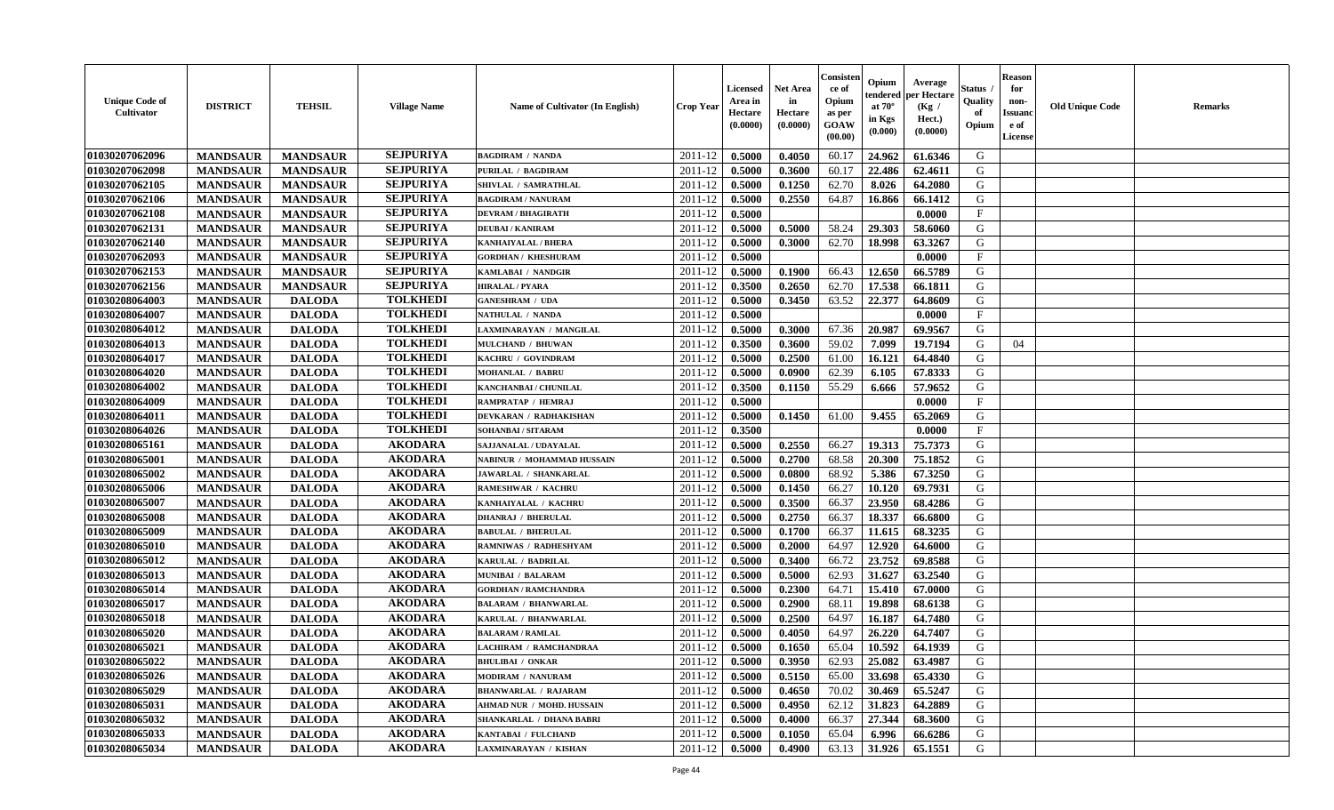| <b>Unique Code of</b><br><b>Cultivator</b> | <b>DISTRICT</b> | <b>TEHSIL</b>   | <b>Village Name</b> | Name of Cultivator (In English)  | <b>Crop Year</b> | Licensed<br>Area in<br>Hectare<br>(0.0000) | <b>Net Area</b><br>in<br>Hectare<br>(0.0000) | Consister<br>ce of<br>Opium<br>as per<br>GOAW<br>(00.00) | Opium<br>endered<br>at $70^\circ$<br>in Kgs<br>(0.000) | Average<br>per Hectare<br>(Kg /<br>Hect.)<br>(0.0000) | Status<br>Quality<br>of<br>Opium | <b>Reason</b><br>for<br>non-<br><b>Issuand</b><br>e of<br>License | <b>Old Unique Code</b> | <b>Remarks</b> |
|--------------------------------------------|-----------------|-----------------|---------------------|----------------------------------|------------------|--------------------------------------------|----------------------------------------------|----------------------------------------------------------|--------------------------------------------------------|-------------------------------------------------------|----------------------------------|-------------------------------------------------------------------|------------------------|----------------|
| 01030207062096                             | <b>MANDSAUR</b> | <b>MANDSAUR</b> | <b>SEJPURIYA</b>    | <b>BAGDIRAM / NANDA</b>          | 2011-12          | 0.5000                                     | 0.4050                                       | 60.17                                                    | 24.962                                                 | 61.6346                                               | G                                |                                                                   |                        |                |
| 01030207062098                             | <b>MANDSAUR</b> | <b>MANDSAUR</b> | <b>SEJPURIYA</b>    | PURILAL / BAGDIRAM               | 2011-12          | 0.5000                                     | 0.3600                                       | 60.17                                                    | 22.486                                                 | 62.4611                                               | G                                |                                                                   |                        |                |
| 01030207062105                             | <b>MANDSAUR</b> | <b>MANDSAUR</b> | <b>SEJPURIYA</b>    | SHIVLAL / SAMRATHLAL             | 2011-12          | 0.5000                                     | 0.1250                                       | 62.70                                                    | 8.026                                                  | 64.2080                                               | G                                |                                                                   |                        |                |
| 01030207062106                             | <b>MANDSAUR</b> | <b>MANDSAUR</b> | <b>SEJPURIYA</b>    | <b>BAGDIRAM / NANURAM</b>        | 2011-12          | 0.5000                                     | 0.2550                                       | 64.87                                                    | 16.866                                                 | 66.1412                                               | G                                |                                                                   |                        |                |
| 01030207062108                             | <b>MANDSAUR</b> | <b>MANDSAUR</b> | <b>SEJPURIYA</b>    | <b>DEVRAM / BHAGIRATH</b>        | 2011-12          | 0.5000                                     |                                              |                                                          |                                                        | 0.0000                                                | $\mathbf{F}$                     |                                                                   |                        |                |
| 01030207062131                             | <b>MANDSAUR</b> | <b>MANDSAUR</b> | <b>SEJPURIYA</b>    | <b>DEUBAI/KANIRAM</b>            | 2011-12          | 0.5000                                     | 0.5000                                       | 58.24                                                    | 29.303                                                 | 58.6060                                               | G                                |                                                                   |                        |                |
| 01030207062140                             | <b>MANDSAUR</b> | <b>MANDSAUR</b> | <b>SEJPURIYA</b>    | <b>KANHAIYALAL / BHERA</b>       | 2011-12          | 0.5000                                     | 0.3000                                       | 62.70                                                    | 18.998                                                 | 63.3267                                               | G                                |                                                                   |                        |                |
| 01030207062093                             | <b>MANDSAUR</b> | <b>MANDSAUR</b> | <b>SEJPURIYA</b>    | <b>GORDHAN / KHESHURAM</b>       | 2011-12          | 0.5000                                     |                                              |                                                          |                                                        | 0.0000                                                | $\mathbf{F}$                     |                                                                   |                        |                |
| 01030207062153                             | <b>MANDSAUR</b> | <b>MANDSAUR</b> | <b>SEJPURIYA</b>    | KAMLABAI / NANDGIR               | 2011-12          | 0.5000                                     | 0.1900                                       | 66.43                                                    | 12.650                                                 | 66.5789                                               | G                                |                                                                   |                        |                |
| 01030207062156                             | <b>MANDSAUR</b> | <b>MANDSAUR</b> | <b>SEJPURIYA</b>    | HIRALAL / PYARA                  | 2011-12          | 0.3500                                     | 0.2650                                       | 62.70                                                    | 17.538                                                 | 66.1811                                               | G                                |                                                                   |                        |                |
| 01030208064003                             | <b>MANDSAUR</b> | <b>DALODA</b>   | <b>TOLKHEDI</b>     | <b>GANESHRAM / UDA</b>           | 2011-12          | 0.5000                                     | 0.3450                                       | 63.52                                                    | 22.377                                                 | 64.8609                                               | G                                |                                                                   |                        |                |
| 01030208064007                             | <b>MANDSAUR</b> | <b>DALODA</b>   | <b>TOLKHEDI</b>     | NATHULAL / NANDA                 | 2011-12          | 0.5000                                     |                                              |                                                          |                                                        | 0.0000                                                | F                                |                                                                   |                        |                |
| 01030208064012                             | <b>MANDSAUR</b> | <b>DALODA</b>   | <b>TOLKHEDI</b>     | LAXMINARAYAN / MANGILAL          | 2011-12          | 0.5000                                     | 0.3000                                       | 67.36                                                    | 20.987                                                 | 69.9567                                               | G                                |                                                                   |                        |                |
| 01030208064013                             | <b>MANDSAUR</b> | <b>DALODA</b>   | <b>TOLKHEDI</b>     | MULCHAND / BHUWAN                | 2011-12          | 0.3500                                     | 0.3600                                       | 59.02                                                    | 7.099                                                  | 19.7194                                               | G                                | 04                                                                |                        |                |
| 01030208064017                             | <b>MANDSAUR</b> | <b>DALODA</b>   | <b>TOLKHEDI</b>     | KACHRU / GOVINDRAM               | 2011-12          | 0.5000                                     | 0.2500                                       | 61.00                                                    | 16.121                                                 | 64.4840                                               | G                                |                                                                   |                        |                |
| 01030208064020                             | <b>MANDSAUR</b> | <b>DALODA</b>   | <b>TOLKHEDI</b>     | <b>MOHANLAL / BABRU</b>          | 2011-12          | 0.5000                                     | 0.0900                                       | 62.39                                                    | 6.105                                                  | 67.8333                                               | G                                |                                                                   |                        |                |
| 01030208064002                             | <b>MANDSAUR</b> | <b>DALODA</b>   | <b>TOLKHEDI</b>     | KANCHANBAI / CHUNILAL            | 2011-12          | 0.3500                                     | 0.1150                                       | 55.29                                                    | 6.666                                                  | 57.9652                                               | G                                |                                                                   |                        |                |
| 01030208064009                             | <b>MANDSAUR</b> | <b>DALODA</b>   | <b>TOLKHEDI</b>     | RAMPRATAP / HEMRAJ               | 2011-12          | 0.5000                                     |                                              |                                                          |                                                        | 0.0000                                                | $\mathbf{F}$                     |                                                                   |                        |                |
| 01030208064011                             | <b>MANDSAUR</b> | <b>DALODA</b>   | <b>TOLKHEDI</b>     | <b>DEVKARAN / RADHAKISHAN</b>    | 2011-12          | 0.5000                                     | 0.1450                                       | 61.00                                                    | 9.455                                                  | 65.2069                                               | G                                |                                                                   |                        |                |
| 01030208064026                             | <b>MANDSAUR</b> | <b>DALODA</b>   | <b>TOLKHEDI</b>     | SOHANBAI / SITARAM               | 2011-12          | 0.3500                                     |                                              |                                                          |                                                        | 0.0000                                                | $\mathbf{F}$                     |                                                                   |                        |                |
| 01030208065161                             | <b>MANDSAUR</b> | <b>DALODA</b>   | <b>AKODARA</b>      | SAJJANALAL / UDAYALAL            | 2011-12          | 0.5000                                     | 0.2550                                       | 66.27                                                    | 19.313                                                 | 75.7373                                               | G                                |                                                                   |                        |                |
| 01030208065001                             | <b>MANDSAUR</b> | <b>DALODA</b>   | <b>AKODARA</b>      | NABINUR / MOHAMMAD HUSSAIN       | 2011-12          | 0.5000                                     | 0.2700                                       | 68.58                                                    | 20.300                                                 | 75.1852                                               | G                                |                                                                   |                        |                |
| 01030208065002                             | <b>MANDSAUR</b> | <b>DALODA</b>   | <b>AKODARA</b>      | JAWARLAL / SHANKARLAL            | 2011-12          | 0.5000                                     | 0.0800                                       | 68.92                                                    | 5.386                                                  | 67.3250                                               | G                                |                                                                   |                        |                |
| 01030208065006                             | <b>MANDSAUR</b> | <b>DALODA</b>   | <b>AKODARA</b>      | RAMESHWAR / KACHRU               | 2011-12          | 0.5000                                     | 0.1450                                       | 66.27                                                    | 10.120                                                 | 69.7931                                               | G                                |                                                                   |                        |                |
| 01030208065007                             | <b>MANDSAUR</b> | <b>DALODA</b>   | <b>AKODARA</b>      | KANHAIYALAL / KACHRU             | 2011-12          | 0.5000                                     | 0.3500                                       | 66.37                                                    | 23.950                                                 | 68.4286                                               | G                                |                                                                   |                        |                |
| 01030208065008                             | <b>MANDSAUR</b> | <b>DALODA</b>   | <b>AKODARA</b>      | <b>DHANRAJ / BHERULAL</b>        | 2011-12          | 0.5000                                     | 0.2750                                       | 66.37                                                    | 18.337                                                 | 66.6800                                               | G                                |                                                                   |                        |                |
| 01030208065009                             | <b>MANDSAUR</b> | <b>DALODA</b>   | <b>AKODARA</b>      | <b>BABULAL / BHERULAL</b>        | 2011-12          | 0.5000                                     | 0.1700                                       | 66.37                                                    | 11.615                                                 | 68.3235                                               | G                                |                                                                   |                        |                |
| 01030208065010                             | <b>MANDSAUR</b> | <b>DALODA</b>   | <b>AKODARA</b>      | RAMNIWAS / RADHESHYAM            | 2011-12          | 0.5000                                     | 0.2000                                       | 64.97                                                    | 12.920                                                 | 64.6000                                               | G                                |                                                                   |                        |                |
| 01030208065012                             | <b>MANDSAUR</b> | <b>DALODA</b>   | <b>AKODARA</b>      | <b>KARULAL / BADRILAI</b>        | 2011-12          | 0.5000                                     | 0.3400                                       | 66.72                                                    | 23.752                                                 | 69.8588                                               | G                                |                                                                   |                        |                |
| 01030208065013                             | <b>MANDSAUR</b> | <b>DALODA</b>   | <b>AKODARA</b>      | <b>MUNIBAI / BALARAM</b>         | 2011-12          | 0.5000                                     | 0.5000                                       | 62.93                                                    | 31.627                                                 | 63.2540                                               | G                                |                                                                   |                        |                |
| 01030208065014                             | <b>MANDSAUR</b> | <b>DALODA</b>   | <b>AKODARA</b>      | <b>GORDHAN / RAMCHANDRA</b>      | 2011-12          | 0.5000                                     | 0.2300                                       | 64.71                                                    | 15.410                                                 | 67.0000                                               | ${\bf G}$                        |                                                                   |                        |                |
| 01030208065017                             | <b>MANDSAUR</b> | <b>DALODA</b>   | <b>AKODARA</b>      | <b>BALARAM / BHANWARLAL</b>      | 2011-12          | 0.5000                                     | 0.2900                                       | 68.11                                                    | 19.898                                                 | 68.6138                                               | G                                |                                                                   |                        |                |
| 01030208065018                             | <b>MANDSAUR</b> | <b>DALODA</b>   | <b>AKODARA</b>      | KARULAL / BHANWARLAL             | 2011-12          | 0.5000                                     | 0.2500                                       | 64.97                                                    | 16.187                                                 | 64.7480                                               | G                                |                                                                   |                        |                |
| 01030208065020                             | <b>MANDSAUR</b> | <b>DALODA</b>   | <b>AKODARA</b>      | <b>BALARAM / RAMLAL</b>          | 2011-12          | 0.5000                                     | 0.4050                                       | 64.97                                                    | 26.220                                                 | 64.7407                                               | G                                |                                                                   |                        |                |
| 01030208065021                             | <b>MANDSAUR</b> | <b>DALODA</b>   | <b>AKODARA</b>      | <b>LACHIRAM / RAMCHANDRAA</b>    | 2011-12          | 0.5000                                     | 0.1650                                       | 65.04                                                    | 10.592                                                 | 64.1939                                               | G                                |                                                                   |                        |                |
| 01030208065022                             | <b>MANDSAUR</b> | <b>DALODA</b>   | <b>AKODARA</b>      | <b>BHULIBAI / ONKAR</b>          | 2011-12          | 0.5000                                     | 0.3950                                       | 62.93                                                    | 25.082                                                 | 63.4987                                               | G                                |                                                                   |                        |                |
| 01030208065026                             | <b>MANDSAUR</b> | <b>DALODA</b>   | <b>AKODARA</b>      | <b>MODIRAM / NANURAM</b>         | 2011-12          | 0.5000                                     | 0.5150                                       | 65.00                                                    | 33.698                                                 | 65.4330                                               | G                                |                                                                   |                        |                |
| 01030208065029                             | <b>MANDSAUR</b> | <b>DALODA</b>   | <b>AKODARA</b>      | <b>BHANWARLAL / RAJARAM</b>      | 2011-12          | 0.5000                                     | 0.4650                                       | 70.02                                                    | 30.469                                                 | 65.5247                                               | G                                |                                                                   |                        |                |
| 01030208065031                             | <b>MANDSAUR</b> | <b>DALODA</b>   | <b>AKODARA</b>      | <b>AHMAD NUR / MOHD. HUSSAIN</b> | 2011-12          | 0.5000                                     | 0.4950                                       | 62.12                                                    | 31.823                                                 | 64.2889                                               | ${\bf G}$                        |                                                                   |                        |                |
| 01030208065032                             | <b>MANDSAUR</b> | <b>DALODA</b>   | <b>AKODARA</b>      | SHANKARLAL / DHANA BABRI         | 2011-12          | 0.5000                                     | 0.4000                                       | 66.37                                                    | 27.344                                                 | 68.3600                                               | G                                |                                                                   |                        |                |
| 01030208065033                             | <b>MANDSAUR</b> | <b>DALODA</b>   | <b>AKODARA</b>      | KANTABAI / FULCHAND              | 2011-12          | 0.5000                                     | 0.1050                                       | 65.04                                                    | 6.996                                                  | 66.6286                                               | G                                |                                                                   |                        |                |
| 01030208065034                             | <b>MANDSAUR</b> | <b>DALODA</b>   | <b>AKODARA</b>      | <b>LAXMINARAYAN / KISHAN</b>     | 2011-12          | 0.5000                                     | 0.4900                                       | 63.13                                                    | 31.926                                                 | 65.1551                                               | G                                |                                                                   |                        |                |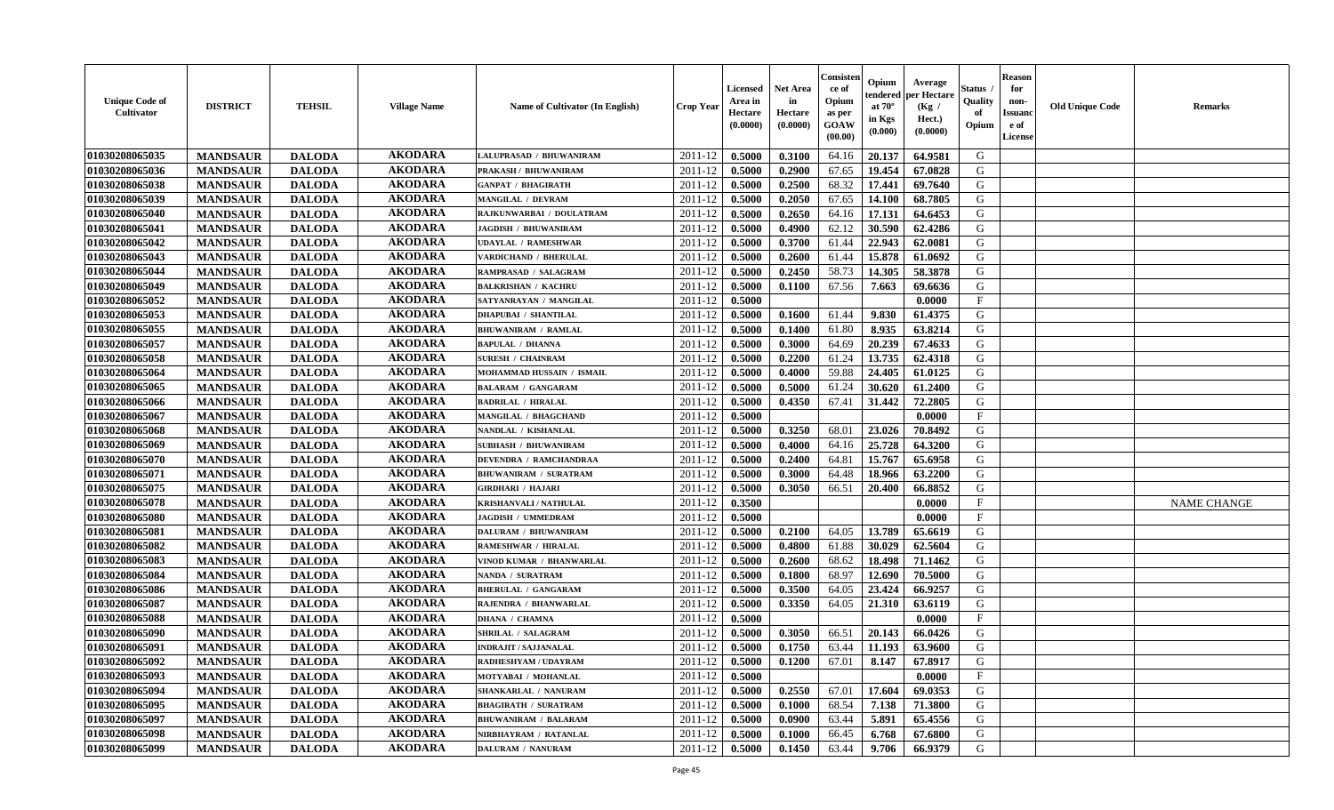| <b>Unique Code of</b><br><b>Cultivator</b> | <b>DISTRICT</b> | <b>TEHSIL</b> | <b>Village Name</b> | Name of Cultivator (In English) | <b>Crop Year</b> | <b>Licensed</b><br>Area in<br>Hectare<br>(0.0000) | <b>Net Area</b><br>in<br>Hectare<br>(0.0000) | Consister<br>ce of<br>Opium<br>as per<br><b>GOAW</b><br>(00.00) | Opium<br>endered<br>at $70^\circ$<br>in Kgs<br>(0.000) | Average<br>per Hectare<br>(Kg /<br>Hect.)<br>(0.0000) | Status<br>Quality<br>of<br>Opium | <b>Reason</b><br>for<br>non-<br><b>Issuand</b><br>e of<br><b>License</b> | <b>Old Unique Code</b> | <b>Remarks</b>     |
|--------------------------------------------|-----------------|---------------|---------------------|---------------------------------|------------------|---------------------------------------------------|----------------------------------------------|-----------------------------------------------------------------|--------------------------------------------------------|-------------------------------------------------------|----------------------------------|--------------------------------------------------------------------------|------------------------|--------------------|
| 01030208065035                             | <b>MANDSAUR</b> | <b>DALODA</b> | <b>AKODARA</b>      | LALUPRASAD / BHUWANIRAM         | 2011-12          | 0.5000                                            | 0.3100                                       | 64.16                                                           | 20.137                                                 | 64.9581                                               | G                                |                                                                          |                        |                    |
| 01030208065036                             | <b>MANDSAUR</b> | <b>DALODA</b> | <b>AKODARA</b>      | PRAKASH / BHUWANIRAM            | 2011-12          | 0.5000                                            | 0.2900                                       | 67.65                                                           | 19.454                                                 | 67.0828                                               | G                                |                                                                          |                        |                    |
| 01030208065038                             | <b>MANDSAUR</b> | <b>DALODA</b> | <b>AKODARA</b>      | <b>GANPAT / BHAGIRATH</b>       | 2011-12          | 0.5000                                            | 0.2500                                       | 68.32                                                           | 17.441                                                 | 69.7640                                               | G                                |                                                                          |                        |                    |
| 01030208065039                             | <b>MANDSAUR</b> | <b>DALODA</b> | <b>AKODARA</b>      | MANGILAL / DEVRAM               | 2011-12          | 0.5000                                            | 0.2050                                       | 67.65                                                           | 14.100                                                 | 68.7805                                               | G                                |                                                                          |                        |                    |
| 01030208065040                             | <b>MANDSAUR</b> | <b>DALODA</b> | <b>AKODARA</b>      | RAJKUNWARBAI / DOULATRAM        | 2011-12          | 0.5000                                            | 0.2650                                       | 64.16                                                           | 17.131                                                 | 64.6453                                               | G                                |                                                                          |                        |                    |
| 01030208065041                             | <b>MANDSAUR</b> | <b>DALODA</b> | <b>AKODARA</b>      | <b>JAGDISH / BHUWANIRAM</b>     | 2011-12          | 0.5000                                            | 0.4900                                       | 62.12                                                           | 30.590                                                 | 62.4286                                               | G                                |                                                                          |                        |                    |
| 01030208065042                             | <b>MANDSAUR</b> | <b>DALODA</b> | <b>AKODARA</b>      | <b>UDAYLAL / RAMESHWAR</b>      | 2011-12          | 0.5000                                            | 0.3700                                       | 61.44                                                           | 22.943                                                 | 62.0081                                               | G                                |                                                                          |                        |                    |
| 01030208065043                             | <b>MANDSAUR</b> | <b>DALODA</b> | <b>AKODARA</b>      | VARDICHAND / BHERULAL           | 2011-12          | 0.5000                                            | 0.2600                                       | 61.44                                                           | 15.878                                                 | 61.0692                                               | G                                |                                                                          |                        |                    |
| 01030208065044                             | <b>MANDSAUR</b> | <b>DALODA</b> | <b>AKODARA</b>      | RAMPRASAD / SALAGRAM            | 2011-12          | 0.5000                                            | 0.2450                                       | 58.73                                                           | 14.305                                                 | 58.3878                                               | G                                |                                                                          |                        |                    |
| 01030208065049                             | <b>MANDSAUR</b> | <b>DALODA</b> | <b>AKODARA</b>      | <b>BALKRISHAN / KACHRU</b>      | 2011-12          | 0.5000                                            | 0.1100                                       | 67.56                                                           | 7.663                                                  | 69.6636                                               | G                                |                                                                          |                        |                    |
| 01030208065052                             | <b>MANDSAUR</b> | <b>DALODA</b> | <b>AKODARA</b>      | SATYANRAYAN / MANGILAL          | 2011-12          | 0.5000                                            |                                              |                                                                 |                                                        | 0.0000                                                | F                                |                                                                          |                        |                    |
| 01030208065053                             | <b>MANDSAUR</b> | <b>DALODA</b> | <b>AKODARA</b>      | <b>DHAPUBAI / SHANTILAL</b>     | 2011-12          | 0.5000                                            | 0.1600                                       | 61.44                                                           | 9.830                                                  | 61.4375                                               | G                                |                                                                          |                        |                    |
| 01030208065055                             | <b>MANDSAUR</b> | <b>DALODA</b> | <b>AKODARA</b>      | <b>BHUWANIRAM / RAMLAL</b>      | 2011-12          | 0.5000                                            | 0.1400                                       | 61.80                                                           | 8.935                                                  | 63.8214                                               | G                                |                                                                          |                        |                    |
| 01030208065057                             | <b>MANDSAUR</b> | <b>DALODA</b> | <b>AKODARA</b>      | <b>BAPULAL / DHANNA</b>         | 2011-12          | 0.5000                                            | 0.3000                                       | 64.69                                                           | 20.239                                                 | 67.4633                                               | G                                |                                                                          |                        |                    |
| 01030208065058                             | <b>MANDSAUR</b> | <b>DALODA</b> | <b>AKODARA</b>      | <b>SURESH / CHAINRAM</b>        | 2011-12          | 0.5000                                            | 0.2200                                       | 61.24                                                           | 13.735                                                 | 62.4318                                               | G                                |                                                                          |                        |                    |
| 01030208065064                             | <b>MANDSAUR</b> | <b>DALODA</b> | <b>AKODARA</b>      | MOHAMMAD HUSSAIN / ISMAIL       | 2011-12          | 0.5000                                            | 0.4000                                       | 59.88                                                           | 24.405                                                 | 61.0125                                               | G                                |                                                                          |                        |                    |
| 01030208065065                             | <b>MANDSAUR</b> | <b>DALODA</b> | <b>AKODARA</b>      | <b>BALARAM / GANGARAM</b>       | 2011-12          | 0.5000                                            | 0.5000                                       | 61.24                                                           | 30.620                                                 | 61.2400                                               | G                                |                                                                          |                        |                    |
| 01030208065066                             | <b>MANDSAUR</b> | <b>DALODA</b> | <b>AKODARA</b>      | <b>BADRILAL / HIRALAL</b>       | 2011-12          | 0.5000                                            | 0.4350                                       | 67.41                                                           | 31.442                                                 | 72.2805                                               | G                                |                                                                          |                        |                    |
| 01030208065067                             | <b>MANDSAUR</b> | <b>DALODA</b> | <b>AKODARA</b>      | MANGILAL / BHAGCHAND            | 2011-12          | 0.5000                                            |                                              |                                                                 |                                                        | 0.0000                                                | F                                |                                                                          |                        |                    |
| 01030208065068                             | <b>MANDSAUR</b> | <b>DALODA</b> | <b>AKODARA</b>      | NANDLAL / KISHANLAL             | 2011-12          | 0.5000                                            | 0.3250                                       | 68.01                                                           | 23.026                                                 | 70.8492                                               | G                                |                                                                          |                        |                    |
| 01030208065069                             | <b>MANDSAUR</b> | <b>DALODA</b> | <b>AKODARA</b>      | <b>SUBHASH / BHUWANIRAM</b>     | 2011-12          | 0.5000                                            | 0.4000                                       | 64.16                                                           | 25.728                                                 | 64.3200                                               | G                                |                                                                          |                        |                    |
| 01030208065070                             | <b>MANDSAUR</b> | <b>DALODA</b> | <b>AKODARA</b>      | <b>DEVENDRA / RAMCHANDRAA</b>   | 2011-12          | 0.5000                                            | 0.2400                                       | 64.81                                                           | 15.767                                                 | 65.6958                                               | G                                |                                                                          |                        |                    |
| 01030208065071                             | <b>MANDSAUR</b> | <b>DALODA</b> | <b>AKODARA</b>      | <b>BHUWANIRAM / SURATRAM</b>    | 2011-12          | 0.5000                                            | 0.3000                                       | 64.48                                                           | 18.966                                                 | 63.2200                                               | G                                |                                                                          |                        |                    |
| 01030208065075                             | <b>MANDSAUR</b> | <b>DALODA</b> | <b>AKODARA</b>      | <b>GIRDHARI / HAJARI</b>        | 2011-12          | 0.5000                                            | 0.3050                                       | 66.51                                                           | 20.400                                                 | 66.8852                                               | G                                |                                                                          |                        |                    |
| 01030208065078                             | <b>MANDSAUR</b> | <b>DALODA</b> | <b>AKODARA</b>      | <b>KRISHANVALI / NATHULAL</b>   | 2011-12          | 0.3500                                            |                                              |                                                                 |                                                        | 0.0000                                                | $\rm F$                          |                                                                          |                        | <b>NAME CHANGE</b> |
| 01030208065080                             | <b>MANDSAUR</b> | <b>DALODA</b> | <b>AKODARA</b>      | <b>JAGDISH / UMMEDRAM</b>       | 2011-12          | 0.5000                                            |                                              |                                                                 |                                                        | 0.0000                                                | F                                |                                                                          |                        |                    |
| 01030208065081                             | <b>MANDSAUR</b> | <b>DALODA</b> | <b>AKODARA</b>      | <b>DALURAM / BHUWANIRAM</b>     | 2011-12          | 0.5000                                            | 0.2100                                       | 64.05                                                           | 13.789                                                 | 65.6619                                               | G                                |                                                                          |                        |                    |
| 01030208065082                             | <b>MANDSAUR</b> | <b>DALODA</b> | <b>AKODARA</b>      | <b>RAMESHWAR / HIRALAL</b>      | 2011-12          | 0.5000                                            | 0.4800                                       | 61.88                                                           | 30.029                                                 | 62.5604                                               | G                                |                                                                          |                        |                    |
| 01030208065083                             | <b>MANDSAUR</b> | <b>DALODA</b> | <b>AKODARA</b>      | VINOD KUMAR / BHANWARLAL        | 2011-12          | 0.5000                                            | 0.2600                                       | 68.62                                                           | 18.498                                                 | 71.1462                                               | G                                |                                                                          |                        |                    |
| 01030208065084                             | <b>MANDSAUR</b> | <b>DALODA</b> | <b>AKODARA</b>      | NANDA / SURATRAM                | 2011-12          | 0.5000                                            | 0.1800                                       | 68.97                                                           | 12.690                                                 | 70.5000                                               | G                                |                                                                          |                        |                    |
| 01030208065086                             | <b>MANDSAUR</b> | <b>DALODA</b> | <b>AKODARA</b>      | <b>BHERULAL / GANGARAM</b>      | 2011-12          | 0.5000                                            | 0.3500                                       | 64.05                                                           | 23,424                                                 | 66.9257                                               | G                                |                                                                          |                        |                    |
| 01030208065087                             | <b>MANDSAUR</b> | <b>DALODA</b> | <b>AKODARA</b>      | RAJENDRA / BHANWARLAL           | 2011-12          | 0.5000                                            | 0.3350                                       | 64.05                                                           | 21.310                                                 | 63.6119                                               | ${\bf G}$                        |                                                                          |                        |                    |
| 01030208065088                             | <b>MANDSAUR</b> | <b>DALODA</b> | <b>AKODARA</b>      | <b>DHANA / CHAMNA</b>           | 2011-12          | 0.5000                                            |                                              |                                                                 |                                                        | 0.0000                                                | $_{\rm F}$                       |                                                                          |                        |                    |
| 01030208065090                             | <b>MANDSAUR</b> | <b>DALODA</b> | <b>AKODARA</b>      | <b>SHRILAL / SALAGRAM</b>       | 2011-12          | 0.5000                                            | 0.3050                                       | 66.51                                                           | 20.143                                                 | 66.0426                                               | G                                |                                                                          |                        |                    |
| 01030208065091                             | <b>MANDSAUR</b> | <b>DALODA</b> | <b>AKODARA</b>      | <b>INDRAJIT / SAJJANALAL</b>    | 2011-12          | 0.5000                                            | 0.1750                                       | 63.44                                                           | 11.193                                                 | 63.9600                                               | G                                |                                                                          |                        |                    |
| 01030208065092                             | <b>MANDSAUR</b> | <b>DALODA</b> | <b>AKODARA</b>      | RADHESHYAM / UDAYRAM            | 2011-12          | 0.5000                                            | 0.1200                                       | 67.01                                                           | 8.147                                                  | 67.8917                                               | G                                |                                                                          |                        |                    |
| 01030208065093                             | <b>MANDSAUR</b> | <b>DALODA</b> | <b>AKODARA</b>      | MOTYABAI / MOHANLAL             | 2011-12          | 0.5000                                            |                                              |                                                                 |                                                        | 0.0000                                                | $\mathbf{F}$                     |                                                                          |                        |                    |
| 01030208065094                             | <b>MANDSAUR</b> | <b>DALODA</b> | <b>AKODARA</b>      | SHANKARLAL / NANURAM            | 2011-12          | 0.5000                                            | 0.2550                                       | 67.01                                                           | 17.604                                                 | 69.0353                                               | G                                |                                                                          |                        |                    |
| 01030208065095                             | <b>MANDSAUR</b> | <b>DALODA</b> | <b>AKODARA</b>      | <b>BHAGIRATH / SURATRAM</b>     | 2011-12          | 0.5000                                            | 0.1000                                       | 68.54                                                           | 7.138                                                  | 71.3800                                               | G                                |                                                                          |                        |                    |
| 01030208065097                             | <b>MANDSAUR</b> | <b>DALODA</b> | <b>AKODARA</b>      | <b>BHUWANIRAM / BALARAM</b>     | 2011-12          | 0.5000                                            | 0.0900                                       | 63.44                                                           | 5.891                                                  | 65.4556                                               | ${\bf G}$                        |                                                                          |                        |                    |
| 01030208065098                             | <b>MANDSAUR</b> | <b>DALODA</b> | <b>AKODARA</b>      | NIRBHAYRAM / RATANLAL           | 2011-12          | 0.5000                                            | 0.1000                                       | 66.45                                                           | 6.768                                                  | 67.6800                                               | G                                |                                                                          |                        |                    |
| 01030208065099                             | <b>MANDSAUR</b> | <b>DALODA</b> | <b>AKODARA</b>      | <b>DALURAM / NANURAM</b>        | 2011-12          | 0.5000                                            | 0.1450                                       | 63.44                                                           | 9.706                                                  | 66.9379                                               | G                                |                                                                          |                        |                    |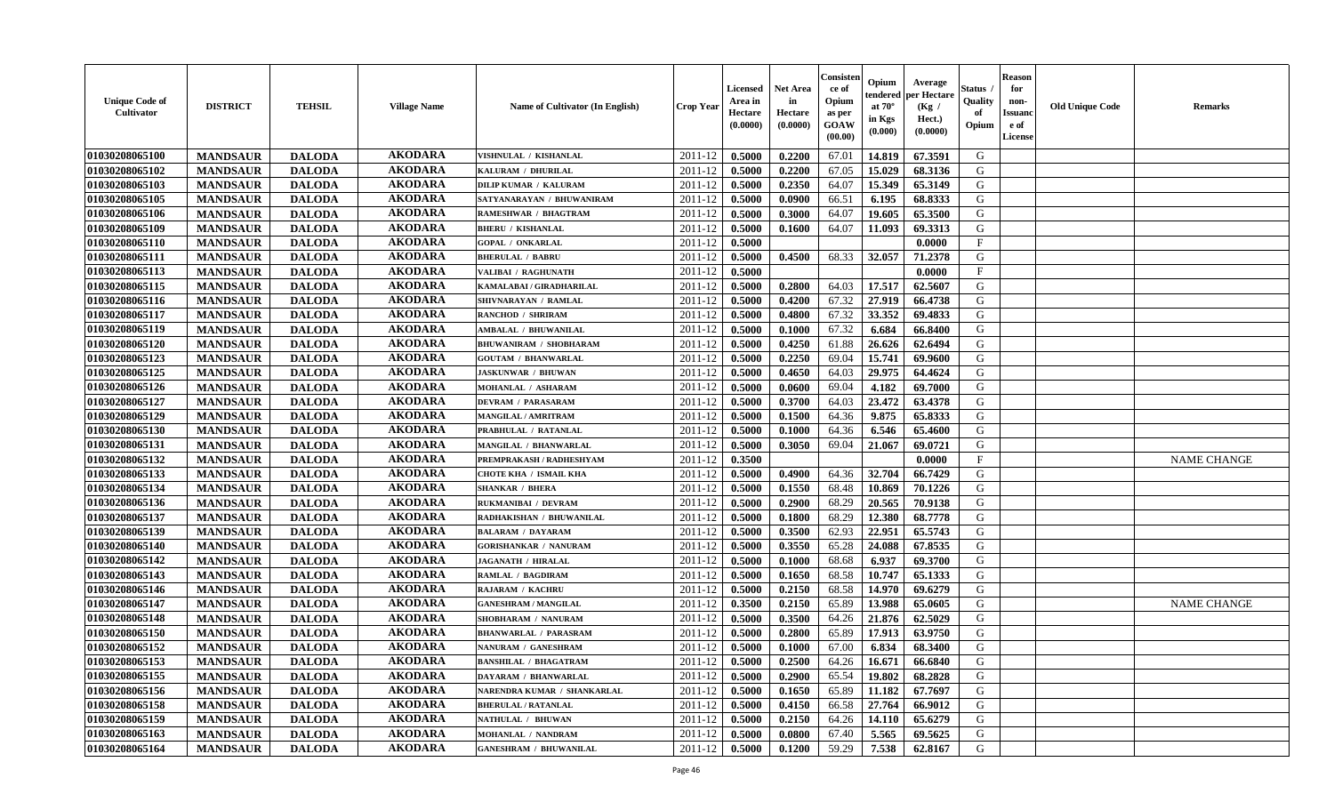| <b>Unique Code of</b><br><b>Cultivator</b> | <b>DISTRICT</b> | <b>TEHSIL</b> | <b>Village Name</b> | Name of Cultivator (In English) | <b>Crop Year</b> | <b>Licensed</b><br>Area in<br>Hectare<br>(0.0000) | Net Area<br>in<br>Hectare<br>(0.0000) | Consisteı<br>ce of<br>Opium<br>as per<br>GOAW<br>(00.00) | Opium<br>endered<br>at $70^\circ$<br>in Kgs<br>(0.000) | Average<br>per Hectare<br>(Kg /<br>Hect.)<br>(0.0000) | Status<br>Quality<br>of<br>Opium | <b>Reason</b><br>for<br>non-<br><b>Issuand</b><br>e of<br>License | <b>Old Unique Code</b> | Remarks            |
|--------------------------------------------|-----------------|---------------|---------------------|---------------------------------|------------------|---------------------------------------------------|---------------------------------------|----------------------------------------------------------|--------------------------------------------------------|-------------------------------------------------------|----------------------------------|-------------------------------------------------------------------|------------------------|--------------------|
| 01030208065100                             | <b>MANDSAUR</b> | <b>DALODA</b> | <b>AKODARA</b>      | VISHNULAL / KISHANLAL           | 2011-12          | 0.5000                                            | 0.2200                                | 67.01                                                    | 14.819                                                 | 67.3591                                               | G                                |                                                                   |                        |                    |
| 01030208065102                             | <b>MANDSAUR</b> | <b>DALODA</b> | <b>AKODARA</b>      | KALURAM / DHURILAL              | 2011-12          | 0.5000                                            | 0.2200                                | 67.05                                                    | 15.029                                                 | 68.3136                                               | G                                |                                                                   |                        |                    |
| 01030208065103                             | <b>MANDSAUR</b> | <b>DALODA</b> | <b>AKODARA</b>      | <b>DILIP KUMAR / KALURAM</b>    | 2011-12          | 0.5000                                            | 0.2350                                | 64.07                                                    | 15.349                                                 | 65.3149                                               | G                                |                                                                   |                        |                    |
| 01030208065105                             | <b>MANDSAUR</b> | <b>DALODA</b> | <b>AKODARA</b>      | SATYANARAYAN / BHUWANIRAM       | 2011-12          | 0.5000                                            | 0.0900                                | 66.51                                                    | 6.195                                                  | 68.8333                                               | G                                |                                                                   |                        |                    |
| 01030208065106                             | <b>MANDSAUR</b> | <b>DALODA</b> | <b>AKODARA</b>      | RAMESHWAR / BHAGTRAM            | 2011-12          | 0.5000                                            | 0.3000                                | 64.07                                                    | 19.605                                                 | 65.3500                                               | G                                |                                                                   |                        |                    |
| 01030208065109                             | <b>MANDSAUR</b> | <b>DALODA</b> | <b>AKODARA</b>      | <b>BHERU / KISHANLAL</b>        | 2011-12          | 0.5000                                            | 0.1600                                | 64.07                                                    | 11.093                                                 | 69.3313                                               | G                                |                                                                   |                        |                    |
| 01030208065110                             | <b>MANDSAUR</b> | <b>DALODA</b> | <b>AKODARA</b>      | <b>GOPAL / ONKARLAL</b>         | 2011-12          | 0.5000                                            |                                       |                                                          |                                                        | 0.0000                                                | $\mathbf{F}$                     |                                                                   |                        |                    |
| 01030208065111                             | <b>MANDSAUR</b> | <b>DALODA</b> | <b>AKODARA</b>      | <b>BHERULAL / BABRU</b>         | 2011-12          | 0.5000                                            | 0.4500                                | 68.33                                                    | 32.057                                                 | 71.2378                                               | G                                |                                                                   |                        |                    |
| 01030208065113                             | <b>MANDSAUR</b> | <b>DALODA</b> | <b>AKODARA</b>      | VALIBAI / RAGHUNATH             | 2011-12          | 0.5000                                            |                                       |                                                          |                                                        | 0.0000                                                | $\mathbf{F}$                     |                                                                   |                        |                    |
| 01030208065115                             | <b>MANDSAUR</b> | <b>DALODA</b> | <b>AKODARA</b>      | KAMALABAI / GIRADHARILAL        | 2011-12          | 0.5000                                            | 0.2800                                | 64.03                                                    | 17.517                                                 | 62.5607                                               | G                                |                                                                   |                        |                    |
| 01030208065116                             | <b>MANDSAUR</b> | <b>DALODA</b> | <b>AKODARA</b>      | SHIVNARAYAN / RAMLAL            | 2011-12          | 0.5000                                            | 0.4200                                | 67.32                                                    | 27.919                                                 | 66.4738                                               | G                                |                                                                   |                        |                    |
| 01030208065117                             | <b>MANDSAUR</b> | <b>DALODA</b> | <b>AKODARA</b>      | <b>RANCHOD / SHRIRAM</b>        | 2011-12          | 0.5000                                            | 0.4800                                | 67.32                                                    | 33.352                                                 | 69.4833                                               | G                                |                                                                   |                        |                    |
| 01030208065119                             | <b>MANDSAUR</b> | <b>DALODA</b> | <b>AKODARA</b>      | <b>AMBALAL / BHUWANILAL</b>     | 2011-12          | 0.5000                                            | 0.1000                                | 67.32                                                    | 6.684                                                  | 66.8400                                               | G                                |                                                                   |                        |                    |
| 01030208065120                             | <b>MANDSAUR</b> | <b>DALODA</b> | <b>AKODARA</b>      | <b>BHUWANIRAM / SHOBHARAM</b>   | 2011-12          | 0.5000                                            | 0.4250                                | 61.88                                                    | 26.626                                                 | 62.6494                                               | G                                |                                                                   |                        |                    |
| 01030208065123                             | <b>MANDSAUR</b> | <b>DALODA</b> | <b>AKODARA</b>      | <b>GOUTAM / BHANWARLAL</b>      | 2011-12          | 0.5000                                            | 0.2250                                | 69.04                                                    | 15.741                                                 | 69.9600                                               | $\mathbf G$                      |                                                                   |                        |                    |
| 01030208065125                             | <b>MANDSAUR</b> | <b>DALODA</b> | <b>AKODARA</b>      | <b>JASKUNWAR / BHUWAN</b>       | 2011-12          | 0.5000                                            | 0.4650                                | 64.03                                                    | 29.975                                                 | 64.4624                                               | G                                |                                                                   |                        |                    |
| 01030208065126                             | <b>MANDSAUR</b> | <b>DALODA</b> | <b>AKODARA</b>      | MOHANLAL / ASHARAM              | 2011-12          | 0.5000                                            | 0.0600                                | 69.04                                                    | 4.182                                                  | 69.7000                                               | G                                |                                                                   |                        |                    |
| 01030208065127                             | <b>MANDSAUR</b> | <b>DALODA</b> | <b>AKODARA</b>      | <b>DEVRAM / PARASARAM</b>       | 2011-12          | 0.5000                                            | 0.3700                                | 64.03                                                    | 23.472                                                 | 63.4378                                               | G                                |                                                                   |                        |                    |
| 01030208065129                             | <b>MANDSAUR</b> | <b>DALODA</b> | <b>AKODARA</b>      | MANGILAL / AMRITRAM             | 2011-12          | 0.5000                                            | 0.1500                                | 64.36                                                    | 9.875                                                  | 65.8333                                               | G                                |                                                                   |                        |                    |
| 01030208065130                             | <b>MANDSAUR</b> | <b>DALODA</b> | <b>AKODARA</b>      | PRABHULAL / RATANLAL            | 2011-12          | 0.5000                                            | 0.1000                                | 64.36                                                    | 6.546                                                  | 65.4600                                               | G                                |                                                                   |                        |                    |
| 01030208065131                             | <b>MANDSAUR</b> | <b>DALODA</b> | <b>AKODARA</b>      | <b>MANGILAL / BHANWARLAL</b>    | 2011-12          | 0.5000                                            | 0.3050                                | 69.04                                                    | 21.067                                                 | 69.0721                                               | G                                |                                                                   |                        |                    |
| 01030208065132                             | <b>MANDSAUR</b> | <b>DALODA</b> | <b>AKODARA</b>      | PREMPRAKASH / RADHESHYAM        | 2011-12          | 0.3500                                            |                                       |                                                          |                                                        | 0.0000                                                | $_{\rm F}$                       |                                                                   |                        | <b>NAME CHANGE</b> |
| 01030208065133                             | <b>MANDSAUR</b> | <b>DALODA</b> | <b>AKODARA</b>      | CHOTE KHA / ISMAIL KHA          | 2011-12          | 0.5000                                            | 0.4900                                | 64.36                                                    | 32.704                                                 | 66.7429                                               | G                                |                                                                   |                        |                    |
| 01030208065134                             | <b>MANDSAUR</b> | <b>DALODA</b> | <b>AKODARA</b>      | <b>SHANKAR / BHERA</b>          | 2011-12          | 0.5000                                            | 0.1550                                | 68.48                                                    | 10.869                                                 | 70.1226                                               | G                                |                                                                   |                        |                    |
| 01030208065136                             | <b>MANDSAUR</b> | <b>DALODA</b> | <b>AKODARA</b>      | RUKMANIBAI / DEVRAM             | 2011-12          | 0.5000                                            | 0.2900                                | 68.29                                                    | 20.565                                                 | 70.9138                                               | G                                |                                                                   |                        |                    |
| 01030208065137                             | <b>MANDSAUR</b> | <b>DALODA</b> | <b>AKODARA</b>      | RADHAKISHAN / BHUWANILAL        | 2011-12          | 0.5000                                            | 0.1800                                | 68.29                                                    | 12.380                                                 | 68.7778                                               | G                                |                                                                   |                        |                    |
| 01030208065139                             | <b>MANDSAUR</b> | <b>DALODA</b> | <b>AKODARA</b>      | <b>BALARAM / DAYARAM</b>        | 2011-12          | 0.5000                                            | 0.3500                                | 62.93                                                    | 22.951                                                 | 65.5743                                               | G                                |                                                                   |                        |                    |
| 01030208065140                             | <b>MANDSAUR</b> | <b>DALODA</b> | <b>AKODARA</b>      | <b>GORISHANKAR / NANURAM</b>    | 2011-12          | 0.5000                                            | 0.3550                                | 65.28                                                    | 24.088                                                 | 67.8535                                               | G                                |                                                                   |                        |                    |
| 01030208065142                             | <b>MANDSAUR</b> | <b>DALODA</b> | <b>AKODARA</b>      | <b>JAGANATH / HIRALAL</b>       | 2011-12          | 0.5000                                            | 0.1000                                | 68.68                                                    | 6.937                                                  | 69.3700                                               | G                                |                                                                   |                        |                    |
| 01030208065143                             | <b>MANDSAUR</b> | <b>DALODA</b> | <b>AKODARA</b>      | <b>RAMLAL / BAGDIRAM</b>        | 2011-12          | 0.5000                                            | 0.1650                                | 68.58                                                    | 10.747                                                 | 65.1333                                               | G                                |                                                                   |                        |                    |
| 01030208065146                             | <b>MANDSAUR</b> | <b>DALODA</b> | <b>AKODARA</b>      | RAJARAM / KACHRU                | 2011-12          | 0.5000                                            | 0.2150                                | 68.58                                                    | 14.970                                                 | 69.6279                                               | G                                |                                                                   |                        |                    |
| 01030208065147                             | <b>MANDSAUR</b> | <b>DALODA</b> | <b>AKODARA</b>      | <b>GANESHRAM / MANGILAL</b>     | 2011-12          | 0.3500                                            | 0.2150                                | 65.89                                                    | 13.988                                                 | 65.0605                                               | G                                |                                                                   |                        | <b>NAME CHANGE</b> |
| 01030208065148                             | <b>MANDSAUR</b> | <b>DALODA</b> | <b>AKODARA</b>      | SHOBHARAM / NANURAM             | 2011-12          | 0.5000                                            | 0.3500                                | 64.26                                                    | 21.876                                                 | 62.5029                                               | G                                |                                                                   |                        |                    |
| 01030208065150                             | <b>MANDSAUR</b> | <b>DALODA</b> | <b>AKODARA</b>      | <b>BHANWARLAL / PARASRAM</b>    | 2011-12          | 0.5000                                            | 0.2800                                | 65.89                                                    | 17.913                                                 | 63.9750                                               | G                                |                                                                   |                        |                    |
| 01030208065152                             | <b>MANDSAUR</b> | <b>DALODA</b> | <b>AKODARA</b>      | NANURAM / GANESHRAM             | 2011-12          | 0.5000                                            | 0.1000                                | 67.00                                                    | 6.834                                                  | 68.3400                                               | G                                |                                                                   |                        |                    |
| 01030208065153                             | <b>MANDSAUR</b> | <b>DALODA</b> | <b>AKODARA</b>      | <b>BANSHILAL / BHAGATRAM</b>    | 2011-12          | 0.5000                                            | 0.2500                                | 64.26                                                    | 16.671                                                 | 66.6840                                               | G                                |                                                                   |                        |                    |
| 01030208065155                             | <b>MANDSAUR</b> | <b>DALODA</b> | <b>AKODARA</b>      | DAYARAM / BHANWARLAL            | 2011-12          | 0.5000                                            | 0.2900                                | 65.54                                                    | 19.802                                                 | 68.2828                                               | G                                |                                                                   |                        |                    |
| 01030208065156                             | <b>MANDSAUR</b> | <b>DALODA</b> | <b>AKODARA</b>      | NARENDRA KUMAR / SHANKARLAL     | 2011-12          | 0.5000                                            | 0.1650                                | 65.89                                                    | 11.182                                                 | 67.7697                                               | G                                |                                                                   |                        |                    |
| 01030208065158                             | <b>MANDSAUR</b> | <b>DALODA</b> | <b>AKODARA</b>      | <b>BHERULAL / RATANLAL</b>      | 2011-12          | 0.5000                                            | 0.4150                                | 66.58                                                    | 27.764                                                 | 66.9012                                               | G                                |                                                                   |                        |                    |
| 01030208065159                             | <b>MANDSAUR</b> | <b>DALODA</b> | <b>AKODARA</b>      | NATHULAL / BHUWAN               | 2011-12          | 0.5000                                            | 0.2150                                | 64.26                                                    | 14.110                                                 | 65.6279                                               | ${\bf G}$                        |                                                                   |                        |                    |
| 01030208065163                             | <b>MANDSAUR</b> | <b>DALODA</b> | <b>AKODARA</b>      | MOHANLAL / NANDRAM              | 2011-12          | 0.5000                                            | 0.0800                                | 67.40                                                    | 5.565                                                  | 69.5625                                               | G                                |                                                                   |                        |                    |
| 01030208065164                             | <b>MANDSAUR</b> | <b>DALODA</b> | <b>AKODARA</b>      | <b>GANESHRAM / BHUWANILAL</b>   | 2011-12          | 0.5000                                            | 0.1200                                | 59.29                                                    | 7.538                                                  | 62.8167                                               | G                                |                                                                   |                        |                    |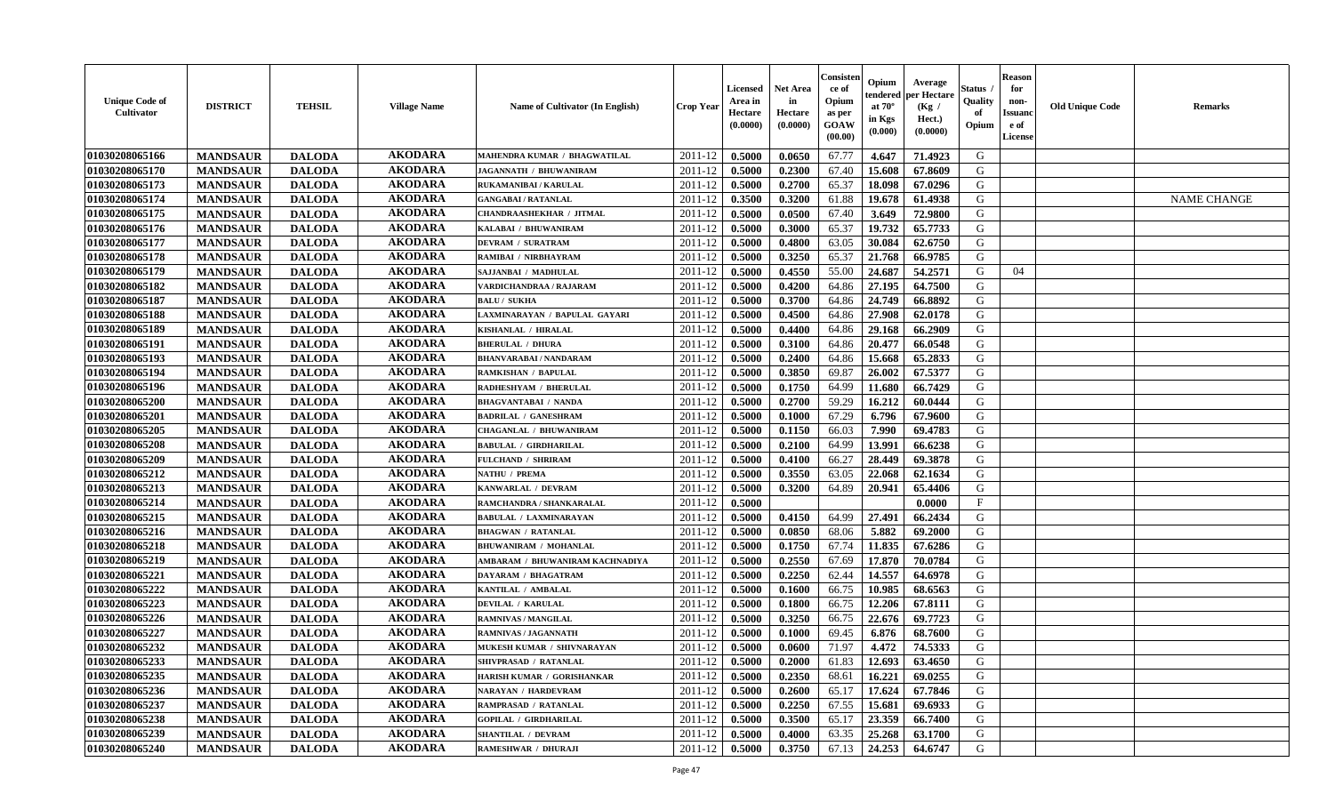| <b>Unique Code of</b><br><b>Cultivator</b> | <b>DISTRICT</b> | <b>TEHSIL</b> | <b>Village Name</b> | <b>Name of Cultivator (In English)</b> | <b>Crop Year</b> | Licensed<br>Area in<br>Hectare<br>(0.0000) | <b>Net Area</b><br>in<br>Hectare<br>(0.0000) | Consister<br>ce of<br>Opium<br>as per<br>GOAW<br>(00.00) | Opium<br>endered<br>at $70^\circ$<br>in Kgs<br>$(\mathbf{0.000})$ | Average<br>per Hectare<br>(Kg /<br>Hect.)<br>(0.0000) | Status<br>Quality<br>of<br>Opium | <b>Reason</b><br>for<br>non-<br><b>Issuanc</b><br>e of<br>License | <b>Old Unique Code</b> | Remarks            |
|--------------------------------------------|-----------------|---------------|---------------------|----------------------------------------|------------------|--------------------------------------------|----------------------------------------------|----------------------------------------------------------|-------------------------------------------------------------------|-------------------------------------------------------|----------------------------------|-------------------------------------------------------------------|------------------------|--------------------|
| 01030208065166                             | <b>MANDSAUR</b> | <b>DALODA</b> | <b>AKODARA</b>      | MAHENDRA KUMAR / BHAGWATILAL           | 2011-12          | 0.5000                                     | 0.0650                                       | 67.77                                                    | 4.647                                                             | 71.4923                                               | G                                |                                                                   |                        |                    |
| 01030208065170                             | <b>MANDSAUR</b> | <b>DALODA</b> | <b>AKODARA</b>      | JAGANNATH / BHUWANIRAM                 | 2011-12          | 0.5000                                     | 0.2300                                       | 67.40                                                    | 15.608                                                            | 67.8609                                               | G                                |                                                                   |                        |                    |
| 01030208065173                             | <b>MANDSAUR</b> | <b>DALODA</b> | <b>AKODARA</b>      | <b>RUKAMANIBAI / KARULAL</b>           | 2011-12          | 0.5000                                     | 0.2700                                       | 65.37                                                    | 18.098                                                            | 67.0296                                               | G                                |                                                                   |                        |                    |
| 01030208065174                             | <b>MANDSAUR</b> | <b>DALODA</b> | <b>AKODARA</b>      | <b>GANGABAI/RATANLAL</b>               | 2011-12          | 0.3500                                     | 0.3200                                       | 61.88                                                    | 19.678                                                            | 61.4938                                               | G                                |                                                                   |                        | <b>NAME CHANGE</b> |
| 01030208065175                             | <b>MANDSAUR</b> | <b>DALODA</b> | <b>AKODARA</b>      | <b>CHANDRAASHEKHAR / JITMAL</b>        | 2011-12          | 0.5000                                     | 0.0500                                       | 67.40                                                    | 3.649                                                             | 72.9800                                               | G                                |                                                                   |                        |                    |
| 01030208065176                             | <b>MANDSAUR</b> | <b>DALODA</b> | <b>AKODARA</b>      | KALABAI / BHUWANIRAM                   | 2011-12          | 0.5000                                     | 0.3000                                       | 65.37                                                    | 19.732                                                            | 65.7733                                               | G                                |                                                                   |                        |                    |
| 01030208065177                             | <b>MANDSAUR</b> | <b>DALODA</b> | <b>AKODARA</b>      | <b>DEVRAM / SURATRAM</b>               | 2011-12          | 0.5000                                     | 0.4800                                       | 63.05                                                    | 30.084                                                            | 62.6750                                               | G                                |                                                                   |                        |                    |
| 01030208065178                             | <b>MANDSAUR</b> | <b>DALODA</b> | <b>AKODARA</b>      | RAMIBAI / NIRBHAYRAM                   | 2011-12          | 0.5000                                     | 0.3250                                       | 65.37                                                    | 21.768                                                            | 66.9785                                               | G                                |                                                                   |                        |                    |
| 01030208065179                             | <b>MANDSAUR</b> | <b>DALODA</b> | <b>AKODARA</b>      | SAJJANBAI / MADHULAL                   | 2011-12          | 0.5000                                     | 0.4550                                       | 55.00                                                    | 24.687                                                            | 54,2571                                               | G                                | 04                                                                |                        |                    |
| 01030208065182                             | <b>MANDSAUR</b> | <b>DALODA</b> | <b>AKODARA</b>      | VARDICHANDRAA / RAJARAM                | 2011-12          | 0.5000                                     | 0.4200                                       | 64.86                                                    | 27.195                                                            | 64.7500                                               | G                                |                                                                   |                        |                    |
| 01030208065187                             | <b>MANDSAUR</b> | <b>DALODA</b> | <b>AKODARA</b>      | <b>BALU / SUKHA</b>                    | 2011-12          | 0.5000                                     | 0.3700                                       | 64.86                                                    | 24.749                                                            | 66.8892                                               | G                                |                                                                   |                        |                    |
| 01030208065188                             | <b>MANDSAUR</b> | <b>DALODA</b> | <b>AKODARA</b>      | LAXMINARAYAN / BAPULAL GAYARI          | 2011-12          | 0.5000                                     | 0.4500                                       | 64.86                                                    | 27.908                                                            | 62.0178                                               | G                                |                                                                   |                        |                    |
| 01030208065189                             | <b>MANDSAUR</b> | <b>DALODA</b> | <b>AKODARA</b>      | KISHANLAL / HIRALAL                    | 2011-12          | 0.5000                                     | 0.4400                                       | 64.86                                                    | 29.168                                                            | 66.2909                                               | G                                |                                                                   |                        |                    |
| 01030208065191                             | <b>MANDSAUR</b> | <b>DALODA</b> | <b>AKODARA</b>      | <b>BHERULAL / DHURA</b>                | 2011-12          | 0.5000                                     | 0.3100                                       | 64.86                                                    | 20.477                                                            | 66.0548                                               | G                                |                                                                   |                        |                    |
| 01030208065193                             | <b>MANDSAUR</b> | <b>DALODA</b> | <b>AKODARA</b>      | <b>BHANVARABAI / NANDARAM</b>          | 2011-12          | 0.5000                                     | 0.2400                                       | 64.86                                                    | 15.668                                                            | 65.2833                                               | G                                |                                                                   |                        |                    |
| 01030208065194                             | <b>MANDSAUR</b> | <b>DALODA</b> | <b>AKODARA</b>      | <b>RAMKISHAN / BAPULAL</b>             | 2011-12          | 0.5000                                     | 0.3850                                       | 69.87                                                    | 26.002                                                            | 67.5377                                               | G                                |                                                                   |                        |                    |
| 01030208065196                             | <b>MANDSAUR</b> | <b>DALODA</b> | <b>AKODARA</b>      | RADHESHYAM / BHERULAL                  | 2011-12          | 0.5000                                     | 0.1750                                       | 64.99                                                    | 11.680                                                            | 66.7429                                               | G                                |                                                                   |                        |                    |
| 01030208065200                             | <b>MANDSAUR</b> | <b>DALODA</b> | <b>AKODARA</b>      | <b>BHAGVANTABAI / NANDA</b>            | 2011-12          | 0.5000                                     | 0.2700                                       | 59.29                                                    | 16.212                                                            | 60.0444                                               | G                                |                                                                   |                        |                    |
| 01030208065201                             | <b>MANDSAUR</b> | <b>DALODA</b> | <b>AKODARA</b>      | <b>BADRILAL / GANESHRAM</b>            | 2011-12          | 0.5000                                     | 0.1000                                       | 67.29                                                    | 6.796                                                             | 67.9600                                               | G                                |                                                                   |                        |                    |
| 01030208065205                             | <b>MANDSAUR</b> | <b>DALODA</b> | <b>AKODARA</b>      | <b>CHAGANLAL / BHUWANIRAM</b>          | 2011-12          | 0.5000                                     | 0.1150                                       | 66.03                                                    | 7.990                                                             | 69.4783                                               | G                                |                                                                   |                        |                    |
| 01030208065208                             | <b>MANDSAUR</b> | <b>DALODA</b> | <b>AKODARA</b>      | <b>BABULAL / GIRDHARILAL</b>           | 2011-12          | 0.5000                                     | 0.2100                                       | 64.99                                                    | 13.991                                                            | 66.6238                                               | G                                |                                                                   |                        |                    |
| 01030208065209                             | <b>MANDSAUR</b> | <b>DALODA</b> | <b>AKODARA</b>      | <b>FULCHAND / SHRIRAM</b>              | 2011-12          | 0.5000                                     | 0.4100                                       | 66.27                                                    | 28.449                                                            | 69.3878                                               | G                                |                                                                   |                        |                    |
| 01030208065212                             | <b>MANDSAUR</b> | <b>DALODA</b> | <b>AKODARA</b>      | <b>NATHU / PREMA</b>                   | 2011-12          | 0.5000                                     | 0.3550                                       | 63.05                                                    | 22.068                                                            | 62.1634                                               | G                                |                                                                   |                        |                    |
| 01030208065213                             | <b>MANDSAUR</b> | <b>DALODA</b> | <b>AKODARA</b>      | KANWARLAL / DEVRAM                     | 2011-12          | 0.5000                                     | 0.3200                                       | 64.89                                                    | 20.941                                                            | 65.4406                                               | G                                |                                                                   |                        |                    |
| 01030208065214                             | <b>MANDSAUR</b> | <b>DALODA</b> | <b>AKODARA</b>      | RAMCHANDRA / SHANKARALAL               | 2011-12          | 0.5000                                     |                                              |                                                          |                                                                   | 0.0000                                                | $\mathbf F$                      |                                                                   |                        |                    |
| 01030208065215                             | <b>MANDSAUR</b> | <b>DALODA</b> | <b>AKODARA</b>      | <b>BABULAL / LAXMINARAYAN</b>          | 2011-12          | 0.5000                                     | 0.4150                                       | 64.99                                                    | 27.491                                                            | 66.2434                                               | G                                |                                                                   |                        |                    |
| 01030208065216                             | <b>MANDSAUR</b> | <b>DALODA</b> | <b>AKODARA</b>      | <b>BHAGWAN / RATANLAL</b>              | 2011-12          | 0.5000                                     | 0.0850                                       | 68.06                                                    | 5.882                                                             | 69.2000                                               | G                                |                                                                   |                        |                    |
| 01030208065218                             | <b>MANDSAUR</b> | <b>DALODA</b> | <b>AKODARA</b>      | <b>BHUWANIRAM / MOHANLAL</b>           | 2011-12          | 0.5000                                     | 0.1750                                       | 67.74                                                    | 11.835                                                            | 67.6286                                               | G                                |                                                                   |                        |                    |
| 01030208065219                             | <b>MANDSAUR</b> | <b>DALODA</b> | <b>AKODARA</b>      | AMBARAM / BHUWANIRAM KACHNADIYA        | 2011-12          | 0.5000                                     | 0.2550                                       | 67.69                                                    | 17.870                                                            | 70.0784                                               | G                                |                                                                   |                        |                    |
| 01030208065221                             | <b>MANDSAUR</b> | <b>DALODA</b> | <b>AKODARA</b>      | DAYARAM / BHAGATRAM                    | 2011-12          | 0.5000                                     | 0.2250                                       | 62.44                                                    | 14.557                                                            | 64.6978                                               | G                                |                                                                   |                        |                    |
| 01030208065222                             | <b>MANDSAUR</b> | <b>DALODA</b> | <b>AKODARA</b>      | KANTILAL / AMBALAL                     | 2011-12          | 0.5000                                     | 0.1600                                       | 66.75                                                    | 10.985                                                            | 68.6563                                               | G                                |                                                                   |                        |                    |
| 01030208065223                             | <b>MANDSAUR</b> | <b>DALODA</b> | <b>AKODARA</b>      | DEVILAL / KARULAL                      | 2011-12          | 0.5000                                     | 0.1800                                       | 66.75                                                    | 12.206                                                            | 67.8111                                               | G                                |                                                                   |                        |                    |
| 01030208065226                             | <b>MANDSAUR</b> | <b>DALODA</b> | <b>AKODARA</b>      | RAMNIVAS / MANGILAL                    | 2011-12          | 0.5000                                     | 0.3250                                       | 66.75                                                    | 22.676                                                            | 69.7723                                               | G                                |                                                                   |                        |                    |
| 01030208065227                             | <b>MANDSAUR</b> | <b>DALODA</b> | <b>AKODARA</b>      | RAMNIVAS / JAGANNATH                   | 2011-12          | 0.5000                                     | 0.1000                                       | 69.45                                                    | 6.876                                                             | 68.7600                                               | G                                |                                                                   |                        |                    |
| 01030208065232                             | <b>MANDSAUR</b> | <b>DALODA</b> | <b>AKODARA</b>      | MUKESH KUMAR / SHIVNARAYAN             | 2011-12          | 0.5000                                     | 0.0600                                       | 71.97                                                    | 4.472                                                             | 74.5333                                               | G                                |                                                                   |                        |                    |
| 01030208065233                             | <b>MANDSAUR</b> | <b>DALODA</b> | <b>AKODARA</b>      | SHIVPRASAD / RATANLAL                  | 2011-12          | 0.5000                                     | 0.2000                                       | 61.83                                                    | 12.693                                                            | 63.4650                                               | G                                |                                                                   |                        |                    |
| 01030208065235                             | <b>MANDSAUR</b> | <b>DALODA</b> | <b>AKODARA</b>      | HARISH KUMAR / GORISHANKAR             | 2011-12          | 0.5000                                     | 0.2350                                       | 68.61                                                    | 16.221                                                            | 69.0255                                               | G                                |                                                                   |                        |                    |
| 01030208065236                             | <b>MANDSAUR</b> | <b>DALODA</b> | <b>AKODARA</b>      | <b>NARAYAN / HARDEVRAM</b>             | 2011-12          | 0.5000                                     | 0.2600                                       | 65.17                                                    | 17.624                                                            | 67.7846                                               | G                                |                                                                   |                        |                    |
| 01030208065237                             | <b>MANDSAUR</b> | <b>DALODA</b> | <b>AKODARA</b>      | RAMPRASAD / RATANLAL                   | 2011-12          | 0.5000                                     | 0.2250                                       | 67.55                                                    | 15.681                                                            | 69.6933                                               | G                                |                                                                   |                        |                    |
| 01030208065238                             | <b>MANDSAUR</b> | <b>DALODA</b> | <b>AKODARA</b>      | <b>GOPILAL / GIRDHARILAL</b>           | 2011-12          | 0.5000                                     | 0.3500                                       | 65.17                                                    | 23.359                                                            | 66.7400                                               | ${\bf G}$                        |                                                                   |                        |                    |
| 01030208065239                             | <b>MANDSAUR</b> | <b>DALODA</b> | <b>AKODARA</b>      | <b>SHANTILAL / DEVRAM</b>              | 2011-12          | 0.5000                                     | 0.4000                                       | 63.35                                                    | 25.268                                                            | 63.1700                                               | G                                |                                                                   |                        |                    |
| 01030208065240                             | <b>MANDSAUR</b> | <b>DALODA</b> | <b>AKODARA</b>      | RAMESHWAR / DHURAJI                    | 2011-12          | 0.5000                                     | 0.3750                                       | 67.13                                                    | 24.253                                                            | 64.6747                                               | G                                |                                                                   |                        |                    |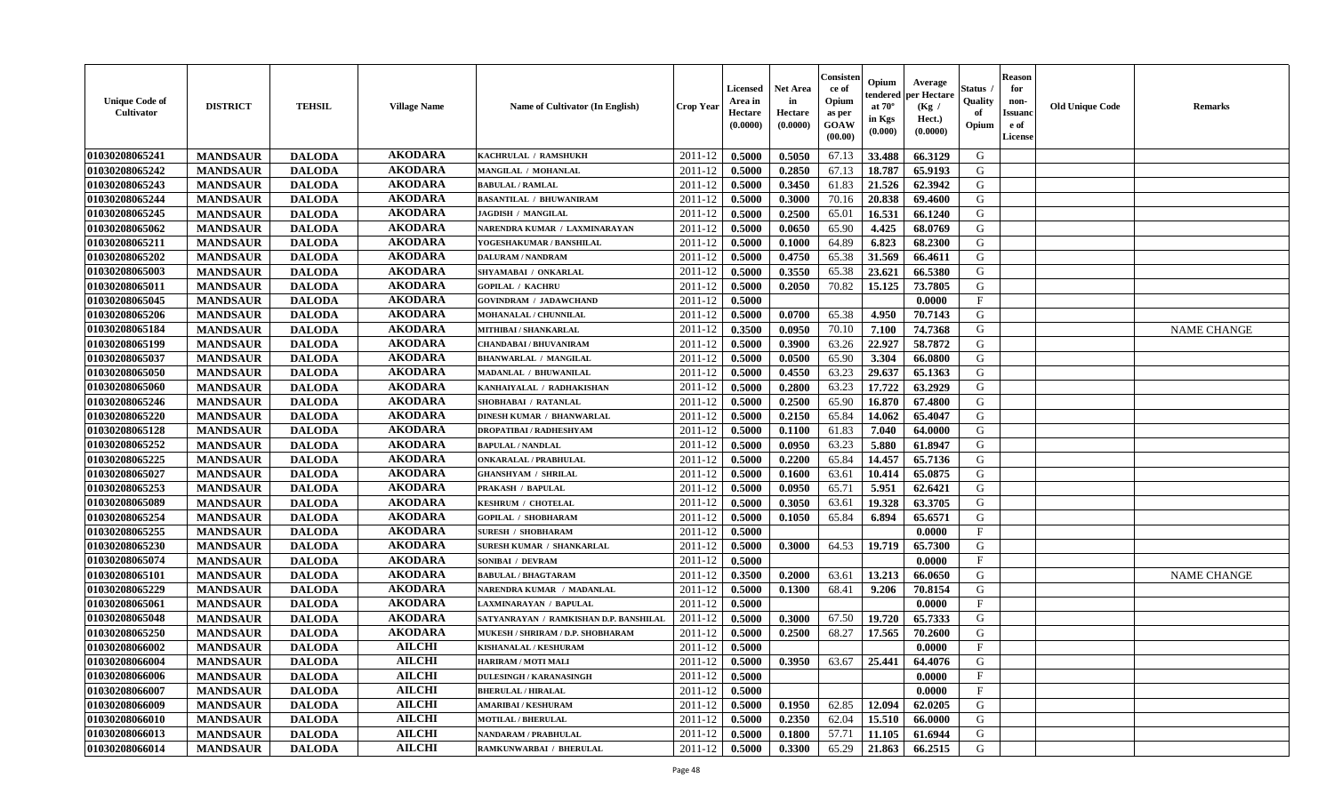| <b>Unique Code of</b><br><b>Cultivator</b> | <b>DISTRICT</b> | <b>TEHSIL</b> | <b>Village Name</b> | <b>Name of Cultivator (In English)</b> | <b>Crop Year</b>   | <b>Licensed</b><br>Area in<br>Hectare<br>(0.0000) | <b>Net Area</b><br>in<br>Hectare<br>(0.0000) | Consister<br>ce of<br>Opium<br>as per<br><b>GOAW</b><br>(00.00) | Opium<br>endered<br>at $70^{\circ}$<br>in Kgs<br>(0.000) | Average<br>per Hectare<br>(Kg)<br>Hect.)<br>(0.0000) | Status<br>Quality<br>of<br>Opium | <b>Reason</b><br>for<br>non-<br><b>Issuano</b><br>e of<br>License | <b>Old Unique Code</b> | <b>Remarks</b>     |
|--------------------------------------------|-----------------|---------------|---------------------|----------------------------------------|--------------------|---------------------------------------------------|----------------------------------------------|-----------------------------------------------------------------|----------------------------------------------------------|------------------------------------------------------|----------------------------------|-------------------------------------------------------------------|------------------------|--------------------|
| 01030208065241                             | <b>MANDSAUR</b> | <b>DALODA</b> | <b>AKODARA</b>      | KACHRULAL / RAMSHUKH                   | 2011-12            | 0.5000                                            | 0.5050                                       | 67.13                                                           | 33.488                                                   | 66.3129                                              | G                                |                                                                   |                        |                    |
| 01030208065242                             | <b>MANDSAUR</b> | <b>DALODA</b> | <b>AKODARA</b>      | MANGILAL / MOHANLAL                    | 2011-12            | 0.5000                                            | 0.2850                                       | 67.13                                                           | 18.787                                                   | 65.9193                                              | G                                |                                                                   |                        |                    |
| 01030208065243                             | <b>MANDSAUR</b> | <b>DALODA</b> | <b>AKODARA</b>      | <b>BABULAL / RAMLAL</b>                | 2011-12            | 0.5000                                            | 0.3450                                       | 61.83                                                           | 21.526                                                   | 62.3942                                              | G                                |                                                                   |                        |                    |
| 01030208065244                             | <b>MANDSAUR</b> | <b>DALODA</b> | <b>AKODARA</b>      | <b>BASANTILAL / BHUWANIRAM</b>         | 2011-12            | 0.5000                                            | 0.3000                                       | 70.16                                                           | 20.838                                                   | 69.4600                                              | G                                |                                                                   |                        |                    |
| 01030208065245                             | <b>MANDSAUR</b> | <b>DALODA</b> | <b>AKODARA</b>      | <b>JAGDISH / MANGILAL</b>              | 2011-12            | 0.5000                                            | 0.2500                                       | 65.01                                                           | 16.531                                                   | 66.1240                                              | G                                |                                                                   |                        |                    |
| 01030208065062                             | <b>MANDSAUR</b> | <b>DALODA</b> | <b>AKODARA</b>      | NARENDRA KUMAR / LAXMINARAYAN          | 2011-12            | 0.5000                                            | 0.0650                                       | 65.90                                                           | 4.425                                                    | 68.0769                                              | G                                |                                                                   |                        |                    |
| 01030208065211                             | <b>MANDSAUR</b> | <b>DALODA</b> | <b>AKODARA</b>      | YOGESHAKUMAR / BANSHILAL               | 2011-12            | 0.5000                                            | 0.1000                                       | 64.89                                                           | 6.823                                                    | 68.2300                                              | G                                |                                                                   |                        |                    |
| 01030208065202                             | <b>MANDSAUR</b> | <b>DALODA</b> | <b>AKODARA</b>      | <b>DALURAM / NANDRAM</b>               | 2011-12            | 0.5000                                            | 0.4750                                       | 65.38                                                           | 31.569                                                   | 66.4611                                              | G                                |                                                                   |                        |                    |
| 01030208065003                             | <b>MANDSAUR</b> | <b>DALODA</b> | <b>AKODARA</b>      | SHYAMABAI / ONKARLAL                   | 2011-12            | 0.5000                                            | 0.3550                                       | 65.38                                                           | 23.621                                                   | 66.5380                                              | G                                |                                                                   |                        |                    |
| 01030208065011                             | <b>MANDSAUR</b> | <b>DALODA</b> | <b>AKODARA</b>      | <b>GOPILAL / KACHRU</b>                | 2011-12            | 0.5000                                            | 0.2050                                       | 70.82                                                           | 15.125                                                   | 73.7805                                              | G                                |                                                                   |                        |                    |
| 01030208065045                             | <b>MANDSAUR</b> | <b>DALODA</b> | <b>AKODARA</b>      | <b>GOVINDRAM / JADAWCHAND</b>          | 2011-12            | 0.5000                                            |                                              |                                                                 |                                                          | 0.0000                                               | $_{\rm F}$                       |                                                                   |                        |                    |
| 01030208065206                             | <b>MANDSAUR</b> | <b>DALODA</b> | <b>AKODARA</b>      | MOHANALAL / CHUNNILAL                  | 2011-12            | 0.5000                                            | 0.0700                                       | 65.38                                                           | 4.950                                                    | 70.7143                                              | G                                |                                                                   |                        |                    |
| 01030208065184                             | <b>MANDSAUR</b> | <b>DALODA</b> | <b>AKODARA</b>      | MITHIBAI / SHANKARLAL                  | 2011-12            | 0.3500                                            | 0.0950                                       | 70.10                                                           | 7.100                                                    | 74.7368                                              | G                                |                                                                   |                        | <b>NAME CHANGE</b> |
| 01030208065199                             | <b>MANDSAUR</b> | <b>DALODA</b> | <b>AKODARA</b>      | CHANDABAI / BHUVANIRAM                 | 2011-12            | 0.5000                                            | 0.3900                                       | 63.26                                                           | 22,927                                                   | 58.7872                                              | G                                |                                                                   |                        |                    |
| 01030208065037                             | <b>MANDSAUR</b> | <b>DALODA</b> | <b>AKODARA</b>      | <b>BHANWARLAL / MANGILAL</b>           | 2011-12            | 0.5000                                            | 0.0500                                       | 65.90                                                           | 3.304                                                    | 66.0800                                              | G                                |                                                                   |                        |                    |
| 01030208065050                             | <b>MANDSAUR</b> | <b>DALODA</b> | <b>AKODARA</b>      | MADANLAL / BHUWANILAL                  | 2011-12            | 0.5000                                            | 0.4550                                       | 63.23                                                           | 29.637                                                   | 65.1363                                              | G                                |                                                                   |                        |                    |
| 01030208065060                             | <b>MANDSAUR</b> | <b>DALODA</b> | <b>AKODARA</b>      | KANHAIYALAL / RADHAKISHAN              | 2011-12            | 0.5000                                            | 0.2800                                       | 63.23                                                           | 17.722                                                   | 63.2929                                              | G                                |                                                                   |                        |                    |
| 01030208065246                             | <b>MANDSAUR</b> | <b>DALODA</b> | <b>AKODARA</b>      | SHOBHABAI / RATANLAL                   | 2011-12            | 0.5000                                            | 0.2500                                       | 65.90                                                           | 16.870                                                   | 67.4800                                              | G                                |                                                                   |                        |                    |
| 01030208065220                             | <b>MANDSAUR</b> | <b>DALODA</b> | <b>AKODARA</b>      | <b>DINESH KUMAR / BHANWARLAL</b>       | 2011-12            | 0.5000                                            | 0.2150                                       | 65.84                                                           | 14.062                                                   | 65.4047                                              | G                                |                                                                   |                        |                    |
| 01030208065128                             | <b>MANDSAUR</b> | <b>DALODA</b> | <b>AKODARA</b>      | <b>DROPATIBAI/RADHESHYAM</b>           | 2011-12            | 0.5000                                            | 0.1100                                       | 61.83                                                           | 7.040                                                    | 64.0000                                              | G                                |                                                                   |                        |                    |
| 01030208065252                             | <b>MANDSAUR</b> | <b>DALODA</b> | <b>AKODARA</b>      | <b>BAPULAL / NANDLAL</b>               | 2011-12            | 0.5000                                            | 0.0950                                       | 63.23                                                           | 5.880                                                    | 61.8947                                              | G                                |                                                                   |                        |                    |
| 01030208065225                             | <b>MANDSAUR</b> | <b>DALODA</b> | <b>AKODARA</b>      | <b>ONKARALAL / PRABHULAL</b>           | 2011-12            | 0.5000                                            | 0.2200                                       | 65.84                                                           | 14.457                                                   | 65.7136                                              | G                                |                                                                   |                        |                    |
| 01030208065027                             | <b>MANDSAUR</b> | <b>DALODA</b> | <b>AKODARA</b>      | <b>GHANSHYAM / SHRILAL</b>             | 2011-12            | 0.5000                                            | 0.1600                                       | 63.61                                                           | 10.414                                                   | 65.0875                                              | G                                |                                                                   |                        |                    |
| 01030208065253                             | <b>MANDSAUR</b> | <b>DALODA</b> | <b>AKODARA</b>      | PRAKASH / BAPULAL                      | 2011-12            | 0.5000                                            | 0.0950                                       | 65.71                                                           | 5.951                                                    | 62.6421                                              | G                                |                                                                   |                        |                    |
| 01030208065089                             | <b>MANDSAUR</b> | <b>DALODA</b> | <b>AKODARA</b>      | <b>KESHRUM / CHOTELAL</b>              | 2011-12            | 0.5000                                            | 0.3050                                       | 63.61                                                           | 19.328                                                   | 63.3705                                              | G                                |                                                                   |                        |                    |
| 01030208065254                             | <b>MANDSAUR</b> | <b>DALODA</b> | <b>AKODARA</b>      | <b>GOPILAL / SHOBHARAM</b>             | 2011-12            | 0.5000                                            | 0.1050                                       | 65.84                                                           | 6.894                                                    | 65.6571                                              | G                                |                                                                   |                        |                    |
| 01030208065255                             | <b>MANDSAUR</b> | <b>DALODA</b> | <b>AKODARA</b>      | <b>SURESH / SHOBHARAM</b>              | 2011-12            | 0.5000                                            |                                              |                                                                 |                                                          | 0.0000                                               | $\mathbf{F}$                     |                                                                   |                        |                    |
| 01030208065230                             | <b>MANDSAUR</b> | <b>DALODA</b> | <b>AKODARA</b>      | SURESH KUMAR / SHANKARLAL              | 2011-12            | 0.5000                                            | 0.3000                                       | 64.53                                                           | 19.719                                                   | 65.7300                                              | G                                |                                                                   |                        |                    |
| 01030208065074                             | <b>MANDSAUR</b> | <b>DALODA</b> | <b>AKODARA</b>      | <b>SONIBAI / DEVRAM</b>                | 2011-12            | 0.5000                                            |                                              |                                                                 |                                                          | 0.0000                                               | $_{\rm F}$                       |                                                                   |                        |                    |
| 01030208065101                             | <b>MANDSAUR</b> | <b>DALODA</b> | <b>AKODARA</b>      | <b>BABULAL / BHAGTARAM</b>             | 2011-12            | 0.3500                                            | 0.2000                                       | 63.61                                                           | 13.213                                                   | 66.0650                                              | G                                |                                                                   |                        | <b>NAME CHANGE</b> |
| 01030208065229                             | <b>MANDSAUR</b> | <b>DALODA</b> | <b>AKODARA</b>      | NARENDRA KUMAR / MADANLAL              | 2011-12            | 0.5000                                            | 0.1300                                       | 68.41                                                           | 9.206                                                    | 70.8154                                              | G                                |                                                                   |                        |                    |
| 01030208065061                             | <b>MANDSAUR</b> | <b>DALODA</b> | <b>AKODARA</b>      | LAXMINARAYAN / BAPULAL                 | 2011-12            | 0.5000                                            |                                              |                                                                 |                                                          | 0.0000                                               | $\mathbf{F}$                     |                                                                   |                        |                    |
| 01030208065048                             | <b>MANDSAUR</b> | <b>DALODA</b> | <b>AKODARA</b>      | SATYANRAYAN / RAMKISHAN D.P. BANSHILAL | 2011-12            | 0.5000                                            | 0.3000                                       | 67.50                                                           | 19.720                                                   | 65.7333                                              | G                                |                                                                   |                        |                    |
| 01030208065250                             | <b>MANDSAUR</b> | <b>DALODA</b> | <b>AKODARA</b>      | MUKESH / SHRIRAM / D.P. SHOBHARAM      | 2011-12            | 0.5000                                            | 0.2500                                       | 68.27                                                           | 17.565                                                   | 70.2600                                              | G                                |                                                                   |                        |                    |
| 01030208066002                             | <b>MANDSAUR</b> | <b>DALODA</b> | <b>AILCHI</b>       | KISHANALAL / KESHURAM                  | 2011-12            | 0.5000                                            |                                              |                                                                 |                                                          | 0.0000                                               | $\mathbf{F}$                     |                                                                   |                        |                    |
| 01030208066004                             | <b>MANDSAUR</b> | <b>DALODA</b> | <b>AILCHI</b>       | HARIRAM / MOTI MALI                    | $2011 - 12$ 0.5000 |                                                   | 0.3950                                       |                                                                 | $63.67$   25.441                                         | 64.4076                                              | G                                |                                                                   |                        |                    |
| 01030208066006                             | <b>MANDSAUR</b> | <b>DALODA</b> | <b>AILCHI</b>       | <b>DULESINGH / KARANASINGH</b>         | 2011-12            | 0.5000                                            |                                              |                                                                 |                                                          | 0.0000                                               | $\mathbf F$                      |                                                                   |                        |                    |
| 01030208066007                             | <b>MANDSAUR</b> | <b>DALODA</b> | <b>AILCHI</b>       | <b>BHERULAL / HIRALAL</b>              | 2011-12            | 0.5000                                            |                                              |                                                                 |                                                          | 0.0000                                               | $\mathbf{F}$                     |                                                                   |                        |                    |
| 01030208066009                             | <b>MANDSAUR</b> | <b>DALODA</b> | <b>AILCHI</b>       | <b>AMARIBAI / KESHURAM</b>             | 2011-12            | 0.5000                                            | 0.1950                                       | 62.85                                                           | 12.094                                                   | 62.0205                                              | G                                |                                                                   |                        |                    |
| 01030208066010                             | <b>MANDSAUR</b> | <b>DALODA</b> | <b>AILCHI</b>       | <b>MOTILAL / BHERULAL</b>              | 2011-12            | 0.5000                                            | 0.2350                                       | 62.04                                                           | 15.510                                                   | 66.0000                                              | G                                |                                                                   |                        |                    |
| 01030208066013                             | <b>MANDSAUR</b> | <b>DALODA</b> | <b>AILCHI</b>       | NANDARAM / PRABHULAL                   | 2011-12            | 0.5000                                            | 0.1800                                       | 57.71                                                           | 11.105                                                   | 61.6944                                              | G                                |                                                                   |                        |                    |
| 01030208066014                             | <b>MANDSAUR</b> | <b>DALODA</b> | <b>AILCHI</b>       | RAMKUNWARBAI / BHERULAL                | $2011 - 12$        | 0.5000                                            | 0.3300                                       | 65.29                                                           | 21.863                                                   | 66.2515                                              | G                                |                                                                   |                        |                    |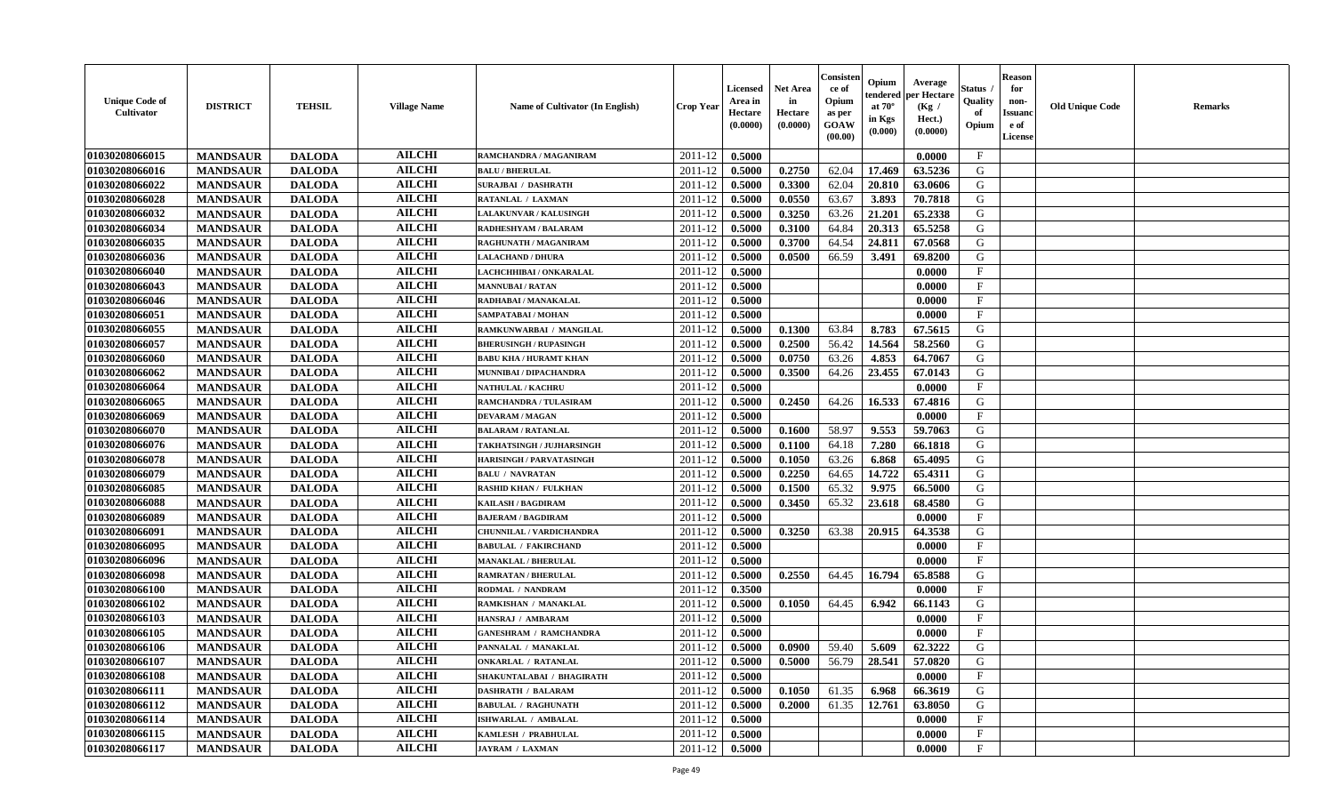| <b>Unique Code of</b><br>Cultivator | <b>DISTRICT</b> | <b>TEHSIL</b> | <b>Village Name</b> | <b>Name of Cultivator (In English)</b> | Crop Year          | Licensed<br>Area in<br>Hectare<br>(0.0000) | <b>Net Area</b><br>in<br>Hectare<br>(0.0000) | Consister<br>ce of<br>Opium<br>as per<br><b>GOAW</b><br>(00.00) | Opium<br>endered<br>at $70^{\circ}$<br>in Kgs<br>(0.000) | Average<br>per Hectare<br>(Kg /<br>Hect.)<br>(0.0000) | Status<br>Quality<br>of<br>Opium | <b>Reason</b><br>for<br>non-<br><b>Issuano</b><br>e of<br>License | <b>Old Unique Code</b> | <b>Remarks</b> |
|-------------------------------------|-----------------|---------------|---------------------|----------------------------------------|--------------------|--------------------------------------------|----------------------------------------------|-----------------------------------------------------------------|----------------------------------------------------------|-------------------------------------------------------|----------------------------------|-------------------------------------------------------------------|------------------------|----------------|
| 01030208066015                      | <b>MANDSAUR</b> | <b>DALODA</b> | <b>AILCHI</b>       | RAMCHANDRA / MAGANIRAM                 | 2011-12            | 0.5000                                     |                                              |                                                                 |                                                          | 0.0000                                                | $\mathbf{F}$                     |                                                                   |                        |                |
| 01030208066016                      | <b>MANDSAUR</b> | <b>DALODA</b> | <b>AILCHI</b>       | <b>BALU / BHERULAL</b>                 | 2011-12            | 0.5000                                     | 0.2750                                       | 62.04                                                           | 17.469                                                   | 63.5236                                               | G                                |                                                                   |                        |                |
| 01030208066022                      | <b>MANDSAUR</b> | <b>DALODA</b> | <b>AILCHI</b>       | <b>SURAJBAI / DASHRATH</b>             | 2011-12            | 0.5000                                     | 0.3300                                       | 62.04                                                           | 20.810                                                   | 63.0606                                               | G                                |                                                                   |                        |                |
| 01030208066028                      | <b>MANDSAUR</b> | <b>DALODA</b> | <b>AILCHI</b>       | RATANLAL / LAXMAN                      | 2011-12            | 0.5000                                     | 0.0550                                       | 63.67                                                           | 3.893                                                    | 70.7818                                               | G                                |                                                                   |                        |                |
| 01030208066032                      | <b>MANDSAUR</b> | <b>DALODA</b> | <b>AILCHI</b>       | <b>LALAKUNVAR / KALUSINGH</b>          | 2011-12            | 0.5000                                     | 0.3250                                       | 63.26                                                           | 21.201                                                   | 65.2338                                               | G                                |                                                                   |                        |                |
| 01030208066034                      | <b>MANDSAUR</b> | <b>DALODA</b> | <b>AILCHI</b>       | <b>RADHESHYAM / BALARAM</b>            | 2011-12            | 0.5000                                     | 0.3100                                       | 64.84                                                           | 20.313                                                   | 65.5258                                               | G                                |                                                                   |                        |                |
| 01030208066035                      | <b>MANDSAUR</b> | <b>DALODA</b> | <b>AILCHI</b>       | RAGHUNATH / MAGANIRAM                  | 2011-12            | 0.5000                                     | 0.3700                                       | 64.54                                                           | 24.811                                                   | 67.0568                                               | G                                |                                                                   |                        |                |
| 01030208066036                      | <b>MANDSAUR</b> | <b>DALODA</b> | <b>AILCHI</b>       | <b>LALACHAND / DHURA</b>               | 2011-12            | 0.5000                                     | 0.0500                                       | 66.59                                                           | 3.491                                                    | 69.8200                                               | G                                |                                                                   |                        |                |
| 01030208066040                      | <b>MANDSAUR</b> | <b>DALODA</b> | <b>AILCHI</b>       | LACHCHHIBAI / ONKARALAL                | 2011-12            | 0.5000                                     |                                              |                                                                 |                                                          | 0.0000                                                | $_{\rm F}$                       |                                                                   |                        |                |
| 01030208066043                      | <b>MANDSAUR</b> | <b>DALODA</b> | <b>AILCHI</b>       | <b>MANNUBAI / RATAN</b>                | 2011-12            | 0.5000                                     |                                              |                                                                 |                                                          | 0.0000                                                | $\mathbf{F}$                     |                                                                   |                        |                |
| 01030208066046                      | <b>MANDSAUR</b> | <b>DALODA</b> | <b>AILCHI</b>       | RADHABAI / MANAKALAL                   | 2011-12            | 0.5000                                     |                                              |                                                                 |                                                          | 0.0000                                                | $\mathbf{F}$                     |                                                                   |                        |                |
| 01030208066051                      | <b>MANDSAUR</b> | <b>DALODA</b> | <b>AILCHI</b>       | SAMPATABAI / MOHAN                     | 2011-12            | 0.5000                                     |                                              |                                                                 |                                                          | 0.0000                                                | $\mathbf{F}$                     |                                                                   |                        |                |
| 01030208066055                      | <b>MANDSAUR</b> | <b>DALODA</b> | <b>AILCHI</b>       | RAMKUNWARBAI / MANGILAL                | 2011-12            | 0.5000                                     | 0.1300                                       | 63.84                                                           | 8.783                                                    | 67.5615                                               | G                                |                                                                   |                        |                |
| 01030208066057                      | <b>MANDSAUR</b> | <b>DALODA</b> | <b>AILCHI</b>       | <b>BHERUSINGH / RUPASINGH</b>          | 2011-12            | 0.5000                                     | 0.2500                                       | 56.42                                                           | 14.564                                                   | 58.2560                                               | G                                |                                                                   |                        |                |
| 01030208066060                      | <b>MANDSAUR</b> | <b>DALODA</b> | <b>AILCHI</b>       | <b>BABU KHA / HURAMT KHAN</b>          | 2011-12            | 0.5000                                     | 0.0750                                       | 63.26                                                           | 4.853                                                    | 64.7067                                               | G                                |                                                                   |                        |                |
| 01030208066062                      | <b>MANDSAUR</b> | <b>DALODA</b> | <b>AILCHI</b>       | MUNNIBAI / DIPACHANDRA                 | 2011-12            | 0.5000                                     | 0.3500                                       | 64.26                                                           | 23.455                                                   | 67.0143                                               | G                                |                                                                   |                        |                |
| 01030208066064                      | <b>MANDSAUR</b> | <b>DALODA</b> | <b>AILCHI</b>       | <b>NATHULAL / KACHRU</b>               | 2011-12            | 0.5000                                     |                                              |                                                                 |                                                          | 0.0000                                                | $\mathbf{F}$                     |                                                                   |                        |                |
| 01030208066065                      | <b>MANDSAUR</b> | <b>DALODA</b> | <b>AILCHI</b>       | RAMCHANDRA / TULASIRAM                 | 2011-12            | 0.5000                                     | 0.2450                                       | 64.26                                                           | 16.533                                                   | 67.4816                                               | G                                |                                                                   |                        |                |
| 01030208066069                      | <b>MANDSAUR</b> | <b>DALODA</b> | <b>AILCHI</b>       | <b>DEVARAM / MAGAN</b>                 | 2011-12            | 0.5000                                     |                                              |                                                                 |                                                          | 0.0000                                                | $\mathbf{F}$                     |                                                                   |                        |                |
| 01030208066070                      | <b>MANDSAUR</b> | <b>DALODA</b> | <b>AILCHI</b>       | <b>BALARAM / RATANLAL</b>              | 2011-12            | 0.5000                                     | 0.1600                                       | 58.97                                                           | 9.553                                                    | 59.7063                                               | G                                |                                                                   |                        |                |
| 01030208066076                      | <b>MANDSAUR</b> | <b>DALODA</b> | <b>AILCHI</b>       | TAKHATSINGH / JUJHARSINGH              | 2011-12            | 0.5000                                     | 0.1100                                       | 64.18                                                           | 7.280                                                    | 66.1818                                               | G                                |                                                                   |                        |                |
| 01030208066078                      | <b>MANDSAUR</b> | <b>DALODA</b> | <b>AILCHI</b>       | <b>HARISINGH / PARVATASINGH</b>        | 2011-12            | 0.5000                                     | 0.1050                                       | 63.26                                                           | 6.868                                                    | 65.4095                                               | G                                |                                                                   |                        |                |
| 01030208066079                      | <b>MANDSAUR</b> | <b>DALODA</b> | <b>AILCHI</b>       | <b>BALU / NAVRATAN</b>                 | 2011-12            | 0.5000                                     | 0.2250                                       | 64.65                                                           | 14.722                                                   | 65.4311                                               | G                                |                                                                   |                        |                |
| 01030208066085                      | <b>MANDSAUR</b> | <b>DALODA</b> | <b>AILCHI</b>       | <b>RASHID KHAN / FULKHAN</b>           | 2011-12            | 0.5000                                     | 0.1500                                       | 65.32                                                           | 9.975                                                    | 66.5000                                               | G                                |                                                                   |                        |                |
| 01030208066088                      | <b>MANDSAUR</b> | <b>DALODA</b> | <b>AILCHI</b>       | KAILASH / BAGDIRAM                     | 2011-12            | 0.5000                                     | 0.3450                                       | 65.32                                                           | 23.618                                                   | 68.4580                                               | G                                |                                                                   |                        |                |
| 01030208066089                      | <b>MANDSAUR</b> | <b>DALODA</b> | <b>AILCHI</b>       | <b>BAJERAM / BAGDIRAM</b>              | 2011-12            | 0.5000                                     |                                              |                                                                 |                                                          | 0.0000                                                | $\mathbf{F}$                     |                                                                   |                        |                |
| 01030208066091                      | <b>MANDSAUR</b> | <b>DALODA</b> | <b>AILCHI</b>       | <b>CHUNNILAL / VARDICHANDRA</b>        | 2011-12            | 0.5000                                     | 0.3250                                       | 63.38                                                           | 20.915                                                   | 64.3538                                               | G                                |                                                                   |                        |                |
| 01030208066095                      | <b>MANDSAUR</b> | <b>DALODA</b> | <b>AILCHI</b>       | <b>BABULAL / FAKIRCHAND</b>            | 2011-12            | 0.5000                                     |                                              |                                                                 |                                                          | 0.0000                                                | $\mathbf{F}$                     |                                                                   |                        |                |
| 01030208066096                      | <b>MANDSAUR</b> | <b>DALODA</b> | <b>AILCHI</b>       | <b>MANAKLAL / BHERULAL</b>             | 2011-12            | 0.5000                                     |                                              |                                                                 |                                                          | 0.0000                                                | $\mathbf F$                      |                                                                   |                        |                |
| 01030208066098                      | <b>MANDSAUR</b> | <b>DALODA</b> | <b>AILCHI</b>       | <b>RAMRATAN / BHERULAL</b>             | 2011-12            | 0.5000                                     | 0.2550                                       | 64.45                                                           | 16.794                                                   | 65.8588                                               | G                                |                                                                   |                        |                |
| 01030208066100                      | <b>MANDSAUR</b> | <b>DALODA</b> | <b>AILCHI</b>       | RODMAL / NANDRAM                       | 2011-12            | 0.3500                                     |                                              |                                                                 |                                                          | 0.0000                                                | $\mathbf F$                      |                                                                   |                        |                |
| 01030208066102                      | <b>MANDSAUR</b> | <b>DALODA</b> | <b>AILCHI</b>       | RAMKISHAN / MANAKLAL                   | 2011-12            | 0.5000                                     | 0.1050                                       | 64.45                                                           | 6.942                                                    | 66.1143                                               | G                                |                                                                   |                        |                |
| 01030208066103                      | <b>MANDSAUR</b> | <b>DALODA</b> | <b>AILCHI</b>       | HANSRAJ / AMBARAM                      | 2011-12            | 0.5000                                     |                                              |                                                                 |                                                          | 0.0000                                                | $\mathbf{F}$                     |                                                                   |                        |                |
| 01030208066105                      | <b>MANDSAUR</b> | <b>DALODA</b> | <b>AILCHI</b>       | <b>GANESHRAM / RAMCHANDRA</b>          | 2011-12            | 0.5000                                     |                                              |                                                                 |                                                          | 0.0000                                                | $_{\rm F}$                       |                                                                   |                        |                |
| 01030208066106                      | <b>MANDSAUR</b> | <b>DALODA</b> | <b>AILCHI</b>       | PANNALAL / MANAKLAL                    | 2011-12            | 0.5000                                     | 0.0900                                       | 59.40                                                           | 5.609                                                    | 62.3222                                               | G                                |                                                                   |                        |                |
| 01030208066107                      | <b>MANDSAUR</b> | <b>DALODA</b> | <b>AILCHI</b>       | <b>ONKARLAL / RATANLAL</b>             | $2011 - 12$ 0.5000 |                                            | 0.5000                                       |                                                                 |                                                          | 56.79   28.541   57.0820                              | G                                |                                                                   |                        |                |
| 01030208066108                      | <b>MANDSAUR</b> | <b>DALODA</b> | <b>AILCHI</b>       | SHAKUNTALABAI / BHAGIRATH              | 2011-12            | 0.5000                                     |                                              |                                                                 |                                                          | 0.0000                                                | $\mathbf{F}$                     |                                                                   |                        |                |
| 01030208066111                      | <b>MANDSAUR</b> | <b>DALODA</b> | <b>AILCHI</b>       | <b>DASHRATH / BALARAM</b>              | 2011-12            | 0.5000                                     | 0.1050                                       | 61.35                                                           | 6.968                                                    | 66.3619                                               | G                                |                                                                   |                        |                |
| 01030208066112                      | <b>MANDSAUR</b> | <b>DALODA</b> | <b>AILCHI</b>       | <b>BABULAL / RAGHUNATH</b>             | 2011-12            | 0.5000                                     | 0.2000                                       | 61.35                                                           | 12.761                                                   | 63.8050                                               | G                                |                                                                   |                        |                |
| 01030208066114                      | <b>MANDSAUR</b> | <b>DALODA</b> | <b>AILCHI</b>       | <b>ISHWARLAL / AMBALAL</b>             | 2011-12            | 0.5000                                     |                                              |                                                                 |                                                          | 0.0000                                                | $\mathbf{F}$                     |                                                                   |                        |                |
| 01030208066115                      | <b>MANDSAUR</b> | <b>DALODA</b> | <b>AILCHI</b>       | <b>KAMLESH / PRABHULAL</b>             | 2011-12            | 0.5000                                     |                                              |                                                                 |                                                          | 0.0000                                                | $\mathbf{F}$                     |                                                                   |                        |                |
| 01030208066117                      | <b>MANDSAUR</b> | <b>DALODA</b> | <b>AILCHI</b>       | <b>JAYRAM / LAXMAN</b>                 | 2011-12            | 0.5000                                     |                                              |                                                                 |                                                          | 0.0000                                                | $\mathbf{F}$                     |                                                                   |                        |                |
|                                     |                 |               |                     |                                        |                    |                                            |                                              |                                                                 |                                                          |                                                       |                                  |                                                                   |                        |                |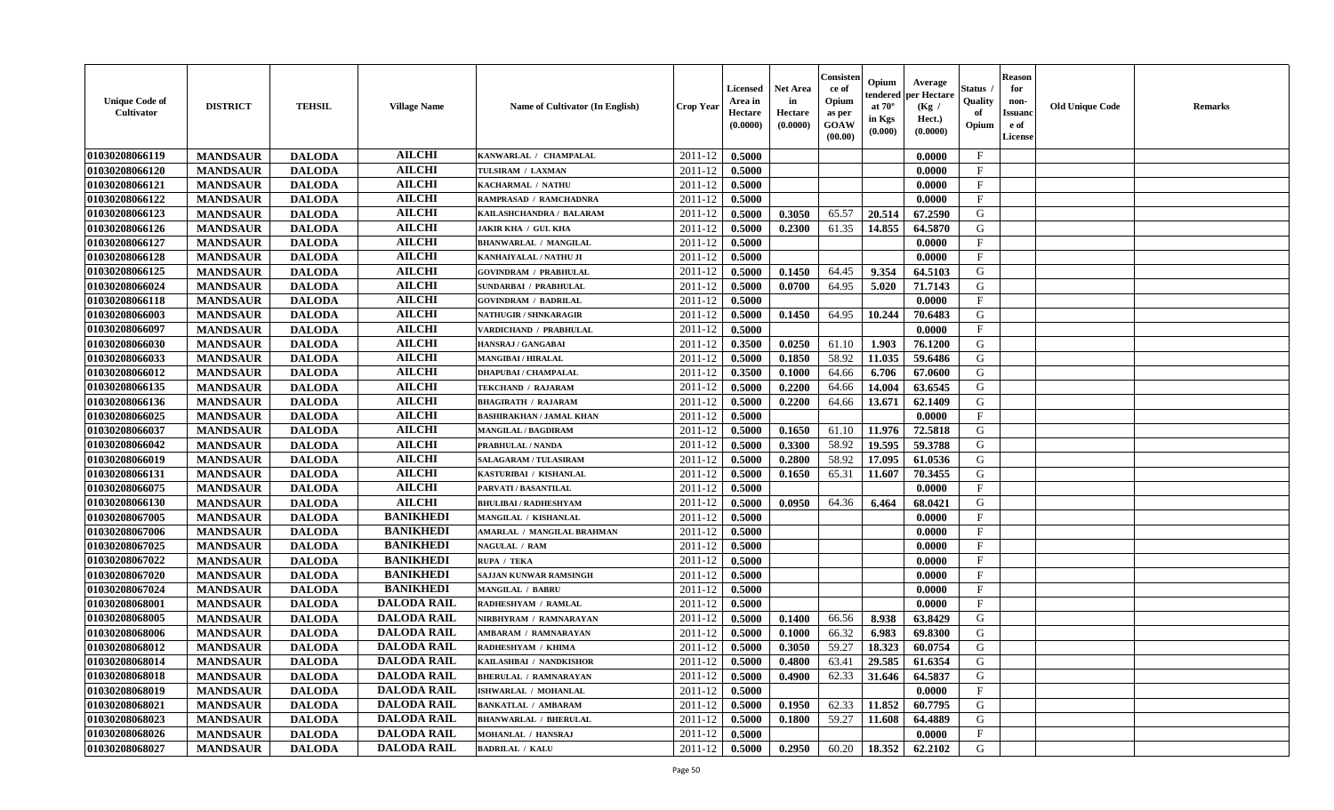| <b>Unique Code of</b><br><b>Cultivator</b> | <b>DISTRICT</b> | <b>TEHSIL</b> | <b>Village Name</b> | Name of Cultivator (In English) | <b>Crop Year</b> | <b>Licensed</b><br>Area in<br>Hectare<br>(0.0000) | <b>Net Area</b><br>in<br>Hectare<br>(0.0000) | Consisten<br>ce of<br>Opium<br>as per<br><b>GOAW</b><br>(00.00) | Opium<br>endered<br>at $70^\circ$<br>in Kgs<br>(0.000) | Average<br>per Hectare<br>(Kg /<br>Hect.)<br>(0.0000) | Status ,<br>Quality<br>of<br>Opium | <b>Reason</b><br>for<br>non-<br><b>Issuanc</b><br>e of<br><b>License</b> | <b>Old Unique Code</b> | <b>Remarks</b> |
|--------------------------------------------|-----------------|---------------|---------------------|---------------------------------|------------------|---------------------------------------------------|----------------------------------------------|-----------------------------------------------------------------|--------------------------------------------------------|-------------------------------------------------------|------------------------------------|--------------------------------------------------------------------------|------------------------|----------------|
| 01030208066119                             | <b>MANDSAUR</b> | <b>DALODA</b> | <b>AILCHI</b>       | KANWARLAL / CHAMPALAL           | 2011-12          | 0.5000                                            |                                              |                                                                 |                                                        | 0.0000                                                | $\mathbf{F}$                       |                                                                          |                        |                |
| 01030208066120                             | <b>MANDSAUR</b> | <b>DALODA</b> | <b>AILCHI</b>       | TULSIRAM / LAXMAN               | 2011-12          | 0.5000                                            |                                              |                                                                 |                                                        | 0.0000                                                | $\mathbf{F}$                       |                                                                          |                        |                |
| 01030208066121                             | <b>MANDSAUR</b> | <b>DALODA</b> | <b>AILCHI</b>       | KACHARMAL / NATHU               | 2011-12          | 0.5000                                            |                                              |                                                                 |                                                        | 0.0000                                                | $\mathbf{F}$                       |                                                                          |                        |                |
| 01030208066122                             | <b>MANDSAUR</b> | <b>DALODA</b> | <b>AILCHI</b>       | RAMPRASAD / RAMCHADNRA          | 2011-12          | 0.5000                                            |                                              |                                                                 |                                                        | 0.0000                                                | $\mathbf{F}$                       |                                                                          |                        |                |
| 01030208066123                             | <b>MANDSAUR</b> | <b>DALODA</b> | <b>AILCHI</b>       | KAILASHCHANDRA / BALARAM        | 2011-12          | 0.5000                                            | 0.3050                                       | 65.57                                                           | 20.514                                                 | 67.2590                                               | G                                  |                                                                          |                        |                |
| 01030208066126                             | <b>MANDSAUR</b> | <b>DALODA</b> | <b>AILCHI</b>       | <b>JAKIR KHA / GUL KHA</b>      | 2011-12          | 0.5000                                            | 0.2300                                       | 61.35                                                           | 14.855                                                 | 64.5870                                               | G                                  |                                                                          |                        |                |
| 01030208066127                             | <b>MANDSAUR</b> | <b>DALODA</b> | <b>AILCHI</b>       | <b>BHANWARLAL / MANGILAL</b>    | 2011-12          | 0.5000                                            |                                              |                                                                 |                                                        | 0.0000                                                | $\mathbf{F}$                       |                                                                          |                        |                |
| 01030208066128                             | <b>MANDSAUR</b> | <b>DALODA</b> | <b>AILCHI</b>       | KANHAIYALAL / NATHU JI          | 2011-12          | 0.5000                                            |                                              |                                                                 |                                                        | 0.0000                                                | $\mathbf{F}$                       |                                                                          |                        |                |
| 01030208066125                             | <b>MANDSAUR</b> | <b>DALODA</b> | <b>AILCHI</b>       | <b>GOVINDRAM / PRABHULAL</b>    | 2011-12          | 0.5000                                            | 0.1450                                       | 64.45                                                           | 9.354                                                  | 64.5103                                               | G                                  |                                                                          |                        |                |
| 01030208066024                             | <b>MANDSAUR</b> | <b>DALODA</b> | <b>AILCHI</b>       | <b>SUNDARBAI / PRABHULAL</b>    | 2011-12          | 0.5000                                            | 0.0700                                       | 64.95                                                           | 5.020                                                  | 71.7143                                               | G                                  |                                                                          |                        |                |
| 01030208066118                             | <b>MANDSAUR</b> | <b>DALODA</b> | <b>AILCHI</b>       | <b>GOVINDRAM / BADRILAL</b>     | 2011-12          | 0.5000                                            |                                              |                                                                 |                                                        | 0.0000                                                | $\mathbf{F}$                       |                                                                          |                        |                |
| 01030208066003                             | <b>MANDSAUR</b> | <b>DALODA</b> | <b>AILCHI</b>       | <b>NATHUGIR / SHNKARAGIR</b>    | 2011-12          | 0.5000                                            | 0.1450                                       | 64.95                                                           | 10.244                                                 | 70.6483                                               | G                                  |                                                                          |                        |                |
| 01030208066097                             | <b>MANDSAUR</b> | <b>DALODA</b> | <b>AILCHI</b>       | VARDICHAND / PRABHULAL          | 2011-12          | 0.5000                                            |                                              |                                                                 |                                                        | 0.0000                                                | $\mathbf{F}$                       |                                                                          |                        |                |
| 01030208066030                             | <b>MANDSAUR</b> | <b>DALODA</b> | <b>AILCHI</b>       | HANSRAJ / GANGABAI              | 2011-12          | 0.3500                                            | 0.0250                                       | 61.10                                                           | 1.903                                                  | 76.1200                                               | G                                  |                                                                          |                        |                |
| 01030208066033                             | <b>MANDSAUR</b> | <b>DALODA</b> | <b>AILCHI</b>       | <b>MANGIBAI / HIRALAL</b>       | 2011-12          | 0.5000                                            | 0.1850                                       | 58.92                                                           | 11.035                                                 | 59.6486                                               | G                                  |                                                                          |                        |                |
| 01030208066012                             | <b>MANDSAUR</b> | <b>DALODA</b> | <b>AILCHI</b>       | <b>DHAPUBAI/CHAMPALAL</b>       | 2011-12          | 0.3500                                            | 0.1000                                       | 64.66                                                           | 6.706                                                  | 67.0600                                               | G                                  |                                                                          |                        |                |
| 01030208066135                             | <b>MANDSAUR</b> | <b>DALODA</b> | <b>AILCHI</b>       | TEKCHAND / RAJARAM              | 2011-12          | 0.5000                                            | 0.2200                                       | 64.66                                                           | 14.004                                                 | 63.6545                                               | G                                  |                                                                          |                        |                |
| 01030208066136                             | <b>MANDSAUR</b> | <b>DALODA</b> | <b>AILCHI</b>       | <b>BHAGIRATH / RAJARAM</b>      | 2011-12          | 0.5000                                            | 0.2200                                       | 64.66                                                           | 13.671                                                 | 62.1409                                               | G                                  |                                                                          |                        |                |
| 01030208066025                             | <b>MANDSAUR</b> | <b>DALODA</b> | <b>AILCHI</b>       | <b>BASHIRAKHAN / JAMAL KHAN</b> | 2011-12          | 0.5000                                            |                                              |                                                                 |                                                        | 0.0000                                                | $\mathbf F$                        |                                                                          |                        |                |
| 01030208066037                             | <b>MANDSAUR</b> | <b>DALODA</b> | <b>AILCHI</b>       | <b>MANGILAL / BAGDIRAM</b>      | 2011-12          | 0.5000                                            | 0.1650                                       | 61.10                                                           | 11.976                                                 | 72.5818                                               | G                                  |                                                                          |                        |                |
| 01030208066042                             | <b>MANDSAUR</b> | <b>DALODA</b> | <b>AILCHI</b>       | <b>PRABHULAL / NANDA</b>        | 2011-12          | 0.5000                                            | 0.3300                                       | 58.92                                                           | 19.595                                                 | 59.3788                                               | G                                  |                                                                          |                        |                |
| 01030208066019                             | <b>MANDSAUR</b> | <b>DALODA</b> | <b>AILCHI</b>       | <b>SALAGARAM / TULASIRAM</b>    | 2011-12          | 0.5000                                            | 0.2800                                       | 58.92                                                           | 17.095                                                 | 61.0536                                               | G                                  |                                                                          |                        |                |
| 01030208066131                             | <b>MANDSAUR</b> | <b>DALODA</b> | <b>AILCHI</b>       | KASTURIBAI / KISHANLAL          | 2011-12          | 0.5000                                            | 0.1650                                       | 65.31                                                           | 11.607                                                 | 70.3455                                               | G                                  |                                                                          |                        |                |
| 01030208066075                             | <b>MANDSAUR</b> | <b>DALODA</b> | <b>AILCHI</b>       | PARVATI / BASANTILAL            | 2011-12          | 0.5000                                            |                                              |                                                                 |                                                        | 0.0000                                                | $\mathbf{F}$                       |                                                                          |                        |                |
| 01030208066130                             | <b>MANDSAUR</b> | <b>DALODA</b> | <b>AILCHI</b>       | <b>BHULIBAI / RADHESHYAM</b>    | 2011-12          | 0.5000                                            | 0.0950                                       | 64.36                                                           | 6.464                                                  | 68.0421                                               | G                                  |                                                                          |                        |                |
| 01030208067005                             | <b>MANDSAUR</b> | <b>DALODA</b> | <b>BANIKHEDI</b>    | MANGILAL / KISHANLAL            | 2011-12          | 0.5000                                            |                                              |                                                                 |                                                        | 0.0000                                                | $\mathbf{F}$                       |                                                                          |                        |                |
| 01030208067006                             | <b>MANDSAUR</b> | <b>DALODA</b> | <b>BANIKHEDI</b>    | AMARLAL / MANGILAL BRAHMAN      | 2011-12          | 0.5000                                            |                                              |                                                                 |                                                        | 0.0000                                                | $\mathbf{F}$                       |                                                                          |                        |                |
| 01030208067025                             | <b>MANDSAUR</b> | <b>DALODA</b> | <b>BANIKHEDI</b>    | <b>NAGULAL / RAM</b>            | 2011-12          | 0.5000                                            |                                              |                                                                 |                                                        | 0.0000                                                | $\mathbf{F}$                       |                                                                          |                        |                |
| 01030208067022                             | <b>MANDSAUR</b> | <b>DALODA</b> | <b>BANIKHEDI</b>    | RUPA / TEKA                     | 2011-12          | 0.5000                                            |                                              |                                                                 |                                                        | 0.0000                                                | $\mathbf{F}$                       |                                                                          |                        |                |
| 01030208067020                             | <b>MANDSAUR</b> | <b>DALODA</b> | <b>BANIKHEDI</b>    | <b>SAJJAN KUNWAR RAMSINGH</b>   | 2011-12          | 0.5000                                            |                                              |                                                                 |                                                        | 0.0000                                                | $\mathbf{F}$                       |                                                                          |                        |                |
| 01030208067024                             | <b>MANDSAUR</b> | <b>DALODA</b> | <b>BANIKHEDI</b>    | <b>MANGILAL / BABRU</b>         | 2011-12          | 0.5000                                            |                                              |                                                                 |                                                        | 0.0000                                                | $\mathbf{F}$                       |                                                                          |                        |                |
| 01030208068001                             | <b>MANDSAUR</b> | <b>DALODA</b> | <b>DALODA RAIL</b>  | RADHESHYAM / RAMLAL             | 2011-12          | 0.5000                                            |                                              |                                                                 |                                                        | 0.0000                                                | $\mathbf F$                        |                                                                          |                        |                |
| 01030208068005                             | <b>MANDSAUR</b> | <b>DALODA</b> | <b>DALODA RAIL</b>  | NIRBHYRAM / RAMNARAYAN          | 2011-12          | 0.5000                                            | 0.1400                                       | 66.56                                                           | 8.938                                                  | 63.8429                                               | G                                  |                                                                          |                        |                |
| 01030208068006                             | <b>MANDSAUR</b> | <b>DALODA</b> | <b>DALODA RAIL</b>  | AMBARAM / RAMNARAYAN            | 2011-12          | 0.5000                                            | 0.1000                                       | 66.32                                                           | 6.983                                                  | 69.8300                                               | G                                  |                                                                          |                        |                |
| 01030208068012                             | <b>MANDSAUR</b> | <b>DALODA</b> | <b>DALODA RAIL</b>  | RADHESHYAM / KHIMA              | 2011-12          | 0.5000                                            | 0.3050                                       | 59.27                                                           | 18.323                                                 | 60.0754                                               | G                                  |                                                                          |                        |                |
| 01030208068014                             | <b>MANDSAUR</b> | <b>DALODA</b> | <b>DALODA RAIL</b>  | KAILASHBAI / NANDKISHOR         | 2011-12          | 0.5000                                            | 0.4800                                       | 63.41                                                           | 29.585                                                 | 61.6354                                               | G                                  |                                                                          |                        |                |
| 01030208068018                             | <b>MANDSAUR</b> | <b>DALODA</b> | <b>DALODA RAIL</b>  | <b>BHERULAL / RAMNARAYAN</b>    | 2011-12          | 0.5000                                            | 0.4900                                       | 62.33                                                           | 31.646                                                 | 64.5837                                               | G                                  |                                                                          |                        |                |
| 01030208068019                             | <b>MANDSAUR</b> | <b>DALODA</b> | <b>DALODA RAIL</b>  | ISHWARLAL / MOHANLAL            | 2011-12          | 0.5000                                            |                                              |                                                                 |                                                        | 0.0000                                                | $\mathbf{F}$                       |                                                                          |                        |                |
| 01030208068021                             | <b>MANDSAUR</b> | <b>DALODA</b> | <b>DALODA RAIL</b>  | <b>BANKATLAL / AMBARAM</b>      | 2011-12          | 0.5000                                            | 0.1950                                       | 62.33                                                           | 11.852                                                 | 60.7795                                               | G                                  |                                                                          |                        |                |
| 01030208068023                             | <b>MANDSAUR</b> | <b>DALODA</b> | <b>DALODA RAIL</b>  | <b>BHANWARLAL / BHERULAL</b>    | 2011-12          | 0.5000                                            | 0.1800                                       | 59.27                                                           | 11.608                                                 | 64.4889                                               | ${\bf G}$                          |                                                                          |                        |                |
| 01030208068026                             | <b>MANDSAUR</b> | <b>DALODA</b> | <b>DALODA RAIL</b>  | MOHANLAL / HANSRAJ              | 2011-12          | 0.5000                                            |                                              |                                                                 |                                                        | 0.0000                                                | $\mathbf{F}$                       |                                                                          |                        |                |
| 01030208068027                             | <b>MANDSAUR</b> | <b>DALODA</b> | <b>DALODA RAIL</b>  | <b>BADRILAL / KALU</b>          | 2011-12          | 0.5000                                            | 0.2950                                       | 60.20                                                           | 18.352                                                 | 62.2102                                               | G                                  |                                                                          |                        |                |
|                                            |                 |               |                     |                                 |                  |                                                   |                                              |                                                                 |                                                        |                                                       |                                    |                                                                          |                        |                |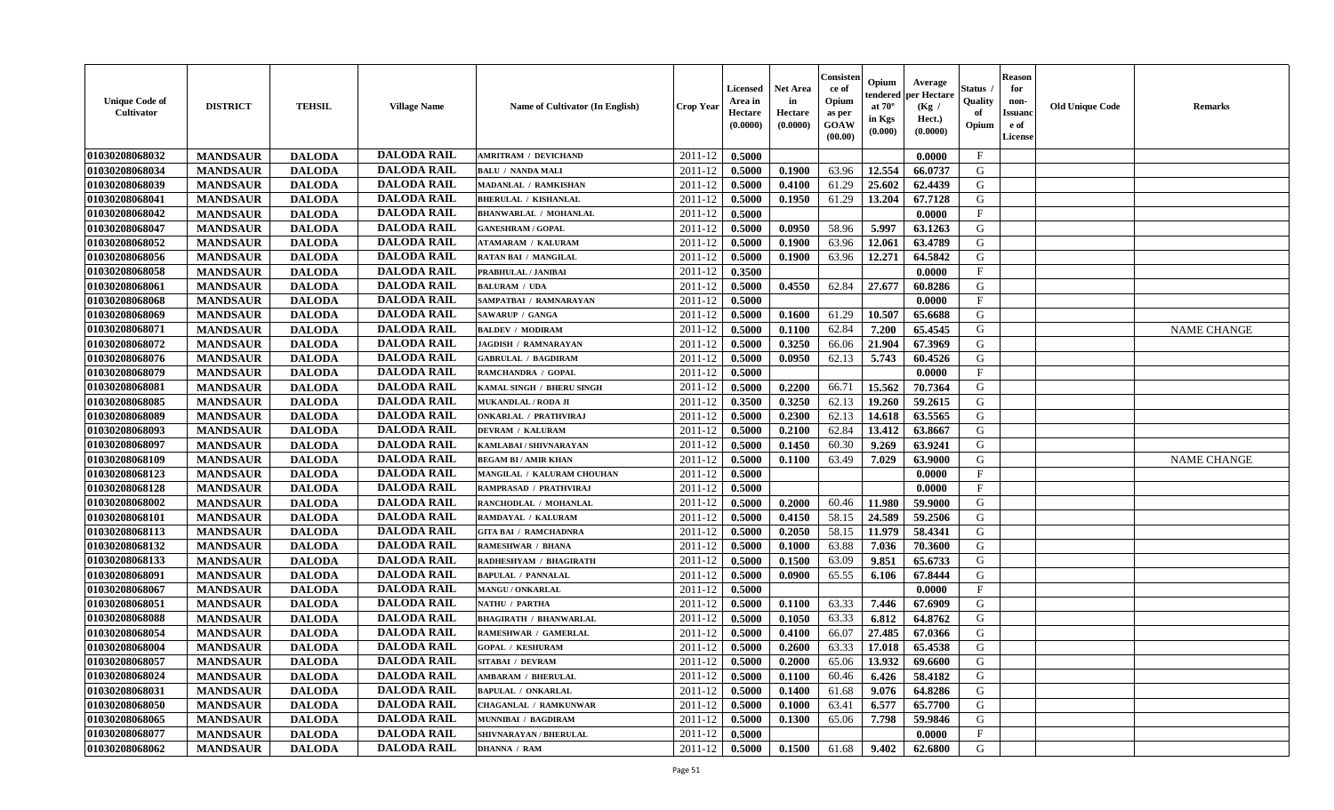| <b>Unique Code of</b><br><b>Cultivator</b> | <b>DISTRICT</b> | <b>TEHSIL</b> | <b>Village Name</b> | Name of Cultivator (In English) | <b>Crop Year</b> | <b>Licensed</b><br>Area in<br>Hectare<br>(0.0000) | <b>Net Area</b><br>in<br>Hectare<br>(0.0000) | Consister<br>ce of<br>Opium<br>as per<br>GOAW<br>(00.00) | Opium<br>endered<br>at $70^\circ$<br>in Kgs<br>(0.000) | Average<br>per Hectare<br>(Kg /<br>Hect.)<br>(0.0000) | Status<br>Quality<br>of<br>Opium | <b>Reason</b><br>for<br>non-<br><b>Issuand</b><br>e of<br>License | <b>Old Unique Code</b> | <b>Remarks</b>     |
|--------------------------------------------|-----------------|---------------|---------------------|---------------------------------|------------------|---------------------------------------------------|----------------------------------------------|----------------------------------------------------------|--------------------------------------------------------|-------------------------------------------------------|----------------------------------|-------------------------------------------------------------------|------------------------|--------------------|
| 01030208068032                             | <b>MANDSAUR</b> | <b>DALODA</b> | <b>DALODA RAIL</b>  | <b>AMRITRAM / DEVICHAND</b>     | 2011-12          | 0.5000                                            |                                              |                                                          |                                                        | 0.0000                                                | $\mathbf{F}$                     |                                                                   |                        |                    |
| 01030208068034                             | <b>MANDSAUR</b> | <b>DALODA</b> | <b>DALODA RAIL</b>  | <b>BALU / NANDA MALI</b>        | 2011-12          | 0.5000                                            | 0.1900                                       | 63.96                                                    | 12.554                                                 | 66.0737                                               | G                                |                                                                   |                        |                    |
| 01030208068039                             | <b>MANDSAUR</b> | <b>DALODA</b> | <b>DALODA RAIL</b>  | MADANLAL / RAMKISHAN            | 2011-12          | 0.5000                                            | 0.4100                                       | 61.29                                                    | 25.602                                                 | 62.4439                                               | G                                |                                                                   |                        |                    |
| 01030208068041                             | <b>MANDSAUR</b> | <b>DALODA</b> | <b>DALODA RAIL</b>  | <b>BHERULAL / KISHANLAL</b>     | 2011-12          | 0.5000                                            | 0.1950                                       | 61.29                                                    | 13.204                                                 | 67.7128                                               | G                                |                                                                   |                        |                    |
| 01030208068042                             | <b>MANDSAUR</b> | <b>DALODA</b> | <b>DALODA RAIL</b>  | <b>BHANWARLAL / MOHANLAL</b>    | 2011-12          | 0.5000                                            |                                              |                                                          |                                                        | 0.0000                                                | $\mathbf{F}$                     |                                                                   |                        |                    |
| 01030208068047                             | <b>MANDSAUR</b> | <b>DALODA</b> | <b>DALODA RAIL</b>  | <b>GANESHRAM / GOPAL</b>        | 2011-12          | 0.5000                                            | 0.0950                                       | 58.96                                                    | 5.997                                                  | 63.1263                                               | G                                |                                                                   |                        |                    |
| 01030208068052                             | <b>MANDSAUR</b> | <b>DALODA</b> | <b>DALODA RAIL</b>  | <b>ATAMARAM / KALURAM</b>       | 2011-12          | 0.5000                                            | 0.1900                                       | 63.96                                                    | 12.061                                                 | 63.4789                                               | G                                |                                                                   |                        |                    |
| 01030208068056                             | <b>MANDSAUR</b> | <b>DALODA</b> | <b>DALODA RAIL</b>  | <b>RATAN BAI / MANGILAL</b>     | 2011-12          | 0.5000                                            | 0.1900                                       | 63.96                                                    | 12,271                                                 | 64.5842                                               | G                                |                                                                   |                        |                    |
| 01030208068058                             | <b>MANDSAUR</b> | <b>DALODA</b> | <b>DALODA RAIL</b>  | PRABHULAL / JANIBAI             | 2011-12          | 0.3500                                            |                                              |                                                          |                                                        | 0.0000                                                | $\mathbf{F}$                     |                                                                   |                        |                    |
| 01030208068061                             | <b>MANDSAUR</b> | <b>DALODA</b> | <b>DALODA RAIL</b>  | <b>BALURAM / UDA</b>            | 2011-12          | 0.5000                                            | 0.4550                                       | 62.84                                                    | 27.677                                                 | 60.8286                                               | G                                |                                                                   |                        |                    |
| 01030208068068                             | <b>MANDSAUR</b> | <b>DALODA</b> | <b>DALODA RAIL</b>  | SAMPATBAI / RAMNARAYAN          | 2011-12          | 0.5000                                            |                                              |                                                          |                                                        | 0.0000                                                | F                                |                                                                   |                        |                    |
| 01030208068069                             | <b>MANDSAUR</b> | <b>DALODA</b> | <b>DALODA RAIL</b>  | SAWARUP / GANGA                 | 2011-12          | 0.5000                                            | 0.1600                                       | 61.29                                                    | 10.507                                                 | 65.6688                                               | G                                |                                                                   |                        |                    |
| 01030208068071                             | <b>MANDSAUR</b> | <b>DALODA</b> | <b>DALODA RAIL</b>  | <b>BALDEV / MODIRAM</b>         | 2011-12          | 0.5000                                            | 0.1100                                       | 62.84                                                    | 7.200                                                  | 65.4545                                               | G                                |                                                                   |                        | <b>NAME CHANGE</b> |
| 01030208068072                             | <b>MANDSAUR</b> | <b>DALODA</b> | <b>DALODA RAIL</b>  | <b>JAGDISH / RAMNARAYAN</b>     | 2011-12          | 0.5000                                            | 0.3250                                       | 66.06                                                    | 21.904                                                 | 67.3969                                               | G                                |                                                                   |                        |                    |
| 01030208068076                             | <b>MANDSAUR</b> | <b>DALODA</b> | <b>DALODA RAIL</b>  | <b>GABRULAL / BAGDIRAM</b>      | 2011-12          | 0.5000                                            | 0.0950                                       | 62.13                                                    | 5.743                                                  | 60.4526                                               | G                                |                                                                   |                        |                    |
| 01030208068079                             | <b>MANDSAUR</b> | <b>DALODA</b> | <b>DALODA RAIL</b>  | RAMCHANDRA / GOPAL              | 2011-12          | 0.5000                                            |                                              |                                                          |                                                        | 0.0000                                                | $\rm F$                          |                                                                   |                        |                    |
| 01030208068081                             | <b>MANDSAUR</b> | <b>DALODA</b> | <b>DALODA RAIL</b>  | KAMAL SINGH / BHERU SINGH       | 2011-12          | 0.5000                                            | 0.2200                                       | 66.71                                                    | 15.562                                                 | 70.7364                                               | G                                |                                                                   |                        |                    |
| 01030208068085                             | <b>MANDSAUR</b> | <b>DALODA</b> | <b>DALODA RAIL</b>  | <b>MUKANDLAL / RODA JI</b>      | 2011-12          | 0.3500                                            | 0.3250                                       | 62.13                                                    | 19.260                                                 | 59.2615                                               | G                                |                                                                   |                        |                    |
| 01030208068089                             | <b>MANDSAUR</b> | <b>DALODA</b> | <b>DALODA RAIL</b>  | <b>ONKARLAL / PRATHVIRAJ</b>    | 2011-12          | 0.5000                                            | 0.2300                                       | 62.13                                                    | 14.618                                                 | 63.5565                                               | G                                |                                                                   |                        |                    |
| 01030208068093                             | <b>MANDSAUR</b> | <b>DALODA</b> | <b>DALODA RAIL</b>  | <b>DEVRAM / KALURAM</b>         | 2011-12          | 0.5000                                            | 0.2100                                       | 62.84                                                    | 13.412                                                 | 63.8667                                               | G                                |                                                                   |                        |                    |
| 01030208068097                             | <b>MANDSAUR</b> | <b>DALODA</b> | <b>DALODA RAIL</b>  | KAMLABAI / SHIVNARAYAN          | $2011 - 12$      | 0.5000                                            | 0.1450                                       | 60.30                                                    | 9.269                                                  | 63.9241                                               | G                                |                                                                   |                        |                    |
| 01030208068109                             | <b>MANDSAUR</b> | <b>DALODA</b> | <b>DALODA RAIL</b>  | <b>BEGAM BI/AMIR KHAN</b>       | 2011-12          | 0.5000                                            | 0.1100                                       | 63.49                                                    | 7.029                                                  | 63.9000                                               | G                                |                                                                   |                        | <b>NAME CHANGE</b> |
| 01030208068123                             | <b>MANDSAUR</b> | <b>DALODA</b> | <b>DALODA RAIL</b>  | MANGILAL / KALURAM CHOUHAN      | 2011-12          | 0.5000                                            |                                              |                                                          |                                                        | 0.0000                                                | $\mathbf{F}$                     |                                                                   |                        |                    |
| 01030208068128                             | <b>MANDSAUR</b> | <b>DALODA</b> | <b>DALODA RAIL</b>  | RAMPRASAD / PRATHVIRAJ          | 2011-12          | 0.5000                                            |                                              |                                                          |                                                        | 0.0000                                                | $\mathbf{F}$                     |                                                                   |                        |                    |
| 01030208068002                             | <b>MANDSAUR</b> | <b>DALODA</b> | <b>DALODA RAIL</b>  | RANCHODLAL / MOHANLAL           | 2011-12          | 0.5000                                            | 0.2000                                       | 60.46                                                    | 11.980                                                 | 59.9000                                               | G                                |                                                                   |                        |                    |
| 01030208068101                             | <b>MANDSAUR</b> | <b>DALODA</b> | <b>DALODA RAIL</b>  | RAMDAYAL / KALURAM              | $2011 - 12$      | 0.5000                                            | 0.4150                                       | 58.15                                                    | 24.589                                                 | 59.2506                                               | G                                |                                                                   |                        |                    |
| 01030208068113                             | <b>MANDSAUR</b> | <b>DALODA</b> | <b>DALODA RAIL</b>  | <b>GITA BAI / RAMCHADNRA</b>    | 2011-12          | 0.5000                                            | 0.2050                                       | 58.15                                                    | 11.979                                                 | 58.4341                                               | G                                |                                                                   |                        |                    |
| 01030208068132                             | <b>MANDSAUR</b> | <b>DALODA</b> | <b>DALODA RAIL</b>  | <b>RAMESHWAR / BHANA</b>        | 2011-12          | 0.5000                                            | 0.1000                                       | 63.88                                                    | 7.036                                                  | 70.3600                                               | G                                |                                                                   |                        |                    |
| 01030208068133                             | <b>MANDSAUR</b> | <b>DALODA</b> | <b>DALODA RAIL</b>  | RADHESHYAM / BHAGIRATH          | 2011-12          | 0.5000                                            | 0.1500                                       | 63.09                                                    | 9.851                                                  | 65.6733                                               | G                                |                                                                   |                        |                    |
| 01030208068091                             | <b>MANDSAUR</b> | <b>DALODA</b> | <b>DALODA RAIL</b>  | <b>BAPULAL / PANNALAL</b>       | 2011-12          | 0.5000                                            | 0.0900                                       | 65.55                                                    | 6.106                                                  | 67.8444                                               | G                                |                                                                   |                        |                    |
| 01030208068067                             | <b>MANDSAUR</b> | <b>DALODA</b> | <b>DALODA RAIL</b>  | MANGU / ONKARLAL                | 2011-12          | 0.5000                                            |                                              |                                                          |                                                        | 0.0000                                                | $\mathbf F$                      |                                                                   |                        |                    |
| 01030208068051                             | <b>MANDSAUR</b> | <b>DALODA</b> | <b>DALODA RAIL</b>  | NATHU / PARTHA                  | 2011-12          | 0.5000                                            | 0.1100                                       | 63.33                                                    | 7.446                                                  | 67.6909                                               | G                                |                                                                   |                        |                    |
| 01030208068088                             | <b>MANDSAUR</b> | <b>DALODA</b> | <b>DALODA RAIL</b>  | <b>BHAGIRATH / BHANWARLAL</b>   | 2011-12          | 0.5000                                            | 0.1050                                       | 63.33                                                    | 6.812                                                  | 64.8762                                               | G                                |                                                                   |                        |                    |
| 01030208068054                             | <b>MANDSAUR</b> | <b>DALODA</b> | <b>DALODA RAIL</b>  | RAMESHWAR / GAMERLAL            | 2011-12          | 0.5000                                            | 0.4100                                       | 66.07                                                    | 27.485                                                 | 67.0366                                               | G                                |                                                                   |                        |                    |
| 01030208068004                             | <b>MANDSAUR</b> | <b>DALODA</b> | <b>DALODA RAIL</b>  | <b>GOPAL / KESHURAM</b>         | 2011-12          | 0.5000                                            | 0.2600                                       | 63.33                                                    | 17.018                                                 | 65.4538                                               | G                                |                                                                   |                        |                    |
| 01030208068057                             | <b>MANDSAUR</b> | <b>DALODA</b> | <b>DALODA RAIL</b>  | SITABAI / DEVRAM                | 2011-12          | 0.5000                                            | 0.2000                                       | 65.06                                                    | 13.932                                                 | 69.6600                                               | G                                |                                                                   |                        |                    |
| 01030208068024                             | <b>MANDSAUR</b> | <b>DALODA</b> | <b>DALODA RAIL</b>  | <b>AMBARAM / BHERULAL</b>       | 2011-12          | 0.5000                                            | 0.1100                                       | 60.46                                                    | 6.426                                                  | 58.4182                                               | G                                |                                                                   |                        |                    |
| 01030208068031                             | <b>MANDSAUR</b> | <b>DALODA</b> | <b>DALODA RAIL</b>  | <b>BAPULAL / ONKARLAL</b>       | 2011-12          | 0.5000                                            | 0.1400                                       | 61.68                                                    | 9.076                                                  | 64.8286                                               | G                                |                                                                   |                        |                    |
| 01030208068050                             | <b>MANDSAUR</b> | <b>DALODA</b> | <b>DALODA RAIL</b>  | CHAGANLAL / RAMKUNWAR           | 2011-12          | 0.5000                                            | 0.1000                                       | 63.41                                                    | 6.577                                                  | 65.7700                                               | G                                |                                                                   |                        |                    |
| 01030208068065                             | <b>MANDSAUR</b> | <b>DALODA</b> | <b>DALODA RAIL</b>  | MUNNIBAI / BAGDIRAM             | 2011-12          | 0.5000                                            | 0.1300                                       | 65.06                                                    | 7.798                                                  | 59.9846                                               | G                                |                                                                   |                        |                    |
| 01030208068077                             | <b>MANDSAUR</b> | <b>DALODA</b> | <b>DALODA RAIL</b>  | SHIVNARAYAN / BHERULAL          | 2011-12          | 0.5000                                            |                                              |                                                          |                                                        | 0.0000                                                | $\mathbf{F}$                     |                                                                   |                        |                    |
| 01030208068062                             | <b>MANDSAUR</b> | <b>DALODA</b> | <b>DALODA RAIL</b>  | <b>DHANNA / RAM</b>             | 2011-12          | 0.5000                                            | 0.1500                                       | 61.68                                                    | 9.402                                                  | 62.6800                                               | G                                |                                                                   |                        |                    |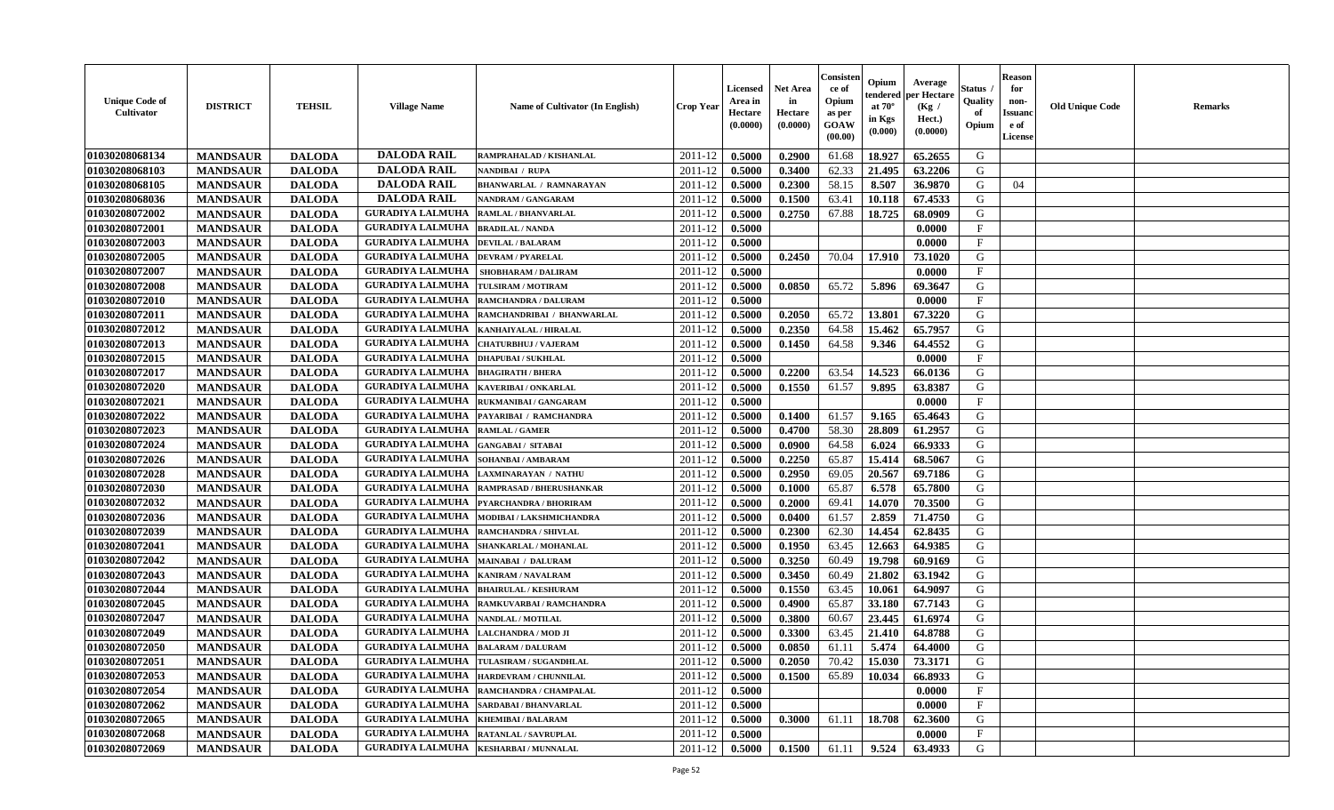| <b>Unique Code of</b><br>Cultivator | <b>DISTRICT</b> | <b>TEHSIL</b> | <b>Village Name</b>     | <b>Name of Cultivator (In English)</b>    | Crop Year        | Licensed<br>Area in<br>Hectare<br>(0.0000) | <b>Net Area</b><br>in<br>Hectare<br>(0.0000) | Consister<br>ce of<br>Opium<br>as per<br>GOAW<br>(00.00) | Opium<br>endered<br>at $70^{\circ}$<br>in Kgs<br>$(\mathbf{0.000})$ | Average<br>per Hectare<br>(Kg /<br>Hect.)<br>(0.0000) | Status<br>Quality<br>of<br>Opium | <b>Reason</b><br>for<br>non-<br><b>Issuano</b><br>e of<br>License | <b>Old Unique Code</b> | <b>Remarks</b> |
|-------------------------------------|-----------------|---------------|-------------------------|-------------------------------------------|------------------|--------------------------------------------|----------------------------------------------|----------------------------------------------------------|---------------------------------------------------------------------|-------------------------------------------------------|----------------------------------|-------------------------------------------------------------------|------------------------|----------------|
| 01030208068134                      | <b>MANDSAUR</b> | <b>DALODA</b> | <b>DALODA RAIL</b>      | RAMPRAHALAD / KISHANLAL                   | 2011-12          | 0.5000                                     | 0.2900                                       | 61.68                                                    | 18.927                                                              | 65.2655                                               | G                                |                                                                   |                        |                |
| 01030208068103                      | <b>MANDSAUR</b> | <b>DALODA</b> | <b>DALODA RAIL</b>      | NANDIBAI / RUPA                           | 2011-12          | 0.5000                                     | 0.3400                                       | 62.33                                                    | 21.495                                                              | 63.2206                                               | G                                |                                                                   |                        |                |
| 01030208068105                      | <b>MANDSAUR</b> | <b>DALODA</b> | <b>DALODA RAIL</b>      | <b>BHANWARLAL / RAMNARAYAN</b>            | 2011-12          | 0.5000                                     | 0.2300                                       | 58.15                                                    | 8.507                                                               | 36.9870                                               | G                                | 04                                                                |                        |                |
| 01030208068036                      | <b>MANDSAUR</b> | <b>DALODA</b> | <b>DALODA RAIL</b>      | NANDRAM / GANGARAM                        | 2011-12          | 0.5000                                     | 0.1500                                       | 63.41                                                    | 10.118                                                              | 67.4533                                               | G                                |                                                                   |                        |                |
| 01030208072002                      | <b>MANDSAUR</b> | <b>DALODA</b> | <b>GURADIYA LALMUHA</b> | <b>RAMLAL / BHANVARLAL</b>                | 2011-12          | 0.5000                                     | 0.2750                                       | 67.88                                                    | 18.725                                                              | 68.0909                                               | G                                |                                                                   |                        |                |
| 01030208072001                      | <b>MANDSAUR</b> | <b>DALODA</b> | <b>GURADIYA LALMUHA</b> | <b>BRADILAL / NANDA</b>                   | 2011-12          | 0.5000                                     |                                              |                                                          |                                                                     | 0.0000                                                | $\mathbf{F}$                     |                                                                   |                        |                |
| 01030208072003                      | <b>MANDSAUR</b> | <b>DALODA</b> | <b>GURADIYA LALMUHA</b> | <b>DEVILAL / BALARAM</b>                  | 2011-12          | 0.5000                                     |                                              |                                                          |                                                                     | 0.0000                                                | $\mathbf{F}$                     |                                                                   |                        |                |
| 01030208072005                      | <b>MANDSAUR</b> | <b>DALODA</b> | <b>GURADIYA LALMUHA</b> | <b>DEVRAM / PYARELAL</b>                  | 2011-12          | 0.5000                                     | 0.2450                                       | 70.04                                                    | 17.910                                                              | 73.1020                                               | G                                |                                                                   |                        |                |
| 01030208072007                      | <b>MANDSAUR</b> | <b>DALODA</b> | <b>GURADIYA LALMUHA</b> | <b>SHOBHARAM / DALIRAM</b>                | 2011-12          | 0.5000                                     |                                              |                                                          |                                                                     | 0.0000                                                | $_{\rm F}$                       |                                                                   |                        |                |
| 01030208072008                      | <b>MANDSAUR</b> | <b>DALODA</b> | <b>GURADIYA LALMUHA</b> | TULSIRAM / MOTIRAM                        | 2011-12          | 0.5000                                     | 0.0850                                       | 65.72                                                    | 5.896                                                               | 69.3647                                               | G                                |                                                                   |                        |                |
| 01030208072010                      | <b>MANDSAUR</b> | <b>DALODA</b> | <b>GURADIYA LALMUHA</b> | <b>RAMCHANDRA / DALURAM</b>               | 2011-12          | 0.5000                                     |                                              |                                                          |                                                                     | 0.0000                                                | $\mathbf{F}$                     |                                                                   |                        |                |
| 01030208072011                      | <b>MANDSAUR</b> | <b>DALODA</b> | <b>GURADIYA LALMUHA</b> | RAMCHANDRIBAI / BHANWARLAL                | 2011-12          | 0.5000                                     | 0.2050                                       | 65.72                                                    | 13.801                                                              | 67.3220                                               | G                                |                                                                   |                        |                |
| 01030208072012                      | <b>MANDSAUR</b> | <b>DALODA</b> | <b>GURADIYA LALMUHA</b> | KANHAIYALAL / HIRALAL                     | 2011-12          | 0.5000                                     | 0.2350                                       | 64.58                                                    | 15.462                                                              | 65.7957                                               | G                                |                                                                   |                        |                |
| 01030208072013                      | <b>MANDSAUR</b> | <b>DALODA</b> | <b>GURADIYA LALMUHA</b> | <b>CHATURBHUJ / VAJERAM</b>               | 2011-12          | 0.5000                                     | 0.1450                                       | 64.58                                                    | 9.346                                                               | 64.4552                                               | G                                |                                                                   |                        |                |
| 01030208072015                      | <b>MANDSAUR</b> | <b>DALODA</b> | <b>GURADIYA LALMUHA</b> | <b>DHAPUBAI/SUKHLAL</b>                   | 2011-12          | 0.5000                                     |                                              |                                                          |                                                                     | 0.0000                                                | $\mathbf{F}$                     |                                                                   |                        |                |
| 01030208072017                      | <b>MANDSAUR</b> | <b>DALODA</b> | <b>GURADIYA LALMUHA</b> | <b>BHAGIRATH / BHERA</b>                  | 2011-12          | 0.5000                                     | 0.2200                                       | 63.54                                                    | 14.523                                                              | 66.0136                                               | G                                |                                                                   |                        |                |
| 01030208072020                      | <b>MANDSAUR</b> | <b>DALODA</b> | <b>GURADIYA LALMUHA</b> | <b>KAVERIBAI/ONKARLAL</b>                 | 2011-12          | 0.5000                                     | 0.1550                                       | 61.57                                                    | 9.895                                                               | 63.8387                                               | G                                |                                                                   |                        |                |
| 01030208072021                      | <b>MANDSAUR</b> | <b>DALODA</b> | <b>GURADIYA LALMUHA</b> | RUKMANIBAI / GANGARAM                     | 2011-12          | 0.5000                                     |                                              |                                                          |                                                                     | 0.0000                                                | $\mathbf{F}$                     |                                                                   |                        |                |
| 01030208072022                      | <b>MANDSAUR</b> | <b>DALODA</b> | <b>GURADIYA LALMUHA</b> | PAYARIBAI / RAMCHANDRA                    | 2011-12          | 0.5000                                     | 0.1400                                       | 61.57                                                    | 9.165                                                               | 65.4643                                               | G                                |                                                                   |                        |                |
| 01030208072023                      | <b>MANDSAUR</b> | <b>DALODA</b> | <b>GURADIYA LALMUHA</b> | <b>RAMLAL / GAMER</b>                     | 2011-12          | 0.5000                                     | 0.4700                                       | 58.30                                                    | 28.809                                                              | 61.2957                                               | G                                |                                                                   |                        |                |
| 01030208072024                      | <b>MANDSAUR</b> | <b>DALODA</b> | <b>GURADIYA LALMUHA</b> | <b>GANGABAI/ SITABAI</b>                  | 2011-12          | 0.5000                                     | 0.0900                                       | 64.58                                                    | 6.024                                                               | 66.9333                                               | G                                |                                                                   |                        |                |
| 01030208072026                      | <b>MANDSAUR</b> | <b>DALODA</b> | <b>GURADIYA LALMUHA</b> | SOHANBAI/AMBARAM                          | 2011-12          | 0.5000                                     | 0.2250                                       | 65.87                                                    | 15.414                                                              | 68.5067                                               | G                                |                                                                   |                        |                |
| 01030208072028                      | <b>MANDSAUR</b> | <b>DALODA</b> | <b>GURADIYA LALMUHA</b> | LAXMINARAYAN / NATHU                      | 2011-12          | 0.5000                                     | 0.2950                                       | 69.05                                                    | 20.567                                                              | 69.7186                                               | G                                |                                                                   |                        |                |
| 01030208072030                      | <b>MANDSAUR</b> | <b>DALODA</b> | <b>GURADIYA LALMUHA</b> | RAMPRASAD / BHERUSHANKAR                  | 2011-12          | 0.5000                                     | 0.1000                                       | 65.87                                                    | 6.578                                                               | 65.7800                                               | G                                |                                                                   |                        |                |
| 01030208072032                      | <b>MANDSAUR</b> | <b>DALODA</b> | <b>GURADIYA LALMUHA</b> | PYARCHANDRA / BHORIRAM                    | 2011-12          | 0.5000                                     | 0.2000                                       | 69.41                                                    | 14.070                                                              | 70.3500                                               | G                                |                                                                   |                        |                |
| 01030208072036                      | <b>MANDSAUR</b> | <b>DALODA</b> | <b>GURADIYA LALMUHA</b> | MODIBAI / LAKSHMICHANDRA                  | 2011-12          | 0.5000                                     | 0.0400                                       | 61.57                                                    | 2.859                                                               | 71.4750                                               | G                                |                                                                   |                        |                |
| 01030208072039                      | <b>MANDSAUR</b> | <b>DALODA</b> | <b>GURADIYA LALMUHA</b> | RAMCHANDRA / SHIVLAL                      | 2011-12          | 0.5000                                     | 0.2300                                       | 62.30                                                    | 14.454                                                              | 62.8435                                               | G                                |                                                                   |                        |                |
| 01030208072041                      | <b>MANDSAUR</b> | <b>DALODA</b> | <b>GURADIYA LALMUHA</b> | SHANKARLAL / MOHANLAL                     | 2011-12          | 0.5000                                     | 0.1950                                       | 63.45                                                    | 12.663                                                              | 64.9385                                               | G                                |                                                                   |                        |                |
| 01030208072042                      | <b>MANDSAUR</b> | <b>DALODA</b> | <b>GURADIYA LALMUHA</b> | <b>MAINABAI / DALURAM</b>                 | 2011-12          | 0.5000                                     | 0.3250                                       | 60.49                                                    | 19.798                                                              | 60.9169                                               | G                                |                                                                   |                        |                |
| 01030208072043                      | <b>MANDSAUR</b> | <b>DALODA</b> | <b>GURADIYA LALMUHA</b> | <b>KANIRAM / NAVALRAM</b>                 | 2011-12          | 0.5000                                     | 0.3450                                       | 60.49                                                    | 21.802                                                              | 63.1942                                               | G                                |                                                                   |                        |                |
| 01030208072044                      | <b>MANDSAUR</b> | <b>DALODA</b> | <b>GURADIYA LALMUHA</b> | <b>BHAIRULAL / KESHURAM</b>               | 2011-12          | 0.5000                                     | 0.1550                                       | 63.45                                                    | 10.061                                                              | 64.9097                                               | G                                |                                                                   |                        |                |
| 01030208072045                      | <b>MANDSAUR</b> | <b>DALODA</b> | <b>GURADIYA LALMUHA</b> | RAMKUVARBAI / RAMCHANDRA                  | 2011-12          | 0.5000                                     | 0.4900                                       | 65.87                                                    | 33.180                                                              | 67.7143                                               | G                                |                                                                   |                        |                |
| 01030208072047                      | <b>MANDSAUR</b> | <b>DALODA</b> | <b>GURADIYA LALMUHA</b> | <b>NANDLAL / MOTILAL</b>                  | 2011-12          | 0.5000                                     | 0.3800                                       | 60.67                                                    | 23.445                                                              | 61.6974                                               | G                                |                                                                   |                        |                |
| 01030208072049                      | <b>MANDSAUR</b> | <b>DALODA</b> | <b>GURADIYA LALMUHA</b> | LALCHANDRA / MOD JI                       | 2011-12          | 0.5000                                     | 0.3300                                       | 63.45                                                    | 21.410                                                              | 64.8788                                               | G                                |                                                                   |                        |                |
| 01030208072050                      | <b>MANDSAUR</b> | <b>DALODA</b> | <b>GURADIYA LALMUHA</b> | <b>BALARAM / DALURAM</b>                  | 2011-12          | 0.5000                                     | 0.0850                                       | 61.11                                                    | 5.474                                                               | 64.4000                                               | G                                |                                                                   |                        |                |
| 01030208072051                      | <b>MANDSAUR</b> | <b>DALODA</b> |                         | GURADIYA LALMUHA   TULASIRAM / SUGANDHLAL | $2011-12$ 0.5000 |                                            | 0.2050                                       |                                                          |                                                                     | 70.42   15.030   73.3171                              | G                                |                                                                   |                        |                |
| 01030208072053                      | <b>MANDSAUR</b> | <b>DALODA</b> | <b>GURADIYA LALMUHA</b> | HARDEVRAM / CHUNNILAL                     | 2011-12          | 0.5000                                     | 0.1500                                       | 65.89                                                    | 10.034                                                              | 66.8933                                               | G                                |                                                                   |                        |                |
| 01030208072054                      | <b>MANDSAUR</b> | <b>DALODA</b> |                         | GURADIYA LALMUHA  RAMCHANDRA / CHAMPALAL  | 2011-12          | 0.5000                                     |                                              |                                                          |                                                                     | 0.0000                                                | $\mathbf{F}$                     |                                                                   |                        |                |
| 01030208072062                      | <b>MANDSAUR</b> | <b>DALODA</b> | <b>GURADIYA LALMUHA</b> | <b>SARDABAI/BHANVARLAL</b>                | 2011-12          | 0.5000                                     |                                              |                                                          |                                                                     | 0.0000                                                | $\mathbf{F}$                     |                                                                   |                        |                |
| 01030208072065                      | <b>MANDSAUR</b> | <b>DALODA</b> | <b>GURADIYA LALMUHA</b> | <b>KHEMIBAI/BALARAM</b>                   | 2011-12          | 0.5000                                     | 0.3000                                       | 61.11                                                    | 18.708                                                              | 62.3600                                               | G                                |                                                                   |                        |                |
| 01030208072068                      | <b>MANDSAUR</b> | <b>DALODA</b> | <b>GURADIYA LALMUHA</b> | <b>RATANLAL / SAVRUPLAL</b>               | 2011-12          | 0.5000                                     |                                              |                                                          |                                                                     | 0.0000                                                | $\mathbf{F}$                     |                                                                   |                        |                |
| 01030208072069                      | <b>MANDSAUR</b> | <b>DALODA</b> | <b>GURADIYA LALMUHA</b> | <b>KESHARBAI / MUNNALAL</b>               | 2011-12          | 0.5000                                     | 0.1500                                       | 61.11                                                    | 9.524                                                               | 63.4933                                               | G                                |                                                                   |                        |                |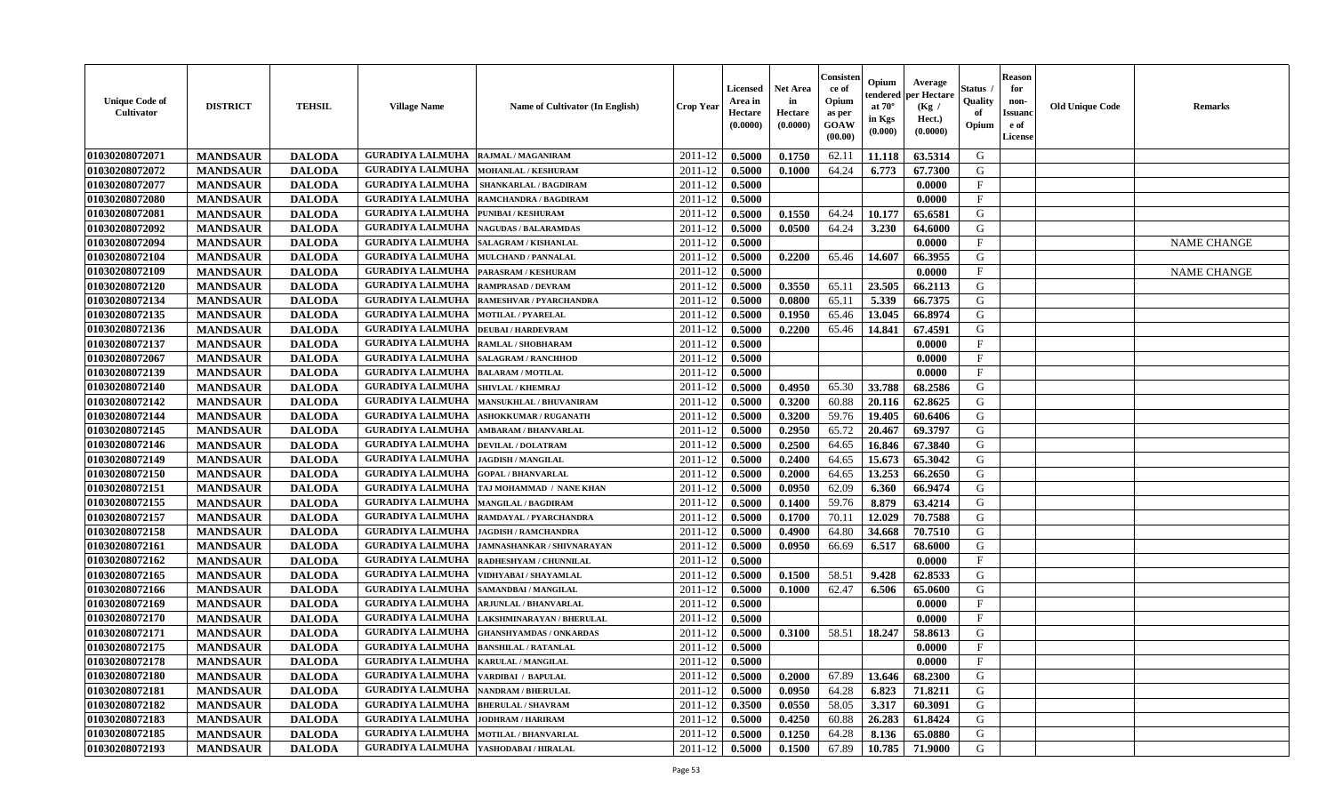| <b>Unique Code of</b><br><b>Cultivator</b> | <b>DISTRICT</b> | <b>TEHSIL</b> | <b>Village Name</b>                          | Name of Cultivator (In English)   | <b>Crop Year</b> | Licensed Net Area<br>Area in<br>Hectare<br>(0.0000) | in<br>Hectare<br>(0.0000) | Consisten<br>ce of<br>Opium<br>as per<br>GOAW<br>(00.00) | Opium<br>tendered<br>at $70^\circ$<br>in Kgs<br>(0.000) | Average<br>per Hectare<br>(Kg)<br>Hect.)<br>(0.0000) | Status<br>Quality<br>of<br>Opium | Reason<br>for<br>non-<br><b>Issuano</b><br>e of<br><b>License</b> | <b>Old Unique Code</b> | <b>Remarks</b>     |
|--------------------------------------------|-----------------|---------------|----------------------------------------------|-----------------------------------|------------------|-----------------------------------------------------|---------------------------|----------------------------------------------------------|---------------------------------------------------------|------------------------------------------------------|----------------------------------|-------------------------------------------------------------------|------------------------|--------------------|
| 01030208072071                             | <b>MANDSAUR</b> | <b>DALODA</b> | <b>GURADIYA LALMUHA</b>                      | <b>RAJMAL / MAGANIRAM</b>         | 2011-12          | 0.5000                                              | 0.1750                    | 62.11                                                    | 11.118                                                  | 63.5314                                              | G                                |                                                                   |                        |                    |
| 01030208072072                             | <b>MANDSAUR</b> | <b>DALODA</b> | <b>GURADIYA LALMUHA</b>                      | MOHANLAL / KESHURAM               | 2011-12          | 0.5000                                              | 0.1000                    | 64.24                                                    | 6.773                                                   | 67.7300                                              | G                                |                                                                   |                        |                    |
| 01030208072077                             | <b>MANDSAUR</b> | <b>DALODA</b> | <b>GURADIYA LALMUHA</b>                      | <b>SHANKARLAL / BAGDIRAM</b>      | 2011-12          | 0.5000                                              |                           |                                                          |                                                         | 0.0000                                               | $\mathbf{F}$                     |                                                                   |                        |                    |
| 01030208072080                             | <b>MANDSAUR</b> | <b>DALODA</b> | <b>GURADIYA LALMUHA</b>                      | RAMCHANDRA / BAGDIRAM             | 2011-12          | 0.5000                                              |                           |                                                          |                                                         | 0.0000                                               | $\mathbf{F}$                     |                                                                   |                        |                    |
| 01030208072081                             | <b>MANDSAUR</b> | <b>DALODA</b> | <b>GURADIYA LALMUHA</b>                      | PUNIBAI / KESHURAM                | 2011-12          | 0.5000                                              | 0.1550                    | 64.24                                                    | 10.177                                                  | 65.6581                                              | G                                |                                                                   |                        |                    |
| 01030208072092                             | <b>MANDSAUR</b> | <b>DALODA</b> | <b>GURADIYA LALMUHA</b>                      | <b>NAGUDAS / BALARAMDAS</b>       | 2011-12          | 0.5000                                              | 0.0500                    | 64.24                                                    | 3.230                                                   | 64.6000                                              | G                                |                                                                   |                        |                    |
| 01030208072094                             | <b>MANDSAUR</b> | <b>DALODA</b> | <b>GURADIYA LALMUHA</b>                      | SALAGRAM / KISHANLAL              | 2011-12          | 0.5000                                              |                           |                                                          |                                                         | 0.0000                                               | $\mathbf{F}$                     |                                                                   |                        | <b>NAME CHANGE</b> |
| 01030208072104                             | <b>MANDSAUR</b> | <b>DALODA</b> | <b>GURADIYA LALMUHA</b>                      | <b>MULCHAND / PANNALAL</b>        | 2011-12          | 0.5000                                              | 0.2200                    | 65.46                                                    | 14.607                                                  | 66.3955                                              | G                                |                                                                   |                        |                    |
| 01030208072109                             | <b>MANDSAUR</b> | <b>DALODA</b> | <b>GURADIYA LALMUHA</b>                      | PARASRAM / KESHURAM               | 2011-12          | 0.5000                                              |                           |                                                          |                                                         | 0.0000                                               | F                                |                                                                   |                        | <b>NAME CHANGE</b> |
| 01030208072120                             | <b>MANDSAUR</b> | <b>DALODA</b> | <b>GURADIYA LALMUHA</b>                      | <b>RAMPRASAD / DEVRAM</b>         | 2011-12          | 0.5000                                              | 0.3550                    | 65.11                                                    | 23.505                                                  | 66.2113                                              | G                                |                                                                   |                        |                    |
| 01030208072134                             | <b>MANDSAUR</b> | <b>DALODA</b> | <b>GURADIYA LALMUHA</b>                      | RAMESHVAR / PYARCHANDRA           | 2011-12          | 0.5000                                              | 0.0800                    | 65.11                                                    | 5.339                                                   | 66.7375                                              | G                                |                                                                   |                        |                    |
| 01030208072135                             | <b>MANDSAUR</b> | <b>DALODA</b> | <b>GURADIYA LALMUHA</b>                      | <b>MOTILAL / PYARELAL</b>         | 2011-12          | 0.5000                                              | 0.1950                    | 65.46                                                    | 13.045                                                  | 66.8974                                              | G                                |                                                                   |                        |                    |
| 01030208072136                             | <b>MANDSAUR</b> | <b>DALODA</b> | <b>GURADIYA LALMUHA</b>                      | <b>DEUBAI/HARDEVRAM</b>           | 2011-12          | 0.5000                                              | 0.2200                    | 65.46                                                    | 14.841                                                  | 67.4591                                              | G                                |                                                                   |                        |                    |
| 01030208072137                             | <b>MANDSAUR</b> | <b>DALODA</b> | <b>GURADIYA LALMUHA</b>                      | RAMLAL / SHOBHARAM                | 2011-12          | 0.5000                                              |                           |                                                          |                                                         | 0.0000                                               | $\mathbf{F}$                     |                                                                   |                        |                    |
| 01030208072067                             | <b>MANDSAUR</b> | <b>DALODA</b> | <b>GURADIYA LALMUHA</b>                      | <b>SALAGRAM / RANCHHOD</b>        | 2011-12          | 0.5000                                              |                           |                                                          |                                                         | 0.0000                                               | $\mathbf{F}$                     |                                                                   |                        |                    |
| 01030208072139                             | <b>MANDSAUR</b> | <b>DALODA</b> | <b>GURADIYA LALMUHA</b>                      | <b>BALARAM / MOTILAL</b>          | 2011-12          | 0.5000                                              |                           |                                                          |                                                         | 0.0000                                               | $\mathbf{F}$                     |                                                                   |                        |                    |
| 01030208072140                             | <b>MANDSAUR</b> | <b>DALODA</b> | <b>GURADIYA LALMUHA</b>                      | <b>SHIVLAL / KHEMRAJ</b>          | 2011-12          | 0.5000                                              | 0.4950                    | 65.30                                                    | 33.788                                                  | 68.2586                                              | G                                |                                                                   |                        |                    |
| 01030208072142                             | <b>MANDSAUR</b> | <b>DALODA</b> | <b>GURADIYA LALMUHA</b>                      | <b>MANSUKHLAL / BHUVANIRAM</b>    | 2011-12          | 0.5000                                              | 0.3200                    | 60.88                                                    | 20.116                                                  | 62.8625                                              | G                                |                                                                   |                        |                    |
| 01030208072144                             | <b>MANDSAUR</b> | <b>DALODA</b> | <b>GURADIYA LALMUHA</b>                      | <b>ASHOKKUMAR / RUGANATH</b>      | 2011-12          | 0.5000                                              | 0.3200                    | 59.76                                                    | 19.405                                                  | 60.6406                                              | G                                |                                                                   |                        |                    |
| 01030208072145                             | <b>MANDSAUR</b> | <b>DALODA</b> | <b>GURADIYA LALMUHA</b>                      | <b>AMBARAM / BHANVARLAL</b>       | 2011-12          | 0.5000                                              | 0.2950                    | 65.72                                                    | 20.467                                                  | 69.3797                                              | G                                |                                                                   |                        |                    |
| 01030208072146                             | <b>MANDSAUR</b> | <b>DALODA</b> | <b>GURADIYA LALMUHA</b>                      | <b>DEVILAL / DOLATRAM</b>         | 2011-12          | 0.5000                                              | 0.2500                    | 64.65                                                    | 16.846                                                  | 67.3840                                              | G                                |                                                                   |                        |                    |
| 01030208072149                             | <b>MANDSAUR</b> | <b>DALODA</b> | <b>GURADIYA LALMUHA</b>                      | <b>JAGDISH / MANGILAL</b>         | 2011-12          | 0.5000                                              | 0.2400                    | 64.65                                                    | 15.673                                                  | 65.3042                                              | G                                |                                                                   |                        |                    |
| 01030208072150                             | <b>MANDSAUR</b> | <b>DALODA</b> | <b>GURADIYA LALMUHA</b>                      | <b>GOPAL / BHANVARLAL</b>         | 2011-12          | 0.5000                                              | 0.2000                    | 64.65                                                    | 13.253                                                  | 66.2650                                              | G                                |                                                                   |                        |                    |
| 01030208072151                             | <b>MANDSAUR</b> | <b>DALODA</b> | <b>GURADIYA LALMUHA</b>                      | TAJ MOHAMMAD / NANE KHAN          | 2011-12          | 0.5000                                              | 0.0950                    | 62.09                                                    | 6.360                                                   | 66.9474                                              | G                                |                                                                   |                        |                    |
| 01030208072155                             | <b>MANDSAUR</b> | <b>DALODA</b> | <b>GURADIYA LALMUHA</b>                      | <b>MANGILAL / BAGDIRAM</b>        | 2011-12          | 0.5000                                              | 0.1400                    | 59.76                                                    | 8.879                                                   | 63.4214                                              | G                                |                                                                   |                        |                    |
| 01030208072157                             | <b>MANDSAUR</b> | <b>DALODA</b> | <b>GURADIYA LALMUHA</b>                      | RAMDAYAL / PYARCHANDRA            | 2011-12          | 0.5000                                              | 0.1700                    | 70.11                                                    | 12.029                                                  | 70.7588                                              | G                                |                                                                   |                        |                    |
| 01030208072158                             | <b>MANDSAUR</b> | <b>DALODA</b> | <b>GURADIYA LALMUHA</b>                      | <b>JAGDISH / RAMCHANDRA</b>       | 2011-12          | 0.5000                                              | 0.4900                    | 64.80                                                    | 34.668                                                  | 70.7510                                              | G                                |                                                                   |                        |                    |
| 01030208072161                             | <b>MANDSAUR</b> | <b>DALODA</b> | <b>GURADIYA LALMUHA</b>                      | <b>JAMNASHANKAR / SHIVNARAYAN</b> | 2011-12          | 0.5000                                              | 0.0950                    | 66.69                                                    | 6.517                                                   | 68.6000                                              | G                                |                                                                   |                        |                    |
| 01030208072162                             | <b>MANDSAUR</b> | <b>DALODA</b> | <b>GURADIYA LALMUHA</b>                      | RADHESHYAM / CHUNNILAL            | 2011-12          | 0.5000                                              |                           |                                                          |                                                         | 0.0000                                               | $\mathbf{F}$                     |                                                                   |                        |                    |
| 01030208072165                             | <b>MANDSAUR</b> | <b>DALODA</b> | <b>GURADIYA LALMUHA</b>                      | VIDHYABAI / SHAYAMLAL             | 2011-12          | 0.5000                                              | 0.1500                    | 58.51                                                    | 9.428                                                   | 62.8533                                              | G                                |                                                                   |                        |                    |
| 01030208072166                             | <b>MANDSAUR</b> | <b>DALODA</b> | <b>GURADIYA LALMUHA</b>                      | SAMANDBAI / MANGILAL              | 2011-12          | 0.5000                                              | 0.1000                    | 62.47                                                    | 6.506                                                   | 65.0600                                              | G                                |                                                                   |                        |                    |
| 01030208072169                             | <b>MANDSAUR</b> | <b>DALODA</b> | <b>GURADIYA LALMUHA</b>                      | <b>ARJUNLAL / BHANVARLAL</b>      | 2011-12          | 0.5000                                              |                           |                                                          |                                                         | 0.0000                                               | F                                |                                                                   |                        |                    |
| 01030208072170                             | <b>MANDSAUR</b> | <b>DALODA</b> | <b>GURADIYA LALMUHA</b>                      | <b>LAKSHMINARAYAN / BHERULAL</b>  | 2011-12          | 0.5000                                              |                           |                                                          |                                                         | 0.0000                                               | F                                |                                                                   |                        |                    |
| 01030208072171                             | <b>MANDSAUR</b> | <b>DALODA</b> | <b>GURADIYA LALMUHA</b>                      | <b>GHANSHYAMDAS / ONKARDAS</b>    | 2011-12          | 0.5000                                              | 0.3100                    | 58.51                                                    | 18.247                                                  | 58.8613                                              | G                                |                                                                   |                        |                    |
| 01030208072175                             | <b>MANDSAUR</b> | <b>DALODA</b> | <b>GURADIYA LALMUHA</b>                      | <b>BANSHILAL / RATANLAL</b>       | 2011-12          | 0.5000                                              |                           |                                                          |                                                         | 0.0000                                               | $_{\rm F}$                       |                                                                   |                        |                    |
| 01030208072178                             | <b>MANDSAUR</b> | <b>DALODA</b> | GURADIYA LALMUHA   KARULAL / MANGILAL        |                                   | $2011-12$ 0.5000 |                                                     |                           |                                                          |                                                         | 0.0000                                               | F                                |                                                                   |                        |                    |
| 01030208072180                             | <b>MANDSAUR</b> | <b>DALODA</b> | <b>GURADIYA LALMUHA</b>                      | VARDIBAI / BAPULAL                | 2011-12          | 0.5000                                              | 0.2000                    | 67.89                                                    | 13.646                                                  | 68.2300                                              | G                                |                                                                   |                        |                    |
| <b>01030208072181</b>                      | <b>MANDSAUR</b> | <b>DALODA</b> | <b>GURADIYA LALMUHA   NANDRAM / BHERULAL</b> |                                   | 2011-12          | 0.5000                                              | 0.0950                    | 64.28                                                    | 6.823                                                   | 71.8211                                              | G                                |                                                                   |                        |                    |
| 01030208072182                             | <b>MANDSAUR</b> | <b>DALODA</b> | <b>GURADIYA LALMUHA  BHERULAL / SHAVRAM</b>  |                                   | 2011-12          | 0.3500                                              | 0.0550                    | 58.05                                                    | 3.317                                                   | 60.3091                                              | G                                |                                                                   |                        |                    |
| 01030208072183                             | <b>MANDSAUR</b> | <b>DALODA</b> | <b>GURADIYA LALMUHA</b>                      | <b>JODHRAM / HARIRAM</b>          | 2011-12          | 0.5000                                              | 0.4250                    | 60.88                                                    | 26.283                                                  | 61.8424                                              | G                                |                                                                   |                        |                    |
| 01030208072185                             | <b>MANDSAUR</b> | <b>DALODA</b> | <b>GURADIYA LALMUHA</b>                      | <b>MOTILAL / BHANVARLAL</b>       | 2011-12          | 0.5000                                              | 0.1250                    | 64.28                                                    | 8.136                                                   | 65.0880                                              | G                                |                                                                   |                        |                    |
| 01030208072193                             | <b>MANDSAUR</b> | <b>DALODA</b> | <b>GURADIYA LALMUHA YASHODABAI/HIRALAL</b>   |                                   | $2011 - 12$      | 0.5000                                              | 0.1500                    | 67.89                                                    | 10.785                                                  | 71.9000                                              | G                                |                                                                   |                        |                    |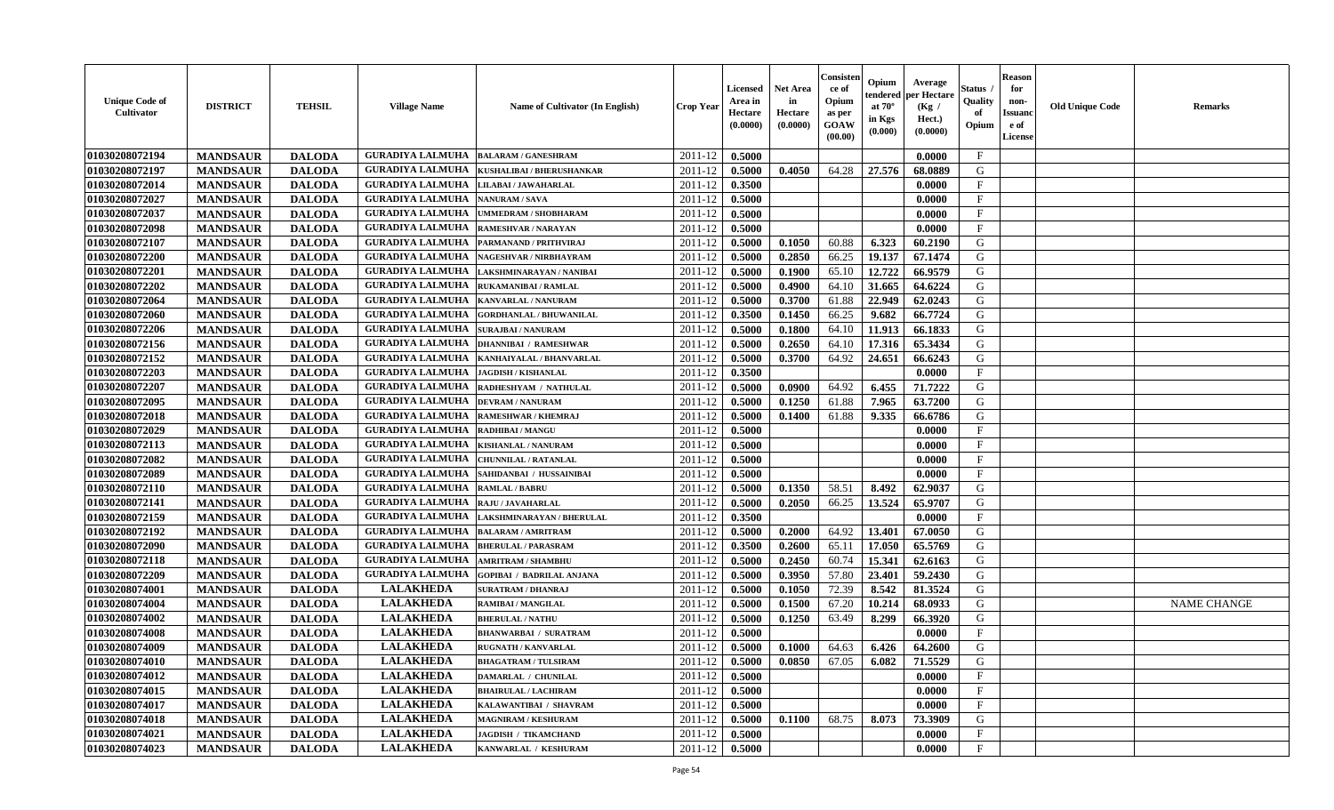| <b>Unique Code of</b><br><b>Cultivator</b> | <b>DISTRICT</b> | <b>TEHSIL</b> | <b>Village Name</b>     | Name of Cultivator (In English)  | <b>Crop Year</b>   | <b>Licensed</b><br>Area in<br>Hectare<br>(0.0000) | <b>Net Area</b><br>in<br>Hectare<br>(0.0000) | Consister<br>ce of<br>Opium<br>as per<br><b>GOAW</b><br>(00.00) | Opium<br>endered<br>at $70^{\circ}$<br>in Kgs<br>(0.000) | Average<br>per Hectare<br>(Kg /<br>Hect.)<br>(0.0000) | Status<br>Quality<br>of<br>Opium | <b>Reason</b><br>for<br>non-<br><b>Issuand</b><br>e of<br>License | <b>Old Unique Code</b> | <b>Remarks</b>     |
|--------------------------------------------|-----------------|---------------|-------------------------|----------------------------------|--------------------|---------------------------------------------------|----------------------------------------------|-----------------------------------------------------------------|----------------------------------------------------------|-------------------------------------------------------|----------------------------------|-------------------------------------------------------------------|------------------------|--------------------|
| 01030208072194                             | <b>MANDSAUR</b> | <b>DALODA</b> | <b>GURADIYA LALMUHA</b> | <b>BALARAM / GANESHRAM</b>       | 2011-12            | 0.5000                                            |                                              |                                                                 |                                                          | 0.0000                                                | $_{\rm F}$                       |                                                                   |                        |                    |
| 01030208072197                             | <b>MANDSAUR</b> | <b>DALODA</b> | <b>GURADIYA LALMUHA</b> | KUSHALIBAI / BHERUSHANKAR        | 2011-12            | 0.5000                                            | 0.4050                                       | 64.28                                                           | 27.576                                                   | 68.0889                                               | G                                |                                                                   |                        |                    |
| 01030208072014                             | <b>MANDSAUR</b> | <b>DALODA</b> | <b>GURADIYA LALMUHA</b> | LILABAI / JAWAHARLAL             | 2011-12            | 0.3500                                            |                                              |                                                                 |                                                          | 0.0000                                                | $\mathbf{F}$                     |                                                                   |                        |                    |
| 01030208072027                             | <b>MANDSAUR</b> | <b>DALODA</b> | <b>GURADIYA LALMUHA</b> | <b>NANURAM / SAVA</b>            | 2011-12            | 0.5000                                            |                                              |                                                                 |                                                          | 0.0000                                                | $\mathbf{F}$                     |                                                                   |                        |                    |
| 01030208072037                             | <b>MANDSAUR</b> | <b>DALODA</b> | <b>GURADIYA LALMUHA</b> | UMMEDRAM / SHOBHARAM             | 2011-12            | 0.5000                                            |                                              |                                                                 |                                                          | 0.0000                                                | $_{\rm F}$                       |                                                                   |                        |                    |
| 01030208072098                             | <b>MANDSAUR</b> | <b>DALODA</b> | <b>GURADIYA LALMUHA</b> | <b>RAMESHVAR / NARAYAN</b>       | 2011-12            | 0.5000                                            |                                              |                                                                 |                                                          | 0.0000                                                | $\mathbf{F}$                     |                                                                   |                        |                    |
| 01030208072107                             | <b>MANDSAUR</b> | <b>DALODA</b> | <b>GURADIYA LALMUHA</b> | PARMANAND / PRITHVIRAJ           | 2011-12            | 0.5000                                            | 0.1050                                       | 60.88                                                           | 6.323                                                    | 60.2190                                               | G                                |                                                                   |                        |                    |
| 01030208072200                             | <b>MANDSAUR</b> | <b>DALODA</b> | <b>GURADIYA LALMUHA</b> | NAGESHVAR / NIRBHAYRAM           | 2011-12            | 0.5000                                            | 0.2850                                       | 66.25                                                           | 19.137                                                   | 67.1474                                               | G                                |                                                                   |                        |                    |
| 01030208072201                             | <b>MANDSAUR</b> | <b>DALODA</b> | <b>GURADIYA LALMUHA</b> | LAKSHMINARAYAN / NANIBAI         | 2011-12            | 0.5000                                            | 0.1900                                       | 65.10                                                           | 12.722                                                   | 66.9579                                               | G                                |                                                                   |                        |                    |
| 01030208072202                             | <b>MANDSAUR</b> | <b>DALODA</b> | <b>GURADIYA LALMUHA</b> | RUKAMANIBAI / RAMLAL             | 2011-12            | 0.5000                                            | 0.4900                                       | 64.10                                                           | 31.665                                                   | 64.6224                                               | G                                |                                                                   |                        |                    |
| 01030208072064                             | <b>MANDSAUR</b> | <b>DALODA</b> | <b>GURADIYA LALMUHA</b> | KANVARLAL / NANURAM              | 2011-12            | 0.5000                                            | 0.3700                                       | 61.88                                                           | 22.949                                                   | 62.0243                                               | G                                |                                                                   |                        |                    |
| 01030208072060                             | <b>MANDSAUR</b> | <b>DALODA</b> | <b>GURADIYA LALMUHA</b> | <b>GORDHANLAL / BHUWANILAL</b>   | 2011-12            | 0.3500                                            | 0.1450                                       | 66.25                                                           | 9.682                                                    | 66.7724                                               | G                                |                                                                   |                        |                    |
| 01030208072206                             | <b>MANDSAUR</b> | <b>DALODA</b> | <b>GURADIYA LALMUHA</b> | <b>SURAJBAI / NANURAM</b>        | 2011-12            | 0.5000                                            | 0.1800                                       | 64.10                                                           | 11.913                                                   | 66.1833                                               | G                                |                                                                   |                        |                    |
| 01030208072156                             | <b>MANDSAUR</b> | <b>DALODA</b> | <b>GURADIYA LALMUHA</b> | <b>DHANNIBAI / RAMESHWAR</b>     | 2011-12            | 0.5000                                            | 0.2650                                       | 64.10                                                           | 17.316                                                   | 65.3434                                               | G                                |                                                                   |                        |                    |
| 01030208072152                             | <b>MANDSAUR</b> | <b>DALODA</b> | <b>GURADIYA LALMUHA</b> | KANHAIYALAL / BHANVARLAL         | 2011-12            | 0.5000                                            | 0.3700                                       | 64.92                                                           | 24.651                                                   | 66.6243                                               | G                                |                                                                   |                        |                    |
| 01030208072203                             | <b>MANDSAUR</b> | <b>DALODA</b> | <b>GURADIYA LALMUHA</b> | <b>JAGDISH / KISHANLAL</b>       | 2011-12            | 0.3500                                            |                                              |                                                                 |                                                          | 0.0000                                                | $\mathbf{F}$                     |                                                                   |                        |                    |
| 01030208072207                             | <b>MANDSAUR</b> | <b>DALODA</b> | <b>GURADIYA LALMUHA</b> | RADHESHYAM / NATHULAL            | 2011-12            | 0.5000                                            | 0.0900                                       | 64.92                                                           | 6.455                                                    | 71,7222                                               | G                                |                                                                   |                        |                    |
| 01030208072095                             | <b>MANDSAUR</b> | <b>DALODA</b> | <b>GURADIYA LALMUHA</b> | <b>DEVRAM / NANURAM</b>          | 2011-12            | 0.5000                                            | 0.1250                                       | 61.88                                                           | 7.965                                                    | 63.7200                                               | G                                |                                                                   |                        |                    |
| 01030208072018                             | <b>MANDSAUR</b> | <b>DALODA</b> | <b>GURADIYA LALMUHA</b> | <b>RAMESHWAR / KHEMRAJ</b>       | 2011-12            | 0.5000                                            | 0.1400                                       | 61.88                                                           | 9.335                                                    | 66.6786                                               | G                                |                                                                   |                        |                    |
| 01030208072029                             | <b>MANDSAUR</b> | <b>DALODA</b> | <b>GURADIYA LALMUHA</b> | <b>RADHIBAI/MANGU</b>            | 2011-12            | 0.5000                                            |                                              |                                                                 |                                                          | 0.0000                                                | $\mathbf{F}$                     |                                                                   |                        |                    |
| 01030208072113                             | <b>MANDSAUR</b> | <b>DALODA</b> | <b>GURADIYA LALMUHA</b> | KISHANLAL / NANURAM              | 2011-12            | 0.5000                                            |                                              |                                                                 |                                                          | 0.0000                                                | $_{\rm F}$                       |                                                                   |                        |                    |
| 01030208072082                             | <b>MANDSAUR</b> | <b>DALODA</b> | <b>GURADIYA LALMUHA</b> | <b>CHUNNILAL / RATANLAL</b>      | 2011-12            | 0.5000                                            |                                              |                                                                 |                                                          | 0.0000                                                | $\mathbf{F}$                     |                                                                   |                        |                    |
| 01030208072089                             | <b>MANDSAUR</b> | <b>DALODA</b> | <b>GURADIYA LALMUHA</b> | SAHIDANBAI / HUSSAINIBAI         | 2011-12            | 0.5000                                            |                                              |                                                                 |                                                          | 0.0000                                                | $_{\rm F}$                       |                                                                   |                        |                    |
| 01030208072110                             | <b>MANDSAUR</b> | <b>DALODA</b> | <b>GURADIYA LALMUHA</b> | <b>RAMLAL / BABRU</b>            | 2011-12            | 0.5000                                            | 0.1350                                       | 58.51                                                           | 8.492                                                    | 62.9037                                               | G                                |                                                                   |                        |                    |
| 01030208072141                             | <b>MANDSAUR</b> | <b>DALODA</b> | <b>GURADIYA LALMUHA</b> | RAJU / JAVAHARLAL                | 2011-12            | 0.5000                                            | 0.2050                                       | 66.25                                                           | 13.524                                                   | 65,9707                                               | G                                |                                                                   |                        |                    |
| 01030208072159                             | <b>MANDSAUR</b> | <b>DALODA</b> | <b>GURADIYA LALMUHA</b> | LAKSHMINARAYAN / BHERULAL        | 2011-12            | 0.3500                                            |                                              |                                                                 |                                                          | 0.0000                                                | $\mathbf{F}$                     |                                                                   |                        |                    |
| 01030208072192                             | <b>MANDSAUR</b> | <b>DALODA</b> | <b>GURADIYA LALMUHA</b> | <b>BALARAM / AMRITRAM</b>        | 2011-12            | 0.5000                                            | 0.2000                                       | 64.92                                                           | 13.401                                                   | 67.0050                                               | G                                |                                                                   |                        |                    |
| 01030208072090                             | <b>MANDSAUR</b> | <b>DALODA</b> | <b>GURADIYA LALMUHA</b> | <b>BHERULAL / PARASRAM</b>       | 2011-12            | 0.3500                                            | 0.2600                                       | 65.11                                                           | 17.050                                                   | 65.5769                                               | G                                |                                                                   |                        |                    |
| 01030208072118                             | <b>MANDSAUR</b> | <b>DALODA</b> | <b>GURADIYA LALMUHA</b> | <b>AMRITRAM / SHAMBHU</b>        | 2011-12            | 0.5000                                            | 0.2450                                       | 60.74                                                           | 15.341                                                   | 62.6163                                               | G                                |                                                                   |                        |                    |
| 01030208072209                             | <b>MANDSAUR</b> | <b>DALODA</b> | <b>GURADIYA LALMUHA</b> | <b>GOPIBAI / BADRILAL ANJANA</b> | 2011-12            | 0.5000                                            | 0.3950                                       | 57.80                                                           | 23.401                                                   | 59.2430                                               | G                                |                                                                   |                        |                    |
| 01030208074001                             | <b>MANDSAUR</b> | <b>DALODA</b> | <b>LALAKHEDA</b>        | <b>SURATRAM / DHANRAJ</b>        | 2011-12            | 0.5000                                            | 0.1050                                       | 72.39                                                           | 8.542                                                    | 81.3524                                               | G                                |                                                                   |                        |                    |
| 01030208074004                             | <b>MANDSAUR</b> | <b>DALODA</b> | <b>LALAKHEDA</b>        | RAMIBAI / MANGILAL               | 2011-12            | 0.5000                                            | 0.1500                                       | 67.20                                                           | 10.214                                                   | 68.0933                                               | G                                |                                                                   |                        | <b>NAME CHANGE</b> |
| 01030208074002                             | <b>MANDSAUR</b> | <b>DALODA</b> | <b>LALAKHEDA</b>        | <b>BHERULAL / NATHU</b>          | 2011-12            | 0.5000                                            | 0.1250                                       | 63.49                                                           | 8.299                                                    | 66.3920                                               | G                                |                                                                   |                        |                    |
| 01030208074008                             | <b>MANDSAUR</b> | <b>DALODA</b> | <b>LALAKHEDA</b>        | <b>BHANWARBAI / SURATRAM</b>     | 2011-12            | 0.5000                                            |                                              |                                                                 |                                                          | 0.0000                                                | $\mathbf{F}$                     |                                                                   |                        |                    |
| 01030208074009                             | <b>MANDSAUR</b> | <b>DALODA</b> | <b>LALAKHEDA</b>        | <b>RUGNATH / KANVARLAL</b>       | 2011-12            | 0.5000                                            | 0.1000                                       | 64.63                                                           | 6.426                                                    | 64.2600                                               | G                                |                                                                   |                        |                    |
| 01030208074010                             | <b>MANDSAUR</b> | <b>DALODA</b> | <b>LALAKHEDA</b>        | <b>BHAGATRAM / TULSIRAM</b>      | $2011 - 12$ 0.5000 |                                                   | 0.0850                                       | 67.05                                                           | $6.082$                                                  | 71.5529                                               | G                                |                                                                   |                        |                    |
| 01030208074012                             | <b>MANDSAUR</b> | <b>DALODA</b> | <b>LALAKHEDA</b>        | <b>DAMARLAL / CHUNILAL</b>       | 2011-12            | 0.5000                                            |                                              |                                                                 |                                                          | 0.0000                                                | $\mathbf{F}$                     |                                                                   |                        |                    |
| 01030208074015                             | <b>MANDSAUR</b> | <b>DALODA</b> | <b>LALAKHEDA</b>        | <b>BHAIRULAL / LACHIRAM</b>      | 2011-12            | 0.5000                                            |                                              |                                                                 |                                                          | 0.0000                                                | $\mathbf F$                      |                                                                   |                        |                    |
| 01030208074017                             | <b>MANDSAUR</b> | <b>DALODA</b> | <b>LALAKHEDA</b>        | KALAWANTIBAI / SHAVRAM           | 2011-12            | 0.5000                                            |                                              |                                                                 |                                                          | 0.0000                                                | $\mathbf{F}$                     |                                                                   |                        |                    |
| 01030208074018                             | <b>MANDSAUR</b> | <b>DALODA</b> | <b>LALAKHEDA</b>        | <b>MAGNIRAM / KESHURAM</b>       | 2011-12            | 0.5000                                            | 0.1100                                       | 68.75                                                           | 8.073                                                    | 73.3909                                               | G                                |                                                                   |                        |                    |
| 01030208074021                             | <b>MANDSAUR</b> | <b>DALODA</b> | <b>LALAKHEDA</b>        | <b>JAGDISH / TIKAMCHAND</b>      | 2011-12            | 0.5000                                            |                                              |                                                                 |                                                          | 0.0000                                                | $\mathbf{F}$                     |                                                                   |                        |                    |
| 01030208074023                             | <b>MANDSAUR</b> | <b>DALODA</b> | <b>LALAKHEDA</b>        | KANWARLAL / KESHURAM             | 2011-12            | 0.5000                                            |                                              |                                                                 |                                                          | 0.0000                                                | $\mathbf{F}$                     |                                                                   |                        |                    |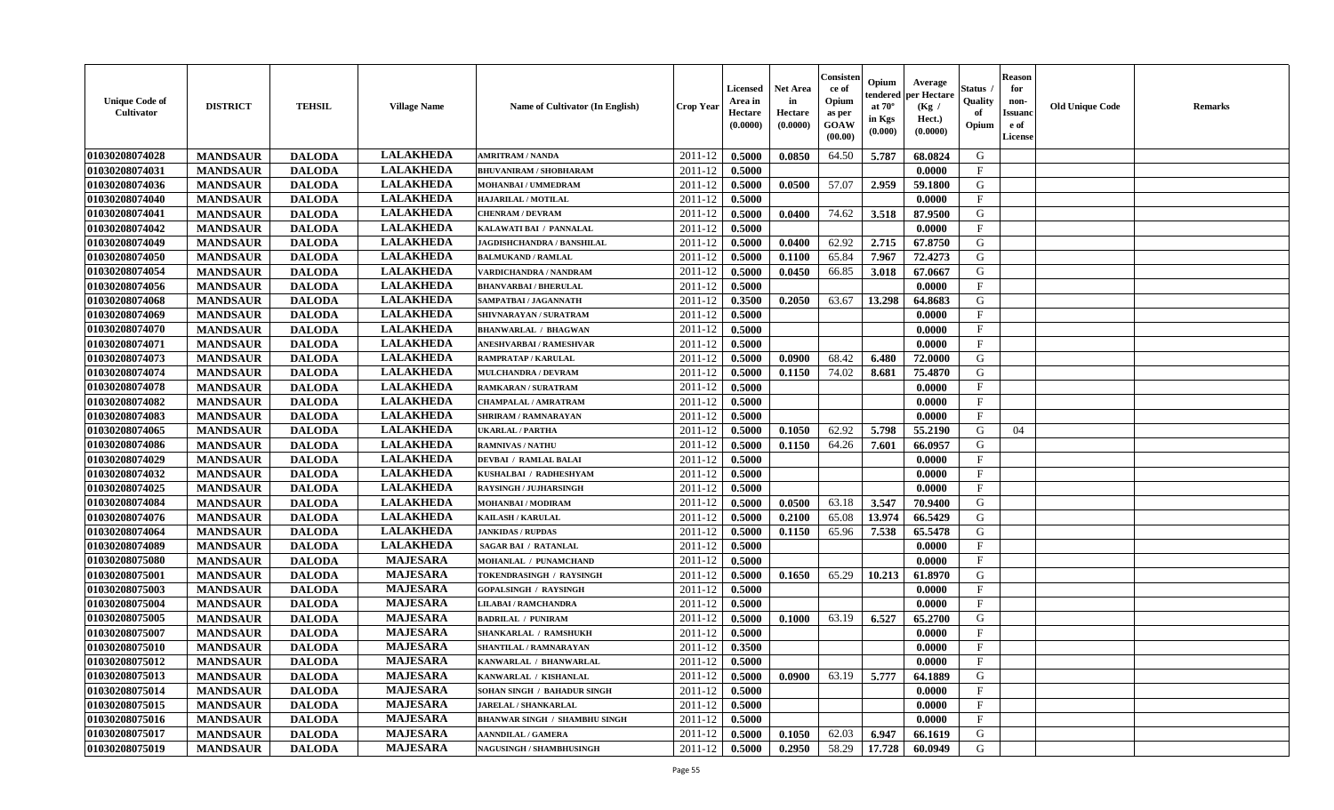| <b>Unique Code of</b><br><b>Cultivator</b> | <b>DISTRICT</b> | <b>TEHSIL</b> | <b>Village Name</b> | Name of Cultivator (In English)      | <b>Crop Year</b>   | <b>Licensed</b><br>Area in<br>Hectare<br>(0.0000) | <b>Net Area</b><br>in<br>Hectare<br>(0.0000) | Consister<br>ce of<br>Opium<br>as per<br><b>GOAW</b><br>(00.00) | Opium<br>endered<br>at $70^\circ$<br>in Kgs<br>(0.000) | Average<br>per Hectare<br>(Kg /<br>Hect.)<br>(0.0000) | Status<br>Quality<br>of<br>Opium | <b>Reason</b><br>for<br>non-<br><b>Issuand</b><br>e of<br><b>License</b> | <b>Old Unique Code</b> | <b>Remarks</b> |
|--------------------------------------------|-----------------|---------------|---------------------|--------------------------------------|--------------------|---------------------------------------------------|----------------------------------------------|-----------------------------------------------------------------|--------------------------------------------------------|-------------------------------------------------------|----------------------------------|--------------------------------------------------------------------------|------------------------|----------------|
| 01030208074028                             | <b>MANDSAUR</b> | <b>DALODA</b> | <b>LALAKHEDA</b>    | <b>AMRITRAM / NANDA</b>              | 2011-12            | 0.5000                                            | 0.0850                                       | 64.50                                                           | 5.787                                                  | 68.0824                                               | G                                |                                                                          |                        |                |
| 01030208074031                             | <b>MANDSAUR</b> | <b>DALODA</b> | <b>LALAKHEDA</b>    | <b>BHUVANIRAM / SHOBHARAM</b>        | 2011-12            | 0.5000                                            |                                              |                                                                 |                                                        | 0.0000                                                | $\mathbf F$                      |                                                                          |                        |                |
| 01030208074036                             | <b>MANDSAUR</b> | <b>DALODA</b> | <b>LALAKHEDA</b>    | MOHANBAI / UMMEDRAM                  | 2011-12            | 0.5000                                            | 0.0500                                       | 57.07                                                           | 2.959                                                  | 59.1800                                               | G                                |                                                                          |                        |                |
| 01030208074040                             | <b>MANDSAUR</b> | <b>DALODA</b> | <b>LALAKHEDA</b>    | <b>HAJARILAL / MOTILAL</b>           | 2011-12            | 0.5000                                            |                                              |                                                                 |                                                        | 0.0000                                                | $\mathbf{F}$                     |                                                                          |                        |                |
| 01030208074041                             | <b>MANDSAUR</b> | <b>DALODA</b> | <b>LALAKHEDA</b>    | <b>CHENRAM / DEVRAM</b>              | 2011-12            | 0.5000                                            | 0.0400                                       | 74.62                                                           | 3.518                                                  | 87.9500                                               | G                                |                                                                          |                        |                |
| 01030208074042                             | <b>MANDSAUR</b> | <b>DALODA</b> | <b>LALAKHEDA</b>    | KALAWATI BAI / PANNALAL              | 2011-12            | 0.5000                                            |                                              |                                                                 |                                                        | 0.0000                                                | $_{\rm F}$                       |                                                                          |                        |                |
| 01030208074049                             | <b>MANDSAUR</b> | <b>DALODA</b> | <b>LALAKHEDA</b>    | JAGDISHCHANDRA / BANSHILAL           | 2011-12            | 0.5000                                            | 0.0400                                       | 62.92                                                           | 2.715                                                  | 67.8750                                               | G                                |                                                                          |                        |                |
| 01030208074050                             | <b>MANDSAUR</b> | <b>DALODA</b> | <b>LALAKHEDA</b>    | <b>BALMUKAND / RAMLAL</b>            | 2011-12            | 0.5000                                            | 0.1100                                       | 65.84                                                           | 7.967                                                  | 72.4273                                               | ${\bf G}$                        |                                                                          |                        |                |
| 01030208074054                             | <b>MANDSAUR</b> | <b>DALODA</b> | <b>LALAKHEDA</b>    | VARDICHANDRA / NANDRAM               | 2011-12            | 0.5000                                            | 0.0450                                       | 66.85                                                           | 3.018                                                  | 67.0667                                               | G                                |                                                                          |                        |                |
| 01030208074056                             | <b>MANDSAUR</b> | <b>DALODA</b> | <b>LALAKHEDA</b>    | <b>BHANVARBAI/BHERULAL</b>           | 2011-12            | 0.5000                                            |                                              |                                                                 |                                                        | 0.0000                                                | $\mathbf{F}$                     |                                                                          |                        |                |
| 01030208074068                             | <b>MANDSAUR</b> | <b>DALODA</b> | <b>LALAKHEDA</b>    | SAMPATBAI / JAGANNATH                | 2011-12            | 0.3500                                            | 0.2050                                       | 63.67                                                           | 13.298                                                 | 64.8683                                               | G                                |                                                                          |                        |                |
| 01030208074069                             | <b>MANDSAUR</b> | <b>DALODA</b> | <b>LALAKHEDA</b>    | SHIVNARAYAN / SURATRAM               | 2011-12            | 0.5000                                            |                                              |                                                                 |                                                        | 0.0000                                                | $\mathbf{F}$                     |                                                                          |                        |                |
| 01030208074070                             | <b>MANDSAUR</b> | <b>DALODA</b> | <b>LALAKHEDA</b>    | <b>BHANWARLAL / BHAGWAN</b>          | 2011-12            | 0.5000                                            |                                              |                                                                 |                                                        | 0.0000                                                | $\mathbf{F}$                     |                                                                          |                        |                |
| 01030208074071                             | <b>MANDSAUR</b> | <b>DALODA</b> | <b>LALAKHEDA</b>    | ANESHVARBAI / RAMESHVAR              | 2011-12            | 0.5000                                            |                                              |                                                                 |                                                        | 0.0000                                                | $_{\rm F}$                       |                                                                          |                        |                |
| 01030208074073                             | <b>MANDSAUR</b> | <b>DALODA</b> | <b>LALAKHEDA</b>    | <b>RAMPRATAP / KARULAL</b>           | 2011-12            | 0.5000                                            | 0.0900                                       | 68.42                                                           | 6.480                                                  | 72.0000                                               | G                                |                                                                          |                        |                |
| 01030208074074                             | <b>MANDSAUR</b> | <b>DALODA</b> | <b>LALAKHEDA</b>    | <b>MULCHANDRA / DEVRAM</b>           | 2011-12            | 0.5000                                            | 0.1150                                       | 74.02                                                           | 8.681                                                  | 75.4870                                               | G                                |                                                                          |                        |                |
| 01030208074078                             | <b>MANDSAUR</b> | <b>DALODA</b> | <b>LALAKHEDA</b>    | <b>RAMKARAN / SURATRAM</b>           | 2011-12            | 0.5000                                            |                                              |                                                                 |                                                        | 0.0000                                                | $_{\rm F}$                       |                                                                          |                        |                |
| 01030208074082                             | <b>MANDSAUR</b> | <b>DALODA</b> | <b>LALAKHEDA</b>    | CHAMPALAL / AMRATRAM                 | 2011-12            | 0.5000                                            |                                              |                                                                 |                                                        | 0.0000                                                | $\mathbf{F}$                     |                                                                          |                        |                |
| 01030208074083                             | <b>MANDSAUR</b> | <b>DALODA</b> | <b>LALAKHEDA</b>    | <b>SHRIRAM / RAMNARAYAN</b>          | 2011-12            | 0.5000                                            |                                              |                                                                 |                                                        | 0.0000                                                | $_{\rm F}$                       |                                                                          |                        |                |
| 01030208074065                             | <b>MANDSAUR</b> | <b>DALODA</b> | <b>LALAKHEDA</b>    | <b>UKARLAL / PARTHA</b>              | 2011-12            | 0.5000                                            | 0.1050                                       | 62.92                                                           | 5.798                                                  | 55,2190                                               | G                                | 04                                                                       |                        |                |
| 01030208074086                             | <b>MANDSAUR</b> | <b>DALODA</b> | <b>LALAKHEDA</b>    | <b>RAMNIVAS / NATHU</b>              | 2011-12            | 0.5000                                            | 0.1150                                       | 64.26                                                           | 7.601                                                  | 66.0957                                               | G                                |                                                                          |                        |                |
| 01030208074029                             | <b>MANDSAUR</b> | <b>DALODA</b> | <b>LALAKHEDA</b>    | <b>DEVBAI / RAMLAL BALAI</b>         | 2011-12            | 0.5000                                            |                                              |                                                                 |                                                        | 0.0000                                                | $_{\rm F}$                       |                                                                          |                        |                |
| 01030208074032                             | <b>MANDSAUR</b> | <b>DALODA</b> | <b>LALAKHEDA</b>    | KUSHALBAI / RADHESHYAM               | 2011-12            | 0.5000                                            |                                              |                                                                 |                                                        | 0.0000                                                | $\mathbf{F}$                     |                                                                          |                        |                |
| 01030208074025                             | <b>MANDSAUR</b> | <b>DALODA</b> | <b>LALAKHEDA</b>    | <b>RAYSINGH / JUJHARSINGH</b>        | 2011-12            | 0.5000                                            |                                              |                                                                 |                                                        | 0.0000                                                | $\mathbf{F}$                     |                                                                          |                        |                |
| 01030208074084                             | <b>MANDSAUR</b> | <b>DALODA</b> | <b>LALAKHEDA</b>    | <b>MOHANBAI/MODIRAM</b>              | 2011-12            | 0.5000                                            | 0.0500                                       | 63.18                                                           | 3.547                                                  | 70.9400                                               | G                                |                                                                          |                        |                |
| 01030208074076                             | <b>MANDSAUR</b> | <b>DALODA</b> | <b>LALAKHEDA</b>    | <b>KAILASH / KARULAL</b>             | 2011-12            | 0.5000                                            | 0.2100                                       | 65.08                                                           | 13.974                                                 | 66.5429                                               | G                                |                                                                          |                        |                |
| 01030208074064                             | <b>MANDSAUR</b> | <b>DALODA</b> | <b>LALAKHEDA</b>    | <b>JANKIDAS / RUPDAS</b>             | 2011-12            | 0.5000                                            | 0.1150                                       | 65.96                                                           | 7.538                                                  | 65.5478                                               | G                                |                                                                          |                        |                |
| 01030208074089                             | <b>MANDSAUR</b> | <b>DALODA</b> | <b>LALAKHEDA</b>    | <b>SAGAR BAI / RATANLAL</b>          | 2011-12            | 0.5000                                            |                                              |                                                                 |                                                        | 0.0000                                                | $\mathbf{F}$                     |                                                                          |                        |                |
| 01030208075080                             | <b>MANDSAUR</b> | <b>DALODA</b> | <b>MAJESARA</b>     | MOHANLAL / PUNAMCHAND                | 2011-12            | 0.5000                                            |                                              |                                                                 |                                                        | 0.0000                                                | $\rm F$                          |                                                                          |                        |                |
| 01030208075001                             | <b>MANDSAUR</b> | <b>DALODA</b> | <b>MAJESARA</b>     | TOKENDRASINGH / RAYSINGH             | 2011-12            | 0.5000                                            | 0.1650                                       | 65.29                                                           | 10.213                                                 | 61.8970                                               | G                                |                                                                          |                        |                |
| 01030208075003                             | <b>MANDSAUR</b> | <b>DALODA</b> | <b>MAJESARA</b>     | <b>GOPALSINGH / RAYSINGH</b>         | 2011-12            | 0.5000                                            |                                              |                                                                 |                                                        | 0.0000                                                | F                                |                                                                          |                        |                |
| 01030208075004                             | <b>MANDSAUR</b> | <b>DALODA</b> | <b>MAJESARA</b>     | <b>LILABAI/RAMCHANDRA</b>            | 2011-12            |                                                   |                                              |                                                                 |                                                        | 0.0000                                                | $\mathbf{F}$                     |                                                                          |                        |                |
|                                            |                 |               | <b>MAJESARA</b>     |                                      |                    | 0.5000                                            |                                              | 63.19                                                           |                                                        |                                                       | G                                |                                                                          |                        |                |
| 01030208075005<br>01030208075007           | <b>MANDSAUR</b> | <b>DALODA</b> | <b>MAJESARA</b>     | <b>BADRILAL / PUNIRAM</b>            | 2011-12<br>2011-12 | 0.5000                                            | 0.1000                                       |                                                                 | 6.527                                                  | 65.2700                                               | $\mathbf{F}$                     |                                                                          |                        |                |
|                                            | <b>MANDSAUR</b> | <b>DALODA</b> | <b>MAJESARA</b>     | SHANKARLAL / RAMSHUKH                |                    | 0.5000                                            |                                              |                                                                 |                                                        | 0.0000                                                | $\mathbf{F}$                     |                                                                          |                        |                |
| 01030208075010                             | <b>MANDSAUR</b> | <b>DALODA</b> | <b>MAJESARA</b>     | SHANTILAL / RAMNARAYAN               | 2011-12            | 0.3500                                            |                                              |                                                                 |                                                        | 0.0000                                                | $\mathbf{F}$                     |                                                                          |                        |                |
| 01030208075012                             | <b>MANDSAUR</b> | <b>DALODA</b> |                     | KANWARLAL / BHANWARLAL               | 2011-12            | 0.5000                                            |                                              |                                                                 |                                                        | 0.0000                                                |                                  |                                                                          |                        |                |
| 01030208075013                             | <b>MANDSAUR</b> | <b>DALODA</b> | <b>MAJESARA</b>     | KANWARLAL / KISHANLAL                | 2011-12            | 0.5000                                            | 0.0900                                       | 63.19                                                           | 5.777                                                  | 64.1889                                               | G                                |                                                                          |                        |                |
| 01030208075014                             | <b>MANDSAUR</b> | <b>DALODA</b> | <b>MAJESARA</b>     | <b>SOHAN SINGH / BAHADUR SINGH</b>   | 2011-12            | 0.5000                                            |                                              |                                                                 |                                                        | 0.0000                                                | $\mathbf{F}$                     |                                                                          |                        |                |
| 01030208075015                             | <b>MANDSAUR</b> | <b>DALODA</b> | <b>MAJESARA</b>     | <b>JARELAL / SHANKARLAL</b>          | 2011-12            | 0.5000                                            |                                              |                                                                 |                                                        | 0.0000                                                | $\mathbf{F}$                     |                                                                          |                        |                |
| 01030208075016                             | <b>MANDSAUR</b> | <b>DALODA</b> | <b>MAJESARA</b>     | <b>BHANWAR SINGH / SHAMBHU SINGH</b> | 2011-12            | 0.5000                                            |                                              |                                                                 |                                                        | 0.0000                                                | F                                |                                                                          |                        |                |
| 01030208075017                             | <b>MANDSAUR</b> | <b>DALODA</b> | <b>MAJESARA</b>     | <b>AANNDILAL / GAMERA</b>            | 2011-12            | 0.5000                                            | 0.1050                                       | 62.03                                                           | 6.947                                                  | 66.1619                                               | G                                |                                                                          |                        |                |
| 01030208075019                             | <b>MANDSAUR</b> | <b>DALODA</b> | <b>MAJESARA</b>     | NAGUSINGH / SHAMBHUSINGH             | 2011-12            | 0.5000                                            | 0.2950                                       | 58.29                                                           | 17.728                                                 | 60.0949                                               | G                                |                                                                          |                        |                |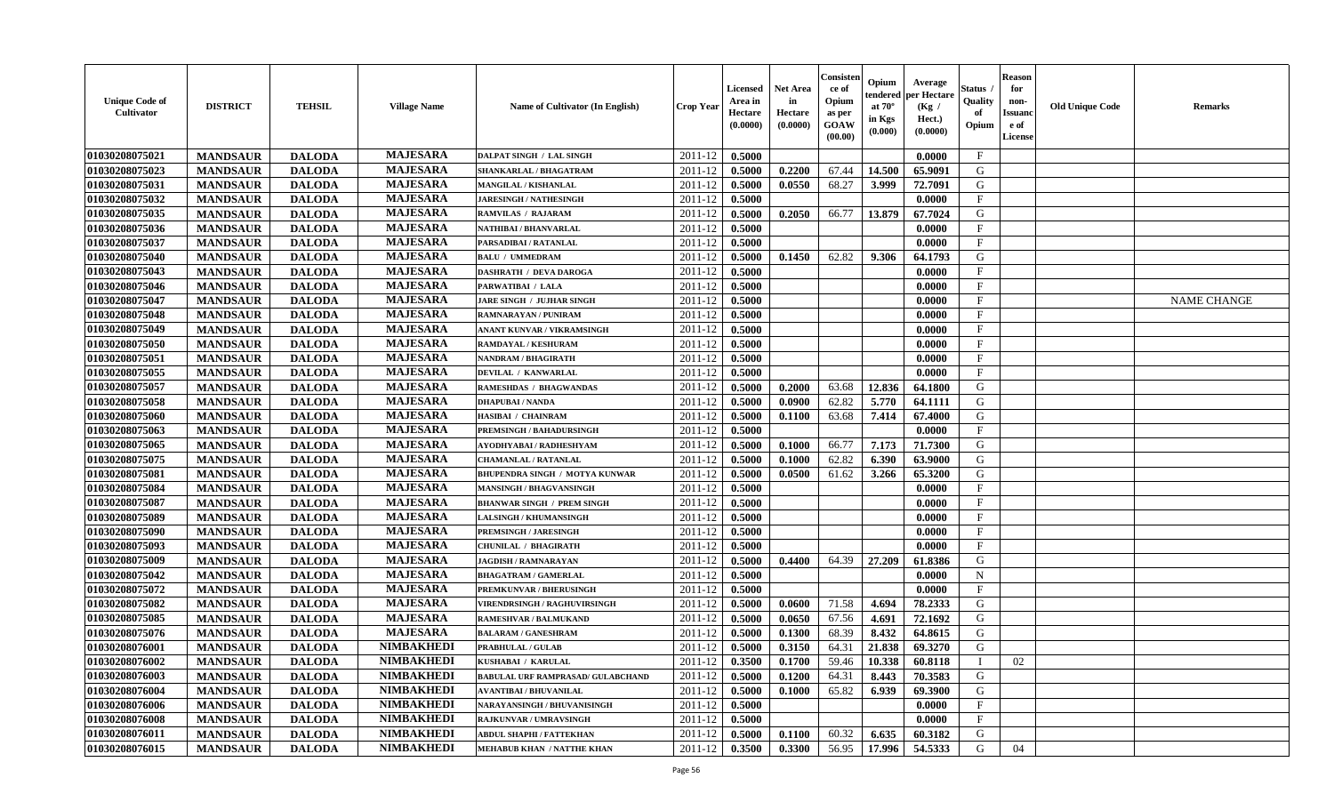| <b>Unique Code of</b><br><b>Cultivator</b> | <b>DISTRICT</b> | <b>TEHSIL</b> | <b>Village Name</b> | Name of Cultivator (In English)          | <b>Crop Year</b> | <b>Licensed</b><br>Area in<br>Hectare<br>(0.0000) | <b>Net Area</b><br>in<br>Hectare<br>(0.0000) | Consisteı<br>ce of<br>Opium<br>as per<br><b>GOAW</b><br>(00.00) | Opium<br>endered<br>at $70^\circ$<br>in Kgs<br>$(\mathbf{0.000})$ | Average<br>per Hectare<br>(Kg /<br>Hect.)<br>(0.0000) | Status<br>Quality<br>of<br>Opium | <b>Reason</b><br>for<br>non-<br>Issuan<br>e of<br>License | <b>Old Unique Code</b> | <b>Remarks</b>     |
|--------------------------------------------|-----------------|---------------|---------------------|------------------------------------------|------------------|---------------------------------------------------|----------------------------------------------|-----------------------------------------------------------------|-------------------------------------------------------------------|-------------------------------------------------------|----------------------------------|-----------------------------------------------------------|------------------------|--------------------|
| 01030208075021                             | <b>MANDSAUR</b> | <b>DALODA</b> | <b>MAJESARA</b>     | <b>DALPAT SINGH / LAL SINGH</b>          | 2011-12          | 0.5000                                            |                                              |                                                                 |                                                                   | 0.0000                                                | $\mathbf{F}$                     |                                                           |                        |                    |
| 01030208075023                             | <b>MANDSAUR</b> | <b>DALODA</b> | <b>MAJESARA</b>     | SHANKARLAL / BHAGATRAM                   | 2011-12          | 0.5000                                            | 0.2200                                       | 67.44                                                           | 14.500                                                            | 65.9091                                               | G                                |                                                           |                        |                    |
| 01030208075031                             | <b>MANDSAUR</b> | <b>DALODA</b> | <b>MAJESARA</b>     | MANGILAL / KISHANLAL                     | 2011-12          | 0.5000                                            | 0.0550                                       | 68.27                                                           | 3.999                                                             | 72.7091                                               | G                                |                                                           |                        |                    |
| 01030208075032                             | <b>MANDSAUR</b> | <b>DALODA</b> | <b>MAJESARA</b>     | <b>JARESINGH / NATHESINGH</b>            | 2011-12          | 0.5000                                            |                                              |                                                                 |                                                                   | 0.0000                                                | $\mathbf{F}$                     |                                                           |                        |                    |
| 01030208075035                             | <b>MANDSAUR</b> | <b>DALODA</b> | <b>MAJESARA</b>     | RAMVILAS / RAJARAM                       | 2011-12          | 0.5000                                            | 0.2050                                       | 66.77                                                           | 13.879                                                            | 67.7024                                               | G                                |                                                           |                        |                    |
| 01030208075036                             | <b>MANDSAUR</b> | <b>DALODA</b> | <b>MAJESARA</b>     | NATHIBAI / BHANVARLAL                    | 2011-12          | 0.5000                                            |                                              |                                                                 |                                                                   | 0.0000                                                | $\mathbf{F}$                     |                                                           |                        |                    |
| 01030208075037                             | <b>MANDSAUR</b> | <b>DALODA</b> | <b>MAJESARA</b>     | PARSADIBAI / RATANLAL                    | 2011-12          | 0.5000                                            |                                              |                                                                 |                                                                   | 0.0000                                                | $\mathbf F$                      |                                                           |                        |                    |
| 01030208075040                             | <b>MANDSAUR</b> | <b>DALODA</b> | <b>MAJESARA</b>     | <b>BALU / UMMEDRAM</b>                   | 2011-12          | 0.5000                                            | 0.1450                                       | 62.82                                                           | 9.306                                                             | 64.1793                                               | G                                |                                                           |                        |                    |
| 01030208075043                             | <b>MANDSAUR</b> | <b>DALODA</b> | <b>MAJESARA</b>     | <b>DASHRATH / DEVA DAROGA</b>            | 2011-12          | 0.5000                                            |                                              |                                                                 |                                                                   | 0.0000                                                | $_{\rm F}$                       |                                                           |                        |                    |
| 01030208075046                             | <b>MANDSAUR</b> | <b>DALODA</b> | <b>MAJESARA</b>     | PARWATIBAI / LALA                        | 2011-12          | 0.5000                                            |                                              |                                                                 |                                                                   | 0.0000                                                | $_{\rm F}$                       |                                                           |                        |                    |
| 01030208075047                             | <b>MANDSAUR</b> | <b>DALODA</b> | <b>MAJESARA</b>     | <b>JARE SINGH / JUJHAR SINGH</b>         | 2011-12          | 0.5000                                            |                                              |                                                                 |                                                                   | 0.0000                                                | $\mathbf{F}$                     |                                                           |                        | <b>NAME CHANGE</b> |
| 01030208075048                             | <b>MANDSAUR</b> | <b>DALODA</b> | <b>MAJESARA</b>     | <b>RAMNARAYAN / PUNIRAM</b>              | 2011-12          | 0.5000                                            |                                              |                                                                 |                                                                   | 0.0000                                                | $_{\rm F}$                       |                                                           |                        |                    |
| 01030208075049                             | <b>MANDSAUR</b> | <b>DALODA</b> | <b>MAJESARA</b>     | ANANT KUNVAR / VIKRAMSINGH               | 2011-12          | 0.5000                                            |                                              |                                                                 |                                                                   | 0.0000                                                | $\mathbf{F}$                     |                                                           |                        |                    |
| 01030208075050                             | <b>MANDSAUR</b> | <b>DALODA</b> | <b>MAJESARA</b>     | RAMDAYAL / KESHURAM                      | 2011-12          | 0.5000                                            |                                              |                                                                 |                                                                   | 0.0000                                                | $\mathbf{F}$                     |                                                           |                        |                    |
| 01030208075051                             | <b>MANDSAUR</b> | <b>DALODA</b> | <b>MAJESARA</b>     | NANDRAM / BHAGIRATH                      | 2011-12          | 0.5000                                            |                                              |                                                                 |                                                                   | 0.0000                                                | $\mathbf{F}$                     |                                                           |                        |                    |
| 01030208075055                             | <b>MANDSAUR</b> | <b>DALODA</b> | <b>MAJESARA</b>     | DEVILAL / KANWARLAL                      | 2011-12          | 0.5000                                            |                                              |                                                                 |                                                                   | 0.0000                                                | $_{\rm F}$                       |                                                           |                        |                    |
| 01030208075057                             | <b>MANDSAUR</b> | <b>DALODA</b> | <b>MAJESARA</b>     | RAMESHDAS / BHAGWANDAS                   | 2011-12          | 0.5000                                            | 0.2000                                       | 63.68                                                           | 12.836                                                            | 64.1800                                               | G                                |                                                           |                        |                    |
| 01030208075058                             | <b>MANDSAUR</b> | <b>DALODA</b> | <b>MAJESARA</b>     | <b>DHAPUBAI/NANDA</b>                    | 2011-12          | 0.5000                                            | 0.0900                                       | 62.82                                                           | 5.770                                                             | 64.1111                                               | G                                |                                                           |                        |                    |
| 01030208075060                             | <b>MANDSAUR</b> | <b>DALODA</b> | <b>MAJESARA</b>     | HASIBAI / CHAINRAM                       | 2011-12          | 0.5000                                            | 0.1100                                       | 63.68                                                           | 7.414                                                             | 67.4000                                               | G                                |                                                           |                        |                    |
| 01030208075063                             | <b>MANDSAUR</b> | <b>DALODA</b> | <b>MAJESARA</b>     | <b>PREMSINGH / BAHADURSINGH</b>          | 2011-12          | 0.5000                                            |                                              |                                                                 |                                                                   | 0.0000                                                | $\mathbf{F}$                     |                                                           |                        |                    |
| 01030208075065                             | <b>MANDSAUR</b> | <b>DALODA</b> | <b>MAJESARA</b>     | AYODHYABAI / RADHESHYAM                  | 2011-12          | 0.5000                                            | 0.1000                                       | 66.77                                                           | 7.173                                                             | 71.7300                                               | G                                |                                                           |                        |                    |
| 01030208075075                             | <b>MANDSAUR</b> | <b>DALODA</b> | <b>MAJESARA</b>     | <b>CHAMANLAL / RATANLAL</b>              | 2011-12          | 0.5000                                            | 0.1000                                       | 62.82                                                           | 6.390                                                             | 63.9000                                               | G                                |                                                           |                        |                    |
| 01030208075081                             | <b>MANDSAUR</b> | <b>DALODA</b> | <b>MAJESARA</b>     | BHUPENDRA SINGH / MOTYA KUNWAR           | 2011-12          | 0.5000                                            | 0.0500                                       | 61.62                                                           | 3.266                                                             | 65.3200                                               | G                                |                                                           |                        |                    |
| 01030208075084                             | <b>MANDSAUR</b> | <b>DALODA</b> | <b>MAJESARA</b>     | <b>MANSINGH / BHAGVANSINGH</b>           | 2011-12          | 0.5000                                            |                                              |                                                                 |                                                                   | 0.0000                                                | $\mathbf{F}$                     |                                                           |                        |                    |
| 01030208075087                             | <b>MANDSAUR</b> | <b>DALODA</b> | <b>MAJESARA</b>     | <b>BHANWAR SINGH / PREM SINGH</b>        | 2011-12          | 0.5000                                            |                                              |                                                                 |                                                                   | 0.0000                                                | $\mathbf{F}$                     |                                                           |                        |                    |
| 01030208075089                             | <b>MANDSAUR</b> | <b>DALODA</b> | <b>MAJESARA</b>     | <b>LALSINGH / KHUMANSINGH</b>            | 2011-12          | 0.5000                                            |                                              |                                                                 |                                                                   | 0.0000                                                | $\mathbf{F}$                     |                                                           |                        |                    |
| 01030208075090                             | <b>MANDSAUR</b> | <b>DALODA</b> | <b>MAJESARA</b>     | <b>PREMSINGH / JARESINGH</b>             | 2011-12          | 0.5000                                            |                                              |                                                                 |                                                                   | 0.0000                                                | $_{\rm F}$                       |                                                           |                        |                    |
| 01030208075093                             | <b>MANDSAUR</b> | <b>DALODA</b> | <b>MAJESARA</b>     | CHUNILAL / BHAGIRATH                     | 2011-12          | 0.5000                                            |                                              |                                                                 |                                                                   | 0.0000                                                | $\mathbf{F}$                     |                                                           |                        |                    |
| 01030208075009                             | <b>MANDSAUR</b> | <b>DALODA</b> | <b>MAJESARA</b>     | <b>JAGDISH / RAMNARAYAN</b>              | 2011-12          | 0.5000                                            | 0.4400                                       | 64.39                                                           | 27.209                                                            | 61.8386                                               | G                                |                                                           |                        |                    |
| 01030208075042                             | <b>MANDSAUR</b> | <b>DALODA</b> | <b>MAJESARA</b>     | <b>BHAGATRAM / GAMERLAL</b>              | 2011-12          | 0.5000                                            |                                              |                                                                 |                                                                   | 0.0000                                                | $\mathbf N$                      |                                                           |                        |                    |
| 01030208075072                             | <b>MANDSAUR</b> | <b>DALODA</b> | <b>MAJESARA</b>     | PREMKUNVAR / BHERUSINGH                  | 2011-12          | 0.5000                                            |                                              |                                                                 |                                                                   | 0.0000                                                | $\mathbf{F}$                     |                                                           |                        |                    |
| 01030208075082                             | <b>MANDSAUR</b> | <b>DALODA</b> | <b>MAJESARA</b>     | <b>VIRENDRSINGH / RAGHUVIRSINGH</b>      | 2011-12          | 0.5000                                            | 0.0600                                       | 71.58                                                           | 4.694                                                             | 78.2333                                               | G                                |                                                           |                        |                    |
| 01030208075085                             | <b>MANDSAUR</b> | <b>DALODA</b> | <b>MAJESARA</b>     | RAMESHVAR / BALMUKAND                    | 2011-12          | 0.5000                                            | 0.0650                                       | 67.56                                                           | 4.691                                                             | 72.1692                                               | G                                |                                                           |                        |                    |
| 01030208075076                             | <b>MANDSAUR</b> | <b>DALODA</b> | <b>MAJESARA</b>     | <b>BALARAM / GANESHRAM</b>               | 2011-12          | 0.5000                                            | 0.1300                                       | 68.39                                                           | 8.432                                                             | 64.8615                                               | G                                |                                                           |                        |                    |
| 01030208076001                             | <b>MANDSAUR</b> | <b>DALODA</b> | <b>NIMBAKHEDI</b>   | <b>PRABHULAL / GULAB</b>                 | 2011-12          | 0.5000                                            | 0.3150                                       | 64.31                                                           | 21.838                                                            | 69.3270                                               | G                                |                                                           |                        |                    |
| 01030208076002                             | <b>MANDSAUR</b> | <b>DALODA</b> | NIMBAKHEDI          | KUSHABAI / KARULAL                       | $2011-12$ 0.3500 |                                                   | 0.1700                                       | 59.46                                                           |                                                                   | $ 10.338 $ 60.8118                                    | $\perp$                          | 02                                                        |                        |                    |
| 01030208076003                             | <b>MANDSAUR</b> | <b>DALODA</b> | <b>NIMBAKHEDI</b>   | <b>BABULAL URF RAMPRASAD/ GULABCHAND</b> | 2011-12          | 0.5000                                            | 0.1200                                       | 64.31                                                           | 8.443                                                             | 70.3583                                               | G                                |                                                           |                        |                    |
| 01030208076004                             | <b>MANDSAUR</b> | <b>DALODA</b> | <b>NIMBAKHEDI</b>   | <b>AVANTIBAI / BHUVANILAL</b>            | 2011-12          | 0.5000                                            | 0.1000                                       | 65.82                                                           | 6.939                                                             | 69.3900                                               | G                                |                                                           |                        |                    |
| 01030208076006                             | <b>MANDSAUR</b> | <b>DALODA</b> | <b>NIMBAKHEDI</b>   | NARAYANSINGH / BHUVANISINGH              | 2011-12          | 0.5000                                            |                                              |                                                                 |                                                                   | 0.0000                                                | $\mathbf{F}$                     |                                                           |                        |                    |
| 01030208076008                             | <b>MANDSAUR</b> | <b>DALODA</b> | <b>NIMBAKHEDI</b>   | <b>RAJKUNVAR / UMRAVSINGH</b>            | 2011-12          | 0.5000                                            |                                              |                                                                 |                                                                   | 0.0000                                                | $\mathbf F$                      |                                                           |                        |                    |
| 01030208076011                             | <b>MANDSAUR</b> | <b>DALODA</b> | <b>NIMBAKHEDI</b>   | ABDUL SHAPHI / FATTEKHAN                 | 2011-12          | 0.5000                                            | 0.1100                                       | 60.32                                                           | 6.635                                                             | 60.3182                                               | G                                |                                                           |                        |                    |
| 01030208076015                             | <b>MANDSAUR</b> | <b>DALODA</b> | <b>NIMBAKHEDI</b>   | <b>MEHABUB KHAN / NATTHE KHAN</b>        | 2011-12          | 0.3500                                            | 0.3300                                       | 56.95                                                           | 17.996                                                            | 54.5333                                               | G                                | 04                                                        |                        |                    |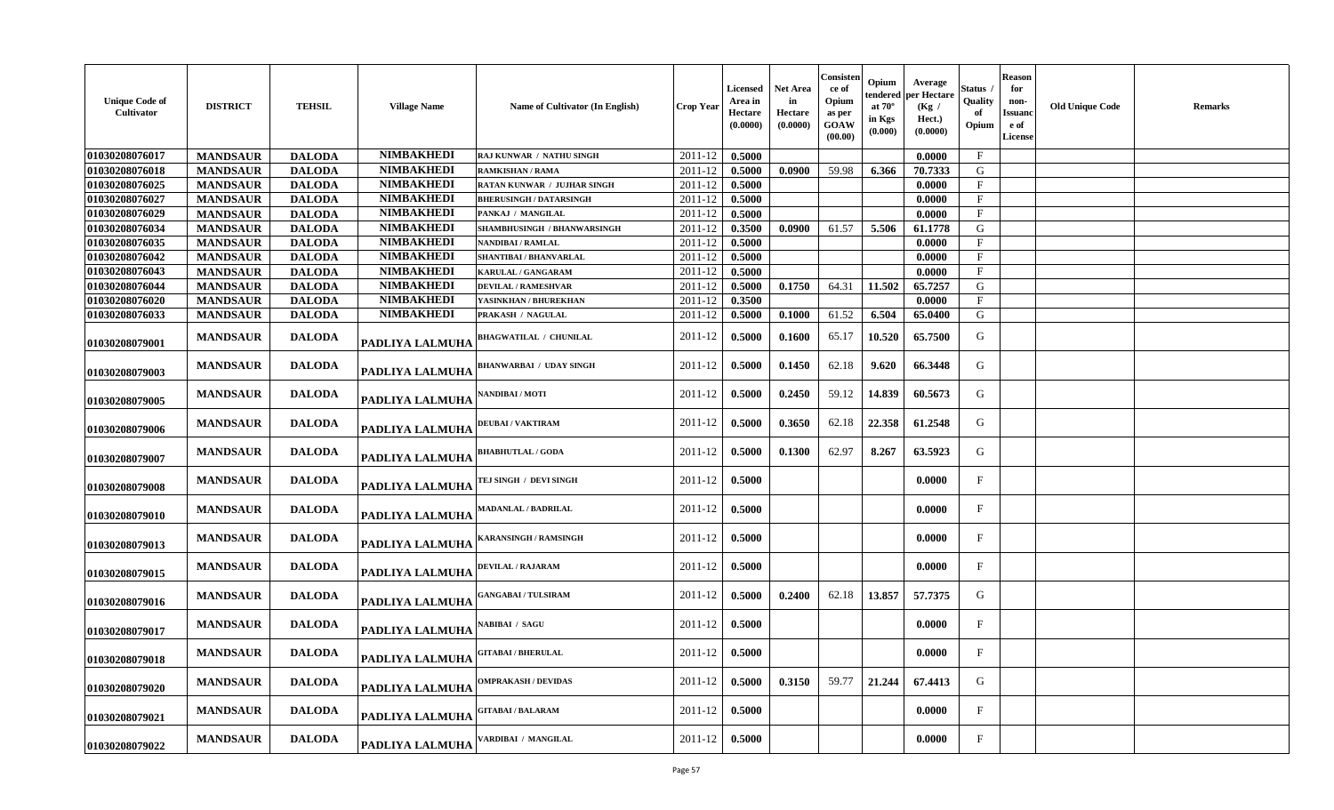| <b>Unique Code of</b><br>Cultivator | <b>DISTRICT</b> | <b>TEHSIL</b> | <b>Village Name</b> | <b>Name of Cultivator (In English)</b> | <b>Crop Year</b> | Licensed<br>Area in<br>Hectare<br>(0.0000) | Net Area<br>in<br>Hectare<br>(0.0000) | Consisten<br>ce of<br>Opium<br>as per<br>GOAW<br>(00.00) | Opium<br>tendered<br>at $70^\circ$<br>in Kgs<br>(0.000) | Average<br>per Hectare<br>(Kg /<br>Hect.)<br>(0.0000) | Status<br>Quality<br>Opium | <b>Reason</b><br>for<br>non-<br>Issuanc<br>e of<br><b>License</b> | <b>Old Unique Code</b> | <b>Remarks</b> |
|-------------------------------------|-----------------|---------------|---------------------|----------------------------------------|------------------|--------------------------------------------|---------------------------------------|----------------------------------------------------------|---------------------------------------------------------|-------------------------------------------------------|----------------------------|-------------------------------------------------------------------|------------------------|----------------|
| 01030208076017                      | <b>MANDSAUR</b> | <b>DALODA</b> | <b>NIMBAKHEDI</b>   | RAJ KUNWAR / NATHU SINGH               | 2011-12          | 0.5000                                     |                                       |                                                          |                                                         | 0.0000                                                | $\mathbf{F}$               |                                                                   |                        |                |
| 01030208076018                      | <b>MANDSAUR</b> | <b>DALODA</b> | <b>NIMBAKHEDI</b>   | <b>RAMKISHAN / RAMA</b>                | 2011-12          | 0.5000                                     | 0.0900                                | 59.98                                                    | 6.366                                                   | 70.7333                                               | G                          |                                                                   |                        |                |
| 01030208076025                      | <b>MANDSAUR</b> | <b>DALODA</b> | <b>NIMBAKHEDI</b>   | RATAN KUNWAR / JUJHAR SINGH            | 2011-12          | 0.5000                                     |                                       |                                                          |                                                         | 0.0000                                                | $\mathbf{F}$               |                                                                   |                        |                |
| 01030208076027                      | <b>MANDSAUR</b> | <b>DALODA</b> | <b>NIMBAKHEDI</b>   | <b>BHERUSINGH / DATARSINGH</b>         | 2011-12          | 0.5000                                     |                                       |                                                          |                                                         | 0.0000                                                | $\mathbf{F}$               |                                                                   |                        |                |
| 01030208076029                      | <b>MANDSAUR</b> | <b>DALODA</b> | <b>NIMBAKHEDI</b>   | PANKAJ / MANGILAL                      | $2011 - 12$      | 0.5000                                     |                                       |                                                          |                                                         | 0.0000                                                | $\mathbf{F}$               |                                                                   |                        |                |
| 01030208076034                      | <b>MANDSAUR</b> | <b>DALODA</b> | <b>NIMBAKHEDI</b>   | SHAMBHUSINGH / BHANWARSINGH            | 2011-12          | 0.3500                                     | 0.0900                                | 61.57                                                    | 5.506                                                   | 61.1778                                               | G                          |                                                                   |                        |                |
| 01030208076035                      | <b>MANDSAUR</b> | <b>DALODA</b> | <b>NIMBAKHEDI</b>   | <b>NANDIBAI / RAMLAL</b>               | 2011-12          | 0.5000                                     |                                       |                                                          |                                                         | 0.0000                                                | $\mathbf{F}$               |                                                                   |                        |                |
| 01030208076042                      | <b>MANDSAUR</b> | <b>DALODA</b> | <b>NIMBAKHEDI</b>   | SHANTIBAI / BHANVARLAL                 | 2011-12          | 0.5000                                     |                                       |                                                          |                                                         | 0.0000                                                | $\mathbf{F}$               |                                                                   |                        |                |
| 01030208076043                      | <b>MANDSAUR</b> | <b>DALODA</b> | <b>NIMBAKHEDI</b>   | <b>KARULAL / GANGARAM</b>              | 2011-12          | 0.5000                                     |                                       |                                                          |                                                         | 0.0000                                                | $\mathbf{F}$               |                                                                   |                        |                |
| 01030208076044                      | <b>MANDSAUR</b> | <b>DALODA</b> | <b>NIMBAKHEDI</b>   | <b>DEVILAL / RAMESHVAR</b>             | 2011-12          | 0.5000                                     | 0.1750                                | 64.31                                                    | 11.502                                                  | 65.7257                                               | G                          |                                                                   |                        |                |
| 01030208076020                      | <b>MANDSAUR</b> | <b>DALODA</b> | <b>NIMBAKHEDI</b>   | YASINKHAN / BHUREKHAN                  | $2011 - 12$      | 0.3500                                     |                                       |                                                          |                                                         | 0.0000                                                | $\mathbf{F}$               |                                                                   |                        |                |
| 01030208076033                      | <b>MANDSAUR</b> | <b>DALODA</b> | <b>NIMBAKHEDI</b>   | PRAKASH / NAGULAL                      | $2011 - 12$      | 0.5000                                     | 0.1000                                | 61.52                                                    | 6.504                                                   | 65.0400                                               | G                          |                                                                   |                        |                |
| 01030208079001                      | <b>MANDSAUR</b> | <b>DALODA</b> | PADLIYA LALMUHA     | <b>BHAGWATILAL / CHUNILAL</b>          | 2011-12          | 0.5000                                     | 0.1600                                | 65.17                                                    | 10.520                                                  | 65.7500                                               | G                          |                                                                   |                        |                |
| 01030208079003                      | <b>MANDSAUR</b> | <b>DALODA</b> | PADLIYA LALMUHA     | <b>BHANWARBAI / UDAY SINGH</b>         | 2011-12          | 0.5000                                     | 0.1450                                | 62.18                                                    | 9.620                                                   | 66.3448                                               | G                          |                                                                   |                        |                |
| 01030208079005                      | <b>MANDSAUR</b> | <b>DALODA</b> | PADLIYA LALMUHA     | NANDIBAI / MOTI                        | 2011-12          | 0.5000                                     | 0.2450                                | 59.12                                                    | 14.839                                                  | 60.5673                                               | G                          |                                                                   |                        |                |
| 01030208079006                      | <b>MANDSAUR</b> | <b>DALODA</b> | PADLIYA LALMUHA     | <b>DEUBAI/VAKTIRAM</b>                 | 2011-12          | 0.5000                                     | 0.3650                                | 62.18                                                    | 22.358                                                  | 61.2548                                               | G                          |                                                                   |                        |                |
| 01030208079007                      | <b>MANDSAUR</b> | <b>DALODA</b> | PADLIYA LALMUHA     | <b>BHABHUTLAL / GODA</b>               | 2011-12          | 0.5000                                     | 0.1300                                | 62.97                                                    | 8.267                                                   | 63.5923                                               | G                          |                                                                   |                        |                |
| 01030208079008                      | <b>MANDSAUR</b> | <b>DALODA</b> | PADLIYA LALMUHA     | TEJ SINGH / DEVI SINGH                 | 2011-12          | 0.5000                                     |                                       |                                                          |                                                         | 0.0000                                                | $\mathbf{F}$               |                                                                   |                        |                |
| 01030208079010                      | <b>MANDSAUR</b> | <b>DALODA</b> | PADLIYA LALMUHA     | <b>MADANLAL / BADRILAL</b>             | 2011-12          | 0.5000                                     |                                       |                                                          |                                                         | 0.0000                                                | $\mathbf{F}$               |                                                                   |                        |                |
| 01030208079013                      | <b>MANDSAUR</b> | <b>DALODA</b> | PADLIYA LALMUHA     | <b>KARANSINGH / RAMSINGH</b>           | 2011-12          | 0.5000                                     |                                       |                                                          |                                                         | 0.0000                                                | F                          |                                                                   |                        |                |
| 01030208079015                      | <b>MANDSAUR</b> | <b>DALODA</b> | PADLIYA LALMUHA     | DEVILAL / RAJARAM                      | 2011-12          | 0.5000                                     |                                       |                                                          |                                                         | 0.0000                                                | $\mathbf{F}$               |                                                                   |                        |                |
| 01030208079016                      | <b>MANDSAUR</b> | <b>DALODA</b> | PADLIYA LALMUHA     | <b>GANGABAI / TULSIRAM</b>             | 2011-12          | 0.5000                                     | 0.2400                                | 62.18                                                    | 13.857                                                  | 57.7375                                               | G                          |                                                                   |                        |                |
| 01030208079017                      | <b>MANDSAUR</b> | <b>DALODA</b> | PADLIYA LALMUHA     | <b>\ABIBAI / SAGU</b>                  | $2011 - 12$      | 0.5000                                     |                                       |                                                          |                                                         | 0.0000                                                | $\mathbf{F}$               |                                                                   |                        |                |
| 01030208079018                      | <b>MANDSAUR</b> | <b>DALODA</b> | PADLIYA LALMUHA     | <b>GITABAI/BHERULAL</b>                | 2011-12          | 0.5000                                     |                                       |                                                          |                                                         | 0.0000                                                | $\mathbf{F}$               |                                                                   |                        |                |
| 01030208079020                      | <b>MANDSAUR</b> | <b>DALODA</b> | PADLIYA LALMUHA     | <b>OMPRAKASH / DEVIDAS</b>             | 2011-12          | 0.5000                                     | 0.3150                                | 59.77                                                    | 21.244                                                  | 67.4413                                               | G                          |                                                                   |                        |                |
| 01030208079021                      | <b>MANDSAUR</b> | <b>DALODA</b> | PADLIYA LALMUHA     | <b>GITABAI/BALARAM</b>                 | 2011-12          | 0.5000                                     |                                       |                                                          |                                                         | 0.0000                                                | $_{\rm F}$                 |                                                                   |                        |                |
| 01030208079022                      | <b>MANDSAUR</b> | <b>DALODA</b> | PADLIYA LALMUHA     | VARDIBAI / MANGILAL                    | 2011-12          | 0.5000                                     |                                       |                                                          |                                                         | 0.0000                                                | F                          |                                                                   |                        |                |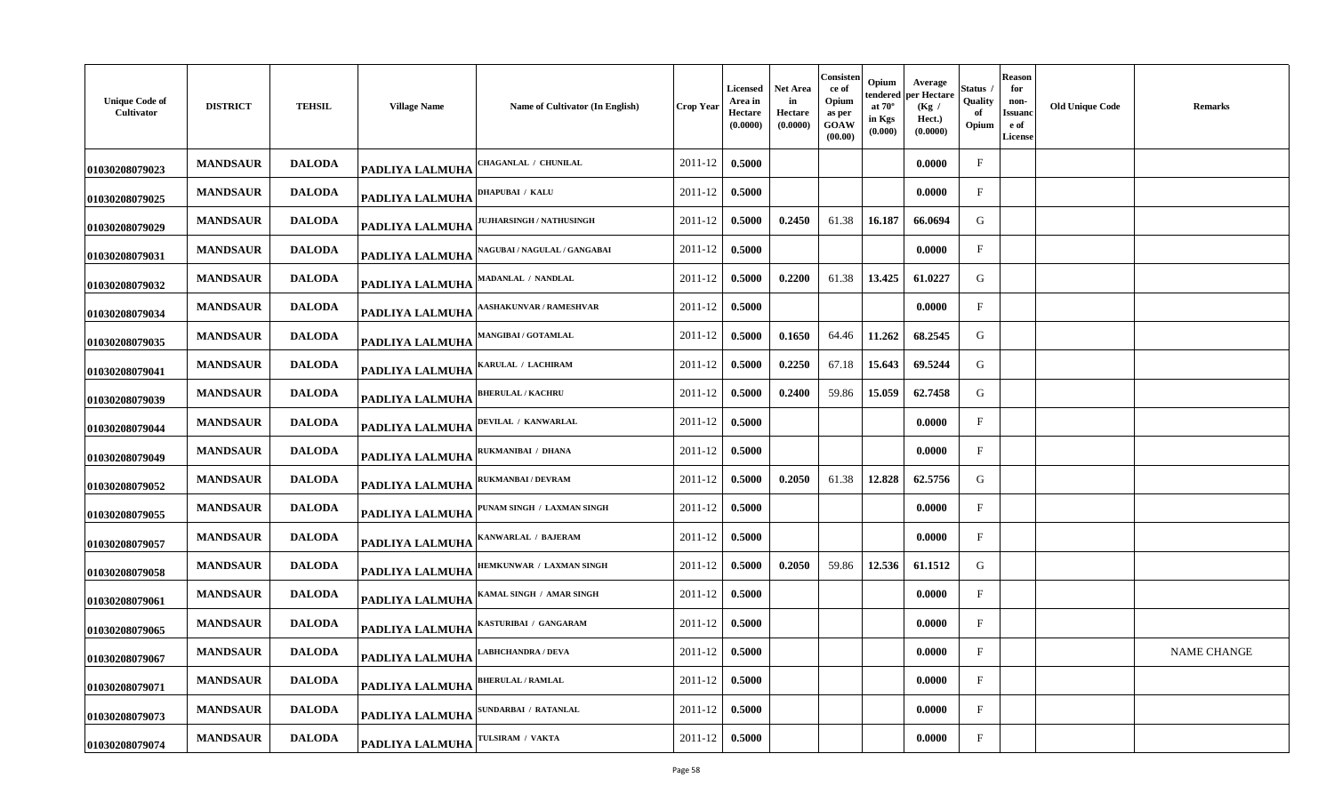| <b>Unique Code of</b><br>Cultivator | <b>DISTRICT</b> | <b>TEHSIL</b> | <b>Village Name</b>    | Name of Cultivator (In English)     | <b>Crop Year</b> | Licensed<br>Area in<br>Hectare<br>(0.0000) | Net Area<br>in<br>Hectare<br>(0.0000) | Consisten<br>ce of<br>Opium<br>as per<br>GOAW<br>(00.00) | Opium<br>tendered<br>at $70^\circ$<br>in Kgs<br>(0.000) | Average<br>per Hectare<br>(Kg /<br>Hect.)<br>(0.0000) | Status<br>Quality<br>of<br>Opium | <b>Reason</b><br>for<br>non-<br>Issuanc<br>e of<br>License | <b>Old Unique Code</b> | <b>Remarks</b>     |
|-------------------------------------|-----------------|---------------|------------------------|-------------------------------------|------------------|--------------------------------------------|---------------------------------------|----------------------------------------------------------|---------------------------------------------------------|-------------------------------------------------------|----------------------------------|------------------------------------------------------------|------------------------|--------------------|
| 01030208079023                      | <b>MANDSAUR</b> | <b>DALODA</b> | <b>PADLIYA LALMUHA</b> | <b>HAGANLAL / CHUNILAL</b>          | 2011-12          | 0.5000                                     |                                       |                                                          |                                                         | 0.0000                                                | F                                |                                                            |                        |                    |
| 01030208079025                      | <b>MANDSAUR</b> | <b>DALODA</b> | <b>PADLIYA LALMUHA</b> | DHAPUBAI / KALU                     | 2011-12          | 0.5000                                     |                                       |                                                          |                                                         | 0.0000                                                | $_{\rm F}$                       |                                                            |                        |                    |
| 01030208079029                      | <b>MANDSAUR</b> | <b>DALODA</b> | <b>PADLIYA LALMUHA</b> | <b>UJHARSINGH / NATHUSINGH</b>      | 2011-12          | 0.5000                                     | 0.2450                                | 61.38                                                    | 16.187                                                  | 66.0694                                               | G                                |                                                            |                        |                    |
| 01030208079031                      | <b>MANDSAUR</b> | <b>DALODA</b> | PADLIYA LALMUHA        | <b>NAGUBAI / NAGULAL / GANGABAI</b> | 2011-12          | 0.5000                                     |                                       |                                                          |                                                         | 0.0000                                                | $\mathbf{F}$                     |                                                            |                        |                    |
| 01030208079032                      | <b>MANDSAUR</b> | <b>DALODA</b> | PADLIYA LALMUHA        | MADANLAL / NANDLAL                  | 2011-12          | 0.5000                                     | 0.2200                                | 61.38                                                    | 13.425                                                  | 61.0227                                               | G                                |                                                            |                        |                    |
| 01030208079034                      | <b>MANDSAUR</b> | <b>DALODA</b> | <b>PADLIYA LALMUHA</b> | <b>ASHAKUNVAR / RAMESHVAR</b>       | 2011-12          | 0.5000                                     |                                       |                                                          |                                                         | 0.0000                                                | $\mathbf F$                      |                                                            |                        |                    |
| 01030208079035                      | <b>MANDSAUR</b> | <b>DALODA</b> | PADLIYA LALMUHA        | <b>MANGIBAI/GOTAMLAL</b>            | 2011-12          | 0.5000                                     | 0.1650                                | 64.46                                                    | 11.262                                                  | 68.2545                                               | G                                |                                                            |                        |                    |
| 01030208079041                      | <b>MANDSAUR</b> | <b>DALODA</b> | PADLIYA LALMUHA        | KARULAL / LACHIRAM                  | 2011-12          | 0.5000                                     | 0.2250                                | 67.18                                                    | 15.643                                                  | 69.5244                                               | G                                |                                                            |                        |                    |
| 01030208079039                      | <b>MANDSAUR</b> | <b>DALODA</b> | PADLIYA LALMUHA        | <b>BHERULAL / KACHRU</b>            | 2011-12          | 0.5000                                     | 0.2400                                | 59.86                                                    | 15.059                                                  | 62.7458                                               | G                                |                                                            |                        |                    |
| 01030208079044                      | <b>MANDSAUR</b> | <b>DALODA</b> | PADLIYA LALMUHA        | DEVILAL / KANWARLAL                 | 2011-12          | 0.5000                                     |                                       |                                                          |                                                         | 0.0000                                                | $\mathbf{F}$                     |                                                            |                        |                    |
| 01030208079049                      | <b>MANDSAUR</b> | <b>DALODA</b> | PADLIYA LALMUHA        | RUKMANIBAI / DHANA                  | 2011-12          | 0.5000                                     |                                       |                                                          |                                                         | 0.0000                                                | $_{\rm F}$                       |                                                            |                        |                    |
| 01030208079052                      | <b>MANDSAUR</b> | <b>DALODA</b> | PADLIYA LALMUHA        | RUKMANBAI / DEVRAM                  | 2011-12          | 0.5000                                     | 0.2050                                | 61.38                                                    | 12.828                                                  | 62.5756                                               | G                                |                                                            |                        |                    |
| 01030208079055                      | <b>MANDSAUR</b> | <b>DALODA</b> | PADLIYA LALMUHA        | PUNAM SINGH / LAXMAN SINGH          | 2011-12          | 0.5000                                     |                                       |                                                          |                                                         | 0.0000                                                | F                                |                                                            |                        |                    |
| 01030208079057                      | <b>MANDSAUR</b> | <b>DALODA</b> | PADLIYA LALMUHA        | <b>ANWARLAL / BAJERAM</b>           | 2011-12          | 0.5000                                     |                                       |                                                          |                                                         | 0.0000                                                | $\mathbf F$                      |                                                            |                        |                    |
| 01030208079058                      | <b>MANDSAUR</b> | <b>DALODA</b> | <b>PADLIYA LALMUHA</b> | HEMKUNWAR / LAXMAN SINGH            | 2011-12          | 0.5000                                     | 0.2050                                | 59.86                                                    | 12.536                                                  | 61.1512                                               | G                                |                                                            |                        |                    |
| 01030208079061                      | <b>MANDSAUR</b> | <b>DALODA</b> | PADLIYA LALMUHA        | AMAL SINGH / AMAR SINGH             | 2011-12          | 0.5000                                     |                                       |                                                          |                                                         | 0.0000                                                | $\mathbf{F}$                     |                                                            |                        |                    |
| 01030208079065                      | <b>MANDSAUR</b> | <b>DALODA</b> | PADLIYA LALMUHA        | KASTURIBAI / GANGARAM               | 2011-12          | 0.5000                                     |                                       |                                                          |                                                         | 0.0000                                                | $\mathbf{F}$                     |                                                            |                        |                    |
| 01030208079067                      | <b>MANDSAUR</b> | <b>DALODA</b> | PADLIYA LALMUHA        | <b>ABHCHANDRA / DEVA</b>            | 2011-12          | 0.5000                                     |                                       |                                                          |                                                         | 0.0000                                                | $\mathbf{F}$                     |                                                            |                        | <b>NAME CHANGE</b> |
| 01030208079071                      | <b>MANDSAUR</b> | <b>DALODA</b> | <b>PADLIYA LALMUHA</b> | <b>BHERULAL / RAMLAL</b>            | 2011-12          | 0.5000                                     |                                       |                                                          |                                                         | 0.0000                                                | $\mathbf{F}$                     |                                                            |                        |                    |
| 01030208079073                      | <b>MANDSAUR</b> | <b>DALODA</b> | <b>PADLIYA LALMUHA</b> | SUNDARBAI / RATANLAL                | 2011-12          | 0.5000                                     |                                       |                                                          |                                                         | 0.0000                                                | $_{\rm F}$                       |                                                            |                        |                    |
| 01030208079074                      | <b>MANDSAUR</b> | <b>DALODA</b> | PADLIYA LALMUHA        | <b>TULSIRAM / VAKTA</b>             | 2011-12          | 0.5000                                     |                                       |                                                          |                                                         | 0.0000                                                | $_{\rm F}$                       |                                                            |                        |                    |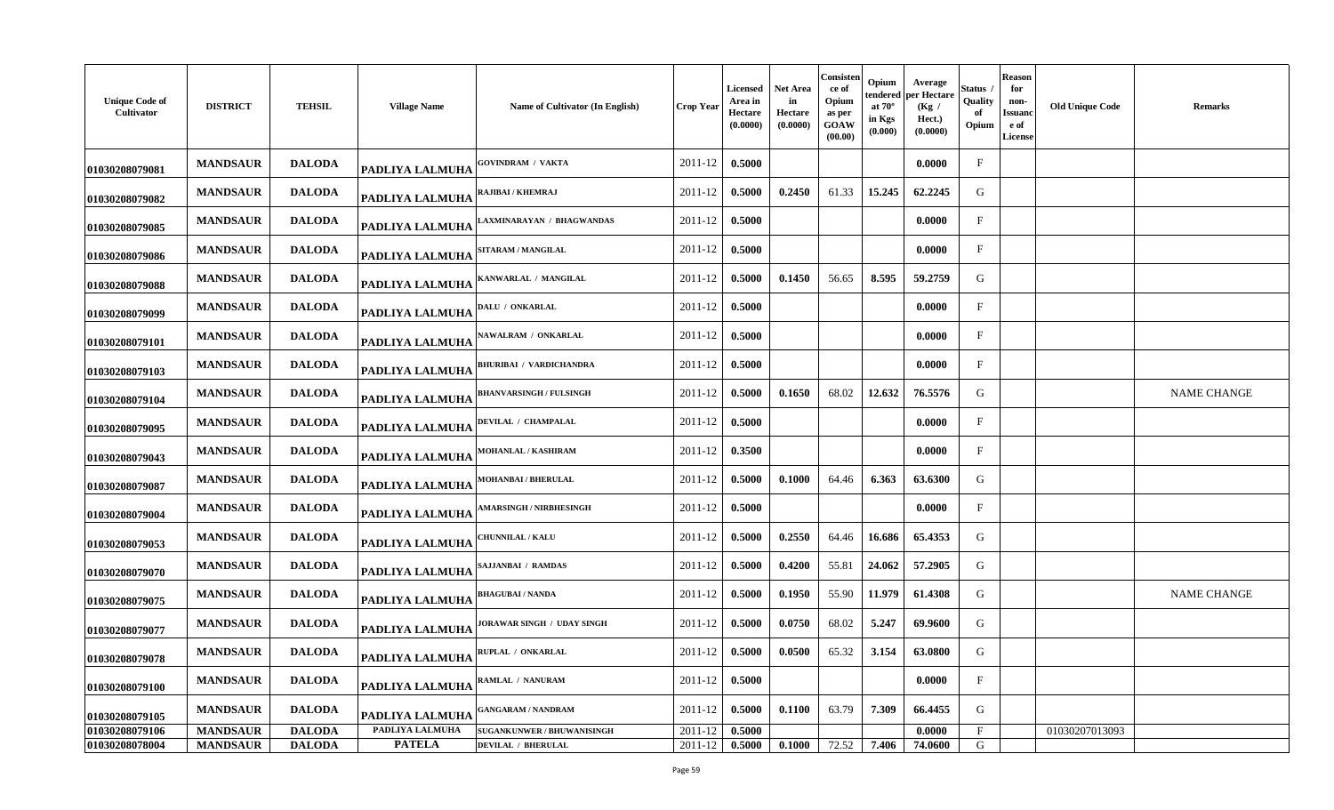| <b>Unique Code of</b><br>Cultivator | <b>DISTRICT</b> | <b>TEHSIL</b> | <b>Village Name</b>    | Name of Cultivator (In English)   | Crop Year | Licensed<br>Area in<br>Hectare<br>(0.0000) | Net Area<br>in<br>Hectare<br>(0.0000) | Consisten<br>ce of<br>Opium<br>as per<br>GOAW<br>(00.00) | Opium<br>tendered<br>at $70^\circ$<br>in Kgs<br>(0.000) | Average<br>per Hectare<br>(Kg /<br>Hect.)<br>(0.0000) | Status<br>Quality<br>-of<br>Opium | Reason<br>for<br>non-<br>Issuano<br>e of<br><b>License</b> | <b>Old Unique Code</b> | Remarks            |
|-------------------------------------|-----------------|---------------|------------------------|-----------------------------------|-----------|--------------------------------------------|---------------------------------------|----------------------------------------------------------|---------------------------------------------------------|-------------------------------------------------------|-----------------------------------|------------------------------------------------------------|------------------------|--------------------|
| 01030208079081                      | <b>MANDSAUR</b> | <b>DALODA</b> | <b>PADLIYA LALMUHA</b> | <b>GOVINDRAM / VAKTA</b>          | 2011-12   | 0.5000                                     |                                       |                                                          |                                                         | 0.0000                                                | F                                 |                                                            |                        |                    |
| 01030208079082                      | <b>MANDSAUR</b> | <b>DALODA</b> | PADLIYA LALMUHA        | RAJIBAI / KHEMRAJ                 | 2011-12   | 0.5000                                     | 0.2450                                | 61.33                                                    | 15.245                                                  | 62.2245                                               | G                                 |                                                            |                        |                    |
| 01030208079085                      | <b>MANDSAUR</b> | <b>DALODA</b> | <b>PADLIYA LALMUHA</b> | AXMINARAYAN / BHAGWANDAS          | 2011-12   | 0.5000                                     |                                       |                                                          |                                                         | 0.0000                                                | $\mathbf{F}$                      |                                                            |                        |                    |
| 01030208079086                      | <b>MANDSAUR</b> | <b>DALODA</b> | PADLIYA LALMUHA        | <b>SITARAM / MANGILAL</b>         | 2011-12   | 0.5000                                     |                                       |                                                          |                                                         | 0.0000                                                | $\mathbf{F}$                      |                                                            |                        |                    |
| 01030208079088                      | <b>MANDSAUR</b> | <b>DALODA</b> | <b>PADLIYA LALMUHA</b> | ANWARLAL / MANGILAL               | 2011-12   | 0.5000                                     | 0.1450                                | 56.65                                                    | 8.595                                                   | 59.2759                                               | G                                 |                                                            |                        |                    |
| 01030208079099                      | <b>MANDSAUR</b> | <b>DALODA</b> | PADLIYA LALMUHA        | DALU / ONKARLAL                   | 2011-12   | 0.5000                                     |                                       |                                                          |                                                         | 0.0000                                                | $_{\rm F}$                        |                                                            |                        |                    |
| 01030208079101                      | <b>MANDSAUR</b> | <b>DALODA</b> | <b>PADLIYA LALMUHA</b> | <b>NAWALRAM / ONKARLAL</b>        | 2011-12   | 0.5000                                     |                                       |                                                          |                                                         | 0.0000                                                | $\mathbf{F}$                      |                                                            |                        |                    |
| 01030208079103                      | <b>MANDSAUR</b> | <b>DALODA</b> | PADLIYA LALMUHA        | <b>BHURIBAI / VARDICHANDRA</b>    | 2011-12   | 0.5000                                     |                                       |                                                          |                                                         | 0.0000                                                | $\mathbf{F}$                      |                                                            |                        |                    |
| 01030208079104                      | <b>MANDSAUR</b> | <b>DALODA</b> | <b>PADLIYA LALMUHA</b> | <b>BHANVARSINGH / FULSINGH</b>    | 2011-12   | 0.5000                                     | 0.1650                                | 68.02                                                    | 12.632                                                  | 76.5576                                               | G                                 |                                                            |                        | <b>NAME CHANGE</b> |
| 01030208079095                      | <b>MANDSAUR</b> | <b>DALODA</b> | <b>PADLIYA LALMUHA</b> | DEVILAL / CHAMPALAL               | 2011-12   | 0.5000                                     |                                       |                                                          |                                                         | 0.0000                                                | $\mathbf{F}$                      |                                                            |                        |                    |
| 01030208079043                      | <b>MANDSAUR</b> | <b>DALODA</b> | <b>PADLIYA LALMUHA</b> | <b>MOHANLAL / KASHIRAM</b>        | 2011-12   | 0.3500                                     |                                       |                                                          |                                                         | 0.0000                                                | $\mathbf{F}$                      |                                                            |                        |                    |
| 01030208079087                      | <b>MANDSAUR</b> | <b>DALODA</b> | PADLIYA LALMUHA        | <b>MOHANBAI / BHERULAL</b>        | 2011-12   | 0.5000                                     | 0.1000                                | 64.46                                                    | 6.363                                                   | 63.6300                                               | G                                 |                                                            |                        |                    |
| 01030208079004                      | <b>MANDSAUR</b> | <b>DALODA</b> | PADLIYA LALMUHA        | <b>AMARSINGH / NIRBHESINGH</b>    | 2011-12   | 0.5000                                     |                                       |                                                          |                                                         | 0.0000                                                | $\mathbf{F}$                      |                                                            |                        |                    |
| 01030208079053                      | <b>MANDSAUR</b> | <b>DALODA</b> | <b>PADLIYA LALMUHA</b> | <b>HUNNILAL / KALU</b>            | 2011-12   | 0.5000                                     | 0.2550                                | 64.46                                                    | 16.686                                                  | 65.4353                                               | G                                 |                                                            |                        |                    |
| 01030208079070                      | <b>MANDSAUR</b> | <b>DALODA</b> | PADLIYA LALMUHA        | SAJJANBAI / RAMDAS                | 2011-12   | 0.5000                                     | 0.4200                                | 55.81                                                    | 24.062                                                  | 57.2905                                               | G                                 |                                                            |                        |                    |
| 01030208079075                      | <b>MANDSAUR</b> | <b>DALODA</b> | PADLIYA LALMUHA        | <b>BHAGUBAI / NANDA</b>           | 2011-12   | 0.5000                                     | 0.1950                                | 55.90                                                    | 11.979                                                  | 61.4308                                               | G                                 |                                                            |                        | <b>NAME CHANGE</b> |
| 01030208079077                      | <b>MANDSAUR</b> | <b>DALODA</b> | PADLIYA LALMUHA        | <b>IORAWAR SINGH / UDAY SINGH</b> | 2011-12   | 0.5000                                     | 0.0750                                | 68.02                                                    | 5.247                                                   | 69.9600                                               | G                                 |                                                            |                        |                    |
| 01030208079078                      | <b>MANDSAUR</b> | <b>DALODA</b> | <b>PADLIYA LALMUHA</b> | RUPLAL / ONKARLAL                 | 2011-12   | 0.5000                                     | 0.0500                                | 65.32                                                    | 3.154                                                   | 63.0800                                               | G                                 |                                                            |                        |                    |
| 01030208079100                      | <b>MANDSAUR</b> | <b>DALODA</b> | <b>PADLIYA LALMUHA</b> | RAMLAL / NANURAM                  | 2011-12   | 0.5000                                     |                                       |                                                          |                                                         | 0.0000                                                | $\mathbf{F}$                      |                                                            |                        |                    |
| 01030208079105                      | <b>MANDSAUR</b> | <b>DALODA</b> | PADLIYA LALMUHA        | <b>GANGARAM / NANDRAM</b>         | 2011-12   | 0.5000                                     | 0.1100                                | 63.79                                                    | 7.309                                                   | 66.4455                                               | G                                 |                                                            |                        |                    |
| 01030208079106                      | <b>MANDSAUR</b> | <b>DALODA</b> | PADLIYA LALMUHA        | <b>SUGANKUNWER / BHUWANISINGH</b> | 2011-12   | 0.5000                                     |                                       |                                                          |                                                         | 0.0000                                                | F                                 |                                                            | 01030207013093         |                    |
| 01030208078004                      | <b>MANDSAUR</b> | <b>DALODA</b> | <b>PATELA</b>          | <b>DEVILAL / BHERULAL</b>         | 2011-12   | 0.5000                                     | 0.1000                                | 72.52                                                    | 7.406                                                   | 74.0600                                               | G                                 |                                                            |                        |                    |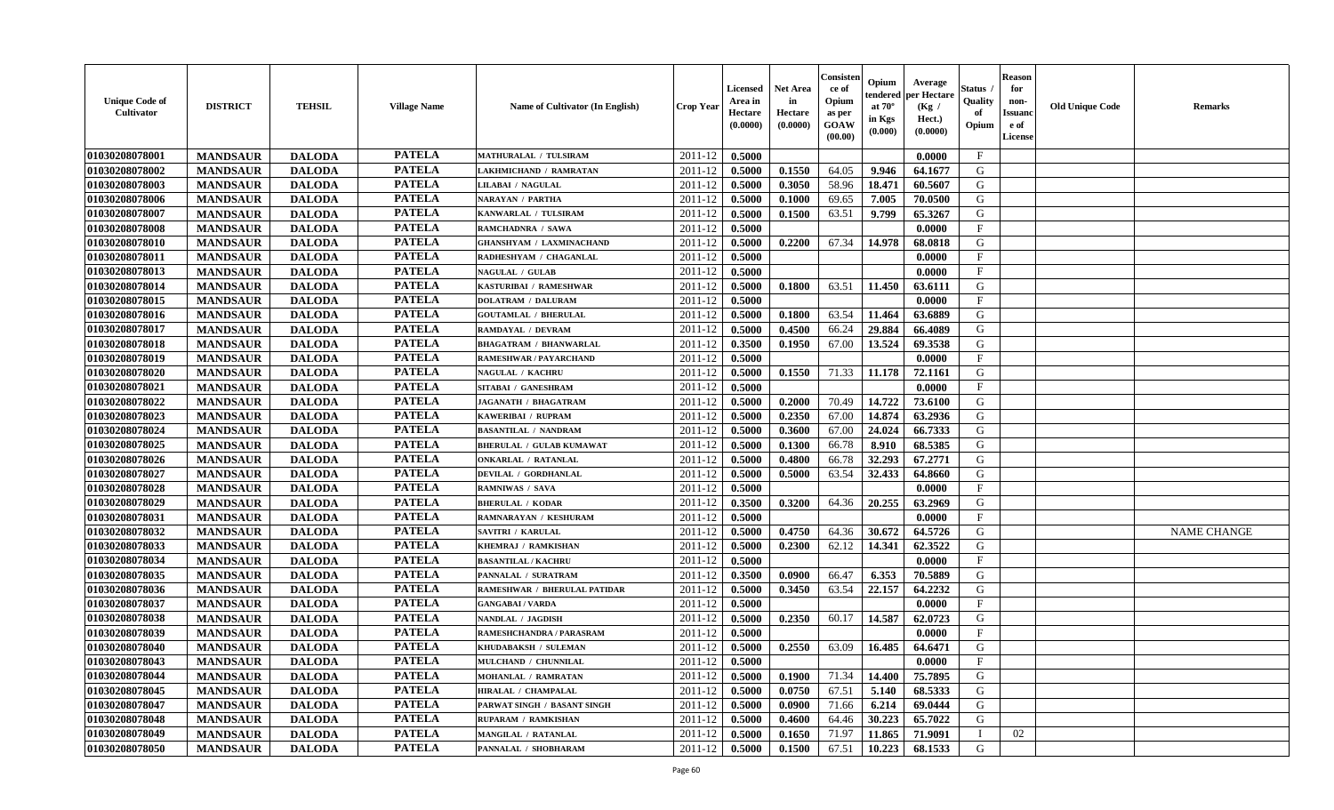| <b>Unique Code of</b><br><b>Cultivator</b> | <b>DISTRICT</b> | <b>TEHSIL</b> | <b>Village Name</b> | Name of Cultivator (In English) | <b>Crop Year</b> | <b>Licensed</b><br>Area in<br>Hectare<br>(0.0000) | <b>Net Area</b><br>in<br>Hectare<br>(0.0000) | Consisten<br>ce of<br>Opium<br>as per<br><b>GOAW</b><br>(00.00) | Opium<br>endered<br>at $70^\circ$<br>in Kgs<br>(0.000) | Average<br>per Hectare<br>(Kg /<br>Hect.)<br>(0.0000) | Status ,<br>Quality<br>of<br>Opium | <b>Reason</b><br>for<br>non-<br><b>Issuanc</b><br>e of<br><b>License</b> | <b>Old Unique Code</b> | <b>Remarks</b>     |
|--------------------------------------------|-----------------|---------------|---------------------|---------------------------------|------------------|---------------------------------------------------|----------------------------------------------|-----------------------------------------------------------------|--------------------------------------------------------|-------------------------------------------------------|------------------------------------|--------------------------------------------------------------------------|------------------------|--------------------|
| 01030208078001                             | <b>MANDSAUR</b> | <b>DALODA</b> | <b>PATELA</b>       | <b>MATHURALAL / TULSIRAM</b>    | 2011-12          | 0.5000                                            |                                              |                                                                 |                                                        | 0.0000                                                | $\mathbf{F}$                       |                                                                          |                        |                    |
| 01030208078002                             | <b>MANDSAUR</b> | <b>DALODA</b> | <b>PATELA</b>       | LAKHMICHAND / RAMRATAN          | 2011-12          | 0.5000                                            | 0.1550                                       | 64.05                                                           | 9.946                                                  | 64.1677                                               | G                                  |                                                                          |                        |                    |
| 01030208078003                             | <b>MANDSAUR</b> | <b>DALODA</b> | <b>PATELA</b>       | LILABAI / NAGULAL               | 2011-12          | 0.5000                                            | 0.3050                                       | 58.96                                                           | 18.471                                                 | 60.5607                                               | G                                  |                                                                          |                        |                    |
| 01030208078006                             | <b>MANDSAUR</b> | <b>DALODA</b> | <b>PATELA</b>       | <b>NARAYAN / PARTHA</b>         | 2011-12          | 0.5000                                            | 0.1000                                       | 69.65                                                           | 7.005                                                  | 70.0500                                               | G                                  |                                                                          |                        |                    |
| 01030208078007                             | <b>MANDSAUR</b> | <b>DALODA</b> | <b>PATELA</b>       | KANWARLAL / TULSIRAM            | 2011-12          | 0.5000                                            | 0.1500                                       | 63.51                                                           | 9.799                                                  | 65.3267                                               | G                                  |                                                                          |                        |                    |
| 01030208078008                             | <b>MANDSAUR</b> | <b>DALODA</b> | <b>PATELA</b>       | RAMCHADNRA / SAWA               | 2011-12          | 0.5000                                            |                                              |                                                                 |                                                        | 0.0000                                                | $\mathbf{F}$                       |                                                                          |                        |                    |
| 01030208078010                             | <b>MANDSAUR</b> | <b>DALODA</b> | <b>PATELA</b>       | <b>GHANSHYAM / LAXMINACHAND</b> | 2011-12          | 0.5000                                            | 0.2200                                       | 67.34                                                           | 14.978                                                 | 68.0818                                               | G                                  |                                                                          |                        |                    |
| 01030208078011                             | <b>MANDSAUR</b> | <b>DALODA</b> | <b>PATELA</b>       | RADHESHYAM / CHAGANLAL          | 2011-12          | 0.5000                                            |                                              |                                                                 |                                                        | 0.0000                                                | $\mathbf{F}$                       |                                                                          |                        |                    |
| 01030208078013                             | <b>MANDSAUR</b> | <b>DALODA</b> | <b>PATELA</b>       | <b>NAGULAL / GULAB</b>          | 2011-12          | 0.5000                                            |                                              |                                                                 |                                                        | 0.0000                                                | $\mathbf{F}$                       |                                                                          |                        |                    |
| 01030208078014                             | <b>MANDSAUR</b> | <b>DALODA</b> | <b>PATELA</b>       | KASTURIBAI / RAMESHWAR          | 2011-12          | 0.5000                                            | 0.1800                                       | 63.51                                                           | 11.450                                                 | 63.6111                                               | G                                  |                                                                          |                        |                    |
| 01030208078015                             | <b>MANDSAUR</b> | <b>DALODA</b> | <b>PATELA</b>       | <b>DOLATRAM / DALURAM</b>       | 2011-12          | 0.5000                                            |                                              |                                                                 |                                                        | 0.0000                                                | $\mathbf{F}$                       |                                                                          |                        |                    |
| 01030208078016                             | <b>MANDSAUR</b> | <b>DALODA</b> | <b>PATELA</b>       | <b>GOUTAMLAL / BHERULAL</b>     | 2011-12          | 0.5000                                            | 0.1800                                       | 63.54                                                           | 11.464                                                 | 63.6889                                               | G                                  |                                                                          |                        |                    |
| 01030208078017                             | <b>MANDSAUR</b> | <b>DALODA</b> | <b>PATELA</b>       | <b>RAMDAYAL / DEVRAM</b>        | 2011-12          | 0.5000                                            | 0.4500                                       | 66.24                                                           | 29.884                                                 | 66.4089                                               | G                                  |                                                                          |                        |                    |
| 01030208078018                             | <b>MANDSAUR</b> | <b>DALODA</b> | <b>PATELA</b>       | <b>BHAGATRAM / BHANWARLAL</b>   | 2011-12          | 0.3500                                            | 0.1950                                       | 67.00                                                           | 13.524                                                 | 69.3538                                               | G                                  |                                                                          |                        |                    |
| 01030208078019                             | <b>MANDSAUR</b> | <b>DALODA</b> | <b>PATELA</b>       | <b>RAMESHWAR / PAYARCHAND</b>   | 2011-12          | 0.5000                                            |                                              |                                                                 |                                                        | 0.0000                                                | $\mathbf{F}$                       |                                                                          |                        |                    |
| 01030208078020                             | <b>MANDSAUR</b> | <b>DALODA</b> | <b>PATELA</b>       | <b>NAGULAL / KACHRU</b>         | 2011-12          | 0.5000                                            | 0.1550                                       | 71.33                                                           | 11.178                                                 | 72.1161                                               | G                                  |                                                                          |                        |                    |
| 01030208078021                             | <b>MANDSAUR</b> | <b>DALODA</b> | <b>PATELA</b>       | SITABAI / GANESHRAM             | 2011-12          | 0.5000                                            |                                              |                                                                 |                                                        | 0.0000                                                | $\mathbf F$                        |                                                                          |                        |                    |
| 01030208078022                             | <b>MANDSAUR</b> | <b>DALODA</b> | <b>PATELA</b>       | <b>JAGANATH / BHAGATRAM</b>     | 2011-12          | 0.5000                                            | 0.2000                                       | 70.49                                                           | 14.722                                                 | 73.6100                                               | G                                  |                                                                          |                        |                    |
| 01030208078023                             | <b>MANDSAUR</b> | <b>DALODA</b> | <b>PATELA</b>       | KAWERIBAI / RUPRAM              | 2011-12          | 0.5000                                            | 0.2350                                       | 67.00                                                           | 14.874                                                 | 63.2936                                               | G                                  |                                                                          |                        |                    |
| 01030208078024                             | <b>MANDSAUR</b> | <b>DALODA</b> | <b>PATELA</b>       | <b>BASANTILAL / NANDRAM</b>     | 2011-12          | 0.5000                                            | 0.3600                                       | 67.00                                                           | 24.024                                                 | 66.7333                                               | G                                  |                                                                          |                        |                    |
| 01030208078025                             | <b>MANDSAUR</b> | <b>DALODA</b> | <b>PATELA</b>       | <b>BHERULAL / GULAB KUMAWAT</b> | 2011-12          | 0.5000                                            | 0.1300                                       | 66.78                                                           | 8.910                                                  | 68.5385                                               | G                                  |                                                                          |                        |                    |
| 01030208078026                             | <b>MANDSAUR</b> | <b>DALODA</b> | <b>PATELA</b>       | <b>ONKARLAL / RATANLAL</b>      | 2011-12          | 0.5000                                            | 0.4800                                       | 66.78                                                           | 32.293                                                 | 67.2771                                               | G                                  |                                                                          |                        |                    |
| 01030208078027                             | <b>MANDSAUR</b> | <b>DALODA</b> | <b>PATELA</b>       | DEVILAL / GORDHANLAL            | 2011-12          | 0.5000                                            | 0.5000                                       | 63.54                                                           | 32.433                                                 | 64.8660                                               | G                                  |                                                                          |                        |                    |
| 01030208078028                             | <b>MANDSAUR</b> | <b>DALODA</b> | <b>PATELA</b>       | RAMNIWAS / SAVA                 | 2011-12          | 0.5000                                            |                                              |                                                                 |                                                        | 0.0000                                                | $\mathbf{F}$                       |                                                                          |                        |                    |
| 01030208078029                             | <b>MANDSAUR</b> | <b>DALODA</b> | <b>PATELA</b>       | <b>BHERULAL / KODAR</b>         | 2011-12          | 0.3500                                            | 0.3200                                       | 64.36                                                           | 20.255                                                 | 63.2969                                               | G                                  |                                                                          |                        |                    |
| 01030208078031                             | <b>MANDSAUR</b> | <b>DALODA</b> | <b>PATELA</b>       | RAMNARAYAN / KESHURAM           | 2011-12          | 0.5000                                            |                                              |                                                                 |                                                        | 0.0000                                                | $\mathbf{F}$                       |                                                                          |                        |                    |
| 01030208078032                             | <b>MANDSAUR</b> | <b>DALODA</b> | <b>PATELA</b>       | <b>SAVITRI / KARULAL</b>        | 2011-12          | 0.5000                                            | 0.4750                                       | 64.36                                                           | 30.672                                                 | 64.5726                                               | G                                  |                                                                          |                        | <b>NAME CHANGE</b> |
| 01030208078033                             | <b>MANDSAUR</b> | <b>DALODA</b> | <b>PATELA</b>       | KHEMRAJ / RAMKISHAN             | 2011-12          | 0.5000                                            | 0.2300                                       | 62.12                                                           | 14.341                                                 | 62.3522                                               | G                                  |                                                                          |                        |                    |
| 01030208078034                             | <b>MANDSAUR</b> | <b>DALODA</b> | <b>PATELA</b>       | <b>BASANTILAL / KACHRU</b>      | 2011-12          | 0.5000                                            |                                              |                                                                 |                                                        | 0.0000                                                | $\mathbf F$                        |                                                                          |                        |                    |
| 01030208078035                             | <b>MANDSAUR</b> | <b>DALODA</b> | <b>PATELA</b>       | PANNALAL / SURATRAM             | 2011-12          | 0.3500                                            | 0.0900                                       | 66.47                                                           | 6.353                                                  | 70.5889                                               | G                                  |                                                                          |                        |                    |
| 01030208078036                             | <b>MANDSAUR</b> | <b>DALODA</b> | <b>PATELA</b>       | RAMESHWAR / BHERULAL PATIDAR    | 2011-12          | 0.5000                                            | 0.3450                                       | 63.54                                                           | 22.157                                                 | 64.2232                                               | G                                  |                                                                          |                        |                    |
| 01030208078037                             | <b>MANDSAUR</b> | <b>DALODA</b> | <b>PATELA</b>       | <b>GANGABAI/VARDA</b>           | 2011-12          | 0.5000                                            |                                              |                                                                 |                                                        | 0.0000                                                | $\mathbf F$                        |                                                                          |                        |                    |
| 01030208078038                             | <b>MANDSAUR</b> | <b>DALODA</b> | <b>PATELA</b>       | NANDLAL / JAGDISH               | 2011-12          | 0.5000                                            | 0.2350                                       | 60.17                                                           | 14.587                                                 | 62.0723                                               | G                                  |                                                                          |                        |                    |
| 01030208078039                             | <b>MANDSAUR</b> | <b>DALODA</b> | <b>PATELA</b>       | RAMESHCHANDRA / PARASRAM        | 2011-12          | 0.5000                                            |                                              |                                                                 |                                                        | 0.0000                                                | $\mathbf{F}$                       |                                                                          |                        |                    |
| 01030208078040                             | <b>MANDSAUR</b> | <b>DALODA</b> | <b>PATELA</b>       | KHUDABAKSH / SULEMAN            | 2011-12          | 0.5000                                            | 0.2550                                       | 63.09                                                           | 16.485                                                 | 64.6471                                               | G                                  |                                                                          |                        |                    |
| 01030208078043                             | <b>MANDSAUR</b> | <b>DALODA</b> | <b>PATELA</b>       | MULCHAND / CHUNNILAL            | 2011-12          | 0.5000                                            |                                              |                                                                 |                                                        | 0.0000                                                | $\mathbf{F}$                       |                                                                          |                        |                    |
| 01030208078044                             | <b>MANDSAUR</b> | <b>DALODA</b> | <b>PATELA</b>       | <b>MOHANLAL / RAMRATAN</b>      | 2011-12          | 0.5000                                            | 0.1900                                       | 71.34                                                           | 14.400                                                 | 75.7895                                               | G                                  |                                                                          |                        |                    |
| 01030208078045                             | <b>MANDSAUR</b> | <b>DALODA</b> | <b>PATELA</b>       | HIRALAL / CHAMPALAL             | 2011-12          | 0.5000                                            | 0.0750                                       | 67.51                                                           | 5.140                                                  | 68.5333                                               | G                                  |                                                                          |                        |                    |
| 01030208078047                             | <b>MANDSAUR</b> | <b>DALODA</b> | <b>PATELA</b>       | PARWAT SINGH / BASANT SINGH     | 2011-12          | 0.5000                                            | 0.0900                                       | 71.66                                                           | 6.214                                                  | 69.0444                                               | G                                  |                                                                          |                        |                    |
| 01030208078048                             | <b>MANDSAUR</b> | <b>DALODA</b> | <b>PATELA</b>       | RUPARAM / RAMKISHAN             | 2011-12          | 0.5000                                            | 0.4600                                       | 64.46                                                           | 30.223                                                 | 65.7022                                               | G                                  |                                                                          |                        |                    |
| 01030208078049                             | <b>MANDSAUR</b> | <b>DALODA</b> | <b>PATELA</b>       | <b>MANGILAL / RATANLAL</b>      | 2011-12          | 0.5000                                            | 0.1650                                       | 71.97                                                           | 11.865                                                 | 71.9091                                               |                                    | 02                                                                       |                        |                    |
| 01030208078050                             | <b>MANDSAUR</b> | <b>DALODA</b> | <b>PATELA</b>       | PANNALAL / SHOBHARAM            | 2011-12          | 0.5000                                            | 0.1500                                       | 67.51                                                           | 10.223                                                 | 68.1533                                               | G                                  |                                                                          |                        |                    |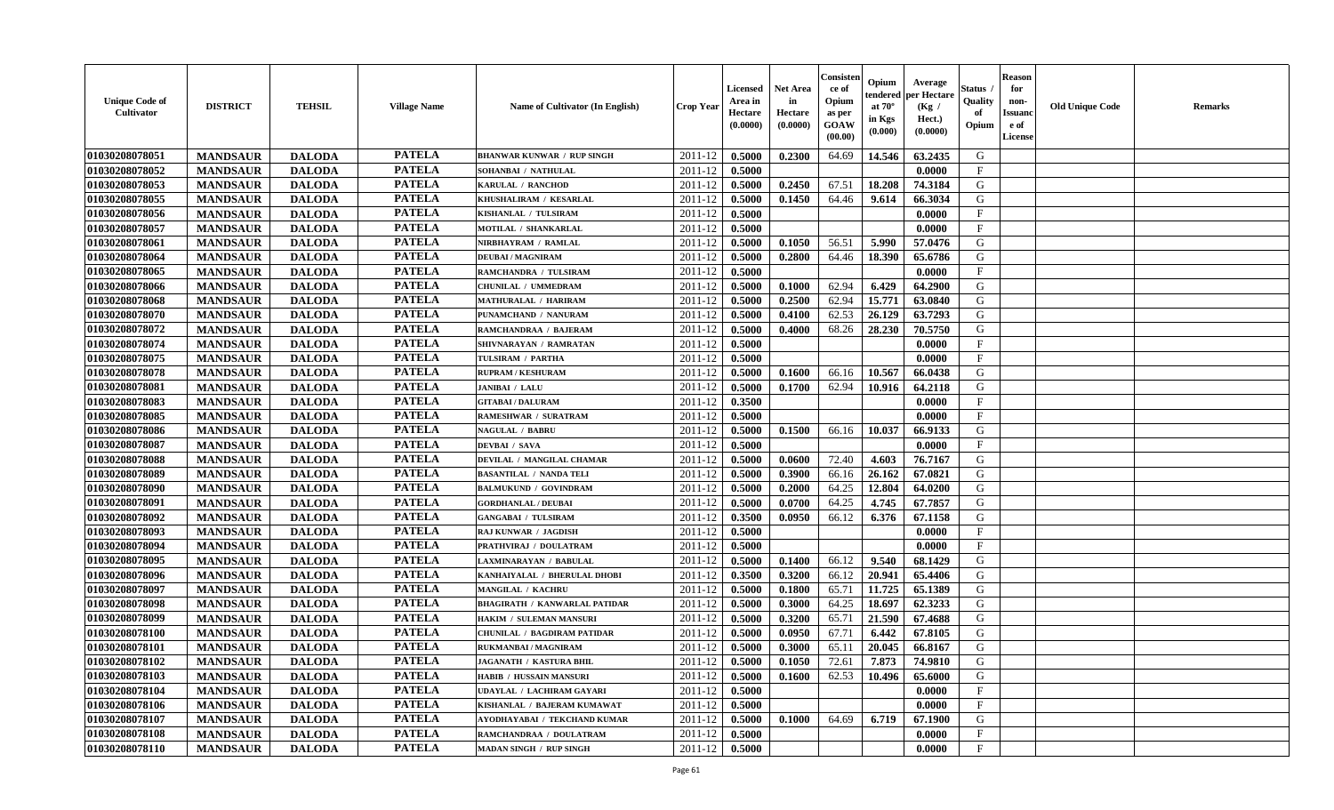| <b>Unique Code of</b><br><b>Cultivator</b> | <b>DISTRICT</b> | <b>TEHSIL</b> | <b>Village Name</b> | Name of Cultivator (In English)      | <b>Crop Year</b> | <b>Licensed</b><br>Area in<br>Hectare<br>(0.0000) | <b>Net Area</b><br>in<br>Hectare<br>(0.0000) | Consisten<br>ce of<br>Opium<br>as per<br><b>GOAW</b><br>(00.00) | Opium<br>endered<br>at $70^\circ$<br>in Kgs<br>(0.000) | Average<br>per Hectare<br>(Kg /<br>Hect.)<br>(0.0000) | Status ,<br>Quality<br>of<br>Opium | <b>Reason</b><br>for<br>non-<br><b>Issuanc</b><br>e of<br><b>License</b> | <b>Old Unique Code</b> | <b>Remarks</b> |
|--------------------------------------------|-----------------|---------------|---------------------|--------------------------------------|------------------|---------------------------------------------------|----------------------------------------------|-----------------------------------------------------------------|--------------------------------------------------------|-------------------------------------------------------|------------------------------------|--------------------------------------------------------------------------|------------------------|----------------|
| 01030208078051                             | <b>MANDSAUR</b> | <b>DALODA</b> | <b>PATELA</b>       | <b>BHANWAR KUNWAR / RUP SINGH</b>    | 2011-12          | 0.5000                                            | 0.2300                                       | 64.69                                                           | 14.546                                                 | 63.2435                                               | G                                  |                                                                          |                        |                |
| 01030208078052                             | <b>MANDSAUR</b> | <b>DALODA</b> | <b>PATELA</b>       | SOHANBAI / NATHULAL                  | 2011-12          | 0.5000                                            |                                              |                                                                 |                                                        | 0.0000                                                | $\mathbf{F}$                       |                                                                          |                        |                |
| 01030208078053                             | <b>MANDSAUR</b> | <b>DALODA</b> | <b>PATELA</b>       | KARULAL / RANCHOD                    | 2011-12          | 0.5000                                            | 0.2450                                       | 67.51                                                           | 18.208                                                 | 74.3184                                               | G                                  |                                                                          |                        |                |
| 01030208078055                             | <b>MANDSAUR</b> | <b>DALODA</b> | <b>PATELA</b>       | KHUSHALIRAM / KESARLAL               | 2011-12          | 0.5000                                            | 0.1450                                       | 64.46                                                           | 9.614                                                  | 66.3034                                               | G                                  |                                                                          |                        |                |
| 01030208078056                             | <b>MANDSAUR</b> | <b>DALODA</b> | <b>PATELA</b>       | KISHANLAL / TULSIRAM                 | 2011-12          | 0.5000                                            |                                              |                                                                 |                                                        | 0.0000                                                | $\mathbf{F}$                       |                                                                          |                        |                |
| 01030208078057                             | <b>MANDSAUR</b> | <b>DALODA</b> | <b>PATELA</b>       | MOTILAL / SHANKARLAL                 | 2011-12          | 0.5000                                            |                                              |                                                                 |                                                        | 0.0000                                                | F                                  |                                                                          |                        |                |
| 01030208078061                             | <b>MANDSAUR</b> | <b>DALODA</b> | <b>PATELA</b>       | NIRBHAYRAM / RAMLAL                  | 2011-12          | 0.5000                                            | 0.1050                                       | 56.51                                                           | 5.990                                                  | 57.0476                                               | G                                  |                                                                          |                        |                |
| 01030208078064                             | <b>MANDSAUR</b> | <b>DALODA</b> | <b>PATELA</b>       | <b>DEUBAI/MAGNIRAM</b>               | 2011-12          | 0.5000                                            | 0.2800                                       | 64.46                                                           | 18.390                                                 | 65.6786                                               | ${\bf G}$                          |                                                                          |                        |                |
| 01030208078065                             | <b>MANDSAUR</b> | <b>DALODA</b> | <b>PATELA</b>       | RAMCHANDRA / TULSIRAM                | 2011-12          | 0.5000                                            |                                              |                                                                 |                                                        | 0.0000                                                | $\mathbf F$                        |                                                                          |                        |                |
| 01030208078066                             | <b>MANDSAUR</b> | <b>DALODA</b> | <b>PATELA</b>       | CHUNILAL / UMMEDRAM                  | 2011-12          | 0.5000                                            | 0.1000                                       | 62.94                                                           | 6.429                                                  | 64.2900                                               | G                                  |                                                                          |                        |                |
| 01030208078068                             | <b>MANDSAUR</b> | <b>DALODA</b> | <b>PATELA</b>       | <b>MATHURALAL / HARIRAM</b>          | 2011-12          | 0.5000                                            | 0.2500                                       | 62.94                                                           | 15.771                                                 | 63.0840                                               | G                                  |                                                                          |                        |                |
| 01030208078070                             | <b>MANDSAUR</b> | <b>DALODA</b> | <b>PATELA</b>       | PUNAMCHAND / NANURAM                 | 2011-12          | 0.5000                                            | 0.4100                                       | 62.53                                                           | 26.129                                                 | 63.7293                                               | G                                  |                                                                          |                        |                |
| 01030208078072                             | <b>MANDSAUR</b> | <b>DALODA</b> | <b>PATELA</b>       | RAMCHANDRAA / BAJERAM                | 2011-12          | 0.5000                                            | 0.4000                                       | 68.26                                                           | 28.230                                                 | 70.5750                                               | G                                  |                                                                          |                        |                |
| 01030208078074                             | <b>MANDSAUR</b> | <b>DALODA</b> | <b>PATELA</b>       | SHIVNARAYAN / RAMRATAN               | 2011-12          | 0.5000                                            |                                              |                                                                 |                                                        | 0.0000                                                | $\mathbf{F}$                       |                                                                          |                        |                |
| 01030208078075                             | <b>MANDSAUR</b> | <b>DALODA</b> | <b>PATELA</b>       | TULSIRAM / PARTHA                    | 2011-12          | 0.5000                                            |                                              |                                                                 |                                                        | 0.0000                                                | $\mathbf{F}$                       |                                                                          |                        |                |
| 01030208078078                             | <b>MANDSAUR</b> | <b>DALODA</b> | <b>PATELA</b>       | <b>RUPRAM / KESHURAM</b>             | 2011-12          | 0.5000                                            | 0.1600                                       | 66.16                                                           | 10.567                                                 | 66.0438                                               | G                                  |                                                                          |                        |                |
| 01030208078081                             | <b>MANDSAUR</b> | <b>DALODA</b> | <b>PATELA</b>       | <b>JANIBAI / LALU</b>                | 2011-12          | 0.5000                                            | 0.1700                                       | 62.94                                                           | 10.916                                                 | 64.2118                                               | G                                  |                                                                          |                        |                |
| 01030208078083                             | <b>MANDSAUR</b> | <b>DALODA</b> | <b>PATELA</b>       | <b>GITABAI/DALURAM</b>               | 2011-12          | 0.3500                                            |                                              |                                                                 |                                                        | 0.0000                                                | $\mathbf F$                        |                                                                          |                        |                |
| 01030208078085                             | <b>MANDSAUR</b> | <b>DALODA</b> | <b>PATELA</b>       | RAMESHWAR / SURATRAM                 | 2011-12          | 0.5000                                            |                                              |                                                                 |                                                        | 0.0000                                                | $\mathbf F$                        |                                                                          |                        |                |
| 01030208078086                             | <b>MANDSAUR</b> | <b>DALODA</b> | <b>PATELA</b>       | <b>NAGULAL / BABRU</b>               | 2011-12          | 0.5000                                            | 0.1500                                       | 66.16                                                           | 10.037                                                 | 66.9133                                               | G                                  |                                                                          |                        |                |
| 01030208078087                             | <b>MANDSAUR</b> | <b>DALODA</b> | <b>PATELA</b>       | <b>DEVBAI / SAVA</b>                 | 2011-12          | 0.5000                                            |                                              |                                                                 |                                                        | 0.0000                                                | $\mathbf{F}$                       |                                                                          |                        |                |
| 01030208078088                             | <b>MANDSAUR</b> | <b>DALODA</b> | <b>PATELA</b>       | DEVILAL / MANGILAL CHAMAR            | 2011-12          | 0.5000                                            | 0.0600                                       | 72.40                                                           | 4.603                                                  | 76.7167                                               | G                                  |                                                                          |                        |                |
| 01030208078089                             | <b>MANDSAUR</b> | <b>DALODA</b> | <b>PATELA</b>       | <b>BASANTILAL / NANDA TELI</b>       | 2011-12          | 0.5000                                            | 0.3900                                       | 66.16                                                           | 26.162                                                 | 67.0821                                               | G                                  |                                                                          |                        |                |
| 01030208078090                             | <b>MANDSAUR</b> | <b>DALODA</b> | <b>PATELA</b>       | <b>BALMUKUND / GOVINDRAM</b>         | 2011-12          | 0.5000                                            | 0.2000                                       | 64.25                                                           | 12.804                                                 | 64.0200                                               | G                                  |                                                                          |                        |                |
| 01030208078091                             | <b>MANDSAUR</b> | <b>DALODA</b> | <b>PATELA</b>       | <b>GORDHANLAL / DEUBAI</b>           | 2011-12          | 0.5000                                            | 0.0700                                       | 64.25                                                           | 4.745                                                  | 67.7857                                               | G                                  |                                                                          |                        |                |
| 01030208078092                             | <b>MANDSAUR</b> | <b>DALODA</b> | <b>PATELA</b>       | <b>GANGABAI / TULSIRAM</b>           | 2011-12          | 0.3500                                            | 0.0950                                       | 66.12                                                           | 6.376                                                  | 67.1158                                               | G                                  |                                                                          |                        |                |
| 01030208078093                             | <b>MANDSAUR</b> | <b>DALODA</b> | <b>PATELA</b>       | RAJ KUNWAR / JAGDISH                 | 2011-12          | 0.5000                                            |                                              |                                                                 |                                                        | 0.0000                                                | $\mathbf{F}$                       |                                                                          |                        |                |
| 01030208078094                             | <b>MANDSAUR</b> | <b>DALODA</b> | <b>PATELA</b>       | PRATHVIRAJ / DOULATRAM               | 2011-12          | 0.5000                                            |                                              |                                                                 |                                                        | 0.0000                                                | F                                  |                                                                          |                        |                |
| 01030208078095                             | <b>MANDSAUR</b> | <b>DALODA</b> | <b>PATELA</b>       | LAXMINARAYAN / BABULAL               | 2011-12          | 0.5000                                            | 0.1400                                       | 66.12                                                           | 9.540                                                  | 68.1429                                               | G                                  |                                                                          |                        |                |
| 01030208078096                             | <b>MANDSAUR</b> | <b>DALODA</b> | <b>PATELA</b>       | KANHAIYALAL / BHERULAL DHOBI         | 2011-12          | 0.3500                                            | 0.3200                                       | 66.12                                                           | 20.941                                                 | 65.4406                                               | G                                  |                                                                          |                        |                |
| 01030208078097                             | <b>MANDSAUR</b> | <b>DALODA</b> | <b>PATELA</b>       | <b>MANGILAL / KACHRU</b>             | 2011-12          | 0.5000                                            | 0.1800                                       | 65.71                                                           | 11.725                                                 | 65.1389                                               | G                                  |                                                                          |                        |                |
| 01030208078098                             | <b>MANDSAUR</b> | <b>DALODA</b> | <b>PATELA</b>       | <b>BHAGIRATH / KANWARLAL PATIDAR</b> | 2011-12          | 0.5000                                            | 0.3000                                       | 64.25                                                           | 18.697                                                 | 62.3233                                               | ${\bf G}$                          |                                                                          |                        |                |
| 01030208078099                             | <b>MANDSAUR</b> | <b>DALODA</b> | <b>PATELA</b>       | HAKIM / SULEMAN MANSURI              | 2011-12          | 0.5000                                            | 0.3200                                       | 65.71                                                           | 21.590                                                 | 67.4688                                               | G                                  |                                                                          |                        |                |
| 01030208078100                             | <b>MANDSAUR</b> | <b>DALODA</b> | <b>PATELA</b>       | <b>CHUNILAL / BAGDIRAM PATIDAR</b>   | 2011-12          | 0.5000                                            | 0.0950                                       | 67.71                                                           | 6.442                                                  | 67.8105                                               | G                                  |                                                                          |                        |                |
| 01030208078101                             | <b>MANDSAUR</b> | <b>DALODA</b> | <b>PATELA</b>       | RUKMANBAI / MAGNIRAM                 | 2011-12          | 0.5000                                            | 0.3000                                       | 65.11                                                           | 20.045                                                 | 66.8167                                               | G                                  |                                                                          |                        |                |
| 01030208078102                             | <b>MANDSAUR</b> | <b>DALODA</b> | <b>PATELA</b>       | <b>JAGANATH / KASTURA BHIL</b>       | 2011-12          | 0.5000                                            | 0.1050                                       | 72.61                                                           | 7.873                                                  | 74.9810                                               | G                                  |                                                                          |                        |                |
| 01030208078103                             | <b>MANDSAUR</b> | <b>DALODA</b> | <b>PATELA</b>       | HABIB / HUSSAIN MANSURI              | 2011-12          | 0.5000                                            | 0.1600                                       | 62.53                                                           | 10.496                                                 | 65.6000                                               | G                                  |                                                                          |                        |                |
| 01030208078104                             | <b>MANDSAUR</b> | <b>DALODA</b> | <b>PATELA</b>       | <b>UDAYLAL / LACHIRAM GAYARI</b>     | 2011-12          | 0.5000                                            |                                              |                                                                 |                                                        | 0.0000                                                | $\mathbf{F}$                       |                                                                          |                        |                |
| 01030208078106                             | <b>MANDSAUR</b> | <b>DALODA</b> | <b>PATELA</b>       | KISHANLAL / BAJERAM KUMAWAT          | 2011-12          | 0.5000                                            |                                              |                                                                 |                                                        | 0.0000                                                | $\mathbf{F}$                       |                                                                          |                        |                |
| 01030208078107                             | <b>MANDSAUR</b> | <b>DALODA</b> | <b>PATELA</b>       | AYODHAYABAI / TEKCHAND KUMAR         | 2011-12          | 0.5000                                            | 0.1000                                       | 64.69                                                           | 6.719                                                  | 67.1900                                               | G                                  |                                                                          |                        |                |
| 01030208078108                             | <b>MANDSAUR</b> | <b>DALODA</b> | <b>PATELA</b>       | RAMCHANDRAA / DOULATRAM              | 2011-12          | 0.5000                                            |                                              |                                                                 |                                                        | 0.0000                                                | $\mathbf{F}$                       |                                                                          |                        |                |
| 01030208078110                             | <b>MANDSAUR</b> | <b>DALODA</b> | <b>PATELA</b>       | <b>MADAN SINGH / RUP SINGH</b>       | 2011-12          | 0.5000                                            |                                              |                                                                 |                                                        | 0.0000                                                | $\mathbf{F}$                       |                                                                          |                        |                |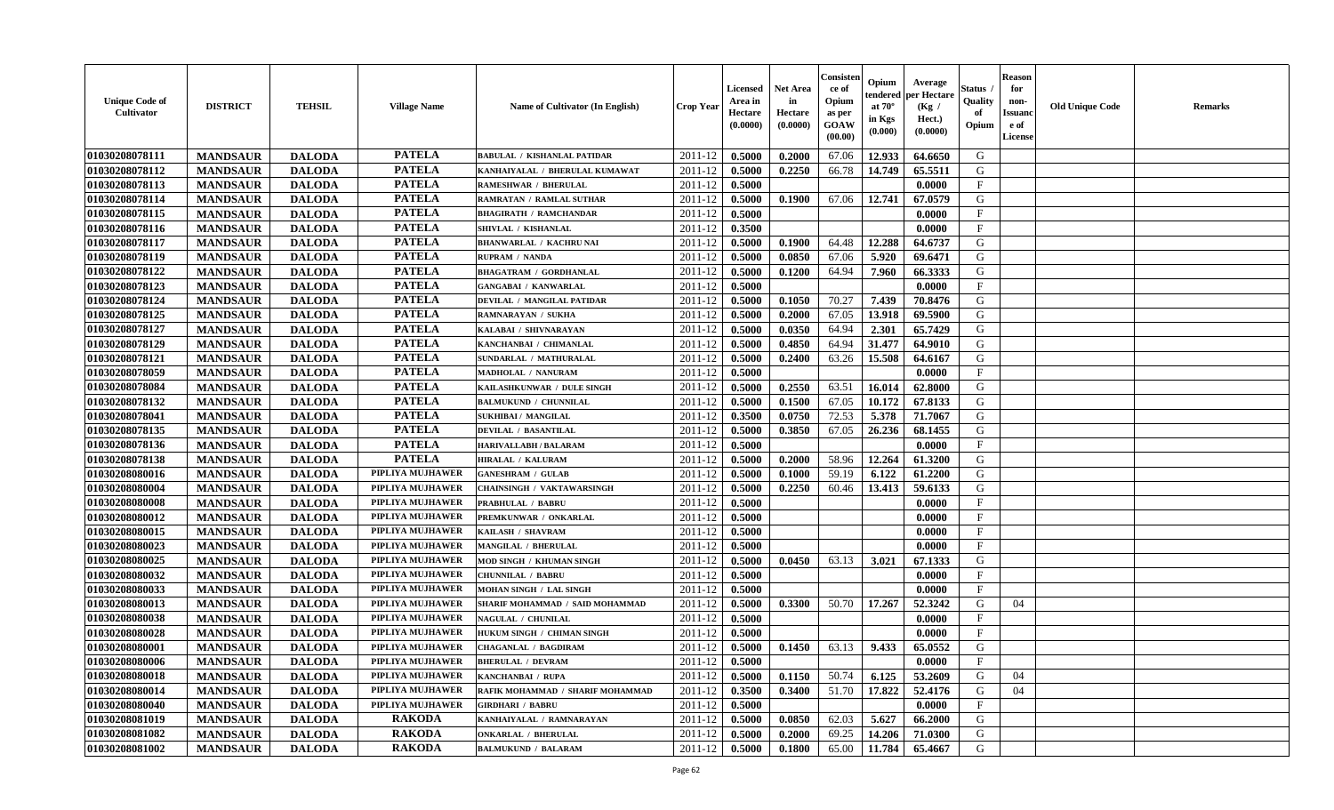| <b>Unique Code of</b><br><b>Cultivator</b> | <b>DISTRICT</b>                    | <b>TEHSIL</b>                  | <b>Village Name</b>     | Name of Cultivator (In English)                         | <b>Crop Year</b> | <b>Licensed</b><br>Area in<br>Hectare<br>(0.0000) | <b>Net Area</b><br>in<br>Hectare<br>(0.0000) | Consister<br>ce of<br>Opium<br>as per<br><b>GOAW</b><br>(00.00) | Opium<br>endered<br>at $70^\circ$<br>in Kgs<br>(0.000) | Average<br>per Hectare<br>(Kg /<br>Hect.)<br>(0.0000) | Status<br>Quality<br>of<br>Opium | <b>Reason</b><br>for<br>non-<br><b>Issuand</b><br>e of<br><b>License</b> | <b>Old Unique Code</b> | <b>Remarks</b> |
|--------------------------------------------|------------------------------------|--------------------------------|-------------------------|---------------------------------------------------------|------------------|---------------------------------------------------|----------------------------------------------|-----------------------------------------------------------------|--------------------------------------------------------|-------------------------------------------------------|----------------------------------|--------------------------------------------------------------------------|------------------------|----------------|
| 01030208078111                             | <b>MANDSAUR</b>                    | <b>DALODA</b>                  | <b>PATELA</b>           | <b>BABULAL / KISHANLAL PATIDAR</b>                      | 2011-12          | 0.5000                                            | 0.2000                                       | 67.06                                                           | 12.933                                                 | 64.6650                                               | G                                |                                                                          |                        |                |
| 01030208078112                             | <b>MANDSAUR</b>                    | <b>DALODA</b>                  | <b>PATELA</b>           | KANHAIYALAL / BHERULAL KUMAWAT                          | 2011-12          | 0.5000                                            | 0.2250                                       | 66.78                                                           | 14.749                                                 | 65.5511                                               | G                                |                                                                          |                        |                |
| 01030208078113                             | <b>MANDSAUR</b>                    | <b>DALODA</b>                  | <b>PATELA</b>           | <b>RAMESHWAR / BHERULAL</b>                             | 2011-12          | 0.5000                                            |                                              |                                                                 |                                                        | 0.0000                                                | F                                |                                                                          |                        |                |
| 01030208078114                             | <b>MANDSAUR</b>                    | <b>DALODA</b>                  | <b>PATELA</b>           | RAMRATAN / RAMLAL SUTHAR                                | 2011-12          | 0.5000                                            | 0.1900                                       | 67.06                                                           | 12.741                                                 | 67.0579                                               | G                                |                                                                          |                        |                |
| 01030208078115                             | <b>MANDSAUR</b>                    | <b>DALODA</b>                  | <b>PATELA</b>           | <b>BHAGIRATH / RAMCHANDAR</b>                           | 2011-12          | 0.5000                                            |                                              |                                                                 |                                                        | 0.0000                                                | $\mathbf{F}$                     |                                                                          |                        |                |
| 01030208078116                             | <b>MANDSAUR</b>                    | <b>DALODA</b>                  | <b>PATELA</b>           | SHIVLAL / KISHANLAL                                     | 2011-12          | 0.3500                                            |                                              |                                                                 |                                                        | 0.0000                                                | $_{\rm F}$                       |                                                                          |                        |                |
| 01030208078117                             | <b>MANDSAUR</b>                    | <b>DALODA</b>                  | <b>PATELA</b>           | <b>BHANWARLAL / KACHRU NAI</b>                          | 2011-12          | 0.5000                                            | 0.1900                                       | 64.48                                                           | 12.288                                                 | 64.6737                                               | G                                |                                                                          |                        |                |
| 01030208078119                             | <b>MANDSAUR</b>                    | <b>DALODA</b>                  | <b>PATELA</b>           | RUPRAM / NANDA                                          | 2011-12          | 0.5000                                            | 0.0850                                       | 67.06                                                           | 5.920                                                  | 69.6471                                               | ${\bf G}$                        |                                                                          |                        |                |
| 01030208078122                             | <b>MANDSAUR</b>                    | <b>DALODA</b>                  | <b>PATELA</b>           | <b>BHAGATRAM / GORDHANLAL</b>                           | 2011-12          | 0.5000                                            | 0.1200                                       | 64.94                                                           | 7.960                                                  | 66.3333                                               | G                                |                                                                          |                        |                |
| 01030208078123                             | <b>MANDSAUR</b>                    | <b>DALODA</b>                  | <b>PATELA</b>           | <b>GANGABAI / KANWARLAL</b>                             | 2011-12          | 0.5000                                            |                                              |                                                                 |                                                        | 0.0000                                                | $\mathbf{F}$                     |                                                                          |                        |                |
| 01030208078124                             | <b>MANDSAUR</b>                    | <b>DALODA</b>                  | <b>PATELA</b>           | DEVILAL / MANGILAL PATIDAR                              | 2011-12          | 0.5000                                            | 0.1050                                       | 70.27                                                           | 7.439                                                  | 70.8476                                               | G                                |                                                                          |                        |                |
| 01030208078125                             | <b>MANDSAUR</b>                    | <b>DALODA</b>                  | <b>PATELA</b>           | <b>RAMNARAYAN / SUKHA</b>                               | 2011-12          | 0.5000                                            | 0.2000                                       | 67.05                                                           | 13.918                                                 | 69.5900                                               | G                                |                                                                          |                        |                |
| 01030208078127                             | <b>MANDSAUR</b>                    | <b>DALODA</b>                  | <b>PATELA</b>           | KALABAI / SHIVNARAYAN                                   | 2011-12          | 0.5000                                            | 0.0350                                       | 64.94                                                           | 2.301                                                  | 65.7429                                               | G                                |                                                                          |                        |                |
| 01030208078129                             | <b>MANDSAUR</b>                    | <b>DALODA</b>                  | <b>PATELA</b>           | KANCHANBAI / CHIMANLAL                                  | 2011-12          | 0.5000                                            | 0.4850                                       | 64.94                                                           | 31.477                                                 | 64.9010                                               | G                                |                                                                          |                        |                |
| 01030208078121                             | <b>MANDSAUR</b>                    | <b>DALODA</b>                  | <b>PATELA</b>           | SUNDARLAL / MATHURALAL                                  | 2011-12          | 0.5000                                            | 0.2400                                       | 63.26                                                           | 15.508                                                 | 64.6167                                               | G                                |                                                                          |                        |                |
| 01030208078059                             | <b>MANDSAUR</b>                    | <b>DALODA</b>                  | <b>PATELA</b>           | MADHOLAL / NANURAM                                      | 2011-12          | 0.5000                                            |                                              |                                                                 |                                                        | 0.0000                                                | $\rm F$                          |                                                                          |                        |                |
| 01030208078084                             | <b>MANDSAUR</b>                    | <b>DALODA</b>                  | <b>PATELA</b>           | KAILASHKUNWAR / DULE SINGH                              | 2011-12          | 0.5000                                            | 0.2550                                       | 63.51                                                           | 16.014                                                 | 62.8000                                               | G                                |                                                                          |                        |                |
| 01030208078132                             | <b>MANDSAUR</b>                    | <b>DALODA</b>                  | <b>PATELA</b>           | <b>BALMUKUND / CHUNNILAL</b>                            | 2011-12          | 0.5000                                            | 0.1500                                       | 67.05                                                           | 10.172                                                 | 67.8133                                               | G                                |                                                                          |                        |                |
| 01030208078041                             | <b>MANDSAUR</b>                    | <b>DALODA</b>                  | <b>PATELA</b>           | SUKHIBAI / MANGILAL                                     | 2011-12          | 0.3500                                            | 0.0750                                       | 72.53                                                           | 5.378                                                  | 71.7067                                               | G                                |                                                                          |                        |                |
| 01030208078135                             | <b>MANDSAUR</b>                    | <b>DALODA</b>                  | <b>PATELA</b>           | <b>DEVILAL / BASANTILAL</b>                             | 2011-12          | 0.5000                                            | 0.3850                                       | 67.05                                                           | 26.236                                                 | 68.1455                                               | G                                |                                                                          |                        |                |
| 01030208078136                             | <b>MANDSAUR</b>                    | <b>DALODA</b>                  | <b>PATELA</b>           | <b>HARIVALLABH / BALARAM</b>                            | 2011-12          | 0.5000                                            |                                              |                                                                 |                                                        | 0.0000                                                | $\mathbf{F}$                     |                                                                          |                        |                |
| 01030208078138                             | <b>MANDSAUR</b>                    | <b>DALODA</b>                  | <b>PATELA</b>           | <b>HIRALAL / KALURAM</b>                                | 2011-12          | 0.5000                                            | 0.2000                                       | 58.96                                                           | 12.264                                                 | 61.3200                                               | G                                |                                                                          |                        |                |
| 01030208080016                             | <b>MANDSAUR</b>                    | <b>DALODA</b>                  | PIPLIYA MUJHAWER        | <b>GANESHRAM / GULAB</b>                                | 2011-12          | 0.5000                                            | 0.1000                                       | 59.19                                                           | 6.122                                                  | 61.2200                                               | G                                |                                                                          |                        |                |
| 01030208080004                             | <b>MANDSAUR</b>                    | <b>DALODA</b>                  | PIPLIYA MUJHAWER        | CHAINSINGH / VAKTAWARSINGH                              | 2011-12          | 0.5000                                            | 0.2250                                       | 60.46                                                           | 13.413                                                 | 59.6133                                               | G                                |                                                                          |                        |                |
| 01030208080008                             | <b>MANDSAUR</b>                    | <b>DALODA</b>                  | PIPLIYA MUJHAWER        | <b>PRABHULAL / BABRU</b>                                | 2011-12          | 0.5000                                            |                                              |                                                                 |                                                        | 0.0000                                                | $_{\rm F}$                       |                                                                          |                        |                |
| 01030208080012                             | <b>MANDSAUR</b>                    | <b>DALODA</b>                  | PIPLIYA MUJHAWER        | PREMKUNWAR / ONKARLAL                                   | 2011-12          | 0.5000                                            |                                              |                                                                 |                                                        | 0.0000                                                | F                                |                                                                          |                        |                |
| 01030208080015                             | <b>MANDSAUR</b>                    |                                | PIPLIYA MUJHAWER        | KAILASH / SHAVRAM                                       | 2011-12          | 0.5000                                            |                                              |                                                                 |                                                        | 0.0000                                                | F                                |                                                                          |                        |                |
| 01030208080023                             |                                    | <b>DALODA</b><br><b>DALODA</b> | PIPLIYA MUJHAWER        | <b>MANGILAL / BHERULAL</b>                              | 2011-12          | 0.5000                                            |                                              |                                                                 |                                                        | 0.0000                                                | $_{\rm F}$                       |                                                                          |                        |                |
| 01030208080025                             | <b>MANDSAUR</b><br><b>MANDSAUR</b> | <b>DALODA</b>                  | PIPLIYA MUJHAWER        | MOD SINGH / KHUMAN SINGH                                | 2011-12          | 0.5000                                            | 0.0450                                       | 63.13                                                           | 3.021                                                  | 67.1333                                               | G                                |                                                                          |                        |                |
| 01030208080032                             | <b>MANDSAUR</b>                    | <b>DALODA</b>                  | PIPLIYA MUJHAWER        | <b>CHUNNILAL / BABRU</b>                                | 2011-12          | 0.5000                                            |                                              |                                                                 |                                                        | 0.0000                                                | $\mathbf{F}$                     |                                                                          |                        |                |
| 01030208080033                             | <b>MANDSAUR</b>                    | <b>DALODA</b>                  | PIPLIYA MUJHAWER        | MOHAN SINGH / LAL SINGH                                 | 2011-12          | 0.5000                                            |                                              |                                                                 |                                                        | 0.0000                                                | F                                |                                                                          |                        |                |
| 01030208080013                             | <b>MANDSAUR</b>                    | <b>DALODA</b>                  | PIPLIYA MUJHAWER        |                                                         | 2011-12          |                                                   | 0.3300                                       | 50.70                                                           | 17.267                                                 | 52.3242                                               | G                                | 04                                                                       |                        |                |
| 01030208080038                             |                                    | <b>DALODA</b>                  | PIPLIYA MUJHAWER        | SHARIF MOHAMMAD / SAID MOHAMMAD<br>NAGULAL / CHUNILAL   | 2011-12          | 0.5000<br>0.5000                                  |                                              |                                                                 |                                                        | 0.0000                                                | $_{\rm F}$                       |                                                                          |                        |                |
| 01030208080028                             | <b>MANDSAUR</b><br><b>MANDSAUR</b> | <b>DALODA</b>                  | PIPLIYA MUJHAWER        | HUKUM SINGH / CHIMAN SINGH                              | 2011-12          | 0.5000                                            |                                              |                                                                 |                                                        | 0.0000                                                | $\mathbf{F}$                     |                                                                          |                        |                |
|                                            |                                    |                                | PIPLIYA MUJHAWER        |                                                         |                  |                                                   |                                              |                                                                 | 9.433                                                  |                                                       | G                                |                                                                          |                        |                |
| 01030208080001                             | <b>MANDSAUR</b>                    | <b>DALODA</b>                  | PIPLIYA MUJHAWER        | <b>CHAGANLAL / BAGDIRAM</b><br><b>BHERULAL / DEVRAM</b> | 2011-12          | 0.5000                                            | 0.1450                                       | 63.13                                                           |                                                        | 65.0552                                               | $\mathbf{F}$                     |                                                                          |                        |                |
| 01030208080006                             | <b>MANDSAUR</b>                    | <b>DALODA</b>                  | PIPLIYA MUJHAWER        |                                                         | 2011-12          | 0.5000                                            |                                              |                                                                 |                                                        | 0.0000                                                |                                  |                                                                          |                        |                |
| 01030208080018                             | <b>MANDSAUR</b>                    | <b>DALODA</b>                  | <b>PIPLIYA MUJHAWER</b> | KANCHANBAI / RUPA                                       | 2011-12          | 0.5000                                            | 0.1150                                       | 50.74                                                           | 6.125                                                  | 53.2609                                               | G                                | 04                                                                       |                        |                |
| 01030208080014                             | <b>MANDSAUR</b>                    | <b>DALODA</b>                  |                         | RAFIK MOHAMMAD / SHARIF MOHAMMAD                        | 2011-12          | 0.3500                                            | 0.3400                                       | 51.70                                                           | 17.822                                                 | 52.4176                                               | G                                | 04                                                                       |                        |                |
| 01030208080040                             | <b>MANDSAUR</b>                    | <b>DALODA</b>                  | PIPLIYA MUJHAWER        | <b>GIRDHARI / BABRU</b>                                 | 2011-12          | 0.5000                                            |                                              |                                                                 |                                                        | 0.0000                                                | $\mathbf{F}$                     |                                                                          |                        |                |
| 01030208081019                             | <b>MANDSAUR</b>                    | <b>DALODA</b>                  | <b>RAKODA</b>           | KANHAIYALAL / RAMNARAYAN                                | 2011-12          | 0.5000                                            | 0.0850                                       | 62.03                                                           | 5.627                                                  | 66.2000                                               | G                                |                                                                          |                        |                |
| 01030208081082                             | <b>MANDSAUR</b>                    | <b>DALODA</b>                  | <b>RAKODA</b>           | <b>ONKARLAL / BHERULAL</b>                              | 2011-12          | 0.5000                                            | 0.2000                                       | 69.25                                                           | 14.206                                                 | 71.0300                                               | G                                |                                                                          |                        |                |
| 01030208081002                             | <b>MANDSAUR</b>                    | <b>DALODA</b>                  | <b>RAKODA</b>           | <b>BALMUKUND / BALARAM</b>                              | 2011-12          | 0.5000                                            | 0.1800                                       | 65.00                                                           | 11.784                                                 | 65.4667                                               | G                                |                                                                          |                        |                |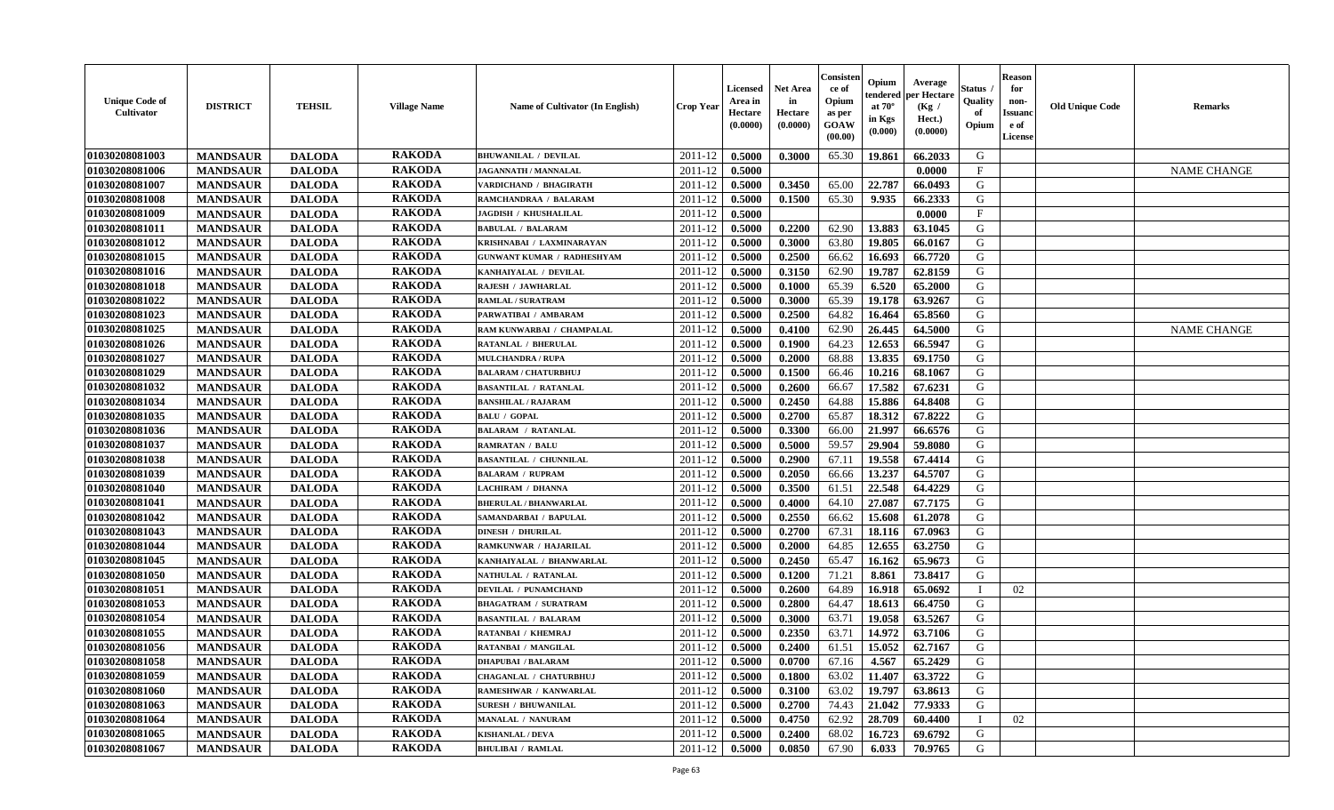| <b>Unique Code of</b><br><b>Cultivator</b> | <b>DISTRICT</b> | <b>TEHSIL</b> | <b>Village Name</b> | <b>Name of Cultivator (In English)</b> | <b>Crop Year</b> | Licensed<br>Area in<br>Hectare<br>(0.0000) | <b>Net Area</b><br>in<br>Hectare<br>(0.0000) | Consister<br>ce of<br>Opium<br>as per<br>GOAW<br>(00.00) | Opium<br>endered<br>at $70^\circ$<br>in Kgs<br>(0.000) | Average<br>per Hectare<br>(Kg /<br>Hect.)<br>(0.0000) | Status<br>Quality<br>of<br>Opium | <b>Reason</b><br>for<br>non-<br><b>Issuanc</b><br>e of<br><b>License</b> | <b>Old Unique Code</b> | <b>Remarks</b>     |
|--------------------------------------------|-----------------|---------------|---------------------|----------------------------------------|------------------|--------------------------------------------|----------------------------------------------|----------------------------------------------------------|--------------------------------------------------------|-------------------------------------------------------|----------------------------------|--------------------------------------------------------------------------|------------------------|--------------------|
| 01030208081003                             | <b>MANDSAUR</b> | <b>DALODA</b> | <b>RAKODA</b>       | <b>BHUWANILAL / DEVILAL</b>            | 2011-12          | 0.5000                                     | 0.3000                                       | 65.30                                                    | 19.861                                                 | 66.2033                                               | G                                |                                                                          |                        |                    |
| 01030208081006                             | <b>MANDSAUR</b> | <b>DALODA</b> | <b>RAKODA</b>       | <b>JAGANNATH / MANNALAL</b>            | 2011-12          | 0.5000                                     |                                              |                                                          |                                                        | 0.0000                                                | $\mathbf{F}$                     |                                                                          |                        | <b>NAME CHANGE</b> |
| 01030208081007                             | <b>MANDSAUR</b> | <b>DALODA</b> | <b>RAKODA</b>       | VARDICHAND / BHAGIRATH                 | 2011-12          | 0.5000                                     | 0.3450                                       | 65.00                                                    | 22.787                                                 | 66.0493                                               | G                                |                                                                          |                        |                    |
| 01030208081008                             | <b>MANDSAUR</b> | <b>DALODA</b> | <b>RAKODA</b>       | RAMCHANDRAA / BALARAM                  | 2011-12          | 0.5000                                     | 0.1500                                       | 65.30                                                    | 9.935                                                  | 66.2333                                               | G                                |                                                                          |                        |                    |
| 01030208081009                             | <b>MANDSAUR</b> | <b>DALODA</b> | <b>RAKODA</b>       | <b>JAGDISH / KHUSHALILAL</b>           | 2011-12          | 0.5000                                     |                                              |                                                          |                                                        | 0.0000                                                | $\mathbf{F}$                     |                                                                          |                        |                    |
| 01030208081011                             | <b>MANDSAUR</b> | <b>DALODA</b> | <b>RAKODA</b>       | <b>BABULAL / BALARAM</b>               | 2011-12          | 0.5000                                     | 0.2200                                       | 62.90                                                    | 13.883                                                 | 63.1045                                               | G                                |                                                                          |                        |                    |
| 01030208081012                             | <b>MANDSAUR</b> | <b>DALODA</b> | <b>RAKODA</b>       | KRISHNABAI / LAXMINARAYAN              | 2011-12          | 0.5000                                     | 0.3000                                       | 63.80                                                    | 19.805                                                 | 66.0167                                               | G                                |                                                                          |                        |                    |
| 01030208081015                             | <b>MANDSAUR</b> | <b>DALODA</b> | <b>RAKODA</b>       | <b>GUNWANT KUMAR / RADHESHYAM</b>      | 2011-12          | 0.5000                                     | 0.2500                                       | 66.62                                                    | 16.693                                                 | 66.7720                                               | G                                |                                                                          |                        |                    |
| 01030208081016                             | <b>MANDSAUR</b> | <b>DALODA</b> | <b>RAKODA</b>       | KANHAIYALAL / DEVILAL                  | 2011-12          | 0.5000                                     | 0.3150                                       | 62.90                                                    | 19.787                                                 | 62.8159                                               | G                                |                                                                          |                        |                    |
| 01030208081018                             | <b>MANDSAUR</b> | <b>DALODA</b> | <b>RAKODA</b>       | RAJESH / JAWHARLAL                     | 2011-12          | 0.5000                                     | 0.1000                                       | 65.39                                                    | 6.520                                                  | 65.2000                                               | G                                |                                                                          |                        |                    |
| 01030208081022                             | <b>MANDSAUR</b> | <b>DALODA</b> | <b>RAKODA</b>       | <b>RAMLAL / SURATRAM</b>               | 2011-12          | 0.5000                                     | 0.3000                                       | 65.39                                                    | 19.178                                                 | 63.9267                                               | G                                |                                                                          |                        |                    |
| 01030208081023                             | <b>MANDSAUR</b> | <b>DALODA</b> | <b>RAKODA</b>       | PARWATIBAI / AMBARAM                   | 2011-12          | 0.5000                                     | 0.2500                                       | 64.82                                                    | 16.464                                                 | 65.8560                                               | G                                |                                                                          |                        |                    |
| 01030208081025                             | <b>MANDSAUR</b> | <b>DALODA</b> | <b>RAKODA</b>       | RAM KUNWARBAI / CHAMPALAL              | 2011-12          | 0.5000                                     | 0.4100                                       | 62.90                                                    | 26.445                                                 | 64.5000                                               | G                                |                                                                          |                        | <b>NAME CHANGE</b> |
| 01030208081026                             | <b>MANDSAUR</b> | <b>DALODA</b> | <b>RAKODA</b>       | <b>RATANLAL / BHERULAL</b>             | 2011-12          | 0.5000                                     | 0.1900                                       | 64.23                                                    | 12.653                                                 | 66.5947                                               | G                                |                                                                          |                        |                    |
| 01030208081027                             | <b>MANDSAUR</b> | <b>DALODA</b> | <b>RAKODA</b>       | <b>MULCHANDRA / RUPA</b>               | 2011-12          | 0.5000                                     | 0.2000                                       | 68.88                                                    | 13.835                                                 | 69.1750                                               | G                                |                                                                          |                        |                    |
| 01030208081029                             | <b>MANDSAUR</b> | <b>DALODA</b> | <b>RAKODA</b>       | <b>BALARAM / CHATURBHUJ</b>            | 2011-12          | 0.5000                                     | 0.1500                                       | 66.46                                                    | 10.216                                                 | 68.1067                                               | G                                |                                                                          |                        |                    |
| 01030208081032                             | <b>MANDSAUR</b> | <b>DALODA</b> | <b>RAKODA</b>       | <b>BASANTILAL / RATANLAL</b>           | 2011-12          | 0.5000                                     | 0.2600                                       | 66.67                                                    | 17.582                                                 | 67.6231                                               | G                                |                                                                          |                        |                    |
| 01030208081034                             | <b>MANDSAUR</b> | <b>DALODA</b> | <b>RAKODA</b>       | <b>BANSHILAL / RAJARAM</b>             | 2011-12          | 0.5000                                     | 0.2450                                       | 64.88                                                    | 15.886                                                 | 64.8408                                               | G                                |                                                                          |                        |                    |
| 01030208081035                             | <b>MANDSAUR</b> | <b>DALODA</b> | <b>RAKODA</b>       | <b>BALU / GOPAL</b>                    | 2011-12          | 0.5000                                     | 0.2700                                       | 65.87                                                    | 18.312                                                 | 67.8222                                               | G                                |                                                                          |                        |                    |
| 01030208081036                             | <b>MANDSAUR</b> | <b>DALODA</b> | <b>RAKODA</b>       | <b>BALARAM / RATANLAL</b>              | 2011-12          | 0.5000                                     | 0.3300                                       | 66.00                                                    | 21.997                                                 | 66.6576                                               | G                                |                                                                          |                        |                    |
| 01030208081037                             | <b>MANDSAUR</b> | <b>DALODA</b> | <b>RAKODA</b>       | <b>RAMRATAN / BALU</b>                 | 2011-12          | 0.5000                                     | 0.5000                                       | 59.57                                                    | 29.904                                                 | 59.8080                                               | G                                |                                                                          |                        |                    |
| 01030208081038                             | <b>MANDSAUR</b> | <b>DALODA</b> | <b>RAKODA</b>       | <b>BASANTILAL / CHUNNILAL</b>          | 2011-12          | 0.5000                                     | 0.2900                                       | 67.11                                                    | 19.558                                                 | 67.4414                                               | G                                |                                                                          |                        |                    |
| 01030208081039                             | <b>MANDSAUR</b> | <b>DALODA</b> | <b>RAKODA</b>       | <b>BALARAM / RUPRAM</b>                | 2011-12          | 0.5000                                     | 0.2050                                       | 66.66                                                    | 13.237                                                 | 64.5707                                               | G                                |                                                                          |                        |                    |
| 01030208081040                             | <b>MANDSAUR</b> | <b>DALODA</b> | <b>RAKODA</b>       | <b>LACHIRAM / DHANNA</b>               | 2011-12          | 0.5000                                     | 0.3500                                       | 61.51                                                    | 22.548                                                 | 64.4229                                               | G                                |                                                                          |                        |                    |
| 01030208081041                             | <b>MANDSAUR</b> | <b>DALODA</b> | <b>RAKODA</b>       | <b>BHERULAL / BHANWARLAL</b>           | 2011-12          | 0.5000                                     | 0.4000                                       | 64.10                                                    | 27.087                                                 | 67.7175                                               | G                                |                                                                          |                        |                    |
| 01030208081042                             | <b>MANDSAUR</b> | <b>DALODA</b> | <b>RAKODA</b>       | SAMANDARBAI / BAPULAL                  | 2011-12          | 0.5000                                     | 0.2550                                       | 66.62                                                    | 15.608                                                 | 61.2078                                               | G                                |                                                                          |                        |                    |
| 01030208081043                             | <b>MANDSAUR</b> | <b>DALODA</b> | <b>RAKODA</b>       | <b>DINESH / DHURILAL</b>               | 2011-12          | 0.5000                                     | 0.2700                                       | 67.31                                                    | 18.116                                                 | 67.0963                                               | G                                |                                                                          |                        |                    |
| 01030208081044                             | <b>MANDSAUR</b> | <b>DALODA</b> | <b>RAKODA</b>       | RAMKUNWAR / HAJARILAL                  | 2011-12          | 0.5000                                     | 0.2000                                       | 64.85                                                    | 12.655                                                 | 63.2750                                               | G                                |                                                                          |                        |                    |
| 01030208081045                             | <b>MANDSAUR</b> | <b>DALODA</b> | <b>RAKODA</b>       | KANHAIYALAL / BHANWARLAL               | 2011-12          | 0.5000                                     | 0.2450                                       | 65.47                                                    | 16.162                                                 | 65.9673                                               | G                                |                                                                          |                        |                    |
| 01030208081050                             | <b>MANDSAUR</b> | <b>DALODA</b> | <b>RAKODA</b>       | NATHULAL / RATANLAL                    | 2011-12          | 0.5000                                     | 0.1200                                       | 71.21                                                    | 8.861                                                  | 73.8417                                               | G                                |                                                                          |                        |                    |
| 01030208081051                             | <b>MANDSAUR</b> | <b>DALODA</b> | <b>RAKODA</b>       | <b>DEVILAL / PUNAMCHAND</b>            | 2011-12          | 0.5000                                     | 0.2600                                       | 64.89                                                    | 16.918                                                 | 65.0692                                               |                                  | 02                                                                       |                        |                    |
| 01030208081053                             | <b>MANDSAUR</b> | <b>DALODA</b> | <b>RAKODA</b>       | <b>BHAGATRAM / SURATRAM</b>            | 2011-12          | 0.5000                                     | 0.2800                                       | 64.47                                                    | 18.613                                                 | 66.4750                                               | G                                |                                                                          |                        |                    |
| 01030208081054                             | <b>MANDSAUR</b> | <b>DALODA</b> | <b>RAKODA</b>       | <b>BASANTILAL / BALARAM</b>            | 2011-12          | 0.5000                                     | 0.3000                                       | 63.71                                                    | 19.058                                                 | 63.5267                                               | G                                |                                                                          |                        |                    |
| 01030208081055                             | <b>MANDSAUR</b> | <b>DALODA</b> | <b>RAKODA</b>       | RATANBAI / KHEMRAJ                     | 2011-12          | 0.5000                                     | 0.2350                                       | 63.71                                                    | 14.972                                                 | 63.7106                                               | G                                |                                                                          |                        |                    |
| 01030208081056                             | <b>MANDSAUR</b> | <b>DALODA</b> | <b>RAKODA</b>       | <b>RATANBAI / MANGILAL</b>             | 2011-12          | 0.5000                                     | 0.2400                                       | 61.51                                                    | 15.052                                                 | 62.7167                                               | G                                |                                                                          |                        |                    |
| 01030208081058                             | <b>MANDSAUR</b> | <b>DALODA</b> | <b>RAKODA</b>       | <b>DHAPUBAI / BALARAM</b>              | 2011-12          | 0.5000                                     | 0.0700                                       | 67.16                                                    | 4.567                                                  | 65.2429                                               | G                                |                                                                          |                        |                    |
| 01030208081059                             | <b>MANDSAUR</b> | <b>DALODA</b> | <b>RAKODA</b>       | CHAGANLAL / CHATURBHUJ                 | 2011-12          | 0.5000                                     | 0.1800                                       | 63.02                                                    | 11.407                                                 | 63.3722                                               | G                                |                                                                          |                        |                    |
| 01030208081060                             | <b>MANDSAUR</b> | <b>DALODA</b> | <b>RAKODA</b>       | RAMESHWAR / KANWARLAL                  | 2011-12          | 0.5000                                     | 0.3100                                       | 63.02                                                    | 19.797                                                 | 63.8613                                               | G                                |                                                                          |                        |                    |
| 01030208081063                             | <b>MANDSAUR</b> | <b>DALODA</b> | <b>RAKODA</b>       | <b>SURESH / BHUWANILAL</b>             | 2011-12          | 0.5000                                     | 0.2700                                       | 74.43                                                    | 21.042                                                 | 77.9333                                               | G                                |                                                                          |                        |                    |
| 01030208081064                             | <b>MANDSAUR</b> | <b>DALODA</b> | <b>RAKODA</b>       | <b>MANALAL / NANURAM</b>               | 2011-12          | 0.5000                                     | 0.4750                                       | 62.92                                                    | 28.709                                                 | 60.4400                                               |                                  | 02                                                                       |                        |                    |
| 01030208081065                             | <b>MANDSAUR</b> | <b>DALODA</b> | <b>RAKODA</b>       | <b>KISHANLAL / DEVA</b>                | 2011-12          | 0.5000                                     | 0.2400                                       | 68.02                                                    | 16.723                                                 | 69.6792                                               | G                                |                                                                          |                        |                    |
| 01030208081067                             | <b>MANDSAUR</b> | <b>DALODA</b> | <b>RAKODA</b>       | <b>BHULIBAI / RAMLAL</b>               | 2011-12          | 0.5000                                     | 0.0850                                       | 67.90                                                    | 6.033                                                  | 70.9765                                               | G                                |                                                                          |                        |                    |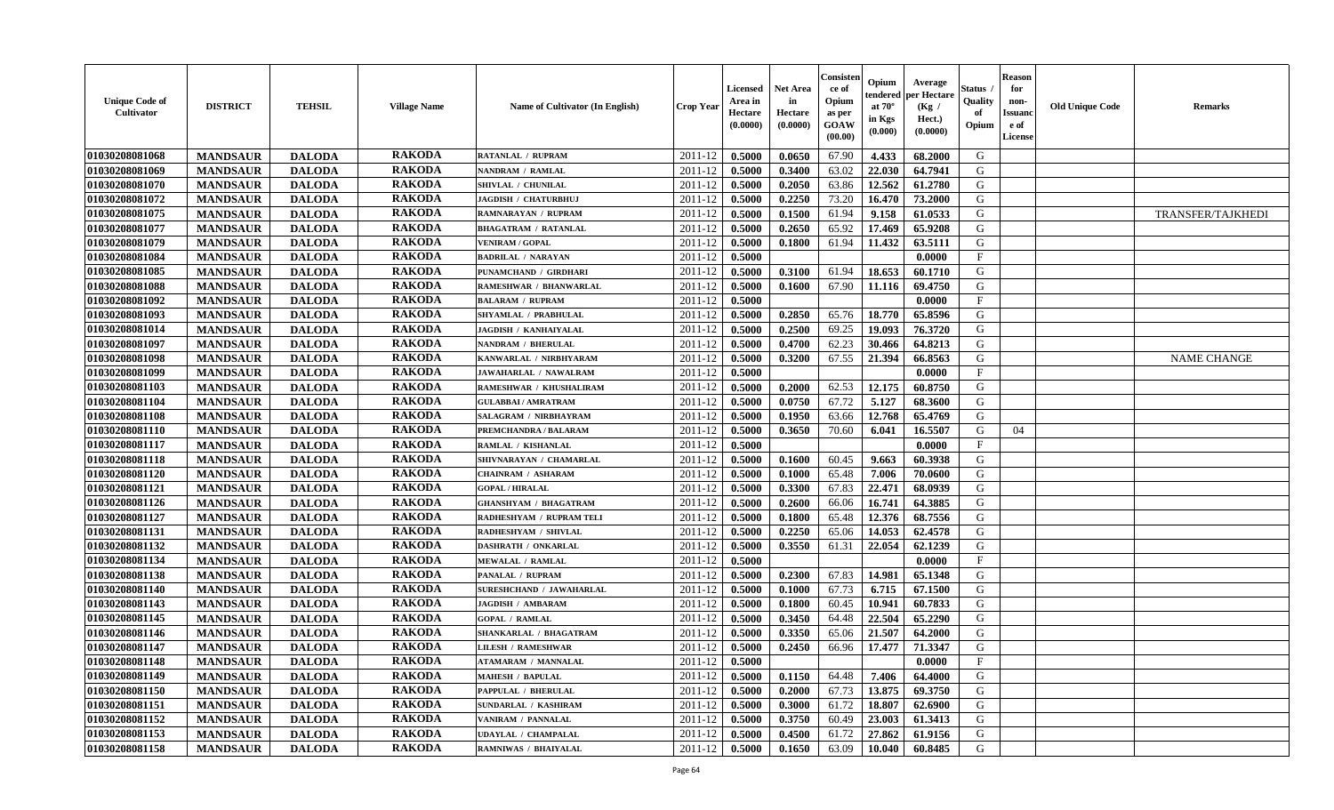| <b>Unique Code of</b><br><b>Cultivator</b> | <b>DISTRICT</b> | <b>TEHSIL</b> | <b>Village Name</b> | <b>Name of Cultivator (In English)</b> | Crop Year | Licensed<br>Area in<br>Hectare<br>(0.0000) | <b>Net Area</b><br>in<br>Hectare<br>(0.0000) | Consister<br>ce of<br>Opium<br>as per<br>GOAW<br>(00.00) | Opium<br>endered<br>at $70^\circ$<br>in Kgs<br>(0.000) | Average<br>per Hectare<br>(Kg /<br>Hect.)<br>(0.0000) | Status<br>Quality<br>of<br>Opium | <b>Reason</b><br>for<br>non-<br><b>Issuanc</b><br>e of<br><b>License</b> | <b>Old Unique Code</b> | <b>Remarks</b>     |
|--------------------------------------------|-----------------|---------------|---------------------|----------------------------------------|-----------|--------------------------------------------|----------------------------------------------|----------------------------------------------------------|--------------------------------------------------------|-------------------------------------------------------|----------------------------------|--------------------------------------------------------------------------|------------------------|--------------------|
| 01030208081068                             | <b>MANDSAUR</b> | <b>DALODA</b> | <b>RAKODA</b>       | RATANLAL / RUPRAM                      | 2011-12   | 0.5000                                     | 0.0650                                       | 67.90                                                    | 4.433                                                  | 68.2000                                               | G                                |                                                                          |                        |                    |
| 01030208081069                             | <b>MANDSAUR</b> | <b>DALODA</b> | <b>RAKODA</b>       | NANDRAM / RAMLAL                       | 2011-12   | 0.5000                                     | 0.3400                                       | 63.02                                                    | 22.030                                                 | 64.7941                                               | G                                |                                                                          |                        |                    |
| 01030208081070                             | <b>MANDSAUR</b> | <b>DALODA</b> | <b>RAKODA</b>       | SHIVLAL / CHUNILAL                     | 2011-12   | 0.5000                                     | 0.2050                                       | 63.86                                                    | 12.562                                                 | 61.2780                                               | G                                |                                                                          |                        |                    |
| 01030208081072                             | <b>MANDSAUR</b> | <b>DALODA</b> | <b>RAKODA</b>       | JAGDISH / CHATURBHUJ                   | 2011-12   | 0.5000                                     | 0.2250                                       | 73.20                                                    | 16.470                                                 | 73.2000                                               | G                                |                                                                          |                        |                    |
| 01030208081075                             | <b>MANDSAUR</b> | <b>DALODA</b> | <b>RAKODA</b>       | <b>RAMNARAYAN / RUPRAM</b>             | 2011-12   | 0.5000                                     | 0.1500                                       | 61.94                                                    | 9.158                                                  | 61.0533                                               | G                                |                                                                          |                        | TRANSFER/TAJKHEDI  |
| 01030208081077                             | <b>MANDSAUR</b> | <b>DALODA</b> | <b>RAKODA</b>       | <b>BHAGATRAM / RATANLAL</b>            | 2011-12   | 0.5000                                     | 0.2650                                       | 65.92                                                    | 17.469                                                 | 65.9208                                               | G                                |                                                                          |                        |                    |
| 01030208081079                             | <b>MANDSAUR</b> | <b>DALODA</b> | <b>RAKODA</b>       | <b>VENIRAM / GOPAL</b>                 | 2011-12   | 0.5000                                     | 0.1800                                       | 61.94                                                    | 11.432                                                 | 63.5111                                               | G                                |                                                                          |                        |                    |
| 01030208081084                             | <b>MANDSAUR</b> | <b>DALODA</b> | <b>RAKODA</b>       | <b>BADRILAL / NARAYAN</b>              | 2011-12   | 0.5000                                     |                                              |                                                          |                                                        | 0.0000                                                | $\mathbf{F}$                     |                                                                          |                        |                    |
| 01030208081085                             | <b>MANDSAUR</b> | <b>DALODA</b> | <b>RAKODA</b>       | PUNAMCHAND / GIRDHARI                  | 2011-12   | 0.5000                                     | 0.3100                                       | 61.94                                                    | 18.653                                                 | 60.1710                                               | G                                |                                                                          |                        |                    |
| 01030208081088                             | <b>MANDSAUR</b> | <b>DALODA</b> | <b>RAKODA</b>       | RAMESHWAR / BHANWARLAL                 | 2011-12   | 0.5000                                     | 0.1600                                       | 67.90                                                    | 11.116                                                 | 69.4750                                               | G                                |                                                                          |                        |                    |
| 01030208081092                             | <b>MANDSAUR</b> | <b>DALODA</b> | <b>RAKODA</b>       | <b>BALARAM / RUPRAM</b>                | 2011-12   | 0.5000                                     |                                              |                                                          |                                                        | 0.0000                                                | F                                |                                                                          |                        |                    |
| 01030208081093                             | <b>MANDSAUR</b> | <b>DALODA</b> | <b>RAKODA</b>       | SHYAMLAL / PRABHULAL                   | 2011-12   | 0.5000                                     | 0.2850                                       | 65.76                                                    | 18.770                                                 | 65.8596                                               | G                                |                                                                          |                        |                    |
| 01030208081014                             | <b>MANDSAUR</b> | <b>DALODA</b> | <b>RAKODA</b>       | <b>JAGDISH / KANHAIYALAL</b>           | 2011-12   | 0.5000                                     | 0.2500                                       | 69.25                                                    | 19.093                                                 | 76.3720                                               | G                                |                                                                          |                        |                    |
| 01030208081097                             | <b>MANDSAUR</b> | <b>DALODA</b> | <b>RAKODA</b>       | NANDRAM / BHERULAL                     | 2011-12   | 0.5000                                     | 0.4700                                       | 62.23                                                    | 30.466                                                 | 64.8213                                               | G                                |                                                                          |                        |                    |
| 01030208081098                             | <b>MANDSAUR</b> | <b>DALODA</b> | <b>RAKODA</b>       | KANWARLAL / NIRBHYARAM                 | 2011-12   | 0.5000                                     | 0.3200                                       | 67.55                                                    | 21.394                                                 | 66.8563                                               | G                                |                                                                          |                        | <b>NAME CHANGE</b> |
| 01030208081099                             | <b>MANDSAUR</b> | <b>DALODA</b> | <b>RAKODA</b>       | <b>JAWAHARLAL / NAWALRAM</b>           | 2011-12   | 0.5000                                     |                                              |                                                          |                                                        | 0.0000                                                | $\mathbf F$                      |                                                                          |                        |                    |
| 01030208081103                             | <b>MANDSAUR</b> | <b>DALODA</b> | <b>RAKODA</b>       | RAMESHWAR / KHUSHALIRAM                | 2011-12   | 0.5000                                     | 0.2000                                       | 62.53                                                    | 12.175                                                 | 60.8750                                               | G                                |                                                                          |                        |                    |
| 01030208081104                             | <b>MANDSAUR</b> | <b>DALODA</b> | <b>RAKODA</b>       | <b>GULABBAI/AMRATRAM</b>               | 2011-12   | 0.5000                                     | 0.0750                                       | 67.72                                                    | 5.127                                                  | 68.3600                                               | G                                |                                                                          |                        |                    |
| 01030208081108                             | <b>MANDSAUR</b> | <b>DALODA</b> | <b>RAKODA</b>       | SALAGRAM / NIRBHAYRAM                  | 2011-12   | 0.5000                                     | 0.1950                                       | 63.66                                                    | 12.768                                                 | 65,4769                                               | G                                |                                                                          |                        |                    |
| 01030208081110                             | <b>MANDSAUR</b> | <b>DALODA</b> | <b>RAKODA</b>       | PREMCHANDRA / BALARAM                  | 2011-12   | 0.5000                                     | 0.3650                                       | 70.60                                                    | 6.041                                                  | 16.5507                                               | G                                | 04                                                                       |                        |                    |
| 01030208081117                             | <b>MANDSAUR</b> | <b>DALODA</b> | <b>RAKODA</b>       | RAMLAL / KISHANLAL                     | 2011-12   | 0.5000                                     |                                              |                                                          |                                                        | 0.0000                                                | F                                |                                                                          |                        |                    |
| 01030208081118                             | <b>MANDSAUR</b> | <b>DALODA</b> | <b>RAKODA</b>       | SHIVNARAYAN / CHAMARLAL                | 2011-12   | 0.5000                                     | 0.1600                                       | 60.45                                                    | 9.663                                                  | 60.3938                                               | G                                |                                                                          |                        |                    |
| 01030208081120                             | <b>MANDSAUR</b> | <b>DALODA</b> | <b>RAKODA</b>       | <b>CHAINRAM / ASHARAM</b>              | 2011-12   | 0.5000                                     | 0.1000                                       | 65.48                                                    | 7.006                                                  | 70.0600                                               | G                                |                                                                          |                        |                    |
| 01030208081121                             | <b>MANDSAUR</b> | <b>DALODA</b> | <b>RAKODA</b>       | <b>GOPAL / HIRALAL</b>                 | 2011-12   | 0.5000                                     | 0.3300                                       | 67.83                                                    | 22.471                                                 | 68.0939                                               | G                                |                                                                          |                        |                    |
| 01030208081126                             | <b>MANDSAUR</b> | <b>DALODA</b> | <b>RAKODA</b>       | <b>GHANSHYAM / BHAGATRAM</b>           | 2011-12   | 0.5000                                     | 0.2600                                       | 66.06                                                    | 16.741                                                 | 64.3885                                               | G                                |                                                                          |                        |                    |
| 01030208081127                             | <b>MANDSAUR</b> | <b>DALODA</b> | <b>RAKODA</b>       | RADHESHYAM / RUPRAM TELI               | 2011-12   | 0.5000                                     | 0.1800                                       | 65.48                                                    | 12.376                                                 | 68.7556                                               | G                                |                                                                          |                        |                    |
| 01030208081131                             | <b>MANDSAUR</b> | <b>DALODA</b> | <b>RAKODA</b>       | RADHESHYAM / SHIVLAL                   | 2011-12   | 0.5000                                     | 0.2250                                       | 65.06                                                    | 14.053                                                 | 62.4578                                               | G                                |                                                                          |                        |                    |
| 01030208081132                             | <b>MANDSAUR</b> | <b>DALODA</b> | <b>RAKODA</b>       | DASHRATH / ONKARLAL                    | 2011-12   | 0.5000                                     | 0.3550                                       | 61.31                                                    | 22.054                                                 | 62.1239                                               | G                                |                                                                          |                        |                    |
| 01030208081134                             | <b>MANDSAUR</b> | <b>DALODA</b> | <b>RAKODA</b>       | <b>MEWALAL / RAMLAL</b>                | 2011-12   | 0.5000                                     |                                              |                                                          |                                                        | 0.0000                                                | $\mathbf{F}$                     |                                                                          |                        |                    |
| 01030208081138                             | <b>MANDSAUR</b> | <b>DALODA</b> | <b>RAKODA</b>       | PANALAL / RUPRAM                       | 2011-12   | 0.5000                                     | 0.2300                                       | 67.83                                                    | 14.981                                                 | 65.1348                                               | G                                |                                                                          |                        |                    |
| 01030208081140                             | <b>MANDSAUR</b> | <b>DALODA</b> | <b>RAKODA</b>       | <b>SURESHCHAND / JAWAHARLAL</b>        | 2011-12   | 0.5000                                     | 0.1000                                       | 67.73                                                    | 6.715                                                  | 67.1500                                               | ${\bf G}$                        |                                                                          |                        |                    |
| 01030208081143                             | <b>MANDSAUR</b> | <b>DALODA</b> | <b>RAKODA</b>       | <b>JAGDISH / AMBARAM</b>               | 2011-12   | 0.5000                                     | 0.1800                                       | 60.45                                                    | 10.941                                                 | 60.7833                                               | G                                |                                                                          |                        |                    |
| 01030208081145                             | <b>MANDSAUR</b> | <b>DALODA</b> | <b>RAKODA</b>       | <b>GOPAL / RAMLAL</b>                  | 2011-12   | 0.5000                                     | 0.3450                                       | 64.48                                                    | 22.504                                                 | 65.2290                                               | G                                |                                                                          |                        |                    |
| 01030208081146                             | <b>MANDSAUR</b> | <b>DALODA</b> | <b>RAKODA</b>       | SHANKARLAL / BHAGATRAM                 | 2011-12   | 0.5000                                     | 0.3350                                       | 65.06                                                    | 21.507                                                 | 64.2000                                               | G                                |                                                                          |                        |                    |
| 01030208081147                             | <b>MANDSAUR</b> | <b>DALODA</b> | <b>RAKODA</b>       | <b>LILESH / RAMESHWAR</b>              | 2011-12   | 0.5000                                     | 0.2450                                       | 66.96                                                    | 17.477                                                 | 71.3347                                               | G                                |                                                                          |                        |                    |
| 01030208081148                             | <b>MANDSAUR</b> | <b>DALODA</b> | <b>RAKODA</b>       | <b>ATAMARAM / MANNALAL</b>             | 2011-12   | 0.5000                                     |                                              |                                                          |                                                        | 0.0000                                                | $\mathbf F$                      |                                                                          |                        |                    |
| 01030208081149                             | <b>MANDSAUR</b> | <b>DALODA</b> | <b>RAKODA</b>       | <b>MAHESH / BAPULAL</b>                | 2011-12   | 0.5000                                     | 0.1150                                       | 64.48                                                    | 7.406                                                  | 64.4000                                               | G                                |                                                                          |                        |                    |
| 01030208081150                             | <b>MANDSAUR</b> | <b>DALODA</b> | <b>RAKODA</b>       | PAPPULAL / BHERULAL                    | 2011-12   | 0.5000                                     | 0.2000                                       | 67.73                                                    | 13.875                                                 | 69.3750                                               | G                                |                                                                          |                        |                    |
| 01030208081151                             | <b>MANDSAUR</b> | <b>DALODA</b> | <b>RAKODA</b>       | <b>SUNDARLAL / KASHIRAM</b>            | 2011-12   | 0.5000                                     | 0.3000                                       | 61.72                                                    | 18.807                                                 | 62.6900                                               | G                                |                                                                          |                        |                    |
| 01030208081152                             | <b>MANDSAUR</b> | <b>DALODA</b> | <b>RAKODA</b>       | VANIRAM / PANNALAL                     | 2011-12   | 0.5000                                     | 0.3750                                       | 60.49                                                    | 23.003                                                 | 61.3413                                               | G                                |                                                                          |                        |                    |
| 01030208081153                             | <b>MANDSAUR</b> | <b>DALODA</b> | <b>RAKODA</b>       | <b>UDAYLAL / CHAMPALAL</b>             | 2011-12   | 0.5000                                     | 0.4500                                       | 61.72                                                    | 27.862                                                 | 61.9156                                               | G                                |                                                                          |                        |                    |
| 01030208081158                             | <b>MANDSAUR</b> | <b>DALODA</b> | <b>RAKODA</b>       | RAMNIWAS / BHAIYALAL                   | 2011-12   | 0.5000                                     | 0.1650                                       | 63.09                                                    | 10.040                                                 | 60.8485                                               | G                                |                                                                          |                        |                    |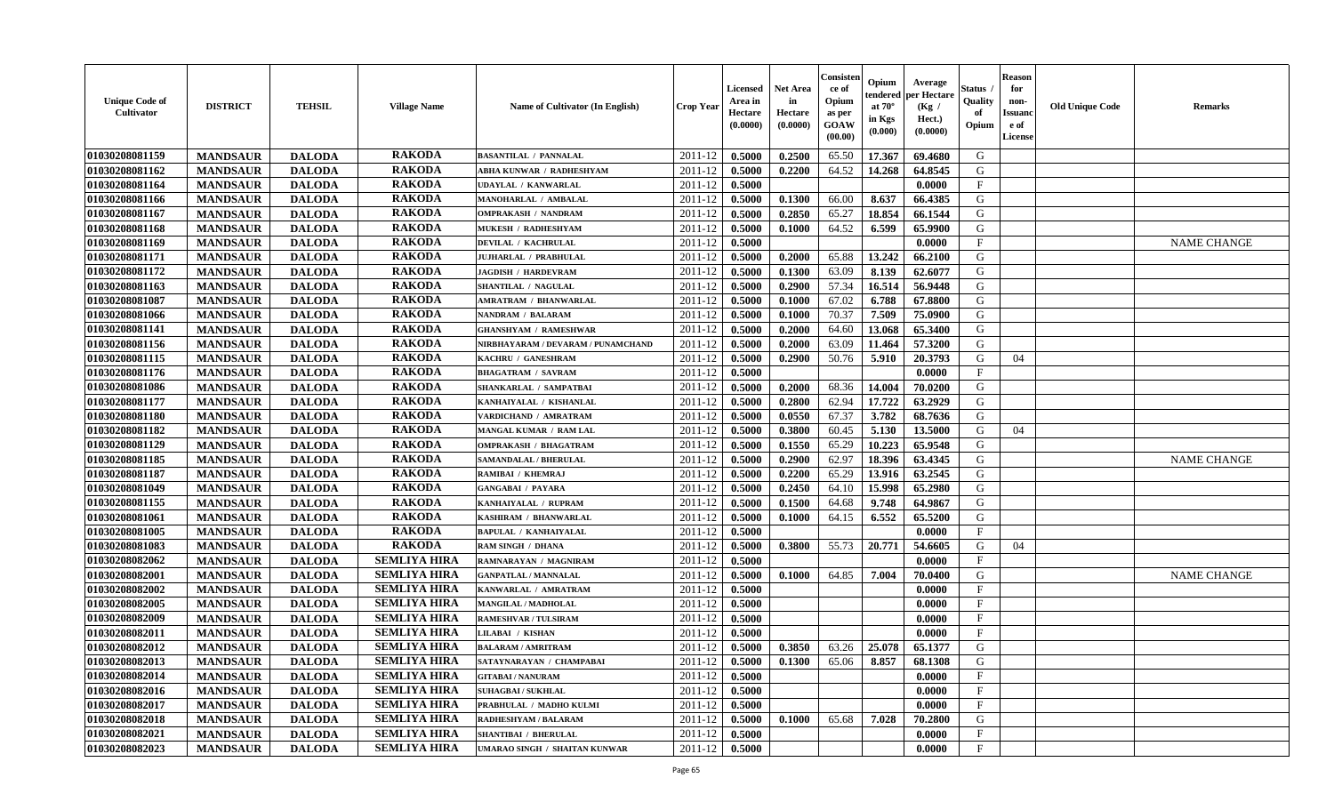| <b>Unique Code of</b><br><b>Cultivator</b> | <b>DISTRICT</b> | <b>TEHSIL</b> | <b>Village Name</b> | <b>Name of Cultivator (In English)</b> | <b>Crop Year</b> | <b>Licensed</b><br>Area in<br>Hectare<br>(0.0000) | <b>Net Area</b><br>in<br>Hectare<br>(0.0000) | Consisten<br>ce of<br>Opium<br>as per<br>GOAW<br>(00.00) | Opium<br>tendered<br>at $70^\circ$<br>in Kgs<br>(0.000) | Average<br>per Hectare<br>(Kg)<br>Hect.)<br>(0.0000) | Status<br>Quality<br>of<br>Opium | Reason<br>for<br>non-<br>Issuand<br>e of<br>License | <b>Old Unique Code</b> | <b>Remarks</b>     |
|--------------------------------------------|-----------------|---------------|---------------------|----------------------------------------|------------------|---------------------------------------------------|----------------------------------------------|----------------------------------------------------------|---------------------------------------------------------|------------------------------------------------------|----------------------------------|-----------------------------------------------------|------------------------|--------------------|
| 01030208081159                             | <b>MANDSAUR</b> | <b>DALODA</b> | <b>RAKODA</b>       | <b>BASANTILAL / PANNALAL</b>           | 2011-12          | 0.5000                                            | 0.2500                                       | 65.50                                                    | 17.367                                                  | 69.4680                                              | G                                |                                                     |                        |                    |
| 01030208081162                             | <b>MANDSAUR</b> | <b>DALODA</b> | <b>RAKODA</b>       | ABHA KUNWAR / RADHESHYAM               | 2011-12          | 0.5000                                            | 0.2200                                       | 64.52                                                    | 14.268                                                  | 64.8545                                              | G                                |                                                     |                        |                    |
| 01030208081164                             | <b>MANDSAUR</b> | <b>DALODA</b> | <b>RAKODA</b>       | <b>UDAYLAL / KANWARLAL</b>             | 2011-12          | 0.5000                                            |                                              |                                                          |                                                         | 0.0000                                               | $_{\rm F}$                       |                                                     |                        |                    |
| 01030208081166                             | <b>MANDSAUR</b> | <b>DALODA</b> | <b>RAKODA</b>       | MANOHARLAL / AMBALAL                   | 2011-12          | 0.5000                                            | 0.1300                                       | 66.00                                                    | 8.637                                                   | 66.4385                                              | G                                |                                                     |                        |                    |
| 01030208081167                             | <b>MANDSAUR</b> | <b>DALODA</b> | <b>RAKODA</b>       | <b>OMPRAKASH / NANDRAM</b>             | 2011-12          | 0.5000                                            | 0.2850                                       | 65.27                                                    | 18.854                                                  | 66.1544                                              | G                                |                                                     |                        |                    |
| 01030208081168                             | <b>MANDSAUR</b> | <b>DALODA</b> | <b>RAKODA</b>       | MUKESH / RADHESHYAM                    | 2011-12          | 0.5000                                            | 0.1000                                       | 64.52                                                    | 6.599                                                   | 65.9900                                              | G                                |                                                     |                        |                    |
| 01030208081169                             | <b>MANDSAUR</b> | <b>DALODA</b> | <b>RAKODA</b>       | <b>DEVILAL / KACHRULAL</b>             | 2011-12          | 0.5000                                            |                                              |                                                          |                                                         | 0.0000                                               | $_{\rm F}$                       |                                                     |                        | <b>NAME CHANGE</b> |
| 01030208081171                             | <b>MANDSAUR</b> | <b>DALODA</b> | <b>RAKODA</b>       | <b>JUJHARLAL / PRABHULAL</b>           | 2011-12          | 0.5000                                            | 0.2000                                       | 65.88                                                    | 13.242                                                  | 66.2100                                              | G                                |                                                     |                        |                    |
| 01030208081172                             | <b>MANDSAUR</b> | <b>DALODA</b> | <b>RAKODA</b>       | <b>JAGDISH / HARDEVRAM</b>             | 2011-12          | 0.5000                                            | 0.1300                                       | 63.09                                                    | 8.139                                                   | 62.6077                                              | G                                |                                                     |                        |                    |
| 01030208081163                             | <b>MANDSAUR</b> | <b>DALODA</b> | <b>RAKODA</b>       | SHANTILAL / NAGULAL                    | 2011-12          | 0.5000                                            | 0.2900                                       | 57.34                                                    | 16.514                                                  | 56.9448                                              | G                                |                                                     |                        |                    |
| 01030208081087                             | <b>MANDSAUR</b> | <b>DALODA</b> | <b>RAKODA</b>       | <b>AMRATRAM / BHANWARLAL</b>           | 2011-12          | 0.5000                                            | 0.1000                                       | 67.02                                                    | 6.788                                                   | 67.8800                                              | G                                |                                                     |                        |                    |
| 01030208081066                             | <b>MANDSAUR</b> | <b>DALODA</b> | <b>RAKODA</b>       | NANDRAM / BALARAM                      | 2011-12          | 0.5000                                            | 0.1000                                       | 70.37                                                    | 7.509                                                   | 75.0900                                              | G                                |                                                     |                        |                    |
| 01030208081141                             | <b>MANDSAUR</b> | <b>DALODA</b> | <b>RAKODA</b>       | <b>GHANSHYAM / RAMESHWAR</b>           | 2011-12          | 0.5000                                            | 0.2000                                       | 64.60                                                    | 13.068                                                  | 65.3400                                              | G                                |                                                     |                        |                    |
| 01030208081156                             | <b>MANDSAUR</b> | <b>DALODA</b> | <b>RAKODA</b>       | NIRBHAYARAM / DEVARAM / PUNAMCHAND     | 2011-12          | 0.5000                                            | 0.2000                                       | 63.09                                                    | 11.464                                                  | 57.3200                                              | G                                |                                                     |                        |                    |
| 01030208081115                             | <b>MANDSAUR</b> | <b>DALODA</b> | <b>RAKODA</b>       | KACHRU / GANESHRAM                     | 2011-12          | 0.5000                                            | 0.2900                                       | 50.76                                                    | 5.910                                                   | 20.3793                                              | G                                | 04                                                  |                        |                    |
| 01030208081176                             | <b>MANDSAUR</b> | <b>DALODA</b> | <b>RAKODA</b>       | <b>BHAGATRAM / SAVRAM</b>              | 2011-12          | 0.5000                                            |                                              |                                                          |                                                         | 0.0000                                               | $_{\rm F}$                       |                                                     |                        |                    |
| 01030208081086                             | <b>MANDSAUR</b> | <b>DALODA</b> | <b>RAKODA</b>       | SHANKARLAL / SAMPATBAI                 | 2011-12          | 0.5000                                            | 0.2000                                       | 68.36                                                    | 14.004                                                  | 70.0200                                              | G                                |                                                     |                        |                    |
| 01030208081177                             | <b>MANDSAUR</b> | <b>DALODA</b> | <b>RAKODA</b>       | KANHAIYALAL / KISHANLAL                | 2011-12          | 0.5000                                            | 0.2800                                       | 62.94                                                    | 17.722                                                  | 63.2929                                              | G                                |                                                     |                        |                    |
| 01030208081180                             | <b>MANDSAUR</b> | <b>DALODA</b> | <b>RAKODA</b>       | VARDICHAND / AMRATRAM                  | 2011-12          | 0.5000                                            | 0.0550                                       | 67.37                                                    | 3.782                                                   | 68.7636                                              | G                                |                                                     |                        |                    |
| 01030208081182                             | <b>MANDSAUR</b> | <b>DALODA</b> | <b>RAKODA</b>       | MANGAL KUMAR / RAM LAL                 | 2011-12          | 0.5000                                            | 0.3800                                       | 60.45                                                    | 5.130                                                   | 13.5000                                              | G                                | 04                                                  |                        |                    |
| 01030208081129                             | <b>MANDSAUR</b> | <b>DALODA</b> | <b>RAKODA</b>       | <b>OMPRAKASH / BHAGATRAM</b>           | 2011-12          | 0.5000                                            | 0.1550                                       | 65.29                                                    | 10.223                                                  | 65.9548                                              | G                                |                                                     |                        |                    |
| 01030208081185                             | <b>MANDSAUR</b> | <b>DALODA</b> | <b>RAKODA</b>       | SAMANDALAL / BHERULAL                  | 2011-12          | 0.5000                                            | 0.2900                                       | 62.97                                                    | 18.396                                                  | 63.4345                                              | G                                |                                                     |                        | <b>NAME CHANGE</b> |
| 01030208081187                             | <b>MANDSAUR</b> | <b>DALODA</b> | <b>RAKODA</b>       | RAMIBAI / KHEMRAJ                      | 2011-12          | 0.5000                                            | 0.2200                                       | 65.29                                                    | 13.916                                                  | 63.2545                                              | G                                |                                                     |                        |                    |
| 01030208081049                             | <b>MANDSAUR</b> | <b>DALODA</b> | <b>RAKODA</b>       | <b>GANGABAI / PAYARA</b>               | 2011-12          | 0.5000                                            | 0.2450                                       | 64.10                                                    | 15.998                                                  | 65.2980                                              | G                                |                                                     |                        |                    |
| 01030208081155                             | <b>MANDSAUR</b> | <b>DALODA</b> | <b>RAKODA</b>       | KANHAIYALAL / RUPRAM                   | 2011-12          | 0.5000                                            | 0.1500                                       | 64.68                                                    | 9.748                                                   | 64.9867                                              | G                                |                                                     |                        |                    |
| 01030208081061                             | <b>MANDSAUR</b> | <b>DALODA</b> | <b>RAKODA</b>       | KASHIRAM / BHANWARLAL                  | 2011-12          | 0.5000                                            | 0.1000                                       | 64.15                                                    | 6.552                                                   | 65.5200                                              | G                                |                                                     |                        |                    |
| 01030208081005                             | <b>MANDSAUR</b> | <b>DALODA</b> | <b>RAKODA</b>       | <b>BAPULAL / KANHAIYALAL</b>           | 2011-12          | 0.5000                                            |                                              |                                                          |                                                         | 0.0000                                               | $_{\rm F}$                       |                                                     |                        |                    |
| 01030208081083                             | <b>MANDSAUR</b> | <b>DALODA</b> | <b>RAKODA</b>       | <b>RAM SINGH / DHANA</b>               | 2011-12          | 0.5000                                            | 0.3800                                       | 55.73                                                    | 20.771                                                  | 54.6605                                              | G                                | 04                                                  |                        |                    |
| 01030208082062                             | <b>MANDSAUR</b> | <b>DALODA</b> | <b>SEMLIYA HIRA</b> | RAMNARAYAN / MAGNIRAM                  | 2011-12          | 0.5000                                            |                                              |                                                          |                                                         | 0.0000                                               | $\mathbf{F}$                     |                                                     |                        |                    |
| 01030208082001                             | <b>MANDSAUR</b> | <b>DALODA</b> | <b>SEMLIYA HIRA</b> | <b>GANPATLAL / MANNALAL</b>            | 2011-12          | 0.5000                                            | 0.1000                                       | 64.85                                                    | 7.004                                                   | 70.0400                                              | G                                |                                                     |                        | <b>NAME CHANGE</b> |
| 01030208082002                             | <b>MANDSAUR</b> | <b>DALODA</b> | <b>SEMLIYA HIRA</b> | KANWARLAL / AMRATRAM                   | 2011-12          | 0.5000                                            |                                              |                                                          |                                                         | 0.0000                                               | $_{\rm F}$                       |                                                     |                        |                    |
| 01030208082005                             | <b>MANDSAUR</b> | <b>DALODA</b> | <b>SEMLIYA HIRA</b> | MANGILAL / MADHOLAL                    | 2011-12          | 0.5000                                            |                                              |                                                          |                                                         | 0.0000                                               | $_{\rm F}$                       |                                                     |                        |                    |
| 01030208082009                             | <b>MANDSAUR</b> | <b>DALODA</b> | <b>SEMLIYA HIRA</b> | <b>RAMESHVAR / TULSIRAM</b>            | 2011-12          | 0.5000                                            |                                              |                                                          |                                                         | 0.0000                                               | $_{\rm F}$                       |                                                     |                        |                    |
| 01030208082011                             | <b>MANDSAUR</b> | <b>DALODA</b> | <b>SEMLIYA HIRA</b> | <b>LILABAI / KISHAN</b>                | 2011-12          | 0.5000                                            |                                              |                                                          |                                                         | 0.0000                                               | $\mathbf{F}$                     |                                                     |                        |                    |
| 01030208082012                             | <b>MANDSAUR</b> | <b>DALODA</b> | <b>SEMLIYA HIRA</b> | <b>BALARAM / AMRITRAM</b>              | 2011-12          | 0.5000                                            | 0.3850                                       | 63.26                                                    | 25.078                                                  | 65.1377                                              | G                                |                                                     |                        |                    |
| 01030208082013                             | <b>MANDSAUR</b> | <b>DALODA</b> | SEMLIYA HIRA        | SATAYNARAYAN / CHAMPABAI               | $2011-12$ 0.5000 |                                                   | 0.1300                                       | 65.06   8.857                                            |                                                         | 68.1308                                              | G                                |                                                     |                        |                    |
| 01030208082014                             | <b>MANDSAUR</b> | <b>DALODA</b> | <b>SEMLIYA HIRA</b> | <b>GITABAI/NANURAM</b>                 | 2011-12          | 0.5000                                            |                                              |                                                          |                                                         | 0.0000                                               | $\mathbf{F}$                     |                                                     |                        |                    |
| 01030208082016                             | <b>MANDSAUR</b> | <b>DALODA</b> | <b>SEMLIYA HIRA</b> | <b>SUHAGBAI/SUKHLAL</b>                | 2011-12          | 0.5000                                            |                                              |                                                          |                                                         | 0.0000                                               | $\mathbf{F}$                     |                                                     |                        |                    |
| 01030208082017                             | <b>MANDSAUR</b> | <b>DALODA</b> | <b>SEMLIYA HIRA</b> | PRABHULAL / MADHO KULMI                | 2011-12          | 0.5000                                            |                                              |                                                          |                                                         | 0.0000                                               | $\mathbf{F}$                     |                                                     |                        |                    |
| 01030208082018                             | <b>MANDSAUR</b> | <b>DALODA</b> | <b>SEMLIYA HIRA</b> | RADHESHYAM / BALARAM                   | 2011-12          | 0.5000                                            | 0.1000                                       | 65.68                                                    | 7.028                                                   | 70.2800                                              | G                                |                                                     |                        |                    |
| 01030208082021                             | <b>MANDSAUR</b> | <b>DALODA</b> | <b>SEMLIYA HIRA</b> | <b>SHANTIBAI / BHERULAL</b>            | 2011-12          | 0.5000                                            |                                              |                                                          |                                                         | 0.0000                                               | $\mathbf{F}$                     |                                                     |                        |                    |
| 01030208082023                             | <b>MANDSAUR</b> | <b>DALODA</b> | <b>SEMLIYA HIRA</b> | UMARAO SINGH / SHAITAN KUNWAR          | 2011-12          | 0.5000                                            |                                              |                                                          |                                                         | 0.0000                                               | $\mathbf{F}$                     |                                                     |                        |                    |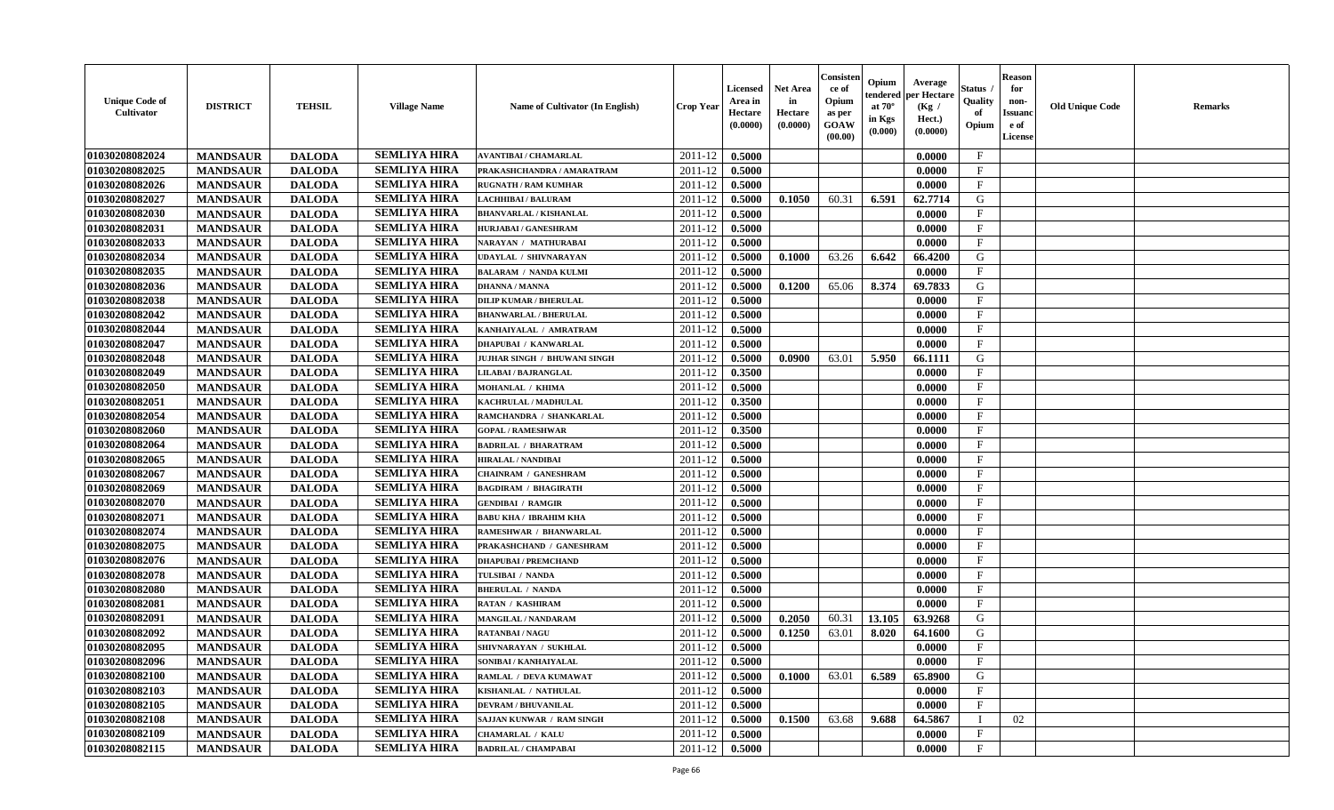| <b>Unique Code of</b><br><b>Cultivator</b> | <b>DISTRICT</b> | <b>TEHSIL</b> | <b>Village Name</b> | Name of Cultivator (In English)     | <b>Crop Year</b> | <b>Licensed</b><br>Area in<br>Hectare<br>(0.0000) | <b>Net Area</b><br>in<br>Hectare<br>(0.0000) | Consister<br>ce of<br>Opium<br>as per<br>GOAW<br>(00.00) | Opium<br>endered<br>at $70^\circ$<br>in Kgs<br>(0.000) | Average<br>per Hectare<br>(Kg /<br>Hect.)<br>(0.0000) | Status<br>Quality<br>of<br>Opium | <b>Reason</b><br>for<br>non-<br><b>Issuand</b><br>e of<br>License | <b>Old Unique Code</b> | <b>Remarks</b> |
|--------------------------------------------|-----------------|---------------|---------------------|-------------------------------------|------------------|---------------------------------------------------|----------------------------------------------|----------------------------------------------------------|--------------------------------------------------------|-------------------------------------------------------|----------------------------------|-------------------------------------------------------------------|------------------------|----------------|
| 01030208082024                             | <b>MANDSAUR</b> | <b>DALODA</b> | <b>SEMLIYA HIRA</b> | <b>AVANTIBAI / CHAMARLAL</b>        | 2011-12          | 0.5000                                            |                                              |                                                          |                                                        | 0.0000                                                | $\mathbf{F}$                     |                                                                   |                        |                |
| 01030208082025                             | <b>MANDSAUR</b> | <b>DALODA</b> | <b>SEMLIYA HIRA</b> | PRAKASHCHANDRA / AMARATRAM          | 2011-12          | 0.5000                                            |                                              |                                                          |                                                        | 0.0000                                                | $\mathbf{F}$                     |                                                                   |                        |                |
| 01030208082026                             | <b>MANDSAUR</b> | <b>DALODA</b> | <b>SEMLIYA HIRA</b> | <b>RUGNATH / RAM KUMHAR</b>         | 2011-12          | 0.5000                                            |                                              |                                                          |                                                        | 0.0000                                                | $_{\rm F}$                       |                                                                   |                        |                |
| 01030208082027                             | <b>MANDSAUR</b> | <b>DALODA</b> | <b>SEMLIYA HIRA</b> | LACHHIBAI / BALURAM                 | 2011-12          | 0.5000                                            | 0.1050                                       | 60.31                                                    | 6.591                                                  | 62.7714                                               | G                                |                                                                   |                        |                |
| 01030208082030                             | <b>MANDSAUR</b> | <b>DALODA</b> | <b>SEMLIYA HIRA</b> | <b>BHANVARLAL / KISHANLAL</b>       | 2011-12          | 0.5000                                            |                                              |                                                          |                                                        | 0.0000                                                | $\mathbf{F}$                     |                                                                   |                        |                |
| 01030208082031                             | <b>MANDSAUR</b> | <b>DALODA</b> | <b>SEMLIYA HIRA</b> | <b>HURJABAI/GANESHRAM</b>           | 2011-12          | 0.5000                                            |                                              |                                                          |                                                        | 0.0000                                                | $\mathbf{F}$                     |                                                                   |                        |                |
| 01030208082033                             | <b>MANDSAUR</b> | <b>DALODA</b> | <b>SEMLIYA HIRA</b> | NARAYAN / MATHURABAI                | 2011-12          | 0.5000                                            |                                              |                                                          |                                                        | 0.0000                                                | $\rm F$                          |                                                                   |                        |                |
| 01030208082034                             | <b>MANDSAUR</b> | <b>DALODA</b> | <b>SEMLIYA HIRA</b> | UDAYLAL / SHIVNARAYAN               | 2011-12          | 0.5000                                            | 0.1000                                       | 63.26                                                    | 6.642                                                  | 66.4200                                               | G                                |                                                                   |                        |                |
| 01030208082035                             | <b>MANDSAUR</b> | <b>DALODA</b> | <b>SEMLIYA HIRA</b> | <b>BALARAM / NANDA KULMI</b>        | 2011-12          | 0.5000                                            |                                              |                                                          |                                                        | 0.0000                                                | $\mathbf{F}$                     |                                                                   |                        |                |
| 01030208082036                             | <b>MANDSAUR</b> | <b>DALODA</b> | <b>SEMLIYA HIRA</b> | <b>DHANNA / MANNA</b>               | 2011-12          | 0.5000                                            | 0.1200                                       | 65.06                                                    | 8.374                                                  | 69.7833                                               | G                                |                                                                   |                        |                |
| 01030208082038                             | <b>MANDSAUR</b> | <b>DALODA</b> | <b>SEMLIYA HIRA</b> | <b>DILIP KUMAR / BHERULAL</b>       | 2011-12          | 0.5000                                            |                                              |                                                          |                                                        | 0.0000                                                | F                                |                                                                   |                        |                |
| 01030208082042                             | <b>MANDSAUR</b> | <b>DALODA</b> | <b>SEMLIYA HIRA</b> | <b>BHANWARLAL / BHERULAL</b>        | 2011-12          | 0.5000                                            |                                              |                                                          |                                                        | 0.0000                                                | $_{\rm F}$                       |                                                                   |                        |                |
| 01030208082044                             | <b>MANDSAUR</b> | <b>DALODA</b> | <b>SEMLIYA HIRA</b> | KANHAIYALAL / AMRATRAM              | 2011-12          | 0.5000                                            |                                              |                                                          |                                                        | 0.0000                                                | $_{\rm F}$                       |                                                                   |                        |                |
| 01030208082047                             | <b>MANDSAUR</b> | <b>DALODA</b> | <b>SEMLIYA HIRA</b> | <b>DHAPUBAI / KANWARLAL</b>         | 2011-12          | 0.5000                                            |                                              |                                                          |                                                        | 0.0000                                                | $\mathbf{F}$                     |                                                                   |                        |                |
| 01030208082048                             | <b>MANDSAUR</b> | <b>DALODA</b> | <b>SEMLIYA HIRA</b> | <b>JUJHAR SINGH / BHUWANI SINGH</b> | 2011-12          | 0.5000                                            | 0.0900                                       | 63.01                                                    | 5.950                                                  | 66.1111                                               | G                                |                                                                   |                        |                |
| 01030208082049                             | <b>MANDSAUR</b> | <b>DALODA</b> | <b>SEMLIYA HIRA</b> | <b>LILABAI / BAJRANGLAL</b>         | 2011-12          | 0.3500                                            |                                              |                                                          |                                                        | 0.0000                                                | $\rm F$                          |                                                                   |                        |                |
| 01030208082050                             | <b>MANDSAUR</b> | <b>DALODA</b> | <b>SEMLIYA HIRA</b> | MOHANLAL / KHIMA                    | 2011-12          | 0.5000                                            |                                              |                                                          |                                                        | 0.0000                                                | $\mathbf{F}$                     |                                                                   |                        |                |
| 01030208082051                             | <b>MANDSAUR</b> | <b>DALODA</b> | <b>SEMLIYA HIRA</b> | KACHRULAL / MADHULAL                | 2011-12          | 0.3500                                            |                                              |                                                          |                                                        | 0.0000                                                | $\mathbf{F}$                     |                                                                   |                        |                |
| 01030208082054                             | <b>MANDSAUR</b> | <b>DALODA</b> | <b>SEMLIYA HIRA</b> | RAMCHANDRA / SHANKARLAL             | 2011-12          | 0.5000                                            |                                              |                                                          |                                                        | 0.0000                                                | $\mathbf{F}$                     |                                                                   |                        |                |
| 01030208082060                             | <b>MANDSAUR</b> | <b>DALODA</b> | <b>SEMLIYA HIRA</b> | <b>GOPAL / RAMESHWAR</b>            | 2011-12          | 0.3500                                            |                                              |                                                          |                                                        | 0.0000                                                | $\mathbf{F}$                     |                                                                   |                        |                |
| 01030208082064                             | <b>MANDSAUR</b> | <b>DALODA</b> | <b>SEMLIYA HIRA</b> | <b>BADRILAL / BHARATRAM</b>         | 2011-12          | 0.5000                                            |                                              |                                                          |                                                        | 0.0000                                                | $_{\rm F}$                       |                                                                   |                        |                |
| 01030208082065                             | <b>MANDSAUR</b> | <b>DALODA</b> | <b>SEMLIYA HIRA</b> | <b>HIRALAL / NANDIBAI</b>           | 2011-12          | 0.5000                                            |                                              |                                                          |                                                        | 0.0000                                                | $\mathbf{F}$                     |                                                                   |                        |                |
| 01030208082067                             | <b>MANDSAUR</b> | <b>DALODA</b> | <b>SEMLIYA HIRA</b> | CHAINRAM / GANESHRAM                | 2011-12          | 0.5000                                            |                                              |                                                          |                                                        | 0.0000                                                | $\mathbf{F}$                     |                                                                   |                        |                |
| 01030208082069                             | <b>MANDSAUR</b> | <b>DALODA</b> | <b>SEMLIYA HIRA</b> | <b>BAGDIRAM / BHAGIRATH</b>         | 2011-12          | 0.5000                                            |                                              |                                                          |                                                        | 0.0000                                                | $\mathbf{F}$                     |                                                                   |                        |                |
| 01030208082070                             | <b>MANDSAUR</b> | <b>DALODA</b> | <b>SEMLIYA HIRA</b> | <b>GENDIBAI / RAMGIR</b>            | 2011-12          | 0.5000                                            |                                              |                                                          |                                                        | 0.0000                                                | $\mathbf{F}$                     |                                                                   |                        |                |
| 01030208082071                             | <b>MANDSAUR</b> | <b>DALODA</b> | <b>SEMLIYA HIRA</b> | <b>BABU KHA / IBRAHIM KHA</b>       | 2011-12          | 0.5000                                            |                                              |                                                          |                                                        | 0.0000                                                | $\mathbf F$                      |                                                                   |                        |                |
| 01030208082074                             | <b>MANDSAUR</b> | <b>DALODA</b> | <b>SEMLIYA HIRA</b> | RAMESHWAR / BHANWARLAL              | 2011-12          | 0.5000                                            |                                              |                                                          |                                                        | 0.0000                                                | $\mathbf{F}$                     |                                                                   |                        |                |
| 01030208082075                             | <b>MANDSAUR</b> | <b>DALODA</b> | <b>SEMLIYA HIRA</b> | PRAKASHCHAND / GANESHRAM            | 2011-12          | 0.5000                                            |                                              |                                                          |                                                        | 0.0000                                                | $\mathbf{F}$                     |                                                                   |                        |                |
| 01030208082076                             | <b>MANDSAUR</b> | <b>DALODA</b> | <b>SEMLIYA HIRA</b> | <b>DHAPUBAI/PREMCHAND</b>           | 2011-12          | 0.5000                                            |                                              |                                                          |                                                        | 0.0000                                                | $\mathbf{F}$                     |                                                                   |                        |                |
| 01030208082078                             | <b>MANDSAUR</b> | <b>DALODA</b> | <b>SEMLIYA HIRA</b> | TULSIBAI / NANDA                    | 2011-12          | 0.5000                                            |                                              |                                                          |                                                        | 0.0000                                                | $\mathbf{F}$                     |                                                                   |                        |                |
| 01030208082080                             | <b>MANDSAUR</b> | <b>DALODA</b> | <b>SEMLIYA HIRA</b> | <b>BHERULAL / NANDA</b>             | 2011-12          | 0.5000                                            |                                              |                                                          |                                                        | 0.0000                                                | $\rm F$                          |                                                                   |                        |                |
| 01030208082081                             | <b>MANDSAUR</b> | <b>DALODA</b> | <b>SEMLIYA HIRA</b> | <b>RATAN / KASHIRAM</b>             | 2011-12          | 0.5000                                            |                                              |                                                          |                                                        | 0.0000                                                | $\mathbf{F}$                     |                                                                   |                        |                |
| 01030208082091                             | <b>MANDSAUR</b> | <b>DALODA</b> | <b>SEMLIYA HIRA</b> | MANGILAL / NANDARAM                 | 2011-12          | 0.5000                                            | 0.2050                                       | 60.31                                                    | 13.105                                                 | 63.9268                                               | G                                |                                                                   |                        |                |
| 01030208082092                             | <b>MANDSAUR</b> | <b>DALODA</b> | <b>SEMLIYA HIRA</b> | <b>RATANBAI/NAGU</b>                | 2011-12          | 0.5000                                            | 0.1250                                       | 63.01                                                    | 8.020                                                  | 64.1600                                               | G                                |                                                                   |                        |                |
| 01030208082095                             | <b>MANDSAUR</b> | <b>DALODA</b> | <b>SEMLIYA HIRA</b> | SHIVNARAYAN / SUKHLAL               | 2011-12          | 0.5000                                            |                                              |                                                          |                                                        | 0.0000                                                | F                                |                                                                   |                        |                |
| 01030208082096                             | <b>MANDSAUR</b> | <b>DALODA</b> | <b>SEMLIYA HIRA</b> | SONIBAI / KANHAIYALAL               | 2011-12          | 0.5000                                            |                                              |                                                          |                                                        | 0.0000                                                | $_{\rm F}$                       |                                                                   |                        |                |
| 01030208082100                             | <b>MANDSAUR</b> | <b>DALODA</b> | <b>SEMLIYA HIRA</b> | RAMLAL / DEVA KUMAWAT               | 2011-12          | 0.5000                                            | 0.1000                                       | 63.01                                                    | 6.589                                                  | 65.8900                                               | G                                |                                                                   |                        |                |
| 01030208082103                             | <b>MANDSAUR</b> | <b>DALODA</b> | <b>SEMLIYA HIRA</b> | KISHANLAL / NATHULAL                | 2011-12          | 0.5000                                            |                                              |                                                          |                                                        | 0.0000                                                | F                                |                                                                   |                        |                |
| 01030208082105                             | <b>MANDSAUR</b> | <b>DALODA</b> | <b>SEMLIYA HIRA</b> | <b>DEVRAM / BHUVANILAL</b>          | 2011-12          | 0.5000                                            |                                              |                                                          |                                                        | 0.0000                                                | F                                |                                                                   |                        |                |
| 01030208082108                             | <b>MANDSAUR</b> | <b>DALODA</b> | <b>SEMLIYA HIRA</b> | SAJJAN KUNWAR / RAM SINGH           | 2011-12          | 0.5000                                            | 0.1500                                       | 63.68                                                    | 9.688                                                  | 64.5867                                               |                                  | 02                                                                |                        |                |
| 01030208082109                             | <b>MANDSAUR</b> | <b>DALODA</b> | <b>SEMLIYA HIRA</b> | <b>CHAMARLAL / KALU</b>             | 2011-12          | 0.5000                                            |                                              |                                                          |                                                        | 0.0000                                                | $\mathbf{F}$                     |                                                                   |                        |                |
| 01030208082115                             | <b>MANDSAUR</b> | <b>DALODA</b> | <b>SEMLIYA HIRA</b> | <b>BADRILAL / CHAMPABAI</b>         | 2011-12          | 0.5000                                            |                                              |                                                          |                                                        | 0.0000                                                | $\mathbf{F}$                     |                                                                   |                        |                |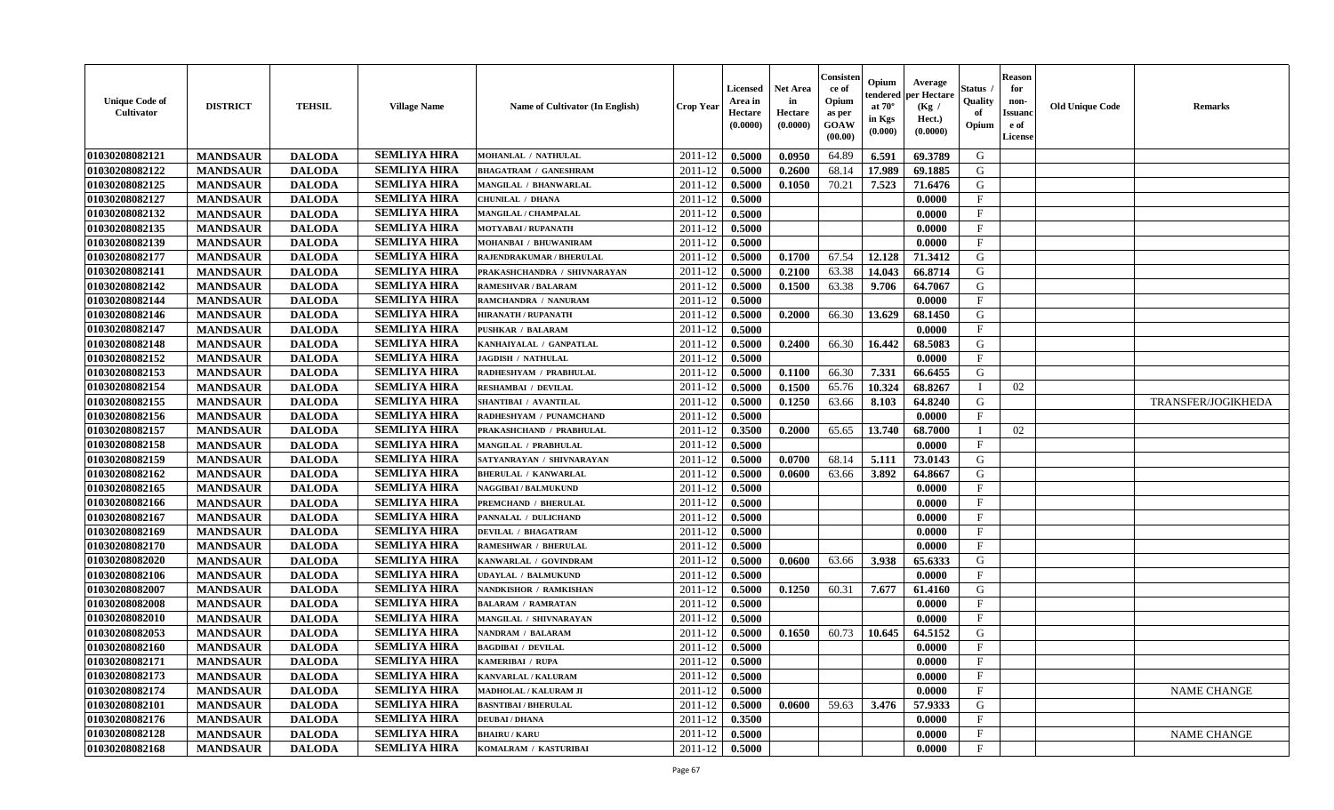| <b>Unique Code of</b><br><b>Cultivator</b> | <b>DISTRICT</b> | <b>TEHSIL</b> | <b>Village Name</b> | Name of Cultivator (In English) | <b>Crop Year</b> | <b>Licensed</b><br>Area in<br>Hectare<br>(0.0000) | <b>Net Area</b><br>in<br>Hectare<br>(0.0000) | Consisteı<br>ce of<br>Opium<br>as per<br><b>GOAW</b><br>(00.00) | Opium<br>endered<br>at $70^\circ$<br>in Kgs<br>$(\mathbf{0.000})$ | Average<br>per Hectare<br>(Kg /<br>Hect.)<br>(0.0000) | Status<br>Quality<br>of<br>Opium | <b>Reason</b><br>for<br>non-<br>Issuan<br>e of<br>License | <b>Old Unique Code</b> | <b>Remarks</b>     |
|--------------------------------------------|-----------------|---------------|---------------------|---------------------------------|------------------|---------------------------------------------------|----------------------------------------------|-----------------------------------------------------------------|-------------------------------------------------------------------|-------------------------------------------------------|----------------------------------|-----------------------------------------------------------|------------------------|--------------------|
| 01030208082121                             | <b>MANDSAUR</b> | <b>DALODA</b> | <b>SEMLIYA HIRA</b> | <b>MOHANLAL / NATHULAL</b>      | 2011-12          | 0.5000                                            | 0.0950                                       | 64.89                                                           | 6.591                                                             | 69.3789                                               | G                                |                                                           |                        |                    |
| 01030208082122                             | <b>MANDSAUR</b> | <b>DALODA</b> | <b>SEMLIYA HIRA</b> | <b>BHAGATRAM / GANESHRAM</b>    | 2011-12          | 0.5000                                            | 0.2600                                       | 68.14                                                           | 17.989                                                            | 69.1885                                               | G                                |                                                           |                        |                    |
| 01030208082125                             | <b>MANDSAUR</b> | <b>DALODA</b> | <b>SEMLIYA HIRA</b> | MANGILAL / BHANWARLAL           | 2011-12          | 0.5000                                            | 0.1050                                       | 70.21                                                           | 7.523                                                             | 71.6476                                               | G                                |                                                           |                        |                    |
| 01030208082127                             | <b>MANDSAUR</b> | <b>DALODA</b> | <b>SEMLIYA HIRA</b> | <b>CHUNILAL / DHANA</b>         | 2011-12          | 0.5000                                            |                                              |                                                                 |                                                                   | 0.0000                                                | $\mathbf{F}$                     |                                                           |                        |                    |
| 01030208082132                             | <b>MANDSAUR</b> | <b>DALODA</b> | <b>SEMLIYA HIRA</b> | MANGILAL / CHAMPALAL            | 2011-12          | 0.5000                                            |                                              |                                                                 |                                                                   | 0.0000                                                | $\mathbf{F}$                     |                                                           |                        |                    |
| 01030208082135                             | <b>MANDSAUR</b> | <b>DALODA</b> | <b>SEMLIYA HIRA</b> | <b>MOTYABAI/RUPANATH</b>        | 2011-12          | 0.5000                                            |                                              |                                                                 |                                                                   | 0.0000                                                | $\mathbf{F}$                     |                                                           |                        |                    |
| 01030208082139                             | <b>MANDSAUR</b> | <b>DALODA</b> | <b>SEMLIYA HIRA</b> | MOHANBAI / BHUWANIRAM           | 2011-12          | 0.5000                                            |                                              |                                                                 |                                                                   | 0.0000                                                | $\mathbf F$                      |                                                           |                        |                    |
| 01030208082177                             | <b>MANDSAUR</b> | <b>DALODA</b> | <b>SEMLIYA HIRA</b> | RAJENDRAKUMAR / BHERULAL        | 2011-12          | 0.5000                                            | 0.1700                                       | 67.54                                                           | 12.128                                                            | 71.3412                                               | G                                |                                                           |                        |                    |
| 01030208082141                             | <b>MANDSAUR</b> | <b>DALODA</b> | <b>SEMLIYA HIRA</b> | PRAKASHCHANDRA / SHIVNARAYAN    | 2011-12          | 0.5000                                            | 0.2100                                       | 63.38                                                           | 14.043                                                            | 66.8714                                               | G                                |                                                           |                        |                    |
| 01030208082142                             | <b>MANDSAUR</b> | <b>DALODA</b> | <b>SEMLIYA HIRA</b> | RAMESHVAR / BALARAM             | 2011-12          | 0.5000                                            | 0.1500                                       | 63.38                                                           | 9.706                                                             | 64.7067                                               | G                                |                                                           |                        |                    |
| 01030208082144                             | <b>MANDSAUR</b> | <b>DALODA</b> | <b>SEMLIYA HIRA</b> | RAMCHANDRA / NANURAM            | 2011-12          | 0.5000                                            |                                              |                                                                 |                                                                   | 0.0000                                                | $\mathbf{F}$                     |                                                           |                        |                    |
| 01030208082146                             | <b>MANDSAUR</b> | <b>DALODA</b> | <b>SEMLIYA HIRA</b> | <b>HIRANATH / RUPANATH</b>      | 2011-12          | 0.5000                                            | 0.2000                                       | 66.30                                                           | 13.629                                                            | 68.1450                                               | G                                |                                                           |                        |                    |
| 01030208082147                             | <b>MANDSAUR</b> | <b>DALODA</b> | <b>SEMLIYA HIRA</b> | <b>PUSHKAR / BALARAM</b>        | 2011-12          | 0.5000                                            |                                              |                                                                 |                                                                   | 0.0000                                                | $\mathbf{F}$                     |                                                           |                        |                    |
| 01030208082148                             | <b>MANDSAUR</b> | <b>DALODA</b> | <b>SEMLIYA HIRA</b> | KANHAIYALAL / GANPATLAL         | 2011-12          | 0.5000                                            | 0.2400                                       | 66.30                                                           | 16.442                                                            | 68.5083                                               | G                                |                                                           |                        |                    |
| 01030208082152                             | <b>MANDSAUR</b> | <b>DALODA</b> | <b>SEMLIYA HIRA</b> | <b>JAGDISH / NATHULAL</b>       | 2011-12          | 0.5000                                            |                                              |                                                                 |                                                                   | 0.0000                                                | $\mathbf{F}$                     |                                                           |                        |                    |
| 01030208082153                             | <b>MANDSAUR</b> | <b>DALODA</b> | <b>SEMLIYA HIRA</b> | RADHESHYAM / PRABHULAL          | 2011-12          | 0.5000                                            | 0.1100                                       | 66.30                                                           | 7.331                                                             | 66.6455                                               | G                                |                                                           |                        |                    |
| 01030208082154                             | <b>MANDSAUR</b> | <b>DALODA</b> | <b>SEMLIYA HIRA</b> | RESHAMBAI / DEVILAL             | 2011-12          | 0.5000                                            | 0.1500                                       | 65.76                                                           | 10.324                                                            | 68.8267                                               | $\mathbf I$                      | 02                                                        |                        |                    |
| 01030208082155                             | <b>MANDSAUR</b> | <b>DALODA</b> | <b>SEMLIYA HIRA</b> | SHANTIBAI / AVANTILAL           | 2011-12          | 0.5000                                            | 0.1250                                       | 63.66                                                           | 8.103                                                             | 64.8240                                               | G                                |                                                           |                        | TRANSFER/JOGIKHEDA |
| 01030208082156                             | <b>MANDSAUR</b> | <b>DALODA</b> | <b>SEMLIYA HIRA</b> | RADHESHYAM / PUNAMCHAND         | 2011-12          | 0.5000                                            |                                              |                                                                 |                                                                   | 0.0000                                                | F                                |                                                           |                        |                    |
| 01030208082157                             | <b>MANDSAUR</b> | <b>DALODA</b> | <b>SEMLIYA HIRA</b> | PRAKASHCHAND / PRABHULAL        | 2011-12          | 0.3500                                            | 0.2000                                       | 65.65                                                           | 13.740                                                            | 68.7000                                               |                                  | 02                                                        |                        |                    |
| 01030208082158                             | <b>MANDSAUR</b> | <b>DALODA</b> | <b>SEMLIYA HIRA</b> | MANGILAL / PRABHULAL            | 2011-12          | 0.5000                                            |                                              |                                                                 |                                                                   | 0.0000                                                | $_{\rm F}$                       |                                                           |                        |                    |
| 01030208082159                             | <b>MANDSAUR</b> | <b>DALODA</b> | <b>SEMLIYA HIRA</b> | SATYANRAYAN / SHIVNARAYAN       | 2011-12          | 0.5000                                            | 0.0700                                       | 68.14                                                           | 5.111                                                             | 73.0143                                               | G                                |                                                           |                        |                    |
| 01030208082162                             | <b>MANDSAUR</b> | <b>DALODA</b> | <b>SEMLIYA HIRA</b> | <b>BHERULAL / KANWARLAL</b>     | 2011-12          | 0.5000                                            | 0.0600                                       | 63.66                                                           | 3.892                                                             | 64.8667                                               | G                                |                                                           |                        |                    |
| 01030208082165                             | <b>MANDSAUR</b> | <b>DALODA</b> | <b>SEMLIYA HIRA</b> | <b>NAGGIBAI / BALMUKUND</b>     | 2011-12          | 0.5000                                            |                                              |                                                                 |                                                                   | 0.0000                                                | $\mathbf{F}$                     |                                                           |                        |                    |
| 01030208082166                             | <b>MANDSAUR</b> | <b>DALODA</b> | <b>SEMLIYA HIRA</b> | PREMCHAND / BHERULAL            | 2011-12          | 0.5000                                            |                                              |                                                                 |                                                                   | 0.0000                                                | $\mathbf{F}$                     |                                                           |                        |                    |
| 01030208082167                             | <b>MANDSAUR</b> | <b>DALODA</b> | <b>SEMLIYA HIRA</b> | PANNALAL / DULICHAND            | 2011-12          | 0.5000                                            |                                              |                                                                 |                                                                   | 0.0000                                                | $\mathbf{F}$                     |                                                           |                        |                    |
| 01030208082169                             | <b>MANDSAUR</b> | <b>DALODA</b> | <b>SEMLIYA HIRA</b> | DEVILAL / BHAGATRAM             | 2011-12          | 0.5000                                            |                                              |                                                                 |                                                                   | 0.0000                                                | $_{\rm F}$                       |                                                           |                        |                    |
| 01030208082170                             | <b>MANDSAUR</b> | <b>DALODA</b> | <b>SEMLIYA HIRA</b> | <b>RAMESHWAR / BHERULAL</b>     | 2011-12          | 0.5000                                            |                                              |                                                                 |                                                                   | 0.0000                                                | $\mathbf{F}$                     |                                                           |                        |                    |
| 01030208082020                             | <b>MANDSAUR</b> | <b>DALODA</b> | <b>SEMLIYA HIRA</b> | KANWARLAL / GOVINDRAM           | 2011-12          | 0.5000                                            | 0.0600                                       | 63.66                                                           | 3.938                                                             | 65.6333                                               | G                                |                                                           |                        |                    |
| 01030208082106                             | <b>MANDSAUR</b> | <b>DALODA</b> | <b>SEMLIYA HIRA</b> | UDAYLAL / BALMUKUND             | 2011-12          | 0.5000                                            |                                              |                                                                 |                                                                   | 0.0000                                                | $_{\rm F}$                       |                                                           |                        |                    |
| 01030208082007                             | <b>MANDSAUR</b> | <b>DALODA</b> | <b>SEMLIYA HIRA</b> | NANDKISHOR / RAMKISHAN          | 2011-12          | 0.5000                                            | 0.1250                                       | 60.31                                                           | 7.677                                                             | 61.4160                                               | G                                |                                                           |                        |                    |
| 01030208082008                             | <b>MANDSAUR</b> | <b>DALODA</b> | <b>SEMLIYA HIRA</b> | <b>BALARAM / RAMRATAN</b>       | 2011-12          | 0.5000                                            |                                              |                                                                 |                                                                   | 0.0000                                                | $\mathbf{F}$                     |                                                           |                        |                    |
| 01030208082010                             | <b>MANDSAUR</b> | <b>DALODA</b> | <b>SEMLIYA HIRA</b> | MANGILAL / SHIVNARAYAN          | 2011-12          | 0.5000                                            |                                              |                                                                 |                                                                   | 0.0000                                                | $\mathbf{F}$                     |                                                           |                        |                    |
| 01030208082053                             | <b>MANDSAUR</b> | <b>DALODA</b> | <b>SEMLIYA HIRA</b> | NANDRAM / BALARAM               | 2011-12          | 0.5000                                            | 0.1650                                       | 60.73                                                           | 10.645                                                            | 64.5152                                               | G                                |                                                           |                        |                    |
| 01030208082160                             | <b>MANDSAUR</b> | <b>DALODA</b> | <b>SEMLIYA HIRA</b> | <b>BAGDIBAI / DEVILAL</b>       | 2011-12          | 0.5000                                            |                                              |                                                                 |                                                                   | 0.0000                                                | $\mathbf{F}$                     |                                                           |                        |                    |
| 01030208082171                             | <b>MANDSAUR</b> | <b>DALODA</b> | <b>SEMLIYA HIRA</b> | <b>KAMERIBAI / RUPA</b>         | $2011-12$ 0.5000 |                                                   |                                              |                                                                 |                                                                   | 0.0000                                                | F                                |                                                           |                        |                    |
| 01030208082173                             | <b>MANDSAUR</b> | <b>DALODA</b> | <b>SEMLIYA HIRA</b> | KANVARLAL / KALURAM             | 2011-12          | 0.5000                                            |                                              |                                                                 |                                                                   | 0.0000                                                | $\mathbf{F}$                     |                                                           |                        |                    |
| 01030208082174                             | <b>MANDSAUR</b> | <b>DALODA</b> | <b>SEMLIYA HIRA</b> | <b>MADHOLAL / KALURAM JI</b>    | 2011-12          | 0.5000                                            |                                              |                                                                 |                                                                   | 0.0000                                                | $\mathbf{F}$                     |                                                           |                        | NAME CHANGE        |
| 01030208082101                             | <b>MANDSAUR</b> | <b>DALODA</b> | <b>SEMLIYA HIRA</b> | <b>BASNTIBAI / BHERULAL</b>     | 2011-12          | 0.5000                                            | 0.0600                                       | 59.63                                                           | 3.476                                                             | 57.9333                                               | G                                |                                                           |                        |                    |
| 01030208082176                             | <b>MANDSAUR</b> | <b>DALODA</b> | <b>SEMLIYA HIRA</b> | <b>DEUBAI/DHANA</b>             | 2011-12          | 0.3500                                            |                                              |                                                                 |                                                                   | 0.0000                                                | $\mathbf{F}$                     |                                                           |                        |                    |
| 01030208082128                             | <b>MANDSAUR</b> | <b>DALODA</b> | <b>SEMLIYA HIRA</b> | <b>BHAIRU / KARU</b>            | 2011-12          | 0.5000                                            |                                              |                                                                 |                                                                   | 0.0000                                                | $\mathbf{F}$                     |                                                           |                        | <b>NAME CHANGE</b> |
| 01030208082168                             | <b>MANDSAUR</b> | <b>DALODA</b> | <b>SEMLIYA HIRA</b> | KOMALRAM / KASTURIBAI           | 2011-12          | 0.5000                                            |                                              |                                                                 |                                                                   | 0.0000                                                | $\mathbf{F}$                     |                                                           |                        |                    |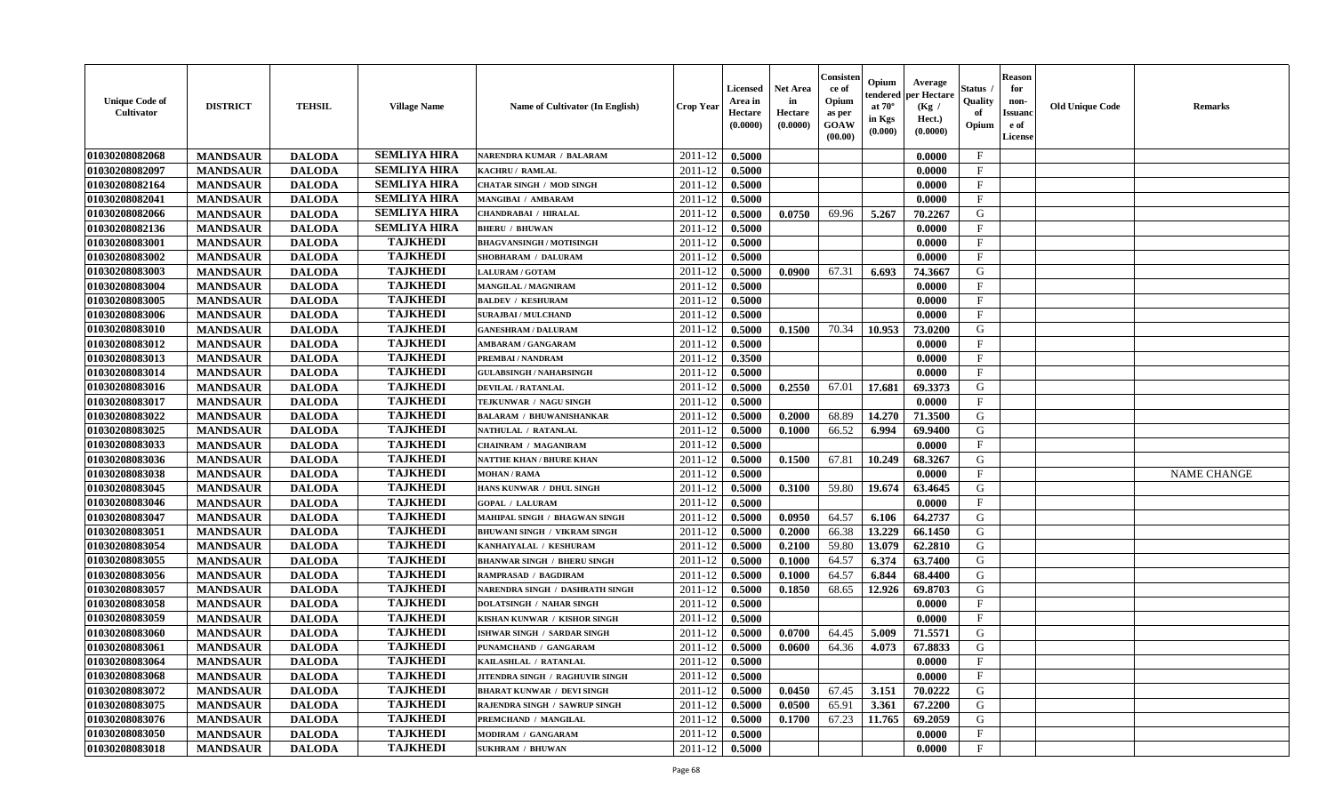| <b>Unique Code of</b><br><b>Cultivator</b> | <b>DISTRICT</b> | <b>TEHSIL</b> | <b>Village Name</b> | Name of Cultivator (In English)     | <b>Crop Year</b> | <b>Licensed</b><br>Area in<br>Hectare<br>(0.0000) | <b>Net Area</b><br>in<br>Hectare<br>(0.0000) | Consister<br>ce of<br>Opium<br>as per<br><b>GOAW</b><br>(00.00) | Opium<br>endered<br>at $70^\circ$<br>in Kgs<br>(0.000) | Average<br>per Hectare<br>(Kg /<br>Hect.)<br>(0.0000) | Status<br>Quality<br>of<br>Opium | <b>Reason</b><br>for<br>non-<br><b>Issuand</b><br>e of<br><b>License</b> | <b>Old Unique Code</b> | <b>Remarks</b>     |
|--------------------------------------------|-----------------|---------------|---------------------|-------------------------------------|------------------|---------------------------------------------------|----------------------------------------------|-----------------------------------------------------------------|--------------------------------------------------------|-------------------------------------------------------|----------------------------------|--------------------------------------------------------------------------|------------------------|--------------------|
| 01030208082068                             | <b>MANDSAUR</b> | <b>DALODA</b> | <b>SEMLIYA HIRA</b> | <b>NARENDRA KUMAR / BALARAM</b>     | 2011-12          | 0.5000                                            |                                              |                                                                 |                                                        | 0.0000                                                | $\mathbf{F}$                     |                                                                          |                        |                    |
| 01030208082097                             | <b>MANDSAUR</b> | <b>DALODA</b> | <b>SEMLIYA HIRA</b> | KACHRU / RAMLAL                     | 2011-12          | 0.5000                                            |                                              |                                                                 |                                                        | 0.0000                                                | $\mathbf F$                      |                                                                          |                        |                    |
| 01030208082164                             | <b>MANDSAUR</b> | <b>DALODA</b> | <b>SEMLIYA HIRA</b> | <b>CHATAR SINGH / MOD SINGH</b>     | 2011-12          | 0.5000                                            |                                              |                                                                 |                                                        | 0.0000                                                | $\mathbf{F}$                     |                                                                          |                        |                    |
| 01030208082041                             | <b>MANDSAUR</b> | <b>DALODA</b> | <b>SEMLIYA HIRA</b> | MANGIBAI / AMBARAM                  | 2011-12          | 0.5000                                            |                                              |                                                                 |                                                        | 0.0000                                                | $\mathbf{F}$                     |                                                                          |                        |                    |
| 01030208082066                             | <b>MANDSAUR</b> | <b>DALODA</b> | <b>SEMLIYA HIRA</b> | <b>CHANDRABAI / HIRALAL</b>         | 2011-12          | 0.5000                                            | 0.0750                                       | 69.96                                                           | 5.267                                                  | 70.2267                                               | G                                |                                                                          |                        |                    |
| 01030208082136                             | <b>MANDSAUR</b> | <b>DALODA</b> | <b>SEMLIYA HIRA</b> | <b>BHERU / BHUWAN</b>               | 2011-12          | 0.5000                                            |                                              |                                                                 |                                                        | 0.0000                                                | $_{\rm F}$                       |                                                                          |                        |                    |
| 01030208083001                             | <b>MANDSAUR</b> | <b>DALODA</b> | <b>TAJKHEDI</b>     | <b>BHAGVANSINGH / MOTISINGH</b>     | 2011-12          | 0.5000                                            |                                              |                                                                 |                                                        | 0.0000                                                | $\mathbf{F}$                     |                                                                          |                        |                    |
| 01030208083002                             | <b>MANDSAUR</b> | <b>DALODA</b> | <b>TAJKHEDI</b>     | SHOBHARAM / DALURAM                 | 2011-12          | 0.5000                                            |                                              |                                                                 |                                                        | 0.0000                                                | $\mathbf{F}$                     |                                                                          |                        |                    |
| 01030208083003                             | <b>MANDSAUR</b> | <b>DALODA</b> | <b>TAJKHEDI</b>     | <b>LALURAM / GOTAM</b>              | 2011-12          | 0.5000                                            | 0.0900                                       | 67.31                                                           | 6.693                                                  | 74.3667                                               | G                                |                                                                          |                        |                    |
| 01030208083004                             | <b>MANDSAUR</b> | <b>DALODA</b> | <b>TAJKHEDI</b>     | <b>MANGILAL / MAGNIRAM</b>          | 2011-12          | 0.5000                                            |                                              |                                                                 |                                                        | 0.0000                                                | $\mathbf{F}$                     |                                                                          |                        |                    |
| 01030208083005                             | <b>MANDSAUR</b> | <b>DALODA</b> | <b>TAJKHEDI</b>     | <b>BALDEV / KESHURAM</b>            | 2011-12          | 0.5000                                            |                                              |                                                                 |                                                        | 0.0000                                                | F                                |                                                                          |                        |                    |
| 01030208083006                             | <b>MANDSAUR</b> | <b>DALODA</b> | <b>TAJKHEDI</b>     | <b>SURAJBAI / MULCHAND</b>          | 2011-12          | 0.5000                                            |                                              |                                                                 |                                                        | 0.0000                                                | $\mathbf{F}$                     |                                                                          |                        |                    |
| 01030208083010                             | <b>MANDSAUR</b> | <b>DALODA</b> | <b>TAJKHEDI</b>     | <b>GANESHRAM / DALURAM</b>          | 2011-12          | 0.5000                                            | 0.1500                                       | 70.34                                                           | 10.953                                                 | 73.0200                                               | G                                |                                                                          |                        |                    |
| 01030208083012                             | <b>MANDSAUR</b> | <b>DALODA</b> | <b>TAJKHEDI</b>     | <b>AMBARAM / GANGARAM</b>           | 2011-12          | 0.5000                                            |                                              |                                                                 |                                                        | 0.0000                                                | $_{\rm F}$                       |                                                                          |                        |                    |
| 01030208083013                             | <b>MANDSAUR</b> | <b>DALODA</b> | <b>TAJKHEDI</b>     | PREMBAI / NANDRAM                   | 2011-12          | 0.3500                                            |                                              |                                                                 |                                                        | 0.0000                                                | $\mathbf{F}$                     |                                                                          |                        |                    |
| 01030208083014                             | <b>MANDSAUR</b> | <b>DALODA</b> | <b>TAJKHEDI</b>     | <b>GULABSINGH / NAHARSINGH</b>      | 2011-12          | 0.5000                                            |                                              |                                                                 |                                                        | 0.0000                                                | $\rm F$                          |                                                                          |                        |                    |
| 01030208083016                             | <b>MANDSAUR</b> | <b>DALODA</b> | <b>TAJKHEDI</b>     | <b>DEVILAL / RATANLAL</b>           | 2011-12          | 0.5000                                            | 0.2550                                       | 67.01                                                           | 17.681                                                 | 69.3373                                               | G                                |                                                                          |                        |                    |
| 01030208083017                             | <b>MANDSAUR</b> | <b>DALODA</b> | <b>TAJKHEDI</b>     | TEJKUNWAR / NAGU SINGH              | 2011-12          | 0.5000                                            |                                              |                                                                 |                                                        | 0.0000                                                | $\mathbf{F}$                     |                                                                          |                        |                    |
| 01030208083022                             | <b>MANDSAUR</b> | <b>DALODA</b> | <b>TAJKHEDI</b>     | <b>BALARAM / BHUWANISHANKAR</b>     | 2011-12          | 0.5000                                            | 0.2000                                       | 68.89                                                           | 14.270                                                 | 71.3500                                               | G                                |                                                                          |                        |                    |
| 01030208083025                             | <b>MANDSAUR</b> | <b>DALODA</b> | <b>TAJKHEDI</b>     | NATHULAL / RATANLAL                 | 2011-12          | 0.5000                                            | 0.1000                                       | 66.52                                                           | 6.994                                                  | 69.9400                                               | G                                |                                                                          |                        |                    |
| 01030208083033                             | <b>MANDSAUR</b> | <b>DALODA</b> | <b>TAJKHEDI</b>     | <b>CHAINRAM / MAGANIRAM</b>         | 2011-12          | 0.5000                                            |                                              |                                                                 |                                                        | 0.0000                                                | $\mathbf{F}$                     |                                                                          |                        |                    |
| 01030208083036                             | <b>MANDSAUR</b> | <b>DALODA</b> | <b>TAJKHEDI</b>     | NATTHE KHAN / BHURE KHAN            | 2011-12          | 0.5000                                            | 0.1500                                       | 67.81                                                           | 10.249                                                 | 68.3267                                               | G                                |                                                                          |                        |                    |
| 01030208083038                             | <b>MANDSAUR</b> | <b>DALODA</b> | <b>TAJKHEDI</b>     | <b>MOHAN / RAMA</b>                 | 2011-12          | 0.5000                                            |                                              |                                                                 |                                                        | 0.0000                                                | $\mathbf{F}$                     |                                                                          |                        | <b>NAME CHANGE</b> |
| 01030208083045                             | <b>MANDSAUR</b> | <b>DALODA</b> | <b>TAJKHEDI</b>     | HANS KUNWAR / DHUL SINGH            | 2011-12          | 0.5000                                            | 0.3100                                       | 59.80                                                           | 19.674                                                 | 63.4645                                               | G                                |                                                                          |                        |                    |
| 01030208083046                             | <b>MANDSAUR</b> | <b>DALODA</b> | <b>TAJKHEDI</b>     | <b>GOPAL / LALURAM</b>              | 2011-12          | 0.5000                                            |                                              |                                                                 |                                                        | 0.0000                                                | $\rm F$                          |                                                                          |                        |                    |
| 01030208083047                             | <b>MANDSAUR</b> | <b>DALODA</b> | <b>TAJKHEDI</b>     | MAHIPAL SINGH / BHAGWAN SINGH       | 2011-12          | 0.5000                                            | 0.0950                                       | 64.57                                                           | 6.106                                                  | 64.2737                                               | G                                |                                                                          |                        |                    |
| 01030208083051                             | <b>MANDSAUR</b> | <b>DALODA</b> | <b>TAJKHEDI</b>     | <b>BHUWANI SINGH / VIKRAM SINGH</b> | 2011-12          | 0.5000                                            | 0.2000                                       | 66.38                                                           | 13.229                                                 | 66.1450                                               | G                                |                                                                          |                        |                    |
| 01030208083054                             | <b>MANDSAUR</b> | <b>DALODA</b> | <b>TAJKHEDI</b>     | KANHAIYALAL / KESHURAM              | 2011-12          | 0.5000                                            | 0.2100                                       | 59.80                                                           | 13.079                                                 | 62.2810                                               | G                                |                                                                          |                        |                    |
| 01030208083055                             | <b>MANDSAUR</b> | <b>DALODA</b> | <b>TAJKHEDI</b>     | <b>BHANWAR SINGH / BHERU SINGH</b>  | 2011-12          | 0.5000                                            | 0.1000                                       | 64.57                                                           | 6.374                                                  | 63.7400                                               | G                                |                                                                          |                        |                    |
| 01030208083056                             | <b>MANDSAUR</b> | <b>DALODA</b> | <b>TAJKHEDI</b>     | <b>RAMPRASAD / BAGDIRAM</b>         | 2011-12          | 0.5000                                            | 0.1000                                       | 64.57                                                           | 6.844                                                  | 68.4400                                               | G                                |                                                                          |                        |                    |
| 01030208083057                             | <b>MANDSAUR</b> | <b>DALODA</b> | <b>TAJKHEDI</b>     | NARENDRA SINGH / DASHRATH SINGH     | 2011-12          | 0.5000                                            | 0.1850                                       | 68.65                                                           | 12.926                                                 | 69.8703                                               | G                                |                                                                          |                        |                    |
| 01030208083058                             | <b>MANDSAUR</b> | <b>DALODA</b> | <b>TAJKHEDI</b>     | <b>DOLATSINGH / NAHAR SINGH</b>     | 2011-12          | 0.5000                                            |                                              |                                                                 |                                                        | 0.0000                                                | $\mathbf{F}$                     |                                                                          |                        |                    |
| 01030208083059                             | <b>MANDSAUR</b> | <b>DALODA</b> | <b>TAJKHEDI</b>     | KISHAN KUNWAR / KISHOR SINGH        | 2011-12          | 0.5000                                            |                                              |                                                                 |                                                        | 0.0000                                                | $\mathbf{F}$                     |                                                                          |                        |                    |
| 01030208083060                             | <b>MANDSAUR</b> | <b>DALODA</b> | <b>TAJKHEDI</b>     | ISHWAR SINGH / SARDAR SINGH         | 2011-12          | 0.5000                                            | 0.0700                                       | 64.45                                                           | 5.009                                                  | 71.5571                                               | G                                |                                                                          |                        |                    |
| 01030208083061                             | <b>MANDSAUR</b> | <b>DALODA</b> | <b>TAJKHEDI</b>     | PUNAMCHAND / GANGARAM               | 2011-12          | 0.5000                                            | 0.0600                                       | 64.36                                                           | 4.073                                                  | 67.8833                                               | G                                |                                                                          |                        |                    |
| 01030208083064                             | <b>MANDSAUR</b> | <b>DALODA</b> | <b>TAJKHEDI</b>     | KAILASHLAL / RATANLAL               | 2011-12          | 0.5000                                            |                                              |                                                                 |                                                        | 0.0000                                                | F                                |                                                                          |                        |                    |
| 01030208083068                             | <b>MANDSAUR</b> | <b>DALODA</b> | <b>TAJKHEDI</b>     | JITENDRA SINGH / RAGHUVIR SINGH     | 2011-12          | 0.5000                                            |                                              |                                                                 |                                                        | 0.0000                                                | $\mathbf{F}$                     |                                                                          |                        |                    |
| 01030208083072                             | <b>MANDSAUR</b> | <b>DALODA</b> | <b>TAJKHEDI</b>     | <b>BHARAT KUNWAR / DEVI SINGH</b>   | 2011-12          | 0.5000                                            | 0.0450                                       | 67.45                                                           | 3.151                                                  | 70.0222                                               | G                                |                                                                          |                        |                    |
| 01030208083075                             | <b>MANDSAUR</b> | <b>DALODA</b> | <b>TAJKHEDI</b>     | RAJENDRA SINGH / SAWRUP SINGH       | 2011-12          | 0.5000                                            | 0.0500                                       | 65.91                                                           | 3.361                                                  | 67.2200                                               | G                                |                                                                          |                        |                    |
| 01030208083076                             | <b>MANDSAUR</b> | <b>DALODA</b> | <b>TAJKHEDI</b>     | PREMCHAND / MANGILAL                | 2011-12          | 0.5000                                            | 0.1700                                       | 67.23                                                           | 11.765                                                 | 69.2059                                               | G                                |                                                                          |                        |                    |
| 01030208083050                             | <b>MANDSAUR</b> | <b>DALODA</b> | <b>TAJKHEDI</b>     | MODIRAM / GANGARAM                  | 2011-12          | 0.5000                                            |                                              |                                                                 |                                                        | 0.0000                                                | $\mathbf{F}$                     |                                                                          |                        |                    |
| 01030208083018                             | <b>MANDSAUR</b> | <b>DALODA</b> | <b>TAJKHEDI</b>     | <b>SUKHRAM / BHUWAN</b>             | 2011-12          | 0.5000                                            |                                              |                                                                 |                                                        | 0.0000                                                | $\mathbf{F}$                     |                                                                          |                        |                    |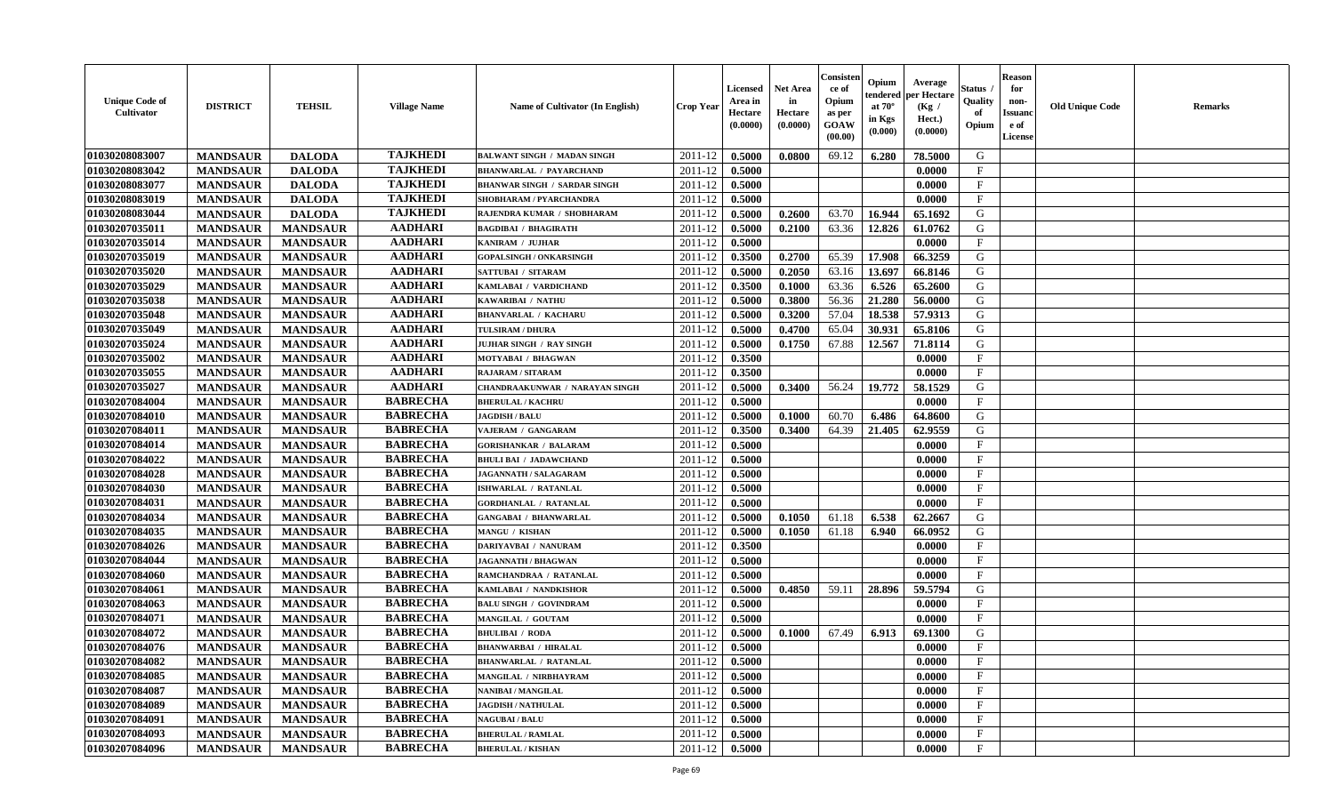| <b>Unique Code of</b><br><b>Cultivator</b> | <b>DISTRICT</b> | <b>TEHSIL</b>   | <b>Village Name</b> | Name of Cultivator (In English)       | <b>Crop Year</b> | <b>Licensed</b><br>Area in<br>Hectare<br>(0.0000) | <b>Net Area</b><br>in<br>Hectare<br>(0.0000) | Consister<br>ce of<br>Opium<br>as per<br><b>GOAW</b><br>(00.00) | Opium<br>endered<br>at $70^{\circ}$<br>in Kgs<br>$(\mathbf{0.000})$ | Average<br>per Hectare<br>(Kg /<br>Hect.)<br>(0.0000) | Status<br>Quality<br>of<br>Opium | <b>Reason</b><br>for<br>non-<br><b>Issuanc</b><br>e of<br>License | <b>Old Unique Code</b> | <b>Remarks</b> |
|--------------------------------------------|-----------------|-----------------|---------------------|---------------------------------------|------------------|---------------------------------------------------|----------------------------------------------|-----------------------------------------------------------------|---------------------------------------------------------------------|-------------------------------------------------------|----------------------------------|-------------------------------------------------------------------|------------------------|----------------|
| 01030208083007                             | <b>MANDSAUR</b> | <b>DALODA</b>   | <b>TAJKHEDI</b>     | <b>BALWANT SINGH / MADAN SINGH</b>    | 2011-12          | 0.5000                                            | 0.0800                                       | 69.12                                                           | 6.280                                                               | 78.5000                                               | G                                |                                                                   |                        |                |
| 01030208083042                             | <b>MANDSAUR</b> | <b>DALODA</b>   | <b>TAJKHEDI</b>     | <b>BHANWARLAL / PAYARCHAND</b>        | 2011-12          | 0.5000                                            |                                              |                                                                 |                                                                     | 0.0000                                                | $\mathbf F$                      |                                                                   |                        |                |
| 01030208083077                             | <b>MANDSAUR</b> | <b>DALODA</b>   | <b>TAJKHEDI</b>     | <b>BHANWAR SINGH / SARDAR SINGH</b>   | 2011-12          | 0.5000                                            |                                              |                                                                 |                                                                     | 0.0000                                                | $\mathbf{F}$                     |                                                                   |                        |                |
| 01030208083019                             | <b>MANDSAUR</b> | <b>DALODA</b>   | <b>TAJKHEDI</b>     | SHOBHARAM / PYARCHANDRA               | 2011-12          | 0.5000                                            |                                              |                                                                 |                                                                     | 0.0000                                                | $\mathbf{F}$                     |                                                                   |                        |                |
| 01030208083044                             | <b>MANDSAUR</b> | <b>DALODA</b>   | <b>TAJKHEDI</b>     | RAJENDRA KUMAR / SHOBHARAM            | 2011-12          | 0.5000                                            | 0.2600                                       | 63.70                                                           | 16.944                                                              | 65.1692                                               | G                                |                                                                   |                        |                |
| 01030207035011                             | <b>MANDSAUR</b> | <b>MANDSAUR</b> | <b>AADHARI</b>      | <b>BAGDIBAI / BHAGIRATH</b>           | 2011-12          | 0.5000                                            | 0.2100                                       | 63.36                                                           | 12.826                                                              | 61.0762                                               | G                                |                                                                   |                        |                |
| 01030207035014                             | <b>MANDSAUR</b> | <b>MANDSAUR</b> | <b>AADHARI</b>      | KANIRAM / JUJHAR                      | 2011-12          | 0.5000                                            |                                              |                                                                 |                                                                     | 0.0000                                                | $\mathbf{F}$                     |                                                                   |                        |                |
| 01030207035019                             | <b>MANDSAUR</b> | <b>MANDSAUR</b> | <b>AADHARI</b>      | <b>GOPALSINGH / ONKARSINGH</b>        | 2011-12          | 0.3500                                            | 0.2700                                       | 65.39                                                           | 17.908                                                              | 66.3259                                               | G                                |                                                                   |                        |                |
| 01030207035020                             | <b>MANDSAUR</b> | <b>MANDSAUR</b> | <b>AADHARI</b>      | SATTUBAI / SITARAM                    | 2011-12          | 0.5000                                            | 0.2050                                       | 63.16                                                           | 13.697                                                              | 66.8146                                               | G                                |                                                                   |                        |                |
| 01030207035029                             | <b>MANDSAUR</b> | <b>MANDSAUR</b> | <b>AADHARI</b>      | KAMLABAI / VARDICHAND                 | 2011-12          | 0.3500                                            | 0.1000                                       | 63.36                                                           | 6.526                                                               | 65.2600                                               | G                                |                                                                   |                        |                |
| 01030207035038                             | <b>MANDSAUR</b> | <b>MANDSAUR</b> | <b>AADHARI</b>      | KAWARIBAI / NATHU                     | 2011-12          | 0.5000                                            | 0.3800                                       | 56.36                                                           | 21.280                                                              | 56.0000                                               | G                                |                                                                   |                        |                |
| 01030207035048                             | <b>MANDSAUR</b> | <b>MANDSAUR</b> | <b>AADHARI</b>      | <b>BHANVARLAL / KACHARU</b>           | 2011-12          | 0.5000                                            | 0.3200                                       | 57.04                                                           | 18.538                                                              | 57.9313                                               | G                                |                                                                   |                        |                |
| 01030207035049                             | <b>MANDSAUR</b> | <b>MANDSAUR</b> | <b>AADHARI</b>      | <b>TULSIRAM / DHURA</b>               | 2011-12          | 0.5000                                            | 0.4700                                       | 65.04                                                           | 30.931                                                              | 65.8106                                               | G                                |                                                                   |                        |                |
| 01030207035024                             | <b>MANDSAUR</b> | <b>MANDSAUR</b> | <b>AADHARI</b>      | <b>JUJHAR SINGH / RAY SINGH</b>       | 2011-12          | 0.5000                                            | 0.1750                                       | 67.88                                                           | 12.567                                                              | 71.8114                                               | G                                |                                                                   |                        |                |
| 01030207035002                             | <b>MANDSAUR</b> | <b>MANDSAUR</b> | <b>AADHARI</b>      | MOTYABAI / BHAGWAN                    | 2011-12          | 0.3500                                            |                                              |                                                                 |                                                                     | 0.0000                                                | $\mathbf{F}$                     |                                                                   |                        |                |
| 01030207035055                             | <b>MANDSAUR</b> | <b>MANDSAUR</b> | <b>AADHARI</b>      | RAJARAM / SITARAM                     | 2011-12          | 0.3500                                            |                                              |                                                                 |                                                                     | 0.0000                                                | $\mathbf{F}$                     |                                                                   |                        |                |
| 01030207035027                             | <b>MANDSAUR</b> | <b>MANDSAUR</b> | <b>AADHARI</b>      | <b>CHANDRAAKUNWAR / NARAYAN SINGH</b> | 2011-12          | 0.5000                                            | 0.3400                                       | 56.24                                                           | 19.772                                                              | 58.1529                                               | G                                |                                                                   |                        |                |
| 01030207084004                             | <b>MANDSAUR</b> | <b>MANDSAUR</b> | <b>BABRECHA</b>     | <b>BHERULAL / KACHRU</b>              | 2011-12          | 0.5000                                            |                                              |                                                                 |                                                                     | 0.0000                                                | $\mathbf{F}$                     |                                                                   |                        |                |
| 01030207084010                             | <b>MANDSAUR</b> | <b>MANDSAUR</b> | <b>BABRECHA</b>     | <b>JAGDISH / BALU</b>                 | 2011-12          | 0.5000                                            | 0.1000                                       | 60.70                                                           | 6.486                                                               | 64.8600                                               | G                                |                                                                   |                        |                |
| 01030207084011                             | <b>MANDSAUR</b> | <b>MANDSAUR</b> | <b>BABRECHA</b>     | VAJERAM / GANGARAM                    | 2011-12          | 0.3500                                            | 0.3400                                       | 64.39                                                           | 21.405                                                              | 62.9559                                               | G                                |                                                                   |                        |                |
| 01030207084014                             | <b>MANDSAUR</b> | <b>MANDSAUR</b> | <b>BABRECHA</b>     | <b>GORISHANKAR / BALARAM</b>          | 2011-12          | 0.5000                                            |                                              |                                                                 |                                                                     | 0.0000                                                | F                                |                                                                   |                        |                |
| 01030207084022                             | <b>MANDSAUR</b> | <b>MANDSAUR</b> | <b>BABRECHA</b>     | <b>BHULI BAI / JADAWCHAND</b>         | 2011-12          | 0.5000                                            |                                              |                                                                 |                                                                     | 0.0000                                                | $\mathbf{F}$                     |                                                                   |                        |                |
| 01030207084028                             | <b>MANDSAUR</b> | <b>MANDSAUR</b> | <b>BABRECHA</b>     | JAGANNATH / SALAGARAM                 | 2011-12          | 0.5000                                            |                                              |                                                                 |                                                                     | 0.0000                                                | $\mathbf{F}$                     |                                                                   |                        |                |
| 01030207084030                             | <b>MANDSAUR</b> | <b>MANDSAUR</b> | <b>BABRECHA</b>     | ISHWARLAL / RATANLAL                  | 2011-12          | 0.5000                                            |                                              |                                                                 |                                                                     | 0.0000                                                | $\mathbf{F}$                     |                                                                   |                        |                |
| 01030207084031                             | <b>MANDSAUR</b> | <b>MANDSAUR</b> | <b>BABRECHA</b>     | <b>GORDHANLAL / RATANLAL</b>          | 2011-12          | 0.5000                                            |                                              |                                                                 |                                                                     | 0.0000                                                | $\mathbf F$                      |                                                                   |                        |                |
| 01030207084034                             | <b>MANDSAUR</b> | <b>MANDSAUR</b> | <b>BABRECHA</b>     | <b>GANGABAI / BHANWARLAL</b>          | 2011-12          | 0.5000                                            | 0.1050                                       | 61.18                                                           | 6.538                                                               | 62.2667                                               | G                                |                                                                   |                        |                |
| 01030207084035                             | <b>MANDSAUR</b> | <b>MANDSAUR</b> | <b>BABRECHA</b>     | MANGU / KISHAN                        | 2011-12          | 0.5000                                            | 0.1050                                       | 61.18                                                           | 6.940                                                               | 66.0952                                               | G                                |                                                                   |                        |                |
| 01030207084026                             | <b>MANDSAUR</b> | <b>MANDSAUR</b> | <b>BABRECHA</b>     | DARIYAVBAI / NANURAM                  | 2011-12          | 0.3500                                            |                                              |                                                                 |                                                                     | 0.0000                                                | $\mathbf{F}$                     |                                                                   |                        |                |
| 01030207084044                             | <b>MANDSAUR</b> | <b>MANDSAUR</b> | <b>BABRECHA</b>     | <b>JAGANNATH / BHAGWAN</b>            | 2011-12          | 0.5000                                            |                                              |                                                                 |                                                                     | 0.0000                                                | $\mathbf{F}$                     |                                                                   |                        |                |
| 01030207084060                             | <b>MANDSAUR</b> | <b>MANDSAUR</b> | <b>BABRECHA</b>     | RAMCHANDRAA / RATANLAL                | 2011-12          | 0.5000                                            |                                              |                                                                 |                                                                     | 0.0000                                                | $\mathbf{F}$                     |                                                                   |                        |                |
| 01030207084061                             | <b>MANDSAUR</b> | <b>MANDSAUR</b> | <b>BABRECHA</b>     | KAMLABAI / NANDKISHOR                 | 2011-12          | 0.5000                                            | 0.4850                                       | 59.11                                                           | 28.896                                                              | 59.5794                                               | G                                |                                                                   |                        |                |
| 01030207084063                             | <b>MANDSAUR</b> | <b>MANDSAUR</b> | <b>BABRECHA</b>     | <b>BALU SINGH / GOVINDRAM</b>         | 2011-12          | 0.5000                                            |                                              |                                                                 |                                                                     | 0.0000                                                | $\mathbf{F}$                     |                                                                   |                        |                |
| 01030207084071                             | <b>MANDSAUR</b> | <b>MANDSAUR</b> | <b>BABRECHA</b>     | MANGILAL / GOUTAM                     | 2011-12          | 0.5000                                            |                                              |                                                                 |                                                                     | 0.0000                                                | $\mathbf{F}$                     |                                                                   |                        |                |
| 01030207084072                             | <b>MANDSAUR</b> | <b>MANDSAUR</b> | <b>BABRECHA</b>     | <b>BHULIBAI / RODA</b>                | 2011-12          | 0.5000                                            | 0.1000                                       | 67.49                                                           | 6.913                                                               | 69.1300                                               | G                                |                                                                   |                        |                |
| 01030207084076                             | <b>MANDSAUR</b> | <b>MANDSAUR</b> | <b>BABRECHA</b>     | <b>BHANWARBAI / HIRALAL</b>           | 2011-12          | 0.5000                                            |                                              |                                                                 |                                                                     | 0.0000                                                | $\mathbf{F}$                     |                                                                   |                        |                |
| 01030207084082                             | <b>MANDSAUR</b> | MANDSAUR        | <b>BABRECHA</b>     | <b>BHANWARLAL / RATANLAL</b>          |                  | $2011-12$   0.5000                                |                                              |                                                                 |                                                                     | 0.0000                                                | F                                |                                                                   |                        |                |
| 01030207084085                             | <b>MANDSAUR</b> | <b>MANDSAUR</b> | <b>BABRECHA</b>     | MANGILAL / NIRBHAYRAM                 | 2011-12          | 0.5000                                            |                                              |                                                                 |                                                                     | 0.0000                                                | $\mathbf{F}$                     |                                                                   |                        |                |
| 01030207084087                             | <b>MANDSAUR</b> | <b>MANDSAUR</b> | <b>BABRECHA</b>     | <b>NANIBAI / MANGILAL</b>             | 2011-12          | 0.5000                                            |                                              |                                                                 |                                                                     | 0.0000                                                | $\mathbf F$                      |                                                                   |                        |                |
| 01030207084089                             | <b>MANDSAUR</b> | <b>MANDSAUR</b> | <b>BABRECHA</b>     | <b>JAGDISH / NATHULAL</b>             | 2011-12          | 0.5000                                            |                                              |                                                                 |                                                                     | 0.0000                                                | $\mathbf{F}$                     |                                                                   |                        |                |
| 01030207084091                             | <b>MANDSAUR</b> | <b>MANDSAUR</b> | <b>BABRECHA</b>     | <b>NAGUBAI/BALU</b>                   | 2011-12          | 0.5000                                            |                                              |                                                                 |                                                                     | 0.0000                                                | $\mathbf{F}$                     |                                                                   |                        |                |
| 01030207084093                             | <b>MANDSAUR</b> | <b>MANDSAUR</b> | <b>BABRECHA</b>     | <b>BHERULAL / RAMLAL</b>              | 2011-12          | 0.5000                                            |                                              |                                                                 |                                                                     | 0.0000                                                | $\mathbf{F}$                     |                                                                   |                        |                |
| 01030207084096                             |                 |                 | <b>BABRECHA</b>     | <b>BHERULAL / KISHAN</b>              |                  |                                                   |                                              |                                                                 |                                                                     | 0.0000                                                | $\mathbf{F}$                     |                                                                   |                        |                |
|                                            | <b>MANDSAUR</b> | <b>MANDSAUR</b> |                     |                                       | 2011-12          | 0.5000                                            |                                              |                                                                 |                                                                     |                                                       |                                  |                                                                   |                        |                |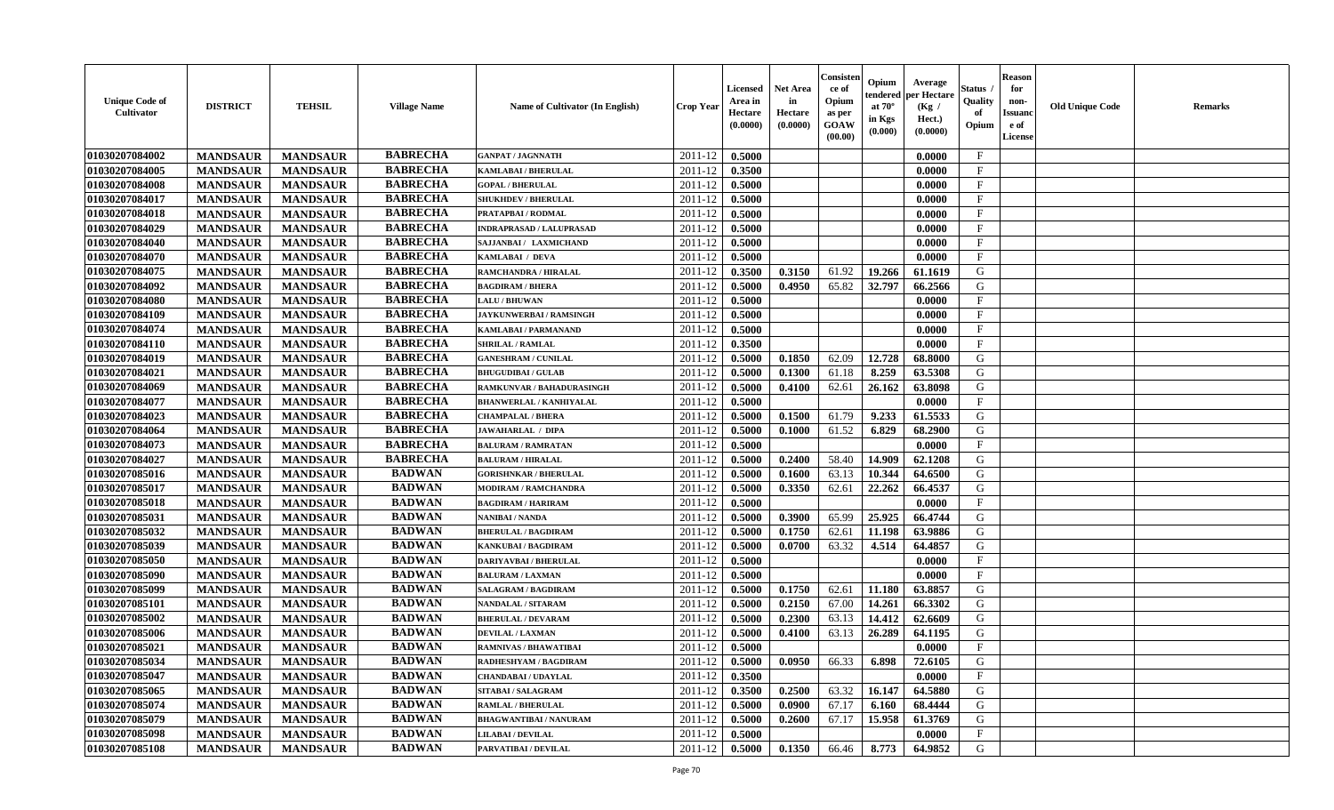| <b>Unique Code of</b><br><b>Cultivator</b> | <b>DISTRICT</b> | <b>TEHSIL</b>   | <b>Village Name</b> | Name of Cultivator (In English) | <b>Crop Year</b> | <b>Licensed</b><br>Area in<br>Hectare<br>(0.0000) | <b>Net Area</b><br>in<br>Hectare<br>(0.0000) | Consister<br>ce of<br>Opium<br>as per<br><b>GOAW</b><br>(00.00) | Opium<br>endered<br>at $70^\circ$<br>in Kgs<br>(0.000) | Average<br>per Hectare<br>(Kg /<br>Hect.)<br>(0.0000) | Status<br>Quality<br>of<br>Opium | <b>Reason</b><br>for<br>non-<br><b>Issuand</b><br>e of<br><b>License</b> | <b>Old Unique Code</b> | <b>Remarks</b> |
|--------------------------------------------|-----------------|-----------------|---------------------|---------------------------------|------------------|---------------------------------------------------|----------------------------------------------|-----------------------------------------------------------------|--------------------------------------------------------|-------------------------------------------------------|----------------------------------|--------------------------------------------------------------------------|------------------------|----------------|
| 01030207084002                             | <b>MANDSAUR</b> | <b>MANDSAUR</b> | <b>BABRECHA</b>     | <b>GANPAT / JAGNNATH</b>        | 2011-12          | 0.5000                                            |                                              |                                                                 |                                                        | 0.0000                                                | $\mathbf{F}$                     |                                                                          |                        |                |
| 01030207084005                             | <b>MANDSAUR</b> | <b>MANDSAUR</b> | <b>BABRECHA</b>     | <b>KAMLABAI/BHERULAL</b>        | 2011-12          | 0.3500                                            |                                              |                                                                 |                                                        | 0.0000                                                | $\mathbf F$                      |                                                                          |                        |                |
| 01030207084008                             | <b>MANDSAUR</b> | <b>MANDSAUR</b> | <b>BABRECHA</b>     | <b>GOPAL / BHERULAL</b>         | 2011-12          | 0.5000                                            |                                              |                                                                 |                                                        | 0.0000                                                | $\mathbf{F}$                     |                                                                          |                        |                |
| 01030207084017                             | <b>MANDSAUR</b> | <b>MANDSAUR</b> | <b>BABRECHA</b>     | <b>SHUKHDEV / BHERULAL</b>      | 2011-12          | 0.5000                                            |                                              |                                                                 |                                                        | 0.0000                                                | $\mathbf{F}$                     |                                                                          |                        |                |
| 01030207084018                             | <b>MANDSAUR</b> | <b>MANDSAUR</b> | <b>BABRECHA</b>     | PRATAPBAI / RODMAL              | 2011-12          | 0.5000                                            |                                              |                                                                 |                                                        | 0.0000                                                | $_{\rm F}$                       |                                                                          |                        |                |
| 01030207084029                             | <b>MANDSAUR</b> | <b>MANDSAUR</b> | <b>BABRECHA</b>     | <b>INDRAPRASAD / LALUPRASAD</b> | 2011-12          | 0.5000                                            |                                              |                                                                 |                                                        | 0.0000                                                | $_{\rm F}$                       |                                                                          |                        |                |
| 01030207084040                             | <b>MANDSAUR</b> | <b>MANDSAUR</b> | <b>BABRECHA</b>     | SAJJANBAI / LAXMICHAND          | 2011-12          | 0.5000                                            |                                              |                                                                 |                                                        | 0.0000                                                | $\mathbf{F}$                     |                                                                          |                        |                |
| 01030207084070                             | <b>MANDSAUR</b> | <b>MANDSAUR</b> | <b>BABRECHA</b>     | KAMLABAI / DEVA                 | 2011-12          | 0.5000                                            |                                              |                                                                 |                                                        | 0.0000                                                | $\mathbf{F}$                     |                                                                          |                        |                |
| 01030207084075                             | <b>MANDSAUR</b> | <b>MANDSAUR</b> | <b>BABRECHA</b>     | RAMCHANDRA / HIRALAL            | 2011-12          | 0.3500                                            | 0.3150                                       | 61.92                                                           | 19.266                                                 | 61.1619                                               | G                                |                                                                          |                        |                |
| 01030207084092                             | <b>MANDSAUR</b> | <b>MANDSAUR</b> | <b>BABRECHA</b>     | <b>BAGDIRAM / BHERA</b>         | 2011-12          | 0.5000                                            | 0.4950                                       | 65.82                                                           | 32.797                                                 | 66.2566                                               | G                                |                                                                          |                        |                |
| 01030207084080                             | <b>MANDSAUR</b> | <b>MANDSAUR</b> | <b>BABRECHA</b>     | <b>LALU / BHUWAN</b>            | 2011-12          | 0.5000                                            |                                              |                                                                 |                                                        | 0.0000                                                | F                                |                                                                          |                        |                |
| 01030207084109                             | <b>MANDSAUR</b> | <b>MANDSAUR</b> | <b>BABRECHA</b>     | <b>JAYKUNWERBAI/RAMSINGH</b>    | 2011-12          | 0.5000                                            |                                              |                                                                 |                                                        | 0.0000                                                | $\mathbf{F}$                     |                                                                          |                        |                |
| 01030207084074                             | <b>MANDSAUR</b> | <b>MANDSAUR</b> | <b>BABRECHA</b>     | KAMLABAI / PARMANAND            | 2011-12          | 0.5000                                            |                                              |                                                                 |                                                        | 0.0000                                                | $\mathbf{F}$                     |                                                                          |                        |                |
| 01030207084110                             | <b>MANDSAUR</b> | <b>MANDSAUR</b> | <b>BABRECHA</b>     | <b>SHRILAL / RAMLAL</b>         | 2011-12          | 0.3500                                            |                                              |                                                                 |                                                        | 0.0000                                                | $_{\rm F}$                       |                                                                          |                        |                |
| 01030207084019                             | <b>MANDSAUR</b> | <b>MANDSAUR</b> | <b>BABRECHA</b>     | <b>GANESHRAM / CUNILAL</b>      | 2011-12          | 0.5000                                            | 0.1850                                       | 62.09                                                           | 12.728                                                 | 68.8000                                               | G                                |                                                                          |                        |                |
| 01030207084021                             | <b>MANDSAUR</b> | <b>MANDSAUR</b> | <b>BABRECHA</b>     | <b>BHUGUDIBAI / GULAB</b>       | 2011-12          | 0.5000                                            | 0.1300                                       | 61.18                                                           | 8.259                                                  | 63.5308                                               | G                                |                                                                          |                        |                |
| 01030207084069                             | <b>MANDSAUR</b> | <b>MANDSAUR</b> | <b>BABRECHA</b>     | RAMKUNVAR / BAHADURASINGH       | 2011-12          | 0.5000                                            | 0.4100                                       | 62.61                                                           | 26.162                                                 | 63.8098                                               | G                                |                                                                          |                        |                |
| 01030207084077                             | <b>MANDSAUR</b> | <b>MANDSAUR</b> | <b>BABRECHA</b>     | <b>BHANWERLAL / KANHIYALAL</b>  | 2011-12          | 0.5000                                            |                                              |                                                                 |                                                        | 0.0000                                                | $\mathbf{F}$                     |                                                                          |                        |                |
| 01030207084023                             | <b>MANDSAUR</b> | <b>MANDSAUR</b> | <b>BABRECHA</b>     | <b>CHAMPALAL / BHERA</b>        | 2011-12          | 0.5000                                            | 0.1500                                       | 61.79                                                           | 9.233                                                  | 61.5533                                               | G                                |                                                                          |                        |                |
| 01030207084064                             | <b>MANDSAUR</b> | <b>MANDSAUR</b> | <b>BABRECHA</b>     | <b>JAWAHARLAL / DIPA</b>        | 2011-12          | 0.5000                                            | 0.1000                                       | 61.52                                                           | 6.829                                                  | 68.2900                                               | G                                |                                                                          |                        |                |
| 01030207084073                             | <b>MANDSAUR</b> | <b>MANDSAUR</b> | <b>BABRECHA</b>     | <b>BALURAM / RAMRATAN</b>       | 2011-12          | 0.5000                                            |                                              |                                                                 |                                                        | 0.0000                                                | $\mathbf{F}$                     |                                                                          |                        |                |
| 01030207084027                             | <b>MANDSAUR</b> | <b>MANDSAUR</b> | <b>BABRECHA</b>     | <b>BALURAM / HIRALAL</b>        | 2011-12          | 0.5000                                            | 0.2400                                       | 58.40                                                           | 14.909                                                 | 62.1208                                               | G                                |                                                                          |                        |                |
| 01030207085016                             | <b>MANDSAUR</b> | <b>MANDSAUR</b> | <b>BADWAN</b>       | <b>GORISHNKAR / BHERULAL</b>    | 2011-12          | 0.5000                                            | 0.1600                                       | 63.13                                                           | 10.344                                                 | 64.6500                                               | G                                |                                                                          |                        |                |
| 01030207085017                             | <b>MANDSAUR</b> | <b>MANDSAUR</b> | <b>BADWAN</b>       | <b>MODIRAM / RAMCHANDRA</b>     | 2011-12          | 0.5000                                            | 0.3350                                       | 62.61                                                           | 22.262                                                 | 66.4537                                               | G                                |                                                                          |                        |                |
| 01030207085018                             | <b>MANDSAUR</b> | <b>MANDSAUR</b> | <b>BADWAN</b>       | <b>BAGDIRAM / HARIRAM</b>       | 2011-12          | 0.5000                                            |                                              |                                                                 |                                                        | 0.0000                                                | $\rm F$                          |                                                                          |                        |                |
| 01030207085031                             | <b>MANDSAUR</b> | <b>MANDSAUR</b> | <b>BADWAN</b>       | <b>NANIBAI/NANDA</b>            | 2011-12          | 0.5000                                            | 0.3900                                       | 65.99                                                           | 25.925                                                 | 66.4744                                               | G                                |                                                                          |                        |                |
| 01030207085032                             | <b>MANDSAUR</b> | <b>MANDSAUR</b> | <b>BADWAN</b>       | <b>BHERULAL / BAGDIRAM</b>      | 2011-12          | 0.5000                                            | 0.1750                                       | 62.61                                                           | 11.198                                                 | 63.9886                                               | G                                |                                                                          |                        |                |
| 01030207085039                             | <b>MANDSAUR</b> | <b>MANDSAUR</b> | <b>BADWAN</b>       | <b>KANKUBAI/BAGDIRAM</b>        | 2011-12          | 0.5000                                            | 0.0700                                       | 63.32                                                           | 4.514                                                  | 64.4857                                               | G                                |                                                                          |                        |                |
| 01030207085050                             | <b>MANDSAUR</b> | <b>MANDSAUR</b> | <b>BADWAN</b>       | <b>DARIYAVBAI / BHERULAL</b>    | 2011-12          | 0.5000                                            |                                              |                                                                 |                                                        | 0.0000                                                | $\rm F$                          |                                                                          |                        |                |
| 01030207085090                             | <b>MANDSAUR</b> | <b>MANDSAUR</b> | <b>BADWAN</b>       | <b>BALURAM / LAXMAN</b>         | 2011-12          | 0.5000                                            |                                              |                                                                 |                                                        | 0.0000                                                | $\mathbf{F}$                     |                                                                          |                        |                |
| 01030207085099                             | <b>MANDSAUR</b> | <b>MANDSAUR</b> | <b>BADWAN</b>       | <b>SALAGRAM / BAGDIRAM</b>      | 2011-12          | 0.5000                                            | 0.1750                                       | 62.61                                                           | 11.180                                                 | 63.8857                                               | G                                |                                                                          |                        |                |
| 01030207085101                             | <b>MANDSAUR</b> | <b>MANDSAUR</b> | <b>BADWAN</b>       | <b>NANDALAL / SITARAM</b>       | 2011-12          | 0.5000                                            | 0.2150                                       | 67.00                                                           | 14.261                                                 | 66.3302                                               | ${\bf G}$                        |                                                                          |                        |                |
| 01030207085002                             | <b>MANDSAUR</b> | <b>MANDSAUR</b> | <b>BADWAN</b>       | <b>BHERULAL / DEVARAM</b>       | 2011-12          | 0.5000                                            | 0.2300                                       | 63.13                                                           | 14.412                                                 | 62.6609                                               | G                                |                                                                          |                        |                |
| 01030207085006                             | <b>MANDSAUR</b> | <b>MANDSAUR</b> | <b>BADWAN</b>       | <b>DEVILAL / LAXMAN</b>         | 2011-12          | 0.5000                                            | 0.4100                                       | 63.13                                                           | 26.289                                                 | 64.1195                                               | G                                |                                                                          |                        |                |
| 01030207085021                             | <b>MANDSAUR</b> | <b>MANDSAUR</b> | <b>BADWAN</b>       | <b>RAMNIVAS / BHAWATIBAI</b>    | 2011-12          | 0.5000                                            |                                              |                                                                 |                                                        | 0.0000                                                | F                                |                                                                          |                        |                |
| 01030207085034                             | <b>MANDSAUR</b> | <b>MANDSAUR</b> | <b>BADWAN</b>       | RADHESHYAM / BAGDIRAM           | 2011-12          | 0.5000                                            | 0.0950                                       | 66.33                                                           | 6.898                                                  | 72.6105                                               | G                                |                                                                          |                        |                |
| 01030207085047                             | <b>MANDSAUR</b> | <b>MANDSAUR</b> | <b>BADWAN</b>       | <b>CHANDABAI / UDAYLAL</b>      | 2011-12          | 0.3500                                            |                                              |                                                                 |                                                        | 0.0000                                                | $\rm F$                          |                                                                          |                        |                |
| 01030207085065                             | <b>MANDSAUR</b> | <b>MANDSAUR</b> | <b>BADWAN</b>       | <b>SITABAI/SALAGRAM</b>         | 2011-12          | 0.3500                                            | 0.2500                                       | 63.32                                                           | 16.147                                                 | 64.5880                                               | G                                |                                                                          |                        |                |
| 01030207085074                             | <b>MANDSAUR</b> | <b>MANDSAUR</b> | <b>BADWAN</b>       | <b>RAMLAL / BHERULAL</b>        | 2011-12          | 0.5000                                            | 0.0900                                       | 67.17                                                           | 6.160                                                  | 68.4444                                               | G                                |                                                                          |                        |                |
| 01030207085079                             | <b>MANDSAUR</b> | <b>MANDSAUR</b> | <b>BADWAN</b>       | <b>BHAGWANTIBAI/NANURAM</b>     | 2011-12          | 0.5000                                            | 0.2600                                       | 67.17                                                           | 15.958                                                 | 61.3769                                               | ${\bf G}$                        |                                                                          |                        |                |
| 01030207085098                             | <b>MANDSAUR</b> | <b>MANDSAUR</b> | <b>BADWAN</b>       | <b>LILABAI/DEVILAL</b>          | 2011-12          | 0.5000                                            |                                              |                                                                 |                                                        | 0.0000                                                | $\mathbf{F}$                     |                                                                          |                        |                |
| 01030207085108                             | <b>MANDSAUR</b> | <b>MANDSAUR</b> | <b>BADWAN</b>       | PARVATIBAI / DEVILAL            | 2011-12          | 0.5000                                            | 0.1350                                       | 66.46                                                           | 8.773                                                  | 64.9852                                               | G                                |                                                                          |                        |                |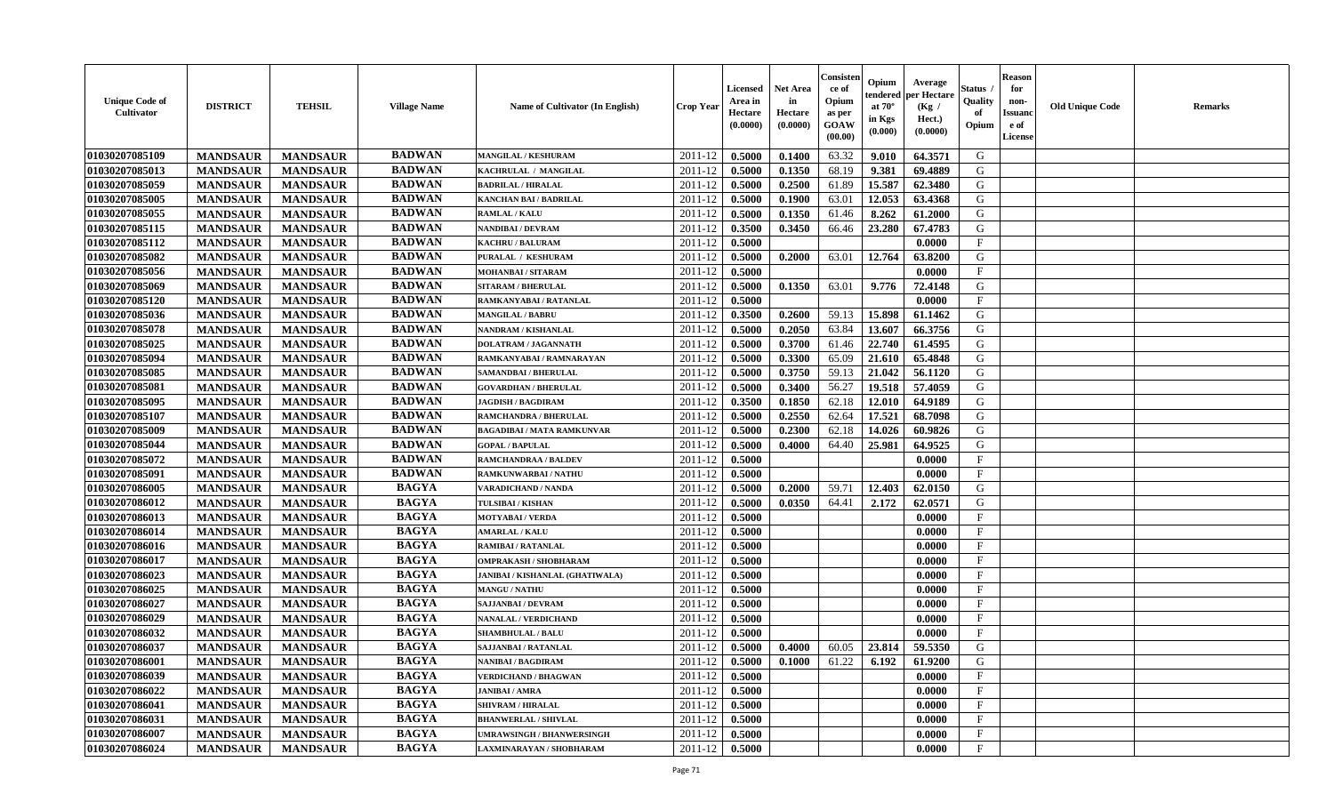| <b>Unique Code of</b><br><b>Cultivator</b> | <b>DISTRICT</b> | <b>TEHSIL</b>   | <b>Village Name</b> | Name of Cultivator (In English)   | <b>Crop Year</b>   | <b>Licensed</b><br>Area in<br>Hectare<br>(0.0000) | <b>Net Area</b><br>in<br>Hectare<br>(0.0000) | Consisteı<br>ce of<br>Opium<br>as per<br><b>GOAW</b><br>(00.00) | Opium<br>endered<br>at $70^\circ$<br>in Kgs<br>$(\mathbf{0.000})$ | Average<br>per Hectare<br>(Kg /<br>Hect.)<br>(0.0000) | Status<br>Quality<br>of<br>Opium | <b>Reason</b><br>for<br>non-<br>Issuan<br>e of<br><b>License</b> | <b>Old Unique Code</b> | <b>Remarks</b> |
|--------------------------------------------|-----------------|-----------------|---------------------|-----------------------------------|--------------------|---------------------------------------------------|----------------------------------------------|-----------------------------------------------------------------|-------------------------------------------------------------------|-------------------------------------------------------|----------------------------------|------------------------------------------------------------------|------------------------|----------------|
| 01030207085109                             | <b>MANDSAUR</b> | <b>MANDSAUR</b> | <b>BADWAN</b>       | <b>MANGILAL / KESHURAM</b>        | 2011-12            | 0.5000                                            | 0.1400                                       | 63.32                                                           | 9.010                                                             | 64.3571                                               | G                                |                                                                  |                        |                |
| 01030207085013                             | <b>MANDSAUR</b> | <b>MANDSAUR</b> | <b>BADWAN</b>       | KACHRULAL / MANGILAL              | 2011-12            | 0.5000                                            | 0.1350                                       | 68.19                                                           | 9.381                                                             | 69.4889                                               | G                                |                                                                  |                        |                |
| 01030207085059                             | <b>MANDSAUR</b> | <b>MANDSAUR</b> | <b>BADWAN</b>       | <b>BADRILAL / HIRALAL</b>         | 2011-12            | 0.5000                                            | 0.2500                                       | 61.89                                                           | 15.587                                                            | 62.3480                                               | G                                |                                                                  |                        |                |
| 01030207085005                             | <b>MANDSAUR</b> | <b>MANDSAUR</b> | <b>BADWAN</b>       | <b>KANCHAN BAI / BADRILAL</b>     | 2011-12            | 0.5000                                            | 0.1900                                       | 63.01                                                           | 12.053                                                            | 63.4368                                               | G                                |                                                                  |                        |                |
| 01030207085055                             | <b>MANDSAUR</b> | <b>MANDSAUR</b> | <b>BADWAN</b>       | <b>RAMLAL / KALU</b>              | 2011-12            | 0.5000                                            | 0.1350                                       | 61.46                                                           | 8.262                                                             | 61.2000                                               | G                                |                                                                  |                        |                |
| 01030207085115                             | <b>MANDSAUR</b> | <b>MANDSAUR</b> | <b>BADWAN</b>       | <b>NANDIBAI / DEVRAM</b>          | 2011-12            | 0.3500                                            | 0.3450                                       | 66.46                                                           | 23.280                                                            | 67.4783                                               | G                                |                                                                  |                        |                |
| 01030207085112                             | <b>MANDSAUR</b> | <b>MANDSAUR</b> | <b>BADWAN</b>       | <b>KACHRU / BALURAM</b>           | 2011-12            | 0.5000                                            |                                              |                                                                 |                                                                   | 0.0000                                                | $\mathbf{F}$                     |                                                                  |                        |                |
| 01030207085082                             | <b>MANDSAUR</b> | <b>MANDSAUR</b> | <b>BADWAN</b>       | PURALAL / KESHURAM                | 2011-12            | 0.5000                                            | 0.2000                                       | 63.01                                                           | 12.764                                                            | 63.8200                                               | G                                |                                                                  |                        |                |
| 01030207085056                             | <b>MANDSAUR</b> | <b>MANDSAUR</b> | <b>BADWAN</b>       | MOHANBAI / SITARAM                | 2011-12            | 0.5000                                            |                                              |                                                                 |                                                                   | 0.0000                                                | $_{\rm F}$                       |                                                                  |                        |                |
| 01030207085069                             | <b>MANDSAUR</b> | <b>MANDSAUR</b> | <b>BADWAN</b>       | <b>SITARAM / BHERULAL</b>         | 2011-12            | 0.5000                                            | 0.1350                                       | 63.01                                                           | 9.776                                                             | 72.4148                                               | G                                |                                                                  |                        |                |
| 01030207085120                             | <b>MANDSAUR</b> | <b>MANDSAUR</b> | <b>BADWAN</b>       | RAMKANYABAI / RATANLAL            | 2011-12            | 0.5000                                            |                                              |                                                                 |                                                                   | 0.0000                                                | $\mathbf{F}$                     |                                                                  |                        |                |
| 01030207085036                             | <b>MANDSAUR</b> | <b>MANDSAUR</b> | <b>BADWAN</b>       | <b>MANGILAL / BABRU</b>           | 2011-12            | 0.3500                                            | 0.2600                                       | 59.13                                                           | 15.898                                                            | 61.1462                                               | G                                |                                                                  |                        |                |
| 01030207085078                             | <b>MANDSAUR</b> | <b>MANDSAUR</b> | <b>BADWAN</b>       | <b>NANDRAM / KISHANLAL</b>        | 2011-12            | 0.5000                                            | 0.2050                                       | 63.84                                                           | 13.607                                                            | 66.3756                                               | G                                |                                                                  |                        |                |
| 01030207085025                             | <b>MANDSAUR</b> | <b>MANDSAUR</b> | <b>BADWAN</b>       | <b>DOLATRAM / JAGANNATH</b>       | 2011-12            | 0.5000                                            | 0.3700                                       | 61.46                                                           | 22.740                                                            | 61.4595                                               | G                                |                                                                  |                        |                |
| 01030207085094                             | <b>MANDSAUR</b> | <b>MANDSAUR</b> | <b>BADWAN</b>       | RAMKANYABAI / RAMNARAYAN          | 2011-12            | 0.5000                                            | 0.3300                                       | 65.09                                                           | 21.610                                                            | 65.4848                                               | G                                |                                                                  |                        |                |
| 01030207085085                             | <b>MANDSAUR</b> | <b>MANDSAUR</b> | <b>BADWAN</b>       | SAMANDBAI / BHERULAL              | 2011-12            | 0.5000                                            | 0.3750                                       | 59.13                                                           | 21.042                                                            | 56.1120                                               | G                                |                                                                  |                        |                |
| 01030207085081                             | <b>MANDSAUR</b> | <b>MANDSAUR</b> | <b>BADWAN</b>       | <b>GOVARDHAN / BHERULAL</b>       | 2011-12            | 0.5000                                            | 0.3400                                       | 56.27                                                           | 19.518                                                            | 57.4059                                               | G                                |                                                                  |                        |                |
| 01030207085095                             | <b>MANDSAUR</b> | <b>MANDSAUR</b> | <b>BADWAN</b>       | <b>JAGDISH / BAGDIRAM</b>         | 2011-12            | 0.3500                                            | 0.1850                                       | 62.18                                                           | 12.010                                                            | 64.9189                                               | G                                |                                                                  |                        |                |
| 01030207085107                             | <b>MANDSAUR</b> | <b>MANDSAUR</b> | <b>BADWAN</b>       | <b>RAMCHANDRA / BHERULAL</b>      | 2011-12            | 0.5000                                            | 0.2550                                       | 62.64                                                           | 17.521                                                            | 68.7098                                               | G                                |                                                                  |                        |                |
| 01030207085009                             | <b>MANDSAUR</b> | <b>MANDSAUR</b> | <b>BADWAN</b>       | <b>BAGADIBAI / MATA RAMKUNVAR</b> | 2011-12            | 0.5000                                            | 0.2300                                       | 62.18                                                           | 14.026                                                            | 60.9826                                               | G                                |                                                                  |                        |                |
| 01030207085044                             | <b>MANDSAUR</b> | <b>MANDSAUR</b> | <b>BADWAN</b>       | <b>GOPAL / BAPULAL</b>            | 2011-12            | 0.5000                                            | 0.4000                                       | 64.40                                                           | 25.981                                                            | 64.9525                                               | G                                |                                                                  |                        |                |
| 01030207085072                             | <b>MANDSAUR</b> | <b>MANDSAUR</b> | <b>BADWAN</b>       | RAMCHANDRAA / BALDEV              | 2011-12            | 0.5000                                            |                                              |                                                                 |                                                                   | 0.0000                                                | $\mathbf{F}$                     |                                                                  |                        |                |
| 01030207085091                             | <b>MANDSAUR</b> | <b>MANDSAUR</b> | <b>BADWAN</b>       | RAMKUNWARBAI / NATHU              | 2011-12            | 0.5000                                            |                                              |                                                                 |                                                                   | 0.0000                                                | F.                               |                                                                  |                        |                |
| 01030207086005                             | <b>MANDSAUR</b> | <b>MANDSAUR</b> | <b>BAGYA</b>        | VARADICHAND / NANDA               | 2011-12            | 0.5000                                            | 0.2000                                       | 59.71                                                           | 12.403                                                            | 62.0150                                               | G                                |                                                                  |                        |                |
| 01030207086012                             | <b>MANDSAUR</b> | <b>MANDSAUR</b> | <b>BAGYA</b>        | <b>TULSIBAI/KISHAN</b>            | 2011-12            | 0.5000                                            | 0.0350                                       | 64.41                                                           | 2.172                                                             | 62.0571                                               | G                                |                                                                  |                        |                |
| 01030207086013                             | <b>MANDSAUR</b> | <b>MANDSAUR</b> | <b>BAGYA</b>        | <b>MOTYABAI/VERDA</b>             | 2011-12            | 0.5000                                            |                                              |                                                                 |                                                                   | 0.0000                                                | $\mathbf{F}$                     |                                                                  |                        |                |
| 01030207086014                             | <b>MANDSAUR</b> | <b>MANDSAUR</b> | <b>BAGYA</b>        | <b>AMARLAL / KALU</b>             | 2011-12            | 0.5000                                            |                                              |                                                                 |                                                                   | 0.0000                                                | $_{\rm F}$                       |                                                                  |                        |                |
| 01030207086016                             | <b>MANDSAUR</b> | <b>MANDSAUR</b> | <b>BAGYA</b>        | RAMIBAI / RATANLAL                | 2011-12            | 0.5000                                            |                                              |                                                                 |                                                                   | 0.0000                                                | $\mathbf{F}$                     |                                                                  |                        |                |
| 01030207086017                             | <b>MANDSAUR</b> | <b>MANDSAUR</b> | <b>BAGYA</b>        | <b>OMPRAKASH / SHOBHARAM</b>      | 2011-12            | 0.5000                                            |                                              |                                                                 |                                                                   | 0.0000                                                | $\mathbf{F}$                     |                                                                  |                        |                |
| 01030207086023                             | <b>MANDSAUR</b> | <b>MANDSAUR</b> | <b>BAGYA</b>        | JANIBAI / KISHANLAL (GHATIWALA)   | 2011-12            | 0.5000                                            |                                              |                                                                 |                                                                   | 0.0000                                                | $_{\rm F}$                       |                                                                  |                        |                |
| 01030207086025                             | <b>MANDSAUR</b> | <b>MANDSAUR</b> | <b>BAGYA</b>        | <b>MANGU / NATHU</b>              | 2011-12            | 0.5000                                            |                                              |                                                                 |                                                                   | 0.0000                                                | $_{\rm F}$                       |                                                                  |                        |                |
| 01030207086027                             | <b>MANDSAUR</b> | <b>MANDSAUR</b> | <b>BAGYA</b>        | <b>SAJJANBAI / DEVRAM</b>         | 2011-12            | 0.5000                                            |                                              |                                                                 |                                                                   | 0.0000                                                | $\mathbf{F}$                     |                                                                  |                        |                |
| 01030207086029                             | <b>MANDSAUR</b> | <b>MANDSAUR</b> | <b>BAGYA</b>        | <b>NANALAL / VERDICHAND</b>       | 2011-12            | 0.5000                                            |                                              |                                                                 |                                                                   | 0.0000                                                | $\mathbf{F}$                     |                                                                  |                        |                |
| 01030207086032                             | <b>MANDSAUR</b> | <b>MANDSAUR</b> | <b>BAGYA</b>        | <b>SHAMBHULAL / BALU</b>          | 2011-12            | 0.5000                                            |                                              |                                                                 |                                                                   | 0.0000                                                | $_{\rm F}$                       |                                                                  |                        |                |
| 01030207086037                             | <b>MANDSAUR</b> | <b>MANDSAUR</b> | <b>BAGYA</b>        | <b>SAJJANBAI / RATANLAL</b>       | 2011-12            | 0.5000                                            | 0.4000                                       | 60.05                                                           | 23.814                                                            | 59.5350                                               | G                                |                                                                  |                        |                |
| 01030207086001                             | <b>MANDSAUR</b> | <b>MANDSAUR</b> | BAGYA               | NANIBAI / BAGDIRAM                | $2011 - 12$ 0.5000 |                                                   | 0.1000                                       | 61.22                                                           | $6.192$                                                           | 61.9200                                               | G                                |                                                                  |                        |                |
| 01030207086039                             | <b>MANDSAUR</b> | <b>MANDSAUR</b> | <b>BAGYA</b>        | <b>VERDICHAND / BHAGWAN</b>       | 2011-12            | 0.5000                                            |                                              |                                                                 |                                                                   | 0.0000                                                | $_{\rm F}$                       |                                                                  |                        |                |
| 01030207086022                             | <b>MANDSAUR</b> | <b>MANDSAUR</b> | <b>BAGYA</b>        | <b>JANIBAI / AMRA</b>             | 2011-12            | 0.5000                                            |                                              |                                                                 |                                                                   | 0.0000                                                | $\mathbf{F}$                     |                                                                  |                        |                |
| 01030207086041                             | <b>MANDSAUR</b> | <b>MANDSAUR</b> | <b>BAGYA</b>        | <b>SHIVRAM / HIRALAL</b>          | 2011-12            | 0.5000                                            |                                              |                                                                 |                                                                   | 0.0000                                                | $\mathbf{F}$                     |                                                                  |                        |                |
| 01030207086031                             | <b>MANDSAUR</b> | <b>MANDSAUR</b> | <b>BAGYA</b>        | <b>BHANWERLAL / SHIVLAL</b>       | 2011-12            | 0.5000                                            |                                              |                                                                 |                                                                   | 0.0000                                                | $\mathbf{F}$                     |                                                                  |                        |                |
| 01030207086007                             | <b>MANDSAUR</b> | <b>MANDSAUR</b> | <b>BAGYA</b>        | <b>UMRAWSINGH / BHANWERSINGH</b>  | 2011-12            | 0.5000                                            |                                              |                                                                 |                                                                   | 0.0000                                                | $\mathbf{F}$                     |                                                                  |                        |                |
| 01030207086024                             | <b>MANDSAUR</b> | <b>MANDSAUR</b> | <b>BAGYA</b>        | LAXMINARAYAN / SHOBHARAM          | 2011-12            | 0.5000                                            |                                              |                                                                 |                                                                   | 0.0000                                                | $\mathbf{F}$                     |                                                                  |                        |                |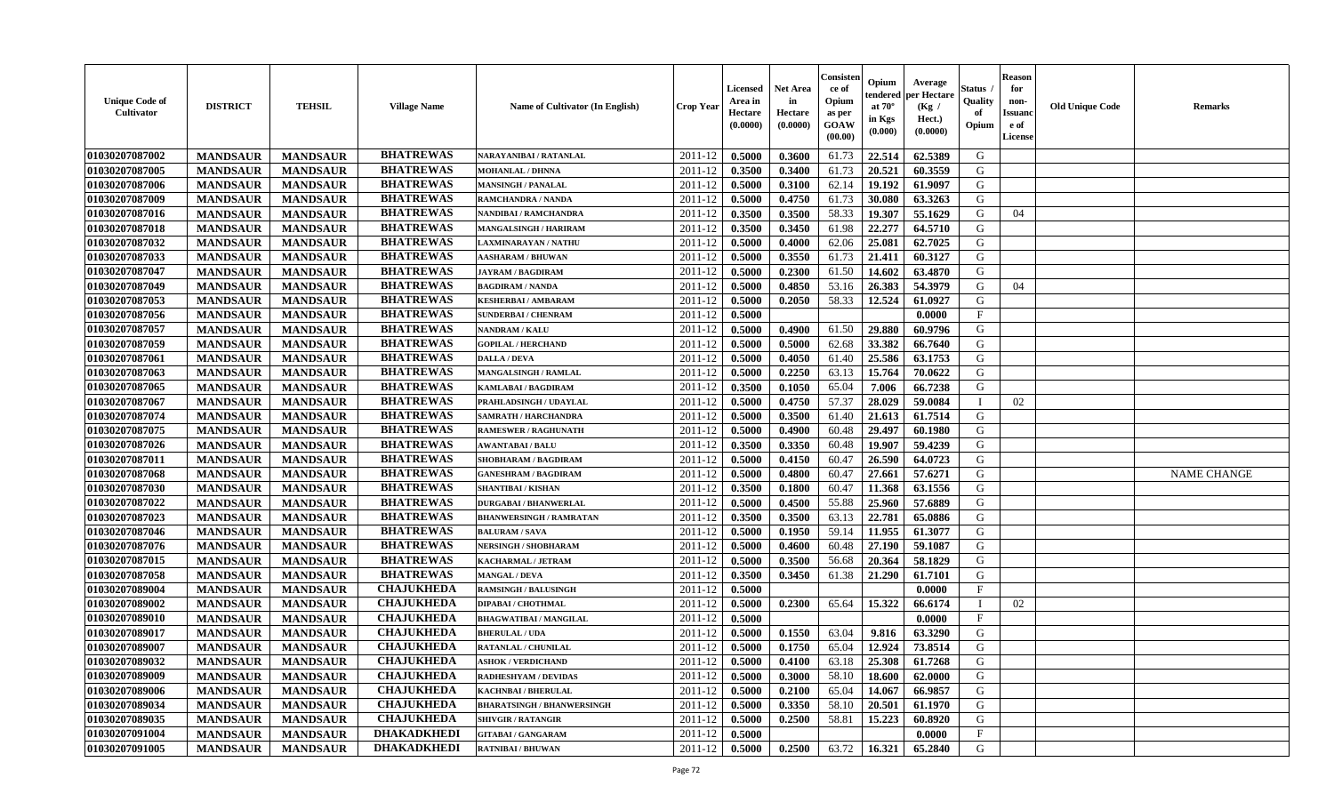| <b>Unique Code of</b><br><b>Cultivator</b> | <b>DISTRICT</b> | <b>TEHSIL</b>   | <b>Village Name</b> | Name of Cultivator (In English)   | <b>Crop Year</b> | <b>Licensed</b><br>Area in<br>Hectare<br>(0.0000) | <b>Net Area</b><br>in<br>Hectare<br>(0.0000) | Consister<br>ce of<br>Opium<br>as per<br><b>GOAW</b><br>(00.00) | Opium<br>endered<br>at $70^\circ$<br>in Kgs<br>$(\mathbf{0.000})$ | Average<br>per Hectare<br>(Kg /<br>Hect.)<br>(0.0000) | Status<br>Quality<br>of<br>Opium | Reason<br>for<br>non-<br>Issuan<br>e of<br>License | <b>Old Unique Code</b> | <b>Remarks</b>     |
|--------------------------------------------|-----------------|-----------------|---------------------|-----------------------------------|------------------|---------------------------------------------------|----------------------------------------------|-----------------------------------------------------------------|-------------------------------------------------------------------|-------------------------------------------------------|----------------------------------|----------------------------------------------------|------------------------|--------------------|
| 01030207087002                             | <b>MANDSAUR</b> | <b>MANDSAUR</b> | <b>BHATREWAS</b>    | <b>NARAYANIBAI / RATANLAL</b>     | 2011-12          | 0.5000                                            | 0.3600                                       | 61.73                                                           | 22.514                                                            | 62.5389                                               | G                                |                                                    |                        |                    |
| 01030207087005                             | <b>MANDSAUR</b> | <b>MANDSAUR</b> | <b>BHATREWAS</b>    | <b>MOHANLAL / DHNNA</b>           | 2011-12          | 0.3500                                            | 0.3400                                       | 61.73                                                           | 20.521                                                            | 60.3559                                               | G                                |                                                    |                        |                    |
| 01030207087006                             | <b>MANDSAUR</b> | <b>MANDSAUR</b> | <b>BHATREWAS</b>    | <b>MANSINGH / PANALAL</b>         | 2011-12          | 0.5000                                            | 0.3100                                       | 62.14                                                           | 19.192                                                            | 61.9097                                               | G                                |                                                    |                        |                    |
| 01030207087009                             | <b>MANDSAUR</b> | <b>MANDSAUR</b> | <b>BHATREWAS</b>    | RAMCHANDRA / NANDA                | 2011-12          | 0.5000                                            | 0.4750                                       | 61.73                                                           | 30.080                                                            | 63.3263                                               | G                                |                                                    |                        |                    |
| 01030207087016                             | <b>MANDSAUR</b> | <b>MANDSAUR</b> | <b>BHATREWAS</b>    | NANDIBAI / RAMCHANDRA             | 2011-12          | 0.3500                                            | 0.3500                                       | 58.33                                                           | 19.307                                                            | 55.1629                                               | G                                | 04                                                 |                        |                    |
| 01030207087018                             | <b>MANDSAUR</b> | <b>MANDSAUR</b> | <b>BHATREWAS</b>    | <b>MANGALSINGH / HARIRAM</b>      | 2011-12          | 0.3500                                            | 0.3450                                       | 61.98                                                           | 22,277                                                            | 64.5710                                               | G                                |                                                    |                        |                    |
| 01030207087032                             | <b>MANDSAUR</b> | <b>MANDSAUR</b> | <b>BHATREWAS</b>    | LAXMINARAYAN / NATHU              | 2011-12          | 0.5000                                            | 0.4000                                       | 62.06                                                           | 25.081                                                            | 62.7025                                               | G                                |                                                    |                        |                    |
| 01030207087033                             | <b>MANDSAUR</b> | <b>MANDSAUR</b> | <b>BHATREWAS</b>    | <b>AASHARAM / BHUWAN</b>          | 2011-12          | 0.5000                                            | 0.3550                                       | 61.73                                                           | 21,411                                                            | 60.3127                                               | G                                |                                                    |                        |                    |
| 01030207087047                             | <b>MANDSAUR</b> | <b>MANDSAUR</b> | <b>BHATREWAS</b>    | <b>JAYRAM / BAGDIRAM</b>          | 2011-12          | 0.5000                                            | 0.2300                                       | 61.50                                                           | 14.602                                                            | 63.4870                                               | G                                |                                                    |                        |                    |
| 01030207087049                             | <b>MANDSAUR</b> | <b>MANDSAUR</b> | <b>BHATREWAS</b>    | <b>BAGDIRAM / NANDA</b>           | 2011-12          | 0.5000                                            | 0.4850                                       | 53.16                                                           | 26.383                                                            | 54.3979                                               | G                                | 04                                                 |                        |                    |
| 01030207087053                             | <b>MANDSAUR</b> | <b>MANDSAUR</b> | <b>BHATREWAS</b>    | <b>KESHERBAI/AMBARAM</b>          | 2011-12          | 0.5000                                            | 0.2050                                       | 58.33                                                           | 12.524                                                            | 61.0927                                               | G                                |                                                    |                        |                    |
| 01030207087056                             | <b>MANDSAUR</b> | <b>MANDSAUR</b> | <b>BHATREWAS</b>    | <b>SUNDERBAI/ CHENRAM</b>         | 2011-12          | 0.5000                                            |                                              |                                                                 |                                                                   | 0.0000                                                | $\mathbf{F}$                     |                                                    |                        |                    |
| 01030207087057                             | <b>MANDSAUR</b> | <b>MANDSAUR</b> | <b>BHATREWAS</b>    | NANDRAM / KALU                    | 2011-12          | 0.5000                                            | 0.4900                                       | 61.50                                                           | 29.880                                                            | 60.9796                                               | G                                |                                                    |                        |                    |
| 01030207087059                             | <b>MANDSAUR</b> | <b>MANDSAUR</b> | <b>BHATREWAS</b>    | <b>GOPILAL / HERCHAND</b>         | 2011-12          | 0.5000                                            | 0.5000                                       | 62.68                                                           | 33.382                                                            | 66.7640                                               | G                                |                                                    |                        |                    |
| 01030207087061                             | <b>MANDSAUR</b> | <b>MANDSAUR</b> | <b>BHATREWAS</b>    | <b>DALLA / DEVA</b>               | 2011-12          | 0.5000                                            | 0.4050                                       | 61.40                                                           | 25.586                                                            | 63.1753                                               | G                                |                                                    |                        |                    |
| 01030207087063                             | <b>MANDSAUR</b> | <b>MANDSAUR</b> | <b>BHATREWAS</b>    | MANGALSINGH / RAMLAL              | 2011-12          | 0.5000                                            | 0.2250                                       | 63.13                                                           | 15.764                                                            | 70.0622                                               | G                                |                                                    |                        |                    |
| 01030207087065                             | <b>MANDSAUR</b> | <b>MANDSAUR</b> | <b>BHATREWAS</b>    | <b>KAMLABAI/BAGDIRAM</b>          | 2011-12          | 0.3500                                            | 0.1050                                       | 65.04                                                           | 7.006                                                             | 66.7238                                               | G                                |                                                    |                        |                    |
| 01030207087067                             | <b>MANDSAUR</b> | <b>MANDSAUR</b> | <b>BHATREWAS</b>    | PRAHLADSINGH / UDAYLAL            | 2011-12          | 0.5000                                            | 0.4750                                       | 57.37                                                           | 28.029                                                            | 59.0084                                               | П                                | 02                                                 |                        |                    |
| 01030207087074                             | <b>MANDSAUR</b> | <b>MANDSAUR</b> | <b>BHATREWAS</b>    | SAMRATH / HARCHANDRA              | 2011-12          | 0.5000                                            | 0.3500                                       | 61.40                                                           | 21.613                                                            | 61.7514                                               | G                                |                                                    |                        |                    |
| 01030207087075                             | <b>MANDSAUR</b> | <b>MANDSAUR</b> | <b>BHATREWAS</b>    | <b>RAMESWER / RAGHUNATH</b>       | 2011-12          | 0.5000                                            | 0.4900                                       | 60.48                                                           | 29.497                                                            | 60.1980                                               | G                                |                                                    |                        |                    |
| 01030207087026                             | <b>MANDSAUR</b> | <b>MANDSAUR</b> | <b>BHATREWAS</b>    | <b>AWANTABAI/BALU</b>             | 2011-12          | 0.3500                                            | 0.3350                                       | 60.48                                                           | 19.907                                                            | 59.4239                                               | G                                |                                                    |                        |                    |
| 01030207087011                             | <b>MANDSAUR</b> | <b>MANDSAUR</b> | <b>BHATREWAS</b>    | SHOBHARAM / BAGDIRAM              | 2011-12          | 0.5000                                            | 0.4150                                       | 60.47                                                           | 26.590                                                            | 64.0723                                               | G                                |                                                    |                        |                    |
| 01030207087068                             | <b>MANDSAUR</b> | <b>MANDSAUR</b> | <b>BHATREWAS</b>    | <b>GANESHRAM / BAGDIRAM</b>       | 2011-12          | 0.5000                                            | 0.4800                                       | 60.47                                                           | 27.661                                                            | 57.6271                                               | G                                |                                                    |                        | <b>NAME CHANGE</b> |
| 01030207087030                             | <b>MANDSAUR</b> | <b>MANDSAUR</b> | <b>BHATREWAS</b>    | <b>SHANTIBAI / KISHAN</b>         | 2011-12          | 0.3500                                            | 0.1800                                       | 60.47                                                           | 11.368                                                            | 63.1556                                               | G                                |                                                    |                        |                    |
| 01030207087022                             | <b>MANDSAUR</b> | <b>MANDSAUR</b> | <b>BHATREWAS</b>    | <b>DURGABAI/BHANWERLAL</b>        | 2011-12          | 0.5000                                            | 0.4500                                       | 55.88                                                           | 25.960                                                            | 57.6889                                               | G                                |                                                    |                        |                    |
| 01030207087023                             | <b>MANDSAUR</b> | <b>MANDSAUR</b> | <b>BHATREWAS</b>    | <b>BHANWERSINGH / RAMRATAN</b>    | 2011-12          | 0.3500                                            | 0.3500                                       | 63.13                                                           | 22.781                                                            | 65.0886                                               | G                                |                                                    |                        |                    |
| 01030207087046                             | <b>MANDSAUR</b> | <b>MANDSAUR</b> | <b>BHATREWAS</b>    | <b>BALURAM / SAVA</b>             | 2011-12          | 0.5000                                            | 0.1950                                       | 59.14                                                           | 11.955                                                            | 61.3077                                               | G                                |                                                    |                        |                    |
| 01030207087076                             | <b>MANDSAUR</b> | <b>MANDSAUR</b> | <b>BHATREWAS</b>    | NERSINGH / SHOBHARAM              | 2011-12          | 0.5000                                            | 0.4600                                       | 60.48                                                           | 27.190                                                            | 59.1087                                               | G                                |                                                    |                        |                    |
| 01030207087015                             | <b>MANDSAUR</b> | <b>MANDSAUR</b> | <b>BHATREWAS</b>    | KACHARMAL / JETRAM                | 2011-12          | 0.5000                                            | 0.3500                                       | 56.68                                                           | 20.364                                                            | 58.1829                                               | G                                |                                                    |                        |                    |
| 01030207087058                             | <b>MANDSAUR</b> | <b>MANDSAUR</b> | <b>BHATREWAS</b>    | <b>MANGAL / DEVA</b>              | 2011-12          | 0.3500                                            | 0.3450                                       | 61.38                                                           | 21.290                                                            | 61.7101                                               | G                                |                                                    |                        |                    |
| 01030207089004                             | <b>MANDSAUR</b> | <b>MANDSAUR</b> | <b>CHAJUKHEDA</b>   | <b>RAMSINGH / BALUSINGH</b>       | 2011-12          | 0.5000                                            |                                              |                                                                 |                                                                   | 0.0000                                                | $\mathbf{F}$                     |                                                    |                        |                    |
| 01030207089002                             | <b>MANDSAUR</b> | <b>MANDSAUR</b> | <b>CHAJUKHEDA</b>   | DIPABAI / CHOTHMAL                | 2011-12          | 0.5000                                            | 0.2300                                       | 65.64                                                           | 15.322                                                            | 66.6174                                               | - 1                              | 02                                                 |                        |                    |
| 01030207089010                             | <b>MANDSAUR</b> | <b>MANDSAUR</b> | <b>CHAJUKHEDA</b>   | <b>BHAGWATIBAI / MANGILAL</b>     | 2011-12          | 0.5000                                            |                                              |                                                                 |                                                                   | 0.0000                                                | $\mathbf{F}$                     |                                                    |                        |                    |
| 01030207089017                             | <b>MANDSAUR</b> | <b>MANDSAUR</b> | <b>CHAJUKHEDA</b>   | <b>BHERULAL / UDA</b>             | 2011-12          | 0.5000                                            | 0.1550                                       | 63.04                                                           | 9.816                                                             | 63.3290                                               | G                                |                                                    |                        |                    |
| 01030207089007                             | <b>MANDSAUR</b> | <b>MANDSAUR</b> | <b>CHAJUKHEDA</b>   | RATANLAL / CHUNILAL               | 2011-12          | 0.5000                                            | 0.1750                                       | 65.04                                                           | 12.924                                                            | 73.8514                                               | G                                |                                                    |                        |                    |
| 01030207089032                             | <b>MANDSAUR</b> | <b>MANDSAUR</b> | <b>CHAJUKHEDA</b>   | <b>ASHOK / VERDICHAND</b>         | $2011-12$ 0.5000 |                                                   | 0.4100                                       |                                                                 |                                                                   | $63.18$   25.308   61.7268                            | G                                |                                                    |                        |                    |
| 01030207089009                             | <b>MANDSAUR</b> | <b>MANDSAUR</b> | <b>CHAJUKHEDA</b>   | RADHESHYAM / DEVIDAS              | 2011-12          | 0.5000                                            | 0.3000                                       | 58.10                                                           | 18.600                                                            | 62.0000                                               | G                                |                                                    |                        |                    |
| 01030207089006                             | <b>MANDSAUR</b> | <b>MANDSAUR</b> | <b>CHAJUKHEDA</b>   | <b>KACHNBAI / BHERULAL</b>        | 2011-12          | 0.5000                                            | 0.2100                                       | 65.04                                                           | 14.067                                                            | 66.9857                                               | G                                |                                                    |                        |                    |
| 01030207089034                             | <b>MANDSAUR</b> | <b>MANDSAUR</b> | <b>CHAJUKHEDA</b>   | <b>BHARATSINGH / BHANWERSINGH</b> | 2011-12          | 0.5000                                            | 0.3350                                       | 58.10                                                           | 20.501                                                            | 61.1970                                               | G                                |                                                    |                        |                    |
| 01030207089035                             | <b>MANDSAUR</b> | <b>MANDSAUR</b> | <b>CHAJUKHEDA</b>   | <b>SHIVGIR / RATANGIR</b>         | 2011-12          | 0.5000                                            | 0.2500                                       | 58.81                                                           | 15.223                                                            | 60.8920                                               | G                                |                                                    |                        |                    |
| 01030207091004                             | <b>MANDSAUR</b> | <b>MANDSAUR</b> | <b>DHAKADKHEDI</b>  | <b>GITABAI/ GANGARAM</b>          | 2011-12          | 0.5000                                            |                                              |                                                                 |                                                                   | 0.0000                                                | $\mathbf{F}$                     |                                                    |                        |                    |
| 01030207091005                             | <b>MANDSAUR</b> | <b>MANDSAUR</b> | <b>DHAKADKHEDI</b>  | <b>RATNIBAI / BHUWAN</b>          | 2011-12          | 0.5000                                            | 0.2500                                       | 63.72                                                           | 16.321                                                            | 65.2840                                               | G                                |                                                    |                        |                    |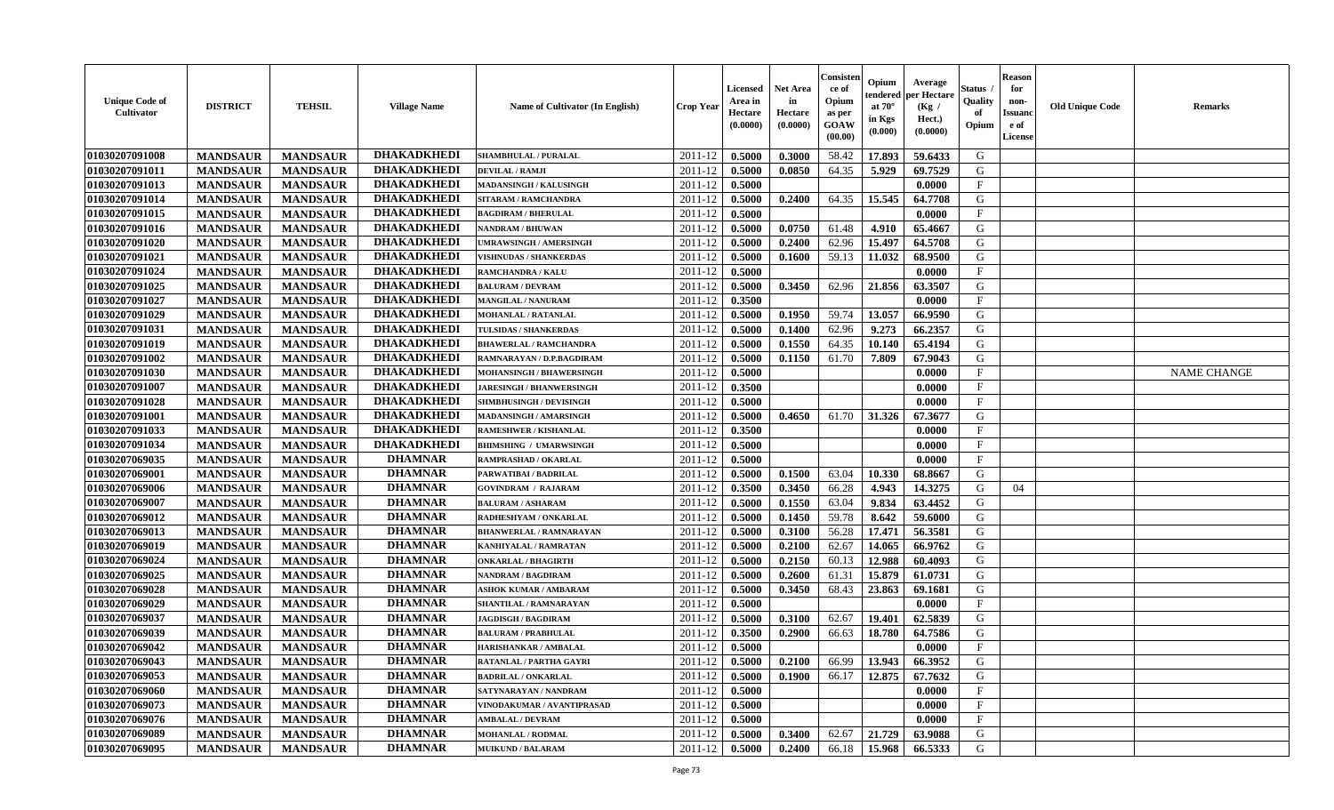| <b>Unique Code of</b><br><b>Cultivator</b> | <b>DISTRICT</b> | <b>TEHSIL</b>   | <b>Village Name</b> | Name of Cultivator (In English) | <b>Crop Year</b> | <b>Licensed</b><br>Area in<br>Hectare<br>(0.0000) | <b>Net Area</b><br>in<br>Hectare<br>(0.0000) | Consister<br>ce of<br>Opium<br>as per<br><b>GOAW</b><br>(00.00) | Opium<br>endered<br>at $70^\circ$<br>in Kgs<br>(0.000) | Average<br>per Hectare<br>(Kg /<br>Hect.)<br>(0.0000) | Status<br>Quality<br>of<br>Opium | <b>Reason</b><br>for<br>non-<br><b>Issuand</b><br>e of<br><b>License</b> | <b>Old Unique Code</b> | <b>Remarks</b>     |
|--------------------------------------------|-----------------|-----------------|---------------------|---------------------------------|------------------|---------------------------------------------------|----------------------------------------------|-----------------------------------------------------------------|--------------------------------------------------------|-------------------------------------------------------|----------------------------------|--------------------------------------------------------------------------|------------------------|--------------------|
| 01030207091008                             | <b>MANDSAUR</b> | <b>MANDSAUR</b> | <b>DHAKADKHEDI</b>  | <b>SHAMBHULAL / PURALAL</b>     | 2011-12          | 0.5000                                            | 0.3000                                       | 58.42                                                           | 17.893                                                 | 59.6433                                               | G                                |                                                                          |                        |                    |
| 01030207091011                             | <b>MANDSAUR</b> | <b>MANDSAUR</b> | <b>DHAKADKHEDI</b>  | DEVILAL / RAMJI                 | 2011-12          | 0.5000                                            | 0.0850                                       | 64.35                                                           | 5.929                                                  | 69.7529                                               | G                                |                                                                          |                        |                    |
| 01030207091013                             | <b>MANDSAUR</b> | <b>MANDSAUR</b> | <b>DHAKADKHEDI</b>  | MADANSINGH / KALUSINGH          | 2011-12          | 0.5000                                            |                                              |                                                                 |                                                        | 0.0000                                                | F                                |                                                                          |                        |                    |
| 01030207091014                             | <b>MANDSAUR</b> | <b>MANDSAUR</b> | <b>DHAKADKHEDI</b>  | SITARAM / RAMCHANDRA            | 2011-12          | 0.5000                                            | 0.2400                                       | 64.35                                                           | 15.545                                                 | 64.7708                                               | G                                |                                                                          |                        |                    |
| 01030207091015                             | <b>MANDSAUR</b> | <b>MANDSAUR</b> | <b>DHAKADKHEDI</b>  | <b>BAGDIRAM / BHERULAL</b>      | 2011-12          | 0.5000                                            |                                              |                                                                 |                                                        | 0.0000                                                | $\mathbf{F}$                     |                                                                          |                        |                    |
| 01030207091016                             | <b>MANDSAUR</b> | <b>MANDSAUR</b> | <b>DHAKADKHEDI</b>  | NANDRAM / BHUWAN                | 2011-12          | 0.5000                                            | 0.0750                                       | 61.48                                                           | 4.910                                                  | 65.4667                                               | G                                |                                                                          |                        |                    |
| 01030207091020                             | <b>MANDSAUR</b> | <b>MANDSAUR</b> | <b>DHAKADKHEDI</b>  | <b>UMRAWSINGH / AMERSINGH</b>   | 2011-12          | 0.5000                                            | 0.2400                                       | 62.96                                                           | 15.497                                                 | 64.5708                                               | G                                |                                                                          |                        |                    |
| 01030207091021                             | <b>MANDSAUR</b> | <b>MANDSAUR</b> | <b>DHAKADKHEDI</b>  | <b>VISHNUDAS / SHANKERDAS</b>   | 2011-12          | 0.5000                                            | 0.1600                                       | 59.13                                                           | 11.032                                                 | 68.9500                                               | ${\bf G}$                        |                                                                          |                        |                    |
| 01030207091024                             | <b>MANDSAUR</b> | <b>MANDSAUR</b> | <b>DHAKADKHEDI</b>  | <b>RAMCHANDRA / KALU</b>        | 2011-12          | 0.5000                                            |                                              |                                                                 |                                                        | 0.0000                                                | $\rm F$                          |                                                                          |                        |                    |
| 01030207091025                             | <b>MANDSAUR</b> | <b>MANDSAUR</b> | <b>DHAKADKHEDI</b>  | <b>BALURAM / DEVRAM</b>         | 2011-12          | 0.5000                                            | 0.3450                                       | 62.96                                                           | 21.856                                                 | 63.3507                                               | G                                |                                                                          |                        |                    |
| 01030207091027                             | <b>MANDSAUR</b> | <b>MANDSAUR</b> | <b>DHAKADKHEDI</b>  | <b>MANGILAL / NANURAM</b>       | 2011-12          | 0.3500                                            |                                              |                                                                 |                                                        | 0.0000                                                | F                                |                                                                          |                        |                    |
| 01030207091029                             | <b>MANDSAUR</b> | <b>MANDSAUR</b> | <b>DHAKADKHEDI</b>  | MOHANLAL / RATANLAL             | 2011-12          | 0.5000                                            | 0.1950                                       | 59.74                                                           | 13.057                                                 | 66.9590                                               | G                                |                                                                          |                        |                    |
| 01030207091031                             | <b>MANDSAUR</b> | <b>MANDSAUR</b> | <b>DHAKADKHEDI</b>  | <b>TULSIDAS / SHANKERDAS</b>    | 2011-12          | 0.5000                                            | 0.1400                                       | 62.96                                                           | 9.273                                                  | 66.2357                                               | G                                |                                                                          |                        |                    |
| 01030207091019                             | <b>MANDSAUR</b> | <b>MANDSAUR</b> | <b>DHAKADKHEDI</b>  | <b>BHAWERLAL / RAMCHANDRA</b>   | 2011-12          | 0.5000                                            | 0.1550                                       | 64.35                                                           | 10.140                                                 | 65.4194                                               | G                                |                                                                          |                        |                    |
| 01030207091002                             | <b>MANDSAUR</b> | <b>MANDSAUR</b> | <b>DHAKADKHEDI</b>  | RAMNARAYAN / D.P.BAGDIRAM       | 2011-12          | 0.5000                                            | 0.1150                                       | 61.70                                                           | 7.809                                                  | 67.9043                                               | G                                |                                                                          |                        |                    |
| 01030207091030                             | <b>MANDSAUR</b> | <b>MANDSAUR</b> | <b>DHAKADKHEDI</b>  | MOHANSINGH / BHAWERSINGH        | 2011-12          | 0.5000                                            |                                              |                                                                 |                                                        | 0.0000                                                | $\rm F$                          |                                                                          |                        | <b>NAME CHANGE</b> |
| 01030207091007                             | <b>MANDSAUR</b> | <b>MANDSAUR</b> | <b>DHAKADKHEDI</b>  | <b>JARESINGH / BHANWERSINGH</b> | 2011-12          | 0.3500                                            |                                              |                                                                 |                                                        | 0.0000                                                | $_{\rm F}$                       |                                                                          |                        |                    |
| 01030207091028                             | <b>MANDSAUR</b> | <b>MANDSAUR</b> | <b>DHAKADKHEDI</b>  | <b>SHMBHUSINGH / DEVISINGH</b>  | 2011-12          | 0.5000                                            |                                              |                                                                 |                                                        | 0.0000                                                | $_{\rm F}$                       |                                                                          |                        |                    |
| 01030207091001                             | <b>MANDSAUR</b> | <b>MANDSAUR</b> | <b>DHAKADKHEDI</b>  | MADANSINGH / AMARSINGH          | 2011-12          | 0.5000                                            | 0.4650                                       | 61.70                                                           | 31.326                                                 | 67.3677                                               | G                                |                                                                          |                        |                    |
| 01030207091033                             | <b>MANDSAUR</b> | <b>MANDSAUR</b> | <b>DHAKADKHEDI</b>  | <b>RAMESHWER / KISHANLAL</b>    | 2011-12          | 0.3500                                            |                                              |                                                                 |                                                        | 0.0000                                                | $\mathbf{F}$                     |                                                                          |                        |                    |
| 01030207091034                             | <b>MANDSAUR</b> | <b>MANDSAUR</b> | <b>DHAKADKHEDI</b>  | <b>BHIMSHING / UMARWSINGH</b>   | 2011-12          | 0.5000                                            |                                              |                                                                 |                                                        | 0.0000                                                | $\mathbf{F}$                     |                                                                          |                        |                    |
| 01030207069035                             | <b>MANDSAUR</b> | <b>MANDSAUR</b> | <b>DHAMNAR</b>      | RAMPRASHAD / OKARLAL            | 2011-12          | 0.5000                                            |                                              |                                                                 |                                                        | 0.0000                                                | $_{\rm F}$                       |                                                                          |                        |                    |
| 01030207069001                             | <b>MANDSAUR</b> | <b>MANDSAUR</b> | <b>DHAMNAR</b>      | PARWATIBAI / BADRILAL           | 2011-12          | 0.5000                                            | 0.1500                                       | 63.04                                                           | 10.330                                                 | 68.8667                                               | G                                |                                                                          |                        |                    |
| 01030207069006                             | <b>MANDSAUR</b> | <b>MANDSAUR</b> | <b>DHAMNAR</b>      | <b>GOVINDRAM / RAJARAM</b>      | 2011-12          | 0.3500                                            | 0.3450                                       | 66.28                                                           | 4.943                                                  | 14.3275                                               | G                                | 04                                                                       |                        |                    |
| 01030207069007                             | <b>MANDSAUR</b> | <b>MANDSAUR</b> | <b>DHAMNAR</b>      | <b>BALURAM / ASHARAM</b>        | 2011-12          | 0.5000                                            | 0.1550                                       | 63.04                                                           | 9.834                                                  | 63.4452                                               | G                                |                                                                          |                        |                    |
| 01030207069012                             | <b>MANDSAUR</b> | <b>MANDSAUR</b> | <b>DHAMNAR</b>      | RADHESHYAM / ONKARLAL           | 2011-12          | 0.5000                                            | 0.1450                                       | 59.78                                                           | 8.642                                                  | 59.6000                                               | G                                |                                                                          |                        |                    |
| 01030207069013                             | <b>MANDSAUR</b> | <b>MANDSAUR</b> | <b>DHAMNAR</b>      | <b>BHANWERLAL / RAMNARAYAN</b>  | 2011-12          | 0.5000                                            | 0.3100                                       | 56.28                                                           | 17.471                                                 | 56.3581                                               | G                                |                                                                          |                        |                    |
| 01030207069019                             | <b>MANDSAUR</b> | <b>MANDSAUR</b> | <b>DHAMNAR</b>      | KANHIYALAL / RAMRATAN           | 2011-12          | 0.5000                                            | 0.2100                                       | 62.67                                                           | 14.065                                                 | 66.9762                                               | G                                |                                                                          |                        |                    |
| 01030207069024                             | <b>MANDSAUR</b> | <b>MANDSAUR</b> | <b>DHAMNAR</b>      | <b>ONKARLAL / BHAGIRTH</b>      | 2011-12          | 0.5000                                            | 0.2150                                       | 60.13                                                           | 12.988                                                 | 60.4093                                               | G                                |                                                                          |                        |                    |
| 01030207069025                             | <b>MANDSAUR</b> | <b>MANDSAUR</b> | <b>DHAMNAR</b>      | <b>NANDRAM / BAGDIRAM</b>       | 2011-12          | 0.5000                                            | 0.2600                                       | 61.31                                                           | 15.879                                                 | 61.0731                                               | G                                |                                                                          |                        |                    |
| 01030207069028                             | <b>MANDSAUR</b> | <b>MANDSAUR</b> | <b>DHAMNAR</b>      | <b>ASHOK KUMAR / AMBARAM</b>    | 2011-12          | 0.5000                                            | 0.3450                                       | 68.43                                                           | 23.863                                                 | 69.1681                                               | G                                |                                                                          |                        |                    |
| 01030207069029                             | <b>MANDSAUR</b> | <b>MANDSAUR</b> | <b>DHAMNAR</b>      | SHANTILAL / RAMNARAYAN          | 2011-12          | 0.5000                                            |                                              |                                                                 |                                                        | 0.0000                                                | $\mathbf{F}$                     |                                                                          |                        |                    |
| 01030207069037                             | <b>MANDSAUR</b> | <b>MANDSAUR</b> | <b>DHAMNAR</b>      | <b>JAGDISGH / BAGDIRAM</b>      | 2011-12          | 0.5000                                            | 0.3100                                       | 62.67                                                           | 19.401                                                 | 62.5839                                               | G                                |                                                                          |                        |                    |
| 01030207069039                             | <b>MANDSAUR</b> | <b>MANDSAUR</b> | <b>DHAMNAR</b>      | <b>BALURAM / PRABHULAL</b>      | 2011-12          | 0.3500                                            | 0.2900                                       | 66.63                                                           | 18.780                                                 | 64.7586                                               | G                                |                                                                          |                        |                    |
| 01030207069042                             | <b>MANDSAUR</b> | <b>MANDSAUR</b> | <b>DHAMNAR</b>      | HARISHANKAR / AMBALAL           | 2011-12          | 0.5000                                            |                                              |                                                                 |                                                        | 0.0000                                                | F                                |                                                                          |                        |                    |
| 01030207069043                             | <b>MANDSAUR</b> | <b>MANDSAUR</b> | <b>DHAMNAR</b>      | <b>RATANLAL / PARTHA GAYRI</b>  | 2011-12          | 0.5000                                            | 0.2100                                       | 66.99                                                           | 13.943                                                 | 66.3952                                               | G                                |                                                                          |                        |                    |
| 01030207069053                             | <b>MANDSAUR</b> | <b>MANDSAUR</b> | <b>DHAMNAR</b>      | <b>BADRILAL / ONKARLAL</b>      | 2011-12          | 0.5000                                            | 0.1900                                       | 66.17                                                           | 12.875                                                 | 67.7632                                               | G                                |                                                                          |                        |                    |
| 01030207069060                             | <b>MANDSAUR</b> | <b>MANDSAUR</b> | <b>DHAMNAR</b>      | SATYNARAYAN / NANDRAM           | 2011-12          | 0.5000                                            |                                              |                                                                 |                                                        | 0.0000                                                | $\mathbf{F}$                     |                                                                          |                        |                    |
| 01030207069073                             | <b>MANDSAUR</b> | <b>MANDSAUR</b> | <b>DHAMNAR</b>      | VINODAKUMAR / AVANTIPRASAD      | 2011-12          | 0.5000                                            |                                              |                                                                 |                                                        | 0.0000                                                | $\mathbf{F}$                     |                                                                          |                        |                    |
| 01030207069076                             | <b>MANDSAUR</b> | <b>MANDSAUR</b> | <b>DHAMNAR</b>      | <b>AMBALAL / DEVRAM</b>         | 2011-12          | 0.5000                                            |                                              |                                                                 |                                                        | 0.0000                                                | F                                |                                                                          |                        |                    |
| 01030207069089                             | <b>MANDSAUR</b> | <b>MANDSAUR</b> | <b>DHAMNAR</b>      | <b>MOHANLAL / RODMAL</b>        | 2011-12          | 0.5000                                            | 0.3400                                       | 62.67                                                           | 21.729                                                 | 63.9088                                               | G                                |                                                                          |                        |                    |
| 01030207069095                             | <b>MANDSAUR</b> | <b>MANDSAUR</b> | <b>DHAMNAR</b>      | <b>MUIKUND / BALARAM</b>        | 2011-12          | 0.5000                                            | 0.2400                                       | 66.18                                                           | 15.968                                                 | 66.5333                                               | G                                |                                                                          |                        |                    |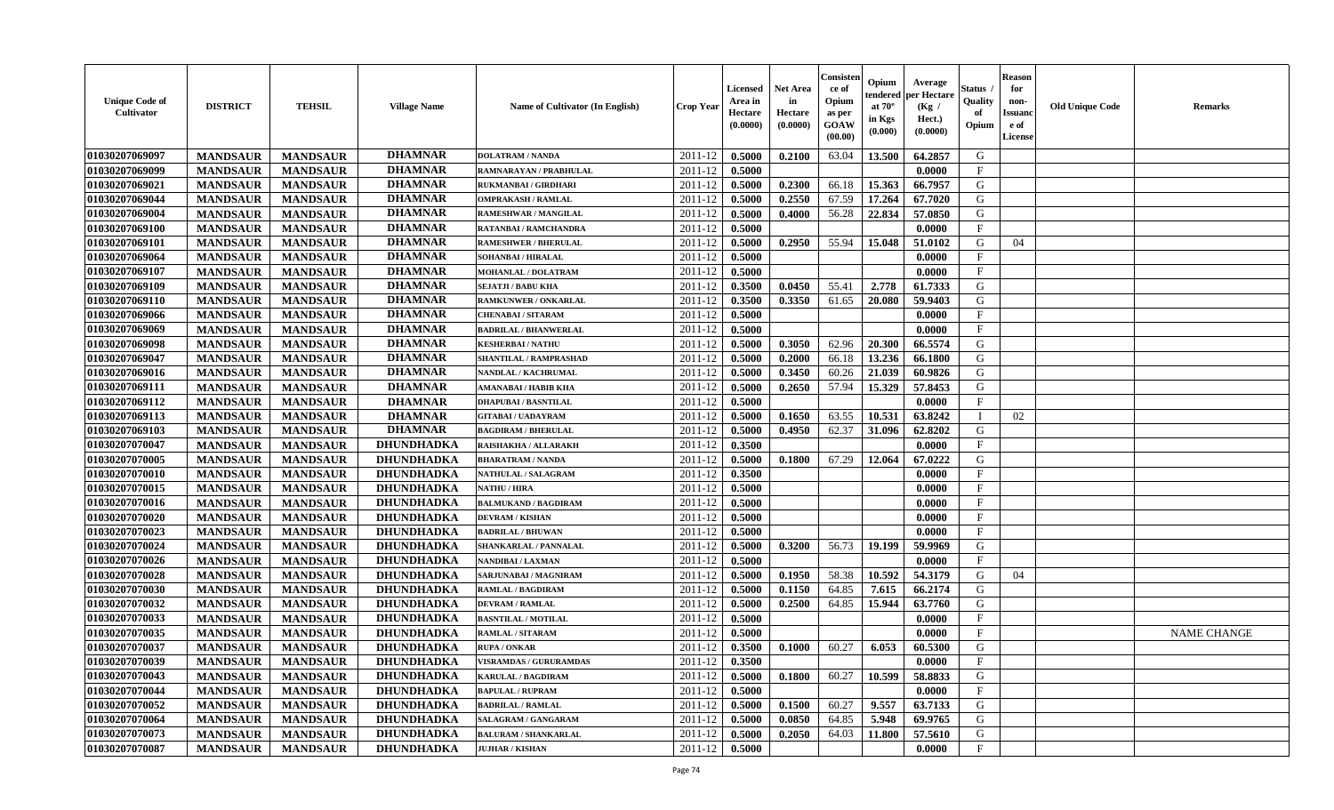| <b>Unique Code of</b><br><b>Cultivator</b> | <b>DISTRICT</b> | <b>TEHSIL</b>   | <b>Village Name</b> | Name of Cultivator (In English) | <b>Crop Year</b> | <b>Licensed</b><br>Area in<br>Hectare<br>(0.0000) | <b>Net Area</b><br>in<br>Hectare<br>(0.0000) | Consisteı<br>ce of<br>Opium<br>as per<br><b>GOAW</b><br>(00.00) | Opium<br>endered<br>at $70^\circ$<br>in Kgs<br>(0.000) | Average<br>per Hectare<br>(Kg /<br>Hect.)<br>(0.0000) | Status<br>Quality<br>of<br>Opium | <b>Reason</b><br>for<br>non-<br>Issuan<br>e of<br>License | <b>Old Unique Code</b> | <b>Remarks</b>     |
|--------------------------------------------|-----------------|-----------------|---------------------|---------------------------------|------------------|---------------------------------------------------|----------------------------------------------|-----------------------------------------------------------------|--------------------------------------------------------|-------------------------------------------------------|----------------------------------|-----------------------------------------------------------|------------------------|--------------------|
| 01030207069097                             | <b>MANDSAUR</b> | <b>MANDSAUR</b> | <b>DHAMNAR</b>      | <b>DOLATRAM / NANDA</b>         | 2011-12          | 0.5000                                            | 0.2100                                       | 63.04                                                           | 13.500                                                 | 64.2857                                               | G                                |                                                           |                        |                    |
| 01030207069099                             | <b>MANDSAUR</b> | <b>MANDSAUR</b> | <b>DHAMNAR</b>      | RAMNARAYAN / PRABHULAL          | 2011-12          | 0.5000                                            |                                              |                                                                 |                                                        | 0.0000                                                | $\mathbf{F}$                     |                                                           |                        |                    |
| 01030207069021                             | <b>MANDSAUR</b> | <b>MANDSAUR</b> | <b>DHAMNAR</b>      | <b>RUKMANBAI / GIRDHARI</b>     | 2011-12          | 0.5000                                            | 0.2300                                       | 66.18                                                           | 15.363                                                 | 66.7957                                               | G                                |                                                           |                        |                    |
| 01030207069044                             | <b>MANDSAUR</b> | <b>MANDSAUR</b> | <b>DHAMNAR</b>      | <b>OMPRAKASH / RAMLAL</b>       | 2011-12          | 0.5000                                            | 0.2550                                       | 67.59                                                           | 17.264                                                 | 67.7020                                               | G                                |                                                           |                        |                    |
| 01030207069004                             | <b>MANDSAUR</b> | <b>MANDSAUR</b> | <b>DHAMNAR</b>      | RAMESHWAR / MANGILAL            | 2011-12          | 0.5000                                            | 0.4000                                       | 56.28                                                           | 22.834                                                 | 57.0850                                               | G                                |                                                           |                        |                    |
| 01030207069100                             | <b>MANDSAUR</b> | <b>MANDSAUR</b> | <b>DHAMNAR</b>      | <b>RATANBAI/RAMCHANDRA</b>      | 2011-12          | 0.5000                                            |                                              |                                                                 |                                                        | 0.0000                                                | $\mathbf{F}$                     |                                                           |                        |                    |
| 01030207069101                             | <b>MANDSAUR</b> | <b>MANDSAUR</b> | <b>DHAMNAR</b>      | <b>RAMESHWER / BHERULAL</b>     | 2011-12          | 0.5000                                            | 0.2950                                       | 55.94                                                           | 15.048                                                 | 51.0102                                               | G                                | 04                                                        |                        |                    |
| 01030207069064                             | <b>MANDSAUR</b> | <b>MANDSAUR</b> | <b>DHAMNAR</b>      | <b>SOHANBAI/HIRALAL</b>         | 2011-12          | 0.5000                                            |                                              |                                                                 |                                                        | 0.0000                                                | $\mathbf{F}$                     |                                                           |                        |                    |
| 01030207069107                             | <b>MANDSAUR</b> | <b>MANDSAUR</b> | <b>DHAMNAR</b>      | <b>MOHANLAL / DOLATRAM</b>      | 2011-12          | 0.5000                                            |                                              |                                                                 |                                                        | 0.0000                                                | $_{\rm F}$                       |                                                           |                        |                    |
| 01030207069109                             | <b>MANDSAUR</b> | <b>MANDSAUR</b> | <b>DHAMNAR</b>      | <b>SEJATJI / BABU KHA</b>       | 2011-12          | 0.3500                                            | 0.0450                                       | 55.41                                                           | 2.778                                                  | 61.7333                                               | G                                |                                                           |                        |                    |
| 01030207069110                             | <b>MANDSAUR</b> | <b>MANDSAUR</b> | <b>DHAMNAR</b>      | <b>RAMKUNWER / ONKARLAL</b>     | 2011-12          | 0.3500                                            | 0.3350                                       | 61.65                                                           | 20.080                                                 | 59.9403                                               | G                                |                                                           |                        |                    |
| 01030207069066                             | <b>MANDSAUR</b> | <b>MANDSAUR</b> | <b>DHAMNAR</b>      | <b>CHENABAI/SITARAM</b>         | 2011-12          | 0.5000                                            |                                              |                                                                 |                                                        | 0.0000                                                | $\mathbf{F}$                     |                                                           |                        |                    |
| 01030207069069                             | <b>MANDSAUR</b> | <b>MANDSAUR</b> | <b>DHAMNAR</b>      | <b>BADRILAL / BHANWERLAL</b>    | 2011-12          | 0.5000                                            |                                              |                                                                 |                                                        | 0.0000                                                | $\mathbf{F}$                     |                                                           |                        |                    |
| 01030207069098                             | <b>MANDSAUR</b> | <b>MANDSAUR</b> | <b>DHAMNAR</b>      | <b>KESHERBAI/NATHU</b>          | 2011-12          | 0.5000                                            | 0.3050                                       | 62.96                                                           | 20.300                                                 | 66.5574                                               | G                                |                                                           |                        |                    |
| 01030207069047                             | <b>MANDSAUR</b> | <b>MANDSAUR</b> | <b>DHAMNAR</b>      | SHANTILAL / RAMPRASHAD          | 2011-12          | 0.5000                                            | 0.2000                                       | 66.18                                                           | 13.236                                                 | 66.1800                                               | G                                |                                                           |                        |                    |
| 01030207069016                             | <b>MANDSAUR</b> | <b>MANDSAUR</b> | <b>DHAMNAR</b>      | NANDLAL / KACHRUMAL             | 2011-12          | 0.5000                                            | 0.3450                                       | 60.26                                                           | 21.039                                                 | 60.9826                                               | G                                |                                                           |                        |                    |
| 01030207069111                             | <b>MANDSAUR</b> | <b>MANDSAUR</b> | <b>DHAMNAR</b>      | <b>AMANABAI / HABIB KHA</b>     | 2011-12          | 0.5000                                            | 0.2650                                       | 57.94                                                           | 15.329                                                 | 57.8453                                               | G                                |                                                           |                        |                    |
| 01030207069112                             | <b>MANDSAUR</b> | <b>MANDSAUR</b> | <b>DHAMNAR</b>      | <b>DHAPUBAI/BASNTILAL</b>       | 2011-12          | 0.5000                                            |                                              |                                                                 |                                                        | 0.0000                                                | $\mathbf{F}$                     |                                                           |                        |                    |
| 01030207069113                             | <b>MANDSAUR</b> | <b>MANDSAUR</b> | <b>DHAMNAR</b>      | <b>GITABAI/ UADAYRAM</b>        | 2011-12          | 0.5000                                            | 0.1650                                       | 63.55                                                           | 10.531                                                 | 63.8242                                               |                                  | 02                                                        |                        |                    |
| 01030207069103                             | <b>MANDSAUR</b> | <b>MANDSAUR</b> | <b>DHAMNAR</b>      | <b>BAGDIRAM / BHERULAL</b>      | 2011-12          | 0.5000                                            | 0.4950                                       | 62.37                                                           | 31.096                                                 | 62.8202                                               | G                                |                                                           |                        |                    |
| 01030207070047                             | <b>MANDSAUR</b> | <b>MANDSAUR</b> | <b>DHUNDHADKA</b>   | RAISHAKHA / ALLARAKH            | 2011-12          | 0.3500                                            |                                              |                                                                 |                                                        | 0.0000                                                | F                                |                                                           |                        |                    |
| 01030207070005                             | <b>MANDSAUR</b> | <b>MANDSAUR</b> | <b>DHUNDHADKA</b>   | <b>BHARATRAM / NANDA</b>        | 2011-12          | 0.5000                                            | 0.1800                                       | 67.29                                                           | 12.064                                                 | 67.0222                                               | G                                |                                                           |                        |                    |
| 01030207070010                             | <b>MANDSAUR</b> | <b>MANDSAUR</b> | DHUNDHADKA          | NATHULAL / SALAGRAM             | 2011-12          | 0.3500                                            |                                              |                                                                 |                                                        | 0.0000                                                | $\mathbf{F}$                     |                                                           |                        |                    |
| 01030207070015                             | <b>MANDSAUR</b> | <b>MANDSAUR</b> | DHUNDHADKA          | <b>NATHU / HIRA</b>             | 2011-12          | 0.5000                                            |                                              |                                                                 |                                                        | 0.0000                                                | $\mathbf{F}$                     |                                                           |                        |                    |
| 01030207070016                             | <b>MANDSAUR</b> | <b>MANDSAUR</b> | <b>DHUNDHADKA</b>   | <b>BALMUKAND / BAGDIRAM</b>     | 2011-12          | 0.5000                                            |                                              |                                                                 |                                                        | 0.0000                                                | $\mathbf{F}$                     |                                                           |                        |                    |
| 01030207070020                             | <b>MANDSAUR</b> | <b>MANDSAUR</b> | <b>DHUNDHADKA</b>   | <b>DEVRAM / KISHAN</b>          | 2011-12          | 0.5000                                            |                                              |                                                                 |                                                        | 0.0000                                                | $\mathbf{F}$                     |                                                           |                        |                    |
| 01030207070023                             | <b>MANDSAUR</b> | <b>MANDSAUR</b> | <b>DHUNDHADKA</b>   | <b>BADRILAL / BHUWAN</b>        | 2011-12          | 0.5000                                            |                                              |                                                                 |                                                        | 0.0000                                                | $\mathbf F$                      |                                                           |                        |                    |
| 01030207070024                             | <b>MANDSAUR</b> | <b>MANDSAUR</b> | <b>DHUNDHADKA</b>   | <b>SHANKARLAL / PANNALAL</b>    | 2011-12          | 0.5000                                            | 0.3200                                       | 56.73                                                           | 19.199                                                 | 59.9969                                               | G                                |                                                           |                        |                    |
| 01030207070026                             | <b>MANDSAUR</b> | <b>MANDSAUR</b> | DHUNDHADKA          | <b>NANDIBAI/LAXMAN</b>          | 2011-12          | 0.5000                                            |                                              |                                                                 |                                                        | 0.0000                                                | $\mathbf{F}$                     |                                                           |                        |                    |
| 01030207070028                             | <b>MANDSAUR</b> | <b>MANDSAUR</b> | <b>DHUNDHADKA</b>   | SARJUNABAI / MAGNIRAM           | 2011-12          | 0.5000                                            | 0.1950                                       | 58.38                                                           | 10.592                                                 | 54.3179                                               | G                                | 04                                                        |                        |                    |
| 01030207070030                             | <b>MANDSAUR</b> | <b>MANDSAUR</b> | <b>DHUNDHADKA</b>   | <b>RAMLAL / BAGDIRAM</b>        | 2011-12          | 0.5000                                            | 0.1150                                       | 64.85                                                           | 7.615                                                  | 66.2174                                               | G                                |                                                           |                        |                    |
| 01030207070032                             | <b>MANDSAUR</b> | <b>MANDSAUR</b> | <b>DHUNDHADKA</b>   | <b>DEVRAM / RAMLAL</b>          | 2011-12          | 0.5000                                            | 0.2500                                       | 64.85                                                           | 15.944                                                 | 63.7760                                               | G                                |                                                           |                        |                    |
| 01030207070033                             | <b>MANDSAUR</b> | <b>MANDSAUR</b> | <b>DHUNDHADKA</b>   | <b>BASNTILAL / MOTILAL</b>      | 2011-12          | 0.5000                                            |                                              |                                                                 |                                                        | 0.0000                                                | $\mathbf{F}$                     |                                                           |                        |                    |
| 01030207070035                             | <b>MANDSAUR</b> | <b>MANDSAUR</b> | <b>DHUNDHADKA</b>   | <b>RAMLAL / SITARAM</b>         | 2011-12          | 0.5000                                            |                                              |                                                                 |                                                        | 0.0000                                                | $_{\rm F}$                       |                                                           |                        | <b>NAME CHANGE</b> |
| 01030207070037                             | <b>MANDSAUR</b> | <b>MANDSAUR</b> | <b>DHUNDHADKA</b>   | <b>RUPA / ONKAR</b>             | 2011-12          | 0.3500                                            | 0.1000                                       | 60.27                                                           | 6.053                                                  | 60.5300                                               | G                                |                                                           |                        |                    |
| 01030207070039                             | <b>MANDSAUR</b> | <b>MANDSAUR</b> | <b>DHUNDHADKA</b>   | <b>VISRAMDAS / GURURAMDAS</b>   | $2011-12$ 0.3500 |                                                   |                                              |                                                                 |                                                        | 0.0000                                                | F                                |                                                           |                        |                    |
| 01030207070043                             | <b>MANDSAUR</b> | <b>MANDSAUR</b> | <b>DHUNDHADKA</b>   | <b>KARULAL / BAGDIRAM</b>       | 2011-12          | 0.5000                                            | 0.1800                                       | 60.27                                                           | 10.599                                                 | 58.8833                                               | G                                |                                                           |                        |                    |
| 01030207070044                             | <b>MANDSAUR</b> | <b>MANDSAUR</b> | <b>DHUNDHADKA</b>   | <b>BAPULAL / RUPRAM</b>         | 2011-12          | 0.5000                                            |                                              |                                                                 |                                                        | 0.0000                                                | $\mathbf{F}$                     |                                                           |                        |                    |
| 01030207070052                             | <b>MANDSAUR</b> | <b>MANDSAUR</b> | <b>DHUNDHADKA</b>   | <b>BADRILAL / RAMLAL</b>        | 2011-12          | 0.5000                                            | 0.1500                                       | 60.27                                                           | 9.557                                                  | 63.7133                                               | G                                |                                                           |                        |                    |
| 01030207070064                             | <b>MANDSAUR</b> | <b>MANDSAUR</b> | DHUNDHADKA          | SALAGRAM / GANGARAM             | 2011-12          | 0.5000                                            | 0.0850                                       | 64.85                                                           | 5.948                                                  | 69.9765                                               | G                                |                                                           |                        |                    |
| 01030207070073                             | <b>MANDSAUR</b> | <b>MANDSAUR</b> | <b>DHUNDHADKA</b>   | <b>BALURAM / SHANKARLAL</b>     | 2011-12          | 0.5000                                            | 0.2050                                       | 64.03                                                           | 11.800                                                 | 57.5610                                               | G                                |                                                           |                        |                    |
| 01030207070087                             | <b>MANDSAUR</b> | <b>MANDSAUR</b> | <b>DHUNDHADKA</b>   | <b>JUJHAR / KISHAN</b>          | 2011-12          | 0.5000                                            |                                              |                                                                 |                                                        | 0.0000                                                | $\mathbf F$                      |                                                           |                        |                    |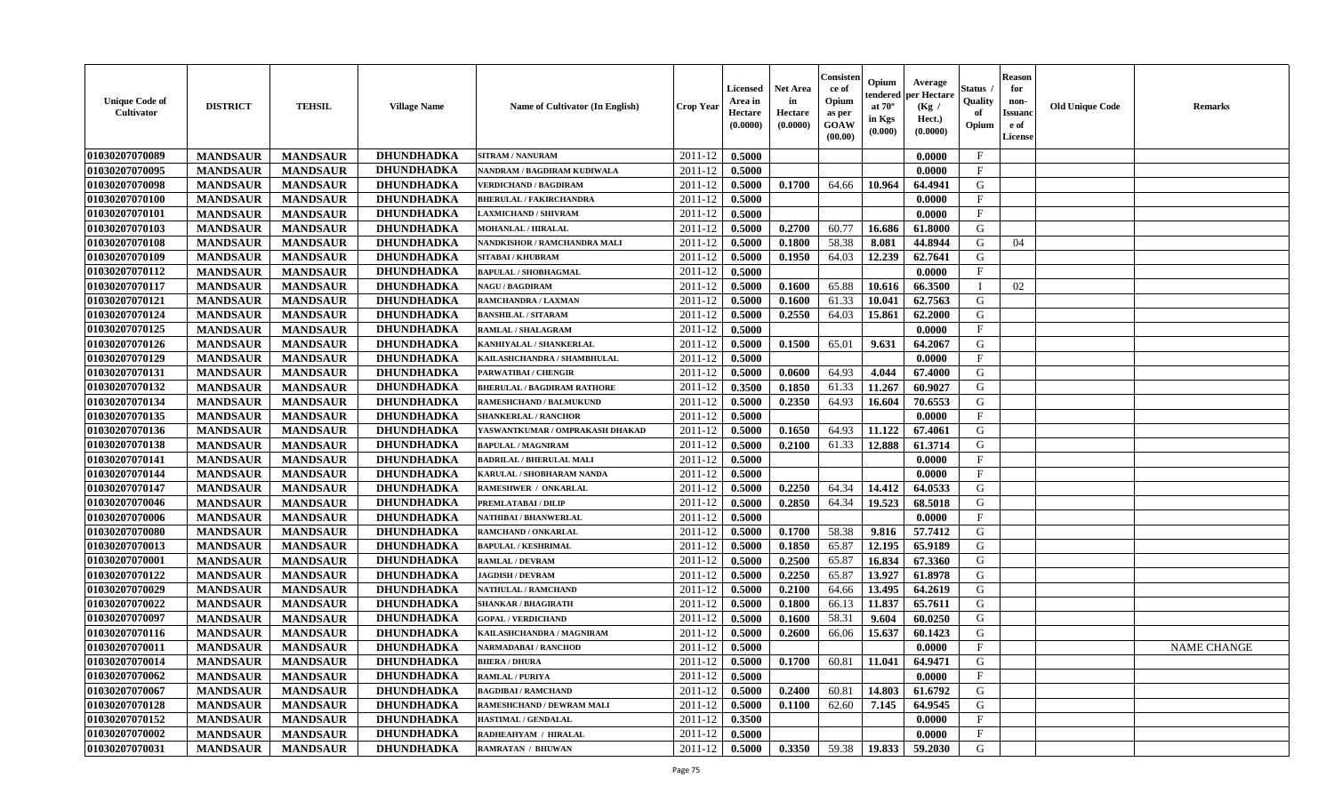| <b>Unique Code of</b><br>Cultivator | <b>DISTRICT</b> | <b>TEHSIL</b>   | <b>Village Name</b> | Name of Cultivator (In English)    | <b>Crop Year</b> | <b>Licensed</b><br>Area in<br>Hectare<br>(0.0000) | <b>Net Area</b><br>in<br>Hectare<br>(0.0000) | Consister<br>ce of<br>Opium<br>as per<br>GOAW<br>(00.00) | Opium<br>endered<br>at $70^\circ$<br>in Kgs<br>(0.000) | Average<br>per Hectare<br>(Kg /<br>Hect.)<br>(0.0000) | <b>Status</b><br>Quality<br>of<br>Opium | <b>Reason</b><br>for<br>non-<br><b>Issuanc</b><br>e of<br>License | <b>Old Unique Code</b> | <b>Remarks</b>     |
|-------------------------------------|-----------------|-----------------|---------------------|------------------------------------|------------------|---------------------------------------------------|----------------------------------------------|----------------------------------------------------------|--------------------------------------------------------|-------------------------------------------------------|-----------------------------------------|-------------------------------------------------------------------|------------------------|--------------------|
| 01030207070089                      | <b>MANDSAUR</b> | <b>MANDSAUR</b> | DHUNDHADKA          | <b>SITRAM / NANURAM</b>            | 2011-12          | 0.5000                                            |                                              |                                                          |                                                        | 0.0000                                                | $\mathbf F$                             |                                                                   |                        |                    |
| 01030207070095                      | <b>MANDSAUR</b> | <b>MANDSAUR</b> | <b>DHUNDHADKA</b>   | NANDRAM / BAGDIRAM KUDIWALA        | 2011-12          | 0.5000                                            |                                              |                                                          |                                                        | 0.0000                                                | $\mathbf{F}$                            |                                                                   |                        |                    |
| 01030207070098                      | <b>MANDSAUR</b> | <b>MANDSAUR</b> | <b>DHUNDHADKA</b>   | <b>VERDICHAND / BAGDIRAM</b>       | 2011-12          | 0.5000                                            | 0.1700                                       | 64.66                                                    | 10.964                                                 | 64.4941                                               | G                                       |                                                                   |                        |                    |
| 01030207070100                      | <b>MANDSAUR</b> | <b>MANDSAUR</b> | <b>DHUNDHADKA</b>   | <b>BHERULAL / FAKIRCHANDRA</b>     | 2011-12          | 0.5000                                            |                                              |                                                          |                                                        | 0.0000                                                | $\mathbf{F}$                            |                                                                   |                        |                    |
| 01030207070101                      | <b>MANDSAUR</b> | <b>MANDSAUR</b> | <b>DHUNDHADKA</b>   | <b>LAXMICHAND / SHIVRAM</b>        | 2011-12          | 0.5000                                            |                                              |                                                          |                                                        | 0.0000                                                | $\mathbf F$                             |                                                                   |                        |                    |
| 01030207070103                      | <b>MANDSAUR</b> | <b>MANDSAUR</b> | <b>DHUNDHADKA</b>   | <b>MOHANLAL / HIRALAL</b>          | 2011-12          | 0.5000                                            | 0.2700                                       | 60.77                                                    | 16.686                                                 | 61.8000                                               | G                                       |                                                                   |                        |                    |
| 01030207070108                      | <b>MANDSAUR</b> | <b>MANDSAUR</b> | <b>DHUNDHADKA</b>   | NANDKISHOR / RAMCHANDRA MALI       | 2011-12          | 0.5000                                            | 0.1800                                       | 58.38                                                    | 8.081                                                  | 44.8944                                               | G                                       | 04                                                                |                        |                    |
| 01030207070109                      | <b>MANDSAUR</b> | <b>MANDSAUR</b> | DHUNDHADKA          | SITABAI / KHUBRAM                  | 2011-12          | 0.5000                                            | 0.1950                                       | 64.03                                                    | 12.239                                                 | 62.7641                                               | G                                       |                                                                   |                        |                    |
| 01030207070112                      | <b>MANDSAUR</b> | <b>MANDSAUR</b> | <b>DHUNDHADKA</b>   | <b>BAPULAL / SHOBHAGMAL</b>        | 2011-12          | 0.5000                                            |                                              |                                                          |                                                        | 0.0000                                                | F                                       |                                                                   |                        |                    |
| 01030207070117                      | <b>MANDSAUR</b> | <b>MANDSAUR</b> | <b>DHUNDHADKA</b>   | <b>NAGU / BAGDIRAM</b>             | 2011-12          | 0.5000                                            | 0.1600                                       | 65.88                                                    | 10.616                                                 | 66.3500                                               |                                         | 02                                                                |                        |                    |
| 01030207070121                      | <b>MANDSAUR</b> | <b>MANDSAUR</b> | <b>DHUNDHADKA</b>   | RAMCHANDRA / LAXMAN                | 2011-12          | 0.5000                                            | 0.1600                                       | 61.33                                                    | 10.041                                                 | 62.7563                                               | G                                       |                                                                   |                        |                    |
| 01030207070124                      | <b>MANDSAUR</b> | <b>MANDSAUR</b> | <b>DHUNDHADKA</b>   | <b>BANSHILAL / SITARAM</b>         | 2011-12          | 0.5000                                            | 0.2550                                       | 64.03                                                    | 15.861                                                 | 62.2000                                               | G                                       |                                                                   |                        |                    |
| 01030207070125                      | <b>MANDSAUR</b> | <b>MANDSAUR</b> | DHUNDHADKA          | RAMLAL / SHALAGRAM                 | 2011-12          | 0.5000                                            |                                              |                                                          |                                                        | 0.0000                                                | $\mathbf{F}$                            |                                                                   |                        |                    |
| 01030207070126                      | <b>MANDSAUR</b> | <b>MANDSAUR</b> | <b>DHUNDHADKA</b>   | KANHIYALAL / SHANKERLAL            | 2011-12          | 0.5000                                            | 0.1500                                       | 65.01                                                    | 9.631                                                  | 64.2067                                               | G                                       |                                                                   |                        |                    |
| 01030207070129                      | <b>MANDSAUR</b> | <b>MANDSAUR</b> | <b>DHUNDHADKA</b>   | KAILASHCHANDRA / SHAMBHULAL        | 2011-12          | 0.5000                                            |                                              |                                                          |                                                        | 0.0000                                                | $\mathbf{F}$                            |                                                                   |                        |                    |
| 01030207070131                      | <b>MANDSAUR</b> | <b>MANDSAUR</b> | DHUNDHADKA          | PARWATIBAI / CHENGIR               | 2011-12          | 0.5000                                            | 0.0600                                       | 64.93                                                    | 4.044                                                  | 67.4000                                               | G                                       |                                                                   |                        |                    |
| 01030207070132                      | <b>MANDSAUR</b> | <b>MANDSAUR</b> | DHUNDHADKA          | <b>BHERULAL / BAGDIRAM RATHORE</b> | 2011-12          | 0.3500                                            | 0.1850                                       | 61.33                                                    | 11.267                                                 | 60.9027                                               | G                                       |                                                                   |                        |                    |
| 01030207070134                      | <b>MANDSAUR</b> | <b>MANDSAUR</b> | <b>DHUNDHADKA</b>   | <b>RAMESHCHAND / BALMUKUND</b>     | 2011-12          | 0.5000                                            | 0.2350                                       | 64.93                                                    | 16.604                                                 | 70.6553                                               | G                                       |                                                                   |                        |                    |
| 01030207070135                      | <b>MANDSAUR</b> | <b>MANDSAUR</b> | <b>DHUNDHADKA</b>   | <b>SHANKERLAL / RANCHOR</b>        | 2011-12          | 0.5000                                            |                                              |                                                          |                                                        | 0.0000                                                | $\mathbf{F}$                            |                                                                   |                        |                    |
| 01030207070136                      | <b>MANDSAUR</b> | <b>MANDSAUR</b> | <b>DHUNDHADKA</b>   | YASWANTKUMAR / OMPRAKASH DHAKAD    | 2011-12          | 0.5000                                            | 0.1650                                       | 64.93                                                    | 11.122                                                 | 67.4061                                               | G                                       |                                                                   |                        |                    |
| 01030207070138                      | <b>MANDSAUR</b> | <b>MANDSAUR</b> | DHUNDHADKA          | <b>BAPULAL / MAGNIRAM</b>          | 2011-12          | 0.5000                                            | 0.2100                                       | 61.33                                                    | 12.888                                                 | 61.3714                                               | G                                       |                                                                   |                        |                    |
| 01030207070141                      | <b>MANDSAUR</b> | <b>MANDSAUR</b> | <b>DHUNDHADKA</b>   | <b>BADRILAL / BHERULAL MALI</b>    | 2011-12          | 0.5000                                            |                                              |                                                          |                                                        | 0.0000                                                | $\mathbf{F}$                            |                                                                   |                        |                    |
| 01030207070144                      | <b>MANDSAUR</b> | <b>MANDSAUR</b> | <b>DHUNDHADKA</b>   | KARULAL / SHOBHARAM NANDA          | 2011-12          | 0.5000                                            |                                              |                                                          |                                                        | 0.0000                                                | $\mathbf F$                             |                                                                   |                        |                    |
| 01030207070147                      | <b>MANDSAUR</b> | <b>MANDSAUR</b> | <b>DHUNDHADKA</b>   | RAMESHWER / ONKARLAL               | 2011-12          | 0.5000                                            | 0.2250                                       | 64.34                                                    | 14.412                                                 | 64.0533                                               | G                                       |                                                                   |                        |                    |
| 01030207070046                      | <b>MANDSAUR</b> | <b>MANDSAUR</b> | <b>DHUNDHADKA</b>   | PREMLATABAI / DILIP                | 2011-12          | 0.5000                                            | 0.2850                                       | 64.34                                                    | 19.523                                                 | 68.5018                                               | G                                       |                                                                   |                        |                    |
| 01030207070006                      | <b>MANDSAUR</b> | <b>MANDSAUR</b> | <b>DHUNDHADKA</b>   | NATHIBAI / BHANWERLAL              | 2011-12          | 0.5000                                            |                                              |                                                          |                                                        | 0.0000                                                | $\mathbf{F}$                            |                                                                   |                        |                    |
| 01030207070080                      | <b>MANDSAUR</b> | <b>MANDSAUR</b> | <b>DHUNDHADKA</b>   | RAMCHAND / ONKARLAL                | 2011-12          | 0.5000                                            | 0.1700                                       | 58.38                                                    | 9.816                                                  | 57.7412                                               | G                                       |                                                                   |                        |                    |
| 01030207070013                      | <b>MANDSAUR</b> | <b>MANDSAUR</b> | <b>DHUNDHADKA</b>   | <b>BAPULAL / KESHRIMAL</b>         | 2011-12          | 0.5000                                            | 0.1850                                       | 65.87                                                    | 12.195                                                 | 65.9189                                               | G                                       |                                                                   |                        |                    |
| 01030207070001                      | <b>MANDSAUR</b> | <b>MANDSAUR</b> | DHUNDHADKA          | <b>RAMLAL / DEVRAM</b>             | 2011-12          | 0.5000                                            | 0.2500                                       | 65.87                                                    | 16.834                                                 | 67.3360                                               | G                                       |                                                                   |                        |                    |
| 01030207070122                      | <b>MANDSAUR</b> | <b>MANDSAUR</b> | <b>DHUNDHADKA</b>   | <b>JAGDISH / DEVRAM</b>            | 2011-12          | 0.5000                                            | 0.2250                                       | 65.87                                                    | 13.927                                                 | 61.8978                                               | G                                       |                                                                   |                        |                    |
| 01030207070029                      | <b>MANDSAUR</b> | <b>MANDSAUR</b> | <b>DHUNDHADKA</b>   | <b>NATHULAL / RAMCHAND</b>         | 2011-12          | 0.5000                                            | 0.2100                                       | 64.66                                                    | 13.495                                                 | 64.2619                                               | G                                       |                                                                   |                        |                    |
| 01030207070022                      | <b>MANDSAUR</b> | <b>MANDSAUR</b> | <b>DHUNDHADKA</b>   | <b>SHANKAR / BHAGIRATH</b>         | 2011-12          | 0.5000                                            | 0.1800                                       | 66.13                                                    | 11.837                                                 | 65.7611                                               | G                                       |                                                                   |                        |                    |
| 01030207070097                      | <b>MANDSAUR</b> | <b>MANDSAUR</b> | <b>DHUNDHADKA</b>   | <b>GOPAL / VERDICHAND</b>          | 2011-12          | 0.5000                                            | 0.1600                                       | 58.31                                                    | 9.604                                                  | 60.0250                                               | G                                       |                                                                   |                        |                    |
| 01030207070116                      | <b>MANDSAUR</b> | <b>MANDSAUR</b> | <b>DHUNDHADKA</b>   | KAILASHCHANDRA / MAGNIRAM          | 2011-12          | 0.5000                                            | 0.2600                                       | 66.06                                                    | 15.637                                                 | 60.1423                                               | G                                       |                                                                   |                        |                    |
| 01030207070011                      | <b>MANDSAUR</b> | <b>MANDSAUR</b> | <b>DHUNDHADKA</b>   | NARMADABAI / RANCHOD               | 2011-12          | 0.5000                                            |                                              |                                                          |                                                        | 0.0000                                                | $\mathbf{F}$                            |                                                                   |                        | <b>NAME CHANGE</b> |
| 01030207070014                      | <b>MANDSAUR</b> | MANDSAUR        | <b>DHUNDHADKA</b>   | <b>BHERA / DHURA</b>               | $2011-12$ 0.5000 |                                                   | 0.1700                                       |                                                          |                                                        | $60.81$   11.041   64.9471                            | G                                       |                                                                   |                        |                    |
| 01030207070062                      | <b>MANDSAUR</b> | <b>MANDSAUR</b> | <b>DHUNDHADKA</b>   | <b>RAMLAL / PURIYA</b>             | 2011-12          | 0.5000                                            |                                              |                                                          |                                                        | 0.0000                                                | $\mathbf{F}$                            |                                                                   |                        |                    |
| 01030207070067                      | <b>MANDSAUR</b> | <b>MANDSAUR</b> | DHUNDHADKA          | <b>BAGDIBAI/RAMCHAND</b>           | 2011-12          | 0.5000                                            | 0.2400                                       | 60.81                                                    | 14.803                                                 | 61.6792                                               | G                                       |                                                                   |                        |                    |
| 01030207070128                      | <b>MANDSAUR</b> | <b>MANDSAUR</b> | <b>DHUNDHADKA</b>   | RAMESHCHAND / DEWRAM MALI          | 2011-12          | 0.5000                                            | 0.1100                                       | 62.60                                                    | 7.145                                                  | 64.9545                                               | G                                       |                                                                   |                        |                    |
| 01030207070152                      | <b>MANDSAUR</b> | <b>MANDSAUR</b> | DHUNDHADKA          | HASTIMAL / GENDALAL                | 2011-12          | 0.3500                                            |                                              |                                                          |                                                        | 0.0000                                                | $\mathbf{F}$                            |                                                                   |                        |                    |
| 01030207070002                      | <b>MANDSAUR</b> | <b>MANDSAUR</b> | <b>DHUNDHADKA</b>   | RADHEAHYAM / HIRALAL               | 2011-12          | 0.5000                                            |                                              |                                                          |                                                        | 0.0000                                                | $\mathbf{F}$                            |                                                                   |                        |                    |
| 01030207070031                      | <b>MANDSAUR</b> | <b>MANDSAUR</b> | <b>DHUNDHADKA</b>   | <b>RAMRATAN / BHUWAN</b>           | 2011-12          | $\boldsymbol{0.5000}$                             | 0.3350                                       | 59.38                                                    | 19.833                                                 | 59.2030                                               | G                                       |                                                                   |                        |                    |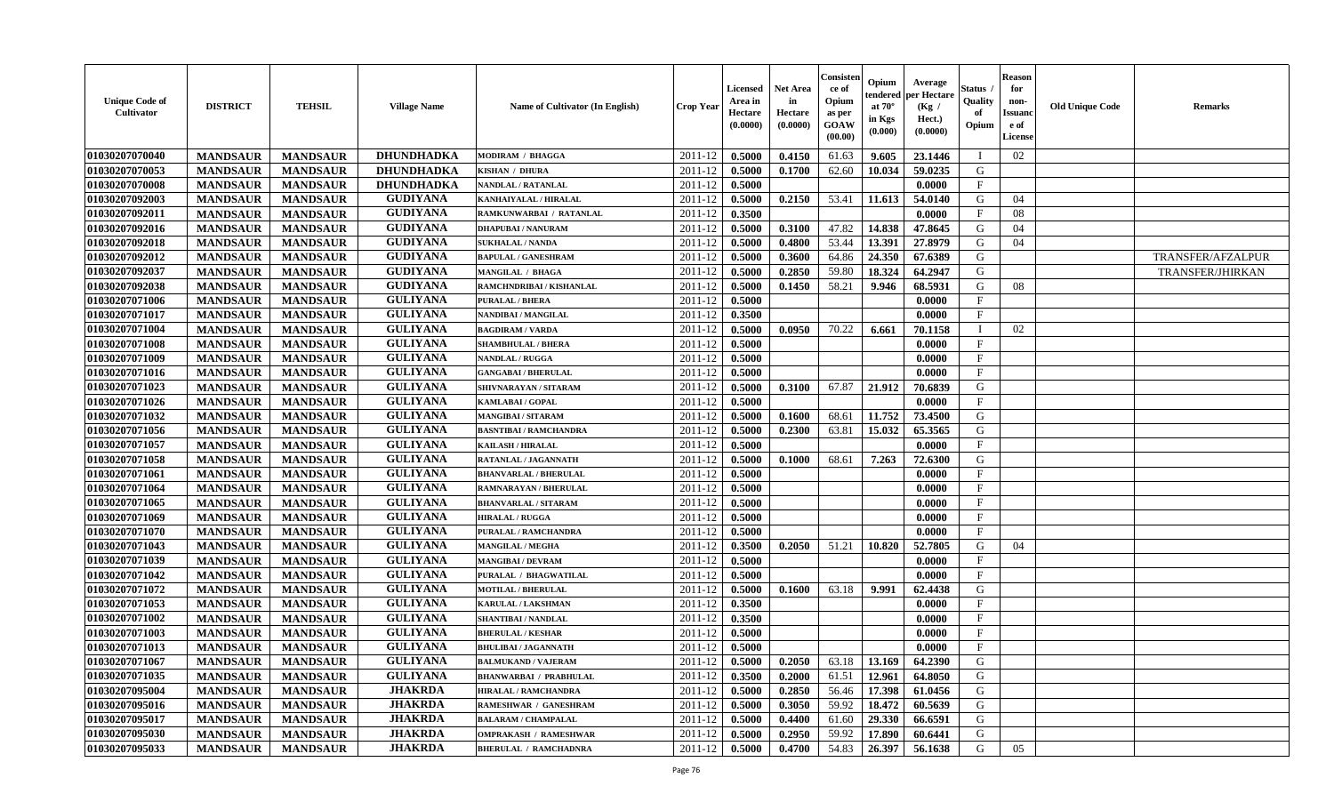| <b>Unique Code of</b><br><b>Cultivator</b> | <b>DISTRICT</b> | <b>TEHSIL</b>   | <b>Village Name</b> | Name of Cultivator (In English) | <b>Crop Year</b> | <b>Licensed</b><br>Area in<br>Hectare<br>(0.0000) | <b>Net Area</b><br>in<br>Hectare<br>(0.0000) | Consister<br>ce of<br>Opium<br>as per<br><b>GOAW</b><br>(00.00) | Opium<br>endered<br>at $70^\circ$<br>in Kgs<br>(0.000) | Average<br>per Hectare<br>(Kg /<br>Hect.)<br>(0.0000) | Status<br>Quality<br>of<br>Opium | <b>Reason</b><br>for<br>non-<br><b>Issuand</b><br>e of<br><b>License</b> | <b>Old Unique Code</b> | <b>Remarks</b>    |
|--------------------------------------------|-----------------|-----------------|---------------------|---------------------------------|------------------|---------------------------------------------------|----------------------------------------------|-----------------------------------------------------------------|--------------------------------------------------------|-------------------------------------------------------|----------------------------------|--------------------------------------------------------------------------|------------------------|-------------------|
| 01030207070040                             | <b>MANDSAUR</b> | <b>MANDSAUR</b> | <b>DHUNDHADKA</b>   | <b>MODIRAM / BHAGGA</b>         | 2011-12          | 0.5000                                            | 0.4150                                       | 61.63                                                           | 9.605                                                  | 23.1446                                               | $\blacksquare$                   | 02                                                                       |                        |                   |
| 01030207070053                             | <b>MANDSAUR</b> | <b>MANDSAUR</b> | <b>DHUNDHADKA</b>   | KISHAN / DHURA                  | 2011-12          | 0.5000                                            | 0.1700                                       | 62.60                                                           | 10.034                                                 | 59.0235                                               | G                                |                                                                          |                        |                   |
| 01030207070008                             | <b>MANDSAUR</b> | <b>MANDSAUR</b> | <b>DHUNDHADKA</b>   | NANDLAL / RATANLAL              | 2011-12          | 0.5000                                            |                                              |                                                                 |                                                        | 0.0000                                                | $\mathbf{F}$                     |                                                                          |                        |                   |
| 01030207092003                             | <b>MANDSAUR</b> | <b>MANDSAUR</b> | <b>GUDIYANA</b>     | KANHAIYALAL / HIRALAL           | 2011-12          | 0.5000                                            | 0.2150                                       | 53.41                                                           | 11.613                                                 | 54.0140                                               | G                                | 04                                                                       |                        |                   |
| 01030207092011                             | <b>MANDSAUR</b> | <b>MANDSAUR</b> | <b>GUDIYANA</b>     | RAMKUNWARBAI / RATANLAL         | 2011-12          | 0.3500                                            |                                              |                                                                 |                                                        | 0.0000                                                | $\mathbf{F}$                     | 08                                                                       |                        |                   |
| 01030207092016                             | <b>MANDSAUR</b> | <b>MANDSAUR</b> | <b>GUDIYANA</b>     | <b>DHAPUBAI/NANURAM</b>         | 2011-12          | 0.5000                                            | 0.3100                                       | 47.82                                                           | 14.838                                                 | 47.8645                                               | G                                | 04                                                                       |                        |                   |
| 01030207092018                             | <b>MANDSAUR</b> | <b>MANDSAUR</b> | <b>GUDIYANA</b>     | <b>SUKHALAL / NANDA</b>         | 2011-12          | 0.5000                                            | 0.4800                                       | 53.44                                                           | 13.391                                                 | 27.8979                                               | G                                | 04                                                                       |                        |                   |
| 01030207092012                             | <b>MANDSAUR</b> | <b>MANDSAUR</b> | <b>GUDIYANA</b>     | <b>BAPULAL / GANESHRAM</b>      | 2011-12          | 0.5000                                            | 0.3600                                       | 64.86                                                           | 24.350                                                 | 67.6389                                               | G                                |                                                                          |                        | TRANSFER/AFZALPUR |
| 01030207092037                             | <b>MANDSAUR</b> | <b>MANDSAUR</b> | <b>GUDIYANA</b>     | MANGILAL / BHAGA                | 2011-12          | 0.5000                                            | 0.2850                                       | 59.80                                                           | 18.324                                                 | 64.2947                                               | G                                |                                                                          |                        | TRANSFER/JHIRKAN  |
| 01030207092038                             | <b>MANDSAUR</b> | <b>MANDSAUR</b> | <b>GUDIYANA</b>     | RAMCHNDRIBAI / KISHANLAL        | 2011-12          | 0.5000                                            | 0.1450                                       | 58.21                                                           | 9.946                                                  | 68.5931                                               | G                                | 08                                                                       |                        |                   |
| 01030207071006                             | <b>MANDSAUR</b> | <b>MANDSAUR</b> | <b>GULIYANA</b>     | <b>PURALAL / BHERA</b>          | 2011-12          | 0.5000                                            |                                              |                                                                 |                                                        | 0.0000                                                | F                                |                                                                          |                        |                   |
| 01030207071017                             | <b>MANDSAUR</b> | <b>MANDSAUR</b> | <b>GULIYANA</b>     | <b>NANDIBAI / MANGILAL</b>      | 2011-12          | 0.3500                                            |                                              |                                                                 |                                                        | 0.0000                                                | $\mathbf{F}$                     |                                                                          |                        |                   |
| 01030207071004                             | <b>MANDSAUR</b> | <b>MANDSAUR</b> | <b>GULIYANA</b>     | <b>BAGDIRAM / VARDA</b>         | 2011-12          | 0.5000                                            | 0.0950                                       | 70.22                                                           | 6.661                                                  | 70.1158                                               | $\mathbf{I}$                     | 02                                                                       |                        |                   |
| 01030207071008                             | <b>MANDSAUR</b> | <b>MANDSAUR</b> | <b>GULIYANA</b>     | <b>SHAMBHULAL / BHERA</b>       | 2011-12          | 0.5000                                            |                                              |                                                                 |                                                        | 0.0000                                                | $\mathbf{F}$                     |                                                                          |                        |                   |
| 01030207071009                             | <b>MANDSAUR</b> | <b>MANDSAUR</b> | <b>GULIYANA</b>     | NANDLAL / RUGGA                 | 2011-12          | 0.5000                                            |                                              |                                                                 |                                                        | 0.0000                                                | $\mathbf{F}$                     |                                                                          |                        |                   |
| 01030207071016                             | <b>MANDSAUR</b> | <b>MANDSAUR</b> | <b>GULIYANA</b>     | <b>GANGABAI / BHERULAL</b>      | 2011-12          | 0.5000                                            |                                              |                                                                 |                                                        | 0.0000                                                | $\rm F$                          |                                                                          |                        |                   |
| 01030207071023                             | <b>MANDSAUR</b> | <b>MANDSAUR</b> | <b>GULIYANA</b>     | SHIVNARAYAN / SITARAM           | 2011-12          | 0.5000                                            | 0.3100                                       | 67.87                                                           | 21.912                                                 | 70.6839                                               | G                                |                                                                          |                        |                   |
| 01030207071026                             | <b>MANDSAUR</b> | <b>MANDSAUR</b> | <b>GULIYANA</b>     | <b>KAMLABAI/GOPAL</b>           | 2011-12          | 0.5000                                            |                                              |                                                                 |                                                        | 0.0000                                                | $\mathbf{F}$                     |                                                                          |                        |                   |
| 01030207071032                             | <b>MANDSAUR</b> | <b>MANDSAUR</b> | <b>GULIYANA</b>     | <b>MANGIBAI/SITARAM</b>         | 2011-12          | 0.5000                                            | 0.1600                                       | 68.61                                                           | 11.752                                                 | 73.4500                                               | G                                |                                                                          |                        |                   |
| 01030207071056                             | <b>MANDSAUR</b> | <b>MANDSAUR</b> | <b>GULIYANA</b>     | <b>BASNTIBAI / RAMCHANDRA</b>   | 2011-12          | 0.5000                                            | 0.2300                                       | 63.81                                                           | 15.032                                                 | 65.3565                                               | G                                |                                                                          |                        |                   |
| 01030207071057                             | <b>MANDSAUR</b> | <b>MANDSAUR</b> | <b>GULIYANA</b>     | <b>KAILASH / HIRALAL</b>        | 2011-12          | 0.5000                                            |                                              |                                                                 |                                                        | 0.0000                                                | $\mathbf{F}$                     |                                                                          |                        |                   |
| 01030207071058                             | <b>MANDSAUR</b> | <b>MANDSAUR</b> | <b>GULIYANA</b>     | <b>RATANLAL / JAGANNATH</b>     | 2011-12          | 0.5000                                            | 0.1000                                       | 68.61                                                           | 7.263                                                  | 72.6300                                               | G                                |                                                                          |                        |                   |
| 01030207071061                             | <b>MANDSAUR</b> | <b>MANDSAUR</b> | <b>GULIYANA</b>     | <b>BHANVARLAL / BHERULAL</b>    | 2011-12          | 0.5000                                            |                                              |                                                                 |                                                        | 0.0000                                                | $\mathbf{F}$                     |                                                                          |                        |                   |
| 01030207071064                             | <b>MANDSAUR</b> | <b>MANDSAUR</b> | <b>GULIYANA</b>     | RAMNARAYAN / BHERULAL           | 2011-12          | 0.5000                                            |                                              |                                                                 |                                                        | 0.0000                                                | $\mathbf{F}$                     |                                                                          |                        |                   |
| 01030207071065                             | <b>MANDSAUR</b> | <b>MANDSAUR</b> | <b>GULIYANA</b>     | <b>BHANVARLAL / SITARAM</b>     | 2011-12          | 0.5000                                            |                                              |                                                                 |                                                        | 0.0000                                                | $\mathbf{F}$                     |                                                                          |                        |                   |
| 01030207071069                             | <b>MANDSAUR</b> | <b>MANDSAUR</b> | <b>GULIYANA</b>     | <b>HIRALAL / RUGGA</b>          | 2011-12          | 0.5000                                            |                                              |                                                                 |                                                        | 0.0000                                                | $\mathbf{F}$                     |                                                                          |                        |                   |
| 01030207071070                             | <b>MANDSAUR</b> | <b>MANDSAUR</b> | <b>GULIYANA</b>     | PURALAL / RAMCHANDRA            | 2011-12          | 0.5000                                            |                                              |                                                                 |                                                        | 0.0000                                                | $\mathbf{F}$                     |                                                                          |                        |                   |
| 01030207071043                             | <b>MANDSAUR</b> | <b>MANDSAUR</b> | <b>GULIYANA</b>     | <b>MANGILAL / MEGHA</b>         | 2011-12          | 0.3500                                            | 0.2050                                       | 51.21                                                           | 10.820                                                 | 52.7805                                               | G                                | 04                                                                       |                        |                   |
| 01030207071039                             | <b>MANDSAUR</b> | <b>MANDSAUR</b> | <b>GULIYANA</b>     | <b>MANGIBAI/DEVRAM</b>          | 2011-12          | 0.5000                                            |                                              |                                                                 |                                                        | 0.0000                                                | $\rm F$                          |                                                                          |                        |                   |
| 01030207071042                             | <b>MANDSAUR</b> | <b>MANDSAUR</b> | <b>GULIYANA</b>     | PURALAL / BHAGWATILAL           | 2011-12          | 0.5000                                            |                                              |                                                                 |                                                        | 0.0000                                                | $\mathbf{F}$                     |                                                                          |                        |                   |
| 01030207071072                             | <b>MANDSAUR</b> | <b>MANDSAUR</b> | <b>GULIYANA</b>     | <b>MOTILAL / BHERULAL</b>       | 2011-12          | 0.5000                                            | 0.1600                                       | 63.18                                                           | 9.991                                                  | 62.4438                                               | G                                |                                                                          |                        |                   |
| 01030207071053                             | <b>MANDSAUR</b> | <b>MANDSAUR</b> | <b>GULIYANA</b>     | <b>KARULAL / LAKSHMAN</b>       | 2011-12          | 0.3500                                            |                                              |                                                                 |                                                        | 0.0000                                                | $\mathbf F$                      |                                                                          |                        |                   |
| 01030207071002                             | <b>MANDSAUR</b> | <b>MANDSAUR</b> | <b>GULIYANA</b>     | <b>SHANTIBAI / NANDLAL</b>      | 2011-12          | 0.3500                                            |                                              |                                                                 |                                                        | 0.0000                                                | $\mathbf{F}$                     |                                                                          |                        |                   |
| 01030207071003                             | <b>MANDSAUR</b> | <b>MANDSAUR</b> | <b>GULIYANA</b>     | <b>BHERULAL / KESHAR</b>        | 2011-12          | 0.5000                                            |                                              |                                                                 |                                                        | 0.0000                                                | $\mathbf{F}$                     |                                                                          |                        |                   |
| 01030207071013                             | <b>MANDSAUR</b> | <b>MANDSAUR</b> | <b>GULIYANA</b>     | <b>BHULIBAI / JAGANNATH</b>     | 2011-12          | 0.5000                                            |                                              |                                                                 |                                                        | 0.0000                                                | $\mathbf{F}$                     |                                                                          |                        |                   |
| 01030207071067                             | <b>MANDSAUR</b> | <b>MANDSAUR</b> | <b>GULIYANA</b>     | <b>BALMUKAND / VAJERAM</b>      | 2011-12          | 0.5000                                            | 0.2050                                       | 63.18                                                           | 13.169                                                 | 64.2390                                               | G                                |                                                                          |                        |                   |
| 01030207071035                             | <b>MANDSAUR</b> | <b>MANDSAUR</b> | <b>GULIYANA</b>     | <b>BHANWARBAI / PRABHULAL</b>   | 2011-12          | 0.3500                                            | 0.2000                                       | 61.51                                                           | 12.961                                                 | 64.8050                                               | G                                |                                                                          |                        |                   |
| 01030207095004                             | <b>MANDSAUR</b> | <b>MANDSAUR</b> | <b>JHAKRDA</b>      | <b>HIRALAL / RAMCHANDRA</b>     | 2011-12          | 0.5000                                            | 0.2850                                       | 56.46                                                           | 17.398                                                 | 61.0456                                               | G                                |                                                                          |                        |                   |
| 01030207095016                             | <b>MANDSAUR</b> | <b>MANDSAUR</b> | <b>JHAKRDA</b>      | <b>RAMESHWAR / GANESHRAM</b>    | 2011-12          | 0.5000                                            | 0.3050                                       | 59.92                                                           | 18.472                                                 | 60.5639                                               | G                                |                                                                          |                        |                   |
| 01030207095017                             | <b>MANDSAUR</b> | <b>MANDSAUR</b> | <b>JHAKRDA</b>      | <b>BALARAM / CHAMPALAL</b>      | 2011-12          | 0.5000                                            | 0.4400                                       | 61.60                                                           | 29.330                                                 | 66.6591                                               | $\mathbf G$                      |                                                                          |                        |                   |
| 01030207095030                             | <b>MANDSAUR</b> | <b>MANDSAUR</b> | <b>JHAKRDA</b>      | <b>OMPRAKASH / RAMESHWAR</b>    | 2011-12          | 0.5000                                            | 0.2950                                       | 59.92                                                           | 17.890                                                 | 60.6441                                               | G                                |                                                                          |                        |                   |
| 01030207095033                             | <b>MANDSAUR</b> | <b>MANDSAUR</b> | <b>JHAKRDA</b>      | <b>BHERULAL / RAMCHADNRA</b>    | 2011-12          | 0.5000                                            | 0.4700                                       | 54.83                                                           | 26.397                                                 | 56.1638                                               | G                                | 05                                                                       |                        |                   |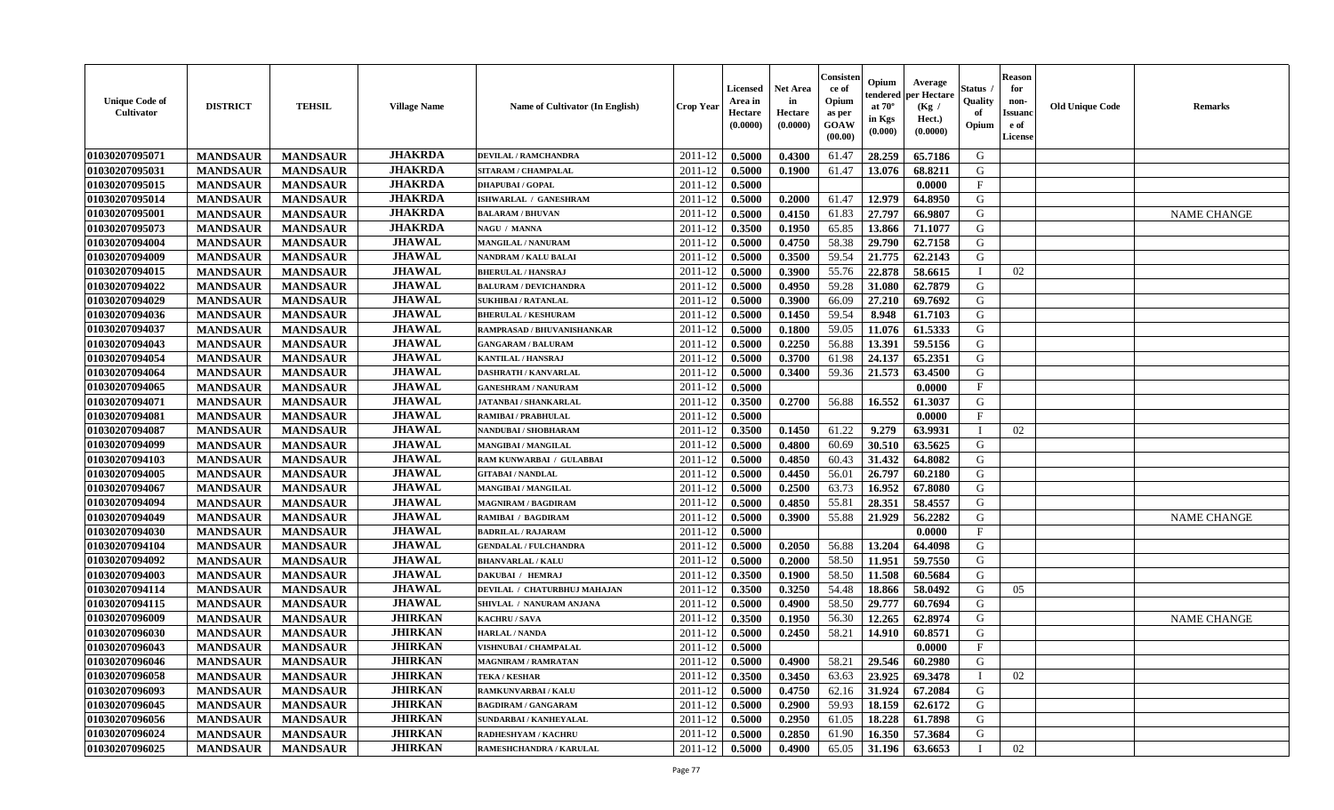| <b>Unique Code of</b><br><b>Cultivator</b> | <b>DISTRICT</b> | <b>TEHSIL</b>   | <b>Village Name</b> | Name of Cultivator (In English) | <b>Crop Year</b> | <b>Licensed</b><br>Area in<br>Hectare<br>(0.0000) | <b>Net Area</b><br>in<br>Hectare<br>(0.0000) | Consister<br>ce of<br>Opium<br>as per<br>GOAW<br>(00.00) | Opium<br>endered<br>at $70^\circ$<br>in Kgs<br>(0.000) | Average<br>per Hectare<br>(Kg /<br>Hect.)<br>(0.0000) | <b>Status</b><br>Quality<br>of<br>Opium | <b>Reason</b><br>for<br>non-<br><b>Issuand</b><br>e of<br>License | <b>Old Unique Code</b> | <b>Remarks</b>     |
|--------------------------------------------|-----------------|-----------------|---------------------|---------------------------------|------------------|---------------------------------------------------|----------------------------------------------|----------------------------------------------------------|--------------------------------------------------------|-------------------------------------------------------|-----------------------------------------|-------------------------------------------------------------------|------------------------|--------------------|
| 01030207095071                             | <b>MANDSAUR</b> | <b>MANDSAUR</b> | <b>JHAKRDA</b>      | DEVILAL / RAMCHANDRA            | 2011-12          | 0.5000                                            | 0.4300                                       | 61.47                                                    | 28.259                                                 | 65.7186                                               | G                                       |                                                                   |                        |                    |
| 01030207095031                             | <b>MANDSAUR</b> | <b>MANDSAUR</b> | <b>JHAKRDA</b>      | SITARAM / CHAMPALAL             | 2011-12          | 0.5000                                            | 0.1900                                       | 61.47                                                    | 13.076                                                 | 68.8211                                               | G                                       |                                                                   |                        |                    |
| 01030207095015                             | <b>MANDSAUR</b> | <b>MANDSAUR</b> | <b>JHAKRDA</b>      | <b>DHAPUBAI/GOPAL</b>           | 2011-12          | 0.5000                                            |                                              |                                                          |                                                        | 0.0000                                                | $\mathbf{F}$                            |                                                                   |                        |                    |
| 01030207095014                             | <b>MANDSAUR</b> | <b>MANDSAUR</b> | <b>JHAKRDA</b>      | ISHWARLAL / GANESHRAM           | 2011-12          | 0.5000                                            | 0.2000                                       | 61.47                                                    | 12.979                                                 | 64.8950                                               | G                                       |                                                                   |                        |                    |
| 01030207095001                             | <b>MANDSAUR</b> | <b>MANDSAUR</b> | <b>JHAKRDA</b>      | <b>BALARAM / BHUVAN</b>         | 2011-12          | 0.5000                                            | 0.4150                                       | 61.83                                                    | 27.797                                                 | 66.9807                                               | G                                       |                                                                   |                        | <b>NAME CHANGE</b> |
| 01030207095073                             | <b>MANDSAUR</b> | <b>MANDSAUR</b> | <b>JHAKRDA</b>      | NAGU / MANNA                    | 2011-12          | 0.3500                                            | 0.1950                                       | 65.85                                                    | 13.866                                                 | 71.1077                                               | G                                       |                                                                   |                        |                    |
| 01030207094004                             | <b>MANDSAUR</b> | <b>MANDSAUR</b> | <b>JHAWAL</b>       | <b>MANGILAL / NANURAM</b>       | 2011-12          | 0.5000                                            | 0.4750                                       | 58.38                                                    | 29.790                                                 | 62.7158                                               | G                                       |                                                                   |                        |                    |
| 01030207094009                             | <b>MANDSAUR</b> | <b>MANDSAUR</b> | <b>JHAWAL</b>       | NANDRAM / KALU BALAI            | 2011-12          | 0.5000                                            | 0.3500                                       | 59.54                                                    | 21.775                                                 | 62.2143                                               | G                                       |                                                                   |                        |                    |
| 01030207094015                             | <b>MANDSAUR</b> | <b>MANDSAUR</b> | <b>JHAWAL</b>       | <b>BHERULAL / HANSRAJ</b>       | 2011-12          | 0.5000                                            | 0.3900                                       | 55.76                                                    | 22.878                                                 | 58.6615                                               | $\mathbf{I}$                            | 02                                                                |                        |                    |
| 01030207094022                             | <b>MANDSAUR</b> | <b>MANDSAUR</b> | <b>JHAWAL</b>       | <b>BALURAM / DEVICHANDRA</b>    | 2011-12          | 0.5000                                            | 0.4950                                       | 59.28                                                    | 31.080                                                 | 62.7879                                               | G                                       |                                                                   |                        |                    |
| 01030207094029                             | <b>MANDSAUR</b> | <b>MANDSAUR</b> | <b>JHAWAL</b>       | <b>SUKHIBAI / RATANLAL</b>      | 2011-12          | 0.5000                                            | 0.3900                                       | 66.09                                                    | 27.210                                                 | 69.7692                                               | G                                       |                                                                   |                        |                    |
| 01030207094036                             | <b>MANDSAUR</b> | <b>MANDSAUR</b> | <b>JHAWAL</b>       | <b>BHERULAL / KESHURAM</b>      | 2011-12          | 0.5000                                            | 0.1450                                       | 59.54                                                    | 8.948                                                  | 61.7103                                               | G                                       |                                                                   |                        |                    |
| 01030207094037                             | <b>MANDSAUR</b> | <b>MANDSAUR</b> | <b>JHAWAL</b>       | RAMPRASAD / BHUVANISHANKAR      | 2011-12          | 0.5000                                            | 0.1800                                       | 59.05                                                    | 11.076                                                 | 61.5333                                               | G                                       |                                                                   |                        |                    |
| 01030207094043                             | <b>MANDSAUR</b> | <b>MANDSAUR</b> | <b>JHAWAL</b>       | <b>GANGARAM / BALURAM</b>       | 2011-12          | 0.5000                                            | 0.2250                                       | 56.88                                                    | 13.391                                                 | 59.5156                                               | G                                       |                                                                   |                        |                    |
| 01030207094054                             | <b>MANDSAUR</b> | <b>MANDSAUR</b> | <b>JHAWAL</b>       | <b>KANTILAL / HANSRAJ</b>       | 2011-12          | 0.5000                                            | 0.3700                                       | 61.98                                                    | 24.137                                                 | 65.2351                                               | G                                       |                                                                   |                        |                    |
| 01030207094064                             | <b>MANDSAUR</b> | <b>MANDSAUR</b> | <b>JHAWAL</b>       | <b>DASHRATH / KANVARLAL</b>     | 2011-12          | 0.5000                                            | 0.3400                                       | 59.36                                                    | 21.573                                                 | 63.4500                                               | G                                       |                                                                   |                        |                    |
| 01030207094065                             | <b>MANDSAUR</b> | <b>MANDSAUR</b> | <b>JHAWAL</b>       | <b>GANESHRAM / NANURAM</b>      | 2011-12          | 0.5000                                            |                                              |                                                          |                                                        | 0.0000                                                | F                                       |                                                                   |                        |                    |
| 01030207094071                             | <b>MANDSAUR</b> | <b>MANDSAUR</b> | <b>JHAWAL</b>       | <b>JATANBAI / SHANKARLAL</b>    | 2011-12          | 0.3500                                            | 0.2700                                       | 56.88                                                    | 16.552                                                 | 61.3037                                               | G                                       |                                                                   |                        |                    |
| 01030207094081                             | <b>MANDSAUR</b> | <b>MANDSAUR</b> | <b>JHAWAL</b>       | <b>RAMIBAI / PRABHULAL</b>      | 2011-12          | 0.5000                                            |                                              |                                                          |                                                        | 0.0000                                                | F                                       |                                                                   |                        |                    |
| 01030207094087                             | <b>MANDSAUR</b> | <b>MANDSAUR</b> | <b>JHAWAL</b>       | NANDUBAI / SHOBHARAM            | 2011-12          | 0.3500                                            | 0.1450                                       | 61.22                                                    | 9.279                                                  | 63.9931                                               | $\mathbf{I}$                            | 02                                                                |                        |                    |
| 01030207094099                             | <b>MANDSAUR</b> | <b>MANDSAUR</b> | <b>JHAWAL</b>       | <b>MANGIBAI/MANGILAL</b>        | 2011-12          | 0.5000                                            | 0.4800                                       | 60.69                                                    | 30.510                                                 | 63.5625                                               | G                                       |                                                                   |                        |                    |
| 01030207094103                             | <b>MANDSAUR</b> | <b>MANDSAUR</b> | <b>JHAWAL</b>       | RAM KUNWARBAI / GULABBAI        | 2011-12          | 0.5000                                            | 0.4850                                       | 60.43                                                    | 31.432                                                 | 64.8082                                               | G                                       |                                                                   |                        |                    |
| 01030207094005                             | <b>MANDSAUR</b> | <b>MANDSAUR</b> | <b>JHAWAL</b>       | <b>GITABAI/NANDLAL</b>          | 2011-12          | 0.5000                                            | 0.4450                                       | 56.01                                                    | 26.797                                                 | 60.2180                                               | ${\bf G}$                               |                                                                   |                        |                    |
| 01030207094067                             | <b>MANDSAUR</b> | <b>MANDSAUR</b> | <b>JHAWAL</b>       | MANGIBAI / MANGILAL             | 2011-12          | 0.5000                                            | 0.2500                                       | 63.73                                                    | 16.952                                                 | 67.8080                                               | G                                       |                                                                   |                        |                    |
| 01030207094094                             | <b>MANDSAUR</b> | <b>MANDSAUR</b> | <b>JHAWAL</b>       | <b>MAGNIRAM / BAGDIRAM</b>      | 2011-12          | 0.5000                                            | 0.4850                                       | 55.81                                                    | 28.351                                                 | 58.4557                                               | G                                       |                                                                   |                        |                    |
| 01030207094049                             | <b>MANDSAUR</b> | <b>MANDSAUR</b> | <b>JHAWAL</b>       | RAMIBAI / BAGDIRAM              | 2011-12          | 0.5000                                            | 0.3900                                       | 55.88                                                    | 21.929                                                 | 56.2282                                               | G                                       |                                                                   |                        | <b>NAME CHANGE</b> |
| 01030207094030                             | <b>MANDSAUR</b> | <b>MANDSAUR</b> | <b>JHAWAL</b>       | <b>BADRILAL / RAJARAM</b>       | 2011-12          | 0.5000                                            |                                              |                                                          |                                                        | 0.0000                                                | $\mathbf{F}$                            |                                                                   |                        |                    |
| 01030207094104                             | <b>MANDSAUR</b> | <b>MANDSAUR</b> | <b>JHAWAL</b>       | <b>GENDALAL / FULCHANDRA</b>    | 2011-12          | 0.5000                                            | 0.2050                                       | 56.88                                                    | 13.204                                                 | 64.4098                                               | G                                       |                                                                   |                        |                    |
| 01030207094092                             | <b>MANDSAUR</b> | <b>MANDSAUR</b> | <b>JHAWAL</b>       | <b>BHANVARLAL / KALU</b>        | 2011-12          | 0.5000                                            | 0.2000                                       | 58.50                                                    | 11.951                                                 | 59.7550                                               | G                                       |                                                                   |                        |                    |
| 01030207094003                             | <b>MANDSAUR</b> | <b>MANDSAUR</b> | <b>JHAWAL</b>       | DAKUBAI / HEMRAJ                | 2011-12          | 0.3500                                            | 0.1900                                       | 58.50                                                    | 11.508                                                 | 60.5684                                               | G                                       |                                                                   |                        |                    |
| 01030207094114                             | <b>MANDSAUR</b> | <b>MANDSAUR</b> | <b>JHAWAL</b>       | DEVILAL / CHATURBHUJ MAHAJAN    | 2011-12          | 0.3500                                            | 0.3250                                       | 54.48                                                    | 18.866                                                 | 58.0492                                               | G                                       | 05                                                                |                        |                    |
| 01030207094115                             | <b>MANDSAUR</b> | <b>MANDSAUR</b> | <b>JHAWAL</b>       | SHIVLAL / NANURAM ANJANA        | 2011-12          | 0.5000                                            | 0.4900                                       | 58.50                                                    | 29.777                                                 | 60.7694                                               | G                                       |                                                                   |                        |                    |
| 01030207096009                             | <b>MANDSAUR</b> | <b>MANDSAUR</b> | <b>JHIRKAN</b>      | KACHRU / SAVA                   | 2011-12          | 0.3500                                            | 0.1950                                       | 56.30                                                    | 12.265                                                 | 62.8974                                               | G                                       |                                                                   |                        | <b>NAME CHANGE</b> |
| 01030207096030                             | <b>MANDSAUR</b> | <b>MANDSAUR</b> | <b>JHIRKAN</b>      | <b>HARLAL / NANDA</b>           | 2011-12          | 0.5000                                            | 0.2450                                       | 58.21                                                    | 14.910                                                 | 60.8571                                               | G                                       |                                                                   |                        |                    |
| 01030207096043                             | <b>MANDSAUR</b> | <b>MANDSAUR</b> | <b>JHIRKAN</b>      | VISHNUBAI / CHAMPALAL           | 2011-12          | 0.5000                                            |                                              |                                                          |                                                        | 0.0000                                                | $\mathbf{F}$                            |                                                                   |                        |                    |
| 01030207096046                             | <b>MANDSAUR</b> | <b>MANDSAUR</b> | <b>JHIRKAN</b>      | <b>MAGNIRAM / RAMRATAN</b>      | 2011-12          | 0.5000                                            | 0.4900                                       | 58.21                                                    | 29.546                                                 | 60.2980                                               | G                                       |                                                                   |                        |                    |
| 01030207096058                             | <b>MANDSAUR</b> | <b>MANDSAUR</b> | <b>JHIRKAN</b>      | <b>TEKA / KESHAR</b>            | 2011-12          | 0.3500                                            | 0.3450                                       | 63.63                                                    | 23.925                                                 | 69.3478                                               | $\mathbf{I}$                            | 02                                                                |                        |                    |
| 01030207096093                             | <b>MANDSAUR</b> | <b>MANDSAUR</b> | <b>JHIRKAN</b>      | <b>RAMKUNVARBAI/KALU</b>        | 2011-12          | 0.5000                                            | 0.4750                                       | 62.16                                                    | 31.924                                                 | 67.2084                                               | G                                       |                                                                   |                        |                    |
| 01030207096045                             | <b>MANDSAUR</b> | <b>MANDSAUR</b> | <b>JHIRKAN</b>      | <b>BAGDIRAM / GANGARAM</b>      | 2011-12          | 0.5000                                            | 0.2900                                       | 59.93                                                    | 18.159                                                 | 62.6172                                               | ${\bf G}$                               |                                                                   |                        |                    |
| 01030207096056                             | <b>MANDSAUR</b> | <b>MANDSAUR</b> | <b>JHIRKAN</b>      | SUNDARBAI / KANHEYALAL          | 2011-12          | 0.5000                                            | 0.2950                                       | 61.05                                                    | 18.228                                                 | 61.7898                                               | G                                       |                                                                   |                        |                    |
| 01030207096024                             | <b>MANDSAUR</b> | <b>MANDSAUR</b> | <b>JHIRKAN</b>      | RADHESHYAM / KACHRU             | 2011-12          | 0.5000                                            | 0.2850                                       | 61.90                                                    | 16.350                                                 | 57.3684                                               | G                                       |                                                                   |                        |                    |
| 01030207096025                             | <b>MANDSAUR</b> | <b>MANDSAUR</b> | <b>JHIRKAN</b>      | RAMESHCHANDRA / KARULAL         | 2011-12          | 0.5000                                            | 0.4900                                       | 65.05                                                    | 31.196                                                 | 63.6653                                               | $\mathbf{I}$                            | 02                                                                |                        |                    |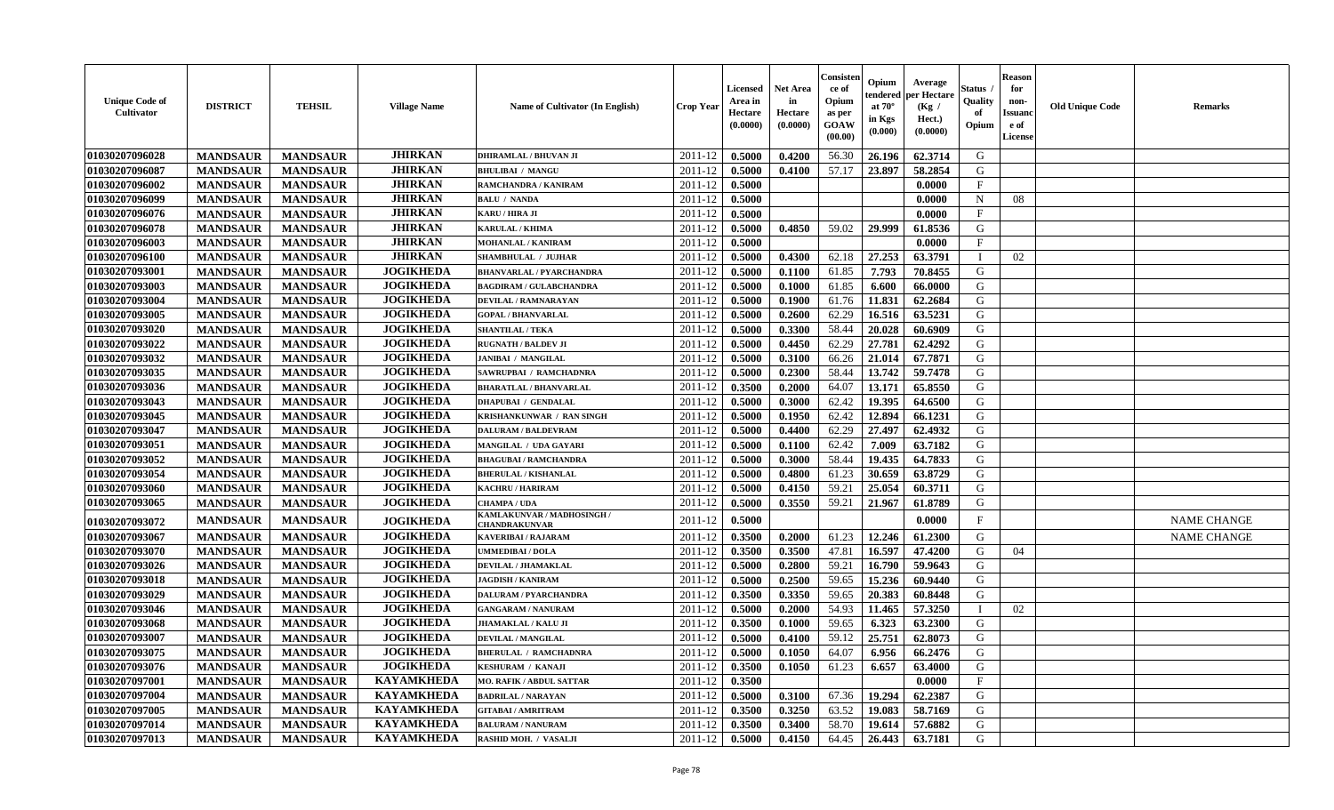| <b>Unique Code of</b><br>Cultivator | <b>DISTRICT</b> | <b>TEHSIL</b>   | <b>Village Name</b> | Name of Cultivator (In English)             | Crop Yeaı | <b>Licensed</b><br>Area in<br>Hectare<br>(0.0000) | <b>Net Area</b><br>in<br>Hectare<br>(0.0000) | Consister<br>ce of<br>Opium<br>as per<br><b>GOAW</b><br>(00.00) | Opium<br>endered<br>at $70^\circ$<br>in Kgs<br>(0.000) | Average<br>oer Hectare<br>(Kg /<br>Hect.)<br>(0.0000) | Status<br>Quality<br>of<br>Opium | <b>Reason</b><br>for<br>non-<br><b>Issuanc</b><br>e of<br><b>License</b> | <b>Old Unique Code</b> | Remarks            |
|-------------------------------------|-----------------|-----------------|---------------------|---------------------------------------------|-----------|---------------------------------------------------|----------------------------------------------|-----------------------------------------------------------------|--------------------------------------------------------|-------------------------------------------------------|----------------------------------|--------------------------------------------------------------------------|------------------------|--------------------|
| 01030207096028                      | <b>MANDSAUR</b> | <b>MANDSAUR</b> | <b>JHIRKAN</b>      | <b>DHIRAMLAL / BHUVAN JI</b>                | 2011-12   | 0.5000                                            | 0.4200                                       | 56.30                                                           | 26.196                                                 | 62.3714                                               | G                                |                                                                          |                        |                    |
| 01030207096087                      | <b>MANDSAUR</b> | <b>MANDSAUR</b> | <b>JHIRKAN</b>      | <b>BHULIBAI / MANGU</b>                     | 2011-12   | 0.5000                                            | 0.4100                                       | 57.17                                                           | 23.897                                                 | 58.2854                                               | G                                |                                                                          |                        |                    |
| 01030207096002                      | <b>MANDSAUR</b> | <b>MANDSAUR</b> | <b>JHIRKAN</b>      | RAMCHANDRA / KANIRAM                        | 2011-12   | 0.5000                                            |                                              |                                                                 |                                                        | 0.0000                                                | $\mathbf{F}$                     |                                                                          |                        |                    |
| 01030207096099                      | <b>MANDSAUR</b> | <b>MANDSAUR</b> | <b>JHIRKAN</b>      | <b>BALU / NANDA</b>                         | 2011-12   | 0.5000                                            |                                              |                                                                 |                                                        | 0.0000                                                | $\mathbf N$                      | 08                                                                       |                        |                    |
| 01030207096076                      | <b>MANDSAUR</b> | <b>MANDSAUR</b> | <b>JHIRKAN</b>      | KARU / HIRA JI                              | 2011-12   | 0.5000                                            |                                              |                                                                 |                                                        | 0.0000                                                | $\mathbf{F}$                     |                                                                          |                        |                    |
| 01030207096078                      | <b>MANDSAUR</b> | <b>MANDSAUR</b> | <b>JHIRKAN</b>      | <b>KARULAL / KHIMA</b>                      | 2011-12   | 0.5000                                            | 0.4850                                       | 59.02                                                           | 29.999                                                 | 61.8536                                               | G                                |                                                                          |                        |                    |
| 01030207096003                      | <b>MANDSAUR</b> | <b>MANDSAUR</b> | <b>JHIRKAN</b>      | <b>MOHANLAL / KANIRAM</b>                   | 2011-12   | 0.5000                                            |                                              |                                                                 |                                                        | 0.0000                                                | $\mathbf{F}$                     |                                                                          |                        |                    |
| 01030207096100                      | <b>MANDSAUR</b> | <b>MANDSAUR</b> | <b>JHIRKAN</b>      | <b>SHAMBHULAL / JUJHAR</b>                  | 2011-12   | 0.5000                                            | 0.4300                                       | 62.18                                                           | 27.253                                                 | 63.3791                                               | - I                              | 02                                                                       |                        |                    |
| 01030207093001                      | <b>MANDSAUR</b> | <b>MANDSAUR</b> | <b>JOGIKHEDA</b>    | <b>BHANVARLAL / PYARCHANDRA</b>             | 2011-12   | 0.5000                                            | 0.1100                                       | 61.85                                                           | 7.793                                                  | 70.8455                                               | G                                |                                                                          |                        |                    |
| 01030207093003                      | <b>MANDSAUR</b> | <b>MANDSAUR</b> | <b>JOGIKHEDA</b>    | <b>BAGDIRAM / GULABCHANDRA</b>              | 2011-12   | 0.5000                                            | 0.1000                                       | 61.85                                                           | 6.600                                                  | 66.0000                                               | G                                |                                                                          |                        |                    |
| 01030207093004                      | <b>MANDSAUR</b> | <b>MANDSAUR</b> | <b>JOGIKHEDA</b>    | DEVILAL / RAMNARAYAN                        | 2011-12   | 0.5000                                            | 0.1900                                       | 61.76                                                           | 11.831                                                 | 62.2684                                               | G                                |                                                                          |                        |                    |
| 01030207093005                      | <b>MANDSAUR</b> | <b>MANDSAUR</b> | <b>JOGIKHEDA</b>    | <b>GOPAL / BHANVARLAL</b>                   | 2011-12   | 0.5000                                            | 0.2600                                       | 62.29                                                           | 16.516                                                 | 63.5231                                               | G                                |                                                                          |                        |                    |
| 01030207093020                      | <b>MANDSAUR</b> | <b>MANDSAUR</b> | <b>JOGIKHEDA</b>    | <b>SHANTILAL / TEKA</b>                     | 2011-12   | 0.5000                                            | 0.3300                                       | 58.44                                                           | 20.028                                                 | 60.6909                                               | G                                |                                                                          |                        |                    |
| 01030207093022                      | <b>MANDSAUR</b> | <b>MANDSAUR</b> | <b>JOGIKHEDA</b>    | <b>RUGNATH / BALDEV JI</b>                  | 2011-12   | 0.5000                                            | 0.4450                                       | 62.29                                                           | 27.781                                                 | 62,4292                                               | G                                |                                                                          |                        |                    |
| 01030207093032                      | <b>MANDSAUR</b> | <b>MANDSAUR</b> | <b>JOGIKHEDA</b>    | <b>JANIBAI / MANGILAL</b>                   | 2011-12   | 0.5000                                            | 0.3100                                       | 66.26                                                           | 21.014                                                 | 67.7871                                               | G                                |                                                                          |                        |                    |
| 01030207093035                      | <b>MANDSAUR</b> | <b>MANDSAUR</b> | <b>JOGIKHEDA</b>    | SAWRUPBAI / RAMCHADNRA                      | 2011-12   | 0.5000                                            | 0.2300                                       | 58.44                                                           | 13.742                                                 | 59.7478                                               | G                                |                                                                          |                        |                    |
| 01030207093036                      | <b>MANDSAUR</b> | <b>MANDSAUR</b> | <b>JOGIKHEDA</b>    | <b>BHARATLAL / BHANVARLAL</b>               | 2011-12   | 0.3500                                            | 0.2000                                       | 64.07                                                           | 13.171                                                 | 65.8550                                               | G                                |                                                                          |                        |                    |
| 01030207093043                      | <b>MANDSAUR</b> | <b>MANDSAUR</b> | <b>JOGIKHEDA</b>    | <b>DHAPUBAI / GENDALAL</b>                  | 2011-12   | 0.5000                                            | 0.3000                                       | 62.42                                                           | 19.395                                                 | 64.6500                                               | G                                |                                                                          |                        |                    |
| 01030207093045                      | <b>MANDSAUR</b> | <b>MANDSAUR</b> | <b>JOGIKHEDA</b>    | KRISHANKUNWAR / RAN SINGH                   | 2011-12   | 0.5000                                            | 0.1950                                       | 62.42                                                           | 12.894                                                 | 66.1231                                               | G                                |                                                                          |                        |                    |
| 01030207093047                      | <b>MANDSAUR</b> | <b>MANDSAUR</b> | <b>JOGIKHEDA</b>    | <b>DALURAM / BALDEVRAM</b>                  | 2011-12   | 0.5000                                            | 0.4400                                       | 62.29                                                           | 27.497                                                 | 62.4932                                               | G                                |                                                                          |                        |                    |
| 01030207093051                      | <b>MANDSAUR</b> | <b>MANDSAUR</b> | <b>JOGIKHEDA</b>    | <b>MANGILAL / UDA GAYARI</b>                | 2011-12   | 0.5000                                            | 0.1100                                       | 62.42                                                           | 7.009                                                  | 63.7182                                               | G                                |                                                                          |                        |                    |
| 01030207093052                      | <b>MANDSAUR</b> | <b>MANDSAUR</b> | <b>JOGIKHEDA</b>    | <b>BHAGUBAI / RAMCHANDRA</b>                | 2011-12   | 0.5000                                            | 0.3000                                       | 58.44                                                           | 19.435                                                 | 64.7833                                               | G                                |                                                                          |                        |                    |
| 01030207093054                      | <b>MANDSAUR</b> | <b>MANDSAUR</b> | <b>JOGIKHEDA</b>    | <b>BHERULAL / KISHANLAL</b>                 | 2011-12   | 0.5000                                            | 0.4800                                       | 61.23                                                           | 30.659                                                 | 63.8729                                               | G                                |                                                                          |                        |                    |
| 01030207093060                      | <b>MANDSAUR</b> | <b>MANDSAUR</b> | <b>JOGIKHEDA</b>    | <b>KACHRU / HARIRAM</b>                     | 2011-12   | 0.5000                                            | 0.4150                                       | 59.21                                                           | 25.054                                                 | 60.3711                                               | G                                |                                                                          |                        |                    |
| 01030207093065                      | <b>MANDSAUR</b> | <b>MANDSAUR</b> | <b>JOGIKHEDA</b>    | <b>CHAMPA / UDA</b>                         | 2011-12   | 0.5000                                            | 0.3550                                       | 59.21                                                           | 21.967                                                 | 61.8789                                               | G                                |                                                                          |                        |                    |
| 01030207093072                      | <b>MANDSAUR</b> | <b>MANDSAUR</b> | <b>JOGIKHEDA</b>    | KAMLAKUNVAR / MADHOSINGH /<br>CHANDRAKUNVAR | 2011-12   | 0.5000                                            |                                              |                                                                 |                                                        | 0.0000                                                | F                                |                                                                          |                        | <b>NAME CHANGE</b> |
| 01030207093067                      | <b>MANDSAUR</b> | <b>MANDSAUR</b> | <b>JOGIKHEDA</b>    | <b>KAVERIBAI/RAJARAM</b>                    | 2011-12   | 0.3500                                            | 0.2000                                       | 61.23                                                           | 12.246                                                 | 61.2300                                               | G                                |                                                                          |                        | <b>NAME CHANGE</b> |
| 01030207093070                      | <b>MANDSAUR</b> | <b>MANDSAUR</b> | <b>JOGIKHEDA</b>    | UMMEDIBAI / DOLA                            | 2011-12   | 0.3500                                            | 0.3500                                       | 47.81                                                           | 16.597                                                 | 47.4200                                               | G                                | 04                                                                       |                        |                    |
| 01030207093026                      | <b>MANDSAUR</b> | <b>MANDSAUR</b> | <b>JOGIKHEDA</b>    | DEVILAL / JHAMAKLAL                         | 2011-12   | 0.5000                                            | 0.2800                                       | 59.21                                                           | 16.790                                                 | 59.9643                                               | G                                |                                                                          |                        |                    |
| 01030207093018                      | <b>MANDSAUR</b> | <b>MANDSAUR</b> | <b>JOGIKHEDA</b>    | <b>JAGDISH / KANIRAM</b>                    | 2011-12   | 0.5000                                            | 0.2500                                       | 59.65                                                           | 15.236                                                 | 60.9440                                               | G                                |                                                                          |                        |                    |
| 01030207093029                      | <b>MANDSAUR</b> | <b>MANDSAUR</b> | <b>JOGIKHEDA</b>    | <b>DALURAM / PYARCHANDRA</b>                | 2011-12   | 0.3500                                            | 0.3350                                       | 59.65                                                           | 20.383                                                 | 60.8448                                               | G                                |                                                                          |                        |                    |
| 01030207093046                      | <b>MANDSAUR</b> | <b>MANDSAUR</b> | <b>JOGIKHEDA</b>    | <b>GANGARAM / NANURAM</b>                   | 2011-12   | 0.5000                                            | 0.2000                                       | 54.93                                                           | 11.465                                                 | 57.3250                                               | $\mathbf{I}$                     | 02                                                                       |                        |                    |
| 01030207093068                      | <b>MANDSAUR</b> | <b>MANDSAUR</b> | <b>JOGIKHEDA</b>    | <b>JHAMAKLAL / KALU JI</b>                  | 2011-12   | 0.3500                                            | 0.1000                                       | 59.65                                                           | 6.323                                                  | 63.2300                                               | G                                |                                                                          |                        |                    |
| 01030207093007                      | <b>MANDSAUR</b> | <b>MANDSAUR</b> | <b>JOGIKHEDA</b>    | <b>DEVILAL / MANGILAL</b>                   | 2011-12   | 0.5000                                            | 0.4100                                       | 59.12                                                           | 25.751                                                 | 62.8073                                               | G                                |                                                                          |                        |                    |
| 01030207093075                      | <b>MANDSAUR</b> | <b>MANDSAUR</b> | <b>JOGIKHEDA</b>    | <b>BHERULAL / RAMCHADNRA</b>                | 2011-12   | 0.5000                                            | 0.1050                                       | 64.07                                                           | 6.956                                                  | 66.2476                                               | ${\bf G}$                        |                                                                          |                        |                    |
| 01030207093076                      | <b>MANDSAUR</b> | <b>MANDSAUR</b> | <b>JOGIKHEDA</b>    | <b>KESHURAM / KANAJI</b>                    | 2011-12   | 0.3500                                            | 0.1050                                       | 61.23                                                           | 6.657                                                  | 63.4000                                               | G                                |                                                                          |                        |                    |
| 01030207097001                      | <b>MANDSAUR</b> | <b>MANDSAUR</b> | <b>KAYAMKHEDA</b>   | <b>MO. RAFIK / ABDUL SATTAR</b>             | 2011-12   | 0.3500                                            |                                              |                                                                 |                                                        | 0.0000                                                | $\mathbf F$                      |                                                                          |                        |                    |
| 01030207097004                      | <b>MANDSAUR</b> | <b>MANDSAUR</b> | <b>KAYAMKHEDA</b>   | <b>BADRILAL / NARAYAN</b>                   | 2011-12   | 0.5000                                            | 0.3100                                       | 67.36                                                           | 19.294                                                 | 62.2387                                               | G                                |                                                                          |                        |                    |
| 01030207097005                      | <b>MANDSAUR</b> | <b>MANDSAUR</b> | <b>KAYAMKHEDA</b>   | <b>GITABAI/AMRITRAM</b>                     | 2011-12   | 0.3500                                            | 0.3250                                       | 63.52                                                           | 19.083                                                 | 58.7169                                               | G                                |                                                                          |                        |                    |
| 01030207097014                      | <b>MANDSAUR</b> | <b>MANDSAUR</b> | <b>KAYAMKHEDA</b>   | <b>BALURAM / NANURAM</b>                    | 2011-12   | 0.3500                                            | 0.3400                                       | 58.70                                                           | 19.614                                                 | 57.6882                                               | G                                |                                                                          |                        |                    |
| 01030207097013                      | <b>MANDSAUR</b> | <b>MANDSAUR</b> | <b>KAYAMKHEDA</b>   | RASHID MOH. / VASALJI                       | 2011-12   | 0.5000                                            | 0.4150                                       | 64.45                                                           | 26.443                                                 | 63.7181                                               | G                                |                                                                          |                        |                    |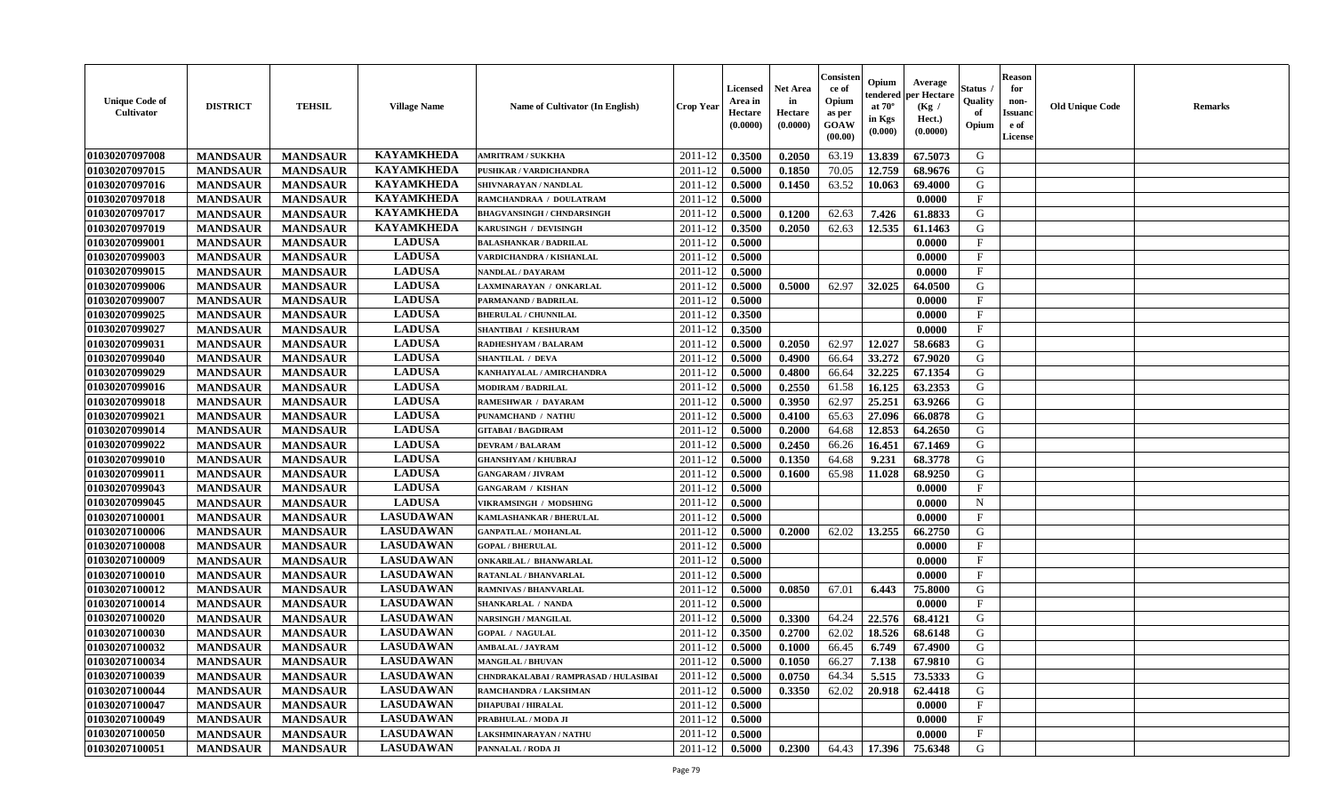| <b>Unique Code of</b><br><b>Cultivator</b> | <b>DISTRICT</b> | <b>TEHSIL</b>   | <b>Village Name</b> | Name of Cultivator (In English)       | <b>Crop Year</b> | <b>Licensed</b><br>Area in<br>Hectare<br>(0.0000) | <b>Net Area</b><br>in<br>Hectare<br>(0.0000) | Consister<br>ce of<br>Opium<br>as per<br><b>GOAW</b><br>(00.00) | Opium<br>endered<br>at $70^\circ$<br>in Kgs<br>$(\mathbf{0.000})$ | Average<br>per Hectare<br>(Kg /<br>Hect.)<br>(0.0000) | Status<br>Quality<br>of<br>Opium | <b>Reason</b><br>for<br>non-<br><b>Issuano</b><br>e of<br>License | <b>Old Unique Code</b> | <b>Remarks</b> |
|--------------------------------------------|-----------------|-----------------|---------------------|---------------------------------------|------------------|---------------------------------------------------|----------------------------------------------|-----------------------------------------------------------------|-------------------------------------------------------------------|-------------------------------------------------------|----------------------------------|-------------------------------------------------------------------|------------------------|----------------|
| 01030207097008                             | <b>MANDSAUR</b> | <b>MANDSAUR</b> | <b>KAYAMKHEDA</b>   | <b>AMRITRAM / SUKKHA</b>              | 2011-12          | 0.3500                                            | 0.2050                                       | 63.19                                                           | 13.839                                                            | 67.5073                                               | G                                |                                                                   |                        |                |
| 01030207097015                             | <b>MANDSAUR</b> | <b>MANDSAUR</b> | <b>KAYAMKHEDA</b>   | PUSHKAR / VARDICHANDRA                | 2011-12          | 0.5000                                            | 0.1850                                       | 70.05                                                           | 12.759                                                            | 68.9676                                               | G                                |                                                                   |                        |                |
| 01030207097016                             | <b>MANDSAUR</b> | <b>MANDSAUR</b> | <b>KAYAMKHEDA</b>   | SHIVNARAYAN / NANDLAL                 | 2011-12          | 0.5000                                            | 0.1450                                       | 63.52                                                           | 10.063                                                            | 69.4000                                               | G                                |                                                                   |                        |                |
| 01030207097018                             | <b>MANDSAUR</b> | <b>MANDSAUR</b> | <b>KAYAMKHEDA</b>   | RAMCHANDRAA / DOULATRAM               | 2011-12          | 0.5000                                            |                                              |                                                                 |                                                                   | 0.0000                                                | F                                |                                                                   |                        |                |
| 01030207097017                             | <b>MANDSAUR</b> | <b>MANDSAUR</b> | <b>KAYAMKHEDA</b>   | <b>BHAGVANSINGH / CHNDARSINGH</b>     | 2011-12          | 0.5000                                            | 0.1200                                       | 62.63                                                           | 7.426                                                             | 61.8833                                               | G                                |                                                                   |                        |                |
| 01030207097019                             | <b>MANDSAUR</b> | <b>MANDSAUR</b> | <b>KAYAMKHEDA</b>   | KARUSINGH / DEVISINGH                 | 2011-12          | 0.3500                                            | 0.2050                                       | 62.63                                                           | 12.535                                                            | 61.1463                                               | G                                |                                                                   |                        |                |
| 01030207099001                             | <b>MANDSAUR</b> | <b>MANDSAUR</b> | <b>LADUSA</b>       | <b>BALASHANKAR / BADRILAL</b>         | 2011-12          | 0.5000                                            |                                              |                                                                 |                                                                   | 0.0000                                                | $\mathbf{F}$                     |                                                                   |                        |                |
| 01030207099003                             | <b>MANDSAUR</b> | <b>MANDSAUR</b> | <b>LADUSA</b>       | VARDICHANDRA / KISHANLAL              | 2011-12          | 0.5000                                            |                                              |                                                                 |                                                                   | 0.0000                                                | $\mathbf{F}$                     |                                                                   |                        |                |
| 01030207099015                             | <b>MANDSAUR</b> | <b>MANDSAUR</b> | <b>LADUSA</b>       | NANDLAL / DAYARAM                     | 2011-12          | 0.5000                                            |                                              |                                                                 |                                                                   | 0.0000                                                | $\mathbf{F}$                     |                                                                   |                        |                |
| 01030207099006                             | <b>MANDSAUR</b> | <b>MANDSAUR</b> | <b>LADUSA</b>       | LAXMINARAYAN / ONKARLAL               | 2011-12          | 0.5000                                            | 0.5000                                       | 62.97                                                           | 32.025                                                            | 64.0500                                               | G                                |                                                                   |                        |                |
| 01030207099007                             | <b>MANDSAUR</b> | <b>MANDSAUR</b> | <b>LADUSA</b>       | PARMANAND / BADRILAL                  | 2011-12          | 0.5000                                            |                                              |                                                                 |                                                                   | 0.0000                                                | F                                |                                                                   |                        |                |
| 01030207099025                             | <b>MANDSAUR</b> | <b>MANDSAUR</b> | <b>LADUSA</b>       | <b>BHERULAL / CHUNNILAL</b>           | 2011-12          | 0.3500                                            |                                              |                                                                 |                                                                   | 0.0000                                                | $\mathbf{F}$                     |                                                                   |                        |                |
| 01030207099027                             | <b>MANDSAUR</b> | <b>MANDSAUR</b> | <b>LADUSA</b>       | <b>SHANTIBAI / KESHURAM</b>           | 2011-12          | 0.3500                                            |                                              |                                                                 |                                                                   | 0.0000                                                | $\mathbf F$                      |                                                                   |                        |                |
| 01030207099031                             | <b>MANDSAUR</b> | <b>MANDSAUR</b> | <b>LADUSA</b>       | RADHESHYAM / BALARAM                  | 2011-12          | 0.5000                                            | 0.2050                                       | 62.97                                                           | 12.027                                                            | 58.6683                                               | G                                |                                                                   |                        |                |
| 01030207099040                             | <b>MANDSAUR</b> | <b>MANDSAUR</b> | <b>LADUSA</b>       | SHANTILAL / DEVA                      | 2011-12          | 0.5000                                            | 0.4900                                       | 66.64                                                           | 33.272                                                            | 67.9020                                               | G                                |                                                                   |                        |                |
| 01030207099029                             | <b>MANDSAUR</b> | <b>MANDSAUR</b> | <b>LADUSA</b>       | KANHAIYALAL / AMIRCHANDRA             | 2011-12          | 0.5000                                            | 0.4800                                       | 66.64                                                           | 32.225                                                            | 67.1354                                               | G                                |                                                                   |                        |                |
| 01030207099016                             | <b>MANDSAUR</b> | <b>MANDSAUR</b> | <b>LADUSA</b>       | <b>MODIRAM / BADRILAL</b>             | 2011-12          | 0.5000                                            | 0.2550                                       | 61.58                                                           | 16.125                                                            | 63.2353                                               | G                                |                                                                   |                        |                |
| 01030207099018                             | <b>MANDSAUR</b> | <b>MANDSAUR</b> | <b>LADUSA</b>       | <b>RAMESHWAR / DAYARAM</b>            | 2011-12          | 0.5000                                            | 0.3950                                       | 62.97                                                           | 25.251                                                            | 63.9266                                               | G                                |                                                                   |                        |                |
| 01030207099021                             | <b>MANDSAUR</b> | <b>MANDSAUR</b> | <b>LADUSA</b>       | PUNAMCHAND / NATHU                    | 2011-12          | 0.5000                                            | 0.4100                                       | 65.63                                                           | 27.096                                                            | 66.0878                                               | G                                |                                                                   |                        |                |
| 01030207099014                             | <b>MANDSAUR</b> | <b>MANDSAUR</b> | <b>LADUSA</b>       | <b>GITABAI/BAGDIRAM</b>               | 2011-12          | 0.5000                                            | 0.2000                                       | 64.68                                                           | 12.853                                                            | 64.2650                                               | G                                |                                                                   |                        |                |
| 01030207099022                             | <b>MANDSAUR</b> | <b>MANDSAUR</b> | <b>LADUSA</b>       | <b>DEVRAM / BALARAM</b>               | 2011-12          | 0.5000                                            | 0.2450                                       | 66.26                                                           | 16.451                                                            | 67.1469                                               | G                                |                                                                   |                        |                |
| 01030207099010                             | <b>MANDSAUR</b> | <b>MANDSAUR</b> | <b>LADUSA</b>       | <b>GHANSHYAM / KHUBRAJ</b>            | 2011-12          | 0.5000                                            | 0.1350                                       | 64.68                                                           | 9.231                                                             | 68.3778                                               | G                                |                                                                   |                        |                |
| 01030207099011                             | <b>MANDSAUR</b> | <b>MANDSAUR</b> | <b>LADUSA</b>       | <b>GANGARAM / JIVRAM</b>              | 2011-12          | 0.5000                                            | 0.1600                                       | 65.98                                                           | 11.028                                                            | 68.9250                                               | G                                |                                                                   |                        |                |
| 01030207099043                             | <b>MANDSAUR</b> | <b>MANDSAUR</b> | <b>LADUSA</b>       | <b>GANGARAM / KISHAN</b>              | 2011-12          | 0.5000                                            |                                              |                                                                 |                                                                   | 0.0000                                                | $\mathbf{F}$                     |                                                                   |                        |                |
| 01030207099045                             | <b>MANDSAUR</b> | <b>MANDSAUR</b> | <b>LADUSA</b>       | VIKRAMSINGH / MODSHING                | 2011-12          | 0.5000                                            |                                              |                                                                 |                                                                   | 0.0000                                                | $\mathbf N$                      |                                                                   |                        |                |
| 01030207100001                             | <b>MANDSAUR</b> | <b>MANDSAUR</b> | <b>LASUDAWAN</b>    | KAMLASHANKAR / BHERULAL               | 2011-12          | 0.5000                                            |                                              |                                                                 |                                                                   | 0.0000                                                | $_{\rm F}$                       |                                                                   |                        |                |
| 01030207100006                             | <b>MANDSAUR</b> | <b>MANDSAUR</b> | <b>LASUDAWAN</b>    | <b>GANPATLAL / MOHANLAL</b>           | 2011-12          | 0.5000                                            | 0.2000                                       | 62.02                                                           | 13.255                                                            | 66.2750                                               | G                                |                                                                   |                        |                |
| 01030207100008                             | <b>MANDSAUR</b> | <b>MANDSAUR</b> | <b>LASUDAWAN</b>    | <b>GOPAL / BHERULAL</b>               | 2011-12          | 0.5000                                            |                                              |                                                                 |                                                                   | 0.0000                                                | $\mathbf{F}$                     |                                                                   |                        |                |
| 01030207100009                             | <b>MANDSAUR</b> | <b>MANDSAUR</b> | <b>LASUDAWAN</b>    | <b>ONKARILAL / BHANWARLAL</b>         | 2011-12          | 0.5000                                            |                                              |                                                                 |                                                                   | 0.0000                                                | $\mathbf{F}$                     |                                                                   |                        |                |
| 01030207100010                             | <b>MANDSAUR</b> | <b>MANDSAUR</b> | <b>LASUDAWAN</b>    | RATANLAL / BHANVARLAL                 | 2011-12          | 0.5000                                            |                                              |                                                                 |                                                                   | 0.0000                                                | $\mathbf{F}$                     |                                                                   |                        |                |
| 01030207100012                             | <b>MANDSAUR</b> | <b>MANDSAUR</b> | <b>LASUDAWAN</b>    | RAMNIVAS / BHANVARLAL                 | 2011-12          | 0.5000                                            | 0.0850                                       | 67.01                                                           | 6.443                                                             | 75.8000                                               | G                                |                                                                   |                        |                |
| 01030207100014                             | <b>MANDSAUR</b> | <b>MANDSAUR</b> | <b>LASUDAWAN</b>    | <b>SHANKARLAL / NANDA</b>             | 2011-12          | 0.5000                                            |                                              |                                                                 |                                                                   | 0.0000                                                | $\mathbf{F}$                     |                                                                   |                        |                |
| 01030207100020                             | <b>MANDSAUR</b> | <b>MANDSAUR</b> | <b>LASUDAWAN</b>    | <b>NARSINGH / MANGILAL</b>            | 2011-12          | 0.5000                                            | 0.3300                                       | 64.24                                                           | 22.576                                                            | 68.4121                                               | G                                |                                                                   |                        |                |
| 01030207100030                             | <b>MANDSAUR</b> | <b>MANDSAUR</b> | <b>LASUDAWAN</b>    | <b>GOPAL / NAGULAL</b>                | 2011-12          | 0.3500                                            | 0.2700                                       | 62.02                                                           | 18.526                                                            | 68.6148                                               | G                                |                                                                   |                        |                |
| 01030207100032                             | <b>MANDSAUR</b> | <b>MANDSAUR</b> | <b>LASUDAWAN</b>    | AMBALAL / JAYRAM                      | 2011-12          | 0.5000                                            | 0.1000                                       | 66.45                                                           | 6.749                                                             | 67.4900                                               | G                                |                                                                   |                        |                |
| 01030207100034                             | <b>MANDSAUR</b> | <b>MANDSAUR</b> | <b>LASUDAWAN</b>    | <b>MANGILAL / BHUVAN</b>              | $2011-12$ 0.5000 |                                                   | 0.1050                                       | 66.27                                                           | 7.138                                                             | 67.9810                                               | G                                |                                                                   |                        |                |
| 01030207100039                             | <b>MANDSAUR</b> | <b>MANDSAUR</b> | <b>LASUDAWAN</b>    | CHNDRAKALABAI / RAMPRASAD / HULASIBAI | 2011-12          | 0.5000                                            | 0.0750                                       | 64.34                                                           | 5.515                                                             | 73.5333                                               | G                                |                                                                   |                        |                |
| 01030207100044                             | <b>MANDSAUR</b> | <b>MANDSAUR</b> | <b>LASUDAWAN</b>    | RAMCHANDRA / LAKSHMAN                 | 2011-12          | 0.5000                                            | 0.3350                                       | 62.02                                                           | 20.918                                                            | 62.4418                                               | G                                |                                                                   |                        |                |
| 01030207100047                             | <b>MANDSAUR</b> | <b>MANDSAUR</b> | <b>LASUDAWAN</b>    | <b>DHAPUBAI / HIRALAL</b>             | 2011-12          | 0.5000                                            |                                              |                                                                 |                                                                   | 0.0000                                                | $\mathbf{F}$                     |                                                                   |                        |                |
| 01030207100049                             | <b>MANDSAUR</b> | <b>MANDSAUR</b> | <b>LASUDAWAN</b>    | PRABHULAL / MODA JI                   | 2011-12          | 0.5000                                            |                                              |                                                                 |                                                                   | 0.0000                                                | $\mathbf{F}$                     |                                                                   |                        |                |
| 01030207100050                             | <b>MANDSAUR</b> | <b>MANDSAUR</b> | <b>LASUDAWAN</b>    | LAKSHMINARAYAN / NATHU                | 2011-12          | 0.5000                                            |                                              |                                                                 |                                                                   | 0.0000                                                | $\mathbf{F}$                     |                                                                   |                        |                |
| 01030207100051                             | <b>MANDSAUR</b> | <b>MANDSAUR</b> | <b>LASUDAWAN</b>    | PANNALAL / RODA JI                    | $2011 - 12$      | $\boldsymbol{0.5000}$                             | 0.2300                                       | 64.43                                                           | 17.396                                                            | 75.6348                                               | G                                |                                                                   |                        |                |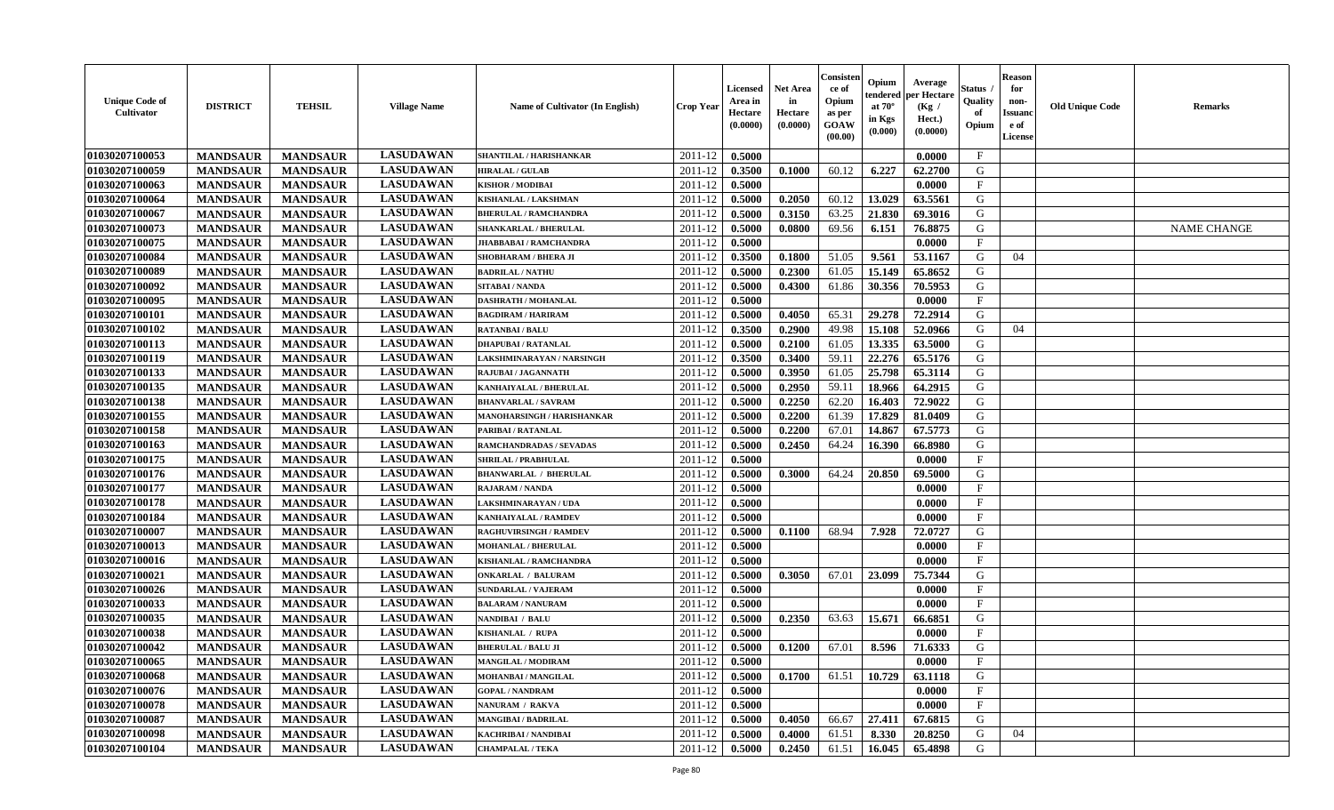| <b>Unique Code of</b><br>Cultivator | <b>DISTRICT</b> | <b>TEHSIL</b>   | <b>Village Name</b> | Name of Cultivator (In English) | <b>Crop Year</b> | Licensed<br>Area in<br>Hectare<br>(0.0000) | <b>Net Area</b><br>in<br>Hectare<br>(0.0000) | Consisten<br>ce of<br>Opium<br>as per<br>GOAW<br>(00.00) | Opium<br>tendered<br>at $70^\circ$<br>in Kgs<br>(0.000) | Average<br>per Hectare<br>(Kg /<br>Hect.)<br>(0.0000) | Status<br>Quality<br>of<br>Opium | <b>Reason</b><br>for<br>non-<br>Issuanc<br>e of<br>License | <b>Old Unique Code</b> | <b>Remarks</b>     |
|-------------------------------------|-----------------|-----------------|---------------------|---------------------------------|------------------|--------------------------------------------|----------------------------------------------|----------------------------------------------------------|---------------------------------------------------------|-------------------------------------------------------|----------------------------------|------------------------------------------------------------|------------------------|--------------------|
| 01030207100053                      | <b>MANDSAUR</b> | <b>MANDSAUR</b> | <b>LASUDAWAN</b>    | SHANTILAL / HARISHANKAR         | 2011-12          | 0.5000                                     |                                              |                                                          |                                                         | 0.0000                                                | $\mathbf{F}$                     |                                                            |                        |                    |
| 01030207100059                      | <b>MANDSAUR</b> | <b>MANDSAUR</b> | <b>LASUDAWAN</b>    | <b>HIRALAL / GULAB</b>          | 2011-12          | 0.3500                                     | 0.1000                                       | 60.12                                                    | 6.227                                                   | 62.2700                                               | G                                |                                                            |                        |                    |
| 01030207100063                      | <b>MANDSAUR</b> | <b>MANDSAUR</b> | <b>LASUDAWAN</b>    | <b>KISHOR / MODIBAI</b>         | 2011-12          | 0.5000                                     |                                              |                                                          |                                                         | 0.0000                                                | $\mathbf{F}$                     |                                                            |                        |                    |
| 01030207100064                      | <b>MANDSAUR</b> | <b>MANDSAUR</b> | <b>LASUDAWAN</b>    | KISHANLAL / LAKSHMAN            | 2011-12          | 0.5000                                     | 0.2050                                       | 60.12                                                    | 13.029                                                  | 63.5561                                               | G                                |                                                            |                        |                    |
| 01030207100067                      | <b>MANDSAUR</b> | <b>MANDSAUR</b> | <b>LASUDAWAN</b>    | <b>BHERULAL / RAMCHANDRA</b>    | 2011-12          | 0.5000                                     | 0.3150                                       | 63.25                                                    | 21.830                                                  | 69.3016                                               | G                                |                                                            |                        |                    |
| 01030207100073                      | <b>MANDSAUR</b> | <b>MANDSAUR</b> | <b>LASUDAWAN</b>    | <b>SHANKARLAL / BHERULAL</b>    | 2011-12          | 0.5000                                     | 0.0800                                       | 69.56                                                    | 6.151                                                   | 76.8875                                               | G                                |                                                            |                        | <b>NAME CHANGE</b> |
| 01030207100075                      | <b>MANDSAUR</b> | <b>MANDSAUR</b> | <b>LASUDAWAN</b>    | <b>JHABBABAI/RAMCHANDRA</b>     | 2011-12          | 0.5000                                     |                                              |                                                          |                                                         | 0.0000                                                | F                                |                                                            |                        |                    |
| 01030207100084                      | <b>MANDSAUR</b> | <b>MANDSAUR</b> | <b>LASUDAWAN</b>    | SHOBHARAM / BHERA JI            | 2011-12          | 0.3500                                     | 0.1800                                       | 51.05                                                    | 9.561                                                   | 53.1167                                               | G                                | 04                                                         |                        |                    |
| 01030207100089                      | <b>MANDSAUR</b> | <b>MANDSAUR</b> | <b>LASUDAWAN</b>    | <b>BADRILAL / NATHU</b>         | 2011-12          | 0.5000                                     | 0.2300                                       | 61.05                                                    | 15.149                                                  | 65.8652                                               | G                                |                                                            |                        |                    |
| 01030207100092                      | <b>MANDSAUR</b> | <b>MANDSAUR</b> | <b>LASUDAWAN</b>    | SITABAI / NANDA                 | 2011-12          | 0.5000                                     | 0.4300                                       | 61.86                                                    | 30.356                                                  | 70.5953                                               | G                                |                                                            |                        |                    |
| 01030207100095                      | <b>MANDSAUR</b> | <b>MANDSAUR</b> | <b>LASUDAWAN</b>    | <b>DASHRATH / MOHANLAL</b>      | 2011-12          | 0.5000                                     |                                              |                                                          |                                                         | 0.0000                                                | F                                |                                                            |                        |                    |
| 01030207100101                      | <b>MANDSAUR</b> | <b>MANDSAUR</b> | <b>LASUDAWAN</b>    | <b>BAGDIRAM / HARIRAM</b>       | 2011-12          | 0.5000                                     | 0.4050                                       | 65.31                                                    | 29.278                                                  | 72.2914                                               | G                                |                                                            |                        |                    |
| 01030207100102                      | <b>MANDSAUR</b> | <b>MANDSAUR</b> | <b>LASUDAWAN</b>    | <b>RATANBAI/BALU</b>            | 2011-12          | 0.3500                                     | 0.2900                                       | 49.98                                                    | 15.108                                                  | 52.0966                                               | G                                | 04                                                         |                        |                    |
| 01030207100113                      | <b>MANDSAUR</b> | <b>MANDSAUR</b> | <b>LASUDAWAN</b>    | <b>DHAPUBAI/RATANLAL</b>        | 2011-12          | 0.5000                                     | 0.2100                                       | 61.05                                                    | 13.335                                                  | 63.5000                                               | G                                |                                                            |                        |                    |
| 01030207100119                      | <b>MANDSAUR</b> | <b>MANDSAUR</b> | <b>LASUDAWAN</b>    | LAKSHMINARAYAN / NARSINGH       | $2011 - 12$      | 0.3500                                     | 0.3400                                       | 59.11                                                    | 22.276                                                  | 65.5176                                               | G                                |                                                            |                        |                    |
| 01030207100133                      | <b>MANDSAUR</b> | <b>MANDSAUR</b> | <b>LASUDAWAN</b>    | RAJUBAI / JAGANNATH             | 2011-12          | 0.5000                                     | 0.3950                                       | 61.05                                                    | 25.798                                                  | 65.3114                                               | G                                |                                                            |                        |                    |
| 01030207100135                      | <b>MANDSAUR</b> | <b>MANDSAUR</b> | <b>LASUDAWAN</b>    | KANHAIYALAL / BHERULAL          | 2011-12          | 0.5000                                     | 0.2950                                       | 59.11                                                    | 18.966                                                  | 64.2915                                               | G                                |                                                            |                        |                    |
| 01030207100138                      | <b>MANDSAUR</b> | <b>MANDSAUR</b> | <b>LASUDAWAN</b>    | <b>BHANVARLAL / SAVRAM</b>      | 2011-12          | 0.5000                                     | 0.2250                                       | 62.20                                                    | 16.403                                                  | 72.9022                                               | G                                |                                                            |                        |                    |
| 01030207100155                      | <b>MANDSAUR</b> | <b>MANDSAUR</b> | <b>LASUDAWAN</b>    | MANOHARSINGH / HARISHANKAR      | 2011-12          | 0.5000                                     | 0.2200                                       | 61.39                                                    | 17.829                                                  | 81.0409                                               | G                                |                                                            |                        |                    |
| 01030207100158                      | <b>MANDSAUR</b> | <b>MANDSAUR</b> | <b>LASUDAWAN</b>    | PARIBAI / RATANLAL              | 2011-12          | 0.5000                                     | 0.2200                                       | 67.01                                                    | 14.867                                                  | 67.5773                                               | G                                |                                                            |                        |                    |
| 01030207100163                      | <b>MANDSAUR</b> | <b>MANDSAUR</b> | <b>LASUDAWAN</b>    | <b>RAMCHANDRADAS / SEVADAS</b>  | 2011-12          | 0.5000                                     | 0.2450                                       | 64.24                                                    | 16.390                                                  | 66.8980                                               | G                                |                                                            |                        |                    |
| 01030207100175                      | <b>MANDSAUR</b> | <b>MANDSAUR</b> | <b>LASUDAWAN</b>    | <b>SHRILAL / PRABHULAL</b>      | 2011-12          | 0.5000                                     |                                              |                                                          |                                                         | 0.0000                                                | $\mathbf F$                      |                                                            |                        |                    |
| 01030207100176                      | <b>MANDSAUR</b> | <b>MANDSAUR</b> | <b>LASUDAWAN</b>    | <b>BHANWARLAL / BHERULAL</b>    | 2011-12          | 0.5000                                     | 0.3000                                       | 64.24                                                    | 20.850                                                  | 69.5000                                               | G                                |                                                            |                        |                    |
| 01030207100177                      | <b>MANDSAUR</b> | <b>MANDSAUR</b> | <b>LASUDAWAN</b>    | <b>RAJARAM / NANDA</b>          | $2011 - 12$      | 0.5000                                     |                                              |                                                          |                                                         | 0.0000                                                | $\mathbf{F}$                     |                                                            |                        |                    |
| 01030207100178                      | <b>MANDSAUR</b> | <b>MANDSAUR</b> | <b>LASUDAWAN</b>    | LAKSHMINARAYAN / UDA            | 2011-12          | 0.5000                                     |                                              |                                                          |                                                         | 0.0000                                                | $\mathbf{F}$                     |                                                            |                        |                    |
| 01030207100184                      | <b>MANDSAUR</b> | <b>MANDSAUR</b> | <b>LASUDAWAN</b>    | KANHAIYALAL / RAMDEV            | 2011-12          | 0.5000                                     |                                              |                                                          |                                                         | 0.0000                                                | $\mathbf{F}$                     |                                                            |                        |                    |
| 01030207100007                      | <b>MANDSAUR</b> | <b>MANDSAUR</b> | <b>LASUDAWAN</b>    | <b>RAGHUVIRSINGH / RAMDEV</b>   | 2011-12          | 0.5000                                     | 0.1100                                       | 68.94                                                    | 7.928                                                   | 72.0727                                               | G                                |                                                            |                        |                    |
| 01030207100013                      | <b>MANDSAUR</b> | <b>MANDSAUR</b> | <b>LASUDAWAN</b>    | <b>MOHANLAL / BHERULAL</b>      | 2011-12          | 0.5000                                     |                                              |                                                          |                                                         | 0.0000                                                | $\mathbf F$                      |                                                            |                        |                    |
| 01030207100016                      | <b>MANDSAUR</b> | <b>MANDSAUR</b> | <b>LASUDAWAN</b>    | KISHANLAL / RAMCHANDRA          | 2011-12          | 0.5000                                     |                                              |                                                          |                                                         | 0.0000                                                | $\rm F$                          |                                                            |                        |                    |
| 01030207100021                      | <b>MANDSAUR</b> | <b>MANDSAUR</b> | <b>LASUDAWAN</b>    | <b>ONKARLAL / BALURAM</b>       | 2011-12          | 0.5000                                     | 0.3050                                       | 67.01                                                    | 23.099                                                  | 75.7344                                               | G                                |                                                            |                        |                    |
| 01030207100026                      | <b>MANDSAUR</b> | <b>MANDSAUR</b> | <b>LASUDAWAN</b>    | <b>SUNDARLAL / VAJERAM</b>      | 2011-12          | 0.5000                                     |                                              |                                                          |                                                         | 0.0000                                                | $\mathbf{F}$                     |                                                            |                        |                    |
| 01030207100033                      | <b>MANDSAUR</b> | <b>MANDSAUR</b> | <b>LASUDAWAN</b>    | <b>BALARAM / NANURAM</b>        | 2011-12          | 0.5000                                     |                                              |                                                          |                                                         | 0.0000                                                | $\mathbf{F}$                     |                                                            |                        |                    |
| 01030207100035                      | <b>MANDSAUR</b> | <b>MANDSAUR</b> | <b>LASUDAWAN</b>    | NANDIBAI / BALU                 | 2011-12          | 0.5000                                     | 0.2350                                       | 63.63                                                    | 15.671                                                  | 66.6851                                               | G                                |                                                            |                        |                    |
| 01030207100038                      | <b>MANDSAUR</b> | <b>MANDSAUR</b> | <b>LASUDAWAN</b>    | KISHANLAL / RUPA                | 2011-12          | 0.5000                                     |                                              |                                                          |                                                         | 0.0000                                                | $\mathbf{F}$                     |                                                            |                        |                    |
| 01030207100042                      | <b>MANDSAUR</b> | <b>MANDSAUR</b> | <b>LASUDAWAN</b>    | <b>BHERULAL / BALU JI</b>       | 2011-12          | 0.5000                                     | 0.1200                                       | 67.01                                                    | 8.596                                                   | 71.6333                                               | G                                |                                                            |                        |                    |
| 01030207100065                      | <b>MANDSAUR</b> | <b>MANDSAUR</b> | <b>LASUDAWAN</b>    | <b>MANGILAL / MODIRAM</b>       | 2011-12          | 0.5000                                     |                                              |                                                          |                                                         | 0.0000                                                | $\mathbf{F}$                     |                                                            |                        |                    |
| 01030207100068                      | <b>MANDSAUR</b> | <b>MANDSAUR</b> | <b>LASUDAWAN</b>    | MOHANBAI / MANGILAL             | 2011-12          | 0.5000                                     | 0.1700                                       | 61.51                                                    | 10.729                                                  | 63.1118                                               | G                                |                                                            |                        |                    |
| 01030207100076                      | <b>MANDSAUR</b> | <b>MANDSAUR</b> | <b>LASUDAWAN</b>    | <b>GOPAL / NANDRAM</b>          | 2011-12          | 0.5000                                     |                                              |                                                          |                                                         | 0.0000                                                | $\mathbf{F}$                     |                                                            |                        |                    |
| 01030207100078                      | <b>MANDSAUR</b> | <b>MANDSAUR</b> | <b>LASUDAWAN</b>    | NANURAM / RAKVA                 | 2011-12          | 0.5000                                     |                                              |                                                          |                                                         | 0.0000                                                | $\mathbf{F}$                     |                                                            |                        |                    |
| 01030207100087                      | <b>MANDSAUR</b> | <b>MANDSAUR</b> | <b>LASUDAWAN</b>    | <b>MANGIBAI/BADRILAL</b>        | 2011-12          | 0.5000                                     | 0.4050                                       | 66.67                                                    | 27.411                                                  | 67.6815                                               | G                                |                                                            |                        |                    |
| 01030207100098                      | <b>MANDSAUR</b> | <b>MANDSAUR</b> | <b>LASUDAWAN</b>    | <b>KACHRIBAI/NANDIBAI</b>       | 2011-12          | 0.5000                                     | 0.4000                                       | 61.51                                                    | 8.330                                                   | 20.8250                                               | G                                | 04                                                         |                        |                    |
| 01030207100104                      | <b>MANDSAUR</b> | <b>MANDSAUR</b> | <b>LASUDAWAN</b>    | <b>CHAMPALAL / TEKA</b>         | 2011-12          | 0.5000                                     | 0.2450                                       | 61.51                                                    | 16.045                                                  | 65.4898                                               | G                                |                                                            |                        |                    |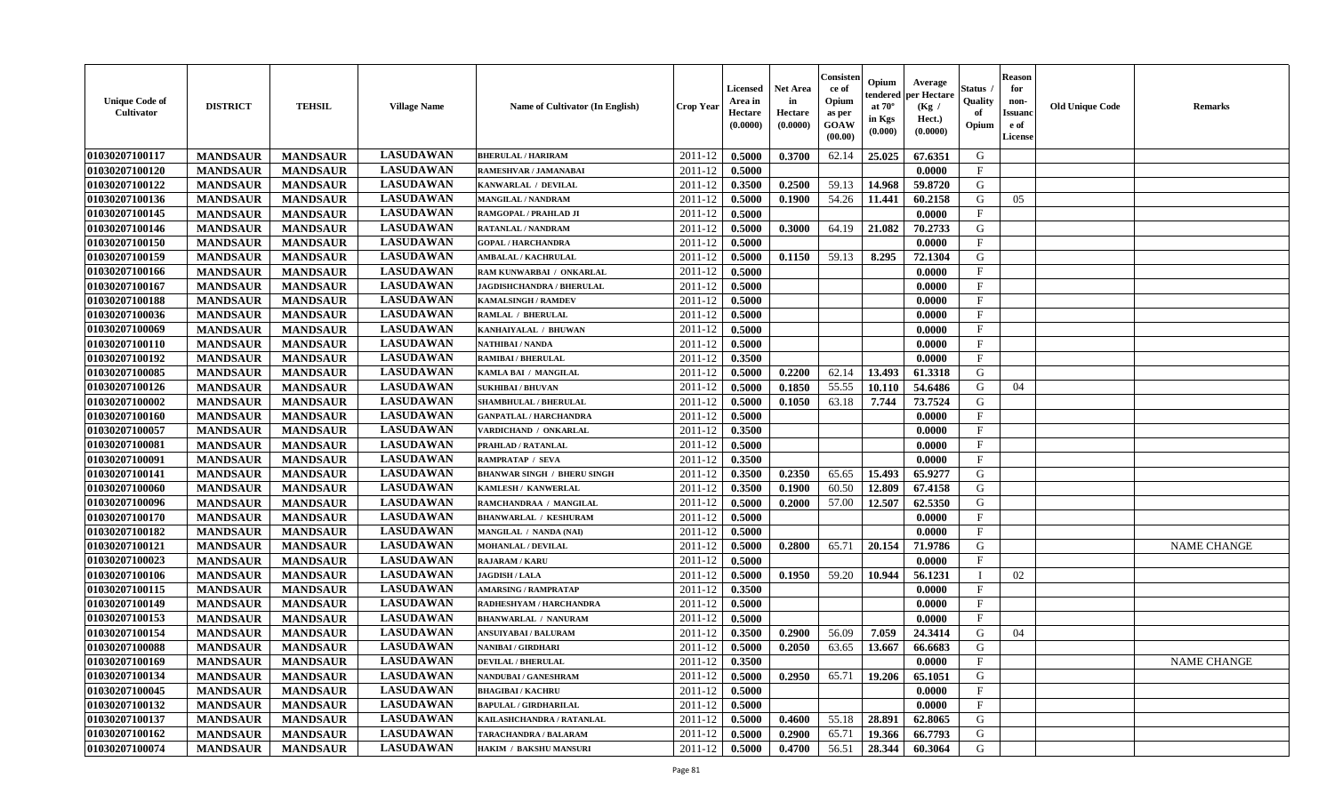| <b>Unique Code of</b><br><b>Cultivator</b> | <b>DISTRICT</b> | <b>TEHSIL</b>   | <b>Village Name</b> | Name of Cultivator (In English)    | <b>Crop Year</b>   | <b>Licensed</b><br>Area in<br>Hectare<br>(0.0000) | <b>Net Area</b><br>in<br>Hectare<br>(0.0000) | Consisteı<br>ce of<br>Opium<br>as per<br><b>GOAW</b><br>(00.00) | Opium<br>endered<br>at $70^\circ$<br>in Kgs<br>$(\mathbf{0.000})$ | Average<br>per Hectare<br>(Kg /<br>Hect.)<br>(0.0000) | Status<br>Quality<br>of<br>Opium | <b>Reason</b><br>for<br>non-<br>Issuan<br>e of<br>License | <b>Old Unique Code</b> | <b>Remarks</b>     |
|--------------------------------------------|-----------------|-----------------|---------------------|------------------------------------|--------------------|---------------------------------------------------|----------------------------------------------|-----------------------------------------------------------------|-------------------------------------------------------------------|-------------------------------------------------------|----------------------------------|-----------------------------------------------------------|------------------------|--------------------|
| 01030207100117                             | <b>MANDSAUR</b> | <b>MANDSAUR</b> | <b>LASUDAWAN</b>    | <b>BHERULAL / HARIRAM</b>          | 2011-12            | 0.5000                                            | 0.3700                                       | 62.14                                                           | 25.025                                                            | 67.6351                                               | G                                |                                                           |                        |                    |
| 01030207100120                             | <b>MANDSAUR</b> | <b>MANDSAUR</b> | <b>LASUDAWAN</b>    | RAMESHVAR / JAMANABAI              | 2011-12            | 0.5000                                            |                                              |                                                                 |                                                                   | 0.0000                                                | $\mathbf{F}$                     |                                                           |                        |                    |
| 01030207100122                             | <b>MANDSAUR</b> | <b>MANDSAUR</b> | <b>LASUDAWAN</b>    | KANWARLAL / DEVILAL                | 2011-12            | 0.3500                                            | 0.2500                                       | 59.13                                                           | 14.968                                                            | 59.8720                                               | G                                |                                                           |                        |                    |
| 01030207100136                             | <b>MANDSAUR</b> | <b>MANDSAUR</b> | <b>LASUDAWAN</b>    | <b>MANGILAL / NANDRAM</b>          | 2011-12            | 0.5000                                            | 0.1900                                       | 54.26                                                           | 11.441                                                            | 60.2158                                               | G                                | 05                                                        |                        |                    |
| 01030207100145                             | <b>MANDSAUR</b> | <b>MANDSAUR</b> | <b>LASUDAWAN</b>    | RAMGOPAL / PRAHLAD JI              | 2011-12            | 0.5000                                            |                                              |                                                                 |                                                                   | 0.0000                                                | $_{\rm F}$                       |                                                           |                        |                    |
| 01030207100146                             | <b>MANDSAUR</b> | <b>MANDSAUR</b> | <b>LASUDAWAN</b>    | <b>RATANLAL / NANDRAM</b>          | 2011-12            | 0.5000                                            | 0.3000                                       | 64.19                                                           | 21.082                                                            | 70.2733                                               | G                                |                                                           |                        |                    |
| 01030207100150                             | <b>MANDSAUR</b> | <b>MANDSAUR</b> | <b>LASUDAWAN</b>    | <b>GOPAL / HARCHANDRA</b>          | 2011-12            | 0.5000                                            |                                              |                                                                 |                                                                   | 0.0000                                                | $\mathbf{F}$                     |                                                           |                        |                    |
| 01030207100159                             | <b>MANDSAUR</b> | <b>MANDSAUR</b> | <b>LASUDAWAN</b>    | <b>AMBALAL / KACHRULAL</b>         | 2011-12            | 0.5000                                            | 0.1150                                       | 59.13                                                           | 8.295                                                             | 72.1304                                               | G                                |                                                           |                        |                    |
| 01030207100166                             | <b>MANDSAUR</b> | <b>MANDSAUR</b> | <b>LASUDAWAN</b>    | RAM KUNWARBAI / ONKARLAL           | 2011-12            | 0.5000                                            |                                              |                                                                 |                                                                   | 0.0000                                                | $_{\rm F}$                       |                                                           |                        |                    |
| 01030207100167                             | <b>MANDSAUR</b> | <b>MANDSAUR</b> | <b>LASUDAWAN</b>    | JAGDISHCHANDRA / BHERULAL          | 2011-12            | 0.5000                                            |                                              |                                                                 |                                                                   | 0.0000                                                | $_{\rm F}$                       |                                                           |                        |                    |
| 01030207100188                             | <b>MANDSAUR</b> | <b>MANDSAUR</b> | <b>LASUDAWAN</b>    | <b>KAMALSINGH / RAMDEV</b>         | 2011-12            | 0.5000                                            |                                              |                                                                 |                                                                   | 0.0000                                                | $\mathbf{F}$                     |                                                           |                        |                    |
| 01030207100036                             | <b>MANDSAUR</b> | <b>MANDSAUR</b> | <b>LASUDAWAN</b>    | <b>RAMLAL / BHERULAL</b>           | 2011-12            | 0.5000                                            |                                              |                                                                 |                                                                   | 0.0000                                                | $_{\rm F}$                       |                                                           |                        |                    |
| 01030207100069                             | <b>MANDSAUR</b> | <b>MANDSAUR</b> | <b>LASUDAWAN</b>    | KANHAIYALAL / BHUWAN               | 2011-12            | 0.5000                                            |                                              |                                                                 |                                                                   | 0.0000                                                | $\mathbf{F}$                     |                                                           |                        |                    |
| 01030207100110                             | <b>MANDSAUR</b> | <b>MANDSAUR</b> | <b>LASUDAWAN</b>    | NATHIBAI / NANDA                   | 2011-12            | 0.5000                                            |                                              |                                                                 |                                                                   | 0.0000                                                | $\mathbf{F}$                     |                                                           |                        |                    |
| 01030207100192                             | <b>MANDSAUR</b> | <b>MANDSAUR</b> | <b>LASUDAWAN</b>    | <b>RAMIBAI / BHERULAL</b>          | 2011-12            | 0.3500                                            |                                              |                                                                 |                                                                   | 0.0000                                                | $\mathbf{F}$                     |                                                           |                        |                    |
| 01030207100085                             | <b>MANDSAUR</b> | <b>MANDSAUR</b> | <b>LASUDAWAN</b>    | KAMLA BAI / MANGILAL               | 2011-12            | 0.5000                                            | 0.2200                                       | 62.14                                                           | 13.493                                                            | 61.3318                                               | G                                |                                                           |                        |                    |
| 01030207100126                             | <b>MANDSAUR</b> | <b>MANDSAUR</b> | <b>LASUDAWAN</b>    | <b>SUKHIBAI / BHUVAN</b>           | 2011-12            | 0.5000                                            | 0.1850                                       | 55.55                                                           | 10.110                                                            | 54.6486                                               | G                                | 04                                                        |                        |                    |
| 01030207100002                             | <b>MANDSAUR</b> | <b>MANDSAUR</b> | <b>LASUDAWAN</b>    | <b>SHAMBHULAL / BHERULAL</b>       | 2011-12            | 0.5000                                            | 0.1050                                       | 63.18                                                           | 7.744                                                             | 73.7524                                               | G                                |                                                           |                        |                    |
| 01030207100160                             | <b>MANDSAUR</b> | <b>MANDSAUR</b> | <b>LASUDAWAN</b>    | <b>GANPATLAL / HARCHANDRA</b>      | 2011-12            | 0.5000                                            |                                              |                                                                 |                                                                   | 0.0000                                                | F                                |                                                           |                        |                    |
| 01030207100057                             | <b>MANDSAUR</b> | <b>MANDSAUR</b> | <b>LASUDAWAN</b>    | VARDICHAND / ONKARLAL              | 2011-12            | 0.3500                                            |                                              |                                                                 |                                                                   | 0.0000                                                | $_{\rm F}$                       |                                                           |                        |                    |
| 01030207100081                             | <b>MANDSAUR</b> | <b>MANDSAUR</b> | <b>LASUDAWAN</b>    | PRAHLAD / RATANLAL                 | 2011-12            | 0.5000                                            |                                              |                                                                 |                                                                   | 0.0000                                                | $\mathbf{F}$                     |                                                           |                        |                    |
| 01030207100091                             | <b>MANDSAUR</b> | <b>MANDSAUR</b> | <b>LASUDAWAN</b>    | RAMPRATAP / SEVA                   | 2011-12            | 0.3500                                            |                                              |                                                                 |                                                                   | 0.0000                                                | $\mathbf{F}$                     |                                                           |                        |                    |
| 01030207100141                             | <b>MANDSAUR</b> | <b>MANDSAUR</b> | <b>LASUDAWAN</b>    | <b>BHANWAR SINGH / BHERU SINGH</b> | 2011-12            | 0.3500                                            | 0.2350                                       | 65.65                                                           | 15.493                                                            | 65.9277                                               | G                                |                                                           |                        |                    |
| 01030207100060                             | <b>MANDSAUR</b> | <b>MANDSAUR</b> | <b>LASUDAWAN</b>    | KAMLESH / KANWERLAL                | 2011-12            | 0.3500                                            | 0.1900                                       | 60.50                                                           | 12.809                                                            | 67.4158                                               | G                                |                                                           |                        |                    |
| 01030207100096                             | <b>MANDSAUR</b> | <b>MANDSAUR</b> | <b>LASUDAWAN</b>    | RAMCHANDRAA / MANGILAL             | 2011-12            | 0.5000                                            | 0.2000                                       | 57.00                                                           | 12.507                                                            | 62.5350                                               | G                                |                                                           |                        |                    |
| 01030207100170                             | <b>MANDSAUR</b> | <b>MANDSAUR</b> | <b>LASUDAWAN</b>    | <b>BHANWARLAL / KESHURAM</b>       | 2011-12            | 0.5000                                            |                                              |                                                                 |                                                                   | 0.0000                                                | $\mathbf{F}$                     |                                                           |                        |                    |
| 01030207100182                             | <b>MANDSAUR</b> | <b>MANDSAUR</b> | <b>LASUDAWAN</b>    | MANGILAL / NANDA (NAI)             | 2011-12            | 0.5000                                            |                                              |                                                                 |                                                                   | 0.0000                                                | $_{\rm F}$                       |                                                           |                        |                    |
| 01030207100121                             | <b>MANDSAUR</b> | <b>MANDSAUR</b> | <b>LASUDAWAN</b>    | <b>MOHANLAL / DEVILAL</b>          | 2011-12            | 0.5000                                            | 0.2800                                       | 65.71                                                           | 20.154                                                            | 71.9786                                               | G                                |                                                           |                        | <b>NAME CHANGE</b> |
| 01030207100023                             | <b>MANDSAUR</b> | <b>MANDSAUR</b> | <b>LASUDAWAN</b>    | <b>RAJARAM / KARU</b>              | 2011-12            | 0.5000                                            |                                              |                                                                 |                                                                   | 0.0000                                                | $\mathbf{F}$                     |                                                           |                        |                    |
| 01030207100106                             | <b>MANDSAUR</b> | <b>MANDSAUR</b> | <b>LASUDAWAN</b>    | <b>JAGDISH / LALA</b>              | 2011-12            | 0.5000                                            | 0.1950                                       | 59.20                                                           | 10.944                                                            | 56.1231                                               | - 1                              | 02                                                        |                        |                    |
| 01030207100115                             | <b>MANDSAUR</b> | <b>MANDSAUR</b> | <b>LASUDAWAN</b>    | <b>AMARSING / RAMPRATAP</b>        | 2011-12            | 0.3500                                            |                                              |                                                                 |                                                                   | 0.0000                                                | $\mathbf{F}$                     |                                                           |                        |                    |
| 01030207100149                             | <b>MANDSAUR</b> | <b>MANDSAUR</b> | <b>LASUDAWAN</b>    | RADHESHYAM / HARCHANDRA            | 2011-12            | 0.5000                                            |                                              |                                                                 |                                                                   | 0.0000                                                | $\mathbf{F}$                     |                                                           |                        |                    |
| 01030207100153                             | <b>MANDSAUR</b> | <b>MANDSAUR</b> | <b>LASUDAWAN</b>    | <b>BHANWARLAL / NANURAM</b>        | 2011-12            | 0.5000                                            |                                              |                                                                 |                                                                   | 0.0000                                                | $\mathbf{F}$                     |                                                           |                        |                    |
| 01030207100154                             | <b>MANDSAUR</b> | <b>MANDSAUR</b> | <b>LASUDAWAN</b>    | <b>ANSUIYABAI/BALURAM</b>          | 2011-12            | 0.3500                                            | 0.2900                                       | 56.09                                                           | 7.059                                                             | 24.3414                                               | G                                | 04                                                        |                        |                    |
| 01030207100088                             | <b>MANDSAUR</b> | <b>MANDSAUR</b> | <b>LASUDAWAN</b>    | NANIBAI / GIRDHARI                 | 2011-12            | 0.5000                                            | 0.2050                                       | 63.65                                                           | 13.667                                                            | 66.6683                                               | G                                |                                                           |                        |                    |
| 01030207100169                             | <b>MANDSAUR</b> | <b>MANDSAUR</b> | <b>LASUDAWAN</b>    | <b>DEVILAL / BHERULAL</b>          | $2011 - 12$ 0.3500 |                                                   |                                              |                                                                 |                                                                   | 0.0000                                                | F                                |                                                           |                        | <b>NAME CHANGE</b> |
| <b>01030207100134</b>                      | <b>MANDSAUR</b> | <b>MANDSAUR</b> | <b>LASUDAWAN</b>    | NANDUBAI / GANESHRAM               | 2011-12            | 0.5000                                            | 0.2950                                       | 65.71                                                           | 19.206                                                            | 65.1051                                               | G                                |                                                           |                        |                    |
| 01030207100045                             | <b>MANDSAUR</b> | <b>MANDSAUR</b> | <b>LASUDAWAN</b>    | <b>BHAGIBAI/KACHRU</b>             | 2011-12            | 0.5000                                            |                                              |                                                                 |                                                                   | 0.0000                                                | $_{\rm F}$                       |                                                           |                        |                    |
| 01030207100132                             | <b>MANDSAUR</b> | <b>MANDSAUR</b> | <b>LASUDAWAN</b>    | <b>BAPULAL / GIRDHARILAL</b>       | 2011-12            | 0.5000                                            |                                              |                                                                 |                                                                   | 0.0000                                                | $\mathbf{F}$                     |                                                           |                        |                    |
| 01030207100137                             | <b>MANDSAUR</b> | <b>MANDSAUR</b> | <b>LASUDAWAN</b>    | KAILASHCHANDRA / RATANLAL          | 2011-12            | 0.5000                                            | 0.4600                                       | 55.18                                                           | 28.891                                                            | 62.8065                                               | G                                |                                                           |                        |                    |
| 01030207100162                             | <b>MANDSAUR</b> | <b>MANDSAUR</b> | <b>LASUDAWAN</b>    | TARACHANDRA / BALARAM              | 2011-12            | 0.5000                                            | 0.2900                                       | 65.71                                                           | 19.366                                                            | 66.7793                                               | G                                |                                                           |                        |                    |
| 01030207100074                             | <b>MANDSAUR</b> | <b>MANDSAUR</b> | <b>LASUDAWAN</b>    | HAKIM / BAKSHU MANSURI             | 2011-12            | 0.5000                                            | 0.4700                                       | 56.51                                                           | 28.344                                                            | 60.3064                                               | G                                |                                                           |                        |                    |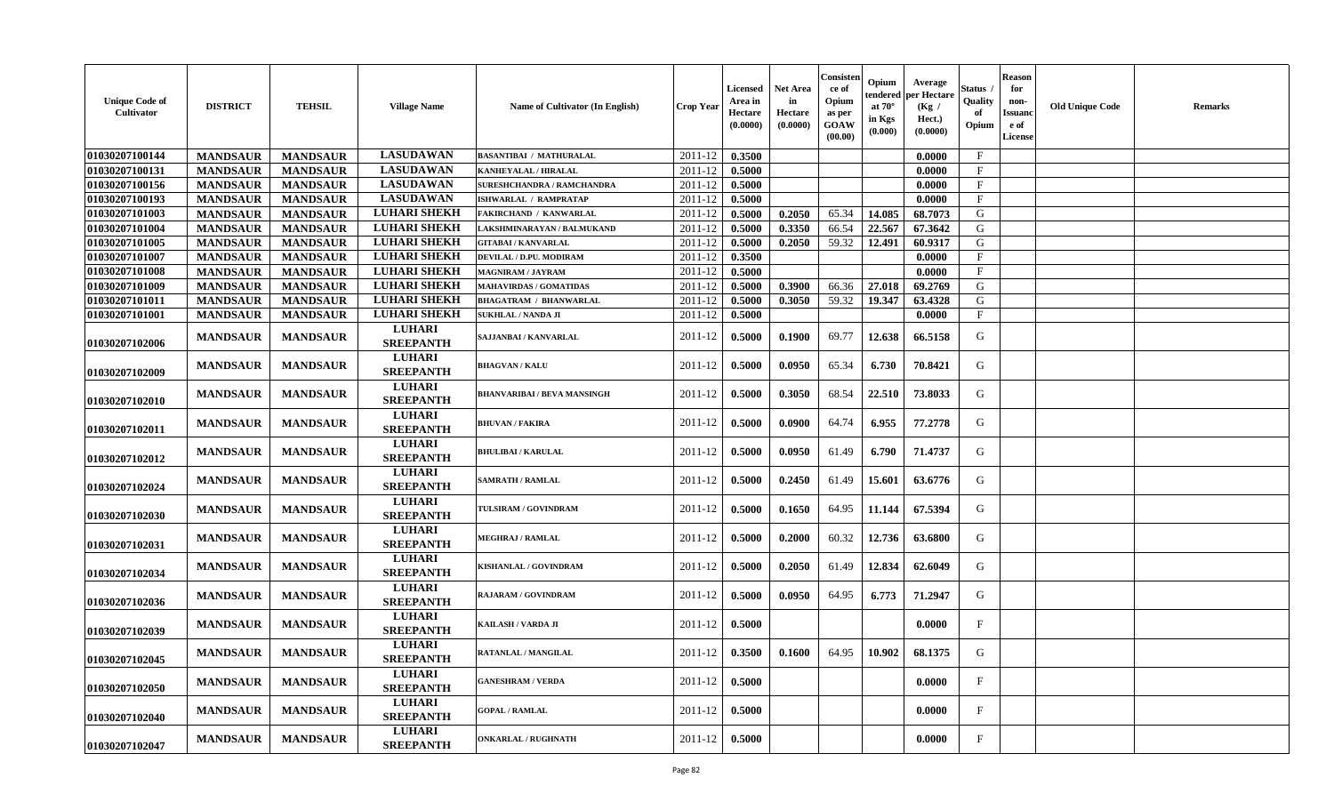| <b>Unique Code of</b><br>Cultivator | <b>DISTRICT</b> | <b>TEHSIL</b>   | <b>Village Name</b>               | Name of Cultivator (In English)    | <b>Crop Year</b> | Licensed<br>Area in<br><b>Hectare</b><br>(0.0000) | Net Area<br>in<br>Hectare<br>(0.0000) | Consisten<br>ce of<br>Opium<br>as per<br>GOAW<br>(00.00) | Opium<br>tendered<br>at $70^\circ$<br>in Kgs<br>(0.000) | Average<br>per Hectare<br>(Kg /<br>Hect.)<br>(0.0000) | Status<br>Quality<br>-o1<br>Opium | <b>Reason</b><br>for<br>non-<br>Issuanc<br>e of<br><b>License</b> | <b>Old Unique Code</b> | <b>Remarks</b> |
|-------------------------------------|-----------------|-----------------|-----------------------------------|------------------------------------|------------------|---------------------------------------------------|---------------------------------------|----------------------------------------------------------|---------------------------------------------------------|-------------------------------------------------------|-----------------------------------|-------------------------------------------------------------------|------------------------|----------------|
| 01030207100144                      | <b>MANDSAUR</b> | <b>MANDSAUR</b> | <b>LASUDAWAN</b>                  | <b>BASANTIBAI / MATHURALAL</b>     | 2011-12          | 0.3500                                            |                                       |                                                          |                                                         | 0.0000                                                | $\mathbf{F}$                      |                                                                   |                        |                |
| 01030207100131                      | <b>MANDSAUR</b> | <b>MANDSAUR</b> | <b>LASUDAWAN</b>                  | <b>KANHEYALAL / HIRALAL</b>        | 2011-12          | 0.5000                                            |                                       |                                                          |                                                         | 0.0000                                                | $\mathbf{F}$                      |                                                                   |                        |                |
| 01030207100156                      | <b>MANDSAUR</b> | <b>MANDSAUR</b> | <b>LASUDAWAN</b>                  | <b>SURESHCHANDRA / RAMCHANDRA</b>  | 2011-12          | 0.5000                                            |                                       |                                                          |                                                         | 0.0000                                                | $\mathbf{F}$                      |                                                                   |                        |                |
| 01030207100193                      | <b>MANDSAUR</b> | <b>MANDSAUR</b> | <b>LASUDAWAN</b>                  | <b>ISHWARLAL / RAMPRATAP</b>       | 2011-12          | 0.5000                                            |                                       |                                                          |                                                         | 0.0000                                                | $\mathbf{F}$                      |                                                                   |                        |                |
| 01030207101003                      | <b>MANDSAUR</b> | <b>MANDSAUR</b> | <b>LUHARI SHEKH</b>               | FAKIRCHAND / KANWARLAL             | 2011-12          | 0.5000                                            | 0.2050                                | 65.34                                                    | 14.085                                                  | 68.7073                                               | G                                 |                                                                   |                        |                |
| 01030207101004                      | <b>MANDSAUR</b> | <b>MANDSAUR</b> | <b>LUHARI SHEKH</b>               | LAKSHMINARAYAN / BALMUKAND         | 2011-12          | 0.5000                                            | 0.3350                                | 66.54                                                    | 22.567                                                  | 67.3642                                               | G                                 |                                                                   |                        |                |
| 01030207101005                      | <b>MANDSAUR</b> | <b>MANDSAUR</b> | <b>LUHARI SHEKH</b>               | <b>GITABAI/KANVARLAL</b>           | 2011-12          | 0.5000                                            | 0.2050                                | 59.32                                                    | 12.491                                                  | 60.9317                                               | G                                 |                                                                   |                        |                |
| 01030207101007                      | <b>MANDSAUR</b> | <b>MANDSAUR</b> | <b>LUHARI SHEKH</b>               | DEVILAL / D.PU. MODIRAM            | 2011-12          | 0.3500                                            |                                       |                                                          |                                                         | 0.0000                                                | $\mathbf F$                       |                                                                   |                        |                |
| 01030207101008                      | <b>MANDSAUR</b> | <b>MANDSAUR</b> | <b>LUHARI SHEKH</b>               | <b>MAGNIRAM / JAYRAM</b>           | 2011-12          | 0.5000                                            |                                       |                                                          |                                                         | 0.0000                                                | $\mathbf{F}$                      |                                                                   |                        |                |
| 01030207101009                      | <b>MANDSAUR</b> | <b>MANDSAUR</b> | <b>LUHARI SHEKH</b>               | <b>MAHAVIRDAS / GOMATIDAS</b>      | 2011-12          | 0.5000                                            | 0.3900                                | 66.36                                                    | 27.018                                                  | 69.2769                                               | G                                 |                                                                   |                        |                |
| 01030207101011                      | <b>MANDSAUR</b> | <b>MANDSAUR</b> | <b>LUHARI SHEKH</b>               | <b>BHAGATRAM / BHANWARLAL</b>      | 2011-12          | 0.5000                                            | 0.3050                                | 59.32                                                    | 19.347                                                  | 63.4328                                               | G                                 |                                                                   |                        |                |
| 01030207101001                      | <b>MANDSAUR</b> | <b>MANDSAUR</b> | <b>LUHARI SHEKH</b>               | <b>SUKHLAL / NANDA JI</b>          | 2011-12          | 0.5000                                            |                                       |                                                          |                                                         | 0.0000                                                | $\mathbf{F}$                      |                                                                   |                        |                |
| 01030207102006                      | <b>MANDSAUR</b> | <b>MANDSAUR</b> | <b>LUHARI</b><br><b>SREEPANTH</b> | SAJJANBAI / KANVARLAL              | 2011-12          | 0.5000                                            | 0.1900                                | 69.77                                                    | 12.638                                                  | 66.5158                                               | G                                 |                                                                   |                        |                |
| 01030207102009                      | <b>MANDSAUR</b> | <b>MANDSAUR</b> | <b>LUHARI</b><br><b>SREEPANTH</b> | <b>BHAGVAN / KALU</b>              | 2011-12          | 0.5000                                            | 0.0950                                | 65.34                                                    | 6.730                                                   | 70.8421                                               | G                                 |                                                                   |                        |                |
| 01030207102010                      | <b>MANDSAUR</b> | <b>MANDSAUR</b> | <b>LUHARI</b><br><b>SREEPANTH</b> | <b>BHANVARIBAI / BEVA MANSINGH</b> | 2011-12          | 0.5000                                            | 0.3050                                | 68.54                                                    | 22.510                                                  | 73.8033                                               | G                                 |                                                                   |                        |                |
| 01030207102011                      | <b>MANDSAUR</b> | <b>MANDSAUR</b> | <b>LUHARI</b><br><b>SREEPANTH</b> | <b>BHUVAN / FAKIRA</b>             | 2011-12          | 0.5000                                            | 0.0900                                | 64.74                                                    | 6.955                                                   | 77.2778                                               | G                                 |                                                                   |                        |                |
| 01030207102012                      | <b>MANDSAUR</b> | <b>MANDSAUR</b> | <b>LUHARI</b><br><b>SREEPANTH</b> | <b>BHULIBAI / KARULAL</b>          | 2011-12          | 0.5000                                            | 0.0950                                | 61.49                                                    | 6.790                                                   | 71.4737                                               | G                                 |                                                                   |                        |                |
| 01030207102024                      | <b>MANDSAUR</b> | <b>MANDSAUR</b> | <b>LUHARI</b><br><b>SREEPANTH</b> | <b>SAMRATH / RAMLAL</b>            | 2011-12          | 0.5000                                            | 0.2450                                | 61.49                                                    | 15.601                                                  | 63.6776                                               | G                                 |                                                                   |                        |                |
| 01030207102030                      | <b>MANDSAUR</b> | <b>MANDSAUR</b> | <b>LUHARI</b><br><b>SREEPANTH</b> | TULSIRAM / GOVINDRAM               | 2011-12          | 0.5000                                            | 0.1650                                | 64.95                                                    | 11.144                                                  | 67.5394                                               | G                                 |                                                                   |                        |                |
| 01030207102031                      | <b>MANDSAUR</b> | <b>MANDSAUR</b> | <b>LUHARI</b><br><b>SREEPANTH</b> | <b>MEGHRAJ / RAMLAL</b>            | 2011-12          | 0.5000                                            | 0.2000                                | 60.32                                                    | 12.736                                                  | 63.6800                                               | G                                 |                                                                   |                        |                |
| 01030207102034                      | <b>MANDSAUR</b> | <b>MANDSAUR</b> | <b>LUHARI</b><br><b>SREEPANTH</b> | KISHANLAL / GOVINDRAM              | 2011-12          | 0.5000                                            | 0.2050                                | 61.49                                                    | 12.834                                                  | 62.6049                                               | G                                 |                                                                   |                        |                |
| 01030207102036                      | <b>MANDSAUR</b> | <b>MANDSAUR</b> | <b>LUHARI</b><br><b>SREEPANTH</b> | <b>RAJARAM / GOVINDRAM</b>         | 2011-12          | 0.5000                                            | 0.0950                                | 64.95                                                    | 6.773                                                   | 71.2947                                               | G                                 |                                                                   |                        |                |
| 01030207102039                      | <b>MANDSAUR</b> | <b>MANDSAUR</b> | <b>LUHARI</b><br><b>SREEPANTH</b> | KAILASH / VARDA JI                 | 2011-12          | 0.5000                                            |                                       |                                                          |                                                         | 0.0000                                                | $_{\rm F}$                        |                                                                   |                        |                |
| 01030207102045                      | <b>MANDSAUR</b> | <b>MANDSAUR</b> | <b>LUHARI</b><br><b>SREEPANTH</b> | RATANLAL / MANGILAL                | 2011-12          | 0.3500                                            | 0.1600                                | 64.95                                                    | 10.902                                                  | 68.1375                                               | G                                 |                                                                   |                        |                |
| 01030207102050                      | <b>MANDSAUR</b> | <b>MANDSAUR</b> | <b>LUHARI</b><br><b>SREEPANTH</b> | <b>GANESHRAM / VERDA</b>           | 2011-12          | 0.5000                                            |                                       |                                                          |                                                         | 0.0000                                                | $\mathbf F$                       |                                                                   |                        |                |
| 01030207102040                      | <b>MANDSAUR</b> | <b>MANDSAUR</b> | <b>LUHARI</b><br><b>SREEPANTH</b> | <b>GOPAL / RAMLAL</b>              | 2011-12          | 0.5000                                            |                                       |                                                          |                                                         | 0.0000                                                | $\mathbf{F}$                      |                                                                   |                        |                |
| 01030207102047                      | <b>MANDSAUR</b> | <b>MANDSAUR</b> | <b>LUHARI</b><br><b>SREEPANTH</b> | <b>ONKARLAL / RUGHNATH</b>         | 2011-12          | 0.5000                                            |                                       |                                                          |                                                         | 0.0000                                                | F                                 |                                                                   |                        |                |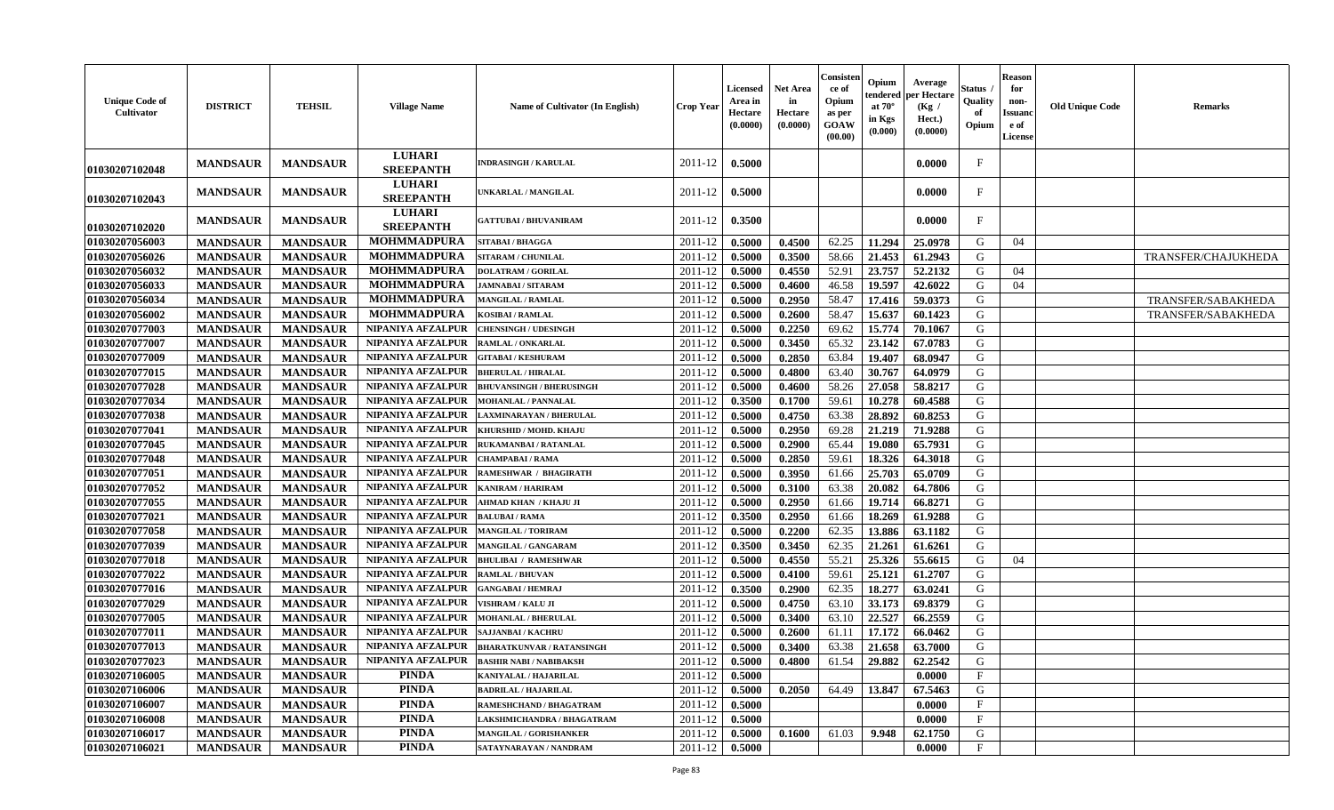| <b>LUHARI</b><br><b>MANDSAUR</b><br>0.5000<br>F<br><b>MANDSAUR</b><br>2011-12<br>0.0000<br><b>INDRASINGH / KARULAL</b><br><b>SREEPANTH</b><br>01030207102048<br><b>LUHARI</b><br><b>MANDSAUR</b><br><b>MANDSAUR</b><br>0.5000<br>0.0000<br>F<br>UNKARLAL / MANGILAL<br>2011-12<br><b>SREEPANTH</b><br>01030207102043<br><b>LUHARI</b><br>0.3500<br><b>MANDSAUR</b><br><b>MANDSAUR</b><br>0.0000<br>F<br>2011-12<br><b>GATTUBAI/BHUVANIRAM</b><br><b>SREEPANTH</b><br>01030207102020<br>01030207056003<br><b>MANDSAUR</b><br><b>MANDSAUR</b><br><b>MOHMMADPURA</b><br>2011-12<br>0.5000<br>0.4500<br>62.25<br>11.294<br>25.0978<br>G<br>04<br>SITABAI / BHAGGA<br>01030207056026<br><b>MOHMMADPURA</b><br>58.66<br><b>MANDSAUR</b><br><b>MANDSAUR</b><br>2011-12<br>0.5000<br>0.3500<br>21.453<br>61.2943<br>G<br><b>SITARAM / CHUNILAL</b><br>TRANSFER/CHAJUKHEDA |  |
|-------------------------------------------------------------------------------------------------------------------------------------------------------------------------------------------------------------------------------------------------------------------------------------------------------------------------------------------------------------------------------------------------------------------------------------------------------------------------------------------------------------------------------------------------------------------------------------------------------------------------------------------------------------------------------------------------------------------------------------------------------------------------------------------------------------------------------------------------------------------|--|
|                                                                                                                                                                                                                                                                                                                                                                                                                                                                                                                                                                                                                                                                                                                                                                                                                                                                   |  |
|                                                                                                                                                                                                                                                                                                                                                                                                                                                                                                                                                                                                                                                                                                                                                                                                                                                                   |  |
|                                                                                                                                                                                                                                                                                                                                                                                                                                                                                                                                                                                                                                                                                                                                                                                                                                                                   |  |
|                                                                                                                                                                                                                                                                                                                                                                                                                                                                                                                                                                                                                                                                                                                                                                                                                                                                   |  |
|                                                                                                                                                                                                                                                                                                                                                                                                                                                                                                                                                                                                                                                                                                                                                                                                                                                                   |  |
| 01030207056032<br><b>MOHMMADPURA</b><br>52.91<br><b>MANDSAUR</b><br>2011-12<br>0.5000<br>0.4550<br>23.757<br>52.2132<br>G<br>04<br><b>MANDSAUR</b><br><b>DOLATRAM / GORILAL</b>                                                                                                                                                                                                                                                                                                                                                                                                                                                                                                                                                                                                                                                                                   |  |
| <b>MOHMMADPURA</b><br>01030207056033<br>2011-12<br>0.5000<br>46.58<br>19.597<br>42.6022<br>G<br>04<br><b>MANDSAUR</b><br><b>MANDSAUR</b><br>0.4600<br><b>JAMNABAI / SITARAM</b>                                                                                                                                                                                                                                                                                                                                                                                                                                                                                                                                                                                                                                                                                   |  |
| <b>MOHMMADPURA</b><br>01030207056034<br><b>MANDSAUR</b><br><b>MANDSAUR</b><br>2011-12<br>0.5000<br>0.2950<br>58.47<br>17.416<br>59.0373<br>G<br>TRANSFER/SABAKHEDA<br><b>MANGILAL / RAMLAL</b>                                                                                                                                                                                                                                                                                                                                                                                                                                                                                                                                                                                                                                                                    |  |
| <b>MOHMMADPURA</b><br>01030207056002<br><b>MANDSAUR</b><br>0.2600<br>58.47<br>15.637<br>60.1423<br>G<br><b>MANDSAUR</b><br>2011-12<br>0.5000<br><b>KOSIBAI/RAMLAL</b><br><b>TRANSFER/SABAKHEDA</b>                                                                                                                                                                                                                                                                                                                                                                                                                                                                                                                                                                                                                                                                |  |
| 01030207077003<br><b>MANDSAUR</b><br>0.2250<br>69.62<br>15.774<br><b>MANDSAUR</b><br>NIPANIYA AFZALPUR<br>2011-12<br>0.5000<br>70.1067<br>G<br><b>CHENSINGH / UDESINGH</b>                                                                                                                                                                                                                                                                                                                                                                                                                                                                                                                                                                                                                                                                                        |  |
| 01030207077007<br><b>MANDSAUR</b><br><b>MANDSAUR</b><br>NIPANIYA AFZALPUR<br>0.5000<br>0.3450<br>65.32<br>23.142<br>67.0783<br>G<br>RAMLAL / ONKARLAL<br>2011-12                                                                                                                                                                                                                                                                                                                                                                                                                                                                                                                                                                                                                                                                                                  |  |
| 0.5000<br>0.2850<br>63.84<br>G<br>01030207077009<br><b>MANDSAUR</b><br><b>MANDSAUR</b><br>NIPANIYA AFZALPUR<br>2011-12<br>19.407<br>68.0947<br><b>GITABAI/KESHURAM</b>                                                                                                                                                                                                                                                                                                                                                                                                                                                                                                                                                                                                                                                                                            |  |
| G<br>01030207077015<br><b>MANDSAUR</b><br>NIPANIYA AFZALPUR<br>2011-12<br>0.5000<br>0.4800<br>63.40<br>30.767<br><b>MANDSAUR</b><br>64.0979<br><b>BHERULAL / HIRALAL</b>                                                                                                                                                                                                                                                                                                                                                                                                                                                                                                                                                                                                                                                                                          |  |
| 01030207077028<br>58.26<br><b>MANDSAUR</b><br><b>MANDSAUR</b><br>NIPANIYA AFZALPUR<br>2011-12<br>0.5000<br>0.4600<br>27.058<br>58.8217<br>G<br><b>BHUVANSINGH / BHERUSINGH</b>                                                                                                                                                                                                                                                                                                                                                                                                                                                                                                                                                                                                                                                                                    |  |
| 01030207077034<br>59.61<br>10.278<br><b>MANDSAUR</b><br><b>MANDSAUR</b><br>NIPANIYA AFZALPUR<br>2011-12<br>0.3500<br>60.4588<br>G<br>0.1700<br><b>MOHANLAL / PANNALAL</b>                                                                                                                                                                                                                                                                                                                                                                                                                                                                                                                                                                                                                                                                                         |  |
| <b>MANDSAUR</b><br>28.892<br>01030207077038<br><b>MANDSAUR</b><br><b>NIPANIYA AFZALPUR</b><br>0.5000<br>0.4750<br>63.38<br>60.8253<br>G<br>2011-12<br>LAXMINARAYAN / BHERULAL                                                                                                                                                                                                                                                                                                                                                                                                                                                                                                                                                                                                                                                                                     |  |
| 01030207077041<br><b>MANDSAUR</b><br>0.5000<br>0.2950<br>69.28<br>21.219<br>71.9288<br><b>MANDSAUR</b><br>NIPANIYA AFZALPUR<br>KHURSHID / MOHD. KHAJU<br>2011-12<br>G                                                                                                                                                                                                                                                                                                                                                                                                                                                                                                                                                                                                                                                                                             |  |
| 0.2900<br>65.44<br>65.7931<br>01030207077045<br><b>MANDSAUR</b><br><b>MANDSAUR</b><br>NIPANIYA AFZALPUR<br>2011-12<br>0.5000<br>19.080<br>G<br>RUKAMANBAI / RATANLAL                                                                                                                                                                                                                                                                                                                                                                                                                                                                                                                                                                                                                                                                                              |  |
| 01030207077048<br><b>MANDSAUR</b><br><b>MANDSAUR</b><br>NIPANIYA AFZALPUR<br>0.5000<br>0.2850<br>59.61<br>18.326<br>64.3018<br>G<br>2011-12<br><b>CHAMPABAI/RAMA</b>                                                                                                                                                                                                                                                                                                                                                                                                                                                                                                                                                                                                                                                                                              |  |
| 25.703<br>01030207077051<br><b>MANDSAUR</b><br>0.5000<br>0.3950<br>61.66<br>65.0709<br>G<br><b>MANDSAUR</b><br>NIPANIYA AFZALPUR<br>2011-12<br>RAMESHWAR / BHAGIRATH                                                                                                                                                                                                                                                                                                                                                                                                                                                                                                                                                                                                                                                                                              |  |
| 01030207077052<br><b>MANDSAUR</b><br>NIPANIYA AFZALPUR<br>2011-12<br>0.5000<br>0.3100<br>63.38<br>20.082<br>64.7806<br>G<br><b>MANDSAUR</b><br><b>KANIRAM / HARIRAM</b>                                                                                                                                                                                                                                                                                                                                                                                                                                                                                                                                                                                                                                                                                           |  |
| 01030207077055<br><b>MANDSAUR</b><br><b>MANDSAUR</b><br>NIPANIYA AFZALPUR<br>2011-12<br>0.5000<br>0.2950<br>61.66<br>19.714<br>66.8271<br>G<br>AHMAD KHAN / KHAJU JI                                                                                                                                                                                                                                                                                                                                                                                                                                                                                                                                                                                                                                                                                              |  |
| G<br>01030207077021<br>NIPANIYA AFZALPUR<br>2011-12<br>0.3500<br>0.2950<br>18.269<br><b>MANDSAUR</b><br><b>MANDSAUR</b><br>61.66<br>61.9288<br><b>BALUBAI/RAMA</b>                                                                                                                                                                                                                                                                                                                                                                                                                                                                                                                                                                                                                                                                                                |  |
| 62.35<br>NIPANIYA AFZALPUR<br>0.5000<br>0.2200<br>13.886<br>63.1182<br>G<br>01030207077058<br><b>MANDSAUR</b><br><b>MANDSAUR</b><br>2011-12<br><b>MANGILAL / TORIRAM</b>                                                                                                                                                                                                                                                                                                                                                                                                                                                                                                                                                                                                                                                                                          |  |
| 01030207077039<br><b>MANDSAUR</b><br><b>MANDSAUR</b><br>NIPANIYA AFZALPUR<br>0.3500<br>0.3450<br>62.35<br>21.261<br>2011-12<br>61.6261<br>G<br>MANGILAL / GANGARAM                                                                                                                                                                                                                                                                                                                                                                                                                                                                                                                                                                                                                                                                                                |  |
| 55.21<br>25.326<br>01030207077018<br><b>MANDSAUR</b><br><b>MANDSAUR</b><br>NIPANIYA AFZALPUR<br>2011-12<br>0.5000<br>0.4550<br>55.6615<br>G<br>04<br><b>BHULIBAI / RAMESHWAR</b>                                                                                                                                                                                                                                                                                                                                                                                                                                                                                                                                                                                                                                                                                  |  |
| 01030207077022<br><b>MANDSAUR</b><br><b>MANDSAUR</b><br>NIPANIYA AFZALPUR<br>59.61<br>25.12<br>61.2707<br>G<br>2011-12<br>0.5000<br>0.4100<br><b>RAMLAL / BHUVAN</b>                                                                                                                                                                                                                                                                                                                                                                                                                                                                                                                                                                                                                                                                                              |  |
| 01030207077016<br><b>MANDSAUR</b><br><b>MANDSAUR</b><br>NIPANIYA AFZALPUR<br><b>GANGABAI / HEMRAJ</b><br>2011-12<br>0.3500<br>0.2900<br>62.35<br>18.277<br>63.0241<br>G                                                                                                                                                                                                                                                                                                                                                                                                                                                                                                                                                                                                                                                                                           |  |
| 01030207077029<br>NIPANIYA AFZALPUR<br>2011-12<br>0.5000<br>0.4750<br>63.10<br>33.173<br>69.8379<br>G<br><b>MANDSAUR</b><br><b>MANDSAUR</b><br><b>VISHRAM / KALU JI</b>                                                                                                                                                                                                                                                                                                                                                                                                                                                                                                                                                                                                                                                                                           |  |
| 01030207077005<br>NIPANIYA AFZALPUR<br>22.527<br>G<br><b>MANDSAUR</b><br><b>MANDSAUR</b><br>2011-12<br>0.5000<br>0.3400<br>63.10<br>66.2559<br><b>MOHANLAL / BHERULAL</b>                                                                                                                                                                                                                                                                                                                                                                                                                                                                                                                                                                                                                                                                                         |  |
| NIPANIYA AFZALPUR<br>G<br>01030207077011<br><b>MANDSAUR</b><br><b>MANDSAUR</b><br>2011-12<br>0.5000<br>0.2600<br>61.11<br>17.172<br>66.0462<br>SAJJANBAI / KACHRU                                                                                                                                                                                                                                                                                                                                                                                                                                                                                                                                                                                                                                                                                                 |  |
| NIPANIYA AFZALPUR<br>0.5000<br>0.3400<br>63.38<br>21.658<br>63.7000<br>G<br>01030207077013<br><b>MANDSAUR</b><br><b>MANDSAUR</b><br>2011-12<br><b>BHARATKUNVAR / RATANSINGH</b>                                                                                                                                                                                                                                                                                                                                                                                                                                                                                                                                                                                                                                                                                   |  |
| 01030207077023<br>62.2542<br>G<br>MANDSAUR<br>NIPANIYA AFZALPUR<br><b>BASHIR NABI / NABIBAKSH</b><br>$2011 - 12$   0.5000<br>0.4800<br>$61.54$   29.882  <br><b>MANDSAUR</b>                                                                                                                                                                                                                                                                                                                                                                                                                                                                                                                                                                                                                                                                                      |  |
| PINDA<br>$\mathbf{F}$<br>01030207106005<br>2011-12<br>0.5000<br><b>MANDSAUR</b><br><b>MANDSAUR</b><br>KANIYALAL / HAJARILAL<br>0.0000                                                                                                                                                                                                                                                                                                                                                                                                                                                                                                                                                                                                                                                                                                                             |  |
| <b>PINDA</b><br>01030207106006<br><b>MANDSAUR</b><br><b>MANDSAUR</b><br>2011-12<br>0.5000<br>0.2050<br>64.49<br>13.847<br>67.5463<br>G<br><b>BADRILAL / HAJARILAL</b>                                                                                                                                                                                                                                                                                                                                                                                                                                                                                                                                                                                                                                                                                             |  |
| <b>PINDA</b><br>01030207106007<br><b>MANDSAUR</b><br><b>MANDSAUR</b><br>0.5000<br>$\mathbf F$<br>RAMESHCHAND / BHAGATRAM<br>2011-12<br>0.0000                                                                                                                                                                                                                                                                                                                                                                                                                                                                                                                                                                                                                                                                                                                     |  |
| 01030207106008<br><b>PINDA</b><br>$\mathbf{F}$<br>2011-12<br><b>MANDSAUR</b><br><b>MANDSAUR</b><br>0.5000<br>0.0000<br>LAKSHMICHANDRA / BHAGATRAM                                                                                                                                                                                                                                                                                                                                                                                                                                                                                                                                                                                                                                                                                                                 |  |
| 01030207106017<br><b>PINDA</b><br>G<br>2011-12<br>61.03<br>9.948<br>62.1750<br><b>MANDSAUR</b><br><b>MANDSAUR</b><br><b>MANGILAL / GORISHANKER</b><br>0.5000<br>0.1600                                                                                                                                                                                                                                                                                                                                                                                                                                                                                                                                                                                                                                                                                            |  |
| 01030207106021<br><b>PINDA</b><br>2011-12<br>0.5000<br>$\mathbf{F}$<br><b>MANDSAUR</b><br><b>MANDSAUR</b><br>SATAYNARAYAN / NANDRAM<br>0.0000                                                                                                                                                                                                                                                                                                                                                                                                                                                                                                                                                                                                                                                                                                                     |  |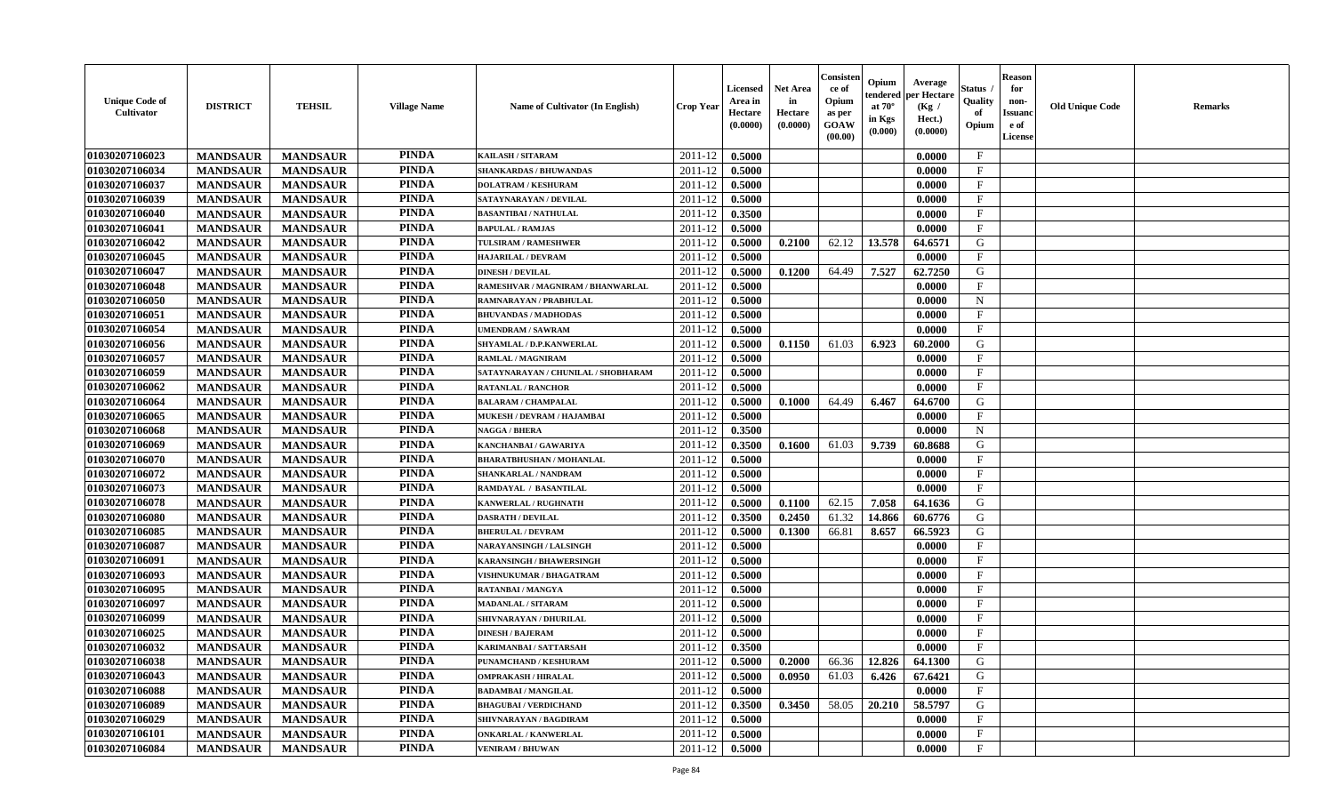| <b>Unique Code of</b><br><b>Cultivator</b> | <b>DISTRICT</b> | <b>TEHSIL</b>   | <b>Village Name</b> | Name of Cultivator (In English)     | <b>Crop Year</b> | <b>Licensed</b><br>Area in<br>Hectare<br>(0.0000) | <b>Net Area</b><br>in<br>Hectare<br>(0.0000) | Consister<br>ce of<br>Opium<br>as per<br><b>GOAW</b><br>(00.00) | Opium<br>endered<br>at $70^\circ$<br>in Kgs<br>(0.000) | Average<br>per Hectare<br>(Kg)<br>Hect.)<br>(0.0000) | Status<br>Quality<br>of<br>Opium | <b>Reason</b><br>for<br>non-<br><b>Issuand</b><br>e of<br><b>License</b> | <b>Old Unique Code</b> | <b>Remarks</b> |
|--------------------------------------------|-----------------|-----------------|---------------------|-------------------------------------|------------------|---------------------------------------------------|----------------------------------------------|-----------------------------------------------------------------|--------------------------------------------------------|------------------------------------------------------|----------------------------------|--------------------------------------------------------------------------|------------------------|----------------|
| 01030207106023                             | <b>MANDSAUR</b> | <b>MANDSAUR</b> | <b>PINDA</b>        | <b>KAILASH / SITARAM</b>            | 2011-12          | 0.5000                                            |                                              |                                                                 |                                                        | 0.0000                                               | $\mathbf{F}$                     |                                                                          |                        |                |
| 01030207106034                             | <b>MANDSAUR</b> | <b>MANDSAUR</b> | <b>PINDA</b>        | <b>SHANKARDAS / BHUWANDAS</b>       | 2011-12          | 0.5000                                            |                                              |                                                                 |                                                        | 0.0000                                               | $\mathbf F$                      |                                                                          |                        |                |
| 01030207106037                             | <b>MANDSAUR</b> | <b>MANDSAUR</b> | <b>PINDA</b>        | <b>DOLATRAM / KESHURAM</b>          | 2011-12          | 0.5000                                            |                                              |                                                                 |                                                        | 0.0000                                               | $\mathbf{F}$                     |                                                                          |                        |                |
| 01030207106039                             | <b>MANDSAUR</b> | <b>MANDSAUR</b> | <b>PINDA</b>        | SATAYNARAYAN / DEVILAL              | 2011-12          | 0.5000                                            |                                              |                                                                 |                                                        | 0.0000                                               | $\mathbf{F}$                     |                                                                          |                        |                |
| 01030207106040                             | <b>MANDSAUR</b> | <b>MANDSAUR</b> | <b>PINDA</b>        | <b>BASANTIBAI / NATHULAL</b>        | 2011-12          | 0.3500                                            |                                              |                                                                 |                                                        | 0.0000                                               | $_{\rm F}$                       |                                                                          |                        |                |
| 01030207106041                             | <b>MANDSAUR</b> | <b>MANDSAUR</b> | <b>PINDA</b>        | <b>BAPULAL / RAMJAS</b>             | 2011-12          | 0.5000                                            |                                              |                                                                 |                                                        | 0.0000                                               | $_{\rm F}$                       |                                                                          |                        |                |
| 01030207106042                             | <b>MANDSAUR</b> | <b>MANDSAUR</b> | <b>PINDA</b>        | <b>TULSIRAM / RAMESHWER</b>         | 2011-12          | 0.5000                                            | 0.2100                                       | 62.12                                                           | 13.578                                                 | 64.6571                                              | G                                |                                                                          |                        |                |
| 01030207106045                             | <b>MANDSAUR</b> | <b>MANDSAUR</b> | <b>PINDA</b>        | HAJARILAL / DEVRAM                  | 2011-12          | 0.5000                                            |                                              |                                                                 |                                                        | 0.0000                                               | $\mathbf{F}$                     |                                                                          |                        |                |
| 01030207106047                             | <b>MANDSAUR</b> | <b>MANDSAUR</b> | <b>PINDA</b>        | <b>DINESH / DEVILAL</b>             | 2011-12          | 0.5000                                            | 0.1200                                       | 64.49                                                           | 7.527                                                  | 62.7250                                              | G                                |                                                                          |                        |                |
| 01030207106048                             | <b>MANDSAUR</b> | <b>MANDSAUR</b> | <b>PINDA</b>        | RAMESHVAR / MAGNIRAM / BHANWARLAL   | 2011-12          | 0.5000                                            |                                              |                                                                 |                                                        | 0.0000                                               | $\mathbf{F}$                     |                                                                          |                        |                |
| 01030207106050                             | <b>MANDSAUR</b> | <b>MANDSAUR</b> | <b>PINDA</b>        | RAMNARAYAN / PRABHULAL              | 2011-12          | 0.5000                                            |                                              |                                                                 |                                                        | 0.0000                                               | $\mathbf N$                      |                                                                          |                        |                |
| 01030207106051                             | <b>MANDSAUR</b> | <b>MANDSAUR</b> | <b>PINDA</b>        | <b>BHUVANDAS / MADHODAS</b>         | 2011-12          | 0.5000                                            |                                              |                                                                 |                                                        | 0.0000                                               | $\mathbf{F}$                     |                                                                          |                        |                |
| 01030207106054                             | <b>MANDSAUR</b> | <b>MANDSAUR</b> | <b>PINDA</b>        | <b>UMENDRAM / SAWRAM</b>            | 2011-12          | 0.5000                                            |                                              |                                                                 |                                                        | 0.0000                                               | $\mathbf{F}$                     |                                                                          |                        |                |
| 01030207106056                             | <b>MANDSAUR</b> | <b>MANDSAUR</b> | <b>PINDA</b>        | SHYAMLAL / D.P.KANWERLAL            | 2011-12          | 0.5000                                            | 0.1150                                       | 61.03                                                           | 6.923                                                  | 60.2000                                              | G                                |                                                                          |                        |                |
| 01030207106057                             | <b>MANDSAUR</b> | <b>MANDSAUR</b> | <b>PINDA</b>        | <b>RAMLAL / MAGNIRAM</b>            | 2011-12          | 0.5000                                            |                                              |                                                                 |                                                        | 0.0000                                               | $\mathbf{F}$                     |                                                                          |                        |                |
| 01030207106059                             | <b>MANDSAUR</b> | <b>MANDSAUR</b> | <b>PINDA</b>        | SATAYNARAYAN / CHUNILAL / SHOBHARAM | 2011-12          | 0.5000                                            |                                              |                                                                 |                                                        | 0.0000                                               | $_{\rm F}$                       |                                                                          |                        |                |
| 01030207106062                             | <b>MANDSAUR</b> | <b>MANDSAUR</b> | <b>PINDA</b>        | <b>RATANLAL / RANCHOR</b>           | 2011-12          | 0.5000                                            |                                              |                                                                 |                                                        | 0.0000                                               | $\mathbf{F}$                     |                                                                          |                        |                |
| 01030207106064                             | <b>MANDSAUR</b> | <b>MANDSAUR</b> | <b>PINDA</b>        | <b>BALARAM / CHAMPALAL</b>          | 2011-12          | 0.5000                                            | 0.1000                                       | 64.49                                                           | 6.467                                                  | 64.6700                                              | G                                |                                                                          |                        |                |
| 01030207106065                             | <b>MANDSAUR</b> | <b>MANDSAUR</b> | <b>PINDA</b>        | MUKESH / DEVRAM / HAJAMBAI          | 2011-12          | 0.5000                                            |                                              |                                                                 |                                                        | 0.0000                                               | $\mathbf{F}$                     |                                                                          |                        |                |
| 01030207106068                             | <b>MANDSAUR</b> | <b>MANDSAUR</b> | <b>PINDA</b>        | <b>NAGGA / BHERA</b>                | 2011-12          | 0.3500                                            |                                              |                                                                 |                                                        | 0.0000                                               | $\mathbf N$                      |                                                                          |                        |                |
| 01030207106069                             | <b>MANDSAUR</b> | <b>MANDSAUR</b> | <b>PINDA</b>        | <b>KANCHANBAI / GAWARIYA</b>        | 2011-12          | 0.3500                                            | 0.1600                                       | 61.03                                                           | 9.739                                                  | 60.8688                                              | G                                |                                                                          |                        |                |
| 01030207106070                             | <b>MANDSAUR</b> | <b>MANDSAUR</b> | <b>PINDA</b>        | <b>BHARATBHUSHAN / MOHANLAL</b>     | 2011-12          | 0.5000                                            |                                              |                                                                 |                                                        | 0.0000                                               | $_{\rm F}$                       |                                                                          |                        |                |
| 01030207106072                             | <b>MANDSAUR</b> | <b>MANDSAUR</b> | <b>PINDA</b>        | SHANKARLAL / NANDRAM                | 2011-12          | 0.5000                                            |                                              |                                                                 |                                                        | 0.0000                                               | $\mathbf{F}$                     |                                                                          |                        |                |
| 01030207106073                             | <b>MANDSAUR</b> | <b>MANDSAUR</b> | <b>PINDA</b>        | RAMDAYAL / BASANTILAL               | 2011-12          | 0.5000                                            |                                              |                                                                 |                                                        | 0.0000                                               | $\mathbf{F}$                     |                                                                          |                        |                |
| 01030207106078                             | <b>MANDSAUR</b> | <b>MANDSAUR</b> | <b>PINDA</b>        | <b>KANWERLAL / RUGHNATH</b>         | 2011-12          | 0.5000                                            | 0.1100                                       | 62.15                                                           | 7.058                                                  | 64.1636                                              | G                                |                                                                          |                        |                |
| 01030207106080                             | <b>MANDSAUR</b> | <b>MANDSAUR</b> | <b>PINDA</b>        | <b>DASRATH / DEVILAL</b>            | 2011-12          | 0.3500                                            | 0.2450                                       | 61.32                                                           | 14.866                                                 | 60.6776                                              | G                                |                                                                          |                        |                |
| 01030207106085                             | <b>MANDSAUR</b> | <b>MANDSAUR</b> | <b>PINDA</b>        | <b>BHERULAL / DEVRAM</b>            | 2011-12          | 0.5000                                            | 0.1300                                       | 66.81                                                           | 8.657                                                  | 66.5923                                              | G                                |                                                                          |                        |                |
| 01030207106087                             | <b>MANDSAUR</b> | <b>MANDSAUR</b> | <b>PINDA</b>        | NARAYANSINGH / LALSINGH             | 2011-12          | 0.5000                                            |                                              |                                                                 |                                                        | 0.0000                                               | $_{\rm F}$                       |                                                                          |                        |                |
| 01030207106091                             | <b>MANDSAUR</b> | <b>MANDSAUR</b> | <b>PINDA</b>        | <b>KARANSINGH / BHAWERSINGH</b>     | 2011-12          | 0.5000                                            |                                              |                                                                 |                                                        | 0.0000                                               | $\rm F$                          |                                                                          |                        |                |
| 01030207106093                             | <b>MANDSAUR</b> | <b>MANDSAUR</b> | <b>PINDA</b>        | VISHNUKUMAR / BHAGATRAM             | 2011-12          | 0.5000                                            |                                              |                                                                 |                                                        | 0.0000                                               | $\mathbf{F}$                     |                                                                          |                        |                |
| 01030207106095                             | <b>MANDSAUR</b> | <b>MANDSAUR</b> | <b>PINDA</b>        | <b>RATANBAI/MANGYA</b>              | 2011-12          | 0.5000                                            |                                              |                                                                 |                                                        | 0.0000                                               | F                                |                                                                          |                        |                |
| 01030207106097                             | <b>MANDSAUR</b> | <b>MANDSAUR</b> | <b>PINDA</b>        | <b>MADANLAL / SITARAM</b>           | 2011-12          | 0.5000                                            |                                              |                                                                 |                                                        | 0.0000                                               | $\mathbf{F}$                     |                                                                          |                        |                |
| 01030207106099                             | <b>MANDSAUR</b> | <b>MANDSAUR</b> | <b>PINDA</b>        | SHIVNARAYAN / DHURILAL              | 2011-12          | 0.5000                                            |                                              |                                                                 |                                                        | 0.0000                                               | $\mathbf{F}$                     |                                                                          |                        |                |
| 01030207106025                             | <b>MANDSAUR</b> | <b>MANDSAUR</b> | <b>PINDA</b>        | <b>DINESH / BAJERAM</b>             | 2011-12          | 0.5000                                            |                                              |                                                                 |                                                        | 0.0000                                               | $\mathbf{F}$                     |                                                                          |                        |                |
| 01030207106032                             | <b>MANDSAUR</b> | <b>MANDSAUR</b> | <b>PINDA</b>        | KARIMANBAI / SATTARSAH              | 2011-12          | 0.3500                                            |                                              |                                                                 |                                                        | 0.0000                                               | $\mathbf{F}$                     |                                                                          |                        |                |
| 01030207106038                             | <b>MANDSAUR</b> | <b>MANDSAUR</b> | <b>PINDA</b>        | PUNAMCHAND / KESHURAM               | 2011-12          | 0.5000                                            | 0.2000                                       | 66.36                                                           | 12.826                                                 | 64.1300                                              | G                                |                                                                          |                        |                |
| 01030207106043                             | <b>MANDSAUR</b> | <b>MANDSAUR</b> | <b>PINDA</b>        | <b>OMPRAKASH / HIRALAL</b>          | 2011-12          | 0.5000                                            | 0.0950                                       | 61.03                                                           | 6.426                                                  | 67.6421                                              | G                                |                                                                          |                        |                |
| 01030207106088                             | <b>MANDSAUR</b> | <b>MANDSAUR</b> | <b>PINDA</b>        | <b>BADAMBAI/MANGILAL</b>            | 2011-12          | 0.5000                                            |                                              |                                                                 |                                                        | 0.0000                                               | $\mathbf{F}$                     |                                                                          |                        |                |
| 01030207106089                             | <b>MANDSAUR</b> | <b>MANDSAUR</b> | <b>PINDA</b>        | <b>BHAGUBAI / VERDICHAND</b>        | 2011-12          | 0.3500                                            | 0.3450                                       | 58.05                                                           | 20.210                                                 | 58.5797                                              | G                                |                                                                          |                        |                |
| 01030207106029                             | <b>MANDSAUR</b> | <b>MANDSAUR</b> | <b>PINDA</b>        | SHIVNARAYAN / BAGDIRAM              | 2011-12          | 0.5000                                            |                                              |                                                                 |                                                        | 0.0000                                               | F                                |                                                                          |                        |                |
| 01030207106101                             | <b>MANDSAUR</b> | <b>MANDSAUR</b> | <b>PINDA</b>        | <b>ONKARLAL / KANWERLAL</b>         | 2011-12          | 0.5000                                            |                                              |                                                                 |                                                        | 0.0000                                               | $\mathbf{F}$                     |                                                                          |                        |                |
| 01030207106084                             | <b>MANDSAUR</b> | <b>MANDSAUR</b> | <b>PINDA</b>        | <b>VENIRAM / BHUWAN</b>             | 2011-12          | 0.5000                                            |                                              |                                                                 |                                                        | 0.0000                                               | $\mathbf{F}$                     |                                                                          |                        |                |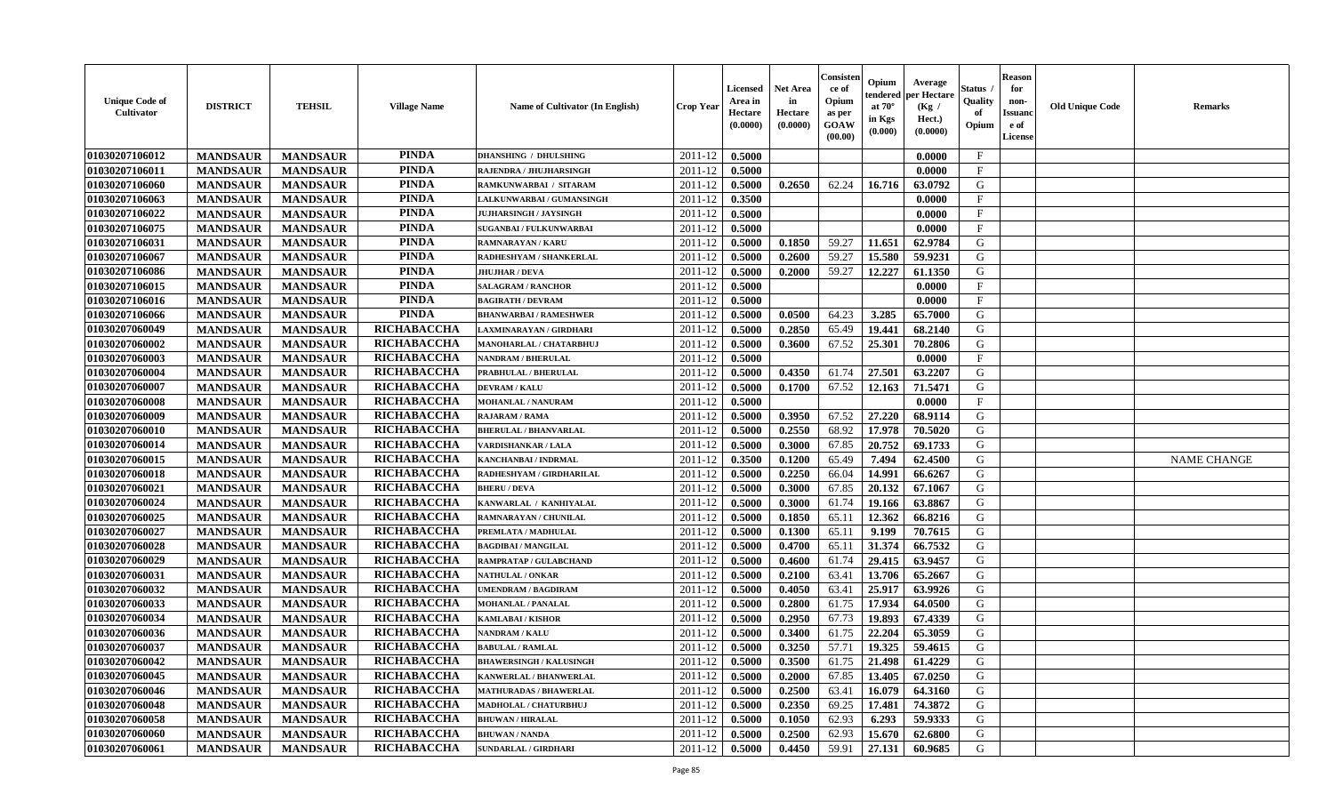| <b>Unique Code of</b><br><b>Cultivator</b> | <b>DISTRICT</b> | <b>TEHSIL</b>   | <b>Village Name</b> | Name of Cultivator (In English) | <b>Crop Year</b> | Licensed<br>Area in<br>Hectare<br>(0.0000) | <b>Net Area</b><br>in<br>Hectare<br>(0.0000) | Consisteı<br>ce of<br>Opium<br>as per<br>GOAW<br>(00.00) | Opium<br>endered<br>at $70^\circ$<br>in Kgs<br>(0.000) | Average<br>per Hectare<br>(Kg /<br>Hect.)<br>(0.0000) | Status<br>Quality<br>of<br>Opium | <b>Reason</b><br>for<br>non-<br><b>Issuand</b><br>e of<br><b>License</b> | <b>Old Unique Code</b> | <b>Remarks</b>     |
|--------------------------------------------|-----------------|-----------------|---------------------|---------------------------------|------------------|--------------------------------------------|----------------------------------------------|----------------------------------------------------------|--------------------------------------------------------|-------------------------------------------------------|----------------------------------|--------------------------------------------------------------------------|------------------------|--------------------|
| 01030207106012                             | <b>MANDSAUR</b> | <b>MANDSAUR</b> | <b>PINDA</b>        | <b>DHANSHING / DHULSHING</b>    | 2011-12          | 0.5000                                     |                                              |                                                          |                                                        | 0.0000                                                | $\mathbf{F}$                     |                                                                          |                        |                    |
| 01030207106011                             | <b>MANDSAUR</b> | <b>MANDSAUR</b> | <b>PINDA</b>        | RAJENDRA / JHUJHARSINGH         | 2011-12          | 0.5000                                     |                                              |                                                          |                                                        | 0.0000                                                | $\mathbf{F}$                     |                                                                          |                        |                    |
| 01030207106060                             | <b>MANDSAUR</b> | <b>MANDSAUR</b> | <b>PINDA</b>        | RAMKUNWARBAI / SITARAM          | 2011-12          | 0.5000                                     | 0.2650                                       | 62.24                                                    | 16.716                                                 | 63.0792                                               | G                                |                                                                          |                        |                    |
| 01030207106063                             | <b>MANDSAUR</b> | <b>MANDSAUR</b> | <b>PINDA</b>        | LALKUNWARBAI / GUMANSINGH       | 2011-12          | 0.3500                                     |                                              |                                                          |                                                        | 0.0000                                                | $\mathbf{F}$                     |                                                                          |                        |                    |
| 01030207106022                             | <b>MANDSAUR</b> | <b>MANDSAUR</b> | <b>PINDA</b>        | <b>JUJHARSINGH / JAYSINGH</b>   | 2011-12          | 0.5000                                     |                                              |                                                          |                                                        | 0.0000                                                | $\mathbf{F}$                     |                                                                          |                        |                    |
| 01030207106075                             | <b>MANDSAUR</b> | <b>MANDSAUR</b> | <b>PINDA</b>        | <b>SUGANBAI/FULKUNWARBAI</b>    | 2011-12          | 0.5000                                     |                                              |                                                          |                                                        | 0.0000                                                | $\mathbf{F}$                     |                                                                          |                        |                    |
| 01030207106031                             | <b>MANDSAUR</b> | <b>MANDSAUR</b> | <b>PINDA</b>        | <b>RAMNARAYAN / KARU</b>        | 2011-12          | 0.5000                                     | 0.1850                                       | 59.27                                                    | 11.651                                                 | 62.9784                                               | G                                |                                                                          |                        |                    |
| 01030207106067                             | <b>MANDSAUR</b> | <b>MANDSAUR</b> | <b>PINDA</b>        | RADHESHYAM / SHANKERLAL         | 2011-12          | 0.5000                                     | 0.2600                                       | 59.27                                                    | 15.580                                                 | 59.9231                                               | G                                |                                                                          |                        |                    |
| 01030207106086                             | <b>MANDSAUR</b> | <b>MANDSAUR</b> | <b>PINDA</b>        | <b>JHUJHAR / DEVA</b>           | 2011-12          | 0.5000                                     | 0.2000                                       | 59.27                                                    | 12.227                                                 | 61.1350                                               | G                                |                                                                          |                        |                    |
| 01030207106015                             | <b>MANDSAUR</b> | <b>MANDSAUR</b> | <b>PINDA</b>        | <b>SALAGRAM / RANCHOR</b>       | 2011-12          | 0.5000                                     |                                              |                                                          |                                                        | 0.0000                                                | $\mathbf{F}$                     |                                                                          |                        |                    |
| 01030207106016                             | <b>MANDSAUR</b> | <b>MANDSAUR</b> | <b>PINDA</b>        | <b>BAGIRATH / DEVRAM</b>        | 2011-12          | 0.5000                                     |                                              |                                                          |                                                        | 0.0000                                                | $\mathbf F$                      |                                                                          |                        |                    |
| 01030207106066                             | <b>MANDSAUR</b> | <b>MANDSAUR</b> | <b>PINDA</b>        | <b>BHANWARBAI/RAMESHWER</b>     | 2011-12          | 0.5000                                     | 0.0500                                       | 64.23                                                    | 3.285                                                  | 65.7000                                               | G                                |                                                                          |                        |                    |
| 01030207060049                             | <b>MANDSAUR</b> | <b>MANDSAUR</b> | RICHABACCHA         | LAXMINARAYAN / GIRDHARI         | 2011-12          | 0.5000                                     | 0.2850                                       | 65.49                                                    | 19.441                                                 | 68.2140                                               | G                                |                                                                          |                        |                    |
| 01030207060002                             | <b>MANDSAUR</b> | <b>MANDSAUR</b> | RICHABACCHA         | MANOHARLAL / CHATARBHUJ         | 2011-12          | 0.5000                                     | 0.3600                                       | 67.52                                                    | 25.301                                                 | 70.2806                                               | G                                |                                                                          |                        |                    |
| 01030207060003                             | <b>MANDSAUR</b> | <b>MANDSAUR</b> | RICHABACCHA         | NANDRAM / BHERULAL              | 2011-12          | 0.5000                                     |                                              |                                                          |                                                        | 0.0000                                                | $\mathbf{F}$                     |                                                                          |                        |                    |
| 01030207060004                             | <b>MANDSAUR</b> | <b>MANDSAUR</b> | RICHABACCHA         | PRABHULAL / BHERULAL            | 2011-12          | 0.5000                                     | 0.4350                                       | 61.74                                                    | 27.501                                                 | 63.2207                                               | G                                |                                                                          |                        |                    |
| 01030207060007                             | <b>MANDSAUR</b> | <b>MANDSAUR</b> | RICHABACCHA         | <b>DEVRAM / KALU</b>            | 2011-12          | 0.5000                                     | 0.1700                                       | 67.52                                                    | 12.163                                                 | 71.5471                                               | G                                |                                                                          |                        |                    |
| 01030207060008                             | <b>MANDSAUR</b> | <b>MANDSAUR</b> | RICHABACCHA         | MOHANLAL / NANURAM              | 2011-12          | 0.5000                                     |                                              |                                                          |                                                        | 0.0000                                                | $\mathbf{F}$                     |                                                                          |                        |                    |
| 01030207060009                             | <b>MANDSAUR</b> | <b>MANDSAUR</b> | RICHABACCHA         | <b>RAJARAM / RAMA</b>           | 2011-12          | 0.5000                                     | 0.3950                                       | 67.52                                                    | 27.220                                                 | 68.9114                                               | G                                |                                                                          |                        |                    |
| 01030207060010                             | <b>MANDSAUR</b> | <b>MANDSAUR</b> | RICHABACCHA         | <b>BHERULAL / BHANVARLAL</b>    | 2011-12          | 0.5000                                     | 0.2550                                       | 68.92                                                    | 17.978                                                 | 70.5020                                               | G                                |                                                                          |                        |                    |
| 01030207060014                             | <b>MANDSAUR</b> | <b>MANDSAUR</b> | RICHABACCHA         | VARDISHANKAR / LALA             | 2011-12          | 0.5000                                     | 0.3000                                       | 67.85                                                    | 20.752                                                 | 69.1733                                               | G                                |                                                                          |                        |                    |
| 01030207060015                             | <b>MANDSAUR</b> | <b>MANDSAUR</b> | RICHABACCHA         | KANCHANBAI / INDRMAL            | 2011-12          | 0.3500                                     | 0.1200                                       | 65.49                                                    | 7.494                                                  | 62.4500                                               | G                                |                                                                          |                        | <b>NAME CHANGE</b> |
| 01030207060018                             | <b>MANDSAUR</b> | <b>MANDSAUR</b> | RICHABACCHA         | RADHESHYAM / GIRDHARILAL        | 2011-12          | 0.5000                                     | 0.2250                                       | 66.04                                                    | 14.991                                                 | 66.6267                                               | G                                |                                                                          |                        |                    |
| 01030207060021                             | <b>MANDSAUR</b> | <b>MANDSAUR</b> | RICHABACCHA         | <b>BHERU / DEVA</b>             | 2011-12          | 0.5000                                     | 0.3000                                       | 67.85                                                    | 20.132                                                 | 67.1067                                               | G                                |                                                                          |                        |                    |
| 01030207060024                             | <b>MANDSAUR</b> | <b>MANDSAUR</b> | RICHABACCHA         | KANWARLAL / KANHIYALAL          | 2011-12          | 0.5000                                     | 0.3000                                       | 61.74                                                    | 19.166                                                 | 63.8867                                               | G                                |                                                                          |                        |                    |
| 01030207060025                             | <b>MANDSAUR</b> | <b>MANDSAUR</b> | RICHABACCHA         | RAMNARAYAN / CHUNILAL           | $2011 - 12$      | 0.5000                                     | 0.1850                                       | 65.11                                                    | 12.362                                                 | 66.8216                                               | G                                |                                                                          |                        |                    |
| 01030207060027                             | <b>MANDSAUR</b> | <b>MANDSAUR</b> | RICHABACCHA         | PREMLATA / MADHULAL             | 2011-12          | 0.5000                                     | 0.1300                                       | 65.11                                                    | 9.199                                                  | 70.7615                                               | G                                |                                                                          |                        |                    |
| 01030207060028                             | <b>MANDSAUR</b> | <b>MANDSAUR</b> | RICHABACCHA         | <b>BAGDIBAI / MANGILAL</b>      | 2011-12          | 0.5000                                     | 0.4700                                       | 65.11                                                    | 31.374                                                 | 66.7532                                               | G                                |                                                                          |                        |                    |
| 01030207060029                             | <b>MANDSAUR</b> | <b>MANDSAUR</b> | RICHABACCHA         | RAMPRATAP / GULABCHAND          | 2011-12          | 0.5000                                     | 0.4600                                       | 61.74                                                    | 29.415                                                 | 63.9457                                               | G                                |                                                                          |                        |                    |
| 01030207060031                             | <b>MANDSAUR</b> | <b>MANDSAUR</b> | RICHABACCHA         | NATHULAL / ONKAR                | 2011-12          | 0.5000                                     | 0.2100                                       | 63.41                                                    | 13.706                                                 | 65.2667                                               | G                                |                                                                          |                        |                    |
| 01030207060032                             | <b>MANDSAUR</b> | <b>MANDSAUR</b> | <b>RICHABACCHA</b>  | <b>JMENDRAM / BAGDIRAM</b>      | 2011-12          | 0.5000                                     | 0.4050                                       | 63.41                                                    | 25.917                                                 | 63.9926                                               | ${\bf G}$                        |                                                                          |                        |                    |
| 01030207060033                             | <b>MANDSAUR</b> | <b>MANDSAUR</b> | RICHABACCHA         | <b>MOHANLAL / PANALAL</b>       | 2011-12          | 0.5000                                     | 0.2800                                       | 61.75                                                    | 17.934                                                 | 64.0500                                               | G                                |                                                                          |                        |                    |
| 01030207060034                             | <b>MANDSAUR</b> | <b>MANDSAUR</b> | RICHABACCHA         | KAMLABAI / KISHOR               | 2011-12          | 0.5000                                     | 0.2950                                       | 67.73                                                    | 19.893                                                 | 67.4339                                               | G                                |                                                                          |                        |                    |
| 01030207060036                             | <b>MANDSAUR</b> | <b>MANDSAUR</b> | RICHABACCHA         | <b>NANDRAM / KALU</b>           | 2011-12          | 0.5000                                     | 0.3400                                       | 61.75                                                    | 22.204                                                 | 65.3059                                               | G                                |                                                                          |                        |                    |
| 01030207060037                             | <b>MANDSAUR</b> | <b>MANDSAUR</b> | RICHABACCHA         | <b>BABULAL / RAMLAL</b>         | 2011-12          | 0.5000                                     | 0.3250                                       | 57.71                                                    | 19.325                                                 | 59.4615                                               | G                                |                                                                          |                        |                    |
| 01030207060042                             | <b>MANDSAUR</b> | <b>MANDSAUR</b> | RICHABACCHA         | <b>BHAWERSINGH / KALUSINGH</b>  | 2011-12          | 0.5000                                     | 0.3500                                       | 61.75                                                    | 21.498                                                 | 61.4229                                               | G                                |                                                                          |                        |                    |
| 01030207060045                             | <b>MANDSAUR</b> | <b>MANDSAUR</b> | RICHABACCHA         | KANWERLAL / BHANWERLAL          | 2011-12          | 0.5000                                     | 0.2000                                       | 67.85                                                    | 13.405                                                 | 67.0250                                               | G                                |                                                                          |                        |                    |
| 01030207060046                             | <b>MANDSAUR</b> | <b>MANDSAUR</b> | RICHABACCHA         | <b>MATHURADAS / BHAWERLAL</b>   | 2011-12          | 0.5000                                     | 0.2500                                       | 63.41                                                    | 16.079                                                 | 64.3160                                               | G                                |                                                                          |                        |                    |
| 01030207060048                             | <b>MANDSAUR</b> | <b>MANDSAUR</b> | RICHABACCHA         | <b>MADHOLAL / CHATURBHUJ</b>    | 2011-12          | 0.5000                                     | 0.2350                                       | 69.25                                                    | 17.481                                                 | 74.3872                                               | G                                |                                                                          |                        |                    |
| 01030207060058                             | <b>MANDSAUR</b> | <b>MANDSAUR</b> | RICHABACCHA         | <b>BHUWAN / HIRALAL</b>         | 2011-12          | 0.5000                                     | 0.1050                                       | 62.93                                                    | 6.293                                                  | 59.9333                                               | G                                |                                                                          |                        |                    |
| 01030207060060                             | <b>MANDSAUR</b> | <b>MANDSAUR</b> | RICHABACCHA         | <b>BHUWAN / NANDA</b>           | 2011-12          | 0.5000                                     | 0.2500                                       | 62.93                                                    | 15.670                                                 | 62.6800                                               | G                                |                                                                          |                        |                    |
| 01030207060061                             | <b>MANDSAUR</b> | <b>MANDSAUR</b> | RICHABACCHA         | <b>SUNDARLAL / GIRDHARI</b>     | 2011-12          | 0.5000                                     | 0.4450                                       | 59.91                                                    | 27.131                                                 | 60.9685                                               | G                                |                                                                          |                        |                    |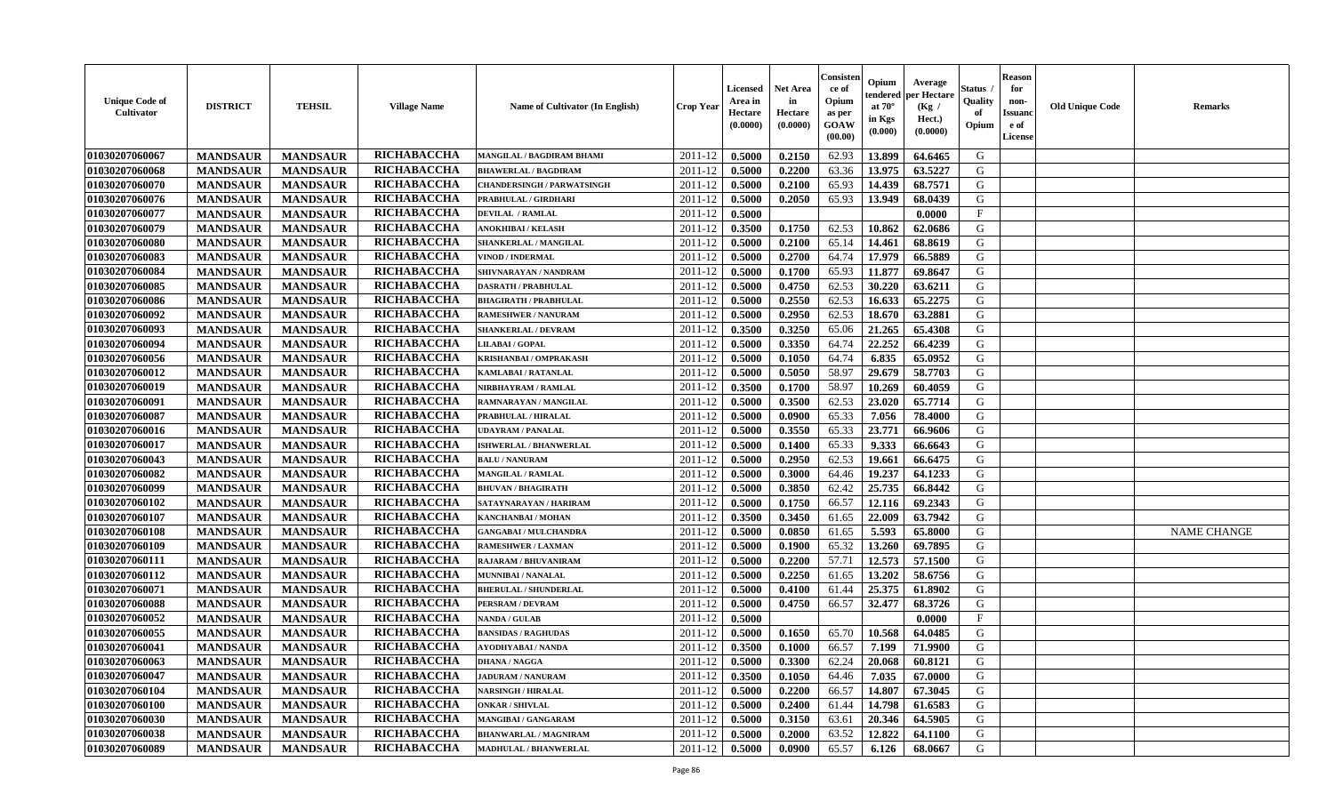| <b>Unique Code of</b><br>Cultivator | <b>DISTRICT</b> | <b>TEHSIL</b>   | <b>Village Name</b> | <b>Name of Cultivator (In English)</b> | <b>Crop Year</b>   | <b>Licensed</b><br>Area in<br>Hectare<br>(0.0000) | <b>Net Area</b><br>in<br>Hectare<br>(0.0000) | Consister<br>ce of<br>Opium<br>as per<br><b>GOAW</b><br>(00.00) | Opium<br>endered<br>at $70^{\circ}$<br>in Kgs<br>$(\mathbf{0.000})$ | Average<br>per Hectare<br>(Kg /<br>Hect.)<br>(0.0000) | Status<br>Quality<br>of<br>Opium | <b>Reason</b><br>for<br>non-<br><b>Issuanc</b><br>e of<br>License | <b>Old Unique Code</b> | <b>Remarks</b>     |
|-------------------------------------|-----------------|-----------------|---------------------|----------------------------------------|--------------------|---------------------------------------------------|----------------------------------------------|-----------------------------------------------------------------|---------------------------------------------------------------------|-------------------------------------------------------|----------------------------------|-------------------------------------------------------------------|------------------------|--------------------|
| 01030207060067                      | <b>MANDSAUR</b> | <b>MANDSAUR</b> | RICHABACCHA         | MANGILAL / BAGDIRAM BHAMI              | 2011-12            | 0.5000                                            | 0.2150                                       | 62.93                                                           | 13.899                                                              | 64.6465                                               | G                                |                                                                   |                        |                    |
| 01030207060068                      | <b>MANDSAUR</b> | <b>MANDSAUR</b> | RICHABACCHA         | <b>BHAWERLAL / BAGDIRAM</b>            | 2011-12            | 0.5000                                            | 0.2200                                       | 63.36                                                           | 13.975                                                              | 63.5227                                               | G                                |                                                                   |                        |                    |
| 01030207060070                      | <b>MANDSAUR</b> | <b>MANDSAUR</b> | RICHABACCHA         | <b>CHANDERSINGH / PARWATSINGH</b>      | 2011-12            | 0.5000                                            | 0.2100                                       | 65.93                                                           | 14.439                                                              | 68.7571                                               | G                                |                                                                   |                        |                    |
| 01030207060076                      | <b>MANDSAUR</b> | <b>MANDSAUR</b> | RICHABACCHA         | PRABHULAL / GIRDHARI                   | 2011-12            | 0.5000                                            | 0.2050                                       | 65.93                                                           | 13.949                                                              | 68.0439                                               | G                                |                                                                   |                        |                    |
| 01030207060077                      | <b>MANDSAUR</b> | <b>MANDSAUR</b> | RICHABACCHA         | <b>DEVILAL / RAMLAL</b>                | 2011-12            | 0.5000                                            |                                              |                                                                 |                                                                     | 0.0000                                                | $\mathbf{F}$                     |                                                                   |                        |                    |
| 01030207060079                      | <b>MANDSAUR</b> | <b>MANDSAUR</b> | RICHABACCHA         | <b>ANOKHIBAI / KELASH</b>              | 2011-12            | 0.3500                                            | 0.1750                                       | 62.53                                                           | 10.862                                                              | 62.0686                                               | G                                |                                                                   |                        |                    |
| 01030207060080                      | <b>MANDSAUR</b> | <b>MANDSAUR</b> | RICHABACCHA         | SHANKERLAL / MANGILAL                  | 2011-12            | 0.5000                                            | 0.2100                                       | 65.14                                                           | 14.461                                                              | 68.8619                                               | G                                |                                                                   |                        |                    |
| 01030207060083                      | <b>MANDSAUR</b> | <b>MANDSAUR</b> | RICHABACCHA         | <b>VINOD / INDERMAL</b>                | 2011-12            | 0.5000                                            | 0.2700                                       | 64.74                                                           | 17.979                                                              | 66.5889                                               | G                                |                                                                   |                        |                    |
| 01030207060084                      | <b>MANDSAUR</b> | <b>MANDSAUR</b> | RICHABACCHA         | SHIVNARAYAN / NANDRAM                  | 2011-12            | 0.5000                                            | 0.1700                                       | 65.93                                                           | 11.877                                                              | 69.8647                                               | G                                |                                                                   |                        |                    |
| 01030207060085                      | <b>MANDSAUR</b> | <b>MANDSAUR</b> | RICHABACCHA         | <b>DASRATH / PRABHULAL</b>             | 2011-12            | 0.5000                                            | 0.4750                                       | 62.53                                                           | 30.220                                                              | 63.6211                                               | G                                |                                                                   |                        |                    |
| 01030207060086                      | <b>MANDSAUR</b> | <b>MANDSAUR</b> | RICHABACCHA         | <b>BHAGIRATH / PRABHULAL</b>           | 2011-12            | 0.5000                                            | 0.2550                                       | 62.53                                                           | 16.633                                                              | 65,2275                                               | G                                |                                                                   |                        |                    |
| 01030207060092                      | <b>MANDSAUR</b> | <b>MANDSAUR</b> | RICHABACCHA         | <b>RAMESHWER / NANURAM</b>             | 2011-12            | 0.5000                                            | 0.2950                                       | 62.53                                                           | 18.670                                                              | 63.2881                                               | G                                |                                                                   |                        |                    |
| 01030207060093                      | <b>MANDSAUR</b> | <b>MANDSAUR</b> | RICHABACCHA         | <b>SHANKERLAL / DEVRAM</b>             | 2011-12            | 0.3500                                            | 0.3250                                       | 65.06                                                           | 21.265                                                              | 65.4308                                               | G                                |                                                                   |                        |                    |
| 01030207060094                      | <b>MANDSAUR</b> | <b>MANDSAUR</b> | RICHABACCHA         | LILABAI / GOPAL                        | 2011-12            | 0.5000                                            | 0.3350                                       | 64.74                                                           | 22.252                                                              | 66.4239                                               | G                                |                                                                   |                        |                    |
| 01030207060056                      | <b>MANDSAUR</b> | <b>MANDSAUR</b> | RICHABACCHA         | KRISHANBAI / OMPRAKASH                 | 2011-12            | 0.5000                                            | 0.1050                                       | 64.74                                                           | 6.835                                                               | 65.0952                                               | G                                |                                                                   |                        |                    |
| 01030207060012                      | <b>MANDSAUR</b> | <b>MANDSAUR</b> | RICHABACCHA         | KAMLABAI / RATANLAL                    | 2011-12            | 0.5000                                            | 0.5050                                       | 58.97                                                           | 29.679                                                              | 58.7703                                               | G                                |                                                                   |                        |                    |
| 01030207060019                      | <b>MANDSAUR</b> | <b>MANDSAUR</b> | RICHABACCHA         | NIRBHAYRAM / RAMLAL                    | 2011-12            | 0.3500                                            | 0.1700                                       | 58.97                                                           | 10.269                                                              | 60.4059                                               | G                                |                                                                   |                        |                    |
| 01030207060091                      | <b>MANDSAUR</b> | <b>MANDSAUR</b> | RICHABACCHA         | RAMNARAYAN / MANGILAL                  | 2011-12            | 0.5000                                            | 0.3500                                       | 62.53                                                           | 23.020                                                              | 65.7714                                               | G                                |                                                                   |                        |                    |
| 01030207060087                      | <b>MANDSAUR</b> | <b>MANDSAUR</b> | RICHABACCHA         | PRABHULAL / HIRALAL                    | 2011-12            | 0.5000                                            | 0.0900                                       | 65.33                                                           | 7.056                                                               | 78.4000                                               | G                                |                                                                   |                        |                    |
| 01030207060016                      | <b>MANDSAUR</b> | <b>MANDSAUR</b> | RICHABACCHA         | <b>UDAYRAM / PANALAL</b>               | 2011-12            | 0.5000                                            | 0.3550                                       | 65.33                                                           | 23.771                                                              | 66.9606                                               | G                                |                                                                   |                        |                    |
| 01030207060017                      | <b>MANDSAUR</b> | <b>MANDSAUR</b> | RICHABACCHA         | <b>ISHWERLAL / BHANWERLAL</b>          | 2011-12            | 0.5000                                            | 0.1400                                       | 65.33                                                           | 9.333                                                               | 66.6643                                               | G                                |                                                                   |                        |                    |
| 01030207060043                      | <b>MANDSAUR</b> | <b>MANDSAUR</b> | RICHABACCHA         | <b>BALU / NANURAM</b>                  | 2011-12            | 0.5000                                            | 0.2950                                       | 62.53                                                           | 19.661                                                              | 66.6475                                               | G                                |                                                                   |                        |                    |
| 01030207060082                      | <b>MANDSAUR</b> | <b>MANDSAUR</b> | RICHABACCHA         | <b>MANGILAL / RAMLAL</b>               | 2011-12            | 0.5000                                            | 0.3000                                       | 64.46                                                           | 19.237                                                              | 64.1233                                               | G                                |                                                                   |                        |                    |
| 01030207060099                      | <b>MANDSAUR</b> | <b>MANDSAUR</b> | RICHABACCHA         | <b>BHUVAN / BHAGIRATH</b>              | 2011-12            | 0.5000                                            | 0.3850                                       | 62.42                                                           | 25.735                                                              | 66.8442                                               | G                                |                                                                   |                        |                    |
| 01030207060102                      | <b>MANDSAUR</b> | <b>MANDSAUR</b> | RICHABACCHA         | SATAYNARAYAN / HARIRAM                 | 2011-12            | 0.5000                                            | 0.1750                                       | 66.57                                                           | 12.116                                                              | 69.2343                                               | G                                |                                                                   |                        |                    |
| 01030207060107                      | <b>MANDSAUR</b> | <b>MANDSAUR</b> | RICHABACCHA         | KANCHANBAI / MOHAN                     | 2011-12            | 0.3500                                            | 0.3450                                       | 61.65                                                           | 22.009                                                              | 63.7942                                               | G                                |                                                                   |                        |                    |
| 01030207060108                      | <b>MANDSAUR</b> | <b>MANDSAUR</b> | RICHABACCHA         | <b>GANGABAI / MULCHANDRA</b>           | 2011-12            | 0.5000                                            | 0.0850                                       | 61.65                                                           | 5.593                                                               | 65.8000                                               | G                                |                                                                   |                        | <b>NAME CHANGE</b> |
| 01030207060109                      | <b>MANDSAUR</b> | <b>MANDSAUR</b> | RICHABACCHA         | <b>RAMESHWER / LAXMAN</b>              | 2011-12            | 0.5000                                            | 0.1900                                       | 65.32                                                           | 13.260                                                              | 69.7895                                               | G                                |                                                                   |                        |                    |
| 01030207060111                      | <b>MANDSAUR</b> | <b>MANDSAUR</b> | RICHABACCHA         | RAJARAM / BHUVANIRAM                   | 2011-12            | 0.5000                                            | 0.2200                                       | 57.71                                                           | 12.573                                                              | 57.1500                                               | G                                |                                                                   |                        |                    |
| 01030207060112                      | <b>MANDSAUR</b> | <b>MANDSAUR</b> | RICHABACCHA         | <b>MUNNIBAI / NANALAL</b>              | 2011-12            | 0.5000                                            | 0.2250                                       | 61.65                                                           | 13.202                                                              | 58.6756                                               | G                                |                                                                   |                        |                    |
| 01030207060071                      | <b>MANDSAUR</b> | <b>MANDSAUR</b> | RICHABACCHA         | <b>BHERULAL / SHUNDERLAL</b>           | 2011-12            | 0.5000                                            | 0.4100                                       | 61.44                                                           | 25.375                                                              | 61.8902                                               | G                                |                                                                   |                        |                    |
| 01030207060088                      | <b>MANDSAUR</b> | <b>MANDSAUR</b> | RICHABACCHA         | PERSRAM / DEVRAM                       | 2011-12            | 0.5000                                            | 0.4750                                       | 66.57                                                           | 32.477                                                              | 68.3726                                               | G                                |                                                                   |                        |                    |
| 01030207060052                      | <b>MANDSAUR</b> | <b>MANDSAUR</b> | RICHABACCHA         | <b>NANDA / GULAB</b>                   | 2011-12            | 0.5000                                            |                                              |                                                                 |                                                                     | 0.0000                                                | $\mathbf{F}$                     |                                                                   |                        |                    |
| 01030207060055                      | <b>MANDSAUR</b> | <b>MANDSAUR</b> | RICHABACCHA         | <b>BANSIDAS / RAGHUDAS</b>             | 2011-12            | 0.5000                                            | 0.1650                                       | 65.70                                                           | 10.568                                                              | 64.0485                                               | G                                |                                                                   |                        |                    |
| 01030207060041                      | <b>MANDSAUR</b> | <b>MANDSAUR</b> | <b>RICHABACCHA</b>  | AYODHYABAI/NANDA                       | 2011-12            | 0.3500                                            | 0.1000                                       | 66.57                                                           | 7.199                                                               | 71.9900                                               | G                                |                                                                   |                        |                    |
| 01030207060063                      | <b>MANDSAUR</b> | MANDSAUR        | RICHABACCHA         | <b>DHANA / NAGGA</b>                   | $2011 - 12$ 0.5000 |                                                   | 0.3300                                       | 62.24                                                           |                                                                     | 20.068 60.8121                                        | G                                |                                                                   |                        |                    |
| 01030207060047                      | <b>MANDSAUR</b> | <b>MANDSAUR</b> | RICHABACCHA         | <b>JADURAM / NANURAM</b>               | 2011-12            | 0.3500                                            | 0.1050                                       | 64.46                                                           | 7.035                                                               | 67.0000                                               | G                                |                                                                   |                        |                    |
| 01030207060104                      | <b>MANDSAUR</b> | <b>MANDSAUR</b> | <b>RICHABACCHA</b>  | <b>NARSINGH / HIRALAL</b>              | 2011-12            | 0.5000                                            | 0.2200                                       | 66.57                                                           | 14.807                                                              | 67.3045                                               | G                                |                                                                   |                        |                    |
| 01030207060100                      | <b>MANDSAUR</b> | <b>MANDSAUR</b> | <b>RICHABACCHA</b>  | <b>ONKAR / SHIVLAL</b>                 | 2011-12            | 0.5000                                            | 0.2400                                       | 61.44                                                           | 14.798                                                              | 61.6583                                               | G                                |                                                                   |                        |                    |
| 01030207060030                      | <b>MANDSAUR</b> | <b>MANDSAUR</b> | <b>RICHABACCHA</b>  | MANGIBAI / GANGARAM                    | 2011-12            | 0.5000                                            | 0.3150                                       | 63.61                                                           | 20.346                                                              | 64.5905                                               | G                                |                                                                   |                        |                    |
| 01030207060038                      | <b>MANDSAUR</b> | <b>MANDSAUR</b> | <b>RICHABACCHA</b>  | <b>BHANWARLAL / MAGNIRAM</b>           | 2011-12            | 0.5000                                            | 0.2000                                       | 63.52                                                           | 12.822                                                              | 64.1100                                               | G                                |                                                                   |                        |                    |
| 01030207060089                      | <b>MANDSAUR</b> | <b>MANDSAUR</b> | <b>RICHABACCHA</b>  | <b>MADHULAL / BHANWERLAL</b>           | 2011-12            | 0.5000                                            | 0.0900                                       | 65.57                                                           | 6.126                                                               | 68.0667                                               | G                                |                                                                   |                        |                    |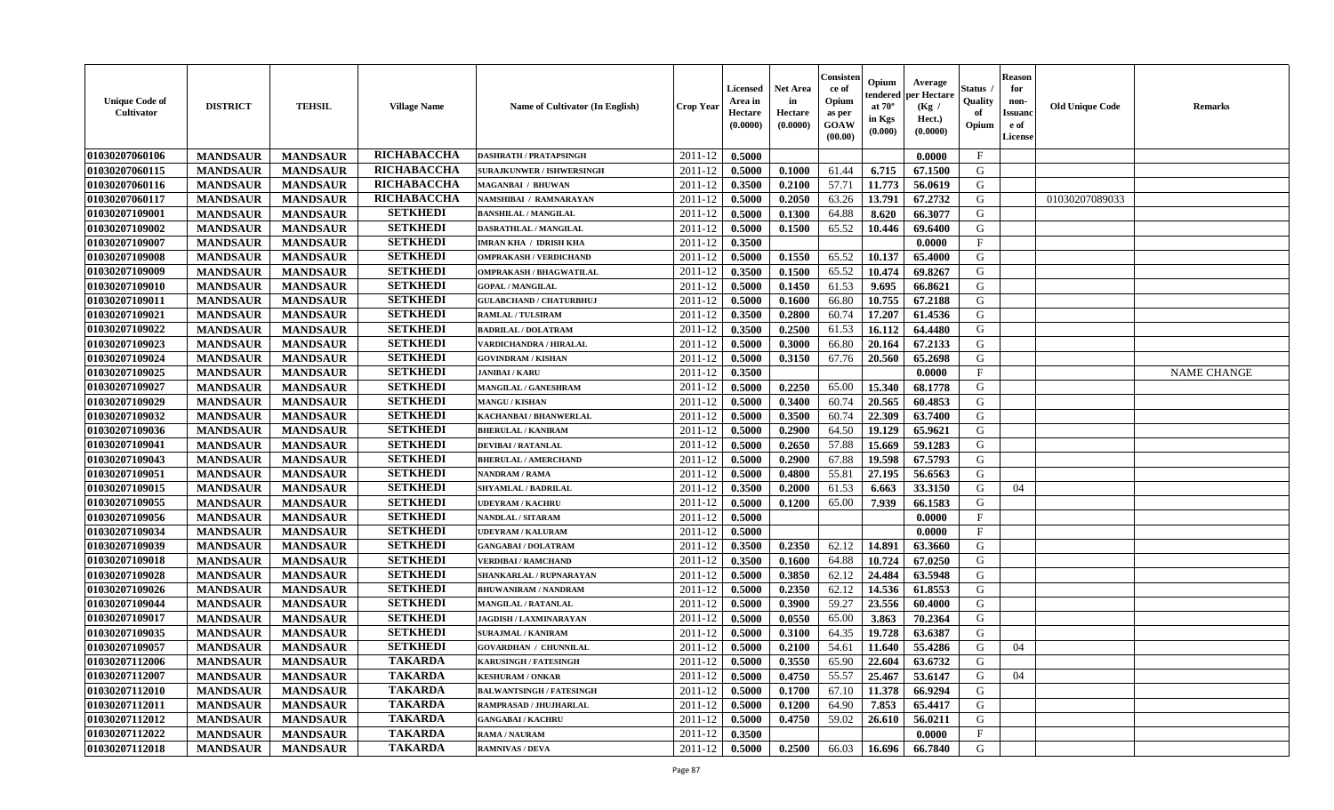| <b>Unique Code of</b><br>Cultivator | <b>DISTRICT</b> | <b>TEHSIL</b>   | <b>Village Name</b> | <b>Name of Cultivator (In English)</b> | <b>Crop Year</b> | <b>Licensed</b><br>Area in<br>Hectare<br>(0.0000) | Net Area<br>in<br>Hectare<br>(0.0000) | Consiste<br>ce of<br>Opium<br>as per<br>GOAW<br>(00.00) | Opium<br>endereo<br>at 70°<br>in Kgs<br>(0.000) | Average<br>er Hectare<br>(Kg /<br>Hect.)<br>(0.0000) | Status<br>Quality<br>of<br>Opium | <b>Reason</b><br>for<br>non-<br><b>Issuand</b><br>e of<br><b>License</b> | <b>Old Unique Code</b> | Remarks            |
|-------------------------------------|-----------------|-----------------|---------------------|----------------------------------------|------------------|---------------------------------------------------|---------------------------------------|---------------------------------------------------------|-------------------------------------------------|------------------------------------------------------|----------------------------------|--------------------------------------------------------------------------|------------------------|--------------------|
| 01030207060106                      | <b>MANDSAUR</b> | <b>MANDSAUR</b> | RICHABACCHA         | <b>DASHRATH / PRATAPSINGH</b>          | 2011-12          | 0.5000                                            |                                       |                                                         |                                                 | 0.0000                                               | $\mathbf{F}$                     |                                                                          |                        |                    |
| 01030207060115                      | <b>MANDSAUR</b> | <b>MANDSAUR</b> | RICHABACCHA         | <b>SURAJKUNWER / ISHWERSINGH</b>       | 2011-12          | 0.5000                                            | 0.1000                                | 61.44                                                   | 6.715                                           | 67.1500                                              | G                                |                                                                          |                        |                    |
| 01030207060116                      | <b>MANDSAUR</b> | <b>MANDSAUR</b> | RICHABACCHA         | MAGANBAI / BHUWAN                      | 2011-12          | 0.3500                                            | 0.2100                                | 57.71                                                   | 11.773                                          | 56.0619                                              | G                                |                                                                          |                        |                    |
| 01030207060117                      | <b>MANDSAUR</b> | <b>MANDSAUR</b> | RICHABACCHA         | NAMSHIBAI / RAMNARAYAN                 | 2011-12          | 0.5000                                            | 0.2050                                | 63.26                                                   | 13.791                                          | 67.2732                                              | G                                |                                                                          | 01030207089033         |                    |
| 01030207109001                      | <b>MANDSAUR</b> | <b>MANDSAUR</b> | <b>SETKHEDI</b>     | <b>BANSHILAL / MANGILAL</b>            | 2011-12          | 0.5000                                            | 0.1300                                | 64.88                                                   | 8.620                                           | 66.3077                                              | G                                |                                                                          |                        |                    |
| 01030207109002                      | <b>MANDSAUR</b> | <b>MANDSAUR</b> | <b>SETKHEDI</b>     | <b>DASRATHLAL / MANGILAL</b>           | 2011-12          | 0.5000                                            | 0.1500                                | 65.52                                                   | 10.446                                          | 69.6400                                              | G                                |                                                                          |                        |                    |
| 01030207109007                      | <b>MANDSAUR</b> | <b>MANDSAUR</b> | <b>SETKHEDI</b>     | <b>IMRAN KHA / IDRISH KHA</b>          | 2011-12          | 0.3500                                            |                                       |                                                         |                                                 | 0.0000                                               | $\rm F$                          |                                                                          |                        |                    |
| 01030207109008                      | <b>MANDSAUR</b> | <b>MANDSAUR</b> | <b>SETKHEDI</b>     | <b>OMPRAKASH / VERDICHAND</b>          | 2011-12          | 0.5000                                            | 0.1550                                | 65.52                                                   | 10.137                                          | 65.4000                                              | G                                |                                                                          |                        |                    |
| 01030207109009                      | <b>MANDSAUR</b> | <b>MANDSAUR</b> | <b>SETKHEDI</b>     | OMPRAKASH / BHAGWATILAL                | 2011-12          | 0.3500                                            | 0.1500                                | 65.52                                                   | 10.474                                          | 69.8267                                              | G                                |                                                                          |                        |                    |
| 01030207109010                      | <b>MANDSAUR</b> | <b>MANDSAUR</b> | <b>SETKHEDI</b>     | <b>GOPAL / MANGILAL</b>                | 2011-12          | 0.5000                                            | 0.1450                                | 61.53                                                   | 9.695                                           | 66.8621                                              | G                                |                                                                          |                        |                    |
| 01030207109011                      | <b>MANDSAUR</b> | <b>MANDSAUR</b> | <b>SETKHEDI</b>     | <b>GULABCHAND / CHATURBHUJ</b>         | 2011-12          | 0.5000                                            | 0.1600                                | 66.80                                                   | 10.755                                          | 67.2188                                              | G                                |                                                                          |                        |                    |
| 01030207109021                      | <b>MANDSAUR</b> | <b>MANDSAUR</b> | <b>SETKHEDI</b>     | RAMLAL / TULSIRAM                      | 2011-12          | 0.3500                                            | 0.2800                                | 60.74                                                   | 17.207                                          | 61.4536                                              | G                                |                                                                          |                        |                    |
| 01030207109022                      | <b>MANDSAUR</b> | <b>MANDSAUR</b> | <b>SETKHEDI</b>     | <b>BADRILAL / DOLATRAM</b>             | 2011-12          | 0.3500                                            | 0.2500                                | 61.53                                                   | 16.112                                          | 64.4480                                              | G                                |                                                                          |                        |                    |
| 01030207109023                      | <b>MANDSAUR</b> | <b>MANDSAUR</b> | <b>SETKHEDI</b>     | VARDICHANDRA / HIRALAL                 | 2011-12          | 0.5000                                            | 0.3000                                | 66.80                                                   | 20.164                                          | 67.2133                                              | ${\bf G}$                        |                                                                          |                        |                    |
| 01030207109024                      | <b>MANDSAUR</b> | <b>MANDSAUR</b> | <b>SETKHEDI</b>     | <b>GOVINDRAM / KISHAN</b>              | 2011-12          | 0.5000                                            | 0.3150                                | 67.76                                                   | 20.560                                          | 65.2698                                              | G                                |                                                                          |                        |                    |
| 01030207109025                      | <b>MANDSAUR</b> | <b>MANDSAUR</b> | <b>SETKHEDI</b>     | <b>JANIBAI/KARU</b>                    | 2011-12          | 0.3500                                            |                                       |                                                         |                                                 | 0.0000                                               | $\mathbf{F}$                     |                                                                          |                        | <b>NAME CHANGE</b> |
| 01030207109027                      | <b>MANDSAUR</b> | <b>MANDSAUR</b> | <b>SETKHEDI</b>     | MANGILAL / GANESHRAM                   | 2011-12          | 0.5000                                            | 0.2250                                | 65.00                                                   | 15.340                                          | 68.1778                                              | G                                |                                                                          |                        |                    |
| 01030207109029                      | <b>MANDSAUR</b> | <b>MANDSAUR</b> | <b>SETKHEDI</b>     | <b>MANGU / KISHAN</b>                  | 2011-12          | 0.5000                                            | 0.3400                                | 60.74                                                   | 20.565                                          | 60.4853                                              | G                                |                                                                          |                        |                    |
| 01030207109032                      | <b>MANDSAUR</b> | <b>MANDSAUR</b> | <b>SETKHEDI</b>     | <b>KACHANBAI/BHANWERLAL</b>            | 2011-12          | 0.5000                                            | 0.3500                                | 60.74                                                   | 22.309                                          | 63.7400                                              | G                                |                                                                          |                        |                    |
| 01030207109036                      | <b>MANDSAUR</b> | <b>MANDSAUR</b> | <b>SETKHEDI</b>     | <b>BHERULAL / KANIRAM</b>              | 2011-12          | 0.5000                                            | 0.2900                                | 64.50                                                   | 19.129                                          | 65.9621                                              | G                                |                                                                          |                        |                    |
| 01030207109041                      | <b>MANDSAUR</b> | <b>MANDSAUR</b> | <b>SETKHEDI</b>     | <b>DEVIBAI/RATANLAL</b>                | 2011-12          | 0.5000                                            | 0.2650                                | 57.88                                                   | 15.669                                          | 59.1283                                              | G                                |                                                                          |                        |                    |
| 01030207109043                      | <b>MANDSAUR</b> | <b>MANDSAUR</b> | <b>SETKHEDI</b>     | <b>BHERULAL / AMERCHAND</b>            | 2011-12          | 0.5000                                            | 0.2900                                | 67.88                                                   | 19.598                                          | 67.5793                                              | G                                |                                                                          |                        |                    |
| 01030207109051                      | <b>MANDSAUR</b> | <b>MANDSAUR</b> | <b>SETKHEDI</b>     | <b>NANDRAM / RAMA</b>                  | 2011-12          | 0.5000                                            | 0.4800                                | 55.81                                                   | 27.195                                          | 56.6563                                              | G                                |                                                                          |                        |                    |
| 01030207109015                      | <b>MANDSAUR</b> | <b>MANDSAUR</b> | <b>SETKHEDI</b>     | <b>SHYAMLAL / BADRILAL</b>             | 2011-12          | 0.3500                                            | 0.2000                                | 61.53                                                   | 6.663                                           | 33.3150                                              | G                                | 04                                                                       |                        |                    |
| 01030207109055                      | <b>MANDSAUR</b> | <b>MANDSAUR</b> | <b>SETKHEDI</b>     | <b>UDEYRAM / KACHRU</b>                | 2011-12          | 0.5000                                            | 0.1200                                | 65.00                                                   | 7.939                                           | 66.1583                                              | G                                |                                                                          |                        |                    |
| 01030207109056                      | <b>MANDSAUR</b> | <b>MANDSAUR</b> | <b>SETKHEDI</b>     | <b>NANDLAL / SITARAM</b>               | 2011-12          | 0.5000                                            |                                       |                                                         |                                                 | 0.0000                                               | $\mathbf{F}$                     |                                                                          |                        |                    |
| 01030207109034                      | <b>MANDSAUR</b> | <b>MANDSAUR</b> | <b>SETKHEDI</b>     | <b>UDEYRAM / KALURAM</b>               | 2011-12          | 0.5000                                            |                                       |                                                         |                                                 | 0.0000                                               | $_{\rm F}$                       |                                                                          |                        |                    |
| 01030207109039                      | <b>MANDSAUR</b> | <b>MANDSAUR</b> | <b>SETKHEDI</b>     | <b>GANGABAI/DOLATRAM</b>               | 2011-12          | 0.3500                                            | 0.2350                                | 62.12                                                   | 14.891                                          | 63.3660                                              | G                                |                                                                          |                        |                    |
| 01030207109018                      | <b>MANDSAUR</b> | <b>MANDSAUR</b> | <b>SETKHEDI</b>     | <b>VERDIBAI / RAMCHAND</b>             | 2011-12          | 0.3500                                            | 0.1600                                | 64.88                                                   | 10.724                                          | 67.0250                                              | G                                |                                                                          |                        |                    |
| 01030207109028                      | <b>MANDSAUR</b> | <b>MANDSAUR</b> | <b>SETKHEDI</b>     | SHANKARLAL / RUPNARAYAN                | 2011-12          | 0.5000                                            | 0.3850                                | 62.12                                                   | 24.484                                          | 63.5948                                              | G                                |                                                                          |                        |                    |
| 01030207109026                      | <b>MANDSAUR</b> | <b>MANDSAUR</b> | <b>SETKHEDI</b>     | <b>BHUWANIRAM / NANDRAM</b>            | 2011-12          | 0.5000                                            | 0.2350                                | 62.12                                                   | 14.536                                          | 61.8553                                              | G                                |                                                                          |                        |                    |
| 01030207109044                      | <b>MANDSAUR</b> | <b>MANDSAUR</b> | <b>SETKHEDI</b>     | MANGILAL / RATANLAL                    | 2011-12          | 0.5000                                            | 0.3900                                | 59.27                                                   | 23.556                                          | 60.4000                                              | G                                |                                                                          |                        |                    |
| 01030207109017                      | <b>MANDSAUR</b> | <b>MANDSAUR</b> | <b>SETKHEDI</b>     | <b>JAGDISH / LAXMINARAYAN</b>          | 2011-12          | 0.5000                                            | 0.0550                                | 65.00                                                   | 3.863                                           | 70.2364                                              | G                                |                                                                          |                        |                    |
| 01030207109035                      | <b>MANDSAUR</b> | <b>MANDSAUR</b> | <b>SETKHEDI</b>     | <b>SURAJMAL / KANIRAM</b>              | 2011-12          | 0.5000                                            | 0.3100                                | 64.35                                                   | 19.728                                          | 63.6387                                              | G                                |                                                                          |                        |                    |
| 01030207109057                      | <b>MANDSAUR</b> | <b>MANDSAUR</b> | <b>SETKHEDI</b>     | <b>GOVARDHAN / CHUNNILAL</b>           | 2011-12          | 0.5000                                            | 0.2100                                | 54.61                                                   | 11.640                                          | 55.4286                                              | G                                | 04                                                                       |                        |                    |
| 01030207112006                      | <b>MANDSAUR</b> | <b>MANDSAUR</b> | <b>TAKARDA</b>      | <b>KARUSINGH / FATESINGH</b>           | 2011-12          | 0.5000                                            | 0.3550                                | 65.90                                                   | 22.604                                          | 63.6732                                              | G                                |                                                                          |                        |                    |
| 01030207112007                      | <b>MANDSAUR</b> | <b>MANDSAUR</b> | <b>TAKARDA</b>      | <b>KESHURAM / ONKAR</b>                | 2011-12          | 0.5000                                            | 0.4750                                | 55.57                                                   | 25.467                                          | 53.6147                                              | G                                | 04                                                                       |                        |                    |
| 01030207112010                      | <b>MANDSAUR</b> | <b>MANDSAUR</b> | <b>TAKARDA</b>      | <b>BALWANTSINGH / FATESINGH</b>        | 2011-12          | 0.5000                                            | 0.1700                                | 67.10                                                   | 11.378                                          | 66.9294                                              | G                                |                                                                          |                        |                    |
| 01030207112011                      | <b>MANDSAUR</b> | <b>MANDSAUR</b> | <b>TAKARDA</b>      | RAMPRASAD / JHUJHARLAL                 | 2011-12          | 0.5000                                            | 0.1200                                | 64.90                                                   | 7.853                                           | 65.4417                                              | G                                |                                                                          |                        |                    |
| 01030207112012                      | <b>MANDSAUR</b> | <b>MANDSAUR</b> | <b>TAKARDA</b>      | <b>GANGABAI/KACHRU</b>                 | 2011-12          | 0.5000                                            | 0.4750                                | 59.02                                                   | 26.610                                          | 56.0211                                              | G                                |                                                                          |                        |                    |
| 01030207112022                      | <b>MANDSAUR</b> | <b>MANDSAUR</b> | <b>TAKARDA</b>      | <b>RAMA / NAURAM</b>                   | 2011-12          | 0.3500                                            |                                       |                                                         |                                                 | 0.0000                                               | $_{\rm F}$                       |                                                                          |                        |                    |
| 01030207112018                      | <b>MANDSAUR</b> | <b>MANDSAUR</b> | <b>TAKARDA</b>      | <b>RAMNIVAS / DEVA</b>                 | 2011-12          | 0.5000                                            | 0.2500                                | 66.03                                                   | 16.696                                          | 66.7840                                              | G                                |                                                                          |                        |                    |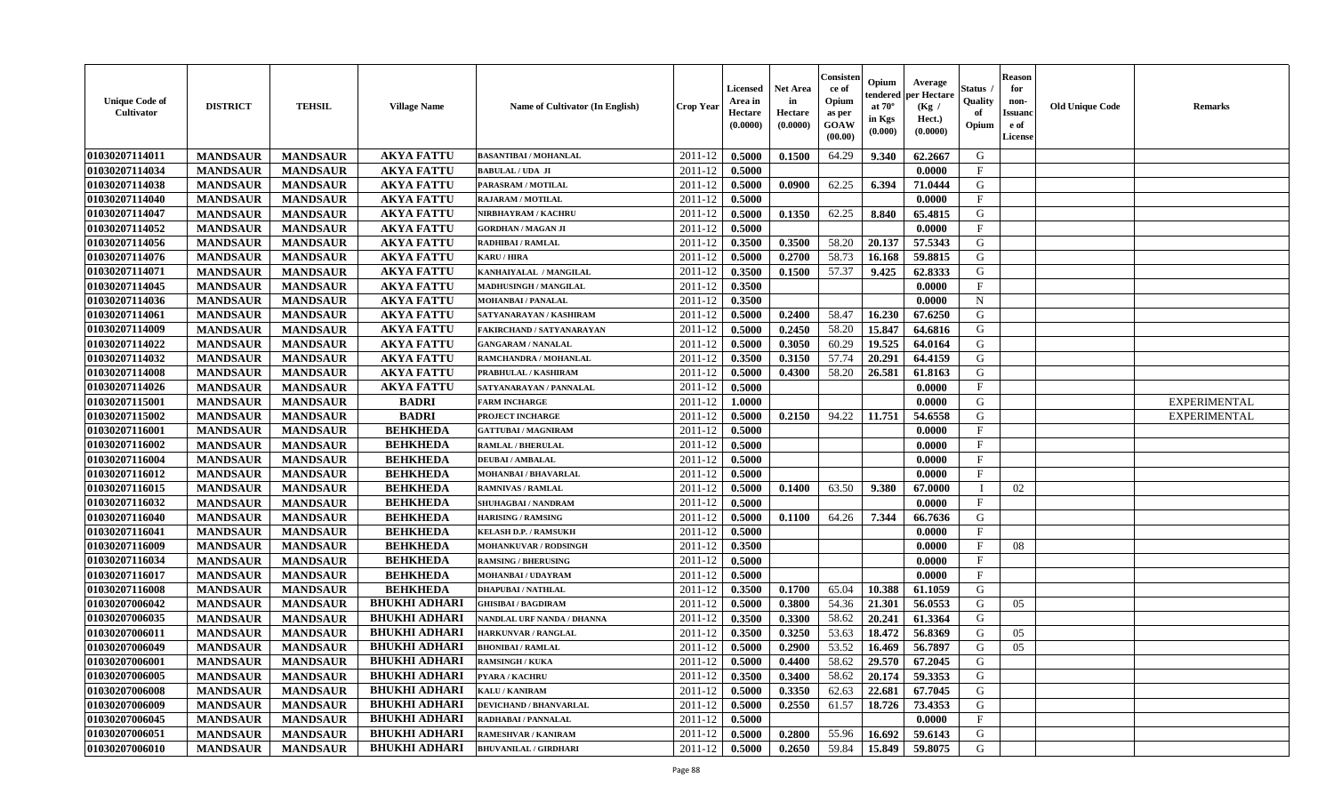| <b>Unique Code of</b><br>Cultivator | <b>DISTRICT</b> | <b>TEHSIL</b>   | <b>Village Name</b>  | Name of Cultivator (In English) | Crop Year        | Licensed<br>Area in<br>Hectare<br>(0.0000) | <b>Net Area</b><br>in<br>Hectare<br>(0.0000) | Consisten<br>ce of<br>Opium<br>as per<br><b>GOAW</b><br>(00.00) | Opium<br>tendered<br>at $70^\circ$<br>in Kgs<br>(0.000) | Average<br>per Hectare<br>(Kg /<br>Hect.)<br>(0.0000) | Status<br>Quality<br>of<br>Opium | <b>Reason</b><br>for<br>non-<br><b>Issuand</b><br>e of<br>License | <b>Old Unique Code</b> | <b>Remarks</b>      |
|-------------------------------------|-----------------|-----------------|----------------------|---------------------------------|------------------|--------------------------------------------|----------------------------------------------|-----------------------------------------------------------------|---------------------------------------------------------|-------------------------------------------------------|----------------------------------|-------------------------------------------------------------------|------------------------|---------------------|
| 01030207114011                      | <b>MANDSAUR</b> | <b>MANDSAUR</b> | <b>AKYA FATTU</b>    | <b>BASANTIBAI / MOHANLAL</b>    | 2011-12          | 0.5000                                     | 0.1500                                       | 64.29                                                           | 9.340                                                   | 62.2667                                               | G                                |                                                                   |                        |                     |
| 01030207114034                      | <b>MANDSAUR</b> | <b>MANDSAUR</b> | <b>AKYA FATTU</b>    | <b>BABULAL / UDA JI</b>         | 2011-12          | 0.5000                                     |                                              |                                                                 |                                                         | 0.0000                                                | $\mathbf{F}$                     |                                                                   |                        |                     |
| 01030207114038                      | <b>MANDSAUR</b> | <b>MANDSAUR</b> | <b>AKYA FATTU</b>    | PARASRAM / MOTILAL              | 2011-12          | 0.5000                                     | 0.0900                                       | 62.25                                                           | 6.394                                                   | 71.0444                                               | G                                |                                                                   |                        |                     |
| 01030207114040                      | <b>MANDSAUR</b> | <b>MANDSAUR</b> | <b>AKYA FATTU</b>    | <b>RAJARAM / MOTILAL</b>        | 2011-12          | 0.5000                                     |                                              |                                                                 |                                                         | 0.0000                                                | F                                |                                                                   |                        |                     |
| 01030207114047                      | <b>MANDSAUR</b> | <b>MANDSAUR</b> | <b>AKYA FATTU</b>    | NIRBHAYRAM / KACHRU             | 2011-12          | 0.5000                                     | 0.1350                                       | 62.25                                                           | 8.840                                                   | 65.4815                                               | G                                |                                                                   |                        |                     |
| 01030207114052                      | <b>MANDSAUR</b> | <b>MANDSAUR</b> | <b>AKYA FATTU</b>    | <b>GORDHAN / MAGAN JI</b>       | 2011-12          | 0.5000                                     |                                              |                                                                 |                                                         | 0.0000                                                | $\mathbf{F}$                     |                                                                   |                        |                     |
| 01030207114056                      | <b>MANDSAUR</b> | <b>MANDSAUR</b> | <b>AKYA FATTU</b>    | <b>RADHIBAI / RAMLAL</b>        | 2011-12          | 0.3500                                     | 0.3500                                       | 58.20                                                           | 20.137                                                  | 57.5343                                               | G                                |                                                                   |                        |                     |
| 01030207114076                      | <b>MANDSAUR</b> | <b>MANDSAUR</b> | <b>AKYA FATTU</b>    | <b>KARU / HIRA</b>              | 2011-12          | 0.5000                                     | 0.2700                                       | 58.73                                                           | 16.168                                                  | 59.8815                                               | G                                |                                                                   |                        |                     |
| 01030207114071                      | <b>MANDSAUR</b> | <b>MANDSAUR</b> | <b>AKYA FATTU</b>    | KANHAIYALAL / MANGILAL          | 2011-12          | 0.3500                                     | 0.1500                                       | 57.37                                                           | 9.425                                                   | 62.8333                                               | G                                |                                                                   |                        |                     |
| 01030207114045                      | <b>MANDSAUR</b> | <b>MANDSAUR</b> | <b>AKYA FATTU</b>    | <b>MADHUSINGH / MANGILAL</b>    | 2011-12          | 0.3500                                     |                                              |                                                                 |                                                         | 0.0000                                                | $\mathbf F$                      |                                                                   |                        |                     |
| 01030207114036                      | <b>MANDSAUR</b> | <b>MANDSAUR</b> | <b>AKYA FATTU</b>    | <b>MOHANBAI/PANALAL</b>         | 2011-12          | 0.3500                                     |                                              |                                                                 |                                                         | 0.0000                                                | $\mathbf N$                      |                                                                   |                        |                     |
| 01030207114061                      | <b>MANDSAUR</b> | <b>MANDSAUR</b> | <b>AKYA FATTU</b>    | SATYANARAYAN / KASHIRAM         | 2011-12          | 0.5000                                     | 0.2400                                       | 58.47                                                           | 16.230                                                  | 67.6250                                               | G                                |                                                                   |                        |                     |
| 01030207114009                      | <b>MANDSAUR</b> | <b>MANDSAUR</b> | <b>AKYA FATTU</b>    | FAKIRCHAND / SATYANARAYAN       | 2011-12          | 0.5000                                     | 0.2450                                       | 58.20                                                           | 15.847                                                  | 64.6816                                               | G                                |                                                                   |                        |                     |
| 01030207114022                      | <b>MANDSAUR</b> | <b>MANDSAUR</b> | <b>AKYA FATTU</b>    | <b>GANGARAM / NANALAL</b>       | 2011-12          | 0.5000                                     | 0.3050                                       | 60.29                                                           | 19.525                                                  | 64.0164                                               | G                                |                                                                   |                        |                     |
| 01030207114032                      | <b>MANDSAUR</b> | <b>MANDSAUR</b> | <b>AKYA FATTU</b>    | RAMCHANDRA / MOHANLAL           | 2011-12          | 0.3500                                     | 0.3150                                       | 57.74                                                           | 20.291                                                  | 64.4159                                               | G                                |                                                                   |                        |                     |
| 01030207114008                      | <b>MANDSAUR</b> | <b>MANDSAUR</b> | <b>AKYA FATTU</b>    | PRABHULAL / KASHIRAM            | 2011-12          | 0.5000                                     | 0.4300                                       | 58.20                                                           | 26.581                                                  | 61.8163                                               | G                                |                                                                   |                        |                     |
| 01030207114026                      | <b>MANDSAUR</b> | <b>MANDSAUR</b> | <b>AKYA FATTU</b>    | SATYANARAYAN / PANNALAL         | 2011-12          | 0.5000                                     |                                              |                                                                 |                                                         | 0.0000                                                | $\mathbf{F}$                     |                                                                   |                        |                     |
| 01030207115001                      | <b>MANDSAUR</b> | <b>MANDSAUR</b> | <b>BADRI</b>         | <b>FARM INCHARGE</b>            | 2011-12          | 1.0000                                     |                                              |                                                                 |                                                         | 0.0000                                                | G                                |                                                                   |                        | <b>EXPERIMENTAL</b> |
| 01030207115002                      | <b>MANDSAUR</b> | <b>MANDSAUR</b> | <b>BADRI</b>         | PROJECT INCHARGE                | 2011-12          | 0.5000                                     | 0.2150                                       | 94.22                                                           | 11.751                                                  | 54.6558                                               | G                                |                                                                   |                        | <b>EXPERIMENTAL</b> |
| 01030207116001                      | <b>MANDSAUR</b> | <b>MANDSAUR</b> | <b>BEHKHEDA</b>      | <b>GATTUBAI/MAGNIRAM</b>        | 2011-12          | 0.5000                                     |                                              |                                                                 |                                                         | 0.0000                                                | $\mathbf{F}$                     |                                                                   |                        |                     |
| 01030207116002                      | <b>MANDSAUR</b> | <b>MANDSAUR</b> | <b>BEHKHEDA</b>      | <b>RAMLAL / BHERULAL</b>        | 2011-12          | 0.5000                                     |                                              |                                                                 |                                                         | 0.0000                                                | $\mathbf{F}$                     |                                                                   |                        |                     |
| 01030207116004                      | <b>MANDSAUR</b> | <b>MANDSAUR</b> | <b>BEHKHEDA</b>      | <b>DEUBAI/AMBALAL</b>           | 2011-12          | 0.5000                                     |                                              |                                                                 |                                                         | 0.0000                                                | $_{\rm F}$                       |                                                                   |                        |                     |
| 01030207116012                      | <b>MANDSAUR</b> | <b>MANDSAUR</b> | <b>BEHKHEDA</b>      | <b>MOHANBAI/BHAVARLAL</b>       | 2011-12          | 0.5000                                     |                                              |                                                                 |                                                         | 0.0000                                                | $\mathbf{F}$                     |                                                                   |                        |                     |
| 01030207116015                      | <b>MANDSAUR</b> | <b>MANDSAUR</b> | <b>BEHKHEDA</b>      | <b>RAMNIVAS / RAMLAL</b>        | 2011-12          | 0.5000                                     | 0.1400                                       | 63.50                                                           | 9.380                                                   | 67.0000                                               |                                  | 02                                                                |                        |                     |
| 01030207116032                      | <b>MANDSAUR</b> | <b>MANDSAUR</b> | <b>BEHKHEDA</b>      | SHUHAGBAI / NANDRAM             | 2011-12          | 0.5000                                     |                                              |                                                                 |                                                         | 0.0000                                                | $\mathbf{F}$                     |                                                                   |                        |                     |
| 01030207116040                      | <b>MANDSAUR</b> | <b>MANDSAUR</b> | <b>BEHKHEDA</b>      | <b>HARISING / RAMSING</b>       | 2011-12          | 0.5000                                     | 0.1100                                       | 64.26                                                           | 7.344                                                   | 66.7636                                               | G                                |                                                                   |                        |                     |
| 01030207116041                      | <b>MANDSAUR</b> | <b>MANDSAUR</b> | <b>BEHKHEDA</b>      | <b>KELASH D.P. / RAMSUKH</b>    | 2011-12          | 0.5000                                     |                                              |                                                                 |                                                         | 0.0000                                                | $\mathbf{F}$                     |                                                                   |                        |                     |
| 01030207116009                      | <b>MANDSAUR</b> | <b>MANDSAUR</b> | <b>BEHKHEDA</b>      | <b>MOHANKUVAR / RODSINGH</b>    | 2011-12          | 0.3500                                     |                                              |                                                                 |                                                         | 0.0000                                                | $\mathbf{F}$                     | 08                                                                |                        |                     |
| 01030207116034                      | <b>MANDSAUR</b> | <b>MANDSAUR</b> | <b>BEHKHEDA</b>      | <b>RAMSING / BHERUSING</b>      | 2011-12          | 0.5000                                     |                                              |                                                                 |                                                         | 0.0000                                                | $\mathbf{F}$                     |                                                                   |                        |                     |
| 01030207116017                      | <b>MANDSAUR</b> | <b>MANDSAUR</b> | <b>BEHKHEDA</b>      | <b>MOHANBAI/UDAYRAM</b>         | 2011-12          | 0.5000                                     |                                              |                                                                 |                                                         | 0.0000                                                | $\mathbf{F}$                     |                                                                   |                        |                     |
| 01030207116008                      | <b>MANDSAUR</b> | <b>MANDSAUR</b> | <b>BEHKHEDA</b>      | <b>DHAPUBAI/NATHLAL</b>         | 2011-12          | 0.3500                                     | 0.1700                                       | 65.04                                                           | 10.388                                                  | 61.1059                                               | G                                |                                                                   |                        |                     |
| 01030207006042                      | <b>MANDSAUR</b> | <b>MANDSAUR</b> | <b>BHUKHI ADHARI</b> | <b>GHISIBAI/BAGDIRAM</b>        | 2011-12          | 0.5000                                     | 0.3800                                       | 54.36                                                           | 21.301                                                  | 56.0553                                               | G                                | 05                                                                |                        |                     |
| 01030207006035                      | <b>MANDSAUR</b> | <b>MANDSAUR</b> | <b>BHUKHI ADHARI</b> | NANDLAL URF NANDA / DHANNA      | 2011-12          | 0.3500                                     | 0.3300                                       | 58.62                                                           | 20.241                                                  | 61.3364                                               | G                                |                                                                   |                        |                     |
| 01030207006011                      | <b>MANDSAUR</b> | <b>MANDSAUR</b> | <b>BHUKHI ADHARI</b> | <b>HARKUNVAR / RANGLAL</b>      | 2011-12          | 0.3500                                     | 0.3250                                       | 53.63                                                           | 18.472                                                  | 56.8369                                               | G                                | 05                                                                |                        |                     |
| 01030207006049                      | <b>MANDSAUR</b> | <b>MANDSAUR</b> | <b>BHUKHI ADHARI</b> | <b>BHONIBAI/RAMLAL</b>          | 2011-12          | 0.5000                                     | 0.2900                                       | 53.52                                                           | 16.469                                                  | 56.7897                                               | G                                | 05                                                                |                        |                     |
| 01030207006001                      | <b>MANDSAUR</b> | <b>MANDSAUR</b> | <b>BHUKHI ADHARI</b> | <b>RAMSINGH / KUKA</b>          | $2011-12$ 0.5000 |                                            | 0.4400                                       | 58.62                                                           |                                                         | $\mid$ 29.570   67.2045                               | G                                |                                                                   |                        |                     |
| 01030207006005                      | <b>MANDSAUR</b> | <b>MANDSAUR</b> | <b>BHUKHI ADHARI</b> | PYARA / KACHRU                  | 2011-12          | 0.3500                                     | 0.3400                                       | 58.62                                                           | 20.174                                                  | 59.3353                                               | G                                |                                                                   |                        |                     |
| 01030207006008                      | <b>MANDSAUR</b> | <b>MANDSAUR</b> | <b>BHUKHI ADHARI</b> | <b>KALU / KANIRAM</b>           | 2011-12          | 0.5000                                     | 0.3350                                       | 62.63                                                           | 22.681                                                  | 67.7045                                               | G                                |                                                                   |                        |                     |
| 01030207006009                      | <b>MANDSAUR</b> | <b>MANDSAUR</b> | <b>BHUKHI ADHARI</b> | <b>DEVICHAND / BHANVARLAL</b>   | 2011-12          | 0.5000                                     | 0.2550                                       | 61.57                                                           | 18.726                                                  | 73.4353                                               | G                                |                                                                   |                        |                     |
| 01030207006045                      | <b>MANDSAUR</b> | <b>MANDSAUR</b> | <b>BHUKHI ADHARI</b> | RADHABAI / PANNALAL             | 2011-12          | 0.5000                                     |                                              |                                                                 |                                                         | 0.0000                                                | $\mathbf{F}$                     |                                                                   |                        |                     |
| 01030207006051                      | <b>MANDSAUR</b> | <b>MANDSAUR</b> | <b>BHUKHI ADHARI</b> | <b>RAMESHVAR / KANIRAM</b>      | 2011-12          | 0.5000                                     | 0.2800                                       | 55.96                                                           | 16.692                                                  | 59.6143                                               | G                                |                                                                   |                        |                     |
| 01030207006010                      | <b>MANDSAUR</b> | <b>MANDSAUR</b> | <b>BHUKHI ADHARI</b> | <b>BHUVANILAL / GIRDHARI</b>    | 2011-12          | 0.5000                                     | 0.2650                                       | 59.84                                                           | 15.849                                                  | 59.8075                                               | G                                |                                                                   |                        |                     |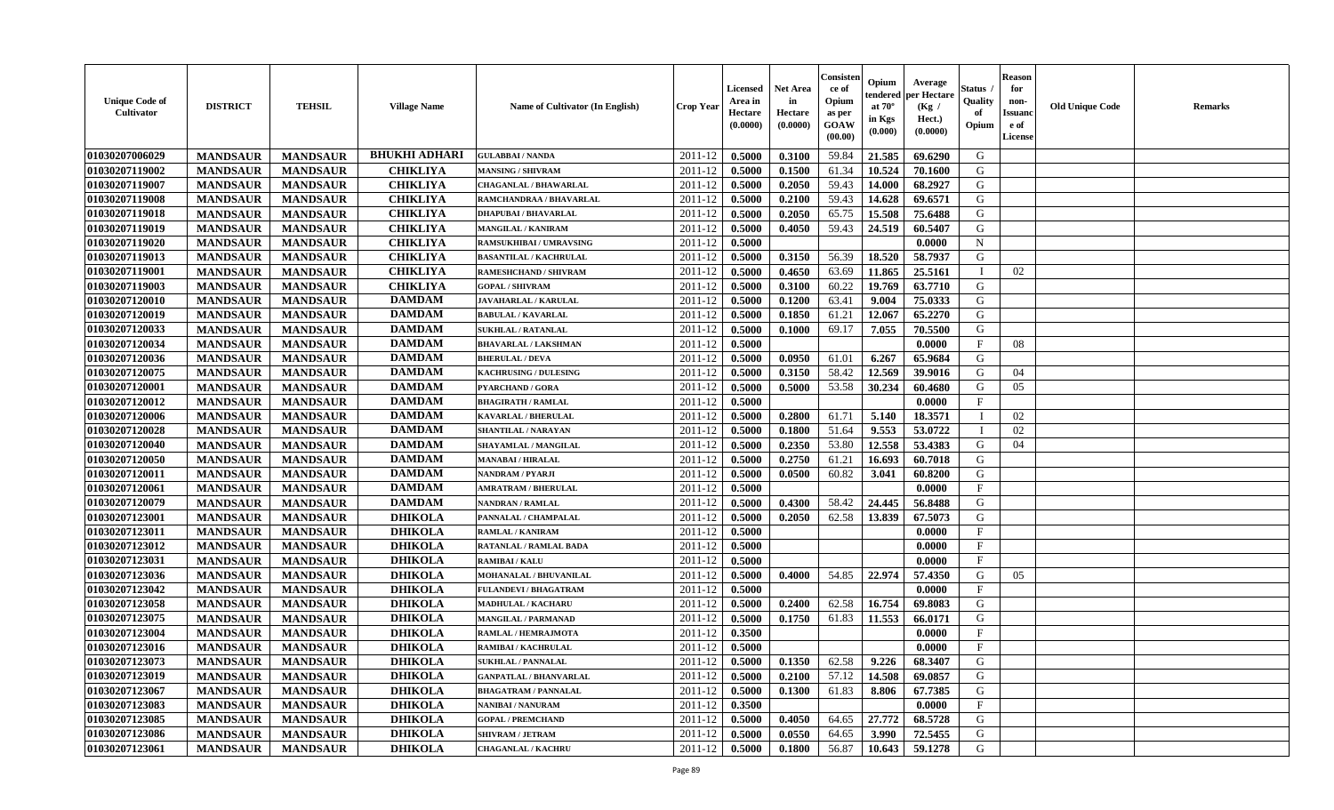| <b>Unique Code of</b><br>Cultivator | <b>DISTRICT</b> | <b>TEHSIL</b>   | <b>Village Name</b>  | Name of Cultivator (In English) | <b>Crop Year</b> | <b>Licensed</b><br>Area in<br>Hectare<br>(0.0000) | <b>Net Area</b><br>in<br>Hectare<br>(0.0000) | Consister<br>ce of<br>Opium<br>as per<br>GOAW<br>(00.00) | Opium<br>endered<br>at $70^{\circ}$<br>in Kgs<br>(0.000) | Average<br>per Hectare<br>(Kg /<br>Hect.)<br>(0.0000) | <b>Status</b> .<br>Quality<br>of<br>Opium | <b>Reason</b><br>for<br>non-<br><b>Issuand</b><br>e of<br>License | <b>Old Unique Code</b> | <b>Remarks</b> |
|-------------------------------------|-----------------|-----------------|----------------------|---------------------------------|------------------|---------------------------------------------------|----------------------------------------------|----------------------------------------------------------|----------------------------------------------------------|-------------------------------------------------------|-------------------------------------------|-------------------------------------------------------------------|------------------------|----------------|
| 01030207006029                      | <b>MANDSAUR</b> | <b>MANDSAUR</b> | <b>BHUKHI ADHARI</b> | <b>GULABBAI/NANDA</b>           | 2011-12          | 0.5000                                            | 0.3100                                       | 59.84                                                    | 21.585                                                   | 69.6290                                               | G                                         |                                                                   |                        |                |
| 01030207119002                      | <b>MANDSAUR</b> | <b>MANDSAUR</b> | <b>CHIKLIYA</b>      | <b>MANSING / SHIVRAM</b>        | 2011-12          | 0.5000                                            | 0.1500                                       | 61.34                                                    | 10.524                                                   | 70.1600                                               | G                                         |                                                                   |                        |                |
| 01030207119007                      | <b>MANDSAUR</b> | <b>MANDSAUR</b> | <b>CHIKLIYA</b>      | <b>CHAGANLAL / BHAWARLAL</b>    | 2011-12          | 0.5000                                            | 0.2050                                       | 59.43                                                    | 14.000                                                   | 68.2927                                               | G                                         |                                                                   |                        |                |
| 01030207119008                      | <b>MANDSAUR</b> | <b>MANDSAUR</b> | <b>CHIKLIYA</b>      | RAMCHANDRAA / BHAVARLAL         | 2011-12          | 0.5000                                            | 0.2100                                       | 59.43                                                    | 14.628                                                   | 69.6571                                               | G                                         |                                                                   |                        |                |
| 01030207119018                      | <b>MANDSAUR</b> | <b>MANDSAUR</b> | <b>CHIKLIYA</b>      | <b>DHAPUBAI/BHAVARLAL</b>       | $2011 - 12$      | 0.5000                                            | 0.2050                                       | 65.75                                                    | 15.508                                                   | 75.6488                                               | G                                         |                                                                   |                        |                |
| 01030207119019                      | <b>MANDSAUR</b> | <b>MANDSAUR</b> | <b>CHIKLIYA</b>      | <b>MANGILAL / KANIRAM</b>       | 2011-12          | 0.5000                                            | 0.4050                                       | 59.43                                                    | 24.519                                                   | 60.5407                                               | G                                         |                                                                   |                        |                |
| 01030207119020                      | <b>MANDSAUR</b> | <b>MANDSAUR</b> | <b>CHIKLIYA</b>      | <b>RAMSUKHIBAI / UMRAVSING</b>  | 2011-12          | 0.5000                                            |                                              |                                                          |                                                          | 0.0000                                                | ${\bf N}$                                 |                                                                   |                        |                |
| 01030207119013                      | <b>MANDSAUR</b> | <b>MANDSAUR</b> | <b>CHIKLIYA</b>      | <b>BASANTILAL / KACHRULAL</b>   | 2011-12          | 0.5000                                            | 0.3150                                       | 56.39                                                    | 18.520                                                   | 58.7937                                               | G                                         |                                                                   |                        |                |
| 01030207119001                      | <b>MANDSAUR</b> | <b>MANDSAUR</b> | <b>CHIKLIYA</b>      | RAMESHCHAND / SHIVRAM           | 2011-12          | 0.5000                                            | 0.4650                                       | 63.69                                                    | 11.865                                                   | 25.5161                                               |                                           | 02                                                                |                        |                |
| 01030207119003                      | <b>MANDSAUR</b> | <b>MANDSAUR</b> | <b>CHIKLIYA</b>      | <b>GOPAL / SHIVRAM</b>          | 2011-12          | 0.5000                                            | 0.3100                                       | 60.22                                                    | 19.769                                                   | 63.7710                                               | G                                         |                                                                   |                        |                |
| 01030207120010                      | <b>MANDSAUR</b> | <b>MANDSAUR</b> | <b>DAMDAM</b>        | JAVAHARLAL / KARULAL            | 2011-12          | 0.5000                                            | 0.1200                                       | 63.41                                                    | 9.004                                                    | 75.0333                                               | G                                         |                                                                   |                        |                |
| 01030207120019                      | <b>MANDSAUR</b> | <b>MANDSAUR</b> | <b>DAMDAM</b>        | <b>BABULAL / KAVARLAL</b>       | 2011-12          | 0.5000                                            | 0.1850                                       | 61.21                                                    | 12.067                                                   | 65.2270                                               | G                                         |                                                                   |                        |                |
| 01030207120033                      | <b>MANDSAUR</b> | <b>MANDSAUR</b> | <b>DAMDAM</b>        | <b>SUKHLAL / RATANLAL</b>       | 2011-12          | 0.5000                                            | 0.1000                                       | 69.17                                                    | 7.055                                                    | 70.5500                                               | G                                         |                                                                   |                        |                |
| 01030207120034                      | <b>MANDSAUR</b> | <b>MANDSAUR</b> | <b>DAMDAM</b>        | <b>BHAVARLAL / LAKSHMAN</b>     | 2011-12          | 0.5000                                            |                                              |                                                          |                                                          | 0.0000                                                | $\mathbf F$                               | 08                                                                |                        |                |
| 01030207120036                      | <b>MANDSAUR</b> | <b>MANDSAUR</b> | <b>DAMDAM</b>        | <b>BHERULAL / DEVA</b>          | 2011-12          | 0.5000                                            | 0.0950                                       | 61.01                                                    | 6.267                                                    | 65.9684                                               | G                                         |                                                                   |                        |                |
| 01030207120075                      | <b>MANDSAUR</b> | <b>MANDSAUR</b> | <b>DAMDAM</b>        | <b>KACHRUSING / DULESING</b>    | 2011-12          | 0.5000                                            | 0.3150                                       | 58.42                                                    | 12.569                                                   | 39.9016                                               | G                                         | 04                                                                |                        |                |
| 01030207120001                      | <b>MANDSAUR</b> | <b>MANDSAUR</b> | <b>DAMDAM</b>        | PYARCHAND / GORA                | 2011-12          | 0.5000                                            | 0.5000                                       | 53.58                                                    | 30.234                                                   | 60.4680                                               | G                                         | 05                                                                |                        |                |
| 01030207120012                      | <b>MANDSAUR</b> | <b>MANDSAUR</b> | <b>DAMDAM</b>        | <b>BHAGIRATH / RAMLAL</b>       | 2011-12          | 0.5000                                            |                                              |                                                          |                                                          | 0.0000                                                | $\mathbf F$                               |                                                                   |                        |                |
| 01030207120006                      | <b>MANDSAUR</b> | <b>MANDSAUR</b> | <b>DAMDAM</b>        | <b>KAVARLAL / BHERULAL</b>      | 2011-12          | 0.5000                                            | 0.2800                                       | 61.71                                                    | 5.140                                                    | 18.3571                                               | Т                                         | 02                                                                |                        |                |
| 01030207120028                      | <b>MANDSAUR</b> | <b>MANDSAUR</b> | <b>DAMDAM</b>        | <b>SHANTILAL / NARAYAN</b>      | 2011-12          | 0.5000                                            | 0.1800                                       | 51.64                                                    | 9.553                                                    | 53.0722                                               | $\mathbf I$                               | 02                                                                |                        |                |
| 01030207120040                      | <b>MANDSAUR</b> | <b>MANDSAUR</b> | <b>DAMDAM</b>        | SHAYAMLAL / MANGILAL            | 2011-12          | 0.5000                                            | 0.2350                                       | 53.80                                                    | 12.558                                                   | 53.4383                                               | G                                         | 04                                                                |                        |                |
| 01030207120050                      | <b>MANDSAUR</b> | <b>MANDSAUR</b> | <b>DAMDAM</b>        | <b>MANABAI/HIRALAL</b>          | 2011-12          | 0.5000                                            | 0.2750                                       | 61.21                                                    | 16.693                                                   | 60.7018                                               | G                                         |                                                                   |                        |                |
| 01030207120011                      | <b>MANDSAUR</b> | <b>MANDSAUR</b> | <b>DAMDAM</b>        | NANDRAM / PYARJI                | 2011-12          | 0.5000                                            | 0.0500                                       | 60.82                                                    | 3.041                                                    | 60.8200                                               | G                                         |                                                                   |                        |                |
| 01030207120061                      | <b>MANDSAUR</b> | <b>MANDSAUR</b> | <b>DAMDAM</b>        | <b>MRATRAM / BHERULAL</b>       | 2011-12          | 0.5000                                            |                                              |                                                          |                                                          | 0.0000                                                | $\mathbf F$                               |                                                                   |                        |                |
| 01030207120079                      | <b>MANDSAUR</b> | <b>MANDSAUR</b> | <b>DAMDAM</b>        | NANDRAN / RAMLAL                | 2011-12          | 0.5000                                            | 0.4300                                       | 58.42                                                    | 24.445                                                   | 56.8488                                               | G                                         |                                                                   |                        |                |
| 01030207123001                      | <b>MANDSAUR</b> | <b>MANDSAUR</b> | <b>DHIKOLA</b>       | PANNALAL / CHAMPALAL            | 2011-12          | 0.5000                                            | 0.2050                                       | 62.58                                                    | 13.839                                                   | 67.5073                                               | G                                         |                                                                   |                        |                |
| 01030207123011                      | <b>MANDSAUR</b> | <b>MANDSAUR</b> | <b>DHIKOLA</b>       | <b>RAMLAL / KANIRAM</b>         | 2011-12          | 0.5000                                            |                                              |                                                          |                                                          | 0.0000                                                | F                                         |                                                                   |                        |                |
| 01030207123012                      | <b>MANDSAUR</b> | <b>MANDSAUR</b> | <b>DHIKOLA</b>       | RATANLAL / RAMLAL BADA          | 2011-12          | 0.5000                                            |                                              |                                                          |                                                          | 0.0000                                                | $\mathbf{F}$                              |                                                                   |                        |                |
| 01030207123031                      | <b>MANDSAUR</b> | <b>MANDSAUR</b> | <b>DHIKOLA</b>       | <b>RAMIBAI/KALU</b>             | 2011-12          | 0.5000                                            |                                              |                                                          |                                                          | 0.0000                                                | $\mathbf{F}$                              |                                                                   |                        |                |
| 01030207123036                      | <b>MANDSAUR</b> | <b>MANDSAUR</b> | <b>DHIKOLA</b>       | MOHANALAL / BHUVANILAL          | 2011-12          | 0.5000                                            | 0.4000                                       | 54.85                                                    | 22.974                                                   | 57.4350                                               | G                                         | 05                                                                |                        |                |
| 01030207123042                      | <b>MANDSAUR</b> | <b>MANDSAUR</b> | <b>DHIKOLA</b>       | <b>FULANDEVI / BHAGATRAM</b>    | 2011-12          | 0.5000                                            |                                              |                                                          |                                                          | 0.0000                                                | $\mathbf{F}$                              |                                                                   |                        |                |
| 01030207123058                      | <b>MANDSAUR</b> | <b>MANDSAUR</b> | <b>DHIKOLA</b>       | MADHULAL / KACHARU              | 2011-12          | 0.5000                                            | 0.2400                                       | 62.58                                                    | 16.754                                                   | 69.8083                                               | G                                         |                                                                   |                        |                |
| 01030207123075                      | <b>MANDSAUR</b> | <b>MANDSAUR</b> | <b>DHIKOLA</b>       | MANGILAL / PARMANAD             | 2011-12          | 0.5000                                            | 0.1750                                       | 61.83                                                    | 11.553                                                   | 66.0171                                               | G                                         |                                                                   |                        |                |
| 01030207123004                      | <b>MANDSAUR</b> | <b>MANDSAUR</b> | <b>DHIKOLA</b>       | RAMLAL / HEMRAJMOTA             | 2011-12          | 0.3500                                            |                                              |                                                          |                                                          | 0.0000                                                | $\mathbf{F}$                              |                                                                   |                        |                |
| 01030207123016                      | <b>MANDSAUR</b> | <b>MANDSAUR</b> | <b>DHIKOLA</b>       | RAMIBAI / KACHRULAL             | 2011-12          | 0.5000                                            |                                              |                                                          |                                                          | 0.0000                                                | $_{\rm F}$                                |                                                                   |                        |                |
| 01030207123073                      | <b>MANDSAUR</b> | <b>MANDSAUR</b> | <b>DHIKOLA</b>       | <b>SUKHLAL / PANNALAL</b>       | 2011-12          | 0.5000                                            | 0.1350                                       | 62.58                                                    | 9.226                                                    | 68.3407                                               | G                                         |                                                                   |                        |                |
| 01030207123019                      | <b>MANDSAUR</b> | <b>MANDSAUR</b> | <b>DHIKOLA</b>       | <b>GANPATLAL / BHANVARLAL</b>   | 2011-12          | 0.5000                                            | 0.2100                                       | 57.12                                                    | 14.508                                                   | 69.0857                                               | G                                         |                                                                   |                        |                |
| 01030207123067                      | <b>MANDSAUR</b> | <b>MANDSAUR</b> | <b>DHIKOLA</b>       | <b>BHAGATRAM / PANNALAL</b>     | 2011-12          | 0.5000                                            | 0.1300                                       | 61.83                                                    | 8.806                                                    | 67.7385                                               | G                                         |                                                                   |                        |                |
| 01030207123083                      | <b>MANDSAUR</b> | <b>MANDSAUR</b> | <b>DHIKOLA</b>       | NANIBAI / NANURAM               | 2011-12          | 0.3500                                            |                                              |                                                          |                                                          | 0.0000                                                | $\mathbf{F}$                              |                                                                   |                        |                |
| 01030207123085                      | <b>MANDSAUR</b> | <b>MANDSAUR</b> | <b>DHIKOLA</b>       | <b>GOPAL / PREMCHAND</b>        | 2011-12          | 0.5000                                            | 0.4050                                       | 64.65                                                    | 27.772                                                   | 68.5728                                               | G                                         |                                                                   |                        |                |
| 01030207123086                      | <b>MANDSAUR</b> | <b>MANDSAUR</b> | <b>DHIKOLA</b>       | SHIVRAM / JETRAM                | 2011-12          | 0.5000                                            | 0.0550                                       | 64.65                                                    | 3.990                                                    | 72.5455                                               | G                                         |                                                                   |                        |                |
| 01030207123061                      | <b>MANDSAUR</b> | <b>MANDSAUR</b> | <b>DHIKOLA</b>       | <b>CHAGANLAL / KACHRU</b>       | 2011-12          | 0.5000                                            | 0.1800                                       | 56.87                                                    | 10.643                                                   | 59.1278                                               | G                                         |                                                                   |                        |                |
|                                     |                 |                 |                      |                                 |                  |                                                   |                                              |                                                          |                                                          |                                                       |                                           |                                                                   |                        |                |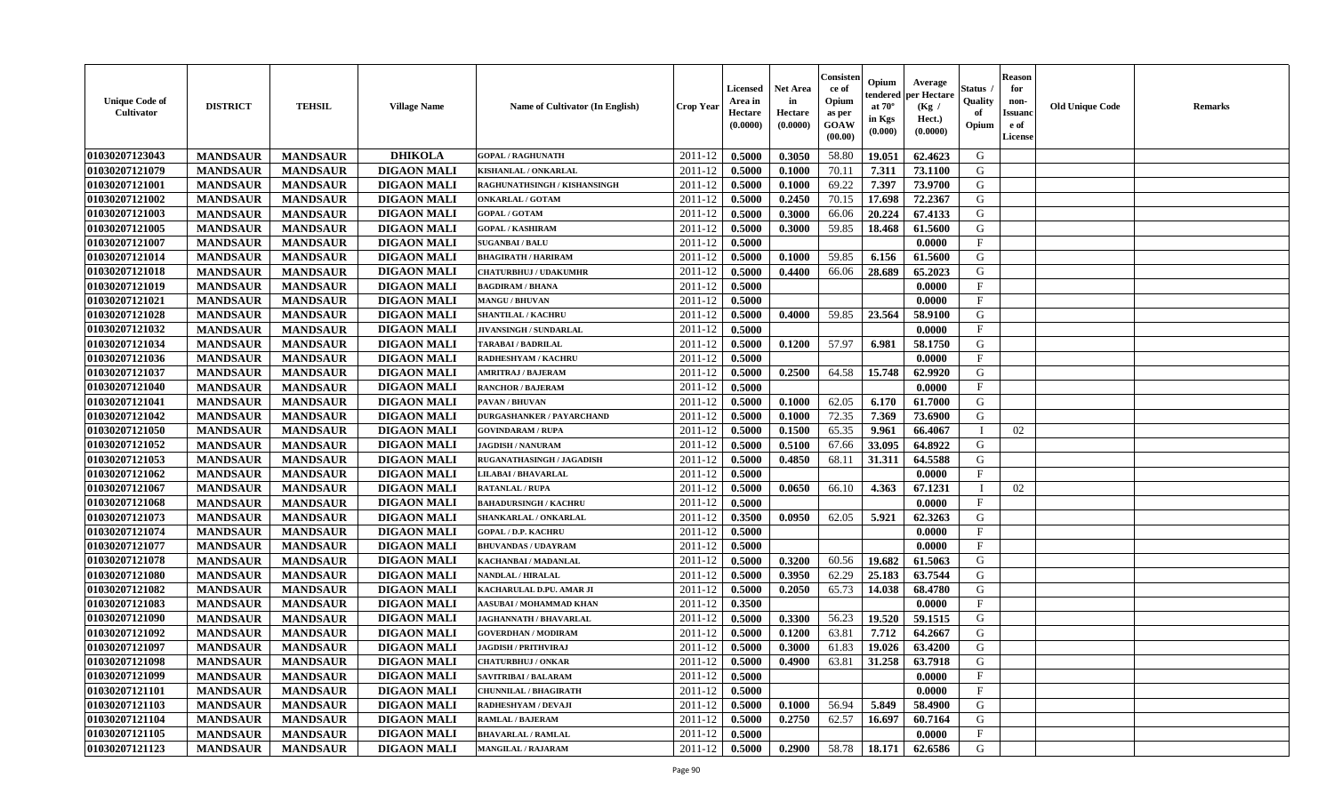| <b>Unique Code of</b><br>Cultivator | <b>DISTRICT</b>                    | <b>TEHSIL</b>                      | <b>Village Name</b>                      | <b>Name of Cultivator (In English)</b> | Crop Year          | Licensed<br>Area in<br>Hectare<br>(0.0000) | Net Area<br>in<br>Hectare<br>(0.0000) | Consister<br>ce of<br>Opium<br>as per<br>GOAW<br>(00.00) | Opium<br>endered<br>at $70^{\circ}$<br>in Kgs<br>(0.000) | Average<br>per Hectare<br>(Kg /<br>Hect.)<br>(0.0000) | Status<br>Quality<br>of<br>Opium | <b>Reason</b><br>for<br>non-<br><b>Issuanc</b><br>e of<br>License | <b>Old Unique Code</b> | Remarks |
|-------------------------------------|------------------------------------|------------------------------------|------------------------------------------|----------------------------------------|--------------------|--------------------------------------------|---------------------------------------|----------------------------------------------------------|----------------------------------------------------------|-------------------------------------------------------|----------------------------------|-------------------------------------------------------------------|------------------------|---------|
| 01030207123043                      | <b>MANDSAUR</b>                    | <b>MANDSAUR</b>                    | <b>DHIKOLA</b>                           | <b>GOPAL / RAGHUNATH</b>               | 2011-12            | 0.5000                                     | 0.3050                                | 58.80                                                    | 19.051                                                   | 62.4623                                               | G                                |                                                                   |                        |         |
| 01030207121079                      | <b>MANDSAUR</b>                    | <b>MANDSAUR</b>                    | <b>DIGAON MALI</b>                       | KISHANLAL / ONKARLAL                   | 2011-12            | 0.5000                                     | 0.1000                                | 70.11                                                    | 7.311                                                    | 73.1100                                               | G                                |                                                                   |                        |         |
| 01030207121001                      | <b>MANDSAUR</b>                    | <b>MANDSAUR</b>                    | <b>DIGAON MALI</b>                       | RAGHUNATHSINGH / KISHANSINGH           | 2011-12            | 0.5000                                     | 0.1000                                | 69.22                                                    | 7.397                                                    | 73.9700                                               | G                                |                                                                   |                        |         |
| 01030207121002                      | <b>MANDSAUR</b>                    | <b>MANDSAUR</b>                    | <b>DIGAON MALI</b>                       | <b>ONKARLAL / GOTAM</b>                | 2011-12            | 0.5000                                     | 0.2450                                | 70.15                                                    | 17.698                                                   | 72.2367                                               | G                                |                                                                   |                        |         |
| 01030207121003                      | <b>MANDSAUR</b>                    | <b>MANDSAUR</b>                    | <b>DIGAON MALI</b>                       | <b>GOPAL / GOTAM</b>                   | 2011-12            | 0.5000                                     | 0.3000                                | 66.06                                                    | 20.224                                                   | 67.4133                                               | G                                |                                                                   |                        |         |
| 01030207121005                      | <b>MANDSAUR</b>                    | <b>MANDSAUR</b>                    | <b>DIGAON MALI</b>                       | <b>GOPAL / KASHIRAM</b>                | 2011-12            | 0.5000                                     | 0.3000                                | 59.85                                                    | 18.468                                                   | 61.5600                                               | G                                |                                                                   |                        |         |
| 01030207121007                      | <b>MANDSAUR</b>                    | <b>MANDSAUR</b>                    | <b>DIGAON MALI</b>                       | <b>SUGANBAI/BALU</b>                   | 2011-12            | 0.5000                                     |                                       |                                                          |                                                          | 0.0000                                                | $\boldsymbol{\mathrm{F}}$        |                                                                   |                        |         |
| 01030207121014                      | <b>MANDSAUR</b>                    | <b>MANDSAUR</b>                    | <b>DIGAON MALI</b>                       | <b>BHAGIRATH / HARIRAM</b>             | 2011-12            | 0.5000                                     | 0.1000                                | 59.85                                                    | 6.156                                                    | 61.5600                                               | G                                |                                                                   |                        |         |
| 01030207121018                      | <b>MANDSAUR</b>                    | <b>MANDSAUR</b>                    | <b>DIGAON MALI</b>                       | <b>CHATURBHUJ / UDAKUMHR</b>           | 2011-12            | 0.5000                                     | 0.4400                                | 66.06                                                    | 28.689                                                   | 65.2023                                               | G                                |                                                                   |                        |         |
| 01030207121019                      | <b>MANDSAUR</b>                    | <b>MANDSAUR</b>                    | <b>DIGAON MALI</b>                       | <b>BAGDIRAM / BHANA</b>                | 2011-12            | 0.5000                                     |                                       |                                                          |                                                          | 0.0000                                                | $\mathbf{F}$                     |                                                                   |                        |         |
| 01030207121021                      | <b>MANDSAUR</b>                    | <b>MANDSAUR</b>                    | <b>DIGAON MALI</b>                       | <b>MANGU / BHUVAN</b>                  | 2011-12            | 0.5000                                     |                                       |                                                          |                                                          | 0.0000                                                | $\mathbf{F}$                     |                                                                   |                        |         |
| 01030207121028                      | <b>MANDSAUR</b>                    | <b>MANDSAUR</b>                    | <b>DIGAON MALI</b>                       | <b>SHANTILAL / KACHRU</b>              | 2011-12            | 0.5000                                     | 0.4000                                | 59.85                                                    | 23.564                                                   | 58.9100                                               | G                                |                                                                   |                        |         |
| 01030207121032                      | <b>MANDSAUR</b>                    | <b>MANDSAUR</b>                    | <b>DIGAON MALI</b>                       | JIVANSINGH / SUNDARLAL                 | 2011-12            | 0.5000                                     |                                       |                                                          |                                                          | 0.0000                                                | $\mathbf{F}$                     |                                                                   |                        |         |
| 01030207121034                      | <b>MANDSAUR</b>                    | <b>MANDSAUR</b>                    | <b>DIGAON MALI</b>                       | <b>TARABAI/BADRILAL</b>                | 2011-12            | 0.5000                                     | 0.1200                                | 57.97                                                    | 6.981                                                    | 58.1750                                               | G                                |                                                                   |                        |         |
| 01030207121036                      | <b>MANDSAUR</b>                    | <b>MANDSAUR</b>                    | <b>DIGAON MALI</b>                       | RADHESHYAM / KACHRU                    | 2011-12            | 0.5000                                     |                                       |                                                          |                                                          | 0.0000                                                | F                                |                                                                   |                        |         |
| 01030207121037                      | <b>MANDSAUR</b>                    | <b>MANDSAUR</b>                    | <b>DIGAON MALI</b>                       | <b>AMRITRAJ / BAJERAM</b>              | 2011-12            | 0.5000                                     | 0.2500                                | 64.58                                                    | 15.748                                                   | 62.9920                                               | G                                |                                                                   |                        |         |
| 01030207121040                      | <b>MANDSAUR</b>                    | <b>MANDSAUR</b>                    | <b>DIGAON MALI</b>                       | <b>RANCHOR / BAJERAM</b>               | 2011-12            | 0.5000                                     |                                       |                                                          |                                                          | 0.0000                                                | $\mathbf{F}$                     |                                                                   |                        |         |
| 01030207121041                      | <b>MANDSAUR</b>                    | <b>MANDSAUR</b>                    | <b>DIGAON MALI</b>                       | PAVAN / BHUVAN                         | 2011-12            | 0.5000                                     | 0.1000                                | 62.05                                                    | 6.170                                                    | 61.7000                                               | G                                |                                                                   |                        |         |
| 01030207121042                      | <b>MANDSAUR</b>                    | <b>MANDSAUR</b>                    | <b>DIGAON MALI</b>                       | <b>DURGASHANKER / PAYARCHAND</b>       | 2011-12            | 0.5000                                     | 0.1000                                | 72.35                                                    | 7.369                                                    | 73.6900                                               | G                                |                                                                   |                        |         |
| 01030207121050                      | <b>MANDSAUR</b>                    | <b>MANDSAUR</b>                    | <b>DIGAON MALI</b>                       | <b>GOVINDARAM / RUPA</b>               | 2011-12            | 0.5000                                     | 0.1500                                | 65.35                                                    | 9.961                                                    | 66.4067                                               | - I                              | 02                                                                |                        |         |
| 01030207121052                      | <b>MANDSAUR</b>                    | <b>MANDSAUR</b>                    | <b>DIGAON MALI</b>                       | <b>JAGDISH / NANURAM</b>               | 2011-12            | 0.5000                                     | 0.5100                                | 67.66                                                    | 33.095                                                   | 64.8922                                               | G                                |                                                                   |                        |         |
| 01030207121053                      | <b>MANDSAUR</b>                    | <b>MANDSAUR</b>                    | <b>DIGAON MALI</b>                       | <b>RUGANATHASINGH / JAGADISH</b>       | 2011-12            | 0.5000                                     | 0.4850                                | 68.11                                                    | 31.311                                                   | 64.5588                                               | G                                |                                                                   |                        |         |
| 01030207121062                      | <b>MANDSAUR</b>                    | <b>MANDSAUR</b>                    | <b>DIGAON MALI</b>                       | LILABAI / BHAVARLAL                    | 2011-12            | 0.5000                                     |                                       |                                                          |                                                          | 0.0000                                                | $\mathbf{F}$                     |                                                                   |                        |         |
| 01030207121067                      | <b>MANDSAUR</b>                    | <b>MANDSAUR</b>                    | <b>DIGAON MALI</b>                       | <b>RATANLAL / RUPA</b>                 | 2011-12            | 0.5000                                     | 0.0650                                | 66.10                                                    | 4.363                                                    | 67.1231                                               |                                  | 02                                                                |                        |         |
| 01030207121068                      | <b>MANDSAUR</b>                    | <b>MANDSAUR</b>                    | <b>DIGAON MALI</b>                       | <b>BAHADURSINGH / KACHRU</b>           | 2011-12            | 0.5000                                     |                                       |                                                          |                                                          | 0.0000                                                | $\mathbf{F}$                     |                                                                   |                        |         |
| 01030207121073                      | <b>MANDSAUR</b>                    | <b>MANDSAUR</b>                    | <b>DIGAON MALI</b>                       | SHANKARLAL / ONKARLAL                  | 2011-12            | 0.3500                                     | 0.0950                                | 62.05                                                    | 5.921                                                    | 62.3263                                               | G                                |                                                                   |                        |         |
| 01030207121074                      | <b>MANDSAUR</b>                    | <b>MANDSAUR</b>                    | <b>DIGAON MALI</b>                       | <b>GOPAL / D.P. KACHRU</b>             | 2011-12            | 0.5000                                     |                                       |                                                          |                                                          | 0.0000                                                | $\mathbf{F}$                     |                                                                   |                        |         |
| 01030207121077                      | <b>MANDSAUR</b>                    | <b>MANDSAUR</b>                    | <b>DIGAON MALI</b>                       | <b>BHUVANDAS / UDAYRAM</b>             | 2011-12            | 0.5000                                     |                                       |                                                          |                                                          | 0.0000                                                | $\mathbf{F}$                     |                                                                   |                        |         |
| 01030207121078                      | <b>MANDSAUR</b>                    | <b>MANDSAUR</b>                    | <b>DIGAON MALI</b>                       | KACHANBAI / MADANLAL                   | 2011-12            | 0.5000                                     | 0.3200                                | 60.56                                                    | 19.682                                                   | 61.5063                                               | G                                |                                                                   |                        |         |
| 01030207121080                      | <b>MANDSAUR</b>                    | <b>MANDSAUR</b>                    | <b>DIGAON MALI</b>                       | NANDLAL / HIRALAL                      | 2011-12            | 0.5000                                     | 0.3950                                | 62.29                                                    | 25.183                                                   | 63.7544                                               | G                                |                                                                   |                        |         |
| 01030207121082                      | <b>MANDSAUR</b>                    | <b>MANDSAUR</b>                    | <b>DIGAON MALI</b>                       | KACHARULAL D.PU. AMAR JI               | 2011-12            | 0.5000                                     | 0.2050                                | 65.73                                                    | 14.038                                                   | 68.4780                                               | G                                |                                                                   |                        |         |
| 01030207121083                      | <b>MANDSAUR</b>                    | <b>MANDSAUR</b>                    | <b>DIGAON MALI</b>                       | AASUBAI / MOHAMMAD KHAN                | 2011-12            | 0.3500                                     |                                       |                                                          |                                                          | 0.0000                                                | $\boldsymbol{\mathrm{F}}$        |                                                                   |                        |         |
| 01030207121090                      | <b>MANDSAUR</b>                    | <b>MANDSAUR</b>                    | <b>DIGAON MALI</b>                       | <b>JAGHANNATH / BHAVARLAL</b>          | 2011-12            | 0.5000                                     | 0.3300                                | 56.23                                                    | 19.520                                                   | 59.1515                                               | G                                |                                                                   |                        |         |
| 01030207121092                      |                                    |                                    | <b>DIGAON MALI</b>                       | <b>GOVERDHAN / MODIRAM</b>             | 2011-12            | 0.5000                                     | 0.1200                                | 63.81                                                    | 7.712                                                    | 64.2667                                               | G                                |                                                                   |                        |         |
|                                     | <b>MANDSAUR</b>                    | <b>MANDSAUR</b>                    |                                          | <b>JAGDISH / PRITHVIRAJ</b>            |                    |                                            |                                       |                                                          |                                                          |                                                       | G                                |                                                                   |                        |         |
| 01030207121097<br>01030207121098    | <b>MANDSAUR</b><br><b>MANDSAUR</b> | <b>MANDSAUR</b><br><b>MANDSAUR</b> | <b>DIGAON MALI</b><br><b>DIGAON MALI</b> | <b>CHATURBHUJ / ONKAR</b>              | 2011-12<br>2011-12 | 0.5000<br>0.5000                           | 0.3000<br>0.4900                      | 61.83<br>63.81                                           | 19.026<br>31.258                                         | 63.4200<br>63.7918                                    | G                                |                                                                   |                        |         |
| 01030207121099                      | <b>MANDSAUR</b>                    | <b>MANDSAUR</b>                    | <b>DIGAON MALI</b>                       | <b>SAVITRIBAI/BALARAM</b>              | 2011-12            | 0.5000                                     |                                       |                                                          |                                                          | 0.0000                                                | $\mathbf F$                      |                                                                   |                        |         |
|                                     |                                    |                                    |                                          | <b>CHUNNILAL / BHAGIRATH</b>           | 2011-12            | 0.5000                                     |                                       |                                                          |                                                          | 0.0000                                                | $\mathbf{F}$                     |                                                                   |                        |         |
| 01030207121101<br>01030207121103    | <b>MANDSAUR</b>                    | <b>MANDSAUR</b>                    | <b>DIGAON MALI</b><br><b>DIGAON MALI</b> |                                        |                    |                                            |                                       | 56.94                                                    |                                                          | 58.4900                                               | G                                |                                                                   |                        |         |
| 01030207121104                      | <b>MANDSAUR</b>                    | <b>MANDSAUR</b>                    | <b>DIGAON MALI</b>                       | RADHESHYAM / DEVAJI                    | 2011-12            | 0.5000                                     | 0.1000                                |                                                          | 5.849                                                    |                                                       | ${\bf G}$                        |                                                                   |                        |         |
|                                     | <b>MANDSAUR</b>                    | <b>MANDSAUR</b>                    |                                          | <b>RAMLAL / BAJERAM</b>                | 2011-12            | 0.5000                                     | 0.2750                                | 62.57                                                    | 16.697                                                   | 60.7164                                               |                                  |                                                                   |                        |         |
| 01030207121105                      | <b>MANDSAUR</b>                    | <b>MANDSAUR</b>                    | <b>DIGAON MALI</b>                       | <b>BHAVARLAL / RAMLAL</b>              | 2011-12            | 0.5000                                     |                                       |                                                          |                                                          | 0.0000                                                | $\mathbf{F}$                     |                                                                   |                        |         |
| 01030207121123                      | <b>MANDSAUR</b>                    | <b>MANDSAUR</b>                    | <b>DIGAON MALI</b>                       | <b>MANGILAL / RAJARAM</b>              | 2011-12            | 0.5000                                     | 0.2900                                | 58.78                                                    | 18.171                                                   | 62.6586                                               | G                                |                                                                   |                        |         |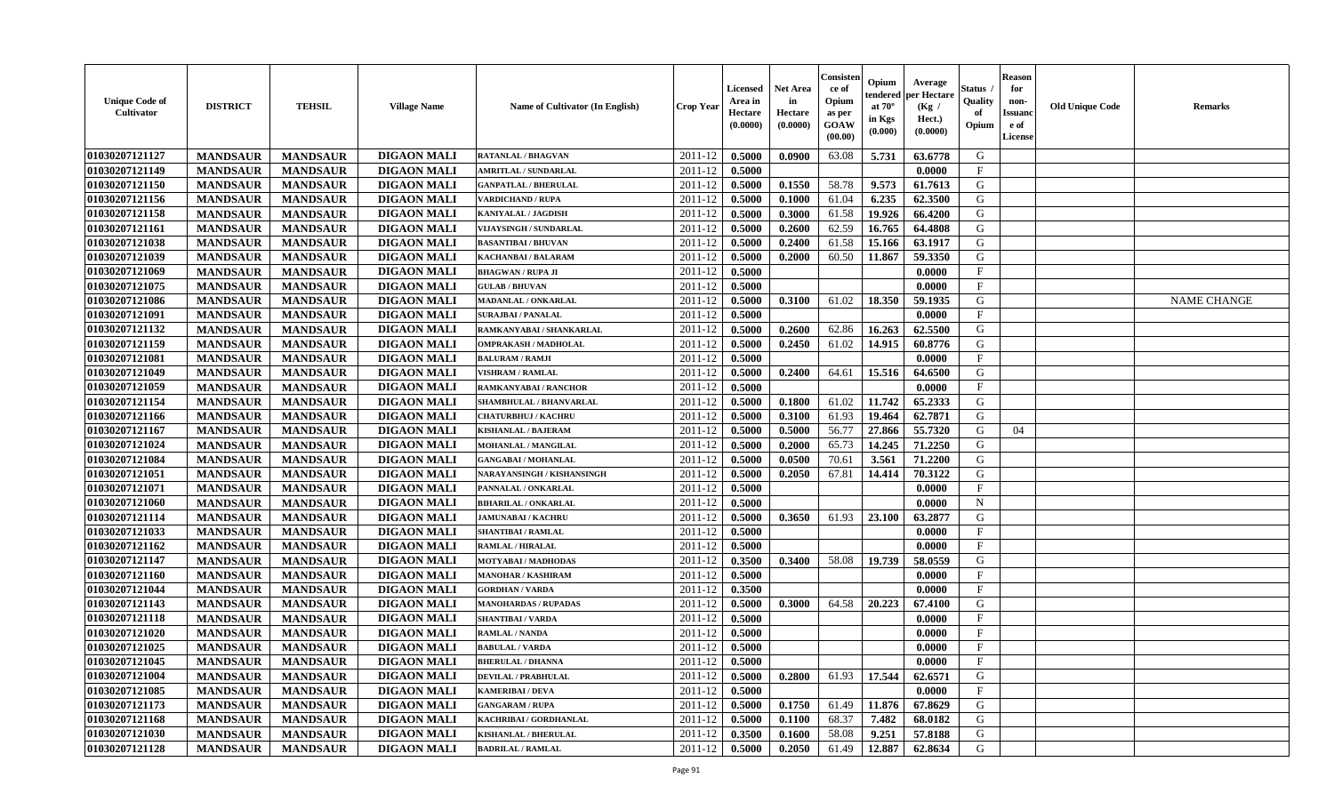| <b>Unique Code of</b><br>Cultivator | <b>DISTRICT</b> | <b>TEHSIL</b>   | <b>Village Name</b> | <b>Name of Cultivator (In English)</b> | <b>Crop Year</b> | Licensed<br>Area in<br>Hectare<br>(0.0000) | <b>Net Area</b><br>in<br>Hectare<br>(0.0000) | Consister<br>ce of<br>Opium<br>as per<br><b>GOAW</b><br>(00.00) | Opium<br>endered<br>at $70^{\circ}$<br>in Kgs<br>(0.000) | Average<br>per Hectare<br>(Kg /<br>Hect.)<br>(0.0000) | Status<br>Quality<br>of<br>Opium | <b>Reason</b><br>for<br>non-<br><b>Issuano</b><br>e of<br>License | <b>Old Unique Code</b> | <b>Remarks</b>     |
|-------------------------------------|-----------------|-----------------|---------------------|----------------------------------------|------------------|--------------------------------------------|----------------------------------------------|-----------------------------------------------------------------|----------------------------------------------------------|-------------------------------------------------------|----------------------------------|-------------------------------------------------------------------|------------------------|--------------------|
| 01030207121127                      | <b>MANDSAUR</b> | <b>MANDSAUR</b> | <b>DIGAON MALI</b>  | <b>RATANLAL / BHAGVAN</b>              | 2011-12          | 0.5000                                     | 0.0900                                       | 63.08                                                           | 5.731                                                    | 63.6778                                               | G                                |                                                                   |                        |                    |
| 01030207121149                      | <b>MANDSAUR</b> | <b>MANDSAUR</b> | <b>DIGAON MALI</b>  | <b>AMRITLAL / SUNDARLAL</b>            | 2011-12          | 0.5000                                     |                                              |                                                                 |                                                          | 0.0000                                                | $\mathbf{F}$                     |                                                                   |                        |                    |
| 01030207121150                      | <b>MANDSAUR</b> | <b>MANDSAUR</b> | <b>DIGAON MALI</b>  | <b>GANPATLAL / BHERULAL</b>            | 2011-12          | 0.5000                                     | 0.1550                                       | 58.78                                                           | 9.573                                                    | 61.7613                                               | G                                |                                                                   |                        |                    |
| 01030207121156                      | <b>MANDSAUR</b> | <b>MANDSAUR</b> | <b>DIGAON MALI</b>  | <b>VARDICHAND / RUPA</b>               | 2011-12          | 0.5000                                     | 0.1000                                       | 61.04                                                           | 6.235                                                    | 62.3500                                               | G                                |                                                                   |                        |                    |
| 01030207121158                      | <b>MANDSAUR</b> | <b>MANDSAUR</b> | <b>DIGAON MALI</b>  | KANIYALAL / JAGDISH                    | 2011-12          | 0.5000                                     | 0.3000                                       | 61.58                                                           | 19.926                                                   | 66.4200                                               | G                                |                                                                   |                        |                    |
| 01030207121161                      | <b>MANDSAUR</b> | <b>MANDSAUR</b> | <b>DIGAON MALI</b>  | VIJAYSINGH / SUNDARLAL                 | 2011-12          | 0.5000                                     | 0.2600                                       | 62.59                                                           | 16.765                                                   | 64.4808                                               | G                                |                                                                   |                        |                    |
| 01030207121038                      | <b>MANDSAUR</b> | <b>MANDSAUR</b> | <b>DIGAON MALI</b>  | <b>BASANTIBAI / BHUVAN</b>             | 2011-12          | 0.5000                                     | 0.2400                                       | 61.58                                                           | 15.166                                                   | 63.1917                                               | G                                |                                                                   |                        |                    |
| 01030207121039                      | <b>MANDSAUR</b> | <b>MANDSAUR</b> | <b>DIGAON MALI</b>  | <b>KACHANBAI/BALARAM</b>               | 2011-12          | 0.5000                                     | 0.2000                                       | 60.50                                                           | 11.867                                                   | 59.3350                                               | G                                |                                                                   |                        |                    |
| 01030207121069                      | <b>MANDSAUR</b> | <b>MANDSAUR</b> | <b>DIGAON MALI</b>  | <b>BHAGWAN / RUPA JI</b>               | 2011-12          | 0.5000                                     |                                              |                                                                 |                                                          | 0.0000                                                | $\mathbf{F}$                     |                                                                   |                        |                    |
| 01030207121075                      | <b>MANDSAUR</b> | <b>MANDSAUR</b> | <b>DIGAON MALI</b>  | <b>GULAB / BHUVAN</b>                  | 2011-12          | 0.5000                                     |                                              |                                                                 |                                                          | 0.0000                                                | $_{\rm F}$                       |                                                                   |                        |                    |
| 01030207121086                      | <b>MANDSAUR</b> | <b>MANDSAUR</b> | <b>DIGAON MALI</b>  | <b>MADANLAL / ONKARLAL</b>             | 2011-12          | 0.5000                                     | 0.3100                                       | 61.02                                                           | 18.350                                                   | 59.1935                                               | G                                |                                                                   |                        | <b>NAME CHANGE</b> |
| 01030207121091                      | <b>MANDSAUR</b> | <b>MANDSAUR</b> | <b>DIGAON MALI</b>  | <b>SURAJBAI / PANALAL</b>              | 2011-12          | 0.5000                                     |                                              |                                                                 |                                                          | 0.0000                                                | $\mathbf{F}$                     |                                                                   |                        |                    |
| 01030207121132                      | <b>MANDSAUR</b> | <b>MANDSAUR</b> | <b>DIGAON MALI</b>  | RAMKANYABAI / SHANKARLAL               | 2011-12          | 0.5000                                     | 0.2600                                       | 62.86                                                           | 16.263                                                   | 62.5500                                               | G                                |                                                                   |                        |                    |
| 01030207121159                      | <b>MANDSAUR</b> | <b>MANDSAUR</b> | <b>DIGAON MALI</b>  | <b>OMPRAKASH / MADHOLAL</b>            | 2011-12          | 0.5000                                     | 0.2450                                       | 61.02                                                           | 14.915                                                   | 60.8776                                               | G                                |                                                                   |                        |                    |
| 01030207121081                      | <b>MANDSAUR</b> | <b>MANDSAUR</b> | <b>DIGAON MALI</b>  | <b>BALURAM / RAMJI</b>                 | 2011-12          | 0.5000                                     |                                              |                                                                 |                                                          | 0.0000                                                | $\mathbf{F}$                     |                                                                   |                        |                    |
| 01030207121049                      | <b>MANDSAUR</b> | <b>MANDSAUR</b> | <b>DIGAON MALI</b>  | <b>VISHRAM / RAMLAL</b>                | 2011-12          | 0.5000                                     | 0.2400                                       | 64.61                                                           | 15.516                                                   | 64.6500                                               | G                                |                                                                   |                        |                    |
| 01030207121059                      | <b>MANDSAUR</b> | <b>MANDSAUR</b> | <b>DIGAON MALI</b>  | RAMKANYABAI / RANCHOR                  | 2011-12          | 0.5000                                     |                                              |                                                                 |                                                          | 0.0000                                                | $\mathbf{F}$                     |                                                                   |                        |                    |
| 01030207121154                      | <b>MANDSAUR</b> | <b>MANDSAUR</b> | <b>DIGAON MALI</b>  | SHAMBHULAL / BHANVARLAL                | 2011-12          | 0.5000                                     | 0.1800                                       | 61.02                                                           | 11.742                                                   | 65.2333                                               | G                                |                                                                   |                        |                    |
| 01030207121166                      | <b>MANDSAUR</b> | <b>MANDSAUR</b> | <b>DIGAON MALI</b>  | <b>CHATURBHUJ / KACHRU</b>             | 2011-12          | 0.5000                                     | 0.3100                                       | 61.93                                                           | 19.464                                                   | 62.7871                                               | G                                |                                                                   |                        |                    |
| 01030207121167                      | <b>MANDSAUR</b> | <b>MANDSAUR</b> | <b>DIGAON MALI</b>  | <b>KISHANLAL / BAJERAM</b>             | 2011-12          | 0.5000                                     | 0.5000                                       | 56.77                                                           | 27.866                                                   | 55.7320                                               | G                                | 04                                                                |                        |                    |
| 01030207121024                      | <b>MANDSAUR</b> | <b>MANDSAUR</b> | <b>DIGAON MALI</b>  | MOHANLAL / MANGILAL                    | 2011-12          | 0.5000                                     | 0.2000                                       | 65.73                                                           | 14.245                                                   | 71.2250                                               | G                                |                                                                   |                        |                    |
| 01030207121084                      | <b>MANDSAUR</b> | <b>MANDSAUR</b> | <b>DIGAON MALI</b>  | <b>GANGABAI / MOHANLAL</b>             | 2011-12          | 0.5000                                     | 0.0500                                       | 70.61                                                           | 3.561                                                    | 71.2200                                               | G                                |                                                                   |                        |                    |
| 01030207121051                      | <b>MANDSAUR</b> | <b>MANDSAUR</b> | <b>DIGAON MALI</b>  | NARAYANSINGH / KISHANSINGH             | 2011-12          | 0.5000                                     | 0.2050                                       | 67.81                                                           | 14.414                                                   | 70.3122                                               | G                                |                                                                   |                        |                    |
| 01030207121071                      | <b>MANDSAUR</b> | <b>MANDSAUR</b> | <b>DIGAON MALI</b>  | PANNALAL / ONKARLAL                    | 2011-12          | 0.5000                                     |                                              |                                                                 |                                                          | 0.0000                                                | $\mathbf{F}$                     |                                                                   |                        |                    |
| 01030207121060                      | <b>MANDSAUR</b> | <b>MANDSAUR</b> | <b>DIGAON MALI</b>  | <b>BIHARILAL / ONKARLAL</b>            | 2011-12          | 0.5000                                     |                                              |                                                                 |                                                          | 0.0000                                                | $\mathbf N$                      |                                                                   |                        |                    |
| 01030207121114                      | <b>MANDSAUR</b> | <b>MANDSAUR</b> | <b>DIGAON MALI</b>  | <b>JAMUNABAI / KACHRU</b>              | 2011-12          | 0.5000                                     | 0.3650                                       | 61.93                                                           | 23.100                                                   | 63.2877                                               | G                                |                                                                   |                        |                    |
| 01030207121033                      | <b>MANDSAUR</b> | <b>MANDSAUR</b> | <b>DIGAON MALI</b>  | <b>SHANTIBAI / RAMLAL</b>              | 2011-12          | 0.5000                                     |                                              |                                                                 |                                                          | 0.0000                                                | $_{\rm F}$                       |                                                                   |                        |                    |
| 01030207121162                      | <b>MANDSAUR</b> | <b>MANDSAUR</b> | <b>DIGAON MALI</b>  | <b>RAMLAL / HIRALAL</b>                | 2011-12          | 0.5000                                     |                                              |                                                                 |                                                          | 0.0000                                                | $\mathbf{F}$                     |                                                                   |                        |                    |
| 01030207121147                      | <b>MANDSAUR</b> | <b>MANDSAUR</b> | <b>DIGAON MALI</b>  | <b>MOTYABAI/MADHODAS</b>               | 2011-12          | 0.3500                                     | 0.3400                                       | 58.08                                                           | 19.739                                                   | 58.0559                                               | G                                |                                                                   |                        |                    |
| 01030207121160                      | <b>MANDSAUR</b> | <b>MANDSAUR</b> | <b>DIGAON MALI</b>  | <b>MANOHAR / KASHIRAM</b>              | 2011-12          | 0.5000                                     |                                              |                                                                 |                                                          | 0.0000                                                | $\mathbf{F}$                     |                                                                   |                        |                    |
| 01030207121044                      | <b>MANDSAUR</b> | <b>MANDSAUR</b> | <b>DIGAON MALI</b>  | <b>GORDHAN / VARDA</b>                 | 2011-12          | 0.3500                                     |                                              |                                                                 |                                                          | 0.0000                                                | $\mathbf{F}$                     |                                                                   |                        |                    |
| 01030207121143                      | <b>MANDSAUR</b> | <b>MANDSAUR</b> | <b>DIGAON MALI</b>  | <b>MANOHARDAS / RUPADAS</b>            | 2011-12          | 0.5000                                     | 0.3000                                       | 64.58                                                           | 20.223                                                   | 67.4100                                               | G                                |                                                                   |                        |                    |
| 01030207121118                      | <b>MANDSAUR</b> | <b>MANDSAUR</b> | <b>DIGAON MALI</b>  | <b>SHANTIBAI / VARDA</b>               | 2011-12          | 0.5000                                     |                                              |                                                                 |                                                          | 0.0000                                                | $\mathbf{F}$                     |                                                                   |                        |                    |
| 01030207121020                      | <b>MANDSAUR</b> | <b>MANDSAUR</b> | <b>DIGAON MALI</b>  | <b>RAMLAL / NANDA</b>                  | 2011-12          | 0.5000                                     |                                              |                                                                 |                                                          | 0.0000                                                | $\mathbf F$                      |                                                                   |                        |                    |
| 01030207121025                      | <b>MANDSAUR</b> | <b>MANDSAUR</b> | <b>DIGAON MALI</b>  | <b>BABULAL / VARDA</b>                 | 2011-12          | 0.5000                                     |                                              |                                                                 |                                                          | 0.0000                                                | $\mathbf{F}$                     |                                                                   |                        |                    |
| 01030207121045                      | <b>MANDSAUR</b> | MANDSAUR        | <b>DIGAON MALI</b>  | <b>BHERULAL / DHANNA</b>               | $2011-12$ 0.5000 |                                            |                                              |                                                                 |                                                          | 0.0000                                                | F                                |                                                                   |                        |                    |
| 01030207121004                      | <b>MANDSAUR</b> | <b>MANDSAUR</b> | <b>DIGAON MALI</b>  | <b>DEVILAL / PRABHULAL</b>             | 2011-12          | 0.5000                                     | 0.2800                                       | 61.93                                                           | 17.544                                                   | 62.6571                                               | G                                |                                                                   |                        |                    |
| 01030207121085                      | <b>MANDSAUR</b> | <b>MANDSAUR</b> | <b>DIGAON MALI</b>  | <b>KAMERIBAI / DEVA</b>                | 2011-12          | 0.5000                                     |                                              |                                                                 |                                                          | 0.0000                                                | $\mathbf{F}$                     |                                                                   |                        |                    |
| 01030207121173                      | <b>MANDSAUR</b> | <b>MANDSAUR</b> | <b>DIGAON MALI</b>  | <b>GANGARAM / RUPA</b>                 | 2011-12          | 0.5000                                     | 0.1750                                       | 61.49                                                           | 11.876                                                   | 67.8629                                               | G                                |                                                                   |                        |                    |
| 01030207121168                      | <b>MANDSAUR</b> | <b>MANDSAUR</b> | <b>DIGAON MALI</b>  | KACHRIBAI / GORDHANLAL                 | 2011-12          | 0.5000                                     | 0.1100                                       | 68.37                                                           | 7.482                                                    | 68.0182                                               | G                                |                                                                   |                        |                    |
| 01030207121030                      | <b>MANDSAUR</b> | <b>MANDSAUR</b> | <b>DIGAON MALI</b>  | KISHANLAL / BHERULAL                   | 2011-12          | 0.3500                                     | 0.1600                                       | 58.08                                                           | 9.251                                                    | 57.8188                                               | G                                |                                                                   |                        |                    |
| 01030207121128                      | <b>MANDSAUR</b> | <b>MANDSAUR</b> | <b>DIGAON MALI</b>  | <b>BADRILAL / RAMLAL</b>               | 2011-12          | 0.5000                                     | 0.2050                                       | 61.49                                                           | 12.887                                                   | 62.8634                                               | G                                |                                                                   |                        |                    |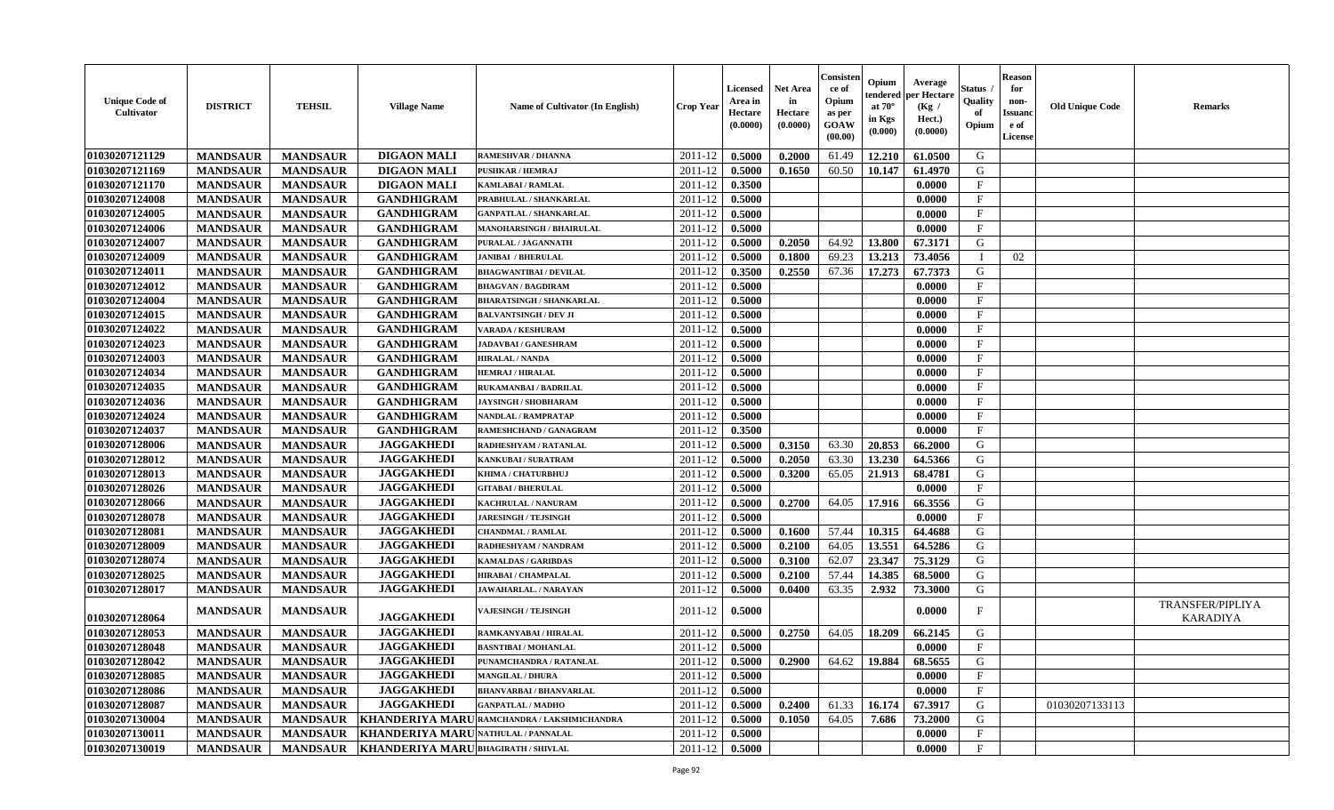| <b>Unique Code of</b><br><b>Cultivator</b> | <b>DISTRICT</b> | <b>TEHSIL</b>   | <b>Village Name</b>                 | Name of Cultivator (In English)             | <b>Crop Year</b> | <b>Licensed</b><br>Area in<br>Hectare<br>(0.0000) | <b>Net Area</b><br>in<br>Hectare<br>(0.0000) | Consisteı<br>ce of<br>Opium<br>as per<br><b>GOAW</b><br>(00.00) | Opium<br>endered<br>at $70^\circ$<br>in Kgs<br>(0.000) | Average<br>per Hectare<br>(Kg /<br>Hect.)<br>(0.0000) | Status<br>Quality<br>of<br>Opium | <b>Reason</b><br>for<br>non-<br>Issuan<br>e of<br>License | <b>Old Unique Code</b> | <b>Remarks</b>                             |
|--------------------------------------------|-----------------|-----------------|-------------------------------------|---------------------------------------------|------------------|---------------------------------------------------|----------------------------------------------|-----------------------------------------------------------------|--------------------------------------------------------|-------------------------------------------------------|----------------------------------|-----------------------------------------------------------|------------------------|--------------------------------------------|
| 01030207121129                             | <b>MANDSAUR</b> | <b>MANDSAUR</b> | <b>DIGAON MALI</b>                  | <b>RAMESHVAR / DHANNA</b>                   | 2011-12          | 0.5000                                            | 0.2000                                       | 61.49                                                           | 12.210                                                 | 61.0500                                               | G                                |                                                           |                        |                                            |
| 01030207121169                             | <b>MANDSAUR</b> | <b>MANDSAUR</b> | <b>DIGAON MALI</b>                  | PUSHKAR / HEMRAJ                            | 2011-12          | 0.5000                                            | 0.1650                                       | 60.50                                                           | 10.147                                                 | 61.4970                                               | G                                |                                                           |                        |                                            |
| 01030207121170                             | <b>MANDSAUR</b> | <b>MANDSAUR</b> | <b>DIGAON MALI</b>                  | <b>KAMLABAI/RAMLAL</b>                      | 2011-12          | 0.3500                                            |                                              |                                                                 |                                                        | 0.0000                                                | $\mathbf{F}$                     |                                                           |                        |                                            |
| 01030207124008                             | <b>MANDSAUR</b> | <b>MANDSAUR</b> | <b>GANDHIGRAM</b>                   | PRABHULAL / SHANKARLAL                      | 2011-12          | 0.5000                                            |                                              |                                                                 |                                                        | 0.0000                                                | $\mathbf{F}$                     |                                                           |                        |                                            |
| 01030207124005                             | <b>MANDSAUR</b> | <b>MANDSAUR</b> | <b>GANDHIGRAM</b>                   | <b>GANPATLAL / SHANKARLAL</b>               | 2011-12          | 0.5000                                            |                                              |                                                                 |                                                        | 0.0000                                                | $_{\rm F}$                       |                                                           |                        |                                            |
| 01030207124006                             | <b>MANDSAUR</b> | <b>MANDSAUR</b> | <b>GANDHIGRAM</b>                   | <b>MANOHARSINGH / BHAIRULAL</b>             | 2011-12          | 0.5000                                            |                                              |                                                                 |                                                        | 0.0000                                                | $\mathbf{F}$                     |                                                           |                        |                                            |
| 01030207124007                             | <b>MANDSAUR</b> | <b>MANDSAUR</b> | <b>GANDHIGRAM</b>                   | PURALAL / JAGANNATH                         | 2011-12          | 0.5000                                            | 0.2050                                       | 64.92                                                           | 13.800                                                 | 67.3171                                               | G                                |                                                           |                        |                                            |
| 01030207124009                             | <b>MANDSAUR</b> | <b>MANDSAUR</b> | <b>GANDHIGRAM</b>                   | <b>JANIBAI / BHERULAL</b>                   | 2011-12          | 0.5000                                            | 0.1800                                       | 69.23                                                           | 13.213                                                 | 73.4056                                               |                                  | 02                                                        |                        |                                            |
| 01030207124011                             | <b>MANDSAUR</b> | <b>MANDSAUR</b> | <b>GANDHIGRAM</b>                   | <b>BHAGWANTIBAI/DEVILAL</b>                 | 2011-12          | 0.3500                                            | 0.2550                                       | 67.36                                                           | 17.273                                                 | 67.7373                                               | G                                |                                                           |                        |                                            |
| 01030207124012                             | <b>MANDSAUR</b> | <b>MANDSAUR</b> | <b>GANDHIGRAM</b>                   | <b>BHAGVAN / BAGDIRAM</b>                   | 2011-12          | 0.5000                                            |                                              |                                                                 |                                                        | 0.0000                                                | F                                |                                                           |                        |                                            |
| 01030207124004                             | <b>MANDSAUR</b> | <b>MANDSAUR</b> | <b>GANDHIGRAM</b>                   | <b>BHARATSINGH / SHANKARLAL</b>             | 2011-12          | 0.5000                                            |                                              |                                                                 |                                                        | 0.0000                                                | $\mathbf{F}$                     |                                                           |                        |                                            |
| 01030207124015                             | <b>MANDSAUR</b> | <b>MANDSAUR</b> | <b>GANDHIGRAM</b>                   | <b>BALVANTSINGH / DEV JI</b>                | 2011-12          | 0.5000                                            |                                              |                                                                 |                                                        | 0.0000                                                | $_{\rm F}$                       |                                                           |                        |                                            |
| 01030207124022                             | <b>MANDSAUR</b> | <b>MANDSAUR</b> | <b>GANDHIGRAM</b>                   | <b>VARADA / KESHURAM</b>                    | 2011-12          | 0.5000                                            |                                              |                                                                 |                                                        | 0.0000                                                | $\mathbf{F}$                     |                                                           |                        |                                            |
| 01030207124023                             | <b>MANDSAUR</b> | <b>MANDSAUR</b> | <b>GANDHIGRAM</b>                   | <b>JADAVBAI/GANESHRAM</b>                   | 2011-12          | 0.5000                                            |                                              |                                                                 |                                                        | 0.0000                                                | $\mathbf{F}$                     |                                                           |                        |                                            |
| 01030207124003                             | <b>MANDSAUR</b> | <b>MANDSAUR</b> | <b>GANDHIGRAM</b>                   | <b>HIRALAL / NANDA</b>                      | 2011-12          | 0.5000                                            |                                              |                                                                 |                                                        | 0.0000                                                | $\mathbf{F}$                     |                                                           |                        |                                            |
| 01030207124034                             | <b>MANDSAUR</b> | <b>MANDSAUR</b> | <b>GANDHIGRAM</b>                   | <b>HEMRAJ / HIRALAL</b>                     | 2011-12          | 0.5000                                            |                                              |                                                                 |                                                        | 0.0000                                                | F                                |                                                           |                        |                                            |
| 01030207124035                             | <b>MANDSAUR</b> | <b>MANDSAUR</b> | <b>GANDHIGRAM</b>                   | RUKAMANBAI / BADRILAL                       | 2011-12          | 0.5000                                            |                                              |                                                                 |                                                        | 0.0000                                                | $\mathbf{F}$                     |                                                           |                        |                                            |
| 01030207124036                             | <b>MANDSAUR</b> | <b>MANDSAUR</b> | <b>GANDHIGRAM</b>                   | <b>JAYSINGH / SHOBHARAM</b>                 | 2011-12          | 0.5000                                            |                                              |                                                                 |                                                        | 0.0000                                                | $\mathbf F$                      |                                                           |                        |                                            |
| 01030207124024                             | <b>MANDSAUR</b> | <b>MANDSAUR</b> | <b>GANDHIGRAM</b>                   | <b>NANDLAL / RAMPRATAP</b>                  | 2011-12          | 0.5000                                            |                                              |                                                                 |                                                        | 0.0000                                                | $_{\rm F}$                       |                                                           |                        |                                            |
| 01030207124037                             | <b>MANDSAUR</b> | <b>MANDSAUR</b> | <b>GANDHIGRAM</b>                   | RAMESHCHAND / GANAGRAM                      | 2011-12          | 0.3500                                            |                                              |                                                                 |                                                        | 0.0000                                                | $_{\rm F}$                       |                                                           |                        |                                            |
| 01030207128006                             | <b>MANDSAUR</b> | <b>MANDSAUR</b> | <b>JAGGAKHEDI</b>                   | RADHESHYAM / RATANLAL                       | 2011-12          | 0.5000                                            | 0.3150                                       | 63.30                                                           | 20.853                                                 | 66.2000                                               | G                                |                                                           |                        |                                            |
| 01030207128012                             | <b>MANDSAUR</b> | <b>MANDSAUR</b> | <b>JAGGAKHEDI</b>                   | KANKUBAI / SURATRAM                         | 2011-12          | 0.5000                                            | 0.2050                                       | 63.30                                                           | 13.230                                                 | 64.5366                                               | G                                |                                                           |                        |                                            |
| 01030207128013                             | <b>MANDSAUR</b> | <b>MANDSAUR</b> | <b>JAGGAKHEDI</b>                   | KHIMA / CHATURBHUJ                          | 2011-12          | 0.5000                                            | 0.3200                                       | 65.05                                                           | 21.913                                                 | 68.4781                                               | G                                |                                                           |                        |                                            |
| 01030207128026                             | <b>MANDSAUR</b> | <b>MANDSAUR</b> | <b>JAGGAKHEDI</b>                   | <b>GITABAI/BHERULAL</b>                     | 2011-12          | 0.5000                                            |                                              |                                                                 |                                                        | 0.0000                                                | $\mathbf{F}$                     |                                                           |                        |                                            |
| 01030207128066                             | <b>MANDSAUR</b> | <b>MANDSAUR</b> | <b>JAGGAKHEDI</b>                   | KACHRULAL / NANURAM                         | 2011-12          | 0.5000                                            | 0.2700                                       | 64.05                                                           | 17.916                                                 | 66.3556                                               | G                                |                                                           |                        |                                            |
| 01030207128078                             | <b>MANDSAUR</b> | <b>MANDSAUR</b> | <b>JAGGAKHEDI</b>                   | <b>JARESINGH / TEJSINGH</b>                 | 2011-12          | 0.5000                                            |                                              |                                                                 |                                                        | 0.0000                                                | $\mathbf{F}$                     |                                                           |                        |                                            |
| 01030207128081                             | <b>MANDSAUR</b> | <b>MANDSAUR</b> | <b>JAGGAKHEDI</b>                   | <b>CHANDMAL / RAMLAL</b>                    | 2011-12          | 0.5000                                            | 0.1600                                       | 57.44                                                           | 10.315                                                 | 64.4688                                               | G                                |                                                           |                        |                                            |
| 01030207128009                             | <b>MANDSAUR</b> | <b>MANDSAUR</b> | <b>JAGGAKHEDI</b>                   | RADHESHYAM / NANDRAM                        | 2011-12          | 0.5000                                            | 0.2100                                       | 64.05                                                           | 13.551                                                 | 64.5286                                               | G                                |                                                           |                        |                                            |
| 01030207128074                             | <b>MANDSAUR</b> | <b>MANDSAUR</b> | <b>JAGGAKHEDI</b>                   | <b>KAMALDAS / GARIBDAS</b>                  | 2011-12          | 0.5000                                            | 0.3100                                       | 62.07                                                           | 23.347                                                 | 75.3129                                               | G                                |                                                           |                        |                                            |
| 01030207128025                             | <b>MANDSAUR</b> | <b>MANDSAUR</b> | <b>JAGGAKHEDI</b>                   | HIRABAI / CHAMPALAL                         | 2011-12          | 0.5000                                            | 0.2100                                       | 57.44                                                           | 14.385                                                 | 68.5000                                               | G                                |                                                           |                        |                                            |
| 01030207128017                             | <b>MANDSAUR</b> | <b>MANDSAUR</b> | <b>JAGGAKHEDI</b>                   | <b>JAWAHARLAL. / NARAYAN</b>                | 2011-12          | 0.5000                                            | 0.0400                                       | 63.35                                                           | 2.932                                                  | 73.3000                                               | G                                |                                                           |                        |                                            |
| 01030207128064                             | <b>MANDSAUR</b> | <b>MANDSAUR</b> | <b>JAGGAKHEDI</b>                   | <b>VAJESINGH / TEJSINGH</b>                 | 2011-12          | 0.5000                                            |                                              |                                                                 |                                                        | 0.0000                                                | F                                |                                                           |                        | <b>TRANSFER/PIPLIYA</b><br><b>KARADIYA</b> |
| 01030207128053                             | <b>MANDSAUR</b> | <b>MANDSAUR</b> | <b>JAGGAKHEDI</b>                   | RAMKANYABAI / HIRALAL                       | 2011-12          | 0.5000                                            | 0.2750                                       | 64.05                                                           | 18.209                                                 | 66.2145                                               | G                                |                                                           |                        |                                            |
| 01030207128048                             | <b>MANDSAUR</b> | <b>MANDSAUR</b> | <b>JAGGAKHEDI</b>                   | <b>BASNTIBAI / MOHANLAL</b>                 | 2011-12          | 0.5000                                            |                                              |                                                                 |                                                        | 0.0000                                                | $_{\rm F}$                       |                                                           |                        |                                            |
| <b>01030207128042</b>                      | <b>MANDSAUR</b> | <b>MANDSAUR</b> | <b>JAGGAKHEDI</b>                   | PUNAMCHANDRA / RATANLAL                     | $2011-12$ 0.5000 |                                                   | 0.2900                                       |                                                                 | 64.62   19.884                                         | 68.5655                                               | G                                |                                                           |                        |                                            |
| 01030207128085                             | <b>MANDSAUR</b> | <b>MANDSAUR</b> | <b>JAGGAKHEDI</b>                   | <b>MANGILAL / DHURA</b>                     | 2011-12          | 0.5000                                            |                                              |                                                                 |                                                        | 0.0000                                                | $\mathbf{F}$                     |                                                           |                        |                                            |
| 01030207128086                             | <b>MANDSAUR</b> | <b>MANDSAUR</b> | <b>JAGGAKHEDI</b>                   | <b>BHANVARBAI/BHANVARLAL</b>                | 2011-12          | 0.5000                                            |                                              |                                                                 |                                                        | 0.0000                                                | $_{\rm F}$                       |                                                           |                        |                                            |
| 01030207128087                             | <b>MANDSAUR</b> | <b>MANDSAUR</b> | <b>JAGGAKHEDI</b>                   | <b>GANPATLAL / MADHO</b>                    | 2011-12          | 0.5000                                            | 0.2400                                       | 61.33                                                           | 16.174                                                 | 67.3917                                               | G                                |                                                           | 01030207133113         |                                            |
| 01030207130004                             | <b>MANDSAUR</b> | <b>MANDSAUR</b> |                                     | KHANDERIYA MARU RAMCHANDRA / LAKSHMICHANDRA | 2011-12          | 0.5000                                            | 0.1050                                       | 64.05                                                           | 7.686                                                  | 73.2000                                               | G                                |                                                           |                        |                                            |
| 01030207130011                             | <b>MANDSAUR</b> | <b>MANDSAUR</b> | KHANDERIYA MARU NATHULAL / PANNALAL |                                             | 2011-12          | 0.5000                                            |                                              |                                                                 |                                                        | 0.0000                                                | $\mathbf{F}$                     |                                                           |                        |                                            |
| 01030207130019                             | <b>MANDSAUR</b> | <b>MANDSAUR</b> | KHANDERIYA MARUBHAGIRATH / SHIVLAL  |                                             | 2011-12          | 0.5000                                            |                                              |                                                                 |                                                        | 0.0000                                                | $\mathbf{F}$                     |                                                           |                        |                                            |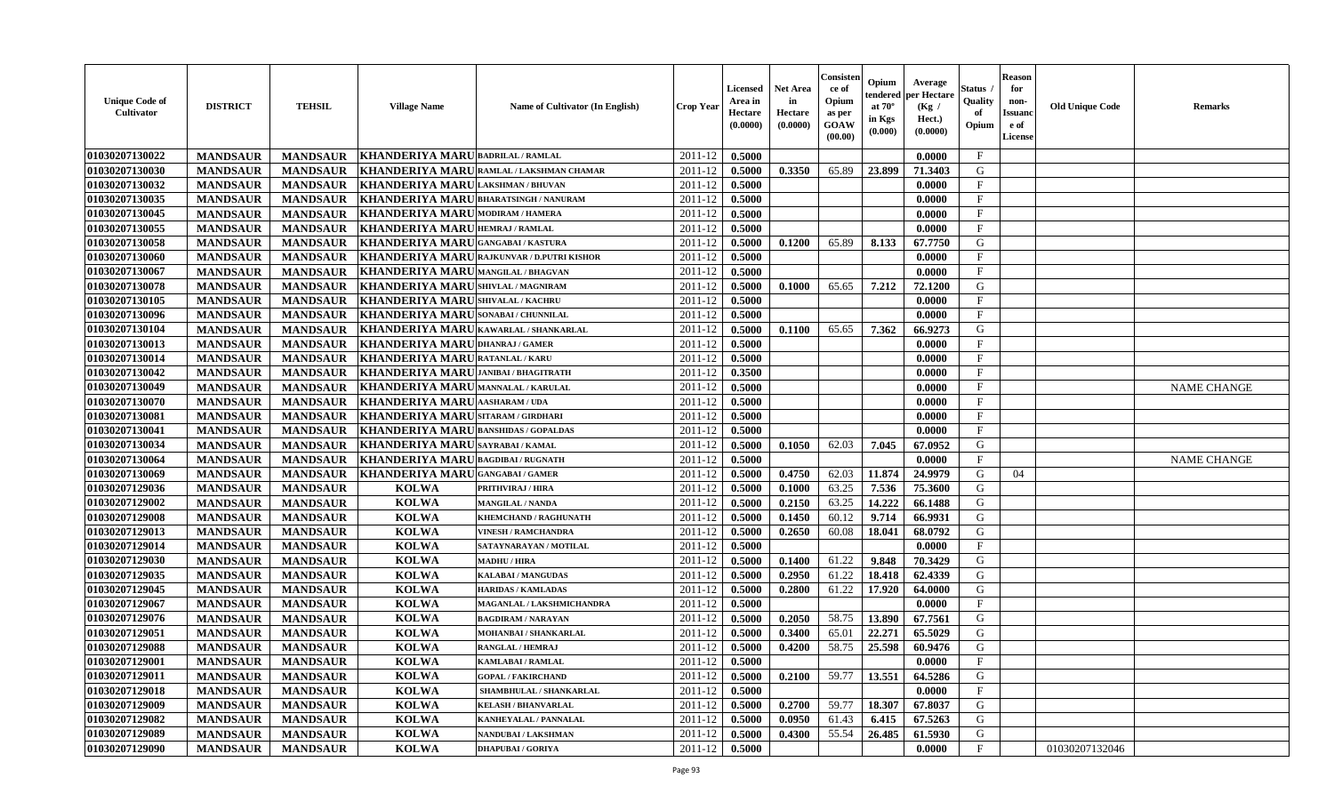| <b>Unique Code of</b><br>Cultivator | <b>DISTRICT</b> | <b>TEHSIL</b>   | <b>Village Name</b>                     | <b>Name of Cultivator (In English)</b>            | <b>Crop Year</b> | Licensed<br>Area in<br>Hectare<br>(0.0000) | <b>Net Area</b><br>in<br>Hectare<br>(0.0000) | Consister<br>ce of<br>Opium<br>as per<br>GOAW<br>(00.00) | Opium<br>tendered<br>at $70^{\circ}$<br>in Kgs<br>(0.000) | Average<br>per Hectare<br>(Kg /<br>Hect.)<br>(0.0000) | Status<br>Quality<br>of<br>Opium | <b>Reason</b><br>for<br>non-<br><b>Issuano</b><br>e of<br>License | <b>Old Unique Code</b> | <b>Remarks</b>     |
|-------------------------------------|-----------------|-----------------|-----------------------------------------|---------------------------------------------------|------------------|--------------------------------------------|----------------------------------------------|----------------------------------------------------------|-----------------------------------------------------------|-------------------------------------------------------|----------------------------------|-------------------------------------------------------------------|------------------------|--------------------|
| 01030207130022                      | <b>MANDSAUR</b> | <b>MANDSAUR</b> | KHANDERIYA MARU BADRILAL / RAMLAL       |                                                   | 2011-12          | 0.5000                                     |                                              |                                                          |                                                           | 0.0000                                                | $\mathbf{F}$                     |                                                                   |                        |                    |
| 01030207130030                      | <b>MANDSAUR</b> | <b>MANDSAUR</b> | KHANDERIYA MARU                         | RAMLAL / LAKSHMAN CHAMAR                          | 2011-12          | 0.5000                                     | 0.3350                                       | 65.89                                                    | 23.899                                                    | 71.3403                                               | G                                |                                                                   |                        |                    |
| 01030207130032                      | <b>MANDSAUR</b> | <b>MANDSAUR</b> | <b>KHANDERIYA MARU</b>                  | <b>LAKSHMAN / BHUVAN</b>                          | 2011-12          | 0.5000                                     |                                              |                                                          |                                                           | 0.0000                                                | $\mathbf{F}$                     |                                                                   |                        |                    |
| 01030207130035                      | <b>MANDSAUR</b> | <b>MANDSAUR</b> | KHANDERIYA MARU BHARATSINGH / NANURAM   |                                                   | 2011-12          | 0.5000                                     |                                              |                                                          |                                                           | 0.0000                                                | $\mathbf{F}$                     |                                                                   |                        |                    |
| 01030207130045                      | <b>MANDSAUR</b> | <b>MANDSAUR</b> | KHANDERIYA MARU MODIRAM / HAMERA        |                                                   | 2011-12          | 0.5000                                     |                                              |                                                          |                                                           | 0.0000                                                | $\mathbf{F}$                     |                                                                   |                        |                    |
| 01030207130055                      | <b>MANDSAUR</b> | <b>MANDSAUR</b> | KHANDERIYA MARU HEMRAJ / RAMLAL         |                                                   | 2011-12          | 0.5000                                     |                                              |                                                          |                                                           | 0.0000                                                | $\mathbf{F}$                     |                                                                   |                        |                    |
| 01030207130058                      | <b>MANDSAUR</b> | <b>MANDSAUR</b> | KHANDERIYA MARU GANGABAI/KASTURA        |                                                   | 2011-12          | 0.5000                                     | 0.1200                                       | 65.89                                                    | 8.133                                                     | 67.7750                                               | G                                |                                                                   |                        |                    |
| 01030207130060                      | <b>MANDSAUR</b> | <b>MANDSAUR</b> |                                         | <b>KHANDERIYA MARU RAJKUNVAR / D.PUTRI KISHOR</b> | 2011-12          | 0.5000                                     |                                              |                                                          |                                                           | 0.0000                                                | $\mathbf{F}$                     |                                                                   |                        |                    |
| 01030207130067                      | <b>MANDSAUR</b> | <b>MANDSAUR</b> | <b>KHANDERIYA MARU</b>                  | <b>MANGILAL / BHAGVAN</b>                         | 2011-12          | 0.5000                                     |                                              |                                                          |                                                           | 0.0000                                                | $_{\rm F}$                       |                                                                   |                        |                    |
| 01030207130078                      | <b>MANDSAUR</b> | <b>MANDSAUR</b> | KHANDERIYA MARU SHIVLAL / MAGNIRAM      |                                                   | 2011-12          | 0.5000                                     | 0.1000                                       | 65.65                                                    | 7.212                                                     | 72.1200                                               | G                                |                                                                   |                        |                    |
| 01030207130105                      | <b>MANDSAUR</b> | <b>MANDSAUR</b> | <b>KHANDERIYA MARUSHIVALAL / KACHRU</b> |                                                   | 2011-12          | 0.5000                                     |                                              |                                                          |                                                           | 0.0000                                                | $\mathbf{F}$                     |                                                                   |                        |                    |
| 01030207130096                      | <b>MANDSAUR</b> | <b>MANDSAUR</b> | KHANDERIYA MARU SONABAI / CHUNNILAL     |                                                   | 2011-12          | 0.5000                                     |                                              |                                                          |                                                           | 0.0000                                                | $\mathbf{F}$                     |                                                                   |                        |                    |
| 01030207130104                      | <b>MANDSAUR</b> | <b>MANDSAUR</b> | KHANDERIYA MARU KAWARLAL / SHANKARLAL   |                                                   | 2011-12          | 0.5000                                     | 0.1100                                       | 65.65                                                    | 7.362                                                     | 66.9273                                               | G                                |                                                                   |                        |                    |
| 01030207130013                      | <b>MANDSAUR</b> | <b>MANDSAUR</b> | KHANDERIYA MARU DHANRAJ / GAMER         |                                                   | 2011-12          | 0.5000                                     |                                              |                                                          |                                                           | 0.0000                                                | $\mathbf{F}$                     |                                                                   |                        |                    |
| 01030207130014                      | <b>MANDSAUR</b> | <b>MANDSAUR</b> | <b>KHANDERIYA MARU</b>                  | <b>RATANLAL / KARU</b>                            | 2011-12          | 0.5000                                     |                                              |                                                          |                                                           | 0.0000                                                | $\mathbf{F}$                     |                                                                   |                        |                    |
| 01030207130042                      | <b>MANDSAUR</b> | <b>MANDSAUR</b> | KHANDERIYA MARU JANIBAI / BHAGITRATH    |                                                   | 2011-12          | 0.3500                                     |                                              |                                                          |                                                           | 0.0000                                                | $\mathbf{F}$                     |                                                                   |                        |                    |
| 01030207130049                      | <b>MANDSAUR</b> | <b>MANDSAUR</b> | KHANDERIYA MARUMANNALAL / KARULAL       |                                                   | 2011-12          | 0.5000                                     |                                              |                                                          |                                                           | 0.0000                                                | $\mathbf{F}$                     |                                                                   |                        | <b>NAME CHANGE</b> |
| 01030207130070                      | <b>MANDSAUR</b> | <b>MANDSAUR</b> | KHANDERIYA MARU AASHARAM / UDA          |                                                   | 2011-12          | 0.5000                                     |                                              |                                                          |                                                           | 0.0000                                                | $\mathbf{F}$                     |                                                                   |                        |                    |
| 01030207130081                      | <b>MANDSAUR</b> | <b>MANDSAUR</b> | KHANDERIYA MARU                         | <b>SITARAM / GIRDHARI</b>                         | 2011-12          | 0.5000                                     |                                              |                                                          |                                                           | 0.0000                                                | $\mathbf{F}$                     |                                                                   |                        |                    |
| 01030207130041                      | <b>MANDSAUR</b> | <b>MANDSAUR</b> | <b>KHANDERIYA MARU</b>                  | <b>BANSHIDAS / GOPALDAS</b>                       | 2011-12          | 0.5000                                     |                                              |                                                          |                                                           | 0.0000                                                | $\mathbf F$                      |                                                                   |                        |                    |
| 01030207130034                      | <b>MANDSAUR</b> | <b>MANDSAUR</b> | <b>KHANDERIYA MARU</b>                  | <b>SAYRABAI/KAMAL</b>                             | 2011-12          | 0.5000                                     | 0.1050                                       | 62.03                                                    | 7.045                                                     | 67.0952                                               | G                                |                                                                   |                        |                    |
| 01030207130064                      | <b>MANDSAUR</b> | <b>MANDSAUR</b> | KHANDERIYA MARU BAGDIBAI / RUGNATH      |                                                   | 2011-12          | 0.5000                                     |                                              |                                                          |                                                           | 0.0000                                                | $\mathbf{F}$                     |                                                                   |                        | <b>NAME CHANGE</b> |
| 01030207130069                      | <b>MANDSAUR</b> | <b>MANDSAUR</b> | KHANDERIYA MARUGANGABAI/GAMER           |                                                   | 2011-12          | 0.5000                                     | 0.4750                                       | 62.03                                                    | 11.874                                                    | 24.9979                                               | G                                | 04                                                                |                        |                    |
| 01030207129036                      | <b>MANDSAUR</b> | <b>MANDSAUR</b> | <b>KOLWA</b>                            | <b>PRITHVIRAJ / HIRA</b>                          | 2011-12          | 0.5000                                     | 0.1000                                       | 63.25                                                    | 7.536                                                     | 75.3600                                               | G                                |                                                                   |                        |                    |
| 01030207129002                      | <b>MANDSAUR</b> | <b>MANDSAUR</b> | <b>KOLWA</b>                            | <b>MANGILAL / NANDA</b>                           | 2011-12          | 0.5000                                     | 0.2150                                       | 63.25                                                    | 14.222                                                    | 66.1488                                               | G                                |                                                                   |                        |                    |
| 01030207129008                      | <b>MANDSAUR</b> | <b>MANDSAUR</b> | <b>KOLWA</b>                            | KHEMCHAND / RAGHUNATH                             | 2011-12          | 0.5000                                     | 0.1450                                       | 60.12                                                    | 9.714                                                     | 66.9931                                               | G                                |                                                                   |                        |                    |
| 01030207129013                      | <b>MANDSAUR</b> | <b>MANDSAUR</b> | <b>KOLWA</b>                            | <b>VINESH / RAMCHANDRA</b>                        | 2011-12          | 0.5000                                     | 0.2650                                       | 60.08                                                    | 18.041                                                    | 68.0792                                               | G                                |                                                                   |                        |                    |
| 01030207129014                      | <b>MANDSAUR</b> | <b>MANDSAUR</b> | <b>KOLWA</b>                            | SATAYNARAYAN / MOTILAL                            | 2011-12          | 0.5000                                     |                                              |                                                          |                                                           | 0.0000                                                | $\mathbf{F}$                     |                                                                   |                        |                    |
| 01030207129030                      | <b>MANDSAUR</b> | <b>MANDSAUR</b> | <b>KOLWA</b>                            | <b>MADHU / HIRA</b>                               | 2011-12          | 0.5000                                     | 0.1400                                       | 61.22                                                    | 9.848                                                     | 70.3429                                               | G                                |                                                                   |                        |                    |
| 01030207129035                      | <b>MANDSAUR</b> | <b>MANDSAUR</b> | <b>KOLWA</b>                            | <b>KALABAI/MANGUDAS</b>                           | 2011-12          | 0.5000                                     | 0.2950                                       | 61.22                                                    | 18.418                                                    | 62.4339                                               | G                                |                                                                   |                        |                    |
| 01030207129045                      | <b>MANDSAUR</b> | <b>MANDSAUR</b> | <b>KOLWA</b>                            | <b>HARIDAS / KAMLADAS</b>                         | 2011-12          | 0.5000                                     | 0.2800                                       | 61.22                                                    | 17.920                                                    | 64.0000                                               | G                                |                                                                   |                        |                    |
| 01030207129067                      | <b>MANDSAUR</b> | <b>MANDSAUR</b> | <b>KOLWA</b>                            | MAGANLAL / LAKSHMICHANDRA                         | 2011-12          | 0.5000                                     |                                              |                                                          |                                                           | 0.0000                                                | $\mathbf{F}$                     |                                                                   |                        |                    |
| 01030207129076                      | <b>MANDSAUR</b> | <b>MANDSAUR</b> | <b>KOLWA</b>                            | <b>BAGDIRAM / NARAYAN</b>                         | 2011-12          | 0.5000                                     | 0.2050                                       | 58.75                                                    | 13.890                                                    | 67.7561                                               | G                                |                                                                   |                        |                    |
| 01030207129051                      | <b>MANDSAUR</b> | <b>MANDSAUR</b> | <b>KOLWA</b>                            | <b>MOHANBAI/SHANKARLAL</b>                        | 2011-12          | 0.5000                                     | 0.3400                                       | 65.01                                                    | 22,271                                                    | 65.5029                                               | G                                |                                                                   |                        |                    |
| 01030207129088                      | <b>MANDSAUR</b> | <b>MANDSAUR</b> | <b>KOLWA</b>                            | <b>RANGLAL / HEMRAJ</b>                           | 2011-12          | 0.5000                                     | 0.4200                                       | 58.75                                                    | 25.598                                                    | 60.9476                                               | G                                |                                                                   |                        |                    |
| 01030207129001                      | <b>MANDSAUR</b> | <b>MANDSAUR</b> | KOLWA                                   | <b>KAMLABAI/RAMLAL</b>                            | $2011-12$ 0.5000 |                                            |                                              |                                                          |                                                           | 0.0000                                                | F                                |                                                                   |                        |                    |
| 01030207129011                      | <b>MANDSAUR</b> | <b>MANDSAUR</b> | <b>KOLWA</b>                            | <b>GOPAL / FAKIRCHAND</b>                         | 2011-12          | 0.5000                                     | 0.2100                                       | 59.77                                                    | 13.551                                                    | 64.5286                                               | G                                |                                                                   |                        |                    |
| 01030207129018                      | <b>MANDSAUR</b> | <b>MANDSAUR</b> | <b>KOLWA</b>                            | SHAMBHULAL / SHANKARLAL                           | 2011-12          | 0.5000                                     |                                              |                                                          |                                                           | 0.0000                                                | $\mathbf{F}$                     |                                                                   |                        |                    |
| 01030207129009                      | <b>MANDSAUR</b> | <b>MANDSAUR</b> | <b>KOLWA</b>                            | <b>KELASH / BHANVARLAL</b>                        | 2011-12          | 0.5000                                     | 0.2700                                       | 59.77                                                    | 18.307                                                    | 67.8037                                               | G                                |                                                                   |                        |                    |
| 01030207129082                      | <b>MANDSAUR</b> | <b>MANDSAUR</b> | <b>KOLWA</b>                            | <b>KANHEYALAL / PANNALAL</b>                      | 2011-12          | 0.5000                                     | 0.0950                                       | 61.43                                                    | 6.415                                                     | 67.5263                                               | G                                |                                                                   |                        |                    |
| 01030207129089                      | <b>MANDSAUR</b> | <b>MANDSAUR</b> | <b>KOLWA</b>                            | NANDUBAI / LAKSHMAN                               | 2011-12          | 0.5000                                     | 0.4300                                       | 55.54                                                    | 26.485                                                    | 61.5930                                               | G                                |                                                                   |                        |                    |
| 01030207129090                      | <b>MANDSAUR</b> | <b>MANDSAUR</b> | <b>KOLWA</b>                            | <b>DHAPUBAI/GORIYA</b>                            | 2011-12          | 0.5000                                     |                                              |                                                          |                                                           | 0.0000                                                | $\mathbf{F}$                     |                                                                   | 01030207132046         |                    |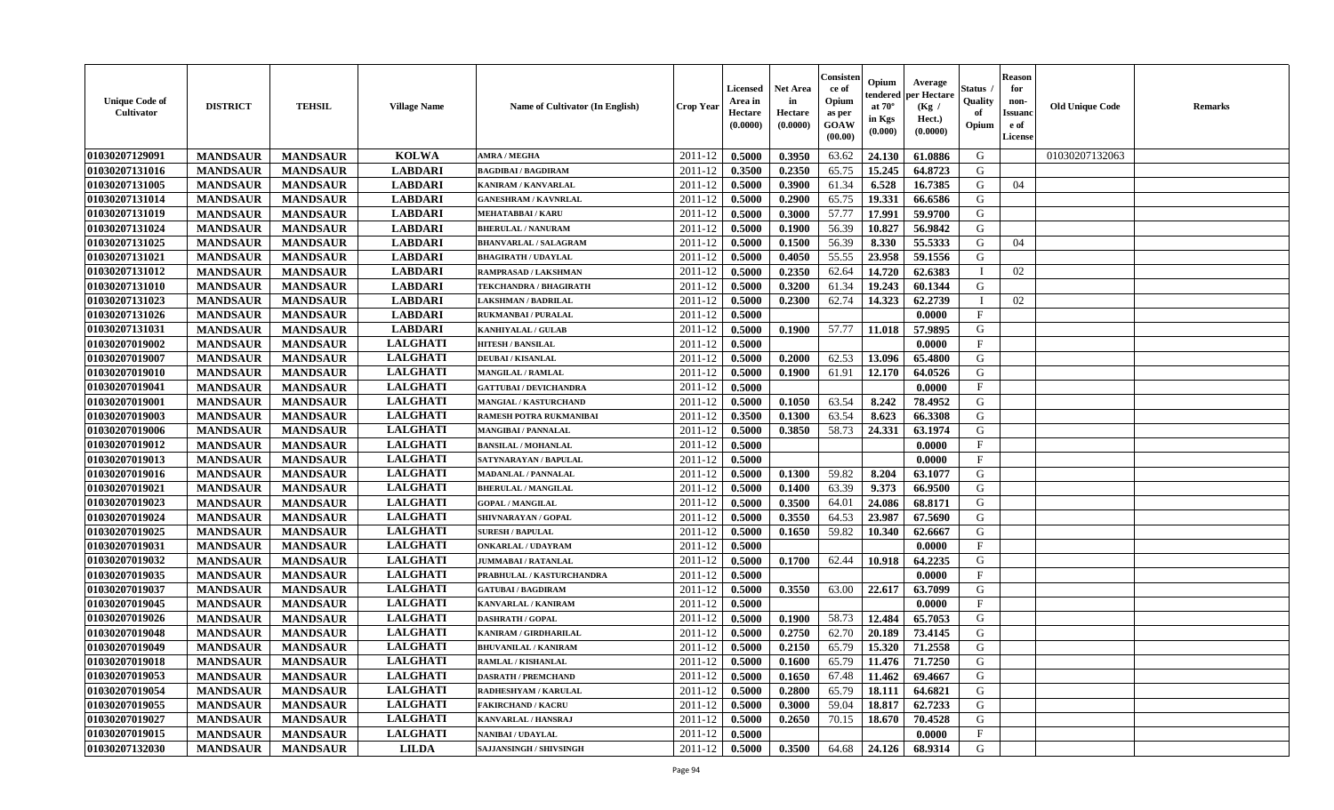| <b>Unique Code of</b><br><b>Cultivator</b> | <b>DISTRICT</b> | <b>TEHSIL</b>   | <b>Village Name</b> | Name of Cultivator (In English) | <b>Crop Year</b> | <b>Licensed</b><br>Area in<br>Hectare<br>(0.0000) | Net Area<br>in<br>Hectare<br>(0.0000) | Consister<br>ce of<br>Opium<br>as per<br><b>GOAW</b><br>(00.00) | Opium<br>endered<br>at $70^\circ$<br>in Kgs<br>(0.000) | Average<br>per Hectare<br>(Kg /<br>Hect.)<br>(0.0000) | Status<br>Quality<br>of<br>Opium | <b>Reason</b><br>for<br>non-<br><b>Issuand</b><br>e of<br><b>License</b> | <b>Old Unique Code</b> | <b>Remarks</b> |
|--------------------------------------------|-----------------|-----------------|---------------------|---------------------------------|------------------|---------------------------------------------------|---------------------------------------|-----------------------------------------------------------------|--------------------------------------------------------|-------------------------------------------------------|----------------------------------|--------------------------------------------------------------------------|------------------------|----------------|
| 01030207129091                             | <b>MANDSAUR</b> | <b>MANDSAUR</b> | <b>KOLWA</b>        | <b>AMRA / MEGHA</b>             | 2011-12          | 0.5000                                            | 0.3950                                | 63.62                                                           | 24.130                                                 | 61.0886                                               | G                                |                                                                          | 01030207132063         |                |
| 01030207131016                             | <b>MANDSAUR</b> | <b>MANDSAUR</b> | <b>LABDARI</b>      | <b>BAGDIBAI / BAGDIRAM</b>      | 2011-12          | 0.3500                                            | 0.2350                                | 65.75                                                           | 15.245                                                 | 64.8723                                               | G                                |                                                                          |                        |                |
| 01030207131005                             | <b>MANDSAUR</b> | <b>MANDSAUR</b> | <b>LABDARI</b>      | <b>KANIRAM / KANVARLAL</b>      | 2011-12          | 0.5000                                            | 0.3900                                | 61.34                                                           | 6.528                                                  | 16.7385                                               | G                                | 04                                                                       |                        |                |
| 01030207131014                             | <b>MANDSAUR</b> | <b>MANDSAUR</b> | <b>LABDARI</b>      | <b>GANESHRAM / KAVNRLAL</b>     | 2011-12          | 0.5000                                            | 0.2900                                | 65.75                                                           | 19.331                                                 | 66.6586                                               | G                                |                                                                          |                        |                |
| 01030207131019                             | <b>MANDSAUR</b> | <b>MANDSAUR</b> | <b>LABDARI</b>      | <b>MEHATABBAI/KARU</b>          | 2011-12          | 0.5000                                            | 0.3000                                | 57.77                                                           | 17.991                                                 | 59.9700                                               | G                                |                                                                          |                        |                |
| 01030207131024                             | <b>MANDSAUR</b> | <b>MANDSAUR</b> | <b>LABDARI</b>      | <b>BHERULAL / NANURAM</b>       | 2011-12          | 0.5000                                            | 0.1900                                | 56.39                                                           | 10.827                                                 | 56.9842                                               | G                                |                                                                          |                        |                |
| 01030207131025                             | <b>MANDSAUR</b> | <b>MANDSAUR</b> | <b>LABDARI</b>      | <b>BHANVARLAL / SALAGRAM</b>    | 2011-12          | 0.5000                                            | 0.1500                                | 56.39                                                           | 8.330                                                  | 55.5333                                               | G                                | 04                                                                       |                        |                |
| 01030207131021                             | <b>MANDSAUR</b> | <b>MANDSAUR</b> | <b>LABDARI</b>      | <b>BHAGIRATH / UDAYLAL</b>      | 2011-12          | 0.5000                                            | 0.4050                                | 55.55                                                           | 23.958                                                 | 59.1556                                               | G                                |                                                                          |                        |                |
| 01030207131012                             | <b>MANDSAUR</b> | <b>MANDSAUR</b> | <b>LABDARI</b>      | RAMPRASAD / LAKSHMAN            | 2011-12          | 0.5000                                            | 0.2350                                | 62.64                                                           | 14.720                                                 | 62.6383                                               | $\mathbf I$                      | 02                                                                       |                        |                |
| 01030207131010                             | <b>MANDSAUR</b> | <b>MANDSAUR</b> | <b>LABDARI</b>      | TEKCHANDRA / BHAGIRATH          | 2011-12          | 0.5000                                            | 0.3200                                | 61.34                                                           | 19.243                                                 | 60.1344                                               | G                                |                                                                          |                        |                |
| 01030207131023                             | <b>MANDSAUR</b> | <b>MANDSAUR</b> | <b>LABDARI</b>      | <b>LAKSHMAN / BADRILAL</b>      | 2011-12          | 0.5000                                            | 0.2300                                | 62.74                                                           | 14.323                                                 | 62.2739                                               | $\mathbf I$                      | 02                                                                       |                        |                |
| 01030207131026                             | <b>MANDSAUR</b> | <b>MANDSAUR</b> | <b>LABDARI</b>      | <b>RUKMANBAI / PURALAL</b>      | 2011-12          | 0.5000                                            |                                       |                                                                 |                                                        | 0.0000                                                | $\mathbf{F}$                     |                                                                          |                        |                |
| 01030207131031                             | <b>MANDSAUR</b> | <b>MANDSAUR</b> | <b>LABDARI</b>      | <b>KANHIYALAL / GULAB</b>       | 2011-12          | 0.5000                                            | 0.1900                                | 57.77                                                           | 11.018                                                 | 57.9895                                               | G                                |                                                                          |                        |                |
| 01030207019002                             | <b>MANDSAUR</b> | <b>MANDSAUR</b> | <b>LALGHATI</b>     | <b>HITESH / BANSILAL</b>        | 2011-12          | 0.5000                                            |                                       |                                                                 |                                                        | 0.0000                                                | F                                |                                                                          |                        |                |
| 01030207019007                             | <b>MANDSAUR</b> | <b>MANDSAUR</b> | <b>LALGHATI</b>     | <b>DEUBAI/KISANLAL</b>          | 2011-12          | 0.5000                                            | 0.2000                                | 62.53                                                           | 13.096                                                 | 65.4800                                               | G                                |                                                                          |                        |                |
| 01030207019010                             | <b>MANDSAUR</b> | <b>MANDSAUR</b> | <b>LALGHATI</b>     | <b>MANGILAL / RAMLAL</b>        | 2011-12          | 0.5000                                            | 0.1900                                | 61.91                                                           | 12.170                                                 | 64.0526                                               | G                                |                                                                          |                        |                |
| 01030207019041                             | <b>MANDSAUR</b> | <b>MANDSAUR</b> | <b>LALGHATI</b>     | <b>GATTUBAI/DEVICHANDRA</b>     | 2011-12          | 0.5000                                            |                                       |                                                                 |                                                        | 0.0000                                                | $_{\rm F}$                       |                                                                          |                        |                |
| 01030207019001                             | <b>MANDSAUR</b> | <b>MANDSAUR</b> | <b>LALGHATI</b>     | <b>MANGIAL / KASTURCHAND</b>    | 2011-12          | 0.5000                                            | 0.1050                                | 63.54                                                           | 8.242                                                  | 78.4952                                               | G                                |                                                                          |                        |                |
| 01030207019003                             | <b>MANDSAUR</b> | <b>MANDSAUR</b> | <b>LALGHATI</b>     | RAMESH POTRA RUKMANIBAI         | 2011-12          | 0.3500                                            | 0.1300                                | 63.54                                                           | 8.623                                                  | 66.3308                                               | G                                |                                                                          |                        |                |
| 01030207019006                             | <b>MANDSAUR</b> | <b>MANDSAUR</b> | <b>LALGHATI</b>     | <b>MANGIBAI / PANNALAL</b>      | 2011-12          | 0.5000                                            | 0.3850                                | 58.73                                                           | 24.331                                                 | 63.1974                                               | G                                |                                                                          |                        |                |
| 01030207019012                             | <b>MANDSAUR</b> | <b>MANDSAUR</b> | <b>LALGHATI</b>     | <b>BANSILAL / MOHANLAL</b>      | 2011-12          | 0.5000                                            |                                       |                                                                 |                                                        | 0.0000                                                | $\mathbf{F}$                     |                                                                          |                        |                |
| 01030207019013                             | <b>MANDSAUR</b> | <b>MANDSAUR</b> | <b>LALGHATI</b>     | SATYNARAYAN / BAPULAL           | 2011-12          | 0.5000                                            |                                       |                                                                 |                                                        | 0.0000                                                | $_{\rm F}$                       |                                                                          |                        |                |
| 01030207019016                             | <b>MANDSAUR</b> | <b>MANDSAUR</b> | <b>LALGHATI</b>     | <b>MADANLAL / PANNALAL</b>      | 2011-12          | 0.5000                                            | 0.1300                                | 59.82                                                           | 8.204                                                  | 63.1077                                               | G                                |                                                                          |                        |                |
| 01030207019021                             | <b>MANDSAUR</b> | <b>MANDSAUR</b> | <b>LALGHATI</b>     | <b>BHERULAL / MANGILAL</b>      | 2011-12          | 0.5000                                            | 0.1400                                | 63.39                                                           | 9.373                                                  | 66.9500                                               | G                                |                                                                          |                        |                |
| 01030207019023                             | <b>MANDSAUR</b> | <b>MANDSAUR</b> | <b>LALGHATI</b>     | <b>GOPAL / MANGILAL</b>         | 2011-12          | 0.5000                                            | 0.3500                                | 64.01                                                           | 24.086                                                 | 68.8171                                               | G                                |                                                                          |                        |                |
| 01030207019024                             | <b>MANDSAUR</b> | <b>MANDSAUR</b> | <b>LALGHATI</b>     | SHIVNARAYAN / GOPAL             | 2011-12          | 0.5000                                            | 0.3550                                | 64.53                                                           | 23.987                                                 | 67.5690                                               | G                                |                                                                          |                        |                |
| 01030207019025                             | <b>MANDSAUR</b> | <b>MANDSAUR</b> | <b>LALGHATI</b>     | <b>SURESH / BAPULAL</b>         | 2011-12          | 0.5000                                            | 0.1650                                | 59.82                                                           | 10.340                                                 | 62.6667                                               | G                                |                                                                          |                        |                |
| 01030207019031                             | <b>MANDSAUR</b> | <b>MANDSAUR</b> | <b>LALGHATI</b>     | <b>ONKARLAL / UDAYRAM</b>       | 2011-12          | 0.5000                                            |                                       |                                                                 |                                                        | 0.0000                                                | $_{\rm F}$                       |                                                                          |                        |                |
| 01030207019032                             | <b>MANDSAUR</b> | <b>MANDSAUR</b> | <b>LALGHATI</b>     | <b>JUMMABAI/RATANLAL</b>        | 2011-12          | 0.5000                                            | 0.1700                                | 62.44                                                           | 10.918                                                 | 64.2235                                               | G                                |                                                                          |                        |                |
| 01030207019035                             | <b>MANDSAUR</b> | <b>MANDSAUR</b> | <b>LALGHATI</b>     | PRABHULAL / KASTURCHANDRA       | 2011-12          | 0.5000                                            |                                       |                                                                 |                                                        | 0.0000                                                | $_{\rm F}$                       |                                                                          |                        |                |
| 01030207019037                             | <b>MANDSAUR</b> | <b>MANDSAUR</b> | <b>LALGHATI</b>     | <b>GATUBAI/BAGDIRAM</b>         | 2011-12          | 0.5000                                            | 0.3550                                | 63.00                                                           | 22.617                                                 | 63.7099                                               | G                                |                                                                          |                        |                |
| 01030207019045                             | <b>MANDSAUR</b> | <b>MANDSAUR</b> | <b>LALGHATI</b>     | <b>KANVARLAL / KANIRAM</b>      | 2011-12          | 0.5000                                            |                                       |                                                                 |                                                        | 0.0000                                                | $\mathbf{F}$                     |                                                                          |                        |                |
| 01030207019026                             | <b>MANDSAUR</b> | <b>MANDSAUR</b> | <b>LALGHATI</b>     | <b>DASHRATH / GOPAL</b>         | 2011-12          | 0.5000                                            | 0.1900                                | 58.73                                                           | 12.484                                                 | 65.7053                                               | G                                |                                                                          |                        |                |
| 01030207019048                             | <b>MANDSAUR</b> | <b>MANDSAUR</b> | <b>LALGHATI</b>     | KANIRAM / GIRDHARILAL           | 2011-12          | 0.5000                                            | 0.2750                                | 62.70                                                           | 20.189                                                 | 73.4145                                               | G                                |                                                                          |                        |                |
| 01030207019049                             | <b>MANDSAUR</b> | <b>MANDSAUR</b> | <b>LALGHATI</b>     | <b>BHUVANILAL / KANIRAM</b>     | 2011-12          | 0.5000                                            | 0.2150                                | 65.79                                                           | 15.320                                                 | 71.2558                                               | G                                |                                                                          |                        |                |
| 01030207019018                             | <b>MANDSAUR</b> | <b>MANDSAUR</b> | <b>LALGHATI</b>     | <b>RAMLAL / KISHANLAL</b>       | 2011-12          | 0.5000                                            | 0.1600                                | 65.79                                                           | 11.476                                                 | 71.7250                                               | G                                |                                                                          |                        |                |
| 01030207019053                             | <b>MANDSAUR</b> | <b>MANDSAUR</b> | <b>LALGHATI</b>     | <b>DASRATH / PREMCHAND</b>      | 2011-12          | 0.5000                                            | 0.1650                                | 67.48                                                           | 11.462                                                 | 69.4667                                               | G                                |                                                                          |                        |                |
| 01030207019054                             | <b>MANDSAUR</b> | <b>MANDSAUR</b> | <b>LALGHATI</b>     | RADHESHYAM / KARULAL            | 2011-12          | 0.5000                                            | 0.2800                                | 65.79                                                           | 18.111                                                 | 64.6821                                               | G                                |                                                                          |                        |                |
| 01030207019055                             | <b>MANDSAUR</b> | <b>MANDSAUR</b> | <b>LALGHATI</b>     | <b>FAKIRCHAND / KACRU</b>       | 2011-12          | 0.5000                                            | 0.3000                                | 59.04                                                           | 18.817                                                 | 62.7233                                               | G                                |                                                                          |                        |                |
| 01030207019027                             | <b>MANDSAUR</b> | <b>MANDSAUR</b> | <b>LALGHATI</b>     | KANVARLAL / HANSRAJ             | 2011-12          | 0.5000                                            | 0.2650                                | 70.15                                                           | 18.670                                                 | 70.4528                                               | ${\bf G}$                        |                                                                          |                        |                |
| 01030207019015                             | <b>MANDSAUR</b> | <b>MANDSAUR</b> | <b>LALGHATI</b>     | <b>NANIBAI/UDAYLAL</b>          | 2011-12          | 0.5000                                            |                                       |                                                                 |                                                        | 0.0000                                                | $\mathbf{F}$                     |                                                                          |                        |                |
| 01030207132030                             | <b>MANDSAUR</b> | <b>MANDSAUR</b> | <b>LILDA</b>        | <b>SAJJANSINGH / SHIVSINGH</b>  | 2011-12          | 0.5000                                            | 0.3500                                | 64.68                                                           | 24.126                                                 | 68.9314                                               | G                                |                                                                          |                        |                |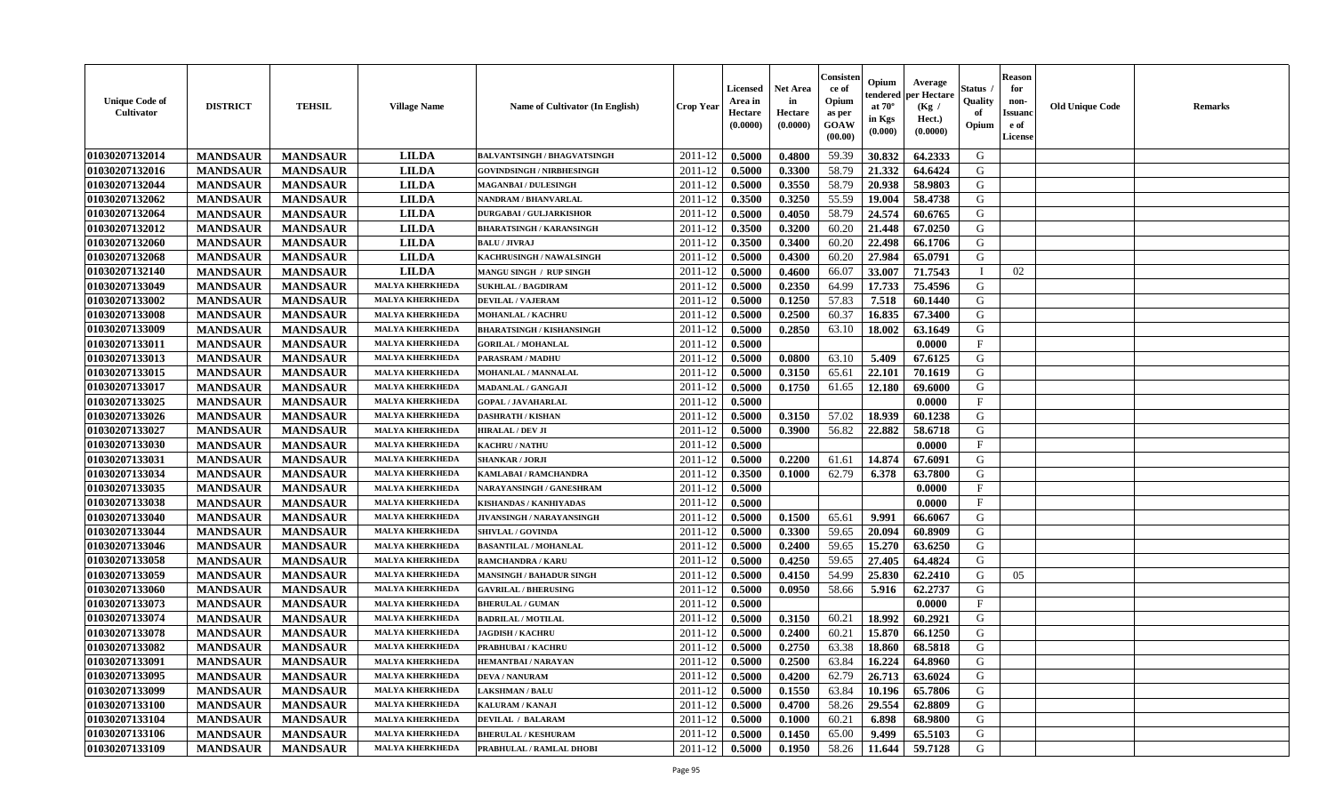| <b>Unique Code of</b><br>Cultivator | <b>DISTRICT</b> | <b>TEHSIL</b>   | <b>Village Name</b>    | Name of Cultivator (In English)    | <b>Crop Year</b> | <b>Licensed</b><br>Area in<br>Hectare<br>(0.0000) | <b>Net Area</b><br>in<br>Hectare<br>(0.0000) | Consister<br>ce of<br>Opium<br>as per<br><b>GOAW</b><br>(00.00) | Opium<br>endered<br>at $70^\circ$<br>in Kgs<br>(0.000) | Average<br>per Hectare<br>(Kg /<br>Hect.)<br>(0.0000) | Status<br>Quality<br>of<br>Opium | <b>Reason</b><br>for<br>non-<br><b>Issuand</b><br>e of<br>License | <b>Old Unique Code</b> | <b>Remarks</b> |
|-------------------------------------|-----------------|-----------------|------------------------|------------------------------------|------------------|---------------------------------------------------|----------------------------------------------|-----------------------------------------------------------------|--------------------------------------------------------|-------------------------------------------------------|----------------------------------|-------------------------------------------------------------------|------------------------|----------------|
| 01030207132014                      | <b>MANDSAUR</b> | <b>MANDSAUR</b> | <b>LILDA</b>           | <b>BALVANTSINGH / BHAGVATSINGH</b> | 2011-12          | 0.5000                                            | 0.4800                                       | 59.39                                                           | 30.832                                                 | 64.2333                                               | G                                |                                                                   |                        |                |
| 01030207132016                      | <b>MANDSAUR</b> | <b>MANDSAUR</b> | <b>LILDA</b>           | <b>GOVINDSINGH / NIRBHESINGH</b>   | 2011-12          | 0.5000                                            | 0.3300                                       | 58.79                                                           | 21.332                                                 | 64.6424                                               | G                                |                                                                   |                        |                |
| 01030207132044                      | <b>MANDSAUR</b> | <b>MANDSAUR</b> | <b>LILDA</b>           | <b>MAGANBAI/DULESINGH</b>          | 2011-12          | 0.5000                                            | 0.3550                                       | 58.79                                                           | 20.938                                                 | 58.9803                                               | G                                |                                                                   |                        |                |
| 01030207132062                      | <b>MANDSAUR</b> | <b>MANDSAUR</b> | <b>LILDA</b>           | <b>NANDRAM / BHANVARLAL</b>        | 2011-12          | 0.3500                                            | 0.3250                                       | 55.59                                                           | 19.004                                                 | 58.4738                                               | G                                |                                                                   |                        |                |
| 01030207132064                      | <b>MANDSAUR</b> | <b>MANDSAUR</b> | <b>LILDA</b>           | <b>DURGABAI/GULJARKISHOR</b>       | 2011-12          | 0.5000                                            | 0.4050                                       | 58.79                                                           | 24.574                                                 | 60.6765                                               | G                                |                                                                   |                        |                |
| 01030207132012                      | <b>MANDSAUR</b> | <b>MANDSAUR</b> | <b>LILDA</b>           | <b>BHARATSINGH / KARANSINGH</b>    | 2011-12          | 0.3500                                            | 0.3200                                       | 60.20                                                           | 21.448                                                 | 67.0250                                               | G                                |                                                                   |                        |                |
| 01030207132060                      | <b>MANDSAUR</b> | <b>MANDSAUR</b> | <b>LILDA</b>           | <b>BALU / JIVRAJ</b>               | 2011-12          | 0.3500                                            | 0.3400                                       | 60.20                                                           | 22.498                                                 | 66.1706                                               | G                                |                                                                   |                        |                |
| 01030207132068                      | <b>MANDSAUR</b> | <b>MANDSAUR</b> | <b>LILDA</b>           | KACHRUSINGH / NAWALSINGH           | 2011-12          | 0.5000                                            | 0.4300                                       | 60.20                                                           | 27.984                                                 | 65.0791                                               | G                                |                                                                   |                        |                |
| 01030207132140                      | <b>MANDSAUR</b> | <b>MANDSAUR</b> | <b>LILDA</b>           | MANGU SINGH / RUP SINGH            | 2011-12          | 0.5000                                            | 0.4600                                       | 66.07                                                           | 33.007                                                 | 71.7543                                               |                                  | 02                                                                |                        |                |
| 01030207133049                      | <b>MANDSAUR</b> | <b>MANDSAUR</b> | <b>MALYA KHERKHEDA</b> | <b>SUKHLAL / BAGDIRAM</b>          | 2011-12          | 0.5000                                            | 0.2350                                       | 64.99                                                           | 17.733                                                 | 75.4596                                               | G                                |                                                                   |                        |                |
| 01030207133002                      | <b>MANDSAUR</b> | <b>MANDSAUR</b> | <b>MALYA KHERKHEDA</b> | <b>DEVILAL / VAJERAM</b>           | 2011-12          | 0.5000                                            | 0.1250                                       | 57.83                                                           | 7.518                                                  | 60.1440                                               | G                                |                                                                   |                        |                |
| 01030207133008                      | <b>MANDSAUR</b> | <b>MANDSAUR</b> | <b>MALYA KHERKHEDA</b> | <b>MOHANLAL / KACHRU</b>           | 2011-12          | 0.5000                                            | 0.2500                                       | 60.37                                                           | 16.835                                                 | 67.3400                                               | G                                |                                                                   |                        |                |
| 01030207133009                      | <b>MANDSAUR</b> | <b>MANDSAUR</b> | <b>MALYA KHERKHEDA</b> | <b>BHARATSINGH / KISHANSINGH</b>   | 2011-12          | 0.5000                                            | 0.2850                                       | 63.10                                                           | 18.002                                                 | 63.1649                                               | G                                |                                                                   |                        |                |
| 01030207133011                      | <b>MANDSAUR</b> | <b>MANDSAUR</b> | <b>MALYA KHERKHEDA</b> | <b>GORILAL / MOHANLAL</b>          | 2011-12          | 0.5000                                            |                                              |                                                                 |                                                        | 0.0000                                                | $\mathbf{F}$                     |                                                                   |                        |                |
| 01030207133013                      | <b>MANDSAUR</b> | <b>MANDSAUR</b> | <b>MALYA KHERKHEDA</b> | PARASRAM / MADHU                   | 2011-12          | 0.5000                                            | 0.0800                                       | 63.10                                                           | 5.409                                                  | 67.6125                                               | G                                |                                                                   |                        |                |
| 01030207133015                      | <b>MANDSAUR</b> | <b>MANDSAUR</b> | <b>MALYA KHERKHEDA</b> | MOHANLAL / MANNALAL                | 2011-12          | 0.5000                                            | 0.3150                                       | 65.61                                                           | 22.101                                                 | 70.1619                                               | G                                |                                                                   |                        |                |
| 01030207133017                      | <b>MANDSAUR</b> | <b>MANDSAUR</b> | <b>MALYA KHERKHEDA</b> | MADANLAL / GANGAJI                 | 2011-12          | 0.5000                                            | 0.1750                                       | 61.65                                                           | 12.180                                                 | 69.6000                                               | G                                |                                                                   |                        |                |
| 01030207133025                      | <b>MANDSAUR</b> | <b>MANDSAUR</b> | <b>MALYA KHERKHEDA</b> | <b>GOPAL / JAVAHARLAL</b>          | 2011-12          | 0.5000                                            |                                              |                                                                 |                                                        | 0.0000                                                | $_{\rm F}$                       |                                                                   |                        |                |
| 01030207133026                      | <b>MANDSAUR</b> | <b>MANDSAUR</b> | <b>MALYA KHERKHEDA</b> | <b>DASHRATH / KISHAN</b>           | 2011-12          | 0.5000                                            | 0.3150                                       | 57.02                                                           | 18.939                                                 | 60.1238                                               | G                                |                                                                   |                        |                |
| 01030207133027                      | <b>MANDSAUR</b> | <b>MANDSAUR</b> | <b>MALYA KHERKHEDA</b> | <b>HIRALAL / DEV JI</b>            | 2011-12          | 0.5000                                            | 0.3900                                       | 56.82                                                           | 22.882                                                 | 58.6718                                               | G                                |                                                                   |                        |                |
| 01030207133030                      | <b>MANDSAUR</b> | <b>MANDSAUR</b> | <b>MALYA KHERKHEDA</b> | <b>KACHRU / NATHU</b>              | 2011-12          | 0.5000                                            |                                              |                                                                 |                                                        | 0.0000                                                | $\mathbf{F}$                     |                                                                   |                        |                |
| 01030207133031                      | <b>MANDSAUR</b> | <b>MANDSAUR</b> | <b>MALYA KHERKHEDA</b> | <b>SHANKAR / JORJI</b>             | 2011-12          | 0.5000                                            | 0.2200                                       | 61.61                                                           | 14.874                                                 | 67.6091                                               | G                                |                                                                   |                        |                |
| 01030207133034                      | <b>MANDSAUR</b> | <b>MANDSAUR</b> | <b>MALYA KHERKHEDA</b> | KAMLABAI / RAMCHANDRA              | 2011-12          | 0.3500                                            | 0.1000                                       | 62.79                                                           | 6.378                                                  | 63.7800                                               | G                                |                                                                   |                        |                |
| 01030207133035                      | <b>MANDSAUR</b> | <b>MANDSAUR</b> | <b>MALYA KHERKHEDA</b> | NARAYANSINGH / GANESHRAM           | 2011-12          | 0.5000                                            |                                              |                                                                 |                                                        | 0.0000                                                | $\mathbf F$                      |                                                                   |                        |                |
| 01030207133038                      | <b>MANDSAUR</b> | <b>MANDSAUR</b> | <b>MALYA KHERKHEDA</b> | KISHANDAS / KANHIYADAS             | 2011-12          | 0.5000                                            |                                              |                                                                 |                                                        | 0.0000                                                | $\mathbf F$                      |                                                                   |                        |                |
| 01030207133040                      | <b>MANDSAUR</b> | <b>MANDSAUR</b> | <b>MALYA KHERKHEDA</b> | <b>JIVANSINGH / NARAYANSINGH</b>   | 2011-12          | 0.5000                                            | 0.1500                                       | 65.61                                                           | 9.991                                                  | 66.6067                                               | G                                |                                                                   |                        |                |
| 01030207133044                      | <b>MANDSAUR</b> | <b>MANDSAUR</b> | <b>MALYA KHERKHEDA</b> | SHIVLAL / GOVINDA                  | 2011-12          | 0.5000                                            | 0.3300                                       | 59.65                                                           | 20.094                                                 | 60.8909                                               | G                                |                                                                   |                        |                |
| 01030207133046                      | <b>MANDSAUR</b> | <b>MANDSAUR</b> | <b>MALYA KHERKHEDA</b> | <b>BASANTILAL / MOHANLAL</b>       | 2011-12          | 0.5000                                            | 0.2400                                       | 59.65                                                           | 15.270                                                 | 63.6250                                               | G                                |                                                                   |                        |                |
| 01030207133058                      | <b>MANDSAUR</b> | <b>MANDSAUR</b> | <b>MALYA KHERKHEDA</b> | <b>RAMCHANDRA / KARU</b>           | 2011-12          | 0.5000                                            | 0.4250                                       | 59.65                                                           | 27.405                                                 | 64.4824                                               | G                                |                                                                   |                        |                |
| 01030207133059                      | <b>MANDSAUR</b> | <b>MANDSAUR</b> | <b>MALYA KHERKHEDA</b> | <b>MANSINGH / BAHADUR SINGH</b>    | 2011-12          | 0.5000                                            | 0.4150                                       | 54.99                                                           | 25.830                                                 | 62.2410                                               | G                                | 05                                                                |                        |                |
| 01030207133060                      | <b>MANDSAUR</b> | <b>MANDSAUR</b> | <b>MALYA KHERKHEDA</b> | <b>GAVRILAL / BHERUSING</b>        | 2011-12          | 0.5000                                            | 0.0950                                       | 58.66                                                           | 5.916                                                  | 62.2737                                               | G                                |                                                                   |                        |                |
| 01030207133073                      | <b>MANDSAUR</b> | <b>MANDSAUR</b> | <b>MALYA KHERKHEDA</b> | <b>BHERULAL / GUMAN</b>            | 2011-12          | 0.5000                                            |                                              |                                                                 |                                                        | 0.0000                                                | $\mathbf F$                      |                                                                   |                        |                |
| 01030207133074                      | <b>MANDSAUR</b> | <b>MANDSAUR</b> | <b>MALYA KHERKHEDA</b> | <b>BADRILAL / MOTILAL</b>          | 2011-12          | 0.5000                                            | 0.3150                                       | 60.21                                                           | 18.992                                                 | 60.2921                                               | G                                |                                                                   |                        |                |
| 01030207133078                      | <b>MANDSAUR</b> | <b>MANDSAUR</b> | <b>MALYA KHERKHEDA</b> | <b>JAGDISH / KACHRU</b>            | 2011-12          | 0.5000                                            | 0.2400                                       | 60.21                                                           | 15.870                                                 | 66.1250                                               | G                                |                                                                   |                        |                |
| 01030207133082                      | <b>MANDSAUR</b> | <b>MANDSAUR</b> | <b>MALYA KHERKHEDA</b> | PRABHUBAI / KACHRU                 | 2011-12          | 0.5000                                            | 0.2750                                       | 63.38                                                           | 18.860                                                 | 68.5818                                               | G                                |                                                                   |                        |                |
| 01030207133091                      | <b>MANDSAUR</b> | <b>MANDSAUR</b> | <b>MALYA KHERKHEDA</b> | <b>HEMANTBAI/NARAYAN</b>           | 2011-12          | 0.5000                                            | 0.2500                                       | 63.84                                                           | 16.224                                                 | 64.8960                                               | G                                |                                                                   |                        |                |
| 01030207133095                      | <b>MANDSAUR</b> | <b>MANDSAUR</b> | <b>MALYA KHERKHEDA</b> | <b>DEVA / NANURAM</b>              | 2011-12          | 0.5000                                            | 0.4200                                       | 62.79                                                           | 26.713                                                 | 63.6024                                               | G                                |                                                                   |                        |                |
| 01030207133099                      | <b>MANDSAUR</b> | <b>MANDSAUR</b> | <b>MALYA KHERKHEDA</b> | <b>LAKSHMAN / BALU</b>             | 2011-12          | 0.5000                                            | 0.1550                                       | 63.84                                                           | 10.196                                                 | 65.7806                                               | G                                |                                                                   |                        |                |
| 01030207133100                      | <b>MANDSAUR</b> | <b>MANDSAUR</b> | <b>MALYA KHERKHEDA</b> | KALURAM / KANAJI                   | 2011-12          | 0.5000                                            | 0.4700                                       | 58.26                                                           | 29.554                                                 | 62.8809                                               | G                                |                                                                   |                        |                |
| 01030207133104                      | <b>MANDSAUR</b> | <b>MANDSAUR</b> | <b>MALYA KHERKHEDA</b> | <b>DEVILAL / BALARAM</b>           | 2011-12          | 0.5000                                            | 0.1000                                       | 60.21                                                           | 6.898                                                  | 68.9800                                               | ${\bf G}$                        |                                                                   |                        |                |
| 01030207133106                      | <b>MANDSAUR</b> | <b>MANDSAUR</b> | <b>MALYA KHERKHEDA</b> | <b>BHERULAL / KESHURAM</b>         | 2011-12          | 0.5000                                            | 0.1450                                       | 65.00                                                           | 9.499                                                  | 65.5103                                               | G                                |                                                                   |                        |                |
| 01030207133109                      | <b>MANDSAUR</b> | <b>MANDSAUR</b> | <b>MALYA KHERKHEDA</b> | PRABHULAL / RAMLAL DHOBI           | 2011-12          | 0.5000                                            | 0.1950                                       | 58.26                                                           | 11.644                                                 | 59.7128                                               | G                                |                                                                   |                        |                |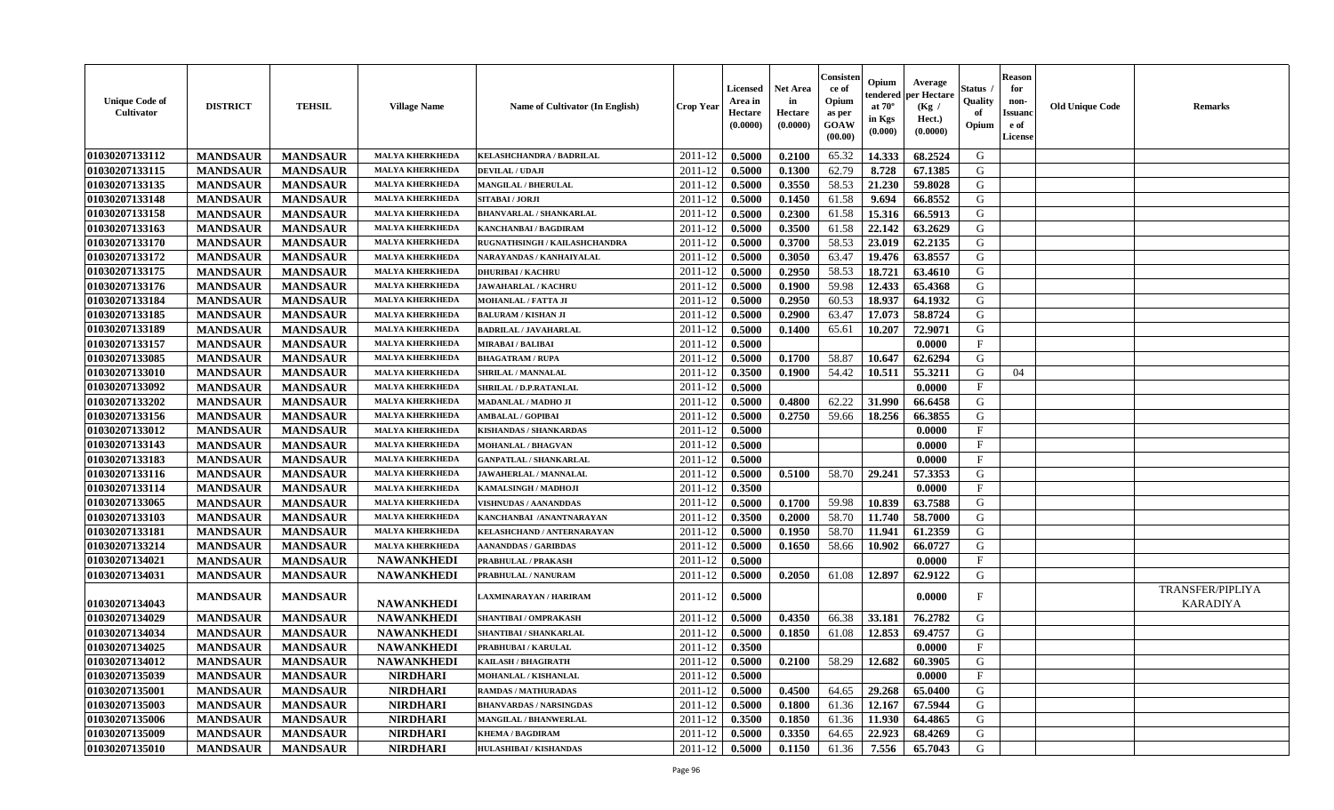| <b>Unique Code of</b><br>Cultivator | <b>DISTRICT</b> | <b>TEHSIL</b>   | <b>Village Name</b>    | <b>Name of Cultivator (In English)</b> | <b>Crop Year</b> | <b>Licensed</b><br>Area in<br>Hectare<br>(0.0000) | <b>Net Area</b><br>in<br>Hectare<br>(0.0000) | Consister<br>ce of<br>Opium<br>as per<br>GOAW<br>(00.00) | Opium<br>tendered<br>at $70^{\circ}$<br>in Kgs<br>$(\mathbf{0.000})$ | Average<br>per Hectare<br>(Kg /<br>Hect.)<br>(0.0000) | Status .<br>Quality<br>of<br>Opium | <b>Reason</b><br>for<br>non-<br><b>Issuanc</b><br>e of<br>License | <b>Old Unique Code</b> | <b>Remarks</b>                      |
|-------------------------------------|-----------------|-----------------|------------------------|----------------------------------------|------------------|---------------------------------------------------|----------------------------------------------|----------------------------------------------------------|----------------------------------------------------------------------|-------------------------------------------------------|------------------------------------|-------------------------------------------------------------------|------------------------|-------------------------------------|
| 01030207133112                      | <b>MANDSAUR</b> | <b>MANDSAUR</b> | <b>MALYA KHERKHEDA</b> | <b>KELASHCHANDRA / BADRILAL</b>        | 2011-12          | 0.5000                                            | 0.2100                                       | 65.32                                                    | 14.333                                                               | 68.2524                                               | G                                  |                                                                   |                        |                                     |
| 01030207133115                      | <b>MANDSAUR</b> | <b>MANDSAUR</b> | <b>MALYA KHERKHEDA</b> | <b>DEVILAL / UDAJI</b>                 | 2011-12          | 0.5000                                            | 0.1300                                       | 62.79                                                    | 8.728                                                                | 67.1385                                               | G                                  |                                                                   |                        |                                     |
| 01030207133135                      | <b>MANDSAUR</b> | <b>MANDSAUR</b> | <b>MALYA KHERKHEDA</b> | <b>MANGILAL / BHERULAL</b>             | 2011-12          | 0.5000                                            | 0.3550                                       | 58.53                                                    | 21.230                                                               | 59.8028                                               | G                                  |                                                                   |                        |                                     |
| 01030207133148                      | <b>MANDSAUR</b> | <b>MANDSAUR</b> | <b>MALYA KHERKHEDA</b> | SITABAI / JORJI                        | 2011-12          | 0.5000                                            | 0.1450                                       | 61.58                                                    | 9.694                                                                | 66.8552                                               | G                                  |                                                                   |                        |                                     |
| 01030207133158                      | <b>MANDSAUR</b> | <b>MANDSAUR</b> | <b>MALYA KHERKHEDA</b> | <b>BHANVARLAL / SHANKARLAL</b>         | 2011-12          | 0.5000                                            | 0.2300                                       | 61.58                                                    | 15.316                                                               | 66.5913                                               | G                                  |                                                                   |                        |                                     |
| 01030207133163                      | <b>MANDSAUR</b> | <b>MANDSAUR</b> | <b>MALYA KHERKHEDA</b> | <b>KANCHANBAI / BAGDIRAM</b>           | 2011-12          | 0.5000                                            | 0.3500                                       | 61.58                                                    | 22.142                                                               | 63.2629                                               | G                                  |                                                                   |                        |                                     |
| 01030207133170                      | <b>MANDSAUR</b> | <b>MANDSAUR</b> | <b>MALYA KHERKHEDA</b> | RUGNATHSINGH / KAILASHCHANDRA          | 2011-12          | 0.5000                                            | 0.3700                                       | 58.53                                                    | 23.019                                                               | 62.2135                                               | G                                  |                                                                   |                        |                                     |
| 01030207133172                      | <b>MANDSAUR</b> | <b>MANDSAUR</b> | <b>MALYA KHERKHEDA</b> | NARAYANDAS / KANHAIYALAL               | 2011-12          | 0.5000                                            | 0.3050                                       | 63.47                                                    | 19.476                                                               | 63.8557                                               | G                                  |                                                                   |                        |                                     |
| 01030207133175                      | <b>MANDSAUR</b> | <b>MANDSAUR</b> | <b>MALYA KHERKHEDA</b> | <b>DHURIBAI / KACHRU</b>               | 2011-12          | 0.5000                                            | 0.2950                                       | 58.53                                                    | 18.721                                                               | 63.4610                                               | G                                  |                                                                   |                        |                                     |
| 01030207133176                      | <b>MANDSAUR</b> | <b>MANDSAUR</b> | <b>MALYA KHERKHEDA</b> | <b>JAWAHARLAL / KACHRU</b>             | 2011-12          | 0.5000                                            | 0.1900                                       | 59.98                                                    | 12.433                                                               | 65.4368                                               | G                                  |                                                                   |                        |                                     |
| 01030207133184                      | <b>MANDSAUR</b> | <b>MANDSAUR</b> | <b>MALYA KHERKHEDA</b> | MOHANLAL / FATTA JI                    | 2011-12          | 0.5000                                            | 0.2950                                       | 60.53                                                    | 18.937                                                               | 64.1932                                               | G                                  |                                                                   |                        |                                     |
| 01030207133185                      | <b>MANDSAUR</b> | <b>MANDSAUR</b> | <b>MALYA KHERKHEDA</b> | <b>BALURAM / KISHAN JI</b>             | 2011-12          | 0.5000                                            | 0.2900                                       | 63.47                                                    | 17.073                                                               | 58.8724                                               | G                                  |                                                                   |                        |                                     |
| 01030207133189                      | <b>MANDSAUR</b> | <b>MANDSAUR</b> | <b>MALYA KHERKHEDA</b> | <b>BADRILAL / JAVAHARLAL</b>           | 2011-12          | 0.5000                                            | 0.1400                                       | 65.61                                                    | 10.207                                                               | 72.9071                                               | G                                  |                                                                   |                        |                                     |
| 01030207133157                      | <b>MANDSAUR</b> | <b>MANDSAUR</b> | <b>MALYA KHERKHEDA</b> | <b>MIRABAI / BALIBAI</b>               | 2011-12          | 0.5000                                            |                                              |                                                          |                                                                      | 0.0000                                                | $\mathbf{F}$                       |                                                                   |                        |                                     |
| 01030207133085                      | <b>MANDSAUR</b> | <b>MANDSAUR</b> | <b>MALYA KHERKHEDA</b> | <b>BHAGATRAM / RUPA</b>                | 2011-12          | 0.5000                                            | 0.1700                                       | 58.87                                                    | 10.647                                                               | 62.6294                                               | G                                  |                                                                   |                        |                                     |
| 01030207133010                      | <b>MANDSAUR</b> | <b>MANDSAUR</b> | <b>MALYA KHERKHEDA</b> | SHRILAL / MANNALAL                     | 2011-12          | 0.3500                                            | 0.1900                                       | 54.42                                                    | 10.511                                                               | 55.3211                                               | G                                  | 04                                                                |                        |                                     |
| 01030207133092                      | <b>MANDSAUR</b> | <b>MANDSAUR</b> | <b>MALYA KHERKHEDA</b> | SHRILAL / D.P.RATANLAL                 | 2011-12          | 0.5000                                            |                                              |                                                          |                                                                      | 0.0000                                                | $\mathbf F$                        |                                                                   |                        |                                     |
| 01030207133202                      | <b>MANDSAUR</b> | <b>MANDSAUR</b> | <b>MALYA KHERKHEDA</b> | MADANLAL / MADHO JI                    | 2011-12          | 0.5000                                            | 0.4800                                       | 62.22                                                    | 31.990                                                               | 66.6458                                               | G                                  |                                                                   |                        |                                     |
| 01030207133156                      | <b>MANDSAUR</b> | <b>MANDSAUR</b> | <b>MALYA KHERKHEDA</b> | <b>AMBALAL / GOPIBAI</b>               | 2011-12          | 0.5000                                            | 0.2750                                       | 59.66                                                    | 18.256                                                               | 66.3855                                               | G                                  |                                                                   |                        |                                     |
| 01030207133012                      | <b>MANDSAUR</b> | <b>MANDSAUR</b> | <b>MALYA KHERKHEDA</b> | <b>KISHANDAS / SHANKARDAS</b>          | 2011-12          | 0.5000                                            |                                              |                                                          |                                                                      | 0.0000                                                | $\mathbf{F}$                       |                                                                   |                        |                                     |
| 01030207133143                      | <b>MANDSAUR</b> | <b>MANDSAUR</b> | <b>MALYA KHERKHEDA</b> | MOHANLAL / BHAGVAN                     | 2011-12          | 0.5000                                            |                                              |                                                          |                                                                      | 0.0000                                                | $\mathbf{F}$                       |                                                                   |                        |                                     |
| 01030207133183                      | <b>MANDSAUR</b> | <b>MANDSAUR</b> | <b>MALYA KHERKHEDA</b> | <b>GANPATLAL / SHANKARLAL</b>          | 2011-12          | 0.5000                                            |                                              |                                                          |                                                                      | 0.0000                                                | $\mathbf F$                        |                                                                   |                        |                                     |
| 01030207133116                      | <b>MANDSAUR</b> | <b>MANDSAUR</b> | <b>MALYA KHERKHEDA</b> | JAWAHERLAL / MANNALAL                  | 2011-12          | 0.5000                                            | 0.5100                                       | 58.70                                                    | 29.241                                                               | 57.3353                                               | G                                  |                                                                   |                        |                                     |
| 01030207133114                      | <b>MANDSAUR</b> | <b>MANDSAUR</b> | <b>MALYA KHERKHEDA</b> | KAMALSINGH / MADHOJI                   | 2011-12          | 0.3500                                            |                                              |                                                          |                                                                      | 0.0000                                                | $\mathbf{F}$                       |                                                                   |                        |                                     |
| 01030207133065                      | <b>MANDSAUR</b> | <b>MANDSAUR</b> | <b>MALYA KHERKHEDA</b> | VISHNUDAS / AANANDDAS                  | 2011-12          | 0.5000                                            | 0.1700                                       | 59.98                                                    | 10.839                                                               | 63.7588                                               | G                                  |                                                                   |                        |                                     |
| 01030207133103                      | <b>MANDSAUR</b> | <b>MANDSAUR</b> | <b>MALYA KHERKHEDA</b> | KANCHANBAI /ANANTNARAYAN               | 2011-12          | 0.3500                                            | 0.2000                                       | 58.70                                                    | 11.740                                                               | 58.7000                                               | G                                  |                                                                   |                        |                                     |
| 01030207133181                      | <b>MANDSAUR</b> | <b>MANDSAUR</b> | <b>MALYA KHERKHEDA</b> | KELASHCHAND / ANTERNARAYAN             | 2011-12          | 0.5000                                            | 0.1950                                       | 58.70                                                    | 11.941                                                               | 61.2359                                               | G                                  |                                                                   |                        |                                     |
| 01030207133214                      | <b>MANDSAUR</b> | <b>MANDSAUR</b> | <b>MALYA KHERKHEDA</b> | <b>AANANDDAS / GARIBDAS</b>            | 2011-12          | 0.5000                                            | 0.1650                                       | 58.66                                                    | 10.902                                                               | 66.0727                                               | G                                  |                                                                   |                        |                                     |
| 01030207134021                      | <b>MANDSAUR</b> | <b>MANDSAUR</b> | <b>NAWANKHEDI</b>      | PRABHULAL / PRAKASH                    | 2011-12          | 0.5000                                            |                                              |                                                          |                                                                      | 0.0000                                                | F                                  |                                                                   |                        |                                     |
| 01030207134031                      | <b>MANDSAUR</b> | <b>MANDSAUR</b> | <b>NAWANKHEDI</b>      | PRABHULAL / NANURAM                    | 2011-12          | 0.5000                                            | 0.2050                                       | 61.08                                                    | 12.897                                                               | 62.9122                                               | G                                  |                                                                   |                        |                                     |
| 01030207134043                      | <b>MANDSAUR</b> | <b>MANDSAUR</b> | <b>NAWANKHEDI</b>      | AXMINARAYAN / HARIRAM                  | 2011-12          | 0.5000                                            |                                              |                                                          |                                                                      | 0.0000                                                | F                                  |                                                                   |                        | <b>TRANSFER/PIPLIYA</b><br>KARADIYA |
| 01030207134029                      | <b>MANDSAUR</b> | <b>MANDSAUR</b> | <b>NAWANKHEDI</b>      | SHANTIBAI / OMPRAKASH                  | 2011-12          | 0.5000                                            | 0.4350                                       | 66.38                                                    | 33.181                                                               | 76.2782                                               | G                                  |                                                                   |                        |                                     |
| 01030207134034                      | <b>MANDSAUR</b> | <b>MANDSAUR</b> | <b>NAWANKHEDI</b>      | <b>SHANTIBAI / SHANKARLAL</b>          | 2011-12          | 0.5000                                            | 0.1850                                       | 61.08                                                    | 12.853                                                               | 69.4757                                               | G                                  |                                                                   |                        |                                     |
| 01030207134025                      | <b>MANDSAUR</b> | <b>MANDSAUR</b> | <b>NAWANKHEDI</b>      | PRABHUBAI / KARULAL                    | 2011-12          | 0.3500                                            |                                              |                                                          |                                                                      | 0.0000                                                | F                                  |                                                                   |                        |                                     |
| 01030207134012                      | <b>MANDSAUR</b> | MANDSAUR        | <b>NAWANKHEDI</b>      | KAILASH / BHAGIRATH                    | $2011-12$ 0.5000 |                                                   | 0.2100                                       |                                                          | 58.29   12.682                                                       | 60.3905                                               | G                                  |                                                                   |                        |                                     |
| 01030207135039                      | <b>MANDSAUR</b> | <b>MANDSAUR</b> | <b>NIRDHARI</b>        | MOHANLAL / KISHANLAL                   | 2011-12          | 0.5000                                            |                                              |                                                          |                                                                      | 0.0000                                                | $_{\rm F}$                         |                                                                   |                        |                                     |
| 01030207135001                      | <b>MANDSAUR</b> | <b>MANDSAUR</b> | <b>NIRDHARI</b>        | <b>RAMDAS / MATHURADAS</b>             | 2011-12          | 0.5000                                            | 0.4500                                       | 64.65                                                    | 29.268                                                               | 65.0400                                               | G                                  |                                                                   |                        |                                     |
| 01030207135003                      | <b>MANDSAUR</b> | <b>MANDSAUR</b> | <b>NIRDHARI</b>        | <b>BHANVARDAS / NARSINGDAS</b>         | 2011-12          | 0.5000                                            | 0.1800                                       | 61.36                                                    | 12.167                                                               | 67.5944                                               | G                                  |                                                                   |                        |                                     |
| 01030207135006                      | <b>MANDSAUR</b> | <b>MANDSAUR</b> | <b>NIRDHARI</b>        | <b>MANGILAL / BHANWERLAL</b>           | 2011-12          | 0.3500                                            | 0.1850                                       | 61.36                                                    | 11.930                                                               | 64.4865                                               | G                                  |                                                                   |                        |                                     |
| 01030207135009                      | <b>MANDSAUR</b> | <b>MANDSAUR</b> | <b>NIRDHARI</b>        | <b>KHEMA / BAGDIRAM</b>                | 2011-12          | 0.5000                                            | 0.3350                                       | 64.65                                                    | 22.923                                                               | 68.4269                                               | G                                  |                                                                   |                        |                                     |
| 01030207135010                      | <b>MANDSAUR</b> | <b>MANDSAUR</b> | <b>NIRDHARI</b>        | HULASHIBAI / KISHANDAS                 | $2011 - 12$      | 0.5000                                            | 0.1150                                       | 61.36                                                    | 7.556                                                                | 65.7043                                               | G                                  |                                                                   |                        |                                     |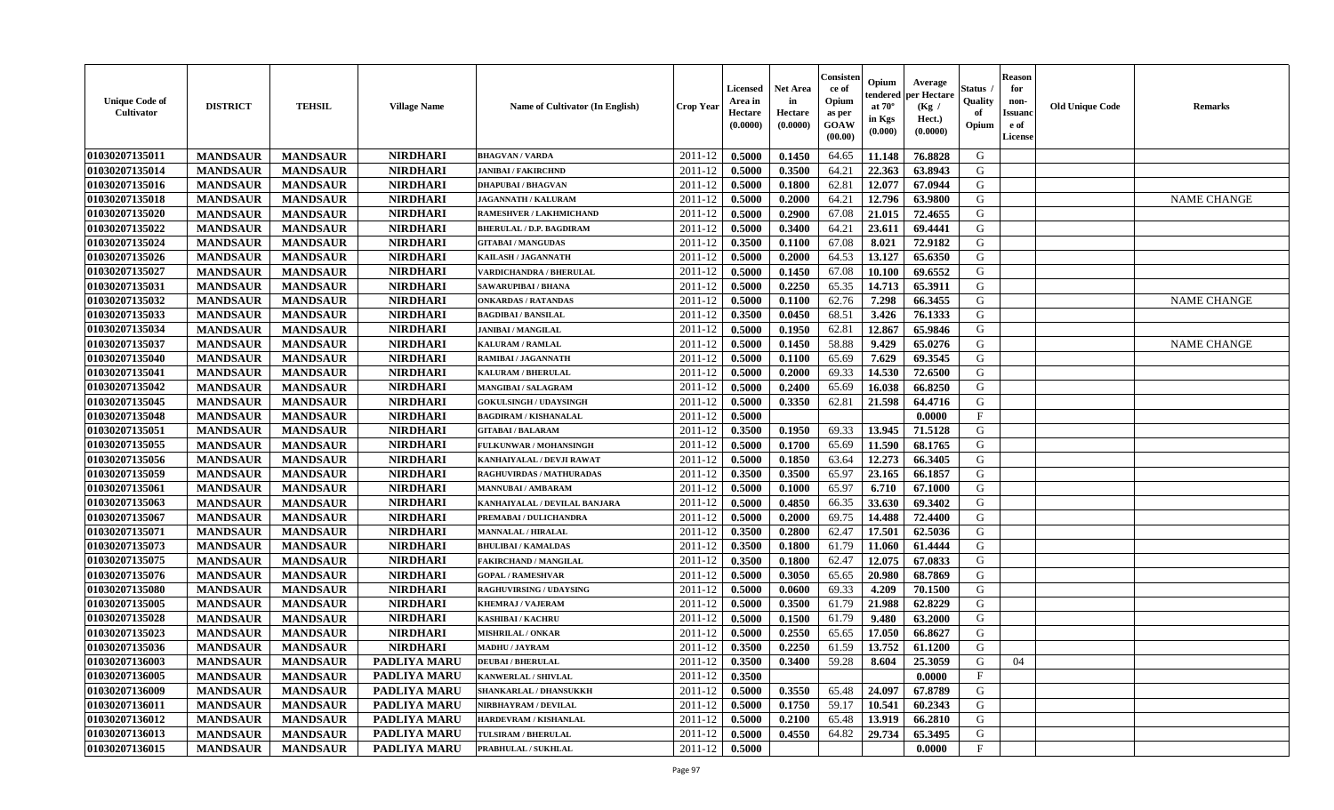| <b>Unique Code of</b><br><b>Cultivator</b> | <b>DISTRICT</b> | <b>TEHSIL</b>   | <b>Village Name</b> | Name of Cultivator (In English) | <b>Crop Year</b>   | <b>Licensed</b><br>Area in<br>Hectare<br>(0.0000) | <b>Net Area</b><br>in<br>Hectare<br>(0.0000) | Consisteı<br>ce of<br>Opium<br>as per<br><b>GOAW</b><br>(00.00) | Opium<br>endered<br>at $70^\circ$<br>in Kgs<br>$(\mathbf{0.000})$ | Average<br>per Hectare<br>(Kg /<br>Hect.)<br>(0.0000) | Status<br>Quality<br>of<br>Opium | <b>Reason</b><br>for<br>non-<br>Issuan<br>e of<br>License | <b>Old Unique Code</b> | <b>Remarks</b>     |
|--------------------------------------------|-----------------|-----------------|---------------------|---------------------------------|--------------------|---------------------------------------------------|----------------------------------------------|-----------------------------------------------------------------|-------------------------------------------------------------------|-------------------------------------------------------|----------------------------------|-----------------------------------------------------------|------------------------|--------------------|
| 01030207135011                             | <b>MANDSAUR</b> | <b>MANDSAUR</b> | <b>NIRDHARI</b>     | <b>BHAGVAN / VARDA</b>          | 2011-12            | 0.5000                                            | 0.1450                                       | 64.65                                                           | 11.148                                                            | 76.8828                                               | G                                |                                                           |                        |                    |
| 01030207135014                             | <b>MANDSAUR</b> | <b>MANDSAUR</b> | <b>NIRDHARI</b>     | <b>JANIBAI / FAKIRCHND</b>      | 2011-12            | 0.5000                                            | 0.3500                                       | 64.21                                                           | 22.363                                                            | 63.8943                                               | G                                |                                                           |                        |                    |
| 01030207135016                             | <b>MANDSAUR</b> | <b>MANDSAUR</b> | <b>NIRDHARI</b>     | <b>DHAPUBAI/BHAGVAN</b>         | 2011-12            | 0.5000                                            | 0.1800                                       | 62.81                                                           | 12.077                                                            | 67.0944                                               | G                                |                                                           |                        |                    |
| 01030207135018                             | <b>MANDSAUR</b> | <b>MANDSAUR</b> | <b>NIRDHARI</b>     | JAGANNATH / KALURAM             | 2011-12            | 0.5000                                            | 0.2000                                       | 64.21                                                           | 12.796                                                            | 63.9800                                               | G                                |                                                           |                        | <b>NAME CHANGE</b> |
| 01030207135020                             | <b>MANDSAUR</b> | <b>MANDSAUR</b> | <b>NIRDHARI</b>     | <b>RAMESHVER / LAKHMICHAND</b>  | 2011-12            | 0.5000                                            | 0.2900                                       | 67.08                                                           | 21.015                                                            | 72.4655                                               | G                                |                                                           |                        |                    |
| 01030207135022                             | <b>MANDSAUR</b> | <b>MANDSAUR</b> | <b>NIRDHARI</b>     | <b>BHERULAL / D.P. BAGDIRAM</b> | 2011-12            | 0.5000                                            | 0.3400                                       | 64.21                                                           | 23.611                                                            | 69.4441                                               | G                                |                                                           |                        |                    |
| 01030207135024                             | <b>MANDSAUR</b> | <b>MANDSAUR</b> | <b>NIRDHARI</b>     | <b>GITABAI/MANGUDAS</b>         | 2011-12            | 0.3500                                            | 0.1100                                       | 67.08                                                           | 8.021                                                             | 72.9182                                               | G                                |                                                           |                        |                    |
| 01030207135026                             | <b>MANDSAUR</b> | <b>MANDSAUR</b> | <b>NIRDHARI</b>     | KAILASH / JAGANNATH             | 2011-12            | 0.5000                                            | 0.2000                                       | 64.53                                                           | 13.127                                                            | 65.6350                                               | G                                |                                                           |                        |                    |
| 01030207135027                             | <b>MANDSAUR</b> | <b>MANDSAUR</b> | <b>NIRDHARI</b>     | <b>VARDICHANDRA / BHERULAL</b>  | 2011-12            | 0.5000                                            | 0.1450                                       | 67.08                                                           | 10.100                                                            | 69.6552                                               | G                                |                                                           |                        |                    |
| 01030207135031                             | <b>MANDSAUR</b> | <b>MANDSAUR</b> | <b>NIRDHARI</b>     | SAWARUPIBAI / BHANA             | 2011-12            | 0.5000                                            | 0.2250                                       | 65.35                                                           | 14.713                                                            | 65.3911                                               | G                                |                                                           |                        |                    |
| 01030207135032                             | <b>MANDSAUR</b> | <b>MANDSAUR</b> | <b>NIRDHARI</b>     | <b>ONKARDAS / RATANDAS</b>      | 2011-12            | 0.5000                                            | 0.1100                                       | 62.76                                                           | 7.298                                                             | 66.3455                                               | G                                |                                                           |                        | <b>NAME CHANGE</b> |
| 01030207135033                             | <b>MANDSAUR</b> | <b>MANDSAUR</b> | <b>NIRDHARI</b>     | <b>BAGDIBAI / BANSILAL</b>      | 2011-12            | 0.3500                                            | 0.0450                                       | 68.51                                                           | 3.426                                                             | 76.1333                                               | G                                |                                                           |                        |                    |
| 01030207135034                             | <b>MANDSAUR</b> | <b>MANDSAUR</b> | <b>NIRDHARI</b>     | <b>JANIBAI / MANGILAL</b>       | 2011-12            | 0.5000                                            | 0.1950                                       | 62.81                                                           | 12.867                                                            | 65.9846                                               | G                                |                                                           |                        |                    |
| 01030207135037                             | <b>MANDSAUR</b> | <b>MANDSAUR</b> | <b>NIRDHARI</b>     | KALURAM / RAMLAL                | 2011-12            | 0.5000                                            | 0.1450                                       | 58.88                                                           | 9.429                                                             | 65.0276                                               | G                                |                                                           |                        | <b>NAME CHANGE</b> |
| 01030207135040                             | <b>MANDSAUR</b> | <b>MANDSAUR</b> | <b>NIRDHARI</b>     | RAMIBAI / JAGANNATH             | 2011-12            | 0.5000                                            | 0.1100                                       | 65.69                                                           | 7.629                                                             | 69.3545                                               | G                                |                                                           |                        |                    |
| 01030207135041                             | <b>MANDSAUR</b> | <b>MANDSAUR</b> | <b>NIRDHARI</b>     | <b>KALURAM / BHERULAL</b>       | 2011-12            | 0.5000                                            | 0.2000                                       | 69.33                                                           | 14.530                                                            | 72.6500                                               | G                                |                                                           |                        |                    |
| 01030207135042                             | <b>MANDSAUR</b> | <b>MANDSAUR</b> | <b>NIRDHARI</b>     | <b>MANGIBAI/SALAGRAM</b>        | 2011-12            | 0.5000                                            | 0.2400                                       | 65.69                                                           | 16.038                                                            | 66.8250                                               | G                                |                                                           |                        |                    |
| 01030207135045                             | <b>MANDSAUR</b> | <b>MANDSAUR</b> | <b>NIRDHARI</b>     | <b>GOKULSINGH / UDAYSINGH</b>   | 2011-12            | 0.5000                                            | 0.3350                                       | 62.81                                                           | 21.598                                                            | 64.4716                                               | G                                |                                                           |                        |                    |
| 01030207135048                             | <b>MANDSAUR</b> | <b>MANDSAUR</b> | <b>NIRDHARI</b>     | <b>BAGDIRAM / KISHANALAL</b>    | 2011-12            | 0.5000                                            |                                              |                                                                 |                                                                   | 0.0000                                                | $_{\rm F}$                       |                                                           |                        |                    |
| 01030207135051                             | <b>MANDSAUR</b> | <b>MANDSAUR</b> | <b>NIRDHARI</b>     | <b>GITABAI/BALARAM</b>          | 2011-12            | 0.3500                                            | 0.1950                                       | 69.33                                                           | 13.945                                                            | 71.5128                                               | G                                |                                                           |                        |                    |
| 01030207135055                             | <b>MANDSAUR</b> | <b>MANDSAUR</b> | <b>NIRDHARI</b>     | FULKUNWAR / MOHANSINGH          | 2011-12            | 0.5000                                            | 0.1700                                       | 65.69                                                           | 11.590                                                            | 68.1765                                               | G                                |                                                           |                        |                    |
| 01030207135056                             | <b>MANDSAUR</b> | <b>MANDSAUR</b> | <b>NIRDHARI</b>     | KANHAIYALAL / DEVJI RAWAT       | 2011-12            | 0.5000                                            | 0.1850                                       | 63.64                                                           | 12,273                                                            | 66.3405                                               | G                                |                                                           |                        |                    |
| 01030207135059                             | <b>MANDSAUR</b> | <b>MANDSAUR</b> | <b>NIRDHARI</b>     | RAGHUVIRDAS / MATHURADAS        | 2011-12            | 0.3500                                            | 0.3500                                       | 65.97                                                           | 23.165                                                            | 66.1857                                               | G                                |                                                           |                        |                    |
| 01030207135061                             | <b>MANDSAUR</b> | <b>MANDSAUR</b> | <b>NIRDHARI</b>     | <b>MANNUBAI / AMBARAM</b>       | 2011-12            | 0.5000                                            | 0.1000                                       | 65.97                                                           | 6.710                                                             | 67.1000                                               | G                                |                                                           |                        |                    |
| 01030207135063                             | <b>MANDSAUR</b> | <b>MANDSAUR</b> | <b>NIRDHARI</b>     | KANHAIYALAL / DEVILAL BANJARA   | 2011-12            | 0.5000                                            | 0.4850                                       | 66.35                                                           | 33.630                                                            | 69.3402                                               | G                                |                                                           |                        |                    |
| 01030207135067                             | <b>MANDSAUR</b> | <b>MANDSAUR</b> | <b>NIRDHARI</b>     | PREMABAI / DULICHANDRA          | 2011-12            | 0.5000                                            | 0.2000                                       | 69.75                                                           | 14.488                                                            | 72.4400                                               | G                                |                                                           |                        |                    |
| 01030207135071                             | <b>MANDSAUR</b> | <b>MANDSAUR</b> | <b>NIRDHARI</b>     | MANNALAL / HIRALAL              | 2011-12            | 0.3500                                            | 0.2800                                       | 62.47                                                           | 17.501                                                            | 62.5036                                               | G                                |                                                           |                        |                    |
| 01030207135073                             | <b>MANDSAUR</b> | <b>MANDSAUR</b> | <b>NIRDHARI</b>     | <b>BHULIBAI / KAMALDAS</b>      | 2011-12            | 0.3500                                            | 0.1800                                       | 61.79                                                           | 11.060                                                            | 61.4444                                               | G                                |                                                           |                        |                    |
| 01030207135075                             | <b>MANDSAUR</b> | <b>MANDSAUR</b> | <b>NIRDHARI</b>     | <b>FAKIRCHAND / MANGILAL</b>    | 2011-12            | 0.3500                                            | 0.1800                                       | 62.47                                                           | 12.075                                                            | 67.0833                                               | G                                |                                                           |                        |                    |
| 01030207135076                             | <b>MANDSAUR</b> | <b>MANDSAUR</b> | <b>NIRDHARI</b>     | <b>GOPAL / RAMESHVAR</b>        | 2011-12            | 0.5000                                            | 0.3050                                       | 65.65                                                           | 20.980                                                            | 68.7869                                               | G                                |                                                           |                        |                    |
| 01030207135080                             | <b>MANDSAUR</b> | <b>MANDSAUR</b> | <b>NIRDHARI</b>     | <b>RAGHUVIRSING / UDAYSING</b>  | 2011-12            | 0.5000                                            | 0.0600                                       | 69.33                                                           | 4.209                                                             | 70.1500                                               | G                                |                                                           |                        |                    |
| 01030207135005                             | <b>MANDSAUR</b> | <b>MANDSAUR</b> | <b>NIRDHARI</b>     | <b>KHEMRAJ / VAJERAM</b>        | 2011-12            | 0.5000                                            | 0.3500                                       | 61.79                                                           | 21.988                                                            | 62.8229                                               | G                                |                                                           |                        |                    |
| 01030207135028                             | <b>MANDSAUR</b> | <b>MANDSAUR</b> | <b>NIRDHARI</b>     | KASHIBAI / KACHRU               | 2011-12            | 0.5000                                            | 0.1500                                       | 61.79                                                           | 9.480                                                             | 63.2000                                               | G                                |                                                           |                        |                    |
| 01030207135023                             | <b>MANDSAUR</b> | <b>MANDSAUR</b> | <b>NIRDHARI</b>     | <b>MISHRILAL / ONKAR</b>        | 2011-12            | 0.5000                                            | 0.2550                                       | 65.65                                                           | 17.050                                                            | 66.8627                                               | G                                |                                                           |                        |                    |
| 01030207135036                             | <b>MANDSAUR</b> | <b>MANDSAUR</b> | <b>NIRDHARI</b>     | <b>MADHU / JAYRAM</b>           | 2011-12            | 0.3500                                            | 0.2250                                       | 61.59                                                           | 13.752                                                            | 61.1200                                               | G                                |                                                           |                        |                    |
| <b>01030207136003</b>                      | <b>MANDSAUR</b> | <b>MANDSAUR</b> | PADLIYA MARU        | <b>DEUBAI/BHERULAL</b>          | $2011 - 12$ 0.3500 |                                                   | 0.3400                                       |                                                                 |                                                                   | 59.28   8.604   25.3059                               | G                                | 04                                                        |                        |                    |
| 01030207136005                             | <b>MANDSAUR</b> | <b>MANDSAUR</b> | <b>PADLIYA MARU</b> | <b>KANWERLAL / SHIVLAL</b>      | 2011-12            | 0.3500                                            |                                              |                                                                 |                                                                   | 0.0000                                                | $_{\rm F}$                       |                                                           |                        |                    |
| 01030207136009                             | <b>MANDSAUR</b> | <b>MANDSAUR</b> | <b>PADLIYA MARU</b> | SHANKARLAL / DHANSUKKH          | 2011-12            | 0.5000                                            | 0.3550                                       | 65.48                                                           | 24.097                                                            | 67.8789                                               | G                                |                                                           |                        |                    |
| 01030207136011                             | <b>MANDSAUR</b> | <b>MANDSAUR</b> | PADLIYA MARU        | NIRBHAYRAM / DEVILAL            | 2011-12            | 0.5000                                            | 0.1750                                       | 59.17                                                           | 10.541                                                            | 60.2343                                               | G                                |                                                           |                        |                    |
| 01030207136012                             | <b>MANDSAUR</b> | <b>MANDSAUR</b> | <b>PADLIYA MARU</b> | HARDEVRAM / KISHANLAL           | 2011-12            | 0.5000                                            | 0.2100                                       | 65.48                                                           | 13.919                                                            | 66.2810                                               | G                                |                                                           |                        |                    |
| 01030207136013                             | <b>MANDSAUR</b> | <b>MANDSAUR</b> | <b>PADLIYA MARU</b> | TULSIRAM / BHERULAL             | 2011-12            | 0.5000                                            | 0.4550                                       | 64.82                                                           | 29.734                                                            | 65.3495                                               | G                                |                                                           |                        |                    |
| 01030207136015                             | <b>MANDSAUR</b> | <b>MANDSAUR</b> | PADLIYA MARU        | PRABHULAL / SUKHLAL             | 2011-12            | 0.5000                                            |                                              |                                                                 |                                                                   | 0.0000                                                | $\mathbf{F}$                     |                                                           |                        |                    |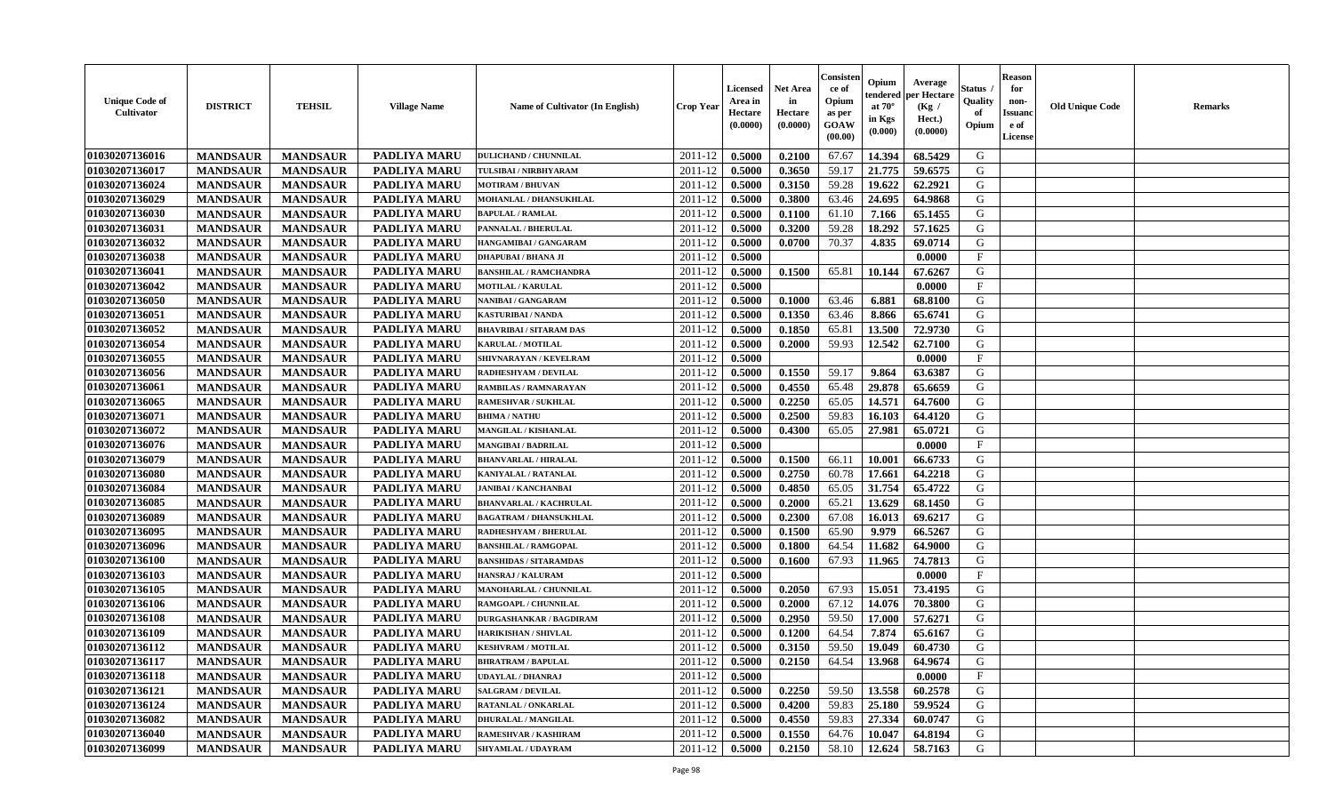| <b>Unique Code of</b><br><b>Cultivator</b> | <b>DISTRICT</b> | <b>TEHSIL</b>   | <b>Village Name</b> | Name of Cultivator (In English) | <b>Crop Year</b> | <b>Licensed</b><br>Area in<br>Hectare<br>(0.0000) | <b>Net Area</b><br>in<br>Hectare<br>(0.0000) | Consisteı<br>ce of<br>Opium<br>as per<br><b>GOAW</b><br>(00.00) | Opium<br>endered<br>at $70^\circ$<br>in Kgs<br>$(\mathbf{0.000})$ | Average<br>per Hectare<br>(Kg /<br>Hect.)<br>(0.0000) | Status<br>Quality<br>of<br>Opium | <b>Reason</b><br>for<br>non-<br>Issuan<br>e of<br>License | <b>Old Unique Code</b> | <b>Remarks</b> |
|--------------------------------------------|-----------------|-----------------|---------------------|---------------------------------|------------------|---------------------------------------------------|----------------------------------------------|-----------------------------------------------------------------|-------------------------------------------------------------------|-------------------------------------------------------|----------------------------------|-----------------------------------------------------------|------------------------|----------------|
| 01030207136016                             | <b>MANDSAUR</b> | <b>MANDSAUR</b> | PADLIYA MARU        | <b>DULICHAND / CHUNNILAL</b>    | 2011-12          | 0.5000                                            | 0.2100                                       | 67.67                                                           | 14.394                                                            | 68.5429                                               | G                                |                                                           |                        |                |
| 01030207136017                             | <b>MANDSAUR</b> | <b>MANDSAUR</b> | <b>PADLIYA MARU</b> | TULSIBAI / NIRBHYARAM           | 2011-12          | 0.5000                                            | 0.3650                                       | 59.17                                                           | 21.775                                                            | 59.6575                                               | G                                |                                                           |                        |                |
| 01030207136024                             | <b>MANDSAUR</b> | <b>MANDSAUR</b> | PADLIYA MARU        | <b>MOTIRAM / BHUVAN</b>         | 2011-12          | 0.5000                                            | 0.3150                                       | 59.28                                                           | 19.622                                                            | 62.2921                                               | G                                |                                                           |                        |                |
| 01030207136029                             | <b>MANDSAUR</b> | <b>MANDSAUR</b> | <b>PADLIYA MARU</b> | MOHANLAL / DHANSUKHLAL          | 2011-12          | 0.5000                                            | 0.3800                                       | 63.46                                                           | 24.695                                                            | 64.9868                                               | G                                |                                                           |                        |                |
| 01030207136030                             | <b>MANDSAUR</b> | <b>MANDSAUR</b> | <b>PADLIYA MARU</b> | <b>BAPULAL / RAMLAL</b>         | 2011-12          | 0.5000                                            | 0.1100                                       | 61.10                                                           | 7.166                                                             | 65.1455                                               | G                                |                                                           |                        |                |
| 01030207136031                             | <b>MANDSAUR</b> | <b>MANDSAUR</b> | <b>PADLIYA MARU</b> | PANNALAL / BHERULAL             | 2011-12          | 0.5000                                            | 0.3200                                       | 59.28                                                           | 18.292                                                            | 57.1625                                               | G                                |                                                           |                        |                |
| 01030207136032                             | <b>MANDSAUR</b> | <b>MANDSAUR</b> | PADLIYA MARU        | HANGAMIBAI / GANGARAM           | 2011-12          | 0.5000                                            | 0.0700                                       | 70.37                                                           | 4.835                                                             | 69.0714                                               | G                                |                                                           |                        |                |
| 01030207136038                             | <b>MANDSAUR</b> | <b>MANDSAUR</b> | PADLIYA MARU        | <b>DHAPUBAI/BHANA JI</b>        | 2011-12          | 0.5000                                            |                                              |                                                                 |                                                                   | 0.0000                                                | $\mathbf{F}$                     |                                                           |                        |                |
| 01030207136041                             | <b>MANDSAUR</b> | <b>MANDSAUR</b> | <b>PADLIYA MARU</b> | <b>BANSHILAL / RAMCHANDRA</b>   | 2011-12          | 0.5000                                            | 0.1500                                       | 65.81                                                           | 10.144                                                            | 67.6267                                               | G                                |                                                           |                        |                |
| 01030207136042                             | <b>MANDSAUR</b> | <b>MANDSAUR</b> | <b>PADLIYA MARU</b> | MOTILAL / KARULAL               | 2011-12          | 0.5000                                            |                                              |                                                                 |                                                                   | 0.0000                                                | $\mathbf{F}$                     |                                                           |                        |                |
| 01030207136050                             | <b>MANDSAUR</b> | <b>MANDSAUR</b> | PADLIYA MARU        | NANIBAI / GANGARAM              | 2011-12          | 0.5000                                            | 0.1000                                       | 63.46                                                           | 6.881                                                             | 68.8100                                               | G                                |                                                           |                        |                |
| 01030207136051                             | <b>MANDSAUR</b> | <b>MANDSAUR</b> | <b>PADLIYA MARU</b> | <b>KASTURIBAI / NANDA</b>       | 2011-12          | 0.5000                                            | 0.1350                                       | 63.46                                                           | 8.866                                                             | 65.6741                                               | G                                |                                                           |                        |                |
| 01030207136052                             | <b>MANDSAUR</b> | <b>MANDSAUR</b> | PADLIYA MARU        | <b>BHAVRIBAI / SITARAM DAS</b>  | 2011-12          | 0.5000                                            | 0.1850                                       | 65.81                                                           | 13.500                                                            | 72.9730                                               | G                                |                                                           |                        |                |
| 01030207136054                             | <b>MANDSAUR</b> | <b>MANDSAUR</b> | PADLIYA MARU        | <b>KARULAL / MOTILAL</b>        | 2011-12          | 0.5000                                            | 0.2000                                       | 59.93                                                           | 12.542                                                            | 62.7100                                               | G                                |                                                           |                        |                |
| 01030207136055                             | <b>MANDSAUR</b> | <b>MANDSAUR</b> | PADLIYA MARU        | SHIVNARAYAN / KEVELRAM          | 2011-12          | 0.5000                                            |                                              |                                                                 |                                                                   | 0.0000                                                | $\mathbf{F}$                     |                                                           |                        |                |
| 01030207136056                             | <b>MANDSAUR</b> | <b>MANDSAUR</b> | PADLIYA MARU        | RADHESHYAM / DEVILAL            | 2011-12          | 0.5000                                            | 0.1550                                       | 59.17                                                           | 9.864                                                             | 63.6387                                               | G                                |                                                           |                        |                |
| 01030207136061                             | <b>MANDSAUR</b> | <b>MANDSAUR</b> | <b>PADLIYA MARU</b> | RAMBILAS / RAMNARAYAN           | 2011-12          | 0.5000                                            | 0.4550                                       | 65.48                                                           | 29.878                                                            | 65.6659                                               | G                                |                                                           |                        |                |
| 01030207136065                             | <b>MANDSAUR</b> | <b>MANDSAUR</b> | PADLIYA MARU        | <b>RAMESHVAR / SUKHLAL</b>      | 2011-12          | 0.5000                                            | 0.2250                                       | 65.05                                                           | 14.571                                                            | 64.7600                                               | G                                |                                                           |                        |                |
| 01030207136071                             | <b>MANDSAUR</b> | <b>MANDSAUR</b> | <b>PADLIYA MARU</b> | <b>BHIMA / NATHU</b>            | 2011-12          | 0.5000                                            | 0.2500                                       | 59.83                                                           | 16.10                                                             | 64.4120                                               | G                                |                                                           |                        |                |
| 01030207136072                             | <b>MANDSAUR</b> | <b>MANDSAUR</b> | PADLIYA MARU        | MANGILAL / KISHANLAL            | 2011-12          | 0.5000                                            | 0.4300                                       | 65.05                                                           | 27.981                                                            | 65.0721                                               | G                                |                                                           |                        |                |
| 01030207136076                             | <b>MANDSAUR</b> | <b>MANDSAUR</b> | <b>PADLIYA MARU</b> | MANGIBAI / BADRILAL             | 2011-12          | 0.5000                                            |                                              |                                                                 |                                                                   | 0.0000                                                | $\mathbf{F}$                     |                                                           |                        |                |
| 01030207136079                             | <b>MANDSAUR</b> | <b>MANDSAUR</b> | PADLIYA MARU        | <b>BHANVARLAL / HIRALAL</b>     | 2011-12          | 0.5000                                            | 0.1500                                       | 66.11                                                           | 10.001                                                            | 66.6733                                               | G                                |                                                           |                        |                |
| 01030207136080                             | <b>MANDSAUR</b> | <b>MANDSAUR</b> | <b>PADLIYA MARU</b> | KANIYALAL / RATANLAL            | 2011-12          | 0.5000                                            | 0.2750                                       | 60.78                                                           | 17.661                                                            | 64.2218                                               | G                                |                                                           |                        |                |
| 01030207136084                             | <b>MANDSAUR</b> | <b>MANDSAUR</b> | <b>PADLIYA MARU</b> | <b>JANIBAI / KANCHANBAI</b>     | 2011-12          | 0.5000                                            | 0.4850                                       | 65.05                                                           | 31.754                                                            | 65.4722                                               | G                                |                                                           |                        |                |
| 01030207136085                             | <b>MANDSAUR</b> | <b>MANDSAUR</b> | PADLIYA MARU        | <b>BHANVARLAL / KACHRULAL</b>   | 2011-12          | 0.5000                                            | 0.2000                                       | 65.21                                                           | 13.629                                                            | 68.1450                                               | G                                |                                                           |                        |                |
| 01030207136089                             | <b>MANDSAUR</b> | <b>MANDSAUR</b> | PADLIYA MARU        | <b>BAGATRAM / DHANSUKHLAL</b>   | 2011-12          | 0.5000                                            | 0.2300                                       | 67.08                                                           | 16.013                                                            | 69.6217                                               | G                                |                                                           |                        |                |
| 01030207136095                             | <b>MANDSAUR</b> | <b>MANDSAUR</b> | <b>PADLIYA MARU</b> | RADHESHYAM / BHERULAL           | 2011-12          | 0.5000                                            | 0.1500                                       | 65.90                                                           | 9.979                                                             | 66.5267                                               | G                                |                                                           |                        |                |
| 01030207136096                             | <b>MANDSAUR</b> | <b>MANDSAUR</b> | <b>PADLIYA MARU</b> | <b>BANSHILAL / RAMGOPAL</b>     | 2011-12          | 0.5000                                            | 0.1800                                       | 64.54                                                           | 11.682                                                            | 64.9000                                               | G                                |                                                           |                        |                |
| 01030207136100                             | <b>MANDSAUR</b> | <b>MANDSAUR</b> | PADLIYA MARU        | <b>BANSHIDAS / SITARAMDAS</b>   | 2011-12          | 0.5000                                            | 0.1600                                       | 67.93                                                           | 11.965                                                            | 74.7813                                               | G                                |                                                           |                        |                |
| 01030207136103                             | <b>MANDSAUR</b> | <b>MANDSAUR</b> | <b>PADLIYA MARU</b> | HANSRAJ / KALURAM               | 2011-12          | 0.5000                                            |                                              |                                                                 |                                                                   | 0.0000                                                | $\mathbf{F}$                     |                                                           |                        |                |
| 01030207136105                             | <b>MANDSAUR</b> | <b>MANDSAUR</b> | <b>PADLIYA MARU</b> | MANOHARLAL / CHUNNILAL          | 2011-12          | 0.5000                                            | 0.2050                                       | 67.93                                                           | 15.051                                                            | 73.4195                                               | G                                |                                                           |                        |                |
| 01030207136106                             | <b>MANDSAUR</b> | <b>MANDSAUR</b> | <b>PADLIYA MARU</b> | RAMGOAPL / CHUNNILAL            | 2011-12          | 0.5000                                            | 0.2000                                       | 67.12                                                           | 14.076                                                            | 70.3800                                               | G                                |                                                           |                        |                |
| 01030207136108                             | <b>MANDSAUR</b> | <b>MANDSAUR</b> | PADLIYA MARU        | <b>DURGASHANKAR / BAGDIRAM</b>  | 2011-12          | 0.5000                                            | 0.2950                                       | 59.50                                                           | 17.000                                                            | 57.6271                                               | G                                |                                                           |                        |                |
| 01030207136109                             | <b>MANDSAUR</b> | <b>MANDSAUR</b> | <b>PADLIYA MARU</b> | <b>HARIKISHAN / SHIVLAL</b>     | 2011-12          | 0.5000                                            | 0.1200                                       | 64.54                                                           | 7.874                                                             | 65.6167                                               | G                                |                                                           |                        |                |
| 01030207136112                             | <b>MANDSAUR</b> | <b>MANDSAUR</b> | PADLIYA MARU        | <b>KESHVRAM / MOTILAL</b>       | 2011-12          | 0.5000                                            | 0.3150                                       | 59.50                                                           | 19.049                                                            | 60.4730                                               | G                                |                                                           |                        |                |
| <b>01030207136117</b>                      | <b>MANDSAUR</b> | <b>MANDSAUR</b> | <b>PADLIYA MARU</b> | <b>BHRATRAM / BAPULAL</b>       | $2011-12$ 0.5000 |                                                   | 0.2150                                       |                                                                 |                                                                   | 64.54   13.968   64.9674                              | G                                |                                                           |                        |                |
| 01030207136118                             | <b>MANDSAUR</b> | <b>MANDSAUR</b> | <b>PADLIYA MARU</b> | <b>UDAYLAL / DHANRAJ</b>        | 2011-12          | 0.5000                                            |                                              |                                                                 |                                                                   | 0.0000                                                | $\mathbf{F}$                     |                                                           |                        |                |
| 01030207136121                             | <b>MANDSAUR</b> | <b>MANDSAUR</b> | <b>PADLIYA MARU</b> | <b>SALGRAM / DEVILAL</b>        | 2011-12          | 0.5000                                            | 0.2250                                       | 59.50                                                           | 13.558                                                            | 60.2578                                               | G                                |                                                           |                        |                |
| 01030207136124                             | <b>MANDSAUR</b> | <b>MANDSAUR</b> | PADLIYA MARU        | <b>RATANLAL / ONKARLAL</b>      | 2011-12          | 0.5000                                            | 0.4200                                       | 59.83                                                           | 25.180                                                            | 59.9524                                               | G                                |                                                           |                        |                |
| 01030207136082                             | <b>MANDSAUR</b> | <b>MANDSAUR</b> | <b>PADLIYA MARU</b> | <b>DHURALAL / MANGILAL</b>      | 2011-12          | 0.5000                                            | 0.4550                                       | 59.83                                                           | 27.334                                                            | 60.0747                                               | G                                |                                                           |                        |                |
| 01030207136040                             | <b>MANDSAUR</b> | <b>MANDSAUR</b> | <b>PADLIYA MARU</b> | RAMESHVAR / KASHIRAM            | 2011-12          | 0.5000                                            | 0.1550                                       | 64.76                                                           | 10.047                                                            | 64.8194                                               | G                                |                                                           |                        |                |
| 01030207136099                             | <b>MANDSAUR</b> | <b>MANDSAUR</b> | PADLIYA MARU        | SHYAMLAL / UDAYRAM              | 2011-12          | 0.5000                                            | 0.2150                                       | 58.10                                                           | 12.624                                                            | 58.7163                                               | G                                |                                                           |                        |                |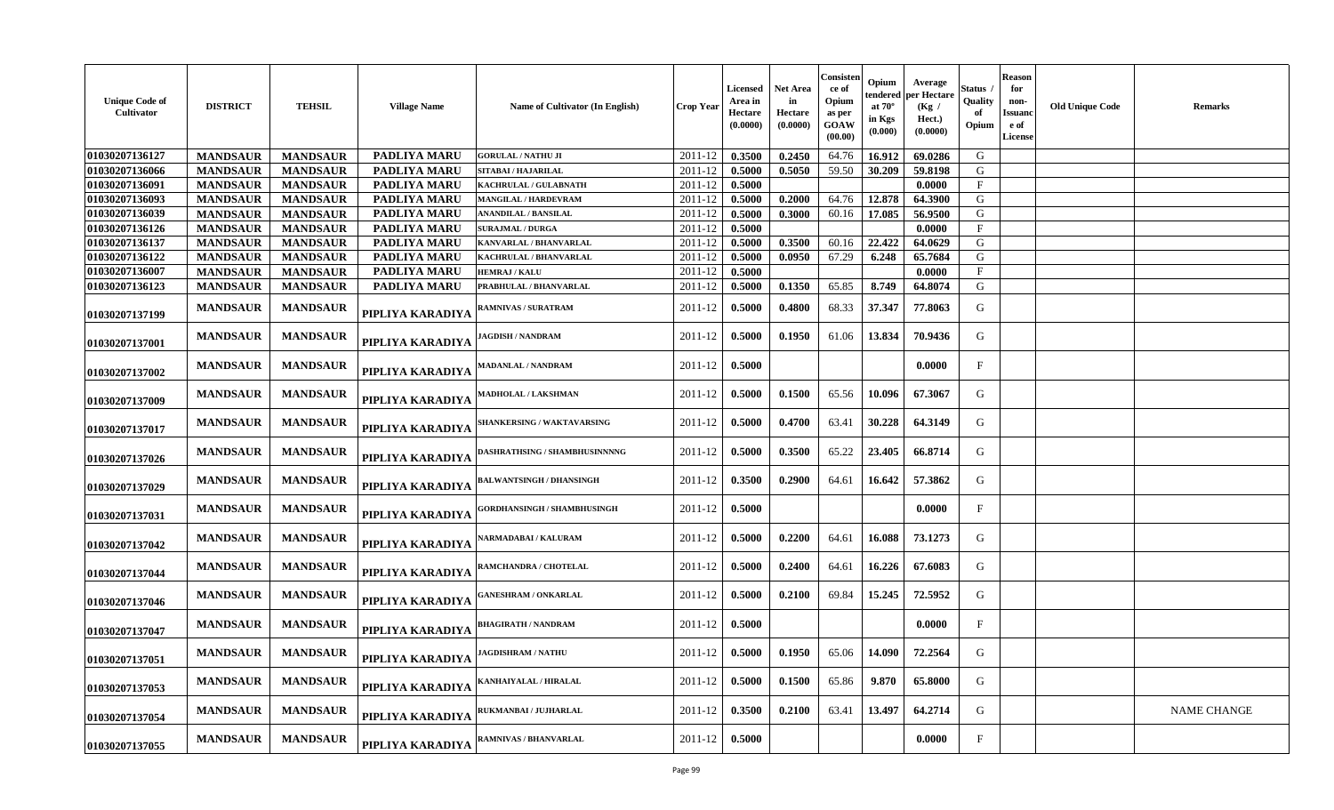| <b>Unique Code of</b><br>Cultivator | <b>DISTRICT</b> | <b>TEHSIL</b>   | <b>Village Name</b> | Name of Cultivator (In English)      | <b>Crop Year</b> | Licensed<br>Area in<br><b>Hectare</b><br>(0.0000) | <b>Net Area</b><br>in<br>Hectare<br>(0.0000) | Consisten<br>ce of<br>Opium<br>as per<br>GOAW<br>(00.00) | Opium<br>tendered<br>at $70^\circ$<br>in Kgs<br>(0.000) | Average<br>per Hectare<br>(Kg /<br>Hect.)<br>(0.0000) | Status<br>Quality<br>Opium | <b>Reason</b><br>for<br>non-<br>Issuanc<br>e of<br><b>License</b> | <b>Old Unique Code</b> | <b>Remarks</b>     |
|-------------------------------------|-----------------|-----------------|---------------------|--------------------------------------|------------------|---------------------------------------------------|----------------------------------------------|----------------------------------------------------------|---------------------------------------------------------|-------------------------------------------------------|----------------------------|-------------------------------------------------------------------|------------------------|--------------------|
| 01030207136127                      | <b>MANDSAUR</b> | <b>MANDSAUR</b> | PADLIYA MARU        | <b>GORULAL / NATHU JI</b>            | 2011-12          | 0.3500                                            | 0.2450                                       | 64.76                                                    | 16.912                                                  | 69.0286                                               | G                          |                                                                   |                        |                    |
| 01030207136066                      | <b>MANDSAUR</b> | <b>MANDSAUR</b> | PADLIYA MARU        | SITABAI / HAJARILAL                  | 2011-12          | 0.5000                                            | 0.5050                                       | 59.50                                                    | 30.209                                                  | 59.8198                                               | G                          |                                                                   |                        |                    |
| 01030207136091                      | <b>MANDSAUR</b> | <b>MANDSAUR</b> | PADLIYA MARU        | KACHRULAL / GULABNATH                | 2011-12          | 0.5000                                            |                                              |                                                          |                                                         | 0.0000                                                | $\mathbf{F}$               |                                                                   |                        |                    |
| 01030207136093                      | <b>MANDSAUR</b> | <b>MANDSAUR</b> | PADLIYA MARU        | MANGILAL / HARDEVRAM                 | 2011-12          | 0.5000                                            | 0.2000                                       | 64.76                                                    | 12.878                                                  | 64.3900                                               | G                          |                                                                   |                        |                    |
| 01030207136039                      | <b>MANDSAUR</b> | <b>MANDSAUR</b> | PADLIYA MARU        | <b>ANANDILAL / BANSILAL</b>          | 2011-12          | 0.5000                                            | 0.3000                                       | 60.16                                                    | 17.085                                                  | 56.9500                                               | G                          |                                                                   |                        |                    |
| 01030207136126                      | <b>MANDSAUR</b> | <b>MANDSAUR</b> | PADLIYA MARU        | <b>SURAJMAL / DURGA</b>              | 2011-12          | 0.5000                                            |                                              |                                                          |                                                         | 0.0000                                                | $_{\rm F}$                 |                                                                   |                        |                    |
| 01030207136137                      | <b>MANDSAUR</b> | <b>MANDSAUR</b> | <b>PADLIYA MARU</b> | KANVARLAL / BHANVARLAL               | 2011-12          | 0.5000                                            | 0.3500                                       | 60.16                                                    | 22.422                                                  | 64.0629                                               | G                          |                                                                   |                        |                    |
| 01030207136122                      | <b>MANDSAUR</b> | <b>MANDSAUR</b> | PADLIYA MARU        | KACHRULAL / BHANVARLAL               | 2011-12          | 0.5000                                            | 0.0950                                       | 67.29                                                    | 6.248                                                   | 65.7684                                               | G                          |                                                                   |                        |                    |
| 01030207136007                      | <b>MANDSAUR</b> | <b>MANDSAUR</b> | PADLIYA MARU        | <b>HEMRAJ / KALU</b>                 | 2011-12          | 0.5000                                            |                                              |                                                          |                                                         | 0.0000                                                | $\mathbf F$                |                                                                   |                        |                    |
| 01030207136123                      | <b>MANDSAUR</b> | <b>MANDSAUR</b> | PADLIYA MARU        | PRABHULAL / BHANVARLAL               | 2011-12          | 0.5000                                            | 0.1350                                       | 65.85                                                    | 8.749                                                   | 64.8074                                               | G                          |                                                                   |                        |                    |
| 01030207137199                      | <b>MANDSAUR</b> | <b>MANDSAUR</b> | PIPLIYA KARADIYA    | <b>RAMNIVAS / SURATRAM</b>           | 2011-12          | 0.5000                                            | 0.4800                                       | 68.33                                                    | 37.347                                                  | 77.8063                                               | G                          |                                                                   |                        |                    |
| 01030207137001                      | <b>MANDSAUR</b> | <b>MANDSAUR</b> | PIPLIYA KARADIYA    | <b>JAGDISH / NANDRAM</b>             | 2011-12          | 0.5000                                            | 0.1950                                       | 61.06                                                    | 13.834                                                  | 70.9436                                               | G                          |                                                                   |                        |                    |
| 01030207137002                      | <b>MANDSAUR</b> | <b>MANDSAUR</b> | PIPLIYA KARADIYA    | <b>MADANLAL / NANDRAM</b>            | 2011-12          | 0.5000                                            |                                              |                                                          |                                                         | 0.0000                                                | $\mathbf F$                |                                                                   |                        |                    |
| 01030207137009                      | <b>MANDSAUR</b> | <b>MANDSAUR</b> | PIPLIYA KARADIYA    | <b>MADHOLAL / LAKSHMAN</b>           | 2011-12          | 0.5000                                            | 0.1500                                       | 65.56                                                    | 10.096                                                  | 67.3067                                               | G                          |                                                                   |                        |                    |
| 01030207137017                      | <b>MANDSAUR</b> | <b>MANDSAUR</b> | PIPLIYA KARADIYA    | <b>SHANKERSING / WAKTAVARSING</b>    | 2011-12          | 0.5000                                            | 0.4700                                       | 63.41                                                    | 30.228                                                  | 64.3149                                               | G                          |                                                                   |                        |                    |
| 01030207137026                      | <b>MANDSAUR</b> | <b>MANDSAUR</b> | PIPLIYA KARADIYA    | <b>DASHRATHSING / SHAMBHUSINNNNG</b> | 2011-12          | 0.5000                                            | 0.3500                                       | 65.22                                                    | 23.405                                                  | 66.8714                                               | G                          |                                                                   |                        |                    |
| 01030207137029                      | <b>MANDSAUR</b> | <b>MANDSAUR</b> | PIPLIYA KARADIYA    | <b>BALWANTSINGH / DHANSINGH</b>      | 2011-12          | 0.3500                                            | 0.2900                                       | 64.61                                                    | 16.642                                                  | 57.3862                                               | G                          |                                                                   |                        |                    |
| 01030207137031                      | <b>MANDSAUR</b> | <b>MANDSAUR</b> | PIPLIYA KARADIYA    | <b>GORDHANSINGH / SHAMBHUSINGH</b>   | 2011-12          | 0.5000                                            |                                              |                                                          |                                                         | 0.0000                                                | $\mathbf{F}$               |                                                                   |                        |                    |
| 01030207137042                      | <b>MANDSAUR</b> | <b>MANDSAUR</b> | PIPLIYA KARADIYA    | <b>NARMADABAI / KALURAM</b>          | 2011-12          | 0.5000                                            | 0.2200                                       | 64.61                                                    | 16.088                                                  | 73.1273                                               | G                          |                                                                   |                        |                    |
| 01030207137044                      | <b>MANDSAUR</b> | <b>MANDSAUR</b> | PIPLIYA KARADIYA    | <b>RAMCHANDRA / CHOTELAL</b>         | 2011-12          | 0.5000                                            | 0.2400                                       | 64.61                                                    | 16.226                                                  | 67.6083                                               | G                          |                                                                   |                        |                    |
| 01030207137046                      | <b>MANDSAUR</b> | <b>MANDSAUR</b> | PIPLIYA KARADIYA    | <b>GANESHRAM / ONKARLAL</b>          | 2011-12          | 0.5000                                            | 0.2100                                       | 69.84                                                    | 15.245                                                  | 72.5952                                               | G                          |                                                                   |                        |                    |
| 01030207137047                      | <b>MANDSAUR</b> | <b>MANDSAUR</b> | PIPLIYA KARADIYA    | <b>BHAGIRATH / NANDRAM</b>           | 2011-12          | 0.5000                                            |                                              |                                                          |                                                         | 0.0000                                                | $\mathbf F$                |                                                                   |                        |                    |
| 01030207137051                      | <b>MANDSAUR</b> | <b>MANDSAUR</b> | PIPLIYA KARADIYA    | <b>JAGDISHRAM / NATHU</b>            | 2011-12          | 0.5000                                            | 0.1950                                       | 65.06                                                    | 14.090                                                  | 72.2564                                               | G                          |                                                                   |                        |                    |
| 01030207137053                      | <b>MANDSAUR</b> | <b>MANDSAUR</b> | PIPLIYA KARADIYA    | KANHAIYALAL / HIRALAL                | 2011-12          | 0.5000                                            | 0.1500                                       | 65.86                                                    | 9.870                                                   | 65.8000                                               | G                          |                                                                   |                        |                    |
| 01030207137054                      | <b>MANDSAUR</b> | <b>MANDSAUR</b> | PIPLIYA KARADIYA    | RUKMANBAI / JUJHARLAL                | 2011-12          | 0.3500                                            | 0.2100                                       | 63.41                                                    | 13.497                                                  | 64.2714                                               | G                          |                                                                   |                        | <b>NAME CHANGE</b> |
| 01030207137055                      | <b>MANDSAUR</b> | <b>MANDSAUR</b> | PIPLIYA KARADIYA    | <b>RAMNIVAS / BHANVARLAL</b>         | 2011-12          | 0.5000                                            |                                              |                                                          |                                                         | 0.0000                                                | F                          |                                                                   |                        |                    |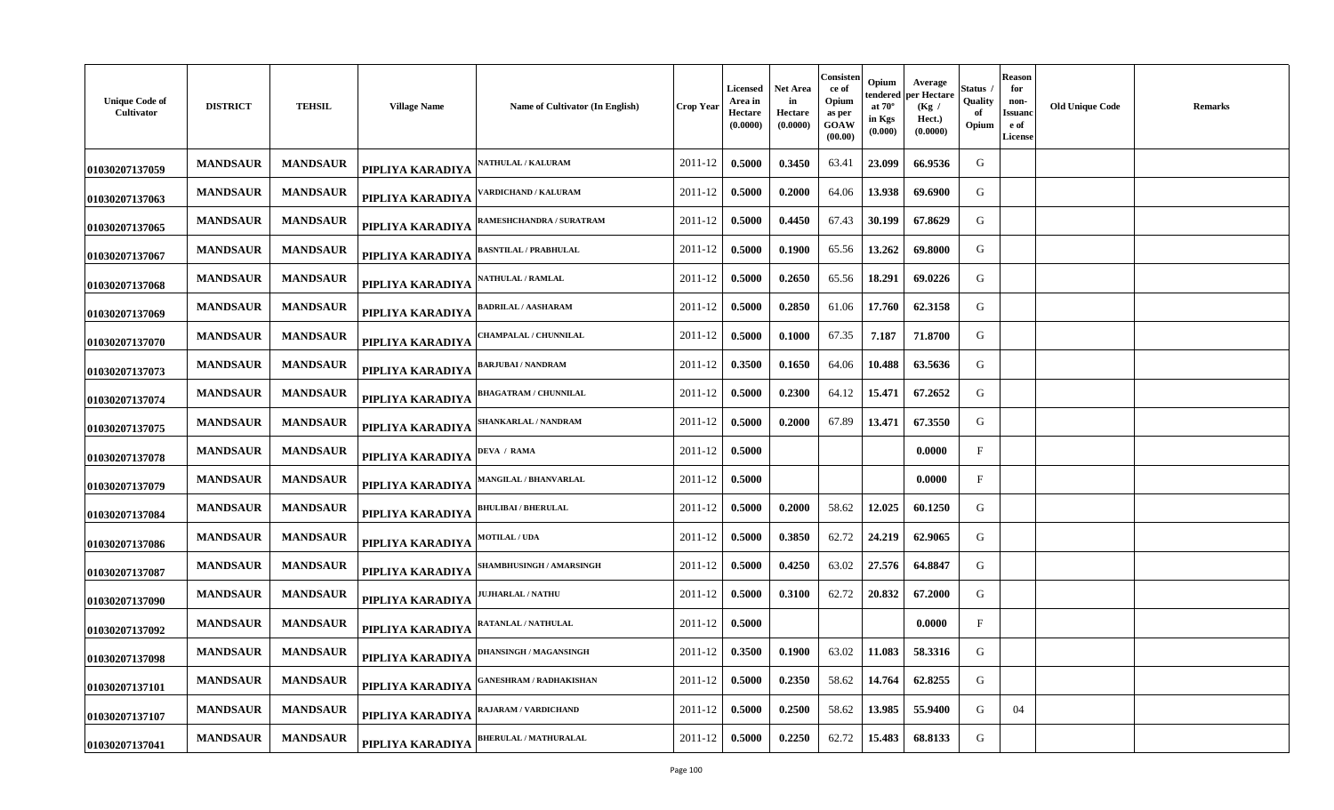| <b>Unique Code of</b><br>Cultivator | <b>DISTRICT</b> | <b>TEHSIL</b>   | <b>Village Name</b> | Name of Cultivator (In English) | <b>Crop Year</b> | Licensed<br>Area in<br>Hectare<br>(0.0000) | Net Area<br>in<br>Hectare<br>(0.0000) | Consisten<br>ce of<br>Opium<br>as per<br>GOAW<br>(00.00) | Opium<br>tendered<br>at $70^\circ$<br>in Kgs<br>(0.000) | Average<br>oer Hectare<br>(Kg)<br>Hect.)<br>(0.0000) | Status<br>Quality<br>of<br>Opium | <b>Reason</b><br>for<br>non-<br>Issuano<br>e of<br><b>License</b> | <b>Old Unique Code</b> | <b>Remarks</b> |
|-------------------------------------|-----------------|-----------------|---------------------|---------------------------------|------------------|--------------------------------------------|---------------------------------------|----------------------------------------------------------|---------------------------------------------------------|------------------------------------------------------|----------------------------------|-------------------------------------------------------------------|------------------------|----------------|
| 01030207137059                      | <b>MANDSAUR</b> | <b>MANDSAUR</b> | PIPLIYA KARADIYA    | <b>ATHULAL / KALURAM</b>        | 2011-12          | 0.5000                                     | 0.3450                                | 63.41                                                    | 23.099                                                  | 66.9536                                              | G                                |                                                                   |                        |                |
| 01030207137063                      | <b>MANDSAUR</b> | <b>MANDSAUR</b> | PIPLIYA KARADIYA    | 'ARDICHAND / KALURAM            | 2011-12          | 0.5000                                     | 0.2000                                | 64.06                                                    | 13.938                                                  | 69.6900                                              | G                                |                                                                   |                        |                |
| 01030207137065                      | <b>MANDSAUR</b> | <b>MANDSAUR</b> | PIPLIYA KARADIYA    | RAMESHCHANDRA / SURATRAM        | 2011-12          | 0.5000                                     | 0.4450                                | 67.43                                                    | 30.199                                                  | 67.8629                                              | G                                |                                                                   |                        |                |
| 01030207137067                      | <b>MANDSAUR</b> | <b>MANDSAUR</b> | PIPLIYA KARADIYA    | <b>BASNTILAL / PRABHULAL</b>    | 2011-12          | 0.5000                                     | 0.1900                                | 65.56                                                    | 13.262                                                  | 69.8000                                              | G                                |                                                                   |                        |                |
| 01030207137068                      | <b>MANDSAUR</b> | <b>MANDSAUR</b> | PIPLIYA KARADIYA    | <b>ATHULAL / RAMLAL</b>         | 2011-12          | 0.5000                                     | 0.2650                                | 65.56                                                    | 18.291                                                  | 69.0226                                              | G                                |                                                                   |                        |                |
| 01030207137069                      | <b>MANDSAUR</b> | <b>MANDSAUR</b> | PIPLIYA KARADIYA    | <b>BADRILAL / AASHARAM</b>      | 2011-12          | 0.5000                                     | 0.2850                                | 61.06                                                    | 17.760                                                  | 62.3158                                              | G                                |                                                                   |                        |                |
| 01030207137070                      | <b>MANDSAUR</b> | <b>MANDSAUR</b> | PIPLIYA KARADIYA    | <b>HAMPALAL / CHUNNILAL</b>     | 2011-12          | 0.5000                                     | 0.1000                                | 67.35                                                    | 7.187                                                   | 71.8700                                              | G                                |                                                                   |                        |                |
| 01030207137073                      | <b>MANDSAUR</b> | <b>MANDSAUR</b> | PIPLIYA KARADIYA    | <b>BARJUBAI / NANDRAM</b>       | 2011-12          | 0.3500                                     | 0.1650                                | 64.06                                                    | 10.488                                                  | 63.5636                                              | G                                |                                                                   |                        |                |
| 01030207137074                      | <b>MANDSAUR</b> | <b>MANDSAUR</b> | PIPLIYA KARADIYA    | <b>HAGATRAM / CHUNNILAL</b>     | 2011-12          | 0.5000                                     | 0.2300                                | 64.12                                                    | 15.471                                                  | 67.2652                                              | G                                |                                                                   |                        |                |
| 01030207137075                      | <b>MANDSAUR</b> | <b>MANDSAUR</b> | PIPLIYA KARADIYA    | SHANKARLAL / NANDRAM            | 2011-12          | 0.5000                                     | 0.2000                                | 67.89                                                    | 13.471                                                  | 67.3550                                              | G                                |                                                                   |                        |                |
| 01030207137078                      | <b>MANDSAUR</b> | <b>MANDSAUR</b> | PIPLIYA KARADIYA    | DEVA / RAMA                     | 2011-12          | 0.5000                                     |                                       |                                                          |                                                         | 0.0000                                               | $_{\rm F}$                       |                                                                   |                        |                |
| 01030207137079                      | <b>MANDSAUR</b> | <b>MANDSAUR</b> | PIPLIYA KARADIYA    | <b>MANGILAL / BHANVARLAL</b>    | 2011-12          | 0.5000                                     |                                       |                                                          |                                                         | 0.0000                                               | $_{\rm F}$                       |                                                                   |                        |                |
| 01030207137084                      | <b>MANDSAUR</b> | <b>MANDSAUR</b> | PIPLIYA KARADIYA    | <b>BHULIBAI / BHERULAL</b>      | 2011-12          | 0.5000                                     | 0.2000                                | 58.62                                                    | 12.025                                                  | 60.1250                                              | G                                |                                                                   |                        |                |
| 01030207137086                      | <b>MANDSAUR</b> | <b>MANDSAUR</b> | PIPLIYA KARADIYA    | <b>AOTILAL / UDA</b>            | 2011-12          | 0.5000                                     | 0.3850                                | 62.72                                                    | 24.219                                                  | 62.9065                                              | G                                |                                                                   |                        |                |
| 01030207137087                      | <b>MANDSAUR</b> | <b>MANDSAUR</b> | PIPLIYA KARADIYA    | <b>SHAMBHUSINGH / AMARSINGH</b> | 2011-12          | 0.5000                                     | 0.4250                                | 63.02                                                    | 27.576                                                  | 64.8847                                              | G                                |                                                                   |                        |                |
| 01030207137090                      | <b>MANDSAUR</b> | <b>MANDSAUR</b> | PIPLIYA KARADIYA    | <b>UJHARLAL / NATHU</b>         | 2011-12          | 0.5000                                     | 0.3100                                | 62.72                                                    | 20.832                                                  | 67.2000                                              | G                                |                                                                   |                        |                |
| 01030207137092                      | <b>MANDSAUR</b> | <b>MANDSAUR</b> | PIPLIYA KARADIYA    | <b>RATANLAL / NATHULAL</b>      | 2011-12          | 0.5000                                     |                                       |                                                          |                                                         | 0.0000                                               | $\mathbf{F}$                     |                                                                   |                        |                |
| 01030207137098                      | <b>MANDSAUR</b> | <b>MANDSAUR</b> | PIPLIYA KARADIYA    | <b>DHANSINGH / MAGANSINGH</b>   | 2011-12          | 0.3500                                     | 0.1900                                | 63.02                                                    | 11.083                                                  | 58.3316                                              | G                                |                                                                   |                        |                |
| 01030207137101                      | <b>MANDSAUR</b> | <b>MANDSAUR</b> | PIPLIYA KARADIYA    | ANESHRAM / RADHAKISHAN          | 2011-12          | 0.5000                                     | 0.2350                                | 58.62                                                    | 14.764                                                  | 62.8255                                              | G                                |                                                                   |                        |                |
| 01030207137107                      | <b>MANDSAUR</b> | <b>MANDSAUR</b> | PIPLIYA KARADIYA    | RAJARAM / VARDICHAND            | 2011-12          | 0.5000                                     | 0.2500                                | 58.62                                                    | 13.985                                                  | 55.9400                                              | G                                | 04                                                                |                        |                |
| 01030207137041                      | <b>MANDSAUR</b> | <b>MANDSAUR</b> | PIPLIYA KARADIYA    | <b>BHERULAL / MATHURALAL</b>    | 2011-12          | 0.5000                                     | 0.2250                                | 62.72                                                    | 15.483                                                  | 68.8133                                              | G                                |                                                                   |                        |                |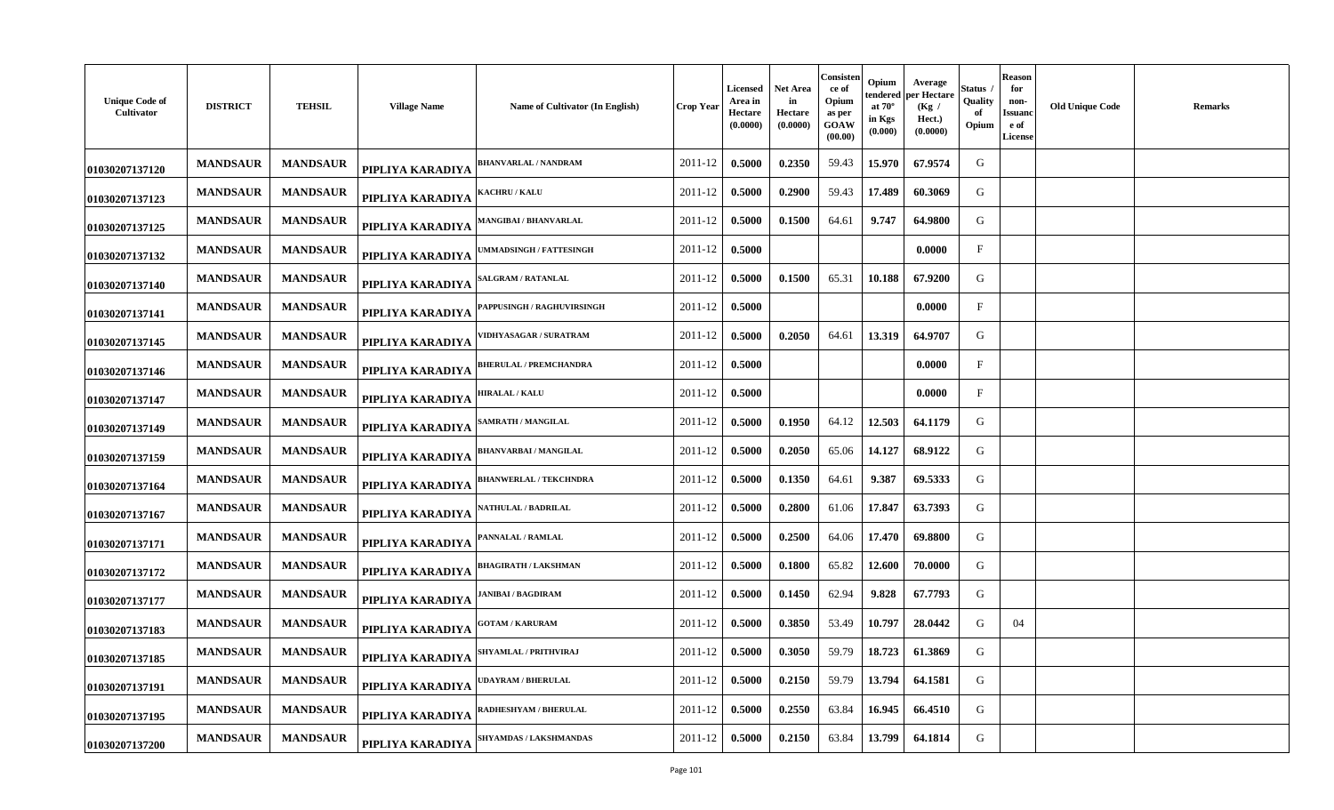| <b>Unique Code of</b><br>Cultivator | <b>DISTRICT</b> | <b>TEHSIL</b>   | <b>Village Name</b> | Name of Cultivator (In English)  | <b>Crop Year</b> | Licensed<br>Area in<br>Hectare<br>(0.0000) | <b>Net Area</b><br>in<br>Hectare<br>(0.0000) | Consisten<br>ce of<br>Opium<br>as per<br>GOAW<br>(00.00) | Opium<br>tendered<br>at $70^\circ$<br>in Kgs<br>(0.000) | Average<br>per Hectare<br>(Kg)<br>Hect.)<br>(0.0000) | Status<br>Quality<br>of<br>Opium | <b>Reason</b><br>for<br>non-<br>Issuanc<br>e of<br><b>License</b> | <b>Old Unique Code</b> | <b>Remarks</b> |
|-------------------------------------|-----------------|-----------------|---------------------|----------------------------------|------------------|--------------------------------------------|----------------------------------------------|----------------------------------------------------------|---------------------------------------------------------|------------------------------------------------------|----------------------------------|-------------------------------------------------------------------|------------------------|----------------|
| 01030207137120                      | <b>MANDSAUR</b> | <b>MANDSAUR</b> | PIPLIYA KARADIYA    | <b>BHANVARLAL / NANDRAM</b>      | 2011-12          | 0.5000                                     | 0.2350                                       | 59.43                                                    | 15.970                                                  | 67.9574                                              | G                                |                                                                   |                        |                |
| 01030207137123                      | <b>MANDSAUR</b> | <b>MANDSAUR</b> | PIPLIYA KARADIYA    | <b>ACHRU / KALU</b>              | 2011-12          | 0.5000                                     | 0.2900                                       | 59.43                                                    | 17.489                                                  | 60.3069                                              | G                                |                                                                   |                        |                |
| 01030207137125                      | <b>MANDSAUR</b> | <b>MANDSAUR</b> | PIPLIYA KARADIYA    | MANGIBAI / BHANVARLAL            | 2011-12          | 0.5000                                     | 0.1500                                       | 64.61                                                    | 9.747                                                   | 64.9800                                              | G                                |                                                                   |                        |                |
| 01030207137132                      | <b>MANDSAUR</b> | <b>MANDSAUR</b> | PIPLIYA KARADIYA    | <b>MMADSINGH / FATTESINGH</b>    | 2011-12          | 0.5000                                     |                                              |                                                          |                                                         | 0.0000                                               | $\mathbf{F}$                     |                                                                   |                        |                |
| 01030207137140                      | <b>MANDSAUR</b> | <b>MANDSAUR</b> | PIPLIYA KARADIYA    | <b>ALGRAM / RATANLAL</b>         | 2011-12          | 0.5000                                     | 0.1500                                       | 65.31                                                    | 10.188                                                  | 67.9200                                              | G                                |                                                                   |                        |                |
| 01030207137141                      | <b>MANDSAUR</b> | <b>MANDSAUR</b> | PIPLIYA KARADIYA    | <b>APPUSINGH / RAGHUVIRSINGH</b> | 2011-12          | 0.5000                                     |                                              |                                                          |                                                         | 0.0000                                               | $_{\rm F}$                       |                                                                   |                        |                |
| 01030207137145                      | <b>MANDSAUR</b> | <b>MANDSAUR</b> | PIPLIYA KARADIYA    | <b>IDHYASAGAR / SURATRAM</b>     | 2011-12          | 0.5000                                     | 0.2050                                       | 64.61                                                    | 13.319                                                  | 64.9707                                              | G                                |                                                                   |                        |                |
| 01030207137146                      | <b>MANDSAUR</b> | <b>MANDSAUR</b> | PIPLIYA KARADIYA    | <b>BHERULAL / PREMCHANDRA</b>    | 2011-12          | 0.5000                                     |                                              |                                                          |                                                         | 0.0000                                               | $\mathbf{F}$                     |                                                                   |                        |                |
| 01030207137147                      | <b>MANDSAUR</b> | <b>MANDSAUR</b> | PIPLIYA KARADIYA    | <b>HIRALAL / KALU</b>            | 2011-12          | 0.5000                                     |                                              |                                                          |                                                         | 0.0000                                               | $\mathbf{F}$                     |                                                                   |                        |                |
| 01030207137149                      | <b>MANDSAUR</b> | <b>MANDSAUR</b> | PIPLIYA KARADIYA    | <b>AMRATH / MANGILAL</b>         | 2011-12          | 0.5000                                     | 0.1950                                       | 64.12                                                    | 12.503                                                  | 64.1179                                              | G                                |                                                                   |                        |                |
| 01030207137159                      | <b>MANDSAUR</b> | <b>MANDSAUR</b> | PIPLIYA KARADIYA    | <b>BHANVARBAI/MANGILAL</b>       | 2011-12          | 0.5000                                     | 0.2050                                       | 65.06                                                    | 14.127                                                  | 68.9122                                              | G                                |                                                                   |                        |                |
| 01030207137164                      | <b>MANDSAUR</b> | <b>MANDSAUR</b> | PIPLIYA KARADIYA    | <b>BHANWERLAL / TEKCHNDRA</b>    | 2011-12          | 0.5000                                     | 0.1350                                       | 64.61                                                    | 9.387                                                   | 69.5333                                              | G                                |                                                                   |                        |                |
| 01030207137167                      | <b>MANDSAUR</b> | <b>MANDSAUR</b> | PIPLIYA KARADIYA    | <b>NATHULAL / BADRILAL</b>       | 2011-12          | 0.5000                                     | 0.2800                                       | 61.06                                                    | 17.847                                                  | 63.7393                                              | G                                |                                                                   |                        |                |
| 01030207137171                      | <b>MANDSAUR</b> | <b>MANDSAUR</b> | PIPLIYA KARADIYA    | <b>ANNALAL / RAMLAL</b>          | 2011-12          | 0.5000                                     | 0.2500                                       | 64.06                                                    | 17.470                                                  | 69.8800                                              | G                                |                                                                   |                        |                |
| 01030207137172                      | <b>MANDSAUR</b> | <b>MANDSAUR</b> | PIPLIYA KARADIYA    | <b>BHAGIRATH / LAKSHMAN</b>      | 2011-12          | 0.5000                                     | 0.1800                                       | 65.82                                                    | 12.600                                                  | 70.0000                                              | G                                |                                                                   |                        |                |
| 01030207137177                      | <b>MANDSAUR</b> | <b>MANDSAUR</b> | PIPLIYA KARADIYA    | <b>ANIBAI / BAGDIRAM</b>         | 2011-12          | 0.5000                                     | 0.1450                                       | 62.94                                                    | 9.828                                                   | 67.7793                                              | G                                |                                                                   |                        |                |
| 01030207137183                      | <b>MANDSAUR</b> | <b>MANDSAUR</b> | PIPLIYA KARADIYA    | <b>GOTAM / KARURAM</b>           | 2011-12          | 0.5000                                     | 0.3850                                       | 53.49                                                    | 10.797                                                  | 28.0442                                              | G                                | 04                                                                |                        |                |
| 01030207137185                      | <b>MANDSAUR</b> | <b>MANDSAUR</b> | PIPLIYA KARADIYA    | SHYAMLAL / PRITHVIRAJ            | 2011-12          | 0.5000                                     | 0.3050                                       | 59.79                                                    | 18.723                                                  | 61.3869                                              | G                                |                                                                   |                        |                |
| 01030207137191                      | <b>MANDSAUR</b> | <b>MANDSAUR</b> | PIPLIYA KARADIYA    | <b>DAYRAM / BHERULAL</b>         | 2011-12          | 0.5000                                     | 0.2150                                       | 59.79                                                    | 13.794                                                  | 64.1581                                              | G                                |                                                                   |                        |                |
| 01030207137195                      | <b>MANDSAUR</b> | <b>MANDSAUR</b> | PIPLIYA KARADIYA    | <b>ADHESHYAM / BHERULAL</b>      | 2011-12          | 0.5000                                     | 0.2550                                       | 63.84                                                    | 16.945                                                  | 66.4510                                              | G                                |                                                                   |                        |                |
| 01030207137200                      | <b>MANDSAUR</b> | <b>MANDSAUR</b> | PIPLIYA KARADIYA    | <b>SHYAMDAS / LAKSHMANDAS</b>    | 2011-12          | 0.5000                                     | 0.2150                                       | 63.84                                                    | 13.799                                                  | 64.1814                                              | G                                |                                                                   |                        |                |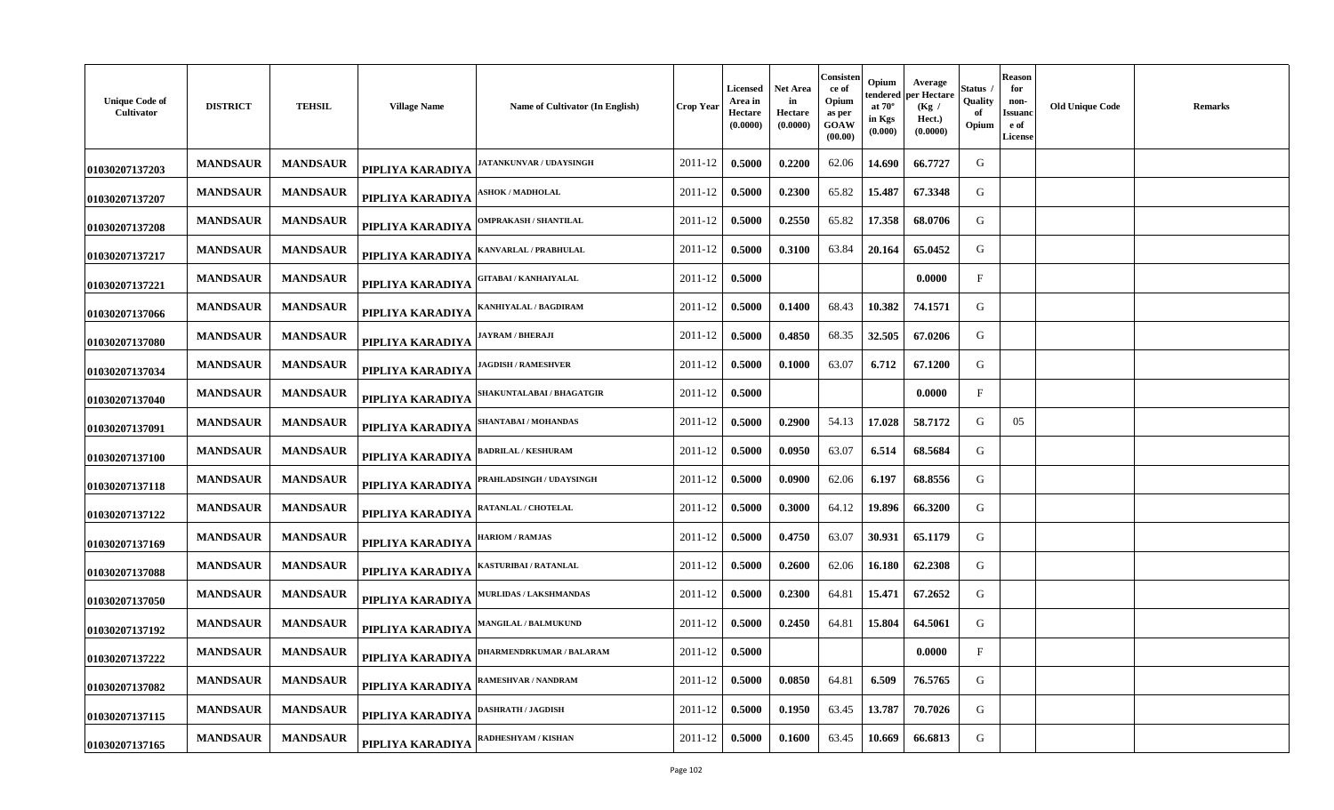| <b>Unique Code of</b><br>Cultivator | <b>DISTRICT</b> | <b>TEHSIL</b>   | <b>Village Name</b> | Name of Cultivator (In English)         | <b>Crop Year</b> | Licensed<br>Area in<br>Hectare<br>(0.0000) | <b>Net Area</b><br>in<br>Hectare<br>(0.0000) | Consisten<br>ce of<br>Opium<br>as per<br>GOAW<br>(00.00) | Opium<br>tendered<br>at $70^\circ$<br>in Kgs<br>(0.000) | Average<br>per Hectare<br>(Kg)<br>Hect.)<br>(0.0000) | Status<br>Quality<br>of<br>Opium | Reason<br>for<br>non-<br>Issuanc<br>e of<br><b>License</b> | <b>Old Unique Code</b> | <b>Remarks</b> |
|-------------------------------------|-----------------|-----------------|---------------------|-----------------------------------------|------------------|--------------------------------------------|----------------------------------------------|----------------------------------------------------------|---------------------------------------------------------|------------------------------------------------------|----------------------------------|------------------------------------------------------------|------------------------|----------------|
| 01030207137203                      | <b>MANDSAUR</b> | <b>MANDSAUR</b> | PIPLIYA KARADIYA    | <b>ATANKUNVAR / UDAYSINGH</b>           | 2011-12          | 0.5000                                     | 0.2200                                       | 62.06                                                    | 14.690                                                  | 66.7727                                              | G                                |                                                            |                        |                |
| 01030207137207                      | <b>MANDSAUR</b> | <b>MANDSAUR</b> | PIPLIYA KARADIYA    | <b>\SHOK / MADHOLAL</b>                 | 2011-12          | 0.5000                                     | 0.2300                                       | 65.82                                                    | 15.487                                                  | 67.3348                                              | G                                |                                                            |                        |                |
| 01030207137208                      | <b>MANDSAUR</b> | <b>MANDSAUR</b> | PIPLIYA KARADIYA    | <b>DMPRAKASH / SHANTILAL</b>            | 2011-12          | 0.5000                                     | 0.2550                                       | 65.82                                                    | 17.358                                                  | 68.0706                                              | G                                |                                                            |                        |                |
| 01030207137217                      | <b>MANDSAUR</b> | <b>MANDSAUR</b> | PIPLIYA KARADIYA    | <b>(ANVARLAL / PRABHULAL</b>            | 2011-12          | 0.5000                                     | 0.3100                                       | 63.84                                                    | 20.164                                                  | 65.0452                                              | G                                |                                                            |                        |                |
| 01030207137221                      | <b>MANDSAUR</b> | <b>MANDSAUR</b> | PIPLIYA KARADIYA    | ;ITABAI / KANHAIYALAL                   | 2011-12          | 0.5000                                     |                                              |                                                          |                                                         | 0.0000                                               | $_{\rm F}$                       |                                                            |                        |                |
| 01030207137066                      | <b>MANDSAUR</b> | <b>MANDSAUR</b> | PIPLIYA KARADIYA    | ANHIYALAL / BAGDIRAM                    | 2011-12          | 0.5000                                     | 0.1400                                       | 68.43                                                    | 10.382                                                  | 74.1571                                              | G                                |                                                            |                        |                |
| 01030207137080                      | <b>MANDSAUR</b> | <b>MANDSAUR</b> | PIPLIYA KARADIYA    | <b>IAYRAM / BHERAJI</b>                 | 2011-12          | 0.5000                                     | 0.4850                                       | 68.35                                                    | 32.505                                                  | 67.0206                                              | G                                |                                                            |                        |                |
| 01030207137034                      | <b>MANDSAUR</b> | <b>MANDSAUR</b> | PIPLIYA KARADIYA    | <b>AGDISH / RAMESHVER</b>               | 2011-12          | 0.5000                                     | 0.1000                                       | 63.07                                                    | 6.712                                                   | 67.1200                                              | G                                |                                                            |                        |                |
| 01030207137040                      | <b>MANDSAUR</b> | <b>MANDSAUR</b> | PIPLIYA KARADIYA    | SHAKUNTALABAI / BHAGATGI <mark>R</mark> | 2011-12          | 0.5000                                     |                                              |                                                          |                                                         | 0.0000                                               | $\mathbf{F}$                     |                                                            |                        |                |
| 01030207137091                      | <b>MANDSAUR</b> | <b>MANDSAUR</b> | PIPLIYA KARADIYA    | SHANTABAI / MOHANDAS                    | 2011-12          | 0.5000                                     | 0.2900                                       | 54.13                                                    | 17.028                                                  | 58.7172                                              | G                                | 05                                                         |                        |                |
| 01030207137100                      | <b>MANDSAUR</b> | <b>MANDSAUR</b> | PIPLIYA KARADIYA    | <b>BADRILAL / KESHURAM</b>              | 2011-12          | 0.5000                                     | 0.0950                                       | 63.07                                                    | 6.514                                                   | 68.5684                                              | G                                |                                                            |                        |                |
| 01030207137118                      | <b>MANDSAUR</b> | <b>MANDSAUR</b> | PIPLIYA KARADIYA    | PRAHLADSINGH / UDAYSINGH                | 2011-12          | 0.5000                                     | 0.0900                                       | 62.06                                                    | 6.197                                                   | 68.8556                                              | G                                |                                                            |                        |                |
| 01030207137122                      | <b>MANDSAUR</b> | <b>MANDSAUR</b> | PIPLIYA KARADIYA    | <b>RATANLAL / CHOTELAL</b>              | 2011-12          | 0.5000                                     | 0.3000                                       | 64.12                                                    | 19.896                                                  | 66.3200                                              | G                                |                                                            |                        |                |
| 01030207137169                      | <b>MANDSAUR</b> | <b>MANDSAUR</b> | PIPLIYA KARADIYA    | <b>IARIOM / RAMJAS</b>                  | 2011-12          | 0.5000                                     | 0.4750                                       | 63.07                                                    | 30.931                                                  | 65.1179                                              | G                                |                                                            |                        |                |
| 01030207137088                      | <b>MANDSAUR</b> | <b>MANDSAUR</b> | PIPLIYA KARADIYA    | <b>ASTURIBAI / RATANLAL</b>             | 2011-12          | 0.5000                                     | 0.2600                                       | 62.06                                                    | 16.180                                                  | 62.2308                                              | G                                |                                                            |                        |                |
| 01030207137050                      | <b>MANDSAUR</b> | <b>MANDSAUR</b> | PIPLIYA KARADIYA    | <b><i>AURLIDAS / LAKSHMANDAS</i></b>    | 2011-12          | 0.5000                                     | 0.2300                                       | 64.81                                                    | 15.471                                                  | 67.2652                                              | G                                |                                                            |                        |                |
| 01030207137192                      | <b>MANDSAUR</b> | <b>MANDSAUR</b> | PIPLIYA KARADIYA    | <b>MANGILAL / BALMUKUND</b>             | 2011-12          | 0.5000                                     | 0.2450                                       | 64.81                                                    | 15.804                                                  | 64.5061                                              | G                                |                                                            |                        |                |
| 01030207137222                      | <b>MANDSAUR</b> | <b>MANDSAUR</b> | PIPLIYA KARADIYA    | <b>DHARMENDRKUMAR / BALARAM</b>         | 2011-12          | 0.5000                                     |                                              |                                                          |                                                         | 0.0000                                               | $\mathbf{F}$                     |                                                            |                        |                |
| 01030207137082                      | <b>MANDSAUR</b> | <b>MANDSAUR</b> | PIPLIYA KARADIYA    | :AMESHVAR / NANDRAM                     | 2011-12          | 0.5000                                     | 0.0850                                       | 64.81                                                    | 6.509                                                   | 76.5765                                              | G                                |                                                            |                        |                |
| 01030207137115                      | <b>MANDSAUR</b> | <b>MANDSAUR</b> | PIPLIYA KARADIYA    | <b>DASHRATH / JAGDISH</b>               | 2011-12          | 0.5000                                     | 0.1950                                       | 63.45                                                    | 13.787                                                  | 70.7026                                              | G                                |                                                            |                        |                |
| 01030207137165                      | <b>MANDSAUR</b> | <b>MANDSAUR</b> | PIPLIYA KARADIYA    | :ADHESHYAM / KISHAN                     | 2011-12          | 0.5000                                     | 0.1600                                       | 63.45                                                    | 10.669                                                  | 66.6813                                              | G                                |                                                            |                        |                |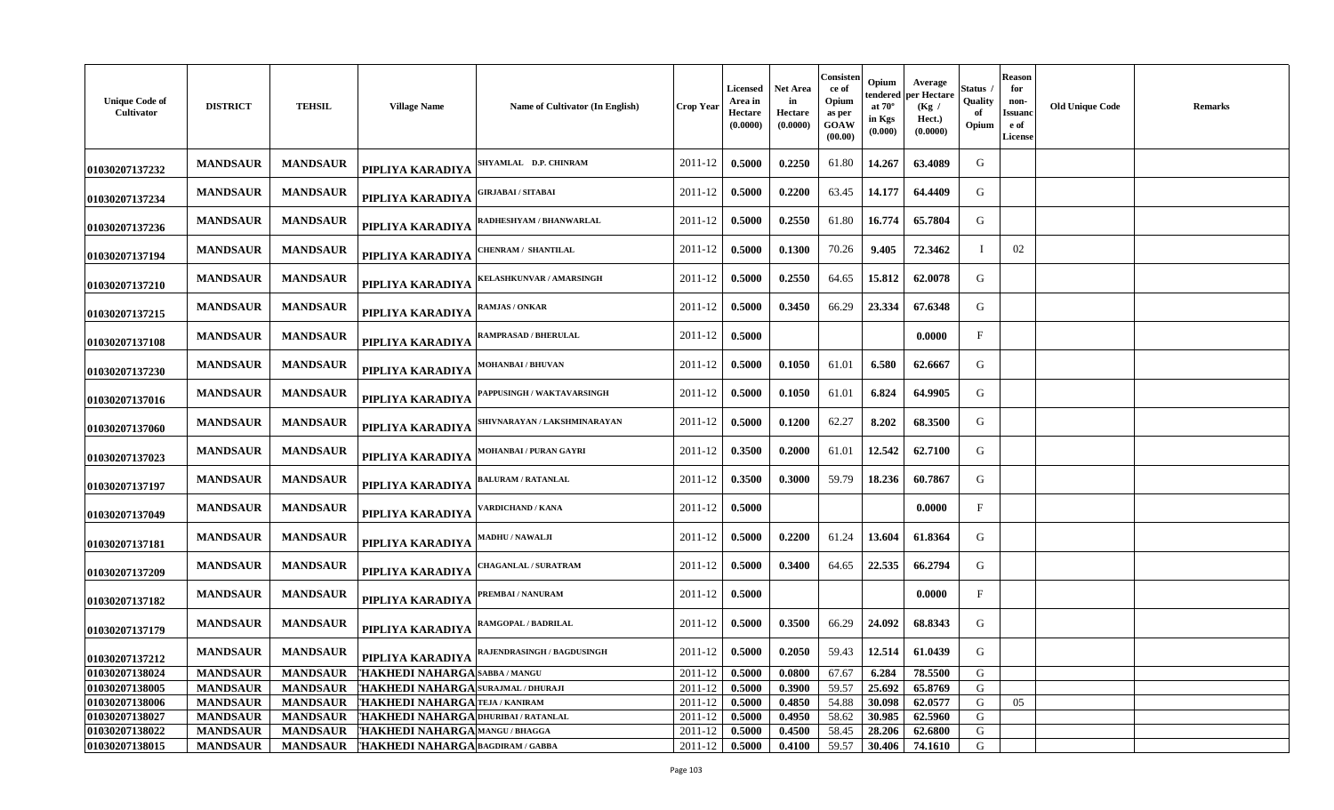| <b>Unique Code of</b><br>Cultivator | <b>DISTRICT</b> | <b>TEHSIL</b>   | <b>Village Name</b>                  | <b>Name of Cultivator (In English)</b> | Crop Year | <b>Licensed</b><br>Area in<br>Hectare<br>(0.0000) | Net Area<br>in<br>Hectare<br>(0.0000) | Consisten<br>ce of<br>Opium<br>as per<br>GOAW<br>(00.00) | Opium<br>tendered<br>at $70^\circ$<br>in Kgs<br>(0.000) | Average<br>oer Hectare<br>(Kg)<br>Hect.)<br>(0.0000) | Status<br>Quality<br>Opium | <b>Reason</b><br>for<br>non-<br>Issuano<br>e of<br><b>License</b> | <b>Old Unique Code</b> | <b>Remarks</b> |
|-------------------------------------|-----------------|-----------------|--------------------------------------|----------------------------------------|-----------|---------------------------------------------------|---------------------------------------|----------------------------------------------------------|---------------------------------------------------------|------------------------------------------------------|----------------------------|-------------------------------------------------------------------|------------------------|----------------|
| 01030207137232                      | <b>MANDSAUR</b> | <b>MANDSAUR</b> | PIPLIYA KARADIYA                     | SHYAMLAL D.P. CHINRAM                  | 2011-12   | 0.5000                                            | 0.2250                                | 61.80                                                    | 14.267                                                  | 63.4089                                              | G                          |                                                                   |                        |                |
| 01030207137234                      | <b>MANDSAUR</b> | <b>MANDSAUR</b> | PIPLIYA KARADIYA                     | ;IRJABAI / SITABAI                     | 2011-12   | 0.5000                                            | 0.2200                                | 63.45                                                    | 14.177                                                  | 64.4409                                              | G                          |                                                                   |                        |                |
| 01030207137236                      | <b>MANDSAUR</b> | <b>MANDSAUR</b> | PIPLIYA KARADIYA                     | RADHESHYAM / BHANWARLAL                | 2011-12   | 0.5000                                            | 0.2550                                | 61.80                                                    | 16.774                                                  | 65.7804                                              | G                          |                                                                   |                        |                |
| 01030207137194                      | <b>MANDSAUR</b> | <b>MANDSAUR</b> | PIPLIYA KARADIYA                     | <b>HENRAM / SHANTILAL</b>              | 2011-12   | 0.5000                                            | 0.1300                                | 70.26                                                    | 9.405                                                   | 72.3462                                              | $\mathbf I$                | 02                                                                |                        |                |
| 01030207137210                      | <b>MANDSAUR</b> | <b>MANDSAUR</b> | PIPLIYA KARADIYA                     | <b>(ELASHKUNVAR / AMARSINGH</b>        | 2011-12   | 0.5000                                            | 0.2550                                | 64.65                                                    | 15.812                                                  | 62.0078                                              | G                          |                                                                   |                        |                |
| 01030207137215                      | <b>MANDSAUR</b> | <b>MANDSAUR</b> | PIPLIYA KARADIYA                     | <b>AMJAS / ONKAR</b>                   | 2011-12   | 0.5000                                            | 0.3450                                | 66.29                                                    | 23.334                                                  | 67.6348                                              | G                          |                                                                   |                        |                |
| 01030207137108                      | <b>MANDSAUR</b> | <b>MANDSAUR</b> | PIPLIYA KARADIYA                     | RAMPRASAD / BHERULAL                   | 2011-12   | 0.5000                                            |                                       |                                                          |                                                         | 0.0000                                               | $\mathbf{F}$               |                                                                   |                        |                |
| 01030207137230                      | <b>MANDSAUR</b> | <b>MANDSAUR</b> | PIPLIYA KARADIYA                     | <b>MOHANBAI/BHUVAN</b>                 | 2011-12   | 0.5000                                            | 0.1050                                | 61.01                                                    | 6.580                                                   | 62.6667                                              | G                          |                                                                   |                        |                |
| 01030207137016                      | <b>MANDSAUR</b> | <b>MANDSAUR</b> | PIPLIYA KARADIYA                     | <b>APPUSINGH / WAKTAVARSINGH</b>       | 2011-12   | 0.5000                                            | 0.1050                                | 61.01                                                    | 6.824                                                   | 64.9905                                              | G                          |                                                                   |                        |                |
| 01030207137060                      | <b>MANDSAUR</b> | <b>MANDSAUR</b> | PIPLIYA KARADIYA                     | SHIVNARAYAN / LAKSHMINARAYAN           | 2011-12   | 0.5000                                            | 0.1200                                | 62.27                                                    | 8.202                                                   | 68.3500                                              | G                          |                                                                   |                        |                |
| 01030207137023                      | <b>MANDSAUR</b> | <b>MANDSAUR</b> | PIPLIYA KARADIYA                     | MOHANBAI / PURAN GAYRI                 | 2011-12   | 0.3500                                            | 0.2000                                | 61.01                                                    | 12.542                                                  | 62.7100                                              | G                          |                                                                   |                        |                |
| 01030207137197                      | <b>MANDSAUR</b> | <b>MANDSAUR</b> | PIPLIYA KARADIYA                     | <b>BALURAM / RATANLAL</b>              | 2011-12   | 0.3500                                            | 0.3000                                | 59.79                                                    | 18.236                                                  | 60.7867                                              | G                          |                                                                   |                        |                |
| 01030207137049                      | <b>MANDSAUR</b> | <b>MANDSAUR</b> | PIPLIYA KARADIYA                     | <b>/ARDICHAND / KANA</b>               | 2011-12   | 0.5000                                            |                                       |                                                          |                                                         | 0.0000                                               | $\mathbf{F}$               |                                                                   |                        |                |
| 01030207137181                      | <b>MANDSAUR</b> | <b>MANDSAUR</b> | PIPLIYA KARADIYA                     | <b>AADHU / NAWALJI</b>                 | 2011-12   | 0.5000                                            | 0.2200                                | 61.24                                                    | 13.604                                                  | 61.8364                                              | G                          |                                                                   |                        |                |
| 01030207137209                      | <b>MANDSAUR</b> | <b>MANDSAUR</b> | PIPLIYA KARADIYA                     | <b>HAGANLAL / SURATRAM</b>             | 2011-12   | 0.5000                                            | 0.3400                                | 64.65                                                    | 22.535                                                  | 66.2794                                              | G                          |                                                                   |                        |                |
| 01030207137182                      | <b>MANDSAUR</b> | <b>MANDSAUR</b> | PIPLIYA KARADIYA                     | <b>REMBAI/NANURAM</b>                  | 2011-12   | 0.5000                                            |                                       |                                                          |                                                         | 0.0000                                               | $\mathbf F$                |                                                                   |                        |                |
| 01030207137179                      | <b>MANDSAUR</b> | <b>MANDSAUR</b> | PIPLIYA KARADIYA                     | RAMGOPAL / BADRILAL                    | 2011-12   | 0.5000                                            | 0.3500                                | 66.29                                                    | 24.092                                                  | 68.8343                                              | G                          |                                                                   |                        |                |
| 01030207137212                      | <b>MANDSAUR</b> | <b>MANDSAUR</b> | PIPLIYA KARADIYA                     | <b>AJENDRASINGH / BAGDUSINGH</b>       | 2011-12   | 0.5000                                            | 0.2050                                | 59.43                                                    | 12.514                                                  | 61.0439                                              | G                          |                                                                   |                        |                |
| 01030207138024                      | <b>MANDSAUR</b> | <b>MANDSAUR</b> | THAKHEDI NAHARGA SABBA / MANGU       |                                        | 2011-12   | 0.5000                                            | 0.0800                                | 67.67                                                    | 6.284                                                   | 78.5500                                              | G                          |                                                                   |                        |                |
| 01030207138005                      | <b>MANDSAUR</b> | <b>MANDSAUR</b> | THAKHEDI NAHARGA SURAJMAL / DHURAJI  |                                        | 2011-12   | 0.5000                                            | 0.3900                                | 59.57                                                    | 25.692                                                  | 65.8769                                              | G                          |                                                                   |                        |                |
| 01030207138006                      | <b>MANDSAUR</b> | <b>MANDSAUR</b> | 'HAKHEDI NAHARGA TEJA / KANIRAM      |                                        | 2011-12   | 0.5000                                            | 0.4850                                | 54.88                                                    | 30.098                                                  | 62.0577                                              | G                          | 05                                                                |                        |                |
| 01030207138027                      | <b>MANDSAUR</b> | <b>MANDSAUR</b> | THAKHEDI NAHARGA DHURIBAI / RATANLAL |                                        | 2011-12   | 0.5000                                            | 0.4950                                | 58.62                                                    | 30.985                                                  | 62.5960                                              | G                          |                                                                   |                        |                |
| 01030207138022                      | <b>MANDSAUR</b> | <b>MANDSAUR</b> | <b>HAKHEDI NAHARGA MANGU/BHAGGA</b>  |                                        | 2011-12   | 0.5000                                            | 0.4500                                | 58.45                                                    | 28.206                                                  | 62.6800                                              | G                          |                                                                   |                        |                |
| 01030207138015                      | <b>MANDSAUR</b> | <b>MANDSAUR</b> | THAKHEDI NAHARGA BAGDIRAM / GABBA    |                                        | 2011-12   | 0.5000                                            | 0.4100                                | 59.57                                                    | 30.406                                                  | 74.1610                                              | G                          |                                                                   |                        |                |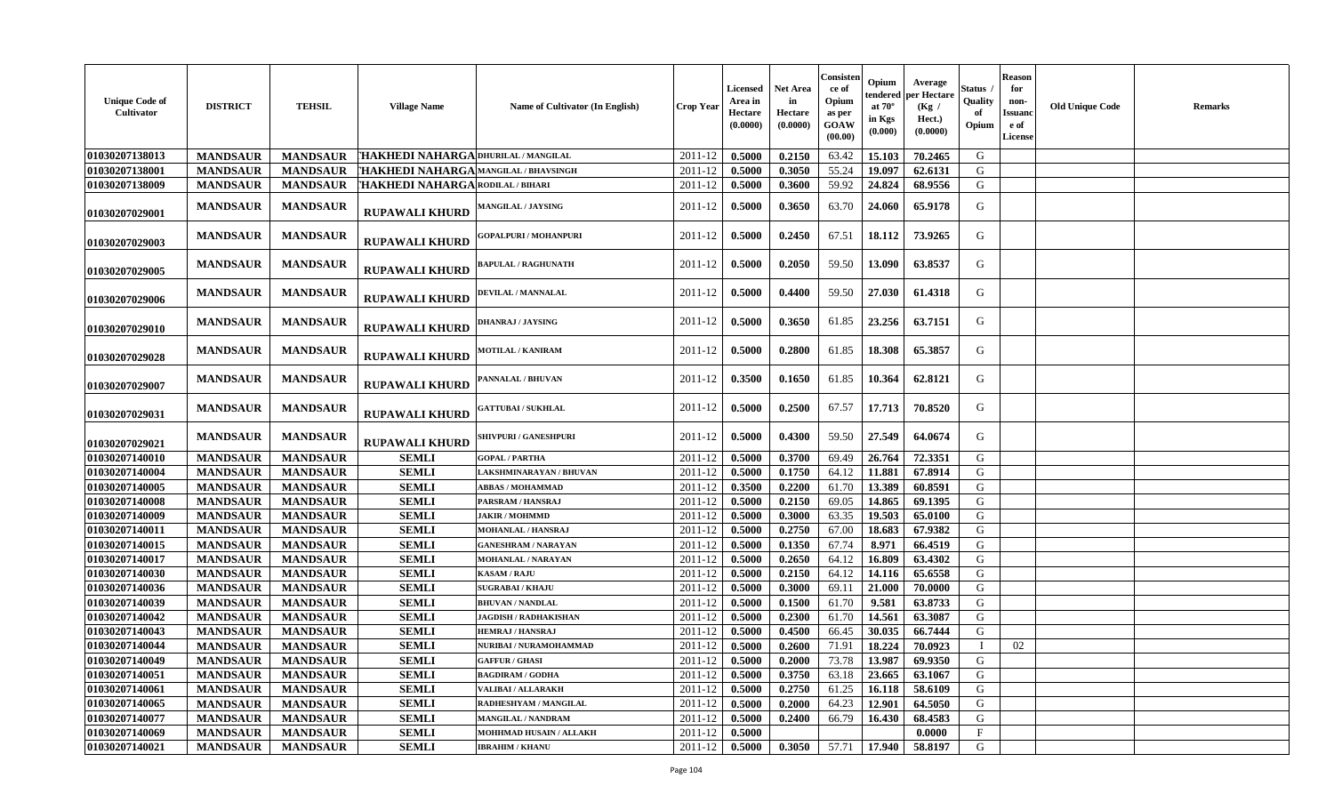| <b>Unique Code of</b><br>Cultivator | <b>DISTRICT</b> | <b>TEHSIL</b>   | <b>Village Name</b>                     | Name of Cultivator (In English) | <b>Crop Year</b> | Licensed<br>Area in<br>Hectare<br>(0.0000) | <b>Net Area</b><br>in<br>Hectare<br>(0.0000) | Consisten<br>ce of<br>Opium<br>as per<br>GOAW<br>(00.00) | Opium<br>tendered<br>at $70^\circ$<br>in Kgs<br>(0.000) | Average<br>per Hectare<br>(Kg)<br>Hect.)<br>(0.0000) | Status<br>Quality<br>Opium | <b>Reason</b><br>for<br>non-<br>Issuanc<br>e of<br><b>License</b> | <b>Old Unique Code</b> | <b>Remarks</b> |
|-------------------------------------|-----------------|-----------------|-----------------------------------------|---------------------------------|------------------|--------------------------------------------|----------------------------------------------|----------------------------------------------------------|---------------------------------------------------------|------------------------------------------------------|----------------------------|-------------------------------------------------------------------|------------------------|----------------|
| 01030207138013                      | <b>MANDSAUR</b> | <b>MANDSAUR</b> | THAKHEDI NAHARGA DHURILAL / MANGILAL    |                                 | 2011-12          | 0.5000                                     | 0.2150                                       | 63.42                                                    | 15.103                                                  | 70.2465                                              | G                          |                                                                   |                        |                |
| 01030207138001                      | <b>MANDSAUR</b> | <b>MANDSAUR</b> | THAKHEDI NAHARGA MANGILAL / BHAVSINGH   |                                 | 2011-12          | 0.5000                                     | 0.3050                                       | 55.24                                                    | 19.097                                                  | 62.6131                                              | G                          |                                                                   |                        |                |
| 01030207138009                      | <b>MANDSAUR</b> | <b>MANDSAUR</b> | <b>HAKHEDI NAHARGA RODILAL / BIHARI</b> |                                 | 2011-12          | 0.5000                                     | 0.3600                                       | 59.92                                                    | 24.824                                                  | 68.9556                                              | G                          |                                                                   |                        |                |
| 01030207029001                      | <b>MANDSAUR</b> | <b>MANDSAUR</b> | RUPAWALI KHURD                          | <b>MANGILAL / JAYSING</b>       | 2011-12          | 0.5000                                     | 0.3650                                       | 63.70                                                    | 24.060                                                  | 65.9178                                              | G                          |                                                                   |                        |                |
| 01030207029003                      | <b>MANDSAUR</b> | <b>MANDSAUR</b> | <b>RUPAWALI KHURD</b>                   | <b>GOPALPURI / MOHANPURI</b>    | 2011-12          | 0.5000                                     | 0.2450                                       | 67.51                                                    | 18.112                                                  | 73.9265                                              | G                          |                                                                   |                        |                |
| 01030207029005                      | <b>MANDSAUR</b> | <b>MANDSAUR</b> | <b>RUPAWALI KHURD</b>                   | <b>BAPULAL / RAGHUNATH</b>      | 2011-12          | 0.5000                                     | 0.2050                                       | 59.50                                                    | 13.090                                                  | 63.8537                                              | G                          |                                                                   |                        |                |
| 01030207029006                      | <b>MANDSAUR</b> | <b>MANDSAUR</b> | <b>RUPAWALI KHURD</b>                   | DEVILAL / MANNALAL              | 2011-12          | 0.5000                                     | 0.4400                                       | 59.50                                                    | 27.030                                                  | 61.4318                                              | G                          |                                                                   |                        |                |
| 01030207029010                      | <b>MANDSAUR</b> | <b>MANDSAUR</b> | <b>RUPAWALI KHURD</b>                   | DHANRAJ / JAYSING               | 2011-12          | 0.5000                                     | 0.3650                                       | 61.85                                                    | 23.256                                                  | 63.7151                                              | G                          |                                                                   |                        |                |
| 01030207029028                      | <b>MANDSAUR</b> | <b>MANDSAUR</b> | <b>RUPAWALI KHURD</b>                   | <b>MOTILAL / KANIRAM</b>        | 2011-12          | 0.5000                                     | 0.2800                                       | 61.85                                                    | 18.308                                                  | 65.3857                                              | G                          |                                                                   |                        |                |
| 01030207029007                      | <b>MANDSAUR</b> | <b>MANDSAUR</b> | <b>RUPAWALI KHURD</b>                   | PANNALAL / BHUVAN               | 2011-12          | 0.3500                                     | 0.1650                                       | 61.85                                                    | 10.364                                                  | 62.8121                                              | G                          |                                                                   |                        |                |
| 01030207029031                      | <b>MANDSAUR</b> | <b>MANDSAUR</b> | <b>RUPAWALI KHURD</b>                   | <b>GATTUBAI / SUKHLAL</b>       | 2011-12          | 0.5000                                     | 0.2500                                       | 67.57                                                    | 17.713                                                  | 70.8520                                              | G                          |                                                                   |                        |                |
| 01030207029021                      | <b>MANDSAUR</b> | <b>MANDSAUR</b> | <b>RUPAWALI KHURD</b>                   | <b>SHIVPURI / GANESHPURI</b>    | 2011-12          | 0.5000                                     | 0.4300                                       | 59.50                                                    | 27.549                                                  | 64.0674                                              | G                          |                                                                   |                        |                |
| 01030207140010                      | <b>MANDSAUR</b> | <b>MANDSAUR</b> | <b>SEMLI</b>                            | <b>GOPAL / PARTHA</b>           | 2011-12          | 0.5000                                     | 0.3700                                       | 69.49                                                    | 26.764                                                  | 72.3351                                              | G                          |                                                                   |                        |                |
| 01030207140004                      | <b>MANDSAUR</b> | <b>MANDSAUR</b> | <b>SEMLI</b>                            | LAKSHMINARAYAN / BHUVAN         | 2011-12          | 0.5000                                     | 0.1750                                       | 64.12                                                    | 11.881                                                  | 67.8914                                              | G                          |                                                                   |                        |                |
| 01030207140005                      | <b>MANDSAUR</b> | <b>MANDSAUR</b> | <b>SEMLI</b>                            | <b>ABBAS / MOHAMMAD</b>         | 2011-12          | 0.3500                                     | 0.2200                                       | 61.70                                                    | 13.389                                                  | 60.8591                                              | G                          |                                                                   |                        |                |
| 01030207140008                      | <b>MANDSAUR</b> | <b>MANDSAUR</b> | <b>SEMLI</b>                            | PARSRAM / HANSRAJ               | $2011 - 12$      | 0.5000                                     | 0.2150                                       | 69.05                                                    | 14.865                                                  | 69.1395                                              | G                          |                                                                   |                        |                |
| 01030207140009                      | <b>MANDSAUR</b> | <b>MANDSAUR</b> | <b>SEMLI</b>                            | <b>JAKIR / MOHMMD</b>           | 2011-12          | 0.5000                                     | 0.3000                                       | 63.35                                                    | 19.503                                                  | 65.0100                                              | G                          |                                                                   |                        |                |
| 01030207140011                      | <b>MANDSAUR</b> | <b>MANDSAUR</b> | <b>SEMLI</b>                            | MOHANLAL / HANSRAJ              | 2011-12          | 0.5000                                     | 0.2750                                       | 67.00                                                    | 18.683                                                  | 67.9382                                              | G                          |                                                                   |                        |                |
| 01030207140015                      | <b>MANDSAUR</b> | <b>MANDSAUR</b> | <b>SEMLI</b>                            | <b>GANESHRAM / NARAYAN</b>      | 2011-12          | 0.5000                                     | 0.1350                                       | 67.74                                                    | 8.971                                                   | 66.4519                                              | G                          |                                                                   |                        |                |
| 01030207140017                      | <b>MANDSAUR</b> | <b>MANDSAUR</b> | <b>SEMLI</b>                            | MOHANLAL / NARAYAN              | 2011-12          | 0.5000                                     | 0.2650                                       | 64.12                                                    | 16.809                                                  | 63.4302                                              | G                          |                                                                   |                        |                |
| 01030207140030                      | <b>MANDSAUR</b> | <b>MANDSAUR</b> | <b>SEMLI</b>                            | <b>KASAM / RAJU</b>             | 2011-12          | 0.5000                                     | 0.2150                                       | 64.12                                                    | 14.116                                                  | 65.6558                                              | G                          |                                                                   |                        |                |
| 01030207140036                      | <b>MANDSAUR</b> | <b>MANDSAUR</b> | <b>SEMLI</b>                            | <b>SUGRABAI/KHAJU</b>           | 2011-12          | 0.5000                                     | 0.3000                                       | 69.11                                                    | 21.000                                                  | 70.0000                                              | G                          |                                                                   |                        |                |
| 01030207140039                      | <b>MANDSAUR</b> | <b>MANDSAUR</b> | <b>SEMLI</b>                            | <b>BHUVAN / NANDLAL</b>         | 2011-12          | 0.5000                                     | 0.1500                                       | 61.70                                                    | 9.581                                                   | 63.8733                                              | G                          |                                                                   |                        |                |
| 01030207140042                      | <b>MANDSAUR</b> | <b>MANDSAUR</b> | <b>SEMLI</b>                            | <b>JAGDISH / RADHAKISHAN</b>    | 2011-12          | 0.5000                                     | 0.2300                                       | 61.70                                                    | 14.561                                                  | 63.3087                                              | G                          |                                                                   |                        |                |
| 01030207140043                      | <b>MANDSAUR</b> | <b>MANDSAUR</b> | <b>SEMLI</b>                            | <b>HEMRAJ / HANSRAJ</b>         | 2011-12          | 0.5000                                     | 0.4500                                       | 66.45                                                    | 30.035                                                  | 66.7444                                              | G                          |                                                                   |                        |                |
| 01030207140044                      | <b>MANDSAUR</b> | <b>MANDSAUR</b> | <b>SEMLI</b>                            | NURIBAI / NURAMOHAMMAD          | 2011-12          | 0.5000                                     | 0.2600                                       | 71.91                                                    | 18.224                                                  | 70.0923                                              | $\mathbf I$                | 02                                                                |                        |                |
| 01030207140049                      | <b>MANDSAUR</b> | <b>MANDSAUR</b> | <b>SEMLI</b>                            | <b>GAFFUR / GHASI</b>           | 2011-12          | 0.5000                                     | 0.2000                                       | 73.78                                                    | 13.987                                                  | 69.9350                                              | G                          |                                                                   |                        |                |
| 01030207140051                      | <b>MANDSAUR</b> | <b>MANDSAUR</b> | <b>SEMLI</b>                            | <b>BAGDIRAM / GODHA</b>         | 2011-12          | 0.5000                                     | 0.3750                                       | 63.18                                                    | 23.665                                                  | 63.1067                                              | G                          |                                                                   |                        |                |
| 01030207140061                      | <b>MANDSAUR</b> | <b>MANDSAUR</b> | <b>SEMLI</b>                            | VALIBAI / ALLARAKH              | 2011-12          | 0.5000                                     | 0.2750                                       | 61.25                                                    | 16.118                                                  | 58.6109                                              | G                          |                                                                   |                        |                |
| 01030207140065                      | <b>MANDSAUR</b> | <b>MANDSAUR</b> | <b>SEMLI</b>                            | RADHESHYAM / MANGILAL           | 2011-12          | 0.5000                                     | 0.2000                                       | 64.23                                                    | 12.901                                                  | 64.5050                                              | G                          |                                                                   |                        |                |
| 01030207140077                      | <b>MANDSAUR</b> | <b>MANDSAUR</b> | <b>SEMLI</b>                            | MANGILAL / NANDRAM              | 2011-12          | 0.5000                                     | 0.2400                                       | 66.79                                                    | 16.430                                                  | 68.4583                                              | G                          |                                                                   |                        |                |
| 01030207140069                      | <b>MANDSAUR</b> | <b>MANDSAUR</b> | <b>SEMLI</b>                            | MOHHMAD HUSAIN / ALLAKH         | 2011-12          | 0.5000                                     |                                              |                                                          |                                                         | 0.0000                                               | $\mathbf{F}$               |                                                                   |                        |                |
| 01030207140021                      | <b>MANDSAUR</b> | <b>MANDSAUR</b> | <b>SEMLI</b>                            | <b>IBRAHIM / KHANU</b>          | 2011-12          | 0.5000                                     | 0.3050                                       | 57.71                                                    | 17.940                                                  | 58.8197                                              | G                          |                                                                   |                        |                |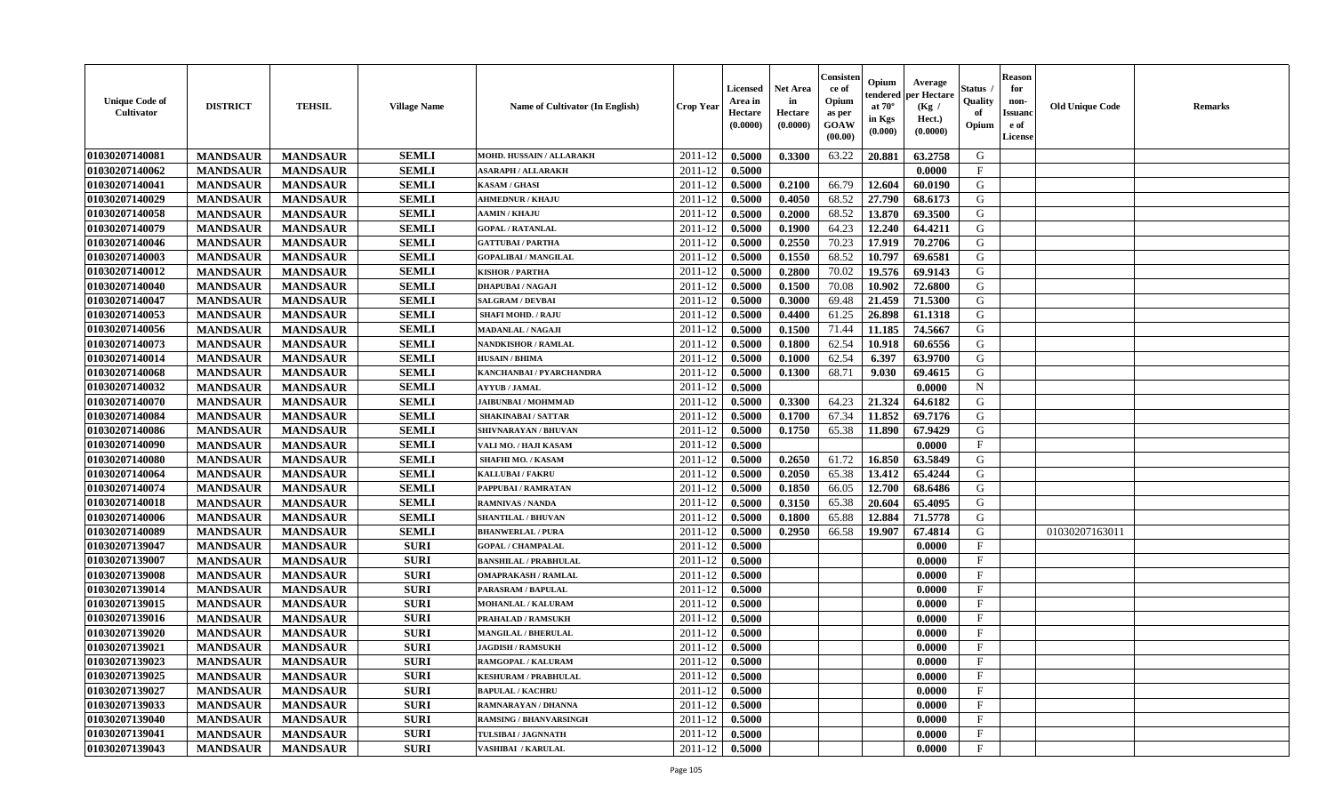| <b>Unique Code of</b><br><b>Cultivator</b> | <b>DISTRICT</b> | <b>TEHSIL</b>   | <b>Village Name</b> | Name of Cultivator (In English) | <b>Crop Year</b> | <b>Licensed</b><br>Area in<br>Hectare<br>(0.0000) | <b>Net Area</b><br>in<br>Hectare<br>(0.0000) | Consisteı<br>ce of<br>Opium<br>as per<br><b>GOAW</b><br>(00.00) | Opium<br>endered<br>at $70^\circ$<br>in Kgs<br>$(\mathbf{0.000})$ | Average<br>per Hectare<br>(Kg /<br>Hect.)<br>(0.0000) | Status<br>Quality<br>of<br>Opium | <b>Reason</b><br>for<br>non-<br>Issuan<br>e of<br>License | <b>Old Unique Code</b> | <b>Remarks</b> |
|--------------------------------------------|-----------------|-----------------|---------------------|---------------------------------|------------------|---------------------------------------------------|----------------------------------------------|-----------------------------------------------------------------|-------------------------------------------------------------------|-------------------------------------------------------|----------------------------------|-----------------------------------------------------------|------------------------|----------------|
| 01030207140081                             | <b>MANDSAUR</b> | <b>MANDSAUR</b> | <b>SEMLI</b>        | MOHD. HUSSAIN / ALLARAKH        | 2011-12          | 0.5000                                            | 0.3300                                       | 63.22                                                           | 20.881                                                            | 63.2758                                               | G                                |                                                           |                        |                |
| 01030207140062                             | <b>MANDSAUR</b> | <b>MANDSAUR</b> | <b>SEMLI</b>        | <b>ASARAPH / ALLARAKH</b>       | 2011-12          | 0.5000                                            |                                              |                                                                 |                                                                   | 0.0000                                                | $\mathbf{F}$                     |                                                           |                        |                |
| 01030207140041                             | <b>MANDSAUR</b> | <b>MANDSAUR</b> | <b>SEMLI</b>        | <b>KASAM / GHASI</b>            | 2011-12          | 0.5000                                            | 0.2100                                       | 66.79                                                           | 12.604                                                            | 60.0190                                               | G                                |                                                           |                        |                |
| 01030207140029                             | <b>MANDSAUR</b> | <b>MANDSAUR</b> | <b>SEMLI</b>        | <b>AHMEDNUR / KHAJU</b>         | 2011-12          | 0.5000                                            | 0.4050                                       | 68.52                                                           | 27.790                                                            | 68.6173                                               | G                                |                                                           |                        |                |
| 01030207140058                             | <b>MANDSAUR</b> | <b>MANDSAUR</b> | <b>SEMLI</b>        | <b>AAMIN / KHAJU</b>            | 2011-12          | 0.5000                                            | 0.2000                                       | 68.52                                                           | 13.870                                                            | 69.3500                                               | G                                |                                                           |                        |                |
| 01030207140079                             | <b>MANDSAUR</b> | <b>MANDSAUR</b> | <b>SEMLI</b>        | <b>GOPAL / RATANLAL</b>         | 2011-12          | 0.5000                                            | 0.1900                                       | 64.23                                                           | 12.240                                                            | 64.4211                                               | G                                |                                                           |                        |                |
| 01030207140046                             | <b>MANDSAUR</b> | <b>MANDSAUR</b> | <b>SEMLI</b>        | <b>GATTUBAI/PARTHA</b>          | 2011-12          | 0.5000                                            | 0.2550                                       | 70.23                                                           | 17.919                                                            | 70.2706                                               | G                                |                                                           |                        |                |
| 01030207140003                             | <b>MANDSAUR</b> | <b>MANDSAUR</b> | <b>SEMLI</b>        | <b>GOPALIBAI/MANGILAL</b>       | 2011-12          | 0.5000                                            | 0.1550                                       | 68.52                                                           | 10.797                                                            | 69.6581                                               | G                                |                                                           |                        |                |
| 01030207140012                             | <b>MANDSAUR</b> | <b>MANDSAUR</b> | <b>SEMLI</b>        | <b>KISHOR / PARTHA</b>          | 2011-12          | 0.5000                                            | 0.2800                                       | 70.02                                                           | 19.576                                                            | 69.9143                                               | G                                |                                                           |                        |                |
| 01030207140040                             | <b>MANDSAUR</b> | <b>MANDSAUR</b> | <b>SEMLI</b>        | DHAPUBAI / NAGAJI               | 2011-12          | 0.5000                                            | 0.1500                                       | 70.08                                                           | 10.902                                                            | 72.6800                                               | G                                |                                                           |                        |                |
| 01030207140047                             | <b>MANDSAUR</b> | <b>MANDSAUR</b> | <b>SEMLI</b>        | <b>SALGRAM / DEVBAI</b>         | 2011-12          | 0.5000                                            | 0.3000                                       | 69.48                                                           | 21.459                                                            | 71.5300                                               | G                                |                                                           |                        |                |
| 01030207140053                             | <b>MANDSAUR</b> | <b>MANDSAUR</b> | <b>SEMLI</b>        | <b>SHAFI MOHD. / RAJU</b>       | 2011-12          | 0.5000                                            | 0.4400                                       | 61.25                                                           | 26.898                                                            | 61.1318                                               | G                                |                                                           |                        |                |
| 01030207140056                             | <b>MANDSAUR</b> | <b>MANDSAUR</b> | <b>SEMLI</b>        | <b>MADANLAL / NAGAJI</b>        | 2011-12          | 0.5000                                            | 0.1500                                       | 71.44                                                           | 11.185                                                            | 74.5667                                               | G                                |                                                           |                        |                |
| 01030207140073                             | <b>MANDSAUR</b> | <b>MANDSAUR</b> | <b>SEMLI</b>        | <b>NANDKISHOR / RAMLAL</b>      | 2011-12          | 0.5000                                            | 0.1800                                       | 62.54                                                           | 10.918                                                            | 60.6556                                               | G                                |                                                           |                        |                |
| 01030207140014                             | <b>MANDSAUR</b> | <b>MANDSAUR</b> | <b>SEMLI</b>        | <b>HUSAIN / BHIMA</b>           | 2011-12          | 0.5000                                            | 0.1000                                       | 62.54                                                           | 6.397                                                             | 63.9700                                               | G                                |                                                           |                        |                |
| 01030207140068                             | <b>MANDSAUR</b> | <b>MANDSAUR</b> | <b>SEMLI</b>        | KANCHANBAI / PYARCHANDRA        | 2011-12          | 0.5000                                            | 0.1300                                       | 68.71                                                           | 9.030                                                             | 69.4615                                               | G                                |                                                           |                        |                |
| 01030207140032                             | <b>MANDSAUR</b> | <b>MANDSAUR</b> | <b>SEMLI</b>        | <b>AYYUB / JAMAL</b>            | 2011-12          | 0.5000                                            |                                              |                                                                 |                                                                   | 0.0000                                                | $\mathbf N$                      |                                                           |                        |                |
| 01030207140070                             | <b>MANDSAUR</b> | <b>MANDSAUR</b> | <b>SEMLI</b>        | <b>JAIBUNBAI / MOHMMAD</b>      | 2011-12          | 0.5000                                            | 0.3300                                       | 64.23                                                           | 21.324                                                            | 64.6182                                               | G                                |                                                           |                        |                |
| 01030207140084                             | <b>MANDSAUR</b> | <b>MANDSAUR</b> | <b>SEMLI</b>        | <b>SHAKINABAI/SATTAR</b>        | 2011-12          | 0.5000                                            | 0.1700                                       | 67.34                                                           | 11.852                                                            | 69.7176                                               | G                                |                                                           |                        |                |
| 01030207140086                             | <b>MANDSAUR</b> | <b>MANDSAUR</b> | <b>SEMLI</b>        | SHIVNARAYAN / BHUVAN            | 2011-12          | 0.5000                                            | 0.1750                                       | 65.38                                                           | 11.890                                                            | 67.9429                                               | G                                |                                                           |                        |                |
| 01030207140090                             | <b>MANDSAUR</b> | <b>MANDSAUR</b> | <b>SEMLI</b>        | VALI MO. / HAJI KASAM           | 2011-12          | 0.5000                                            |                                              |                                                                 |                                                                   | 0.0000                                                | F                                |                                                           |                        |                |
| 01030207140080                             | <b>MANDSAUR</b> | <b>MANDSAUR</b> | <b>SEMLI</b>        | SHAFHI MO. / KASAM              | 2011-12          | 0.5000                                            | 0.2650                                       | 61.72                                                           | 16.850                                                            | 63.5849                                               | G                                |                                                           |                        |                |
| 01030207140064                             | <b>MANDSAUR</b> | <b>MANDSAUR</b> | <b>SEMLI</b>        | <b>KALLUBAI/FAKRU</b>           | 2011-12          | 0.5000                                            | 0.2050                                       | 65.38                                                           | 13.412                                                            | 65.4244                                               | G                                |                                                           |                        |                |
| 01030207140074                             | <b>MANDSAUR</b> | <b>MANDSAUR</b> | <b>SEMLI</b>        | PAPPUBAI / RAMRATAN             | 2011-12          | 0.5000                                            | 0.1850                                       | 66.05                                                           | 12.700                                                            | 68.6486                                               | G                                |                                                           |                        |                |
| 01030207140018                             | <b>MANDSAUR</b> | <b>MANDSAUR</b> | <b>SEMLI</b>        | <b>RAMNIVAS / NANDA</b>         | 2011-12          | 0.5000                                            | 0.3150                                       | 65.38                                                           | 20.604                                                            | 65.4095                                               | G                                |                                                           |                        |                |
| 01030207140006                             | <b>MANDSAUR</b> | <b>MANDSAUR</b> | <b>SEMLI</b>        | <b>SHANTILAL / BHUVAN</b>       | 2011-12          | 0.5000                                            | 0.1800                                       | 65.88                                                           | 12.884                                                            | 71.5778                                               | G                                |                                                           |                        |                |
| 01030207140089                             | <b>MANDSAUR</b> | <b>MANDSAUR</b> | <b>SEMLI</b>        | <b>BHANWERLAL / PURA</b>        | 2011-12          | 0.5000                                            | 0.2950                                       | 66.58                                                           | 19.907                                                            | 67.4814                                               | G                                |                                                           | 01030207163011         |                |
| 01030207139047                             | <b>MANDSAUR</b> | <b>MANDSAUR</b> | <b>SURI</b>         | <b>GOPAL / CHAMPALAL</b>        | 2011-12          | 0.5000                                            |                                              |                                                                 |                                                                   | 0.0000                                                | $\mathbf{F}$                     |                                                           |                        |                |
| 01030207139007                             | <b>MANDSAUR</b> | <b>MANDSAUR</b> | <b>SURI</b>         | <b>BANSHILAL / PRABHULAL</b>    | 2011-12          | 0.5000                                            |                                              |                                                                 |                                                                   | 0.0000                                                | $\mathbf{F}$                     |                                                           |                        |                |
| 01030207139008                             | <b>MANDSAUR</b> | <b>MANDSAUR</b> | <b>SURI</b>         | <b>OMAPRAKASH / RAMLAL</b>      | 2011-12          | 0.5000                                            |                                              |                                                                 |                                                                   | 0.0000                                                | $_{\rm F}$                       |                                                           |                        |                |
| 01030207139014                             | <b>MANDSAUR</b> | <b>MANDSAUR</b> | <b>SURI</b>         | PARASRAM / BAPULAL              | 2011-12          | 0.5000                                            |                                              |                                                                 |                                                                   | 0.0000                                                | $_{\rm F}$                       |                                                           |                        |                |
| 01030207139015                             | <b>MANDSAUR</b> | <b>MANDSAUR</b> | <b>SURI</b>         | <b>MOHANLAL / KALURAM</b>       | 2011-12          | 0.5000                                            |                                              |                                                                 |                                                                   | 0.0000                                                | $\mathbf{F}$                     |                                                           |                        |                |
| 01030207139016                             | <b>MANDSAUR</b> | <b>MANDSAUR</b> | <b>SURI</b>         | PRAHALAD / RAMSUKH              | 2011-12          | 0.5000                                            |                                              |                                                                 |                                                                   | 0.0000                                                | $\mathbf{F}$                     |                                                           |                        |                |
| 01030207139020                             | <b>MANDSAUR</b> | <b>MANDSAUR</b> | <b>SURI</b>         | <b>MANGILAL / BHERULAL</b>      | 2011-12          | 0.5000                                            |                                              |                                                                 |                                                                   | 0.0000                                                | $_{\rm F}$                       |                                                           |                        |                |
| 01030207139021                             | <b>MANDSAUR</b> | <b>MANDSAUR</b> | <b>SURI</b>         | <b>JAGDISH / RAMSUKH</b>        | 2011-12          | 0.5000                                            |                                              |                                                                 |                                                                   | 0.0000                                                | $\mathbf{F}$                     |                                                           |                        |                |
| 01030207139023                             | <b>MANDSAUR</b> | <b>MANDSAUR</b> | <b>SURI</b>         | RAMGOPAL / KALURAM              | $2011-12$ 0.5000 |                                                   |                                              |                                                                 |                                                                   | 0.0000                                                | F                                |                                                           |                        |                |
| 01030207139025                             | <b>MANDSAUR</b> | <b>MANDSAUR</b> | <b>SURI</b>         | <b>KESHURAM / PRABHULAL</b>     | 2011-12          | 0.5000                                            |                                              |                                                                 |                                                                   | 0.0000                                                | $\mathbf{F}$                     |                                                           |                        |                |
| 01030207139027                             | <b>MANDSAUR</b> | <b>MANDSAUR</b> | <b>SURI</b>         | <b>BAPULAL / KACHRU</b>         | 2011-12          | 0.5000                                            |                                              |                                                                 |                                                                   | 0.0000                                                | $\mathbf{F}$                     |                                                           |                        |                |
| 01030207139033                             | <b>MANDSAUR</b> | <b>MANDSAUR</b> | <b>SURI</b>         | RAMNARAYAN / DHANNA             | 2011-12          | 0.5000                                            |                                              |                                                                 |                                                                   | 0.0000                                                | $\mathbf{F}$                     |                                                           |                        |                |
| 01030207139040                             | <b>MANDSAUR</b> | <b>MANDSAUR</b> | <b>SURI</b>         | <b>RAMSING / BHANVARSINGH</b>   | 2011-12          | 0.5000                                            |                                              |                                                                 |                                                                   | 0.0000                                                | $\mathbf{F}$                     |                                                           |                        |                |
| 01030207139041                             | <b>MANDSAUR</b> | <b>MANDSAUR</b> | <b>SURI</b>         | TULSIBAI / JAGNNATH             | 2011-12          | 0.5000                                            |                                              |                                                                 |                                                                   | 0.0000                                                | $\mathbf{F}$                     |                                                           |                        |                |
| 01030207139043                             | <b>MANDSAUR</b> | <b>MANDSAUR</b> | <b>SURI</b>         | <b>VASHIBAI / KARULAL</b>       | 2011-12          | 0.5000                                            |                                              |                                                                 |                                                                   | 0.0000                                                | $\mathbf{F}$                     |                                                           |                        |                |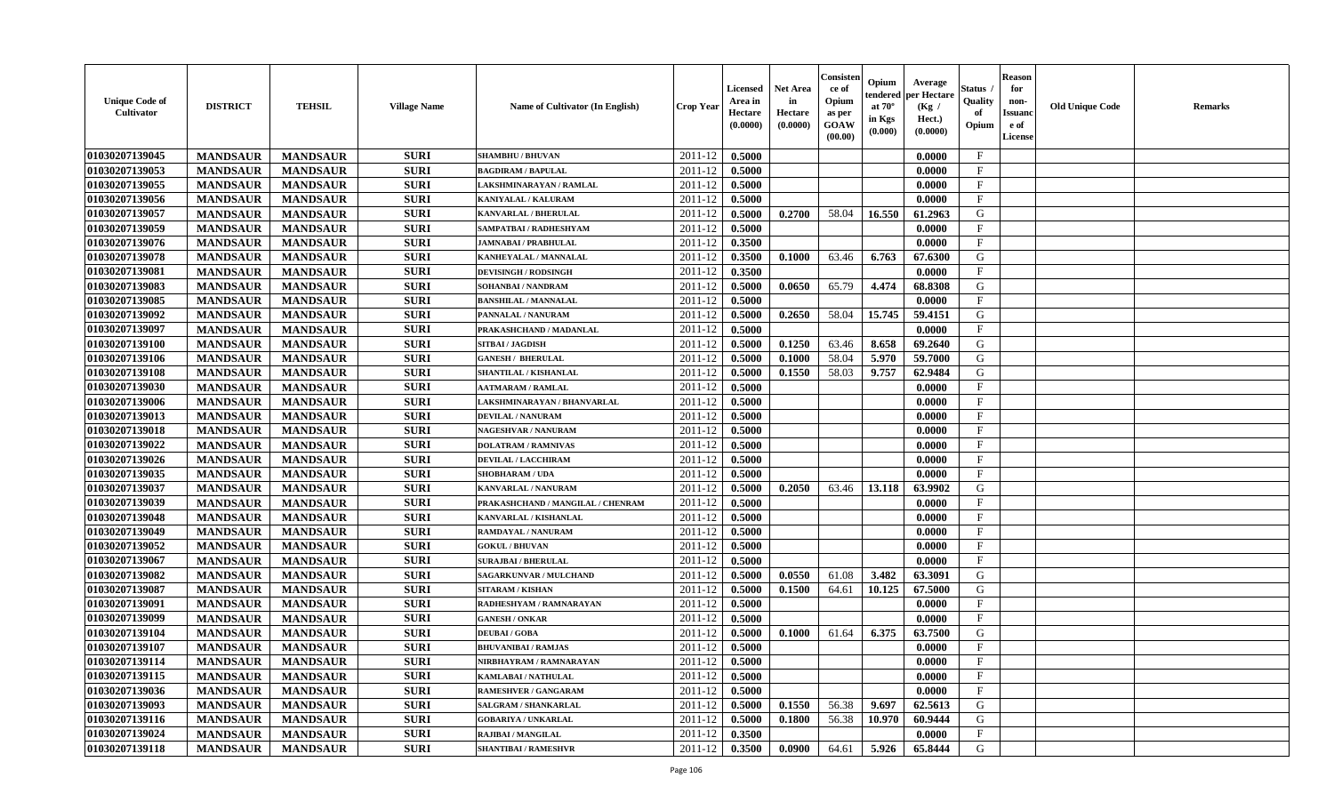| <b>Unique Code of</b><br>Cultivator | <b>DISTRICT</b> | <b>TEHSIL</b>   | <b>Village Name</b> | Name of Cultivator (In English)   | <b>Crop Year</b> | <b>Licensed</b><br>Area in<br>Hectare<br>(0.0000) | <b>Net Area</b><br>in<br>Hectare<br>(0.0000) | Consisten<br>ce of<br>Opium<br>as per<br><b>GOAW</b><br>(00.00) | Opium<br>endered<br>at $70^\circ$<br>in Kgs<br>(0.000) | Average<br>per Hectare<br>(Kg /<br>Hect.)<br>(0.0000) | Status ,<br>Quality<br>of<br>Opium | <b>Reason</b><br>for<br>non-<br><b>Issuanc</b><br>e of<br><b>License</b> | <b>Old Unique Code</b> | <b>Remarks</b> |
|-------------------------------------|-----------------|-----------------|---------------------|-----------------------------------|------------------|---------------------------------------------------|----------------------------------------------|-----------------------------------------------------------------|--------------------------------------------------------|-------------------------------------------------------|------------------------------------|--------------------------------------------------------------------------|------------------------|----------------|
| 01030207139045                      | <b>MANDSAUR</b> | <b>MANDSAUR</b> | <b>SURI</b>         | <b>SHAMBHU / BHUVAN</b>           | 2011-12          | 0.5000                                            |                                              |                                                                 |                                                        | 0.0000                                                | $\mathbf{F}$                       |                                                                          |                        |                |
| 01030207139053                      | <b>MANDSAUR</b> | <b>MANDSAUR</b> | <b>SURI</b>         | <b>BAGDIRAM / BAPULAL</b>         | 2011-12          | 0.5000                                            |                                              |                                                                 |                                                        | 0.0000                                                | $\mathbf{F}$                       |                                                                          |                        |                |
| 01030207139055                      | <b>MANDSAUR</b> | <b>MANDSAUR</b> | <b>SURI</b>         | LAKSHMINARAYAN / RAMLAL           | 2011-12          | 0.5000                                            |                                              |                                                                 |                                                        | 0.0000                                                | $\mathbf{F}$                       |                                                                          |                        |                |
| 01030207139056                      | <b>MANDSAUR</b> | <b>MANDSAUR</b> | <b>SURI</b>         | <b>KANIYALAL / KALURAM</b>        | 2011-12          | 0.5000                                            |                                              |                                                                 |                                                        | 0.0000                                                | $\mathbf{F}$                       |                                                                          |                        |                |
| 01030207139057                      | <b>MANDSAUR</b> | <b>MANDSAUR</b> | <b>SURI</b>         | <b>KANVARLAL / BHERULAL</b>       | 2011-12          | 0.5000                                            | 0.2700                                       | 58.04                                                           | 16.550                                                 | 61.2963                                               | G                                  |                                                                          |                        |                |
| 01030207139059                      | <b>MANDSAUR</b> | <b>MANDSAUR</b> | <b>SURI</b>         | SAMPATBAI / RADHESHYAM            | 2011-12          | 0.5000                                            |                                              |                                                                 |                                                        | 0.0000                                                | $\mathbf{F}$                       |                                                                          |                        |                |
| 01030207139076                      | <b>MANDSAUR</b> | <b>MANDSAUR</b> | <b>SURI</b>         | <b>JAMNABAI/PRABHULAL</b>         | 2011-12          | 0.3500                                            |                                              |                                                                 |                                                        | 0.0000                                                | $\mathbf{F}$                       |                                                                          |                        |                |
| 01030207139078                      | <b>MANDSAUR</b> | <b>MANDSAUR</b> | <b>SURI</b>         | KANHEYALAL / MANNALAL             | 2011-12          | 0.3500                                            | 0.1000                                       | 63.46                                                           | 6.763                                                  | 67.6300                                               | $\mathsf G$                        |                                                                          |                        |                |
| 01030207139081                      | <b>MANDSAUR</b> | <b>MANDSAUR</b> | <b>SURI</b>         | <b>DEVISINGH / RODSINGH</b>       | 2011-12          | 0.3500                                            |                                              |                                                                 |                                                        | 0.0000                                                | $\mathbf F$                        |                                                                          |                        |                |
| 01030207139083                      | <b>MANDSAUR</b> | <b>MANDSAUR</b> | <b>SURI</b>         | <b>SOHANBAI/NANDRAM</b>           | 2011-12          | 0.5000                                            | 0.0650                                       | 65.79                                                           | 4.474                                                  | 68.8308                                               | G                                  |                                                                          |                        |                |
| 01030207139085                      | <b>MANDSAUR</b> | <b>MANDSAUR</b> | <b>SURI</b>         | <b>BANSHILAL / MANNALAL</b>       | 2011-12          | 0.5000                                            |                                              |                                                                 |                                                        | 0.0000                                                | $\mathbf{F}$                       |                                                                          |                        |                |
| 01030207139092                      | <b>MANDSAUR</b> | <b>MANDSAUR</b> | <b>SURI</b>         | PANNALAL / NANURAM                | 2011-12          | 0.5000                                            | 0.2650                                       | 58.04                                                           | 15.745                                                 | 59.4151                                               | G                                  |                                                                          |                        |                |
| 01030207139097                      | <b>MANDSAUR</b> | <b>MANDSAUR</b> | <b>SURI</b>         | PRAKASHCHAND / MADANLAL           | 2011-12          | 0.5000                                            |                                              |                                                                 |                                                        | 0.0000                                                | $\mathbf{F}$                       |                                                                          |                        |                |
| 01030207139100                      | <b>MANDSAUR</b> | <b>MANDSAUR</b> | <b>SURI</b>         | SITBAI / JAGDISH                  | 2011-12          | 0.5000                                            | 0.1250                                       | 63.46                                                           | 8.658                                                  | 69.2640                                               | G                                  |                                                                          |                        |                |
| 01030207139106                      | <b>MANDSAUR</b> | <b>MANDSAUR</b> | <b>SURI</b>         | <b>GANESH / BHERULAL</b>          | 2011-12          | 0.5000                                            | 0.1000                                       | 58.04                                                           | 5.970                                                  | 59.7000                                               | G                                  |                                                                          |                        |                |
| 01030207139108                      | <b>MANDSAUR</b> | <b>MANDSAUR</b> | <b>SURI</b>         | SHANTILAL / KISHANLAL             | 2011-12          | 0.5000                                            | 0.1550                                       | 58.03                                                           | 9.757                                                  | 62.9484                                               | G                                  |                                                                          |                        |                |
| 01030207139030                      | <b>MANDSAUR</b> | <b>MANDSAUR</b> | <b>SURI</b>         | <b>AATMARAM / RAMLAL</b>          | 2011-12          | 0.5000                                            |                                              |                                                                 |                                                        | 0.0000                                                | $\mathbf F$                        |                                                                          |                        |                |
| 01030207139006                      | <b>MANDSAUR</b> | <b>MANDSAUR</b> | <b>SURI</b>         | LAKSHMINARAYAN / BHANVARLAL       | 2011-12          | 0.5000                                            |                                              |                                                                 |                                                        | 0.0000                                                | $\mathbf F$                        |                                                                          |                        |                |
| 01030207139013                      | <b>MANDSAUR</b> | <b>MANDSAUR</b> | <b>SURI</b>         | <b>DEVILAL / NANURAM</b>          | 2011-12          | 0.5000                                            |                                              |                                                                 |                                                        | 0.0000                                                | $\mathbf F$                        |                                                                          |                        |                |
| 01030207139018                      | <b>MANDSAUR</b> | <b>MANDSAUR</b> | <b>SURI</b>         | <b>NAGESHVAR / NANURAM</b>        | 2011-12          | 0.5000                                            |                                              |                                                                 |                                                        | 0.0000                                                | $\mathbf{F}$                       |                                                                          |                        |                |
| 01030207139022                      | <b>MANDSAUR</b> | <b>MANDSAUR</b> | <b>SURI</b>         | <b>DOLATRAM / RAMNIVAS</b>        | 2011-12          | 0.5000                                            |                                              |                                                                 |                                                        | 0.0000                                                | $\mathbf{F}$                       |                                                                          |                        |                |
| 01030207139026                      | <b>MANDSAUR</b> | <b>MANDSAUR</b> | <b>SURI</b>         | <b>DEVILAL / LACCHIRAM</b>        | 2011-12          | 0.5000                                            |                                              |                                                                 |                                                        | 0.0000                                                | $\mathbf{F}$                       |                                                                          |                        |                |
| 01030207139035                      | <b>MANDSAUR</b> | <b>MANDSAUR</b> | <b>SURI</b>         | <b>SHOBHARAM / UDA</b>            | 2011-12          | 0.5000                                            |                                              |                                                                 |                                                        | 0.0000                                                | $\mathbf{F}$                       |                                                                          |                        |                |
| 01030207139037                      | <b>MANDSAUR</b> | <b>MANDSAUR</b> | <b>SURI</b>         | KANVARLAL / NANURAM               | 2011-12          | 0.5000                                            | 0.2050                                       | 63.46                                                           | 13.118                                                 | 63.9902                                               | G                                  |                                                                          |                        |                |
| 01030207139039                      | <b>MANDSAUR</b> | <b>MANDSAUR</b> | <b>SURI</b>         | PRAKASHCHAND / MANGILAL / CHENRAM | 2011-12          | 0.5000                                            |                                              |                                                                 |                                                        | 0.0000                                                | $_{\rm F}$                         |                                                                          |                        |                |
| 01030207139048                      | <b>MANDSAUR</b> | <b>MANDSAUR</b> | <b>SURI</b>         | KANVARLAL / KISHANLAL             | 2011-12          | 0.5000                                            |                                              |                                                                 |                                                        | 0.0000                                                | F                                  |                                                                          |                        |                |
| 01030207139049                      | <b>MANDSAUR</b> | <b>MANDSAUR</b> | <b>SURI</b>         | RAMDAYAL / NANURAM                | 2011-12          | 0.5000                                            |                                              |                                                                 |                                                        | 0.0000                                                | $\mathbf{F}$                       |                                                                          |                        |                |
| 01030207139052                      | <b>MANDSAUR</b> | <b>MANDSAUR</b> | <b>SURI</b>         | <b>GOKUL / BHUVAN</b>             | 2011-12          | 0.5000                                            |                                              |                                                                 |                                                        | 0.0000                                                | $\mathbf{F}$                       |                                                                          |                        |                |
| 01030207139067                      | <b>MANDSAUR</b> | <b>MANDSAUR</b> | <b>SURI</b>         | <b>SURAJBAI / BHERULAL</b>        | 2011-12          | 0.5000                                            |                                              |                                                                 |                                                        | 0.0000                                                | $\mathbf{F}$                       |                                                                          |                        |                |
| 01030207139082                      | <b>MANDSAUR</b> | <b>MANDSAUR</b> | <b>SURI</b>         | <b>SAGARKUNVAR / MULCHAND</b>     | 2011-12          | 0.5000                                            | 0.0550                                       | 61.08                                                           | 3.482                                                  | 63.3091                                               | G                                  |                                                                          |                        |                |
| 01030207139087                      | <b>MANDSAUR</b> | <b>MANDSAUR</b> | <b>SURI</b>         | <b>SITARAM / KISHAN</b>           | 2011-12          | 0.5000                                            | 0.1500                                       | 64.61                                                           | 10.125                                                 | 67.5000                                               | G                                  |                                                                          |                        |                |
| 01030207139091                      | <b>MANDSAUR</b> | <b>MANDSAUR</b> | <b>SURI</b>         | RADHESHYAM / RAMNARAYAN           | 2011-12          | 0.5000                                            |                                              |                                                                 |                                                        | 0.0000                                                | $\mathbf F$                        |                                                                          |                        |                |
| 01030207139099                      | <b>MANDSAUR</b> | <b>MANDSAUR</b> | <b>SURI</b>         | <b>GANESH / ONKAR</b>             | 2011-12          | 0.5000                                            |                                              |                                                                 |                                                        | 0.0000                                                | $\mathbf{F}$                       |                                                                          |                        |                |
| 01030207139104                      | <b>MANDSAUR</b> | <b>MANDSAUR</b> | <b>SURI</b>         | <b>DEUBAI/GOBA</b>                | 2011-12          | 0.5000                                            | 0.1000                                       | 61.64                                                           | 6.375                                                  | 63.7500                                               | G                                  |                                                                          |                        |                |
| 01030207139107                      | <b>MANDSAUR</b> | <b>MANDSAUR</b> | <b>SURI</b>         | <b>BHUVANIBAI / RAMJAS</b>        | 2011-12          | 0.5000                                            |                                              |                                                                 |                                                        | 0.0000                                                | F                                  |                                                                          |                        |                |
| 01030207139114                      | <b>MANDSAUR</b> | <b>MANDSAUR</b> | <b>SURI</b>         | NIRBHAYRAM / RAMNARAYAN           | 2011-12          | 0.5000                                            |                                              |                                                                 |                                                        | 0.0000                                                | $\mathbf{F}$                       |                                                                          |                        |                |
| 01030207139115                      | <b>MANDSAUR</b> | <b>MANDSAUR</b> | <b>SURI</b>         | KAMLABAI / NATHULAL               | 2011-12          | 0.5000                                            |                                              |                                                                 |                                                        | 0.0000                                                | $\mathbf{F}$                       |                                                                          |                        |                |
| 01030207139036                      | <b>MANDSAUR</b> | <b>MANDSAUR</b> | <b>SURI</b>         | <b>RAMESHVER / GANGARAM</b>       | 2011-12          | 0.5000                                            |                                              |                                                                 |                                                        | 0.0000                                                | $\mathbf{F}$                       |                                                                          |                        |                |
| 01030207139093                      | <b>MANDSAUR</b> | <b>MANDSAUR</b> | <b>SURI</b>         | SALGRAM / SHANKARLAL              | 2011-12          | 0.5000                                            | 0.1550                                       | 56.38                                                           | 9.697                                                  | 62.5613                                               | G                                  |                                                                          |                        |                |
| 01030207139116                      | <b>MANDSAUR</b> | <b>MANDSAUR</b> | <b>SURI</b>         | <b>GOBARIYA / UNKARLAL</b>        | 2011-12          | 0.5000                                            | 0.1800                                       | 56.38                                                           | 10.970                                                 | 60.9444                                               | ${\bf G}$                          |                                                                          |                        |                |
| 01030207139024                      | <b>MANDSAUR</b> | <b>MANDSAUR</b> | <b>SURI</b>         | RAJIBAI / MANGILAL                | 2011-12          | 0.3500                                            |                                              |                                                                 |                                                        | 0.0000                                                | $\mathbf{F}$                       |                                                                          |                        |                |
| 01030207139118                      | <b>MANDSAUR</b> | <b>MANDSAUR</b> | <b>SURI</b>         | <b>SHANTIBAI / RAMESHVR</b>       | 2011-12          | 0.3500                                            | 0.0900                                       | 64.61                                                           | 5.926                                                  | 65.8444                                               | G                                  |                                                                          |                        |                |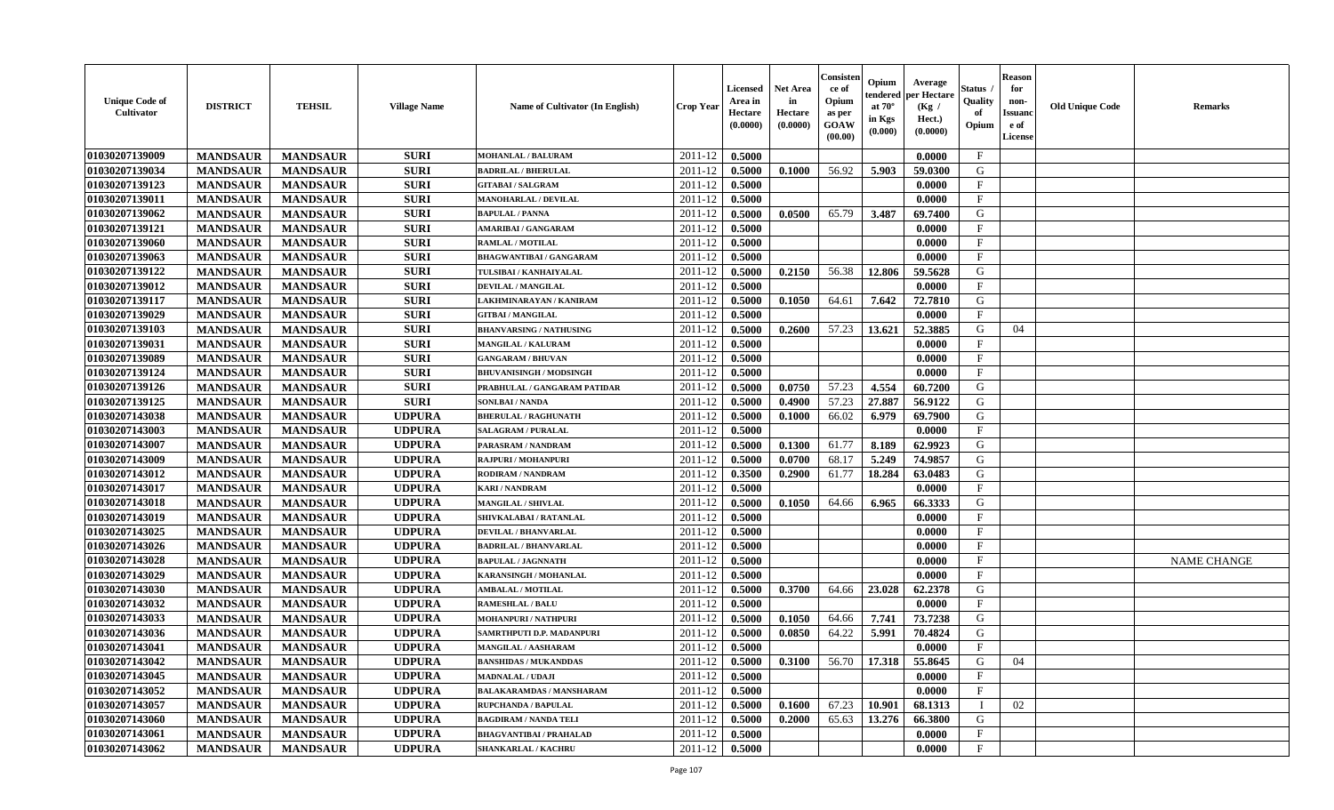| <b>Unique Code of</b><br><b>Cultivator</b> | <b>DISTRICT</b> | <b>TEHSIL</b>   | <b>Village Name</b> | Name of Cultivator (In English) | <b>Crop Year</b>   | <b>Licensed</b><br>Area in<br>Hectare<br>(0.0000) | <b>Net Area</b><br>in<br>Hectare<br>(0.0000) | Consisteı<br>ce of<br>Opium<br>as per<br><b>GOAW</b><br>(00.00) | Opium<br>endered<br>at $70^\circ$<br>in Kgs<br>$(\mathbf{0.000})$ | Average<br>per Hectare<br>(Kg /<br>Hect.)<br>(0.0000) | Status<br>Quality<br>of<br>Opium | <b>Reason</b><br>for<br>non-<br>Issuan<br>e of<br>License | <b>Old Unique Code</b> | <b>Remarks</b>     |
|--------------------------------------------|-----------------|-----------------|---------------------|---------------------------------|--------------------|---------------------------------------------------|----------------------------------------------|-----------------------------------------------------------------|-------------------------------------------------------------------|-------------------------------------------------------|----------------------------------|-----------------------------------------------------------|------------------------|--------------------|
| 01030207139009                             | <b>MANDSAUR</b> | <b>MANDSAUR</b> | <b>SURI</b>         | <b>MOHANLAL / BALURAM</b>       | 2011-12            | 0.5000                                            |                                              |                                                                 |                                                                   | 0.0000                                                | $\mathbf{F}$                     |                                                           |                        |                    |
| 01030207139034                             | <b>MANDSAUR</b> | <b>MANDSAUR</b> | <b>SURI</b>         | <b>BADRILAL / BHERULAL</b>      | 2011-12            | 0.5000                                            | 0.1000                                       | 56.92                                                           | 5.903                                                             | 59.0300                                               | G                                |                                                           |                        |                    |
| 01030207139123                             | <b>MANDSAUR</b> | <b>MANDSAUR</b> | <b>SURI</b>         | <b>GITABAI/SALGRAM</b>          | 2011-12            | 0.5000                                            |                                              |                                                                 |                                                                   | 0.0000                                                | $\mathbf{F}$                     |                                                           |                        |                    |
| 01030207139011                             | <b>MANDSAUR</b> | <b>MANDSAUR</b> | <b>SURI</b>         | MANOHARLAL / DEVILAL            | 2011-12            | 0.5000                                            |                                              |                                                                 |                                                                   | 0.0000                                                | $\mathbf{F}$                     |                                                           |                        |                    |
| 01030207139062                             | <b>MANDSAUR</b> | <b>MANDSAUR</b> | <b>SURI</b>         | <b>BAPULAL / PANNA</b>          | 2011-12            | 0.5000                                            | 0.0500                                       | 65.79                                                           | 3.487                                                             | 69.7400                                               | G                                |                                                           |                        |                    |
| 01030207139121                             | <b>MANDSAUR</b> | <b>MANDSAUR</b> | <b>SURI</b>         | <b>AMARIBAI / GANGARAM</b>      | 2011-12            | 0.5000                                            |                                              |                                                                 |                                                                   | 0.0000                                                | $\mathbf{F}$                     |                                                           |                        |                    |
| 01030207139060                             | <b>MANDSAUR</b> | <b>MANDSAUR</b> | <b>SURI</b>         | <b>RAMLAL / MOTILAL</b>         | 2011-12            | 0.5000                                            |                                              |                                                                 |                                                                   | 0.0000                                                | $\mathbf{F}$                     |                                                           |                        |                    |
| 01030207139063                             | <b>MANDSAUR</b> | <b>MANDSAUR</b> | <b>SURI</b>         | <b>BHAGWANTIBAI/GANGARAM</b>    | 2011-12            | 0.5000                                            |                                              |                                                                 |                                                                   | 0.0000                                                | $\mathbf{F}$                     |                                                           |                        |                    |
| 01030207139122                             | <b>MANDSAUR</b> | <b>MANDSAUR</b> | <b>SURI</b>         | TULSIBAI / KANHAIYALAL          | 2011-12            | 0.5000                                            | 0.2150                                       | 56.38                                                           | 12.806                                                            | 59.5628                                               | G                                |                                                           |                        |                    |
| 01030207139012                             | <b>MANDSAUR</b> | <b>MANDSAUR</b> | <b>SURI</b>         | DEVILAL / MANGILAL              | 2011-12            | 0.5000                                            |                                              |                                                                 |                                                                   | 0.0000                                                | $\mathbf{F}$                     |                                                           |                        |                    |
| 01030207139117                             | <b>MANDSAUR</b> | <b>MANDSAUR</b> | <b>SURI</b>         | LAKHMINARAYAN / KANIRAM         | 2011-12            | 0.5000                                            | 0.1050                                       | 64.61                                                           | 7.642                                                             | 72.7810                                               | G                                |                                                           |                        |                    |
| 01030207139029                             | <b>MANDSAUR</b> | <b>MANDSAUR</b> | <b>SURI</b>         | <b>GITBAI/MANGILAL</b>          | 2011-12            | 0.5000                                            |                                              |                                                                 |                                                                   | 0.0000                                                | $\mathbf{F}$                     |                                                           |                        |                    |
| 01030207139103                             | <b>MANDSAUR</b> | <b>MANDSAUR</b> | <b>SURI</b>         | <b>BHANVARSING / NATHUSING</b>  | 2011-12            | 0.5000                                            | 0.2600                                       | 57.23                                                           | 13.621                                                            | 52.3885                                               | G                                | 04                                                        |                        |                    |
| 01030207139031                             | <b>MANDSAUR</b> | <b>MANDSAUR</b> | <b>SURI</b>         | MANGILAL / KALURAM              | 2011-12            | 0.5000                                            |                                              |                                                                 |                                                                   | 0.0000                                                | $_{\rm F}$                       |                                                           |                        |                    |
| 01030207139089                             | <b>MANDSAUR</b> | <b>MANDSAUR</b> | <b>SURI</b>         | <b>GANGARAM / BHUVAN</b>        | 2011-12            | 0.5000                                            |                                              |                                                                 |                                                                   | 0.0000                                                | $\mathbf{F}$                     |                                                           |                        |                    |
| 01030207139124                             | <b>MANDSAUR</b> | <b>MANDSAUR</b> | <b>SURI</b>         | <b>BHUVANISINGH / MODSINGH</b>  | 2011-12            | 0.5000                                            |                                              |                                                                 |                                                                   | 0.0000                                                | $_{\rm F}$                       |                                                           |                        |                    |
| 01030207139126                             | <b>MANDSAUR</b> | <b>MANDSAUR</b> | <b>SURI</b>         | PRABHULAL / GANGARAM PATIDAR    | 2011-12            | 0.5000                                            | 0.0750                                       | 57.23                                                           | 4.554                                                             | 60.7200                                               | G                                |                                                           |                        |                    |
| 01030207139125                             | <b>MANDSAUR</b> | <b>MANDSAUR</b> | <b>SURI</b>         | <b>SONLBAI/NANDA</b>            | 2011-12            | 0.5000                                            | 0.4900                                       | 57.23                                                           | 27.887                                                            | 56.9122                                               | G                                |                                                           |                        |                    |
| 01030207143038                             | <b>MANDSAUR</b> | <b>MANDSAUR</b> | <b>UDPURA</b>       | <b>BHERULAL / RAGHUNATH</b>     | 2011-12            | 0.5000                                            | 0.1000                                       | 66.02                                                           | 6.979                                                             | 69.7900                                               | G                                |                                                           |                        |                    |
| 01030207143003                             | <b>MANDSAUR</b> | <b>MANDSAUR</b> | <b>UDPURA</b>       | <b>SALAGRAM / PURALAL</b>       | 2011-12            | 0.5000                                            |                                              |                                                                 |                                                                   | 0.0000                                                | F                                |                                                           |                        |                    |
| 01030207143007                             | <b>MANDSAUR</b> | <b>MANDSAUR</b> | <b>UDPURA</b>       | PARASRAM / NANDRAM              | 2011-12            | 0.5000                                            | 0.1300                                       | 61.77                                                           | 8.189                                                             | 62.9923                                               | G                                |                                                           |                        |                    |
| 01030207143009                             | <b>MANDSAUR</b> | <b>MANDSAUR</b> | <b>UDPURA</b>       | RAJPURI / MOHANPURI             | 2011-12            | 0.5000                                            | 0.0700                                       | 68.17                                                           | 5.249                                                             | 74.9857                                               | G                                |                                                           |                        |                    |
| 01030207143012                             | <b>MANDSAUR</b> | <b>MANDSAUR</b> | <b>UDPURA</b>       | RODIRAM / NANDRAM               | 2011-12            | 0.3500                                            | 0.2900                                       | 61.77                                                           | 18.284                                                            | 63.0483                                               | G                                |                                                           |                        |                    |
| 01030207143017                             | <b>MANDSAUR</b> | <b>MANDSAUR</b> | <b>UDPURA</b>       | <b>KARI / NANDRAM</b>           | 2011-12            | 0.5000                                            |                                              |                                                                 |                                                                   | 0.0000                                                | $\mathbf{F}$                     |                                                           |                        |                    |
| 01030207143018                             | <b>MANDSAUR</b> | <b>MANDSAUR</b> | <b>UDPURA</b>       | <b>MANGILAL / SHIVLAL</b>       | 2011-12            | 0.5000                                            | 0.1050                                       | 64.66                                                           | 6.965                                                             | 66.3333                                               | G                                |                                                           |                        |                    |
| 01030207143019                             | <b>MANDSAUR</b> | <b>MANDSAUR</b> | <b>UDPURA</b>       | SHIVKALABAI / RATANLAL          | 2011-12            | 0.5000                                            |                                              |                                                                 |                                                                   | 0.0000                                                | $\mathbf{F}$                     |                                                           |                        |                    |
| 01030207143025                             | <b>MANDSAUR</b> | <b>MANDSAUR</b> | <b>UDPURA</b>       | DEVILAL / BHANVARLAL            | 2011-12            | 0.5000                                            |                                              |                                                                 |                                                                   | 0.0000                                                | $_{\rm F}$                       |                                                           |                        |                    |
| 01030207143026                             | <b>MANDSAUR</b> | <b>MANDSAUR</b> | <b>UDPURA</b>       | <b>BADRILAL / BHANVARLAL</b>    | 2011-12            | 0.5000                                            |                                              |                                                                 |                                                                   | 0.0000                                                | $\mathbf{F}$                     |                                                           |                        |                    |
| 01030207143028                             | <b>MANDSAUR</b> | <b>MANDSAUR</b> | <b>UDPURA</b>       | <b>BAPULAL / JAGNNATH</b>       | 2011-12            | 0.5000                                            |                                              |                                                                 |                                                                   | 0.0000                                                | $\mathbf{F}$                     |                                                           |                        | <b>NAME CHANGE</b> |
| 01030207143029                             | <b>MANDSAUR</b> | <b>MANDSAUR</b> | <b>UDPURA</b>       | KARANSINGH / MOHANLAL           | 2011-12            | 0.5000                                            |                                              |                                                                 |                                                                   | 0.0000                                                | $_{\rm F}$                       |                                                           |                        |                    |
| 01030207143030                             | <b>MANDSAUR</b> | <b>MANDSAUR</b> | <b>UDPURA</b>       | <b>AMBALAL / MOTILAL</b>        | 2011-12            | 0.5000                                            | 0.3700                                       | 64.66                                                           | 23.028                                                            | 62.2378                                               | G                                |                                                           |                        |                    |
| 01030207143032                             | <b>MANDSAUR</b> | <b>MANDSAUR</b> | <b>UDPURA</b>       | <b>RAMESHLAL / BALU</b>         | 2011-12            | 0.5000                                            |                                              |                                                                 |                                                                   | 0.0000                                                | $\mathbf{F}$                     |                                                           |                        |                    |
| 01030207143033                             | <b>MANDSAUR</b> | <b>MANDSAUR</b> | <b>UDPURA</b>       | MOHANPURI / NATHPURI            | 2011-12            | 0.5000                                            | 0.1050                                       | 64.66                                                           | 7.741                                                             | 73.7238                                               | G                                |                                                           |                        |                    |
| 01030207143036                             | <b>MANDSAUR</b> | <b>MANDSAUR</b> | <b>UDPURA</b>       | SAMRTHPUTI D.P. MADANPURI       | 2011-12            | 0.5000                                            | 0.0850                                       | 64.22                                                           | 5.991                                                             | 70.4824                                               | G                                |                                                           |                        |                    |
| 01030207143041                             | <b>MANDSAUR</b> | <b>MANDSAUR</b> | <b>UDPURA</b>       | MANGILAL / AASHARAM             | 2011-12            | 0.5000                                            |                                              |                                                                 |                                                                   | 0.0000                                                | $\mathbf{F}$                     |                                                           |                        |                    |
| 01030207143042                             | <b>MANDSAUR</b> | <b>MANDSAUR</b> | <b>UDPURA</b>       | <b>BANSHIDAS / MUKANDDAS</b>    | $2011 - 12$ 0.5000 |                                                   | 0.3100                                       |                                                                 |                                                                   | 56.70   17.318   55.8645                              | G                                | 04                                                        |                        |                    |
| 01030207143045                             | <b>MANDSAUR</b> | <b>MANDSAUR</b> | <b>UDPURA</b>       | <b>MADNALAL / UDAJI</b>         | 2011-12            | 0.5000                                            |                                              |                                                                 |                                                                   | 0.0000                                                | $\mathbf{F}$                     |                                                           |                        |                    |
| 01030207143052                             | <b>MANDSAUR</b> | <b>MANDSAUR</b> | <b>UDPURA</b>       | <b>BALAKARAMDAS / MANSHARAM</b> | 2011-12            | 0.5000                                            |                                              |                                                                 |                                                                   | 0.0000                                                | $\mathbf F$                      |                                                           |                        |                    |
| 01030207143057                             | <b>MANDSAUR</b> | <b>MANDSAUR</b> | <b>UDPURA</b>       | <b>RUPCHANDA / BAPULAL</b>      | 2011-12            | 0.5000                                            | 0.1600                                       | 67.23                                                           | 10.901                                                            | 68.1313                                               |                                  | 02                                                        |                        |                    |
| 01030207143060                             | <b>MANDSAUR</b> | <b>MANDSAUR</b> | <b>UDPURA</b>       | <b>BAGDIRAM / NANDA TELI</b>    | 2011-12            | 0.5000                                            | 0.2000                                       | 65.63                                                           | 13.276                                                            | 66.3800                                               | G                                |                                                           |                        |                    |
| 01030207143061                             | <b>MANDSAUR</b> | <b>MANDSAUR</b> | <b>UDPURA</b>       | <b>BHAGVANTIBAI / PRAHALAD</b>  | 2011-12            | 0.5000                                            |                                              |                                                                 |                                                                   | 0.0000                                                | $\mathbf{F}$                     |                                                           |                        |                    |
| 01030207143062                             | <b>MANDSAUR</b> | <b>MANDSAUR</b> | <b>UDPURA</b>       | <b>SHANKARLAL / KACHRU</b>      | 2011-12            | 0.5000                                            |                                              |                                                                 |                                                                   | 0.0000                                                | $\mathbf{F}$                     |                                                           |                        |                    |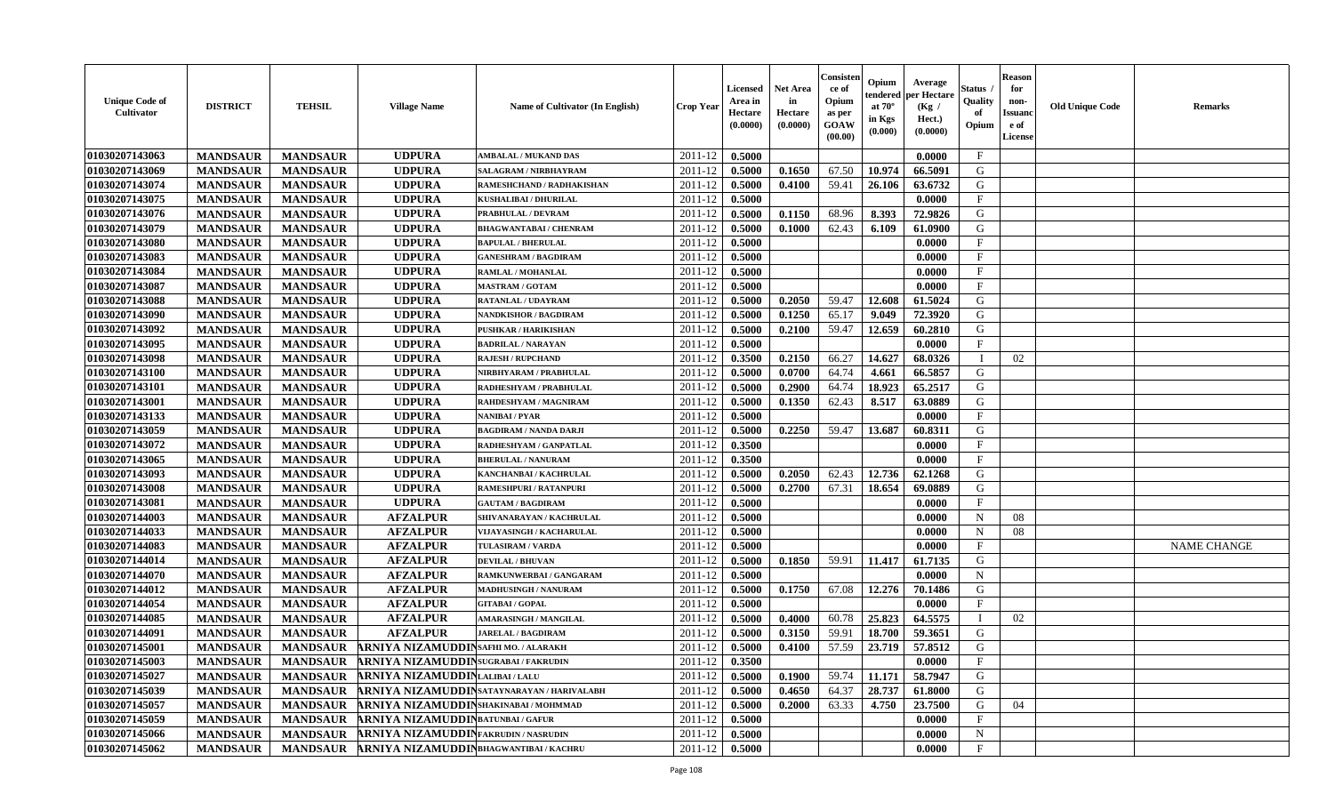| <b>Unique Code of</b><br>Cultivator | <b>DISTRICT</b> | <b>TEHSIL</b>   | <b>Village Name</b>                         | Name of Cultivator (In English)            | <b>Crop Year</b> | Licensed<br>Area in<br>Hectare<br>(0.0000) | <b>Net Area</b><br>in<br>Hectare<br>(0.0000) | Consister<br>ce of<br>Opium<br>as per<br><b>GOAW</b><br>(00.00) | Opium<br>endered<br>at $70^\circ$<br>in Kgs<br>(0.000) | Average<br>per Hectare<br>(Kg /<br>Hect.)<br>(0.0000) | Status<br>Quality<br>of<br>Opium | <b>Reason</b><br>for<br>non-<br><b>Issuano</b><br>e of<br>License | <b>Old Unique Code</b> | <b>Remarks</b>     |
|-------------------------------------|-----------------|-----------------|---------------------------------------------|--------------------------------------------|------------------|--------------------------------------------|----------------------------------------------|-----------------------------------------------------------------|--------------------------------------------------------|-------------------------------------------------------|----------------------------------|-------------------------------------------------------------------|------------------------|--------------------|
| 01030207143063                      | <b>MANDSAUR</b> | <b>MANDSAUR</b> | <b>UDPURA</b>                               | <b>AMBALAL / MUKAND DAS</b>                | 2011-12          | 0.5000                                     |                                              |                                                                 |                                                        | 0.0000                                                | $\mathbf{F}$                     |                                                                   |                        |                    |
| 01030207143069                      | <b>MANDSAUR</b> | <b>MANDSAUR</b> | <b>UDPURA</b>                               | SALAGRAM / NIRBHAYRAM                      | 2011-12          | 0.5000                                     | 0.1650                                       | 67.50                                                           | 10.97                                                  | 66.5091                                               | G                                |                                                                   |                        |                    |
| 01030207143074                      | <b>MANDSAUR</b> | <b>MANDSAUR</b> | <b>UDPURA</b>                               | RAMESHCHAND / RADHAKISHAN                  | 2011-12          | 0.5000                                     | 0.4100                                       | 59.41                                                           | 26.106                                                 | 63.6732                                               | G                                |                                                                   |                        |                    |
| 01030207143075                      | <b>MANDSAUR</b> | <b>MANDSAUR</b> | <b>UDPURA</b>                               | KUSHALIBAI / DHURILAL                      | 2011-12          | 0.5000                                     |                                              |                                                                 |                                                        | 0.0000                                                | $\mathbf F$                      |                                                                   |                        |                    |
| 01030207143076                      | <b>MANDSAUR</b> | <b>MANDSAUR</b> | <b>UDPURA</b>                               | PRABHULAL / DEVRAM                         | 2011-12          | 0.5000                                     | 0.1150                                       | 68.96                                                           | 8.393                                                  | 72.9826                                               | G                                |                                                                   |                        |                    |
| 01030207143079                      | <b>MANDSAUR</b> | <b>MANDSAUR</b> | <b>UDPURA</b>                               | <b>BHAGWANTABAI / CHENRAM</b>              | 2011-12          | 0.5000                                     | 0.1000                                       | 62.43                                                           | 6.109                                                  | 61.0900                                               | G                                |                                                                   |                        |                    |
| 01030207143080                      | <b>MANDSAUR</b> | <b>MANDSAUR</b> | <b>UDPURA</b>                               | <b>BAPULAL / BHERULAL</b>                  | 2011-12          | 0.5000                                     |                                              |                                                                 |                                                        | 0.0000                                                | $\mathbf{F}$                     |                                                                   |                        |                    |
| 01030207143083                      | <b>MANDSAUR</b> | <b>MANDSAUR</b> | <b>UDPURA</b>                               | <b>GANESHRAM / BAGDIRAM</b>                | 2011-12          | 0.5000                                     |                                              |                                                                 |                                                        | 0.0000                                                | $\mathbf{F}$                     |                                                                   |                        |                    |
| 01030207143084                      | <b>MANDSAUR</b> | <b>MANDSAUR</b> | <b>UDPURA</b>                               | RAMLAL / MOHANLAL                          | 2011-12          | 0.5000                                     |                                              |                                                                 |                                                        | 0.0000                                                | $_{\rm F}$                       |                                                                   |                        |                    |
| 01030207143087                      | <b>MANDSAUR</b> | <b>MANDSAUR</b> | <b>UDPURA</b>                               | <b>MASTRAM / GOTAM</b>                     | 2011-12          | 0.5000                                     |                                              |                                                                 |                                                        | 0.0000                                                | F                                |                                                                   |                        |                    |
| 01030207143088                      | <b>MANDSAUR</b> | <b>MANDSAUR</b> | <b>UDPURA</b>                               | RATANLAL / UDAYRAM                         | 2011-12          | 0.5000                                     | 0.2050                                       | 59.47                                                           | 12.608                                                 | 61.5024                                               | G                                |                                                                   |                        |                    |
| 01030207143090                      | <b>MANDSAUR</b> | <b>MANDSAUR</b> | <b>UDPURA</b>                               | <b>NANDKISHOR / BAGDIRAM</b>               | 2011-12          | 0.5000                                     | 0.1250                                       | 65.17                                                           | 9.049                                                  | 72.3920                                               | G                                |                                                                   |                        |                    |
| 01030207143092                      | <b>MANDSAUR</b> | <b>MANDSAUR</b> | <b>UDPURA</b>                               | PUSHKAR / HARIKISHAN                       | 2011-12          | 0.5000                                     | 0.2100                                       | 59.47                                                           | 12.659                                                 | 60.2810                                               | G                                |                                                                   |                        |                    |
| 01030207143095                      | <b>MANDSAUR</b> | <b>MANDSAUR</b> | <b>UDPURA</b>                               | <b>BADRILAL / NARAYAN</b>                  | 2011-12          | 0.5000                                     |                                              |                                                                 |                                                        | 0.0000                                                | $\mathbf{F}$                     |                                                                   |                        |                    |
| 01030207143098                      | <b>MANDSAUR</b> | <b>MANDSAUR</b> | <b>UDPURA</b>                               | <b>RAJESH / RUPCHAND</b>                   | 2011-12          | 0.3500                                     | 0.2150                                       | 66.27                                                           | 14.627                                                 | 68.0326                                               |                                  | 02                                                                |                        |                    |
| 01030207143100                      | <b>MANDSAUR</b> | <b>MANDSAUR</b> | <b>UDPURA</b>                               | NIRBHYARAM / PRABHULAL                     | 2011-12          | 0.5000                                     | 0.0700                                       | 64.74                                                           | 4.661                                                  | 66.5857                                               | G                                |                                                                   |                        |                    |
| 01030207143101                      | <b>MANDSAUR</b> | <b>MANDSAUR</b> | <b>UDPURA</b>                               | RADHESHYAM / PRABHULAL                     | 2011-12          | 0.5000                                     | 0.2900                                       | 64.74                                                           | 18.923                                                 | 65.2517                                               | G                                |                                                                   |                        |                    |
| 01030207143001                      | <b>MANDSAUR</b> | <b>MANDSAUR</b> | <b>UDPURA</b>                               | RAHDESHYAM / MAGNIRAM                      | 2011-12          | 0.5000                                     | 0.1350                                       | 62.43                                                           | 8.517                                                  | 63.0889                                               | G                                |                                                                   |                        |                    |
| 01030207143133                      | <b>MANDSAUR</b> | <b>MANDSAUR</b> | <b>UDPURA</b>                               | <b>NANIBAI/PYAR</b>                        | 2011-12          | 0.5000                                     |                                              |                                                                 |                                                        | 0.0000                                                | F                                |                                                                   |                        |                    |
| 01030207143059                      | <b>MANDSAUR</b> | <b>MANDSAUR</b> | <b>UDPURA</b>                               | <b>BAGDIRAM / NANDA DARJI</b>              | 2011-12          | 0.5000                                     | 0.2250                                       | 59.47                                                           | 13.687                                                 | 60.8311                                               | G                                |                                                                   |                        |                    |
| 01030207143072                      | <b>MANDSAUR</b> | <b>MANDSAUR</b> | <b>UDPURA</b>                               | RADHESHYAM / GANPATLAL                     | 2011-12          | 0.3500                                     |                                              |                                                                 |                                                        | 0.0000                                                | F                                |                                                                   |                        |                    |
| 01030207143065                      | <b>MANDSAUR</b> | <b>MANDSAUR</b> | <b>UDPURA</b>                               | <b>BHERULAL / NANURAM</b>                  | 2011-12          | 0.3500                                     |                                              |                                                                 |                                                        | 0.0000                                                | $\mathbf{F}$                     |                                                                   |                        |                    |
| 01030207143093                      | <b>MANDSAUR</b> | <b>MANDSAUR</b> | <b>UDPURA</b>                               | KANCHANBAI / KACHRULAL                     | 2011-12          | 0.5000                                     | 0.2050                                       | 62.43                                                           | 12.736                                                 | 62.1268                                               | G                                |                                                                   |                        |                    |
| 01030207143008                      | <b>MANDSAUR</b> | <b>MANDSAUR</b> | <b>UDPURA</b>                               | <b>RAMESHPURI / RATANPURI</b>              | 2011-12          | 0.5000                                     | 0.2700                                       | 67.31                                                           | 18.654                                                 | 69.0889                                               | G                                |                                                                   |                        |                    |
| 01030207143081                      | <b>MANDSAUR</b> | <b>MANDSAUR</b> | <b>UDPURA</b>                               | <b>GAUTAM / BAGDIRAM</b>                   | 2011-12          | 0.5000                                     |                                              |                                                                 |                                                        | 0.0000                                                | $\mathbf{F}$                     |                                                                   |                        |                    |
| 01030207144003                      | <b>MANDSAUR</b> | <b>MANDSAUR</b> | <b>AFZALPUR</b>                             | SHIVANARAYAN / KACHRULAL                   | 2011-12          | 0.5000                                     |                                              |                                                                 |                                                        | 0.0000                                                | N                                | 08                                                                |                        |                    |
| 01030207144033                      | <b>MANDSAUR</b> | <b>MANDSAUR</b> | <b>AFZALPUR</b>                             | VIJAYASINGH / KACHARULAL                   | 2011-12          | 0.5000                                     |                                              |                                                                 |                                                        | 0.0000                                                | N                                | 08                                                                |                        |                    |
| 01030207144083                      | <b>MANDSAUR</b> | <b>MANDSAUR</b> | <b>AFZALPUR</b>                             | <b>TULASIRAM / VARDA</b>                   | 2011-12          | 0.5000                                     |                                              |                                                                 |                                                        | 0.0000                                                | $\mathbf{F}$                     |                                                                   |                        | <b>NAME CHANGE</b> |
| 01030207144014                      | <b>MANDSAUR</b> | <b>MANDSAUR</b> | <b>AFZALPUR</b>                             | <b>DEVILAL / BHUVAN</b>                    | 2011-12          | 0.5000                                     | 0.1850                                       | 59.91                                                           | 11.417                                                 | 61.7135                                               | G                                |                                                                   |                        |                    |
| 01030207144070                      | <b>MANDSAUR</b> | <b>MANDSAUR</b> | <b>AFZALPUR</b>                             | RAMKUNWERBAI / GANGARAM                    | 2011-12          | 0.5000                                     |                                              |                                                                 |                                                        | 0.0000                                                | $\mathbf N$                      |                                                                   |                        |                    |
| 01030207144012                      | <b>MANDSAUR</b> | <b>MANDSAUR</b> | <b>AFZALPUR</b>                             | <b>MADHUSINGH / NANURAM</b>                | 2011-12          | 0.5000                                     | 0.1750                                       | 67.08                                                           | 12.276                                                 | 70.1486                                               | G                                |                                                                   |                        |                    |
| 01030207144054                      | <b>MANDSAUR</b> | <b>MANDSAUR</b> | <b>AFZALPUR</b>                             | <b>GITABAI/GOPAL</b>                       | 2011-12          | 0.5000                                     |                                              |                                                                 |                                                        | 0.0000                                                | $\mathbf F$                      |                                                                   |                        |                    |
| 01030207144085                      | <b>MANDSAUR</b> | <b>MANDSAUR</b> | <b>AFZALPUR</b>                             | <b>AMARASINGH / MANGILAL</b>               | 2011-12          | 0.5000                                     | 0.4000                                       | 60.78                                                           | 25.823                                                 | 64.5575                                               | - 1                              | 02                                                                |                        |                    |
| 01030207144091                      | <b>MANDSAUR</b> | <b>MANDSAUR</b> | <b>AFZALPUR</b>                             | <b>JARELAL / BAGDIRAM</b>                  | 2011-12          | 0.5000                                     | 0.3150                                       | 59.91                                                           | 18.700                                                 | 59.3651                                               | G                                |                                                                   |                        |                    |
| 01030207145001                      | <b>MANDSAUR</b> | <b>MANDSAUR</b> | ARNIYA NIZAMUDDIN SAFHI MO. / ALARAKH       |                                            | $2011 - 12$      | 0.5000                                     | 0.4100                                       | 57.59                                                           | 23.719                                                 | 57.8512                                               | G                                |                                                                   |                        |                    |
| 01030207145003                      | <b>MANDSAUR</b> |                 | MANDSAUR ARNIYA NIZAMUDDINSUGRABAI/FAKRUDIN |                                            | $2011-12$ 0.3500 |                                            |                                              |                                                                 |                                                        | 0.0000                                                | F                                |                                                                   |                        |                    |
| 01030207145027                      | <b>MANDSAUR</b> | <b>MANDSAUR</b> | ARNIYA NIZAMUDDINLALIBAI/LALU               |                                            | 2011-12          | 0.5000                                     | 0.1900                                       | 59.74                                                           | 11.171                                                 | 58.7947                                               | G                                |                                                                   |                        |                    |
| 01030207145039                      | <b>MANDSAUR</b> | <b>MANDSAUR</b> |                                             | ARNIYA NIZAMUDDINSATAYNARAYAN / HARIVALABH | 2011-12          | 0.5000                                     | 0.4650                                       | 64.37                                                           | 28.737                                                 | 61.8000                                               | G                                |                                                                   |                        |                    |
| 01030207145057                      | <b>MANDSAUR</b> | <b>MANDSAUR</b> | ARNIYA NIZAMUDDINSHAKINABAI/MOHMMAD         |                                            | 2011-12          | 0.5000                                     | 0.2000                                       | 63.33                                                           | 4.750                                                  | 23.7500                                               | G                                | 04                                                                |                        |                    |
| 01030207145059                      | <b>MANDSAUR</b> | <b>MANDSAUR</b> | ARNIYA NIZAMUDDINBATUNBAI/ GAFUR            |                                            | 2011-12          | 0.5000                                     |                                              |                                                                 |                                                        | 0.0000                                                | $\mathbf{F}$                     |                                                                   |                        |                    |
| 01030207145066                      | <b>MANDSAUR</b> | <b>MANDSAUR</b> | ARNIYA NIZAMUDDIN FAKRUDIN / NASRUDIN       |                                            | 2011-12          | 0.5000                                     |                                              |                                                                 |                                                        | 0.0000                                                | $\mathbf N$                      |                                                                   |                        |                    |
| 01030207145062                      | <b>MANDSAUR</b> | <b>MANDSAUR</b> | ARNIYA NIZAMUDDIN BHAGWANTIBAI / KACHRU     |                                            | 2011-12          | 0.5000                                     |                                              |                                                                 |                                                        | 0.0000                                                | $\mathbf{F}$                     |                                                                   |                        |                    |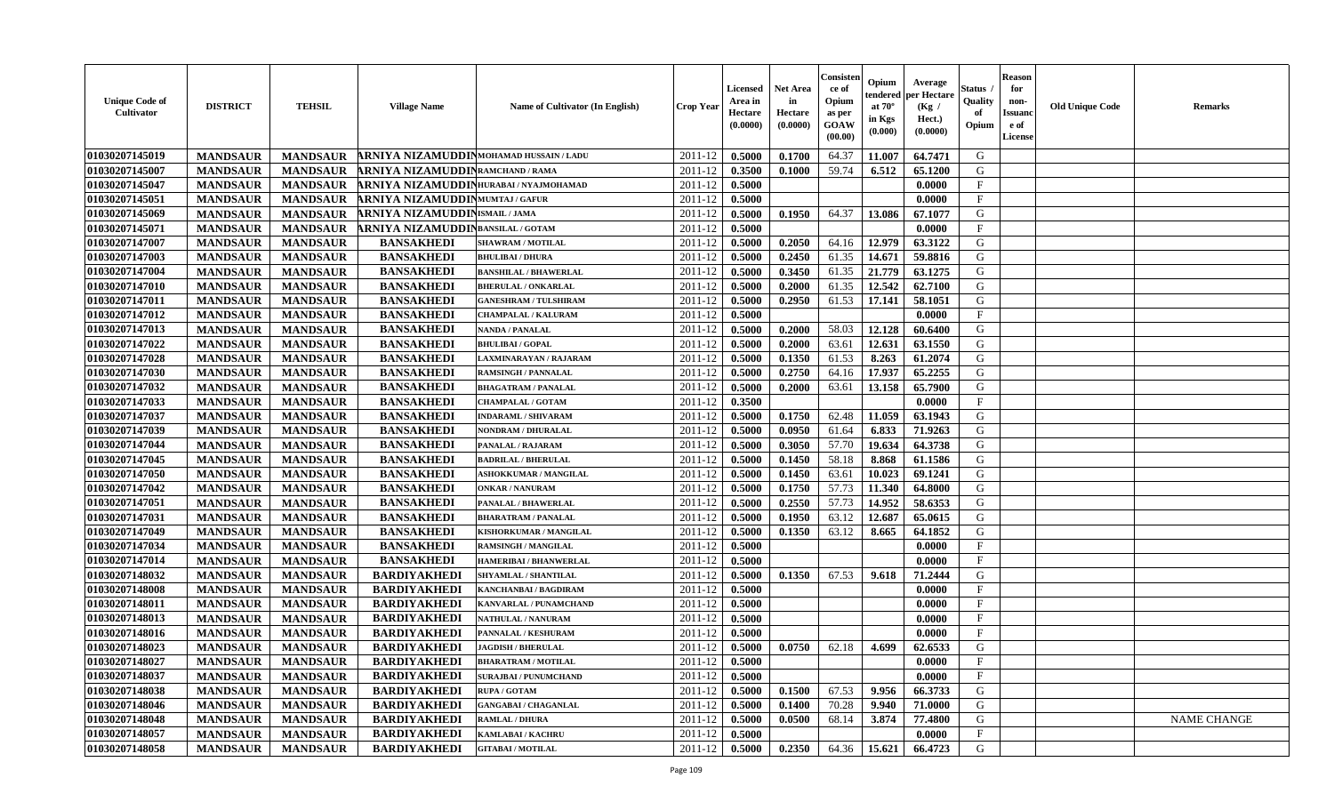| <b>Unique Code of</b><br><b>Cultivator</b> | <b>DISTRICT</b> | <b>TEHSIL</b>   | <b>Village Name</b>                      | Name of Cultivator (In English) | <b>Crop Year</b> | <b>Licensed</b><br>Area in<br>Hectare<br>(0.0000) | <b>Net Area</b><br>in<br>Hectare<br>(0.0000) | Consisteı<br>ce of<br>Opium<br>as per<br><b>GOAW</b><br>(00.00) | Opium<br>endered<br>at $70^\circ$<br>in Kgs<br>$(\mathbf{0.000})$ | Average<br>per Hectare<br>(Kg /<br>Hect.)<br>(0.0000) | Status<br>Quality<br>of<br>Opium | <b>Reason</b><br>for<br>non-<br>Issuan<br>e of<br>License | <b>Old Unique Code</b> | <b>Remarks</b>     |
|--------------------------------------------|-----------------|-----------------|------------------------------------------|---------------------------------|------------------|---------------------------------------------------|----------------------------------------------|-----------------------------------------------------------------|-------------------------------------------------------------------|-------------------------------------------------------|----------------------------------|-----------------------------------------------------------|------------------------|--------------------|
| 01030207145019                             | <b>MANDSAUR</b> | <b>MANDSAUR</b> | ARNIYA NIZAMUDDINMOHAMAD HUSSAIN / LADU  |                                 | 2011-12          | 0.5000                                            | 0.1700                                       | 64.37                                                           | 11.007                                                            | 64.7471                                               | G                                |                                                           |                        |                    |
| 01030207145007                             | <b>MANDSAUR</b> | <b>MANDSAUR</b> | ARNIYA NIZAMUDDINRAMCHAND / RAMA         |                                 | 2011-12          | 0.3500                                            | 0.1000                                       | 59.74                                                           | 6.512                                                             | 65.1200                                               | G                                |                                                           |                        |                    |
| 01030207145047                             | <b>MANDSAUR</b> | <b>MANDSAUR</b> | ARNIYA NIZAMUDDIN HURABAI / NYAJMOHAMAD  |                                 | 2011-12          | 0.5000                                            |                                              |                                                                 |                                                                   | 0.0000                                                | $\mathbf{F}$                     |                                                           |                        |                    |
| 01030207145051                             | <b>MANDSAUR</b> | <b>MANDSAUR</b> | <b>ARNIYA NIZAMUDDINMUMTAJ/GAFUR</b>     |                                 | 2011-12          | 0.5000                                            |                                              |                                                                 |                                                                   | 0.0000                                                | $\mathbf{F}$                     |                                                           |                        |                    |
| 01030207145069                             | <b>MANDSAUR</b> | <b>MANDSAUR</b> | <b>RNIYA NIZAMUDDIN</b> ISMAIL/JAMA      |                                 | 2011-12          | 0.5000                                            | 0.1950                                       | 64.37                                                           | 13.086                                                            | 67.1077                                               | G                                |                                                           |                        |                    |
| 01030207145071                             | <b>MANDSAUR</b> | <b>MANDSAUR</b> | <b>ARNIYA NIZAMUDDINBANSILAL / GOTAM</b> |                                 | 2011-12          | 0.5000                                            |                                              |                                                                 |                                                                   | 0.0000                                                | $\mathbf{F}$                     |                                                           |                        |                    |
| 01030207147007                             | <b>MANDSAUR</b> | <b>MANDSAUR</b> | <b>BANSAKHEDI</b>                        | <b>SHAWRAM / MOTILAL</b>        | 2011-12          | 0.5000                                            | 0.2050                                       | 64.16                                                           | 12.979                                                            | 63.3122                                               | G                                |                                                           |                        |                    |
| 01030207147003                             | <b>MANDSAUR</b> | <b>MANDSAUR</b> | <b>BANSAKHEDI</b>                        | <b>BHULIBAI / DHURA</b>         | 2011-12          | 0.5000                                            | 0.2450                                       | 61.35                                                           | 14.671                                                            | 59.8816                                               | G                                |                                                           |                        |                    |
| 01030207147004                             | <b>MANDSAUR</b> | <b>MANDSAUR</b> | <b>BANSAKHEDI</b>                        | <b>BANSHILAL / BHAWERLAL</b>    | 2011-12          | 0.5000                                            | 0.3450                                       | 61.35                                                           | 21.779                                                            | 63.1275                                               | G                                |                                                           |                        |                    |
| 01030207147010                             | <b>MANDSAUR</b> | <b>MANDSAUR</b> | <b>BANSAKHEDI</b>                        | <b>BHERULAL / ONKARLAL</b>      | 2011-12          | 0.5000                                            | 0.2000                                       | 61.35                                                           | 12.542                                                            | 62.7100                                               | G                                |                                                           |                        |                    |
| 01030207147011                             | <b>MANDSAUR</b> | <b>MANDSAUR</b> | <b>BANSAKHEDI</b>                        | <b>GANESHRAM / TULSHIRAM</b>    | 2011-12          | 0.5000                                            | 0.2950                                       | 61.53                                                           | 17.141                                                            | 58.1051                                               | G                                |                                                           |                        |                    |
| 01030207147012                             | <b>MANDSAUR</b> | <b>MANDSAUR</b> | <b>BANSAKHEDI</b>                        | <b>CHAMPALAL / KALURAM</b>      | 2011-12          | 0.5000                                            |                                              |                                                                 |                                                                   | 0.0000                                                | $\mathbf{F}$                     |                                                           |                        |                    |
| 01030207147013                             | <b>MANDSAUR</b> | <b>MANDSAUR</b> | <b>BANSAKHEDI</b>                        | <b>NANDA / PANALAL</b>          | 2011-12          | 0.5000                                            | 0.2000                                       | 58.03                                                           | 12.128                                                            | 60.6400                                               | G                                |                                                           |                        |                    |
| 01030207147022                             | <b>MANDSAUR</b> | <b>MANDSAUR</b> | <b>BANSAKHEDI</b>                        | <b>BHULIBAI/GOPAL</b>           | 2011-12          | 0.5000                                            | 0.2000                                       | 63.61                                                           | 12.631                                                            | 63.1550                                               | G                                |                                                           |                        |                    |
| 01030207147028                             | <b>MANDSAUR</b> | <b>MANDSAUR</b> | <b>BANSAKHEDI</b>                        | LAXMINARAYAN / RAJARAM          | 2011-12          | 0.5000                                            | 0.1350                                       | 61.53                                                           | 8.263                                                             | 61.2074                                               | G                                |                                                           |                        |                    |
| 01030207147030                             | <b>MANDSAUR</b> | <b>MANDSAUR</b> | <b>BANSAKHEDI</b>                        | <b>RAMSINGH / PANNALAL</b>      | 2011-12          | 0.5000                                            | 0.2750                                       | 64.16                                                           | 17.937                                                            | 65,2255                                               | G                                |                                                           |                        |                    |
| 01030207147032                             | <b>MANDSAUR</b> | <b>MANDSAUR</b> | <b>BANSAKHEDI</b>                        | <b>BHAGATRAM / PANALAL</b>      | 2011-12          | 0.5000                                            | 0.2000                                       | 63.61                                                           | 13.158                                                            | 65.7900                                               | G                                |                                                           |                        |                    |
| 01030207147033                             | <b>MANDSAUR</b> | <b>MANDSAUR</b> | <b>BANSAKHEDI</b>                        | <b>CHAMPALAL / GOTAM</b>        | 2011-12          | 0.3500                                            |                                              |                                                                 |                                                                   | 0.0000                                                | $\mathbf F$                      |                                                           |                        |                    |
| 01030207147037                             | <b>MANDSAUR</b> | <b>MANDSAUR</b> | <b>BANSAKHEDI</b>                        | <b>INDARAML / SHIVARAM</b>      | 2011-12          | 0.5000                                            | 0.1750                                       | 62.48                                                           | 11.059                                                            | 63.1943                                               | G                                |                                                           |                        |                    |
| 01030207147039                             | <b>MANDSAUR</b> | <b>MANDSAUR</b> | <b>BANSAKHEDI</b>                        | NONDRAM / DHURALAL              | 2011-12          | 0.5000                                            | 0.0950                                       | 61.64                                                           | 6.833                                                             | 71.9263                                               | G                                |                                                           |                        |                    |
| 01030207147044                             | <b>MANDSAUR</b> | <b>MANDSAUR</b> | <b>BANSAKHEDI</b>                        | PANALAL / RAJARAM               | 2011-12          | 0.5000                                            | 0.3050                                       | 57.70                                                           | 19.634                                                            | 64.3738                                               | G                                |                                                           |                        |                    |
| 01030207147045                             | <b>MANDSAUR</b> | <b>MANDSAUR</b> | <b>BANSAKHEDI</b>                        | <b>BADRILAL / BHERULAL</b>      | 2011-12          | 0.5000                                            | 0.1450                                       | 58.18                                                           | 8.868                                                             | 61.1586                                               | G                                |                                                           |                        |                    |
| 01030207147050                             | <b>MANDSAUR</b> | <b>MANDSAUR</b> | <b>BANSAKHEDI</b>                        | <b>ASHOKKUMAR / MANGILAL</b>    | 2011-12          | 0.5000                                            | 0.1450                                       | 63.61                                                           | 10.023                                                            | 69.1241                                               | G                                |                                                           |                        |                    |
| 01030207147042                             | <b>MANDSAUR</b> | <b>MANDSAUR</b> | <b>BANSAKHEDI</b>                        | <b>ONKAR / NANURAM</b>          | 2011-12          | 0.5000                                            | 0.1750                                       | 57.73                                                           | 11.340                                                            | 64.8000                                               | G                                |                                                           |                        |                    |
| 01030207147051                             | <b>MANDSAUR</b> | <b>MANDSAUR</b> | <b>BANSAKHEDI</b>                        | PANALAL / BHAWERLAL             | 2011-12          | 0.5000                                            | 0.2550                                       | 57.73                                                           | 14.952                                                            | 58.6353                                               | G                                |                                                           |                        |                    |
| 01030207147031                             | <b>MANDSAUR</b> | <b>MANDSAUR</b> | <b>BANSAKHEDI</b>                        | <b>BHARATRAM / PANALAL</b>      | 2011-12          | 0.5000                                            | 0.1950                                       | 63.12                                                           | 12.687                                                            | 65.0615                                               | G                                |                                                           |                        |                    |
| 01030207147049                             | <b>MANDSAUR</b> | <b>MANDSAUR</b> | <b>BANSAKHEDI</b>                        | KISHORKUMAR / MANGILAL          | 2011-12          | 0.5000                                            | 0.1350                                       | 63.12                                                           | 8.665                                                             | 64.1852                                               | G                                |                                                           |                        |                    |
| 01030207147034                             | <b>MANDSAUR</b> | <b>MANDSAUR</b> | <b>BANSAKHEDI</b>                        | <b>RAMSINGH / MANGILAL</b>      | 2011-12          | 0.5000                                            |                                              |                                                                 |                                                                   | 0.0000                                                | $\mathbf{F}$                     |                                                           |                        |                    |
| 01030207147014                             | <b>MANDSAUR</b> | <b>MANDSAUR</b> | <b>BANSAKHEDI</b>                        | <b>HAMERIBAI / BHANWERLAL</b>   | 2011-12          | 0.5000                                            |                                              |                                                                 |                                                                   | 0.0000                                                | $\mathbf{F}$                     |                                                           |                        |                    |
| 01030207148032                             | <b>MANDSAUR</b> | <b>MANDSAUR</b> | <b>BARDIYAKHEDI</b>                      | SHYAMLAL / SHANTILAL            | 2011-12          | 0.5000                                            | 0.1350                                       | 67.53                                                           | 9.618                                                             | 71.2444                                               | G                                |                                                           |                        |                    |
| 01030207148008                             | <b>MANDSAUR</b> | <b>MANDSAUR</b> | <b>BARDIYAKHEDI</b>                      | KANCHANBAI / BAGDIRAM           | 2011-12          | 0.5000                                            |                                              |                                                                 |                                                                   | 0.0000                                                | $\mathbf{F}$                     |                                                           |                        |                    |
| 01030207148011                             | <b>MANDSAUR</b> | <b>MANDSAUR</b> | <b>BARDIYAKHEDI</b>                      | KANVARLAL / PUNAMCHAND          | 2011-12          | 0.5000                                            |                                              |                                                                 |                                                                   | 0.0000                                                | $\mathbf{F}$                     |                                                           |                        |                    |
| 01030207148013                             | <b>MANDSAUR</b> | <b>MANDSAUR</b> | <b>BARDIYAKHEDI</b>                      | <b>NATHULAL / NANURAM</b>       | 2011-12          | 0.5000                                            |                                              |                                                                 |                                                                   | 0.0000                                                | $\mathbf{F}$                     |                                                           |                        |                    |
| 01030207148016                             | <b>MANDSAUR</b> | <b>MANDSAUR</b> | <b>BARDIYAKHEDI</b>                      | PANNALAL / KESHURAM             | 2011-12          | 0.5000                                            |                                              |                                                                 |                                                                   | 0.0000                                                | $_{\rm F}$                       |                                                           |                        |                    |
| 01030207148023                             | <b>MANDSAUR</b> | <b>MANDSAUR</b> | <b>BARDIYAKHEDI</b>                      | <b>JAGDISH / BHERULAL</b>       | 2011-12          | 0.5000                                            | 0.0750                                       | 62.18                                                           | 4.699                                                             | 62.6533                                               | G                                |                                                           |                        |                    |
| 01030207148027                             | <b>MANDSAUR</b> | <b>MANDSAUR</b> | <b>BARDIYAKHEDI</b>                      | <b>BHARATRAM / MOTILAL</b>      | $2011-12$ 0.5000 |                                                   |                                              |                                                                 |                                                                   | 0.0000                                                | F                                |                                                           |                        |                    |
| 01030207148037                             | <b>MANDSAUR</b> | <b>MANDSAUR</b> | <b>BARDIYAKHEDI</b>                      | <b>SURAJBAI / PUNUMCHAND</b>    | 2011-12          | 0.5000                                            |                                              |                                                                 |                                                                   | 0.0000                                                | $_{\rm F}$                       |                                                           |                        |                    |
| 01030207148038                             | <b>MANDSAUR</b> | <b>MANDSAUR</b> | <b>BARDIYAKHEDI</b>                      | <b>RUPA / GOTAM</b>             | 2011-12          | 0.5000                                            | 0.1500                                       | 67.53                                                           | 9.956                                                             | 66.3733                                               | G                                |                                                           |                        |                    |
| 01030207148046                             | <b>MANDSAUR</b> | <b>MANDSAUR</b> | <b>BARDIYAKHEDI</b>                      | <b>GANGABAI / CHAGANLAL</b>     | 2011-12          | 0.5000                                            | 0.1400                                       | 70.28                                                           | 9.940                                                             | 71.0000                                               | G                                |                                                           |                        |                    |
| 01030207148048                             | <b>MANDSAUR</b> | <b>MANDSAUR</b> | <b>BARDIYAKHEDI</b>                      | <b>RAMLAL / DHURA</b>           | 2011-12          | 0.5000                                            | 0.0500                                       | 68.14                                                           | 3.874                                                             | 77.4800                                               | G                                |                                                           |                        | <b>NAME CHANGE</b> |
| 01030207148057                             | <b>MANDSAUR</b> | <b>MANDSAUR</b> | <b>BARDIYAKHEDI</b>                      | KAMLABAI / KACHRU               | 2011-12          | 0.5000                                            |                                              |                                                                 |                                                                   | 0.0000                                                | $\mathbf{F}$                     |                                                           |                        |                    |
| 01030207148058                             | <b>MANDSAUR</b> | <b>MANDSAUR</b> | <b>BARDIYAKHEDI</b>                      | <b>GITABAI/MOTILAL</b>          | 2011-12          | 0.5000                                            | 0.2350                                       | 64.36                                                           | 15.621                                                            | 66.4723                                               | G                                |                                                           |                        |                    |
|                                            |                 |                 |                                          |                                 |                  |                                                   |                                              |                                                                 |                                                                   |                                                       |                                  |                                                           |                        |                    |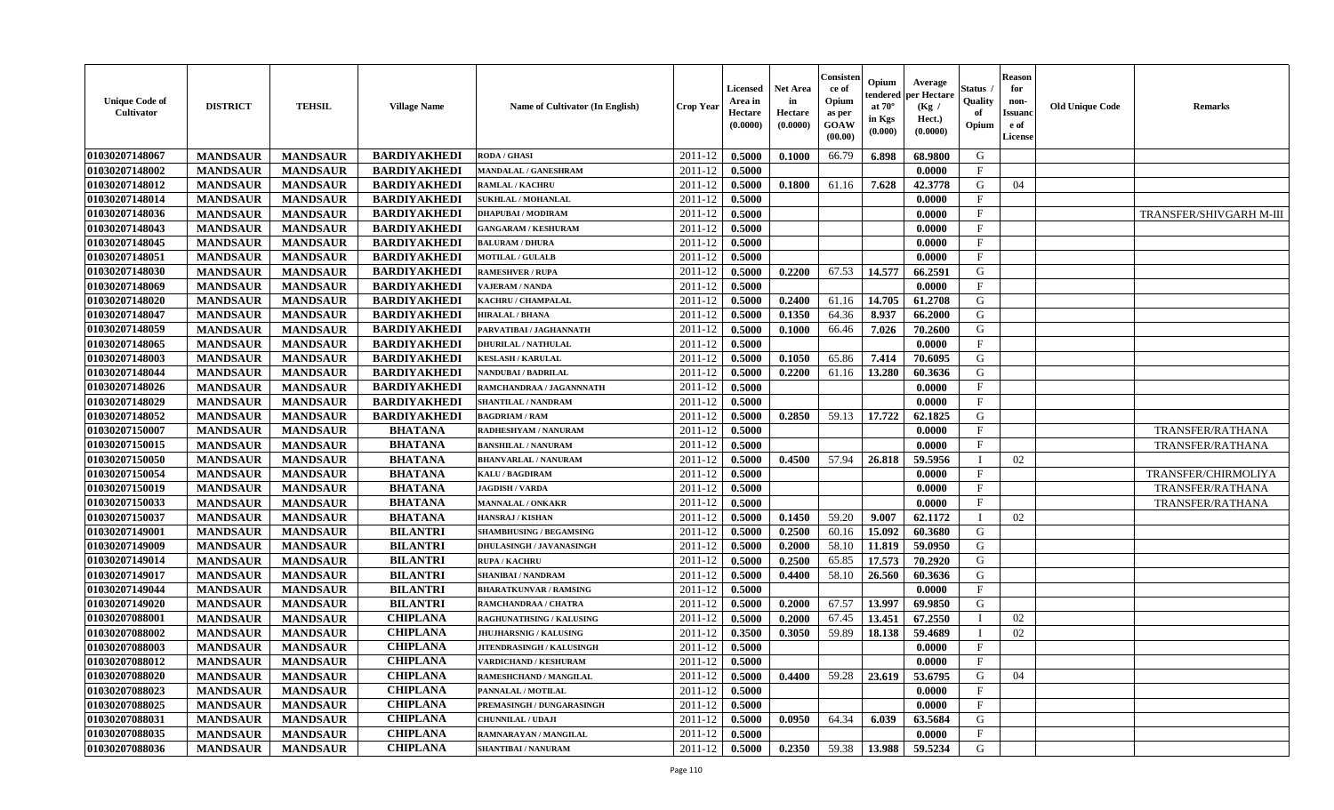| <b>Unique Code of</b><br>Cultivator | <b>DISTRICT</b> | <b>TEHSIL</b>   | <b>Village Name</b> | Name of Cultivator (In English)  | <b>Crop Year</b> | <b>Licensed</b><br>Area in<br>Hectare<br>(0.0000) | <b>Net Area</b><br>in<br>Hectare<br>(0.0000) | Consisteı<br>ce of<br>Opium<br>as per<br>GOAW<br>(00.00) | Opium<br>endered<br>at $70^\circ$<br>in Kgs<br>(0.000) | Average<br>er Hectare<br>(Kg /<br>Hect.)<br>(0.0000) | Status<br>Quality<br>of<br>Opium | <b>Reason</b><br>for<br>non-<br><b>Issuand</b><br>e of<br>License | <b>Old Unique Code</b> | <b>Remarks</b>                 |
|-------------------------------------|-----------------|-----------------|---------------------|----------------------------------|------------------|---------------------------------------------------|----------------------------------------------|----------------------------------------------------------|--------------------------------------------------------|------------------------------------------------------|----------------------------------|-------------------------------------------------------------------|------------------------|--------------------------------|
| 01030207148067                      | <b>MANDSAUR</b> | <b>MANDSAUR</b> | <b>BARDIYAKHEDI</b> | <b>RODA / GHASI</b>              | 2011-12          | 0.5000                                            | 0.1000                                       | 66.79                                                    | 6.898                                                  | 68.9800                                              | G                                |                                                                   |                        |                                |
| 01030207148002                      | <b>MANDSAUR</b> | <b>MANDSAUR</b> | <b>BARDIYAKHEDI</b> | MANDALAL / GANESHRAM             | 2011-12          | 0.5000                                            |                                              |                                                          |                                                        | 0.0000                                               | $\mathbf{F}$                     |                                                                   |                        |                                |
| 01030207148012                      | <b>MANDSAUR</b> | <b>MANDSAUR</b> | <b>BARDIYAKHEDI</b> | <b>RAMLAL / KACHRU</b>           | 2011-12          | 0.5000                                            | 0.1800                                       | 61.16                                                    | 7.628                                                  | 42.3778                                              | G                                | 04                                                                |                        |                                |
| 01030207148014                      | <b>MANDSAUR</b> | <b>MANDSAUR</b> | <b>BARDIYAKHEDI</b> | <b>SUKHLAL / MOHANLAL</b>        | 2011-12          | 0.5000                                            |                                              |                                                          |                                                        | 0.0000                                               | $\mathbf{F}$                     |                                                                   |                        |                                |
| 01030207148036                      | <b>MANDSAUR</b> | <b>MANDSAUR</b> | <b>BARDIYAKHEDI</b> | <b>DHAPUBAI/MODIRAM</b>          | 2011-12          | 0.5000                                            |                                              |                                                          |                                                        | 0.0000                                               | $_{\rm F}$                       |                                                                   |                        | <b>TRANSFER/SHIVGARH M-III</b> |
| 01030207148043                      | <b>MANDSAUR</b> | <b>MANDSAUR</b> | <b>BARDIYAKHEDI</b> | <b>GANGARAM / KESHURAM</b>       | 2011-12          | 0.5000                                            |                                              |                                                          |                                                        | 0.0000                                               | F                                |                                                                   |                        |                                |
| 01030207148045                      | <b>MANDSAUR</b> | <b>MANDSAUR</b> | <b>BARDIYAKHEDI</b> | <b>BALURAM / DHURA</b>           | 2011-12          | 0.5000                                            |                                              |                                                          |                                                        | 0.0000                                               | $\rm F$                          |                                                                   |                        |                                |
| 01030207148051                      | <b>MANDSAUR</b> | <b>MANDSAUR</b> | <b>BARDIYAKHEDI</b> | <b>MOTILAL / GULALB</b>          | 2011-12          | 0.5000                                            |                                              |                                                          |                                                        | 0.0000                                               | $\mathbf F$                      |                                                                   |                        |                                |
| 01030207148030                      | <b>MANDSAUR</b> | <b>MANDSAUR</b> | <b>BARDIYAKHEDI</b> | <b>RAMESHVER / RUPA</b>          | 2011-12          | 0.5000                                            | 0.2200                                       | 67.53                                                    | 14.577                                                 | 66.2591                                              | G                                |                                                                   |                        |                                |
| 01030207148069                      | <b>MANDSAUR</b> | <b>MANDSAUR</b> | <b>BARDIYAKHEDI</b> | <b>VAJERAM / NANDA</b>           | 2011-12          | 0.5000                                            |                                              |                                                          |                                                        | 0.0000                                               | $\mathbf{F}$                     |                                                                   |                        |                                |
| 01030207148020                      | <b>MANDSAUR</b> | <b>MANDSAUR</b> | <b>BARDIYAKHEDI</b> | KACHRU / CHAMPALAL               | 2011-12          | 0.5000                                            | 0.2400                                       | 61.16                                                    | 14.705                                                 | 61.2708                                              | G                                |                                                                   |                        |                                |
| 01030207148047                      | <b>MANDSAUR</b> | <b>MANDSAUR</b> | <b>BARDIYAKHEDI</b> | <b>HIRALAL / BHANA</b>           | 2011-12          | 0.5000                                            | 0.1350                                       | 64.36                                                    | 8.937                                                  | 66.2000                                              | G                                |                                                                   |                        |                                |
| 01030207148059                      | <b>MANDSAUR</b> | <b>MANDSAUR</b> | <b>BARDIYAKHEDI</b> | PARVATIBAI / JAGHANNATH          | 2011-12          | 0.5000                                            | 0.1000                                       | 66.46                                                    | 7.026                                                  | 70.2600                                              | G                                |                                                                   |                        |                                |
| 01030207148065                      | <b>MANDSAUR</b> | <b>MANDSAUR</b> | <b>BARDIYAKHEDI</b> | <b>DHURILAL / NATHULAL</b>       | 2011-12          | 0.5000                                            |                                              |                                                          |                                                        | 0.0000                                               | F                                |                                                                   |                        |                                |
| 01030207148003                      | <b>MANDSAUR</b> | <b>MANDSAUR</b> | <b>BARDIYAKHEDI</b> | <b>KESLASH / KARULAL</b>         | 2011-12          | 0.5000                                            | 0.1050                                       | 65.86                                                    | 7.414                                                  | 70.6095                                              | G                                |                                                                   |                        |                                |
| 01030207148044                      | <b>MANDSAUR</b> | <b>MANDSAUR</b> | <b>BARDIYAKHEDI</b> | NANDUBAI / BADRILAL              | 2011-12          | 0.5000                                            | 0.2200                                       | 61.16                                                    | 13.280                                                 | 60.3636                                              | G                                |                                                                   |                        |                                |
| 01030207148026                      | <b>MANDSAUR</b> | <b>MANDSAUR</b> | <b>BARDIYAKHEDI</b> | RAMCHANDRAA / JAGANNNATH         | 2011-12          | 0.5000                                            |                                              |                                                          |                                                        | 0.0000                                               | $\rm F$                          |                                                                   |                        |                                |
| 01030207148029                      | <b>MANDSAUR</b> | <b>MANDSAUR</b> | <b>BARDIYAKHEDI</b> | <b>SHANTILAL / NANDRAM</b>       | 2011-12          | 0.5000                                            |                                              |                                                          |                                                        | 0.0000                                               | $\mathbf{F}$                     |                                                                   |                        |                                |
| 01030207148052                      | <b>MANDSAUR</b> | <b>MANDSAUR</b> | <b>BARDIYAKHEDI</b> | <b>BAGDRIAM / RAM</b>            | 2011-12          | 0.5000                                            | 0.2850                                       | 59.13                                                    | 17.722                                                 | 62.1825                                              | G                                |                                                                   |                        |                                |
| 01030207150007                      | <b>MANDSAUR</b> | <b>MANDSAUR</b> | <b>BHATANA</b>      | RADHESHYAM / NANURAM             | 2011-12          | 0.5000                                            |                                              |                                                          |                                                        | 0.0000                                               | $\mathbf{F}$                     |                                                                   |                        | TRANSFER/RATHANA               |
| 01030207150015                      | <b>MANDSAUR</b> | <b>MANDSAUR</b> | <b>BHATANA</b>      | <b>BANSHILAL / NANURAM</b>       | 2011-12          | 0.5000                                            |                                              |                                                          |                                                        | 0.0000                                               | F                                |                                                                   |                        | TRANSFER/RATHANA               |
| 01030207150050                      | <b>MANDSAUR</b> | <b>MANDSAUR</b> | <b>BHATANA</b>      | <b>BHANVARLAL / NANURAM</b>      | 2011-12          | 0.5000                                            | 0.4500                                       | 57.94                                                    | 26.818                                                 | 59.5956                                              | $\blacksquare$                   | 02                                                                |                        |                                |
| 01030207150054                      | <b>MANDSAUR</b> | <b>MANDSAUR</b> | <b>BHATANA</b>      | <b>KALU / BAGDIRAM</b>           | 2011-12          | 0.5000                                            |                                              |                                                          |                                                        | 0.0000                                               | $\mathbf{F}$                     |                                                                   |                        | TRANSFER/CHIRMOLIYA            |
| 01030207150019                      | <b>MANDSAUR</b> | <b>MANDSAUR</b> | <b>BHATANA</b>      | <b>JAGDISH / VARDA</b>           | 2011-12          | 0.5000                                            |                                              |                                                          |                                                        | 0.0000                                               | $\mathbf F$                      |                                                                   |                        | <b>TRANSFER/RATHANA</b>        |
| 01030207150033                      | <b>MANDSAUR</b> | <b>MANDSAUR</b> | <b>BHATANA</b>      | <b>MANNALAL / ONKAKR</b>         | 2011-12          | 0.5000                                            |                                              |                                                          |                                                        | 0.0000                                               | $\mathbf{F}$                     |                                                                   |                        | TRANSFER/RATHANA               |
| 01030207150037                      | <b>MANDSAUR</b> | <b>MANDSAUR</b> | <b>BHATANA</b>      | <b>HANSRAJ / KISHAN</b>          | 2011-12          | 0.5000                                            | 0.1450                                       | 59.20                                                    | 9.007                                                  | 62.1172                                              | $\mathbf{I}$                     | 02                                                                |                        |                                |
| 01030207149001                      | <b>MANDSAUR</b> | <b>MANDSAUR</b> | <b>BILANTRI</b>     | <b>SHAMBHUSING / BEGAMSING</b>   | 2011-12          | 0.5000                                            | 0.2500                                       | 60.16                                                    | 15.092                                                 | 60.3680                                              | G                                |                                                                   |                        |                                |
| 01030207149009                      | <b>MANDSAUR</b> | <b>MANDSAUR</b> | <b>BILANTRI</b>     | <b>DHULASINGH / JAVANASINGH</b>  | 2011-12          | 0.5000                                            | 0.2000                                       | 58.10                                                    | 11.819                                                 | 59.0950                                              | G                                |                                                                   |                        |                                |
| 01030207149014                      | <b>MANDSAUR</b> | <b>MANDSAUR</b> | <b>BILANTRI</b>     | <b>RUPA / KACHRU</b>             | 2011-12          | 0.5000                                            | 0.2500                                       | 65.85                                                    | 17.573                                                 | 70.2920                                              | G                                |                                                                   |                        |                                |
| 01030207149017                      | <b>MANDSAUR</b> | <b>MANDSAUR</b> | <b>BILANTRI</b>     | <b>SHANIBAI / NANDRAM</b>        | 2011-12          | 0.5000                                            | 0.4400                                       | 58.10                                                    | 26.560                                                 | 60.3636                                              | G                                |                                                                   |                        |                                |
| 01030207149044                      | <b>MANDSAUR</b> | <b>MANDSAUR</b> | <b>BILANTRI</b>     | <b>BHARATKUNVAR / RAMSING</b>    | 2011-12          | 0.5000                                            |                                              |                                                          |                                                        | 0.0000                                               | $\mathbf F$                      |                                                                   |                        |                                |
| 01030207149020                      | <b>MANDSAUR</b> | <b>MANDSAUR</b> | <b>BILANTRI</b>     | RAMCHANDRAA / CHATRA             | 2011-12          | 0.5000                                            | 0.2000                                       | 67.57                                                    | 13.997                                                 | 69.9850                                              | G                                |                                                                   |                        |                                |
| 01030207088001                      | <b>MANDSAUR</b> | <b>MANDSAUR</b> | <b>CHIPLANA</b>     | RAGHUNATHSING / KALUSING         | 2011-12          | 0.5000                                            | 0.2000                                       | 67.45                                                    | 13.451                                                 | 67.2550                                              | T                                | 02                                                                |                        |                                |
| 01030207088002                      | <b>MANDSAUR</b> | <b>MANDSAUR</b> | <b>CHIPLANA</b>     | <b>JHUJHARSNIG / KALUSING</b>    | 2011-12          | 0.3500                                            | 0.3050                                       | 59.89                                                    | 18.138                                                 | 59.4689                                              | $\mathbf{I}$                     | 02                                                                |                        |                                |
| 01030207088003                      | <b>MANDSAUR</b> | <b>MANDSAUR</b> | <b>CHIPLANA</b>     | <b>JITENDRASINGH / KALUSINGH</b> | 2011-12          | 0.5000                                            |                                              |                                                          |                                                        | 0.0000                                               | F                                |                                                                   |                        |                                |
| 01030207088012                      | <b>MANDSAUR</b> | <b>MANDSAUR</b> | <b>CHIPLANA</b>     | <b>VARDICHAND / KESHURAM</b>     | 2011-12          | 0.5000                                            |                                              |                                                          |                                                        | 0.0000                                               | $\mathbf F$                      |                                                                   |                        |                                |
| 01030207088020                      | <b>MANDSAUR</b> | <b>MANDSAUR</b> | <b>CHIPLANA</b>     | RAMESHCHAND / MANGILAL           | 2011-12          | 0.5000                                            | 0.4400                                       | 59.28                                                    | 23.619                                                 | 53.6795                                              | G                                | 04                                                                |                        |                                |
| 01030207088023                      | <b>MANDSAUR</b> | <b>MANDSAUR</b> | <b>CHIPLANA</b>     | PANNALAL / MOTILAL               | 2011-12          | 0.5000                                            |                                              |                                                          |                                                        | 0.0000                                               | F                                |                                                                   |                        |                                |
| 01030207088025                      | <b>MANDSAUR</b> | <b>MANDSAUR</b> | <b>CHIPLANA</b>     | PREMASINGH / DUNGARASINGH        | 2011-12          | 0.5000                                            |                                              |                                                          |                                                        | 0.0000                                               | F                                |                                                                   |                        |                                |
| 01030207088031                      | <b>MANDSAUR</b> | <b>MANDSAUR</b> | <b>CHIPLANA</b>     | CHUNNILAL / UDAJI                | 2011-12          | 0.5000                                            | 0.0950                                       | 64.34                                                    | 6.039                                                  | 63.5684                                              | G                                |                                                                   |                        |                                |
| 01030207088035                      | <b>MANDSAUR</b> | <b>MANDSAUR</b> | <b>CHIPLANA</b>     | RAMNARAYAN / MANGILAL            | 2011-12          | 0.5000                                            |                                              |                                                          |                                                        | 0.0000                                               | $\mathbf{F}$                     |                                                                   |                        |                                |
| 01030207088036                      | <b>MANDSAUR</b> | <b>MANDSAUR</b> | <b>CHIPLANA</b>     | <b>SHANTIBAI / NANURAM</b>       | 2011-12          | 0.5000                                            | 0.2350                                       | 59.38                                                    | 13.988                                                 | 59.5234                                              | G                                |                                                                   |                        |                                |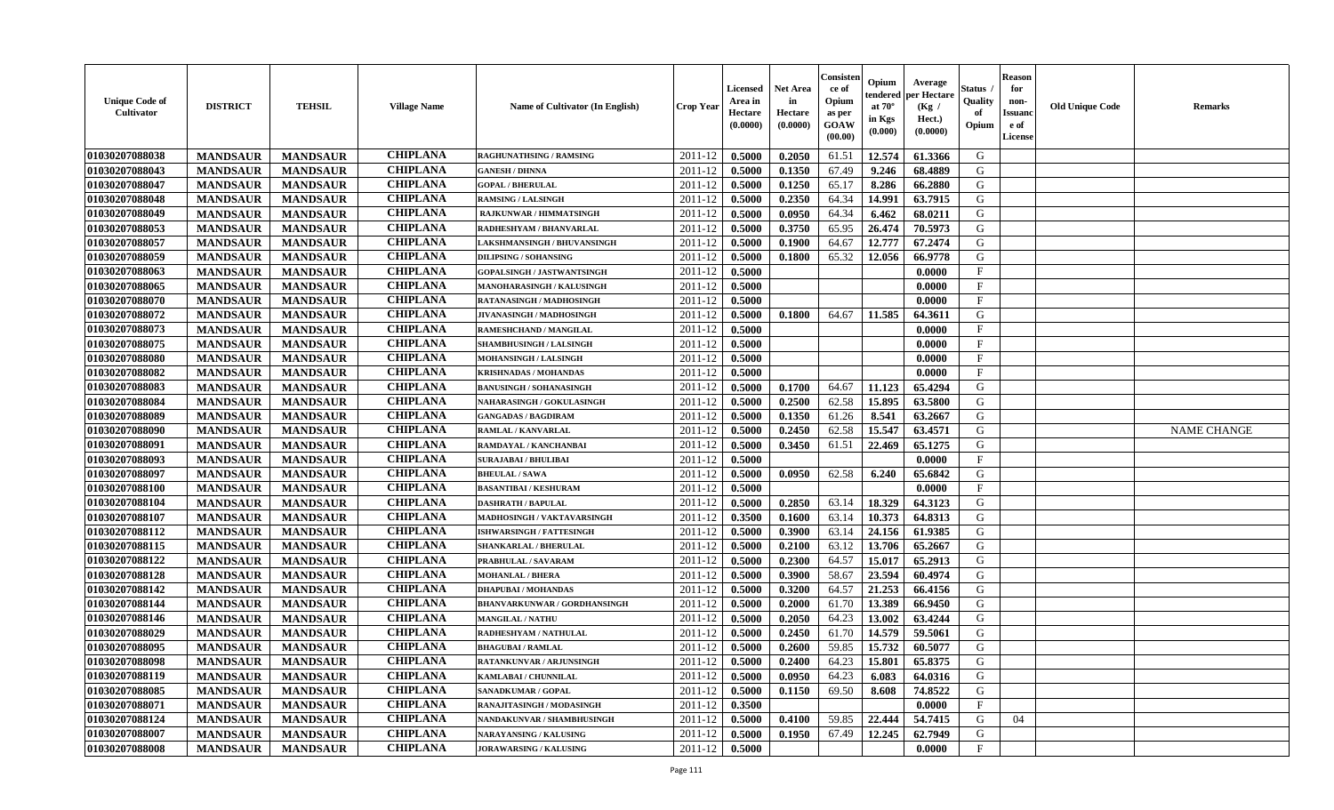| <b>Unique Code of</b><br><b>Cultivator</b> | <b>DISTRICT</b> | <b>TEHSIL</b>   | <b>Village Name</b> | <b>Name of Cultivator (In English)</b> | <b>Crop Year</b> | Licensed<br>Area in<br>Hectare<br>(0.0000) | <b>Net Area</b><br>in<br>Hectare<br>(0.0000) | Consisteı<br>ce of<br>Opium<br>as per<br>GOAW<br>(00.00) | Opium<br>endered<br>at $70^{\circ}$<br>in Kgs<br>(0.000) | Average<br>per Hectare<br>(Kg /<br>Hect.)<br>(0.0000) | Status<br>Quality<br>of<br>Opium | <b>Reason</b><br>for<br>non-<br>Issuano<br>e of<br>License | <b>Old Unique Code</b> | Remarks            |
|--------------------------------------------|-----------------|-----------------|---------------------|----------------------------------------|------------------|--------------------------------------------|----------------------------------------------|----------------------------------------------------------|----------------------------------------------------------|-------------------------------------------------------|----------------------------------|------------------------------------------------------------|------------------------|--------------------|
| 01030207088038                             | <b>MANDSAUR</b> | <b>MANDSAUR</b> | <b>CHIPLANA</b>     | <b>RAGHUNATHSING / RAMSING</b>         | 2011-12          | 0.5000                                     | 0.2050                                       | 61.51                                                    | 12.574                                                   | 61.3366                                               | G                                |                                                            |                        |                    |
| 01030207088043                             | <b>MANDSAUR</b> | <b>MANDSAUR</b> | <b>CHIPLANA</b>     | <b>GANESH / DHNNA</b>                  | 2011-12          | 0.5000                                     | 0.1350                                       | 67.49                                                    | 9.246                                                    | 68.4889                                               | G                                |                                                            |                        |                    |
| 01030207088047                             | <b>MANDSAUR</b> | <b>MANDSAUR</b> | <b>CHIPLANA</b>     | <b>GOPAL / BHERULAL</b>                | 2011-12          | 0.5000                                     | 0.1250                                       | 65.17                                                    | 8.286                                                    | 66.2880                                               | G                                |                                                            |                        |                    |
| 01030207088048                             | <b>MANDSAUR</b> | <b>MANDSAUR</b> | <b>CHIPLANA</b>     | <b>RAMSING / LALSINGH</b>              | 2011-12          | 0.5000                                     | 0.2350                                       | 64.34                                                    | 14.991                                                   | 63.7915                                               | G                                |                                                            |                        |                    |
| 01030207088049                             | <b>MANDSAUR</b> | <b>MANDSAUR</b> | <b>CHIPLANA</b>     | <b>RAJKUNWAR / HIMMATSINGH</b>         | 2011-12          | 0.5000                                     | 0.0950                                       | 64.34                                                    | 6.462                                                    | 68.0211                                               | G                                |                                                            |                        |                    |
| 01030207088053                             | <b>MANDSAUR</b> | <b>MANDSAUR</b> | <b>CHIPLANA</b>     | RADHESHYAM / BHANVARLAL                | 2011-12          | 0.5000                                     | 0.3750                                       | 65.95                                                    | 26,474                                                   | 70.5973                                               | G                                |                                                            |                        |                    |
| 01030207088057                             | <b>MANDSAUR</b> | <b>MANDSAUR</b> | <b>CHIPLANA</b>     | <b>LAKSHMANSINGH / BHUVANSINGH</b>     | 2011-12          | 0.5000                                     | 0.1900                                       | 64.67                                                    | 12.777                                                   | 67.2474                                               | G                                |                                                            |                        |                    |
| 01030207088059                             | <b>MANDSAUR</b> | <b>MANDSAUR</b> | <b>CHIPLANA</b>     | <b>DILIPSING / SOHANSING</b>           | 2011-12          | 0.5000                                     | 0.1800                                       | 65.32                                                    | 12.056                                                   | 66.9778                                               | G                                |                                                            |                        |                    |
| 01030207088063                             | <b>MANDSAUR</b> | <b>MANDSAUR</b> | <b>CHIPLANA</b>     | GOPALSINGH / JASTWANTSINGH             | 2011-12          | 0.5000                                     |                                              |                                                          |                                                          | 0.0000                                                | $\mathbf{F}$                     |                                                            |                        |                    |
| 01030207088065                             | <b>MANDSAUR</b> | <b>MANDSAUR</b> | <b>CHIPLANA</b>     | MANOHARASINGH / KALUSINGH              | 2011-12          | 0.5000                                     |                                              |                                                          |                                                          | 0.0000                                                | $\mathbf{F}$                     |                                                            |                        |                    |
| 01030207088070                             | <b>MANDSAUR</b> | <b>MANDSAUR</b> | <b>CHIPLANA</b>     | RATANASINGH / MADHOSINGH               | 2011-12          | 0.5000                                     |                                              |                                                          |                                                          | 0.0000                                                | F                                |                                                            |                        |                    |
| 01030207088072                             | <b>MANDSAUR</b> | <b>MANDSAUR</b> | <b>CHIPLANA</b>     | <b>JIVANASINGH / MADHOSINGH</b>        | 2011-12          | 0.5000                                     | 0.1800                                       | 64.67                                                    | 11.585                                                   | 64.3611                                               | G                                |                                                            |                        |                    |
| 01030207088073                             | <b>MANDSAUR</b> | <b>MANDSAUR</b> | <b>CHIPLANA</b>     | RAMESHCHAND / MANGILAL                 | 2011-12          | 0.5000                                     |                                              |                                                          |                                                          | 0.0000                                                | $\mathbf{F}$                     |                                                            |                        |                    |
| 01030207088075                             | <b>MANDSAUR</b> | <b>MANDSAUR</b> | <b>CHIPLANA</b>     | <b>SHAMBHUSINGH / LALSINGH</b>         | 2011-12          | 0.5000                                     |                                              |                                                          |                                                          | 0.0000                                                | $\mathbf{F}$                     |                                                            |                        |                    |
| 01030207088080                             | <b>MANDSAUR</b> | <b>MANDSAUR</b> | <b>CHIPLANA</b>     | MOHANSINGH / LALSINGH                  | 2011-12          | 0.5000                                     |                                              |                                                          |                                                          | 0.0000                                                | F                                |                                                            |                        |                    |
| 01030207088082                             | <b>MANDSAUR</b> | <b>MANDSAUR</b> | <b>CHIPLANA</b>     | <b>KRISHNADAS / MOHANDAS</b>           | 2011-12          | 0.5000                                     |                                              |                                                          |                                                          | 0.0000                                                | $_{\rm F}$                       |                                                            |                        |                    |
| 01030207088083                             | <b>MANDSAUR</b> | <b>MANDSAUR</b> | <b>CHIPLANA</b>     | <b>BANUSINGH / SOHANASINGH</b>         | 2011-12          | 0.5000                                     | 0.1700                                       | 64.67                                                    | 11.123                                                   | 65.4294                                               | G                                |                                                            |                        |                    |
| 01030207088084                             | <b>MANDSAUR</b> | <b>MANDSAUR</b> | <b>CHIPLANA</b>     | NAHARASINGH / GOKULASINGH              | 2011-12          | 0.5000                                     | 0.2500                                       | 62.58                                                    | 15.895                                                   | 63.5800                                               | G                                |                                                            |                        |                    |
| 01030207088089                             | <b>MANDSAUR</b> | <b>MANDSAUR</b> | <b>CHIPLANA</b>     | <b>GANGADAS / BAGDIRAM</b>             | 2011-12          | 0.5000                                     | 0.1350                                       | 61.26                                                    | 8.541                                                    | 63.2667                                               | G                                |                                                            |                        |                    |
| 01030207088090                             | <b>MANDSAUR</b> | <b>MANDSAUR</b> | <b>CHIPLANA</b>     | RAMLAL / KANVARLAL                     | 2011-12          | 0.5000                                     | 0.2450                                       | 62.58                                                    | 15.547                                                   | 63.4571                                               | G                                |                                                            |                        | <b>NAME CHANGE</b> |
| 01030207088091                             | <b>MANDSAUR</b> | <b>MANDSAUR</b> | <b>CHIPLANA</b>     | RAMDAYAL / KANCHANBAI                  | 2011-12          | 0.5000                                     | 0.3450                                       | 61.51                                                    | 22.469                                                   | 65.1275                                               | G                                |                                                            |                        |                    |
| 01030207088093                             | <b>MANDSAUR</b> | <b>MANDSAUR</b> | <b>CHIPLANA</b>     | <b>SURAJABAI / BHULIBAI</b>            | 2011-12          | 0.5000                                     |                                              |                                                          |                                                          | 0.0000                                                | $_{\rm F}$                       |                                                            |                        |                    |
| 01030207088097                             | <b>MANDSAUR</b> | <b>MANDSAUR</b> | <b>CHIPLANA</b>     | <b>BHEULAL / SAWA</b>                  | 2011-12          | 0.5000                                     | 0.0950                                       | 62.58                                                    | 6.240                                                    | 65.6842                                               | G                                |                                                            |                        |                    |
| 01030207088100                             | <b>MANDSAUR</b> | <b>MANDSAUR</b> | <b>CHIPLANA</b>     | <b>BASANTIBAI / KESHURAM</b>           | 2011-12          | 0.5000                                     |                                              |                                                          |                                                          | 0.0000                                                | $\rm F$                          |                                                            |                        |                    |
| 01030207088104                             | <b>MANDSAUR</b> | <b>MANDSAUR</b> | <b>CHIPLANA</b>     | <b>DASHRATH / BAPULAL</b>              | 2011-12          | 0.5000                                     | 0.2850                                       | 63.14                                                    | 18.329                                                   | 64.3123                                               | G                                |                                                            |                        |                    |
| 01030207088107                             | <b>MANDSAUR</b> | <b>MANDSAUR</b> | <b>CHIPLANA</b>     | MADHOSINGH / VAKTAVARSINGH             | 2011-12          | 0.3500                                     | 0.1600                                       | 63.14                                                    | 10.373                                                   | 64.8313                                               | G                                |                                                            |                        |                    |
| 01030207088112                             | <b>MANDSAUR</b> | <b>MANDSAUR</b> | <b>CHIPLANA</b>     | ISHWARSINGH / FATTESINGH               | 2011-12          | 0.5000                                     | 0.3900                                       | 63.14                                                    | 24.156                                                   | 61.9385                                               | G                                |                                                            |                        |                    |
| 01030207088115                             | <b>MANDSAUR</b> | <b>MANDSAUR</b> | <b>CHIPLANA</b>     | SHANKARLAL / BHERULAL                  | 2011-12          | 0.5000                                     | 0.2100                                       | 63.12                                                    | 13.706                                                   | 65.2667                                               | G                                |                                                            |                        |                    |
| 01030207088122                             | <b>MANDSAUR</b> | <b>MANDSAUR</b> | <b>CHIPLANA</b>     | PRABHULAL / SAVARAM                    | 2011-12          | 0.5000                                     | 0.2300                                       | 64.57                                                    | 15.017                                                   | 65.2913                                               | G                                |                                                            |                        |                    |
| 01030207088128                             | <b>MANDSAUR</b> | <b>MANDSAUR</b> | <b>CHIPLANA</b>     | <b>MOHANLAL / BHERA</b>                | 2011-12          | 0.5000                                     | 0.3900                                       | 58.67                                                    | 23.594                                                   | 60.4974                                               | G                                |                                                            |                        |                    |
| 01030207088142                             | <b>MANDSAUR</b> | <b>MANDSAUR</b> | <b>CHIPLANA</b>     | <b>DHAPUBAI/MOHANDAS</b>               | 2011-12          | 0.5000                                     | 0.3200                                       | 64.57                                                    | 21.253                                                   | 66.4156                                               | G                                |                                                            |                        |                    |
| 01030207088144                             | <b>MANDSAUR</b> | <b>MANDSAUR</b> | <b>CHIPLANA</b>     | <b>BHANVARKUNWAR / GORDHANSINGH</b>    | 2011-12          | 0.5000                                     | 0.2000                                       | 61.70                                                    | 13.389                                                   | 66.9450                                               | G                                |                                                            |                        |                    |
| 01030207088146                             | <b>MANDSAUR</b> | <b>MANDSAUR</b> | <b>CHIPLANA</b>     | <b>MANGILAL / NATHU</b>                | 2011-12          | 0.5000                                     | 0.2050                                       | 64.23                                                    | 13.002                                                   | 63.4244                                               | G                                |                                                            |                        |                    |
| 01030207088029                             | <b>MANDSAUR</b> | <b>MANDSAUR</b> | <b>CHIPLANA</b>     | RADHESHYAM / NATHULAL                  | 2011-12          | 0.5000                                     | 0.2450                                       | 61.70                                                    | 14.579                                                   | 59.5061                                               | G                                |                                                            |                        |                    |
| 01030207088095                             | <b>MANDSAUR</b> | <b>MANDSAUR</b> | <b>CHIPLANA</b>     | <b>BHAGUBAI / RAMLAL</b>               | 2011-12          | 0.5000                                     | 0.2600                                       | 59.85                                                    | 15.732                                                   | 60.5077                                               | G                                |                                                            |                        |                    |
| 01030207088098                             | <b>MANDSAUR</b> | <b>MANDSAUR</b> | <b>CHIPLANA</b>     | RATANKUNVAR / ARJUNSINGH               | 2011-12          | 0.5000                                     | 0.2400                                       | 64.23                                                    | 15.801                                                   | 65.8375                                               | G                                |                                                            |                        |                    |
| 01030207088119                             | <b>MANDSAUR</b> | <b>MANDSAUR</b> | <b>CHIPLANA</b>     | KAMLABAI / CHUNNILAL                   | 2011-12          | 0.5000                                     | 0.0950                                       | 64.23                                                    | 6.083                                                    | 64.0316                                               | G                                |                                                            |                        |                    |
| 01030207088085                             | <b>MANDSAUR</b> | <b>MANDSAUR</b> | <b>CHIPLANA</b>     | <b>SANADKUMAR / GOPAL</b>              | 2011-12          | 0.5000                                     | 0.1150                                       | 69.50                                                    | 8.608                                                    | 74.8522                                               | G                                |                                                            |                        |                    |
| 01030207088071                             | <b>MANDSAUR</b> | <b>MANDSAUR</b> | <b>CHIPLANA</b>     | RANAJITASINGH / MODASINGH              | 2011-12          | 0.3500                                     |                                              |                                                          |                                                          | 0.0000                                                | $\mathbf{F}$                     |                                                            |                        |                    |
| 01030207088124                             | <b>MANDSAUR</b> | <b>MANDSAUR</b> | <b>CHIPLANA</b>     | NANDAKUNVAR / SHAMBHUSINGH             | 2011-12          | 0.5000                                     | 0.4100                                       | 59.85                                                    | 22,444                                                   | 54.7415                                               | G                                | 04                                                         |                        |                    |
| 01030207088007                             | <b>MANDSAUR</b> | <b>MANDSAUR</b> | <b>CHIPLANA</b>     | <b>NARAYANSING / KALUSING</b>          | 2011-12          | 0.5000                                     | 0.1950                                       | 67.49                                                    | 12.245                                                   | 62.7949                                               | G                                |                                                            |                        |                    |
| 01030207088008                             | <b>MANDSAUR</b> | <b>MANDSAUR</b> | <b>CHIPLANA</b>     | <b>JORAWARSING / KALUSING</b>          | 2011-12          | 0.5000                                     |                                              |                                                          |                                                          | 0.0000                                                | $\mathbf{F}$                     |                                                            |                        |                    |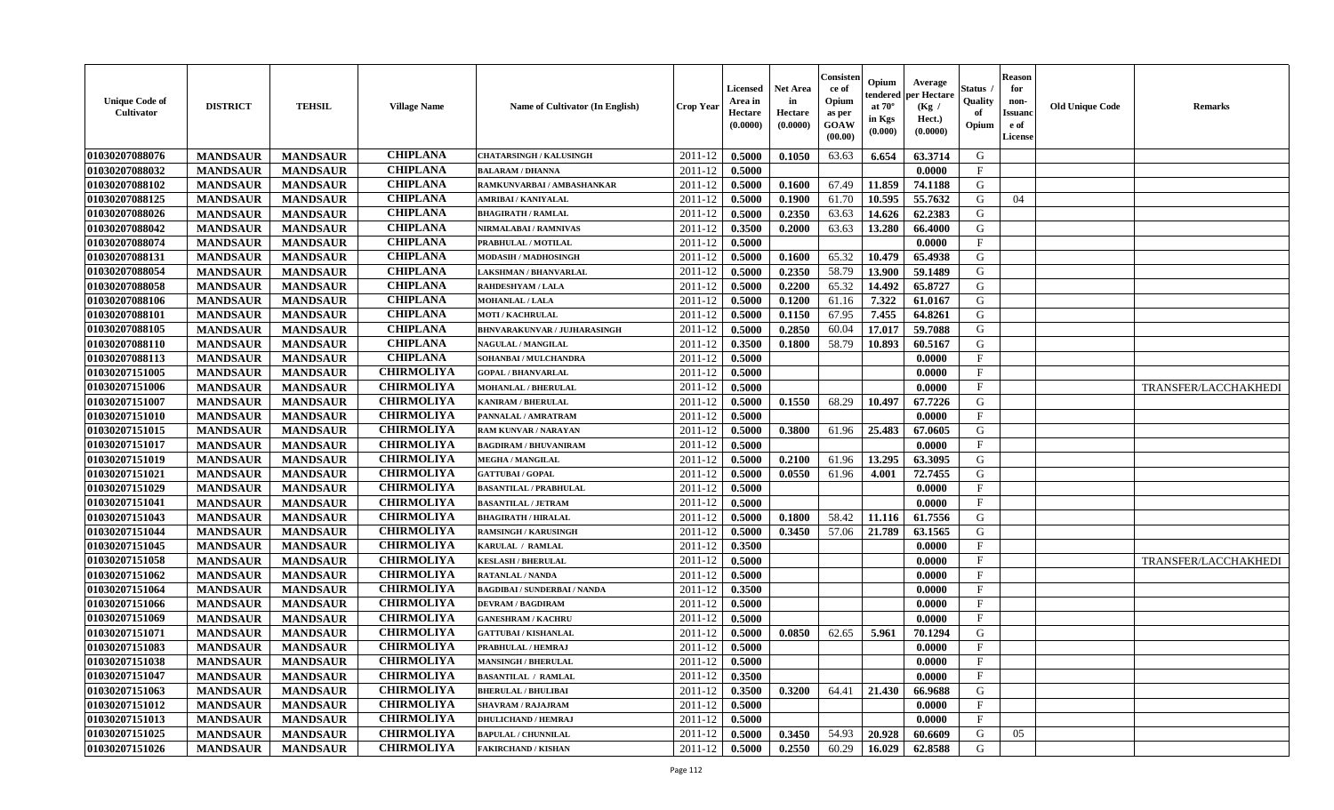| <b>Unique Code of</b><br><b>Cultivator</b> | <b>DISTRICT</b> | <b>TEHSIL</b>   | <b>Village Name</b> | Name of Cultivator (In English)     | <b>Crop Year</b> | <b>Licensed</b><br>Area in<br>Hectare<br>(0.0000) | <b>Net Area</b><br>in<br>Hectare<br>(0.0000) | Consister<br>ce of<br>Opium<br>as per<br>GOAW<br>(00.00) | Opium<br>endered<br>at $70^\circ$<br>in Kgs<br>$(\mathbf{0.000})$ | Average<br>oer Hectare<br>(Kg /<br>Hect.)<br>(0.0000) | Status<br>Quality<br>of<br>Opium | Reason<br>for<br>non-<br>Issuan<br>e of<br>License | <b>Old Unique Code</b> | <b>Remarks</b>       |
|--------------------------------------------|-----------------|-----------------|---------------------|-------------------------------------|------------------|---------------------------------------------------|----------------------------------------------|----------------------------------------------------------|-------------------------------------------------------------------|-------------------------------------------------------|----------------------------------|----------------------------------------------------|------------------------|----------------------|
| 01030207088076                             | <b>MANDSAUR</b> | <b>MANDSAUR</b> | <b>CHIPLANA</b>     | <b>CHATARSINGH / KALUSINGH</b>      | 2011-12          | 0.5000                                            | 0.1050                                       | 63.63                                                    | 6.654                                                             | 63.3714                                               | G                                |                                                    |                        |                      |
| 01030207088032                             | <b>MANDSAUR</b> | <b>MANDSAUR</b> | <b>CHIPLANA</b>     | <b>BALARAM / DHANNA</b>             | 2011-12          | 0.5000                                            |                                              |                                                          |                                                                   | 0.0000                                                | $\mathbf{F}$                     |                                                    |                        |                      |
| 01030207088102                             | <b>MANDSAUR</b> | <b>MANDSAUR</b> | <b>CHIPLANA</b>     | RAMKUNVARBAI / AMBASHANKAR          | 2011-12          | 0.5000                                            | 0.1600                                       | 67.49                                                    | 11.859                                                            | 74.1188                                               | G                                |                                                    |                        |                      |
| 01030207088125                             | <b>MANDSAUR</b> | <b>MANDSAUR</b> | <b>CHIPLANA</b>     | AMRIBAI / KANIYALAL                 | 2011-12          | 0.5000                                            | 0.1900                                       | 61.70                                                    | 10.595                                                            | 55.7632                                               | G                                | 04                                                 |                        |                      |
| 01030207088026                             | <b>MANDSAUR</b> | <b>MANDSAUR</b> | <b>CHIPLANA</b>     | <b>BHAGIRATH / RAMLAL</b>           | 2011-12          | 0.5000                                            | 0.2350                                       | 63.63                                                    | 14.626                                                            | 62.2383                                               | G                                |                                                    |                        |                      |
| 01030207088042                             | <b>MANDSAUR</b> | <b>MANDSAUR</b> | <b>CHIPLANA</b>     | NIRMALABAI / RAMNIVAS               | 2011-12          | 0.3500                                            | 0.2000                                       | 63.63                                                    | 13.280                                                            | 66.4000                                               | G                                |                                                    |                        |                      |
| 01030207088074                             | <b>MANDSAUR</b> | <b>MANDSAUR</b> | <b>CHIPLANA</b>     | PRABHULAL / MOTILAL                 | 2011-12          | 0.5000                                            |                                              |                                                          |                                                                   | 0.0000                                                | $\mathbf F$                      |                                                    |                        |                      |
| 01030207088131                             | <b>MANDSAUR</b> | <b>MANDSAUR</b> | <b>CHIPLANA</b>     | <b>MODASIH / MADHOSINGH</b>         | 2011-12          | 0.5000                                            | 0.1600                                       | 65.32                                                    | 10.479                                                            | 65.4938                                               | G                                |                                                    |                        |                      |
| 01030207088054                             | <b>MANDSAUR</b> | <b>MANDSAUR</b> | <b>CHIPLANA</b>     | <b>LAKSHMAN / BHANVARLAL</b>        | 2011-12          | 0.5000                                            | 0.2350                                       | 58.79                                                    | 13.900                                                            | 59.1489                                               | G                                |                                                    |                        |                      |
| 01030207088058                             | <b>MANDSAUR</b> | <b>MANDSAUR</b> | <b>CHIPLANA</b>     | RAHDESHYAM / LALA                   | 2011-12          | 0.5000                                            | 0.2200                                       | 65.32                                                    | 14.492                                                            | 65.8727                                               | G                                |                                                    |                        |                      |
| 01030207088106                             | <b>MANDSAUR</b> | <b>MANDSAUR</b> | <b>CHIPLANA</b>     | <b>MOHANLAL / LALA</b>              | 2011-12          | 0.5000                                            | 0.1200                                       | 61.16                                                    | 7.322                                                             | 61.0167                                               | G                                |                                                    |                        |                      |
| 01030207088101                             | <b>MANDSAUR</b> | <b>MANDSAUR</b> | <b>CHIPLANA</b>     | <b>MOTI / KACHRULAL</b>             | 2011-12          | 0.5000                                            | 0.1150                                       | 67.95                                                    | 7.455                                                             | 64.8261                                               | G                                |                                                    |                        |                      |
| 01030207088105                             | <b>MANDSAUR</b> | <b>MANDSAUR</b> | <b>CHIPLANA</b>     | <b>BHNVARAKUNVAR / JUJHARASINGH</b> | 2011-12          | 0.5000                                            | 0.2850                                       | 60.04                                                    | 17.017                                                            | 59.7088                                               | G                                |                                                    |                        |                      |
| 01030207088110                             | <b>MANDSAUR</b> | <b>MANDSAUR</b> | <b>CHIPLANA</b>     | NAGULAL / MANGILAL                  | 2011-12          | 0.3500                                            | 0.1800                                       | 58.79                                                    | 10.893                                                            | 60.5167                                               | G                                |                                                    |                        |                      |
| 01030207088113                             | <b>MANDSAUR</b> | <b>MANDSAUR</b> | <b>CHIPLANA</b>     | SOHANBAI / MULCHANDRA               | 2011-12          | 0.5000                                            |                                              |                                                          |                                                                   | 0.0000                                                | $_{\rm F}$                       |                                                    |                        |                      |
| 01030207151005                             | <b>MANDSAUR</b> | <b>MANDSAUR</b> | <b>CHIRMOLIYA</b>   | <b>GOPAL / BHANVARLAL</b>           | 2011-12          | 0.5000                                            |                                              |                                                          |                                                                   | 0.0000                                                | $\mathbf{F}$                     |                                                    |                        |                      |
| 01030207151006                             | <b>MANDSAUR</b> | <b>MANDSAUR</b> | <b>CHIRMOLIYA</b>   | <b>MOHANLAL / BHERULAL</b>          | 2011-12          | 0.5000                                            |                                              |                                                          |                                                                   | 0.0000                                                | $\mathbf{F}$                     |                                                    |                        | TRANSFER/LACCHAKHEDI |
| 01030207151007                             | <b>MANDSAUR</b> | <b>MANDSAUR</b> | <b>CHIRMOLIYA</b>   | <b>KANIRAM / BHERULAL</b>           | 2011-12          | 0.5000                                            | 0.1550                                       | 68.29                                                    | 10.497                                                            | 67.7226                                               | G                                |                                                    |                        |                      |
| 01030207151010                             | <b>MANDSAUR</b> | <b>MANDSAUR</b> | <b>CHIRMOLIYA</b>   | PANNALAL / AMRATRAM                 | 2011-12          | 0.5000                                            |                                              |                                                          |                                                                   | 0.0000                                                | F                                |                                                    |                        |                      |
| 01030207151015                             | <b>MANDSAUR</b> | <b>MANDSAUR</b> | <b>CHIRMOLIYA</b>   | <b>RAM KUNVAR / NARAYAN</b>         | 2011-12          | 0.5000                                            | 0.3800                                       | 61.96                                                    | 25.483                                                            | 67.0605                                               | G                                |                                                    |                        |                      |
| 01030207151017                             | <b>MANDSAUR</b> | <b>MANDSAUR</b> | <b>CHIRMOLIYA</b>   | <b>BAGDIRAM / BHUVANIRAM</b>        | 2011-12          | 0.5000                                            |                                              |                                                          |                                                                   | 0.0000                                                | $_{\rm F}$                       |                                                    |                        |                      |
| 01030207151019                             | <b>MANDSAUR</b> | <b>MANDSAUR</b> | <b>CHIRMOLIYA</b>   | <b>MEGHA / MANGILAL</b>             | 2011-12          | 0.5000                                            | 0.2100                                       | 61.96                                                    | 13.295                                                            | 63.3095                                               | G                                |                                                    |                        |                      |
| 01030207151021                             | <b>MANDSAUR</b> | <b>MANDSAUR</b> | <b>CHIRMOLIYA</b>   | <b>GATTUBAI/GOPAL</b>               | 2011-12          | 0.5000                                            | 0.0550                                       | 61.96                                                    | 4.001                                                             | 72.7455                                               | G                                |                                                    |                        |                      |
| 01030207151029                             | <b>MANDSAUR</b> | <b>MANDSAUR</b> | <b>CHIRMOLIYA</b>   | <b>BASANTILAL / PRABHULAL</b>       | 2011-12          | 0.5000                                            |                                              |                                                          |                                                                   | 0.0000                                                | $\mathbf F$                      |                                                    |                        |                      |
| 01030207151041                             | <b>MANDSAUR</b> | <b>MANDSAUR</b> | <b>CHIRMOLIYA</b>   | <b>BASANTILAL / JETRAM</b>          | 2011-12          | 0.5000                                            |                                              |                                                          |                                                                   | 0.0000                                                | $\mathbf{F}$                     |                                                    |                        |                      |
| 01030207151043                             | <b>MANDSAUR</b> | <b>MANDSAUR</b> | <b>CHIRMOLIYA</b>   | <b>BHAGIRATH / HIRALAL</b>          | 2011-12          | 0.5000                                            | 0.1800                                       | 58.42                                                    | 11.116                                                            | 61.7556                                               | G                                |                                                    |                        |                      |
| 01030207151044                             | <b>MANDSAUR</b> | <b>MANDSAUR</b> | <b>CHIRMOLIYA</b>   | <b>RAMSINGH / KARUSINGH</b>         | 2011-12          | 0.5000                                            | 0.3450                                       | 57.06                                                    | 21.789                                                            | 63.1565                                               | G                                |                                                    |                        |                      |
| 01030207151045                             | <b>MANDSAUR</b> | <b>MANDSAUR</b> | <b>CHIRMOLIYA</b>   | KARULAL / RAMLAL                    | 2011-12          | 0.3500                                            |                                              |                                                          |                                                                   | 0.0000                                                | $\mathbf{F}$                     |                                                    |                        |                      |
| 01030207151058                             | <b>MANDSAUR</b> | <b>MANDSAUR</b> | <b>CHIRMOLIYA</b>   | <b>KESLASH / BHERULAL</b>           | 2011-12          | 0.5000                                            |                                              |                                                          |                                                                   | 0.0000                                                | $\mathbf{F}$                     |                                                    |                        | TRANSFER/LACCHAKHEDI |
| 01030207151062                             | <b>MANDSAUR</b> | <b>MANDSAUR</b> | <b>CHIRMOLIYA</b>   | RATANLAL / NANDA                    | 2011-12          | 0.5000                                            |                                              |                                                          |                                                                   | 0.0000                                                | F                                |                                                    |                        |                      |
| 01030207151064                             | <b>MANDSAUR</b> | <b>MANDSAUR</b> | <b>CHIRMOLIYA</b>   | <b>BAGDIBAI / SUNDERBAI / NANDA</b> | 2011-12          | 0.3500                                            |                                              |                                                          |                                                                   | 0.0000                                                | $_{\rm F}$                       |                                                    |                        |                      |
| 01030207151066                             | <b>MANDSAUR</b> | <b>MANDSAUR</b> | <b>CHIRMOLIYA</b>   | <b>DEVRAM / BAGDIRAM</b>            | 2011-12          | 0.5000                                            |                                              |                                                          |                                                                   | 0.0000                                                | $\mathbf{F}$                     |                                                    |                        |                      |
| 01030207151069                             | <b>MANDSAUR</b> | <b>MANDSAUR</b> | <b>CHIRMOLIYA</b>   | <b>GANESHRAM / KACHRU</b>           | 2011-12          | 0.5000                                            |                                              |                                                          |                                                                   | 0.0000                                                | $\mathbf{F}$                     |                                                    |                        |                      |
| 01030207151071                             | <b>MANDSAUR</b> | <b>MANDSAUR</b> | <b>CHIRMOLIYA</b>   | <b>GATTUBAI/KISHANLAL</b>           | 2011-12          | 0.5000                                            | 0.0850                                       | 62.65                                                    | 5.961                                                             | 70.1294                                               | G                                |                                                    |                        |                      |
| 01030207151083                             | <b>MANDSAUR</b> | <b>MANDSAUR</b> | <b>CHIRMOLIYA</b>   | PRABHULAL / HEMRAJ                  | 2011-12          | 0.5000                                            |                                              |                                                          |                                                                   | 0.0000                                                | $_{\rm F}$                       |                                                    |                        |                      |
| 01030207151038                             | <b>MANDSAUR</b> | MANDSAUR        | <b>CHIRMOLIYA</b>   | <b>MANSINGH / BHERULAL</b>          |                  | $2011-12$ 0.5000                                  |                                              |                                                          |                                                                   | 0.0000                                                | F                                |                                                    |                        |                      |
| 01030207151047                             | <b>MANDSAUR</b> | <b>MANDSAUR</b> | <b>CHIRMOLIYA</b>   | <b>BASANTILAL / RAMLAL</b>          | 2011-12          | 0.3500                                            |                                              |                                                          |                                                                   | 0.0000                                                | $_{\rm F}$                       |                                                    |                        |                      |
| 01030207151063                             | <b>MANDSAUR</b> | <b>MANDSAUR</b> | <b>CHIRMOLIYA</b>   | <b>BHERULAL / BHULIBAI</b>          | 2011-12          | 0.3500                                            | 0.3200                                       | 64.41                                                    | 21.430                                                            | 66.9688                                               | G                                |                                                    |                        |                      |
| 01030207151012                             | <b>MANDSAUR</b> | <b>MANDSAUR</b> | <b>CHIRMOLIYA</b>   | <b>SHAVRAM / RAJAJRAM</b>           | 2011-12          | 0.5000                                            |                                              |                                                          |                                                                   | 0.0000                                                | $\mathbf{F}$                     |                                                    |                        |                      |
| 01030207151013                             | <b>MANDSAUR</b> | <b>MANDSAUR</b> | <b>CHIRMOLIYA</b>   | <b>DHULICHAND / HEMRAJ</b>          | 2011-12          | 0.5000                                            |                                              |                                                          |                                                                   | 0.0000                                                | $\mathbf{F}$                     |                                                    |                        |                      |
| 01030207151025                             | <b>MANDSAUR</b> | <b>MANDSAUR</b> | <b>CHIRMOLIYA</b>   | <b>BAPULAL / CHUNNILAL</b>          | 2011-12          | 0.5000                                            | 0.3450                                       | 54.93                                                    | 20.928                                                            | 60.6609                                               | G                                | 05                                                 |                        |                      |
| 01030207151026                             | <b>MANDSAUR</b> | <b>MANDSAUR</b> | <b>CHIRMOLIYA</b>   | <b>FAKIRCHAND / KISHAN</b>          | 2011-12          | 0.5000                                            | 0.2550                                       | 60.29                                                    | 16.029                                                            | 62.8588                                               | G                                |                                                    |                        |                      |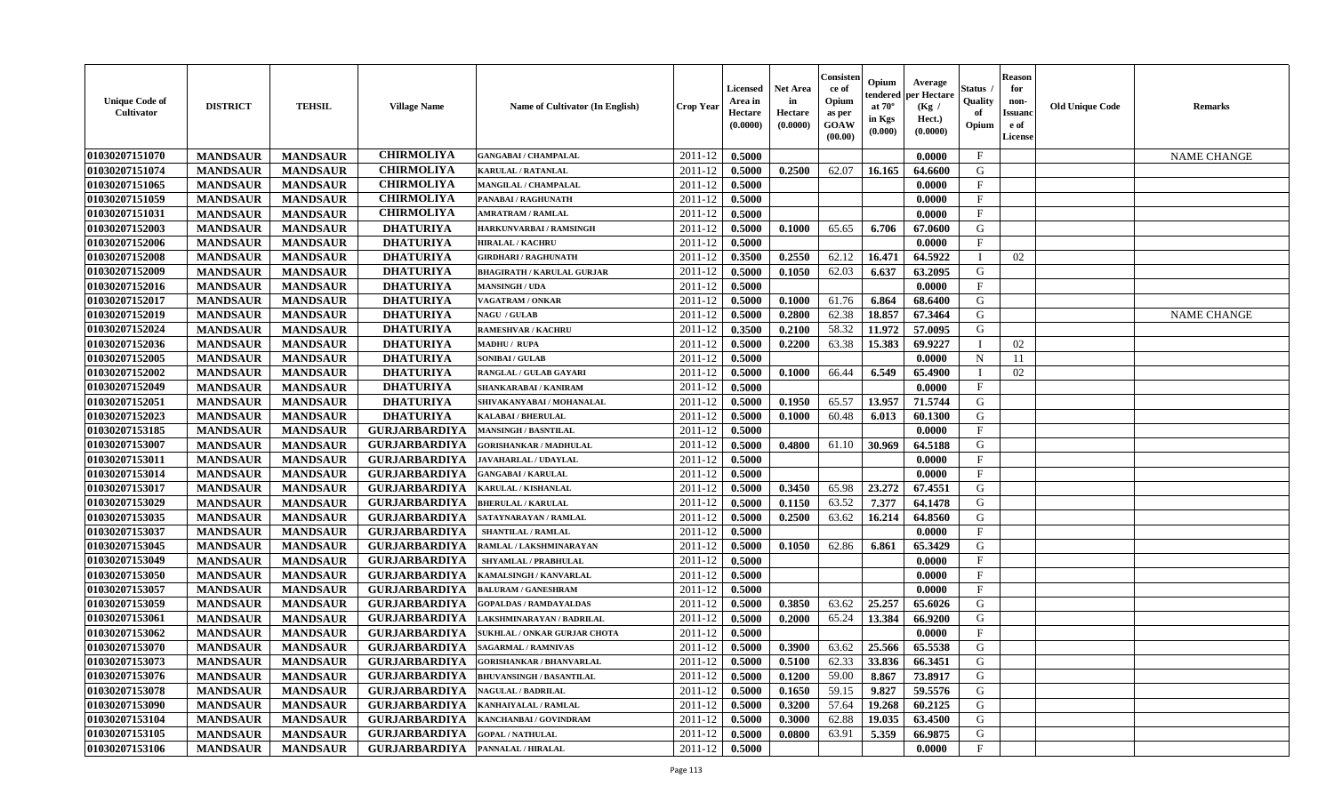| <b>Unique Code of</b><br>Cultivator | <b>DISTRICT</b> | <b>TEHSIL</b>   | <b>Village Name</b>  | <b>Name of Cultivator (In English)</b> | <b>Crop Year</b> | Licensed<br>Area in<br>Hectare<br>(0.0000) | <b>Net Area</b><br>in<br>Hectare<br>(0.0000) | Consister<br>ce of<br>Opium<br>as per<br>GOAW<br>(00.00) | Opium<br>endered<br>at $70^\circ$<br>in Kgs<br>(0.000) | Average<br>per Hectare<br>(Kg /<br>Hect.)<br>(0.0000) | Status<br>Quality<br>of<br>Opium | <b>Reason</b><br>for<br>non-<br><b>Issuano</b><br>e of<br>License | <b>Old Unique Code</b> | <b>Remarks</b>     |
|-------------------------------------|-----------------|-----------------|----------------------|----------------------------------------|------------------|--------------------------------------------|----------------------------------------------|----------------------------------------------------------|--------------------------------------------------------|-------------------------------------------------------|----------------------------------|-------------------------------------------------------------------|------------------------|--------------------|
| 01030207151070                      | <b>MANDSAUR</b> | <b>MANDSAUR</b> | <b>CHIRMOLIYA</b>    | <b>GANGABAI / CHAMPALAL</b>            | 2011-12          | 0.5000                                     |                                              |                                                          |                                                        | 0.0000                                                | $\mathbf{F}$                     |                                                                   |                        | <b>NAME CHANGE</b> |
| 01030207151074                      | <b>MANDSAUR</b> | <b>MANDSAUR</b> | <b>CHIRMOLIYA</b>    | KARULAL / RATANLAL                     | 2011-12          | 0.5000                                     | 0.2500                                       | 62.07                                                    | 16.165                                                 | 64.6600                                               | G                                |                                                                   |                        |                    |
| 01030207151065                      | <b>MANDSAUR</b> | <b>MANDSAUR</b> | <b>CHIRMOLIYA</b>    | <b>MANGILAL / CHAMPALAL</b>            | 2011-12          | 0.5000                                     |                                              |                                                          |                                                        | 0.0000                                                | $\mathbf{F}$                     |                                                                   |                        |                    |
| 01030207151059                      | <b>MANDSAUR</b> | <b>MANDSAUR</b> | <b>CHIRMOLIYA</b>    | PANABAI / RAGHUNATH                    | 2011-12          | 0.5000                                     |                                              |                                                          |                                                        | 0.0000                                                | $\mathbf{F}$                     |                                                                   |                        |                    |
| 01030207151031                      | <b>MANDSAUR</b> | <b>MANDSAUR</b> | <b>CHIRMOLIYA</b>    | <b>AMRATRAM / RAMLAL</b>               | 2011-12          | 0.5000                                     |                                              |                                                          |                                                        | 0.0000                                                | $\mathbf{F}$                     |                                                                   |                        |                    |
| 01030207152003                      | <b>MANDSAUR</b> | <b>MANDSAUR</b> | <b>DHATURIYA</b>     | HARKUNVARBAI / RAMSINGH                | 2011-12          | 0.5000                                     | 0.1000                                       | 65.65                                                    | 6.706                                                  | 67.0600                                               | G                                |                                                                   |                        |                    |
| 01030207152006                      | <b>MANDSAUR</b> | <b>MANDSAUR</b> | <b>DHATURIYA</b>     | <b>HIRALAL / KACHRU</b>                | 2011-12          | 0.5000                                     |                                              |                                                          |                                                        | 0.0000                                                | $\mathbf{F}$                     |                                                                   |                        |                    |
| 01030207152008                      | <b>MANDSAUR</b> | <b>MANDSAUR</b> | <b>DHATURIYA</b>     | <b>GIRDHARI / RAGHUNATH</b>            | 2011-12          | 0.3500                                     | 0.2550                                       | 62.12                                                    | 16.471                                                 | 64.5922                                               |                                  | 02                                                                |                        |                    |
| 01030207152009                      | <b>MANDSAUR</b> | <b>MANDSAUR</b> | <b>DHATURIYA</b>     | <b>BHAGIRATH / KARULAL GURJAR</b>      | 2011-12          | 0.5000                                     | 0.1050                                       | 62.03                                                    | 6.637                                                  | 63.2095                                               | G                                |                                                                   |                        |                    |
| 01030207152016                      | <b>MANDSAUR</b> | <b>MANDSAUR</b> | <b>DHATURIYA</b>     | <b>MANSINGH / UDA</b>                  | 2011-12          | 0.5000                                     |                                              |                                                          |                                                        | 0.0000                                                | F                                |                                                                   |                        |                    |
| 01030207152017                      | <b>MANDSAUR</b> | <b>MANDSAUR</b> | <b>DHATURIYA</b>     | VAGATRAM / ONKAR                       | 2011-12          | 0.5000                                     | 0.1000                                       | 61.76                                                    | 6.864                                                  | 68.6400                                               | G                                |                                                                   |                        |                    |
| 01030207152019                      | <b>MANDSAUR</b> | <b>MANDSAUR</b> | <b>DHATURIYA</b>     | <b>NAGU / GULAB</b>                    | 2011-12          | 0.5000                                     | 0.2800                                       | 62.38                                                    | 18.857                                                 | 67.3464                                               | G                                |                                                                   |                        | <b>NAME CHANGE</b> |
| 01030207152024                      | <b>MANDSAUR</b> | <b>MANDSAUR</b> | <b>DHATURIYA</b>     | <b>RAMESHVAR / KACHRU</b>              | 2011-12          | 0.3500                                     | 0.2100                                       | 58.32                                                    | 11.972                                                 | 57.0095                                               | G                                |                                                                   |                        |                    |
| 01030207152036                      | <b>MANDSAUR</b> | <b>MANDSAUR</b> | <b>DHATURIYA</b>     | <b>MADHU / RUPA</b>                    | 2011-12          | 0.5000                                     | 0.2200                                       | 63.38                                                    | 15.383                                                 | 69.9227                                               |                                  | 02                                                                |                        |                    |
| 01030207152005                      | <b>MANDSAUR</b> | <b>MANDSAUR</b> | <b>DHATURIYA</b>     | <b>SONIBAI/GULAB</b>                   | 2011-12          | 0.5000                                     |                                              |                                                          |                                                        | 0.0000                                                | $\mathbf N$                      | 11                                                                |                        |                    |
| 01030207152002                      | <b>MANDSAUR</b> | <b>MANDSAUR</b> | <b>DHATURIYA</b>     | RANGLAL / GULAB GAYARI                 | 2011-12          | 0.5000                                     | 0.1000                                       | 66.44                                                    | 6.549                                                  | 65.4900                                               |                                  | 02                                                                |                        |                    |
| 01030207152049                      | <b>MANDSAUR</b> | <b>MANDSAUR</b> | <b>DHATURIYA</b>     | <b>SHANKARABAI / KANIRAM</b>           | 2011-12          | 0.5000                                     |                                              |                                                          |                                                        | 0.0000                                                | $\mathbf{F}$                     |                                                                   |                        |                    |
| 01030207152051                      | <b>MANDSAUR</b> | <b>MANDSAUR</b> | <b>DHATURIYA</b>     | SHIVAKANYABAI / MOHANALAL              | 2011-12          | 0.5000                                     | 0.1950                                       | 65.57                                                    | 13.957                                                 | 71.5744                                               | G                                |                                                                   |                        |                    |
| 01030207152023                      | <b>MANDSAUR</b> | <b>MANDSAUR</b> | <b>DHATURIYA</b>     | <b>KALABAI/BHERULAL</b>                | 2011-12          | 0.5000                                     | 0.1000                                       | 60.48                                                    | 6.013                                                  | 60.1300                                               | G                                |                                                                   |                        |                    |
| 01030207153185                      | <b>MANDSAUR</b> | <b>MANDSAUR</b> | <b>GURJARBARDIYA</b> | <b>MANSINGH / BASNTILAL</b>            | 2011-12          | 0.5000                                     |                                              |                                                          |                                                        | 0.0000                                                | $\mathbf{F}$                     |                                                                   |                        |                    |
| 01030207153007                      | <b>MANDSAUR</b> | <b>MANDSAUR</b> | <b>GURJARBARDIYA</b> | <b>GORISHANKAR / MADHULAL</b>          | 2011-12          | 0.5000                                     | 0.4800                                       | 61.10                                                    | 30.969                                                 | 64.5188                                               | G                                |                                                                   |                        |                    |
| 01030207153011                      | <b>MANDSAUR</b> | <b>MANDSAUR</b> | <b>GURJARBARDIYA</b> | <b>JAVAHARLAL / UDAYLAL</b>            | 2011-12          | 0.5000                                     |                                              |                                                          |                                                        | 0.0000                                                | $\mathbf{F}$                     |                                                                   |                        |                    |
| 01030207153014                      | <b>MANDSAUR</b> | <b>MANDSAUR</b> | <b>GURJARBARDIYA</b> | <b>GANGABAI/KARULAL</b>                | 2011-12          | 0.5000                                     |                                              |                                                          |                                                        | 0.0000                                                | $\mathbf{F}$                     |                                                                   |                        |                    |
| 01030207153017                      | <b>MANDSAUR</b> | <b>MANDSAUR</b> | <b>GURJARBARDIYA</b> | KARULAL / KISHANLAL                    | 2011-12          | 0.5000                                     | 0.3450                                       | 65.98                                                    | 23.272                                                 | 67.4551                                               | G                                |                                                                   |                        |                    |
| 01030207153029                      | <b>MANDSAUR</b> | <b>MANDSAUR</b> | <b>GURJARBARDIYA</b> | <b>BHERULAL / KARULAL</b>              | 2011-12          | 0.5000                                     | 0.1150                                       | 63.52                                                    | 7.377                                                  | 64.1478                                               | G                                |                                                                   |                        |                    |
| 01030207153035                      | <b>MANDSAUR</b> | <b>MANDSAUR</b> | <b>GURJARBARDIYA</b> | SATAYNARAYAN / RAMLAL                  | 2011-12          | 0.5000                                     | 0.2500                                       | 63.62                                                    | 16.214                                                 | 64.8560                                               | G                                |                                                                   |                        |                    |
| 01030207153037                      | <b>MANDSAUR</b> | <b>MANDSAUR</b> | <b>GURJARBARDIYA</b> | <b>SHANTILAL / RAMLAL</b>              | 2011-12          | 0.5000                                     |                                              |                                                          |                                                        | 0.0000                                                | $\mathbf F$                      |                                                                   |                        |                    |
| 01030207153045                      | <b>MANDSAUR</b> | <b>MANDSAUR</b> | <b>GURJARBARDIYA</b> | RAMLAL / LAKSHMINARAYAN                | 2011-12          | 0.5000                                     | 0.1050                                       | 62.86                                                    | 6.861                                                  | 65.3429                                               | G                                |                                                                   |                        |                    |
| 01030207153049                      | <b>MANDSAUR</b> | <b>MANDSAUR</b> | <b>GURJARBARDIYA</b> | SHYAMLAL / PRABHULAL                   | 2011-12          | 0.5000                                     |                                              |                                                          |                                                        | 0.0000                                                | $\mathbf{F}$                     |                                                                   |                        |                    |
| 01030207153050                      | <b>MANDSAUR</b> | <b>MANDSAUR</b> | <b>GURJARBARDIYA</b> | KAMALSINGH / KANVARLAL                 | 2011-12          | 0.5000                                     |                                              |                                                          |                                                        | 0.0000                                                | $\mathbf{F}$                     |                                                                   |                        |                    |
| 01030207153057                      | <b>MANDSAUR</b> | <b>MANDSAUR</b> | <b>GURJARBARDIYA</b> | <b>BALURAM / GANESHRAM</b>             | 2011-12          | 0.5000                                     |                                              |                                                          |                                                        | 0.0000                                                | $\mathbf F$                      |                                                                   |                        |                    |
|                                     |                 |                 |                      |                                        |                  |                                            |                                              |                                                          |                                                        |                                                       | G                                |                                                                   |                        |                    |
| 01030207153059                      | <b>MANDSAUR</b> | <b>MANDSAUR</b> | <b>GURJARBARDIYA</b> | <b>GOPALDAS / RAMDAYALDAS</b>          | 2011-12          | 0.5000                                     | 0.3850                                       | 63.62                                                    | 25,257                                                 | 65.6026                                               | G                                |                                                                   |                        |                    |
| 01030207153061                      | <b>MANDSAUR</b> | <b>MANDSAUR</b> | <b>GURJARBARDIYA</b> | LAKSHMINARAYAN / BADRILAL              | 2011-12          | 0.5000                                     | 0.2000                                       | 65.24                                                    | 13.384                                                 | 66.9200                                               |                                  |                                                                   |                        |                    |
| 01030207153062                      | <b>MANDSAUR</b> | <b>MANDSAUR</b> | <b>GURJARBARDIYA</b> | <b>SUKHLAL / ONKAR GURJAR CHOTA</b>    | 2011-12          | 0.5000                                     |                                              |                                                          |                                                        | 0.0000                                                | $\mathbf{F}$                     |                                                                   |                        |                    |
| 01030207153070                      | <b>MANDSAUR</b> | <b>MANDSAUR</b> | <b>GURJARBARDIYA</b> | <b>SAGARMAL / RAMNIVAS</b>             | 2011-12          | 0.5000                                     | 0.3900                                       | 63.62                                                    | 25.566                                                 | 65.5538                                               | G                                |                                                                   |                        |                    |
| 01030207153073                      | <b>MANDSAUR</b> | <b>MANDSAUR</b> | <b>GURJARBARDIYA</b> | <b>GORISHANKAR / BHANVARLAL</b>        | $2011-12$ 0.5000 |                                            | 0.5100                                       | 62.33                                                    |                                                        | $ 33.836 $ 66.3451                                    | G                                |                                                                   |                        |                    |
| 01030207153076                      | <b>MANDSAUR</b> | <b>MANDSAUR</b> | <b>GURJARBARDIYA</b> | <b>BHUVANSINGH / BASANTILAL</b>        | 2011-12          | 0.5000                                     | 0.1200                                       | 59.00                                                    | 8.867                                                  | 73.8917                                               | G                                |                                                                   |                        |                    |
| 01030207153078                      | <b>MANDSAUR</b> | <b>MANDSAUR</b> | <b>GURJARBARDIYA</b> | <b>NAGULAL / BADRILAL</b>              | 2011-12          | 0.5000                                     | 0.1650                                       | 59.15                                                    | 9.827                                                  | 59.5576                                               | G                                |                                                                   |                        |                    |
| 01030207153090                      | <b>MANDSAUR</b> | <b>MANDSAUR</b> | <b>GURJARBARDIYA</b> | KANHAIYALAL / RAMLAL                   | 2011-12          | 0.5000                                     | 0.3200                                       | 57.64                                                    | 19.268                                                 | 60.2125                                               | G                                |                                                                   |                        |                    |
| 01030207153104                      | <b>MANDSAUR</b> | <b>MANDSAUR</b> | <b>GURJARBARDIYA</b> | KANCHANBAI / GOVINDRAM                 | 2011-12          | 0.5000                                     | 0.3000                                       | 62.88                                                    | 19.035                                                 | 63.4500                                               | G                                |                                                                   |                        |                    |
| 01030207153105                      | <b>MANDSAUR</b> | <b>MANDSAUR</b> | <b>GURJARBARDIYA</b> | <b>GOPAL / NATHULAL</b>                | 2011-12          | 0.5000                                     | 0.0800                                       | 63.91                                                    | 5.359                                                  | 66.9875                                               | G                                |                                                                   |                        |                    |
| 01030207153106                      | <b>MANDSAUR</b> | <b>MANDSAUR</b> | <b>GURJARBARDIYA</b> | PANNALAL / HIRALAL                     | 2011-12          | 0.5000                                     |                                              |                                                          |                                                        | 0.0000                                                | $\mathbf F$                      |                                                                   |                        |                    |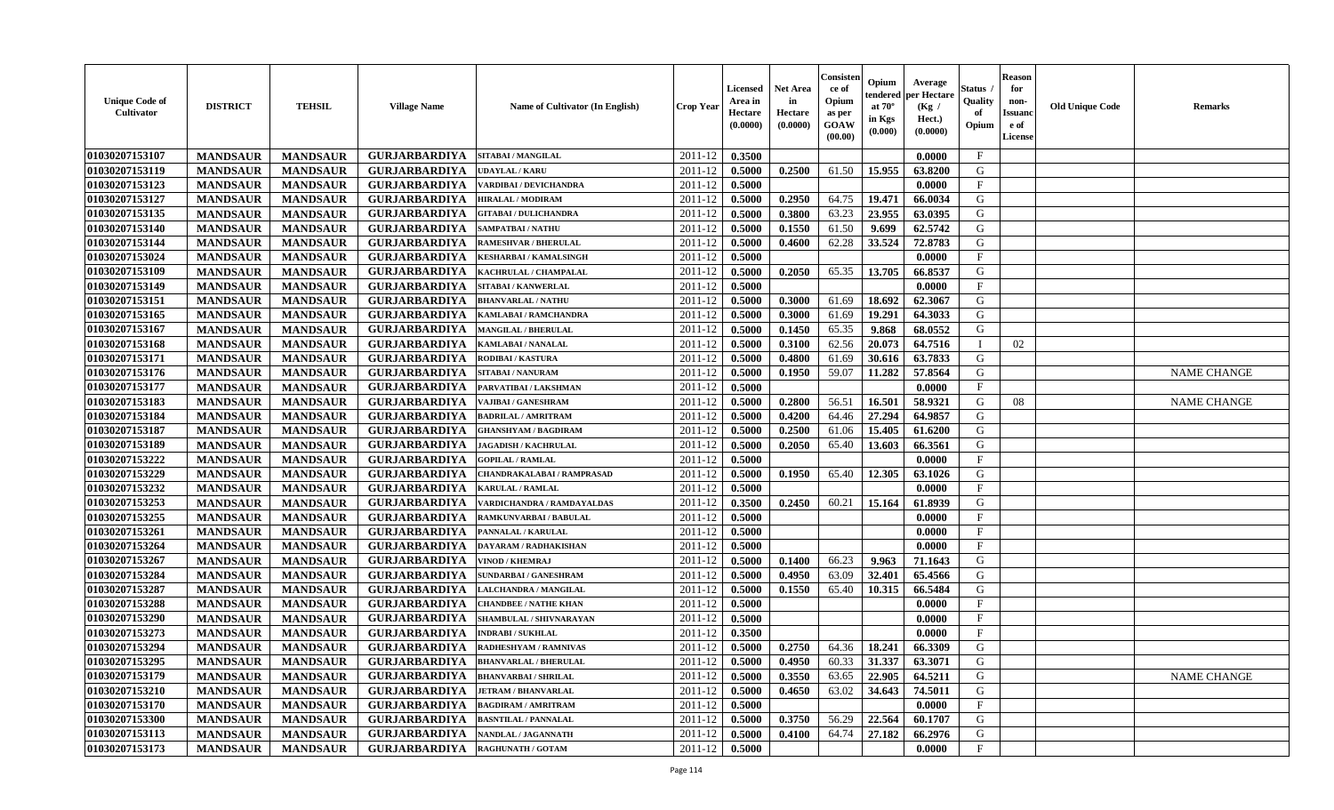| <b>Unique Code of</b><br><b>Cultivator</b> | <b>DISTRICT</b> | <b>TEHSIL</b>   | <b>Village Name</b>  | Name of Cultivator (In English) | <b>Crop Year</b> | Licensed<br>Area in<br>Hectare<br>(0.0000) | <b>Net Area</b><br>in<br>Hectare<br>(0.0000) | Consister<br>ce of<br>Opium<br>as per<br><b>GOAW</b><br>(00.00) | Opium<br>endered<br>at $70^\circ$<br>in Kgs<br>(0.000) | Average<br>per Hectare<br>(Kg /<br>Hect.)<br>(0.0000) | Status<br>Quality<br>of<br>Opium | <b>Reason</b><br>for<br>non-<br><b>Issuano</b><br>e of<br>License | <b>Old Unique Code</b> | <b>Remarks</b>     |
|--------------------------------------------|-----------------|-----------------|----------------------|---------------------------------|------------------|--------------------------------------------|----------------------------------------------|-----------------------------------------------------------------|--------------------------------------------------------|-------------------------------------------------------|----------------------------------|-------------------------------------------------------------------|------------------------|--------------------|
| 01030207153107                             | <b>MANDSAUR</b> | <b>MANDSAUR</b> | <b>GURJARBARDIYA</b> | <b>SITABAI/MANGILAL</b>         | 2011-12          | 0.3500                                     |                                              |                                                                 |                                                        | 0.0000                                                | $\mathbf{F}$                     |                                                                   |                        |                    |
| 01030207153119                             | <b>MANDSAUR</b> | <b>MANDSAUR</b> | <b>GURJARBARDIYA</b> | <b>UDAYLAL / KARU</b>           | 2011-12          | 0.5000                                     | 0.2500                                       | 61.50                                                           | 15.955                                                 | 63.8200                                               | G                                |                                                                   |                        |                    |
| 01030207153123                             | <b>MANDSAUR</b> | <b>MANDSAUR</b> | <b>GURJARBARDIYA</b> | <b>/ARDIBAI/DEVICHANDRA</b>     | 2011-12          | 0.5000                                     |                                              |                                                                 |                                                        | 0.0000                                                | $\mathbf{F}$                     |                                                                   |                        |                    |
| 01030207153127                             | <b>MANDSAUR</b> | <b>MANDSAUR</b> | <b>GURJARBARDIYA</b> | <b>HIRALAL / MODIRAM</b>        | 2011-12          | 0.5000                                     | 0.2950                                       | 64.75                                                           | 19.471                                                 | 66.0034                                               | G                                |                                                                   |                        |                    |
| 01030207153135                             | <b>MANDSAUR</b> | <b>MANDSAUR</b> | <b>GURJARBARDIYA</b> | <b>GITABAI / DULICHANDRA</b>    | 2011-12          | 0.5000                                     | 0.3800                                       | 63.23                                                           | 23.955                                                 | 63.0395                                               | G                                |                                                                   |                        |                    |
| 01030207153140                             | <b>MANDSAUR</b> | <b>MANDSAUR</b> | <b>GURJARBARDIYA</b> | <b>SAMPATBAI / NATHU</b>        | 2011-12          | 0.5000                                     | 0.1550                                       | 61.50                                                           | 9.699                                                  | 62.5742                                               | G                                |                                                                   |                        |                    |
| 01030207153144                             | <b>MANDSAUR</b> | <b>MANDSAUR</b> | <b>GURJARBARDIYA</b> | <b>RAMESHVAR / BHERULAL</b>     | 2011-12          | 0.5000                                     | 0.4600                                       | 62.28                                                           | 33.524                                                 | 72.8783                                               | G                                |                                                                   |                        |                    |
| 01030207153024                             | <b>MANDSAUR</b> | <b>MANDSAUR</b> | <b>GURJARBARDIYA</b> | <b>KESHARBAI / KAMALSINGH</b>   | 2011-12          | 0.5000                                     |                                              |                                                                 |                                                        | 0.0000                                                | $\mathbf{F}$                     |                                                                   |                        |                    |
| 01030207153109                             | <b>MANDSAUR</b> | <b>MANDSAUR</b> | <b>GURJARBARDIYA</b> | KACHRULAL / CHAMPALAL           | 2011-12          | 0.5000                                     | 0.2050                                       | 65.35                                                           | 13.705                                                 | 66.8537                                               | G                                |                                                                   |                        |                    |
| 01030207153149                             | <b>MANDSAUR</b> | <b>MANDSAUR</b> | <b>GURJARBARDIYA</b> | SITABAI / KANWERLAL             | 2011-12          | 0.5000                                     |                                              |                                                                 |                                                        | 0.0000                                                | $\mathbf{F}$                     |                                                                   |                        |                    |
| 01030207153151                             | <b>MANDSAUR</b> | <b>MANDSAUR</b> | <b>GURJARBARDIYA</b> | <b>BHANVARLAL / NATHU</b>       | 2011-12          | 0.5000                                     | 0.3000                                       | 61.69                                                           | 18.692                                                 | 62.3067                                               | G                                |                                                                   |                        |                    |
| 01030207153165                             | <b>MANDSAUR</b> | <b>MANDSAUR</b> | <b>GURJARBARDIYA</b> | <b>KAMLABAI/RAMCHANDRA</b>      | 2011-12          | 0.5000                                     | 0.3000                                       | 61.69                                                           | 19.291                                                 | 64.3033                                               | G                                |                                                                   |                        |                    |
| 01030207153167                             | <b>MANDSAUR</b> | <b>MANDSAUR</b> | <b>GURJARBARDIYA</b> | <b>MANGILAL / BHERULAL</b>      | 2011-12          | 0.5000                                     | 0.1450                                       | 65.35                                                           | 9.868                                                  | 68.0552                                               | G                                |                                                                   |                        |                    |
| 01030207153168                             | <b>MANDSAUR</b> | <b>MANDSAUR</b> | <b>GURJARBARDIYA</b> | <b>KAMLABAI/NANALAL</b>         | 2011-12          | 0.5000                                     | 0.3100                                       | 62.56                                                           | 20.073                                                 | 64.7516                                               |                                  | 02                                                                |                        |                    |
| 01030207153171                             | <b>MANDSAUR</b> | <b>MANDSAUR</b> | <b>GURJARBARDIYA</b> | RODIBAI / KASTURA               | 2011-12          | 0.5000                                     | 0.4800                                       | 61.69                                                           | 30.616                                                 | 63.7833                                               | G                                |                                                                   |                        |                    |
| 01030207153176                             | <b>MANDSAUR</b> | <b>MANDSAUR</b> | <b>GURJARBARDIYA</b> | <b>SITABAI/NANURAM</b>          | 2011-12          | 0.5000                                     | 0.1950                                       | 59.07                                                           | 11.282                                                 | 57.8564                                               | G                                |                                                                   |                        | <b>NAME CHANGE</b> |
| 01030207153177                             | <b>MANDSAUR</b> | <b>MANDSAUR</b> | <b>GURJARBARDIYA</b> | PARVATIBAI / LAKSHMAN           | 2011-12          | 0.5000                                     |                                              |                                                                 |                                                        | 0.0000                                                | $\mathbf{F}$                     |                                                                   |                        |                    |
| 01030207153183                             | <b>MANDSAUR</b> | <b>MANDSAUR</b> | <b>GURJARBARDIYA</b> | VAJIBAI / GANESHRAM             | 2011-12          | 0.5000                                     | 0.2800                                       | 56.51                                                           | 16.501                                                 | 58.9321                                               | G                                | 08                                                                |                        | <b>NAME CHANGE</b> |
| 01030207153184                             | <b>MANDSAUR</b> | <b>MANDSAUR</b> | <b>GURJARBARDIYA</b> | <b>BADRILAL / AMRITRAM</b>      | 2011-12          | 0.5000                                     | 0.4200                                       | 64.46                                                           | 27.294                                                 | 64.9857                                               | G                                |                                                                   |                        |                    |
| 01030207153187                             | <b>MANDSAUR</b> | <b>MANDSAUR</b> | <b>GURJARBARDIYA</b> | <b>GHANSHYAM / BAGDIRAM</b>     | 2011-12          | 0.5000                                     | 0.2500                                       | 61.06                                                           | 15.405                                                 | 61.6200                                               | G                                |                                                                   |                        |                    |
| 01030207153189                             | <b>MANDSAUR</b> | <b>MANDSAUR</b> | <b>GURJARBARDIYA</b> | <b>JAGADISH / KACHRULAL</b>     | 2011-12          | 0.5000                                     | 0.2050                                       | 65.40                                                           | 13.603                                                 | 66.3561                                               | G                                |                                                                   |                        |                    |
| 01030207153222                             | <b>MANDSAUR</b> | <b>MANDSAUR</b> | <b>GURJARBARDIYA</b> | <b>GOPILAL / RAMLAL</b>         | 2011-12          | 0.5000                                     |                                              |                                                                 |                                                        | 0.0000                                                | $\mathbf{F}$                     |                                                                   |                        |                    |
| 01030207153229                             | <b>MANDSAUR</b> | <b>MANDSAUR</b> | <b>GURJARBARDIYA</b> | CHANDRAKALABAI / RAMPRASAD      | 2011-12          | 0.5000                                     | 0.1950                                       | 65.40                                                           | 12.305                                                 | 63.1026                                               | G                                |                                                                   |                        |                    |
| 01030207153232                             | <b>MANDSAUR</b> | <b>MANDSAUR</b> | <b>GURJARBARDIYA</b> | <b>KARULAL / RAMLAL</b>         | 2011-12          | 0.5000                                     |                                              |                                                                 |                                                        | 0.0000                                                | $\mathbf{F}$                     |                                                                   |                        |                    |
| 01030207153253                             | <b>MANDSAUR</b> | <b>MANDSAUR</b> | <b>GURJARBARDIYA</b> | VARDICHANDRA / RAMDAYALDAS      | 2011-12          | 0.3500                                     | 0.2450                                       | 60.21                                                           | 15.164                                                 | 61.8939                                               | G                                |                                                                   |                        |                    |
| 01030207153255                             | <b>MANDSAUR</b> | <b>MANDSAUR</b> | <b>GURJARBARDIYA</b> | <b>RAMKUNVARBAI / BABULAL</b>   | 2011-12          | 0.5000                                     |                                              |                                                                 |                                                        | 0.0000                                                | $\mathbf{F}$                     |                                                                   |                        |                    |
| 01030207153261                             | <b>MANDSAUR</b> | <b>MANDSAUR</b> | <b>GURJARBARDIYA</b> | PANNALAL / KARULAL              | 2011-12          | 0.5000                                     |                                              |                                                                 |                                                        | 0.0000                                                | $\mathbf F$                      |                                                                   |                        |                    |
| 01030207153264                             | <b>MANDSAUR</b> | <b>MANDSAUR</b> | <b>GURJARBARDIYA</b> | DAYARAM / RADHAKISHAN           | 2011-12          | 0.5000                                     |                                              |                                                                 |                                                        | 0.0000                                                | $\mathbf{F}$                     |                                                                   |                        |                    |
| 01030207153267                             | <b>MANDSAUR</b> | <b>MANDSAUR</b> | <b>GURJARBARDIYA</b> | <b>VINOD / KHEMRAJ</b>          | 2011-12          | 0.5000                                     | 0.1400                                       | 66.23                                                           | 9.963                                                  | 71.1643                                               | G                                |                                                                   |                        |                    |
| 01030207153284                             | <b>MANDSAUR</b> | <b>MANDSAUR</b> | <b>GURJARBARDIYA</b> | <b>SUNDARBAI / GANESHRAM</b>    | 2011-12          | 0.5000                                     | 0.4950                                       | 63.09                                                           | 32.401                                                 | 65.4566                                               | G                                |                                                                   |                        |                    |
| 01030207153287                             | <b>MANDSAUR</b> | <b>MANDSAUR</b> | <b>GURJARBARDIYA</b> | LALCHANDRA / MANGILAL           | 2011-12          | 0.5000                                     | 0.1550                                       | 65.40                                                           | 10.315                                                 | 66.5484                                               | G                                |                                                                   |                        |                    |
| 01030207153288                             | <b>MANDSAUR</b> | <b>MANDSAUR</b> | <b>GURJARBARDIYA</b> | <b>CHANDBEE / NATHE KHAN</b>    | 2011-12          | 0.5000                                     |                                              |                                                                 |                                                        | 0.0000                                                | $\mathbf{F}$                     |                                                                   |                        |                    |
| 01030207153290                             | <b>MANDSAUR</b> | <b>MANDSAUR</b> | <b>GURJARBARDIYA</b> | SHAMBULAL / SHIVNARAYAN         | 2011-12          | 0.5000                                     |                                              |                                                                 |                                                        | 0.0000                                                | $\mathbf{F}$                     |                                                                   |                        |                    |
| 01030207153273                             | <b>MANDSAUR</b> | <b>MANDSAUR</b> | <b>GURJARBARDIYA</b> | <b>INDRABI/SUKHLAL</b>          | 2011-12          | 0.3500                                     |                                              |                                                                 |                                                        | 0.0000                                                | $\mathbf{F}$                     |                                                                   |                        |                    |
| 01030207153294                             | <b>MANDSAUR</b> | <b>MANDSAUR</b> | <b>GURJARBARDIYA</b> | RADHESHYAM / RAMNIVAS           | 2011-12          | 0.5000                                     | 0.2750                                       | 64.36                                                           | 18.241                                                 | 66.3309                                               | G                                |                                                                   |                        |                    |
| 01030207153295                             |                 | <b>MANDSAUR</b> | GURJARBARDIYA        | <b>BHANVARLAL / BHERULAL</b>    | $2011-12$ 0.5000 |                                            |                                              |                                                                 | $60.33$ 31.337                                         | 63.3071                                               | G                                |                                                                   |                        |                    |
| 01030207153179                             | <b>MANDSAUR</b> |                 |                      |                                 |                  |                                            | 0.4950                                       |                                                                 |                                                        |                                                       |                                  |                                                                   |                        |                    |
|                                            | <b>MANDSAUR</b> | <b>MANDSAUR</b> | <b>GURJARBARDIYA</b> | <b>BHANVARBAI/SHRILAL</b>       | 2011-12          | 0.5000                                     | 0.3550                                       | 63.65                                                           | 22.905                                                 | 64.5211                                               | G                                |                                                                   |                        | <b>NAME CHANGE</b> |
| 01030207153210                             | <b>MANDSAUR</b> | <b>MANDSAUR</b> | <b>GURJARBARDIYA</b> | <b>JETRAM / BHANVARLAL</b>      | 2011-12          | 0.5000                                     | 0.4650                                       | 63.02                                                           | 34.643                                                 | 74.5011                                               | G                                |                                                                   |                        |                    |
| 01030207153170                             | <b>MANDSAUR</b> | <b>MANDSAUR</b> | <b>GURJARBARDIYA</b> | <b>BAGDIRAM / AMRITRAM</b>      | 2011-12          | 0.5000                                     |                                              |                                                                 |                                                        | 0.0000                                                | $\mathbf{F}$                     |                                                                   |                        |                    |
| 01030207153300                             | <b>MANDSAUR</b> | <b>MANDSAUR</b> | <b>GURJARBARDIYA</b> | <b>BASNTILAL / PANNALAL</b>     | 2011-12          | 0.5000                                     | 0.3750                                       | 56.29                                                           | 22.564                                                 | 60.1707                                               | G                                |                                                                   |                        |                    |
| 01030207153113                             | <b>MANDSAUR</b> | <b>MANDSAUR</b> | <b>GURJARBARDIYA</b> | NANDLAL / JAGANNATH             | 2011-12          | 0.5000                                     | 0.4100                                       | 64.74                                                           | 27.182                                                 | 66.2976                                               | G                                |                                                                   |                        |                    |
| 01030207153173                             | <b>MANDSAUR</b> | <b>MANDSAUR</b> | <b>GURJARBARDIYA</b> | <b>RAGHUNATH / GOTAM</b>        | 2011-12          | 0.5000                                     |                                              |                                                                 |                                                        | 0.0000                                                | $\mathbf F$                      |                                                                   |                        |                    |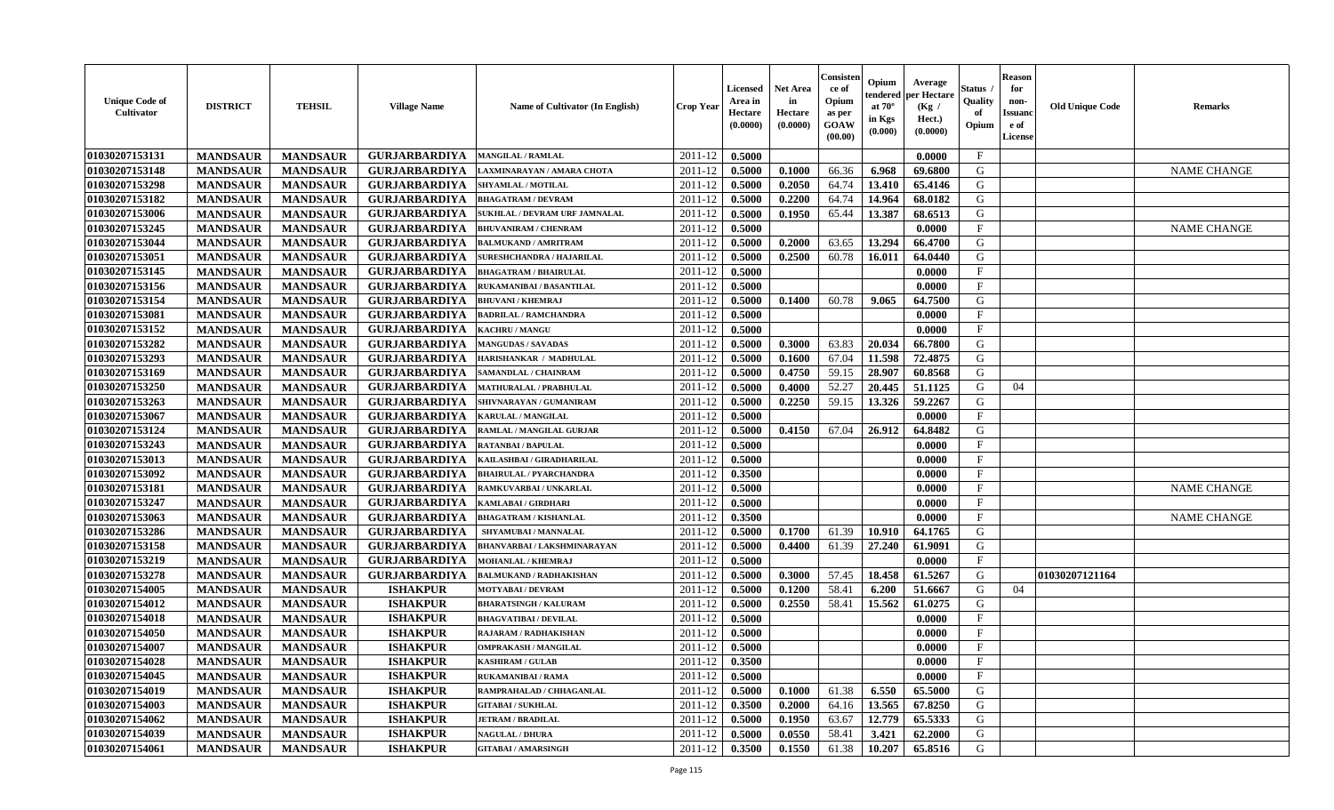| <b>Unique Code of</b><br><b>Cultivator</b> | <b>DISTRICT</b> | <b>TEHSIL</b>   | <b>Village Name</b>  | <b>Name of Cultivator (In English)</b> | <b>Crop Year</b> | Licensed<br>Area in<br>Hectare<br>(0.0000) | <b>Net Area</b><br>in<br>Hectare<br>(0.0000) | Consister<br>ce of<br>Opium<br>as per<br>GOAW<br>(00.00) | Opium<br>tendered<br>at $70^{\circ}$<br>in Kgs<br>(0.000) | Average<br>per Hectare<br>(Kg /<br>Hect.)<br>(0.0000) | Status<br>Quality<br>of<br>Opium | <b>Reason</b><br>for<br>non-<br><b>Issuano</b><br>e of<br>License | <b>Old Unique Code</b> | <b>Remarks</b>     |
|--------------------------------------------|-----------------|-----------------|----------------------|----------------------------------------|------------------|--------------------------------------------|----------------------------------------------|----------------------------------------------------------|-----------------------------------------------------------|-------------------------------------------------------|----------------------------------|-------------------------------------------------------------------|------------------------|--------------------|
| 01030207153131                             | <b>MANDSAUR</b> | <b>MANDSAUR</b> | <b>GURJARBARDIYA</b> | <b>MANGILAL / RAMLAL</b>               | 2011-12          | 0.5000                                     |                                              |                                                          |                                                           | 0.0000                                                | $\mathbf{F}$                     |                                                                   |                        |                    |
| 01030207153148                             | <b>MANDSAUR</b> | <b>MANDSAUR</b> | <b>GURJARBARDIYA</b> | LAXMINARAYAN / AMARA CHOTA             | 2011-12          | 0.5000                                     | 0.1000                                       | 66.36                                                    | 6.968                                                     | 69.6800                                               | G                                |                                                                   |                        | <b>NAME CHANGE</b> |
| 01030207153298                             | <b>MANDSAUR</b> | <b>MANDSAUR</b> | <b>GURJARBARDIYA</b> | <b>SHYAMLAL / MOTILAL</b>              | 2011-12          | 0.5000                                     | 0.2050                                       | 64.74                                                    | 13.410                                                    | 65.4146                                               | G                                |                                                                   |                        |                    |
| 01030207153182                             | <b>MANDSAUR</b> | <b>MANDSAUR</b> | <b>GURJARBARDIYA</b> | <b>BHAGATRAM / DEVRAM</b>              | 2011-12          | 0.5000                                     | 0.2200                                       | 64.74                                                    | 14.964                                                    | 68.0182                                               | G                                |                                                                   |                        |                    |
| 01030207153006                             | <b>MANDSAUR</b> | <b>MANDSAUR</b> | <b>GURJARBARDIYA</b> | SUKHLAL / DEVRAM URF JAMNALAL          | 2011-12          | 0.5000                                     | 0.1950                                       | 65.44                                                    | 13.387                                                    | 68.6513                                               | G                                |                                                                   |                        |                    |
| 01030207153245                             | <b>MANDSAUR</b> | <b>MANDSAUR</b> | <b>GURJARBARDIYA</b> | <b>BHUVANIRAM / CHENRAM</b>            | 2011-12          | 0.5000                                     |                                              |                                                          |                                                           | 0.0000                                                | $\mathbf{F}$                     |                                                                   |                        | <b>NAME CHANGE</b> |
| 01030207153044                             | <b>MANDSAUR</b> | <b>MANDSAUR</b> | <b>GURJARBARDIYA</b> | <b>BALMUKAND / AMRITRAM</b>            | 2011-12          | 0.5000                                     | 0.2000                                       | 63.65                                                    | 13.294                                                    | 66.4700                                               | G                                |                                                                   |                        |                    |
| 01030207153051                             | <b>MANDSAUR</b> | <b>MANDSAUR</b> | <b>GURJARBARDIYA</b> | <b>SURESHCHANDRA / HAJARILAL</b>       | 2011-12          | 0.5000                                     | 0.2500                                       | 60.78                                                    | 16.011                                                    | 64.0440                                               | G                                |                                                                   |                        |                    |
| 01030207153145                             | <b>MANDSAUR</b> | <b>MANDSAUR</b> | <b>GURJARBARDIYA</b> | <b>BHAGATRAM / BHAIRULAL</b>           | 2011-12          | 0.5000                                     |                                              |                                                          |                                                           | 0.0000                                                | $_{\rm F}$                       |                                                                   |                        |                    |
| 01030207153156                             | <b>MANDSAUR</b> | <b>MANDSAUR</b> | <b>GURJARBARDIYA</b> | RUKAMANIBAI / BASANTILAL               | 2011-12          | 0.5000                                     |                                              |                                                          |                                                           | 0.0000                                                | F                                |                                                                   |                        |                    |
| 01030207153154                             | <b>MANDSAUR</b> | <b>MANDSAUR</b> | <b>GURJARBARDIYA</b> | <b>BHUVANI / KHEMRAJ</b>               | 2011-12          | 0.5000                                     | 0.1400                                       | 60.78                                                    | 9.065                                                     | 64.7500                                               | G                                |                                                                   |                        |                    |
| 01030207153081                             | <b>MANDSAUR</b> | <b>MANDSAUR</b> | <b>GURJARBARDIYA</b> | <b>BADRILAL / RAMCHANDRA</b>           | 2011-12          | 0.5000                                     |                                              |                                                          |                                                           | 0.0000                                                | $\mathbf{F}$                     |                                                                   |                        |                    |
| 01030207153152                             | <b>MANDSAUR</b> | <b>MANDSAUR</b> | <b>GURJARBARDIYA</b> | <b>KACHRU / MANGU</b>                  | 2011-12          | 0.5000                                     |                                              |                                                          |                                                           | 0.0000                                                | $\mathbf{F}$                     |                                                                   |                        |                    |
| 01030207153282                             | <b>MANDSAUR</b> | <b>MANDSAUR</b> | <b>GURJARBARDIYA</b> | <b>MANGUDAS / SAVADAS</b>              | 2011-12          | 0.5000                                     | 0.3000                                       | 63.83                                                    | 20.034                                                    | 66.7800                                               | G                                |                                                                   |                        |                    |
| 01030207153293                             | <b>MANDSAUR</b> | <b>MANDSAUR</b> | <b>GURJARBARDIYA</b> | HARISHANKAR / MADHULAL                 | 2011-12          | 0.5000                                     | 0.1600                                       | 67.04                                                    | 11.598                                                    | 72.4875                                               | G                                |                                                                   |                        |                    |
| 01030207153169                             | <b>MANDSAUR</b> | <b>MANDSAUR</b> | <b>GURJARBARDIYA</b> | SAMANDLAL / CHAINRAM                   | 2011-12          | 0.5000                                     | 0.4750                                       | 59.15                                                    | 28.907                                                    | 60.8568                                               | G                                |                                                                   |                        |                    |
| 01030207153250                             | <b>MANDSAUR</b> | <b>MANDSAUR</b> | <b>GURJARBARDIYA</b> | <b>MATHURALAL / PRABHULAL</b>          | 2011-12          | 0.5000                                     | 0.4000                                       | 52.27                                                    | 20.445                                                    | 51,1125                                               | G                                | 04                                                                |                        |                    |
| 01030207153263                             | <b>MANDSAUR</b> | <b>MANDSAUR</b> | <b>GURJARBARDIYA</b> | SHIVNARAYAN / GUMANIRAM                | 2011-12          | 0.5000                                     | 0.2250                                       | 59.15                                                    | 13.326                                                    | 59,2267                                               | G                                |                                                                   |                        |                    |
| 01030207153067                             | <b>MANDSAUR</b> | <b>MANDSAUR</b> | <b>GURJARBARDIYA</b> | KARULAL / MANGILAL                     | 2011-12          | 0.5000                                     |                                              |                                                          |                                                           | 0.0000                                                | F                                |                                                                   |                        |                    |
| 01030207153124                             | <b>MANDSAUR</b> | <b>MANDSAUR</b> | <b>GURJARBARDIYA</b> | RAMLAL / MANGILAL GURJAR               | 2011-12          | 0.5000                                     | 0.4150                                       | 67.04                                                    | 26.912                                                    | 64.8482                                               | G                                |                                                                   |                        |                    |
| 01030207153243                             | <b>MANDSAUR</b> | <b>MANDSAUR</b> | <b>GURJARBARDIYA</b> | <b>RATANBAI/BAPULAL</b>                | 2011-12          | 0.5000                                     |                                              |                                                          |                                                           | 0.0000                                                | F                                |                                                                   |                        |                    |
| 01030207153013                             | <b>MANDSAUR</b> | <b>MANDSAUR</b> | <b>GURJARBARDIYA</b> | KAILASHBAI / GIRADHARILAL              | 2011-12          | 0.5000                                     |                                              |                                                          |                                                           | 0.0000                                                | $\mathbf{F}$                     |                                                                   |                        |                    |
| 01030207153092                             | <b>MANDSAUR</b> | <b>MANDSAUR</b> | <b>GURJARBARDIYA</b> | <b>BHAIRULAL / PYARCHANDRA</b>         | 2011-12          | 0.3500                                     |                                              |                                                          |                                                           | 0.0000                                                | $\mathbf{F}$                     |                                                                   |                        |                    |
| 01030207153181                             | <b>MANDSAUR</b> | <b>MANDSAUR</b> | <b>GURJARBARDIYA</b> | RAMKUVARBAI / UNKARLAL                 | 2011-12          | 0.5000                                     |                                              |                                                          |                                                           | 0.0000                                                | $\mathbf{F}$                     |                                                                   |                        | <b>NAME CHANGE</b> |
| 01030207153247                             | <b>MANDSAUR</b> | <b>MANDSAUR</b> | <b>GURJARBARDIYA</b> | KAMLABAI / GIRDHARI                    | 2011-12          | 0.5000                                     |                                              |                                                          |                                                           | 0.0000                                                | $\mathbf{F}$                     |                                                                   |                        |                    |
| 01030207153063                             | <b>MANDSAUR</b> | <b>MANDSAUR</b> | <b>GURJARBARDIYA</b> | <b>BHAGATRAM / KISHANLAL</b>           | 2011-12          | 0.3500                                     |                                              |                                                          |                                                           | 0.0000                                                | $\mathbf F$                      |                                                                   |                        | <b>NAME CHANGE</b> |
| 01030207153286                             | <b>MANDSAUR</b> | <b>MANDSAUR</b> | <b>GURJARBARDIYA</b> | SHYAMUBAI / MANNALAL                   | 2011-12          | 0.5000                                     | 0.1700                                       | 61.39                                                    | 10.910                                                    | 64.1765                                               | G                                |                                                                   |                        |                    |
| 01030207153158                             | <b>MANDSAUR</b> | <b>MANDSAUR</b> | <b>GURJARBARDIYA</b> | BHANVARBAI / LAKSHMINARAYAN            | 2011-12          | 0.5000                                     | 0.4400                                       | 61.39                                                    | 27.240                                                    | 61.9091                                               | G                                |                                                                   |                        |                    |
| 01030207153219                             | <b>MANDSAUR</b> | <b>MANDSAUR</b> | <b>GURJARBARDIYA</b> | <b>MOHANLAL / KHEMRAJ</b>              | 2011-12          | 0.5000                                     |                                              |                                                          |                                                           | 0.0000                                                | $\mathbf{F}$                     |                                                                   |                        |                    |
| 01030207153278                             | <b>MANDSAUR</b> | <b>MANDSAUR</b> | <b>GURJARBARDIYA</b> | <b>BALMUKAND / RADHAKISHAN</b>         | 2011-12          | 0.5000                                     | 0.3000                                       | 57.45                                                    | 18.458                                                    | 61.5267                                               | G                                |                                                                   | 01030207121164         |                    |
| 01030207154005                             | <b>MANDSAUR</b> | <b>MANDSAUR</b> | <b>ISHAKPUR</b>      | <b>MOTYABAI/DEVRAM</b>                 | 2011-12          | 0.5000                                     | 0.1200                                       | 58.41                                                    | 6.200                                                     | 51.6667                                               | G                                | 04                                                                |                        |                    |
| 01030207154012                             | <b>MANDSAUR</b> | <b>MANDSAUR</b> | <b>ISHAKPUR</b>      | <b>BHARATSINGH / KALURAM</b>           | 2011-12          | 0.5000                                     | 0.2550                                       | 58.41                                                    | 15.562                                                    | 61.0275                                               | G                                |                                                                   |                        |                    |
| 01030207154018                             | <b>MANDSAUR</b> | <b>MANDSAUR</b> | <b>ISHAKPUR</b>      | <b>BHAGVATIBAI/DEVILAL</b>             | 2011-12          | 0.5000                                     |                                              |                                                          |                                                           | 0.0000                                                | $\mathbf{F}$                     |                                                                   |                        |                    |
| 01030207154050                             | <b>MANDSAUR</b> | <b>MANDSAUR</b> | <b>ISHAKPUR</b>      | <b>RAJARAM / RADHAKISHAN</b>           | 2011-12          | 0.5000                                     |                                              |                                                          |                                                           | 0.0000                                                | $\mathbf F$                      |                                                                   |                        |                    |
| 01030207154007                             | <b>MANDSAUR</b> | <b>MANDSAUR</b> | <b>ISHAKPUR</b>      | <b>OMPRAKASH / MANGILAL</b>            | 2011-12          | 0.5000                                     |                                              |                                                          |                                                           | 0.0000                                                | $\mathbf{F}$                     |                                                                   |                        |                    |
| 01030207154028                             | <b>MANDSAUR</b> | MANDSAUR        | <b>ISHAKPUR</b>      | <b>KASHIRAM / GULAB</b>                | $2011-12$ 0.3500 |                                            |                                              |                                                          |                                                           | 0.0000                                                | F                                |                                                                   |                        |                    |
| 01030207154045                             | <b>MANDSAUR</b> | <b>MANDSAUR</b> | <b>ISHAKPUR</b>      | <b>RUKAMANIBAI / RAMA</b>              | 2011-12          | 0.5000                                     |                                              |                                                          |                                                           | 0.0000                                                | $\mathbf{F}$                     |                                                                   |                        |                    |
| 01030207154019                             | <b>MANDSAUR</b> | <b>MANDSAUR</b> | <b>ISHAKPUR</b>      | RAMPRAHALAD / CHHAGANLAL               | 2011-12          | 0.5000                                     | 0.1000                                       | 61.38                                                    | 6.550                                                     | 65.5000                                               | G                                |                                                                   |                        |                    |
| 01030207154003                             | <b>MANDSAUR</b> | <b>MANDSAUR</b> | <b>ISHAKPUR</b>      | <b>GITABAI/SUKHLAL</b>                 | 2011-12          | 0.3500                                     | 0.2000                                       | 64.16                                                    | 13.565                                                    | 67.8250                                               | G                                |                                                                   |                        |                    |
| 01030207154062                             | <b>MANDSAUR</b> | <b>MANDSAUR</b> | <b>ISHAKPUR</b>      | <b>JETRAM / BRADILAL</b>               | 2011-12          | 0.5000                                     | 0.1950                                       | 63.67                                                    | 12.779                                                    | 65.5333                                               | G                                |                                                                   |                        |                    |
| 01030207154039                             | <b>MANDSAUR</b> | <b>MANDSAUR</b> | <b>ISHAKPUR</b>      | <b>NAGULAL / DHURA</b>                 | 2011-12          | 0.5000                                     | 0.0550                                       | 58.41                                                    | 3.421                                                     | 62.2000                                               | G                                |                                                                   |                        |                    |
| 01030207154061                             | <b>MANDSAUR</b> | <b>MANDSAUR</b> | <b>ISHAKPUR</b>      | <b>GITABAI/AMARSINGH</b>               | 2011-12          | 0.3500                                     | 0.1550                                       | 61.38                                                    | 10.207                                                    | 65.8516                                               | G                                |                                                                   |                        |                    |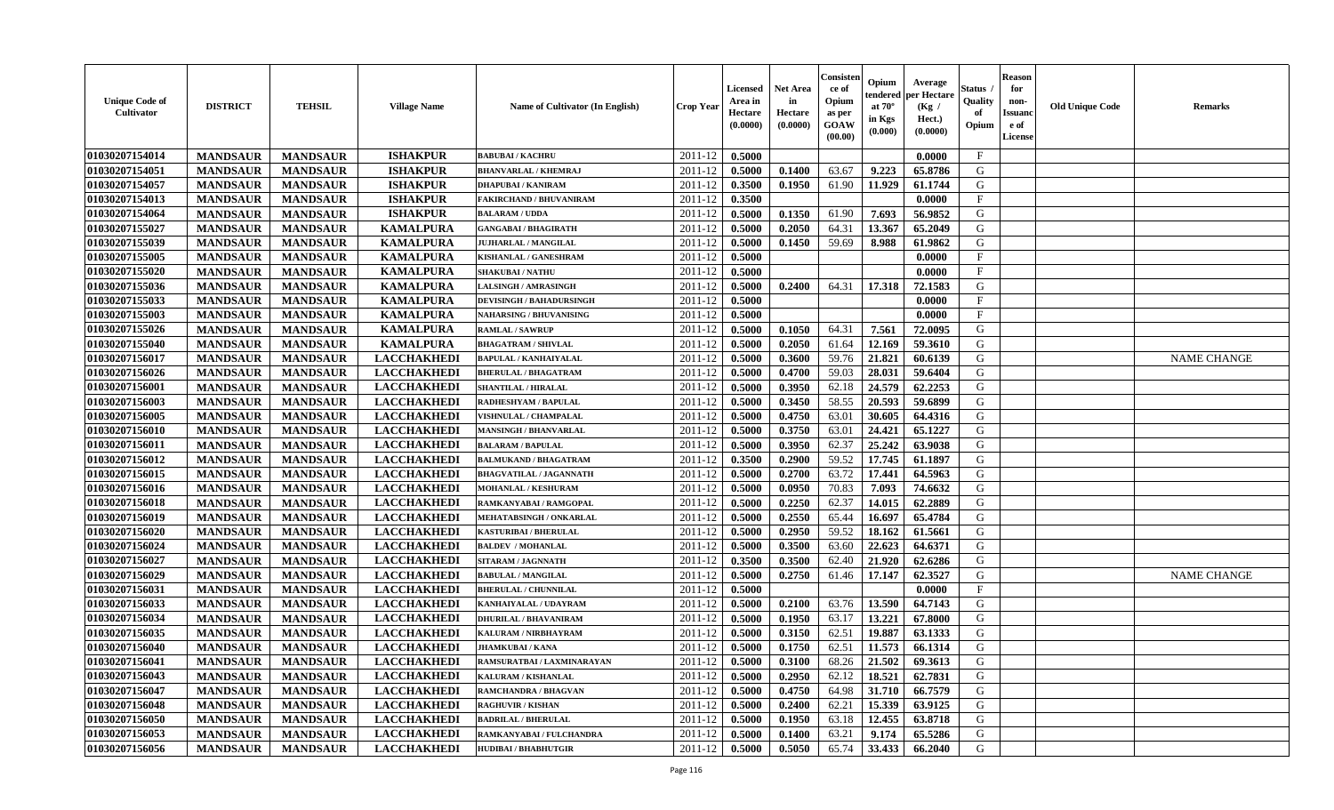| <b>Unique Code of</b><br>Cultivator | <b>DISTRICT</b> | <b>TEHSIL</b>   | <b>Village Name</b> | <b>Name of Cultivator (In English)</b> | <b>Crop Year</b> | Licensed<br>Area in<br>Hectare<br>(0.0000) | <b>Net Area</b><br>in<br>Hectare<br>(0.0000) | Consisteı<br>ce of<br>Opium<br>as per<br>GOAW<br>(00.00) | Opium<br>endered<br>at $70^\circ$<br>in Kgs<br>(0.000) | Average<br>per Hectare<br>(Kg /<br>Hect.)<br>(0.0000) | Status<br>Quality<br>of<br>Opium | <b>Reason</b><br>for<br>non-<br>Issuano<br>e of<br>License | <b>Old Unique Code</b> | Remarks            |
|-------------------------------------|-----------------|-----------------|---------------------|----------------------------------------|------------------|--------------------------------------------|----------------------------------------------|----------------------------------------------------------|--------------------------------------------------------|-------------------------------------------------------|----------------------------------|------------------------------------------------------------|------------------------|--------------------|
| 01030207154014                      | <b>MANDSAUR</b> | <b>MANDSAUR</b> | <b>ISHAKPUR</b>     | <b>BABUBAI/KACHRU</b>                  | 2011-12          | 0.5000                                     |                                              |                                                          |                                                        | 0.0000                                                | $\mathbf{F}$                     |                                                            |                        |                    |
| 01030207154051                      | <b>MANDSAUR</b> | <b>MANDSAUR</b> | <b>ISHAKPUR</b>     | <b>BHANVARLAL / KHEMRAJ</b>            | 2011-12          | 0.5000                                     | 0.1400                                       | 63.67                                                    | 9.223                                                  | 65.8786                                               | G                                |                                                            |                        |                    |
| 01030207154057                      | <b>MANDSAUR</b> | <b>MANDSAUR</b> | <b>ISHAKPUR</b>     | <b>DHAPUBAI/KANIRAM</b>                | 2011-12          | 0.3500                                     | 0.1950                                       | 61.90                                                    | 11.929                                                 | 61.1744                                               | G                                |                                                            |                        |                    |
| 01030207154013                      | <b>MANDSAUR</b> | <b>MANDSAUR</b> | <b>ISHAKPUR</b>     | <b>FAKIRCHAND / BHUVANIRAM</b>         | 2011-12          | 0.3500                                     |                                              |                                                          |                                                        | 0.0000                                                | $\mathbf{F}$                     |                                                            |                        |                    |
| 01030207154064                      | <b>MANDSAUR</b> | <b>MANDSAUR</b> | <b>ISHAKPUR</b>     | <b>BALARAM / UDDA</b>                  | 2011-12          | 0.5000                                     | 0.1350                                       | 61.90                                                    | 7.693                                                  | 56.9852                                               | G                                |                                                            |                        |                    |
| 01030207155027                      | <b>MANDSAUR</b> | <b>MANDSAUR</b> | <b>KAMALPURA</b>    | <b>GANGABAI / BHAGIRATH</b>            | 2011-12          | 0.5000                                     | 0.2050                                       | 64.31                                                    | 13.367                                                 | 65.2049                                               | G                                |                                                            |                        |                    |
| 01030207155039                      | <b>MANDSAUR</b> | <b>MANDSAUR</b> | <b>KAMALPURA</b>    | <b>JUJHARLAL / MANGILAL</b>            | 2011-12          | 0.5000                                     | 0.1450                                       | 59.69                                                    | 8.988                                                  | 61.9862                                               | G                                |                                                            |                        |                    |
| 01030207155005                      | <b>MANDSAUR</b> | <b>MANDSAUR</b> | <b>KAMALPURA</b>    | KISHANLAL / GANESHRAM                  | 2011-12          | 0.5000                                     |                                              |                                                          |                                                        | 0.0000                                                | $\rm F$                          |                                                            |                        |                    |
| 01030207155020                      | <b>MANDSAUR</b> | <b>MANDSAUR</b> | <b>KAMALPURA</b>    | <b>SHAKUBAI/NATHU</b>                  | 2011-12          | 0.5000                                     |                                              |                                                          |                                                        | 0.0000                                                | $\mathbf{F}$                     |                                                            |                        |                    |
| 01030207155036                      | <b>MANDSAUR</b> | <b>MANDSAUR</b> | <b>KAMALPURA</b>    | <b>LALSINGH / AMRASINGH</b>            | 2011-12          | 0.5000                                     | 0.2400                                       | 64.31                                                    | 17.318                                                 | 72.1583                                               | G                                |                                                            |                        |                    |
| 01030207155033                      | <b>MANDSAUR</b> | <b>MANDSAUR</b> | <b>KAMALPURA</b>    | <b>DEVISINGH / BAHADURSINGH</b>        | 2011-12          | 0.5000                                     |                                              |                                                          |                                                        | 0.0000                                                | F                                |                                                            |                        |                    |
| 01030207155003                      | <b>MANDSAUR</b> | <b>MANDSAUR</b> | <b>KAMALPURA</b>    | <b>NAHARSING / BHUVANISING</b>         | 2011-12          | 0.5000                                     |                                              |                                                          |                                                        | 0.0000                                                | $\mathbf{F}$                     |                                                            |                        |                    |
| 01030207155026                      | <b>MANDSAUR</b> | <b>MANDSAUR</b> | <b>KAMALPURA</b>    | <b>RAMLAL / SAWRUP</b>                 | 2011-12          | 0.5000                                     | 0.1050                                       | 64.31                                                    | 7.561                                                  | 72.0095                                               | G                                |                                                            |                        |                    |
| 01030207155040                      | <b>MANDSAUR</b> | <b>MANDSAUR</b> | <b>KAMALPURA</b>    | <b>BHAGATRAM / SHIVLAL</b>             | 2011-12          | 0.5000                                     | 0.2050                                       | 61.64                                                    | 12.169                                                 | 59.3610                                               | G                                |                                                            |                        |                    |
| 01030207156017                      | <b>MANDSAUR</b> | <b>MANDSAUR</b> | <b>LACCHAKHEDI</b>  | <b>BAPULAL / KANHAIYALAL</b>           | 2011-12          | 0.5000                                     | 0.3600                                       | 59.76                                                    | 21.821                                                 | 60.6139                                               | ${\bf G}$                        |                                                            |                        | <b>NAME CHANGE</b> |
| 01030207156026                      | <b>MANDSAUR</b> | <b>MANDSAUR</b> | <b>LACCHAKHEDI</b>  | <b>BHERULAL / BHAGATRAM</b>            | 2011-12          | 0.5000                                     | 0.4700                                       | 59.03                                                    | 28.031                                                 | 59.6404                                               | G                                |                                                            |                        |                    |
| 01030207156001                      | <b>MANDSAUR</b> | <b>MANDSAUR</b> | <b>LACCHAKHEDI</b>  | SHANTILAL / HIRALAL                    | 2011-12          | 0.5000                                     | 0.3950                                       | 62.18                                                    | 24.579                                                 | 62.2253                                               | G                                |                                                            |                        |                    |
| 01030207156003                      | <b>MANDSAUR</b> | <b>MANDSAUR</b> | <b>LACCHAKHEDI</b>  | RADHESHYAM / BAPULAL                   | 2011-12          | 0.5000                                     | 0.3450                                       | 58.55                                                    | 20.593                                                 | 59.6899                                               | G                                |                                                            |                        |                    |
| 01030207156005                      | <b>MANDSAUR</b> | <b>MANDSAUR</b> | <b>LACCHAKHEDI</b>  | <b>VISHNULAL / CHAMPALAL</b>           | 2011-12          | 0.5000                                     | 0.4750                                       | 63.01                                                    | 30.605                                                 | 64.4316                                               | G                                |                                                            |                        |                    |
| 01030207156010                      | <b>MANDSAUR</b> | <b>MANDSAUR</b> | <b>LACCHAKHEDI</b>  | <b>MANSINGH / BHANVARLAL</b>           | 2011-12          | 0.5000                                     | 0.3750                                       | 63.01                                                    | 24.421                                                 | 65.1227                                               | G                                |                                                            |                        |                    |
| 01030207156011                      | <b>MANDSAUR</b> | <b>MANDSAUR</b> | <b>LACCHAKHEDI</b>  | <b>BALARAM / BAPULAL</b>               | 2011-12          | 0.5000                                     | 0.3950                                       | 62.37                                                    | 25.242                                                 | 63.9038                                               | G                                |                                                            |                        |                    |
| 01030207156012                      | <b>MANDSAUR</b> | <b>MANDSAUR</b> | <b>LACCHAKHEDI</b>  | <b>BALMUKAND / BHAGATRAM</b>           | 2011-12          | 0.3500                                     | 0.2900                                       | 59.52                                                    | 17.745                                                 | 61.1897                                               | G                                |                                                            |                        |                    |
| 01030207156015                      | <b>MANDSAUR</b> | <b>MANDSAUR</b> | <b>LACCHAKHEDI</b>  | <b>BHAGVATILAL / JAGANNATH</b>         | 2011-12          | 0.5000                                     | 0.2700                                       | 63.72                                                    | 17.441                                                 | 64.5963                                               | G                                |                                                            |                        |                    |
| 01030207156016                      | <b>MANDSAUR</b> | <b>MANDSAUR</b> | <b>LACCHAKHEDI</b>  | <b>MOHANLAL / KESHURAM</b>             | 2011-12          | 0.5000                                     | 0.0950                                       | 70.83                                                    | 7.093                                                  | 74.6632                                               | G                                |                                                            |                        |                    |
| 01030207156018                      | <b>MANDSAUR</b> | <b>MANDSAUR</b> | <b>LACCHAKHEDI</b>  | RAMKANYABAI / RAMGOPAL                 | 2011-12          | 0.5000                                     | 0.2250                                       | 62.37                                                    | 14.015                                                 | 62.2889                                               | G                                |                                                            |                        |                    |
| 01030207156019                      | <b>MANDSAUR</b> | <b>MANDSAUR</b> | <b>LACCHAKHEDI</b>  | MEHATABSINGH / ONKARLAL                | 2011-12          | 0.5000                                     | 0.2550                                       | 65.44                                                    | 16.697                                                 | 65.4784                                               | G                                |                                                            |                        |                    |
| 01030207156020                      | <b>MANDSAUR</b> | <b>MANDSAUR</b> | <b>LACCHAKHEDI</b>  | <b>KASTURIBAI / BHERULAL</b>           | 2011-12          | 0.5000                                     | 0.2950                                       | 59.52                                                    | 18.162                                                 | 61.5661                                               | G                                |                                                            |                        |                    |
| 01030207156024                      | <b>MANDSAUR</b> | <b>MANDSAUR</b> | <b>LACCHAKHEDI</b>  | <b>BALDEV / MOHANLAL</b>               | 2011-12          | 0.5000                                     | 0.3500                                       | 63.60                                                    | 22.623                                                 | 64.6371                                               | G                                |                                                            |                        |                    |
| 01030207156027                      | <b>MANDSAUR</b> | <b>MANDSAUR</b> | <b>LACCHAKHEDI</b>  | SITARAM / JAGNNATH                     | 2011-12          | 0.3500                                     | 0.3500                                       | 62.40                                                    | 21.920                                                 | 62.6286                                               | G                                |                                                            |                        |                    |
| 01030207156029                      | <b>MANDSAUR</b> | <b>MANDSAUR</b> | <b>LACCHAKHEDI</b>  | <b>BABULAL / MANGILAL</b>              | 2011-12          | 0.5000                                     | 0.2750                                       | 61.46                                                    | 17.147                                                 | 62.3527                                               | G                                |                                                            |                        | <b>NAME CHANGE</b> |
| 01030207156031                      | <b>MANDSAUR</b> | <b>MANDSAUR</b> | <b>LACCHAKHEDI</b>  | <b>BHERULAL / CHUNNILAL</b>            | 2011-12          | 0.5000                                     |                                              |                                                          |                                                        | 0.0000                                                | $\mathbf{F}$                     |                                                            |                        |                    |
| 01030207156033                      | <b>MANDSAUR</b> | <b>MANDSAUR</b> | <b>LACCHAKHEDI</b>  | KANHAIYALAL / UDAYRAM                  | 2011-12          | 0.5000                                     | 0.2100                                       | 63.76                                                    | 13.590                                                 | 64.7143                                               | G                                |                                                            |                        |                    |
| 01030207156034                      | <b>MANDSAUR</b> | <b>MANDSAUR</b> | <b>LACCHAKHEDI</b>  | <b>DHURILAL / BHAVANIRAM</b>           | 2011-12          | 0.5000                                     | 0.1950                                       | 63.17                                                    | 13.221                                                 | 67.8000                                               | G                                |                                                            |                        |                    |
| 01030207156035                      | <b>MANDSAUR</b> | <b>MANDSAUR</b> | <b>LACCHAKHEDI</b>  | KALURAM / NIRBHAYRAM                   | 2011-12          | 0.5000                                     | 0.3150                                       | 62.51                                                    | 19.887                                                 | 63.1333                                               | G                                |                                                            |                        |                    |
| 01030207156040                      | <b>MANDSAUR</b> | <b>MANDSAUR</b> | <b>LACCHAKHEDI</b>  | <b>JHAMKUBAI/KANA</b>                  | 2011-12          | 0.5000                                     | 0.1750                                       | 62.51                                                    | 11.573                                                 | 66.1314                                               | G                                |                                                            |                        |                    |
| 01030207156041                      | <b>MANDSAUR</b> | <b>MANDSAUR</b> | <b>LACCHAKHEDI</b>  | RAMSURATBAI / LAXMINARAYAN             | 2011-12          | 0.5000                                     | 0.3100                                       | 68.26                                                    | 21.502                                                 | 69.3613                                               | G                                |                                                            |                        |                    |
| 01030207156043                      | <b>MANDSAUR</b> | <b>MANDSAUR</b> | <b>LACCHAKHEDI</b>  | KALURAM / KISHANLAL                    | 2011-12          | 0.5000                                     | 0.2950                                       | 62.12                                                    | 18.521                                                 | 62.7831                                               | G                                |                                                            |                        |                    |
| 01030207156047                      | <b>MANDSAUR</b> | <b>MANDSAUR</b> | <b>LACCHAKHEDI</b>  | RAMCHANDRA / BHAGVAN                   | 2011-12          | 0.5000                                     | 0.4750                                       | 64.98                                                    | 31.710                                                 | 66.7579                                               | G                                |                                                            |                        |                    |
| 01030207156048                      | <b>MANDSAUR</b> | <b>MANDSAUR</b> | <b>LACCHAKHEDI</b>  | <b>RAGHUVIR / KISHAN</b>               | 2011-12          | 0.5000                                     | 0.2400                                       | 62.21                                                    | 15.339                                                 | 63.9125                                               | G                                |                                                            |                        |                    |
| 01030207156050                      | <b>MANDSAUR</b> | <b>MANDSAUR</b> | <b>LACCHAKHEDI</b>  | <b>BADRILAL / BHERULAL</b>             | 2011-12          | 0.5000                                     | 0.1950                                       | 63.18                                                    | 12.455                                                 | 63.8718                                               | ${\bf G}$                        |                                                            |                        |                    |
| 01030207156053                      | <b>MANDSAUR</b> | <b>MANDSAUR</b> | <b>LACCHAKHEDI</b>  | RAMKANYABAI / FULCHANDRA               | 2011-12          | 0.5000                                     | 0.1400                                       | 63.21                                                    | 9.174                                                  | 65.5286                                               | G                                |                                                            |                        |                    |
| 01030207156056                      | <b>MANDSAUR</b> | <b>MANDSAUR</b> | <b>LACCHAKHEDI</b>  | <b>HUDIBAI/BHABHUTGIR</b>              | 2011-12          | 0.5000                                     | 0.5050                                       | 65.74                                                    | 33.433                                                 | 66.2040                                               | G                                |                                                            |                        |                    |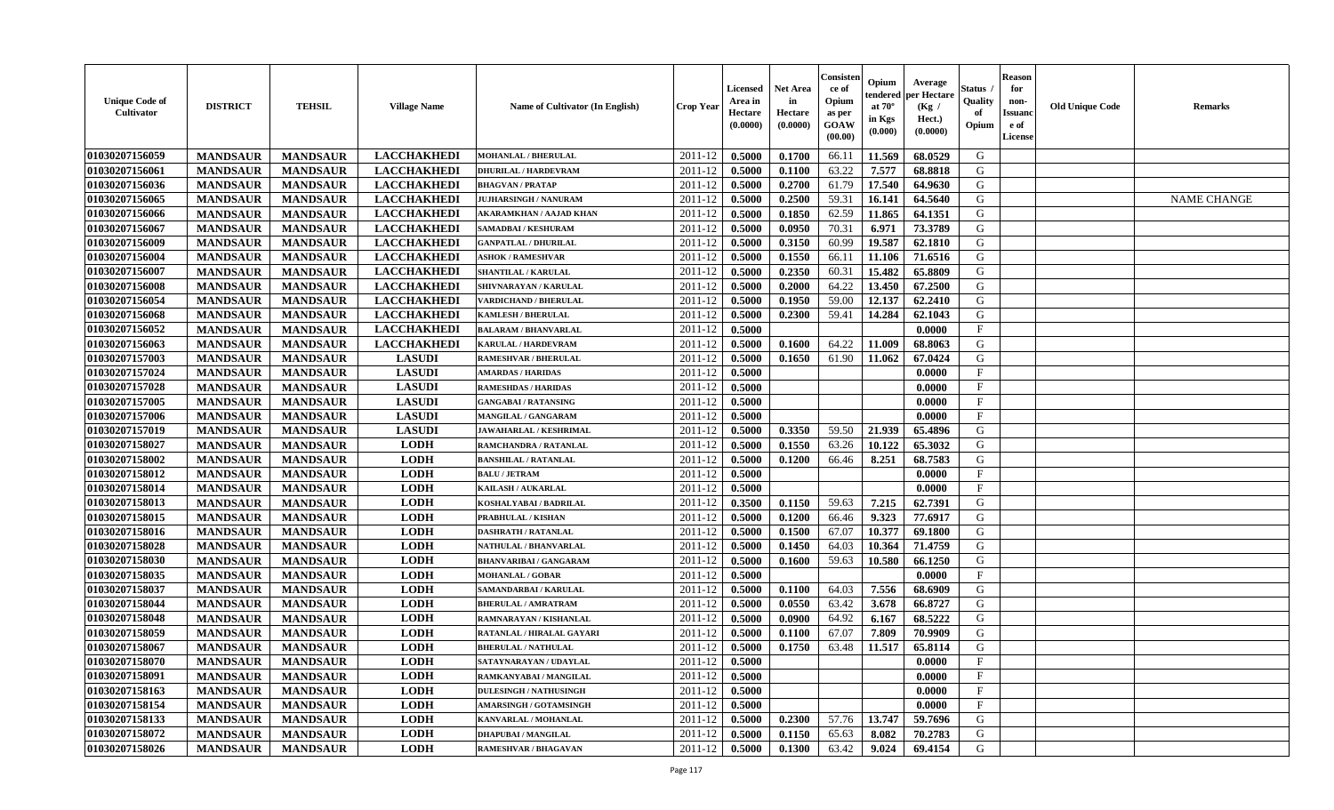| <b>Unique Code of</b><br><b>Cultivator</b> | <b>DISTRICT</b> | <b>TEHSIL</b>   | <b>Village Name</b> | <b>Name of Cultivator (In English)</b> | <b>Crop Year</b> | Licensed<br>Area in<br>Hectare<br>(0.0000) | <b>Net Area</b><br>in<br>Hectare<br>(0.0000) | Consister<br>ce of<br>Opium<br>as per<br><b>GOAW</b><br>(00.00) | Opium<br>endered<br>at $70^{\circ}$<br>in Kgs<br>$(\mathbf{0.000})$ | Average<br>per Hectare<br>(Kg /<br>Hect.)<br>(0.0000) | Status<br>Quality<br>of<br>Opium | <b>Reason</b><br>for<br>non-<br><b>Issuano</b><br>e of<br>License | <b>Old Unique Code</b> | <b>Remarks</b>     |
|--------------------------------------------|-----------------|-----------------|---------------------|----------------------------------------|------------------|--------------------------------------------|----------------------------------------------|-----------------------------------------------------------------|---------------------------------------------------------------------|-------------------------------------------------------|----------------------------------|-------------------------------------------------------------------|------------------------|--------------------|
| 01030207156059                             | <b>MANDSAUR</b> | <b>MANDSAUR</b> | <b>LACCHAKHEDI</b>  | <b>MOHANLAL / BHERULAL</b>             | 2011-12          | 0.5000                                     | 0.1700                                       | 66.11                                                           | 11.569                                                              | 68.0529                                               | G                                |                                                                   |                        |                    |
| 01030207156061                             | <b>MANDSAUR</b> | <b>MANDSAUR</b> | <b>LACCHAKHEDI</b>  | <b>DHURILAL / HARDEVRAM</b>            | 2011-12          | 0.5000                                     | 0.1100                                       | 63.22                                                           | 7.577                                                               | 68.8818                                               | G                                |                                                                   |                        |                    |
| 01030207156036                             | <b>MANDSAUR</b> | <b>MANDSAUR</b> | <b>LACCHAKHEDI</b>  | <b>BHAGVAN / PRATAP</b>                | 2011-12          | 0.5000                                     | 0.2700                                       | 61.79                                                           | 17.540                                                              | 64.9630                                               | G                                |                                                                   |                        |                    |
| 01030207156065                             | <b>MANDSAUR</b> | <b>MANDSAUR</b> | <b>LACCHAKHEDI</b>  | <b>JUJHARSINGH / NANURAM</b>           | 2011-12          | 0.5000                                     | 0.2500                                       | 59.31                                                           | 16.141                                                              | 64.5640                                               | G                                |                                                                   |                        | <b>NAME CHANGE</b> |
| 01030207156066                             | <b>MANDSAUR</b> | <b>MANDSAUR</b> | <b>LACCHAKHEDI</b>  | AKARAMKHAN / AAJAD KHAN                | 2011-12          | 0.5000                                     | 0.1850                                       | 62.59                                                           | 11.865                                                              | 64.1351                                               | G                                |                                                                   |                        |                    |
| 01030207156067                             | <b>MANDSAUR</b> | <b>MANDSAUR</b> | <b>LACCHAKHEDI</b>  | <b>SAMADBAI / KESHURAM</b>             | 2011-12          | 0.5000                                     | 0.0950                                       | 70.31                                                           | 6.971                                                               | 73.3789                                               | G                                |                                                                   |                        |                    |
| 01030207156009                             | <b>MANDSAUR</b> | <b>MANDSAUR</b> | <b>LACCHAKHEDI</b>  | <b>GANPATLAL / DHURILAL</b>            | 2011-12          | 0.5000                                     | 0.3150                                       | 60.99                                                           | 19.587                                                              | 62.1810                                               | G                                |                                                                   |                        |                    |
| 01030207156004                             | <b>MANDSAUR</b> | <b>MANDSAUR</b> | <b>LACCHAKHEDI</b>  | <b>ASHOK / RAMESHVAR</b>               | 2011-12          | 0.5000                                     | 0.1550                                       | 66.11                                                           | 11.106                                                              | 71.6516                                               | G                                |                                                                   |                        |                    |
| 01030207156007                             | <b>MANDSAUR</b> | <b>MANDSAUR</b> | <b>LACCHAKHEDI</b>  | <b>SHANTILAL / KARULAL</b>             | 2011-12          | 0.5000                                     | 0.2350                                       | 60.31                                                           | 15.482                                                              | 65.8809                                               | G                                |                                                                   |                        |                    |
| 01030207156008                             | <b>MANDSAUR</b> | <b>MANDSAUR</b> | <b>LACCHAKHEDI</b>  | SHIVNARAYAN / KARULAL                  | 2011-12          | 0.5000                                     | 0.2000                                       | 64.22                                                           | 13.450                                                              | 67.2500                                               | G                                |                                                                   |                        |                    |
| 01030207156054                             | <b>MANDSAUR</b> | <b>MANDSAUR</b> | <b>LACCHAKHEDI</b>  | VARDICHAND / BHERULAL                  | 2011-12          | 0.5000                                     | 0.1950                                       | 59.00                                                           | 12.137                                                              | 62.2410                                               | G                                |                                                                   |                        |                    |
| 01030207156068                             | <b>MANDSAUR</b> | <b>MANDSAUR</b> | <b>LACCHAKHEDI</b>  | <b>KAMLESH / BHERULAL</b>              | 2011-12          | 0.5000                                     | 0.2300                                       | 59.41                                                           | 14.284                                                              | 62.1043                                               | G                                |                                                                   |                        |                    |
| 01030207156052                             | <b>MANDSAUR</b> | <b>MANDSAUR</b> | <b>LACCHAKHEDI</b>  | <b>BALARAM / BHANVARLAL</b>            | 2011-12          | 0.5000                                     |                                              |                                                                 |                                                                     | 0.0000                                                | $\mathbf{F}$                     |                                                                   |                        |                    |
| 01030207156063                             | <b>MANDSAUR</b> | <b>MANDSAUR</b> | <b>LACCHAKHEDI</b>  | KARULAL / HARDEVRAM                    | 2011-12          | 0.5000                                     | 0.1600                                       | 64.22                                                           | 11.009                                                              | 68.8063                                               | G                                |                                                                   |                        |                    |
| 01030207157003                             | <b>MANDSAUR</b> | <b>MANDSAUR</b> | <b>LASUDI</b>       | <b>RAMESHVAR / BHERULAL</b>            | 2011-12          | 0.5000                                     | 0.1650                                       | 61.90                                                           | 11.062                                                              | 67.0424                                               | G                                |                                                                   |                        |                    |
| 01030207157024                             | <b>MANDSAUR</b> | <b>MANDSAUR</b> | <b>LASUDI</b>       | <b>AMARDAS / HARIDAS</b>               | 2011-12          | 0.5000                                     |                                              |                                                                 |                                                                     | 0.0000                                                | F                                |                                                                   |                        |                    |
| 01030207157028                             | <b>MANDSAUR</b> | <b>MANDSAUR</b> | <b>LASUDI</b>       | <b>RAMESHDAS / HARIDAS</b>             | 2011-12          | 0.5000                                     |                                              |                                                                 |                                                                     | 0.0000                                                | $\mathbf{F}$                     |                                                                   |                        |                    |
| 01030207157005                             | <b>MANDSAUR</b> | <b>MANDSAUR</b> | <b>LASUDI</b>       | <b>GANGABAI / RATANSING</b>            | 2011-12          | 0.5000                                     |                                              |                                                                 |                                                                     | 0.0000                                                | $\mathbf{F}$                     |                                                                   |                        |                    |
| 01030207157006                             | <b>MANDSAUR</b> | <b>MANDSAUR</b> | <b>LASUDI</b>       | MANGILAL / GANGARAM                    | 2011-12          | 0.5000                                     |                                              |                                                                 |                                                                     | 0.0000                                                | F                                |                                                                   |                        |                    |
| 01030207157019                             | <b>MANDSAUR</b> | <b>MANDSAUR</b> | <b>LASUDI</b>       | <b>JAWAHARLAL / KESHRIMAL</b>          | 2011-12          | 0.5000                                     | 0.3350                                       | 59.50                                                           | 21.939                                                              | 65.4896                                               | G                                |                                                                   |                        |                    |
| 01030207158027                             | <b>MANDSAUR</b> | <b>MANDSAUR</b> | <b>LODH</b>         | RAMCHANDRA / RATANLAL                  | 2011-12          | 0.5000                                     | 0.1550                                       | 63.26                                                           | 10.122                                                              | 65.3032                                               | G                                |                                                                   |                        |                    |
| 01030207158002                             | <b>MANDSAUR</b> | <b>MANDSAUR</b> | <b>LODH</b>         | <b>BANSHILAL / RATANLAL</b>            | 2011-12          | 0.5000                                     | 0.1200                                       | 66.46                                                           | 8.251                                                               | 68.7583                                               | G                                |                                                                   |                        |                    |
| 01030207158012                             | <b>MANDSAUR</b> | <b>MANDSAUR</b> | <b>LODH</b>         | <b>BALU / JETRAM</b>                   | 2011-12          | 0.5000                                     |                                              |                                                                 |                                                                     | 0.0000                                                | $\mathbf{F}$                     |                                                                   |                        |                    |
| 01030207158014                             | <b>MANDSAUR</b> | <b>MANDSAUR</b> | <b>LODH</b>         | KAILASH / AUKARLAL                     | 2011-12          | 0.5000                                     |                                              |                                                                 |                                                                     | 0.0000                                                | $\mathbf{F}$                     |                                                                   |                        |                    |
| 01030207158013                             | <b>MANDSAUR</b> | <b>MANDSAUR</b> | <b>LODH</b>         | KOSHALYABAI / BADRILAL                 | 2011-12          | 0.3500                                     | 0.1150                                       | 59.63                                                           | 7.215                                                               | 62.7391                                               | G                                |                                                                   |                        |                    |
| 01030207158015                             | <b>MANDSAUR</b> | <b>MANDSAUR</b> | <b>LODH</b>         | PRABHULAL / KISHAN                     | 2011-12          | 0.5000                                     | 0.1200                                       | 66.46                                                           | 9.323                                                               | 77.6917                                               | G                                |                                                                   |                        |                    |
| 01030207158016                             | <b>MANDSAUR</b> | <b>MANDSAUR</b> | <b>LODH</b>         | DASHRATH / RATANLAL                    | 2011-12          | 0.5000                                     | 0.1500                                       | 67.07                                                           | 10.377                                                              | 69.1800                                               | G                                |                                                                   |                        |                    |
| 01030207158028                             | <b>MANDSAUR</b> | <b>MANDSAUR</b> | <b>LODH</b>         | NATHULAL / BHANVARLAL                  | 2011-12          | 0.5000                                     | 0.1450                                       | 64.03                                                           | 10.364                                                              | 71.4759                                               | G                                |                                                                   |                        |                    |
| 01030207158030                             | <b>MANDSAUR</b> | <b>MANDSAUR</b> | <b>LODH</b>         | <b>BHANVARIBAI / GANGARAM</b>          | 2011-12          | 0.5000                                     | 0.1600                                       | 59.63                                                           | 10.580                                                              | 66.1250                                               | G                                |                                                                   |                        |                    |
| 01030207158035                             | <b>MANDSAUR</b> | <b>MANDSAUR</b> | <b>LODH</b>         | <b>MOHANLAL / GOBAR</b>                | 2011-12          | 0.5000                                     |                                              |                                                                 |                                                                     | 0.0000                                                | $\mathbf{F}$                     |                                                                   |                        |                    |
| 01030207158037                             | <b>MANDSAUR</b> | <b>MANDSAUR</b> | <b>LODH</b>         | SAMANDARBAI / KARULAL                  | 2011-12          | 0.5000                                     | 0.1100                                       | 64.03                                                           | 7.556                                                               | 68.6909                                               | G                                |                                                                   |                        |                    |
| 01030207158044                             | <b>MANDSAUR</b> | <b>MANDSAUR</b> | <b>LODH</b>         | <b>BHERULAL / AMRATRAM</b>             | 2011-12          | 0.5000                                     | 0.0550                                       | 63.42                                                           | 3.678                                                               | 66.8727                                               | G                                |                                                                   |                        |                    |
| 01030207158048                             | <b>MANDSAUR</b> | <b>MANDSAUR</b> | <b>LODH</b>         | RAMNARAYAN / KISHANLAL                 | 2011-12          | 0.5000                                     | 0.0900                                       | 64.92                                                           | 6.167                                                               | 68.5222                                               | G                                |                                                                   |                        |                    |
| 01030207158059                             | <b>MANDSAUR</b> | <b>MANDSAUR</b> | <b>LODH</b>         | RATANLAL / HIRALAL GAYARI              | 2011-12          | 0.5000                                     | 0.1100                                       | 67.07                                                           | 7.809                                                               | 70.9909                                               | G                                |                                                                   |                        |                    |
| 01030207158067                             | <b>MANDSAUR</b> | <b>MANDSAUR</b> | <b>LODH</b>         | <b>BHERULAL / NATHULAL</b>             | 2011-12          | 0.5000                                     | 0.1750                                       | 63.48                                                           | 11.517                                                              | 65.8114                                               | G                                |                                                                   |                        |                    |
| 01030207158070                             | <b>MANDSAUR</b> | <b>MANDSAUR</b> | <b>LODH</b>         | SATAYNARAYAN / UDAYLAL                 | $2011-12$ 0.5000 |                                            |                                              |                                                                 |                                                                     | 0.0000                                                | F                                |                                                                   |                        |                    |
| 01030207158091                             | <b>MANDSAUR</b> | <b>MANDSAUR</b> | <b>LODH</b>         | RAMKANYABAI / MANGILAL                 | 2011-12          | 0.5000                                     |                                              |                                                                 |                                                                     | 0.0000                                                | $\mathbf{F}$                     |                                                                   |                        |                    |
| 01030207158163                             | <b>MANDSAUR</b> | <b>MANDSAUR</b> | <b>LODH</b>         | <b>DULESINGH / NATHUSINGH</b>          | 2011-12          | 0.5000                                     |                                              |                                                                 |                                                                     | 0.0000                                                | $\mathbf{F}$                     |                                                                   |                        |                    |
| 01030207158154                             | <b>MANDSAUR</b> | <b>MANDSAUR</b> | <b>LODH</b>         | <b>AMARSINGH / GOTAMSINGH</b>          | 2011-12          | 0.5000                                     |                                              |                                                                 |                                                                     | 0.0000                                                | $\mathbf{F}$                     |                                                                   |                        |                    |
| 01030207158133                             | <b>MANDSAUR</b> | <b>MANDSAUR</b> | <b>LODH</b>         | KANVARLAL / MOHANLAL                   | 2011-12          | 0.5000                                     | 0.2300                                       | 57.76                                                           | 13.747                                                              | 59.7696                                               | G                                |                                                                   |                        |                    |
| 01030207158072                             | <b>MANDSAUR</b> | <b>MANDSAUR</b> | <b>LODH</b>         | <b>DHAPUBAI/MANGILAL</b>               | 2011-12          | 0.5000                                     | 0.1150                                       | 65.63                                                           | 8.082                                                               | 70.2783                                               | G                                |                                                                   |                        |                    |
| 01030207158026                             | <b>MANDSAUR</b> | <b>MANDSAUR</b> | <b>LODH</b>         | <b>RAMESHVAR / BHAGAVAN</b>            | 2011-12          | 0.5000                                     | 0.1300                                       | 63.42                                                           | 9.024                                                               | 69.4154                                               | G                                |                                                                   |                        |                    |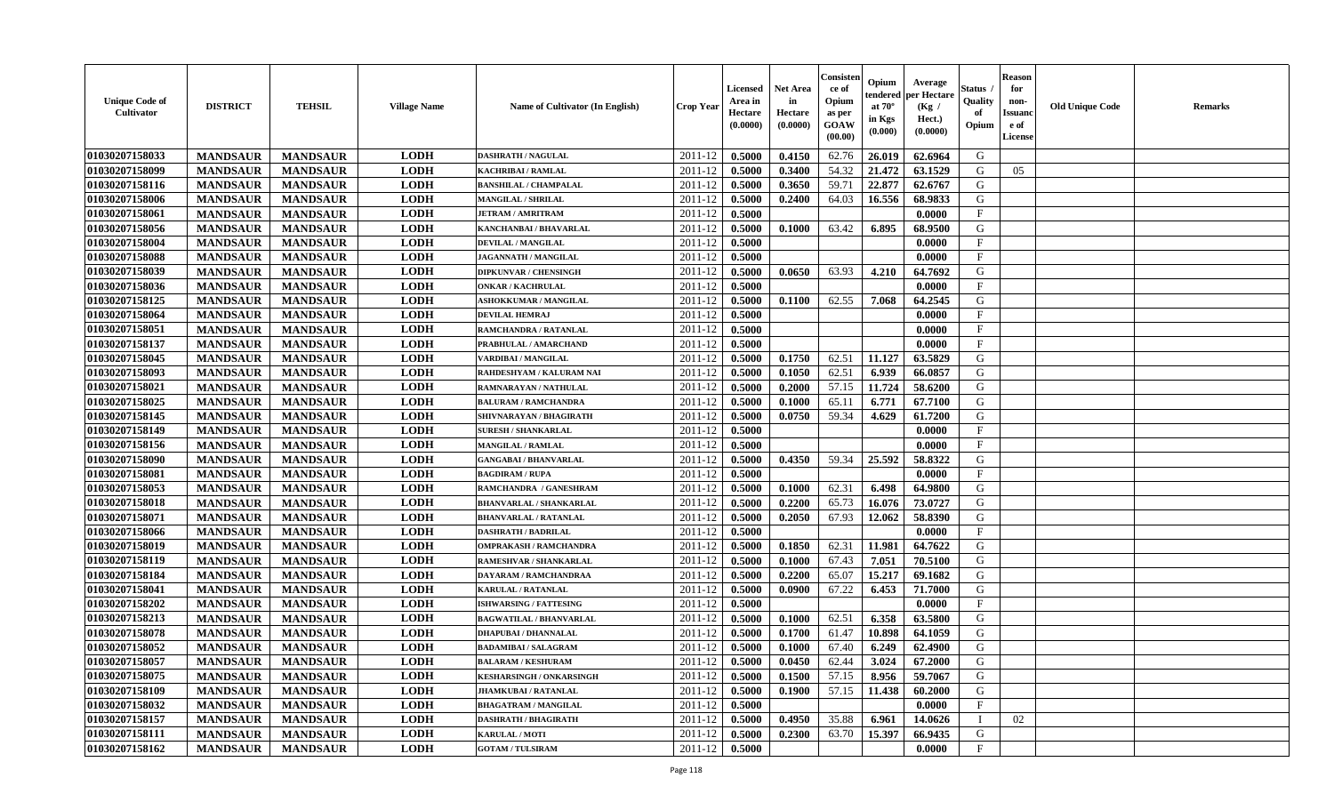| <b>Unique Code of</b><br><b>Cultivator</b> | <b>DISTRICT</b> | <b>TEHSIL</b>   | <b>Village Name</b> | Name of Cultivator (In English) | <b>Crop Year</b> | <b>Licensed</b><br>Area in<br>Hectare<br>(0.0000) | <b>Net Area</b><br>in<br>Hectare<br>(0.0000) | Consisteı<br>ce of<br>Opium<br>as per<br>GOAW<br>(00.00) | Opium<br>endered<br>at $70^\circ$<br>in Kgs<br>(0.000) | Average<br>per Hectare<br>(Kg /<br>Hect.)<br>(0.0000) | Status<br>Quality<br>of<br>Opium | <b>Reason</b><br>for<br>non-<br><b>Issuand</b><br>e of<br><b>License</b> | <b>Old Unique Code</b> | <b>Remarks</b> |
|--------------------------------------------|-----------------|-----------------|---------------------|---------------------------------|------------------|---------------------------------------------------|----------------------------------------------|----------------------------------------------------------|--------------------------------------------------------|-------------------------------------------------------|----------------------------------|--------------------------------------------------------------------------|------------------------|----------------|
| 01030207158033                             | <b>MANDSAUR</b> | <b>MANDSAUR</b> | <b>LODH</b>         | <b>DASHRATH / NAGULAL</b>       | 2011-12          | 0.5000                                            | 0.4150                                       | 62.76                                                    | 26.019                                                 | 62.6964                                               | G                                |                                                                          |                        |                |
| 01030207158099                             | <b>MANDSAUR</b> | <b>MANDSAUR</b> | <b>LODH</b>         | KACHRIBAI / RAMLAL              | 2011-12          | 0.5000                                            | 0.3400                                       | 54.32                                                    | 21.472                                                 | 63.1529                                               | G                                | 05                                                                       |                        |                |
| 01030207158116                             | <b>MANDSAUR</b> | <b>MANDSAUR</b> | <b>LODH</b>         | <b>BANSHILAL / CHAMPALAL</b>    | 2011-12          | 0.5000                                            | 0.3650                                       | 59.71                                                    | 22.877                                                 | 62.6767                                               | G                                |                                                                          |                        |                |
| 01030207158006                             | <b>MANDSAUR</b> | <b>MANDSAUR</b> | <b>LODH</b>         | <b>MANGILAL / SHRILAL</b>       | 2011-12          | 0.5000                                            | 0.2400                                       | 64.03                                                    | 16.556                                                 | 68.9833                                               | G                                |                                                                          |                        |                |
| 01030207158061                             | <b>MANDSAUR</b> | <b>MANDSAUR</b> | <b>LODH</b>         | <b>JETRAM / AMRITRAM</b>        | 2011-12          | 0.5000                                            |                                              |                                                          |                                                        | 0.0000                                                | $\mathbf{F}$                     |                                                                          |                        |                |
| 01030207158056                             | <b>MANDSAUR</b> | <b>MANDSAUR</b> | <b>LODH</b>         | KANCHANBAI / BHAVARLAL          | 2011-12          | 0.5000                                            | 0.1000                                       | 63.42                                                    | 6.895                                                  | 68.9500                                               | G                                |                                                                          |                        |                |
| 01030207158004                             | <b>MANDSAUR</b> | <b>MANDSAUR</b> | <b>LODH</b>         | <b>DEVILAL / MANGILAL</b>       | 2011-12          | 0.5000                                            |                                              |                                                          |                                                        | 0.0000                                                | $\rm F$                          |                                                                          |                        |                |
| 01030207158088                             | <b>MANDSAUR</b> | <b>MANDSAUR</b> | <b>LODH</b>         | JAGANNATH / MANGILAL            | 2011-12          | 0.5000                                            |                                              |                                                          |                                                        | 0.0000                                                | $\mathbf{F}$                     |                                                                          |                        |                |
| 01030207158039                             | <b>MANDSAUR</b> | <b>MANDSAUR</b> | <b>LODH</b>         | <b>DIPKUNVAR / CHENSINGH</b>    | 2011-12          | 0.5000                                            | 0.0650                                       | 63.93                                                    | 4.210                                                  | 64.7692                                               | G                                |                                                                          |                        |                |
| 01030207158036                             | <b>MANDSAUR</b> | <b>MANDSAUR</b> | <b>LODH</b>         | <b>ONKAR / KACHRULAL</b>        | 2011-12          | 0.5000                                            |                                              |                                                          |                                                        | 0.0000                                                | $\mathbf{F}$                     |                                                                          |                        |                |
| 01030207158125                             | <b>MANDSAUR</b> | <b>MANDSAUR</b> | <b>LODH</b>         | ASHOKKUMAR / MANGILAL           | 2011-12          | 0.5000                                            | 0.1100                                       | 62.55                                                    | 7.068                                                  | 64.2545                                               | G                                |                                                                          |                        |                |
| 01030207158064                             | <b>MANDSAUR</b> | <b>MANDSAUR</b> | <b>LODH</b>         | <b>DEVILAL HEMRAJ</b>           | 2011-12          | 0.5000                                            |                                              |                                                          |                                                        | 0.0000                                                | F                                |                                                                          |                        |                |
| 01030207158051                             | <b>MANDSAUR</b> | <b>MANDSAUR</b> | <b>LODH</b>         | RAMCHANDRA / RATANLAL           | 2011-12          | 0.5000                                            |                                              |                                                          |                                                        | 0.0000                                                | F                                |                                                                          |                        |                |
| 01030207158137                             | <b>MANDSAUR</b> | <b>MANDSAUR</b> | <b>LODH</b>         | PRABHULAL / AMARCHAND           | 2011-12          | 0.5000                                            |                                              |                                                          |                                                        | 0.0000                                                | F                                |                                                                          |                        |                |
| 01030207158045                             | <b>MANDSAUR</b> | <b>MANDSAUR</b> | <b>LODH</b>         | VARDIBAI / MANGILAL             | 2011-12          | 0.5000                                            | 0.1750                                       | 62.51                                                    | 11.127                                                 | 63.5829                                               | G                                |                                                                          |                        |                |
| 01030207158093                             | <b>MANDSAUR</b> | <b>MANDSAUR</b> | <b>LODH</b>         | RAHDESHYAM / KALURAM NAI        | 2011-12          | 0.5000                                            | 0.1050                                       | 62.51                                                    | 6.939                                                  | 66.0857                                               | G                                |                                                                          |                        |                |
| 01030207158021                             | <b>MANDSAUR</b> | <b>MANDSAUR</b> | <b>LODH</b>         | RAMNARAYAN / NATHULAL           | 2011-12          | 0.5000                                            | 0.2000                                       | 57.15                                                    | 11.724                                                 | 58.6200                                               | G                                |                                                                          |                        |                |
| 01030207158025                             | <b>MANDSAUR</b> | <b>MANDSAUR</b> | <b>LODH</b>         | <b>BALURAM / RAMCHANDRA</b>     | 2011-12          | 0.5000                                            | 0.1000                                       | 65.11                                                    | 6.771                                                  | 67.7100                                               | G                                |                                                                          |                        |                |
| 01030207158145                             | <b>MANDSAUR</b> | <b>MANDSAUR</b> | <b>LODH</b>         | SHIVNARAYAN / BHAGIRATH         | 2011-12          | 0.5000                                            | 0.0750                                       | 59.34                                                    | 4.629                                                  | 61.7200                                               | G                                |                                                                          |                        |                |
| 01030207158149                             | <b>MANDSAUR</b> | <b>MANDSAUR</b> | <b>LODH</b>         | <b>SURESH / SHANKARLAL</b>      | 2011-12          | 0.5000                                            |                                              |                                                          |                                                        | 0.0000                                                | $\mathbf{F}$                     |                                                                          |                        |                |
| 01030207158156                             | <b>MANDSAUR</b> | <b>MANDSAUR</b> | <b>LODH</b>         | <b>MANGILAL / RAMLAL</b>        | 2011-12          | 0.5000                                            |                                              |                                                          |                                                        | 0.0000                                                | $_{\rm F}$                       |                                                                          |                        |                |
| 01030207158090                             | <b>MANDSAUR</b> | <b>MANDSAUR</b> | <b>LODH</b>         | <b>GANGABAI / BHANVARLAL</b>    | 2011-12          | 0.5000                                            | 0.4350                                       | 59.34                                                    | 25.592                                                 | 58.8322                                               | G                                |                                                                          |                        |                |
| 01030207158081                             | <b>MANDSAUR</b> | <b>MANDSAUR</b> | <b>LODH</b>         | <b>BAGDIRAM / RUPA</b>          | 2011-12          | 0.5000                                            |                                              |                                                          |                                                        | 0.0000                                                | $\mathbf{F}$                     |                                                                          |                        |                |
| 01030207158053                             | <b>MANDSAUR</b> | <b>MANDSAUR</b> | <b>LODH</b>         | RAMCHANDRA / GANESHRAM          | 2011-12          | 0.5000                                            | 0.1000                                       | 62.31                                                    | 6.498                                                  | 64.9800                                               | G                                |                                                                          |                        |                |
| 01030207158018                             | <b>MANDSAUR</b> | <b>MANDSAUR</b> | <b>LODH</b>         | <b>BHANVARLAL / SHANKARLAL</b>  | 2011-12          | 0.5000                                            | 0.2200                                       | 65.73                                                    | 16.076                                                 | 73.0727                                               | G                                |                                                                          |                        |                |
| 01030207158071                             | <b>MANDSAUR</b> | <b>MANDSAUR</b> | <b>LODH</b>         | <b>BHANVARLAL / RATANLAL</b>    | 2011-12          | 0.5000                                            | 0.2050                                       | 67.93                                                    | 12.062                                                 | 58.8390                                               | G                                |                                                                          |                        |                |
| 01030207158066                             | <b>MANDSAUR</b> | <b>MANDSAUR</b> | <b>LODH</b>         | <b>DASHRATH / BADRILAL</b>      | 2011-12          | 0.5000                                            |                                              |                                                          |                                                        | 0.0000                                                | $\mathbf{F}$                     |                                                                          |                        |                |
| 01030207158019                             | <b>MANDSAUR</b> | <b>MANDSAUR</b> | <b>LODH</b>         | <b>OMPRAKASH / RAMCHANDRA</b>   | 2011-12          | 0.5000                                            | 0.1850                                       | 62.31                                                    | 11.981                                                 | 64.7622                                               | G                                |                                                                          |                        |                |
| 01030207158119                             | <b>MANDSAUR</b> | <b>MANDSAUR</b> | <b>LODH</b>         | RAMESHVAR / SHANKARLAL          | 2011-12          | 0.5000                                            | 0.1000                                       | 67.43                                                    | 7.051                                                  | 70.5100                                               | G                                |                                                                          |                        |                |
| 01030207158184                             | <b>MANDSAUR</b> | <b>MANDSAUR</b> | <b>LODH</b>         | <b>DAYARAM / RAMCHANDRAA</b>    | 2011-12          | 0.5000                                            | 0.2200                                       | 65.07                                                    | 15.217                                                 | 69.1682                                               | G                                |                                                                          |                        |                |
| 01030207158041                             | <b>MANDSAUR</b> | <b>MANDSAUR</b> | <b>LODH</b>         | <b>KARULAL / RATANLAL</b>       | 2011-12          | 0.5000                                            | 0.0900                                       | 67.22                                                    | 6.453                                                  | 71.7000                                               | ${\bf G}$                        |                                                                          |                        |                |
| 01030207158202                             | <b>MANDSAUR</b> | <b>MANDSAUR</b> | <b>LODH</b>         | <b>ISHWARSING / FATTESING</b>   | 2011-12          | 0.5000                                            |                                              |                                                          |                                                        | 0.0000                                                | $_{\rm F}$                       |                                                                          |                        |                |
| 01030207158213                             | <b>MANDSAUR</b> | <b>MANDSAUR</b> | <b>LODH</b>         | <b>BAGWATILAL / BHANVARLAL</b>  | 2011-12          | 0.5000                                            | 0.1000                                       | 62.51                                                    | 6.358                                                  | 63.5800                                               | G                                |                                                                          |                        |                |
| 01030207158078                             | <b>MANDSAUR</b> | <b>MANDSAUR</b> | <b>LODH</b>         | <b>DHAPUBAI / DHANNALAL</b>     | 2011-12          | 0.5000                                            | 0.1700                                       | 61.47                                                    | 10.898                                                 | 64.1059                                               | G                                |                                                                          |                        |                |
| 01030207158052                             | <b>MANDSAUR</b> | <b>MANDSAUR</b> | <b>LODH</b>         | <b>BADAMIBAI / SALAGRAM</b>     | 2011-12          | 0.5000                                            | 0.1000                                       | 67.40                                                    | 6.249                                                  | 62.4900                                               | G                                |                                                                          |                        |                |
| 01030207158057                             | <b>MANDSAUR</b> | <b>MANDSAUR</b> | <b>LODH</b>         | <b>BALARAM / KESHURAM</b>       | 2011-12          | 0.5000                                            | 0.0450                                       | 62.44                                                    | 3.024                                                  | 67.2000                                               | G                                |                                                                          |                        |                |
| 01030207158075                             | <b>MANDSAUR</b> | <b>MANDSAUR</b> | <b>LODH</b>         | <b>KESHARSINGH / ONKARSINGH</b> | 2011-12          | 0.5000                                            | 0.1500                                       | 57.15                                                    | 8.956                                                  | 59.7067                                               | G                                |                                                                          |                        |                |
| 01030207158109                             | <b>MANDSAUR</b> | <b>MANDSAUR</b> | <b>LODH</b>         | <b>JHAMKUBAI/RATANLAI</b>       | 2011-12          | 0.5000                                            | 0.1900                                       | 57.15                                                    | 11.438                                                 | 60.2000                                               | G                                |                                                                          |                        |                |
| 01030207158032                             | <b>MANDSAUR</b> | <b>MANDSAUR</b> | <b>LODH</b>         | <b>BHAGATRAM / MANGILAL</b>     | 2011-12          | 0.5000                                            |                                              |                                                          |                                                        | 0.0000                                                | F                                |                                                                          |                        |                |
| 01030207158157                             | <b>MANDSAUR</b> | <b>MANDSAUR</b> | <b>LODH</b>         | <b>DASHRATH / BHAGIRATH</b>     | 2011-12          | 0.5000                                            | 0.4950                                       | 35.88                                                    | 6.961                                                  | 14.0626                                               |                                  | 02                                                                       |                        |                |
| 01030207158111                             | <b>MANDSAUR</b> | <b>MANDSAUR</b> | <b>LODH</b>         | <b>KARULAL / MOTI</b>           | 2011-12          | 0.5000                                            | 0.2300                                       | 63.70                                                    | 15.397                                                 | 66.9435                                               | G                                |                                                                          |                        |                |
| 01030207158162                             | <b>MANDSAUR</b> | <b>MANDSAUR</b> | <b>LODH</b>         | <b>GOTAM / TULSIRAM</b>         | 2011-12          | 0.5000                                            |                                              |                                                          |                                                        | 0.0000                                                | F                                |                                                                          |                        |                |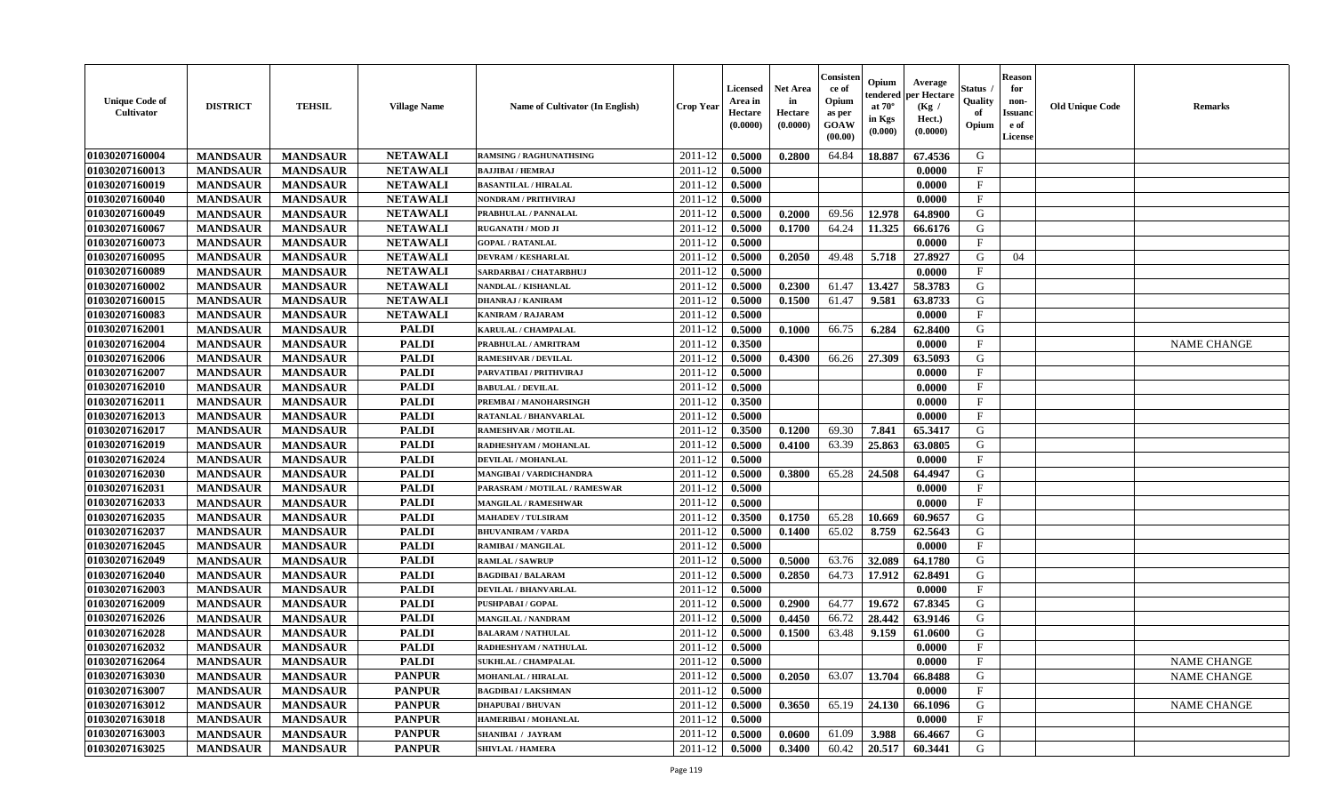| <b>Unique Code of</b><br><b>Cultivator</b> | <b>DISTRICT</b> | <b>TEHSIL</b>   | <b>Village Name</b> | Name of Cultivator (In English) | <b>Crop Year</b> | <b>Licensed</b><br>Area in<br>Hectare<br>(0.0000) | <b>Net Area</b><br>in<br>Hectare<br>(0.0000) | Consister<br>ce of<br>Opium<br>as per<br>GOAW<br>(00.00) | Opium<br>endered<br>at $70^\circ$<br>in Kgs<br>(0.000) | Average<br>per Hectare<br>(Kg /<br>Hect.)<br>(0.0000) | Status<br>Quality<br>of<br>Opium | <b>Reason</b><br>for<br>non-<br><b>Issuand</b><br>e of<br>License | <b>Old Unique Code</b> | Remarks            |
|--------------------------------------------|-----------------|-----------------|---------------------|---------------------------------|------------------|---------------------------------------------------|----------------------------------------------|----------------------------------------------------------|--------------------------------------------------------|-------------------------------------------------------|----------------------------------|-------------------------------------------------------------------|------------------------|--------------------|
| 01030207160004                             | <b>MANDSAUR</b> | <b>MANDSAUR</b> | <b>NETAWALI</b>     | <b>RAMSING / RAGHUNATHSING</b>  | 2011-12          | 0.5000                                            | 0.2800                                       | 64.84                                                    | 18.887                                                 | 67.4536                                               | G                                |                                                                   |                        |                    |
| 01030207160013                             | <b>MANDSAUR</b> | <b>MANDSAUR</b> | <b>NETAWALI</b>     | <b>BAJJIBAI / HEMRAJ</b>        | 2011-12          | 0.5000                                            |                                              |                                                          |                                                        | 0.0000                                                | $\mathbf{F}$                     |                                                                   |                        |                    |
| 01030207160019                             | <b>MANDSAUR</b> | <b>MANDSAUR</b> | <b>NETAWALI</b>     | <b>BASANTILAL / HIRALAL</b>     | 2011-12          | 0.5000                                            |                                              |                                                          |                                                        | 0.0000                                                | $\mathbf{F}$                     |                                                                   |                        |                    |
| 01030207160040                             | <b>MANDSAUR</b> | <b>MANDSAUR</b> | <b>NETAWALI</b>     | NONDRAM / PRITHVIRAJ            | 2011-12          | 0.5000                                            |                                              |                                                          |                                                        | 0.0000                                                | $\mathbf{F}$                     |                                                                   |                        |                    |
| 01030207160049                             | <b>MANDSAUR</b> | <b>MANDSAUR</b> | <b>NETAWALI</b>     | PRABHULAL / PANNALAL            | 2011-12          | 0.5000                                            | 0.2000                                       | 69.56                                                    | 12.978                                                 | 64.8900                                               | G                                |                                                                   |                        |                    |
| 01030207160067                             | <b>MANDSAUR</b> | <b>MANDSAUR</b> | <b>NETAWALI</b>     | <b>RUGANATH / MOD JI</b>        | 2011-12          | 0.5000                                            | 0.1700                                       | 64.24                                                    | 11.325                                                 | 66.6176                                               | G                                |                                                                   |                        |                    |
| 01030207160073                             | <b>MANDSAUR</b> | <b>MANDSAUR</b> | <b>NETAWALI</b>     | <b>GOPAL / RATANLAL</b>         | 2011-12          | 0.5000                                            |                                              |                                                          |                                                        | 0.0000                                                | $\mathbf{F}$                     |                                                                   |                        |                    |
| 01030207160095                             | <b>MANDSAUR</b> | <b>MANDSAUR</b> | <b>NETAWALI</b>     | <b>DEVRAM / KESHARLAL</b>       | 2011-12          | 0.5000                                            | 0.2050                                       | 49.48                                                    | 5.718                                                  | 27.8927                                               | G                                | 04                                                                |                        |                    |
| 01030207160089                             | <b>MANDSAUR</b> | <b>MANDSAUR</b> | <b>NETAWALI</b>     | SARDARBAI / CHATARBHUJ          | 2011-12          | 0.5000                                            |                                              |                                                          |                                                        | 0.0000                                                | $\mathbf{F}$                     |                                                                   |                        |                    |
| 01030207160002                             | <b>MANDSAUR</b> | <b>MANDSAUR</b> | <b>NETAWALI</b>     | NANDLAL / KISHANLAL             | 2011-12          | 0.5000                                            | 0.2300                                       | 61.47                                                    | 13.427                                                 | 58.3783                                               | G                                |                                                                   |                        |                    |
| 01030207160015                             | <b>MANDSAUR</b> | <b>MANDSAUR</b> | <b>NETAWALI</b>     | <b>DHANRAJ / KANIRAM</b>        | 2011-12          | 0.5000                                            | 0.1500                                       | 61.47                                                    | 9.581                                                  | 63.8733                                               | G                                |                                                                   |                        |                    |
| 01030207160083                             | <b>MANDSAUR</b> | <b>MANDSAUR</b> | <b>NETAWALI</b>     | <b>KANIRAM / RAJARAM</b>        | 2011-12          | 0.5000                                            |                                              |                                                          |                                                        | 0.0000                                                | $\mathbf{F}$                     |                                                                   |                        |                    |
| 01030207162001                             | <b>MANDSAUR</b> | <b>MANDSAUR</b> | <b>PALDI</b>        | <b>KARULAL / CHAMPALAL</b>      | 2011-12          | 0.5000                                            | 0.1000                                       | 66.75                                                    | 6.284                                                  | 62.8400                                               | G                                |                                                                   |                        |                    |
| 01030207162004                             | <b>MANDSAUR</b> | <b>MANDSAUR</b> | <b>PALDI</b>        | PRABHULAL / AMRITRAM            | 2011-12          | 0.3500                                            |                                              |                                                          |                                                        | 0.0000                                                | F                                |                                                                   |                        | <b>NAME CHANGE</b> |
| 01030207162006                             | <b>MANDSAUR</b> | <b>MANDSAUR</b> | <b>PALDI</b>        | <b>RAMESHVAR / DEVILAL</b>      | 2011-12          | 0.5000                                            | 0.4300                                       | 66.26                                                    | 27.309                                                 | 63.5093                                               | $\mathbf G$                      |                                                                   |                        |                    |
| 01030207162007                             | <b>MANDSAUR</b> | <b>MANDSAUR</b> | <b>PALDI</b>        | PARVATIBAI / PRITHVIRAJ         | 2011-12          | 0.5000                                            |                                              |                                                          |                                                        | 0.0000                                                | $\mathbf{F}$                     |                                                                   |                        |                    |
| 01030207162010                             | <b>MANDSAUR</b> | <b>MANDSAUR</b> | <b>PALDI</b>        | <b>BABULAL / DEVILAL</b>        | 2011-12          | 0.5000                                            |                                              |                                                          |                                                        | 0.0000                                                | $\mathbf{F}$                     |                                                                   |                        |                    |
| 01030207162011                             | <b>MANDSAUR</b> | <b>MANDSAUR</b> | <b>PALDI</b>        | PREMBAI / MANOHARSINGH          | 2011-12          | 0.3500                                            |                                              |                                                          |                                                        | 0.0000                                                | $_{\rm F}$                       |                                                                   |                        |                    |
| 01030207162013                             | <b>MANDSAUR</b> | <b>MANDSAUR</b> | <b>PALDI</b>        | RATANLAL / BHANVARLAL           | 2011-12          | 0.5000                                            |                                              |                                                          |                                                        | 0.0000                                                | $\mathbf{F}$                     |                                                                   |                        |                    |
| 01030207162017                             | <b>MANDSAUR</b> | <b>MANDSAUR</b> | <b>PALDI</b>        | <b>RAMESHVAR / MOTILAL</b>      | 2011-12          | 0.3500                                            | 0.1200                                       | 69.30                                                    | 7.841                                                  | 65.3417                                               | G                                |                                                                   |                        |                    |
| 01030207162019                             | <b>MANDSAUR</b> | <b>MANDSAUR</b> | <b>PALDI</b>        | RADHESHYAM / MOHANLAL           | 2011-12          | 0.5000                                            | 0.4100                                       | 63.39                                                    | 25.863                                                 | 63.0805                                               | G                                |                                                                   |                        |                    |
| 01030207162024                             | <b>MANDSAUR</b> | <b>MANDSAUR</b> | <b>PALDI</b>        | <b>DEVILAL / MOHANLAL</b>       | 2011-12          | 0.5000                                            |                                              |                                                          |                                                        | 0.0000                                                | $_{\rm F}$                       |                                                                   |                        |                    |
| 01030207162030                             | <b>MANDSAUR</b> | <b>MANDSAUR</b> | <b>PALDI</b>        | <b>MANGIBAI/VARDICHANDRA</b>    | 2011-12          | 0.5000                                            | 0.3800                                       | 65.28                                                    | 24.508                                                 | 64.4947                                               | G                                |                                                                   |                        |                    |
| 01030207162031                             | <b>MANDSAUR</b> | <b>MANDSAUR</b> | <b>PALDI</b>        | PARASRAM / MOTILAL / RAMESWAR   | 2011-12          | 0.5000                                            |                                              |                                                          |                                                        | 0.0000                                                | $\rm F$                          |                                                                   |                        |                    |
| 01030207162033                             | <b>MANDSAUR</b> | <b>MANDSAUR</b> | <b>PALDI</b>        | <b>MANGILAL / RAMESHWAR</b>     | 2011-12          | 0.5000                                            |                                              |                                                          |                                                        | 0.0000                                                | $\mathbf{F}$                     |                                                                   |                        |                    |
| 01030207162035                             | <b>MANDSAUR</b> | <b>MANDSAUR</b> | <b>PALDI</b>        | <b>MAHADEV / TULSIRAM</b>       | 2011-12          | 0.3500                                            | 0.1750                                       | 65.28                                                    | 10.669                                                 | 60.9657                                               | G                                |                                                                   |                        |                    |
| 01030207162037                             | <b>MANDSAUR</b> | <b>MANDSAUR</b> | <b>PALDI</b>        | <b>BHUVANIRAM / VARDA</b>       | 2011-12          | 0.5000                                            | 0.1400                                       | 65.02                                                    | 8.759                                                  | 62.5643                                               | G                                |                                                                   |                        |                    |
| 01030207162045                             | <b>MANDSAUR</b> | <b>MANDSAUR</b> | <b>PALDI</b>        | <b>RAMIBAI / MANGILAL</b>       | 2011-12          | 0.5000                                            |                                              |                                                          |                                                        | 0.0000                                                | $\mathbf{F}$                     |                                                                   |                        |                    |
| 01030207162049                             | <b>MANDSAUR</b> | <b>MANDSAUR</b> | <b>PALDI</b>        | <b>RAMLAL / SAWRUP</b>          | 2011-12          | 0.5000                                            | 0.5000                                       | 63.76                                                    | 32.089                                                 | 64.1780                                               | G                                |                                                                   |                        |                    |
| 01030207162040                             | <b>MANDSAUR</b> | <b>MANDSAUR</b> | <b>PALDI</b>        | <b>BAGDIBAI / BALARAM</b>       | 2011-12          | 0.5000                                            | 0.2850                                       | 64.73                                                    | 17.912                                                 | 62.8491                                               | G                                |                                                                   |                        |                    |
| 01030207162003                             | <b>MANDSAUR</b> | <b>MANDSAUR</b> | <b>PALDI</b>        | <b>DEVILAL / BHANVARLAL</b>     | 2011-12          | 0.5000                                            |                                              |                                                          |                                                        | 0.0000                                                | $\mathbf{F}$                     |                                                                   |                        |                    |
| 01030207162009                             | <b>MANDSAUR</b> | <b>MANDSAUR</b> | <b>PALDI</b>        | <b>PUSHPABAI/GOPAL</b>          | 2011-12          | 0.5000                                            | 0.2900                                       | 64.77                                                    | 19.672                                                 | 67.8345                                               | G                                |                                                                   |                        |                    |
| 01030207162026                             | <b>MANDSAUR</b> | <b>MANDSAUR</b> | <b>PALDI</b>        | <b>MANGILAL / NANDRAM</b>       | 2011-12          | 0.5000                                            | 0.4450                                       | 66.72                                                    | 28.442                                                 | 63.9146                                               | G                                |                                                                   |                        |                    |
| 01030207162028                             | <b>MANDSAUR</b> | <b>MANDSAUR</b> | <b>PALDI</b>        | <b>BALARAM / NATHULAL</b>       | 2011-12          | 0.5000                                            | 0.1500                                       | 63.48                                                    | 9.159                                                  | 61.0600                                               | G                                |                                                                   |                        |                    |
| 01030207162032                             | <b>MANDSAUR</b> | <b>MANDSAUR</b> | <b>PALDI</b>        | RADHESHYAM / NATHULAL           | 2011-12          | 0.5000                                            |                                              |                                                          |                                                        | 0.0000                                                | F                                |                                                                   |                        |                    |
| 01030207162064                             | <b>MANDSAUR</b> | <b>MANDSAUR</b> | <b>PALDI</b>        | <b>SUKHLAL / CHAMPALAL</b>      | 2011-12          | 0.5000                                            |                                              |                                                          |                                                        | 0.0000                                                | F                                |                                                                   |                        | <b>NAME CHANGE</b> |
| 01030207163030                             | <b>MANDSAUR</b> | <b>MANDSAUR</b> | <b>PANPUR</b>       | <b>MOHANLAL / HIRALAL</b>       | 2011-12          | 0.5000                                            | 0.2050                                       | 63.07                                                    | 13.704                                                 | 66.8488                                               | G                                |                                                                   |                        | <b>NAME CHANGE</b> |
| 01030207163007                             | <b>MANDSAUR</b> | <b>MANDSAUR</b> | <b>PANPUR</b>       | <b>BAGDIBAI/LAKSHMAN</b>        | 2011-12          | 0.5000                                            |                                              |                                                          |                                                        | 0.0000                                                | $\mathbf{F}$                     |                                                                   |                        |                    |
| 01030207163012                             | <b>MANDSAUR</b> | <b>MANDSAUR</b> | <b>PANPUR</b>       | <b>DHAPUBAI/BHUVAN</b>          | 2011-12          | 0.5000                                            | 0.3650                                       | 65.19                                                    | 24.130                                                 | 66.1096                                               | G                                |                                                                   |                        | <b>NAME CHANGE</b> |
| 01030207163018                             | <b>MANDSAUR</b> | <b>MANDSAUR</b> | <b>PANPUR</b>       | HAMERIBAI / MOHANLAL            | 2011-12          | 0.5000                                            |                                              |                                                          |                                                        | 0.0000                                                | F                                |                                                                   |                        |                    |
| 01030207163003                             | <b>MANDSAUR</b> | <b>MANDSAUR</b> | <b>PANPUR</b>       | SHANIBAI / JAYRAM               | 2011-12          | 0.5000                                            | 0.0600                                       | 61.09                                                    | 3.988                                                  | 66.4667                                               | G                                |                                                                   |                        |                    |
| 01030207163025                             | <b>MANDSAUR</b> | <b>MANDSAUR</b> | <b>PANPUR</b>       | <b>SHIVLAL / HAMERA</b>         | 2011-12          | 0.5000                                            | 0.3400                                       | 60.42                                                    | 20.517                                                 | 60.3441                                               | G                                |                                                                   |                        |                    |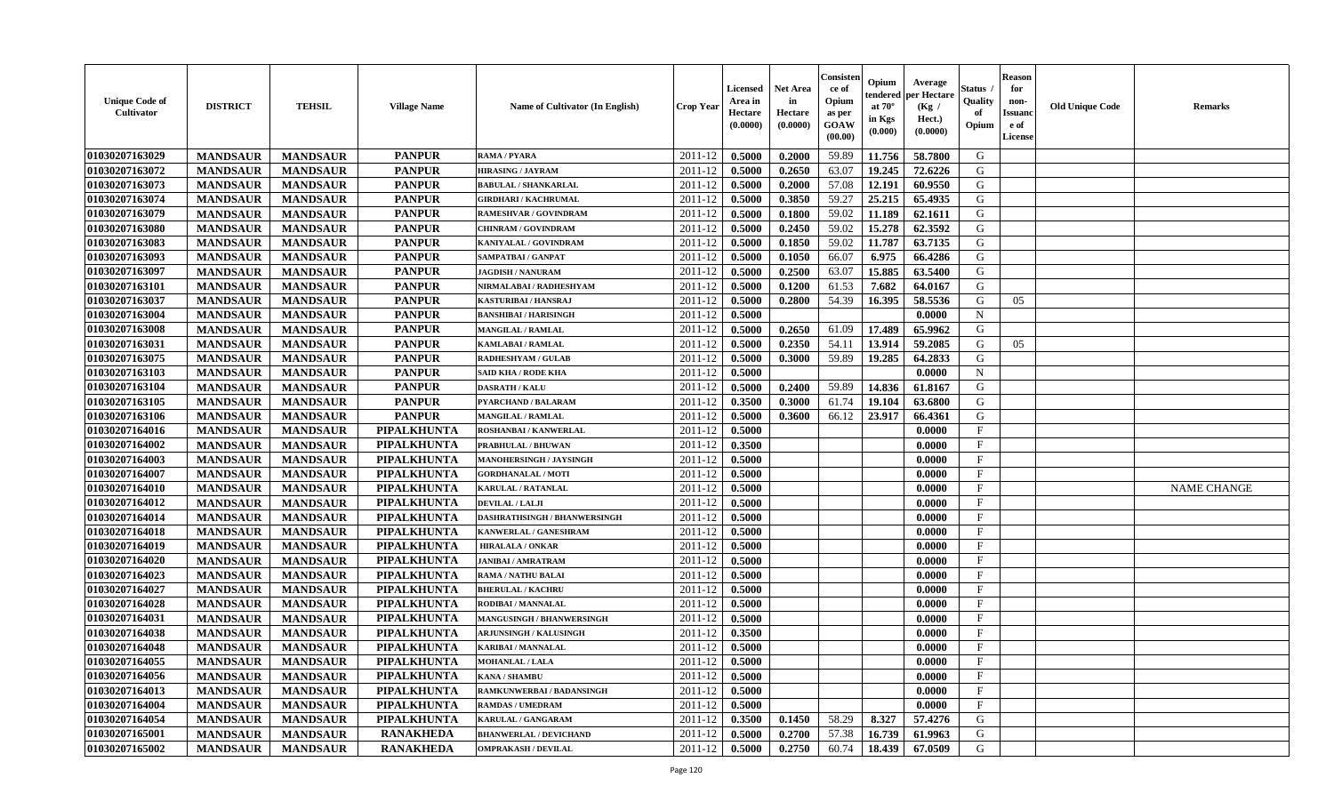| <b>Unique Code of</b><br><b>Cultivator</b> | <b>DISTRICT</b> | <b>TEHSIL</b>   | <b>Village Name</b> | Name of Cultivator (In English)  | <b>Crop Year</b> | <b>Licensed</b><br>Area in<br>Hectare<br>(0.0000) | <b>Net Area</b><br>in<br>Hectare<br>(0.0000) | Consister<br>ce of<br>Opium<br>as per<br><b>GOAW</b><br>(00.00) | Opium<br>endered<br>at $70^\circ$<br>in Kgs<br>(0.000) | Average<br>per Hectare<br>(Kg)<br>Hect.)<br>(0.0000) | Status<br>Quality<br>of<br>Opium | <b>Reason</b><br>for<br>non-<br><b>Issuand</b><br>e of<br>License | <b>Old Unique Code</b> | <b>Remarks</b>     |
|--------------------------------------------|-----------------|-----------------|---------------------|----------------------------------|------------------|---------------------------------------------------|----------------------------------------------|-----------------------------------------------------------------|--------------------------------------------------------|------------------------------------------------------|----------------------------------|-------------------------------------------------------------------|------------------------|--------------------|
| 01030207163029                             | <b>MANDSAUR</b> | <b>MANDSAUR</b> | <b>PANPUR</b>       | RAMA / PYARA                     | 2011-12          | 0.5000                                            | 0.2000                                       | 59.89                                                           | 11.756                                                 | 58.7800                                              | G                                |                                                                   |                        |                    |
| 01030207163072                             | <b>MANDSAUR</b> | <b>MANDSAUR</b> | <b>PANPUR</b>       | <b>HIRASING / JAYRAM</b>         | 2011-12          | 0.5000                                            | 0.2650                                       | 63.07                                                           | 19.245                                                 | 72.6226                                              | G                                |                                                                   |                        |                    |
| 01030207163073                             | <b>MANDSAUR</b> | <b>MANDSAUR</b> | <b>PANPUR</b>       | <b>BABULAL / SHANKARLAL</b>      | 2011-12          | 0.5000                                            | 0.2000                                       | 57.08                                                           | 12.191                                                 | 60.9550                                              | G                                |                                                                   |                        |                    |
| 01030207163074                             | <b>MANDSAUR</b> | <b>MANDSAUR</b> | <b>PANPUR</b>       | <b>GIRDHARI / KACHRUMAL</b>      | 2011-12          | 0.5000                                            | 0.3850                                       | 59.27                                                           | 25.215                                                 | 65.4935                                              | G                                |                                                                   |                        |                    |
| 01030207163079                             | <b>MANDSAUR</b> | <b>MANDSAUR</b> | <b>PANPUR</b>       | RAMESHVAR / GOVINDRAM            | 2011-12          | 0.5000                                            | 0.1800                                       | 59.02                                                           | 11.189                                                 | 62.1611                                              | G                                |                                                                   |                        |                    |
| 01030207163080                             | <b>MANDSAUR</b> | <b>MANDSAUR</b> | <b>PANPUR</b>       | <b>CHINRAM / GOVINDRAM</b>       | 2011-12          | 0.5000                                            | 0.2450                                       | 59.02                                                           | 15.278                                                 | 62.3592                                              | G                                |                                                                   |                        |                    |
| 01030207163083                             | <b>MANDSAUR</b> | <b>MANDSAUR</b> | <b>PANPUR</b>       | KANIYALAL / GOVINDRAM            | 2011-12          | 0.5000                                            | 0.1850                                       | 59.02                                                           | 11.787                                                 | 63.7135                                              | G                                |                                                                   |                        |                    |
| 01030207163093                             | <b>MANDSAUR</b> | <b>MANDSAUR</b> | <b>PANPUR</b>       | SAMPATBAI / GANPAT               | 2011-12          | 0.5000                                            | 0.1050                                       | 66.07                                                           | 6.975                                                  | 66.4286                                              | ${\bf G}$                        |                                                                   |                        |                    |
| 01030207163097                             | <b>MANDSAUR</b> | <b>MANDSAUR</b> | <b>PANPUR</b>       | <b>JAGDISH / NANURAM</b>         | 2011-12          | 0.5000                                            | 0.2500                                       | 63.07                                                           | 15.885                                                 | 63.5400                                              | G                                |                                                                   |                        |                    |
| 01030207163101                             | <b>MANDSAUR</b> | <b>MANDSAUR</b> | <b>PANPUR</b>       | NIRMALABAI / RADHESHYAM          | 2011-12          | 0.5000                                            | 0.1200                                       | 61.53                                                           | 7.682                                                  | 64.0167                                              | G                                |                                                                   |                        |                    |
| 01030207163037                             | <b>MANDSAUR</b> | <b>MANDSAUR</b> | <b>PANPUR</b>       | <b>KASTURIBAI/HANSRAJ</b>        | 2011-12          | 0.5000                                            | 0.2800                                       | 54.39                                                           | 16.395                                                 | 58.5536                                              | G                                | 05                                                                |                        |                    |
| 01030207163004                             | <b>MANDSAUR</b> | <b>MANDSAUR</b> | <b>PANPUR</b>       | <b>BANSHIBAI / HARISINGH</b>     | 2011-12          | 0.5000                                            |                                              |                                                                 |                                                        | 0.0000                                               | $\mathbf N$                      |                                                                   |                        |                    |
| 01030207163008                             | <b>MANDSAUR</b> | <b>MANDSAUR</b> | <b>PANPUR</b>       | <b>MANGILAL / RAMLAL</b>         | 2011-12          | 0.5000                                            | 0.2650                                       | 61.09                                                           | 17.489                                                 | 65.9962                                              | G                                |                                                                   |                        |                    |
| 01030207163031                             | <b>MANDSAUR</b> | <b>MANDSAUR</b> | <b>PANPUR</b>       | <b>KAMLABAI/RAMLAL</b>           | 2011-12          | 0.5000                                            | 0.2350                                       | 54.11                                                           | 13.914                                                 | 59.2085                                              | G                                | 05                                                                |                        |                    |
| 01030207163075                             | <b>MANDSAUR</b> | <b>MANDSAUR</b> | <b>PANPUR</b>       | <b>RADHESHYAM / GULAE</b>        | 2011-12          | 0.5000                                            | 0.3000                                       | 59.89                                                           | 19.285                                                 | 64.2833                                              | G                                |                                                                   |                        |                    |
| 01030207163103                             | <b>MANDSAUR</b> | <b>MANDSAUR</b> | <b>PANPUR</b>       | <b>SAID KHA / RODE KHA</b>       | 2011-12          | 0.5000                                            |                                              |                                                                 |                                                        | 0.0000                                               | $\mathbf N$                      |                                                                   |                        |                    |
| 01030207163104                             | <b>MANDSAUR</b> | <b>MANDSAUR</b> | <b>PANPUR</b>       | <b>DASRATH / KALU</b>            | 2011-12          | 0.5000                                            | 0.2400                                       | 59.89                                                           | 14.836                                                 | 61.8167                                              | G                                |                                                                   |                        |                    |
| 01030207163105                             | <b>MANDSAUR</b> | <b>MANDSAUR</b> | <b>PANPUR</b>       | PYARCHAND / BALARAM              | 2011-12          | 0.3500                                            | 0.3000                                       | 61.74                                                           | 19.104                                                 | 63.6800                                              | G                                |                                                                   |                        |                    |
| 01030207163106                             | <b>MANDSAUR</b> | <b>MANDSAUR</b> | <b>PANPUR</b>       | <b>MANGILAL / RAMLAL</b>         | 2011-12          | 0.5000                                            | 0.3600                                       | 66.12                                                           | 23.917                                                 | 66.4361                                              | G                                |                                                                   |                        |                    |
| 01030207164016                             | <b>MANDSAUR</b> | <b>MANDSAUR</b> | PIPALKHUNTA         | <b>ROSHANBAI/KANWERLAL</b>       | 2011-12          | 0.5000                                            |                                              |                                                                 |                                                        | 0.0000                                               | $\mathbf{F}$                     |                                                                   |                        |                    |
| 01030207164002                             | <b>MANDSAUR</b> | <b>MANDSAUR</b> | PIPALKHUNTA         | <b>PRABHULAL / BHUWAN</b>        | 2011-12          | 0.3500                                            |                                              |                                                                 |                                                        | 0.0000                                               | $\mathbf{F}$                     |                                                                   |                        |                    |
| 01030207164003                             | <b>MANDSAUR</b> | <b>MANDSAUR</b> | PIPALKHUNTA         | <b>MANOHERSINGH / JAYSINGH</b>   | 2011-12          | 0.5000                                            |                                              |                                                                 |                                                        | 0.0000                                               | $_{\rm F}$                       |                                                                   |                        |                    |
| 01030207164007                             | <b>MANDSAUR</b> | <b>MANDSAUR</b> | PIPALKHUNTA         | <b>GORDHANALAL / MOTI</b>        | 2011-12          | 0.5000                                            |                                              |                                                                 |                                                        | 0.0000                                               | $\mathbf{F}$                     |                                                                   |                        |                    |
| 01030207164010                             | <b>MANDSAUR</b> | <b>MANDSAUR</b> | PIPALKHUNTA         | <b>KARULAL / RATANLAL</b>        | 2011-12          | 0.5000                                            |                                              |                                                                 |                                                        | 0.0000                                               | $\mathbf{F}$                     |                                                                   |                        | <b>NAME CHANGE</b> |
| 01030207164012                             | <b>MANDSAUR</b> | <b>MANDSAUR</b> | PIPALKHUNTA         | DEVILAL / LALJI                  | 2011-12          | 0.5000                                            |                                              |                                                                 |                                                        | 0.0000                                               | $_{\rm F}$                       |                                                                   |                        |                    |
| 01030207164014                             | <b>MANDSAUR</b> | <b>MANDSAUR</b> | <b>PIPALKHUNTA</b>  | DASHRATHSINGH / BHANWERSINGH     | 2011-12          | 0.5000                                            |                                              |                                                                 |                                                        | 0.0000                                               | $\mathbf{F}$                     |                                                                   |                        |                    |
| 01030207164018                             | <b>MANDSAUR</b> | <b>MANDSAUR</b> | PIPALKHUNTA         | KANWERLAL / GANESHRAM            | 2011-12          | 0.5000                                            |                                              |                                                                 |                                                        | 0.0000                                               | F                                |                                                                   |                        |                    |
| 01030207164019                             | <b>MANDSAUR</b> | <b>MANDSAUR</b> | PIPALKHUNTA         | <b>HIRALALA / ONKAR</b>          | 2011-12          | 0.5000                                            |                                              |                                                                 |                                                        | 0.0000                                               | $_{\rm F}$                       |                                                                   |                        |                    |
| 01030207164020                             | <b>MANDSAUR</b> | <b>MANDSAUR</b> | PIPALKHUNTA         | <b>JANIBAI / AMRATRAM</b>        | 2011-12          | 0.5000                                            |                                              |                                                                 |                                                        | 0.0000                                               | $\rm F$                          |                                                                   |                        |                    |
| 01030207164023                             | <b>MANDSAUR</b> | <b>MANDSAUR</b> | PIPALKHUNTA         | <b>RAMA / NATHU BALAI</b>        | 2011-12          | 0.5000                                            |                                              |                                                                 |                                                        | 0.0000                                               | $\mathbf{F}$                     |                                                                   |                        |                    |
| 01030207164027                             | <b>MANDSAUR</b> | <b>MANDSAUR</b> | PIPALKHUNTA         | <b>BHERULAL / KACHRU</b>         | 2011-12          | 0.5000                                            |                                              |                                                                 |                                                        | 0.0000                                               | F                                |                                                                   |                        |                    |
| 01030207164028                             | <b>MANDSAUR</b> | <b>MANDSAUR</b> | PIPALKHUNTA         | RODIBAI / MANNALAL               | 2011-12          | 0.5000                                            |                                              |                                                                 |                                                        | 0.0000                                               | $\mathbf{F}$                     |                                                                   |                        |                    |
| 01030207164031                             | <b>MANDSAUR</b> | <b>MANDSAUR</b> | PIPALKHUNTA         | <b>MANGUSINGH / BHANWERSINGH</b> | 2011-12          | 0.5000                                            |                                              |                                                                 |                                                        | 0.0000                                               | $\mathbf{F}$                     |                                                                   |                        |                    |
| 01030207164038                             | <b>MANDSAUR</b> | <b>MANDSAUR</b> | <b>PIPALKHUNTA</b>  | <b>ARJUNSINGH / KALUSINGH</b>    | 2011-12          | 0.3500                                            |                                              |                                                                 |                                                        | 0.0000                                               | $\mathbf{F}$                     |                                                                   |                        |                    |
| 01030207164048                             | <b>MANDSAUR</b> | <b>MANDSAUR</b> | <b>PIPALKHUNTA</b>  | <b>KARIBAI/MANNALAL</b>          | 2011-12          | 0.5000                                            |                                              |                                                                 |                                                        | 0.0000                                               | $\mathbf{F}$                     |                                                                   |                        |                    |
| 01030207164055                             | <b>MANDSAUR</b> | <b>MANDSAUR</b> | <b>PIPALKHUNTA</b>  | MOHANLAL / LALA                  | 2011-12          | 0.5000                                            |                                              |                                                                 |                                                        | 0.0000                                               | $\mathbf{F}$                     |                                                                   |                        |                    |
| 01030207164056                             | <b>MANDSAUR</b> | <b>MANDSAUR</b> | PIPALKHUNTA         | <b>KANA / SHAMBU</b>             | 2011-12          | 0.5000                                            |                                              |                                                                 |                                                        | 0.0000                                               | $\mathbf{F}$                     |                                                                   |                        |                    |
| 01030207164013                             | <b>MANDSAUR</b> | <b>MANDSAUR</b> | <b>PIPALKHUNTA</b>  | RAMKUNWERBAI / BADANSINGH        | 2011-12          | 0.5000                                            |                                              |                                                                 |                                                        | 0.0000                                               | $\mathbf{F}$                     |                                                                   |                        |                    |
| 01030207164004                             | <b>MANDSAUR</b> | <b>MANDSAUR</b> | PIPALKHUNTA         | <b>RAMDAS / UMEDRAM</b>          | 2011-12          | 0.5000                                            |                                              |                                                                 |                                                        | 0.0000                                               | $\mathbf{F}$                     |                                                                   |                        |                    |
| 01030207164054                             | <b>MANDSAUR</b> | <b>MANDSAUR</b> | <b>PIPALKHUNTA</b>  | KARULAL / GANGARAM               | 2011-12          | 0.3500                                            | 0.1450                                       | 58.29                                                           | 8.327                                                  | 57.4276                                              | G                                |                                                                   |                        |                    |
| 01030207165001                             | <b>MANDSAUR</b> | <b>MANDSAUR</b> | <b>RANAKHEDA</b>    | <b>BHANWERLAL / DEVICHAND</b>    | 2011-12          | 0.5000                                            | 0.2700                                       | 57.38                                                           | 16.739                                                 | 61.9963                                              | G                                |                                                                   |                        |                    |
| 01030207165002                             | <b>MANDSAUR</b> | <b>MANDSAUR</b> | <b>RANAKHEDA</b>    | <b>OMPRAKASH / DEVILAL</b>       | 2011-12          | 0.5000                                            | 0.2750                                       | 60.74                                                           | 18.439                                                 | 67.0509                                              | G                                |                                                                   |                        |                    |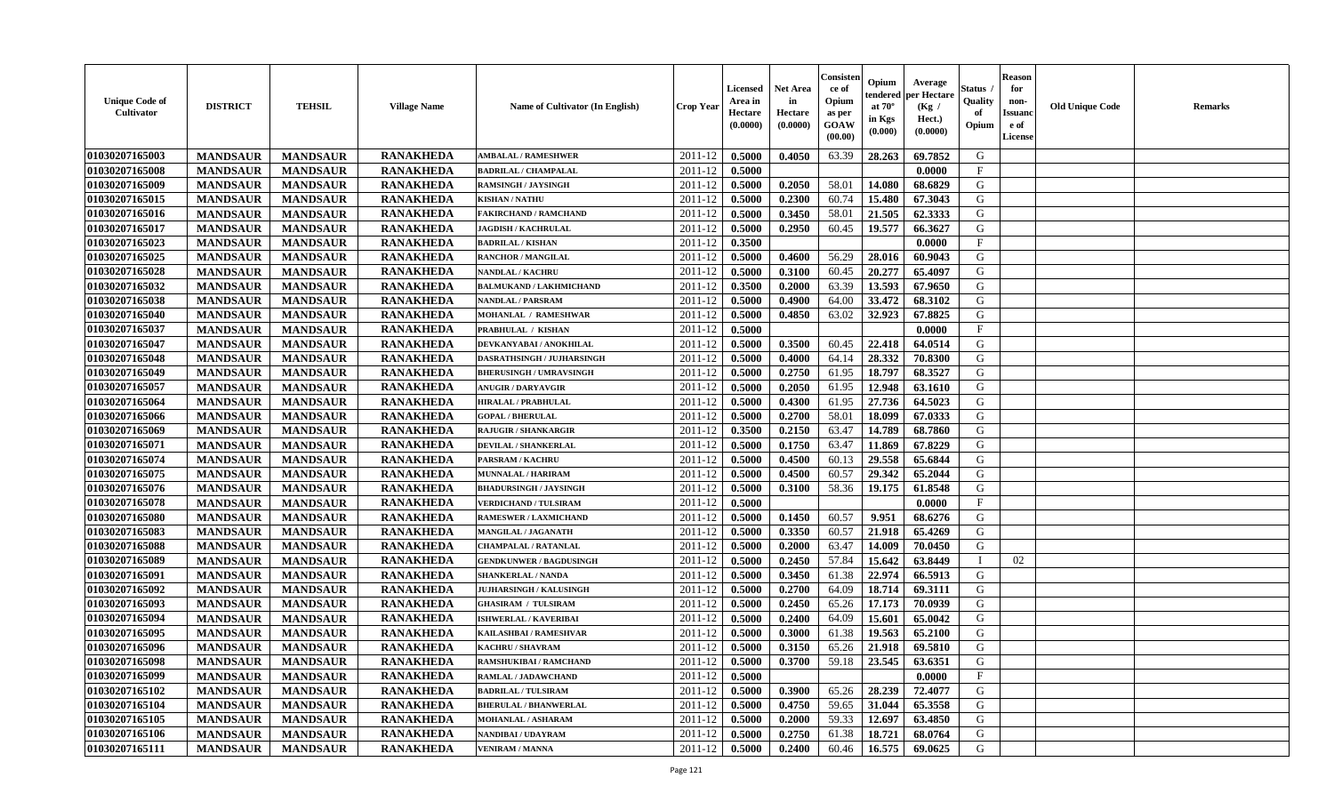| <b>Unique Code of</b><br><b>Cultivator</b> | <b>DISTRICT</b> | <b>TEHSIL</b>   | <b>Village Name</b> | Name of Cultivator (In English) | <b>Crop Year</b> | <b>Licensed</b><br>Area in<br>Hectare<br>(0.0000) | <b>Net Area</b><br>in<br>Hectare<br>(0.0000) | Consisteı<br>ce of<br>Opium<br>as per<br>GOAW<br>(00.00) | Opium<br>endered<br>at $70^\circ$<br>in Kgs<br>(0.000) | Average<br>per Hectare<br>(Kg /<br>Hect.)<br>(0.0000) | Status<br>Quality<br>of<br>Opium | <b>Reason</b><br>for<br>non-<br><b>Issuand</b><br>e of<br>License | <b>Old Unique Code</b> | <b>Remarks</b> |
|--------------------------------------------|-----------------|-----------------|---------------------|---------------------------------|------------------|---------------------------------------------------|----------------------------------------------|----------------------------------------------------------|--------------------------------------------------------|-------------------------------------------------------|----------------------------------|-------------------------------------------------------------------|------------------------|----------------|
| 01030207165003                             | <b>MANDSAUR</b> | <b>MANDSAUR</b> | <b>RANAKHEDA</b>    | <b>AMBALAL / RAMESHWER</b>      | 2011-12          | 0.5000                                            | 0.4050                                       | 63.39                                                    | 28.263                                                 | 69.7852                                               | G                                |                                                                   |                        |                |
| 01030207165008                             | <b>MANDSAUR</b> | <b>MANDSAUR</b> | <b>RANAKHEDA</b>    | <b>BADRILAL / CHAMPALAL</b>     | 2011-12          | 0.5000                                            |                                              |                                                          |                                                        | 0.0000                                                | $\mathbf{F}$                     |                                                                   |                        |                |
| 01030207165009                             | <b>MANDSAUR</b> | <b>MANDSAUR</b> | <b>RANAKHEDA</b>    | <b>RAMSINGH / JAYSINGH</b>      | 2011-12          | 0.5000                                            | 0.2050                                       | 58.01                                                    | 14.080                                                 | 68.6829                                               | G                                |                                                                   |                        |                |
| 01030207165015                             | <b>MANDSAUR</b> | <b>MANDSAUR</b> | <b>RANAKHEDA</b>    | <b>KISHAN / NATHU</b>           | 2011-12          | 0.5000                                            | 0.2300                                       | 60.74                                                    | 15.480                                                 | 67.3043                                               | G                                |                                                                   |                        |                |
| 01030207165016                             | <b>MANDSAUR</b> | <b>MANDSAUR</b> | <b>RANAKHEDA</b>    | <b>FAKIRCHAND / RAMCHAND</b>    | 2011-12          | 0.5000                                            | 0.3450                                       | 58.01                                                    | 21.505                                                 | 62.3333                                               | G                                |                                                                   |                        |                |
| 01030207165017                             | <b>MANDSAUR</b> | <b>MANDSAUR</b> | <b>RANAKHEDA</b>    | <b>JAGDISH / KACHRULAL</b>      | 2011-12          | 0.5000                                            | 0.2950                                       | 60.45                                                    | 19.577                                                 | 66.3627                                               | G                                |                                                                   |                        |                |
| 01030207165023                             | <b>MANDSAUR</b> | <b>MANDSAUR</b> | <b>RANAKHEDA</b>    | <b>BADRILAL / KISHAN</b>        | 2011-12          | 0.3500                                            |                                              |                                                          |                                                        | 0.0000                                                | $\rm F$                          |                                                                   |                        |                |
| 01030207165025                             | <b>MANDSAUR</b> | <b>MANDSAUR</b> | <b>RANAKHEDA</b>    | <b>RANCHOR / MANGILAL</b>       | 2011-12          | 0.5000                                            | 0.4600                                       | 56.29                                                    | 28.016                                                 | 60.9043                                               | G                                |                                                                   |                        |                |
| 01030207165028                             | <b>MANDSAUR</b> | <b>MANDSAUR</b> | <b>RANAKHEDA</b>    | <b>NANDLAL / KACHRU</b>         | 2011-12          | 0.5000                                            | 0.3100                                       | 60.45                                                    | 20,277                                                 | 65.4097                                               | G                                |                                                                   |                        |                |
| 01030207165032                             | <b>MANDSAUR</b> | <b>MANDSAUR</b> | <b>RANAKHEDA</b>    | <b>BALMUKAND / LAKHMICHAND</b>  | 2011-12          | 0.3500                                            | 0.2000                                       | 63.39                                                    | 13.593                                                 | 67.9650                                               | G                                |                                                                   |                        |                |
| 01030207165038                             | <b>MANDSAUR</b> | <b>MANDSAUR</b> | <b>RANAKHEDA</b>    | <b>NANDLAL / PARSRAM</b>        | 2011-12          | 0.5000                                            | 0.4900                                       | 64.00                                                    | 33.472                                                 | 68.3102                                               | $\mathbf G$                      |                                                                   |                        |                |
| 01030207165040                             | <b>MANDSAUR</b> | <b>MANDSAUR</b> | <b>RANAKHEDA</b>    | <b>MOHANLAL / RAMESHWAR</b>     | 2011-12          | 0.5000                                            | 0.4850                                       | 63.02                                                    | 32.923                                                 | 67.8825                                               | G                                |                                                                   |                        |                |
| 01030207165037                             | <b>MANDSAUR</b> | <b>MANDSAUR</b> | <b>RANAKHEDA</b>    | PRABHULAL / KISHAN              | 2011-12          | 0.5000                                            |                                              |                                                          |                                                        | 0.0000                                                | $_{\rm F}$                       |                                                                   |                        |                |
| 01030207165047                             | <b>MANDSAUR</b> | <b>MANDSAUR</b> | <b>RANAKHEDA</b>    | DEVKANYABAI / ANOKHILAL         | 2011-12          | 0.5000                                            | 0.3500                                       | 60.45                                                    | 22.418                                                 | 64.0514                                               | G                                |                                                                   |                        |                |
| 01030207165048                             | <b>MANDSAUR</b> | <b>MANDSAUR</b> | <b>RANAKHEDA</b>    | DASRATHSINGH / JUJHARSINGH      | 2011-12          | 0.5000                                            | 0.4000                                       | 64.14                                                    | 28.332                                                 | 70.8300                                               | G                                |                                                                   |                        |                |
| 01030207165049                             | <b>MANDSAUR</b> | <b>MANDSAUR</b> | <b>RANAKHEDA</b>    | <b>BHERUSINGH / UMRAVSINGH</b>  | 2011-12          | 0.5000                                            | 0.2750                                       | 61.95                                                    | 18.797                                                 | 68.3527                                               | G                                |                                                                   |                        |                |
| 01030207165057                             | <b>MANDSAUR</b> | <b>MANDSAUR</b> | <b>RANAKHEDA</b>    | <b>ANUGIR / DARYAVGIR</b>       | 2011-12          | 0.5000                                            | 0.2050                                       | 61.95                                                    | 12.948                                                 | 63.1610                                               | G                                |                                                                   |                        |                |
| 01030207165064                             | <b>MANDSAUR</b> | <b>MANDSAUR</b> | <b>RANAKHEDA</b>    | <b>HIRALAL / PRABHULAL</b>      | 2011-12          | 0.5000                                            | 0.4300                                       | 61.95                                                    | 27.736                                                 | 64.5023                                               | G                                |                                                                   |                        |                |
| 01030207165066                             | <b>MANDSAUR</b> | <b>MANDSAUR</b> | <b>RANAKHEDA</b>    | <b>GOPAL / BHERULAL</b>         | 2011-12          | 0.5000                                            | 0.2700                                       | 58.01                                                    | 18.099                                                 | 67.0333                                               | G                                |                                                                   |                        |                |
| 01030207165069                             | <b>MANDSAUR</b> | <b>MANDSAUR</b> | <b>RANAKHEDA</b>    | <b>RAJUGIR / SHANKARGIR</b>     | 2011-12          | 0.3500                                            | 0.2150                                       | 63.47                                                    | 14.789                                                 | 68.7860                                               | G                                |                                                                   |                        |                |
| 01030207165071                             | <b>MANDSAUR</b> | <b>MANDSAUR</b> | <b>RANAKHEDA</b>    | <b>DEVILAL / SHANKERLAL</b>     | $2011 - 12$      | 0.5000                                            | 0.1750                                       | 63.47                                                    | 11.869                                                 | 67.8229                                               | G                                |                                                                   |                        |                |
| 01030207165074                             | <b>MANDSAUR</b> | <b>MANDSAUR</b> | <b>RANAKHEDA</b>    | <b>PARSRAM / KACHRU</b>         | 2011-12          | 0.5000                                            | 0.4500                                       | 60.13                                                    | 29.558                                                 | 65.6844                                               | G                                |                                                                   |                        |                |
|                                            |                 |                 |                     | <b>MUNNALAL / HARIRAM</b>       |                  |                                                   |                                              |                                                          |                                                        |                                                       | G                                |                                                                   |                        |                |
| 01030207165075                             | <b>MANDSAUR</b> | <b>MANDSAUR</b> | <b>RANAKHEDA</b>    |                                 | 2011-12          | 0.5000                                            | 0.4500                                       | 60.57                                                    | 29.342                                                 | 65.2044                                               |                                  |                                                                   |                        |                |
| 01030207165076                             | <b>MANDSAUR</b> | <b>MANDSAUR</b> | <b>RANAKHEDA</b>    | <b>BHADURSINGH / JAYSINGH</b>   | 2011-12          | 0.5000                                            | 0.3100                                       | 58.36                                                    | 19.175                                                 | 61.8548                                               | G                                |                                                                   |                        |                |
| 01030207165078                             | <b>MANDSAUR</b> | <b>MANDSAUR</b> | <b>RANAKHEDA</b>    | <b>VERDICHAND / TULSIRAM</b>    | 2011-12          | 0.5000                                            |                                              |                                                          |                                                        | 0.0000                                                | $\mathbf{F}$                     |                                                                   |                        |                |
| 01030207165080                             | <b>MANDSAUR</b> | <b>MANDSAUR</b> | <b>RANAKHEDA</b>    | <b>RAMESWER / LAXMICHAND</b>    | 2011-12          | 0.5000                                            | 0.1450                                       | 60.57                                                    | 9.951                                                  | 68.6276                                               | G                                |                                                                   |                        |                |
| 01030207165083                             | <b>MANDSAUR</b> | <b>MANDSAUR</b> | <b>RANAKHEDA</b>    | <b>MANGILAL / JAGANATH</b>      | 2011-12          | 0.5000                                            | 0.3350                                       | 60.57                                                    | 21.918                                                 | 65.4269                                               | G                                |                                                                   |                        |                |
| 01030207165088                             | <b>MANDSAUR</b> | <b>MANDSAUR</b> | <b>RANAKHEDA</b>    | <b>CHAMPALAL / RATANLAL</b>     | 2011-12          | 0.5000                                            | 0.2000                                       | 63.47                                                    | 14.009                                                 | 70.0450                                               | G                                |                                                                   |                        |                |
| 01030207165089                             | <b>MANDSAUR</b> | <b>MANDSAUR</b> | <b>RANAKHEDA</b>    | <b>GENDKUNWER / BAGDUSINGH</b>  | 2011-12          | 0.5000                                            | 0.2450                                       | 57.84                                                    | 15.642                                                 | 63.8449                                               | $\mathbf{I}$                     | 02                                                                |                        |                |
| 01030207165091                             | <b>MANDSAUR</b> | <b>MANDSAUR</b> | <b>RANAKHEDA</b>    | <b>SHANKERLAL / NANDA</b>       | 2011-12          | 0.5000                                            | 0.3450                                       | 61.38                                                    | 22.974                                                 | 66.5913                                               | G                                |                                                                   |                        |                |
| 01030207165092                             | <b>MANDSAUR</b> | <b>MANDSAUR</b> | <b>RANAKHEDA</b>    | <b>JUJHARSINGH / KALUSINGH</b>  | 2011-12          | 0.5000                                            | 0.2700                                       | 64.09                                                    | 18.714                                                 | 69.3111                                               | ${\bf G}$                        |                                                                   |                        |                |
| 01030207165093                             | <b>MANDSAUR</b> | <b>MANDSAUR</b> | <b>RANAKHEDA</b>    | <b>GHASIRAM / TULSIRAM</b>      | 2011-12          | 0.5000                                            | 0.2450                                       | 65.26                                                    | 17.173                                                 | 70.0939                                               | G                                |                                                                   |                        |                |
| 01030207165094                             | <b>MANDSAUR</b> | <b>MANDSAUR</b> | <b>RANAKHEDA</b>    | <b>ISHWERLAL / KAVERIBAI</b>    | 2011-12          | 0.5000                                            | 0.2400                                       | 64.09                                                    | 15.601                                                 | 65.0042                                               | G                                |                                                                   |                        |                |
| 01030207165095                             | <b>MANDSAUR</b> | <b>MANDSAUR</b> | <b>RANAKHEDA</b>    | KAILASHBAI / RAMESHVAR          | 2011-12          | 0.5000                                            | 0.3000                                       | 61.38                                                    | 19.563                                                 | 65.2100                                               | G                                |                                                                   |                        |                |
| 01030207165096                             | <b>MANDSAUR</b> | <b>MANDSAUR</b> | <b>RANAKHEDA</b>    | <b>KACHRU / SHAVRAM</b>         | 2011-12          | 0.5000                                            | 0.3150                                       | 65.26                                                    | 21.918                                                 | 69.5810                                               | G                                |                                                                   |                        |                |
| 01030207165098                             | <b>MANDSAUR</b> | <b>MANDSAUR</b> | <b>RANAKHEDA</b>    | <b>RAMSHUKIBAI / RAMCHAND</b>   | 2011-12          | 0.5000                                            | 0.3700                                       | 59.18                                                    | 23.545                                                 | 63.6351                                               | G                                |                                                                   |                        |                |
| 01030207165099                             | <b>MANDSAUR</b> | <b>MANDSAUR</b> | <b>RANAKHEDA</b>    | RAMLAL / JADAWCHAND             | 2011-12          | 0.5000                                            |                                              |                                                          |                                                        | 0.0000                                                | $\rm F$                          |                                                                   |                        |                |
| 01030207165102                             | <b>MANDSAUR</b> | <b>MANDSAUR</b> | <b>RANAKHEDA</b>    | <b>BADRILAL / TULSIRAM</b>      | 2011-12          | 0.5000                                            | 0.3900                                       | 65.26                                                    | 28.239                                                 | 72.4077                                               | G                                |                                                                   |                        |                |
| 01030207165104                             | <b>MANDSAUR</b> | <b>MANDSAUR</b> | <b>RANAKHEDA</b>    | <b>BHERULAL / BHANWERLAL</b>    | 2011-12          | 0.5000                                            | 0.4750                                       | 59.65                                                    | 31.044                                                 | 65.3558                                               | G                                |                                                                   |                        |                |
| 01030207165105                             | <b>MANDSAUR</b> | <b>MANDSAUR</b> | <b>RANAKHEDA</b>    | MOHANLAL / ASHARAM              | 2011-12          | 0.5000                                            | 0.2000                                       | 59.33                                                    | 12.697                                                 | 63.4850                                               | G                                |                                                                   |                        |                |
| 01030207165106                             | <b>MANDSAUR</b> | <b>MANDSAUR</b> | <b>RANAKHEDA</b>    | NANDIBAI / UDAYRAM              | 2011-12          | 0.5000                                            | 0.2750                                       | 61.38                                                    | 18.721                                                 | 68.0764                                               | G                                |                                                                   |                        |                |
| 01030207165111                             | <b>MANDSAUR</b> | <b>MANDSAUR</b> | <b>RANAKHEDA</b>    | <b>VENIRAM / MANNA</b>          | 2011-12          | 0.5000                                            | 0.2400                                       | 60.46                                                    | 16.575                                                 | 69.0625                                               | G                                |                                                                   |                        |                |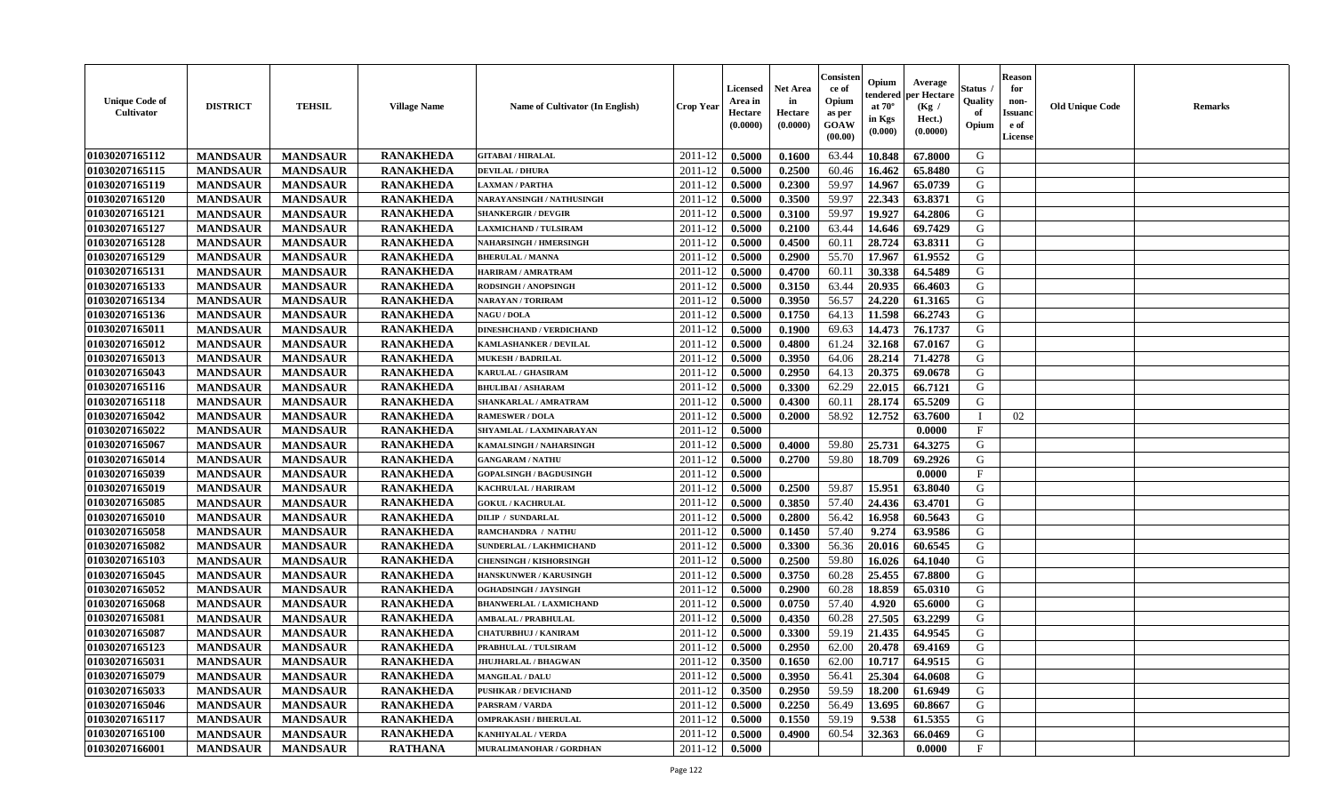| <b>Unique Code of</b><br>Cultivator | <b>DISTRICT</b> | <b>TEHSIL</b>   | <b>Village Name</b> | <b>Name of Cultivator (In English)</b> | <b>Crop Year</b> | Licensed<br>Area in<br>Hectare<br>(0.0000) | <b>Net Area</b><br>in<br>Hectare<br>(0.0000) | Consister<br>ce of<br>Opium<br>as per<br>GOAW<br>(00.00) | Opium<br>endered<br>at $70^\circ$<br>in Kgs<br>(0.000) | Average<br>per Hectare<br>(Kg /<br>Hect.)<br>(0.0000) | <b>Status</b> .<br>Quality<br>of<br>Opium | <b>Reason</b><br>for<br>non-<br><b>Issuand</b><br>e of<br>License | <b>Old Unique Code</b> | <b>Remarks</b> |
|-------------------------------------|-----------------|-----------------|---------------------|----------------------------------------|------------------|--------------------------------------------|----------------------------------------------|----------------------------------------------------------|--------------------------------------------------------|-------------------------------------------------------|-------------------------------------------|-------------------------------------------------------------------|------------------------|----------------|
| 01030207165112                      | <b>MANDSAUR</b> | <b>MANDSAUR</b> | <b>RANAKHEDA</b>    | <b>GITABAI/HIRALAL</b>                 | 2011-12          | 0.5000                                     | 0.1600                                       | 63.44                                                    | 10.848                                                 | 67.8000                                               | G                                         |                                                                   |                        |                |
| 01030207165115                      | <b>MANDSAUR</b> | <b>MANDSAUR</b> | <b>RANAKHEDA</b>    | <b>DEVILAL / DHURA</b>                 | 2011-12          | 0.5000                                     | 0.2500                                       | 60.46                                                    | 16.462                                                 | 65.8480                                               | G                                         |                                                                   |                        |                |
| 01030207165119                      | <b>MANDSAUR</b> | <b>MANDSAUR</b> | <b>RANAKHEDA</b>    | <b>LAXMAN / PARTHA</b>                 | 2011-12          | 0.5000                                     | 0.2300                                       | 59.97                                                    | 14.967                                                 | 65.0739                                               | G                                         |                                                                   |                        |                |
| 01030207165120                      | <b>MANDSAUR</b> | <b>MANDSAUR</b> | <b>RANAKHEDA</b>    | NARAYANSINGH / NATHUSINGH              | 2011-12          | 0.5000                                     | 0.3500                                       | 59.97                                                    | 22.343                                                 | 63.8371                                               | G                                         |                                                                   |                        |                |
| 01030207165121                      | <b>MANDSAUR</b> | <b>MANDSAUR</b> | <b>RANAKHEDA</b>    | <b>SHANKERGIR / DEVGIR</b>             | 2011-12          | 0.5000                                     | 0.3100                                       | 59.97                                                    | 19.927                                                 | 64.2806                                               | G                                         |                                                                   |                        |                |
| 01030207165127                      | <b>MANDSAUR</b> | <b>MANDSAUR</b> | <b>RANAKHEDA</b>    | <b>AXMICHAND / TULSIRAM</b>            | 2011-12          | 0.5000                                     | 0.2100                                       | 63.44                                                    | 14.646                                                 | 69.7429                                               | G                                         |                                                                   |                        |                |
| 01030207165128                      | <b>MANDSAUR</b> | <b>MANDSAUR</b> | <b>RANAKHEDA</b>    | <b>NAHARSINGH / HMERSINGH</b>          | 2011-12          | 0.5000                                     | 0.4500                                       | 60.11                                                    | 28.724                                                 | 63.8311                                               | G                                         |                                                                   |                        |                |
| 01030207165129                      | <b>MANDSAUR</b> | <b>MANDSAUR</b> | <b>RANAKHEDA</b>    | <b>BHERULAL / MANNA</b>                | 2011-12          | 0.5000                                     | 0.2900                                       | 55.70                                                    | 17.967                                                 | 61.9552                                               | G                                         |                                                                   |                        |                |
| 01030207165131                      | <b>MANDSAUR</b> | <b>MANDSAUR</b> | <b>RANAKHEDA</b>    | HARIRAM / AMRATRAM                     | 2011-12          | 0.5000                                     | 0.4700                                       | 60.11                                                    | 30.338                                                 | 64.5489                                               | G                                         |                                                                   |                        |                |
| 01030207165133                      | <b>MANDSAUR</b> | <b>MANDSAUR</b> | <b>RANAKHEDA</b>    | RODSINGH / ANOPSINGH                   | 2011-12          | 0.5000                                     | 0.3150                                       | 63.44                                                    | 20.935                                                 | 66.4603                                               | G                                         |                                                                   |                        |                |
| 01030207165134                      | <b>MANDSAUR</b> | <b>MANDSAUR</b> | <b>RANAKHEDA</b>    | <b>NARAYAN / TORIRAM</b>               | 2011-12          | 0.5000                                     | 0.3950                                       | 56.57                                                    | 24.220                                                 | 61.3165                                               | ${\bf G}$                                 |                                                                   |                        |                |
| 01030207165136                      | <b>MANDSAUR</b> | <b>MANDSAUR</b> | <b>RANAKHEDA</b>    | <b>NAGU / DOLA</b>                     | 2011-12          | 0.5000                                     | 0.1750                                       | 64.13                                                    | 11.598                                                 | 66.2743                                               | G                                         |                                                                   |                        |                |
| 01030207165011                      | <b>MANDSAUR</b> | <b>MANDSAUR</b> | <b>RANAKHEDA</b>    | <b>DINESHCHAND / VERDICHAND</b>        | 2011-12          | 0.5000                                     | 0.1900                                       | 69.63                                                    | 14.473                                                 | 76.1737                                               | G                                         |                                                                   |                        |                |
| 01030207165012                      | <b>MANDSAUR</b> | <b>MANDSAUR</b> | <b>RANAKHEDA</b>    | KAMLASHANKER / DEVILAL                 | 2011-12          | 0.5000                                     | 0.4800                                       | 61.24                                                    | 32.168                                                 | 67.0167                                               | G                                         |                                                                   |                        |                |
| 01030207165013                      | <b>MANDSAUR</b> | <b>MANDSAUR</b> | <b>RANAKHEDA</b>    | <b>MUKESH / BADRILAL</b>               | 2011-12          | 0.5000                                     | 0.3950                                       | 64.06                                                    | 28.214                                                 | 71.4278                                               | ${\bf G}$                                 |                                                                   |                        |                |
| 01030207165043                      | <b>MANDSAUR</b> | <b>MANDSAUR</b> | <b>RANAKHEDA</b>    | <b>KARULAL / GHASIRAM</b>              | 2011-12          | 0.5000                                     | 0.2950                                       | 64.13                                                    | 20.375                                                 | 69.0678                                               | G                                         |                                                                   |                        |                |
| 01030207165116                      | <b>MANDSAUR</b> | <b>MANDSAUR</b> | <b>RANAKHEDA</b>    | <b>BHULIBAI / ASHARAM</b>              | 2011-12          | 0.5000                                     | 0.3300                                       | 62.29                                                    | 22.015                                                 | 66.7121                                               | G                                         |                                                                   |                        |                |
| 01030207165118                      | <b>MANDSAUR</b> | <b>MANDSAUR</b> | <b>RANAKHEDA</b>    | SHANKARLAL / AMRATRAM                  | 2011-12          | 0.5000                                     | 0.4300                                       | 60.11                                                    | 28.174                                                 | 65.5209                                               | G                                         |                                                                   |                        |                |
| 01030207165042                      | <b>MANDSAUR</b> | <b>MANDSAUR</b> | <b>RANAKHEDA</b>    | <b>RAMESWER / DOLA</b>                 | 2011-12          | 0.5000                                     | 0.2000                                       | 58.92                                                    | 12.752                                                 | 63.7600                                               | $\mathbf I$                               | 02                                                                |                        |                |
| 01030207165022                      | <b>MANDSAUR</b> | <b>MANDSAUR</b> | <b>RANAKHEDA</b>    | SHYAMLAL / LAXMINARAYAN                | 2011-12          | 0.5000                                     |                                              |                                                          |                                                        | 0.0000                                                | $\mathbf{F}$                              |                                                                   |                        |                |
| 01030207165067                      | <b>MANDSAUR</b> | <b>MANDSAUR</b> | <b>RANAKHEDA</b>    | KAMALSINGH / NAHARSINGH                | 2011-12          | 0.5000                                     | 0.4000                                       | 59.80                                                    | 25.731                                                 | 64.3275                                               | G                                         |                                                                   |                        |                |
| 01030207165014                      | <b>MANDSAUR</b> | <b>MANDSAUR</b> | <b>RANAKHEDA</b>    | <b>GANGARAM / NATHU</b>                | 2011-12          | 0.5000                                     | 0.2700                                       | 59.80                                                    | 18.709                                                 | 69.2926                                               | G                                         |                                                                   |                        |                |
| 01030207165039                      | <b>MANDSAUR</b> | <b>MANDSAUR</b> | <b>RANAKHEDA</b>    | <b>GOPALSINGH / BAGDUSINGH</b>         | 2011-12          | 0.5000                                     |                                              |                                                          |                                                        | 0.0000                                                | $\mathbf{F}$                              |                                                                   |                        |                |
| 01030207165019                      | <b>MANDSAUR</b> | <b>MANDSAUR</b> | <b>RANAKHEDA</b>    | KACHRULAL / HARIRAM                    | 2011-12          | 0.5000                                     | 0.2500                                       | 59.87                                                    | 15.951                                                 | 63.8040                                               | $\mathsf G$                               |                                                                   |                        |                |
| 01030207165085                      | <b>MANDSAUR</b> | <b>MANDSAUR</b> | <b>RANAKHEDA</b>    | <b>GOKUL / KACHRULAL</b>               | 2011-12          | 0.5000                                     | 0.3850                                       | 57.40                                                    | 24.436                                                 | 63.4701                                               | G                                         |                                                                   |                        |                |
| 01030207165010                      | <b>MANDSAUR</b> | <b>MANDSAUR</b> | <b>RANAKHEDA</b>    | <b>DILIP / SUNDARLAL</b>               | 2011-12          | 0.5000                                     | 0.2800                                       | 56.42                                                    | 16.958                                                 | 60.5643                                               | $\mathsf G$                               |                                                                   |                        |                |
| 01030207165058                      | <b>MANDSAUR</b> | <b>MANDSAUR</b> | <b>RANAKHEDA</b>    | RAMCHANDRA / NATHU                     | 2011-12          | 0.5000                                     | 0.1450                                       | 57.40                                                    | 9.274                                                  | 63.9586                                               | G                                         |                                                                   |                        |                |
| 01030207165082                      | <b>MANDSAUR</b> | <b>MANDSAUR</b> | <b>RANAKHEDA</b>    | SUNDERLAL / LAKHMICHAND                | 2011-12          | 0.5000                                     | 0.3300                                       | 56.36                                                    | 20.016                                                 | 60.6545                                               | G                                         |                                                                   |                        |                |
| 01030207165103                      | <b>MANDSAUR</b> | <b>MANDSAUR</b> | <b>RANAKHEDA</b>    | <b>CHENSINGH / KISHORSINGH</b>         | 2011-12          | 0.5000                                     | 0.2500                                       | 59.80                                                    | 16.026                                                 | 64.1040                                               | G                                         |                                                                   |                        |                |
| 01030207165045                      | <b>MANDSAUR</b> | <b>MANDSAUR</b> | <b>RANAKHEDA</b>    | HANSKUNWER / KARUSINGH                 | 2011-12          | 0.5000                                     | 0.3750                                       | 60.28                                                    | 25.455                                                 | 67.8800                                               | G                                         |                                                                   |                        |                |
| 01030207165052                      | <b>MANDSAUR</b> | <b>MANDSAUR</b> | <b>RANAKHEDA</b>    | OGHADSINGH / JAYSINGH                  | 2011-12          | 0.5000                                     | 0.2900                                       | 60.28                                                    | 18.859                                                 | 65.0310                                               | G                                         |                                                                   |                        |                |
| 01030207165068                      | <b>MANDSAUR</b> | <b>MANDSAUR</b> | <b>RANAKHEDA</b>    | <b>BHANWERLAL / LAXMICHAND</b>         | 2011-12          | 0.5000                                     | 0.0750                                       | 57.40                                                    | 4.920                                                  | 65.6000                                               | G                                         |                                                                   |                        |                |
| 01030207165081                      | <b>MANDSAUR</b> | <b>MANDSAUR</b> | <b>RANAKHEDA</b>    | AMBALAL / PRABHULAL                    | 2011-12          | 0.5000                                     | 0.4350                                       | 60.28                                                    | 27.505                                                 | 63.2299                                               | G                                         |                                                                   |                        |                |
| 01030207165087                      | <b>MANDSAUR</b> | <b>MANDSAUR</b> | <b>RANAKHEDA</b>    | <b>CHATURBHUJ / KANIRAM</b>            | 2011-12          | 0.5000                                     | 0.3300                                       | 59.19                                                    | 21.435                                                 | 64.9545                                               | G                                         |                                                                   |                        |                |
| 01030207165123                      | <b>MANDSAUR</b> | <b>MANDSAUR</b> | <b>RANAKHEDA</b>    | PRABHULAL / TULSIRAM                   | 2011-12          | 0.5000                                     | 0.2950                                       | 62.00                                                    | 20.478                                                 | 69.4169                                               | G                                         |                                                                   |                        |                |
| 01030207165031                      | <b>MANDSAUR</b> | <b>MANDSAUR</b> | <b>RANAKHEDA</b>    | <b>JHUJHARLAL / BHAGWAN</b>            | 2011-12          | 0.3500                                     | 0.1650                                       | 62.00                                                    | 10.717                                                 | 64.9515                                               | G                                         |                                                                   |                        |                |
| 01030207165079                      | <b>MANDSAUR</b> | <b>MANDSAUR</b> | <b>RANAKHEDA</b>    | <b>MANGILAL / DALU</b>                 | 2011-12          | 0.5000                                     | 0.3950                                       | 56.41                                                    | 25.304                                                 | 64.0608                                               | G                                         |                                                                   |                        |                |
| 01030207165033                      | <b>MANDSAUR</b> | <b>MANDSAUR</b> | <b>RANAKHEDA</b>    | <b>PUSHKAR / DEVICHAND</b>             | 2011-12          | 0.3500                                     | 0.2950                                       | 59.59                                                    | 18.200                                                 | 61.6949                                               | G                                         |                                                                   |                        |                |
| 01030207165046                      | <b>MANDSAUR</b> | <b>MANDSAUR</b> | <b>RANAKHEDA</b>    | PARSRAM / VARDA                        | 2011-12          | 0.5000                                     | 0.2250                                       | 56.49                                                    | 13.695                                                 | 60.8667                                               | G                                         |                                                                   |                        |                |
| 01030207165117                      | <b>MANDSAUR</b> | <b>MANDSAUR</b> | <b>RANAKHEDA</b>    | <b>OMPRAKASH / BHERULAL</b>            | 2011-12          | 0.5000                                     | 0.1550                                       | 59.19                                                    | 9.538                                                  | 61.5355                                               | ${\bf G}$                                 |                                                                   |                        |                |
| 01030207165100                      | <b>MANDSAUR</b> | <b>MANDSAUR</b> | <b>RANAKHEDA</b>    | <b>KANHIYALAL / VERDA</b>              | 2011-12          | 0.5000                                     | 0.4900                                       | 60.54                                                    | 32.363                                                 | 66.0469                                               | G                                         |                                                                   |                        |                |
| 01030207166001                      | <b>MANDSAUR</b> | <b>MANDSAUR</b> | <b>RATHANA</b>      | MURALIMANOHAR / GORDHAN                | 2011-12          | 0.5000                                     |                                              |                                                          |                                                        | 0.0000                                                | $\mathbf{F}$                              |                                                                   |                        |                |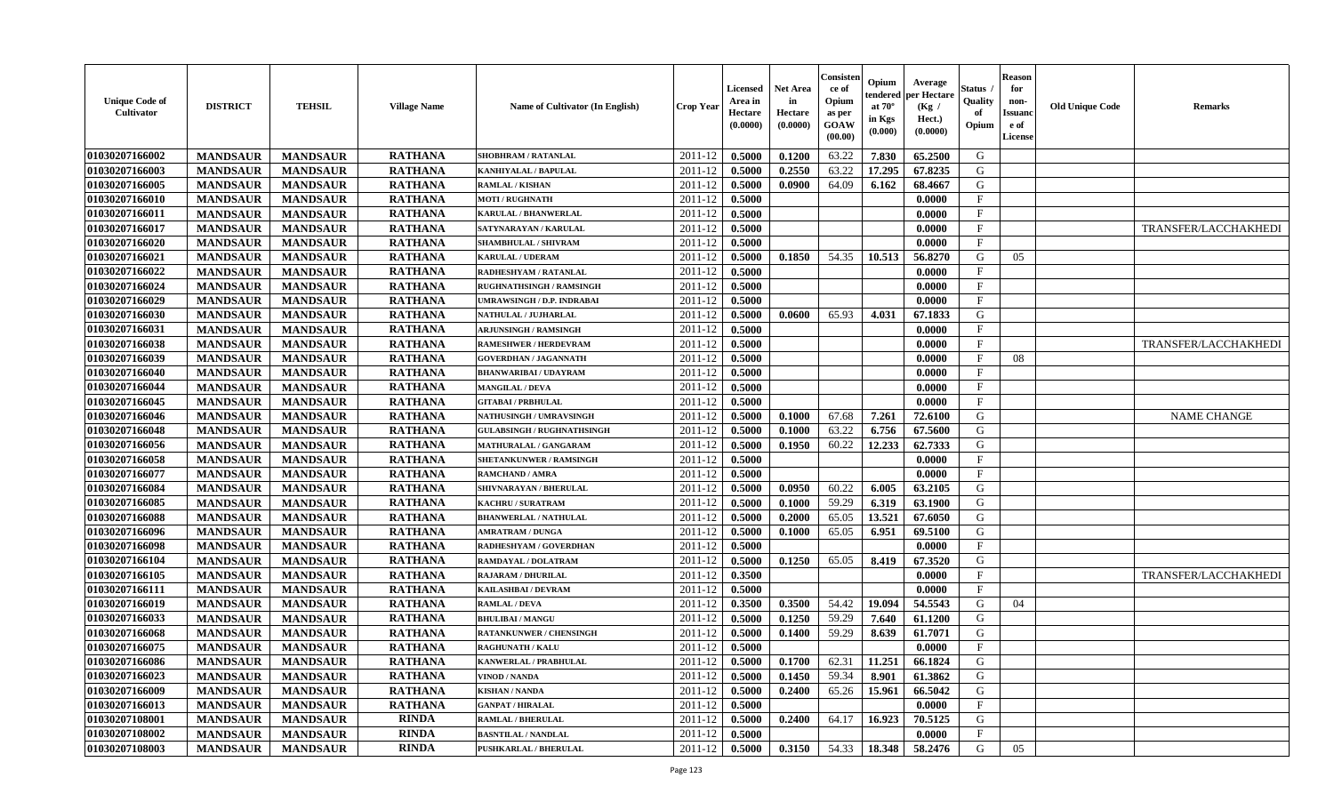| <b>Unique Code of</b><br>Cultivator | <b>DISTRICT</b> | <b>TEHSIL</b>   | <b>Village Name</b> | Name of Cultivator (In English)   | <b>Crop Year</b> | <b>Licensed</b><br>Area in<br>Hectare<br>(0.0000) | <b>Net Area</b><br>in<br>Hectare<br>(0.0000) | Consisteı<br>ce of<br>Opium<br>as per<br>GOAW<br>(00.00) | Opium<br>endered<br>at $70^\circ$<br>in Kgs<br>(0.000) | Average<br>er Hectare<br>(Kg /<br>Hect.)<br>(0.0000) | Status<br>Quality<br>of<br>Opium | <b>Reason</b><br>for<br>non-<br><b>Issuand</b><br>e of<br>License | <b>Old Unique Code</b> | <b>Remarks</b>       |
|-------------------------------------|-----------------|-----------------|---------------------|-----------------------------------|------------------|---------------------------------------------------|----------------------------------------------|----------------------------------------------------------|--------------------------------------------------------|------------------------------------------------------|----------------------------------|-------------------------------------------------------------------|------------------------|----------------------|
| 01030207166002                      | <b>MANDSAUR</b> | <b>MANDSAUR</b> | <b>RATHANA</b>      | <b>SHOBHRAM / RATANLAL</b>        | 2011-12          | 0.5000                                            | 0.1200                                       | 63.22                                                    | 7.830                                                  | 65.2500                                              | G                                |                                                                   |                        |                      |
| 01030207166003                      | <b>MANDSAUR</b> | <b>MANDSAUR</b> | <b>RATHANA</b>      | KANHIYALAL / BAPULAL              | 2011-12          | 0.5000                                            | 0.2550                                       | 63.22                                                    | 17.295                                                 | 67.8235                                              | G                                |                                                                   |                        |                      |
| 01030207166005                      | <b>MANDSAUR</b> | <b>MANDSAUR</b> | <b>RATHANA</b>      | <b>RAMLAL / KISHAN</b>            | 2011-12          | 0.5000                                            | 0.0900                                       | 64.09                                                    | 6.162                                                  | 68.4667                                              | G                                |                                                                   |                        |                      |
| 01030207166010                      | <b>MANDSAUR</b> | <b>MANDSAUR</b> | <b>RATHANA</b>      | <b>MOTI / RUGHNATH</b>            | 2011-12          | 0.5000                                            |                                              |                                                          |                                                        | 0.0000                                               | $\mathbf{F}$                     |                                                                   |                        |                      |
| 01030207166011                      | <b>MANDSAUR</b> | <b>MANDSAUR</b> | <b>RATHANA</b>      | <b>KARULAL / BHANWERLAL</b>       | 2011-12          | 0.5000                                            |                                              |                                                          |                                                        | 0.0000                                               | $_{\rm F}$                       |                                                                   |                        |                      |
| 01030207166017                      | <b>MANDSAUR</b> | <b>MANDSAUR</b> | <b>RATHANA</b>      | SATYNARAYAN / KARULAL             | 2011-12          | 0.5000                                            |                                              |                                                          |                                                        | 0.0000                                               | F                                |                                                                   |                        | TRANSFER/LACCHAKHEDI |
| 01030207166020                      | <b>MANDSAUR</b> | <b>MANDSAUR</b> | <b>RATHANA</b>      | <b>SHAMBHULAL / SHIVRAM</b>       | 2011-12          | 0.5000                                            |                                              |                                                          |                                                        | 0.0000                                               | $\mathbf F$                      |                                                                   |                        |                      |
| 01030207166021                      | <b>MANDSAUR</b> | <b>MANDSAUR</b> | <b>RATHANA</b>      | KARULAL / UDERAM                  | 2011-12          | 0.5000                                            | 0.1850                                       | 54.35                                                    | 10.513                                                 | 56.8270                                              | G                                | 05                                                                |                        |                      |
| 01030207166022                      | <b>MANDSAUR</b> | <b>MANDSAUR</b> | <b>RATHANA</b>      | RADHESHYAM / RATANLAL             | 2011-12          | 0.5000                                            |                                              |                                                          |                                                        | 0.0000                                               | $\mathbf F$                      |                                                                   |                        |                      |
| 01030207166024                      | <b>MANDSAUR</b> | <b>MANDSAUR</b> | <b>RATHANA</b>      | <b>RUGHNATHSINGH / RAMSINGH</b>   | 2011-12          | 0.5000                                            |                                              |                                                          |                                                        | 0.0000                                               | $\mathbf{F}$                     |                                                                   |                        |                      |
| 01030207166029                      | <b>MANDSAUR</b> | <b>MANDSAUR</b> | <b>RATHANA</b>      | UMRAWSINGH / D.P. INDRABAI        | 2011-12          | 0.5000                                            |                                              |                                                          |                                                        | 0.0000                                               | $\mathbf F$                      |                                                                   |                        |                      |
| 01030207166030                      | <b>MANDSAUR</b> | <b>MANDSAUR</b> | <b>RATHANA</b>      | NATHULAL / JUJHARLAL              | 2011-12          | 0.5000                                            | 0.0600                                       | 65.93                                                    | 4.031                                                  | 67.1833                                              | G                                |                                                                   |                        |                      |
| 01030207166031                      | <b>MANDSAUR</b> | <b>MANDSAUR</b> | <b>RATHANA</b>      | <b>ARJUNSINGH / RAMSINGH</b>      | 2011-12          | 0.5000                                            |                                              |                                                          |                                                        | 0.0000                                               | F                                |                                                                   |                        |                      |
| 01030207166038                      | <b>MANDSAUR</b> | <b>MANDSAUR</b> | <b>RATHANA</b>      | <b>RAMESHWER / HERDEVRAM</b>      | 2011-12          | 0.5000                                            |                                              |                                                          |                                                        | 0.0000                                               | F                                |                                                                   |                        | TRANSFER/LACCHAKHEDI |
| 01030207166039                      | <b>MANDSAUR</b> | <b>MANDSAUR</b> | <b>RATHANA</b>      | <b>GOVERDHAN / JAGANNATH</b>      | 2011-12          | 0.5000                                            |                                              |                                                          |                                                        | 0.0000                                               | $\mathbf{F}$                     | 08                                                                |                        |                      |
| 01030207166040                      | <b>MANDSAUR</b> | <b>MANDSAUR</b> | <b>RATHANA</b>      | <b>BHANWARIBAI / UDAYRAM</b>      | 2011-12          | 0.5000                                            |                                              |                                                          |                                                        | 0.0000                                               | $\mathbf F$                      |                                                                   |                        |                      |
| 01030207166044                      | <b>MANDSAUR</b> | <b>MANDSAUR</b> | <b>RATHANA</b>      | <b>MANGILAL / DEVA</b>            | 2011-12          | 0.5000                                            |                                              |                                                          |                                                        | 0.0000                                               | $\mathbf{F}$                     |                                                                   |                        |                      |
| 01030207166045                      | <b>MANDSAUR</b> | <b>MANDSAUR</b> | <b>RATHANA</b>      | <b>GITABAI/PRBHULAL</b>           | 2011-12          | 0.5000                                            |                                              |                                                          |                                                        | 0.0000                                               | $\mathbf{F}$                     |                                                                   |                        |                      |
| 01030207166046                      | <b>MANDSAUR</b> | <b>MANDSAUR</b> | <b>RATHANA</b>      | NATHUSINGH / UMRAVSINGH           | 2011-12          | 0.5000                                            | 0.1000                                       | 67.68                                                    | 7.261                                                  | 72.6100                                              | G                                |                                                                   |                        | <b>NAME CHANGE</b>   |
| 01030207166048                      | <b>MANDSAUR</b> | <b>MANDSAUR</b> | <b>RATHANA</b>      | <b>GULABSINGH / RUGHNATHSINGH</b> | 2011-12          | 0.5000                                            | 0.1000                                       | 63.22                                                    | 6.756                                                  | 67.5600                                              | G                                |                                                                   |                        |                      |
| 01030207166056                      | <b>MANDSAUR</b> | <b>MANDSAUR</b> | <b>RATHANA</b>      | <b>MATHURALAL / GANGARAM</b>      | 2011-12          | 0.5000                                            | 0.1950                                       | 60.22                                                    | 12.233                                                 | 62.7333                                              | G                                |                                                                   |                        |                      |
| 01030207166058                      | <b>MANDSAUR</b> | <b>MANDSAUR</b> | <b>RATHANA</b>      | <b>SHETANKUNWER / RAMSINGH</b>    | 2011-12          | 0.5000                                            |                                              |                                                          |                                                        | 0.0000                                               | $\mathbf{F}$                     |                                                                   |                        |                      |
| 01030207166077                      | <b>MANDSAUR</b> | <b>MANDSAUR</b> | <b>RATHANA</b>      | RAMCHAND / AMRA                   | 2011-12          | 0.5000                                            |                                              |                                                          |                                                        | 0.0000                                               | $\mathbf{F}$                     |                                                                   |                        |                      |
| 01030207166084                      | <b>MANDSAUR</b> | <b>MANDSAUR</b> | <b>RATHANA</b>      | SHIVNARAYAN / BHERULAL            | 2011-12          | 0.5000                                            | 0.0950                                       | 60.22                                                    | 6.005                                                  | 63.2105                                              | G                                |                                                                   |                        |                      |
| 01030207166085                      | <b>MANDSAUR</b> | <b>MANDSAUR</b> | <b>RATHANA</b>      | KACHRU / SURATRAM                 | 2011-12          | 0.5000                                            | 0.1000                                       | 59.29                                                    | 6.319                                                  | 63.1900                                              | G                                |                                                                   |                        |                      |
| 01030207166088                      | <b>MANDSAUR</b> | <b>MANDSAUR</b> | <b>RATHANA</b>      | <b>BHANWERLAL / NATHULAL</b>      | 2011-12          | 0.5000                                            | 0.2000                                       | 65.05                                                    | 13.521                                                 | 67.6050                                              | G                                |                                                                   |                        |                      |
| 01030207166096                      | <b>MANDSAUR</b> | <b>MANDSAUR</b> | <b>RATHANA</b>      | <b>AMRATRAM / DUNGA</b>           | 2011-12          | 0.5000                                            | 0.1000                                       | 65.05                                                    | 6.951                                                  | 69.5100                                              | G                                |                                                                   |                        |                      |
| 01030207166098                      | <b>MANDSAUR</b> | <b>MANDSAUR</b> | <b>RATHANA</b>      | RADHESHYAM / GOVERDHAN            | 2011-12          | 0.5000                                            |                                              |                                                          |                                                        | 0.0000                                               | $\mathbf F$                      |                                                                   |                        |                      |
| 01030207166104                      | <b>MANDSAUR</b> | <b>MANDSAUR</b> | <b>RATHANA</b>      | RAMDAYAL / DOLATRAM               | 2011-12          | 0.5000                                            | 0.1250                                       | 65.05                                                    | 8.419                                                  | 67.3520                                              | G                                |                                                                   |                        |                      |
| 01030207166105                      | <b>MANDSAUR</b> | <b>MANDSAUR</b> | <b>RATHANA</b>      | <b>RAJARAM / DHURILAL</b>         | 2011-12          | 0.3500                                            |                                              |                                                          |                                                        | 0.0000                                               | $\mathbf{F}$                     |                                                                   |                        | TRANSFER/LACCHAKHEDI |
| 01030207166111                      | <b>MANDSAUR</b> | <b>MANDSAUR</b> | <b>RATHANA</b>      | KAILASHBAI / DEVRAM               | 2011-12          | 0.5000                                            |                                              |                                                          |                                                        | 0.0000                                               | F                                |                                                                   |                        |                      |
| 01030207166019                      | <b>MANDSAUR</b> | <b>MANDSAUR</b> | <b>RATHANA</b>      | <b>RAMLAL / DEVA</b>              | 2011-12          | 0.3500                                            | 0.3500                                       | 54.42                                                    | 19.094                                                 | 54.5543                                              | G                                | 04                                                                |                        |                      |
| 01030207166033                      | <b>MANDSAUR</b> | <b>MANDSAUR</b> | <b>RATHANA</b>      | <b>BHULIBAI / MANGU</b>           | 2011-12          | 0.5000                                            | 0.1250                                       | 59.29                                                    | 7.640                                                  | 61.1200                                              | G                                |                                                                   |                        |                      |
| 01030207166068                      | <b>MANDSAUR</b> | <b>MANDSAUR</b> | <b>RATHANA</b>      | <b>RATANKUNWER / CHENSINGH</b>    | 2011-12          | 0.5000                                            | 0.1400                                       | 59.29                                                    | 8.639                                                  | 61.7071                                              | G                                |                                                                   |                        |                      |
| 01030207166075                      | <b>MANDSAUR</b> | <b>MANDSAUR</b> | <b>RATHANA</b>      | <b>RAGHUNATH / KALU</b>           | 2011-12          | 0.5000                                            |                                              |                                                          |                                                        | 0.0000                                               | F                                |                                                                   |                        |                      |
| 01030207166086                      | <b>MANDSAUR</b> | <b>MANDSAUR</b> | <b>RATHANA</b>      | KANWERLAL / PRABHULAL             | 2011-12          | 0.5000                                            | 0.1700                                       | 62.31                                                    | 11.251                                                 | 66.1824                                              | G                                |                                                                   |                        |                      |
| 01030207166023                      | <b>MANDSAUR</b> | <b>MANDSAUR</b> | <b>RATHANA</b>      | <b>VINOD / NANDA</b>              | 2011-12          | 0.5000                                            | 0.1450                                       | 59.34                                                    | 8.901                                                  | 61.3862                                              | G                                |                                                                   |                        |                      |
| 01030207166009                      | <b>MANDSAUR</b> | <b>MANDSAUR</b> | <b>RATHANA</b>      | <b>KISHAN / NANDA</b>             | 2011-12          | 0.5000                                            | 0.2400                                       | 65.26                                                    | 15.961                                                 | 66.5042                                              | G                                |                                                                   |                        |                      |
| 01030207166013                      | <b>MANDSAUR</b> | <b>MANDSAUR</b> | <b>RATHANA</b>      | <b>GANPAT / HIRALAL</b>           | 2011-12          | 0.5000                                            |                                              |                                                          |                                                        | 0.0000                                               | $\mathbf F$                      |                                                                   |                        |                      |
| 01030207108001                      | <b>MANDSAUR</b> | <b>MANDSAUR</b> | <b>RINDA</b>        | <b>RAMLAL / BHERULAL</b>          | 2011-12          | 0.5000                                            | 0.2400                                       | 64.17                                                    | 16.923                                                 | 70.5125                                              | G                                |                                                                   |                        |                      |
| 01030207108002                      | <b>MANDSAUR</b> | <b>MANDSAUR</b> | <b>RINDA</b>        | <b>BASNTILAL / NANDLAL</b>        | 2011-12          | 0.5000                                            |                                              |                                                          |                                                        | 0.0000                                               | $_{\rm F}$                       |                                                                   |                        |                      |
| 01030207108003                      | <b>MANDSAUR</b> | <b>MANDSAUR</b> | <b>RINDA</b>        | <b>PUSHKARLAL / BHERULAL</b>      | 2011-12          | 0.5000                                            | 0.3150                                       | 54.33                                                    | 18.348                                                 | 58.2476                                              | G                                | 05                                                                |                        |                      |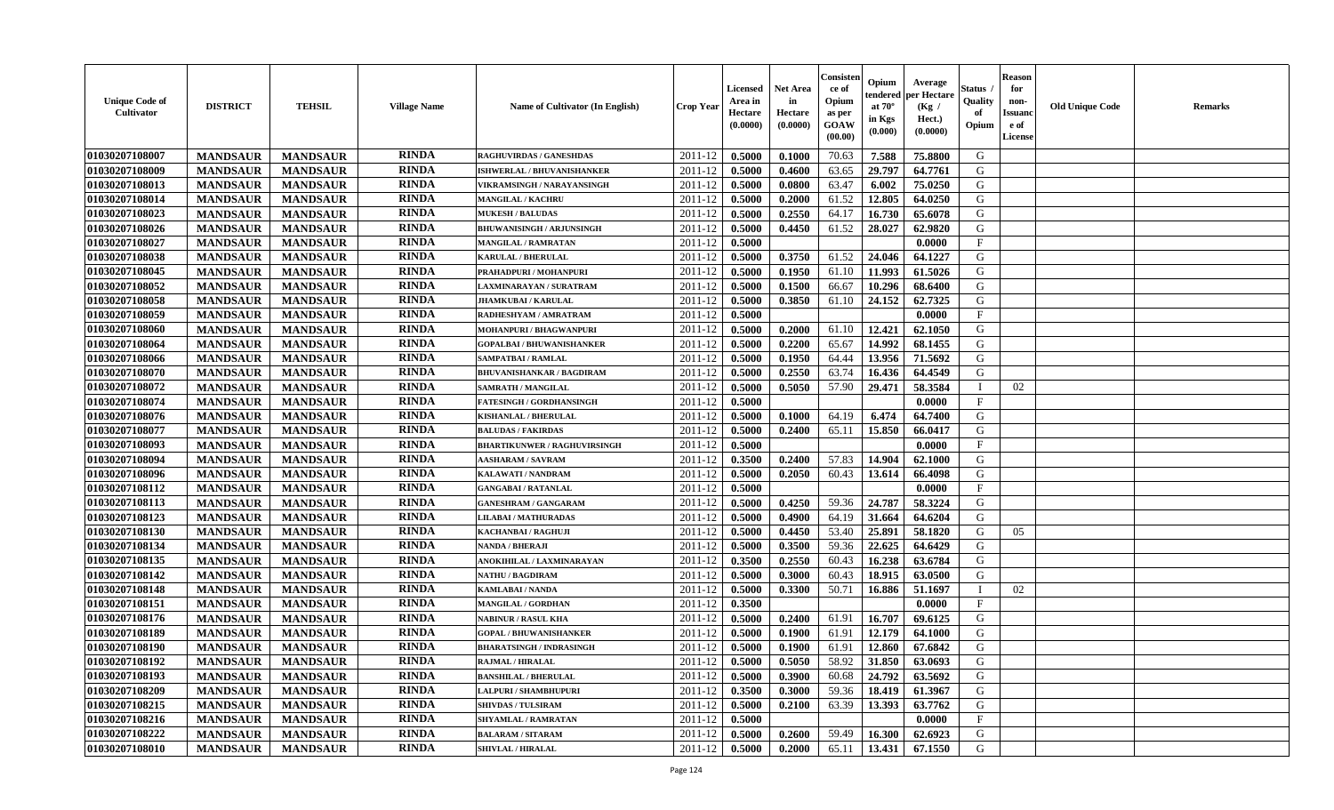| <b>Unique Code of</b><br><b>Cultivator</b> | <b>DISTRICT</b> | <b>TEHSIL</b>   | <b>Village Name</b> | Name of Cultivator (In English)     | <b>Crop Year</b> | <b>Licensed</b><br>Area in<br>Hectare<br>(0.0000) | <b>Net Area</b><br>in<br>Hectare<br>(0.0000) | Consister<br>ce of<br>Opium<br>as per<br><b>GOAW</b><br>(00.00) | Opium<br>endered<br>at $70^\circ$<br>in Kgs<br>(0.000) | Average<br>per Hectare<br>(Kg /<br>Hect.)<br>(0.0000) | Status<br>Quality<br>of<br>Opium | <b>Reason</b><br>for<br>non-<br><b>Issuand</b><br>e of<br><b>License</b> | <b>Old Unique Code</b> | <b>Remarks</b> |
|--------------------------------------------|-----------------|-----------------|---------------------|-------------------------------------|------------------|---------------------------------------------------|----------------------------------------------|-----------------------------------------------------------------|--------------------------------------------------------|-------------------------------------------------------|----------------------------------|--------------------------------------------------------------------------|------------------------|----------------|
| 01030207108007                             | <b>MANDSAUR</b> | <b>MANDSAUR</b> | <b>RINDA</b>        | <b>RAGHUVIRDAS / GANESHDAS</b>      | 2011-12          | 0.5000                                            | 0.1000                                       | 70.63                                                           | 7.588                                                  | 75.8800                                               | G                                |                                                                          |                        |                |
| 01030207108009                             | <b>MANDSAUR</b> | <b>MANDSAUR</b> | <b>RINDA</b>        | <b>ISHWERLAL / BHUVANISHANKER</b>   | 2011-12          | 0.5000                                            | 0.4600                                       | 63.65                                                           | 29.797                                                 | 64.7761                                               | G                                |                                                                          |                        |                |
| 01030207108013                             | <b>MANDSAUR</b> | <b>MANDSAUR</b> | <b>RINDA</b>        | VIKRAMSINGH / NARAYANSINGH          | 2011-12          | 0.5000                                            | 0.0800                                       | 63.47                                                           | 6.002                                                  | 75.0250                                               | G                                |                                                                          |                        |                |
| 01030207108014                             | <b>MANDSAUR</b> | <b>MANDSAUR</b> | <b>RINDA</b>        | <b>MANGILAL / KACHRU</b>            | 2011-12          | 0.5000                                            | 0.2000                                       | 61.52                                                           | 12.805                                                 | 64.0250                                               | G                                |                                                                          |                        |                |
| 01030207108023                             | <b>MANDSAUR</b> | <b>MANDSAUR</b> | <b>RINDA</b>        | <b>MUKESH / BALUDAS</b>             | 2011-12          | 0.5000                                            | 0.2550                                       | 64.17                                                           | 16.730                                                 | 65.6078                                               | G                                |                                                                          |                        |                |
| 01030207108026                             | <b>MANDSAUR</b> | <b>MANDSAUR</b> | <b>RINDA</b>        | <b>BHUWANISINGH / ARJUNSINGH</b>    | 2011-12          | 0.5000                                            | 0.4450                                       | 61.52                                                           | 28.027                                                 | 62.9820                                               | G                                |                                                                          |                        |                |
| 01030207108027                             | <b>MANDSAUR</b> | <b>MANDSAUR</b> | <b>RINDA</b>        | <b>MANGILAL / RAMRATAN</b>          | 2011-12          | 0.5000                                            |                                              |                                                                 |                                                        | 0.0000                                                | F                                |                                                                          |                        |                |
| 01030207108038                             | <b>MANDSAUR</b> | <b>MANDSAUR</b> | <b>RINDA</b>        | <b>KARULAL / BHERULAL</b>           | 2011-12          | 0.5000                                            | 0.3750                                       | 61.52                                                           | 24.046                                                 | 64.1227                                               | G                                |                                                                          |                        |                |
| 01030207108045                             | <b>MANDSAUR</b> | <b>MANDSAUR</b> | <b>RINDA</b>        | PRAHADPURI / MOHANPURI              | 2011-12          | 0.5000                                            | 0.1950                                       | 61.10                                                           | 11.993                                                 | 61.5026                                               | G                                |                                                                          |                        |                |
| 01030207108052                             | <b>MANDSAUR</b> | <b>MANDSAUR</b> | <b>RINDA</b>        | LAXMINARAYAN / SURATRAM             | 2011-12          | 0.5000                                            | 0.1500                                       | 66.67                                                           | 10.296                                                 | 68.6400                                               | G                                |                                                                          |                        |                |
| 01030207108058                             | <b>MANDSAUR</b> | <b>MANDSAUR</b> | <b>RINDA</b>        | <b>JHAMKUBAI/KARULAL</b>            | 2011-12          | 0.5000                                            | 0.3850                                       | 61.10                                                           | 24.152                                                 | 62.7325                                               | G                                |                                                                          |                        |                |
| 01030207108059                             | <b>MANDSAUR</b> | <b>MANDSAUR</b> | <b>RINDA</b>        | RADHESHYAM / AMRATRAM               | 2011-12          | 0.5000                                            |                                              |                                                                 |                                                        | 0.0000                                                | $\mathbf{F}$                     |                                                                          |                        |                |
| 01030207108060                             | <b>MANDSAUR</b> | <b>MANDSAUR</b> | <b>RINDA</b>        | MOHANPURI / BHAGWANPURI             | 2011-12          | 0.5000                                            | 0.2000                                       | 61.10                                                           | 12.421                                                 | 62.1050                                               | G                                |                                                                          |                        |                |
| 01030207108064                             | <b>MANDSAUR</b> | <b>MANDSAUR</b> | <b>RINDA</b>        | <b>GOPALBAI/BHUWANISHANKER</b>      | 2011-12          | 0.5000                                            | 0.2200                                       | 65.67                                                           | 14.992                                                 | 68.1455                                               | G                                |                                                                          |                        |                |
| 01030207108066                             | <b>MANDSAUR</b> | <b>MANDSAUR</b> | <b>RINDA</b>        | SAMPATBAI / RAMLAL                  | 2011-12          | 0.5000                                            | 0.1950                                       | 64.44                                                           | 13.956                                                 | 71.5692                                               | G                                |                                                                          |                        |                |
| 01030207108070                             | <b>MANDSAUR</b> | <b>MANDSAUR</b> | <b>RINDA</b>        | <b>BHUVANISHANKAR / BAGDIRAM</b>    | 2011-12          | 0.5000                                            | 0.2550                                       | 63.74                                                           | 16.436                                                 | 64.4549                                               | G                                |                                                                          |                        |                |
| 01030207108072                             | <b>MANDSAUR</b> | <b>MANDSAUR</b> | <b>RINDA</b>        | SAMRATH / MANGILAL                  | 2011-12          | 0.5000                                            | 0.5050                                       | 57.90                                                           | 29,471                                                 | 58.3584                                               | I                                | 02                                                                       |                        |                |
| 01030207108074                             | <b>MANDSAUR</b> | <b>MANDSAUR</b> | <b>RINDA</b>        | <b>FATESINGH / GORDHANSINGH</b>     | 2011-12          | 0.5000                                            |                                              |                                                                 |                                                        | 0.0000                                                | $\mathbf{F}$                     |                                                                          |                        |                |
| 01030207108076                             | <b>MANDSAUR</b> | <b>MANDSAUR</b> | <b>RINDA</b>        | KISHANLAL / BHERULAL                | 2011-12          | 0.5000                                            | 0.1000                                       | 64.19                                                           | 6.474                                                  | 64.7400                                               | G                                |                                                                          |                        |                |
| 01030207108077                             | <b>MANDSAUR</b> | <b>MANDSAUR</b> | <b>RINDA</b>        | <b>BALUDAS / FAKIRDAS</b>           | 2011-12          | 0.5000                                            | 0.2400                                       | 65.11                                                           | 15.850                                                 | 66.0417                                               | G                                |                                                                          |                        |                |
| 01030207108093                             | <b>MANDSAUR</b> | <b>MANDSAUR</b> | <b>RINDA</b>        | <b>BHARTIKUNWER / RAGHUVIRSINGH</b> | 2011-12          | 0.5000                                            |                                              |                                                                 |                                                        | 0.0000                                                | $\mathbf{F}$                     |                                                                          |                        |                |
| 01030207108094                             | <b>MANDSAUR</b> | <b>MANDSAUR</b> | <b>RINDA</b>        | <b>AASHARAM / SAVRAM</b>            | 2011-12          | 0.3500                                            | 0.2400                                       | 57.83                                                           | 14.904                                                 | 62.1000                                               | G                                |                                                                          |                        |                |
| 01030207108096                             | <b>MANDSAUR</b> | <b>MANDSAUR</b> | <b>RINDA</b>        | KALAWATI / NANDRAM                  | 2011-12          | 0.5000                                            | 0.2050                                       | 60.43                                                           | 13.614                                                 | 66.4098                                               | G                                |                                                                          |                        |                |
| 01030207108112                             | <b>MANDSAUR</b> | <b>MANDSAUR</b> | <b>RINDA</b>        | <b>GANGABAI / RATANLAL</b>          | 2011-12          | 0.5000                                            |                                              |                                                                 |                                                        | 0.0000                                                | $\mathbf{F}$                     |                                                                          |                        |                |
| 01030207108113                             | <b>MANDSAUR</b> | <b>MANDSAUR</b> | <b>RINDA</b>        | <b>GANESHRAM / GANGARAM</b>         | 2011-12          | 0.5000                                            | 0.4250                                       | 59.36                                                           | 24.787                                                 | 58.3224                                               | G                                |                                                                          |                        |                |
| 01030207108123                             | <b>MANDSAUR</b> | <b>MANDSAUR</b> | <b>RINDA</b>        | LILABAI / MATHURADAS                | 2011-12          | 0.5000                                            | 0.4900                                       | 64.19                                                           | 31.664                                                 | 64.6204                                               | G                                |                                                                          |                        |                |
| 01030207108130                             | <b>MANDSAUR</b> | <b>MANDSAUR</b> | <b>RINDA</b>        | KACHANBAI / RAGHUJI                 | 2011-12          | 0.5000                                            | 0.4450                                       | 53.40                                                           | 25.891                                                 | 58.1820                                               | G                                | 05                                                                       |                        |                |
| 01030207108134                             | <b>MANDSAUR</b> | <b>MANDSAUR</b> | <b>RINDA</b>        | <b>NANDA / BHERAJI</b>              | 2011-12          | 0.5000                                            | 0.3500                                       | 59.36                                                           | 22.625                                                 | 64.6429                                               | G                                |                                                                          |                        |                |
| 01030207108135                             | <b>MANDSAUR</b> | <b>MANDSAUR</b> | <b>RINDA</b>        | ANOKIHILAL / LAXMINARAYAN           | 2011-12          | 0.3500                                            | 0.2550                                       | 60.43                                                           | 16.238                                                 | 63.6784                                               | G                                |                                                                          |                        |                |
| 01030207108142                             | <b>MANDSAUR</b> | <b>MANDSAUR</b> | <b>RINDA</b>        | <b>NATHU / BAGDIRAM</b>             | 2011-12          | 0.5000                                            | 0.3000                                       | 60.43                                                           | 18.915                                                 | 63.0500                                               | G                                |                                                                          |                        |                |
| 01030207108148                             | <b>MANDSAUR</b> | <b>MANDSAUR</b> | <b>RINDA</b>        | KAMLABAI / NANDA                    | 2011-12          | 0.5000                                            | 0.3300                                       | 50.71                                                           | 16.886                                                 | 51.1697                                               | $\mathbf{I}$                     | 02                                                                       |                        |                |
| 01030207108151                             | <b>MANDSAUR</b> | <b>MANDSAUR</b> | <b>RINDA</b>        | <b>MANGILAL / GORDHAN</b>           | 2011-12          | 0.3500                                            |                                              |                                                                 |                                                        | 0.0000                                                | $\mathbf{F}$                     |                                                                          |                        |                |
| 01030207108176                             | <b>MANDSAUR</b> | <b>MANDSAUR</b> | <b>RINDA</b>        | <b>NABINUR / RASUL KHA</b>          | 2011-12          | 0.5000                                            | 0.2400                                       | 61.91                                                           | 16.707                                                 | 69.6125                                               | G                                |                                                                          |                        |                |
| 01030207108189                             | <b>MANDSAUR</b> | <b>MANDSAUR</b> | <b>RINDA</b>        | <b>GOPAL / BHUWANISHANKER</b>       | 2011-12          | 0.5000                                            | 0.1900                                       | 61.91                                                           | 12.179                                                 | 64.1000                                               | G                                |                                                                          |                        |                |
| 01030207108190                             | <b>MANDSAUR</b> | <b>MANDSAUR</b> | <b>RINDA</b>        | <b>BHARATSINGH / INDRASINGH</b>     | 2011-12          | 0.5000                                            | 0.1900                                       | 61.91                                                           | 12.860                                                 | 67.6842                                               | G                                |                                                                          |                        |                |
| 01030207108192                             | <b>MANDSAUR</b> | <b>MANDSAUR</b> | <b>RINDA</b>        | <b>RAJMAL / HIRALAL</b>             | 2011-12          | 0.5000                                            | 0.5050                                       | 58.92                                                           | 31.850                                                 | 63.0693                                               | G                                |                                                                          |                        |                |
| 01030207108193                             | <b>MANDSAUR</b> | <b>MANDSAUR</b> | <b>RINDA</b>        | <b>BANSHILAL / BHERULAL</b>         | 2011-12          | 0.5000                                            | 0.3900                                       | 60.68                                                           | 24.792                                                 | 63.5692                                               | G                                |                                                                          |                        |                |
| 01030207108209                             | <b>MANDSAUR</b> | <b>MANDSAUR</b> | <b>RINDA</b>        | LALPURI / SHAMBHUPURI               | 2011-12          | 0.3500                                            | 0.3000                                       | 59.36                                                           | 18.419                                                 | 61.3967                                               | G                                |                                                                          |                        |                |
| 01030207108215                             | <b>MANDSAUR</b> | <b>MANDSAUR</b> | <b>RINDA</b>        | <b>SHIVDAS / TULSIRAM</b>           | 2011-12          | 0.5000                                            | 0.2100                                       | 63.39                                                           | 13.393                                                 | 63.7762                                               | G                                |                                                                          |                        |                |
| 01030207108216                             | <b>MANDSAUR</b> | <b>MANDSAUR</b> | <b>RINDA</b>        | <b>SHYAMLAL / RAMRATAN</b>          | 2011-12          | 0.5000                                            |                                              |                                                                 |                                                        | 0.0000                                                | F                                |                                                                          |                        |                |
| 01030207108222                             | <b>MANDSAUR</b> | <b>MANDSAUR</b> | <b>RINDA</b>        | <b>BALARAM / SITARAM</b>            | 2011-12          | 0.5000                                            | 0.2600                                       | 59.49                                                           | 16.300                                                 | 62.6923                                               | G                                |                                                                          |                        |                |
| 01030207108010                             | <b>MANDSAUR</b> | <b>MANDSAUR</b> | RINDA               | <b>SHIVLAL / HIRALAL</b>            | 2011-12          | 0.5000                                            | 0.2000                                       | 65.11                                                           | 13.431                                                 | 67.1550                                               | G                                |                                                                          |                        |                |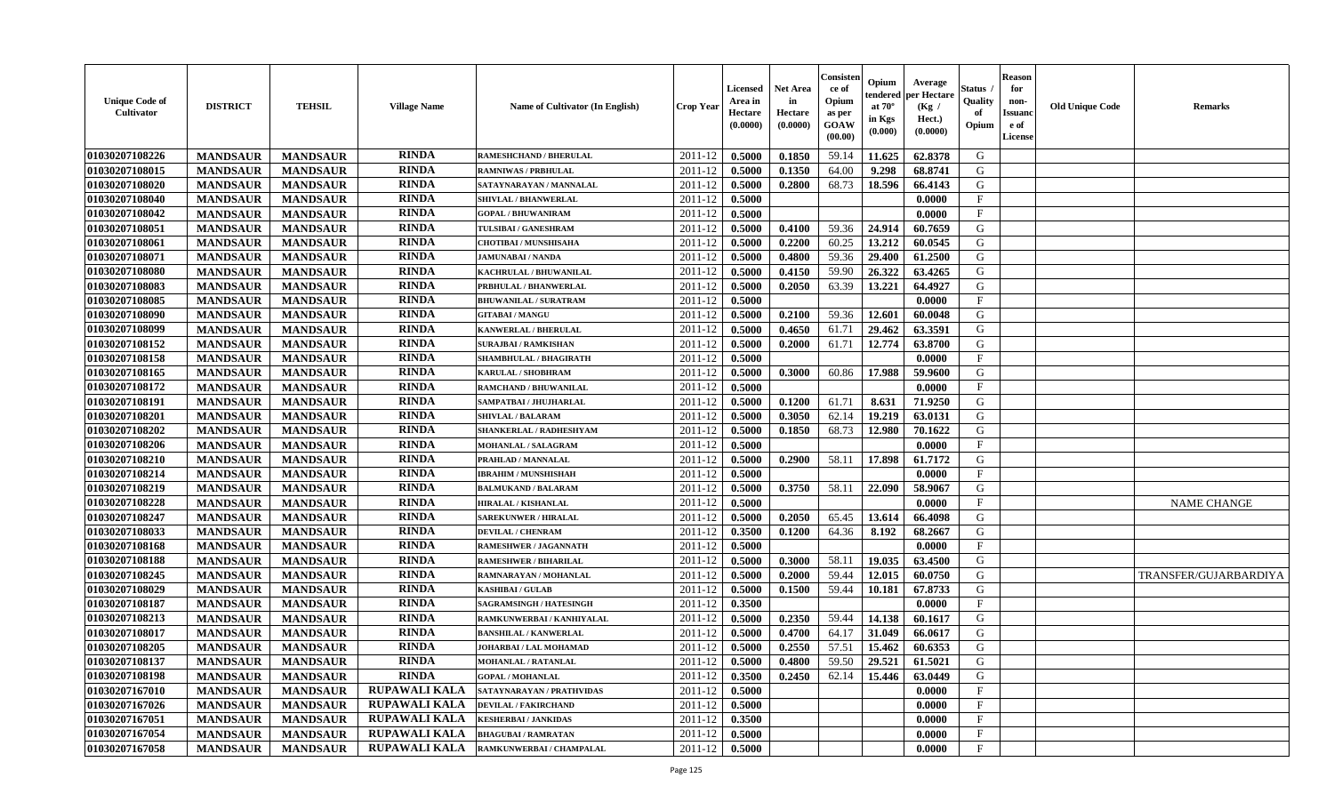| <b>Unique Code of</b><br><b>Cultivator</b> | <b>DISTRICT</b> | <b>TEHSIL</b>   | <b>Village Name</b>  | Name of Cultivator (In English) | <b>Crop Year</b> | <b>Licensed</b><br>Area in<br>Hectare<br>(0.0000) | <b>Net Area</b><br>in<br>Hectare<br>(0.0000) | Consisteı<br>ce of<br>Opium<br>as per<br><b>GOAW</b><br>(00.00) | Opium<br>endered<br>at $70^\circ$<br>in Kgs<br>$(\mathbf{0.000})$ | Average<br>per Hectare<br>(Kg /<br>Hect.)<br>(0.0000) | Status<br>Quality<br>of<br>Opium | Reason<br>for<br>non-<br>Issuan<br>e of<br>License | <b>Old Unique Code</b> | <b>Remarks</b>        |
|--------------------------------------------|-----------------|-----------------|----------------------|---------------------------------|------------------|---------------------------------------------------|----------------------------------------------|-----------------------------------------------------------------|-------------------------------------------------------------------|-------------------------------------------------------|----------------------------------|----------------------------------------------------|------------------------|-----------------------|
| 01030207108226                             | <b>MANDSAUR</b> | <b>MANDSAUR</b> | <b>RINDA</b>         | <b>RAMESHCHAND / BHERULAL</b>   | 2011-12          | 0.5000                                            | 0.1850                                       | 59.14                                                           | 11.625                                                            | 62.8378                                               | G                                |                                                    |                        |                       |
| 01030207108015                             | <b>MANDSAUR</b> | <b>MANDSAUR</b> | <b>RINDA</b>         | <b>RAMNIWAS / PRBHULAL</b>      | 2011-12          | 0.5000                                            | 0.1350                                       | 64.00                                                           | 9.298                                                             | 68.8741                                               | G                                |                                                    |                        |                       |
| 01030207108020                             | <b>MANDSAUR</b> | <b>MANDSAUR</b> | <b>RINDA</b>         | SATAYNARAYAN / MANNALAL         | 2011-12          | 0.5000                                            | 0.2800                                       | 68.73                                                           | 18.596                                                            | 66.4143                                               | G                                |                                                    |                        |                       |
| 01030207108040                             | <b>MANDSAUR</b> | <b>MANDSAUR</b> | <b>RINDA</b>         | SHIVLAL / BHANWERLAL            | 2011-12          | 0.5000                                            |                                              |                                                                 |                                                                   | 0.0000                                                | $_{\rm F}$                       |                                                    |                        |                       |
| 01030207108042                             | <b>MANDSAUR</b> | <b>MANDSAUR</b> | <b>RINDA</b>         | <b>GOPAL / BHUWANIRAM</b>       | 2011-12          | 0.5000                                            |                                              |                                                                 |                                                                   | 0.0000                                                | $\mathbf{F}$                     |                                                    |                        |                       |
| 01030207108051                             | <b>MANDSAUR</b> | <b>MANDSAUR</b> | <b>RINDA</b>         | TULSIBAI / GANESHRAM            | 2011-12          | 0.5000                                            | 0.4100                                       | 59.36                                                           | 24.914                                                            | 60.7659                                               | G                                |                                                    |                        |                       |
| 01030207108061                             | <b>MANDSAUR</b> | <b>MANDSAUR</b> | <b>RINDA</b>         | <b>CHOTIBAI / MUNSHISAHA</b>    | 2011-12          | 0.5000                                            | 0.2200                                       | 60.25                                                           | 13.212                                                            | 60.0545                                               | G                                |                                                    |                        |                       |
| 01030207108071                             | <b>MANDSAUR</b> | <b>MANDSAUR</b> | <b>RINDA</b>         | <b>JAMUNABAI / NANDA</b>        | 2011-12          | 0.5000                                            | 0.4800                                       | 59.36                                                           | 29,400                                                            | 61.2500                                               | G                                |                                                    |                        |                       |
| 01030207108080                             | <b>MANDSAUR</b> | <b>MANDSAUR</b> | <b>RINDA</b>         | KACHRULAL / BHUWANILAL          | 2011-12          | 0.5000                                            | 0.4150                                       | 59.90                                                           | 26.322                                                            | 63.4265                                               | G                                |                                                    |                        |                       |
| 01030207108083                             | <b>MANDSAUR</b> | <b>MANDSAUR</b> | <b>RINDA</b>         | PRBHULAL / BHANWERLAL           | 2011-12          | 0.5000                                            | 0.2050                                       | 63.39                                                           | 13.221                                                            | 64.4927                                               | G                                |                                                    |                        |                       |
| 01030207108085                             | <b>MANDSAUR</b> | <b>MANDSAUR</b> | <b>RINDA</b>         | <b>BHUWANILAL / SURATRAM</b>    | 2011-12          | 0.5000                                            |                                              |                                                                 |                                                                   | 0.0000                                                | $\mathbf{F}$                     |                                                    |                        |                       |
| 01030207108090                             | <b>MANDSAUR</b> | <b>MANDSAUR</b> | <b>RINDA</b>         | <b>GITABAI/MANGU</b>            | 2011-12          | 0.5000                                            | 0.2100                                       | 59.36                                                           | 12.601                                                            | 60.0048                                               | G                                |                                                    |                        |                       |
| 01030207108099                             | <b>MANDSAUR</b> | <b>MANDSAUR</b> | <b>RINDA</b>         | <b>KANWERLAL / BHERULAL</b>     | 2011-12          | 0.5000                                            | 0.4650                                       | 61.71                                                           | 29.462                                                            | 63.3591                                               | G                                |                                                    |                        |                       |
| 01030207108152                             | <b>MANDSAUR</b> | <b>MANDSAUR</b> | <b>RINDA</b>         | <b>SURAJBAI / RAMKISHAN</b>     | 2011-12          | 0.5000                                            | 0.2000                                       | 61.71                                                           | 12.774                                                            | 63.8700                                               | G                                |                                                    |                        |                       |
| 01030207108158                             | <b>MANDSAUR</b> | <b>MANDSAUR</b> | <b>RINDA</b>         | SHAMBHULAL / BHAGIRATH          | 2011-12          | 0.5000                                            |                                              |                                                                 |                                                                   | 0.0000                                                | $\mathbf{F}$                     |                                                    |                        |                       |
| 01030207108165                             | <b>MANDSAUR</b> | <b>MANDSAUR</b> | <b>RINDA</b>         | KARULAL / SHOBHRAM              | 2011-12          | 0.5000                                            | 0.3000                                       | 60.86                                                           | 17.988                                                            | 59.9600                                               | G                                |                                                    |                        |                       |
| 01030207108172                             | <b>MANDSAUR</b> | <b>MANDSAUR</b> | <b>RINDA</b>         | RAMCHAND / BHUWANILAL           | 2011-12          | 0.5000                                            |                                              |                                                                 |                                                                   | 0.0000                                                | $\mathbf{F}$                     |                                                    |                        |                       |
| 01030207108191                             | <b>MANDSAUR</b> | <b>MANDSAUR</b> | <b>RINDA</b>         | SAMPATBAI / JHUJHARLAL          | 2011-12          | 0.5000                                            | 0.1200                                       | 61.71                                                           | 8.631                                                             | 71.9250                                               | G                                |                                                    |                        |                       |
| 01030207108201                             | <b>MANDSAUR</b> | <b>MANDSAUR</b> | <b>RINDA</b>         | <b>SHIVLAL / BALARAM</b>        | 2011-12          | 0.5000                                            | 0.3050                                       | 62.14                                                           | 19.219                                                            | 63.0131                                               | G                                |                                                    |                        |                       |
| 01030207108202                             | <b>MANDSAUR</b> | <b>MANDSAUR</b> | <b>RINDA</b>         | SHANKERLAL / RADHESHYAM         | 2011-12          | 0.5000                                            | 0.1850                                       | 68.73                                                           | 12.980                                                            | 70.1622                                               | G                                |                                                    |                        |                       |
| 01030207108206                             | <b>MANDSAUR</b> | <b>MANDSAUR</b> | <b>RINDA</b>         | MOHANLAL / SALAGRAM             | 2011-12          | 0.5000                                            |                                              |                                                                 |                                                                   | 0.0000                                                | F                                |                                                    |                        |                       |
| 01030207108210                             | <b>MANDSAUR</b> | <b>MANDSAUR</b> | <b>RINDA</b>         | PRAHLAD / MANNALAL              | 2011-12          | 0.5000                                            | 0.2900                                       | 58.11                                                           | 17.898                                                            | 61.7172                                               | G                                |                                                    |                        |                       |
| 01030207108214                             | <b>MANDSAUR</b> | <b>MANDSAUR</b> | <b>RINDA</b>         | <b>IBRAHIM / MUNSHISHAH</b>     | 2011-12          | 0.5000                                            |                                              |                                                                 |                                                                   | 0.0000                                                | $\mathbf{F}$                     |                                                    |                        |                       |
| 01030207108219                             | <b>MANDSAUR</b> | <b>MANDSAUR</b> | <b>RINDA</b>         | <b>BALMUKAND / BALARAM</b>      | 2011-12          | 0.5000                                            | 0.3750                                       | 58.11                                                           | 22.090                                                            | 58.9067                                               | G                                |                                                    |                        |                       |
| 01030207108228                             | <b>MANDSAUR</b> | <b>MANDSAUR</b> | RINDA                | <b>HIRALAL / KISHANLAL</b>      | 2011-12          | 0.5000                                            |                                              |                                                                 |                                                                   | 0.0000                                                | $\mathbf{F}$                     |                                                    |                        | <b>NAME CHANGE</b>    |
| 01030207108247                             | <b>MANDSAUR</b> | <b>MANDSAUR</b> | <b>RINDA</b>         | <b>SAREKUNWER / HIRALAL</b>     | 2011-12          | 0.5000                                            | 0.2050                                       | 65.45                                                           | 13.614                                                            | 66.4098                                               | G                                |                                                    |                        |                       |
| 01030207108033                             | <b>MANDSAUR</b> | <b>MANDSAUR</b> | <b>RINDA</b>         | <b>DEVILAL / CHENRAM</b>        | 2011-12          | 0.3500                                            | 0.1200                                       | 64.36                                                           | 8.192                                                             | 68.2667                                               | G                                |                                                    |                        |                       |
| 01030207108168                             | <b>MANDSAUR</b> | <b>MANDSAUR</b> | <b>RINDA</b>         | RAMESHWER / JAGANNATH           | 2011-12          | 0.5000                                            |                                              |                                                                 |                                                                   | 0.0000                                                | $\mathbf{F}$                     |                                                    |                        |                       |
| 01030207108188                             | <b>MANDSAUR</b> | <b>MANDSAUR</b> | <b>RINDA</b>         | <b>RAMESHWER / BIHARILAL</b>    | 2011-12          | 0.5000                                            | 0.3000                                       | 58.11                                                           | 19.035                                                            | 63.4500                                               | G                                |                                                    |                        |                       |
| 01030207108245                             | <b>MANDSAUR</b> | <b>MANDSAUR</b> | <b>RINDA</b>         | RAMNARAYAN / MOHANLAL           | 2011-12          | 0.5000                                            | 0.2000                                       | 59.44                                                           | 12.015                                                            | 60.0750                                               | G                                |                                                    |                        | TRANSFER/GUJARBARDIYA |
| 01030207108029                             | <b>MANDSAUR</b> | <b>MANDSAUR</b> | <b>RINDA</b>         | <b>KASHIBAI / GULAB</b>         | 2011-12          | 0.5000                                            | 0.1500                                       | 59.44                                                           | 10.181                                                            | 67.8733                                               | G                                |                                                    |                        |                       |
| 01030207108187                             | <b>MANDSAUR</b> | <b>MANDSAUR</b> | <b>RINDA</b>         | <b>SAGRAMSINGH / HATESINGH</b>  | 2011-12          | 0.3500                                            |                                              |                                                                 |                                                                   | 0.0000                                                | $\mathbf{F}$                     |                                                    |                        |                       |
| 01030207108213                             | <b>MANDSAUR</b> | <b>MANDSAUR</b> | <b>RINDA</b>         | RAMKUNWERBAI / KANHIYALAL       | 2011-12          | 0.5000                                            | 0.2350                                       | 59.44                                                           | 14.138                                                            | 60.1617                                               | G                                |                                                    |                        |                       |
| 01030207108017                             | <b>MANDSAUR</b> | <b>MANDSAUR</b> | <b>RINDA</b>         | <b>BANSHILAL / KANWERLAL</b>    | 2011-12          | 0.5000                                            | 0.4700                                       | 64.17                                                           | 31.049                                                            | 66.0617                                               | G                                |                                                    |                        |                       |
| 01030207108205                             | <b>MANDSAUR</b> | <b>MANDSAUR</b> | RINDA                | JOHARBAI / LAL MOHAMAD          | 2011-12          | 0.5000                                            | 0.2550                                       | 57.51                                                           | 15.462                                                            | 60.6353                                               | G                                |                                                    |                        |                       |
| <b>01030207108137</b>                      | <b>MANDSAUR</b> | <b>MANDSAUR</b> | <b>RINDA</b>         | MOHANLAL / RATANLAL             | $2011-12$ 0.5000 |                                                   | 0.4800                                       | 59.50                                                           |                                                                   | $\mid$ 29.521   61.5021                               | G                                |                                                    |                        |                       |
| 01030207108198                             | <b>MANDSAUR</b> | <b>MANDSAUR</b> | <b>RINDA</b>         | <b>GOPAL / MOHANLAL</b>         | 2011-12          | 0.3500                                            | 0.2450                                       | 62.14                                                           | 15.446                                                            | 63.0449                                               | G                                |                                                    |                        |                       |
| 01030207167010                             | <b>MANDSAUR</b> | <b>MANDSAUR</b> | RUPAWALI KALA        | SATAYNARAYAN / PRATHVIDAS       | 2011-12          | 0.5000                                            |                                              |                                                                 |                                                                   | 0.0000                                                | $\mathbf{F}$                     |                                                    |                        |                       |
| 01030207167026                             | <b>MANDSAUR</b> | <b>MANDSAUR</b> | <b>RUPAWALI KALA</b> | <b>DEVILAL / FAKIRCHAND</b>     | 2011-12          | 0.5000                                            |                                              |                                                                 |                                                                   | 0.0000                                                | $\mathbf{F}$                     |                                                    |                        |                       |
| 01030207167051                             | <b>MANDSAUR</b> | <b>MANDSAUR</b> | RUPAWALI KALA        | <b>KESHERBAI / JANKIDAS</b>     | 2011-12          | 0.3500                                            |                                              |                                                                 |                                                                   | 0.0000                                                | $\mathbf{F}$                     |                                                    |                        |                       |
| 01030207167054                             | <b>MANDSAUR</b> | <b>MANDSAUR</b> | RUPAWALI KALA        | <b>BHAGUBAI/RAMRATAN</b>        | 2011-12          | 0.5000                                            |                                              |                                                                 |                                                                   | 0.0000                                                | $\mathbf{F}$                     |                                                    |                        |                       |
| 01030207167058                             | <b>MANDSAUR</b> | <b>MANDSAUR</b> | <b>RUPAWALI KALA</b> | RAMKUNWERBAI / CHAMPALAL        | 2011-12          | 0.5000                                            |                                              |                                                                 |                                                                   | 0.0000                                                | $\mathbf{F}$                     |                                                    |                        |                       |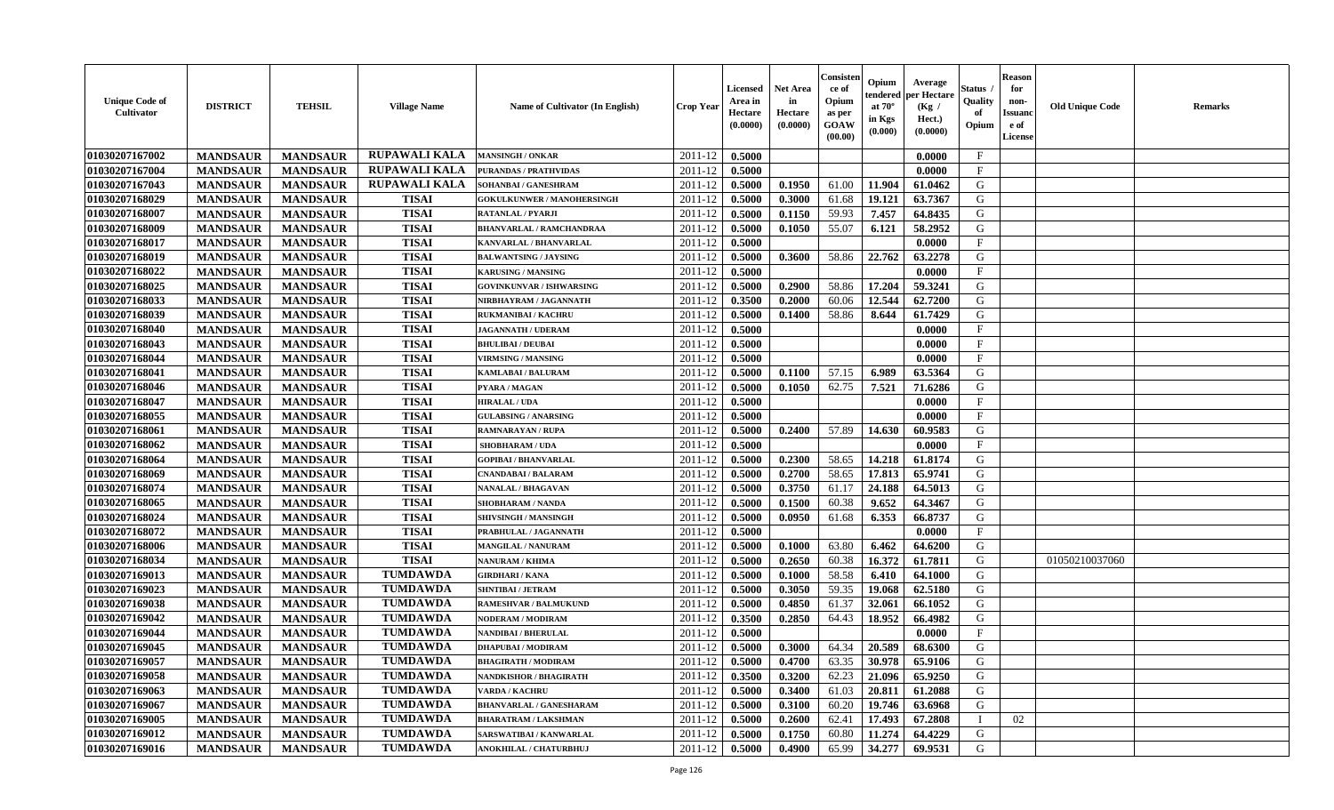| <b>Unique Code of</b><br><b>Cultivator</b> | <b>DISTRICT</b> | <b>TEHSIL</b>   | <b>Village Name</b>  | Name of Cultivator (In English)   | <b>Crop Year</b> | <b>Licensed</b><br>Area in<br>Hectare<br>(0.0000) | Net Area<br>in<br>Hectare<br>(0.0000) | Consister<br>ce of<br>Opium<br>as per<br>GOAW<br>(00.00) | Opium<br>endered<br>at $70^\circ$<br>in Kgs<br>(0.000) | Average<br>per Hectare<br>(Kg /<br>Hect.)<br>(0.0000) | Status<br>Quality<br>of<br>Opium | <b>Reason</b><br>for<br>non-<br><b>Issuand</b><br>e of<br>License | <b>Old Unique Code</b> | Remarks |
|--------------------------------------------|-----------------|-----------------|----------------------|-----------------------------------|------------------|---------------------------------------------------|---------------------------------------|----------------------------------------------------------|--------------------------------------------------------|-------------------------------------------------------|----------------------------------|-------------------------------------------------------------------|------------------------|---------|
| 01030207167002                             | <b>MANDSAUR</b> | <b>MANDSAUR</b> | RUPAWALI KALA        | <b>MANSINGH / ONKAR</b>           | 2011-12          | 0.5000                                            |                                       |                                                          |                                                        | 0.0000                                                | $\mathbf{F}$                     |                                                                   |                        |         |
| 01030207167004                             | <b>MANDSAUR</b> | <b>MANDSAUR</b> | <b>RUPAWALI KALA</b> | <b>PURANDAS / PRATHVIDAS</b>      | 2011-12          | 0.5000                                            |                                       |                                                          |                                                        | 0.0000                                                | $\mathbf{F}$                     |                                                                   |                        |         |
| 01030207167043                             | <b>MANDSAUR</b> | <b>MANDSAUR</b> | <b>RUPAWALI KALA</b> | SOHANBAI / GANESHRAM              | 2011-12          | 0.5000                                            | 0.1950                                | 61.00                                                    | 11.904                                                 | 61.0462                                               | G                                |                                                                   |                        |         |
| 01030207168029                             | <b>MANDSAUR</b> | <b>MANDSAUR</b> | <b>TISAI</b>         | <b>GOKULKUNWER / MANOHERSINGH</b> | 2011-12          | 0.5000                                            | 0.3000                                | 61.68                                                    | 19.121                                                 | 63.7367                                               | G                                |                                                                   |                        |         |
| 01030207168007                             | <b>MANDSAUR</b> | <b>MANDSAUR</b> | <b>TISAI</b>         | <b>RATANLAL / PYARJI</b>          | 2011-12          | 0.5000                                            | 0.1150                                | 59.93                                                    | 7.457                                                  | 64.8435                                               | G                                |                                                                   |                        |         |
| 01030207168009                             | <b>MANDSAUR</b> | <b>MANDSAUR</b> | <b>TISAI</b>         | <b>BHANVARLAL / RAMCHANDRAA</b>   | 2011-12          | 0.5000                                            | 0.1050                                | 55.07                                                    | 6.121                                                  | 58.2952                                               | G                                |                                                                   |                        |         |
| 01030207168017                             | <b>MANDSAUR</b> | <b>MANDSAUR</b> | <b>TISAI</b>         | KANVARLAL / BHANVARLAL            | 2011-12          | 0.5000                                            |                                       |                                                          |                                                        | 0.0000                                                | $\mathbf{F}$                     |                                                                   |                        |         |
| 01030207168019                             | <b>MANDSAUR</b> | <b>MANDSAUR</b> | <b>TISAI</b>         | <b>BALWANTSING / JAYSING</b>      | 2011-12          | 0.5000                                            | 0.3600                                | 58.86                                                    | 22.762                                                 | 63.2278                                               | G                                |                                                                   |                        |         |
| 01030207168022                             | <b>MANDSAUR</b> | <b>MANDSAUR</b> | <b>TISAI</b>         | <b>KARUSING / MANSING</b>         | 2011-12          | 0.5000                                            |                                       |                                                          |                                                        | 0.0000                                                | $\mathbf{F}$                     |                                                                   |                        |         |
| 01030207168025                             | <b>MANDSAUR</b> | <b>MANDSAUR</b> | <b>TISAI</b>         | <b>GOVINKUNVAR / ISHWARSING</b>   | 2011-12          | 0.5000                                            | 0.2900                                | 58.86                                                    | 17.204                                                 | 59.3241                                               | G                                |                                                                   |                        |         |
| 01030207168033                             | <b>MANDSAUR</b> | <b>MANDSAUR</b> | <b>TISAI</b>         | NIRBHAYRAM / JAGANNATH            | 2011-12          | 0.3500                                            | 0.2000                                | 60.06                                                    | 12.544                                                 | 62.7200                                               | G                                |                                                                   |                        |         |
| 01030207168039                             | <b>MANDSAUR</b> | <b>MANDSAUR</b> | <b>TISAI</b>         | <b>RUKMANIBAI/KACHRU</b>          | 2011-12          | 0.5000                                            | 0.1400                                | 58.86                                                    | 8.644                                                  | 61.7429                                               | G                                |                                                                   |                        |         |
| 01030207168040                             | <b>MANDSAUR</b> | <b>MANDSAUR</b> | <b>TISAI</b>         | <b>JAGANNATH / UDERAM</b>         | 2011-12          | 0.5000                                            |                                       |                                                          |                                                        | 0.0000                                                | $\mathbf{F}$                     |                                                                   |                        |         |
| 01030207168043                             | <b>MANDSAUR</b> | <b>MANDSAUR</b> | <b>TISAI</b>         | <b>BHULIBAI / DEUBAI</b>          | 2011-12          | 0.5000                                            |                                       |                                                          |                                                        | 0.0000                                                | $\mathbf{F}$                     |                                                                   |                        |         |
| 01030207168044                             | <b>MANDSAUR</b> | <b>MANDSAUR</b> | <b>TISAI</b>         | <b>VIRMSING / MANSING</b>         | 2011-12          | 0.5000                                            |                                       |                                                          |                                                        | 0.0000                                                | F                                |                                                                   |                        |         |
| 01030207168041                             | <b>MANDSAUR</b> | <b>MANDSAUR</b> | <b>TISAI</b>         | <b>KAMLABAI/BALURAM</b>           | 2011-12          | 0.5000                                            | 0.1100                                | 57.15                                                    | 6.989                                                  | 63.5364                                               | G                                |                                                                   |                        |         |
| 01030207168046                             | <b>MANDSAUR</b> | <b>MANDSAUR</b> | <b>TISAI</b>         | PYARA / MAGAN                     | 2011-12          | 0.5000                                            | 0.1050                                | 62.75                                                    | 7.521                                                  | 71.6286                                               | G                                |                                                                   |                        |         |
| 01030207168047                             | <b>MANDSAUR</b> | <b>MANDSAUR</b> | <b>TISAI</b>         | <b>HIRALAL / UDA</b>              | $2011 - 12$      | 0.5000                                            |                                       |                                                          |                                                        | 0.0000                                                | F                                |                                                                   |                        |         |
| 01030207168055                             | <b>MANDSAUR</b> | <b>MANDSAUR</b> | <b>TISAI</b>         | <b>GULABSING / ANARSING</b>       | $2011 - 12$      | 0.5000                                            |                                       |                                                          |                                                        | 0.0000                                                | F                                |                                                                   |                        |         |
| 01030207168061                             | <b>MANDSAUR</b> | <b>MANDSAUR</b> | <b>TISAI</b>         | <b>RAMNARAYAN / RUPA</b>          | 2011-12          | 0.5000                                            | 0.2400                                | 57.89                                                    | 14.630                                                 | 60.9583                                               | G                                |                                                                   |                        |         |
| 01030207168062                             | <b>MANDSAUR</b> | <b>MANDSAUR</b> | <b>TISAI</b>         | <b>SHOBHARAM / UDA</b>            | 2011-12          | 0.5000                                            |                                       |                                                          |                                                        | 0.0000                                                | $\mathbf{F}$                     |                                                                   |                        |         |
| 01030207168064                             | <b>MANDSAUR</b> | <b>MANDSAUR</b> | <b>TISAI</b>         | <b>GOPIBAI/BHANVARLAL</b>         | 2011-12          | 0.5000                                            | 0.2300                                | 58.65                                                    | 14.218                                                 | 61.8174                                               | G                                |                                                                   |                        |         |
| 01030207168069                             | <b>MANDSAUR</b> | <b>MANDSAUR</b> | <b>TISAI</b>         | CNANDABAI / BALARAM               | 2011-12          | 0.5000                                            | 0.2700                                | 58.65                                                    | 17.813                                                 | 65.9741                                               | G                                |                                                                   |                        |         |
| 01030207168074                             | <b>MANDSAUR</b> | <b>MANDSAUR</b> | <b>TISAI</b>         | <b>NANALAL / BHAGAVAN</b>         | 2011-12          | 0.5000                                            | 0.3750                                | 61.17                                                    | 24.188                                                 | 64.5013                                               | G                                |                                                                   |                        |         |
| 01030207168065                             | <b>MANDSAUR</b> | <b>MANDSAUR</b> | <b>TISAI</b>         | <b>SHOBHARAM / NANDA</b>          | 2011-12          | 0.5000                                            | 0.1500                                | 60.38                                                    | 9.652                                                  | 64.3467                                               | G                                |                                                                   |                        |         |
| 01030207168024                             | <b>MANDSAUR</b> | <b>MANDSAUR</b> | <b>TISAI</b>         | SHIVSINGH / MANSINGH              | 2011-12          | 0.5000                                            | 0.0950                                | 61.68                                                    | 6.353                                                  | 66.8737                                               | G                                |                                                                   |                        |         |
| 01030207168072                             | <b>MANDSAUR</b> | <b>MANDSAUR</b> | <b>TISAI</b>         | PRABHULAL / JAGANNATH             | 2011-12          | 0.5000                                            |                                       |                                                          |                                                        | 0.0000                                                | F                                |                                                                   |                        |         |
| 01030207168006                             | <b>MANDSAUR</b> | <b>MANDSAUR</b> | <b>TISAI</b>         | <b>MANGILAL / NANURAM</b>         | 2011-12          | 0.5000                                            | 0.1000                                | 63.80                                                    | 6.462                                                  | 64.6200                                               | G                                |                                                                   |                        |         |
| 01030207168034                             | <b>MANDSAUR</b> | <b>MANDSAUR</b> | <b>TISAI</b>         | <b>NANURAM / KHIMA</b>            | 2011-12          | 0.5000                                            | 0.2650                                | 60.38                                                    | 16.372                                                 | 61.7811                                               | G                                |                                                                   | 01050210037060         |         |
| 01030207169013                             | <b>MANDSAUR</b> | <b>MANDSAUR</b> | <b>TUMDAWDA</b>      | <b>GIRDHARI / KANA</b>            | 2011-12          | 0.5000                                            | 0.1000                                | 58.58                                                    | 6.410                                                  | 64.1000                                               | G                                |                                                                   |                        |         |
| 01030207169023                             | <b>MANDSAUR</b> | <b>MANDSAUR</b> | <b>TUMDAWDA</b>      | <b>SHNTIBAI / JETRAM</b>          | 2011-12          | 0.5000                                            | 0.3050                                | 59.35                                                    | 19.068                                                 | 62.5180                                               | G                                |                                                                   |                        |         |
| 01030207169038                             | <b>MANDSAUR</b> | <b>MANDSAUR</b> | <b>TUMDAWDA</b>      | <b>RAMESHVAR / BALMUKUND</b>      | 2011-12          | 0.5000                                            | 0.4850                                | 61.37                                                    | 32.061                                                 | 66.1052                                               | G                                |                                                                   |                        |         |
| 01030207169042                             | <b>MANDSAUR</b> | <b>MANDSAUR</b> | <b>TUMDAWDA</b>      | <b>NODERAM / MODIRAM</b>          | 2011-12          | 0.3500                                            | 0.2850                                | 64.43                                                    | 18.952                                                 | 66.4982                                               | G                                |                                                                   |                        |         |
| 01030207169044                             | <b>MANDSAUR</b> | <b>MANDSAUR</b> | <b>TUMDAWDA</b>      | <b>NANDIBAI / BHERULAL</b>        | 2011-12          | 0.5000                                            |                                       |                                                          |                                                        | 0.0000                                                | $\mathbf{F}$                     |                                                                   |                        |         |
| 01030207169045                             | <b>MANDSAUR</b> | <b>MANDSAUR</b> | <b>TUMDAWDA</b>      | <b>DHAPUBAI/MODIRAM</b>           | 2011-12          | 0.5000                                            | 0.3000                                | 64.34                                                    | 20.589                                                 | 68.6300                                               | G                                |                                                                   |                        |         |
| 01030207169057                             | <b>MANDSAUR</b> | <b>MANDSAUR</b> | <b>TUMDAWDA</b>      | <b>BHAGIRATH / MODIRAM</b>        | 2011-12          | 0.5000                                            | 0.4700                                | 63.35                                                    | 30.978                                                 | 65.9106                                               | G                                |                                                                   |                        |         |
| 01030207169058                             | <b>MANDSAUR</b> | <b>MANDSAUR</b> | <b>TUMDAWDA</b>      | NANDKISHOR / BHAGIRATH            | 2011-12          | 0.3500                                            | 0.3200                                | 62.23                                                    | 21.096                                                 | 65.9250                                               | G                                |                                                                   |                        |         |
| 01030207169063                             | <b>MANDSAUR</b> | <b>MANDSAUR</b> | <b>TUMDAWDA</b>      | <b>VARDA / KACHRU</b>             | 2011-12          | 0.5000                                            | 0.3400                                | 61.03                                                    | 20.811                                                 | 61.2088                                               | G                                |                                                                   |                        |         |
| 01030207169067                             | <b>MANDSAUR</b> | <b>MANDSAUR</b> | <b>TUMDAWDA</b>      | <b>BHANVARLAL / GANESHARAM</b>    | 2011-12          | 0.5000                                            | 0.3100                                | 60.20                                                    | 19.746                                                 | 63.6968                                               | G                                |                                                                   |                        |         |
| 01030207169005                             | <b>MANDSAUR</b> | <b>MANDSAUR</b> | <b>TUMDAWDA</b>      | <b>BHARATRAM / LAKSHMAN</b>       | 2011-12          | 0.5000                                            | 0.2600                                | 62.41                                                    | 17.493                                                 | 67.2808                                               |                                  | 02                                                                |                        |         |
| 01030207169012                             | <b>MANDSAUR</b> | <b>MANDSAUR</b> | <b>TUMDAWDA</b>      | SARSWATIBAI / KANWARLAL           | 2011-12          | 0.5000                                            | 0.1750                                | 60.80                                                    | 11.274                                                 | 64.4229                                               | G                                |                                                                   |                        |         |
| 01030207169016                             | <b>MANDSAUR</b> | <b>MANDSAUR</b> | <b>TUMDAWDA</b>      | ANOKHILAL / CHATURBHUJ            | 2011-12          | 0.5000                                            | 0.4900                                | 65.99                                                    | 34.277                                                 | 69.9531                                               | G                                |                                                                   |                        |         |